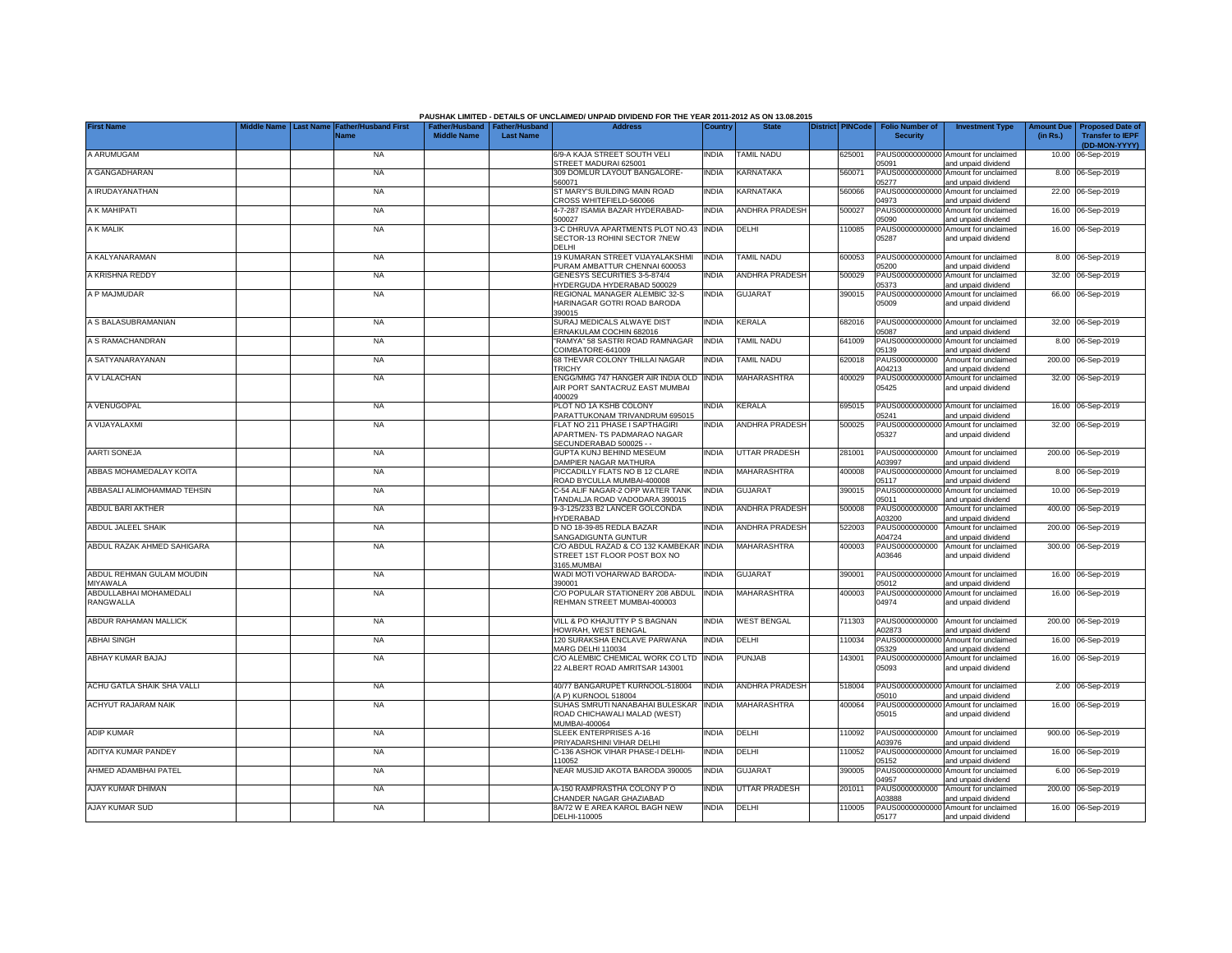|                                       |                                 |                                            |                    |                                                     | PAUSHAK LIMITED - DETAILS OF UNCLAIMED/ UNPAID DIVIDEND FOR THE YEAR 2011-2012 AS ON 13.08.2015 |              |                       |                         |        |                                           |                                                             |                               |                                                                     |
|---------------------------------------|---------------------------------|--------------------------------------------|--------------------|-----------------------------------------------------|-------------------------------------------------------------------------------------------------|--------------|-----------------------|-------------------------|--------|-------------------------------------------|-------------------------------------------------------------|-------------------------------|---------------------------------------------------------------------|
| <b>First Name</b>                     | fiddle Name<br><b>Last Name</b> | <b>Father/Husband First</b><br><b>Name</b> | <b>Middle Name</b> | Father/Husband   Father/Husband<br><b>Last Name</b> | <b>Address</b>                                                                                  | Country      | <b>State</b>          | <b>District PINCode</b> |        | <b>Folio Number of</b><br><b>Security</b> | <b>Investment Type</b>                                      | <b>Amount Due</b><br>(in Rs.) | <b>Proposed Date of</b><br><b>Transfer to IEPF</b><br>(DD-MON-YYYY) |
| A ARUMUGAM                            |                                 | <b>NA</b>                                  |                    |                                                     | 6/9-A KAJA STREET SOUTH VELI<br>STREET MADURAI 625001                                           | <b>INDIA</b> | <b>TAMIL NADU</b>     |                         | 325001 | 05091                                     | PAUS00000000000 Amount for unclaimed<br>and unpaid dividend |                               | 10.00 06-Sep-2019                                                   |
| A GANGADHARAN                         |                                 | <b>NA</b>                                  |                    |                                                     | 309 DOMLUR LAYOUT BANGALORE-<br>560071                                                          | <b>INDIA</b> | KARNATAKA             |                         | 560071 | PAUS0000000000<br>05277                   | Amount for unclaimed<br>and unpaid dividend                 |                               | 8.00 06-Sep-2019                                                    |
| A IRUDAYANATHAN                       |                                 | <b>NA</b>                                  |                    |                                                     | ST MARY'S BUILDING MAIN ROAD<br>CROSS WHITEFIELD-560066                                         | <b>INDIA</b> | KARNATAKA             |                         | 560066 | PAUS0000000000<br>04973                   | Amount for unclaimed<br>and unpaid dividend                 |                               | 22.00 06-Sep-2019                                                   |
| A K MAHIPATI                          |                                 | <b>NA</b>                                  |                    |                                                     | 4-7-287 ISAMIA BAZAR HYDERABAD-<br>500027                                                       | <b>INDIA</b> | <b>ANDHRA PRADESH</b> |                         | 500027 | PAUS0000000000<br>05090                   | Amount for unclaimed<br>and unpaid dividend                 |                               | 16.00 06-Sep-2019                                                   |
| A K MALIK                             |                                 | <b>NA</b>                                  |                    |                                                     | 3-C DHRUVA APARTMENTS PLOT NO.43 INDIA<br>SECTOR-13 ROHINI SECTOR 7NEW<br>DELHI                 |              | DELHI                 |                         | 110085 | PAUS00000000000<br>05287                  | Amount for unclaimed<br>and unpaid dividend                 |                               | 16.00 06-Sep-2019                                                   |
| A KALYANARAMAN                        |                                 | <b>NA</b>                                  |                    |                                                     | 19 KUMARAN STREET VIJAYALAKSHMI<br>PURAM AMBATTUR CHENNAI 600053                                | <b>INDIA</b> | <b>TAMIL NADU</b>     |                         | 600053 | PAUS0000000000<br>05200                   | Amount for unclaimed<br>and unpaid dividend                 |                               | 8.00 06-Sep-2019                                                    |
| A KRISHNA REDDY                       |                                 | <b>NA</b>                                  |                    |                                                     | <b>GENESYS SECURITIES 3-5-874/4</b><br>HYDERGUDA HYDERABAD 500029                               | INDIA        | <b>ANDHRA PRADESH</b> |                         | 500029 | PAUS0000000000<br>05373                   | Amount for unclaimed<br>and unpaid dividend                 |                               | 32.00 06-Sep-2019                                                   |
| A P MAJMUDAR                          |                                 | <b>NA</b>                                  |                    |                                                     | REGIONAL MANAGER ALEMBIC 32-S<br>HARINAGAR GOTRI ROAD BARODA<br>390015                          | <b>INDIA</b> | <b>GUJARAT</b>        |                         | 390015 | PAUS00000000000<br>05009                  | Amount for unclaimed<br>and unpaid dividend                 |                               | 66.00 06-Sep-2019                                                   |
| A S BALASUBRAMANIAN                   |                                 | <b>NA</b>                                  |                    |                                                     | SURAJ MEDICALS ALWAYE DIST<br>ERNAKULAM COCHIN 682016                                           | <b>INDIA</b> | <b>KERALA</b>         |                         | 682016 | PAUS0000000000<br>05087                   | Amount for unclaimed<br>and unpaid dividend                 |                               | 32.00 06-Sep-2019                                                   |
| A S RAMACHANDRAN                      |                                 | <b>NA</b>                                  |                    |                                                     | RAMYA" 58 SASTRI ROAD RAMNAGAR<br>COIMBATORE-641009                                             | <b>INDIA</b> | <b>TAMIL NADU</b>     |                         | 641009 | PAUS0000000000<br>05139                   | Amount for unclaimed<br>and unpaid dividend                 |                               | 8.00 06-Sep-2019                                                    |
| A SATYANARAYANAN                      |                                 | <b>NA</b>                                  |                    |                                                     | 68 THEVAR COLONY THILLAI NAGAR<br><b>TRICHY</b>                                                 | <b>INDIA</b> | <b>TAMIL NADU</b>     |                         | 620018 | PAUS0000000000<br>A04213                  | Amount for unclaimed<br>and unpaid dividend                 |                               | 200.00 06-Sep-2019                                                  |
| A V LALACHAN                          |                                 | <b>NA</b>                                  |                    |                                                     | ENGG/MMG 747 HANGER AIR INDIA OLD<br>AIR PORT SANTACRUZ EAST MUMBAI<br>400029                   | <b>INDIA</b> | MAHARASHTRA           |                         | 400029 | PAUS00000000000<br>05425                  | Amount for unclaimed<br>and unpaid dividend                 |                               | 32.00 06-Sep-2019                                                   |
| A VENUGOPAL                           |                                 | <b>NA</b>                                  |                    |                                                     | PLOT NO 1A KSHB COLONY<br>PARATTUKONAM TRIVANDRUM 695015                                        | INDIA        | <b>KERALA</b>         |                         | 695015 | PAUS00000000000<br>05241                  | Amount for unclaimed<br>and unpaid dividend                 |                               | 16.00 06-Sep-2019                                                   |
| A VIJAYALAXMI                         |                                 | <b>NA</b>                                  |                    |                                                     | FLAT NO 211 PHASE I SAPTHAGIRI<br>APARTMEN-TS PADMARAO NAGAR<br>SECUNDERABAD 500025 - -         | <b>INDIA</b> | <b>ANDHRA PRADESH</b> |                         | 500025 | PAUS00000000000<br>05327                  | Amount for unclaimed<br>and unpaid dividend                 |                               | 32.00 06-Sep-2019                                                   |
| <b>AARTI SONEJA</b>                   |                                 | <b>NA</b>                                  |                    |                                                     | GUPTA KUNJ BEHIND MESEUM<br>DAMPIER NAGAR MATHURA                                               | <b>INDIA</b> | <b>UTTAR PRADESH</b>  |                         | 281001 | PAUS0000000000<br>A03997                  | Amount for unclaimed<br>and unpaid dividend                 |                               | 200.00 06-Sep-2019                                                  |
| ABBAS MOHAMEDALAY KOITA               |                                 | <b>NA</b>                                  |                    |                                                     | PICCADILLY FLATS NO B 12 CLARE<br>ROAD BYCULLA MUMBAI-400008                                    | <b>INDIA</b> | <b>MAHARASHTRA</b>    |                         | 400008 | PAUS00000000000<br>05117                  | Amount for unclaimed<br>and unpaid dividend                 |                               | 8.00 06-Sep-2019                                                    |
| ABBASALI ALIMOHAMMAD TEHSIN           |                                 | <b>NA</b>                                  |                    |                                                     | C-54 ALIF NAGAR-2 OPP WATER TANK<br>TANDALJA ROAD VADODARA 390015                               | <b>INDIA</b> | <b>GUJARAT</b>        |                         | 390015 | PAUS0000000000<br>05011                   | Amount for unclaimed<br>and unpaid dividend                 |                               | 10.00 06-Sep-2019                                                   |
| ABDUL BARI AKTHER                     |                                 | <b>NA</b>                                  |                    |                                                     | 9-3-125/233 B2 LANCER GOLCONDA<br>HYDERABAD                                                     | <b>INDIA</b> | <b>ANDHRA PRADESH</b> |                         | 500008 | PAUS0000000000<br>A03200                  | Amount for unclaimed<br>and unpaid dividend                 |                               | 400.00 06-Sep-2019                                                  |
| ABDUL JALEEL SHAIK                    |                                 | <b>NA</b>                                  |                    |                                                     | D NO 18-39-85 REDLA BAZAR<br>SANGADIGUNTA GUNTUR                                                | <b>NDIA</b>  | <b>ANDHRA PRADESH</b> |                         | 522003 | PAUS0000000000<br>A04724                  | Amount for unclaimed<br>and unpaid dividend                 | 200.00                        | 06-Sep-2019                                                         |
| ABDUL RAZAK AHMED SAHIGARA            |                                 | <b>NA</b>                                  |                    |                                                     | C/O ABDUL RAZAD & CO 132 KAMBEKAR INDIA<br>STREET 1ST FLOOR POST BOX NO<br>3165, MUMBAI         |              | <b>MAHARASHTRA</b>    |                         | 400003 | PAUS0000000000<br>A03646                  | Amount for unclaimed<br>and unpaid dividend                 |                               | 300.00 06-Sep-2019                                                  |
| ABDUL REHMAN GULAM MOUDIN<br>MIYAWALA |                                 | <b>NA</b>                                  |                    |                                                     | WADI MOTI VOHARWAD BARODA-<br>390001                                                            | <b>INDIA</b> | <b>GUJARAT</b>        |                         | 390001 | PAUS00000000000<br>05012                  | Amount for unclaimed<br>and unpaid dividend                 |                               | 16.00 06-Sep-2019                                                   |
| ABDULLABHAI MOHAMEDALI<br>RANGWALLA   |                                 | <b>NA</b>                                  |                    |                                                     | C/O POPULAR STATIONERY 208 ABDUL<br>REHMAN STREET MUMBAI-400003                                 | <b>INDIA</b> | <b>MAHARASHTRA</b>    |                         | 400003 | PAUS00000000000<br>04974                  | Amount for unclaimed<br>and unpaid dividend                 |                               | 16.00 06-Sep-2019                                                   |
| ABDUR RAHAMAN MALLICK                 |                                 | <b>NA</b>                                  |                    |                                                     | VILL & PO KHAJUTTY P S BAGNAN<br>HOWRAH, WEST BENGAL                                            | <b>INDIA</b> | <b>WEST BENGAL</b>    |                         | 711303 | PAUS0000000000<br>A02873                  | Amount for unclaimed<br>and unpaid dividend                 |                               | 200.00 06-Sep-2019                                                  |
| <b>ABHAI SINGH</b>                    |                                 | <b>NA</b>                                  |                    |                                                     | 120 SURAKSHA ENCLAVE PARWANA<br><b>MARG DELHI 110034</b>                                        | INDIA        | DELHI                 |                         | 110034 | PAUS00000000000<br>05329                  | Amount for unclaimed<br>and unpaid dividend                 |                               | 16.00 06-Sep-2019                                                   |
| ABHAY KUMAR BAJAJ                     |                                 | <b>NA</b>                                  |                    |                                                     | C/O ALEMBIC CHEMICAL WORK CO LTD<br>22 ALBERT ROAD AMRITSAR 143001                              | <b>INDIA</b> | <b>PUNJAB</b>         |                         | 143001 | PAUS00000000000<br>05093                  | Amount for unclaimed<br>and unpaid dividend                 |                               | 16.00 06-Sep-2019                                                   |
| ACHU GATLA SHAIK SHA VALLI            |                                 | <b>NA</b>                                  |                    |                                                     | 40/77 BANGARUPET KURNOOL-518004<br>A P) KURNOOL 518004                                          | <b>INDIA</b> | <b>ANDHRA PRADESH</b> |                         | 518004 | PAUS00000000000<br>05010                  | Amount for unclaimed<br>and unpaid dividend                 |                               | 2.00 06-Sep-2019                                                    |
| <b>ACHYUT RAJARAM NAIK</b>            |                                 | <b>NA</b>                                  |                    |                                                     | SUHAS SMRUTI NANABAHAI BULESKAR<br>ROAD CHICHAWALI MALAD (WEST)<br>MUMBAI-400064                | <b>INDIA</b> | <b>MAHARASHTRA</b>    |                         | 400064 | PAUS00000000000<br>05015                  | Amount for unclaimed<br>and unpaid dividend                 |                               | 16.00 06-Sep-2019                                                   |
| <b>ADIP KUMAR</b>                     |                                 | <b>NA</b>                                  |                    |                                                     | SLEEK ENTERPRISES A-16<br>PRIYADARSHINI VIHAR DELHI                                             | <b>INDIA</b> | <b>DELHI</b>          |                         | 110092 | PAUS0000000000<br>A03976                  | Amount for unclaimed<br>and unpaid dividend                 |                               | 900.00 06-Sep-2019                                                  |
| ADITYA KUMAR PANDEY                   |                                 | <b>NA</b>                                  |                    |                                                     | C-136 ASHOK VIHAR PHASE-I DELHI-<br>110052                                                      | INDIA        | DELHI                 |                         | 110052 | PAUS00000000000<br>05152                  | Amount for unclaimed<br>and unpaid dividend                 |                               | 16.00 06-Sep-2019                                                   |
| AHMED ADAMBHAI PATEL                  |                                 | <b>NA</b>                                  |                    |                                                     | NEAR MUSJID AKOTA BARODA 390005                                                                 | INDIA        | <b>GUJARAT</b>        |                         | 390005 | PAUS00000000000<br>04957                  | Amount for unclaimed<br>and unpaid dividend                 |                               | 6.00 06-Sep-2019                                                    |
| AJAY KUMAR DHIMAN                     |                                 | <b>NA</b>                                  |                    |                                                     | A-150 RAMPRASTHA COLONY P O<br>CHANDER NAGAR GHAZIABAD                                          | India        | UTTAR PRADESH         |                         | 201011 | PAUS0000000000<br>403888                  | Amount for unclaimed<br>and unpaid dividend                 |                               | 200.00 06-Sep-2019                                                  |
| AJAY KUMAR SUD                        |                                 | <b>NA</b>                                  |                    |                                                     | 8A/72 W E AREA KAROL BAGH NEW<br>DELHI-110005                                                   | <b>INDIA</b> | DELHI                 |                         | 110005 | 05177                                     | PAUS00000000000 Amount for unclaimed<br>and unpaid dividend |                               | 16.00 06-Sep-2019                                                   |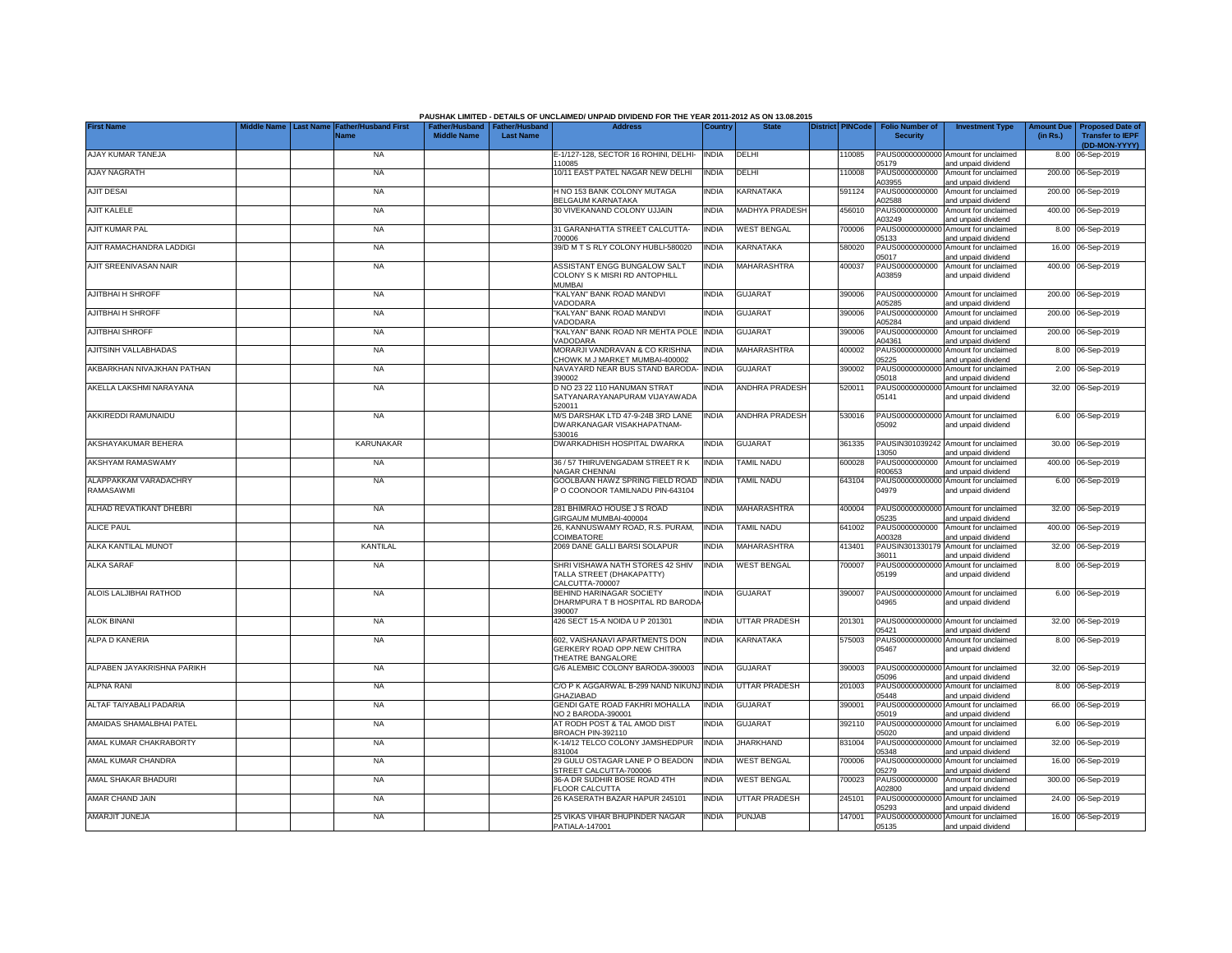|                                    |           |                             |                                                       |                  | PAUSHAK LIMITED - DETAILS OF UNCLAIMED/ UNPAID DIVIDEND FOR THE YEAR 2011-2012 AS ON 13.08.2015 |              |                       |                         |        |                                           |                                                                    |                               |                                                    |
|------------------------------------|-----------|-----------------------------|-------------------------------------------------------|------------------|-------------------------------------------------------------------------------------------------|--------------|-----------------------|-------------------------|--------|-------------------------------------------|--------------------------------------------------------------------|-------------------------------|----------------------------------------------------|
| <b>First Name</b>                  | Last Name | ather/Husband First<br>Name | Father/Husband   Father/Husband<br><b>Middle Name</b> | <b>Last Name</b> | <b>Address</b>                                                                                  | Country      | <b>State</b>          | <b>District PINCode</b> |        | <b>Folio Number of</b><br><b>Security</b> | <b>Investment Type</b>                                             | <b>Amount Due</b><br>(in Rs.) | <b>Proposed Date of</b><br><b>Transfer to IEPF</b> |
| AJAY KUMAR TANEJA                  |           | <b>NA</b>                   |                                                       |                  | E-1/127-128, SECTOR 16 ROHINI, DELHI-                                                           | <b>INDIA</b> | DELHI                 |                         | 110085 |                                           | PAUS00000000000 Amount for unclaimed                               |                               | (DD-MON-YYYY)<br>8.00 06-Sep-2019                  |
| AJAY NAGRATH                       |           | <b>NA</b>                   |                                                       |                  | 110085<br>10/11 EAST PATEL NAGAR NEW DELHI                                                      | INDIA        | DELHI                 |                         | 110008 | 05179<br>PAUS0000000000<br>403955         | and unpaid dividend<br>Amount for unclaimed<br>and unpaid dividend |                               | 200.00 06-Sep-2019                                 |
| <b>AJIT DESAI</b>                  |           | <b>NA</b>                   |                                                       |                  | H NO 153 BANK COLONY MUTAGA<br><b>BELGAUM KARNATAKA</b>                                         | <b>INDIA</b> | <b>KARNATAKA</b>      |                         | 591124 | PAUS0000000000<br>402588                  | Amount for unclaimed<br>and unpaid dividend                        |                               | 200.00 06-Sep-2019                                 |
| <b>AJIT KALELE</b>                 |           | <b>NA</b>                   |                                                       |                  | 30 VIVEKANAND COLONY UJJAIN                                                                     | INDIA        | <b>MADHYA PRADESH</b> |                         | 456010 | PAUS0000000000<br>103249                  | Amount for unclaimed                                               |                               | 400.00 06-Sep-2019                                 |
| AJIT KUMAR PAL                     |           | <b>NA</b>                   |                                                       |                  | 31 GARANHATTA STREET CALCUTTA-                                                                  | <b>INDIA</b> | <b>WEST BENGAL</b>    |                         | 700006 | PAUS0000000000                            | and unpaid dividend<br>Amount for unclaimed                        |                               | 8.00 06-Sep-2019                                   |
| AJIT RAMACHANDRA LADDIGI           |           | <b>NA</b>                   |                                                       |                  | 700006<br>39/D M T S RLY COLONY HUBLI-580020                                                    | <b>INDIA</b> | KARNATAKA             |                         | 580020 | 05133<br>PAUS00000000000                  | and unpaid dividend<br>Amount for unclaimed                        |                               | 16.00 06-Sep-2019                                  |
| AJIT SREENIVASAN NAIR              |           | <b>NA</b>                   |                                                       |                  | ASSISTANT ENGG BUNGALOW SALT<br>COLONY S K MISRI RD ANTOPHILL<br>MUMBAI                         | <b>INDIA</b> | MAHARASHTRA           |                         | 400037 | 05017<br>PAUS0000000000<br>A03859         | and unpaid dividend<br>Amount for unclaimed<br>and unpaid dividend |                               | 400.00 06-Sep-2019                                 |
| <b>AJITBHAI H SHROFF</b>           |           | <b>NA</b>                   |                                                       |                  | 'KALYAN" BANK ROAD MANDVI<br>VADODARA                                                           | India        | <b>GUJARAT</b>        |                         | 390006 | PAUS0000000000<br>A05285                  | Amount for unclaimed<br>and unpaid dividend                        |                               | 200.00 06-Sep-2019                                 |
| AJITBHAI H SHROFF                  |           | <b>NA</b>                   |                                                       |                  | 'KALYAN" BANK ROAD MANDVI<br>/ADODARA                                                           | INDIA        | <b>GUJARAT</b>        |                         | 390006 | PAUS0000000000<br>A05284                  | Amount for unclaimed<br>and unpaid dividend                        | 200.00                        | 06-Sep-2019                                        |
| <b>AJITBHAI SHROFF</b>             |           | <b>NA</b>                   |                                                       |                  | "KALYAN" BANK ROAD NR MEHTA POLE<br>VADODARA                                                    | <b>INDIA</b> | <b>GUJARAT</b>        |                         | 390006 | PAUS0000000000<br>A04361                  | Amount for unclaimed<br>and unpaid dividend                        |                               | 200.00 06-Sep-2019                                 |
| AJITSINH VALLABHADAS               |           | <b>NA</b>                   |                                                       |                  | MORARJI VANDRAVAN & CO KRISHNA<br>CHOWK M J MARKET MUMBAI-400002                                | india        | MAHARASHTRA           |                         | 400002 | PAUS0000000000<br>05225                   | Amount for unclaimed<br>and unpaid dividend                        |                               | 8.00 06-Sep-2019                                   |
| AKBARKHAN NIVAJKHAN PATHAN         |           | <b>NA</b>                   |                                                       |                  | NAVAYARD NEAR BUS STAND BARODA<br>390002                                                        | <b>INDIA</b> | <b>GUJARAT</b>        |                         | 390002 | PAUS0000000000<br>05018                   | Amount for unclaimed<br>and unpaid dividend                        |                               | 2.00 06-Sep-2019                                   |
| AKELLA LAKSHMI NARAYANA            |           | <b>NA</b>                   |                                                       |                  | D NO 23 22 110 HANUMAN STRAT<br>SATYANARAYANAPURAM VIJAYAWADA<br>520011                         | NDIA         | ANDHRA PRADESH        |                         | 520011 | PAUS00000000000<br>05141                  | Amount for unclaimed<br>and unpaid dividend                        |                               | 32.00 06-Sep-2019                                  |
| AKKIREDDI RAMUNAIDU                |           | <b>NA</b>                   |                                                       |                  | M/S DARSHAK LTD 47-9-24B 3RD LANE<br>DWARKANAGAR VISAKHAPATNAM-<br>530016                       | <b>INDIA</b> | <b>ANDHRA PRADESH</b> |                         | 530016 | 05092                                     | PAUS00000000000 Amount for unclaimed<br>and unpaid dividend        |                               | 6.00 06-Sep-2019                                   |
| AKSHAYAKUMAR BEHERA                |           | KARUNAKAR                   |                                                       |                  | DWARKADHISH HOSPITAL DWARKA                                                                     | <b>INDIA</b> | <b>GUJARAT</b>        |                         | 361335 | 13050                                     | PAUSIN301039242 Amount for unclaimed<br>and unpaid dividend        |                               | 30.00 06-Sep-2019                                  |
| AKSHYAM RAMASWAMY                  |           | <b>NA</b>                   |                                                       |                  | 36 / 57 THIRUVENGADAM STREET R K<br><b>NAGAR CHENNAI</b>                                        | <b>INDIA</b> | TAMIL NADU            |                         | 600028 | PAUS0000000000<br>R00653                  | Amount for unclaimed<br>and unpaid dividend                        |                               | 400.00 06-Sep-2019                                 |
| ALAPPAKKAM VARADACHRY<br>RAMASAWMI |           | <b>NA</b>                   |                                                       |                  | GOOLBAAN HAWZ SPRING FIELD ROAD<br>P O COONOOR TAMILNADU PIN-643104                             | <b>INDIA</b> | <b>TAMIL NADU</b>     |                         | 643104 | 04979                                     | PAUS00000000000 Amount for unclaimed<br>and unpaid dividend        |                               | 6.00 06-Sep-2019                                   |
| ALHAD REVATIKANT DHEBRI            |           | <b>NA</b>                   |                                                       |                  | 281 BHIMRAO HOUSE J S ROAD<br>GIRGAUM MUMBAI-400004                                             | <b>INDIA</b> | MAHARASHTRA           |                         | 400004 | 05235                                     | PAUS00000000000 Amount for unclaimed<br>and unpaid dividend        |                               | 32.00 06-Sep-2019                                  |
| <b>ALICE PAUL</b>                  |           | <b>NA</b>                   |                                                       |                  | 26, KANNUSWAMY ROAD, R.S. PURAM,<br>COIMBATORE                                                  | <b>INDIA</b> | <b>TAMIL NADU</b>     |                         | 641002 | PAUS0000000000<br>A00328                  | Amount for unclaimed<br>and unpaid dividend                        |                               | 400.00 06-Sep-2019                                 |
| ALKA KANTILAL MUNOT                |           | <b>KANTILAL</b>             |                                                       |                  | 2069 DANE GALLI BARSI SOLAPUR                                                                   | INDIA        | <b>MAHARASHTRA</b>    |                         | 413401 | PAUSIN301330179<br>36011                  | Amount for unclaimed<br>and unpaid dividend                        |                               | 32.00 06-Sep-2019                                  |
| <b>ALKA SARAF</b>                  |           | <b>NA</b>                   |                                                       |                  | SHRI VISHAWA NATH STORES 42 SHIV<br>TALLA STREET (DHAKAPATTY)<br>CALCUTTA-700007                | <b>INDIA</b> | <b>WEST BENGAL</b>    |                         | 700007 | PAUS00000000000<br>05199                  | Amount for unclaimed<br>and unpaid dividend                        |                               | 8.00 06-Sep-2019                                   |
| ALOIS LALJIBHAI RATHOD             |           | <b>NA</b>                   |                                                       |                  | BEHIND HARINAGAR SOCIETY<br>DHARMPURA T B HOSPITAL RD BARODA<br>390007                          | INDIA        | <b>GUJARAT</b>        |                         | 390007 | 04965                                     | PAUS00000000000 Amount for unclaimed<br>and unpaid dividend        |                               | 6.00 06-Sep-2019                                   |
| <b>ALOK BINANI</b>                 |           | <b>NA</b>                   |                                                       |                  | 426 SECT 15-A NOIDA U P 201301                                                                  | INDIA        | <b>UTTAR PRADESH</b>  |                         | 201301 | 05421                                     | PAUS00000000000 Amount for unclaimed<br>and unpaid dividend        |                               | 32.00 06-Sep-2019                                  |
| ALPA D KANERIA                     |           | <b>NA</b>                   |                                                       |                  | 602, VAISHANAVI APARTMENTS DON<br>GERKERY ROAD OPP.NEW CHITRA<br>THEATRE BANGALORE              | <b>INDIA</b> | KARNATAKA             |                         | 575003 | 05467                                     | PAUS00000000000 Amount for unclaimed<br>and unpaid dividend        |                               | 8.00 06-Sep-2019                                   |
| ALPABEN JAYAKRISHNA PARIKH         |           | <b>NA</b>                   |                                                       |                  | G/6 ALEMBIC COLONY BARODA-390003                                                                | <b>INDIA</b> | <b>GUJARAT</b>        |                         | 390003 | 05096                                     | PAUS00000000000 Amount for unclaimed<br>and unpaid dividend        |                               | 32.00 06-Sep-2019                                  |
| <b>ALPNA RANI</b>                  |           | <b>NA</b>                   |                                                       |                  | C/O P K AGGARWAL B-299 NAND NIKUN<br><b>GHAZIABAD</b>                                           | <b>INDIA</b> | <b>UTTAR PRADESH</b>  |                         | 201003 | PAUS0000000000<br>05448                   | Amount for unclaimed<br>and unpaid dividend                        | 8.00                          | 06-Sep-2019                                        |
| ALTAF TAIYABALI PADARIA            |           | <b>NA</b>                   |                                                       |                  | GENDI GATE ROAD FAKHRI MOHALLA<br>NO 2 BARODA-390001                                            | INDIA        | <b>GUJARAT</b>        |                         | 390001 | PAUS0000000000<br>05019                   | Amount for unclaimed<br>and unpaid dividend                        |                               | 66.00 06-Sep-2019                                  |
| AMAIDAS SHAMALBHAI PATEL           |           | <b>NA</b>                   |                                                       |                  | AT RODH POST & TAL AMOD DIST<br>BROACH PIN-392110                                               | INDIA        | <b>GUJARAT</b>        |                         | 392110 | PAUS00000000000<br>05020                  | Amount for unclaimed<br>and unpaid dividend                        |                               | 6.00 06-Sep-2019                                   |
| AMAL KUMAR CHAKRABORTY             |           | <b>NA</b>                   |                                                       |                  | K-14/12 TELCO COLONY JAMSHEDPUR<br>831004                                                       | <b>INDIA</b> | JHARKHAND             |                         | 831004 | PAUS00000000000<br>15348                  | Amount for unclaimed<br>and unpaid dividend                        |                               | 32.00 06-Sep-2019                                  |
| AMAL KUMAR CHANDRA                 |           | <b>NA</b>                   |                                                       |                  | 29 GULU OSTAGAR LANE P O BEADON<br>STREET CALCUTTA-700006                                       | INDIA        | <b>WEST BENGAL</b>    |                         | 700006 | PAUS0000000000<br>05279                   | Amount for unclaimed<br>and unpaid dividend                        |                               | 16.00 06-Sep-2019                                  |
| AMAL SHAKAR BHADURI                |           | <b>NA</b>                   |                                                       |                  | 36-A DR SUDHIR BOSE ROAD 4TH<br>FLOOR CALCUTTA                                                  | <b>INDIA</b> | <b>WEST BENGAL</b>    |                         | 700023 | PAUS0000000000<br>402800                  | Amount for unclaimed<br>and unpaid dividend                        |                               | 300.00 06-Sep-2019                                 |
| AMAR CHAND JAIN                    |           | NA                          |                                                       |                  | 26 KASERATH BAZAR HAPUR 245101                                                                  | <b>INDIA</b> | <b>UTTAR PRADESH</b>  |                         | 245101 | 05293                                     | PAUS00000000000 Amount for unclaimed<br>and unpaid dividend        |                               | 24.00 06-Sep-2019                                  |
| AMARJIT JUNEJA                     |           | <b>NA</b>                   |                                                       |                  | 25 VIKAS VIHAR BHUPINDER NAGAR<br>PATIALA-147001                                                | <b>INDIA</b> | <b>PUNJAB</b>         |                         | 147001 | 05135                                     | PAUS00000000000 Amount for unclaimed<br>and unpaid dividend        |                               | 16.00 06-Sep-2019                                  |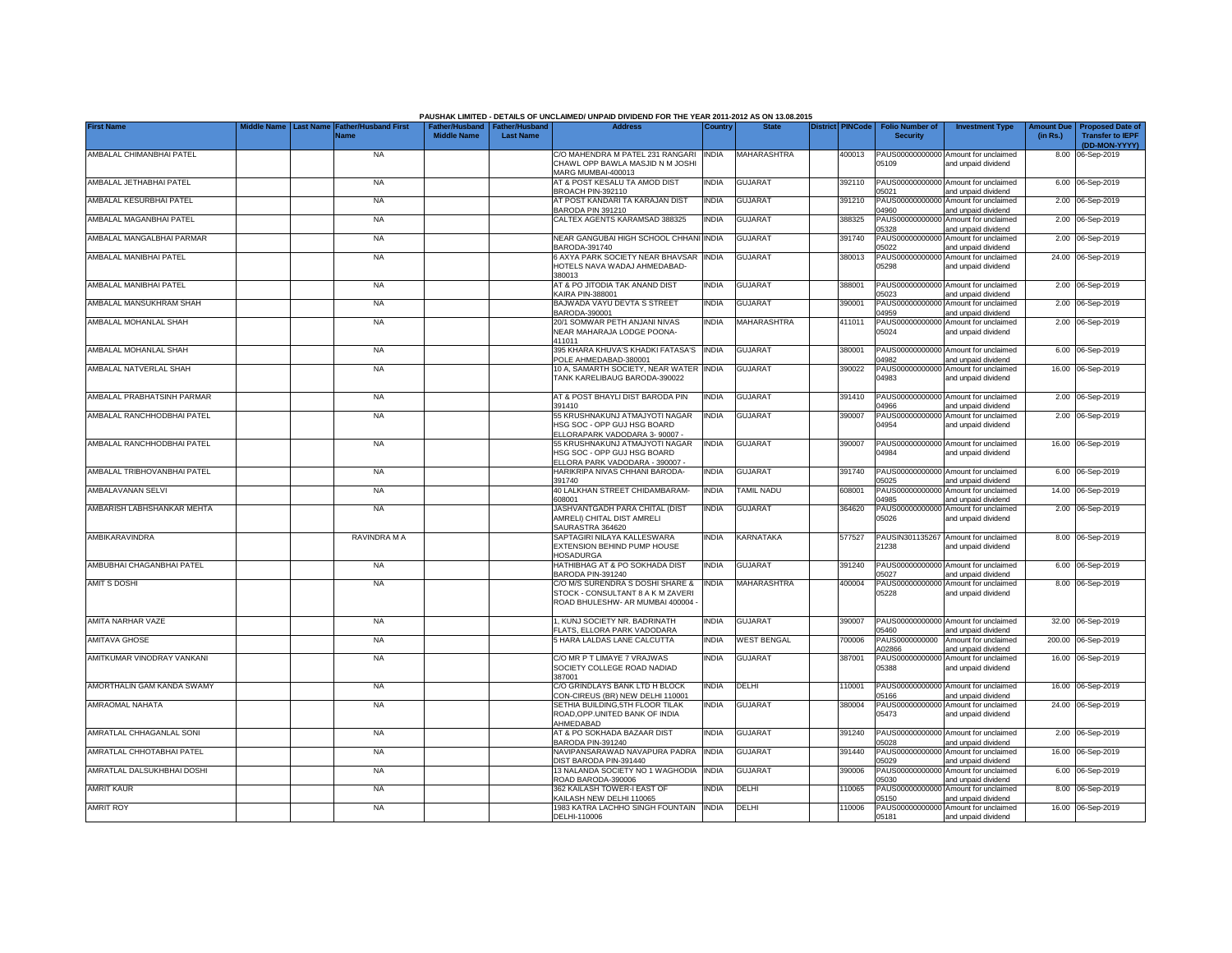|                             |                                                        |                    |                                                     | PAUSHAK LIMITED - DETAILS OF UNCLAIMED/ UNPAID DIVIDEND FOR THE YEAR 2011-2012 AS ON 13.08.2015          |              |                    |                  |                                           |                                                             |          |                                                          |
|-----------------------------|--------------------------------------------------------|--------------------|-----------------------------------------------------|----------------------------------------------------------------------------------------------------------|--------------|--------------------|------------------|-------------------------------------------|-------------------------------------------------------------|----------|----------------------------------------------------------|
| <b>First Name</b>           | Middle Name   Last Name   Father/Husband First<br>Name | <b>Middle Name</b> | Father/Husband   Father/Husband<br><b>Last Name</b> | <b>Address</b>                                                                                           | Country      | <b>State</b>       | District PINCode | <b>Folio Number of</b><br><b>Security</b> | <b>Investment Type</b>                                      | (in Rs.) | Amount Due   Proposed Date of<br><b>Transfer to IEPF</b> |
|                             |                                                        |                    |                                                     |                                                                                                          |              |                    |                  |                                           |                                                             |          | (DD-MON-YYYY)                                            |
| AMBALAL CHIMANBHAI PATEL    | <b>NA</b>                                              |                    |                                                     | C/O MAHENDRA M PATEL 231 RANGARI<br>CHAWL OPP BAWLA MASJID N M JOSHI<br>MARG MUMBAI-400013               | <b>INDIA</b> | <b>MAHARASHTRA</b> | 400013           | 05109                                     | PAUS00000000000 Amount for unclaimed<br>and unpaid dividend |          | 8.00 06-Sep-2019                                         |
| AMBALAL JETHABHAI PATEL     | <b>NA</b>                                              |                    |                                                     | AT & POST KESALU TA AMOD DIST<br>BROACH PIN-392110                                                       | <b>INDIA</b> | <b>GUJARAT</b>     | 392110           | 05021                                     | PAUS00000000000 Amount for unclaimed<br>and unpaid dividend |          | 6.00 06-Sep-2019                                         |
| AMBALAL KESURBHAI PATEL     | <b>NA</b>                                              |                    |                                                     | AT POST KANDARI TA KARAJAN DIST<br>BARODA PIN 391210                                                     | <b>INDIA</b> | <b>GUJARAT</b>     | 391210           | PAUS00000000000<br>04960                  | Amount for unclaimed<br>and unpaid dividend                 |          | 2.00 06-Sep-2019                                         |
| AMBALAL MAGANBHAI PATEL     | NA                                                     |                    |                                                     | CALTEX AGENTS KARAMSAD 388325                                                                            | <b>INDIA</b> | GUJARAT            | 388325           | PAUS00000000000<br>05328                  | Amount for unclaimed<br>and unpaid dividend                 |          | 2.00 06-Sep-2019                                         |
| AMBALAL MANGALBHAI PARMAR   | NA                                                     |                    |                                                     | NEAR GANGUBAI HIGH SCHOOL CHHANI INDIA<br>BARODA-391740                                                  |              | <b>GUJARAT</b>     | 391740           | PAUS00000000000<br>05022                  | Amount for unclaimed<br>and unpaid dividend                 |          | 2.00 06-Sep-2019                                         |
| AMBALAL MANIBHAI PATEL      | <b>NA</b>                                              |                    |                                                     | 6 AXYA PARK SOCIETY NEAR BHAVSAR<br>HOTELS NAVA WADAJ AHMEDABAD-<br>380013                               | <b>INDIA</b> | <b>GUJARAT</b>     | 380013           | PAUS00000000000<br>05298                  | Amount for unclaimed<br>and unpaid dividend                 |          | 24.00 06-Sep-2019                                        |
| AMBALAL MANIBHAI PATEL      | <b>NA</b>                                              |                    |                                                     | AT & PO JITODIA TAK ANAND DIST<br><b>KAIRA PIN-388001</b>                                                | <b>INDIA</b> | <b>GUJARAT</b>     | 388001           | 05023                                     | PAUS00000000000 Amount for unclaimed<br>and unpaid dividend |          | 2.00 06-Sep-2019                                         |
| AMBALAL MANSUKHRAM SHAH     | <b>NA</b>                                              |                    |                                                     | BAJWADA VAYU DEVTA S STREET<br>BARODA-390001                                                             | <b>INDIA</b> | GUJARAT            | 390001           | PAUS00000000000<br>14959                  | Amount for unclaimed<br>and unpaid dividend                 |          | 2.00 06-Sep-2019                                         |
| AMBALAL MOHANLAL SHAH       | <b>NA</b>                                              |                    |                                                     | 20/1 SOMWAR PETH ANJANI NIVAS<br>NEAR MAHARAJA LODGE POONA-<br>411011                                    | <b>INDIA</b> | MAHARASHTRA        | 411011           | 05024                                     | PAUS00000000000 Amount for unclaimed<br>and unpaid dividend |          | 2.00 06-Sep-2019                                         |
| AMBALAL MOHANLAL SHAH       | <b>NA</b>                                              |                    |                                                     | 395 KHARA KHUVA'S KHADKI FATASA'S<br>POLE AHMEDABAD-380001                                               | <b>INDIA</b> | <b>GUJARAT</b>     | 380001           | PAUS00000000000<br>14982                  | Amount for unclaimed<br>and unpaid dividend                 |          | 6.00 06-Sep-2019                                         |
| AMBALAL NATVERLAL SHAH      | <b>NA</b>                                              |                    |                                                     | 10 A, SAMARTH SOCIETY, NEAR WATER INDIA<br>TANK KARELIBAUG BARODA-390022                                 |              | <b>GUJARAT</b>     | 390022           | PAUS00000000000<br>04983                  | Amount for unclaimed<br>and unpaid dividend                 |          | 16.00 06-Sep-2019                                        |
| AMBALAL PRABHATSINH PARMAR  | <b>NA</b>                                              |                    |                                                     | AT & POST BHAYLI DIST BARODA PIN<br>391410                                                               | <b>INDIA</b> | <b>GUJARAT</b>     | 391410           | 04966                                     | PAUS00000000000 Amount for unclaimed<br>and unpaid dividend |          | 2.00 06-Sep-2019                                         |
| AMBALAL RANCHHODBHAI PATEL  | <b>NA</b>                                              |                    |                                                     | 55 KRUSHNAKUNJ ATMAJYOTI NAGAR<br>HSG SOC - OPP GUJ HSG BOARD<br>ELLORAPARK VADODARA 3-90007 -           | <b>INDIA</b> | <b>GUJARAT</b>     | 390007           | 04954                                     | PAUS00000000000 Amount for unclaimed<br>and unpaid dividend |          | 2.00 06-Sep-2019                                         |
| AMBALAL RANCHHODBHAI PATEL  | <b>NA</b>                                              |                    |                                                     | 55 KRUSHNAKUNJ ATMAJYOTI NAGAR<br>HSG SOC - OPP GUJ HSG BOARD<br>ELLORA PARK VADODARA - 390007 -         | <b>INDIA</b> | <b>GUJARAT</b>     | 390007           | 04984                                     | PAUS00000000000 Amount for unclaimed<br>and unpaid dividend |          | 16.00 06-Sep-2019                                        |
| AMBALAL TRIBHOVANBHAI PATEL | <b>NA</b>                                              |                    |                                                     | HARIKRIPA NIVAS CHHANI BARODA-<br>391740                                                                 | <b>INDIA</b> | <b>GUJARAT</b>     | 391740           | 05025                                     | PAUS00000000000 Amount for unclaimed<br>and unpaid dividend |          | 6.00 06-Sep-2019                                         |
| AMBALAVANAN SELVI           | <b>NA</b>                                              |                    |                                                     | 40 LALKHAN STREET CHIDAMBARAM-<br>608001                                                                 | <b>INDIA</b> | TAMIL NADU         | 608001           | PAUS0000000000<br>04985                   | Amount for unclaimed<br>and unpaid dividend                 | 14.00    | 06-Sep-2019                                              |
| AMBARISH LABHSHANKAR MEHTA  | <b>NA</b>                                              |                    |                                                     | JASHVANTGADH PARA CHITAL (DIST<br>AMRELI) CHITAL DIST AMRELI<br>SAURASTRA 364620                         | <b>INDIA</b> | <b>GUJARAT</b>     | 364620           | PAUS0000000000<br>05026                   | Amount for unclaimed<br>and unpaid dividend                 |          | 2.00 06-Sep-2019                                         |
| AMBIKARAVINDRA              | RAVINDRA M A                                           |                    |                                                     | SAPTAGIRI NILAYA KALLESWARA<br>EXTENSION BEHIND PUMP HOUSE<br><b>HOSADURGA</b>                           | <b>INDIA</b> | KARNATAKA          | 577527           | PAUSIN301135267<br>21238                  | Amount for unclaimed<br>and unpaid dividend                 |          | 8.00 06-Sep-2019                                         |
| AMBUBHAI CHAGANBHAI PATEL   | <b>NA</b>                                              |                    |                                                     | HATHIBHAG AT & PO SOKHADA DIST<br>BARODA PIN-391240                                                      | <b>INDIA</b> | <b>GUJARAT</b>     | 391240           | 05027                                     | PAUS00000000000 Amount for unclaimed<br>and unpaid dividend |          | 6.00 06-Sep-2019                                         |
| <b>AMIT S DOSHI</b>         | <b>NA</b>                                              |                    |                                                     | C/O M/S SURENDRA S DOSHI SHARE &<br>STOCK - CONSULTANT 8 A K M ZAVERI<br>ROAD BHULESHW- AR MUMBAI 400004 | <b>INDIA</b> | MAHARASHTRA        | 400004           | PAUS0000000000<br>05228                   | Amount for unclaimed<br>and unpaid dividend                 |          | 8.00 06-Sep-2019                                         |
| AMITA NARHAR VAZE           | <b>NA</b>                                              |                    |                                                     | 1, KUNJ SOCIETY NR. BADRINATH<br>FLATS, ELLORA PARK VADODARA                                             | <b>INDIA</b> | <b>GUJARAT</b>     | 390007           | 05460                                     | PAUS00000000000 Amount for unclaimed<br>and unpaid dividend |          | 32.00 06-Sep-2019                                        |
| <b>AMITAVA GHOSE</b>        | NA                                                     |                    |                                                     | 5 HARA LALDAS LANE CALCUTTA                                                                              | <b>INDIA</b> | <b>WEST BENGAL</b> | 700006           | PAUS0000000000<br>A02866                  | Amount for unclaimed<br>and unpaid dividend                 |          | 200.00 06-Sep-2019                                       |
| AMITKUMAR VINODRAY VANKANI  | <b>NA</b>                                              |                    |                                                     | C/O MR P T LIMAYE 7 VRAJWAS<br>SOCIETY COLLEGE ROAD NADIAD<br>387001                                     | <b>INDIA</b> | <b>GUJARAT</b>     | 387001           | PAUS00000000000<br>05388                  | Amount for unclaimed<br>and unpaid dividend                 |          | 16.00 06-Sep-2019                                        |
| AMORTHALIN GAM KANDA SWAMY  | <b>NA</b>                                              |                    |                                                     | C/O GRINDLAYS BANK LTD H BLOCK<br>CON-CIREUS (BR) NEW DELHI 110001                                       | INDIA        | DELHI              | 10001            | PAUS00000000000<br>05166                  | Amount for unclaimed<br>and unpaid dividend                 |          | 16.00 06-Sep-2019                                        |
| AMRAOMAL NAHATA             | <b>NA</b>                                              |                    |                                                     | SETHIA BUILDING, 5TH FLOOR TILAK<br>ROAD, OPP. UNITED BANK OF INDIA<br>AHMEDABAD                         | INDIA        | <b>GUJARAT</b>     | 380004           | PAUS00000000000<br>05473                  | Amount for unclaimed<br>and unpaid dividend                 |          | 24.00 06-Sep-2019                                        |
| AMRATLAL CHHAGANLAL SONI    | NA                                                     |                    |                                                     | AT & PO SOKHADA BAZAAR DIST<br>BARODA PIN-391240                                                         | INDIA        | <b>GUJARAT</b>     | 391240           | 05028                                     | PAUS00000000000 Amount for unclaimed<br>and unpaid dividend |          | 2.00 06-Sep-2019                                         |
| AMRATLAL CHHOTABHAI PATEL   | NA                                                     |                    |                                                     | NAVIPANSARAWAD NAVAPURA PADRA<br>DIST BARODA PIN-391440                                                  | <b>INDIA</b> | <b>GUJARAT</b>     | 391440           | 05029                                     | PAUS00000000000 Amount for unclaimed<br>and unpaid dividend |          | 16.00 06-Sep-2019                                        |
| AMRATLAL DALSUKHBHAI DOSHI  | <b>NA</b>                                              |                    |                                                     | 13 NALANDA SOCIETY NO 1 WAGHODIA<br>ROAD BARODA-390006                                                   | <b>INDIA</b> | GUJARAT            | 390006           | 05030                                     | PAUS00000000000 Amount for unclaimed<br>and unpaid dividend |          | 6.00 06-Sep-2019                                         |
| <b>AMRIT KAUR</b>           | NA                                                     |                    |                                                     | 362 KAILASH TOWER-I EAST OF<br>KAILASH NEW DELHI 110065                                                  | INDIA        | DELHI              | 110065           | 05150                                     | PAUS00000000000 Amount for unclaimed<br>and unpaid dividend |          | 8.00 06-Sep-2019                                         |
| <b>AMRIT ROY</b>            | <b>NA</b>                                              |                    |                                                     | 1983 KATRA LACHHO SINGH FOUNTAIN INDIA<br>DELHI-110006                                                   |              | <b>DELHI</b>       | 110006           | 05181                                     | PAUS00000000000 Amount for unclaimed<br>and unpaid dividend |          | 16.00 06-Sep-2019                                        |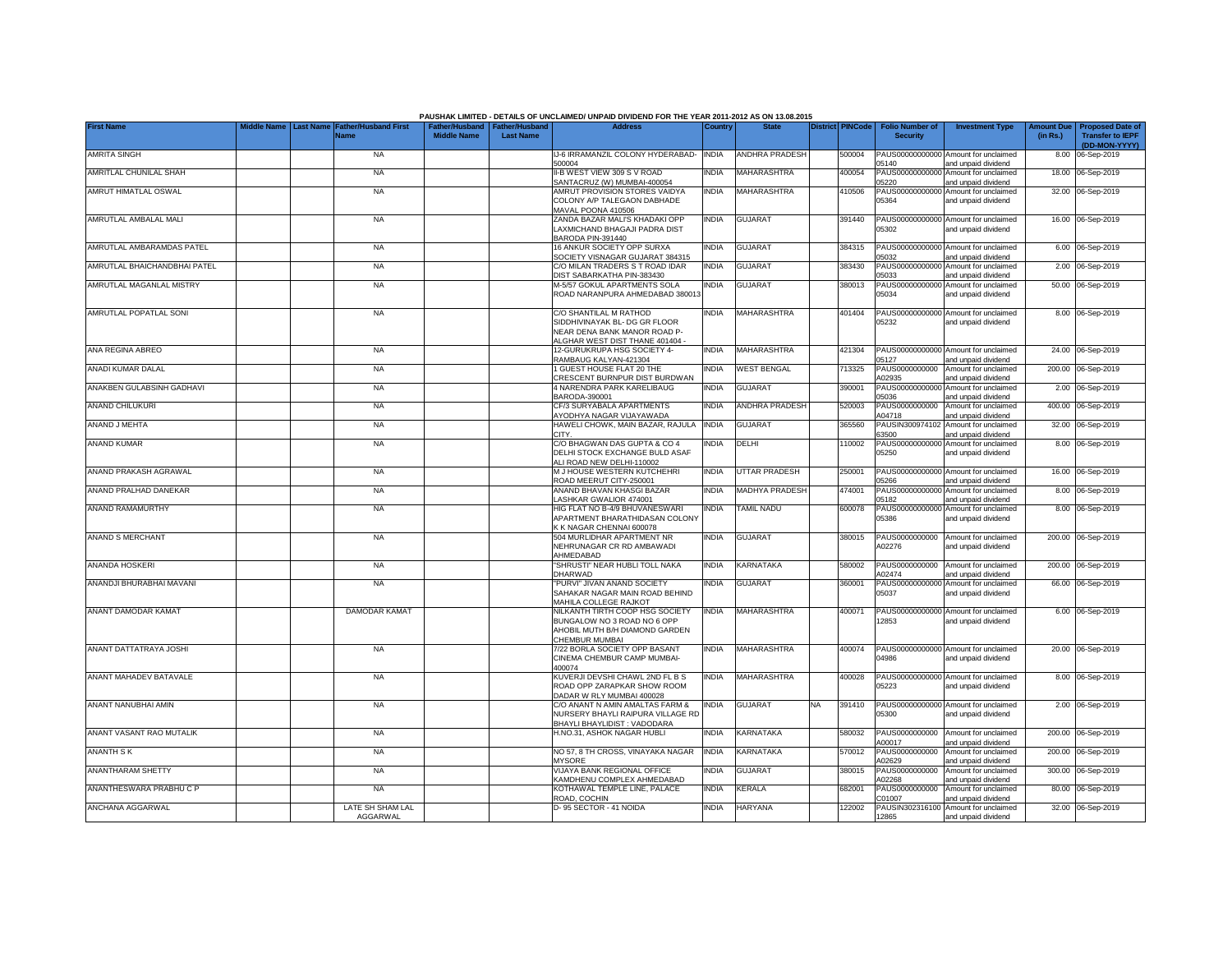|                              |                                |                                            |                                                       |                  | PAUSHAK LIMITED - DETAILS OF UNCLAIMED/ UNPAID DIVIDEND FOR THE YEAR 2011-2012 AS ON 13.08.2015                            |              |                    |                         |                                           |                                                             |                               |                                                                     |
|------------------------------|--------------------------------|--------------------------------------------|-------------------------------------------------------|------------------|----------------------------------------------------------------------------------------------------------------------------|--------------|--------------------|-------------------------|-------------------------------------------|-------------------------------------------------------------|-------------------------------|---------------------------------------------------------------------|
| <b>First Name</b>            | <b>Last Name</b><br>iddle Name | <b>Father/Husband First</b><br><b>Name</b> | Father/Husband   Father/Husband<br><b>Middle Name</b> | <b>Last Name</b> | <b>Address</b>                                                                                                             | Country      | <b>State</b>       | <b>District PINCode</b> | <b>Folio Number of</b><br><b>Security</b> | <b>Investment Type</b>                                      | <b>Amount Due</b><br>(in Rs.) | <b>Proposed Date of</b><br><b>Transfer to IEPF</b><br>(DD-MON-YYYY) |
| <b>AMRITA SINGH</b>          |                                | <b>NA</b>                                  |                                                       |                  | IJ-6 IRRAMANZIL COLONY HYDERABAD-<br>500004                                                                                | <b>INDIA</b> | ANDHRA PRADESH     | 500004                  | 05140                                     | PAUS00000000000 Amount for unclaimed<br>and unpaid dividend |                               | 8.00 06-Sep-2019                                                    |
| AMRITLAL CHUNILAL SHAH       |                                | <b>NA</b>                                  |                                                       |                  | II-B WEST VIEW 309 S V ROAD<br>SANTACRUZ (W) MUMBAI-400054                                                                 | <b>INDIA</b> | MAHARASHTRA        | 400054                  | 05220                                     | PAUS00000000000 Amount for unclaimed<br>and unpaid dividend |                               | 18.00 06-Sep-2019                                                   |
| AMRUT HIMATLAL OSWAL         |                                | <b>NA</b>                                  |                                                       |                  | AMRUT PROVISION STORES VAIDYA<br>COLONY A/P TALEGAON DABHADE<br>MAVAL POONA 410506                                         | <b>INDIA</b> | MAHARASHTRA        | 410506                  | 05364                                     | PAUS00000000000 Amount for unclaimed<br>and unpaid dividend |                               | 32.00 06-Sep-2019                                                   |
| AMRUTLAL AMBALAL MALI        |                                | <b>NA</b>                                  |                                                       |                  | ZANDA BAZAR MALI'S KHADAKI OPP<br>LAXMICHAND BHAGAJI PADRA DIST<br>BARODA PIN-391440                                       | <b>INDIA</b> | GUJARAT            | 391440                  | 05302                                     | PAUS00000000000 Amount for unclaimed<br>and unpaid dividend |                               | 16.00 06-Sep-2019                                                   |
| AMRUTLAL AMBARAMDAS PATEL    |                                | <b>NA</b>                                  |                                                       |                  | 16 ANKUR SOCIETY OPP SURXA<br>SOCIETY VISNAGAR GUJARAT 384315                                                              | <b>INDIA</b> | GUJARAT            | 384315                  | 15032                                     | PAUS00000000000 Amount for unclaimed<br>and unpaid dividend |                               | 6.00 06-Sep-2019                                                    |
| AMRUTLAL BHAICHANDBHAI PATEL |                                | <b>NA</b>                                  |                                                       |                  | C/O MILAN TRADERS S T ROAD IDAR<br>DIST SABARKATHA PIN-383430                                                              | <b>INDIA</b> | <b>GUJARAT</b>     | 383430                  | PAUS0000000000<br>05033                   | Amount for unclaimed<br>and unpaid dividend                 |                               | 2.00 06-Sep-2019                                                    |
| AMRUTLAL MAGANLAL MISTRY     |                                | <b>NA</b>                                  |                                                       |                  | M-5/57 GOKUL APARTMENTS SOLA<br>ROAD NARANPURA AHMEDABAD 38001:                                                            | INDIA        | <b>GUJARAT</b>     | 380013                  | 05034                                     | PAUS00000000000 Amount for unclaimed<br>and unpaid dividend |                               | 50.00 06-Sep-2019                                                   |
| AMRUTLAL POPATLAL SONI       |                                | <b>NA</b>                                  |                                                       |                  | C/O SHANTILAL M RATHOD<br>SIDDHIVINAYAK BL- DG GR FLOOR<br>NEAR DENA BANK MANOR ROAD P-<br>ALGHAR WEST DIST THANE 401404 - | <b>INDIA</b> | <b>MAHARASHTRA</b> | 401404                  | 05232                                     | PAUS00000000000 Amount for unclaimed<br>and unpaid dividend |                               | 8.00 06-Sep-2019                                                    |
| ANA REGINA ABREO             |                                | <b>NA</b>                                  |                                                       |                  | 12-GURUKRUPA HSG SOCIETY 4-<br>RAMBAUG KALYAN-421304                                                                       | <b>INDIA</b> | MAHARASHTRA        | 421304                  | 15127                                     | PAUS00000000000 Amount for unclaimed<br>and unpaid dividend | 24.00                         | 06-Sep-2019                                                         |
| ANADI KUMAR DALAL            |                                | <b>NA</b>                                  |                                                       |                  | 1 GUEST HOUSE FLAT 20 THE<br>CRESCENT BURNPUR DIST BURDWAN                                                                 | <b>INDIA</b> | <b>WEST BENGAL</b> | 713325                  | PAUS0000000000<br>402935                  | Amount for unclaimed<br>and unpaid dividend                 | 200.00                        | 06-Sep-2019                                                         |
| ANAKBEN GULABSINH GADHAVI    |                                | <b>NA</b>                                  |                                                       |                  | 4 NARENDRA PARK KARELIBAUG<br>BARODA-390001                                                                                | <b>INDIA</b> | <b>GUJARAT</b>     | 390001                  | 05036                                     | PAUS00000000000 Amount for unclaimed<br>and unpaid dividend |                               | 2.00 06-Sep-2019                                                    |
| ANAND CHILUKURI              |                                | <b>NA</b>                                  |                                                       |                  | CF/3 SURYABALA APARTMENTS<br>AYODHYA NAGAR VIJAYAWADA                                                                      | <b>INDIA</b> | ANDHRA PRADESH     | 520003                  | PAUS0000000000<br>A04718                  | Amount for unclaimed<br>and unpaid dividend                 |                               | 400.00 06-Sep-2019                                                  |
| ANAND J MEHTA                |                                | <b>NA</b>                                  |                                                       |                  | HAWELI CHOWK, MAIN BAZAR, RAJULA<br>CITY.                                                                                  | <b>INDIA</b> | <b>GUJARAT</b>     | 365560                  | PAUSIN300974102<br>63500                  | Amount for unclaimed<br>and unpaid dividend                 |                               | 32.00 06-Sep-2019                                                   |
| ANAND KUMAR                  |                                | <b>NA</b>                                  |                                                       |                  | C/O BHAGWAN DAS GUPTA & CO 4<br>DELHI STOCK EXCHANGE BULD ASAF<br>ALI ROAD NEW DELHI-110002                                | <b>INDIA</b> | DELHI              | 110002                  | 05250                                     | PAUS00000000000 Amount for unclaimed<br>and unpaid dividend |                               | 8.00 06-Sep-2019                                                    |
| ANAND PRAKASH AGRAWAL        |                                | <b>NA</b>                                  |                                                       |                  | M J HOUSE WESTERN KUTCHEHRI<br>ROAD MEERUT CITY-250001                                                                     | <b>INDIA</b> | UTTAR PRADESH      | 250001                  | 05266                                     | PAUS00000000000 Amount for unclaimed<br>and unpaid dividend |                               | 16.00 06-Sep-2019                                                   |
| ANAND PRALHAD DANEKAR        |                                | <b>NA</b>                                  |                                                       |                  | ANAND BHAVAN KHASGI BAZAR<br>LASHKAR GWALIOR 474001                                                                        | <b>INDIA</b> | MADHYA PRADESH     | 474001                  | PAUS00000000000<br>05182                  | Amount for unclaimed<br>and unpaid dividend                 | 8.00                          | 06-Sep-2019                                                         |
| ANAND RAMAMURTHY             |                                | <b>NA</b>                                  |                                                       |                  | HIG FLAT NO B-4/9 BHUVANESWARI<br>APARTMENT BHARATHIDASAN COLONY<br>K K NAGAR CHENNAI 600078                               | <b>INDIA</b> | <b>TAMIL NADU</b>  | 600078                  | PAUS0000000000<br>05386                   | Amount for unclaimed<br>and unpaid dividend                 |                               | 8.00 06-Sep-2019                                                    |
| ANAND S MERCHANT             |                                | <b>NA</b>                                  |                                                       |                  | 504 MURLIDHAR APARTMENT NR<br>NEHRUNAGAR CR RD AMBAWADI<br>AHMEDABAD                                                       | <b>INDIA</b> | <b>GUJARAT</b>     | 380015                  | PAUS0000000000<br>A02276                  | Amount for unclaimed<br>and unpaid dividend                 |                               | 200.00 06-Sep-2019                                                  |
| ANANDA HOSKERI               |                                | <b>NA</b>                                  |                                                       |                  | "SHRUSTI" NEAR HUBLI TOLL NAKA<br>DHARWAD                                                                                  | <b>INDIA</b> | KARNATAKA          | 580002                  | PAUS0000000000<br>A02474                  | Amount for unclaimed<br>and unpaid dividend                 |                               | 200.00 06-Sep-2019                                                  |
| ANANDJI BHURABHAI MAVANI     |                                | NA                                         |                                                       |                  | "PURVI" JIVAN ANAND SOCIETY<br>SAHAKAR NAGAR MAIN ROAD BEHIND<br>MAHILA COLLEGE RAJKOT                                     | INDIA        | GUJARAT            | 360001                  | PAUS00000000000<br>05037                  | Amount for unclaimed<br>and unpaid dividend                 |                               | 66.00 06-Sep-2019                                                   |
| ANANT DAMODAR KAMAT          |                                | <b>DAMODAR KAMAT</b>                       |                                                       |                  | NILKANTH TIRTH COOP HSG SOCIETY<br>BUNGALOW NO 3 ROAD NO 6 OPP<br>AHOBIL MUTH B/H DIAMOND GARDEN<br>CHEMBUR MUMBAI         | <b>INDIA</b> | MAHARASHTRA        | 400071                  | 12853                                     | PAUS00000000000 Amount for unclaimed<br>and unpaid dividend |                               | 6.00 06-Sep-2019                                                    |
| ANANT DATTATRAYA JOSHI       |                                | NA                                         |                                                       |                  | 7/22 BORLA SOCIETY OPP BASANT<br>CINEMA CHEMBUR CAMP MUMBAI-<br>400074                                                     | INDIA        | MAHARASHTRA        | 400074                  | 04986                                     | PAUS00000000000 Amount for unclaimed<br>and unpaid dividend |                               | 20.00 06-Sep-2019                                                   |
| ANANT MAHADEV BATAVALE       |                                | <b>NA</b>                                  |                                                       |                  | KUVERJI DEVSHI CHAWL 2ND FL B S<br>ROAD OPP ZARAPKAR SHOW ROOM<br>DADAR W RLY MUMBAI 400028                                | <b>INDIA</b> | MAHARASHTRA        | 400028                  | 05223                                     | PAUS00000000000 Amount for unclaimed<br>and unpaid dividend |                               | 8.00 06-Sep-2019                                                    |
| ANANT NANUBHAI AMIN          |                                | <b>NA</b>                                  |                                                       |                  | C/O ANANT N AMIN AMALTAS FARM &<br>NURSERY BHAYLI RAIPURA VILLAGE RD<br>BHAYLI BHAYLIDIST: VADODARA                        | <b>INDIA</b> | <b>GUJARAT</b>     | NA.<br>391410           | 05300                                     | PAUS00000000000 Amount for unclaimed<br>and unpaid dividend |                               | 2.00 06-Sep-2019                                                    |
| ANANT VASANT RAO MUTALIK     |                                | NA                                         |                                                       |                  | H.NO.31, ASHOK NAGAR HUBLI                                                                                                 | <b>INDIA</b> | KARNATAKA          | 580032                  | PAUS0000000000<br>A00017                  | Amount for unclaimed<br>and unpaid dividend                 |                               | 200.00 06-Sep-2019                                                  |
| <b>ANANTH SK</b>             |                                | NA                                         |                                                       |                  | NO 57, 8 TH CROSS, VINAYAKA NAGAR<br><b>MYSORE</b>                                                                         | <b>INDIA</b> | KARNATAKA          | 570012                  | PAUS0000000000<br>402629                  | Amount for unclaimed<br>and unpaid dividend                 |                               | 200.00 06-Sep-2019                                                  |
| ANANTHARAM SHETTY            |                                | <b>NA</b>                                  |                                                       |                  | VIJAYA BANK REGIONAL OFFICE<br>KAMDHENU COMPLEX AHMEDABAD                                                                  | INDIA        | <b>GUJARAT</b>     | 380015                  | PAUS0000000000<br>402268                  | Amount for unclaimed<br>and unpaid dividend                 |                               | 300.00 06-Sep-2019                                                  |
| ANANTHESWARA PRABHU C P      |                                | NA                                         |                                                       |                  | KOTHAWAL TEMPLE LINE, PALACE<br>ROAD, COCHIN                                                                               | <b>INDIA</b> | KERALA             | 682001                  | PAUS0000000000<br>C01007                  | Amount for unclaimed<br>and unpaid dividend                 |                               | 80.00 06-Sep-2019                                                   |
| ANCHANA AGGARWAL             |                                | LATE SH SHAM LAL<br>AGGARWAL               |                                                       |                  | D-95 SECTOR - 41 NOIDA                                                                                                     | <b>INDIA</b> | <b>HARYANA</b>     | 122002                  | 12865                                     | PAUSIN302316100 Amount for unclaimed<br>and unpaid dividend |                               | 32.00 06-Sep-2019                                                   |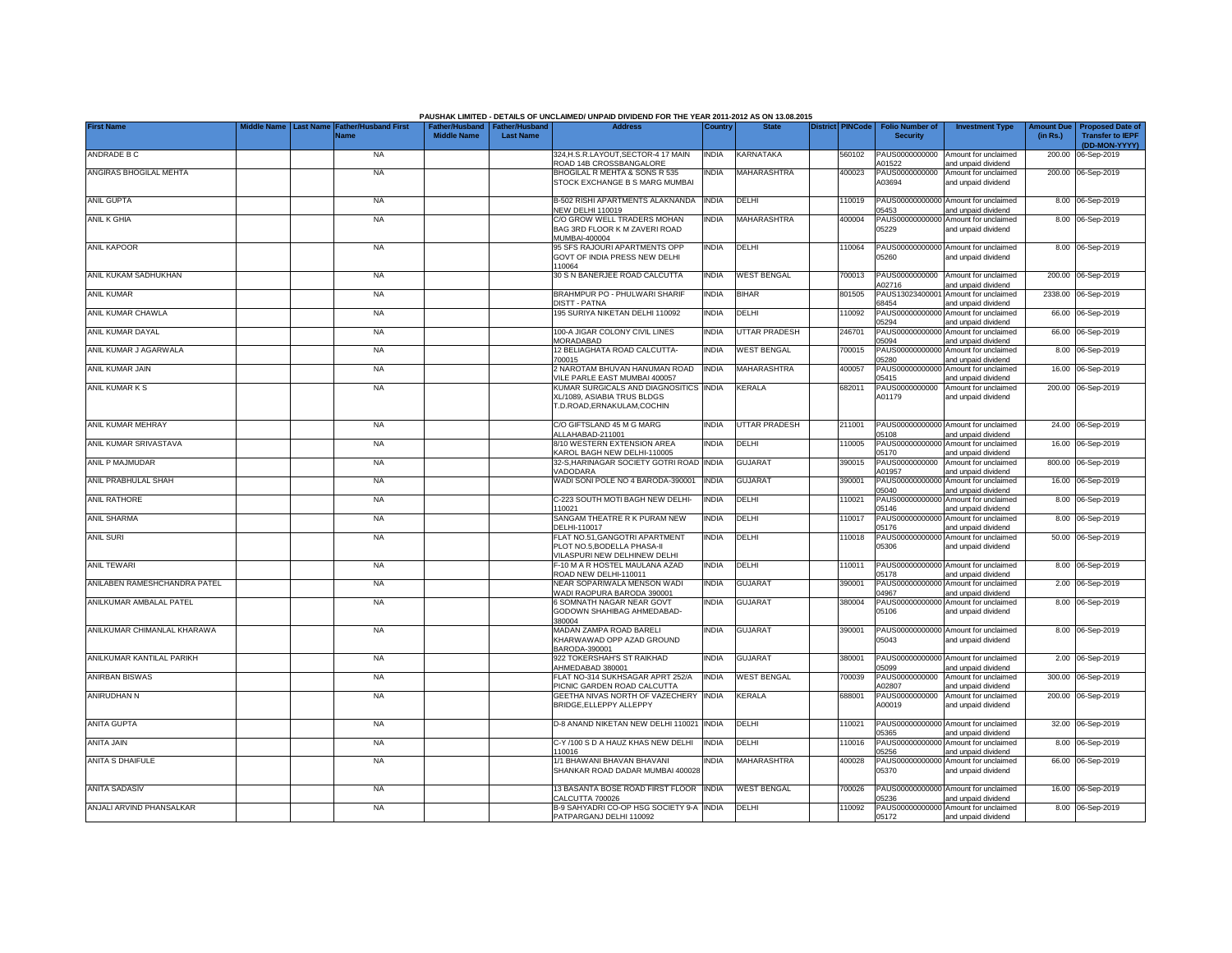|                              |                                |                                     |                                                       |                  | PAUSHAK LIMITED - DETAILS OF UNCLAIMED/ UNPAID DIVIDEND FOR THE YEAR 2011-2012 AS ON 13.08.2015      |              |                      |                         |                                           |                                                             |                               |                                                                     |
|------------------------------|--------------------------------|-------------------------------------|-------------------------------------------------------|------------------|------------------------------------------------------------------------------------------------------|--------------|----------------------|-------------------------|-------------------------------------------|-------------------------------------------------------------|-------------------------------|---------------------------------------------------------------------|
| <b>First Name</b>            | <b>Last Name</b><br>iddle Name | <b>Father/Husband First</b><br>Name | Father/Husband   Father/Husband<br><b>Middle Name</b> | <b>Last Name</b> | <b>Address</b>                                                                                       | Country      | <b>State</b>         | <b>District PINCode</b> | <b>Folio Number of</b><br><b>Security</b> | <b>Investment Type</b>                                      | <b>Amount Due</b><br>(in Rs.) | <b>Proposed Date of</b><br><b>Transfer to IEPF</b><br>(DD-MON-YYYY) |
| ANDRADE B C                  |                                | <b>NA</b>                           |                                                       |                  | 324, H.S.R.LAYOUT, SECTOR-4 17 MAIN<br>ROAD 14B CROSSBANGALORE                                       | <b>INDIA</b> | KARNATAKA            | 560102                  | PAUS0000000000<br>A01522                  | Amount for unclaimed<br>and unpaid dividend                 |                               | 200.00 06-Sep-2019                                                  |
| ANGIRAS BHOGILAL MEHTA       |                                | <b>NA</b>                           |                                                       |                  | BHOGILAL R MEHTA & SONS R 535<br>STOCK EXCHANGE B S MARG MUMBAI                                      | <b>INDIA</b> | MAHARASHTRA          | 400023                  | PAUS0000000000<br>A03694                  | Amount for unclaimed<br>and unpaid dividend                 |                               | 200.00 06-Sep-2019                                                  |
| <b>ANIL GUPTA</b>            |                                | <b>NA</b>                           |                                                       |                  | B-502 RISHI APARTMENTS ALAKNANDA<br>NEW DELHI 110019                                                 | <b>INDIA</b> | DELHI                | 110019                  | 05453                                     | PAUS00000000000 Amount for unclaimed<br>and unpaid dividend |                               | 8.00 06-Sep-2019                                                    |
| ANIL K GHIA                  |                                | <b>NA</b>                           |                                                       |                  | C/O GROW WELL TRADERS MOHAN<br>BAG 3RD FLOOR K M ZAVERI ROAD<br>MUMBAI-400004                        | <b>INDIA</b> | MAHARASHTRA          | 400004                  | PAUS00000000000<br>05229                  | Amount for unclaimed<br>and unpaid dividend                 |                               | 8.00 06-Sep-2019                                                    |
| <b>ANIL KAPOOR</b>           |                                | <b>NA</b>                           |                                                       |                  | 95 SFS RAJOURI APARTMENTS OPP<br>GOVT OF INDIA PRESS NEW DELHI<br>10064                              | <b>INDIA</b> | DELHI                | 110064                  | 05260                                     | PAUS00000000000 Amount for unclaimed<br>and unpaid dividend |                               | 8.00 06-Sep-2019                                                    |
| ANIL KUKAM SADHUKHAN         |                                | <b>NA</b>                           |                                                       |                  | 30 S N BANERJEE ROAD CALCUTTA                                                                        | <b>INDIA</b> | <b>WEST BENGAL</b>   | 700013                  | PAUS0000000000<br>102716                  | Amount for unclaimed<br>and unpaid dividend                 |                               | 200.00 06-Sep-2019                                                  |
| ANIL KUMAR                   |                                | <b>NA</b>                           |                                                       |                  | BRAHMPUR PO - PHULWARI SHARIF<br><b>JISTT - PATNA</b>                                                | <b>INDIA</b> | <b>BIHAR</b>         | 801505                  | PAUS1302340000<br>38454                   | Amount for unclaimed<br>and unpaid dividend                 |                               | 2338.00 06-Sep-2019                                                 |
| ANIL KUMAR CHAWLA            |                                | <b>NA</b>                           |                                                       |                  | 195 SURIYA NIKETAN DELHI 110092                                                                      | <b>INDIA</b> | DELHI                | 110092                  | PAUS0000000000<br>05294                   | Amount for unclaimed<br>and unpaid dividend                 |                               | 66.00 06-Sep-2019                                                   |
| ANIL KUMAR DAYAL             |                                | <b>NA</b>                           |                                                       |                  | 100-A JIGAR COLONY CIVIL LINES<br>MORADABAD                                                          | <b>INDIA</b> | <b>UTTAR PRADESH</b> | 246701                  | PAUS00000000000<br>05094                  | Amount for unclaimed<br>and unpaid dividend                 |                               | 66.00 06-Sep-2019                                                   |
| ANIL KUMAR J AGARWALA        |                                | <b>NA</b>                           |                                                       |                  | 12 BELIAGHATA ROAD CALCUTTA-<br>700015                                                               | <b>INDIA</b> | <b>WEST BENGAL</b>   | 700015                  | PAUS00000000000<br>05280                  | Amount for unclaimed<br>and unpaid dividend                 |                               | 8.00 06-Sep-2019                                                    |
| ANIL KUMAR JAIN              |                                | <b>NA</b>                           |                                                       |                  | 2 NAROTAM BHUVAN HANUMAN ROAD<br>/ILE PARLE EAST MUMBAI 400057                                       | <b>INDIA</b> | MAHARASHTRA          | 400057                  | PAUS00000000000<br>05415                  | Amount for unclaimed<br>and unpaid dividend                 |                               | 16.00 06-Sep-2019                                                   |
| ANIL KUMAR K S               |                                | <b>NA</b>                           |                                                       |                  | KUMAR SURGICALS AND DIAGNOSITICS INDIA<br>XL/1089, ASIABIA TRUS BLDGS<br>T.D.ROAD, ERNAKULAM, COCHIN |              | <b>KERALA</b>        | 682011                  | PAUS0000000000<br>A01179                  | Amount for unclaimed<br>and unpaid dividend                 |                               | 200.00 06-Sep-2019                                                  |
| ANIL KUMAR MEHRAY            |                                | <b>NA</b>                           |                                                       |                  | C/O GIFTSLAND 45 M G MARG<br>ALLAHABAD-211001                                                        | <b>INDIA</b> | UTTAR PRADESH        | 211001                  | 05108                                     | PAUS00000000000 Amount for unclaimed<br>and unpaid dividend |                               | 24.00 06-Sep-2019                                                   |
| ANIL KUMAR SRIVASTAVA        |                                | <b>NA</b>                           |                                                       |                  | 8/10 WESTERN EXTENSION AREA<br>KAROL BAGH NEW DELHI-110005                                           | <b>INDIA</b> | DELHI                | 110005                  | PAUS0000000000<br>05170                   | Amount for unclaimed<br>and unpaid dividend                 | 16.00                         | 06-Sep-2019                                                         |
| ANIL P MAJMUDAR              |                                | <b>NA</b>                           |                                                       |                  | 32-S, HARINAGAR SOCIETY GOTRI ROAD<br>VADODARA                                                       | <b>INDIA</b> | <b>GUJARAT</b>       | 390015                  | PAUS0000000000<br>A01957                  | Amount for unclaimed<br>and unpaid dividend                 |                               | 800.00 06-Sep-2019                                                  |
| ANIL PRABHULAL SHAH          |                                | <b>NA</b>                           |                                                       |                  | WADI SONI POLE NO 4 BARODA-390001                                                                    | <b>INDIA</b> | <b>GUJARAT</b>       | 390001                  | PAUS0000000000<br>05040                   | Amount for unclaimed<br>and unpaid dividend                 |                               | 16.00 06-Sep-2019                                                   |
| <b>ANIL RATHORE</b>          |                                | <b>NA</b>                           |                                                       |                  | C-223 SOUTH MOTI BAGH NEW DELHI-<br>110021                                                           | INDIA        | DELHI                | 110021                  | PAUS0000000000<br>05146                   | Amount for unclaimed<br>and unpaid dividend                 | 8.00                          | 06-Sep-2019                                                         |
| ANIL SHARMA                  |                                | <b>NA</b>                           |                                                       |                  | SANGAM THEATRE R K PURAM NEW<br>DELHI-110017                                                         | <b>INDIA</b> | DELHI                | 110017                  | PAUS0000000000<br>05176                   | Amount for unclaimed<br>and unpaid dividend                 |                               | 8.00 06-Sep-2019                                                    |
| <b>ANIL SURI</b>             |                                | <b>NA</b>                           |                                                       |                  | FLAT NO.51, GANGOTRI APARTMENT<br>PLOT NO.5, BODELLA PHASA-II<br>VILASPURI NEW DELHINEW DELHI        | <b>INDIA</b> | DELHI                | 110018                  | PAUS00000000000<br>05306                  | Amount for unclaimed<br>and unpaid dividend                 |                               | 50.00 06-Sep-2019                                                   |
| <b>ANIL TEWARI</b>           |                                | <b>NA</b>                           |                                                       |                  | F-10 M A R HOSTEL MAULANA AZAD<br>ROAD NEW DELHI-110011                                              | <b>INDIA</b> | DELHI                | 110011                  | 05178                                     | PAUS00000000000 Amount for unclaimed<br>and unpaid dividend |                               | 8.00 06-Sep-2019                                                    |
| ANILABEN RAMESHCHANDRA PATEL |                                | <b>NA</b>                           |                                                       |                  | NEAR SOPARIWALA MENSON WADI<br>WADI RAOPURA BARODA 390001                                            | <b>INDIA</b> | GUJARAT              | 390001                  | PAUS00000000000<br>04967                  | Amount for unclaimed<br>and unpaid dividend                 |                               | 2.00 06-Sep-2019                                                    |
| ANILKUMAR AMBALAL PATEL      |                                | <b>NA</b>                           |                                                       |                  | 6 SOMNATH NAGAR NEAR GOVT<br>GODOWN SHAHIBAG AHMEDABAD-<br>380004                                    | INDIA        | GUJARAT              | 380004                  | PAUS00000000000<br>05106                  | Amount for unclaimed<br>and unpaid dividend                 |                               | 8.00 06-Sep-2019                                                    |
| ANILKUMAR CHIMANLAL KHARAWA  |                                | <b>NA</b>                           |                                                       |                  | MADAN ZAMPA ROAD BARELI<br>KHARWAWAD OPP AZAD GROUND<br>BARODA-390001                                | <b>INDIA</b> | GUJARAT              | 390001                  | 05043                                     | PAUS00000000000 Amount for unclaimed<br>and unpaid dividend |                               | 8.00 06-Sep-2019                                                    |
| ANILKUMAR KANTILAL PARIKH    |                                | <b>NA</b>                           |                                                       |                  | 922 TOKERSHAH'S ST RAIKHAD<br>AHMEDABAD 380001                                                       | <b>INDIA</b> | <b>GUJARAT</b>       | 380001                  | 05099                                     | PAUS00000000000 Amount for unclaimed<br>and unpaid dividend |                               | 2.00 06-Sep-2019                                                    |
| <b>ANIRBAN BISWAS</b>        |                                | <b>NA</b>                           |                                                       |                  | FLAT NO-314 SUKHSAGAR APRT 252/A<br>PICNIC GARDEN ROAD CALCUTTA                                      | <b>INDIA</b> | <b>WEST BENGAL</b>   | 700039                  | PAUS0000000000<br>402807                  | Amount for unclaimed<br>and unpaid dividend                 |                               | 300.00 06-Sep-2019                                                  |
| ANIRUDHAN N                  |                                | <b>NA</b>                           |                                                       |                  | GEETHA NIVAS NORTH OF VAZECHERY INDIA<br>BRIDGE, ELLEPPY ALLEPPY                                     |              | <b>KERALA</b>        | 688001                  | PAUS0000000000<br>A00019                  | Amount for unclaimed<br>and unpaid dividend                 |                               | 200.00 06-Sep-2019                                                  |
| <b>ANITA GUPTA</b>           |                                | <b>NA</b>                           |                                                       |                  | D-8 ANAND NIKETAN NEW DELHI 110021                                                                   | <b>INDIA</b> | DELHI                | 110021                  | 05365                                     | PAUS00000000000 Amount for unclaimed<br>and unpaid dividend |                               | 32.00 06-Sep-2019                                                   |
| ANITA JAIN                   |                                | <b>NA</b>                           |                                                       |                  | C-Y /100 S D A HAUZ KHAS NEW DELHI<br>110016                                                         | <b>INDIA</b> | DELHI                | 110016                  | 05256                                     | PAUS00000000000 Amount for unclaimed<br>and unpaid dividend |                               | 8.00 06-Sep-2019                                                    |
| ANITA S DHAIFULE             |                                | <b>NA</b>                           |                                                       |                  | 1/1 BHAWANI BHAVAN BHAVANI<br>SHANKAR ROAD DADAR MUMBAI 400028                                       | <b>INDIA</b> | MAHARASHTRA          | 400028                  | 05370                                     | PAUS00000000000 Amount for unclaimed<br>and unpaid dividend |                               | 66.00 06-Sep-2019                                                   |
| <b>ANITA SADASIV</b>         |                                | <b>NA</b>                           |                                                       |                  | 13 BASANTA BOSE ROAD FIRST FLOOR INDIA<br>CALCUTTA 700026                                            |              | <b>WEST BENGAL</b>   | 700026                  | 05236                                     | PAUS00000000000 Amount for unclaimed<br>and unpaid dividend |                               | 16.00 06-Sep-2019                                                   |
| ANJALI ARVIND PHANSALKAR     |                                | <b>NA</b>                           |                                                       |                  | B-9 SAHYADRI CO-OP HSG SOCIETY 9-A INDIA<br>PATPARGANJ DELHI 110092                                  |              | DELHI                | 110092                  | 05172                                     | PAUS00000000000 Amount for unclaimed<br>and unpaid dividend |                               | 8.00 06-Sep-2019                                                    |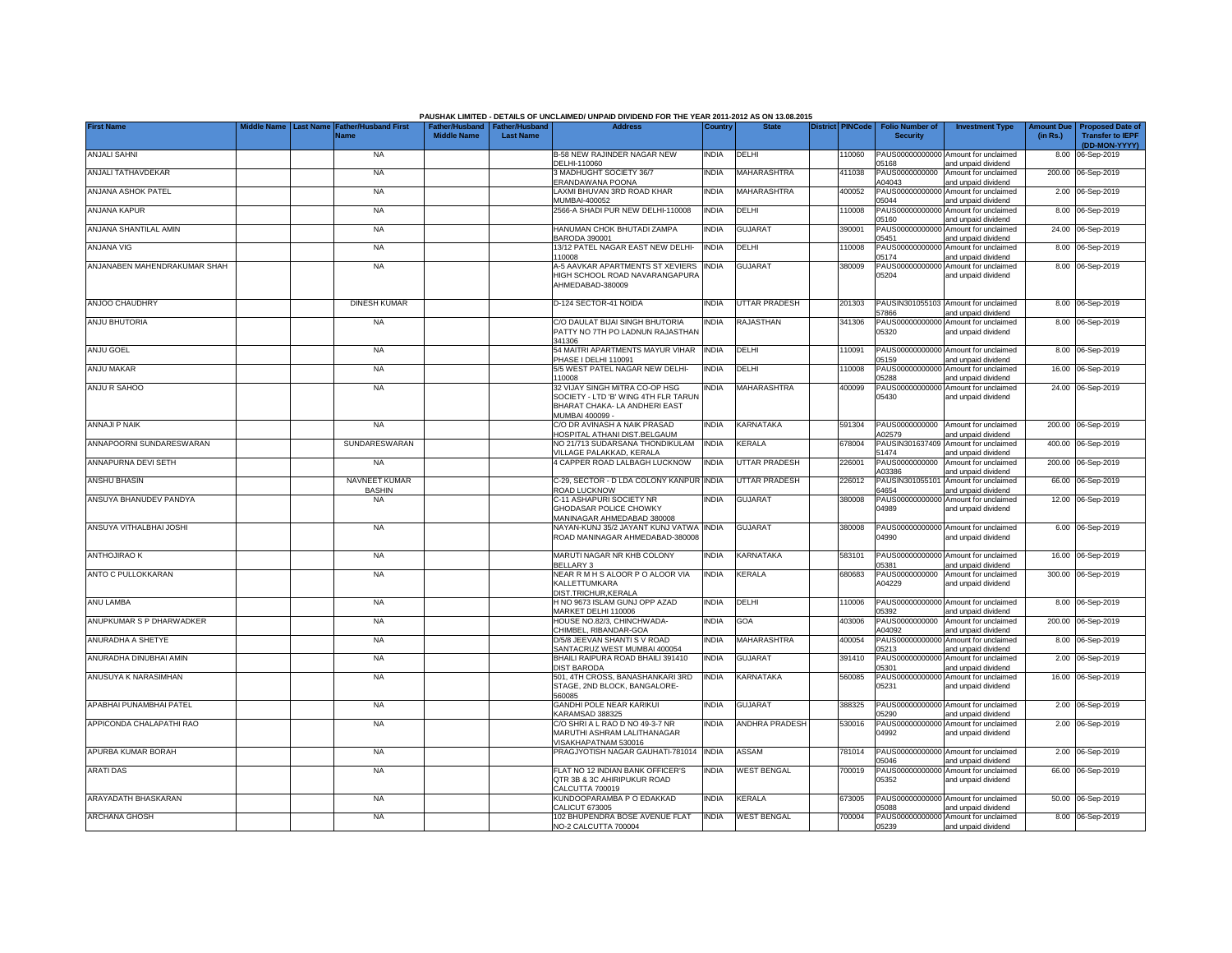|                              |                  |                                     |                    |                                                     | PAUSHAK LIMITED - DETAILS OF UNCLAIMED/ UNPAID DIVIDEND FOR THE YEAR 2011-2012 AS ON 13.08.2015                           |              |                       |                         |                                           |                                                             |                               |                                                                     |
|------------------------------|------------------|-------------------------------------|--------------------|-----------------------------------------------------|---------------------------------------------------------------------------------------------------------------------------|--------------|-----------------------|-------------------------|-------------------------------------------|-------------------------------------------------------------|-------------------------------|---------------------------------------------------------------------|
| <b>First Name</b>            | <b>Last Name</b> | <b>Father/Husband First</b><br>Name | <b>Middle Name</b> | Father/Husband   Father/Husband<br><b>Last Name</b> | <b>Address</b>                                                                                                            | Country      | <b>State</b>          | <b>District PINCode</b> | <b>Folio Number of</b><br><b>Security</b> | <b>Investment Type</b>                                      | <b>Amount Due</b><br>(in Rs.) | <b>Proposed Date of</b><br><b>Transfer to IEPF</b><br>(DD-MON-YYYY) |
| <b>ANJALI SAHNI</b>          |                  | <b>NA</b>                           |                    |                                                     | B-58 NEW RAJINDER NAGAR NEW<br>DELHI-110060                                                                               | <b>INDIA</b> | DELHI                 | 110060                  | 05168                                     | PAUS00000000000 Amount for unclaimed<br>and unpaid dividend |                               | 8.00 06-Sep-2019                                                    |
| ANJALI TATHAVDEKAR           |                  | <b>NA</b>                           |                    |                                                     | 3 MADHUGHT SOCIETY 36/7<br>ERANDAWANA POONA                                                                               | <b>INDIA</b> | MAHARASHTRA           | 411038                  | PAUS0000000000<br>A04043                  | Amount for unclaimed<br>and unpaid dividend                 |                               | 200.00 06-Sep-2019                                                  |
| ANJANA ASHOK PATEL           |                  | <b>NA</b>                           |                    |                                                     | LAXMI BHUVAN 3RD ROAD KHAR<br>MUMBAI-400052                                                                               | India        | MAHARASHTRA           | 400052                  | PAUS000<br>2000000<br>05044               | Amount for unclaimed<br>and unpaid dividend                 |                               | 2.00 06-Sep-2019                                                    |
| ANJANA KAPUR                 |                  | <b>NA</b>                           |                    |                                                     | 2566-A SHADI PUR NEW DELHI-110008                                                                                         | <b>INDIA</b> | DELHI                 | 10008                   | PAUS0000000000<br>05160                   | Amount for unclaimed<br>and unpaid dividend                 |                               | 8.00 06-Sep-2019                                                    |
| ANJANA SHANTILAL AMIN        |                  | <b>NA</b>                           |                    |                                                     | HANUMAN CHOK BHUTADI ZAMPA<br>BARODA 390001                                                                               | <b>INDIA</b> | <b>GUJARAT</b>        | 390001                  | PAUS00000000000<br>05451                  | Amount for unclaimed<br>and unpaid dividend                 |                               | 24.00 06-Sep-2019                                                   |
| <b>ANJANA VIG</b>            |                  | <b>NA</b>                           |                    |                                                     | 13/12 PATEL NAGAR EAST NEW DELHI-<br>110008                                                                               | <b>INDIA</b> | DELHI                 | 110008                  | PAUS00000000000<br>05174                  | Amount for unclaimed<br>and unpaid dividend                 |                               | 8.00 06-Sep-2019                                                    |
| ANJANABEN MAHENDRAKUMAR SHAH |                  | <b>NA</b>                           |                    |                                                     | A-5 AAVKAR APARTMENTS ST XEVIERS INDIA<br>HIGH SCHOOL ROAD NAVARANGAPURA<br>AHMEDABAD-380009                              |              | <b>GUJARAT</b>        | 380009                  | PAUS00000000000<br>05204                  | Amount for unclaimed<br>and unpaid dividend                 |                               | 8.00 06-Sep-2019                                                    |
| <b>ANJOO CHAUDHRY</b>        |                  | <b>DINESH KUMAR</b>                 |                    |                                                     | D-124 SECTOR-41 NOIDA                                                                                                     | <b>INDIA</b> | <b>UTTAR PRADESH</b>  | 201303                  | PAUSIN301055103<br>57866                  | Amount for unclaimed<br>and unpaid dividend                 |                               | 8.00 06-Sep-2019                                                    |
| <b>ANJU BHUTORIA</b>         |                  | <b>NA</b>                           |                    |                                                     | C/O DAULAT BIJAI SINGH BHUTORIA<br>PATTY NO 7TH PO LADNUN RAJASTHAN<br>341306                                             | INDIA        | <b>RAJASTHAN</b>      | 341306                  | PAUS0000000000<br>05320                   | Amount for unclaimed<br>and unpaid dividend                 |                               | 8.00 06-Sep-2019                                                    |
| <b>ANJU GOEL</b>             |                  | <b>NA</b>                           |                    |                                                     | 54 MAITRI APARTMENTS MAYUR VIHAR<br>PHASE I DELHI 110091                                                                  | <b>INDIA</b> | DELHI                 | 110091                  | 05159                                     | PAUS00000000000 Amount for unclaimed<br>and unpaid dividend |                               | 8.00 06-Sep-2019                                                    |
| ANJU MAKAR                   |                  | <b>NA</b>                           |                    |                                                     | 5/5 WEST PATEL NAGAR NEW DELHI-<br>110008                                                                                 | <b>INDIA</b> | DELHI                 | 110008                  | PAUS00000000000<br>05288                  | Amount for unclaimed<br>and unpaid dividend                 |                               | 16.00 06-Sep-2019                                                   |
| ANJU R SAHOO                 |                  | <b>NA</b>                           |                    |                                                     | 32 VIJAY SINGH MITRA CO-OP HSG<br>SOCIETY - LTD 'B' WING 4TH FLR TARUN<br>BHARAT CHAKA-LA ANDHERI EAST<br>MUMBAI 400099 - | <b>INDIA</b> | MAHARASHTRA           | 400099                  | PAUS0000000000<br>05430                   | Amount for unclaimed<br>and unpaid dividend                 |                               | 24.00 06-Sep-2019                                                   |
| <b>ANNAJI P NAIK</b>         |                  | <b>NA</b>                           |                    |                                                     | C/O DR AVINASH A NAIK PRASAD<br>HOSPITAL ATHANI DIST.BELGAUM                                                              | <b>INDIA</b> | KARNATAKA             | 591304                  | A02579                                    | PAUS0000000000 Amount for unclaimed<br>and unpaid dividend  |                               | 200.00 06-Sep-2019                                                  |
| ANNAPOORNI SUNDARESWARAN     |                  | SUNDARESWARAN                       |                    |                                                     | NO 21/713 SUDARSANA THONDIKULAM<br>VILLAGE PALAKKAD, KERALA                                                               | <b>INDIA</b> | KERALA                | 678004                  | 51474                                     | PAUSIN301637409 Amount for unclaimed<br>and unpaid dividend |                               | 400.00 06-Sep-2019                                                  |
| ANNAPURNA DEVI SETH          |                  | <b>NA</b>                           |                    |                                                     | 4 CAPPER ROAD LALBAGH LUCKNOW                                                                                             | <b>INDIA</b> | <b>UTTAR PRADESH</b>  | 226001                  | PAUS0000000000<br>A03386                  | Amount for unclaimed<br>and unpaid dividend                 |                               | 200.00 06-Sep-2019                                                  |
| ANSHU BHASIN                 |                  | NAVNEET KUMAR<br><b>BASHIN</b>      |                    |                                                     | C-29, SECTOR - D LDA COLONY KANPUR INDIA<br>ROAD LUCKNOW                                                                  |              | <b>UTTAR PRADESH</b>  | 226012                  | PAUSIN301055101<br>64654                  | Amount for unclaimed<br>and unpaid dividend                 |                               | 66.00 06-Sep-2019                                                   |
| ANSUYA BHANUDEV PANDYA       |                  | <b>NA</b>                           |                    |                                                     | C-11 ASHAPURI SOCIETY NR<br>GHODASAR POLICE CHOWKY<br>MANINAGAR AHMEDABAD 380008                                          | <b>INDIA</b> | <b>GUJARAT</b>        | 380008                  | PAUS00000000000<br>04989                  | Amount for unclaimed<br>and unpaid dividend                 |                               | 12.00 06-Sep-2019                                                   |
| ANSUYA VITHALBHAI JOSHI      |                  | <b>NA</b>                           |                    |                                                     | NAYAN-KUNJ 35/2 JAYANT KUNJ VATWA INDIA<br>ROAD MANINAGAR AHMEDABAD-380008                                                |              | <b>GUJARAT</b>        | 380008                  | 04990                                     | PAUS00000000000 Amount for unclaimed<br>and unpaid dividend |                               | 6.00 06-Sep-2019                                                    |
| <b>ANTHOJIRAO K</b>          |                  | <b>NA</b>                           |                    |                                                     | MARUTI NAGAR NR KHB COLONY<br>BELLARY 3                                                                                   | <b>INDIA</b> | KARNATAKA             | 583101                  | 05381                                     | PAUS00000000000 Amount for unclaimed<br>and unpaid dividend |                               | 16.00 06-Sep-2019                                                   |
| ANTO C PULLOKKARAN           |                  | <b>NA</b>                           |                    |                                                     | NEAR R M H S ALOOR P O ALOOR VIA<br>KALLETTUMKARA<br>DIST.TRICHUR.KERALA                                                  | <b>INDIA</b> | KERALA                | 680683                  | PAUS0000000000<br>A04229                  | Amount for unclaimed<br>and unpaid dividend                 |                               | 300.00 06-Sep-2019                                                  |
| ANU LAMBA                    |                  | <b>NA</b>                           |                    |                                                     | H NO 9673 ISLAM GUNJ OPP AZAD<br>MARKET DELHI 110006                                                                      | <b>INDIA</b> | DELHI                 | 110006                  | PAUS00000000000<br>05392                  | Amount for unclaimed<br>and unpaid dividend                 |                               | 8.00 06-Sep-2019                                                    |
| ANUPKUMAR S P DHARWADKER     |                  | <b>NA</b>                           |                    |                                                     | HOUSE NO.82/3, CHINCHWADA-<br>CHIMBEL, RIBANDAR-GOA                                                                       | <b>INDIA</b> | GOA                   | 403006                  | PAUS0000000000<br>A04092                  | Amount for unclaimed<br>and unpaid dividend                 |                               | 200.00 06-Sep-2019                                                  |
| ANURADHA A SHETYE            |                  | <b>NA</b>                           |                    |                                                     | D/5/8 JEEVAN SHANTI S V ROAD<br>SANTACRUZ WEST MUMBAI 400054                                                              | INDIA        | <b>MAHARASHTRA</b>    | 400054                  | 05213                                     | PAUS00000000000 Amount for unclaimed<br>and unpaid dividend |                               | 8.00 06-Sep-2019                                                    |
| ANURADHA DINUBHAI AMIN       |                  | <b>NA</b>                           |                    |                                                     | BHAILI RAIPURA ROAD BHAILI 391410<br><b>DIST BARODA</b>                                                                   | <b>INDIA</b> | <b>GUJARAT</b>        | 391410                  | 05301                                     | PAUS00000000000 Amount for unclaimed<br>and unpaid dividend |                               | 2.00 06-Sep-2019                                                    |
| ANUSUYA K NARASIMHAN         |                  | <b>NA</b>                           |                    |                                                     | 501, 4TH CROSS, BANASHANKARI 3RD<br>STAGE, 2ND BLOCK, BANGALORE-<br>560085                                                | <b>INDIA</b> | <b>KARNATAKA</b>      | 560085                  | 05231                                     | PAUS00000000000 Amount for unclaimed<br>and unpaid dividend |                               | 16.00 06-Sep-2019                                                   |
| APABHAI PUNAMBHAI PATEL      |                  | <b>NA</b>                           |                    |                                                     | GANDHI POLE NEAR KARIKUI<br>KARAMSAD 388325                                                                               | India        | <b>GUJARAT</b>        | 388325                  | PAUS0000000000<br>05290                   | Amount for unclaimed<br>and unpaid dividend                 |                               | 2.00 06-Sep-2019                                                    |
| APPICONDA CHALAPATHI RAO     |                  | <b>NA</b>                           |                    |                                                     | C/O SHRI A L RAO D NO 49-3-7 NR<br>MARUTHI ASHRAM LALITHANAGAR<br>VISAKHAPATNAM 530016                                    | <b>INDIA</b> | <b>ANDHRA PRADESH</b> | 530016                  | PAUS0000000000<br>04992                   | Amount for unclaimed<br>and unpaid dividend                 |                               | 2.00 06-Sep-2019                                                    |
| APURBA KUMAR BORAH           |                  | <b>NA</b>                           |                    |                                                     | PRAGJYOTISH NAGAR GAUHATI-781014 INDIA                                                                                    |              | ASSAM                 | 781014                  | 05046                                     | PAUS00000000000 Amount for unclaimed<br>and unpaid dividend |                               | 2.00 06-Sep-2019                                                    |
| <b>ARATI DAS</b>             |                  | <b>NA</b>                           |                    |                                                     | FLAT NO 12 INDIAN BANK OFFICER'S<br>QTR 3B & 3C AHIRIPUKUR ROAD<br>CALCUTTA 700019                                        | <b>INDIA</b> | <b>WEST BENGAL</b>    | 700019                  | PAUS00000000000<br>05352                  | Amount for unclaimed<br>and unpaid dividend                 |                               | 66.00 06-Sep-2019                                                   |
| ARAYADATH BHASKARAN          |                  | <b>NA</b>                           |                    |                                                     | KUNDOOPARAMBA P O EDAKKAD<br>CALICUT 673005                                                                               | India        | KERALA                | 673005                  | 05088                                     | PAUS00000000000 Amount for unclaimed<br>and unpaid dividend |                               | 50.00 06-Sep-2019                                                   |
| <b>ARCHANA GHOSH</b>         |                  | <b>NA</b>                           |                    |                                                     | 102 BHUPENDRA BOSE AVENUE FLAT<br>NO-2 CALCUTTA 700004                                                                    | <b>INDIA</b> | <b>WEST BENGAL</b>    | 700004                  | 05239                                     | PAUS00000000000 Amount for unclaimed<br>and unpaid dividend |                               | 8.00 06-Sep-2019                                                    |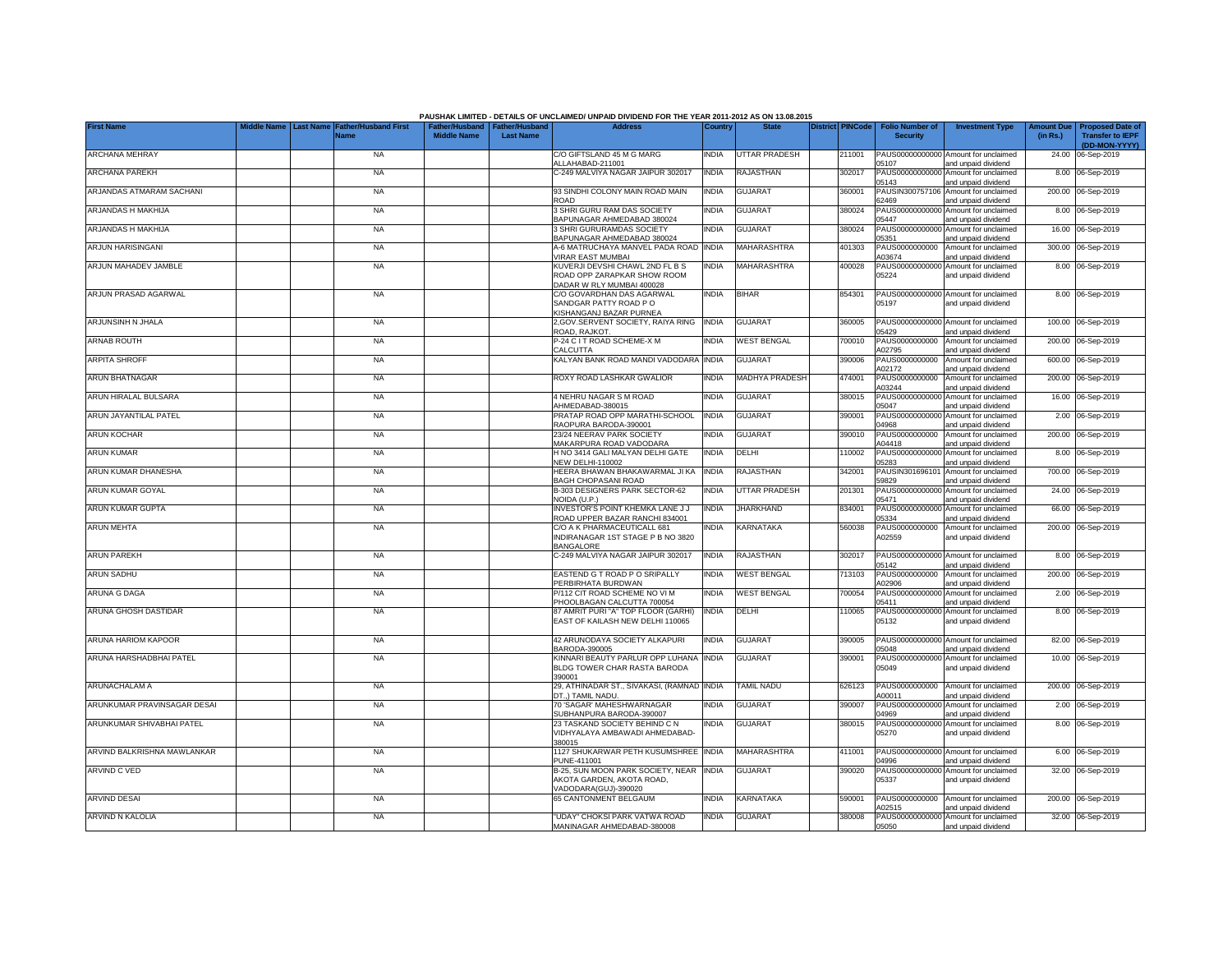|                             |                                                         |                    |                                                     | PAUSHAK LIMITED - DETAILS OF UNCLAIMED/ UNPAID DIVIDEND FOR THE YEAR 2011-2012 AS ON 13.08.2015 |              |                       |                         |                                           |                                                             |                               |                                                    |
|-----------------------------|---------------------------------------------------------|--------------------|-----------------------------------------------------|-------------------------------------------------------------------------------------------------|--------------|-----------------------|-------------------------|-------------------------------------------|-------------------------------------------------------------|-------------------------------|----------------------------------------------------|
| <b>First Name</b>           | <b>Father/Husband First</b><br><b>Last Name</b><br>Vame | <b>Middle Name</b> | Father/Husband   Father/Husband<br><b>Last Name</b> | <b>Address</b>                                                                                  | Country      | <b>State</b>          | <b>District PINCode</b> | <b>Folio Number of</b><br><b>Security</b> | <b>Investment Type</b>                                      | <b>Amount Due</b><br>(in Rs.) | <b>Proposed Date of</b><br><b>Transfer to IEPF</b> |
| ARCHANA MEHRAY              | <b>NA</b>                                               |                    |                                                     | C/O GIFTSLAND 45 M G MARG                                                                       | <b>INDIA</b> | <b>UTTAR PRADESH</b>  | 211001                  |                                           | PAUS00000000000 Amount for unclaimed                        |                               | (DD-MON-YYYY)<br>24.00 06-Sep-2019                 |
|                             |                                                         |                    |                                                     | ALLAHABAD-211001                                                                                |              |                       |                         | 05107                                     | and unpaid dividend                                         |                               |                                                    |
| <b>ARCHANA PAREKH</b>       | <b>NA</b>                                               |                    |                                                     | C-249 MALVIYA NAGAR JAIPUR 302017                                                               | <b>INDIA</b> | <b>RAJASTHAN</b>      | 302017                  | PAUS0000000000<br>05143                   | Amount for unclaimed<br>and unpaid dividend                 |                               | 8.00 06-Sep-2019                                   |
| ARJANDAS ATMARAM SACHANI    | <b>NA</b>                                               |                    |                                                     | 93 SINDHI COLONY MAIN ROAD MAIN<br>ROAD                                                         | INDIA        | <b>GUJARAT</b>        | 360001                  | PAUSIN300757106<br>62469                  | Amount for unclaimed<br>and unpaid dividend                 |                               | 200.00 06-Sep-2019                                 |
| ARJANDAS H MAKHIJA          | <b>NA</b>                                               |                    |                                                     | 3 SHRI GURU RAM DAS SOCIETY                                                                     | <b>INDIA</b> | <b>GUJARAT</b>        | 380024                  | PAUS0000000000                            | Amount for unclaimed                                        |                               | 8.00 06-Sep-2019                                   |
| ARJANDAS H MAKHIJA          | <b>NA</b>                                               |                    |                                                     | BAPUNAGAR AHMEDABAD 380024<br>3 SHRI GURURAMDAS SOCIETY                                         | <b>INDIA</b> | <b>GUJARAT</b>        | 380024                  | 05447<br>PAUS0000000000                   | and unpaid dividend<br>Amount for unclaimed                 |                               | 16.00 06-Sep-2019                                  |
|                             |                                                         |                    |                                                     | BAPUNAGAR AHMEDABAD 380024                                                                      |              |                       |                         | 05351                                     | and unpaid dividend                                         |                               |                                                    |
| ARJUN HARISINGANI           | <b>NA</b>                                               |                    |                                                     | A-6 MATRUCHAYA MANVEL PADA ROAD INDIA<br><b>VIRAR EAST MUMBAI</b>                               |              | MAHARASHTRA           | 401303                  | PAUS0000000000<br>A03674                  | Amount for unclaimed<br>and unpaid dividend                 |                               | 300.00 06-Sep-2019                                 |
| ARJUN MAHADEV JAMBLE        | <b>NA</b>                                               |                    |                                                     | KUVERJI DEVSHI CHAWL 2ND FL B S<br>ROAD OPP ZARAPKAR SHOW ROOM<br>DADAR W RLY MUMBAI 400028     | INDIA        | <b>MAHARASHTRA</b>    | 400028                  | PAUS0000000000<br>05224                   | Amount for unclaimed<br>and unpaid dividend                 |                               | 8.00 06-Sep-2019                                   |
| ARJUN PRASAD AGARWAL        | <b>NA</b>                                               |                    |                                                     | C/O GOVARDHAN DAS AGARWAL                                                                       | <b>INDIA</b> | <b>BIHAR</b>          | 854301                  | PAUS00000000000                           | Amount for unclaimed                                        |                               | 8.00 06-Sep-2019                                   |
|                             |                                                         |                    |                                                     | SANDGAR PATTY ROAD PO<br>KISHANGANJ BAZAR PURNEA                                                |              |                       |                         | 05197                                     | and unpaid dividend                                         |                               |                                                    |
| ARJUNSINH N JHALA           | <b>NA</b>                                               |                    |                                                     | 2, GOV. SERVENT SOCIETY, RAIYA RING                                                             | <b>INDIA</b> | <b>GUJARAT</b>        | 360005                  | PAUS0000000000                            | Amount for unclaimed                                        |                               | 100.00 06-Sep-2019                                 |
| <b>ARNAB ROUTH</b>          | <b>NA</b>                                               |                    |                                                     | ROAD, RAJKOT.<br>P-24 C I T ROAD SCHEME-X M                                                     | <b>INDIA</b> | <b>WEST BENGAL</b>    | 700010                  | 05429<br>PAUS0000000000                   | and unpaid dividend<br>Amount for unclaimed                 |                               | 200.00 06-Sep-2019                                 |
|                             |                                                         |                    |                                                     | CALCUTTA<br>KALYAN BANK ROAD MANDI VADODARA INDIA                                               |              |                       |                         | A02795                                    | and unpaid dividend                                         |                               |                                                    |
| <b>ARPITA SHROFF</b>        | <b>NA</b>                                               |                    |                                                     |                                                                                                 |              | <b>GUJARAT</b>        | 390006                  | PAUS0000000000<br>A02172                  | Amount for unclaimed<br>and unpaid dividend                 |                               | 600.00 06-Sep-2019                                 |
| <b>ARUN BHATNAGAR</b>       | <b>NA</b>                                               |                    |                                                     | ROXY ROAD LASHKAR GWALIOR                                                                       | <b>INDIA</b> | <b>MADHYA PRADESH</b> | 474001                  | PAUS0000000000<br>A03244                  | Amount for unclaimed<br>and unpaid dividend                 |                               | 200.00 06-Sep-2019                                 |
| ARUN HIRALAL BULSARA        | <b>NA</b>                                               |                    |                                                     | 4 NEHRU NAGAR S M ROAD                                                                          | <b>INDIA</b> | GUJARAT               | 380015                  | PAUS0000000000                            | Amount for unclaimed                                        |                               | 16.00 06-Sep-2019                                  |
| ARUN JAYANTILAL PATEL       | <b>NA</b>                                               |                    |                                                     | AHMEDABAD-380015<br>PRATAP ROAD OPP MARATHI-SCHOOL                                              | <b>INDIA</b> | <b>GUJARAT</b>        | 390001                  | 05047<br>PAUS0000000000                   | and unpaid dividend<br>Amount for unclaimed                 |                               | 2.00 06-Sep-2019                                   |
|                             |                                                         |                    |                                                     | RAOPURA BARODA-390001                                                                           |              |                       |                         | 04968                                     | and unpaid dividend                                         |                               |                                                    |
| ARUN KOCHAR                 | <b>NA</b>                                               |                    |                                                     | 23/24 NEERAV PARK SOCIETY<br>MAKARPURA ROAD VADODARA                                            | India        | <b>GUJARAT</b>        | 390010                  | PAUS0000000000<br>A04418                  | Amount for unclaimed<br>and unpaid dividend                 |                               | 200.00 06-Sep-2019                                 |
| <b>ARUN KUMAR</b>           | <b>NA</b>                                               |                    |                                                     | H NO 3414 GALI MALYAN DELHI GATE<br><b>NEW DELHI-110002</b>                                     | <b>INDIA</b> | <b>DELHI</b>          | 110002                  | PAUS00000000000<br>05283                  | Amount for unclaimed<br>and unpaid dividend                 |                               | 8.00 06-Sep-2019                                   |
| ARUN KUMAR DHANESHA         | <b>NA</b>                                               |                    |                                                     | HEERA BHAWAN BHAKAWARMAL JI KA                                                                  | <b>INDIA</b> | RAJASTHAN             | 342001                  | PAUSIN301696101                           | Amount for unclaimed                                        |                               | 700.00 06-Sep-2019                                 |
| ARUN KUMAR GOYAL            | <b>NA</b>                                               |                    |                                                     | <b>BAGH CHOPASANI ROAD</b><br>B-303 DESIGNERS PARK SECTOR-62                                    | <b>INDIA</b> | <b>UTTAR PRADESH</b>  | 201301                  | 59829<br>PAUS00000000000                  | and unpaid dividend<br>Amount for unclaimed                 |                               | 24.00 06-Sep-2019                                  |
|                             |                                                         |                    |                                                     | NOIDA (U.P.)                                                                                    |              |                       |                         | 05471                                     | and unpaid dividend                                         |                               |                                                    |
| ARUN KUMAR GUPTA            | <b>NA</b>                                               |                    |                                                     | <b>INVESTOR'S POINT KHEMKA LANE J J</b><br>ROAD UPPER BAZAR RANCHI 834001                       | <b>INDIA</b> | <b>JHARKHAND</b>      | 834001                  | PAUS0000000000<br>05334                   | Amount for unclaimed<br>and unpaid dividend                 |                               | 66.00 06-Sep-2019                                  |
| <b>ARUN MEHTA</b>           | <b>NA</b>                                               |                    |                                                     | C/O A K PHARMACEUTICALL 681<br>INDIRANAGAR 1ST STAGE P B NO 3820                                | <b>INDIA</b> | KARNATAKA             | 560038                  | PAUS0000000000<br>A02559                  | Amount for unclaimed<br>and unpaid dividend                 |                               | 200.00 06-Sep-2019                                 |
|                             |                                                         |                    |                                                     | BANGALORE                                                                                       |              |                       |                         |                                           |                                                             |                               |                                                    |
| <b>ARUN PAREKH</b>          | <b>NA</b>                                               |                    |                                                     | C-249 MALVIYA NAGAR JAIPUR 302017                                                               | <b>INDIA</b> | RAJASTHAN             | 302017                  | PAUS0000000000<br>05142                   | Amount for unclaimed<br>and unpaid dividend                 |                               | 8.00 06-Sep-2019                                   |
| <b>ARUN SADHU</b>           | <b>NA</b>                                               |                    |                                                     | EASTEND G T ROAD P O SRIPALLY                                                                   | <b>NDIA</b>  | <b>WEST BENGAL</b>    | 713103                  | PAUS0000000000                            | Amount for unclaimed                                        |                               | 200.00 06-Sep-2019                                 |
| ARUNA G DAGA                | <b>NA</b>                                               |                    |                                                     | PERBIRHATA BURDWAN<br>P/112 CIT ROAD SCHEME NO VI M                                             | <b>NDIA</b>  | <b>WEST BENGAL</b>    | '00054                  | 402906<br>PAUS0000000000                  | and unpaid dividend<br>Amount for unclaimed                 |                               | 2.00 06-Sep-2019                                   |
| ARUNA GHOSH DASTIDAR        | <b>NA</b>                                               |                    |                                                     | PHOOLBAGAN CALCUTTA 700054<br>87 AMRIT PURI "A" TOP FLOOR (GARHI)                               | <b>INDIA</b> | DELHI                 | 110065                  | 05411<br>PAUS00000000000                  | and unpaid dividend<br>Amount for unclaimed                 |                               | 8.00 06-Sep-2019                                   |
|                             |                                                         |                    |                                                     | EAST OF KAILASH NEW DELHI 110065                                                                |              |                       |                         | 05132                                     | and unpaid dividend                                         |                               |                                                    |
| ARUNA HARIOM KAPOOR         | <b>NA</b>                                               |                    |                                                     | 42 ARUNODAYA SOCIETY ALKAPURI<br>BARODA-390005                                                  | <b>INDIA</b> | <b>GUJARAT</b>        | 390005                  | PAUS00000000000<br>05048                  | Amount for unclaimed<br>and unpaid dividend                 |                               | 82.00 06-Sep-2019                                  |
| ARUNA HARSHADBHAI PATEL     | <b>NA</b>                                               |                    |                                                     | KINNARI BEAUTY PARLUR OPP LUHANA                                                                | <b>INDIA</b> | <b>GUJARAT</b>        | 390001                  | PAUS0000000000                            | Amount for unclaimed                                        |                               | 10.00 06-Sep-2019                                  |
|                             |                                                         |                    |                                                     | BLDG TOWER CHAR RASTA BARODA<br>390001                                                          |              |                       |                         | 05049                                     | and unpaid dividend                                         |                               |                                                    |
| ARUNACHALAM A               | <b>NA</b>                                               |                    |                                                     | 29, ATHINADAR ST., SIVAKASI, (RAMNAD INDIA<br>DT) TAMIL NADU.                                   |              | <b>TAMIL NADU</b>     | 626123                  | PAUS0000000000<br>A00011                  | Amount for unclaimed<br>and unpaid dividend                 |                               | 200.00 06-Sep-2019                                 |
| ARUNKUMAR PRAVINSAGAR DESAI | <b>NA</b>                                               |                    |                                                     | 70 'SAGAR' MAHESHWARNAGAR                                                                       | India        | <b>GUJARAT</b>        | 390007                  | PAUS0000000000                            | Amount for unclaimed                                        |                               | 2.00 06-Sep-2019                                   |
| ARUNKUMAR SHIVABHAI PATEL   | <b>NA</b>                                               |                    |                                                     | SUBHANPURA BARODA-390007<br>23 TASKAND SOCIETY BEHIND C N                                       | <b>INDIA</b> | <b>GUJARAT</b>        | 380015                  | 04969<br>PAUS0000000000                   | and unpaid dividend<br>Amount for unclaimed                 |                               | 8.00 06-Sep-2019                                   |
|                             |                                                         |                    |                                                     | VIDHYALAYA AMBAWADI AHMEDABAD-<br>380015                                                        |              |                       |                         | 05270                                     | and unpaid dividend                                         |                               |                                                    |
| ARVIND BALKRISHNA MAWLANKAR | <b>NA</b>                                               |                    |                                                     | 1127 SHUKARWAR PETH KUSUMSHREE INDIA<br>PUNE-411001                                             |              | <b>MAHARASHTRA</b>    | 411001                  | 04996                                     | PAUS00000000000 Amount for unclaimed<br>and unpaid dividend |                               | 6.00 06-Sep-2019                                   |
| ARVIND C VED                | <b>NA</b>                                               |                    |                                                     | B-25, SUN MOON PARK SOCIETY, NEAR                                                               | <b>INDIA</b> | <b>GUJARAT</b>        | 390020                  | PAUS00000000000                           | Amount for unclaimed                                        |                               | 32.00 06-Sep-2019                                  |
|                             |                                                         |                    |                                                     | AKOTA GARDEN, AKOTA ROAD,<br>VADODARA(GUJ)-390020                                               |              |                       |                         | 05337                                     | and unpaid dividend                                         |                               |                                                    |
| <b>ARVIND DESAI</b>         | <b>NA</b>                                               |                    |                                                     | 65 CANTONMENT BELGAUM                                                                           | <b>NDIA</b>  | KARNATAKA             | 590001                  | PAUS0000000000<br>102515                  | Amount for unclaimed<br>and unpaid dividend                 |                               | 200.00 06-Sep-2019                                 |
| ARVIND N KALOLIA            | <b>NA</b>                                               |                    |                                                     | "UDAY" CHOKSI PARK VATWA ROAD                                                                   | <b>INDIA</b> | <b>GUJARAT</b>        | 380008                  |                                           | PAUS00000000000 Amount for unclaimed                        |                               | 32.00 06-Sep-2019                                  |
|                             |                                                         |                    |                                                     | MANINAGAR AHMEDABAD-380008                                                                      |              |                       |                         | 05050                                     | and unpaid dividend                                         |                               |                                                    |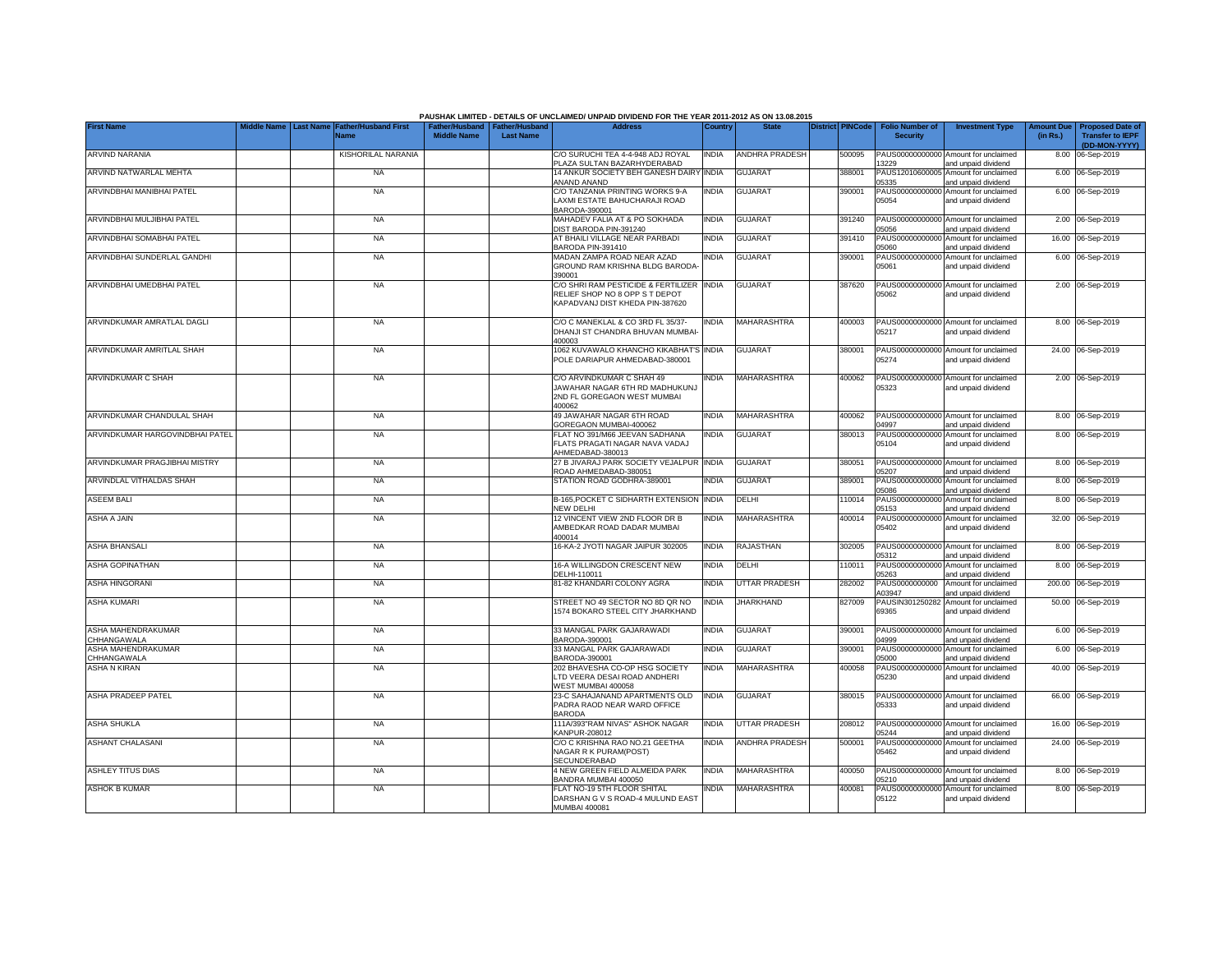|                                   |             |                                                      |                                             |                                           | PAUSHAK LIMITED - DETAILS OF UNCLAIMED/ UNPAID DIVIDEND FOR THE YEAR 2011-2012 AS ON 13.08.2015                |              |                       |                         |                                           |                                                             |          |                                                                           |
|-----------------------------------|-------------|------------------------------------------------------|---------------------------------------------|-------------------------------------------|----------------------------------------------------------------------------------------------------------------|--------------|-----------------------|-------------------------|-------------------------------------------|-------------------------------------------------------------|----------|---------------------------------------------------------------------------|
| <b>First Name</b>                 | Middle Name | <b>Last Name Father/Husband First</b><br><b>Name</b> | <b>Father/Husband</b><br><b>Middle Name</b> | <b>Father/Hushand</b><br><b>Last Name</b> | <b>Address</b>                                                                                                 | Country      | <b>State</b>          | <b>District PINCode</b> | <b>Folio Number of</b><br><b>Security</b> | <b>Investment Type</b>                                      | (in Rs.) | Amount Due   Proposed Date of<br><b>Transfer to IEPF</b><br>(DD-MON-YYYY) |
| ARVIND NARANIA                    |             | KISHORILAL NARANIA                                   |                                             |                                           | C/O SURUCHI TEA 4-4-948 ADJ ROYAL<br>PLAZA SULTAN BAZARHYDERABAD                                               | <b>INDIA</b> | <b>ANDHRA PRADESH</b> | 500095                  | 13229                                     | PAUS00000000000 Amount for unclaimed<br>and unpaid dividend |          | 8.00 06-Sep-2019                                                          |
| ARVIND NATWARLAL MEHTA            |             | <b>NA</b>                                            |                                             |                                           | 14 ANKUR SOCIETY BEH GANESH DAIRY<br>ANAND ANAND                                                               | <b>INDIA</b> | <b>GUJARAT</b>        | 388001                  | 05335                                     | PAUS12010600005 Amount for unclaimed<br>and unpaid dividend |          | 6.00 06-Sep-2019                                                          |
| ARVINDBHAI MANIBHAI PATEL         |             | <b>NA</b>                                            |                                             |                                           | C/O TANZANIA PRINTING WORKS 9-A<br>LAXMI ESTATE BAHUCHARAJI ROAD<br>BARODA-390001                              | <b>INDIA</b> | <b>GUJARAT</b>        | 390001                  | 05054                                     | PAUS00000000000 Amount for unclaimed<br>and unpaid dividend |          | 6.00 06-Sep-2019                                                          |
| ARVINDBHAI MULJIBHAI PATEL        |             | <b>NA</b>                                            |                                             |                                           | MAHADEV FALIA AT & PO SOKHADA<br>DIST BARODA PIN-391240                                                        | <b>INDIA</b> | <b>GUJARAT</b>        | 391240                  | 05056                                     | PAUS00000000000 Amount for unclaimed<br>and unpaid dividend |          | 2.00 06-Sep-2019                                                          |
| ARVINDBHAI SOMABHAI PATEL         |             | <b>NA</b>                                            |                                             |                                           | AT BHAILI VILLAGE NEAR PARBADI<br>BARODA PIN-391410                                                            | <b>INDIA</b> | <b>GUJARAT</b>        | 391410                  | 05060                                     | PAUS00000000000 Amount for unclaimed<br>and unpaid dividend |          | 16.00 06-Sep-2019                                                         |
| ARVINDBHAI SUNDERLAL GANDHI       |             | <b>NA</b>                                            |                                             |                                           | MADAN ZAMPA ROAD NEAR AZAD<br>GROUND RAM KRISHNA BLDG BARODA<br>390001                                         | <b>INDIA</b> | <b>GUJARAT</b>        | 390001                  | 05061                                     | PAUS00000000000 Amount for unclaimed<br>and unpaid dividend |          | 6.00 06-Sep-2019                                                          |
| ARVINDBHAI UMEDBHAI PATEL         |             | <b>NA</b>                                            |                                             |                                           | C/O SHRI RAM PESTICIDE & FERTILIZER INDIA<br>RELIEF SHOP NO 8 OPP S T DEPOT<br>KAPADVANJ DIST KHEDA PIN-387620 |              | <b>GUJARAT</b>        | 387620                  | 05062                                     | PAUS00000000000 Amount for unclaimed<br>and unpaid dividend |          | 2.00 06-Sep-2019                                                          |
| ARVINDKUMAR AMRATLAL DAGLI        |             | <b>NA</b>                                            |                                             |                                           | C/O C MANEKLAL & CO 3RD FL 35/37-<br>DHANJI ST CHANDRA BHUVAN MUMBAI<br>400003                                 | <b>INDIA</b> | <b>MAHARASHTRA</b>    | 400003                  | 05217                                     | PAUS00000000000 Amount for unclaimed<br>and unpaid dividend |          | 8.00 06-Sep-2019                                                          |
| ARVINDKUMAR AMRITLAL SHAH         |             | <b>NA</b>                                            |                                             |                                           | 1062 KUVAWALO KHANCHO KIKABHAT'S INDIA<br>POLE DARIAPUR AHMEDABAD-380001                                       |              | <b>GUJARAT</b>        | 380001                  | 05274                                     | PAUS00000000000 Amount for unclaimed<br>and unpaid dividend |          | 24.00 06-Sep-2019                                                         |
| ARVINDKUMAR C SHAH                |             | <b>NA</b>                                            |                                             |                                           | C/O ARVINDKUMAR C SHAH 49<br>JAWAHAR NAGAR 6TH RD MADHUKUNJ<br>2ND FL GOREGAON WEST MUMBAI<br>400062           | <b>INDIA</b> | MAHARASHTRA           | 400062                  | 05323                                     | PAUS00000000000 Amount for unclaimed<br>and unpaid dividend |          | 2.00 06-Sep-2019                                                          |
| ARVINDKUMAR CHANDULAL SHAH        |             | <b>NA</b>                                            |                                             |                                           | 49 JAWAHAR NAGAR 6TH ROAD<br>GOREGAON MUMBAI-400062                                                            | <b>INDIA</b> | MAHARASHTRA           | 400062                  | 04997                                     | PAUS00000000000 Amount for unclaimed<br>and unpaid dividend |          | 8.00 06-Sep-2019                                                          |
| ARVINDKUMAR HARGOVINDBHAI PATEL   |             | <b>NA</b>                                            |                                             |                                           | FLAT NO 391/M66 JEEVAN SADHANA<br>FLATS PRAGATI NAGAR NAVA VADAJ<br>AHMEDABAD-380013                           | <b>INDIA</b> | <b>GUJARAT</b>        | 380013                  | 05104                                     | PAUS00000000000 Amount for unclaimed<br>and unpaid dividend |          | 8.00 06-Sep-2019                                                          |
| ARVINDKUMAR PRAGJIBHAI MISTRY     |             | <b>NA</b>                                            |                                             |                                           | 27 B JIVARAJ PARK SOCIETY VEJALPUR INDIA<br>ROAD AHMEDABAD-380051                                              |              | <b>GUJARAT</b>        | 380051                  | 05207                                     | PAUS00000000000 Amount for unclaimed<br>and unpaid dividend |          | 8.00 06-Sep-2019                                                          |
| ARVINDLAL VITHALDAS SHAH          |             | <b>NA</b>                                            |                                             |                                           | STATION ROAD GODHRA-389001                                                                                     | <b>INDIA</b> | <b>GUJARAT</b>        | 389001                  | 05086                                     | PAUS00000000000 Amount for unclaimed<br>and unpaid dividend |          | 8.00 06-Sep-2019                                                          |
| ASEEM BALI                        |             | <b>NA</b>                                            |                                             |                                           | B-165, POCKET C SIDHARTH EXTENSION<br><b>NEW DELHI</b>                                                         | <b>INDIA</b> | DELHI                 | 110014                  | 05153                                     | PAUS00000000000 Amount for unclaimed<br>and unpaid dividend |          | 8.00 06-Sep-2019                                                          |
| ASHA A JAIN                       |             | <b>NA</b>                                            |                                             |                                           | 12 VINCENT VIEW 2ND FLOOR DR B<br>AMBEDKAR ROAD DADAR MUMBAI<br>400014                                         | <b>INDIA</b> | MAHARASHTRA           | 400014                  | 05402                                     | PAUS00000000000 Amount for unclaimed<br>and unpaid dividend |          | 32.00 06-Sep-2019                                                         |
| ASHA BHANSALI                     |             | <b>NA</b>                                            |                                             |                                           | 16-KA-2 JYOTI NAGAR JAIPUR 302005                                                                              | <b>INDIA</b> | RAJASTHAN             | 302005                  | 05312                                     | PAUS00000000000 Amount for unclaimed<br>and unpaid dividend |          | 8.00 06-Sep-2019                                                          |
| ASHA GOPINATHAN                   |             | <b>NA</b>                                            |                                             |                                           | 16-A WILLINGDON CRESCENT NEW<br>DELHI-110011                                                                   | <b>INDIA</b> | DELHI                 | 110011                  | 05263                                     | PAUS00000000000 Amount for unclaimed<br>and unpaid dividend |          | 8.00 06-Sep-2019                                                          |
| <b>ASHA HINGORANI</b>             |             | <b>NA</b>                                            |                                             |                                           | 81-82 KHANDARI COLONY AGRA                                                                                     | <b>INDIA</b> | UTTAR PRADESH         | 282002                  | PAUS0000000000<br>403947                  | Amount for unclaimed<br>and unpaid dividend                 |          | 200.00 06-Sep-2019                                                        |
| <b>ASHA KUMARI</b>                |             | <b>NA</b>                                            |                                             |                                           | STREET NO 49 SECTOR NO 8D QR NO<br>1574 BOKARO STEEL CITY JHARKHAND                                            | <b>INDIA</b> | JHARKHAND             | 827009                  | 69365                                     | PAUSIN301250282 Amount for unclaimed<br>and unpaid dividend |          | 50.00 06-Sep-2019                                                         |
| ASHA MAHENDRAKUMAR<br>CHHANGAWALA |             | <b>NA</b>                                            |                                             |                                           | 33 MANGAL PARK GAJARAWADI<br>BARODA-390001                                                                     | <b>INDIA</b> | <b>GUJARAT</b>        | 390001                  | 14999                                     | PAUS00000000000 Amount for unclaimed<br>and unpaid dividend |          | 6.00 06-Sep-2019                                                          |
| ASHA MAHENDRAKUMAR<br>CHHANGAWALA |             | <b>NA</b>                                            |                                             |                                           | 33 MANGAL PARK GAJARAWADI<br>BARODA-390001                                                                     | <b>INDIA</b> | <b>GUJARAT</b>        | 390001                  | 05000                                     | PAUS00000000000 Amount for unclaimed<br>and unpaid dividend |          | 6.00 06-Sep-2019                                                          |
| <b>ASHA N KIRAN</b>               |             | <b>NA</b>                                            |                                             |                                           | 202 BHAVESHA CO-OP HSG SOCIETY<br>LTD VEERA DESAI ROAD ANDHERI<br>WEST MUMBAI 400058                           | <b>INDIA</b> | MAHARASHTRA           | 400058                  | 05230                                     | PAUS00000000000 Amount for unclaimed<br>and unpaid dividend |          | 40.00 06-Sep-2019                                                         |
| ASHA PRADEEP PATEL                |             | <b>NA</b>                                            |                                             |                                           | 23-C SAHAJANAND APARTMENTS OLD<br>PADRA RAOD NEAR WARD OFFICE<br><b>BARODA</b>                                 | <b>INDIA</b> | <b>GUJARAT</b>        | 380015                  | 05333                                     | PAUS00000000000 Amount for unclaimed<br>and unpaid dividend |          | 66.00 06-Sep-2019                                                         |
| <b>ASHA SHUKLA</b>                |             | <b>NA</b>                                            |                                             |                                           | 111A/393"RAM NIVAS" ASHOK NAGAR<br>KANPUR-208012                                                               | <b>INDIA</b> | <b>UTTAR PRADESH</b>  | 208012                  | 05244                                     | PAUS00000000000 Amount for unclaimed<br>and unpaid dividend |          | 16.00 06-Sep-2019                                                         |
| <b>ASHANT CHALASANI</b>           |             | <b>NA</b>                                            |                                             |                                           | C/O C KRISHNA RAO NO.21 GEETHA<br>NAGAR R K PURAM(POST)<br>SECUNDERABAD                                        | <b>INDIA</b> | <b>ANDHRA PRADESH</b> | 500001                  | 05462                                     | PAUS00000000000 Amount for unclaimed<br>and unpaid dividend |          | 24.00 06-Sep-2019                                                         |
| <b>ASHLEY TITUS DIAS</b>          |             | <b>NA</b>                                            |                                             |                                           | 4 NEW GREEN FIELD ALMEIDA PARK<br>BANDRA MUMBAI 400050                                                         | <b>INDIA</b> | MAHARASHTRA           | 400050                  | 05210                                     | PAUS00000000000 Amount for unclaimed<br>and unpaid dividend |          | 8.00 06-Sep-2019                                                          |
| <b>ASHOK B KUMAR</b>              |             | <b>NA</b>                                            |                                             |                                           | FLAT NO-19 5TH FLOOR SHITAL<br>DARSHAN G V S ROAD-4 MULUND EAST<br>MUMBAI 400081                               | INDIA        | MAHARASHTRA           | 400081                  | PAUS00000000000<br>05122                  | Amount for unclaimed<br>and unpaid dividend                 |          | 8.00 06-Sep-2019                                                          |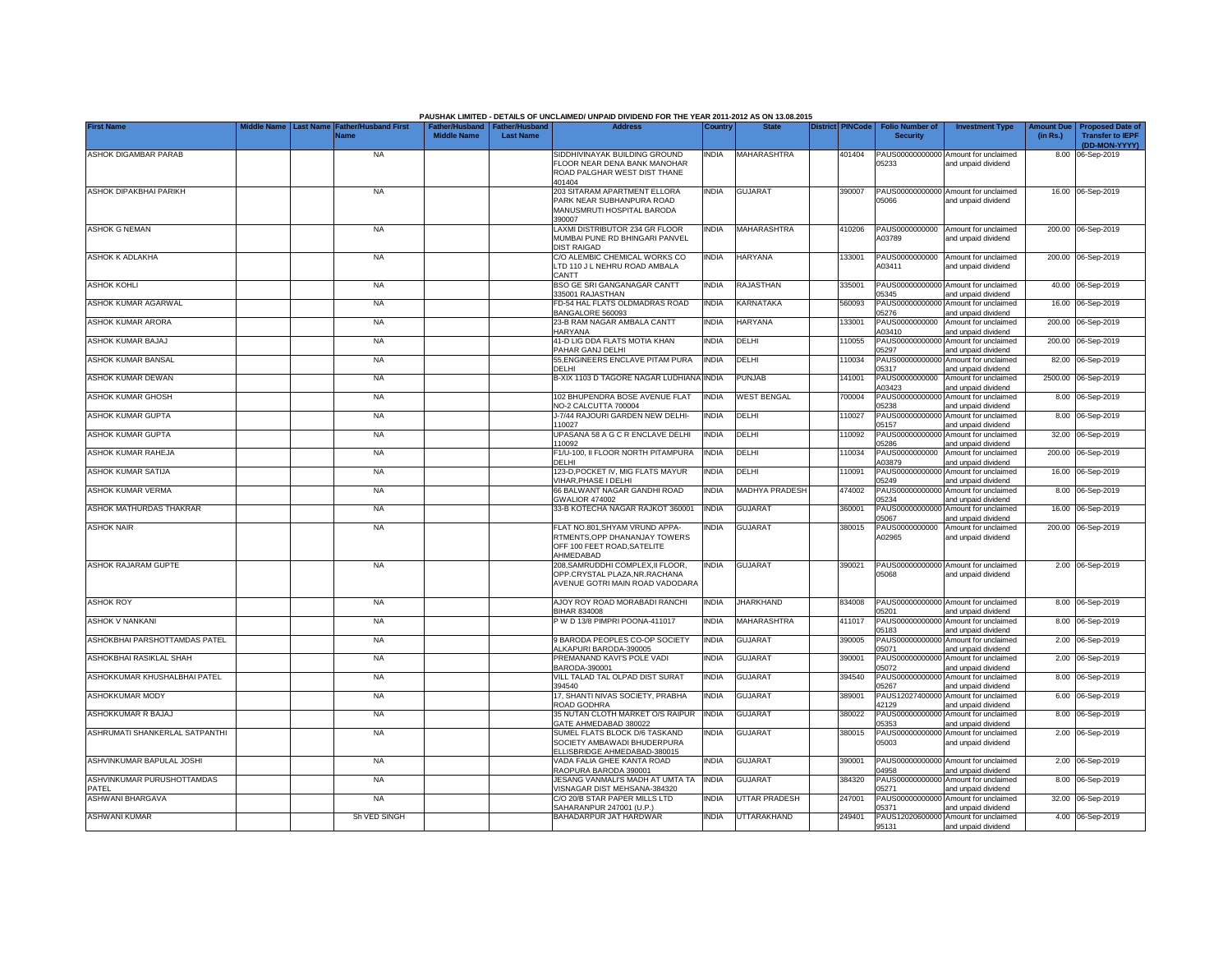|                                     |           |                                     |                                                       |                  | PAUSHAK LIMITED - DETAILS OF UNCLAIMED/ UNPAID DIVIDEND FOR THE YEAR 2011-2012 AS ON 13.08.2015             |              |                       |                         |                                           |                                                             |                               |                                                    |
|-------------------------------------|-----------|-------------------------------------|-------------------------------------------------------|------------------|-------------------------------------------------------------------------------------------------------------|--------------|-----------------------|-------------------------|-------------------------------------------|-------------------------------------------------------------|-------------------------------|----------------------------------------------------|
| <b>First Name</b>                   | Last Name | <b>Father/Husband First</b><br>Name | Father/Husband   Father/Husband<br><b>Middle Name</b> | <b>Last Name</b> | <b>Address</b>                                                                                              | Country      | <b>State</b>          | <b>District PINCode</b> | <b>Folio Number of</b><br><b>Security</b> | <b>Investment Type</b>                                      | <b>Amount Due</b><br>(in Rs.) | <b>Proposed Date of</b><br><b>Transfer to IEPF</b> |
| ASHOK DIGAMBAR PARAB                |           | <b>NA</b>                           |                                                       |                  | SIDDHIVINAYAK BUILDING GROUND                                                                               | <b>INDIA</b> | MAHARASHTRA           | 401404                  |                                           | PAUS00000000000 Amount for unclaimed                        |                               | (DD-MON-YYYY)<br>8.00 06-Sep-2019                  |
|                                     |           |                                     |                                                       |                  | FLOOR NEAR DENA BANK MANOHAR<br>ROAD PALGHAR WEST DIST THANE<br>401404                                      |              |                       |                         | 05233                                     | and unpaid dividend                                         |                               |                                                    |
| <b>ASHOK DIPAKBHAI PARIKH</b>       |           | <b>NA</b>                           |                                                       |                  | 203 SITARAM APARTMENT ELLORA<br>PARK NEAR SUBHANPURA ROAD<br>MANUSMRUTI HOSPITAL BARODA<br>390007           | <b>INDIA</b> | <b>GUJARAT</b>        | 390007                  | 05066                                     | PAUS00000000000 Amount for unclaimed<br>and unpaid dividend |                               | 16.00 06-Sep-2019                                  |
| <b>ASHOK G NEMAN</b>                |           | <b>NA</b>                           |                                                       |                  | LAXMI DISTRIBUTOR 234 GR FLOOR<br>MUMBAI PUNE RD BHINGARI PANVEL<br><b>DIST RAIGAD</b>                      | <b>INDIA</b> | MAHARASHTRA           | 410206                  | PAUS0000000000<br>403789                  | Amount for unclaimed<br>and unpaid dividend                 |                               | 200.00 06-Sep-2019                                 |
| ASHOK K ADLAKHA                     |           | <b>NA</b>                           |                                                       |                  | C/O ALEMBIC CHEMICAL WORKS CO<br>LTD 110 J L NEHRU ROAD AMBALA<br>CANTT                                     | <b>INDIA</b> | <b>HARYANA</b>        | 133001                  | PAUS0000000000<br>A03411                  | Amount for unclaimed<br>and unpaid dividend                 |                               | 200.00 06-Sep-2019                                 |
| ASHOK KOHLI                         |           | <b>NA</b>                           |                                                       |                  | <b>BSO GE SRI GANGANAGAR CANTT</b><br>335001 RAJASTHAN                                                      | <b>INDIA</b> | RAJASTHAN             | 335001                  | PAUS0000000000<br>05345                   | Amount for unclaimed<br>and unpaid dividend                 |                               | 40.00 06-Sep-2019                                  |
| ASHOK KUMAR AGARWAL                 |           | <b>NA</b>                           |                                                       |                  | FD-54 HAL FLATS OLDMADRAS ROAD<br>BANGALORE 560093                                                          | <b>INDIA</b> | KARNATAKA             | 560093                  | PAUS0000000000<br>05276                   | Amount for unclaimed<br>and unpaid dividend                 | 16.00                         | 06-Sep-2019                                        |
| ASHOK KUMAR ARORA                   |           | <b>NA</b>                           |                                                       |                  | 23-B RAM NAGAR AMBALA CANTT<br>HARYANA                                                                      | <b>INDIA</b> | <b>HARYANA</b>        | 133001                  | PAUS0000000000<br>A03410                  | Amount for unclaimed<br>and unpaid dividend                 | 200.00                        | 06-Sep-2019                                        |
| ASHOK KUMAR BAJAJ                   |           | <b>NA</b>                           |                                                       |                  | 41-D LIG DDA FLATS MOTIA KHAN<br>PAHAR GANJ DELHI                                                           | <b>INDIA</b> | DELHI                 | 110055                  | PAUS0000000000<br>05297                   | Amount for unclaimed<br>and unpaid dividend                 |                               | 200.00 06-Sep-2019                                 |
| ASHOK KUMAR BANSAL                  |           | <b>NA</b>                           |                                                       |                  | 55, ENGINEERS ENCLAVE PITAM PURA<br>DELHI                                                                   | <b>INDIA</b> | DELHI                 | 110034                  | PAUS00000000000<br>05317                  | Amount for unclaimed<br>and unpaid dividend                 |                               | 82.00 06-Sep-2019                                  |
| ASHOK KUMAR DEWAN                   |           | <b>NA</b>                           |                                                       |                  | B-XIX 1103 D TAGORE NAGAR LUDHIANA                                                                          | <b>INDIA</b> | PUNJAB                | 141001                  | PAUS0000000000<br>A03423                  | Amount for unclaimed<br>and unpaid dividend                 |                               | 2500.00 06-Sep-2019                                |
| ASHOK KUMAR GHOSH                   |           | <b>NA</b>                           |                                                       |                  | 102 BHUPENDRA BOSE AVENUE FLAT<br>NO-2 CALCUTTA 700004                                                      | <b>INDIA</b> | WEST BENGAL           | 700004                  | PAUS00000000000<br>05238                  | Amount for unclaimed<br>and unpaid dividend                 |                               | 8.00 06-Sep-2019                                   |
| ASHOK KUMAR GUPTA                   |           | <b>NA</b>                           |                                                       |                  | J-7/44 RAJOURI GARDEN NEW DELHI-<br>110027                                                                  | <b>INDIA</b> | DELHI                 | 110027                  | 05157                                     | PAUS00000000000 Amount for unclaimed<br>and unpaid dividend |                               | 8.00 06-Sep-2019                                   |
| ASHOK KUMAR GUPTA                   |           | <b>NA</b>                           |                                                       |                  | UPASANA 58 A G C R ENCLAVE DELHI<br>110092                                                                  | <b>INDIA</b> | DELHI                 | 110092                  | 05286                                     | PAUS00000000000 Amount for unclaimed<br>and unpaid dividend |                               | 32.00 06-Sep-2019                                  |
| ASHOK KUMAR RAHEJA                  |           | <b>NA</b>                           |                                                       |                  | F1/U-100, II FLOOR NORTH PITAMPURA<br>DELHI                                                                 | <b>INDIA</b> | DELHI                 | 110034                  | PAUS0000000000<br>A03879                  | Amount for unclaimed<br>and unpaid dividend                 |                               | 200.00 06-Sep-2019                                 |
| ASHOK KUMAR SATIJA                  |           | <b>NA</b>                           |                                                       |                  | 123-D, POCKET IV, MIG FLATS MAYUR<br>VIHAR.PHASE I DELHI                                                    | <b>INDIA</b> | DELHI                 | 110091                  | PAUS00000000000<br>05249                  | Amount for unclaimed<br>and unpaid dividend                 |                               | 16.00 06-Sep-2019                                  |
| ASHOK KUMAR VERMA                   |           | <b>NA</b>                           |                                                       |                  | 66 BALWANT NAGAR GANDHI ROAD<br><b>GWALIOR 474002</b>                                                       | <b>INDIA</b> | <b>MADHYA PRADESH</b> | 474002                  | PAUS00000000000<br>05234                  | Amount for unclaimed<br>and unpaid dividend                 |                               | 8.00 06-Sep-2019                                   |
| ASHOK MATHURDAS THAKRAR             |           | <b>NA</b>                           |                                                       |                  | 33-B KOTECHA NAGAR RAJKOT 360001                                                                            | <b>INDIA</b> | <b>GUJARAT</b>        | 360001                  | PAUS0000000000<br>05067                   | Amount for unclaimed<br>and unpaid dividend                 |                               | 16.00 06-Sep-2019                                  |
| ASHOK NAIR                          |           | <b>NA</b>                           |                                                       |                  | FLAT NO.801, SHYAM VRUND APPA-<br>RTMENTS, OPP DHANANJAY TOWERS<br>OFF 100 FEET ROAD, SATELITE<br>AHMEDABAD | INDIA        | GUJARAT               | 380015                  | PAUS0000000000<br>A02965                  | Amount for unclaimed<br>and unpaid dividend                 |                               | 200.00 06-Sep-2019                                 |
| <b>ASHOK RAJARAM GUPTE</b>          |           | <b>NA</b>                           |                                                       |                  | 208. SAMRUDDHI COMPLEX. II FLOOR.<br>OPP.CRYSTAL PLAZA.NR.RACHANA<br>AVENUE GOTRI MAIN ROAD VADODARA        | <b>INDIA</b> | <b>GUJARAT</b>        | 390021                  | 05068                                     | PAUS00000000000 Amount for unclaimed<br>and unpaid dividend |                               | 2.00 06-Sep-2019                                   |
| <b>ASHOK ROY</b>                    |           | <b>NA</b>                           |                                                       |                  | AJOY ROY ROAD MORABADI RANCHI<br><b>BIHAR 834008</b>                                                        | <b>INDIA</b> | <b>JHARKHAND</b>      | 834008                  | 05201                                     | PAUS00000000000 Amount for unclaimed<br>and unpaid dividend |                               | 8.00 06-Sep-2019                                   |
| ASHOK V NANKANI                     |           | <b>NA</b>                           |                                                       |                  | W D 13/8 PIMPRI POONA-411017                                                                                | <b>INDIA</b> | MAHARASHTRA           | 411017                  | 05183                                     | PAUS00000000000 Amount for unclaimed<br>and unpaid dividend |                               | 8.00 06-Sep-2019                                   |
| ASHOKBHAI PARSHOTTAMDAS PATEL       |           | <b>NA</b>                           |                                                       |                  | 9 BARODA PEOPLES CO-OP SOCIETY<br>ALKAPURI BARODA-390005                                                    | <b>INDIA</b> | <b>GUJARAT</b>        | 390005                  | 05071                                     | PAUS00000000000 Amount for unclaimed<br>and unpaid dividend |                               | 2.00 06-Sep-2019                                   |
| ASHOKBHAI RASIKLAL SHAH             |           | <b>NA</b>                           |                                                       |                  | PREMANAND KAVI'S POLE VADI<br>BARODA-390001                                                                 | <b>INDIA</b> | <b>GUJARAT</b>        | 390001                  | 05072                                     | PAUS00000000000 Amount for unclaimed<br>and unpaid dividend |                               | 2.00 06-Sep-2019                                   |
| ASHOKKUMAR KHUSHALBHAI PATEL        |           | <b>NA</b>                           |                                                       |                  | VILL TALAD TAL OLPAD DIST SURAT<br>394540                                                                   | <b>INDIA</b> | <b>GUJARAT</b>        | 394540                  | PAUS0000000000<br>05267                   | Amount for unclaimed<br>and unpaid dividend                 |                               | 8.00 06-Sep-2019                                   |
| ASHOKKUMAR MODY                     |           | <b>NA</b>                           |                                                       |                  | 17, SHANTI NIVAS SOCIETY, PRABHA<br>ROAD GODHRA                                                             | <b>INDIA</b> | <b>GUJARAT</b>        | 389001                  | PAUS1202740000<br>42129                   | Amount for unclaimed<br>and unpaid dividend                 |                               | 6.00 06-Sep-2019                                   |
| ASHOKKUMAR R BAJAJ                  |           | <b>NA</b>                           |                                                       |                  | 35 NUTAN CLOTH MARKET O/S RAIPUR<br>GATE AHMEDABAD 380022                                                   | <b>INDIA</b> | <b>GUJARAT</b>        | 380022                  | PAUS0000000000<br>05353                   | Amount for unclaimed<br>and unpaid dividend                 |                               | 8.00 06-Sep-2019                                   |
| ASHRUMATI SHANKERLAL SATPANTHI      |           | <b>NA</b>                           |                                                       |                  | SUMEL FLATS BLOCK D/6 TASKAND<br>SOCIETY AMBAWADI BHUDERPURA<br>ELLISBRIDGE AHMEDABAD-380015                | <b>INDIA</b> | GUJARAT               | 380015                  | PAUS0000000000<br>05003                   | Amount for unclaimed<br>and unpaid dividend                 |                               | 2.00 06-Sep-2019                                   |
| ASHVINKUMAR BAPULAL JOSHI           |           | <b>NA</b>                           |                                                       |                  | VADA FALIA GHEE KANTA ROAD<br>RAOPURA BARODA 390001                                                         | <b>INDIA</b> | <b>GUJARAT</b>        | 390001                  | 14958                                     | PAUS00000000000 Amount for unclaimed<br>and unpaid dividend |                               | 2.00 06-Sep-2019                                   |
| ASHVINKUMAR PURUSHOTTAMDAS<br>PATEL |           | <b>NA</b>                           |                                                       |                  | JESANG VANMALI'S MADH AT UMTA TA<br>/ISNAGAR DIST MEHSANA-384320                                            | <b>INDIA</b> | <b>GUJARAT</b>        | 384320                  | PAUS00000000000<br>15271                  | Amount for unclaimed<br>and unpaid dividend                 |                               | 8.00 06-Sep-2019                                   |
| ASHWANI BHARGAVA                    |           | <b>NA</b>                           |                                                       |                  | C/O 20/B STAR PAPER MILLS LTD<br>SAHARANPUR 247001 (U.P.)                                                   | <b>INDIA</b> | <b>UTTAR PRADESH</b>  | 247001                  | 05371                                     | PAUS00000000000 Amount for unclaimed<br>and unpaid dividend |                               | 32.00 06-Sep-2019                                  |
| <b>ASHWANI KUMAR</b>                |           | Sh VED SINGH                        |                                                       |                  | BAHADARPUR JAT HARDWAR                                                                                      | <b>INDIA</b> | <b>UTTARAKHAND</b>    | 249401                  | 95131                                     | PAUS12020600000 Amount for unclaimed<br>and unpaid dividend |                               | 4.00 06-Sep-2019                                   |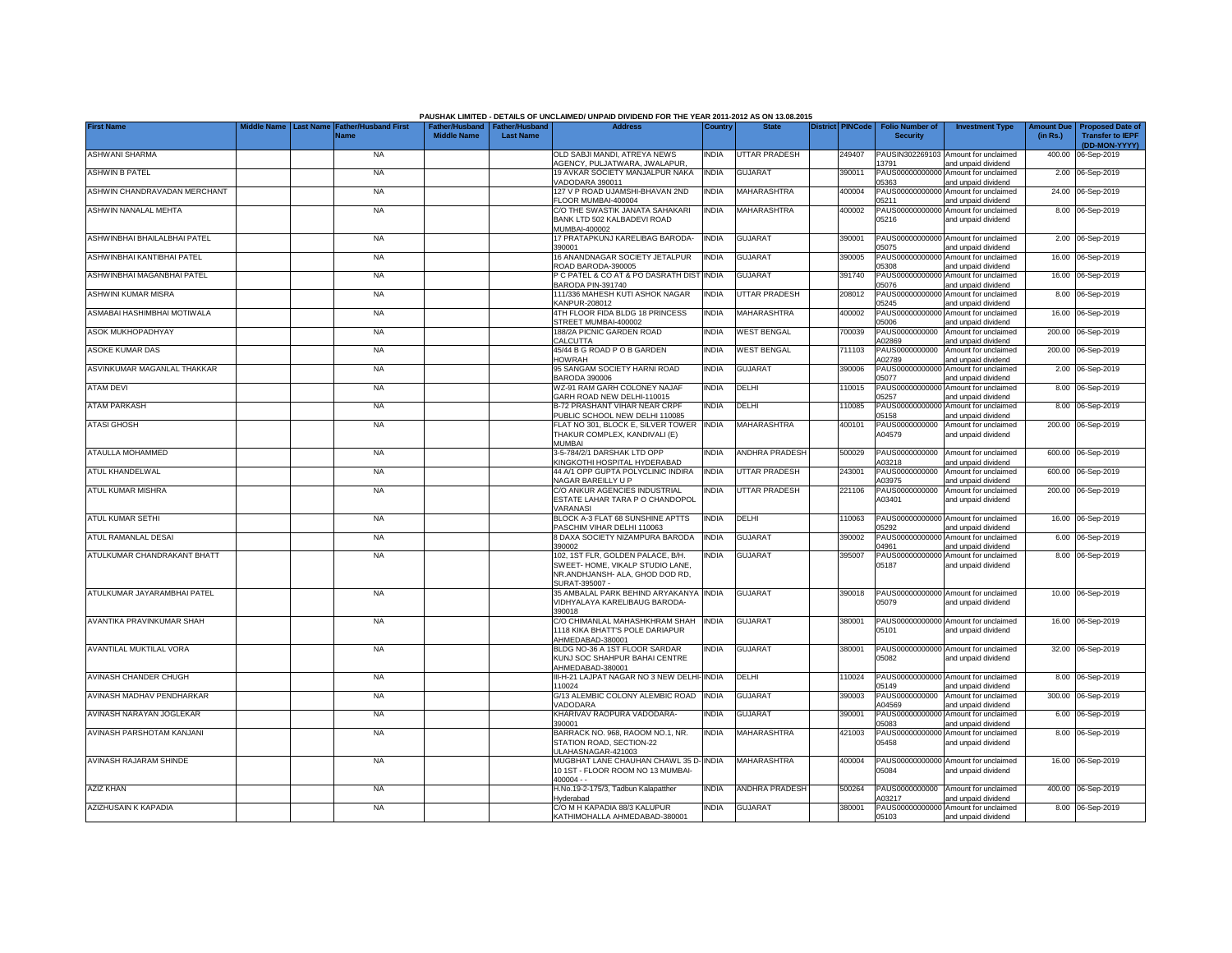|                              |                                 |                                            |                    |                                                     | PAUSHAK LIMITED - DETAILS OF UNCLAIMED/ UNPAID DIVIDEND FOR THE YEAR 2011-2012 AS ON 13.08.2015                           |              |                       |                         |                                           |                                                             |                               |                                                                     |
|------------------------------|---------------------------------|--------------------------------------------|--------------------|-----------------------------------------------------|---------------------------------------------------------------------------------------------------------------------------|--------------|-----------------------|-------------------------|-------------------------------------------|-------------------------------------------------------------|-------------------------------|---------------------------------------------------------------------|
| <b>First Name</b>            | fiddle Name<br><b>Last Name</b> | <b>Father/Husband First</b><br><b>Name</b> | <b>Middle Name</b> | Father/Husband   Father/Husband<br><b>Last Name</b> | <b>Address</b>                                                                                                            | Country      | <b>State</b>          | <b>District PINCode</b> | <b>Folio Number of</b><br><b>Security</b> | <b>Investment Type</b>                                      | <b>Amount Due</b><br>(in Rs.) | <b>Proposed Date of</b><br><b>Transfer to IEPF</b><br>(DD-MON-YYYY) |
| <b>ASHWANI SHARMA</b>        |                                 | <b>NA</b>                                  |                    |                                                     | OLD SABJI MANDI, ATREYA NEWS<br>AGENCY, PULJATWARA, JWALAPUR,                                                             | <b>INDIA</b> | <b>UTTAR PRADESH</b>  | 249407                  | 13791                                     | PAUSIN302269103 Amount for unclaimed<br>and unpaid dividend |                               | 400.00 06-Sep-2019                                                  |
| <b>ASHWIN B PATEL</b>        |                                 | <b>NA</b>                                  |                    |                                                     | 19 AVKAR SOCIETY MANJALPUR NAKA<br>VADODARA 390011                                                                        | <b>INDIA</b> | <b>GUJARAT</b>        | 390011                  | PAUS00000000000<br>05363                  | Amount for unclaimed<br>and unpaid dividend                 |                               | 2.00 06-Sep-2019                                                    |
| ASHWIN CHANDRAVADAN MERCHANT |                                 | <b>NA</b>                                  |                    |                                                     | 127 V P ROAD UJAMSHI-BHAVAN 2ND<br>FLOOR MUMBAI-400004                                                                    | <b>INDIA</b> | MAHARASHTRA           | 400004                  | PAUS0000000000<br>05211                   | Amount for unclaimed<br>and unpaid dividend                 |                               | 24.00 06-Sep-2019                                                   |
| ASHWIN NANALAL MEHTA         |                                 | <b>NA</b>                                  |                    |                                                     | C/O THE SWASTIK JANATA SAHAKARI<br>BANK LTD 502 KALBADEVI ROAD<br>MUMBAI-400002                                           | <b>INDIA</b> | <b>MAHARASHTRA</b>    | 400002                  | PAUS0000000000<br>05216                   | Amount for unclaimed<br>and unpaid dividend                 |                               | 8.00 06-Sep-2019                                                    |
| ASHWINBHAI BHAILALBHAI PATEL |                                 | <b>NA</b>                                  |                    |                                                     | 17 PRATAPKUNJ KARELIBAG BARODA-<br>390001                                                                                 | <b>INDIA</b> | <b>GUJARAT</b>        | 390001                  | PAUS00000000000<br>05075                  | Amount for unclaimed<br>and unpaid dividend                 |                               | 2.00 06-Sep-2019                                                    |
| ASHWINBHAI KANTIBHAI PATEL   |                                 | <b>NA</b>                                  |                    |                                                     | 16 ANANDNAGAR SOCIETY JETALPUR<br>ROAD BARODA-390005                                                                      | <b>INDIA</b> | <b>GUJARAT</b>        | 390005                  | PAUS0000000000<br>05308                   | Amount for unclaimed<br>and unpaid dividend                 |                               | 16.00 06-Sep-2019                                                   |
| ASHWINBHAI MAGANBHAI PATEL   |                                 | <b>NA</b>                                  |                    |                                                     | C PATEL & CO AT & PO DASRATH DIST<br>BARODA PIN-391740                                                                    | <b>INDIA</b> | <b>GUJARAT</b>        | 391740                  | PAUS0000000000<br>05076                   | Amount for unclaimed<br>and unpaid dividend                 |                               | 16.00 06-Sep-2019                                                   |
| <b>ASHWINI KUMAR MISRA</b>   |                                 | <b>NA</b>                                  |                    |                                                     | 111/336 MAHESH KUTI ASHOK NAGAR<br>KANPUR-208012                                                                          | <b>INDIA</b> | <b>UTTAR PRADESH</b>  | 208012                  | PAUS0000000000<br>05245                   | Amount for unclaimed<br>and unpaid dividend                 |                               | 8.00 06-Sep-2019                                                    |
| ASMABAI HASHIMBHAI MOTIWALA  |                                 | <b>NA</b>                                  |                    |                                                     | 4TH FLOOR FIDA BLDG 18 PRINCESS<br>STREET MUMBAI-400002                                                                   | <b>INDIA</b> | MAHARASHTRA           | 400002                  | PAUS0000000000<br>05006                   | Amount for unclaimed<br>and unpaid dividend                 |                               | 16.00 06-Sep-2019                                                   |
| ASOK MUKHOPADHYAY            |                                 | <b>NA</b>                                  |                    |                                                     | 188/2A PICNIC GARDEN ROAD<br>CALCUTTA                                                                                     | <b>INDIA</b> | <b>WEST BENGAL</b>    | 700039                  | PAUS0000000000<br>102869                  | Amount for unclaimed<br>and unpaid dividend                 |                               | 200.00 06-Sep-2019                                                  |
| <b>ASOKE KUMAR DAS</b>       |                                 | <b>NA</b>                                  |                    |                                                     | 45/44 B G ROAD P O B GARDEN<br><b>HOWRAH</b>                                                                              | <b>INDIA</b> | <b>WEST BENGAL</b>    | 711103                  | PAUS0000000000<br>102789                  | Amount for unclaimed<br>and unpaid dividend                 |                               | 200.00 06-Sep-2019                                                  |
| ASVINKUMAR MAGANLAL THAKKAR  |                                 | <b>NA</b>                                  |                    |                                                     | 95 SANGAM SOCIETY HARNI ROAD<br><b>BARODA 390006</b>                                                                      | <b>INDIA</b> | <b>GUJARAT</b>        | 390006                  | PAUS0000000000<br>05077                   | Amount for unclaimed<br>and unpaid dividend                 |                               | 2.00 06-Sep-2019                                                    |
| <b>ATAM DEVI</b>             |                                 | <b>NA</b>                                  |                    |                                                     | WZ-91 RAM GARH COLONEY NAJAF<br>GARH ROAD NEW DELHI-110015                                                                | <b>INDIA</b> | DELHI                 | 110015                  | PAUS0000000000<br>05257                   | Amount for unclaimed<br>and unpaid dividend                 |                               | 8.00 06-Sep-2019                                                    |
| <b>ATAM PARKASH</b>          |                                 | <b>NA</b>                                  |                    |                                                     | B-72 PRASHANT VIHAR NEAR CRPF<br>PUBLIC SCHOOL NEW DELHI 110085                                                           | <b>INDIA</b> | DELHI                 | 110085                  | PAUS0000000000<br>05158                   | Amount for unclaimed<br>and unpaid dividend                 |                               | 8.00 06-Sep-2019                                                    |
| <b>ATASI GHOSH</b>           |                                 | <b>NA</b>                                  |                    |                                                     | FLAT NO 301, BLOCK E, SILVER TOWER<br>THAKUR COMPLEX, KANDIVALI (E)<br><b>MUMBAI</b>                                      | <b>INDIA</b> | <b>MAHARASHTRA</b>    | 400101                  | PAUS0000000000<br>A04579                  | Amount for unclaimed<br>and unpaid dividend                 |                               | 200.00 06-Sep-2019                                                  |
| ATAULLA MOHAMMED             |                                 | <b>NA</b>                                  |                    |                                                     | 3-5-784/2/1 DARSHAK LTD OPP<br>KINGKOTHI HOSPITAL HYDERABAD                                                               | <b>INDIA</b> | <b>ANDHRA PRADESH</b> | 500029                  | PAUS0000000000<br>A03218                  | Amount for unclaimed<br>and unpaid dividend                 |                               | 600.00 06-Sep-2019                                                  |
| ATUL KHANDELWAL              |                                 | <b>NA</b>                                  |                    |                                                     | 44 A/1 OPP GUPTA POLYCLINIC INDIRA<br>NAGAR BAREILLY U P                                                                  | <b>INDIA</b> | <b>UTTAR PRADESH</b>  | 243001                  | PAUS0000000000<br>A03975                  | Amount for unclaimed<br>and unpaid dividend                 |                               | 600.00 06-Sep-2019                                                  |
| ATUL KUMAR MISHRA            |                                 | <b>NA</b>                                  |                    |                                                     | C/O ANKUR AGENCIES INDUSTRIAL<br>ESTATE LAHAR TARA P O CHANDOPOL<br>VARANASI                                              | <b>INDIA</b> | <b>UTTAR PRADESH</b>  | 221106                  | PAUS0000000000<br>A03401                  | Amount for unclaimed<br>and unpaid dividend                 |                               | 200.00 06-Sep-2019                                                  |
| <b>ATUL KUMAR SETHI</b>      |                                 | <b>NA</b>                                  |                    |                                                     | BLOCK A-3 FLAT 68 SUNSHINE APTTS<br>PASCHIM VIHAR DELHI 110063                                                            | INDIA        | DELHI                 | 110063                  | PAUS0000000000<br>05292                   | Amount for unclaimed<br>and unpaid dividend                 |                               | 16.00 06-Sep-2019                                                   |
| ATUL RAMANLAL DESAI          |                                 | <b>NA</b>                                  |                    |                                                     | 8 DAXA SOCIETY NIZAMPURA BARODA<br>390002                                                                                 | <b>INDIA</b> | <b>GUJARAT</b>        | 390002                  | PAUS0000000000<br>04961                   | Amount for unclaimed<br>and unpaid dividend                 |                               | 6.00 06-Sep-2019                                                    |
| ATULKUMAR CHANDRAKANT BHATT  |                                 | <b>NA</b>                                  |                    |                                                     | 102, 1ST FLR, GOLDEN PALACE, B/H.<br>SWEET-HOME, VIKALP STUDIO LANE.<br>NR.ANDHJANSH- ALA, GHOD DOD RD,<br>SURAT-395007 - | <b>INDIA</b> | <b>GUJARAT</b>        | 395007                  | PAUS0000000000<br>05187                   | Amount for unclaimed<br>and unpaid dividend                 |                               | 8.00 06-Sep-2019                                                    |
| ATULKUMAR JAYARAMBHAI PATEL  |                                 | <b>NA</b>                                  |                    |                                                     | 35 AMBALAL PARK BEHIND ARYAKANYA INDIA<br>VIDHYALAYA KARELIBAUG BARODA-<br>390018                                         |              | <b>GUJARAT</b>        | 390018                  | 05079                                     | PAUS00000000000 Amount for unclaimed<br>and unpaid dividend |                               | 10.00 06-Sep-2019                                                   |
| AVANTIKA PRAVINKUMAR SHAH    |                                 | <b>NA</b>                                  |                    |                                                     | C/O CHIMANLAL MAHASHKHRAM SHAH<br>1118 KIKA BHATT'S POLE DARIAPUR<br>AHMEDABAD-380001                                     | <b>INDIA</b> | <b>GUJARAT</b>        | 380001                  | 05101                                     | PAUS00000000000 Amount for unclaimed<br>and unpaid dividend |                               | 16.00 06-Sep-2019                                                   |
| AVANTILAL MUKTILAL VORA      |                                 | <b>NA</b>                                  |                    |                                                     | BLDG NO-36 A 1ST FLOOR SARDAR<br>KUNJ SOC SHAHPUR BAHAI CENTRE<br>AHMEDABAD-380001                                        | india        | <b>GUJARAT</b>        | 380001                  | 05082                                     | PAUS00000000000 Amount for unclaimed<br>and unpaid dividend |                               | 32.00 06-Sep-2019                                                   |
| AVINASH CHANDER CHUGH        |                                 | <b>NA</b>                                  |                    |                                                     | III-H-21 LAJPAT NAGAR NO 3 NEW DELHI-INDIA<br>110024                                                                      |              | DELHI                 | 110024                  | PAUS00000000000<br>05149                  | Amount for unclaimed<br>and unpaid dividend                 |                               | 8.00 06-Sep-2019                                                    |
| AVINASH MADHAV PENDHARKAR    |                                 | <b>NA</b>                                  |                    |                                                     | G/13 ALEMBIC COLONY ALEMBIC ROAD<br>VADODARA                                                                              | <b>INDIA</b> | <b>GUJARAT</b>        | 390003                  | PAUS0000000000<br>A04569                  | Amount for unclaimed<br>and unpaid dividend                 |                               | 300.00 06-Sep-2019                                                  |
| AVINASH NARAYAN JOGLEKAR     |                                 | <b>NA</b>                                  |                    |                                                     | KHARIVAV RAOPURA VADODARA-<br>390001                                                                                      | <b>NDIA</b>  | <b>GUJARAT</b>        | 390001                  | PAUS00000000000<br>05083                  | Amount for unclaimed<br>and unpaid dividend                 |                               | 6.00 06-Sep-2019                                                    |
| AVINASH PARSHOTAM KANJANI    |                                 | <b>NA</b>                                  |                    |                                                     | BARRACK NO. 968, RAOOM NO.1, NR.<br>STATION ROAD, SECTION-22<br>ULAHASNAGAR-421003                                        | <b>INDIA</b> | <b>MAHARASHTRA</b>    | 421003                  | PAUS00000000000<br>05458                  | Amount for unclaimed<br>and unpaid dividend                 |                               | 8.00 06-Sep-2019                                                    |
| AVINASH RAJARAM SHINDE       |                                 | <b>NA</b>                                  |                    |                                                     | MUGBHAT LANE CHAUHAN CHAWL 35 D- INDIA<br>10 1ST - FLOOR ROOM NO 13 MUMBAI-<br>$400004 - -$                               |              | MAHARASHTRA           | 400004                  | 05084                                     | PAUS00000000000 Amount for unclaimed<br>and unpaid dividend |                               | 16.00 06-Sep-2019                                                   |
| <b>AZIZ KHAN</b>             |                                 | <b>NA</b>                                  |                    |                                                     | H.No.19-2-175/3, Tadbun Kalapatther<br>Hyderabad                                                                          | <b>NDIA</b>  | <b>ANDHRA PRADESH</b> | 500264                  | PAUS0000000000<br>A03217                  | Amount for unclaimed<br>and unpaid dividend                 |                               | 400.00 06-Sep-2019                                                  |
| AZIZHUSAIN K KAPADIA         |                                 | <b>NA</b>                                  |                    |                                                     | C/O M H KAPADIA 88/3 KALUPUR<br>KATHIMOHALLA AHMEDABAD-380001                                                             | <b>INDIA</b> | <b>GUJARAT</b>        | 380001                  | 05103                                     | PAUS00000000000 Amount for unclaimed<br>and unpaid dividend |                               | 8.00 06-Sep-2019                                                    |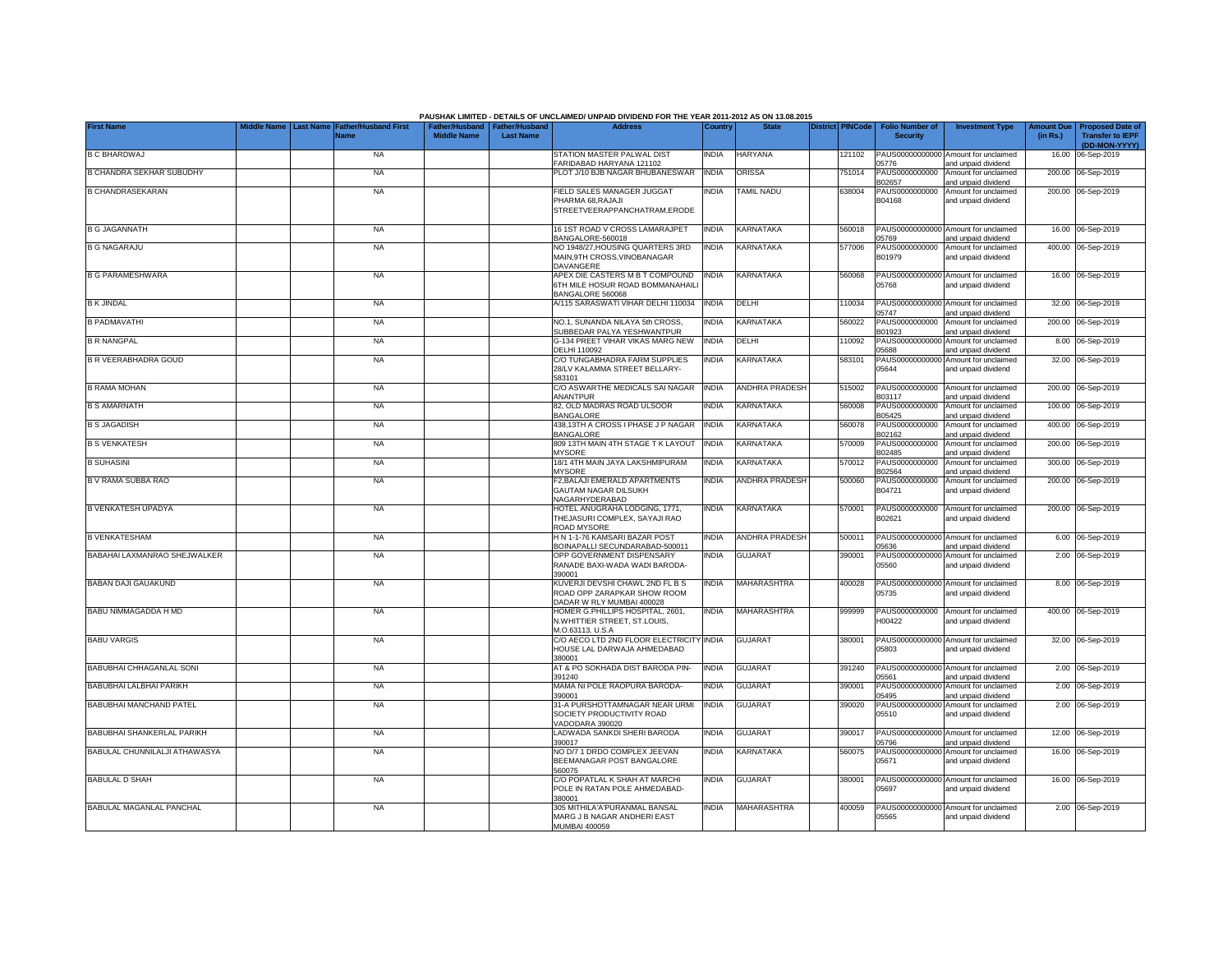|                                 |  |                                                               |                                                       |                  | PAUSHAK LIMITED - DETAILS OF UNCLAIMED/ UNPAID DIVIDEND FOR THE YEAR 2011-2012 AS ON 13.08.2015 |              |                       |                  |                                           |                                                             |          |                                                                           |
|---------------------------------|--|---------------------------------------------------------------|-------------------------------------------------------|------------------|-------------------------------------------------------------------------------------------------|--------------|-----------------------|------------------|-------------------------------------------|-------------------------------------------------------------|----------|---------------------------------------------------------------------------|
| <b>First Name</b>               |  | Middle Name   Last Name   Father/Husband First<br><b>Name</b> | Father/Husband   Father/Husband<br><b>Middle Name</b> | <b>Last Name</b> | <b>Address</b>                                                                                  | Country      | <b>State</b>          | District PINCode | <b>Folio Number of</b><br><b>Security</b> | <b>Investment Type</b>                                      | (in Rs.) | Amount Due   Proposed Date of<br><b>Transfer to IEPF</b><br>(DD-MON-YYYY) |
| <b>B C BHARDWAJ</b>             |  | <b>NA</b>                                                     |                                                       |                  | STATION MASTER PALWAL DIST<br>FARIDABAD HARYANA 121102                                          | <b>INDIA</b> | <b>HARYANA</b>        | 121102           | 05776                                     | PAUS00000000000 Amount for unclaimed<br>and unpaid dividend |          | 16.00 06-Sep-2019                                                         |
| <b>B CHANDRA SEKHAR SUBUDHY</b> |  | <b>NA</b>                                                     |                                                       |                  | PLOT J/10 BJB NAGAR BHUBANESWAR                                                                 | <b>INDIA</b> | <b>ORISSA</b>         | 751014           | PAUS0000000000<br>B02657                  | Amount for unclaimed<br>and unpaid dividend                 |          | 200.00 06-Sep-2019                                                        |
| <b>B CHANDRASEKARAN</b>         |  | <b>NA</b>                                                     |                                                       |                  | FIELD SALES MANAGER JUGGAT<br>PHARMA 68, RAJAJI<br>STREETVEERAPPANCHATRAM,ERODE                 | INDIA        | TAMIL NADU            | 638004           | PAUS0000000000<br>B04168                  | Amount for unclaimed<br>and unpaid dividend                 |          | 200.00 06-Sep-2019                                                        |
|                                 |  |                                                               |                                                       |                  | 16 1ST ROAD V CROSS LAMARAJPET                                                                  |              | KARNATAKA             |                  |                                           | PAUS00000000000 Amount for unclaimed                        |          |                                                                           |
| <b>B G JAGANNATH</b>            |  | <b>NA</b>                                                     |                                                       |                  | BANGALORE-560018                                                                                | <b>INDIA</b> |                       | 560018           | 05769                                     | and unpaid dividend                                         |          | 16.00 06-Sep-2019                                                         |
| <b>B G NAGARAJU</b>             |  | <b>NA</b>                                                     |                                                       |                  | NO 1948/27, HOUSING QUARTERS 3RD<br>MAIN, 9TH CROSS, VINOBANAGAR<br>DAVANGERE                   | <b>INDIA</b> | <b>KARNATAKA</b>      | 577006           | PAUS0000000000<br>B01979                  | Amount for unclaimed<br>and unpaid dividend                 |          | 400.00 06-Sep-2019                                                        |
| <b>B G PARAMESHWARA</b>         |  | <b>NA</b>                                                     |                                                       |                  | APEX DIE CASTERS M B T COMPOUND<br>6TH MILE HOSUR ROAD BOMMANAHAILI<br>BANGALORE 560068         | <b>INDIA</b> | KARNATAKA             | 560068           | 05768                                     | PAUS00000000000 Amount for unclaimed<br>and unpaid dividend |          | 16.00 06-Sep-2019                                                         |
| <b>B K JINDAL</b>               |  | <b>NA</b>                                                     |                                                       |                  | A/115 SARASWATI VIHAR DELHI 110034                                                              | <b>INDIA</b> | DELHI                 | 110034           | 05747                                     | PAUS00000000000 Amount for unclaimed<br>and unpaid dividend |          | 32.00 06-Sep-2019                                                         |
| <b>B PADMAVATHI</b>             |  | <b>NA</b>                                                     |                                                       |                  | NO.1. SUNANDA NILAYA 5th CROSS.<br>SUBBEDAR PALYA YESHWANTPUR                                   | <b>INDIA</b> | KARNATAKA             | 560022           | PAUS0000000000<br>B01923                  | Amount for unclaimed<br>and unpaid dividend                 | 200.00   | 06-Sep-2019                                                               |
| <b>B R NANGPAL</b>              |  | <b>NA</b>                                                     |                                                       |                  | G-134 PREET VIHAR VIKAS MARG NEW<br>DELHI 110092                                                | <b>INDIA</b> | DELHI                 | 110092           | PAUS0000000000<br>05688                   | Amount for unclaimed<br>and unpaid dividend                 |          | 8.00 06-Sep-2019                                                          |
| <b>B R VEERABHADRA GOUD</b>     |  | <b>NA</b>                                                     |                                                       |                  | C/O TUNGABHADRA FARM SUPPLIES<br>28/LV KALAMMA STREET BELLARY-<br>583101                        | INDIA        | KARNATAKA             | 583101           | PAUS0000000000<br>05644                   | Amount for unclaimed<br>and unpaid dividend                 |          | 32.00 06-Sep-2019                                                         |
| <b>B RAMA MOHAN</b>             |  | <b>NA</b>                                                     |                                                       |                  | C/O ASWARTHE MEDICALS SAI NAGAR<br>ANANTPUR                                                     | <b>INDIA</b> | ANDHRA PRADESH        | 515002           | PAUS0000000000<br>B03117                  | Amount for unclaimed<br>and unpaid dividend                 |          | 200.00 06-Sep-2019                                                        |
| <b>B S AMARNATH</b>             |  | <b>NA</b>                                                     |                                                       |                  | 82. OLD MADRAS ROAD ULSOOR<br><b>BANGALORE</b>                                                  | INDIA        | KARNATAKA             | 560008           | PAUS0000000000<br>B05425                  | Amount for unclaimed<br>and unpaid dividend                 |          | 100.00 06-Sep-2019                                                        |
| <b>B S JAGADISH</b>             |  | <b>NA</b>                                                     |                                                       |                  | 438,13TH A CROSS I PHASE J P NAGAR<br><b>BANGALORE</b>                                          | <b>INDIA</b> | KARNATAKA             | 560078           | PAUS0000000000<br>B02162                  | Amount for unclaimed<br>and unpaid dividend                 |          | 400.00 06-Sep-2019                                                        |
| <b>B S VENKATESH</b>            |  | <b>NA</b>                                                     |                                                       |                  | 809 13TH MAIN 4TH STAGE T K LAYOUT<br><b>MYSORE</b>                                             | <b>INDIA</b> | KARNATAKA             | 570009           | PAUS0000000000<br>B02485                  | Amount for unclaimed<br>and unpaid dividend                 |          | 200.00 06-Sep-2019                                                        |
| <b>B SUHASINI</b>               |  | <b>NA</b>                                                     |                                                       |                  | 18/1 4TH MAIN JAYA LAKSHMIPURAM<br><b>MYSORE</b>                                                | <b>INDIA</b> | KARNATAKA             | 570012           | PAUS0000000000<br>B02564                  | Amount for unclaimed<br>and unpaid dividend                 |          | 300.00 06-Sep-2019                                                        |
| B V RAMA SUBBA RAO              |  | <b>NA</b>                                                     |                                                       |                  | F2, BALAJI EMERALD APARTMENTS<br><b>GAUTAM NAGAR DILSUKH</b><br>NAGARHYDERABAD                  | <b>INDIA</b> | <b>ANDHRA PRADESH</b> | 500060           | PAUS0000000000<br>B04721                  | Amount for unclaimed<br>and unpaid dividend                 |          | 200.00 06-Sep-2019                                                        |
| <b>B VENKATESH UPADYA</b>       |  | <b>NA</b>                                                     |                                                       |                  | HOTEL ANUGRAHA LODGING, 1771.<br>THEJASURI COMPLEX, SAYAJI RAO<br>ROAD MYSORE                   | India        | KARNATAKA             | 570001           | PAUS0000000000<br>B02621                  | Amount for unclaimed<br>and unpaid dividend                 |          | 200.00 06-Sep-2019                                                        |
| <b>B VENKATESHAM</b>            |  | <b>NA</b>                                                     |                                                       |                  | H N 1-1-76 KAMSARI BAZAR POST<br>BOINAPALLI SECUNDARABAD-500011                                 | <b>INDIA</b> | ANDHRA PRADESH        | 500011           | 05636                                     | PAUS00000000000 Amount for unclaimed<br>and unpaid dividend |          | 6.00 06-Sep-2019                                                          |
| BABAHAI LAXMANRAO SHEJWALKER    |  | <b>NA</b>                                                     |                                                       |                  | OPP GOVERNMENT DISPENSARY<br>RANADE BAXI-WADA WADI BARODA-                                      | NDIA         | <b>GUJARAT</b>        | 390001           | 05560                                     | PAUS00000000000 Amount for unclaimed<br>and unpaid dividend |          | 2.00 06-Sep-2019                                                          |
| BABAN DAJI GAUAKUND             |  | <b>NA</b>                                                     |                                                       |                  | 390001<br>KUVERJI DEVSHI CHAWL 2ND FL B S<br>ROAD OPP ZARAPKAR SHOW ROOM                        | INDIA        | MAHARASHTRA           | 400028           | 05735                                     | PAUS00000000000 Amount for unclaimed<br>and unpaid dividend |          | 8.00 06-Sep-2019                                                          |
| BABU NIMMAGADDA H MD            |  | <b>NA</b>                                                     |                                                       |                  | DADAR W RLY MUMBAI 400028<br>HOMER G.PHILLIPS HOSPITAL, 2601.                                   | <b>INDIA</b> | MAHARASHTRA           | 999999           | PAUS0000000000                            | Amount for unclaimed                                        |          | 400.00 06-Sep-2019                                                        |
|                                 |  |                                                               |                                                       |                  | N.WHITTIER STREET, ST.LOUIS,<br>M.O.63113. U.S.A                                                |              |                       |                  | 100422                                    | and unpaid dividend                                         |          |                                                                           |
| <b>BABU VARGIS</b>              |  | <b>NA</b>                                                     |                                                       |                  | C/O AECO LTD 2ND FLOOR ELECTRICITY<br>HOUSE LAL DARWAJA AHMEDABAD<br>380001                     | <b>INDIA</b> | <b>GUJARAT</b>        | 380001           | 05803                                     | PAUS00000000000 Amount for unclaimed<br>and unpaid dividend |          | 32.00 06-Sep-2019                                                         |
| BABUBHAI CHHAGANLAL SONI        |  | <b>NA</b>                                                     |                                                       |                  | AT & PO SOKHADA DIST BARODA PIN-<br>391240                                                      | <b>INDIA</b> | <b>GUJARAT</b>        | 391240           | 05561                                     | PAUS00000000000 Amount for unclaimed<br>and unpaid dividend |          | 2.00 06-Sep-2019                                                          |
| BABUBHAI LALBHAI PARIKH         |  | <b>NA</b>                                                     |                                                       |                  | MAMA NI POLE RAOPURA BARODA-<br>390001                                                          | india        | GUJARAT               | 390001           | PAUS0000000000<br>05495                   | Amount for unclaimed<br>and unpaid dividend                 |          | 2.00 06-Sep-2019                                                          |
| BABUBHAI MANCHAND PATEL         |  | <b>NA</b>                                                     |                                                       |                  | 31-A PURSHOTTAMNAGAR NEAR URMI<br>SOCIETY PRODUCTIVITY ROAD<br>VADODARA 390020                  | India        | <b>GUJARAT</b>        | 390020           | PAUS0000000000<br>05510                   | Amount for unclaimed<br>and unpaid dividend                 |          | 2.00 06-Sep-2019                                                          |
| BABUBHAI SHANKERLAL PARIKH      |  | <b>NA</b>                                                     |                                                       |                  | LADWADA SANKDI SHERI BARODA<br>390017                                                           | INDIA        | <b>GUJARAT</b>        | 390017           | 05796                                     | PAUS00000000000 Amount for unclaimed<br>and unpaid dividend |          | 12.00 06-Sep-2019                                                         |
| BABULAL CHUNNILALJI ATHAWASYA   |  | <b>NA</b>                                                     |                                                       |                  | NO D/7 1 DRDO COMPLEX JEEVAN<br>BEEMANAGAR POST BANGALORE<br>560075                             | INDIA        | KARNATAKA             | 560075           | 05671                                     | PAUS00000000000 Amount for unclaimed<br>and unpaid dividend |          | 16.00 06-Sep-2019                                                         |
| <b>BABULAL D SHAH</b>           |  | <b>NA</b>                                                     |                                                       |                  | C/O POPATLAL K SHAH AT MARCHI<br>POLE IN RATAN POLE AHMEDABAD-<br>380001                        | India        | <b>GUJARAT</b>        | 380001           | 05697                                     | PAUS00000000000 Amount for unclaimed<br>and unpaid dividend |          | 16.00 06-Sep-2019                                                         |
| BABULAL MAGANLAL PANCHAL        |  | <b>NA</b>                                                     |                                                       |                  | 305 MITHILA'A'PURANMAL BANSAL<br>MARG J B NAGAR ANDHERI EAST<br>MUMBAI 400059                   | india        | <b>MAHARASHTRA</b>    | 400059           | 05565                                     | PAUS00000000000 Amount for unclaimed<br>and unpaid dividend |          | 2.00 06-Sep-2019                                                          |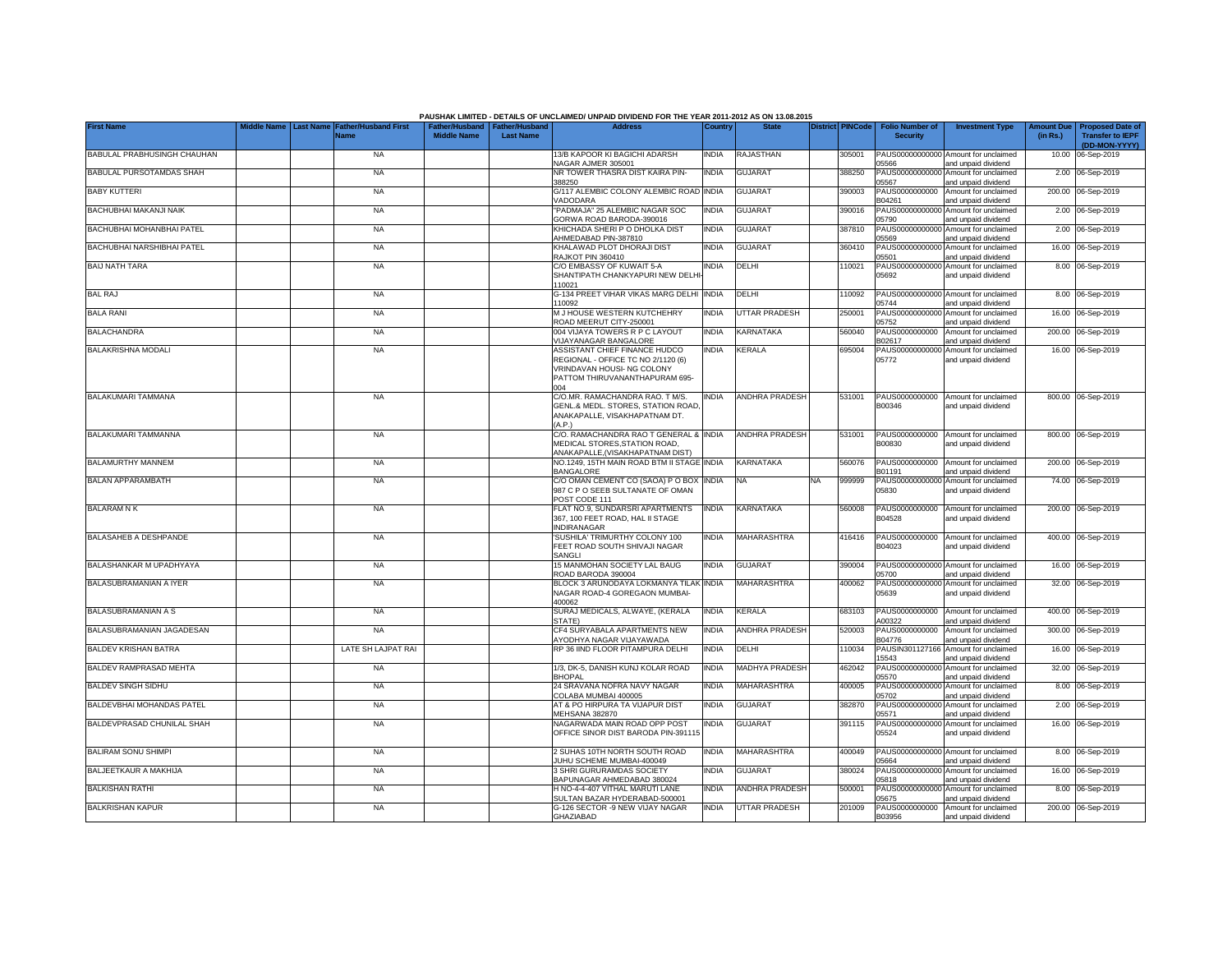|                                   |                  |                                            |                                                       |                  | PAUSHAK LIMITED - DETAILS OF UNCLAIMED/ UNPAID DIVIDEND FOR THE YEAR 2011-2012 AS ON 13.08.2015                                            |              |                       |                         |                                           |                                                             |                               |                                                                     |
|-----------------------------------|------------------|--------------------------------------------|-------------------------------------------------------|------------------|--------------------------------------------------------------------------------------------------------------------------------------------|--------------|-----------------------|-------------------------|-------------------------------------------|-------------------------------------------------------------|-------------------------------|---------------------------------------------------------------------|
| <b>First Name</b>                 | <b>Last Name</b> | <b>Father/Husband First</b><br><b>Name</b> | Father/Husband   Father/Husband<br><b>Middle Name</b> | <b>Last Name</b> | <b>Address</b>                                                                                                                             | Country      | <b>State</b>          | <b>District PINCode</b> | <b>Folio Number of</b><br><b>Security</b> | <b>Investment Type</b>                                      | <b>Amount Due</b><br>(in Rs.) | <b>Proposed Date of</b><br><b>Transfer to IEPF</b><br>(DD-MON-YYYY) |
| BABULAL PRABHUSINGH CHAUHAN       |                  | <b>NA</b>                                  |                                                       |                  | 13/B KAPOOR KI BAGICHI ADARSH<br>VAGAR AJMER 305001                                                                                        | <b>INDIA</b> | RAJASTHAN             | 305001                  | 05566                                     | PAUS00000000000 Amount for unclaimed<br>and unpaid dividend |                               | 10.00 06-Sep-2019                                                   |
| BABULAL PURSOTAMDAS SHAH          |                  | <b>NA</b>                                  |                                                       |                  | NR TOWER THASRA DIST KAIRA PIN-<br>388250                                                                                                  | INDIA        | <b>GUJARAT</b>        | 388250                  | 05567                                     | PAUS00000000000 Amount for unclaimed<br>and unpaid dividend |                               | 2.00 06-Sep-2019                                                    |
| <b>BABY KUTTERI</b>               |                  | <b>NA</b>                                  |                                                       |                  | G/117 ALEMBIC COLONY ALEMBIC ROAD INDIA<br><b>VADODARA</b>                                                                                 |              | <b>GUJARAT</b>        | 390003                  | PAUS0000000000<br>B04261                  | Amount for unclaimed<br>and unpaid dividend                 |                               | 200.00 06-Sep-2019                                                  |
| BACHUBHAI MAKANJI NAIK            |                  | <b>NA</b>                                  |                                                       |                  | PADMAJA" 25 ALEMBIC NAGAR SOC<br>GORWA ROAD BARODA-390016                                                                                  | <b>INDIA</b> | GUJARAT               | 390016                  | PAUS0000000000<br>05790                   | Amount for unclaimed<br>and unpaid dividend                 |                               | 2.00 06-Sep-2019                                                    |
| BACHUBHAI MOHANBHAI PATEL         |                  | <b>NA</b>                                  |                                                       |                  | KHICHADA SHERI P O DHOLKA DIST<br>AHMEDABAD PIN-387810                                                                                     | INDIA        | <b>GUJARAT</b>        | 387810                  | PAUS0000000000<br>05569                   | Amount for unclaimed<br>and unpaid dividend                 |                               | 2.00 06-Sep-2019                                                    |
| BACHUBHAI NARSHIBHAI PATEL        |                  | <b>NA</b>                                  |                                                       |                  | KHALAWAD PLOT DHORAJI DIST<br><b>RAJKOT PIN 360410</b>                                                                                     | INDIA        | <b>GUJARAT</b>        | 360410                  | PAUS0000000000<br>15501                   | Amount for unclaimed<br>and unpaid dividend                 |                               | 16.00 06-Sep-2019                                                   |
| <b>BAIJ NATH TARA</b>             |                  | <b>NA</b>                                  |                                                       |                  | C/O EMBASSY OF KUWAIT 5-A<br>SHANTIPATH CHANKYAPURI NEW DELH<br>110021                                                                     | NDIA         | DELHI                 | 10021                   | PAUS00000000000<br>05692                  | Amount for unclaimed<br>and unpaid dividend                 |                               | 8.00 06-Sep-2019                                                    |
| <b>BAL RAJ</b>                    |                  | <b>NA</b>                                  |                                                       |                  | G-134 PREET VIHAR VIKAS MARG DELHI<br>110092                                                                                               | <b>INDIA</b> | DELHI                 | 10092                   | 05744                                     | PAUS00000000000 Amount for unclaimed<br>and unpaid dividend |                               | 8.00 06-Sep-2019                                                    |
| <b>BALA RANI</b>                  |                  | <b>NA</b>                                  |                                                       |                  | M J HOUSE WESTERN KUTCHEHRY<br>ROAD MEERUT CITY-250001                                                                                     | <b>INDIA</b> | <b>UTTAR PRADESH</b>  | 250001                  | PAUS0000000000<br>15752                   | Amount for unclaimed<br>and unpaid dividend                 |                               | 16.00 06-Sep-2019                                                   |
| <b>BALACHANDRA</b>                |                  | <b>NA</b>                                  |                                                       |                  | 004 VIJAYA TOWERS R P C LAYOUT<br>/IJAYANAGAR BANGALORE                                                                                    | <b>INDIA</b> | KARNATAKA             | 560040                  | PAUS0000000000<br>302617                  | Amount for unclaimed<br>and unpaid dividend                 |                               | 200.00 06-Sep-2019                                                  |
| <b>BALAKRISHNA MODALI</b>         |                  | <b>NA</b>                                  |                                                       |                  | ASSISTANT CHIEF FINANCE HUDCO<br>REGIONAL - OFFICE TC NO 2/1120 (6)<br>VRINDAVAN HOUSI- NG COLONY<br>PATTOM THIRUVANANTHAPURAM 695-<br>004 | India        | <b>KERALA</b>         | 695004                  | PAUS00000000000<br>05772                  | Amount for unclaimed<br>and unpaid dividend                 |                               | 16.00 06-Sep-2019                                                   |
| BALAKUMARI TAMMANA                |                  | <b>NA</b>                                  |                                                       |                  | C/O.MR. RAMACHANDRA RAO. T M/S.<br>GENL.& MEDL. STORES, STATION ROAD<br>ANAKAPALLE, VISAKHAPATNAM DT.<br>AP)                               | <b>INDIA</b> | <b>ANDHRA PRADESH</b> | 531001                  | PAUS0000000000<br>B00346                  | Amount for unclaimed<br>and unpaid dividend                 |                               | 800.00 06-Sep-2019                                                  |
| BALAKUMARI TAMMANNA               |                  | <b>NA</b>                                  |                                                       |                  | C/O. RAMACHANDRA RAO T GENERAL & INDIA<br>MEDICAL STORES.STATION ROAD.<br>ANAKAPALLE, (VISAKHAPATNAM DIST)                                 |              | <b>ANDHRA PRADESH</b> | 531001                  | B00830                                    | PAUS0000000000 Amount for unclaimed<br>and unpaid dividend  |                               | 800.00 06-Sep-2019                                                  |
| <b>BALAMURTHY MANNEM</b>          |                  | <b>NA</b>                                  |                                                       |                  | NO.1249. 15TH MAIN ROAD BTM II STAGE INDIA<br><b>BANGALORE</b>                                                                             |              | <b>KARNATAKA</b>      | 560076                  | PAUS0000000000<br>B01191                  | Amount for unclaimed<br>and unpaid dividend                 |                               | 200.00 06-Sep-2019                                                  |
| <b>BALAN APPARAMBATH</b>          |                  | <b>NA</b>                                  |                                                       |                  | C/O OMAN CEMENT CO (SAOA) P O BOX<br>987 C P O SEEB SULTANATE OF OMAN<br>POST CODE 111                                                     | <b>INDIA</b> | <b>NA</b>             | NA<br>999999            | PAUS0000000000<br>05830                   | Amount for unclaimed<br>and unpaid dividend                 |                               | 74.00 06-Sep-2019                                                   |
| <b>BALARAM N K</b>                |                  | <b>NA</b>                                  |                                                       |                  | FLAT NO.9. SUNDARSRI APARTMENTS<br>367, 100 FEET ROAD, HAL II STAGE<br><b>INDIRANAGAR</b>                                                  | <b>INDIA</b> | <b>KARNATAKA</b>      | 560008                  | PAUS0000000000<br>B04528                  | Amount for unclaimed<br>and unpaid dividend                 |                               | 200.00 06-Sep-2019                                                  |
| <b>BALASAHEB A DESHPANDE</b>      |                  | <b>NA</b>                                  |                                                       |                  | 'SUSHILA' TRIMURTHY COLONY 100<br>FEET ROAD SOUTH SHIVAJI NAGAR<br>SANGLI                                                                  | INDIA        | MAHARASHTRA           | 416416                  | PAUS0000000000<br>B04023                  | Amount for unclaimed<br>and unpaid dividend                 |                               | 400.00 06-Sep-2019                                                  |
| BALASHANKAR M UPADHYAYA           |                  | <b>NA</b>                                  |                                                       |                  | 15 MANMOHAN SOCIETY LAL BAUG<br>ROAD BARODA 390004                                                                                         | India        | <b>GUJARAT</b>        | 390004                  | 05700                                     | PAUS00000000000 Amount for unclaimed<br>and unpaid dividend |                               | 16.00 06-Sep-2019                                                   |
| BALASUBRAMANIAN A IYER            |                  | <b>NA</b>                                  |                                                       |                  | BLOCK 3 ARUNODAYA LOKMANYA TILAK<br>NAGAR ROAD-4 GOREGAON MUMBAI-<br>400062                                                                | <b>INDIA</b> | <b>MAHARASHTRA</b>    | 400062                  | 05639                                     | PAUS00000000000 Amount for unclaimed<br>and unpaid dividend |                               | 32.00 06-Sep-2019                                                   |
| BALASUBRAMANIAN A S               |                  | <b>NA</b>                                  |                                                       |                  | SURAJ MEDICALS, ALWAYE, (KERALA<br>STATE)                                                                                                  | INDIA        | <b>KERALA</b>         | 683103                  | PAUS0000000000<br>A00322                  | Amount for unclaimed<br>and unpaid dividend                 |                               | 400.00 06-Sep-2019                                                  |
| BALASUBRAMANIAN JAGADESAN         |                  | <b>NA</b>                                  |                                                       |                  | CF4 SURYABALA APARTMENTS NEW<br>AYODHYA NAGAR VIJAYAWADA                                                                                   | India        | <b>ANDHRA PRADESH</b> | 520003                  | PAUS0000000000<br>B04776                  | Amount for unclaimed<br>and unpaid dividend                 |                               | 300.00 06-Sep-2019                                                  |
| <b>BALDEV KRISHAN BATRA</b>       |                  | LATE SH LAJPAT RAI                         |                                                       |                  | RP 36 IIND FLOOR PITAMPURA DELHI                                                                                                           | INDIA        | DELHI                 | 110034                  | PAUSIN301127166<br>15543                  | Amount for unclaimed<br>and unpaid dividend                 |                               | 16.00 06-Sep-2019                                                   |
| BALDEV RAMPRASAD MEHTA            |                  | <b>NA</b>                                  |                                                       |                  | 1/3, DK-5, DANISH KUNJ KOLAR ROAD<br><b>BHOPAL</b>                                                                                         | india        | MADHYA PRADESH        | 462042                  | PAUS0000000000<br>05570                   | Amount for unclaimed<br>and unpaid dividend                 |                               | 32.00 06-Sep-2019                                                   |
| <b>BALDEV SINGH SIDHU</b>         |                  | <b>NA</b>                                  |                                                       |                  | 24 SRAVANA NOFRA NAVY NAGAR<br>COLABA MUMBAI 400005                                                                                        | NDIA         | MAHARASHTRA           | 400005                  | PAUS00000000000<br>05702                  | Amount for unclaimed<br>and unpaid dividend                 |                               | 8.00 06-Sep-2019                                                    |
| BALDEVBHAI MOHANDAS PATEL         |                  | <b>NA</b>                                  |                                                       |                  | AT & PO HIRPURA TA VIJAPUR DIST<br><b>MEHSANA 382870</b>                                                                                   | india        | GUJARAT               | 382870                  | PAUS00000000000<br>05571                  | Amount for unclaimed<br>and unpaid dividend                 |                               | 2.00 06-Sep-2019                                                    |
| <b>BALDEVPRASAD CHUNILAL SHAH</b> |                  | <b>NA</b>                                  |                                                       |                  | NAGARWADA MAIN ROAD OPP POST<br>OFFICE SINOR DIST BARODA PIN-391115                                                                        | india        | <b>GUJARAT</b>        | 391115                  | 05524                                     | PAUS00000000000 Amount for unclaimed<br>and unpaid dividend |                               | 16.00 06-Sep-2019                                                   |
| <b>BALIRAM SONU SHIMPI</b>        |                  | <b>NA</b>                                  |                                                       |                  | 2 SUHAS 10TH NORTH SOUTH ROAD<br>JUHU SCHEME MUMBAI-400049                                                                                 | <b>INDIA</b> | <b>MAHARASHTRA</b>    | 400049                  | 05664                                     | PAUS00000000000 Amount for unclaimed<br>and unpaid dividend |                               | 8.00 06-Sep-2019                                                    |
| BALJEETKAUR A MAKHIJA             |                  | <b>NA</b>                                  |                                                       |                  | 3 SHRI GURURAMDAS SOCIETY<br>BAPUNAGAR AHMEDABAD 380024                                                                                    | INDIA        | <b>GUJARAT</b>        | 380024                  | 05818                                     | PAUS00000000000 Amount for unclaimed<br>and unpaid dividend |                               | 16.00 06-Sep-2019                                                   |
| <b>BALKISHAN RATHI</b>            |                  | <b>NA</b>                                  |                                                       |                  | H NO-4-4-407 VITHAL MARUTI LANE<br>SULTAN BAZAR HYDERABAD-500001                                                                           | INDIA        | ANDHRA PRADESH        | 500001                  | 05675                                     | PAUS00000000000 Amount for unclaimed<br>and unpaid dividend |                               | 8.00 06-Sep-2019                                                    |
| <b>BALKRISHAN KAPUR</b>           |                  | <b>NA</b>                                  |                                                       |                  | G-126 SECTOR -9 NEW VIJAY NAGAR<br><b>GHAZIABAD</b>                                                                                        | <b>INDIA</b> | <b>UTTAR PRADESH</b>  | 201009                  | B03956                                    | PAUS0000000000 Amount for unclaimed<br>and unpaid dividend  |                               | 200.00 06-Sep-2019                                                  |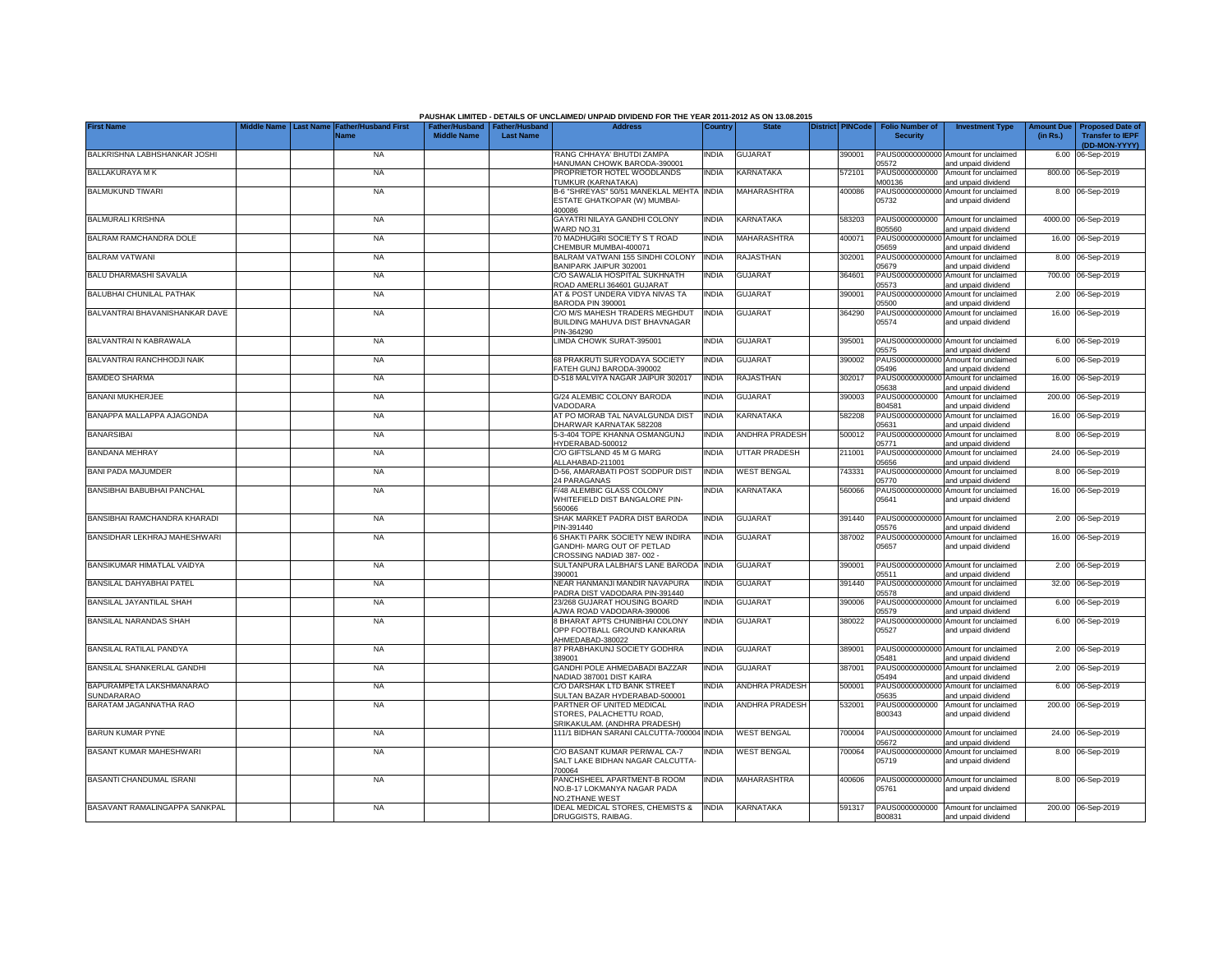| <b>First Name</b>                    | <b>Last Name</b> | <b>Father/Husband First</b> |                    | Father/Husband   Father/Husband | PAUSHAK LIMITED - DETAILS OF UNCLAIMED/ UNPAID DIVIDEND FOR THE YEAR 2011-2012 AS ON 13.08.2015<br><b>Address</b> | Country      | <b>State</b>          | <b>District PINCode</b> |        | <b>Folio Number of</b>   |                                                             | <b>Amount Due</b> | <b>Proposed Date of</b> |
|--------------------------------------|------------------|-----------------------------|--------------------|---------------------------------|-------------------------------------------------------------------------------------------------------------------|--------------|-----------------------|-------------------------|--------|--------------------------|-------------------------------------------------------------|-------------------|-------------------------|
|                                      |                  | Name                        | <b>Middle Name</b> | <b>Last Name</b>                |                                                                                                                   |              |                       |                         |        | <b>Security</b>          | <b>Investment Type</b>                                      | (in Rs.)          | <b>Transfer to IEPF</b> |
|                                      |                  |                             |                    |                                 |                                                                                                                   |              |                       |                         |        |                          |                                                             |                   | (DD-MON-YYYY)           |
| BALKRISHNA LABHSHANKAR JOSHI         |                  | <b>NA</b>                   |                    |                                 | RANG CHHAYA' BHUTDI ZAMPA                                                                                         | INDIA        | <b>GUJARAT</b>        |                         | 390001 |                          | PAUS00000000000 Amount for unclaimed                        | 6.00              | 06-Sep-2019             |
|                                      |                  |                             |                    |                                 | HANUMAN CHOWK BARODA-390001                                                                                       |              |                       |                         |        | 05572                    | and unpaid dividend                                         |                   |                         |
| BALLAKURAYA M K                      |                  | <b>NA</b>                   |                    |                                 | PROPRIETOR HOTEL WOODLANDS<br>TUMKUR (KARNATAKA)                                                                  | INDIA        | KARNATAKA             |                         | 572101 | PAUS0000000000<br>M00136 | Amount for unclaimed<br>and unpaid dividend                 |                   | 800.00 06-Sep-2019      |
| <b>BALMUKUND TIWARI</b>              |                  | <b>NA</b>                   |                    |                                 | B-6 "SHREYAS" 50/51 MANEKLAL MEHTA INDIA                                                                          |              | MAHARASHTRA           |                         | 400086 | PAUS00000000000          | Amount for unclaimed                                        |                   | 8.00 06-Sep-2019        |
|                                      |                  |                             |                    |                                 | ESTATE GHATKOPAR (W) MUMBAI-                                                                                      |              |                       |                         |        | 05732                    | and unpaid dividend                                         |                   |                         |
|                                      |                  |                             |                    |                                 | 400086                                                                                                            |              |                       |                         |        |                          |                                                             |                   |                         |
| <b>BALMURALI KRISHNA</b>             |                  | <b>NA</b>                   |                    |                                 | GAYATRI NILAYA GANDHI COLONY                                                                                      | <b>INDIA</b> | <b>KARNATAKA</b>      |                         | 583203 | PAUS0000000000           | Amount for unclaimed                                        |                   | 4000.00 06-Sep-2019     |
| BALRAM RAMCHANDRA DOLE               |                  | <b>NA</b>                   |                    |                                 | VARD NO.31<br>70 MADHUGIRI SOCIETY S T ROAD                                                                       | <b>INDIA</b> | MAHARASHTRA           |                         | 400071 | B05560<br>PAUS0000000000 | and unpaid dividend<br>Amount for unclaimed                 |                   | 16.00 06-Sep-2019       |
|                                      |                  |                             |                    |                                 | CHEMBUR MUMBAI-400071                                                                                             |              |                       |                         |        | 05659                    | and unpaid dividend                                         |                   |                         |
| BALRAM VATWANI                       |                  | <b>NA</b>                   |                    |                                 | BALRAM VATWANI 155 SINDHI COLONY                                                                                  | INDIA        | RAJASTHAN             |                         | 302001 | PAUS0000000000           | Amount for unclaimed                                        |                   | 8.00 06-Sep-2019        |
|                                      |                  |                             |                    |                                 | BANIPARK JAIPUR 302001                                                                                            |              |                       |                         |        | 05679                    | and unpaid dividend                                         |                   |                         |
| <b>BALU DHARMASHI SAVALIA</b>        |                  | <b>NA</b>                   |                    |                                 | C/O SAWALIA HOSPITAL SUKHNATH                                                                                     | INDIA        | <b>GUJARAT</b>        |                         | 364601 | PAUS0000000000           | Amount for unclaimed                                        |                   | 700.00 06-Sep-2019      |
|                                      |                  |                             |                    |                                 | ROAD AMERLI 364601 GUJARAT                                                                                        |              |                       |                         |        | 05573                    | and unpaid dividend                                         |                   |                         |
| BALUBHAI CHUNILAL PATHAK             |                  | <b>NA</b>                   |                    |                                 | AT & POST UNDERA VIDYA NIVAS TA<br>BARODA PIN 390001                                                              | INDIA        | <b>GUJARAT</b>        |                         | 390001 | PAUS0000000000<br>05500  | Amount for unclaimed<br>and unpaid dividend                 |                   | 2.00 06-Sep-2019        |
| BALVANTRAI BHAVANISHANKAR DAVE       |                  | <b>NA</b>                   |                    |                                 | C/O M/S MAHESH TRADERS MEGHDUT                                                                                    | <b>INDIA</b> | <b>GUJARAT</b>        |                         | 364290 | PAUS00000000000          | Amount for unclaimed                                        |                   | 16.00 06-Sep-2019       |
|                                      |                  |                             |                    |                                 | BUILDING MAHUVA DIST BHAVNAGAR                                                                                    |              |                       |                         |        | 05574                    | and unpaid dividend                                         |                   |                         |
|                                      |                  |                             |                    |                                 | PIN-364290                                                                                                        |              |                       |                         |        |                          |                                                             |                   |                         |
| BALVANTRAI N KABRAWALA               |                  | <b>NA</b>                   |                    |                                 | LIMDA CHOWK SURAT-395001                                                                                          | INDIA        | <b>GUJARAT</b>        |                         | 395001 |                          | PAUS00000000000 Amount for unclaimed                        |                   | 6.00 06-Sep-2019        |
| BALVANTRAI RANCHHODJI NAIK           |                  | <b>NA</b>                   |                    |                                 | 68 PRAKRUTI SURYODAYA SOCIETY                                                                                     | INDIA        | <b>GUJARAT</b>        |                         | 390002 | 05575<br>PAUS0000000000  | and unpaid dividend<br>Amount for unclaimed                 |                   | 6.00 06-Sep-2019        |
|                                      |                  |                             |                    |                                 | FATEH GUNJ BARODA-390002                                                                                          |              |                       |                         |        | 05496                    | and unpaid dividend                                         |                   |                         |
| <b>BAMDEO SHARMA</b>                 |                  | <b>NA</b>                   |                    |                                 | D-518 MALVIYA NAGAR JAIPUR 302017                                                                                 | india        | RAJASTHAN             |                         | 302017 | PAUS0000000000           | Amount for unclaimed                                        | 16.00             | 06-Sep-2019             |
|                                      |                  |                             |                    |                                 |                                                                                                                   |              |                       |                         |        | 05638                    | and unpaid dividend                                         |                   |                         |
| <b>BANANI MUKHERJEE</b>              |                  | <b>NA</b>                   |                    |                                 | G/24 ALEMBIC COLONY BARODA                                                                                        | INDIA        | <b>GUJARAT</b>        |                         | 390003 | PAUS0000000000           | Amount for unclaimed                                        |                   | 200.00 06-Sep-2019      |
| BANAPPA MALLAPPA AJAGONDA            |                  | <b>NA</b>                   |                    |                                 | VADODARA<br>AT PO MORAB TAL NAVALGUNDA DIST                                                                       | INDIA        | KARNATAKA             |                         | 582208 | B04581<br>PAUS0000000000 | and unpaid dividend<br>Amount for unclaimed                 | 16.00             | 06-Sep-2019             |
|                                      |                  |                             |                    |                                 | DHARWAR KARNATAK 582208                                                                                           |              |                       |                         |        | 05631                    | and unpaid dividend                                         |                   |                         |
| <b>BANARSIBAI</b>                    |                  | <b>NA</b>                   |                    |                                 | 5-3-404 TOPE KHANNA OSMANGUNJ                                                                                     | INDIA        | ANDHRA PRADESH        |                         | 500012 | PAUS0000000000           | Amount for unclaimed                                        | 8.00              | 06-Sep-2019             |
|                                      |                  |                             |                    |                                 | HYDERABAD-500012                                                                                                  |              |                       |                         |        | 05771                    | and unpaid dividend                                         |                   |                         |
| <b>BANDANA MEHRAY</b>                |                  | <b>NA</b>                   |                    |                                 | C/O GIFTSLAND 45 M G MARG                                                                                         | INDIA        | <b>UTTAR PRADESH</b>  |                         | 211001 | PAUS0000000000           | Amount for unclaimed                                        |                   | 24.00 06-Sep-2019       |
|                                      |                  |                             |                    |                                 | ALLAHABAD-211001                                                                                                  |              |                       |                         |        | 05656                    | and unpaid dividend                                         |                   |                         |
| <b>BANI PADA MAJUMDER</b>            |                  | <b>NA</b>                   |                    |                                 | D-56, AMARABATI POST SODPUR DIST<br>24 PARAGANAS                                                                  | INDIA        | <b>WEST BENGAL</b>    |                         | 743331 | PAUS0000000000<br>05770  | Amount for unclaimed<br>and unpaid dividend                 | 8.00              | 06-Sep-2019             |
| BANSIBHAI BABUBHAI PANCHAL           |                  | <b>NA</b>                   |                    |                                 | F/48 ALEMBIC GLASS COLONY                                                                                         | INDIA        | KARNATAKA             |                         | 560066 | PAUS0000000000           | Amount for unclaimed                                        |                   | 16.00 06-Sep-2019       |
|                                      |                  |                             |                    |                                 | WHITEFIELD DIST BANGALORE PIN-                                                                                    |              |                       |                         |        | 05641                    | and unpaid dividend                                         |                   |                         |
|                                      |                  |                             |                    |                                 | 560066                                                                                                            |              |                       |                         |        |                          |                                                             |                   |                         |
| BANSIBHAI RAMCHANDRA KHARADI         |                  | <b>NA</b>                   |                    |                                 | SHAK MARKET PADRA DIST BARODA                                                                                     | INDIA        | <b>GUJARAT</b>        |                         | 391440 |                          | PAUS00000000000 Amount for unclaimed                        |                   | 2.00 06-Sep-2019        |
| BANSIDHAR LEKHRAJ MAHESHWARI         |                  | <b>NA</b>                   |                    |                                 | PIN-391440<br>6 SHAKTI PARK SOCIETY NEW INDIRA                                                                    | INDIA        | <b>GUJARAT</b>        |                         | 387002 | 05576                    | and unpaid dividend<br>PAUS00000000000 Amount for unclaimed |                   | 16.00 06-Sep-2019       |
|                                      |                  |                             |                    |                                 | GANDHI- MARG OUT OF PETLAD                                                                                        |              |                       |                         |        | 05657                    | and unpaid dividend                                         |                   |                         |
|                                      |                  |                             |                    |                                 | CROSSING NADIAD 387-002 -                                                                                         |              |                       |                         |        |                          |                                                             |                   |                         |
| BANSIKUMAR HIMATLAL VAIDYA           |                  | <b>NA</b>                   |                    |                                 | SULTANPURA LALBHAI'S LANE BARODA INDIA                                                                            |              | <b>GUJARAT</b>        |                         | 390001 |                          | PAUS00000000000 Amount for unclaimed                        |                   | 2.00 06-Sep-2019        |
|                                      |                  |                             |                    |                                 | 390001                                                                                                            |              |                       |                         |        | 05511                    | and unpaid dividend                                         |                   |                         |
| BANSILAL DAHYABHAI PATEL             |                  | <b>NA</b>                   |                    |                                 | NEAR HANMANJI MANDIR NAVAPURA<br>PADRA DIST VADODARA PIN-391440                                                   | NDIA         | <b>GUJARAT</b>        |                         | 391440 | PAUS00000000000<br>05578 | Amount for unclaimed<br>and unpaid dividend                 | 32.00             | 06-Sep-2019             |
| BANSILAL JAYANTILAL SHAH             |                  | <b>NA</b>                   |                    |                                 | 23/268 GUJARAT HOUSING BOARD                                                                                      | INDIA        | GUJARAT               |                         | 390006 | PAUS0000000000           | Amount for unclaimed                                        | 6.00              | 06-Sep-2019             |
|                                      |                  |                             |                    |                                 | AJWA ROAD VADODARA-390006                                                                                         |              |                       |                         |        | 05579                    | and unpaid dividend                                         |                   |                         |
| BANSILAL NARANDAS SHAH               |                  | <b>NA</b>                   |                    |                                 | 8 BHARAT APTS CHUNIBHAI COLONY                                                                                    | INDIA        | <b>GUJARAT</b>        |                         | 380022 | PAUS00000000000          | Amount for unclaimed                                        |                   | 6.00 06-Sep-2019        |
|                                      |                  |                             |                    |                                 | OPP FOOTBALL GROUND KANKARIA                                                                                      |              |                       |                         |        | 05527                    | and unpaid dividend                                         |                   |                         |
| <b>BANSILAL RATILAL PANDYA</b>       |                  | <b>NA</b>                   |                    |                                 | AHMEDABAD-380022<br>87 PRABHAKUNJ SOCIETY GODHRA                                                                  | INDIA        | <b>GUJARAT</b>        |                         | 389001 |                          | PAUS00000000000 Amount for unclaimed                        |                   | 2.00 06-Sep-2019        |
|                                      |                  |                             |                    |                                 | 389001                                                                                                            |              |                       |                         |        | 05481                    | and unpaid dividend                                         |                   |                         |
| BANSILAL SHANKERLAL GANDHI           |                  | <b>NA</b>                   |                    |                                 | GANDHI POLE AHMEDABADI BAZZAR                                                                                     | INDIA        | <b>GUJARAT</b>        |                         | 387001 |                          | PAUS00000000000 Amount for unclaimed                        |                   | 2.00 06-Sep-2019        |
|                                      |                  |                             |                    |                                 | NADIAD 387001 DIST KAIRA                                                                                          |              |                       |                         |        | 05494                    | and unpaid dividend                                         |                   |                         |
| BAPURAMPETA LAKSHMANARAO             |                  | <b>NA</b>                   |                    |                                 | C/O DARSHAK LTD BANK STREET                                                                                       | NDIA         | <b>ANDHRA PRADESH</b> |                         | 500001 |                          | PAUS00000000000 Amount for unclaimed                        |                   | 6.00 06-Sep-2019        |
| SUNDARARAO<br>BARATAM JAGANNATHA RAO |                  | <b>NA</b>                   |                    |                                 | SULTAN BAZAR HYDERABAD-500001<br>PARTNER OF UNITED MEDICAL                                                        | NDIA         | <b>ANDHRA PRADESH</b> |                         | 532001 | 05635<br>PAUS0000000000  | and unpaid dividend<br>Amount for unclaimed                 |                   | 200.00 06-Sep-2019      |
|                                      |                  |                             |                    |                                 | STORES, PALACHETTU ROAD,                                                                                          |              |                       |                         |        | B00343                   | and unpaid dividend                                         |                   |                         |
|                                      |                  |                             |                    |                                 | SRIKAKULAM. (ANDHRA PRADESH)                                                                                      |              |                       |                         |        |                          |                                                             |                   |                         |
| <b>BARUN KUMAR PYNE</b>              |                  | <b>NA</b>                   |                    |                                 | 111/1 BIDHAN SARANI CALCUTTA-700004 INDIA                                                                         |              | <b>WEST BENGAL</b>    |                         | 700004 |                          | PAUS00000000000 Amount for unclaimed                        |                   | 24.00 06-Sep-2019       |
|                                      |                  |                             |                    |                                 |                                                                                                                   |              |                       |                         |        | 05672                    | and unpaid dividend                                         |                   |                         |
| BASANT KUMAR MAHESHWARI              |                  | <b>NA</b>                   |                    |                                 | C/O BASANT KUMAR PERIWAL CA-7<br>SALT LAKE BIDHAN NAGAR CALCUTTA-                                                 | NDIA         | <b>WEST BENGAL</b>    |                         | 700064 | 05719                    | PAUS00000000000 Amount for unclaimed<br>and unpaid dividend |                   | 8.00 06-Sep-2019        |
|                                      |                  |                             |                    |                                 | 700064                                                                                                            |              |                       |                         |        |                          |                                                             |                   |                         |
| BASANTI CHANDUMAL ISRANI             |                  | <b>NA</b>                   |                    |                                 | PANCHSHEEL APARTMENT-B ROOM                                                                                       | india        | MAHARASHTRA           |                         | 400606 |                          | PAUS00000000000 Amount for unclaimed                        |                   | 8.00 06-Sep-2019        |
|                                      |                  |                             |                    |                                 | NO.B-17 LOKMANYA NAGAR PADA                                                                                       |              |                       |                         |        | 05761                    | and unpaid dividend                                         |                   |                         |
|                                      |                  |                             |                    |                                 | <b>NO.2THANE WEST</b>                                                                                             |              |                       |                         |        |                          |                                                             |                   |                         |
| BASAVANT RAMALINGAPPA SANKPAL        |                  | <b>NA</b>                   |                    |                                 | <b>IDEAL MEDICAL STORES, CHEMISTS &amp;</b>                                                                       | <b>INDIA</b> | <b>KARNATAKA</b>      |                         | 591317 | PAUS0000000000           | Amount for unclaimed                                        |                   | 200.00 06-Sep-2019      |
|                                      |                  |                             |                    |                                 | <b>DRUGGISTS, RAIBAG.</b>                                                                                         |              |                       |                         |        | B00831                   | and unpaid dividend                                         |                   |                         |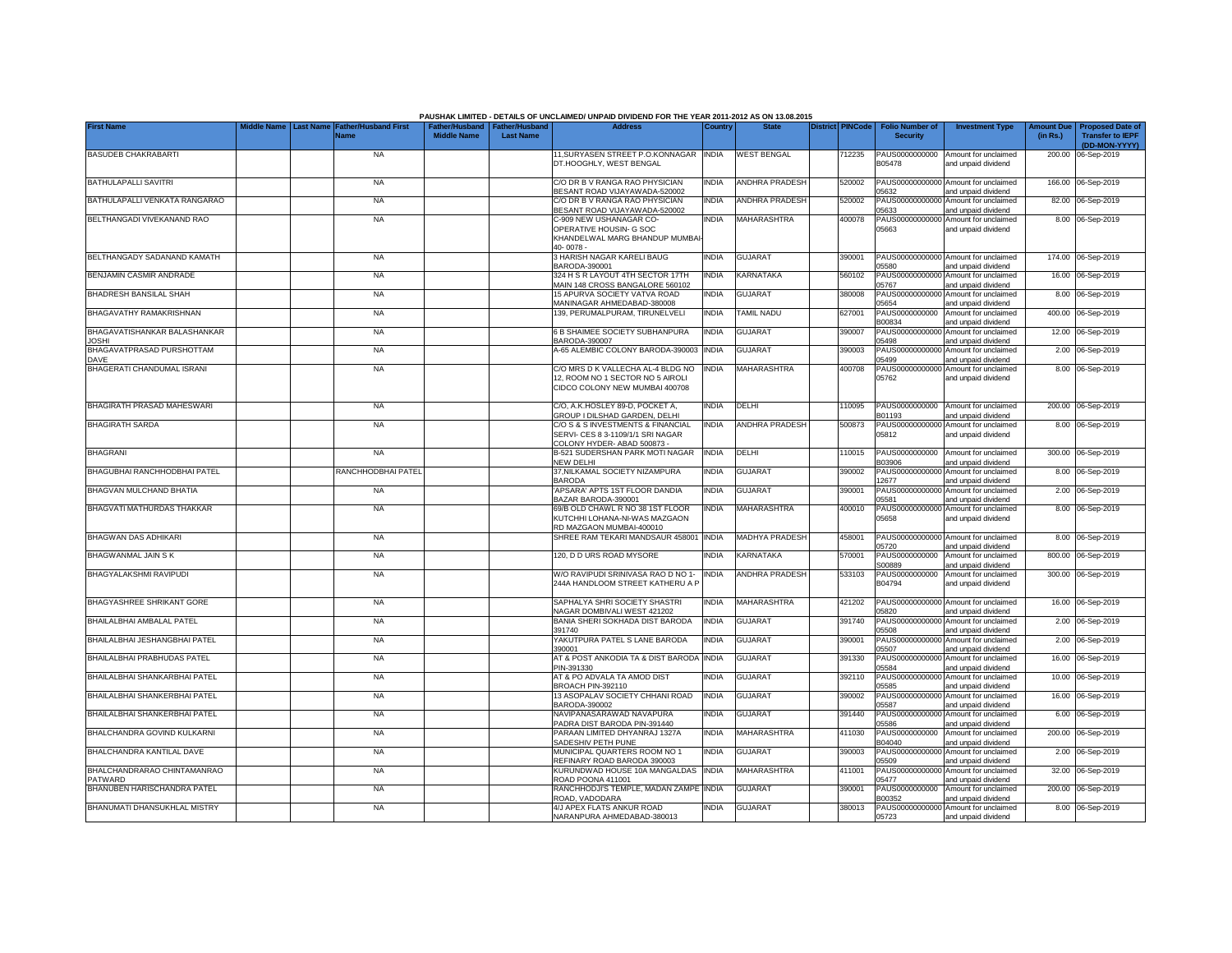|                                              | Middle Name      |                                            |                                                       |                  | PAUSHAK LIMITED - DETAILS OF UNCLAIMED/ UNPAID DIVIDEND FOR THE YEAR 2011-2012 AS ON 13.08.2015<br><b>Address</b> |              | <b>State</b>          |                         |                                           |                                                             |                               |                                                    |
|----------------------------------------------|------------------|--------------------------------------------|-------------------------------------------------------|------------------|-------------------------------------------------------------------------------------------------------------------|--------------|-----------------------|-------------------------|-------------------------------------------|-------------------------------------------------------------|-------------------------------|----------------------------------------------------|
| <b>First Name</b>                            | <b>Last Name</b> | <b>Father/Husband First</b><br><b>Name</b> | Father/Husband   Father/Husband<br><b>Middle Name</b> | <b>Last Name</b> |                                                                                                                   | Country      |                       | <b>District PINCode</b> | <b>Folio Number of</b><br><b>Security</b> | <b>Investment Type</b>                                      | <b>Amount Due</b><br>(in Rs.) | <b>Proposed Date of</b><br><b>Transfer to IEPF</b> |
| <b>BASUDEB CHAKRABARTI</b>                   |                  | <b>NA</b>                                  |                                                       |                  | 11, SURYASEN STREET P.O.KONNAGAR INDIA                                                                            |              | <b>WEST BENGAL</b>    | 12235                   | PAUS0000000000                            | Amount for unclaimed                                        |                               | (DD-MON-YYYY)<br>200.00 06-Sep-2019                |
|                                              |                  |                                            |                                                       |                  | DT.HOOGHLY, WEST BENGAL                                                                                           |              |                       |                         | B05478                                    | and unpaid dividend                                         |                               |                                                    |
| BATHULAPALLI SAVITRI                         |                  | <b>NA</b>                                  |                                                       |                  | C/O DR B V RANGA RAO PHYSICIAN<br>BESANT ROAD VIJAYAWADA-520002                                                   | INDIA        | <b>ANDHRA PRADESH</b> | 520002                  | 05632                                     | PAUS00000000000 Amount for unclaimed<br>and unpaid dividend |                               | 166.00 06-Sep-2019                                 |
| BATHULAPALLI VENKATA RANGARAO                |                  | <b>NA</b>                                  |                                                       |                  | C/O DR B V RANGA RAO PHYSICIAN<br>BESANT ROAD VIJAYAWADA-520002                                                   | INDIA        | <b>ANDHRA PRADESH</b> | 520002                  | PAUS00000000000<br>05633                  | Amount for unclaimed<br>and unpaid dividend                 |                               | 82.00 06-Sep-2019                                  |
| BELTHANGADI VIVEKANAND RAO                   |                  | <b>NA</b>                                  |                                                       |                  | C-909 NEW USHANAGAR CO-<br>OPERATIVE HOUSIN- G SOC                                                                | INDIA        | MAHARASHTRA           | 400078                  | 05663                                     | PAUS00000000000 Amount for unclaimed<br>and unpaid dividend |                               | 8.00 06-Sep-2019                                   |
|                                              |                  |                                            |                                                       |                  | KHANDELWAL MARG BHANDUP MUMBA<br>40-0078-                                                                         |              |                       |                         |                                           |                                                             |                               |                                                    |
| BELTHANGADY SADANAND KAMATH                  |                  | <b>NA</b>                                  |                                                       |                  | 3 HARISH NAGAR KARELI BAUG<br>BARODA-390001                                                                       | <b>INDIA</b> | <b>GUJARAT</b>        | 390001                  | PAUS00000000000<br>05580                  | Amount for unclaimed<br>and unpaid dividend                 |                               | 174.00 06-Sep-2019                                 |
| BENJAMIN CASMIR ANDRADE                      |                  | <b>NA</b>                                  |                                                       |                  | 324 H S R LAYOUT 4TH SECTOR 17TH<br>MAIN 148 CROSS BANGALORE 560102                                               | India        | <b>KARNATAKA</b>      | 560102                  | PAUS0000000000<br>05767                   | Amount for unclaimed<br>and unpaid dividend                 |                               | 16.00 06-Sep-2019                                  |
| BHADRESH BANSILAL SHAH                       |                  | <b>NA</b>                                  |                                                       |                  | 15 APURVA SOCIETY VATVA ROAD<br>MANINAGAR AHMEDABAD-380008                                                        | <b>INDIA</b> | <b>GUJARAT</b>        | 80008                   | PAUS0000000000<br>05654                   | Amount for unclaimed<br>and unpaid dividend                 |                               | 8.00 06-Sep-2019                                   |
| BHAGAVATHY RAMAKRISHNAN                      |                  | <b>NA</b>                                  |                                                       |                  | 139. PERUMALPURAM, TIRUNELVELI                                                                                    | <b>INDIA</b> | TAMIL NADU            | 327001                  | PAUS0000000000<br>300834                  | Amount for unclaimed<br>and unpaid dividend                 |                               | 400.00 06-Sep-2019                                 |
| BHAGAVATISHANKAR BALASHANKAR<br><b>IOSHI</b> |                  | <b>NA</b>                                  |                                                       |                  | 6 B SHAIMEE SOCIETY SUBHANPURA<br>BARODA-390007                                                                   | <b>INDIA</b> | <b>GUJARAT</b>        | 390007                  | PAUS0000000000<br>05498                   | Amount for unclaimed<br>and unpaid dividend                 |                               | 12.00 06-Sep-2019                                  |
| BHAGAVATPRASAD PURSHOTTAM<br><b>DAVE</b>     |                  | <b>NA</b>                                  |                                                       |                  | A-65 ALEMBIC COLONY BARODA-390003                                                                                 | <b>INDIA</b> | <b>GUJARAT</b>        | 390003                  | PAUS0000000000<br>05499                   | Amount for unclaimed<br>and unpaid dividend                 |                               | 2.00 06-Sep-2019                                   |
| BHAGERATI CHANDUMAL ISRANI                   |                  | <b>NA</b>                                  |                                                       |                  | C/O MRS D K VALLECHA AL-4 BLDG NO<br>12, ROOM NO 1 SECTOR NO 5 AIROLI                                             | <b>INDIA</b> | MAHARASHTRA           | 400708                  | PAUS00000000000<br>05762                  | Amount for unclaimed<br>and unpaid dividend                 |                               | 8.00 06-Sep-2019                                   |
|                                              |                  |                                            |                                                       |                  | CIDCO COLONY NEW MUMBAI 400708                                                                                    |              |                       |                         |                                           |                                                             |                               |                                                    |
| BHAGIRATH PRASAD MAHESWARI                   |                  | <b>NA</b>                                  |                                                       |                  | C/O, A.K.HOSLEY 89-D, POCKET A,<br>GROUP I DILSHAD GARDEN, DELHI                                                  | INDIA        | DELHI                 | 110095                  | PAUS0000000000<br>B01193                  | Amount for unclaimed<br>and unpaid dividend                 |                               | 200.00 06-Sep-2019                                 |
| <b>BHAGIRATH SARDA</b>                       |                  | <b>NA</b>                                  |                                                       |                  | C/O S & S INVESTMENTS & FINANCIAL<br>SERVI- CES 8 3-1109/1/1 SRI NAGAR<br>COLONY HYDER- ABAD 500873 -             | <b>INDIA</b> | <b>ANDHRA PRADESH</b> | 500873                  | 05812                                     | PAUS00000000000 Amount for unclaimed<br>and unpaid dividend |                               | 8.00 06-Sep-2019                                   |
| <b>BHAGRANI</b>                              |                  | <b>NA</b>                                  |                                                       |                  | <b>B-521 SUDERSHAN PARK MOTI NAGAR</b><br>NEW DELHI                                                               | <b>INDIA</b> | DELHI                 | 110015                  | PAUS0000000000<br>B03906                  | Amount for unclaimed<br>and unpaid dividend                 |                               | 300.00 06-Sep-2019                                 |
| BHAGUBHAI RANCHHODBHAI PATEL                 |                  | RANCHHODBHAI PATEL                         |                                                       |                  | 37, NILKAMAL SOCIETY NIZAMPURA<br><b>BARODA</b>                                                                   | india        | <b>GUJARAT</b>        | 390002                  | PAUS0000000000<br>12677                   | Amount for unclaimed<br>and unpaid dividend                 | 8.00                          | 06-Sep-2019                                        |
| BHAGVAN MULCHAND BHATIA                      |                  | <b>NA</b>                                  |                                                       |                  | 'APSARA' APTS 1ST FLOOR DANDIA<br>BAZAR BARODA-390001                                                             | <b>INDIA</b> | <b>GUJARAT</b>        | 390001                  | PAUS0000000000<br>05581                   | Amount for unclaimed<br>and unpaid dividend                 | 2.00                          | 06-Sep-2019                                        |
| BHAGVATI MATHURDAS THAKKAR                   |                  | <b>NA</b>                                  |                                                       |                  | 69/B OLD CHAWL R NO 38 1ST FLOOR<br>KUTCHHI LOHANA-NI-WAS MAZGAON<br>RD MAZGAON MUMBAI-400010                     | <b>INDIA</b> | MAHARASHTRA           | 400010                  | PAUS0000000000<br>05658                   | Amount for unclaimed<br>and unpaid dividend                 |                               | 8.00 06-Sep-2019                                   |
| <b>BHAGWAN DAS ADHIKARI</b>                  |                  | <b>NA</b>                                  |                                                       |                  | SHREE RAM TEKARI MANDSAUR 458001                                                                                  | <b>INDIA</b> | MADHYA PRADESH        | 458001                  | PAUS00000000000<br>05720                  | Amount for unclaimed<br>and unpaid dividend                 |                               | 8.00 06-Sep-2019                                   |
| <b>BHAGWANMAL JAIN S K</b>                   |                  | <b>NA</b>                                  |                                                       |                  | 120. D D URS ROAD MYSORE                                                                                          | <b>INDIA</b> | <b>KARNATAKA</b>      | 570001                  | PAUS0000000000<br>S00889                  | Amount for unclaimed<br>and unpaid dividend                 | 800.00                        | 06-Sep-2019                                        |
| BHAGYALAKSHMI RAVIPUDI                       |                  | NA                                         |                                                       |                  | W/O RAVIPUDI SRINIVASA RAO D NO 1-<br>244A HANDLOOM STREET KATHERU A P                                            | <b>INDIA</b> | <b>ANDHRA PRADESH</b> | 533103                  | PAUS0000000000<br>B04794                  | Amount for unclaimed<br>and unpaid dividend                 |                               | 300.00 06-Sep-2019                                 |
| BHAGYASHREE SHRIKANT GORE                    |                  | <b>NA</b>                                  |                                                       |                  | SAPHALYA SHRI SOCIETY SHASTRI<br>NAGAR DOMBIVALI WEST 421202                                                      | india        | <b>MAHARASHTRA</b>    | 421202                  | 05820                                     | PAUS00000000000 Amount for unclaimed<br>and unpaid dividend |                               | 16.00 06-Sep-2019                                  |
| BHAILALBHAI AMBALAL PATEL                    |                  | <b>NA</b>                                  |                                                       |                  | BANIA SHERI SOKHADA DIST BARODA<br>391740                                                                         | <b>INDIA</b> | <b>GUJARAT</b>        | 391740                  | PAUS0000000000<br>05508                   | Amount for unclaimed<br>and unpaid dividend                 |                               | 2.00 06-Sep-2019                                   |
| BHAILALBHAI JESHANGBHAI PATEL                |                  | <b>NA</b>                                  |                                                       |                  | YAKUTPURA PATEL S LANE BARODA<br>390001                                                                           | INDIA        | <b>GUJARAT</b>        | 390001                  | PAUS0000000000<br>05507                   | Amount for unclaimed<br>and unpaid dividend                 |                               | 2.00 06-Sep-2019                                   |
| BHAILALBHAI PRABHUDAS PATEL                  |                  | <b>NA</b>                                  |                                                       |                  | AT & POST ANKODIA TA & DIST BARODA<br>PIN-391330                                                                  | INDIA        | <b>GUJARAT</b>        | 391330                  | PAUS0000000000<br>15584                   | Amount for unclaimed<br>and unpaid dividend                 |                               | 16.00 06-Sep-2019                                  |
| BHAILALBHAI SHANKARBHAI PATEL                |                  | <b>NA</b>                                  |                                                       |                  | AT & PO ADVALA TA AMOD DIST<br>BROACH PIN-392110                                                                  | India        | <b>GUJARAT</b>        | 392110                  | PAUS0000000000<br>05585                   | Amount for unclaimed<br>and unpaid dividend                 |                               | 10.00 06-Sep-2019                                  |
| BHAILALBHAI SHANKERBHAI PATEL                |                  | <b>NA</b>                                  |                                                       |                  | 13 ASOPALAV SOCIETY CHHANI ROAD<br>BARODA-390002                                                                  | INDIA        | <b>GUJARAT</b>        | 390002                  | PAUS00000000000<br>15587                  | Amount for unclaimed<br>and unpaid dividend                 |                               | 16.00 06-Sep-2019                                  |
| BHAILALBHAI SHANKERBHAI PATEL                |                  | <b>NA</b>                                  |                                                       |                  | NAVIPANASARAWAD NAVAPURA<br>PADRA DIST BARODA PIN-391440                                                          | India        | GUJARAT               | 391440                  | PAUS00000000000<br>05586                  | Amount for unclaimed<br>and unpaid dividend                 |                               | 6.00 06-Sep-2019                                   |
| BHALCHANDRA GOVIND KULKARNI                  |                  | <b>NA</b>                                  |                                                       |                  | PARAAN LIMITED DHYANRAJ 1327A<br>SADESHIV PETH PUNE                                                               | INDIA        | MAHARASHTRA           | 411030                  | PAUS0000000000<br>B04040                  | Amount for unclaimed<br>and unpaid dividend                 |                               | 200.00 06-Sep-2019                                 |
| BHALCHANDRA KANTILAL DAVE                    |                  | <b>NA</b>                                  |                                                       |                  | MUNICIPAL QUARTERS ROOM NO 1<br>REFINARY ROAD BARODA 390003                                                       | India        | <b>GUJARAT</b>        | 390003                  | 05509                                     | PAUS00000000000 Amount for unclaimed<br>and unpaid dividend |                               | 2.00 06-Sep-2019                                   |
| BHALCHANDRARAO CHINTAMANRAO<br>PATWARD       |                  | <b>NA</b>                                  |                                                       |                  | KURUNDWAD HOUSE 10A MANGALDAS<br>ROAD POONA 411001                                                                | <b>INDIA</b> | MAHARASHTRA           | 411001                  | 05477                                     | PAUS00000000000 Amount for unclaimed<br>and unpaid dividend |                               | 32.00 06-Sep-2019                                  |
| BHANUBEN HARISCHANDRA PATEL                  |                  | <b>NA</b>                                  |                                                       |                  | RANCHHODJI'S TEMPLE, MADAN ZAMPE<br>ROAD, VADODARA                                                                | <b>INDIA</b> | <b>GUJARAT</b>        | 390001                  | PAUS0000000000<br>B00352                  | Amount for unclaimed<br>and unpaid dividend                 |                               | 200.00 06-Sep-2019                                 |
| BHANUMATI DHANSUKHLAL MISTRY                 |                  | <b>NA</b>                                  |                                                       |                  | 4/J APEX FLATS ANKUR ROAD<br>NARANPURA AHMEDABAD-380013                                                           | <b>INDIA</b> | <b>GUJARAT</b>        | 380013                  | 05723                                     | PAUS00000000000 Amount for unclaimed<br>and unpaid dividend |                               | 8.00 06-Sep-2019                                   |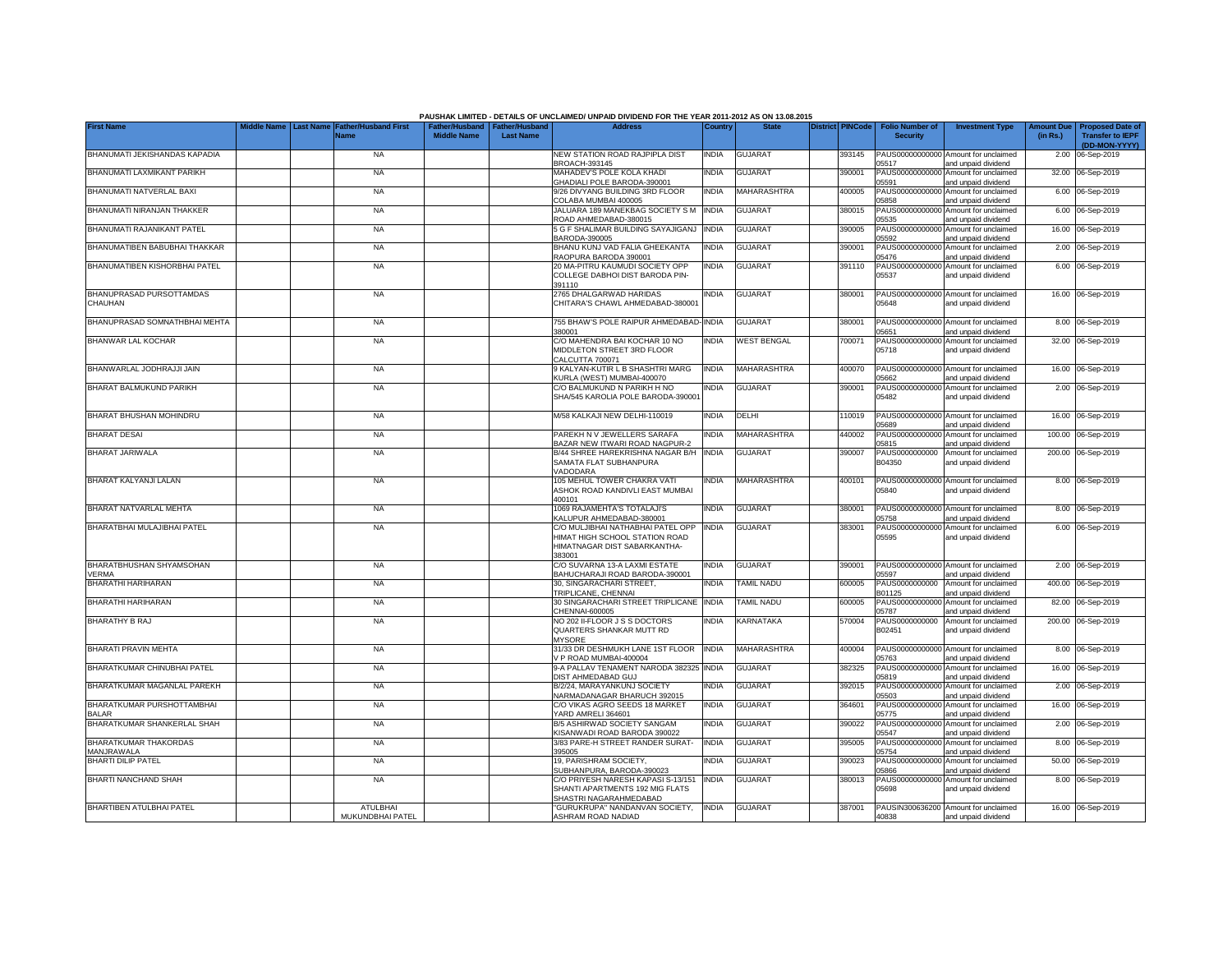|                                            |                                                               |                                                       |                  | PAUSHAK LIMITED - DETAILS OF UNCLAIMED/ UNPAID DIVIDEND FOR THE YEAR 2011-2012 AS ON 13.08.2015               |              |                    |                         |                                           |                                                             |          |                                                                           |
|--------------------------------------------|---------------------------------------------------------------|-------------------------------------------------------|------------------|---------------------------------------------------------------------------------------------------------------|--------------|--------------------|-------------------------|-------------------------------------------|-------------------------------------------------------------|----------|---------------------------------------------------------------------------|
| <b>First Name</b>                          | Middle Name   Last Name   Father/Husband First<br><b>Name</b> | Father/Husband   Father/Husband<br><b>Middle Name</b> | <b>Last Name</b> | <b>Address</b>                                                                                                | Country      | <b>State</b>       | <b>District PINCode</b> | <b>Folio Number of</b><br><b>Security</b> | <b>Investment Type</b>                                      | (in Rs.) | Amount Due   Proposed Date of<br><b>Transfer to IEPF</b><br>(DD-MON-YYYY) |
| BHANUMATI JEKISHANDAS KAPADIA              | <b>NA</b>                                                     |                                                       |                  | NEW STATION ROAD RAJPIPLA DIST<br><b>BROACH-393145</b>                                                        | <b>INDIA</b> | <b>GUJARAT</b>     | 393145                  | 05517                                     | PAUS00000000000 Amount for unclaimed<br>and unpaid dividend |          | 2.00 06-Sep-2019                                                          |
| BHANUMATI LAXMIKANT PARIKH                 | <b>NA</b>                                                     |                                                       |                  | MAHADEV'S POLE KOLA KHADI<br><b>GHADIALI POLE BARODA-390001</b>                                               | INDIA        | <b>GUJARAT</b>     | 390001                  | 05591                                     | PAUS00000000000 Amount for unclaimed<br>and unpaid dividend |          | 32.00 06-Sep-2019                                                         |
| BHANUMATI NATVERLAL BAXI                   | <b>NA</b>                                                     |                                                       |                  | 9/26 DIVYANG BUILDING 3RD FLOOR<br>COLABA MUMBAI 400005                                                       | <b>INDIA</b> | MAHARASHTRA        | 400005                  | 05858                                     | PAUS00000000000 Amount for unclaimed<br>and unpaid dividend |          | 6.00 06-Sep-2019                                                          |
| BHANUMATI NIRANJAN THAKKER                 | <b>NA</b>                                                     |                                                       |                  | JALUARA 189 MANEKBAG SOCIETY S M<br>ROAD AHMEDABAD-380015                                                     | <b>INDIA</b> | <b>GUJARAT</b>     | 380015                  | 05535                                     | PAUS00000000000 Amount for unclaimed<br>and unpaid dividend |          | 6.00 06-Sep-2019                                                          |
| BHANUMATI RAJANIKANT PATEL                 | <b>NA</b>                                                     |                                                       |                  | 5 G F SHALIMAR BUILDING SAYAJIGANJ<br>BARODA-390005                                                           | <b>INDIA</b> | <b>GUJARAT</b>     | 390005                  | 05592                                     | PAUS00000000000 Amount for unclaimed<br>and unpaid dividend |          | 16.00 06-Sep-2019                                                         |
| BHANUMATIBEN BABUBHAI THAKKAR              | <b>NA</b>                                                     |                                                       |                  | BHANU KUNJ VAD FALIA GHEEKANTA<br>RAOPURA BARODA 390001                                                       | <b>INDIA</b> | <b>GUJARAT</b>     | 390001                  | 05476                                     | PAUS00000000000 Amount for unclaimed<br>and unpaid dividend |          | 2.00 06-Sep-2019                                                          |
| BHANUMATIBEN KISHORBHAI PATEL              | <b>NA</b>                                                     |                                                       |                  | 20 MA-PITRU KAUMUDI SOCIETY OPP<br>COLLEGE DABHOI DIST BARODA PIN-<br>391110                                  | INDIA        | <b>GUJARAT</b>     | 391110                  | PAUS00000000000<br>05537                  | Amount for unclaimed<br>and unpaid dividend                 |          | 6.00 06-Sep-2019                                                          |
| BHANUPRASAD PURSOTTAMDAS<br>CHAUHAN        | <b>NA</b>                                                     |                                                       |                  | 2765 DHALGARWAD HARIDAS<br>CHITARA'S CHAWL AHMEDABAD-380001                                                   | NDIA         | <b>GUJARAT</b>     | 380001                  | 05648                                     | PAUS00000000000 Amount for unclaimed<br>and unpaid dividend |          | 16.00 06-Sep-2019                                                         |
| BHANUPRASAD SOMNATHBHAI MEHTA              | <b>NA</b>                                                     |                                                       |                  | 755 BHAW'S POLE RAIPUR AHMEDABAD-<br>380001                                                                   | <b>INDIA</b> | <b>GUJARAT</b>     | 380001                  | 05651                                     | PAUS00000000000 Amount for unclaimed<br>and unpaid dividend |          | 8.00 06-Sep-2019                                                          |
| <b>BHANWAR LAL KOCHAR</b>                  | <b>NA</b>                                                     |                                                       |                  | C/O MAHENDRA BAI KOCHAR 10 NO<br>MIDDLETON STREET 3RD FLOOR<br>CALCUTTA 700071                                | <b>INDIA</b> | <b>WEST BENGAL</b> | 700071                  | PAUS00000000000<br>05718                  | Amount for unclaimed<br>and unpaid dividend                 |          | 32.00 06-Sep-2019                                                         |
| BHANWARLAL JODHRAJJI JAIN                  | <b>NA</b>                                                     |                                                       |                  | 9 KALYAN-KUTIR L B SHASHTRI MARG<br>(URLA (WEST) MUMBAI-400070                                                | <b>INDIA</b> | <b>MAHARASHTRA</b> | 400070                  | 05662                                     | PAUS00000000000 Amount for unclaimed<br>and unpaid dividend |          | 16.00 06-Sep-2019                                                         |
| BHARAT BALMUKUND PARIKH                    | <b>NA</b>                                                     |                                                       |                  | C/O BALMUKUND N PARIKH H NO<br>SHA/545 KAROLIA POLE BARODA-390001                                             | <b>INDIA</b> | <b>GUJARAT</b>     | 390001                  | 05482                                     | PAUS00000000000 Amount for unclaimed<br>and unpaid dividend |          | 2.00 06-Sep-2019                                                          |
| BHARAT BHUSHAN MOHINDRU                    | <b>NA</b>                                                     |                                                       |                  | M/58 KALKAJI NEW DELHI-110019                                                                                 | INDIA        | DELHI              | 110019                  | 05689                                     | PAUS00000000000 Amount for unclaimed<br>and unpaid dividend |          | 16.00 06-Sep-2019                                                         |
| <b>BHARAT DESAI</b>                        | <b>NA</b>                                                     |                                                       |                  | PAREKH N V JEWELLERS SARAFA<br>BAZAR NEW ITWARI ROAD NAGPUR-2                                                 | India        | MAHARASHTRA        | 440002                  | PAUS00000000000<br>05815                  | Amount for unclaimed<br>and unpaid dividend                 |          | 100.00 06-Sep-2019                                                        |
| BHARAT JARIWALA                            | <b>NA</b>                                                     |                                                       |                  | B/44 SHREE HAREKRISHNA NAGAR B/H INDIA<br>SAMATA FLAT SUBHANPURA<br>VADODARA                                  |              | <b>GUJARAT</b>     | 390007                  | PAUS0000000000<br>B04350                  | Amount for unclaimed<br>and unpaid dividend                 |          | 200.00 06-Sep-2019                                                        |
| BHARAT KALYANJI LALAN                      | <b>NA</b>                                                     |                                                       |                  | 105 MEHUL TOWER CHAKRA VATI<br>ASHOK ROAD KANDIVLI EAST MUMBAI<br>400101                                      | India        | MAHARASHTRA        | 400101                  | 05840                                     | PAUS00000000000 Amount for unclaimed<br>and unpaid dividend |          | 8.00 06-Sep-2019                                                          |
| BHARAT NATVARLAL MEHTA                     | <b>NA</b>                                                     |                                                       |                  | 1069 RAJAMEHTA'S TOTALAJI'S<br>KALUPUR AHMEDABAD-380001                                                       | <b>INDIA</b> | <b>GUJARAT</b>     | 380001                  | 05758                                     | PAUS00000000000 Amount for unclaimed<br>and unpaid dividend |          | 8.00 06-Sep-2019                                                          |
| BHARATBHAI MULAJIBHAI PATEL                | <b>NA</b>                                                     |                                                       |                  | C/O MULJIBHAI NATHABHAI PATEL OPP<br>HIMAT HIGH SCHOOL STATION ROAD<br>HIMATNAGAR DIST SABARKANTHA-<br>383001 | <b>INDIA</b> | <b>GUJARAT</b>     | 383001                  | PAUS0000000000<br>05595                   | Amount for unclaimed<br>and unpaid dividend                 |          | 6.00 06-Sep-2019                                                          |
| BHARATBHUSHAN SHYAMSOHAN<br>VERMA          | <b>NA</b>                                                     |                                                       |                  | C/O SUVARNA 13-A LAXMI ESTATE<br>BAHUCHARAJI ROAD BARODA-390001                                               | INDIA        | <b>GUJARAT</b>     | 390001                  | 05597                                     | PAUS00000000000 Amount for unclaimed<br>and unpaid dividend |          | 2.00 06-Sep-2019                                                          |
| BHARATHI HARIHARAN                         | <b>NA</b>                                                     |                                                       |                  | 30, SINGARACHARI STREET,<br>TRIPLICANE, CHENNAI                                                               | INDIA        | TAMIL NADU         | 600005                  | PAUS0000000000<br>B01125                  | Amount for unclaimed<br>and unpaid dividend                 |          | 400.00 06-Sep-2019                                                        |
| BHARATHI HARIHARAN                         | <b>NA</b>                                                     |                                                       |                  | 30 SINGARACHARI STREET TRIPLICANE<br>CHENNAI-600005                                                           | <b>INDIA</b> | TAMIL NADU         | 600005                  | PAUS0000000000<br>05787                   | Amount for unclaimed<br>and unpaid dividend                 |          | 82.00 06-Sep-2019                                                         |
| <b>BHARATHY B RAJ</b>                      | <b>NA</b>                                                     |                                                       |                  | NO 202 II-FLOOR J S S DOCTORS<br>QUARTERS SHANKAR MUTT RD<br><b>MYSORE</b>                                    | INDIA        | KARNATAKA          | 570004                  | PAUS0000000000<br>B02451                  | Amount for unclaimed<br>and unpaid dividend                 |          | 200.00 06-Sep-2019                                                        |
| BHARATI PRAVIN MEHTA                       | <b>NA</b>                                                     |                                                       |                  | 31/33 DR DESHMUKH LANE 1ST FLOOR<br>/ P ROAD MUMBAI-400004                                                    | <b>INDIA</b> | <b>MAHARASHTRA</b> | 400004                  | PAUS00000000000<br>05763                  | Amount for unclaimed<br>and unpaid dividend                 |          | 8.00 06-Sep-2019                                                          |
| BHARATKUMAR CHINUBHAI PATEL                | <b>NA</b>                                                     |                                                       |                  | 9-A PALLAV TENAMENT NARODA 382325<br>DIST AHMEDABAD GUJ                                                       | <b>INDIA</b> | <b>GUJARAT</b>     | 382325                  | PAUS0000000000<br>05819                   | Amount for unclaimed<br>and unpaid dividend                 |          | 16.00 06-Sep-2019                                                         |
| BHARATKUMAR MAGANLAL PAREKH                | <b>NA</b>                                                     |                                                       |                  | B/2/24, MARAYANKUNJ SOCIETY<br>VARMADANAGAR BHARUCH 392015                                                    | INDIA        | <b>GUJARAT</b>     | 392015                  | PAUS00000000000<br>05503                  | Amount for unclaimed<br>and unpaid dividend                 |          | 2.00 06-Sep-2019                                                          |
| BHARATKUMAR PURSHOTTAMBHAI<br><b>BALAR</b> | <b>NA</b>                                                     |                                                       |                  | C/O VIKAS AGRO SEEDS 18 MARKET<br>YARD AMRELI 364601                                                          | INDIA        | GUJARAT            | 364601                  | PAUS00000000000<br>05775                  | Amount for unclaimed<br>and unpaid dividend                 |          | 16.00 06-Sep-2019                                                         |
| BHARATKUMAR SHANKERLAL SHAH                | <b>NA</b>                                                     |                                                       |                  | <b>B/5 ASHIRWAD SOCIETY SANGAM</b><br>KISANWADI ROAD BARODA 390022                                            | India        | <b>GUJARAT</b>     | 390022                  | PAUS00000000000<br>05547                  | Amount for unclaimed<br>and unpaid dividend                 |          | 2.00 06-Sep-2019                                                          |
| BHARATKUMAR THAKORDAS<br>MANJRAWALA        | <b>NA</b>                                                     |                                                       |                  | 3/83 PARE-H STREET RANDER SURAT-<br>395005                                                                    | <b>INDIA</b> | <b>GUJARAT</b>     | 395005                  | 05754                                     | PAUS00000000000 Amount for unclaimed<br>and unpaid dividend |          | 8.00 06-Sep-2019                                                          |
| <b>BHARTI DILIP PATEL</b>                  | <b>NA</b>                                                     |                                                       |                  | 19, PARISHRAM SOCIETY,<br>SUBHANPURA, BARODA-390023                                                           | India        | <b>GUJARAT</b>     | 390023                  | 05866                                     | PAUS00000000000 Amount for unclaimed<br>and unpaid dividend |          | 50.00 06-Sep-2019                                                         |
| <b>BHARTI NANCHAND SHAH</b>                | <b>NA</b>                                                     |                                                       |                  | C/O PRIYESH NARESH KAPASI S-13/151<br>SHANTI APARTMENTS 192 MIG FLATS<br>SHASTRI NAGARAHMEDABAD               | <b>INDIA</b> | <b>GUJARAT</b>     | 380013                  | 05698                                     | PAUS00000000000 Amount for unclaimed<br>and unpaid dividend |          | 8.00 06-Sep-2019                                                          |
| <b>BHARTIBEN ATULBHAI PATEL</b>            | <b>ATULBHAI</b><br>MUKUNDBHAI PATEL                           |                                                       |                  | 'GURUKRUPA" NANDANVAN SOCIETY,<br>ASHRAM ROAD NADIAD                                                          | <b>INDIA</b> | <b>GUJARAT</b>     | 387001                  | 40838                                     | PAUSIN300636200 Amount for unclaimed<br>and unpaid dividend |          | 16.00 06-Sep-2019                                                         |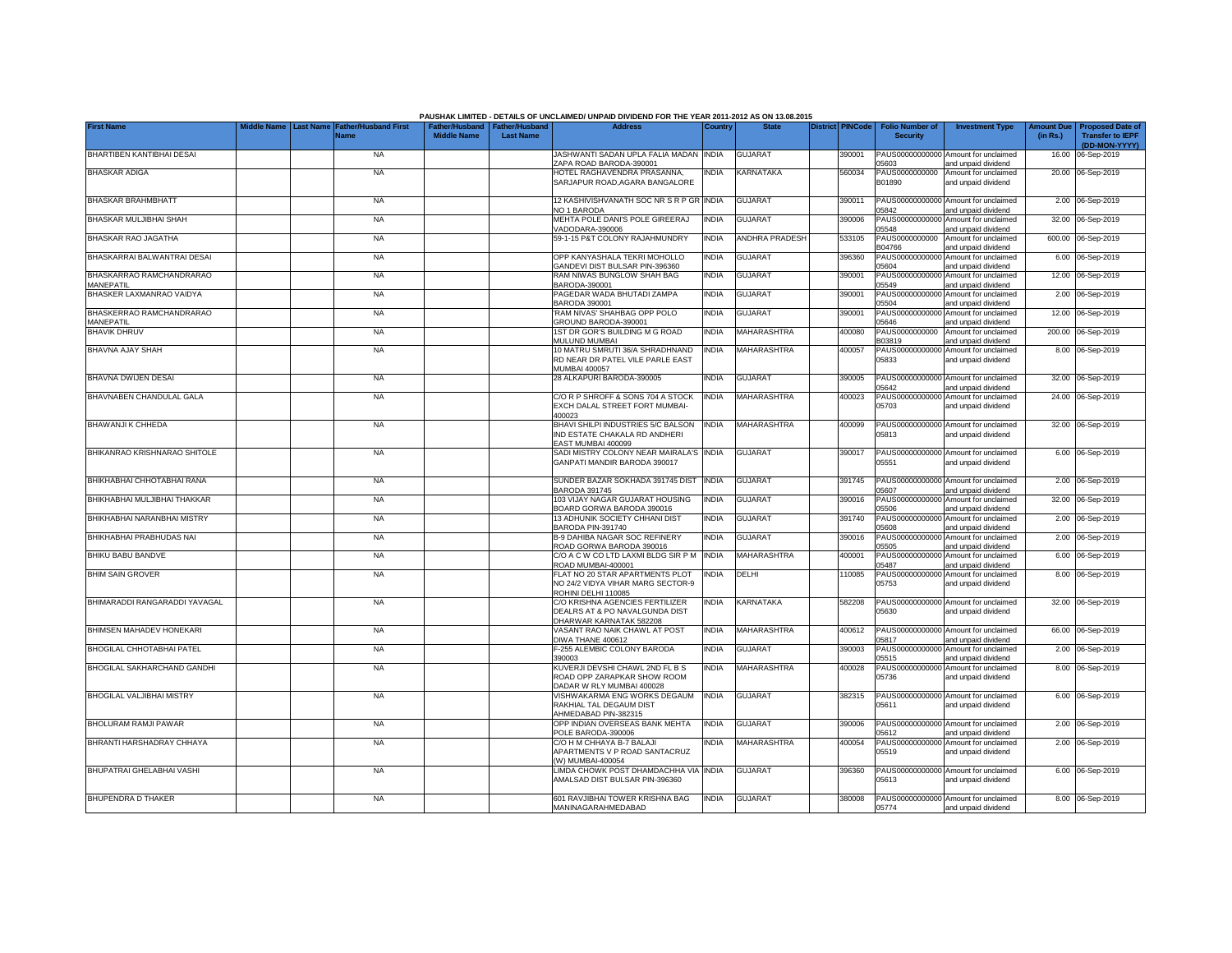|                                              |                                                |                             |                    |                                                  | PAUSHAK LIMITED - DETAILS OF UNCLAIMED/ UNPAID DIVIDEND FOR THE YEAR 2011-2012 AS ON 13.08.2015 |              |                       |                         |                                           |                                                             |                               |                                                                     |
|----------------------------------------------|------------------------------------------------|-----------------------------|--------------------|--------------------------------------------------|-------------------------------------------------------------------------------------------------|--------------|-----------------------|-------------------------|-------------------------------------------|-------------------------------------------------------------|-------------------------------|---------------------------------------------------------------------|
| <b>First Name</b>                            | liddle Name<br><b>Last Name</b><br><b>Name</b> | <b>Father/Husband First</b> | <b>Middle Name</b> | ather/Husband Father/Husband<br><b>Last Name</b> | <b>Address</b>                                                                                  | Country      | <b>State</b>          | <b>District PINCode</b> | <b>Folio Number of</b><br><b>Security</b> | <b>Investment Type</b>                                      | <b>Amount Due</b><br>(in Rs.) | <b>Proposed Date of</b><br><b>Transfer to IEPF</b><br>(DD-MON-YYYY) |
| BHARTIBEN KANTIBHAI DESAI                    |                                                | <b>NA</b>                   |                    |                                                  | JASHWANTI SADAN UPLA FALIA MADAN INDIA<br>ZAPA ROAD BARODA-390001                               |              | <b>GUJARAT</b>        | 390001                  | 05603                                     | PAUS00000000000 Amount for unclaimed<br>and unpaid dividend |                               | 16.00 06-Sep-2019                                                   |
| BHASKAR ADIGA                                |                                                | <b>NA</b>                   |                    |                                                  | HOTEL RAGHAVENDRA PRASANNA.<br>SARJAPUR ROAD.AGARA BANGALORE                                    | <b>INDIA</b> | KARNATAKA             | 560034                  | PAUS0000000000<br>B01890                  | Amount for unclaimed<br>and unpaid dividend                 |                               | 20.00 06-Sep-2019                                                   |
| <b>BHASKAR BRAHMBHATT</b>                    |                                                | <b>NA</b>                   |                    |                                                  | 12 KASHIVISHVANATH SOC NR S R P GR INDIA<br>NO 1 BARODA                                         |              | <b>GUJARAT</b>        | 390011                  | 05842                                     | PAUS00000000000 Amount for unclaimed<br>and unpaid dividend |                               | 2.00 06-Sep-2019                                                    |
| BHASKAR MULJIBHAI SHAH                       |                                                | <b>NA</b>                   |                    |                                                  | MEHTA POLE DANI'S POLE GIREERAJ<br>VADODARA-390006                                              | <b>INDIA</b> | <b>GUJARAT</b>        | 390006                  | PAUS00000000000<br>05548                  | Amount for unclaimed<br>and unpaid dividend                 |                               | 32.00 06-Sep-2019                                                   |
| BHASKAR RAO JAGATHA                          |                                                | <b>NA</b>                   |                    |                                                  | 59-1-15 P&T COLONY RAJAHMUNDRY                                                                  | <b>INDIA</b> | <b>ANDHRA PRADESH</b> | 533105                  | PAUS0000000000<br>B04766                  | Amount for unclaimed<br>and unpaid dividend                 |                               | 600.00 06-Sep-2019                                                  |
| BHASKARRAI BALWANTRAI DESAI                  |                                                | <b>NA</b>                   |                    |                                                  | OPP KANYASHALA TEKRI MOHOLLO<br>GANDEVI DIST BULSAR PIN-396360                                  | <b>INDIA</b> | <b>GUJARAT</b>        | 396360                  | PAUS00000000000<br>05604                  | Amount for unclaimed<br>and unpaid dividend                 |                               | 6.00 06-Sep-2019                                                    |
| BHASKARRAO RAMCHANDRARAO<br><b>MANEPATIL</b> |                                                | <b>NA</b>                   |                    |                                                  | RAM NIWAS BUNGLOW SHAH BAG<br>BARODA-390001                                                     | <b>INDIA</b> | <b>GUJARAT</b>        | 390001                  | PAUS00000000000<br>05549                  | Amount for unclaimed<br>and unpaid dividend                 |                               | 12.00 06-Sep-2019                                                   |
| BHASKER LAXMANRAO VAIDYA                     |                                                | <b>NA</b>                   |                    |                                                  | PAGEDAR WADA BHUTADI ZAMPA<br>BARODA 390001                                                     | <b>INDIA</b> | <b>GUJARAT</b>        | 390001                  | PAUS00000000000<br>05504                  | Amount for unclaimed<br>and unpaid dividend                 |                               | 2.00 06-Sep-2019                                                    |
| BHASKERRAO RAMCHANDRARAO<br><b>MANEPATIL</b> |                                                | <b>NA</b>                   |                    |                                                  | RAM NIVAS' SHAHBAG OPP POLO<br>GROUND BARODA-390001                                             | <b>INDIA</b> | <b>GUJARAT</b>        | 390001                  | PAUS00000000000<br>05646                  | Amount for unclaimed<br>and unpaid dividend                 |                               | 12.00 06-Sep-2019                                                   |
| <b>BHAVIK DHRUV</b>                          |                                                | <b>NA</b>                   |                    |                                                  | 1ST DR GOR'S BUILDING M G ROAD<br>MULUND MUMBAI                                                 | <b>INDIA</b> | MAHARASHTRA           | 400080                  | PAUS0000000000<br>B03819                  | Amount for unclaimed<br>and unpaid dividend                 |                               | 200.00 06-Sep-2019                                                  |
| BHAVNA AJAY SHAH                             |                                                | <b>NA</b>                   |                    |                                                  | 10 MATRU SMRUTI 36/A SHRADHNAND<br>RD NEAR DR PATEL VILE PARLE EAST<br>MUMBAI 400057            | <b>INDIA</b> | <b>MAHARASHTRA</b>    | 400057                  | PAUS00000000000<br>05833                  | Amount for unclaimed<br>and unpaid dividend                 |                               | 8.00 06-Sep-2019                                                    |
| BHAVNA DWIJEN DESAI                          |                                                | <b>NA</b>                   |                    |                                                  | 28 ALKAPURI BARODA-390005                                                                       | <b>INDIA</b> | <b>GUJARAT</b>        | 390005                  | 05642                                     | PAUS00000000000 Amount for unclaimed<br>and unpaid dividend |                               | 32.00 06-Sep-2019                                                   |
| BHAVNABEN CHANDULAL GALA                     |                                                | <b>NA</b>                   |                    |                                                  | C/O R P SHROFF & SONS 704 A STOCK<br>EXCH DALAL STREET FORT MUMBAI-<br>400023                   | <b>INDIA</b> | <b>MAHARASHTRA</b>    | 400023                  | 05703                                     | PAUS00000000000 Amount for unclaimed<br>and unpaid dividend |                               | 24.00 06-Sep-2019                                                   |
| BHAWANJI K CHHEDA                            |                                                | <b>NA</b>                   |                    |                                                  | BHAVI SHILPI INDUSTRIES 5/C BALSON<br>IND ESTATE CHAKALA RD ANDHERI<br>EAST MUMBAI 400099       | <b>INDIA</b> | MAHARASHTRA           | 400099                  | 05813                                     | PAUS00000000000 Amount for unclaimed<br>and unpaid dividend |                               | 32.00 06-Sep-2019                                                   |
| BHIKANRAO KRISHNARAO SHITOLE                 |                                                | <b>NA</b>                   |                    |                                                  | SADI MISTRY COLONY NEAR MAIRALA'S INDIA<br>GANPATI MANDIR BARODA 390017                         |              | <b>GUJARAT</b>        | 390017                  | 05551                                     | PAUS00000000000 Amount for unclaimed<br>and unpaid dividend |                               | 6.00 06-Sep-2019                                                    |
| BHIKHABHAI CHHOTABHAI RANA                   |                                                | <b>NA</b>                   |                    |                                                  | SUNDER BAZAR SOKHADA 391745 DIST INDIA<br><b>BARODA 391745</b>                                  |              | <b>GUJARAT</b>        | 391745                  | 05607                                     | PAUS00000000000 Amount for unclaimed<br>and unpaid dividend |                               | 2.00 06-Sep-2019                                                    |
| BHIKHABHAI MULJIBHAI THAKKAR                 |                                                | <b>NA</b>                   |                    |                                                  | 103 VIJAY NAGAR GUJARAT HOUSING<br>BOARD GORWA BARODA 390016                                    | <b>INDIA</b> | <b>GUJARAT</b>        | 390016                  | 05506                                     | PAUS00000000000 Amount for unclaimed<br>and unpaid dividend |                               | 32.00 06-Sep-2019                                                   |
| BHIKHABHAI NARANBHAI MISTRY                  |                                                | <b>NA</b>                   |                    |                                                  | 13 ADHUNIK SOCIETY CHHANI DIST<br>BARODA PIN-391740                                             | <b>INDIA</b> | <b>GUJARAT</b>        | 391740                  | 05608                                     | PAUS00000000000 Amount for unclaimed<br>and unpaid dividend |                               | 2.00 06-Sep-2019                                                    |
| BHIKHABHAI PRABHUDAS NAI                     |                                                | <b>NA</b>                   |                    |                                                  | <b>B-9 DAHIBA NAGAR SOC REFINERY</b><br>ROAD GORWA BARODA 390016                                | <b>INDIA</b> | <b>GUJARAT</b>        | 390016                  | 05505                                     | PAUS00000000000 Amount for unclaimed<br>and unpaid dividend |                               | 2.00 06-Sep-2019                                                    |
| BHIKU BABU BANDVE                            |                                                | <b>NA</b>                   |                    |                                                  | C/O A C W CO LTD LAXMI BLDG SIR P M INDIA<br>ROAD MUMBAI-400001                                 |              | MAHARASHTRA           | 400001                  | 05487                                     | PAUS00000000000 Amount for unclaimed<br>and unpaid dividend |                               | 6.00 06-Sep-2019                                                    |
| <b>BHIM SAIN GROVER</b>                      |                                                | <b>NA</b>                   |                    |                                                  | FLAT NO 20 STAR APARTMENTS PLOT<br>NO 24/2 VIDYA VIHAR MARG SECTOR-9<br>ROHINI DELHI 110085     | <b>INDIA</b> | <b>DELHI</b>          | 110085                  | 05753                                     | PAUS00000000000 Amount for unclaimed<br>and unpaid dividend |                               | 8.00 06-Sep-2019                                                    |
| BHIMARADDI RANGARADDI YAVAGAL                |                                                | <b>NA</b>                   |                    |                                                  | C/O KRISHNA AGENCIES FERTILIZER<br>DEALRS AT & PO NAVALGUNDA DIST<br>DHARWAR KARNATAK 582208    | <b>INDIA</b> | <b>KARNATAKA</b>      | 582208                  | 05630                                     | PAUS00000000000 Amount for unclaimed<br>and unpaid dividend |                               | 32.00 06-Sep-2019                                                   |
| BHIMSEN MAHADEV HONEKARI                     |                                                | <b>NA</b>                   |                    |                                                  | VASANT RAO NAIK CHAWL AT POST<br>DIWA THANE 400612                                              | <b>INDIA</b> | <b>MAHARASHTRA</b>    | 400612                  | 05817                                     | PAUS00000000000 Amount for unclaimed<br>and unpaid dividend |                               | 66.00 06-Sep-2019                                                   |
| BHOGILAL CHHOTABHAI PATEL                    |                                                | <b>NA</b>                   |                    |                                                  | F-255 ALEMBIC COLONY BARODA<br>390003                                                           | <b>INDIA</b> | <b>GUJARAT</b>        | 390003                  | 05515                                     | PAUS00000000000 Amount for unclaimed<br>and unpaid dividend |                               | 2.00 06-Sep-2019                                                    |
| BHOGILAL SAKHARCHAND GANDHI                  |                                                | <b>NA</b>                   |                    |                                                  | KUVERJI DEVSHI CHAWL 2ND FL B S<br>ROAD OPP ZARAPKAR SHOW ROOM<br>DADAR W RLY MUMBAI 400028     | <b>INDIA</b> | MAHARASHTRA           | 400028                  | 05736                                     | PAUS00000000000 Amount for unclaimed<br>and unpaid dividend |                               | 8.00 06-Sep-2019                                                    |
| <b>BHOGILAL VALJIBHAI MISTRY</b>             |                                                | <b>NA</b>                   |                    |                                                  | VISHWAKARMA ENG WORKS DEGAUM<br>RAKHIAL TAL DEGAUM DIST<br>AHMEDABAD PIN-382315                 | <b>INDIA</b> | <b>GUJARAT</b>        | 382315                  | 05611                                     | PAUS00000000000 Amount for unclaimed<br>and unpaid dividend |                               | 6.00 06-Sep-2019                                                    |
| BHOLURAM RAMJI PAWAR                         |                                                | <b>NA</b>                   |                    |                                                  | OPP INDIAN OVERSEAS BANK MEHTA<br>POLE BARODA-390006                                            | <b>INDIA</b> | <b>GUJARAT</b>        | 90006                   | 05612                                     | PAUS00000000000 Amount for unclaimed<br>and unpaid dividend |                               | 2.00 06-Sep-2019                                                    |
| BHRANTI HARSHADRAY CHHAYA                    |                                                | <b>NA</b>                   |                    |                                                  | C/O H M CHHAYA B-7 BALAJI<br>APARTMENTS V P ROAD SANTACRUZ<br>(W) MUMBAI-400054                 | INDIA        | MAHARASHTRA           | 400054                  | 05519                                     | PAUS00000000000 Amount for unclaimed<br>and unpaid dividend |                               | 2.00 06-Sep-2019                                                    |
| BHUPATRAI GHELABHAI VASHI                    |                                                | <b>NA</b>                   |                    |                                                  | LIMDA CHOWK POST DHAMDACHHA VIA INDIA<br>AMALSAD DIST BULSAR PIN-396360                         |              | <b>GUJARAT</b>        | 96360                   | 05613                                     | PAUS00000000000 Amount for unclaimed<br>and unpaid dividend |                               | 6.00 06-Sep-2019                                                    |
| <b>BHUPENDRA D THAKER</b>                    |                                                | <b>NA</b>                   |                    |                                                  | 601 RAVJIBHAI TOWER KRISHNA BAG<br>MANINAGARAHMEDABAD                                           | <b>INDIA</b> | <b>GUJARAT</b>        | 380008                  | 05774                                     | PAUS00000000000 Amount for unclaimed<br>and unpaid dividend |                               | 8.00 06-Sep-2019                                                    |

## **PAUSHAK LIMITED - DETAILS OF UNCLAIMED/ UNPAID DIVIDEND FOR THE YEAR 2011-2012 AS ON 13.08.2015**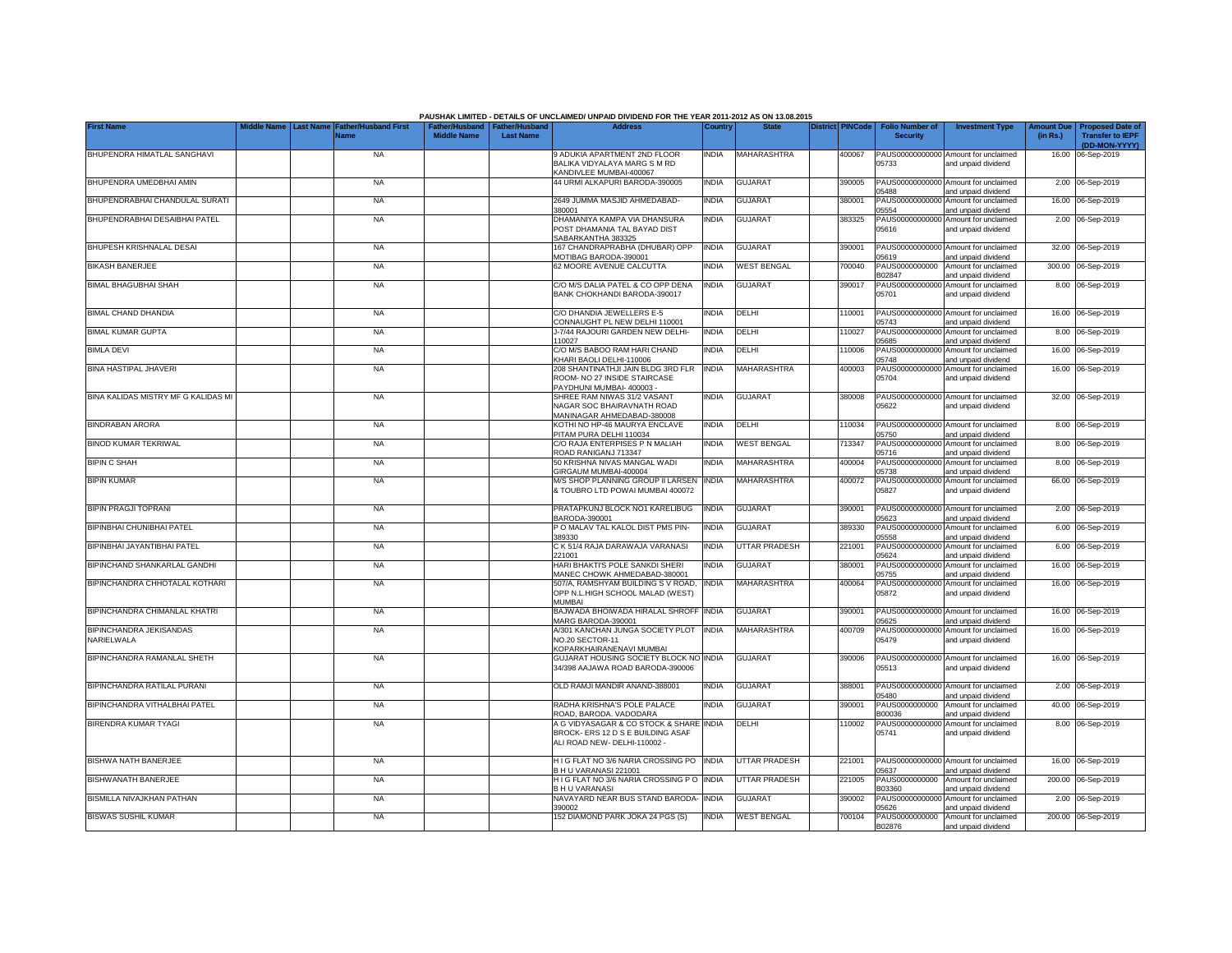|                                       |                  |                             |                                                       |                  | PAUSHAK LIMITED - DETAILS OF UNCLAIMED/ UNPAID DIVIDEND FOR THE YEAR 2011-2012 AS ON 13.08.2015              |              |                      |                         |                                           |                                                             |                               |                                                    |
|---------------------------------------|------------------|-----------------------------|-------------------------------------------------------|------------------|--------------------------------------------------------------------------------------------------------------|--------------|----------------------|-------------------------|-------------------------------------------|-------------------------------------------------------------|-------------------------------|----------------------------------------------------|
| <b>First Name</b>                     | <b>Last Name</b> | ather/Husband First<br>Name | Father/Husband   Father/Husband<br><b>Middle Name</b> | <b>Last Name</b> | <b>Address</b>                                                                                               | Country      | <b>State</b>         | <b>District PINCode</b> | <b>Folio Number of</b><br><b>Security</b> | <b>Investment Type</b>                                      | <b>Amount Due</b><br>(in Rs.) | <b>Proposed Date of</b><br><b>Transfer to IEPF</b> |
| BHUPENDRA HIMATLAL SANGHAVI           |                  | <b>NA</b>                   |                                                       |                  | 9 ADUKIA APARTMENT 2ND FLOOR                                                                                 | INDIA        | MAHARASHTRA          | 400067                  |                                           | PAUS00000000000 Amount for unclaimed                        |                               | (DD-MON-YYYY)<br>16.00 06-Sep-2019                 |
|                                       |                  |                             |                                                       |                  | BALIKA VIDYALAYA MARG S M RD<br>KANDIVLEE MUMBAI-400067                                                      |              |                      |                         | 05733                                     | and unpaid dividend                                         |                               |                                                    |
| BHUPENDRA UMEDBHAI AMIN               |                  | <b>NA</b>                   |                                                       |                  | 44 URMI ALKAPURI BARODA-390005                                                                               | <b>INDIA</b> | <b>GUJARAT</b>       | 390005                  | PAUS00000000000<br>05488                  | Amount for unclaimed<br>and unpaid dividend                 |                               | 2.00 06-Sep-2019                                   |
| BHUPENDRABHAI CHANDULAL SURATI        |                  | <b>NA</b>                   |                                                       |                  | 2649 JUMMA MASJID AHMEDABAD-<br>380001                                                                       | <b>INDIA</b> | <b>GUJARAT</b>       | 380001                  | PAUS0000000000<br>05554                   | Amount for unclaimed<br>and unpaid dividend                 |                               | 16.00 06-Sep-2019                                  |
| BHUPENDRABHAI DESAIBHAI PATEL         |                  | <b>NA</b>                   |                                                       |                  | DHAMANIYA KAMPA VIA DHANSURA<br>POST DHAMANIA TAL BAYAD DIST<br>SABARKANTHA 383325                           | INDIA        | <b>GUJARAT</b>       | 383325                  | 05616                                     | PAUS00000000000 Amount for unclaimed<br>and unpaid dividend |                               | 2.00 06-Sep-2019                                   |
| BHUPESH KRISHNALAL DESAI              |                  | <b>NA</b>                   |                                                       |                  | 167 CHANDRAPRABHA (DHUBAR) OPP<br>MOTIBAG BARODA-390001                                                      | <b>INDIA</b> | <b>GUJARAT</b>       | 390001                  | 05619                                     | PAUS00000000000 Amount for unclaimed<br>and unpaid dividend |                               | 32.00 06-Sep-2019                                  |
| <b>BIKASH BANERJEE</b>                |                  | <b>NA</b>                   |                                                       |                  | 62 MOORE AVENUE CALCUTTA                                                                                     | <b>INDIA</b> | <b>WEST BENGAL</b>   | 700040                  | PAUS0000000000<br>B02847                  | Amount for unclaimed<br>and unpaid dividend                 |                               | 300.00 06-Sep-2019                                 |
| <b>BIMAL BHAGUBHAI SHAH</b>           |                  | <b>NA</b>                   |                                                       |                  | C/O M/S DALIA PATEL & CO OPP DENA<br>BANK CHOKHANDI BARODA-390017                                            | INDIA        | <b>GUJARAT</b>       | 390017                  | PAUS0000000000<br>05701                   | Amount for unclaimed<br>and unpaid dividend                 |                               | 8.00 06-Sep-2019                                   |
| <b>BIMAL CHAND DHANDIA</b>            |                  | <b>NA</b>                   |                                                       |                  | C/O DHANDIA JEWELLERS E-5<br>CONNAUGHT PL NEW DELHI 110001                                                   | INDIA        | DELHI                | 110001                  | PAUS0000000000<br>05743                   | Amount for unclaimed<br>and unpaid dividend                 |                               | 16.00 06-Sep-2019                                  |
| <b>BIMAL KUMAR GUPTA</b>              |                  | <b>NA</b>                   |                                                       |                  | J-7/44 RAJOURI GARDEN NEW DELHI-<br>110027                                                                   | INDIA        | DELHI                | 110027                  | PAUS0000000000<br>05685                   | Amount for unclaimed<br>and unpaid dividend                 |                               | 8.00 06-Sep-2019                                   |
| <b>BIMLA DEVI</b>                     |                  | <b>NA</b>                   |                                                       |                  | C/O M/S BABOO RAM HARI CHAND<br>KHARI BAOLI DELHI-110006                                                     | India        | DELHI                | 110006                  | PAUS0000000000<br>05748                   | Amount for unclaimed<br>and unpaid dividend                 |                               | 16.00 06-Sep-2019                                  |
| <b>BINA HASTIPAL JHAVERI</b>          |                  | <b>NA</b>                   |                                                       |                  | 208 SHANTINATHJI JAIN BLDG 3RD FLR<br>ROOM- NO 27 INSIDE STAIRCASE<br>PAYDHUNI MUMBAI-400003                 | <b>INDIA</b> | MAHARASHTRA          | 400003                  | PAUS0000000000<br>05704                   | Amount for unclaimed<br>and unpaid dividend                 |                               | 16.00 06-Sep-2019                                  |
| BINA KALIDAS MISTRY MF G KALIDAS MI   |                  | <b>NA</b>                   |                                                       |                  | SHREE RAM NIWAS 31/2 VASANT<br>NAGAR SOC BHAIRAVNATH ROAD<br>MANINAGAR AHMEDABAD-380008                      | India        | <b>GUJARAT</b>       | 380008                  | 05622                                     | PAUS00000000000 Amount for unclaimed<br>and unpaid dividend |                               | 32.00 06-Sep-2019                                  |
| <b>BINDRABAN ARORA</b>                |                  | <b>NA</b>                   |                                                       |                  | KOTHI NO HP-46 MAURYA ENCLAVE<br>PITAM PURA DELHI 110034                                                     | <b>INDIA</b> | DELHI                | 110034                  | 05750                                     | PAUS00000000000 Amount for unclaimed<br>and unpaid dividend |                               | 8.00 06-Sep-2019                                   |
| <b>BINOD KUMAR TEKRIWAL</b>           |                  | <b>NA</b>                   |                                                       |                  | C/O RAJA ENTERPISES P N MALIAH<br>ROAD RANIGANJ 713347                                                       | <b>INDIA</b> | <b>WEST BENGAL</b>   | 13347                   | 05716                                     | PAUS00000000000 Amount for unclaimed<br>and unpaid dividend |                               | 8.00 06-Sep-2019                                   |
| <b>BIPIN C SHAH</b>                   |                  | <b>NA</b>                   |                                                       |                  | 50 KRISHNA NIVAS MANGAL WADI<br>GIRGAUM MUMBAI-400004                                                        | <b>INDIA</b> | <b>MAHARASHTRA</b>   | 400004                  | 05738                                     | PAUS00000000000 Amount for unclaimed<br>and unpaid dividend |                               | 8.00 06-Sep-2019                                   |
| <b>BIPIN KUMAR</b>                    |                  | <b>NA</b>                   |                                                       |                  | M/S SHOP PLANNING GROUP II LARSEN<br>& TOUBRO LTD POWAI MUMBAI 400072                                        | <b>INDIA</b> | <b>MAHARASHTRA</b>   | 400072                  | 05827                                     | PAUS00000000000 Amount for unclaimed<br>and unpaid dividend |                               | 66.00 06-Sep-2019                                  |
| <b>BIPIN PRAGJI TOPRANI</b>           |                  | <b>NA</b>                   |                                                       |                  | PRATAPKUNJ BLOCK NO1 KARELIBUG<br>BARODA-390001                                                              | <b>INDIA</b> | <b>GUJARAT</b>       | 390001                  | 05623                                     | PAUS00000000000 Amount for unclaimed<br>and unpaid dividend |                               | 2.00 06-Sep-2019                                   |
| BIPINBHAI CHUNIBHAI PATEL             |                  | <b>NA</b>                   |                                                       |                  | P O MALAV TAL KALOL DIST PMS PIN-<br>389330                                                                  | INDIA        | <b>GUJARAT</b>       | 389330                  | PAUS00000000000<br>05558                  | Amount for unclaimed<br>and unpaid dividend                 |                               | 6.00 06-Sep-2019                                   |
| BIPINBHAI JAYANTIBHAI PATEL           |                  | <b>NA</b>                   |                                                       |                  | C K 51/4 RAJA DARAWAJA VARANASI<br>221001                                                                    | <b>INDIA</b> | <b>UTTAR PRADESH</b> | 221001                  | PAUS0000000000<br>05624                   | Amount for unclaimed<br>and unpaid dividend                 |                               | 6.00 06-Sep-2019                                   |
| <b>BIPINCHAND SHANKARLAL GANDHI</b>   |                  | <b>NA</b>                   |                                                       |                  | HARI BHAKTI'S POLE SANKDI SHERI<br>MANEC CHOWK AHMEDABAD-380001                                              | <b>INDIA</b> | <b>GUJARAT</b>       | 380001                  | PAUS0000000000<br>05755                   | Amount for unclaimed<br>and unpaid dividend                 |                               | 16.00 06-Sep-2019                                  |
| BIPINCHANDRA CHHOTALAL KOTHARI        |                  | <b>NA</b>                   |                                                       |                  | 507/A, RAMSHYAM BUILDING S V ROAD.<br>OPP N.L.HIGH SCHOOL MALAD (WEST)<br><b>MUMBAI</b>                      | <b>INDIA</b> | MAHARASHTRA          | 400064                  | PAUS00000000000<br>05872                  | Amount for unclaimed<br>and unpaid dividend                 |                               | 16.00 06-Sep-2019                                  |
| BIPINCHANDRA CHIMANLAL KHATRI         |                  | <b>NA</b>                   |                                                       |                  | BAJWADA BHOIWADA HIRALAL SHROFF<br>MARG BARODA-390001                                                        | <b>INDIA</b> | <b>GUJARAT</b>       | 390001                  | 05625                                     | PAUS00000000000 Amount for unclaimed<br>and unpaid dividend |                               | 16.00 06-Sep-2019                                  |
| BIPINCHANDRA JEKISANDAS<br>NARIELWALA |                  | <b>NA</b>                   |                                                       |                  | A/301 KANCHAN JUNGA SOCIETY PLOT<br>NO.20 SECTOR-11<br>KOPARKHAIRANENAVI MUMBAI                              | <b>INDIA</b> | MAHARASHTRA          | 400709                  | 05479                                     | PAUS00000000000 Amount for unclaimed<br>and unpaid dividend |                               | 16.00 06-Sep-2019                                  |
| BIPINCHANDRA RAMANLAL SHETH           |                  | <b>NA</b>                   |                                                       |                  | <b>GUJARAT HOUSING SOCIETY BLOCK NO INDIA</b><br>34/398 AAJAWA ROAD BARODA-390006                            |              | <b>GUJARAT</b>       | 390006                  | 05513                                     | PAUS00000000000 Amount for unclaimed<br>and unpaid dividend |                               | 16.00 06-Sep-2019                                  |
| BIPINCHANDRA RATILAL PURANI           |                  | <b>NA</b>                   |                                                       |                  | OLD RAMJI MANDIR ANAND-388001                                                                                | India        | <b>GUJARAT</b>       | 388001                  | PAUS0000000000<br>05480                   | Amount for unclaimed<br>and unpaid dividend                 |                               | 2.00 06-Sep-2019                                   |
| BIPINCHANDRA VITHALBHAI PATEL         |                  | <b>NA</b>                   |                                                       |                  | RADHA KRISHNA'S POLE PALACE<br>ROAD, BARODA. VADODARA                                                        | <b>INDIA</b> | <b>GUJARAT</b>       | 390001                  | PAUS0000000000<br>B00036                  | Amount for unclaimed<br>and unpaid dividend                 |                               | 40.00 06-Sep-2019                                  |
| <b>BIRENDRA KUMAR TYAGI</b>           |                  | <b>NA</b>                   |                                                       |                  | A G VIDYASAGAR & CO STOCK & SHARE INDIA<br>BROCK- ERS 12 D S E BUILDING ASAF<br>ALI ROAD NEW- DELHI-110002 - |              | DELHI                | 110002                  | PAUS00000000000<br>05741                  | Amount for unclaimed<br>and unpaid dividend                 |                               | 8.00 06-Sep-2019                                   |
| <b>BISHWA NATH BANERJEE</b>           |                  | <b>NA</b>                   |                                                       |                  | H I G FLAT NO 3/6 NARIA CROSSING PO<br>B H U VARANASI 221001                                                 | <b>INDIA</b> | UTTAR PRADESH        | 221001                  | 05637                                     | PAUS00000000000 Amount for unclaimed<br>and unpaid dividend |                               | 16.00 06-Sep-2019                                  |
| <b>BISHWANATH BANERJEE</b>            |                  | <b>NA</b>                   |                                                       |                  | H I G FLAT NO 3/6 NARIA CROSSING P O<br><b>BHU VARANASI</b>                                                  | <b>INDIA</b> | UTTAR PRADESH        | 221005                  | PAUS0000000000<br>B03360                  | Amount for unclaimed<br>and unpaid dividend                 |                               | 200.00 06-Sep-2019                                 |
| BISMILLA NIVAJKHAN PATHAN             |                  | NA                          |                                                       |                  | NAVAYARD NEAR BUS STAND BARODA-<br>390002                                                                    | <b>INDIA</b> | <b>GUJARAT</b>       | 390002                  | 05626                                     | PAUS00000000000 Amount for unclaimed<br>and unpaid dividend |                               | 2.00 06-Sep-2019                                   |
| <b>BISWAS SUSHIL KUMAR</b>            |                  | <b>NA</b>                   |                                                       |                  | 152 DIAMOND PARK JOKA 24 PGS (S)                                                                             | <b>INDIA</b> | <b>WEST BENGAL</b>   | 700104                  | B02876                                    | PAUS0000000000 Amount for unclaimed<br>and unpaid dividend  |                               | 200.00 06-Sep-2019                                 |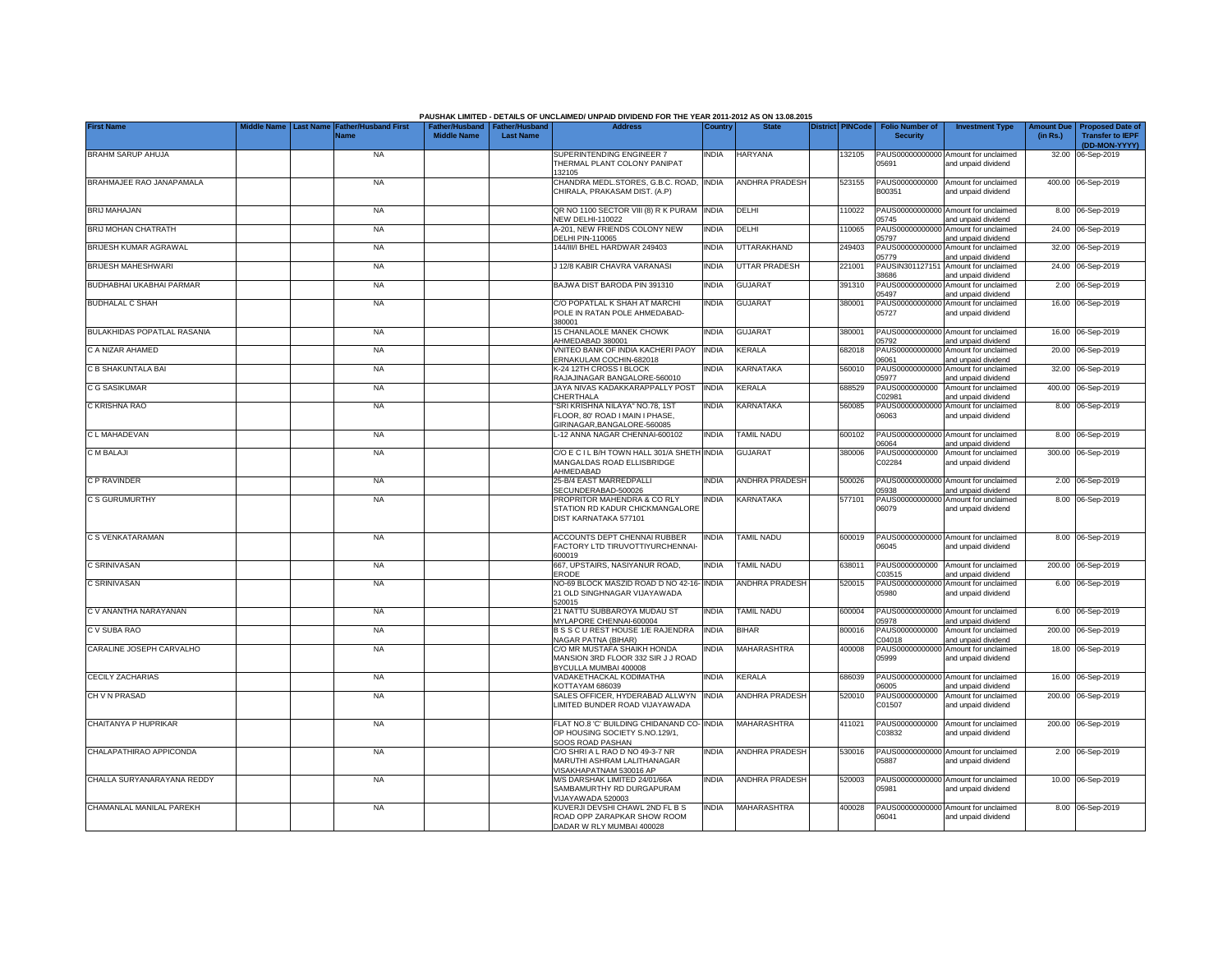|                                    |                  |                                     |                                                       |                  | PAUSHAK LIMITED - DETAILS OF UNCLAIMED/ UNPAID DIVIDEND FOR THE YEAR 2011-2012 AS ON 13.08.2015         |              |                       |                         |                                           |                                                                    |                               |                                                    |
|------------------------------------|------------------|-------------------------------------|-------------------------------------------------------|------------------|---------------------------------------------------------------------------------------------------------|--------------|-----------------------|-------------------------|-------------------------------------------|--------------------------------------------------------------------|-------------------------------|----------------------------------------------------|
| <b>First Name</b>                  | <b>Last Name</b> | <b>Father/Husband First</b><br>Name | Father/Husband   Father/Husband<br><b>Middle Name</b> | <b>Last Name</b> | <b>Address</b>                                                                                          | Country      | <b>State</b>          | <b>District PINCode</b> | <b>Folio Number of</b><br><b>Security</b> | <b>Investment Type</b>                                             | <b>Amount Due</b><br>(in Rs.) | <b>Proposed Date of</b><br><b>Transfer to IEPF</b> |
|                                    |                  | <b>NA</b>                           |                                                       |                  | SUPERINTENDING ENGINEER 7                                                                               |              | <b>HARYANA</b>        |                         |                                           | PAUS00000000000 Amount for unclaimed                               |                               | (DD-MON-YYYY)<br>32.00 06-Sep-2019                 |
| <b>BRAHM SARUP AHUJA</b>           |                  |                                     |                                                       |                  | THERMAL PLANT COLONY PANIPAT<br>132105                                                                  | <b>INDIA</b> |                       | 132105                  | 05691                                     | and unpaid dividend                                                |                               |                                                    |
| BRAHMAJEE RAO JANAPAMALA           |                  | <b>NA</b>                           |                                                       |                  | CHANDRA MEDL.STORES, G.B.C. ROAD,<br>CHIRALA, PRAKASAM DIST. (A.P)                                      | <b>INDIA</b> | ANDHRA PRADESH        | 523155                  | PAUS0000000000<br>B00351                  | Amount for unclaimed<br>and unpaid dividend                        |                               | 400.00 06-Sep-2019                                 |
| <b>BRIJ MAHAJAN</b>                |                  | <b>NA</b>                           |                                                       |                  | QR NO 1100 SECTOR VIII (8) R K PURAM INDIA<br><b>NEW DELHI-110022</b>                                   |              | DELHI                 | 110022                  | PAUS0000000000<br>05745                   | Amount for unclaimed<br>and unpaid dividend                        |                               | 8.00 06-Sep-2019                                   |
| BRIJ MOHAN CHATRATH                |                  | <b>NA</b>                           |                                                       |                  | A-201, NEW FRIENDS COLONY NEW<br>DELHI PIN-110065                                                       | <b>INDIA</b> | DELHI                 | 110065                  | PAUS00000000000<br>05797                  | Amount for unclaimed<br>and unpaid dividend                        |                               | 24.00 06-Sep-2019                                  |
| BRIJESH KUMAR AGRAWAL              |                  | <b>NA</b>                           |                                                       |                  | 144/III/I BHEL HARDWAR 249403                                                                           | <b>INDIA</b> | UTTARAKHAND           | 249403                  | 05779                                     | PAUS00000000000 Amount for unclaimed                               |                               | 32.00 06-Sep-2019                                  |
| BRIJESH MAHESHWARI                 |                  | <b>NA</b>                           |                                                       |                  | J 12/8 KABIR CHAVRA VARANASI                                                                            | <b>INDIA</b> | UTTAR PRADESH         | 221001                  | PAUSIN30112715<br>38686                   | and unpaid dividend<br>Amount for unclaimed<br>and unpaid dividend |                               | 24.00 06-Sep-2019                                  |
| BUDHABHAI UKABHAI PARMAR           |                  | <b>NA</b>                           |                                                       |                  | BAJWA DIST BARODA PIN 391310                                                                            | <b>INDIA</b> | <b>GUJARAT</b>        | 391310                  | PAUS0000000000<br>05497                   | Amount for unclaimed<br>and unpaid dividend                        |                               | 2.00 06-Sep-2019                                   |
| <b>BUDHALAL C SHAH</b>             |                  | <b>NA</b>                           |                                                       |                  | C/O POPATLAL K SHAH AT MARCHI<br>POLE IN RATAN POLE AHMEDABAD-<br>380001                                | <b>INDIA</b> | <b>GUJARAT</b>        | 380001                  | PAUS0000000000<br>05727                   | Amount for unclaimed<br>and unpaid dividend                        |                               | 16.00 06-Sep-2019                                  |
| <b>BULAKHIDAS POPATLAL RASANIA</b> |                  | <b>NA</b>                           |                                                       |                  | 15 CHANLAOLE MANEK CHOWK<br>AHMEDABAD 380001                                                            | <b>INDIA</b> | <b>GUJARAT</b>        | 380001                  | 05792                                     | PAUS00000000000 Amount for unclaimed<br>and unpaid dividend        |                               | 16.00 06-Sep-2019                                  |
| C A NIZAR AHAMED                   |                  | <b>NA</b>                           |                                                       |                  | VNITEO BANK OF INDIA KACHERI PAOY<br>ERNAKULAM COCHIN-682018                                            | <b>INDIA</b> | KERALA                | 682018                  | PAUS0000000000<br>06061                   | Amount for unclaimed<br>and unpaid dividend                        |                               | 20.00 06-Sep-2019                                  |
| C B SHAKUNTALA BAI                 |                  | <b>NA</b>                           |                                                       |                  | K-24 12TH CROSS I BLOCK<br>RAJAJINAGAR BANGALORE-560010                                                 | <b>INDIA</b> | <b>KARNATAKA</b>      | 560010                  | PAUS0000000000<br>05977                   | Amount for unclaimed<br>and unpaid dividend                        |                               | 32.00 06-Sep-2019                                  |
| C G SASIKUMAR                      |                  | <b>NA</b>                           |                                                       |                  | JAYA NIVAS KADAKKARAPPALLY POST<br>CHERTHALA                                                            | <b>INDIA</b> | <b>ERALA</b>          | 688529                  | PAUS0000000000<br>202981                  | Amount for unclaimed<br>and unpaid dividend                        |                               | 400.00 06-Sep-2019                                 |
| C KRISHNA RAO                      |                  | <b>NA</b>                           |                                                       |                  | "SRI KRISHNA NILAYA" NO.78, 1ST<br>FLOOR, 80' ROAD I MAIN I PHASE,<br>GIRINAGAR, BANGALORE-560085       | <b>INDIA</b> | <b>KARNATAKA</b>      | 560085                  | PAUS00000000000<br>06063                  | Amount for unclaimed<br>and unpaid dividend                        |                               | 8.00 06-Sep-2019                                   |
| C L MAHADEVAN                      |                  | <b>NA</b>                           |                                                       |                  | L-12 ANNA NAGAR CHENNAI-600102                                                                          | <b>INDIA</b> | <b>TAMIL NADU</b>     | 600102                  | 06064                                     | PAUS00000000000 Amount for unclaimed<br>and unpaid dividend        |                               | 8.00 06-Sep-2019                                   |
| C M BALAJI                         |                  | <b>NA</b>                           |                                                       |                  | C/O E C I L B/H TOWN HALL 301/A SHETH INDIA<br>MANGALDAS ROAD ELLISBRIDGE<br>AHMEDABAD                  |              | GUJARAT               | 380006                  | PAUS0000000000<br>C02284                  | Amount for unclaimed<br>and unpaid dividend                        |                               | 300.00 06-Sep-2019                                 |
| C P RAVINDER                       |                  | <b>NA</b>                           |                                                       |                  | 25-B/4 EAST MARREDPALLI<br>SECUNDERABAD-500026                                                          | <b>INDIA</b> | <b>ANDHRA PRADESH</b> | 500026                  | 05938                                     | PAUS00000000000 Amount for unclaimed<br>and unpaid dividend        |                               | 2.00 06-Sep-2019                                   |
| C S GURUMURTHY                     |                  | <b>NA</b>                           |                                                       |                  | PROPRITOR MAHENDRA & CO RLY<br>STATION RD KADUR CHICKMANGALORE<br>DIST KARNATAKA 577101                 | India        | KARNATAKA             | 577101                  | PAUS0000000000<br>06079                   | Amount for unclaimed<br>and unpaid dividend                        |                               | 8.00 06-Sep-2019                                   |
| C S VENKATARAMAN                   |                  | <b>NA</b>                           |                                                       |                  | ACCOUNTS DEPT CHENNAI RUBBER<br>FACTORY LTD TIRUVOTTIYURCHENNAI-<br>600019                              | <b>INDIA</b> | <b>TAMIL NADU</b>     | 600019                  | 06045                                     | PAUS00000000000 Amount for unclaimed<br>and unpaid dividend        |                               | 8.00 06-Sep-2019                                   |
| C SRINIVASAN                       |                  | <b>NA</b>                           |                                                       |                  | 667, UPSTAIRS, NASIYANUR ROAD,<br><b>ERODE</b>                                                          | <b>INDIA</b> | TAMIL NADU            | 638011                  | PAUS0000000000<br>203515                  | Amount for unclaimed<br>and unpaid dividend                        |                               | 200.00 06-Sep-2019                                 |
| C SRINIVASAN                       |                  | <b>NA</b>                           |                                                       |                  | NO-69 BLOCK MASZID ROAD D NO 42-16-<br>21 OLD SINGHNAGAR VIJAYAWADA<br>520015                           | <b>INDIA</b> | <b>ANDHRA PRADESH</b> | 520015                  | PAUS00000000000<br>05980                  | Amount for unclaimed<br>and unpaid dividend                        |                               | 6.00 06-Sep-2019                                   |
| C V ANANTHA NARAYANAN              |                  | <b>NA</b>                           |                                                       |                  | 21 NATTU SUBBAROYA MUDAU ST<br>MYLAPORE CHENNAI-600004                                                  | <b>INDIA</b> | <b>TAMIL NADU</b>     | 600004                  | )5978                                     | PAUS00000000000 Amount for unclaimed<br>and unpaid dividend        |                               | 6.00 06-Sep-2019                                   |
| C V SUBA RAO                       |                  | <b>NA</b>                           |                                                       |                  | B S S C U REST HOUSE 1/E RAJENDRA<br>NAGAR PATNA (BIHAR)                                                | <b>INDIA</b> | <b>BIHAR</b>          | 800016                  | PAUS0000000000<br>C04018                  | Amount for unclaimed<br>and unpaid dividend                        |                               | 200.00 06-Sep-2019                                 |
| CARALINE JOSEPH CARVALHO           |                  | <b>NA</b>                           |                                                       |                  | C/O MR MUSTAFA SHAIKH HONDA<br>MANSION 3RD FLOOR 332 SIR J J ROAD<br>BYCULLA MUMBAI 400008              | <b>INDIA</b> | MAHARASHTRA           | 400008                  | 05999                                     | PAUS00000000000 Amount for unclaimed<br>and unpaid dividend        |                               | 18.00 06-Sep-2019                                  |
| CECILY ZACHARIAS                   |                  | <b>NA</b>                           |                                                       |                  | VADAKETHACKAL KODIMATHA<br>KOTTAYAM 686039                                                              | <b>INDIA</b> | KERALA                | 686039                  | PAUS0000000000<br>06005                   | Amount for unclaimed<br>and unpaid dividend                        |                               | 16.00 06-Sep-2019                                  |
| CH V N PRASAD                      |                  | <b>NA</b>                           |                                                       |                  | SALES OFFICER, HYDERABAD ALLWYN<br>LIMITED BUNDER ROAD VIJAYAWADA                                       | <b>INDIA</b> | ANDHRA PRADESH        | 520010                  | PAUS0000000000<br>C01507                  | Amount for unclaimed<br>and unpaid dividend                        |                               | 200.00 06-Sep-2019                                 |
| CHAITANYA P HUPRIKAR               |                  | <b>NA</b>                           |                                                       |                  | FLAT NO.8 'C' BUILDING CHIDANAND CO- INDIA<br>OP HOUSING SOCIETY S.NO.129/1,<br><b>SOOS ROAD PASHAN</b> |              | <b>MAHARASHTRA</b>    | 411021                  | PAUS0000000000<br>C03832                  | Amount for unclaimed<br>and unpaid dividend                        |                               | 200.00 06-Sep-2019                                 |
| CHALAPATHIRAO APPICONDA            |                  | <b>NA</b>                           |                                                       |                  | C/O SHRI A L RAO D NO 49-3-7 NR<br>MARUTHI ASHRAM LALITHANAGAR<br>VISAKHAPATNAM 530016 AP               | <b>INDIA</b> | <b>ANDHRA PRADESH</b> | 530016                  | 05887                                     | PAUS00000000000 Amount for unclaimed<br>and unpaid dividend        |                               | 2.00 06-Sep-2019                                   |
| CHALLA SURYANARAYANA REDDY         |                  | <b>NA</b>                           |                                                       |                  | M/S DARSHAK LIMITED 24/01/66A<br>SAMBAMURTHY RD DURGAPURAM<br>VIJAYAWADA 520003                         | India        | <b>ANDHRA PRADESH</b> | 520003                  | 05981                                     | PAUS00000000000 Amount for unclaimed<br>and unpaid dividend        |                               | 10.00 06-Sep-2019                                  |
| CHAMANLAL MANILAL PAREKH           |                  | <b>NA</b>                           |                                                       |                  | KUVERJI DEVSHI CHAWL 2ND FL B S<br>ROAD OPP ZARAPKAR SHOW ROOM<br>DADAR W RLY MUMBAI 400028             | <b>INDIA</b> | MAHARASHTRA           | 400028                  | 06041                                     | PAUS00000000000 Amount for unclaimed<br>and unpaid dividend        |                               | 8.00 06-Sep-2019                                   |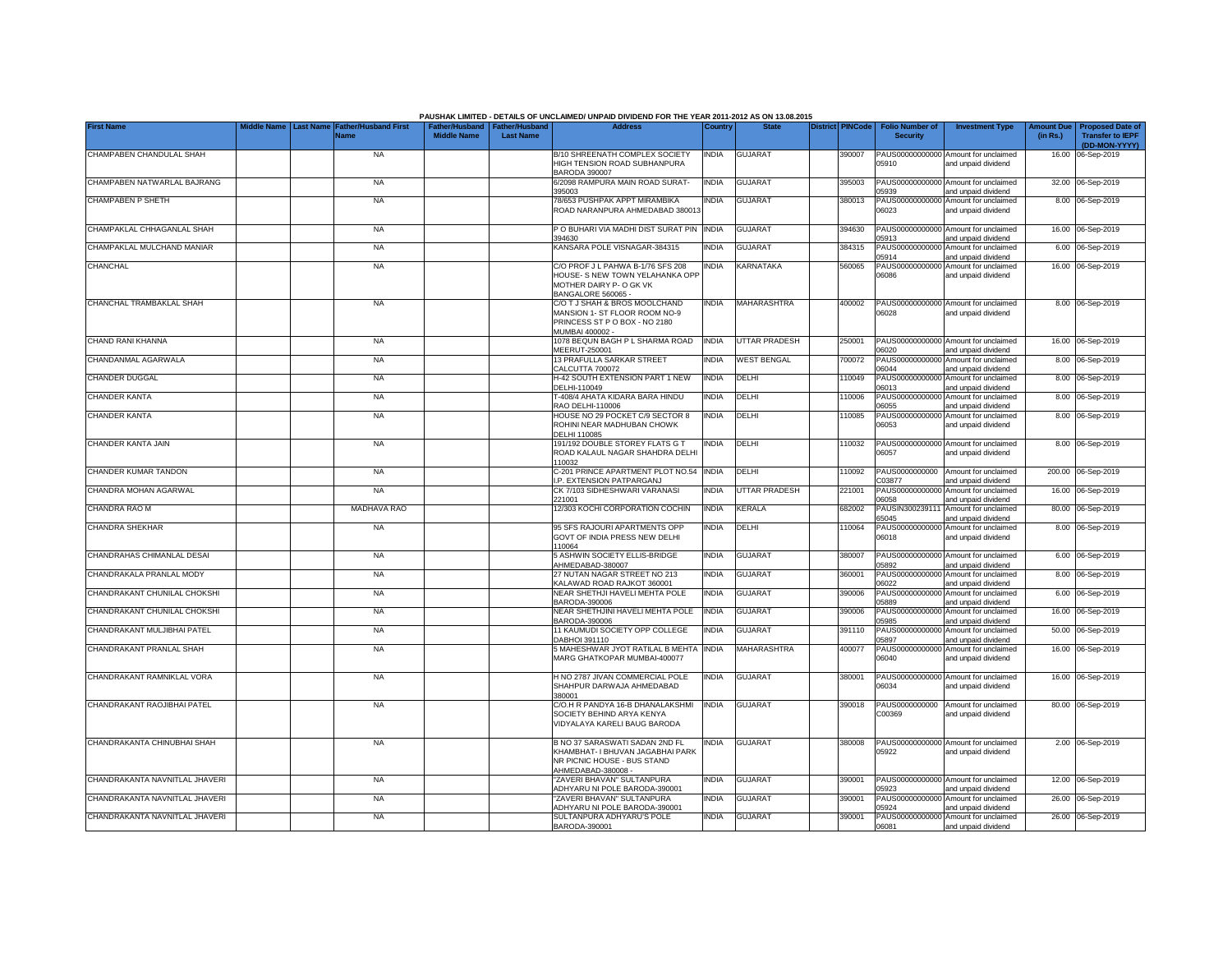|                                |                  |                                            |                                                       |                  | PAUSHAK LIMITED - DETAILS OF UNCLAIMED/ UNPAID DIVIDEND FOR THE YEAR 2011-2012 AS ON 13.08.2015                       |              |                      |                         |                                           |                                                             |                              |                                                    |
|--------------------------------|------------------|--------------------------------------------|-------------------------------------------------------|------------------|-----------------------------------------------------------------------------------------------------------------------|--------------|----------------------|-------------------------|-------------------------------------------|-------------------------------------------------------------|------------------------------|----------------------------------------------------|
| <b>First Name</b>              | <b>Last Name</b> | <b>Father/Husband First</b><br><b>Name</b> | Father/Husband   Father/Husband<br><b>Middle Name</b> | <b>Last Name</b> | <b>Address</b>                                                                                                        | Country      | <b>State</b>         | <b>District PINCode</b> | <b>Folio Number of</b><br><b>Security</b> | <b>Investment Type</b>                                      | <b>Amount Du</b><br>(in Rs.) | <b>Proposed Date of</b><br><b>Transfer to IEPF</b> |
|                                |                  |                                            |                                                       |                  |                                                                                                                       |              |                      |                         |                                           |                                                             |                              | (DD-MON-YYYY)                                      |
| CHAMPABEN CHANDULAL SHAH       |                  | <b>NA</b>                                  |                                                       |                  | B/10 SHREENATH COMPLEX SOCIETY<br>HIGH TENSION ROAD SUBHANPURA<br><b>BARODA 390007</b>                                | <b>INDIA</b> | <b>GUJARAT</b>       | 390007                  | 05910                                     | PAUS00000000000 Amount for unclaimed<br>and unpaid dividend |                              | 16.00 06-Sep-2019                                  |
| CHAMPABEN NATWARLAL BAJRANG    |                  | <b>NA</b>                                  |                                                       |                  | 6/2098 RAMPURA MAIN ROAD SURAT-<br>395003                                                                             | <b>INDIA</b> | <b>GUJARAT</b>       | 395003                  | PAUS00000000000<br>5939                   | Amount for unclaimed<br>and unpaid dividend                 |                              | 32.00 06-Sep-2019                                  |
| <b>CHAMPABEN P SHETH</b>       |                  | <b>NA</b>                                  |                                                       |                  | 78/653 PUSHPAK APPT MIRAMBIKA<br>ROAD NARANPURA AHMEDABAD 380013                                                      | <b>INDIA</b> | <b>GUJARAT</b>       | 380013                  | PAUS00000000000<br>06023                  | Amount for unclaimed<br>and unpaid dividend                 |                              | 8.00 06-Sep-2019                                   |
|                                |                  |                                            |                                                       |                  |                                                                                                                       |              |                      |                         |                                           |                                                             |                              |                                                    |
| CHAMPAKLAL CHHAGANLAL SHAH     |                  | <b>NA</b>                                  |                                                       |                  | P O BUHARI VIA MADHI DIST SURAT PIN<br>394630                                                                         | <b>INDIA</b> | <b>GUJARAT</b>       | 394630                  | 05913                                     | PAUS00000000000 Amount for unclaimed<br>and unpaid dividend |                              | 16.00 06-Sep-2019                                  |
| CHAMPAKLAL MULCHAND MANIAR     |                  | <b>NA</b>                                  |                                                       |                  | KANSARA POLE VISNAGAR-384315                                                                                          | <b>INDIA</b> | <b>GUJARAT</b>       | 384315                  | PAUS00000000000<br>05914                  | Amount for unclaimed<br>and unpaid dividend                 |                              | 6.00 06-Sep-2019                                   |
| CHANCHAL                       |                  | <b>NA</b>                                  |                                                       |                  | C/O PROF J L PAHWA B-1/76 SFS 208<br>HOUSE- S NEW TOWN YELAHANKA OPP<br>MOTHER DAIRY P- O GK VK<br>BANGALORE 560065   | <b>INDIA</b> | <b>KARNATAKA</b>     | 560065                  | 06086                                     | PAUS00000000000 Amount for unclaimed<br>and unpaid dividend |                              | 16.00 06-Sep-2019                                  |
| CHANCHAL TRAMBAKLAL SHAH       |                  | <b>NA</b>                                  |                                                       |                  | C/O T J SHAH & BROS MOOLCHAND<br>MANSION 1- ST FLOOR ROOM NO-9<br>PRINCESS ST P O BOX - NO 2180<br>MUMBAI 400002 -    | <b>INDIA</b> | <b>MAHARASHTRA</b>   | 400002                  | 06028                                     | PAUS00000000000 Amount for unclaimed<br>and unpaid dividend |                              | 8.00 06-Sep-2019                                   |
| CHAND RANI KHANNA              |                  | <b>NA</b>                                  |                                                       |                  | 1078 BEQUN BAGH P L SHARMA ROAD<br>MEERUT-250001                                                                      | <b>INDIA</b> | UTTAR PRADESH        | 250001                  | 06020                                     | PAUS00000000000 Amount for unclaimed<br>and unpaid dividend |                              | 16.00 06-Sep-2019                                  |
| CHANDANMAL AGARWALA            |                  | <b>NA</b>                                  |                                                       |                  | 13 PRAFULLA SARKAR STREET<br>CALCUTTA 700072                                                                          | <b>INDIA</b> | <b>WEST BENGAL</b>   | 700072                  | PAUS0000000000<br>06044                   | Amount for unclaimed<br>and unpaid dividend                 |                              | 8.00 06-Sep-2019                                   |
| CHANDER DUGGAL                 |                  | <b>NA</b>                                  |                                                       |                  | H-42 SOUTH EXTENSION PART 1 NEW<br>DELHI-110049                                                                       | india        | DELHI                | 110049                  | PAUS0000000000<br>06013                   | Amount for unclaimed<br>and unpaid dividend                 |                              | 8.00 06-Sep-2019                                   |
| <b>CHANDER KANTA</b>           |                  | <b>NA</b>                                  |                                                       |                  | T-408/4 AHATA KIDARA BARA HINDU<br>RAO DELHI-110006                                                                   | <b>INDIA</b> | DELHI                | 10006                   | PAUS0000000000<br>06055                   | Amount for unclaimed<br>and unpaid dividend                 |                              | 8.00 06-Sep-2019                                   |
| <b>CHANDER KANTA</b>           |                  | <b>NA</b>                                  |                                                       |                  | HOUSE NO 29 POCKET C/9 SECTOR 8<br>ROHINI NEAR MADHUBAN CHOWK<br>DELHI 110085                                         | <b>INDIA</b> | DELHI                | 110085                  | 06053                                     | PAUS00000000000 Amount for unclaimed<br>and unpaid dividend |                              | 8.00 06-Sep-2019                                   |
| CHANDER KANTA JAIN             |                  | <b>NA</b>                                  |                                                       |                  | 191/192 DOUBLE STOREY FLATS G T<br>ROAD KALAUL NAGAR SHAHDRA DELHI<br>110032                                          | <b>INDIA</b> | DELHI                | 110032                  | 06057                                     | PAUS00000000000 Amount for unclaimed<br>and unpaid dividend |                              | 8.00 06-Sep-2019                                   |
| CHANDER KUMAR TANDON           |                  | <b>NA</b>                                  |                                                       |                  | C-201 PRINCE APARTMENT PLOT NO.54 INDIA<br>.P. EXTENSION PATPARGANJ                                                   |              | DELHI                | 10092                   | PAUS0000000000<br>C03877                  | Amount for unclaimed<br>and unpaid dividend                 |                              | 200.00 06-Sep-2019                                 |
| CHANDRA MOHAN AGARWAL          |                  | <b>NA</b>                                  |                                                       |                  | CK 7/103 SIDHESHWARI VARANASI<br>221001                                                                               | <b>INDIA</b> | <b>UTTAR PRADESH</b> | 221001                  | 06058                                     | PAUS00000000000 Amount for unclaimed<br>and unpaid dividend |                              | 16.00 06-Sep-2019                                  |
| CHANDRA RAO M                  |                  | MADHAVA RAO                                |                                                       |                  | 12/303 KOCHI CORPORATION COCHIN                                                                                       | <b>INDIA</b> | <b>KERALA</b>        | 682002                  | PAUSIN300239111<br>65045                  | Amount for unclaimed<br>and unpaid dividend                 |                              | 80.00 06-Sep-2019                                  |
| CHANDRA SHEKHAR                |                  | <b>NA</b>                                  |                                                       |                  | 95 SFS RAJOURI APARTMENTS OPP<br>GOVT OF INDIA PRESS NEW DELHI<br>110064                                              | INDIA        | DELHI                | 110064                  | PAUS00000000000<br>06018                  | Amount for unclaimed<br>and unpaid dividend                 |                              | 8.00 06-Sep-2019                                   |
| CHANDRAHAS CHIMANLAL DESAI     |                  | <b>NA</b>                                  |                                                       |                  | 5 ASHWIN SOCIETY ELLIS-BRIDGE<br>HMEDABAD-380007                                                                      | <b>INDIA</b> | <b>GUJARAT</b>       | 380007                  | PAUS00000000000<br>05892                  | Amount for unclaimed<br>and unpaid dividend                 |                              | 6.00 06-Sep-2019                                   |
| CHANDRAKALA PRANLAL MODY       |                  | <b>NA</b>                                  |                                                       |                  | 27 NUTAN NAGAR STREET NO 213<br><b>KALAWAD ROAD RAJKOT 360001</b>                                                     | <b>INDIA</b> | <b>GUJARAT</b>       | 360001                  | PAUS0000000000<br>06022                   | Amount for unclaimed<br>and unpaid dividend                 |                              | 8.00 06-Sep-2019                                   |
| CHANDRAKANT CHUNILAL CHOKSHI   |                  | <b>NA</b>                                  |                                                       |                  | NEAR SHETHJI HAVELI MEHTA POLE<br>BARODA-390006                                                                       | <b>INDIA</b> | <b>GUJARAT</b>       | 390006                  | PAUS0000000000<br>5889                    | Amount for unclaimed<br>and unpaid dividend                 |                              | 6.00 06-Sep-2019                                   |
| CHANDRAKANT CHUNILAL CHOKSHI   |                  | <b>NA</b>                                  |                                                       |                  | NEAR SHETHJINI HAVELI MEHTA POLE<br>BARODA-390006                                                                     | <b>INDIA</b> | <b>GUJARAT</b>       | 390006                  | PAUS00000000000<br>05985                  | Amount for unclaimed<br>and unpaid dividend                 |                              | 16.00 06-Sep-2019                                  |
| CHANDRAKANT MULJIBHAI PATEL    |                  | <b>NA</b>                                  |                                                       |                  | 11 KAUMUDI SOCIETY OPP COLLEGE<br>DABHOI 391110                                                                       | <b>INDIA</b> | <b>GUJARAT</b>       | 391110                  | PAUS00000000000<br>05897                  | Amount for unclaimed<br>and unpaid dividend                 |                              | 50.00 06-Sep-2019                                  |
| CHANDRAKANT PRANLAL SHAH       |                  | <b>NA</b>                                  |                                                       |                  | 5 MAHESHWAR JYOT RATILAL B MEHTA<br>MARG GHATKOPAR MUMBAI-400077                                                      | <b>INDIA</b> | <b>MAHARASHTRA</b>   | 400077                  | 06040                                     | PAUS00000000000 Amount for unclaimed<br>and unpaid dividend |                              | 16.00 06-Sep-2019                                  |
| CHANDRAKANT RAMNIKLAL VORA     |                  | <b>NA</b>                                  |                                                       |                  | H NO 2787 JIVAN COMMERCIAL POLE<br>SHAHPUR DARWAJA AHMEDABAD<br>380001                                                | <b>INDIA</b> | <b>GUJARAT</b>       | 380001                  | 06034                                     | PAUS00000000000 Amount for unclaimed<br>and unpaid dividend |                              | 16.00 06-Sep-2019                                  |
| CHANDRAKANT RAOJIBHAI PATEL    |                  | <b>NA</b>                                  |                                                       |                  | C/O.H R PANDYA 16-B DHANALAKSHMI<br>SOCIETY BEHIND ARYA KENYA<br>VIDYALAYA KARELI BAUG BARODA                         | <b>INDIA</b> | <b>GUJARAT</b>       | 390018                  | PAUS0000000000<br>C00369                  | Amount for unclaimed<br>and unpaid dividend                 |                              | 80.00 06-Sep-2019                                  |
| CHANDRAKANTA CHINUBHAI SHAH    |                  | <b>NA</b>                                  |                                                       |                  | B NO 37 SARASWATI SADAN 2ND FL<br>KHAMBHAT- I BHUVAN JAGABHAI PARK<br>NR PICNIC HOUSE - BUS STAND<br>AHMEDABAD-380008 | <b>INDIA</b> | <b>GUJARAT</b>       | 380008                  | 05922                                     | PAUS00000000000 Amount for unclaimed<br>and unpaid dividend |                              | 2.00 06-Sep-2019                                   |
| CHANDRAKANTA NAVNITLAL JHAVERI |                  | <b>NA</b>                                  |                                                       |                  | ZAVERI BHAVAN" SULTANPURA<br>ADHYARU NI POLE BARODA-390001                                                            | <b>INDIA</b> | <b>GUJARAT</b>       | 390001                  | 05923                                     | PAUS00000000000 Amount for unclaimed<br>and unpaid dividend |                              | 12.00 06-Sep-2019                                  |
| CHANDRAKANTA NAVNITLAL JHAVERI |                  | <b>NA</b>                                  |                                                       |                  | ZAVERI BHAVAN" SULTANPURA<br>ADHYARU NI POLE BARODA-390001                                                            | <b>INDIA</b> | <b>GUJARAT</b>       | 390001                  | 05924                                     | PAUS00000000000 Amount for unclaimed<br>and unpaid dividend |                              | 26.00 06-Sep-2019                                  |
| CHANDRAKANTA NAVNITLAL JHAVERI |                  | <b>NA</b>                                  |                                                       |                  | SULTANPURA ADHYARU'S POLE<br>BARODA-390001                                                                            | <b>INDIA</b> | <b>GUJARAT</b>       | 390001                  | 06081                                     | PAUS00000000000 Amount for unclaimed<br>and unpaid dividend |                              | 26.00 06-Sep-2019                                  |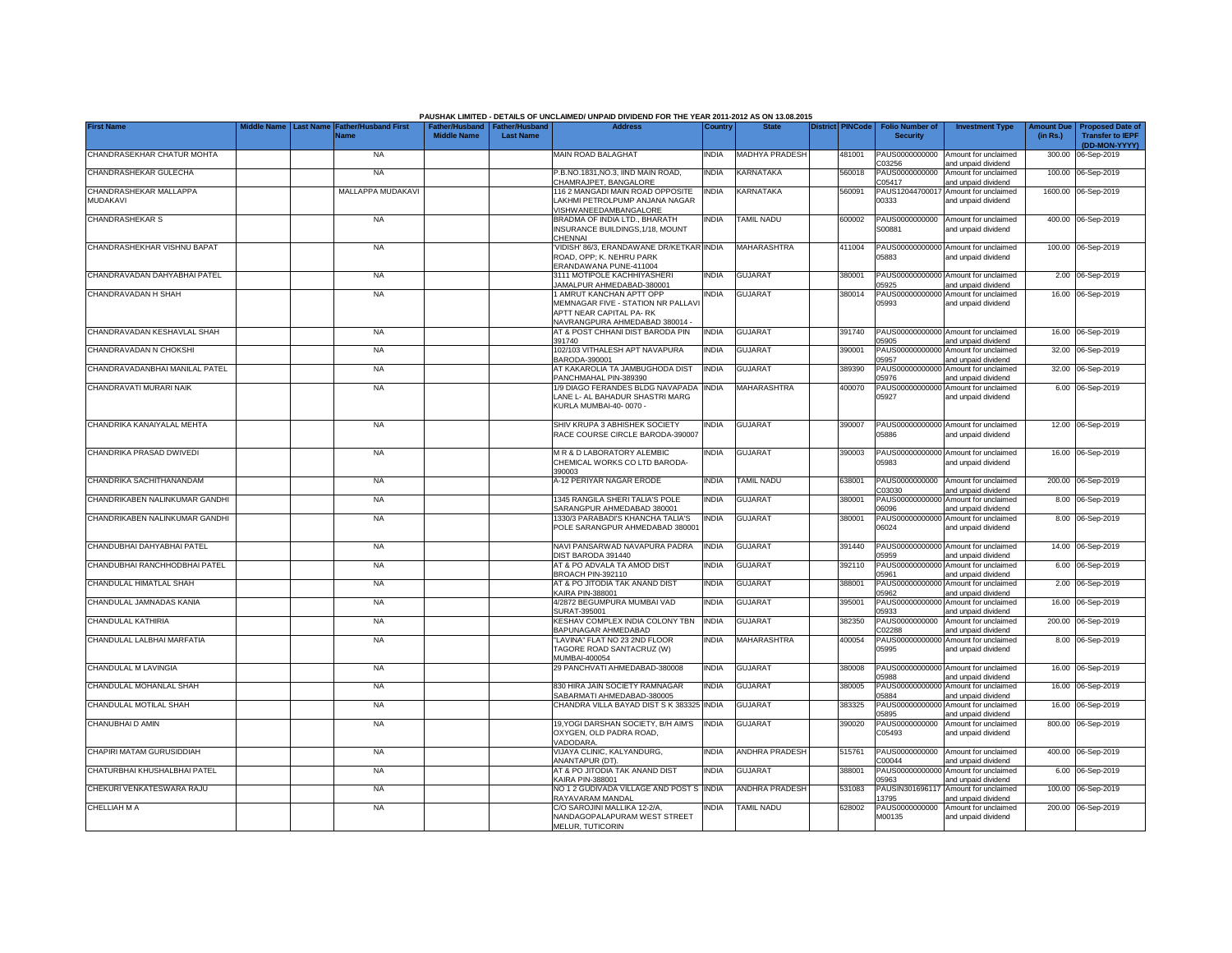|                                           |                  |                             |                                                       |                  | PAUSHAK LIMITED - DETAILS OF UNCLAIMED/ UNPAID DIVIDEND FOR THE YEAR 2011-2012 AS ON 13.08.2015                                    |              |                       |                         |                                           |                                                                    |                               |                                                    |
|-------------------------------------------|------------------|-----------------------------|-------------------------------------------------------|------------------|------------------------------------------------------------------------------------------------------------------------------------|--------------|-----------------------|-------------------------|-------------------------------------------|--------------------------------------------------------------------|-------------------------------|----------------------------------------------------|
| <b>First Name</b>                         | <b>Last Name</b> | ather/Husband First<br>Name | Father/Husband   Father/Husband<br><b>Middle Name</b> | <b>Last Name</b> | <b>Address</b>                                                                                                                     | Country      | <b>State</b>          | <b>District PINCode</b> | <b>Folio Number of</b><br><b>Security</b> | <b>Investment Type</b>                                             | <b>Amount Due</b><br>(in Rs.) | <b>Proposed Date of</b><br><b>Transfer to IEPF</b> |
| CHANDRASEKHAR CHATUR MOHTA                |                  | <b>NA</b>                   |                                                       |                  | MAIN ROAD BALAGHAT                                                                                                                 | INDIA        | MADHYA PRADESH        | 481001                  | PAUS0000000000                            | Amount for unclaimed                                               |                               | (DD-MON-YYYY)<br>300.00 06-Sep-2019                |
| CHANDRASHEKAR GULECHA                     |                  | <b>NA</b>                   |                                                       |                  | P.B.NO.1831, NO.3, IIND MAIN ROAD,<br>HAMRAJPET, BANGALORE                                                                         | <b>INDIA</b> | KARNATAKA             | 560018                  | C03256<br>PAUS0000000000<br>205417        | and unpaid dividend<br>Amount for unclaimed<br>and unpaid dividend |                               | 100.00 06-Sep-2019                                 |
| CHANDRASHEKAR MALLAPPA<br><b>MUDAKAVI</b> |                  | MALLAPPA MUDAKAVI           |                                                       |                  | 116 2 MANGADI MAIN ROAD OPPOSITE<br>AKHMI PETROLPUMP ANJANA NAGAR<br>/ISHWANEEDAMBANGALORE                                         | INDIA        | KARNATAKA             | 560091                  | PAUS12044700017<br>00333                  | Amount for unclaimed<br>and unpaid dividend                        |                               | 1600.00 06-Sep-2019                                |
| <b>CHANDRASHEKAR S</b>                    |                  | <b>NA</b>                   |                                                       |                  | BRADMA OF INDIA LTD., BHARATH<br>INSURANCE BUILDINGS, 1/18, MOUNT<br>CHENNAI                                                       | INDIA        | <b>TAMIL NADU</b>     | 600002                  | PAUS0000000000<br>300881                  | Amount for unclaimed<br>and unpaid dividend                        |                               | 400.00 06-Sep-2019                                 |
| CHANDRASHEKHAR VISHNU BAPAT               |                  | <b>NA</b>                   |                                                       |                  | VIDISH' 86/3, ERANDAWANE DR/KETKAR INDIA<br>ROAD, OPP; K. NEHRU PARK<br>ERANDAWANA PUNE-411004                                     |              | MAHARASHTRA           | 411004                  | 05883                                     | PAUS00000000000 Amount for unclaimed<br>and unpaid dividend        |                               | 100.00 06-Sep-2019                                 |
| CHANDRAVADAN DAHYABHAI PATEL              |                  | <b>NA</b>                   |                                                       |                  | 3111 MOTIPOLE KACHHIYASHERI<br>AMALPUR AHMEDABAD-380001                                                                            | <b>INDIA</b> | <b>GUJARAT</b>        | 380001                  | 05925                                     | PAUS00000000000 Amount for unclaimed<br>and unpaid dividend        |                               | 2.00 06-Sep-2019                                   |
| CHANDRAVADAN H SHAH                       |                  | <b>NA</b>                   |                                                       |                  | <b>I AMRUT KANCHAN APTT OPP</b><br>MEMNAGAR FIVE - STATION NR PALLAVI<br>APTT NEAR CAPITAL PA-RK<br>NAVRANGPURA AHMEDABAD 380014 - | <b>INDIA</b> | <b>GUJARAT</b>        | 380014                  | PAUS00000000000<br>05993                  | Amount for unclaimed<br>and unpaid dividend                        |                               | 16.00 06-Sep-2019                                  |
| CHANDRAVADAN KESHAVLAL SHAH               |                  | <b>NA</b>                   |                                                       |                  | AT & POST CHHANI DIST BARODA PIN<br>391740                                                                                         | <b>INDIA</b> | <b>GUJARAT</b>        | 391740                  | 05905                                     | PAUS00000000000 Amount for unclaimed<br>and unpaid dividend        |                               | 16.00 06-Sep-2019                                  |
| CHANDRAVADAN N CHOKSHI                    |                  | <b>NA</b>                   |                                                       |                  | 102/103 VITHALESH APT NAVAPURA<br>BARODA-390001                                                                                    | India        | <b>GUJARAT</b>        | 390001                  | PAUS00000000000<br>05957                  | Amount for unclaimed<br>and unpaid dividend                        |                               | 32.00 06-Sep-2019                                  |
| CHANDRAVADANBHAI MANILAL PATEL            |                  | <b>NA</b>                   |                                                       |                  | AT KAKAROLIA TA JAMBUGHODA DIST<br>PANCHMAHAL PIN-389390                                                                           | India        | <b>GUJARAT</b>        | 389390                  | PAUS0000000000<br>05976                   | Amount for unclaimed<br>and unpaid dividend                        |                               | 32.00 06-Sep-2019                                  |
| CHANDRAVATI MURARI NAIK                   |                  | <b>NA</b>                   |                                                       |                  | 1/9 DIAGO FERANDES BLDG NAVAPADA<br>LANE L- AL BAHADUR SHASTRI MARG<br>KURLA MUMBAI-40-0070 -                                      | INDIA        | MAHARASHTRA           | 400070                  | PAUS00000000000<br>05927                  | Amount for unclaimed<br>and unpaid dividend                        |                               | 6.00 06-Sep-2019                                   |
| CHANDRIKA KANAIYALAL MEHTA                |                  | <b>NA</b>                   |                                                       |                  | SHIV KRUPA 3 ABHISHEK SOCIETY<br>RACE COURSE CIRCLE BARODA-390007                                                                  | INDIA        | <b>GUJARAT</b>        | 390007                  | 05886                                     | PAUS00000000000 Amount for unclaimed<br>and unpaid dividend        |                               | 12.00 06-Sep-2019                                  |
| CHANDRIKA PRASAD DWIVEDI                  |                  | <b>NA</b>                   |                                                       |                  | M R & D LABORATORY ALEMBIC<br>CHEMICAL WORKS CO LTD BARODA-<br>390003                                                              | INDIA        | <b>GUJARAT</b>        | 390003                  | 05983                                     | PAUS00000000000 Amount for unclaimed<br>and unpaid dividend        |                               | 16.00 06-Sep-2019                                  |
| CHANDRIKA SACHITHANANDAM                  |                  | <b>NA</b>                   |                                                       |                  | A-12 PERIYAR NAGAR ERODE                                                                                                           | <b>INDIA</b> | <b>TAMIL NADU</b>     | 638001                  | PAUS0000000000<br>C03030                  | Amount for unclaimed<br>and unpaid dividend                        |                               | 200.00 06-Sep-2019                                 |
| CHANDRIKABEN NALINKUMAR GANDHI            |                  | <b>NA</b>                   |                                                       |                  | 1345 RANGILA SHERI TALIA'S POLE<br>SARANGPUR AHMEDABAD 380001                                                                      | INDIA        | <b>GUJARAT</b>        | 380001                  | 06096                                     | PAUS00000000000 Amount for unclaimed<br>and unpaid dividend        |                               | 8.00 06-Sep-2019                                   |
| CHANDRIKABEN NALINKUMAR GANDHI            |                  | <b>NA</b>                   |                                                       |                  | 1330/3 PARABADI'S KHANCHA TALIA'S<br>POLE SARANGPUR AHMEDABAD 380001                                                               | INDIA        | <b>GUJARAT</b>        | 380001                  | 06024                                     | PAUS00000000000 Amount for unclaimed<br>and unpaid dividend        |                               | 8.00 06-Sep-2019                                   |
| CHANDUBHAI DAHYABHAI PATEL                |                  | <b>NA</b>                   |                                                       |                  | NAVI PANSARWAD NAVAPURA PADRA<br>DIST BARODA 391440                                                                                | <b>INDIA</b> | <b>GUJARAT</b>        | 391440                  | 05959                                     | PAUS00000000000 Amount for unclaimed<br>and unpaid dividend        |                               | 14.00 06-Sep-2019                                  |
| CHANDUBHAI RANCHHODBHAI PATEL             |                  | <b>NA</b>                   |                                                       |                  | AT & PO ADVALA TA AMOD DIST<br>BROACH PIN-392110                                                                                   | <b>INDIA</b> | <b>GUJARAT</b>        | 392110                  | PAUS0000000000<br>05961                   | Amount for unclaimed<br>and unpaid dividend                        |                               | 6.00 06-Sep-2019                                   |
| CHANDULAL HIMATLAL SHAH                   |                  | <b>NA</b>                   |                                                       |                  | AT & PO JITODIA TAK ANAND DIST<br><b>KAIRA PIN-388001</b>                                                                          | <b>INDIA</b> | <b>GUJARAT</b>        | 388001                  | PAUS0000000000<br>05962                   | Amount for unclaimed<br>and unpaid dividend                        |                               | 2.00 06-Sep-2019                                   |
| CHANDULAL JAMNADAS KANIA                  |                  | <b>NA</b>                   |                                                       |                  | 4/2872 BEGUMPURA MUMBAI VAD<br>SURAT-395001                                                                                        | INDIA        | <b>GUJARAT</b>        | 395001                  | PAUS00000000000<br>05933                  | Amount for unclaimed<br>and unpaid dividend                        |                               | 16.00 06-Sep-2019                                  |
| CHANDULAL KATHIRIA                        |                  | <b>NA</b>                   |                                                       |                  | KESHAV COMPLEX INDIA COLONY TBN<br>BAPUNAGAR AHMEDABAD                                                                             | <b>INDIA</b> | <b>GUJARAT</b>        | 382350                  | PAUS0000000000<br>C02288                  | Amount for unclaimed<br>and unpaid dividend                        |                               | 200.00 06-Sep-2019                                 |
| CHANDULAL LALBHAI MARFATIA                |                  | <b>NA</b>                   |                                                       |                  | "LAVINA" FLAT NO 23 2ND FLOOR<br>TAGORE ROAD SANTACRUZ (W)<br>MUMBAI-400054                                                        | <b>INDIA</b> | <b>MAHARASHTRA</b>    | 400054                  | 05995                                     | PAUS00000000000 Amount for unclaimed<br>and unpaid dividend        |                               | 8.00 06-Sep-2019                                   |
| CHANDULAL M LAVINGIA                      |                  | <b>NA</b>                   |                                                       |                  | 29 PANCHVATI AHMEDABAD-380008                                                                                                      | INDIA        | <b>GUJARAT</b>        | 380008                  | 05988                                     | PAUS00000000000 Amount for unclaimed<br>and unpaid dividend        |                               | 16.00 06-Sep-2019                                  |
| CHANDULAL MOHANLAL SHAH                   |                  | <b>NA</b>                   |                                                       |                  | 830 HIRA JAIN SOCIETY RAMNAGAR<br>SABARMATI AHMEDABAD-380005                                                                       | india        | <b>GUJARAT</b>        | 380005                  | PAUS0000000000<br>05884                   | Amount for unclaimed<br>and unpaid dividend                        | 16.00                         | 06-Sep-2019                                        |
| CHANDULAL MOTILAL SHAH                    |                  | <b>NA</b>                   |                                                       |                  | CHANDRA VILLA BAYAD DIST S K 383325                                                                                                | <b>INDIA</b> | <b>GUJARAT</b>        | 383325                  | PAUS0000000000<br>05895                   | Amount for unclaimed<br>and unpaid dividend                        |                               | 16.00 06-Sep-2019                                  |
| CHANUBHAI D AMIN                          |                  | <b>NA</b>                   |                                                       |                  | 19, YOGI DARSHAN SOCIETY, B/H AIM'S<br>OXYGEN, OLD PADRA ROAD.<br>VADODARA.                                                        | <b>INDIA</b> | <b>GUJARAT</b>        | 390020                  | PAUS0000000000<br>C05493                  | Amount for unclaimed<br>and unpaid dividend                        |                               | 800.00 06-Sep-2019                                 |
| CHAPIRI MATAM GURUSIDDIAH                 |                  | <b>NA</b>                   |                                                       |                  | VIJAYA CLINIC, KALYANDURG,<br>ANANTAPUR (DT).                                                                                      | <b>INDIA</b> | <b>ANDHRA PRADESH</b> | 515761                  | PAUS0000000000<br>200044                  | Amount for unclaimed<br>and unpaid dividend                        |                               | 400.00 06-Sep-2019                                 |
| CHATURBHAI KHUSHALBHAI PATEL              |                  | <b>NA</b>                   |                                                       |                  | AT & PO JITODIA TAK ANAND DIST<br><b>KAIRA PIN-388001</b>                                                                          | india        | GUJARAT               | 388001                  | PAUS00000000000<br>05963                  | Amount for unclaimed<br>and unpaid dividend                        |                               | 6.00 06-Sep-2019                                   |
| CHEKURI VENKATESWARA RAJU                 |                  | <b>NA</b>                   |                                                       |                  | NO 1 2 GUDIVADA VILLAGE AND POST S<br>RAYAVARAM MANDAL                                                                             | <b>INDIA</b> | <b>ANDHRA PRADESH</b> | 531083                  | PAUSIN301696117<br>3795                   | Amount for unclaimed<br>and unpaid dividend                        |                               | 100.00 06-Sep-2019                                 |
| <b>CHELLIAH M A</b>                       |                  | <b>NA</b>                   |                                                       |                  | C/O SAROJINI MALLIKA 12-2/A<br>NANDAGOPALAPURAM WEST STREET<br>MELUR, TUTICORIN                                                    | INDIA        | TAMIL NADU            | 628002                  | PAUS0000000000<br>M00135                  | Amount for unclaimed<br>and unpaid dividend                        |                               | 200.00 06-Sep-2019                                 |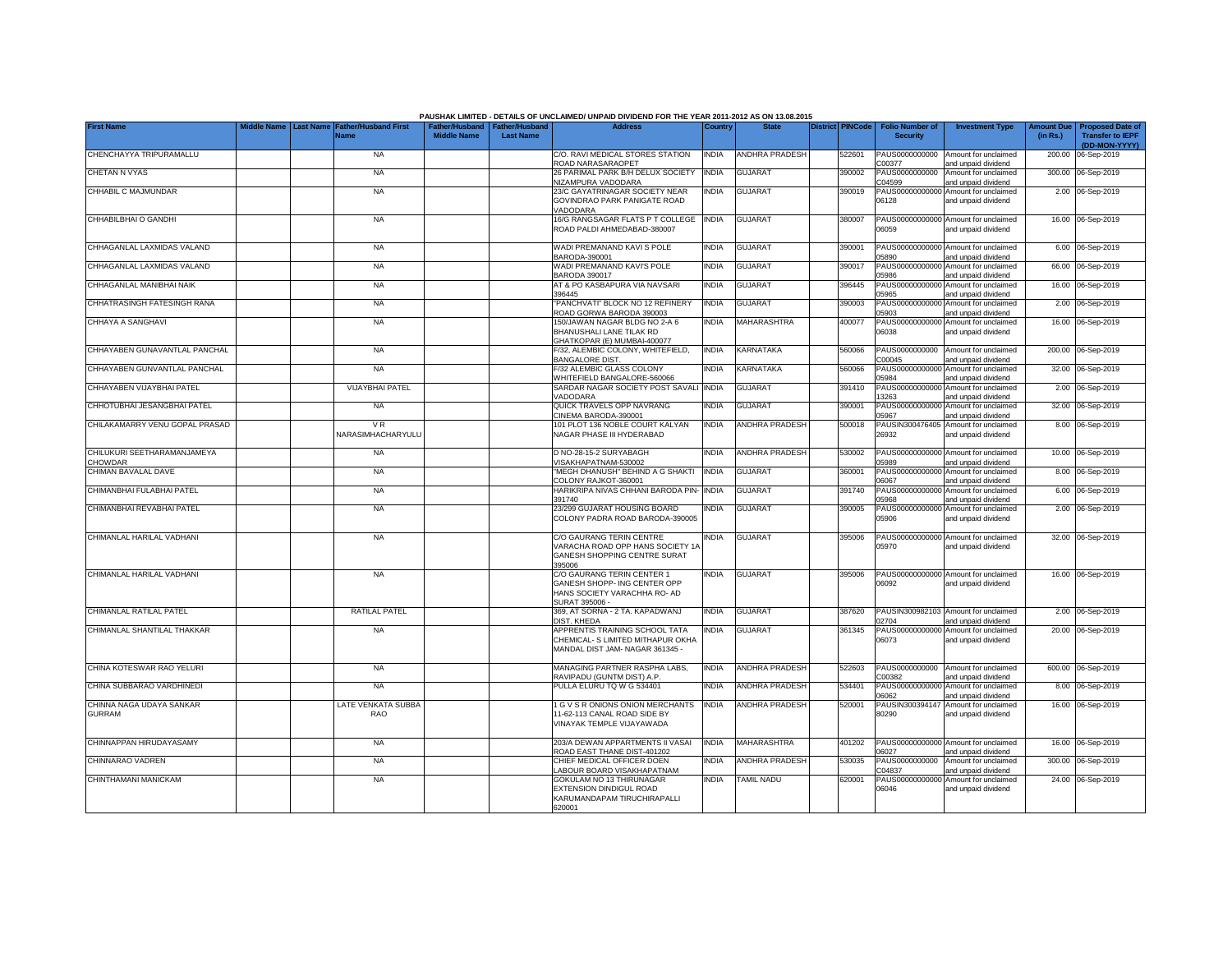|                                              |                                 |                                            |                    |                                                     | PAUSHAK LIMITED - DETAILS OF UNCLAIMED/ UNPAID DIVIDEND FOR THE YEAR 2011-2012 AS ON 13.08.2015              |              |                       |                         |                                           |                                                             |                               |                                                                     |
|----------------------------------------------|---------------------------------|--------------------------------------------|--------------------|-----------------------------------------------------|--------------------------------------------------------------------------------------------------------------|--------------|-----------------------|-------------------------|-------------------------------------------|-------------------------------------------------------------|-------------------------------|---------------------------------------------------------------------|
| <b>First Name</b>                            | Middle Name<br><b>Last Name</b> | <b>Father/Husband First</b><br><b>Name</b> | <b>Middle Name</b> | Father/Husband   Father/Husband<br><b>Last Name</b> | <b>Address</b>                                                                                               | Country      | <b>State</b>          | <b>District PINCode</b> | <b>Folio Number of</b><br><b>Security</b> | <b>Investment Type</b>                                      | <b>Amount Due</b><br>(in Rs.) | <b>Proposed Date of</b><br><b>Transfer to IEPF</b><br>(DD-MON-YYYY) |
| CHENCHAYYA TRIPURAMALLU                      |                                 | <b>NA</b>                                  |                    |                                                     | C/O. RAVI MEDICAL STORES STATION<br>ROAD NARASARAOPET                                                        | <b>INDIA</b> | <b>ANDHRA PRADESH</b> | 522601                  | PAUS0000000000<br>C00377                  | Amount for unclaimed<br>and unpaid dividend                 | 200.00                        | 06-Sep-2019                                                         |
| <b>CHETAN N VYAS</b>                         |                                 | <b>NA</b>                                  |                    |                                                     | 26 PARIMAL PARK B/H DELUX SOCIETY<br><b>NIZAMPURA VADODARA</b>                                               | <b>INDIA</b> | GUJARAT               | 390002                  | PAUS0000000000<br>C04599                  | Amount for unclaimed<br>and unpaid dividend                 |                               | 300.00 06-Sep-2019                                                  |
| CHHABIL C MAJMUNDAR                          |                                 | <b>NA</b>                                  |                    |                                                     | 23/C GAYATRINAGAR SOCIETY NEAR<br>GOVINDRAO PARK PANIGATE ROAD<br>VADODARA                                   | INDIA        | GUJARAT               | 390019                  | 06128                                     | PAUS00000000000 Amount for unclaimed<br>and unpaid dividend |                               | 2.00 06-Sep-2019                                                    |
| CHHABILBHAI O GANDHI                         |                                 | <b>NA</b>                                  |                    |                                                     | 16/G RANGSAGAR FLATS P T COLLEGE<br>ROAD PALDI AHMEDABAD-380007                                              | <b>INDIA</b> | <b>GUJARAT</b>        | 380007                  | 06059                                     | PAUS00000000000 Amount for unclaimed<br>and unpaid dividend |                               | 16.00 06-Sep-2019                                                   |
| CHHAGANLAL LAXMIDAS VALAND                   |                                 | <b>NA</b>                                  |                    |                                                     | WADI PREMANAND KAVI S POLE<br>BARODA-390001                                                                  | <b>INDIA</b> | <b>GUJARAT</b>        | 390001                  | 05890                                     | PAUS00000000000 Amount for unclaimed<br>and unpaid dividend |                               | 6.00 06-Sep-2019                                                    |
| CHHAGANLAL LAXMIDAS VALAND                   |                                 | <b>NA</b>                                  |                    |                                                     | WADI PREMANAND KAVI'S POLE<br><b>BARODA 390017</b>                                                           | <b>INDIA</b> | <b>GUJARAT</b>        | 390017                  | 05986                                     | PAUS00000000000 Amount for unclaimed<br>and unpaid dividend |                               | 66.00 06-Sep-2019                                                   |
| CHHAGANLAL MANIBHAI NAIK                     |                                 | <b>NA</b>                                  |                    |                                                     | AT & PO KASBAPURA VIA NAVSARI<br>396445                                                                      | <b>INDIA</b> | <b>GUJARAT</b>        | 396445                  | 05965                                     | PAUS00000000000 Amount for unclaimed<br>and unpaid dividend |                               | 16.00 06-Sep-2019                                                   |
| CHHATRASINGH FATESINGH RANA                  |                                 | <b>NA</b>                                  |                    |                                                     | PANCHVATI" BLOCK NO 12 REFINERY<br>ROAD GORWA BARODA 390003                                                  | <b>INDIA</b> | <b>GUJARAT</b>        | 390003                  | 05903                                     | PAUS00000000000 Amount for unclaimed<br>and unpaid dividend |                               | 2.00 06-Sep-2019                                                    |
| CHHAYA A SANGHAVI                            |                                 | <b>NA</b>                                  |                    |                                                     | 150/JAWAN NAGAR BLDG NO 2-A 6<br>BHANUSHALI LANE TILAK RD<br>GHATKOPAR (E) MUMBAI-400077                     | <b>INDIA</b> | MAHARASHTRA           | 400077                  | 06038                                     | PAUS00000000000 Amount for unclaimed<br>and unpaid dividend |                               | 16.00 06-Sep-2019                                                   |
| CHHAYABEN GUNAVANTLAL PANCHAL                |                                 | <b>NA</b>                                  |                    |                                                     | F/32, ALEMBIC COLONY, WHITEFIELD,<br><b>BANGALORE DIST.</b>                                                  | <b>INDIA</b> | <b>KARNATAKA</b>      | 560066                  | C00045                                    | PAUS0000000000 Amount for unclaimed<br>and unpaid dividend  |                               | 200.00 06-Sep-2019                                                  |
| CHHAYABEN GUNVANTLAL PANCHAL                 |                                 | <b>NA</b>                                  |                    |                                                     | F/32 ALEMBIC GLASS COLONY<br>WHITEFIELD BANGALORE-560066                                                     | <b>INDIA</b> | KARNATAKA             | 560066                  | 05984                                     | PAUS00000000000 Amount for unclaimed<br>and unpaid dividend |                               | 32.00 06-Sep-2019                                                   |
| CHHAYABEN VIJAYBHAI PATEL                    |                                 | <b>VIJAYBHAI PATEL</b>                     |                    |                                                     | SARDAR NAGAR SOCIETY POST SAVALI INDIA<br>VADODARA                                                           |              | <b>GUJARAT</b>        | 391410                  | 13263                                     | PAUS00000000000 Amount for unclaimed<br>and unpaid dividend |                               | 2.00 06-Sep-2019                                                    |
| CHHOTUBHAI JESANGBHAI PATEL                  |                                 | <b>NA</b>                                  |                    |                                                     | QUICK TRAVELS OPP NAVRANG<br>CINEMA BARODA-390001                                                            | India        | <b>GUJARAT</b>        | 390001                  | 05967                                     | PAUS00000000000 Amount for unclaimed<br>and unpaid dividend |                               | 32.00 06-Sep-2019                                                   |
| CHILAKAMARRY VENU GOPAL PRASAD               |                                 | VR.<br>NARASIMHACHARYULU                   |                    |                                                     | 101 PLOT 136 NOBLE COURT KALYAN<br>NAGAR PHASE III HYDERABAD                                                 | <b>INDIA</b> | ANDHRA PRADESH        | 500018                  | 26932                                     | PAUSIN300476405 Amount for unclaimed<br>and unpaid dividend |                               | 8.00 06-Sep-2019                                                    |
| CHILUKURI SEETHARAMANJAMEYA<br><b>HOWDAR</b> |                                 | <b>NA</b>                                  |                    |                                                     | D NO-28-15-2 SURYABAGH<br>VISAKHAPATNAM-530002                                                               | India        | <b>ANDHRA PRADESH</b> | 530002                  | 05989                                     | PAUS00000000000 Amount for unclaimed<br>and unpaid dividend |                               | 10.00 06-Sep-2019                                                   |
| CHIMAN BAVALAL DAVE                          |                                 | <b>NA</b>                                  |                    |                                                     | "MEGH DHANUSH" BEHIND A G SHAKTI<br>COLONY RAJKOT-360001                                                     | <b>INDIA</b> | <b>GUJARAT</b>        | 360001                  | 06067                                     | PAUS00000000000 Amount for unclaimed<br>and unpaid dividend |                               | 8.00 06-Sep-2019                                                    |
| CHIMANBHAI FULABHAI PATEL                    |                                 | <b>NA</b>                                  |                    |                                                     | HARIKRIPA NIVAS CHHANI BARODA PIN-<br>391740                                                                 | <b>INDIA</b> | <b>GUJARAT</b>        | 391740                  | 05968                                     | PAUS00000000000 Amount for unclaimed<br>and unpaid dividend |                               | 6.00 06-Sep-2019                                                    |
| CHIMANBHAI REVABHAI PATEL                    |                                 | <b>NA</b>                                  |                    |                                                     | 23/299 GUJARAT HOUSING BOARD<br>COLONY PADRA ROAD BARODA-390005                                              | INDIA        | <b>GUJARAT</b>        | 390005                  | 05906                                     | PAUS00000000000 Amount for unclaimed<br>and unpaid dividend |                               | 2.00 06-Sep-2019                                                    |
| CHIMANLAL HARILAL VADHANI                    |                                 | <b>NA</b>                                  |                    |                                                     | C/O GAURANG TERIN CENTRE<br>VARACHA ROAD OPP HANS SOCIETY 1A<br>GANESH SHOPPING CENTRE SURAT<br>395006       | India        | <b>GUJARAT</b>        | 395006                  | 05970                                     | PAUS00000000000 Amount for unclaimed<br>and unpaid dividend |                               | 32.00 06-Sep-2019                                                   |
| CHIMANLAL HARILAL VADHANI                    |                                 | <b>NA</b>                                  |                    |                                                     | C/O GAURANG TERIN CENTER 1<br>GANESH SHOPP- ING CENTER OPP<br>HANS SOCIETY VARACHHA RO- AD<br>SURAT 395006 - | <b>INDIA</b> | <b>GUJARAT</b>        | 395006                  | 06092                                     | PAUS00000000000 Amount for unclaimed<br>and unpaid dividend |                               | 16.00 06-Sep-2019                                                   |
| CHIMANLAL RATILAL PATEL                      |                                 | <b>RATILAL PATEL</b>                       |                    |                                                     | 369, AT SORNA - 2 TA. KAPADWANJ<br>DIST, KHEDA                                                               | <b>INDIA</b> | <b>GUJARAT</b>        | 387620                  | 2704                                      | PAUSIN300982103 Amount for unclaimed<br>and unpaid dividend |                               | 2.00 06-Sep-2019                                                    |
| CHIMANLAL SHANTILAL THAKKAR                  |                                 | <b>NA</b>                                  |                    |                                                     | APPRENTIS TRAINING SCHOOL TATA<br>CHEMICAL- S LIMITED MITHAPUR OKHA<br>MANDAL DIST JAM- NAGAR 361345 -       | <b>INDIA</b> | <b>GUJARAT</b>        | 361345                  | 06073                                     | PAUS00000000000 Amount for unclaimed<br>and unpaid dividend |                               | 20.00 06-Sep-2019                                                   |
| CHINA KOTESWAR RAO YELURI                    |                                 | <b>NA</b>                                  |                    |                                                     | MANAGING PARTNER RASPHA LABS,<br>RAVIPADU (GUNTM DIST) A.P.                                                  | <b>INDIA</b> | <b>ANDHRA PRADESH</b> | 522603                  | PAUS0000000000<br>C00382                  | Amount for unclaimed<br>and unpaid dividend                 |                               | 600.00 06-Sep-2019                                                  |
| CHINA SUBBARAO VARDHINEDI                    |                                 | <b>NA</b>                                  |                    |                                                     | PULLA ELURU TQ W G 534401                                                                                    | India        | ANDHRA PRADESH        | 534401                  | PAUS00000000000<br>06062                  | Amount for unclaimed<br>and unpaid dividend                 |                               | 8.00 06-Sep-2019                                                    |
| CHINNA NAGA UDAYA SANKAR<br><b>GURRAM</b>    |                                 | LATE VENKATA SUBBA<br><b>RAO</b>           |                    |                                                     | 1 G V S R ONIONS ONION MERCHANTS<br>11-62-113 CANAL ROAD SIDE BY<br>VINAYAK TEMPLE VIJAYAWADA                | <b>INDIA</b> | <b>ANDHRA PRADESH</b> | 520001                  | PAUSIN300394147<br>80290                  | Amount for unclaimed<br>and unpaid dividend                 |                               | 16.00 06-Sep-2019                                                   |
| CHINNAPPAN HIRUDAYASAMY                      |                                 | <b>NA</b>                                  |                    |                                                     | 203/A DEWAN APPARTMENTS II VASAI<br>ROAD EAST THANE DIST-401202                                              | <b>INDIA</b> | <b>MAHARASHTRA</b>    | 401202                  | 06027                                     | PAUS00000000000 Amount for unclaimed<br>and unpaid dividend |                               | 16.00 06-Sep-2019                                                   |
| CHINNARAO VADREN                             |                                 | <b>NA</b>                                  |                    |                                                     | CHIEF MEDICAL OFFICER DOEN<br>ABOUR BOARD VISAKHAPATNAM                                                      | <b>INDIA</b> | ANDHRA PRADESH        | 530035                  | PAUS0000000000<br>204837                  | Amount for unclaimed<br>and unpaid dividend                 |                               | 300.00 06-Sep-2019                                                  |
| CHINTHAMANI MANICKAM                         |                                 | <b>NA</b>                                  |                    |                                                     | <b>GOKULAM NO 13 THIRUNAGAR</b><br>EXTENSION DINDIGUL ROAD<br>KARUMANDAPAM TIRUCHIRAPALLI<br>620001          | <b>INDIA</b> | TAMIL NADU            | 620001                  | PAUS0000000000<br>06046                   | Amount for unclaimed<br>and unpaid dividend                 |                               | 24.00 06-Sep-2019                                                   |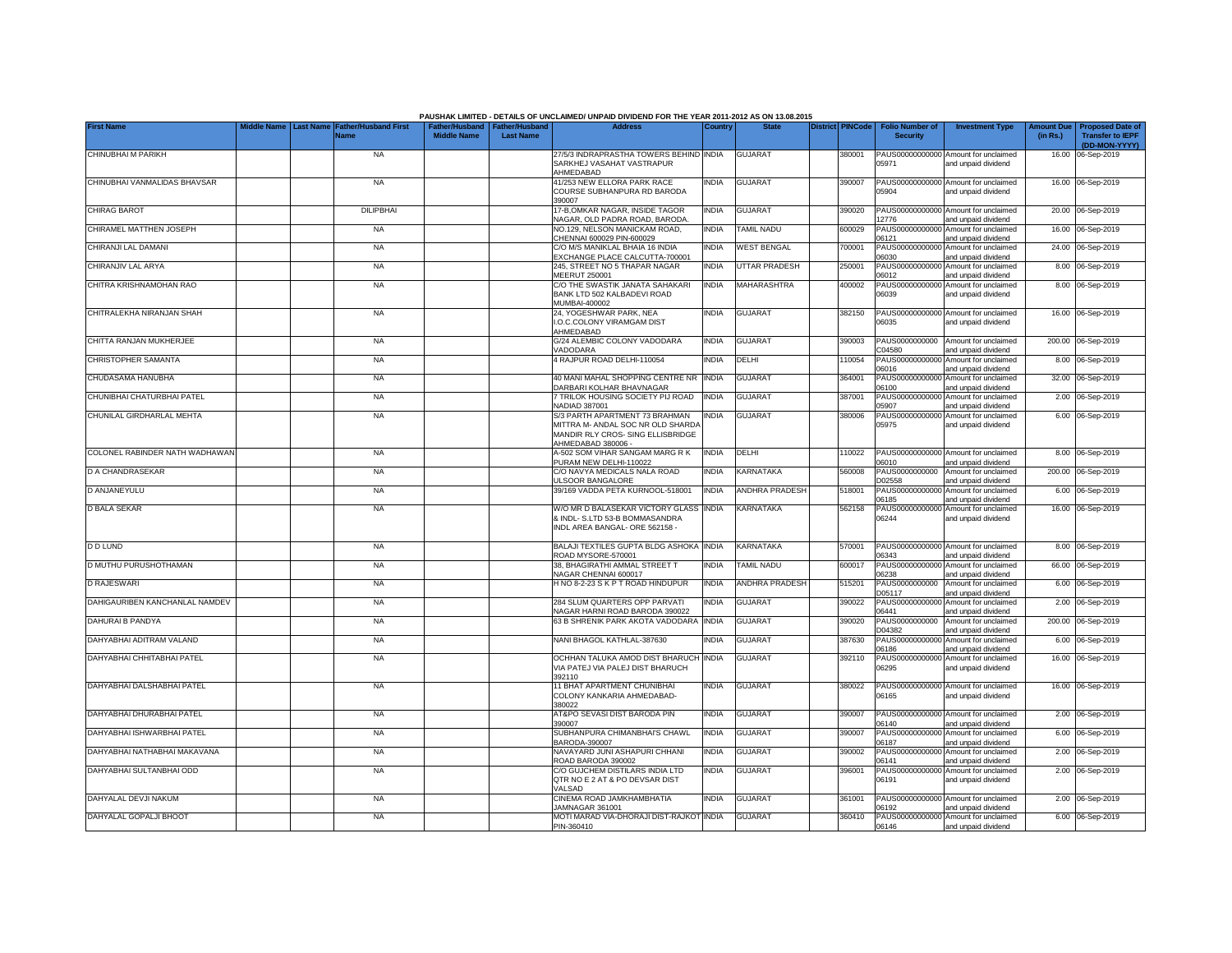|                                |                  |                                            |                                                       |                  | PAUSHAK LIMITED - DETAILS OF UNCLAIMED/ UNPAID DIVIDEND FOR THE YEAR 2011-2012 AS ON 13.08.2015                              |              |                       |                  |                                           |                                                             |                              |                                                    |
|--------------------------------|------------------|--------------------------------------------|-------------------------------------------------------|------------------|------------------------------------------------------------------------------------------------------------------------------|--------------|-----------------------|------------------|-------------------------------------------|-------------------------------------------------------------|------------------------------|----------------------------------------------------|
| <b>First Name</b>              | <b>Last Name</b> | <b>Father/Husband First</b><br><b>Name</b> | Father/Husband   Father/Husband<br><b>Middle Name</b> | <b>Last Name</b> | <b>Address</b>                                                                                                               | Country      | <b>State</b>          | District PINCode | <b>Folio Number of</b><br><b>Security</b> | <b>Investment Type</b>                                      | <b>Amount Du</b><br>(in Rs.) | <b>Proposed Date of</b><br><b>Transfer to IEPF</b> |
| CHINUBHAI M PARIKH             |                  | <b>NA</b>                                  |                                                       |                  | 27/5/3 INDRAPRASTHA TOWERS BEHIND INDIA                                                                                      |              | <b>GUJARAT</b>        | 380001           |                                           | PAUS00000000000 Amount for unclaimed                        |                              | (DD-MON-YYYY)<br>16.00 06-Sep-2019                 |
|                                |                  |                                            |                                                       |                  | SARKHEJ VASAHAT VASTRAPUR<br>AHMEDABAD                                                                                       |              |                       |                  | 05971                                     | and unpaid dividend                                         |                              |                                                    |
| CHINUBHAI VANMALIDAS BHAVSAR   |                  | <b>NA</b>                                  |                                                       |                  | 41/253 NEW ELLORA PARK RACE<br>COURSE SUBHANPURA RD BARODA<br>390007                                                         | <b>INDIA</b> | <b>GUJARAT</b>        | 390007           | 05904                                     | PAUS00000000000 Amount for unclaimed<br>and unpaid dividend |                              | 16.00 06-Sep-2019                                  |
| <b>CHIRAG BAROT</b>            |                  | <b>DILIPBHAI</b>                           |                                                       |                  | 17-B,OMKAR NAGAR, INSIDE TAGOR<br>NAGAR, OLD PADRA ROAD, BARODA                                                              | <b>INDIA</b> | <b>GUJARAT</b>        | 390020           | 2776                                      | PAUS00000000000 Amount for unclaimed<br>and unpaid dividend | 20.00                        | 06-Sep-2019                                        |
| CHIRAMEL MATTHEN JOSEPH        |                  | <b>NA</b>                                  |                                                       |                  | NO.129, NELSON MANICKAM ROAD.<br>CHENNAI 600029 PIN-600029                                                                   | <b>INDIA</b> | <b>TAMIL NADU</b>     | 600029           | PAUS00000000000<br>06121                  | Amount for unclaimed<br>and unpaid dividend                 | 16.00                        | 06-Sep-2019                                        |
| CHIRANJI LAL DAMANI            |                  | <b>NA</b>                                  |                                                       |                  | C/O M/S MANIKLAL BHAIA 16 INDIA<br>EXCHANGE PLACE CALCUTTA-700001                                                            | <b>INDIA</b> | <b>WEST BENGAL</b>    | 700001           | PAUS00000000000<br>06030                  | Amount for unclaimed<br>and unpaid dividend                 |                              | 24.00 06-Sep-2019                                  |
| CHIRANJIV LAL ARYA             |                  | <b>NA</b>                                  |                                                       |                  | 245, STREET NO 5 THAPAR NAGAR<br>MEERUT 250001                                                                               | <b>INDIA</b> | <b>UTTAR PRADESH</b>  | 250001           | PAUS0000000000<br>06012                   | Amount for unclaimed<br>and unpaid dividend                 |                              | 8.00 06-Sep-2019                                   |
| CHITRA KRISHNAMOHAN RAO        |                  | <b>NA</b>                                  |                                                       |                  | C/O THE SWASTIK JANATA SAHAKARI<br>BANK LTD 502 KALBADEVI ROAD<br>MUMBAI-400002                                              | <b>INDIA</b> | <b>MAHARASHTRA</b>    | 400002           | 06039                                     | PAUS00000000000 Amount for unclaimed<br>and unpaid dividend |                              | 8.00 06-Sep-2019                                   |
| CHITRALEKHA NIRANJAN SHAH      |                  | <b>NA</b>                                  |                                                       |                  | 24, YOGESHWAR PARK, NEA<br>I.O.C.COLONY VIRAMGAM DIST<br>AHMEDABAD                                                           | <b>INDIA</b> | <b>GUJARAT</b>        | 382150           | PAUS00000000000<br>06035                  | Amount for unclaimed<br>and unpaid dividend                 |                              | 16.00 06-Sep-2019                                  |
| CHITTA RANJAN MUKHERJEE        |                  | <b>NA</b>                                  |                                                       |                  | G/24 ALEMBIC COLONY VADODARA<br>VADODARA                                                                                     | <b>INDIA</b> | <b>GUJARAT</b>        | 390003           | PAUS0000000000<br>C04580                  | Amount for unclaimed<br>and unpaid dividend                 |                              | 200.00 06-Sep-2019                                 |
| CHRISTOPHER SAMANTA            |                  | <b>NA</b>                                  |                                                       |                  | 4 RAJPUR ROAD DELHI-110054                                                                                                   | <b>INDIA</b> | DELHI                 | 10054            | PAUS0000000000<br>06016                   | Amount for unclaimed<br>and unpaid dividend                 |                              | 8.00 06-Sep-2019                                   |
| CHUDASAMA HANUBHA              |                  | <b>NA</b>                                  |                                                       |                  | 40 MANI MAHAL SHOPPING CENTRE NR<br>DARBARI KOLHAR BHAVNAGAR                                                                 | <b>INDIA</b> | <b>GUJARAT</b>        | 364001           | PAUS0000000000<br>06100                   | Amount for unclaimed<br>and unpaid dividend                 | 32.00                        | 06-Sep-2019                                        |
| CHUNIBHAI CHATURBHAI PATEL     |                  | <b>NA</b>                                  |                                                       |                  | 7 TRILOK HOUSING SOCIETY PIJ ROAD<br>NADIAD 387001                                                                           | <b>INDIA</b> | GUJARAT               | 387001           | PAUS0000000000<br>05907                   | Amount for unclaimed<br>and unpaid dividend                 |                              | 2.00 06-Sep-2019                                   |
| CHUNILAL GIRDHARLAL MEHTA      |                  | <b>NA</b>                                  |                                                       |                  | S/3 PARTH APARTMENT 73 BRAHMAN<br>MITTRA M- ANDAL SOC NR OLD SHARDA<br>MANDIR RLY CROS- SING ELLISBRIDGE<br>AHMEDABAD 380006 | <b>INDIA</b> | <b>GUJARAT</b>        | 380006           | 05975                                     | PAUS00000000000 Amount for unclaimed<br>and unpaid dividend |                              | 6.00 06-Sep-2019                                   |
| COLONEL RABINDER NATH WADHAWAN |                  | NA                                         |                                                       |                  | A-502 SOM VIHAR SANGAM MARG R K<br>PURAM NEW DELHI-110022                                                                    | <b>INDIA</b> | DELHI                 | 10022            | 06010                                     | PAUS00000000000 Amount for unclaimed<br>and unpaid dividend |                              | 8.00 06-Sep-2019                                   |
| D A CHANDRASEKAR               |                  | <b>NA</b>                                  |                                                       |                  | C/O NAVYA MEDICALS NALA ROAD<br><b>JLSOOR BANGALORE</b>                                                                      | <b>INDIA</b> | KARNATAKA             | 560008           | PAUS0000000000<br>D02558                  | Amount for unclaimed<br>and unpaid dividend                 |                              | 200.00 06-Sep-2019                                 |
| D ANJANEYULU                   |                  | <b>NA</b>                                  |                                                       |                  | 39/169 VADDA PETA KURNOOL-518001                                                                                             | <b>INDIA</b> | <b>ANDHRA PRADESH</b> | 518001           | 06185                                     | PAUS00000000000 Amount for unclaimed<br>and unpaid dividend |                              | 6.00 06-Sep-2019                                   |
| <b>D BALA SEKAR</b>            |                  | <b>NA</b>                                  |                                                       |                  | W/O MR D BALASEKAR VICTORY GLASS<br>& INDL- S.LTD 53-B BOMMASANDRA<br>INDL AREA BANGAL- ORE 562158 -                         | <b>INDIA</b> | KARNATAKA             | 562158           | 06244                                     | PAUS00000000000 Amount for unclaimed<br>and unpaid dividend |                              | 16.00 06-Sep-2019                                  |
| <b>D D LUND</b>                |                  | <b>NA</b>                                  |                                                       |                  | BALAJI TEXTILES GUPTA BLDG ASHOKA INDIA<br>ROAD MYSORE-570001                                                                |              | KARNATAKA             | 570001           | PAUS00000000000<br>06343                  | Amount for unclaimed<br>and unpaid dividend                 |                              | 8.00 06-Sep-2019                                   |
| D MUTHU PURUSHOTHAMAN          |                  | <b>NA</b>                                  |                                                       |                  | 38. BHAGIRATHI AMMAL STREET T<br>NAGAR CHENNAI 600017                                                                        | <b>INDIA</b> | <b>TAMIL NADU</b>     | 600017           | PAUS0000000000<br>06238                   | Amount for unclaimed<br>and unpaid dividend                 |                              | 66.00 06-Sep-2019                                  |
| <b>D RAJESWARI</b>             |                  | <b>NA</b>                                  |                                                       |                  | HNO 8-2-23 SKPT ROAD HINDUPUR                                                                                                | <b>INDIA</b> | <b>ANDHRA PRADESH</b> | 515201           | PAUS0000000000<br>D05117                  | Amount for unclaimed<br>and unpaid dividend                 |                              | 6.00 06-Sep-2019                                   |
| DAHIGAURIBEN KANCHANLAL NAMDEV |                  | <b>NA</b>                                  |                                                       |                  | 284 SLUM QUARTERS OPP PARVATI<br>NAGAR HARNI ROAD BARODA 390022                                                              | <b>INDIA</b> | <b>GUJARAT</b>        | 390022           | PAUS0000000000<br>06441                   | Amount for unclaimed<br>and unpaid dividend                 |                              | 2.00 06-Sep-2019                                   |
| DAHURAI B PANDYA               |                  | NA                                         |                                                       |                  | 63 B SHRENIK PARK AKOTA VADODARA                                                                                             | <b>INDIA</b> | <b>GUJARAT</b>        | 390020           | PAUS0000000000<br>D04382                  | Amount for unclaimed<br>and unpaid dividend                 |                              | 200.00 06-Sep-2019                                 |
| DAHYABHAI ADITRAM VALAND       |                  | <b>NA</b>                                  |                                                       |                  | NANI BHAGOL KATHLAL-387630                                                                                                   | <b>INDIA</b> | <b>GUJARAT</b>        | 387630           | PAUS0000000000<br>06186                   | Amount for unclaimed<br>and unpaid dividend                 |                              | 6.00 06-Sep-2019                                   |
| DAHYABHAI CHHITABHAI PATEL     |                  | <b>NA</b>                                  |                                                       |                  | OCHHAN TALUKA AMOD DIST BHARUCH<br>VIA PATEJ VIA PALEJ DIST BHARUCH<br>392110                                                | <b>INDIA</b> | <b>GUJARAT</b>        | 392110           | 06295                                     | PAUS00000000000 Amount for unclaimed<br>and unpaid dividend |                              | 16.00 06-Sep-2019                                  |
| DAHYABHAI DALSHABHAI PATEL     |                  | <b>NA</b>                                  |                                                       |                  | 11 BHAT APARTMENT CHUNIBHAI<br>COLONY KANKARIA AHMEDABAD-<br>380022                                                          | <b>INDIA</b> | <b>GUJARAT</b>        | 380022           | 06165                                     | PAUS00000000000 Amount for unclaimed<br>and unpaid dividend |                              | 16.00 06-Sep-2019                                  |
| DAHYABHAI DHURABHAI PATEL      |                  | <b>NA</b>                                  |                                                       |                  | AT&PO SEVASI DIST BARODA PIN<br>390007                                                                                       | <b>INDIA</b> | <b>GUJARAT</b>        | 390007           | 06140                                     | PAUS00000000000 Amount for unclaimed<br>and unpaid dividend |                              | 2.00 06-Sep-2019                                   |
| DAHYABHAI ISHWARBHAI PATEL     |                  | <b>NA</b>                                  |                                                       |                  | SUBHANPURA CHIMANBHAI'S CHAWL<br>BARODA-390007                                                                               | <b>INDIA</b> | <b>GUJARAT</b>        | 390007           | PAUS00000000000<br>06187                  | Amount for unclaimed<br>and unpaid dividend                 |                              | 6.00 06-Sep-2019                                   |
| DAHYABHAI NATHABHAI MAKAVANA   |                  | <b>NA</b>                                  |                                                       |                  | NAVAYARD JUNI ASHAPURI CHHANI<br>ROAD BARODA 390002                                                                          | <b>INDIA</b> | <b>GUJARAT</b>        | 390002           | PAUS0000000000<br>06141                   | Amount for unclaimed<br>and unpaid dividend                 |                              | 2.00 06-Sep-2019                                   |
| DAHYABHAI SULTANBHAI ODD       |                  | <b>NA</b>                                  |                                                       |                  | C/O GUJCHEM DISTILARS INDIA LTD<br>QTR NO E 2 AT & PO DEVSAR DIST<br>VALSAD                                                  | <b>INDIA</b> | GUJARAT               | 396001           | 06191                                     | PAUS00000000000 Amount for unclaimed<br>and unpaid dividend |                              | 2.00 06-Sep-2019                                   |
| DAHYALAL DEVJI NAKUM           |                  | <b>NA</b>                                  |                                                       |                  | CINEMA ROAD JAMKHAMBHATIA<br>JAMNAGAR 361001                                                                                 | <b>INDIA</b> | <b>GUJARAT</b>        | 361001           | 06192                                     | PAUS00000000000 Amount for unclaimed<br>and unpaid dividend |                              | 2.00 06-Sep-2019                                   |
| DAHYALAL GOPALJI BHOOT         |                  | <b>NA</b>                                  |                                                       |                  | MOTI MARAD VIA-DHORAJI DIST-RAJKOT INDIA<br>PIN-360410                                                                       |              | <b>GUJARAT</b>        | 360410           | 06146                                     | PAUS00000000000 Amount for unclaimed<br>and unpaid dividend |                              | 6.00 06-Sep-2019                                   |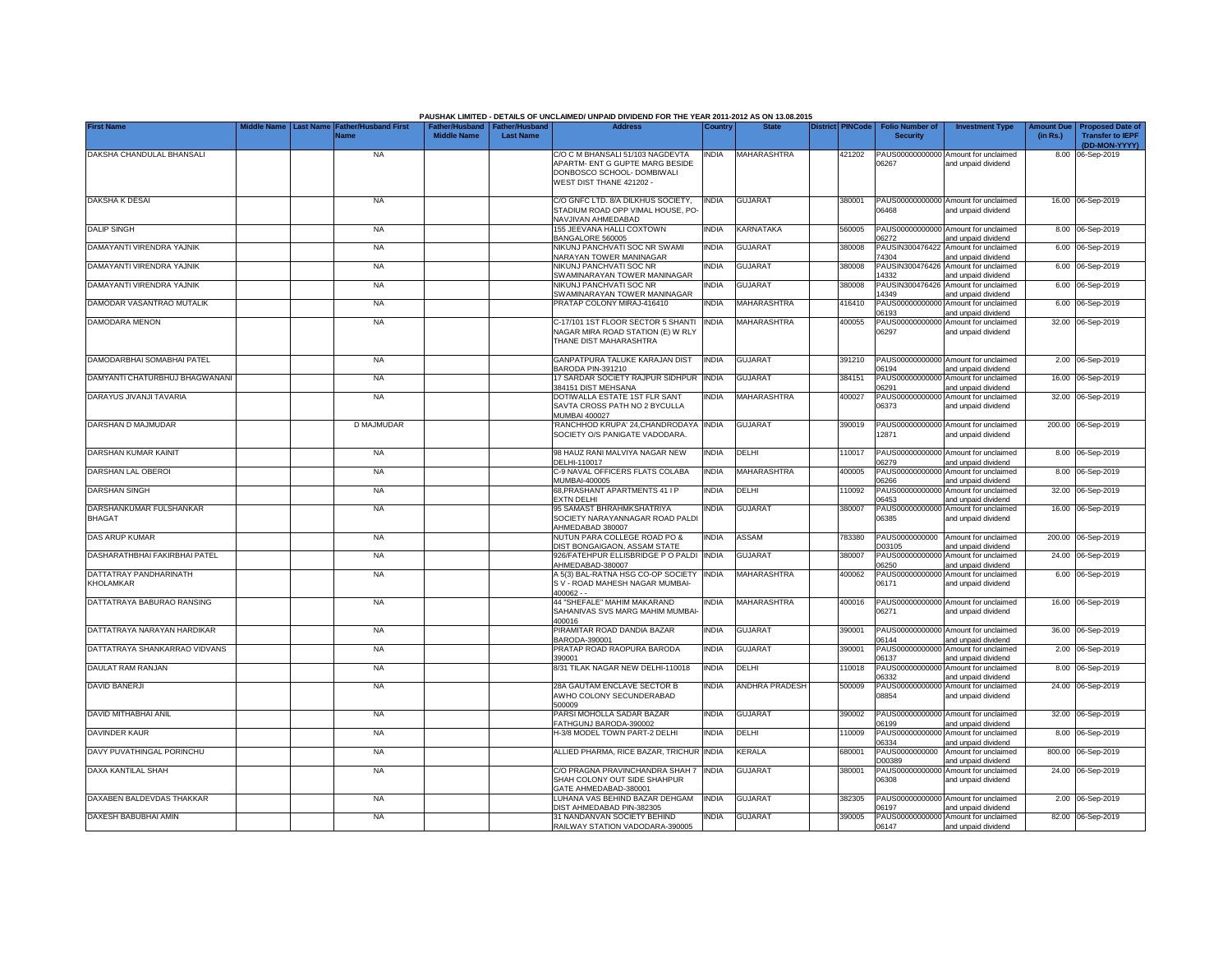|                                          |           |                                     |                                                       |                  | PAUSHAK LIMITED - DETAILS OF UNCLAIMED/ UNPAID DIVIDEND FOR THE YEAR 2011-2012 AS ON 13.08.2015                               |              |                |                         |                                           |                                                             |                               |                                                                     |
|------------------------------------------|-----------|-------------------------------------|-------------------------------------------------------|------------------|-------------------------------------------------------------------------------------------------------------------------------|--------------|----------------|-------------------------|-------------------------------------------|-------------------------------------------------------------|-------------------------------|---------------------------------------------------------------------|
| <b>First Name</b>                        | Last Name | <b>Father/Husband First</b><br>Name | Father/Husband   Father/Husband<br><b>Middle Name</b> | <b>Last Name</b> | <b>Address</b>                                                                                                                | Country      | <b>State</b>   | <b>District PINCode</b> | <b>Folio Number of</b><br><b>Security</b> | <b>Investment Type</b>                                      | <b>Amount Due</b><br>(in Rs.) | <b>Proposed Date of</b><br><b>Transfer to IEPF</b><br>(DD-MON-YYYY) |
| DAKSHA CHANDULAL BHANSALI                |           | <b>NA</b>                           |                                                       |                  | C/O C M BHANSALI 51/103 NAGDEVTA<br>APARTM- ENT G GUPTE MARG BESIDE<br>DONBOSCO SCHOOL- DOMBIWALI<br>WEST DIST THANE 421202 - | <b>INDIA</b> | MAHARASHTRA    | 421202                  | 06267                                     | PAUS00000000000 Amount for unclaimed<br>and unpaid dividend |                               | 8.00 06-Sep-2019                                                    |
| <b>DAKSHA K DESAI</b>                    |           | <b>NA</b>                           |                                                       |                  | C/O GNFC LTD, 8/A DILKHUS SOCIETY.<br>STADIUM ROAD OPP VIMAL HOUSE, PO-<br>NAVJIVAN AHMEDABAD                                 | <b>INDIA</b> | <b>GUJARAT</b> | 380001                  | 06468                                     | PAUS00000000000 Amount for unclaimed<br>and unpaid dividend |                               | 16.00 06-Sep-2019                                                   |
| <b>DALIP SINGH</b>                       |           | <b>NA</b>                           |                                                       |                  | 155 JEEVANA HALLI COXTOWN<br>BANGALORE 560005                                                                                 | <b>INDIA</b> | KARNATAKA      | 560005                  | 06272                                     | PAUS00000000000 Amount for unclaimed<br>and unpaid dividend |                               | 8.00 06-Sep-2019                                                    |
| DAMAYANTI VIRENDRA YAJNIK                |           | <b>NA</b>                           |                                                       |                  | NIKUNJ PANCHVATI SOC NR SWAMI<br>NARAYAN TOWER MANINAGAR                                                                      | <b>INDIA</b> | <b>GUJARAT</b> | 380008                  | PAUSIN300476422<br>74304                  | Amount for unclaimed<br>and unpaid dividend                 |                               | 6.00 06-Sep-2019                                                    |
| DAMAYANTI VIRENDRA YAJNIK                |           | <b>NA</b>                           |                                                       |                  | NIKUNJ PANCHVATI SOC NR<br>SWAMINARAYAN TOWER MANINAGAR                                                                       | <b>INDIA</b> | <b>GUJARAT</b> | 380008                  | PAUSIN300476426<br>14332                  | Amount for unclaimed<br>and unpaid dividend                 |                               | 6.00 06-Sep-2019                                                    |
| DAMAYANTI VIRENDRA YAJNIK                |           | <b>NA</b>                           |                                                       |                  | NIKUNJ PANCHVATI SOC NR<br>SWAMINARAYAN TOWER MANINAGAR                                                                       | <b>INDIA</b> | <b>GUJARAT</b> | 380008                  | PAUSIN300476426<br>14349                  | Amount for unclaimed<br>and unpaid dividend                 |                               | 6.00 06-Sep-2019                                                    |
| DAMODAR VASANTRAO MUTALIK                |           | <b>NA</b>                           |                                                       |                  | PRATAP COLONY MIRAJ-416410                                                                                                    | <b>INDIA</b> | MAHARASHTRA    | 416410                  | PAUS0000000000<br>06193                   | Amount for unclaimed<br>and unpaid dividend                 | 6.00                          | 06-Sep-2019                                                         |
| DAMODARA MENON                           |           | <b>NA</b>                           |                                                       |                  | C-17/101 1ST FLOOR SECTOR 5 SHANTI<br>NAGAR MIRA ROAD STATION (E) W RLY<br>THANE DIST MAHARASHTRA                             | <b>INDIA</b> | MAHARASHTRA    | 400055                  | PAUS0000000000<br>06297                   | Amount for unclaimed<br>and unpaid dividend                 |                               | 32.00 06-Sep-2019                                                   |
| DAMODARBHAI SOMABHAI PATEL               |           | <b>NA</b>                           |                                                       |                  | GANPATPURA TALUKE KARAJAN DIST<br>BARODA PIN-391210                                                                           | <b>INDIA</b> | <b>GUJARAT</b> | 391210                  | 06194                                     | PAUS00000000000 Amount for unclaimed<br>and unpaid dividend |                               | 2.00 06-Sep-2019                                                    |
| DAMYANTI CHATURBHUJ BHAGWANANI           |           | <b>NA</b>                           |                                                       |                  | 17 SARDAR SOCIETY RAJPUR SIDHPUR<br>384151 DIST MEHSANA                                                                       | <b>INDIA</b> | <b>GUJARAT</b> | 384151                  | PAUS00000000000<br>06291                  | Amount for unclaimed<br>and unpaid dividend                 |                               | 16.00 06-Sep-2019                                                   |
| DARAYUS JIVANJI TAVARIA                  |           | <b>NA</b>                           |                                                       |                  | DOTIWALLA ESTATE 1ST FLR SANT<br>SAVTA CROSS PATH NO 2 BYCULLA<br><b>MUMBAI 400027</b>                                        | <b>INDIA</b> | MAHARASHTRA    | 400027                  | PAUS00000000000<br>06373                  | Amount for unclaimed<br>and unpaid dividend                 |                               | 32.00 06-Sep-2019                                                   |
| DARSHAN D MAJMUDAR                       |           | D MAJMUDAR                          |                                                       |                  | RANCHHOD KRUPA' 24, CHANDRODAYA<br>SOCIETY O/S PANIGATE VADODARA                                                              | <b>INDIA</b> | <b>GUJARAT</b> | 390019                  | 12871                                     | PAUS00000000000 Amount for unclaimed<br>and unpaid dividend |                               | 200.00 06-Sep-2019                                                  |
| DARSHAN KUMAR KAINIT                     |           | <b>NA</b>                           |                                                       |                  | 98 HAUZ RANI MALVIYA NAGAR NEW<br>DELHI-110017                                                                                | <b>INDIA</b> | DELHI          | 110017                  | 06279                                     | PAUS00000000000 Amount for unclaimed<br>and unpaid dividend |                               | 8.00 06-Sep-2019                                                    |
| DARSHAN LAL OBEROI                       |           | <b>NA</b>                           |                                                       |                  | C-9 NAVAL OFFICERS FLATS COLABA<br>MUMBAI-400005                                                                              | <b>INDIA</b> | MAHARASHTRA    | 400005                  | 06266                                     | PAUS00000000000 Amount for unclaimed<br>and unpaid dividend |                               | 8.00 06-Sep-2019                                                    |
| <b>DARSHAN SINGH</b>                     |           | <b>NA</b>                           |                                                       |                  | 68, PRASHANT APARTMENTS 41 IP<br>EXTN DELHI                                                                                   | <b>INDIA</b> | DELHI          | 110092                  | 06453                                     | PAUS00000000000 Amount for unclaimed<br>and unpaid dividend |                               | 32.00 06-Sep-2019                                                   |
| DARSHANKUMAR FULSHANKAR<br><b>BHAGAT</b> |           | <b>NA</b>                           |                                                       |                  | 95 SAMAST BHRAHMKSHATRIYA<br>SOCIETY NARAYANNAGAR ROAD PALDI<br>AHMEDABAD 380007                                              | INDIA        | <b>GUJARAT</b> | 380007                  | 06385                                     | PAUS00000000000 Amount for unclaimed<br>and unpaid dividend |                               | 16.00 06-Sep-2019                                                   |
| DAS ARUP KUMAR                           |           | <b>NA</b>                           |                                                       |                  | NUTUN PARA COLLEGE ROAD PO &<br>DIST BONGAIGAON, ASSAM STATE                                                                  | <b>INDIA</b> | ASSAM          | 783380                  | PAUS0000000000<br>D03105                  | Amount for unclaimed<br>and unpaid dividend                 |                               | 200.00 06-Sep-2019                                                  |
| DASHARATHBHAI FAKIRBHAI PATEL            |           | NA                                  |                                                       |                  | 926/FATEHPUR ELLISBRIDGE PO PALDI<br>AHMEDABAD-380007                                                                         | <b>INDIA</b> | <b>GUJARAT</b> | 380007                  | PAUS00000000000<br>06250                  | Amount for unclaimed<br>and unpaid dividend                 |                               | 24.00 06-Sep-2019                                                   |
| DATTATRAY PANDHARINATH<br>KHOLAMKAR      |           | <b>NA</b>                           |                                                       |                  | A 5(3) BAL-RATNA HSG CO-OP SOCIETY<br>S V - ROAD MAHESH NAGAR MUMBAI-<br>$400062 -$                                           | <b>INDIA</b> | MAHARASHTRA    | 400062                  | PAUS00000000000<br>06171                  | Amount for unclaimed<br>and unpaid dividend                 |                               | 6.00 06-Sep-2019                                                    |
| DATTATRAYA BABURAO RANSING               |           | <b>NA</b>                           |                                                       |                  | 44 "SHEFALE" MAHIM MAKARAND<br>SAHANIVAS SVS MARG MAHIM MUMBAI<br>400016                                                      | <b>INDIA</b> | MAHARASHTRA    | 400016                  | 06271                                     | PAUS00000000000 Amount for unclaimed<br>and unpaid dividend |                               | 16.00 06-Sep-2019                                                   |
| DATTATRAYA NARAYAN HARDIKAR              |           | <b>NA</b>                           |                                                       |                  | PIRAMITAR ROAD DANDIA BAZAR<br>BARODA-390001                                                                                  | <b>INDIA</b> | <b>GUJARAT</b> | 390001                  | 06144                                     | PAUS00000000000 Amount for unclaimed<br>and unpaid dividend |                               | 36.00 06-Sep-2019                                                   |
| DATTATRAYA SHANKARRAO VIDVANS            |           | <b>NA</b>                           |                                                       |                  | PRATAP ROAD RAOPURA BARODA<br>390001                                                                                          | <b>INDIA</b> | <b>GUJARAT</b> | 390001                  | 06137                                     | PAUS00000000000 Amount for unclaimed<br>and unpaid dividend |                               | 2.00 06-Sep-2019                                                    |
| DAULAT RAM RANJAN                        |           | <b>NA</b>                           |                                                       |                  | 8/31 TILAK NAGAR NEW DELHI-110018                                                                                             | <b>INDIA</b> | DELHI          | 110018                  | PAUS0000000000<br>06332                   | Amount for unclaimed<br>and unpaid dividend                 |                               | 8.00 06-Sep-2019                                                    |
| DAVID BANERJI                            |           | <b>NA</b>                           |                                                       |                  | 28A GAUTAM ENCLAVE SECTOR B<br>AWHO COLONY SECUNDERABAD<br>500009                                                             | <b>INDIA</b> | ANDHRA PRADESH | 500009                  | PAUS0000000000<br>08854                   | Amount for unclaimed<br>and unpaid dividend                 |                               | 24.00 06-Sep-2019                                                   |
| DAVID MITHABHAI ANIL                     |           | <b>NA</b>                           |                                                       |                  | PARSI MOHOLLA SADAR BAZAR<br>FATHGUNJ BARODA-390002                                                                           | <b>INDIA</b> | <b>GUJARAT</b> | 390002                  | 06199                                     | PAUS00000000000 Amount for unclaimed<br>and unpaid dividend |                               | 32.00 06-Sep-2019                                                   |
| DAVINDER KAUR                            |           | <b>NA</b>                           |                                                       |                  | H-3/8 MODEL TOWN PART-2 DELHI                                                                                                 | <b>INDIA</b> | DELHI          | 110009                  | PAUS00000000000<br>06334                  | Amount for unclaimed<br>and unpaid dividend                 |                               | 8.00 06-Sep-2019                                                    |
| DAVY PUVATHINGAL PORINCHU                |           | <b>NA</b>                           |                                                       |                  | ALLIED PHARMA, RICE BAZAR, TRICHUR                                                                                            | <b>INDIA</b> | <b>CERALA</b>  | 680001                  | PAUS0000000000<br>D00389                  | Amount for unclaimed<br>and unpaid dividend                 |                               | 800.00 06-Sep-2019                                                  |
| DAXA KANTILAL SHAH                       |           | <b>NA</b>                           |                                                       |                  | C/O PRAGNA PRAVINCHANDRA SHAH 7<br>SHAH COLONY OUT SIDE SHAHPUR<br>GATE AHMEDABAD-380001                                      | <b>INDIA</b> | <b>GUJARAT</b> | 380001                  | PAUS00000000000<br>06308                  | Amount for unclaimed<br>and unpaid dividend                 |                               | 24.00 06-Sep-2019                                                   |
| DAXABEN BALDEVDAS THAKKAR                |           | <b>NA</b>                           |                                                       |                  | LUHANA VAS BEHIND BAZAR DEHGAM<br>DIST AHMEDABAD PIN-382305                                                                   | <b>INDIA</b> | <b>GUJARAT</b> | 382305                  | 06197                                     | PAUS00000000000 Amount for unclaimed<br>and unpaid dividend |                               | 2.00 06-Sep-2019                                                    |
| DAXESH BABUBHAI AMIN                     |           | <b>NA</b>                           |                                                       |                  | 31 NANDANVAN SOCIETY BEHIND<br>RAILWAY STATION VADODARA-390005                                                                | <b>INDIA</b> | <b>GUJARAT</b> | 390005                  | 06147                                     | PAUS00000000000 Amount for unclaimed<br>and unpaid dividend |                               | 82.00 06-Sep-2019                                                   |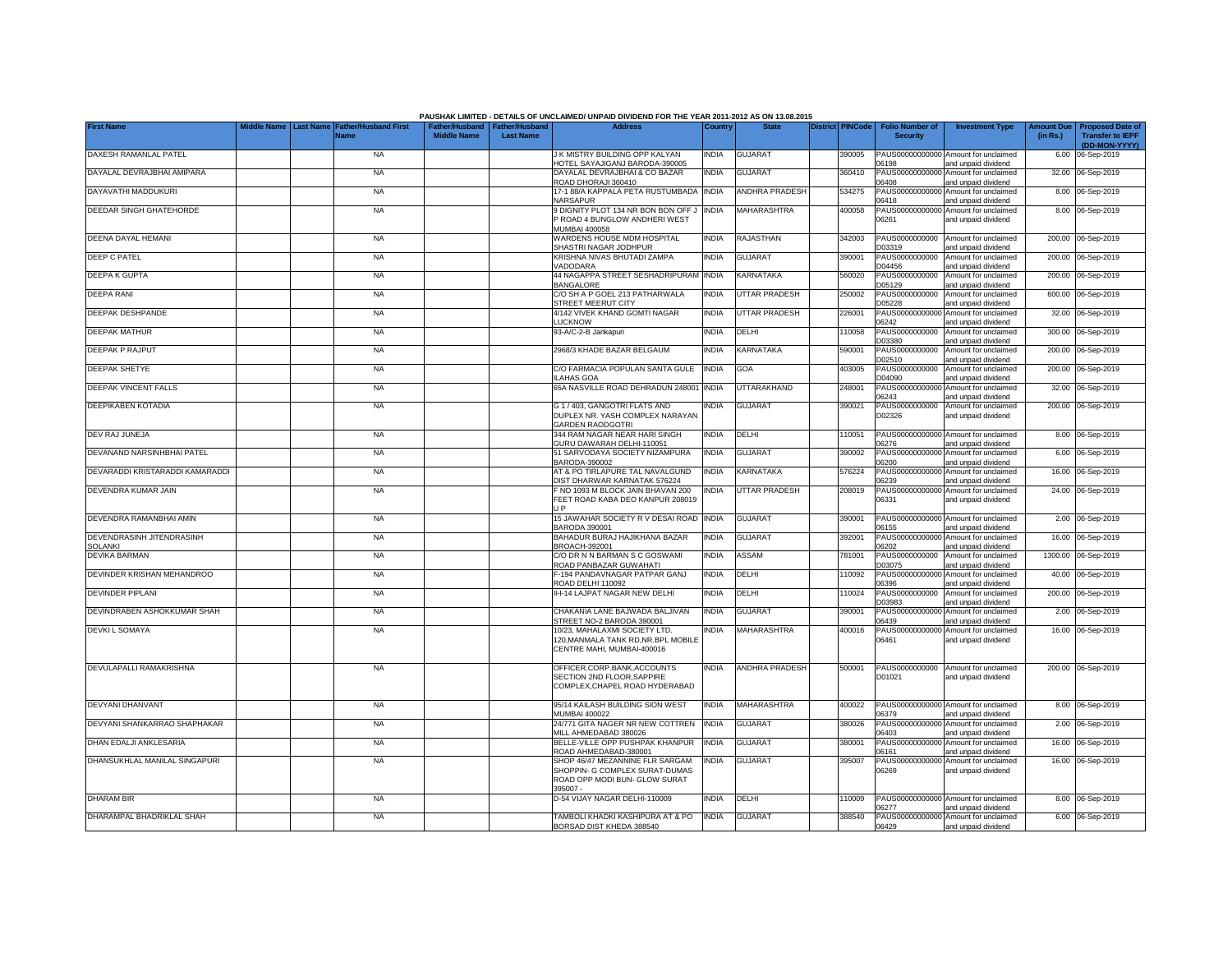|                                      |                  |                              |                    |                                                     | PAUSHAK LIMITED - DETAILS OF UNCLAIMED/ UNPAID DIVIDEND FOR THE YEAR 2011-2012 AS ON 13.08.2015    |              |                       |                         |                                           |                                                                    |                               |                                            |
|--------------------------------------|------------------|------------------------------|--------------------|-----------------------------------------------------|----------------------------------------------------------------------------------------------------|--------------|-----------------------|-------------------------|-------------------------------------------|--------------------------------------------------------------------|-------------------------------|--------------------------------------------|
| <b>First Name</b>                    | <b>Last Name</b> | Father/Husband First<br>Vame | <b>Middle Name</b> | Father/Husband   Father/Husband<br><b>Last Name</b> | <b>Address</b>                                                                                     | Country      | <b>State</b>          | <b>District PINCode</b> | <b>Folio Number of</b><br><b>Security</b> | <b>Investment Type</b>                                             | <b>Amount Due</b><br>(in Rs.) | Proposed Date o<br><b>Transfer to IEPF</b> |
| DAXESH RAMANLAL PATEL                |                  | <b>NA</b>                    |                    |                                                     | J K MISTRY BUILDING OPP KALYAN                                                                     | <b>INDIA</b> | <b>GUJARAT</b>        | 390005                  |                                           | PAUS00000000000 Amount for unclaimed                               |                               | (DD-MON-YYYY)<br>6.00 06-Sep-2019          |
| DAYALAL DEVRAJBHAI AMIPARA           |                  | <b>NA</b>                    |                    |                                                     | HOTEL SAYAJIGANJ BARODA-390005<br>DAYALAL DEVRAJBHAI & CO BAZAR<br>ROAD DHORAJI 360410             | <b>INDIA</b> | <b>GUJARAT</b>        | 360410                  | 06198<br>PAUS0000000000<br>06408          | and unpaid dividend<br>Amount for unclaimed<br>and unpaid dividend |                               | 32.00 06-Sep-2019                          |
| DAYAVATHI MADDUKURI                  |                  | <b>NA</b>                    |                    |                                                     | 17-1 88/A KAPPALA PETA RUSTUMBADA<br>NARSAPUR                                                      | <b>INDIA</b> | <b>ANDHRA PRADESH</b> | 534275                  | PAUS0000000000<br>06418                   | Amount for unclaimed<br>and unpaid dividend                        |                               | 8.00 06-Sep-2019                           |
| DEEDAR SINGH GHATEHORDE              |                  | <b>NA</b>                    |                    |                                                     | 9 DIGNITY PLOT 134 NR BON BON OFF J<br>P ROAD 4 BUNGLOW ANDHERI WEST                               | <b>INDIA</b> | <b>MAHARASHTRA</b>    | 400058                  | PAUS0000000000<br>06261                   | Amount for unclaimed<br>and unpaid dividend                        |                               | 8.00 06-Sep-2019                           |
| DEENA DAYAL HEMANI                   |                  | <b>NA</b>                    |                    |                                                     | <b>MUMBAI 400058</b><br>WARDENS HOUSE MDM HOSPITAL<br>SHASTRI NAGAR JODHPUR                        | <b>INDIA</b> | <b>RAJASTHAN</b>      | 342003                  | PAUS0000000000<br>D03319                  | Amount for unclaimed                                               |                               | 200.00 06-Sep-2019                         |
| <b>DEEP C PATEL</b>                  |                  | <b>NA</b>                    |                    |                                                     | KRISHNA NIVAS BHUTADI ZAMPA<br>VADODARA                                                            | <b>INDIA</b> | <b>GUJARAT</b>        | 390001                  | PAUS0000000000<br>D04456                  | and unpaid dividend<br>Amount for unclaimed<br>and unpaid dividend |                               | 200.00 06-Sep-2019                         |
| <b>DEEPA K GUPTA</b>                 |                  | <b>NA</b>                    |                    |                                                     | 44 NAGAPPA STREET SESHADRIPURAM INDIA<br><b>BANGALORE</b>                                          |              | <b>KARNATAKA</b>      | 560020                  | PAUS0000000000<br>D05129                  | Amount for unclaimed<br>and unpaid dividend                        |                               | 200.00 06-Sep-2019                         |
| <b>DEEPA RANI</b>                    |                  | <b>NA</b>                    |                    |                                                     | C/O SH A P GOEL 213 PATHARWALA<br>STREET MEERUT CITY                                               | <b>INDIA</b> | <b>UTTAR PRADESH</b>  | 250002                  | PAUS0000000000<br>D05228                  | Amount for unclaimed<br>and unpaid dividend                        |                               | 600.00 06-Sep-2019                         |
| DEEPAK DESHPANDE                     |                  | <b>NA</b>                    |                    |                                                     | 4/142 VIVEK KHAND GOMTI NAGAR<br><b>LUCKNOW</b>                                                    | INDIA        | <b>UTTAR PRADESH</b>  | 226001                  | PAUS0000000000<br>06242                   | Amount for unclaimed<br>and unpaid dividend                        | 32.00                         | 06-Sep-2019                                |
| <b>DEEPAK MATHUR</b>                 |                  | <b>NA</b>                    |                    |                                                     | 93-A/C-2-B Jankapuri                                                                               | <b>INDIA</b> | DELHI                 | 110058                  | PAUS0000000000<br>D03380                  | Amount for unclaimed<br>and unpaid dividend                        | 300.00                        | 06-Sep-2019                                |
| DEEPAK P RAJPUT                      |                  | <b>NA</b>                    |                    |                                                     | 2968/3 KHADE BAZAR BELGAUM                                                                         | <b>INDIA</b> | KARNATAKA             | 590001                  | PAUS0000000000<br>D02510                  | Amount for unclaimed<br>and unpaid dividend                        |                               | 200.00 06-Sep-2019                         |
| DEEPAK SHETYE                        |                  | <b>NA</b>                    |                    |                                                     | C/O FARMACIA POPULAN SANTA GULE<br>LAHAS GOA                                                       | <b>INDIA</b> | GOA                   | 403005                  | PAUS0000000000<br>D04090                  | Amount for unclaimed<br>and unpaid dividend                        | 200.00                        | 06-Sep-2019                                |
| <b>DEEPAK VINCENT FALLS</b>          |                  | <b>NA</b>                    |                    |                                                     | 65A NASVILLE ROAD DEHRADUN 248001                                                                  | <b>INDIA</b> | UTTARAKHAND           | 248001                  | PAUS0000000000<br>06243                   | Amount for unclaimed<br>and unpaid dividend                        |                               | 32.00 06-Sep-2019                          |
| DEEPIKABEN KOTADIA                   |                  | <b>NA</b>                    |                    |                                                     | G 1 / 403, GANGOTRI FLATS AND<br>DUPLEX NR. YASH COMPLEX NARAYAN<br><b>GARDEN RAODGOTRI</b>        | <b>INDIA</b> | <b>GUJARAT</b>        | 390021                  | PAUS0000000000<br>D02326                  | Amount for unclaimed<br>and unpaid dividend                        |                               | 200.00 06-Sep-2019                         |
| DEV RAJ JUNEJA                       |                  | <b>NA</b>                    |                    |                                                     | 344 RAM NAGAR NEAR HARI SINGH<br>GURU DAWARAH DELHI-110051                                         | <b>INDIA</b> | DELHI                 | 110051                  | 06276                                     | PAUS00000000000 Amount for unclaimed<br>and unpaid dividend        |                               | 8.00 06-Sep-2019                           |
| DEVANAND NARSINHBHAI PATEL           |                  | <b>NA</b>                    |                    |                                                     | 51 SARVODAYA SOCIETY NIZAMPURA<br>BARODA-390002                                                    | <b>INDIA</b> | <b>GUJARAT</b>        | 390002                  | PAUS00000000000<br>06200                  | Amount for unclaimed<br>and unpaid dividend                        |                               | 6.00 06-Sep-2019                           |
| DEVARADDI KRISTARADDI KAMARADDI      |                  | <b>NA</b>                    |                    |                                                     | AT & PO TIRLAPURE TAL NAVALGUND<br>DIST DHARWAR KARNATAK 576224                                    | <b>INDIA</b> | KARNATAKA             | 576224                  | PAUS00000000000<br>06239                  | Amount for unclaimed<br>and unpaid dividend                        |                               | 16.00 06-Sep-2019                          |
| DEVENDRA KUMAR JAIN                  |                  | <b>NA</b>                    |                    |                                                     | F NO 1093 M BLOCK JAIN BHAVAN 200<br>FEET ROAD KABA DEO KANPUR 208019<br>JP.                       | <b>INDIA</b> | <b>UTTAR PRADESH</b>  | 208019                  | PAUS00000000000<br>06331                  | Amount for unclaimed<br>and unpaid dividend                        |                               | 24.00 06-Sep-2019                          |
| DEVENDRA RAMANBHAI AMIN              |                  | <b>NA</b>                    |                    |                                                     | 15 JAWAHAR SOCIETY R V DESAI ROAD INDIA<br><b>BARODA 390001</b>                                    |              | <b>GUJARAT</b>        | 390001                  | PAUS00000000000<br>06155                  | Amount for unclaimed<br>and unpaid dividend                        |                               | 2.00 06-Sep-2019                           |
| DEVENDRASINH JITENDRASINH<br>SOLANKI |                  | <b>NA</b>                    |                    |                                                     | BAHADUR BURAJ HAJIKHANA BAZAR<br>BROACH-392001                                                     | <b>INDIA</b> | <b>GUJARAT</b>        | 392001                  | PAUS0000000000<br>06202                   | Amount for unclaimed<br>and unpaid dividend                        |                               | 16.00 06-Sep-2019                          |
| DEVIKA BARMAN                        |                  | <b>NA</b>                    |                    |                                                     | C/O DR N N BARMAN S C GOSWAMI<br>ROAD PANBAZAR GUWAHATI                                            | <b>INDIA</b> | ASSAM                 | 781001                  | PAUS0000000000<br>D03075                  | Amount for unclaimed<br>and unpaid dividend                        |                               | 1300.00 06-Sep-2019                        |
| DEVINDER KRISHAN MEHANDROO           |                  | <b>NA</b>                    |                    |                                                     | F-194 PANDAVNAGAR PATPAR GANJ<br>ROAD DELHI 110092                                                 | <b>INDIA</b> | DELHI                 | 10092                   | PAUS0000000000<br>06396                   | Amount for unclaimed<br>and unpaid dividend                        |                               | 40.00 06-Sep-2019                          |
| <b>DEVINDER PIPLANI</b>              |                  | <b>NA</b>                    |                    |                                                     | II-I-14 LAJPAT NAGAR NEW DELHI                                                                     | <b>INDIA</b> | DELHI                 | 110024                  | PAUS0000000000<br>D03983                  | Amount for unclaimed<br>and unpaid dividend                        |                               | 200.00 06-Sep-2019                         |
| DEVINDRABEN ASHOKKUMAR SHAH          |                  | <b>NA</b>                    |                    |                                                     | CHAKANIA LANE BAJWADA BALJIVAN<br>STREET NO-2 BARODA 390001                                        | <b>INDIA</b> | <b>GUJARAT</b>        | 390001                  | PAUS0000000000<br>06439                   | Amount for unclaimed<br>and unpaid dividend                        |                               | 2.00 06-Sep-2019                           |
| <b>DEVKIL SOMAYA</b>                 |                  | <b>NA</b>                    |                    |                                                     | 10/23, MAHALAXMI SOCIETY LTD.<br>120,MANMALA TANK RD,NR.BPL MOBILE<br>CENTRE MAHI, MUMBAI-400016   | <b>INDIA</b> | <b>MAHARASHTRA</b>    | 400016                  | PAUS00000000000<br>06461                  | Amount for unclaimed<br>and unpaid dividend                        |                               | 16.00 06-Sep-2019                          |
| DEVULAPALLI RAMAKRISHNA              |                  | <b>NA</b>                    |                    |                                                     | OFFICER.CORP.BANK,ACCOUNTS<br>SECTION 2ND FLOOR.SAPPIRE<br>COMPLEX, CHAPEL ROAD HYDERABAD          | <b>INDIA</b> | <b>ANDHRA PRADESH</b> | 500001                  | PAUS0000000000<br>D01021                  | Amount for unclaimed<br>and unpaid dividend                        |                               | 200.00 06-Sep-2019                         |
| DEVYANI DHANVANT                     |                  | <b>NA</b>                    |                    |                                                     | 95/14 KAILASH BUILDING SION WEST<br><b>MUMBAI 400022</b>                                           | <b>INDIA</b> | <b>MAHARASHTRA</b>    | 400022                  | PAUS00000000000<br>06379                  | Amount for unclaimed<br>and unpaid dividend                        |                               | 8.00 06-Sep-2019                           |
| DEVYANI SHANKARRAO SHAPHAKAR         |                  | <b>NA</b>                    |                    |                                                     | 24/771 GITA NAGER NR NEW COTTREN<br>MILL AHMEDABAD 380026                                          | <b>INDIA</b> | <b>GUJARAT</b>        | 380026                  | PAUS0000000000<br>06403                   | Amount for unclaimed<br>and unpaid dividend                        |                               | 2.00 06-Sep-2019                           |
| DHAN EDALJI ANKLESARIA               |                  | <b>NA</b>                    |                    |                                                     | BELLE-VILLE OPP PUSHPAK KHANPUR<br>ROAD AHMEDABAD-380001                                           | <b>INDIA</b> | <b>GUJARAT</b>        | 380001                  | PAUS0000000000<br>06161                   | Amount for unclaimed<br>and unpaid dividend                        |                               | 16.00 06-Sep-2019                          |
| DHANSUKHLAL MANILAL SINGAPURI        |                  | <b>NA</b>                    |                    |                                                     | SHOP 46/47 MEZANNINE FLR SARGAM<br>SHOPPIN- G COMPLEX SURAT-DUMAS<br>ROAD OPP MODI BUN- GLOW SURAT | <b>INDIA</b> | <b>GUJARAT</b>        | 395007                  | PAUS0000000000<br>06269                   | Amount for unclaimed<br>and unpaid dividend                        |                               | 16.00 06-Sep-2019                          |
| <b>DHARAM BIR</b>                    |                  | <b>NA</b>                    |                    |                                                     | 395007 -<br>D-54 VIJAY NAGAR DELHI-110009                                                          | <b>NDIA</b>  | DELHI                 | 110009                  |                                           | PAUS00000000000 Amount for unclaimed                               |                               | 8.00 06-Sep-2019                           |
| DHARAMPAL BHADRIKLAL SHAH            |                  | <b>NA</b>                    |                    |                                                     | TAMBOLI KHADKI KASHIPURA AT & PO                                                                   | <b>INDIA</b> | <b>GUJARAT</b>        | 388540                  | 06277                                     | and unpaid dividend<br>PAUS00000000000 Amount for unclaimed        |                               | 6.00 06-Sep-2019                           |
|                                      |                  |                              |                    |                                                     | BORSAD DIST KHEDA 388540                                                                           |              |                       |                         | 06429                                     | and unpaid dividend                                                |                               |                                            |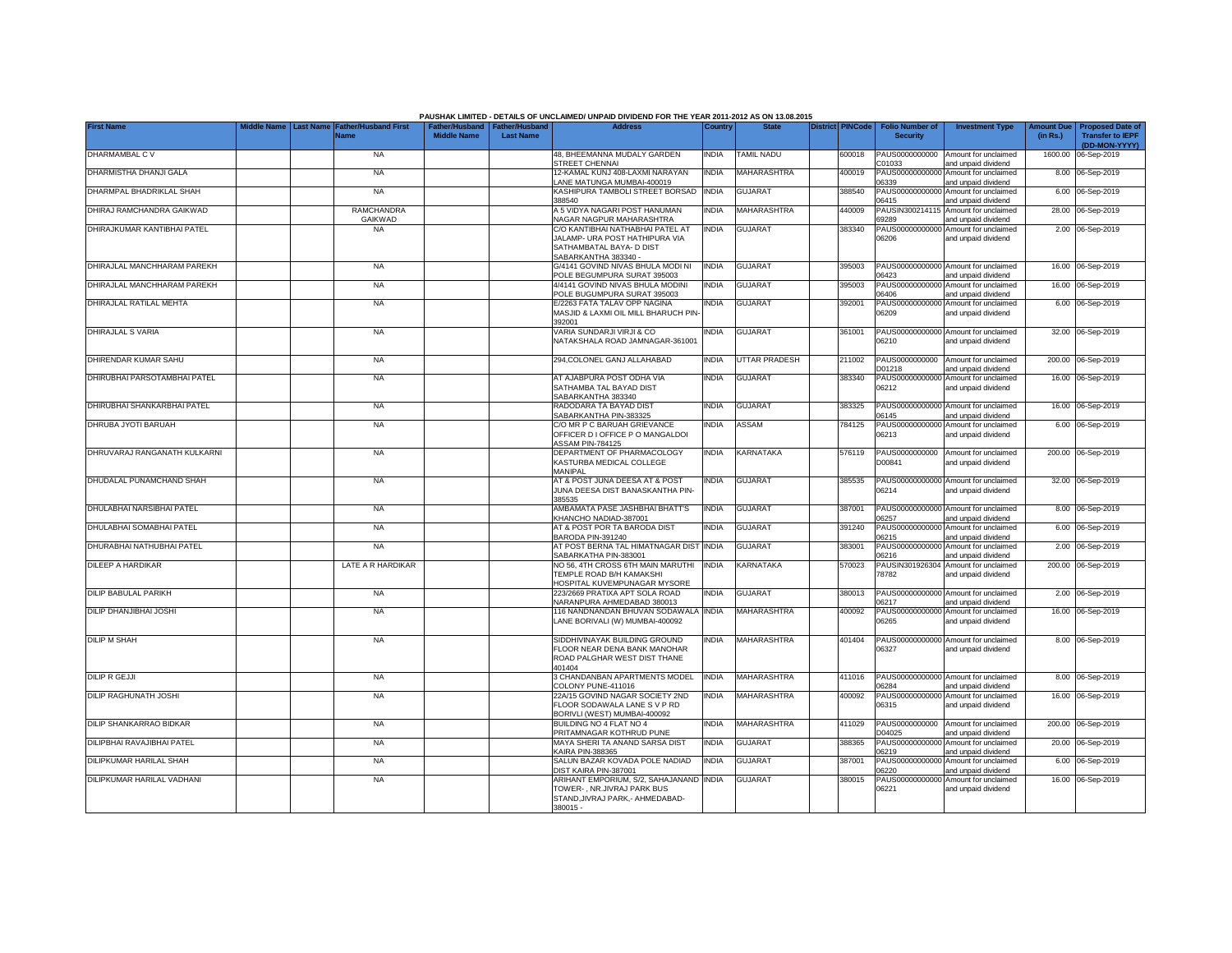|                                |             |                                                                |                    |                                                     | PAUSHAK LIMITED - DETAILS OF UNCLAIMED/ UNPAID DIVIDEND FOR THE YEAR 2011-2012 AS ON 13.08.2015                        |              |                      |                         |                                           |                                                             |                               |                                                                     |
|--------------------------------|-------------|----------------------------------------------------------------|--------------------|-----------------------------------------------------|------------------------------------------------------------------------------------------------------------------------|--------------|----------------------|-------------------------|-------------------------------------------|-------------------------------------------------------------|-------------------------------|---------------------------------------------------------------------|
| <b>First Name</b>              | Middle Name | <b>Last Name</b><br><b>Father/Husband First</b><br><b>Name</b> | <b>Middle Name</b> | Father/Husband   Father/Husband<br><b>Last Name</b> | <b>Address</b>                                                                                                         | Country      | <b>State</b>         | <b>District PINCode</b> | <b>Folio Number of</b><br><b>Security</b> | <b>Investment Type</b>                                      | <b>Amount Due</b><br>(in Rs.) | <b>Proposed Date of</b><br><b>Transfer to IEPF</b><br>(DD-MON-YYYY) |
| DHARMAMBAL C V                 |             | <b>NA</b>                                                      |                    |                                                     | 48. BHEEMANNA MUDALY GARDEN<br><b>STREET CHENNAL</b>                                                                   | <b>INDIA</b> | TAMIL NADU           | 600018                  | PAUS0000000000<br>C01033                  | Amount for unclaimed<br>and unpaid dividend                 |                               | 1600.00 06-Sep-2019                                                 |
| DHARMISTHA DHANJI GALA         |             | <b>NA</b>                                                      |                    |                                                     | 12-KAMAL KUNJ 408-LAXMI NARAYAN<br>ANE MATUNGA MUMBAI-400019                                                           | <b>INDIA</b> | MAHARASHTRA          | 400019                  | 06339                                     | PAUS00000000000 Amount for unclaimed<br>and unpaid dividend |                               | 8.00 06-Sep-2019                                                    |
| DHARMPAL BHADRIKLAL SHAH       |             | <b>NA</b>                                                      |                    |                                                     | KASHIPURA TAMBOLI STREET BORSAD<br>388540                                                                              | <b>INDIA</b> | GUJARAT              | 388540                  | 06415                                     | PAUS00000000000 Amount for unclaimed<br>and unpaid dividend |                               | 6.00 06-Sep-2019                                                    |
| DHIRAJ RAMCHANDRA GAIKWAD      |             | <b>RAMCHANDRA</b><br>GAIKWAD                                   |                    |                                                     | A 5 VIDYA NAGARI POST HANUMAN<br><b>VAGAR NAGPUR MAHARASHTRA</b>                                                       | INDIA        | MAHARASHTRA          | 440009                  | PAUSIN300214115<br>69289                  | Amount for unclaimed<br>and unpaid dividend                 |                               | 28.00 06-Sep-2019                                                   |
| DHIRAJKUMAR KANTIBHAI PATEL    |             | <b>NA</b>                                                      |                    |                                                     | C/O KANTIBHAI NATHABHAI PATEL AT<br>JALAMP- URA POST HATHIPURA VIA<br>SATHAMBATAL BAYA- D DIST<br>SABARKANTHA 383340 - | <b>INDIA</b> | <b>GUJARAT</b>       | 383340                  | 06206                                     | PAUS00000000000 Amount for unclaimed<br>and unpaid dividend |                               | 2.00 06-Sep-2019                                                    |
| DHIRAJLAL MANCHHARAM PAREKH    |             | <b>NA</b>                                                      |                    |                                                     | G/4141 GOVIND NIVAS BHULA MODI NI<br>POLE BEGUMPURA SURAT 395003                                                       | <b>INDIA</b> | <b>GUJARAT</b>       | 395003                  | 06423                                     | PAUS00000000000 Amount for unclaimed<br>and unpaid dividend |                               | 16.00 06-Sep-2019                                                   |
| DHIRAJLAL MANCHHARAM PAREKH    |             | <b>NA</b>                                                      |                    |                                                     | 4/4141 GOVIND NIVAS BHULA MODINI<br>POLE BUGUMPURA SURAT 395003                                                        | <b>INDIA</b> | <b>GUJARAT</b>       | 395003                  | 06406                                     | PAUS00000000000 Amount for unclaimed<br>and unpaid dividend |                               | 16.00 06-Sep-2019                                                   |
| DHIRAJLAL RATILAL MEHTA        |             | <b>NA</b>                                                      |                    |                                                     | E/2263 FATA TALAV OPP NAGINA<br>MASJID & LAXMI OIL MILL BHARUCH PIN<br>392001                                          | INDIA        | <b>GUJARAT</b>       | 392001                  | 06209                                     | PAUS00000000000 Amount for unclaimed<br>and unpaid dividend |                               | 6.00 06-Sep-2019                                                    |
| DHIRAJLAL S VARIA              |             | <b>NA</b>                                                      |                    |                                                     | VARIA SUNDARJI VIRJI & CO<br>NATAKSHALA ROAD JAMNAGAR-361001                                                           | INDIA        | <b>GUJARAT</b>       | 361001                  | 06210                                     | PAUS00000000000 Amount for unclaimed<br>and unpaid dividend |                               | 32.00 06-Sep-2019                                                   |
| DHIRENDAR KUMAR SAHU           |             | <b>NA</b>                                                      |                    |                                                     | 294, COLONEL GANJ ALLAHABAD                                                                                            | India        | <b>UTTAR PRADESH</b> | 211002                  | D01218                                    | PAUS0000000000 Amount for unclaimed<br>and unpaid dividend  |                               | 200.00 06-Sep-2019                                                  |
| DHIRUBHAI PARSOTAMBHAI PATEL   |             | <b>NA</b>                                                      |                    |                                                     | AT AJABPURA POST ODHA VIA<br>SATHAMBA TAL BAYAD DIST<br>SABARKANTHA 383340                                             | India        | <b>GUJARAT</b>       | 383340                  | 06212                                     | PAUS00000000000 Amount for unclaimed<br>and unpaid dividend |                               | 16.00 06-Sep-2019                                                   |
| DHIRUBHAI SHANKARBHAI PATEL    |             | <b>NA</b>                                                      |                    |                                                     | RADODARA TA BAYAD DIST<br>SABARKANTHA PIN-383325                                                                       | India        | <b>GUJARAT</b>       | 383325                  | 06145                                     | PAUS00000000000 Amount for unclaimed<br>and unpaid dividend |                               | 16.00 06-Sep-2019                                                   |
| DHRUBA JYOTI BARUAH            |             | <b>NA</b>                                                      |                    |                                                     | C/O MR P C BARUAH GRIEVANCE<br>OFFICER D I OFFICE P O MANGALDOI<br><b>ASSAM PIN-784125</b>                             | INDIA        | ASSAM                | 784125                  | 06213                                     | PAUS00000000000 Amount for unclaimed<br>and unpaid dividend |                               | 6.00 06-Sep-2019                                                    |
| DHRUVARAJ RANGANATH KULKARNI   |             | NA                                                             |                    |                                                     | DEPARTMENT OF PHARMACOLOGY<br>KASTURBA MEDICAL COLLEGE<br>MANIPAL                                                      | INDIA        | KARNATAKA            | 576119                  | PAUS0000000000<br>D00841                  | Amount for unclaimed<br>and unpaid dividend                 |                               | 200.00 06-Sep-2019                                                  |
| DHUDALAL PUNAMCHAND SHAH       |             | <b>NA</b>                                                      |                    |                                                     | AT & POST JUNA DEESA AT & POST<br>JUNA DEESA DIST BANASKANTHA PIN-<br>385535                                           | India        | <b>GUJARAT</b>       | 385535                  | 06214                                     | PAUS00000000000 Amount for unclaimed<br>and unpaid dividend |                               | 32.00 06-Sep-2019                                                   |
| DHULABHAI NARSIBHAI PATEL      |             | <b>NA</b>                                                      |                    |                                                     | AMBAMATA PASE JASHBHAI BHATT'S<br>KHANCHO NADIAD-387001                                                                | <b>INDIA</b> | <b>GUJARAT</b>       | 387001                  | 06257                                     | PAUS00000000000 Amount for unclaimed<br>and unpaid dividend |                               | 8.00 06-Sep-2019                                                    |
| DHULABHAI SOMABHAI PATEL       |             | <b>NA</b>                                                      |                    |                                                     | AT & POST POR TA BARODA DIST<br>BARODA PIN-391240                                                                      | India        | <b>GUJARAT</b>       | 391240                  | 06215                                     | PAUS00000000000 Amount for unclaimed<br>and unpaid dividend |                               | 6.00 06-Sep-2019                                                    |
| DHURABHAI NATHUBHAI PATEL      |             | <b>NA</b>                                                      |                    |                                                     | AT POST BERNA TAL HIMATNAGAR DIST<br>SABARKATHA PIN-383001                                                             | <b>INDIA</b> | <b>GUJARAT</b>       | 383001                  | 06216                                     | PAUS00000000000 Amount for unclaimed<br>and unpaid dividend |                               | 2.00 06-Sep-2019                                                    |
| <b>DILEEP A HARDIKAR</b>       |             | LATE A R HARDIKAR                                              |                    |                                                     | NO 56, 4TH CROSS 6TH MAIN MARUTHI<br>TEMPLE ROAD B/H KAMAKSHI<br>HOSPITAL KUVEMPUNAGAR MYSORE                          | <b>INDIA</b> | KARNATAKA            | 570023                  | PAUSIN301926304<br>78782                  | Amount for unclaimed<br>and unpaid dividend                 |                               | 200.00 06-Sep-2019                                                  |
| <b>DILIP BABULAL PARIKH</b>    |             | <b>NA</b>                                                      |                    |                                                     | 223/2669 PRATIXA APT SOLA ROAD<br>NARANPURA AHMEDABAD 380013                                                           | <b>INDIA</b> | <b>GUJARAT</b>       | 380013                  | 06217                                     | PAUS00000000000 Amount for unclaimed<br>and unpaid dividend |                               | 2.00 06-Sep-2019                                                    |
| <b>DILIP DHANJIBHAI JOSHI</b>  |             | <b>NA</b>                                                      |                    |                                                     | 116 NANDNANDAN BHUVAN SODAWALA INDIA<br>LANE BORIVALI (W) MUMBAI-400092                                                |              | MAHARASHTRA          | 400092                  | 06265                                     | PAUS00000000000 Amount for unclaimed<br>and unpaid dividend |                               | 16.00 06-Sep-2019                                                   |
| <b>DILIP M SHAH</b>            |             | <b>NA</b>                                                      |                    |                                                     | SIDDHIVINAYAK BUILDING GROUND<br>FLOOR NEAR DENA BANK MANOHAR<br>ROAD PALGHAR WEST DIST THANE<br>401404                | India        | MAHARASHTRA          | 401404                  | 06327                                     | PAUS00000000000 Amount for unclaimed<br>and unpaid dividend |                               | 8.00 06-Sep-2019                                                    |
| <b>DILIP R GEJJI</b>           |             | <b>NA</b>                                                      |                    |                                                     | 3 CHANDANBAN APARTMENTS MODEL<br>COLONY PUNE-411016                                                                    | <b>INDIA</b> | <b>MAHARASHTRA</b>   | 411016                  | 06284                                     | PAUS00000000000 Amount for unclaimed<br>and unpaid dividend |                               | 8.00 06-Sep-2019                                                    |
| <b>DILIP RAGHUNATH JOSHI</b>   |             | <b>NA</b>                                                      |                    |                                                     | 22A/15 GOVIND NAGAR SOCIETY 2ND<br>FLOOR SODAWALA LANE S V P RD<br>BORIVLI (WEST) MUMBAI-400092                        | <b>INDIA</b> | MAHARASHTRA          | 400092                  | PAUS00000000000<br>06315                  | Amount for unclaimed<br>and unpaid dividend                 |                               | 16.00 06-Sep-2019                                                   |
| <b>DILIP SHANKARRAO BIDKAR</b> |             | <b>NA</b>                                                      |                    |                                                     | BUILDING NO 4 FLAT NO 4<br>PRITAMNAGAR KOTHRUD PUNE                                                                    | India        | MAHARASHTRA          | 411029                  | PAUS0000000000<br>D04025                  | Amount for unclaimed<br>and unpaid dividend                 |                               | 200.00 06-Sep-2019                                                  |
| DILIPBHAI RAVAJIBHAI PATEL     |             | <b>NA</b>                                                      |                    |                                                     | MAYA SHERI TA ANAND SARSA DIST<br><b>KAIRA PIN-388365</b>                                                              | INDIA        | <b>GUJARAT</b>       | 388365                  | PAUS0000000000<br>06219                   | Amount for unclaimed<br>and unpaid dividend                 |                               | 20.00 06-Sep-2019                                                   |
| DILIPKUMAR HARILAL SHAH        |             | <b>NA</b>                                                      |                    |                                                     | SALUN BAZAR KOVADA POLE NADIAD<br>DIST KAIRA PIN-387001                                                                | INDIA        | <b>GUJARAT</b>       | 387001                  | PAUS0000000000<br>06220                   | Amount for unclaimed<br>and unpaid dividend                 |                               | 6.00 06-Sep-2019                                                    |
| DILIPKUMAR HARILAL VADHANI     |             | <b>NA</b>                                                      |                    |                                                     | ARIHANT EMPORIUM, S/2, SAHAJANAND<br>TOWER-, NR.JIVRAJ PARK BUS<br>STAND, JIVRAJ PARK, - AHMEDABAD-<br>380015 -        | <b>INDIA</b> | <b>GUJARAT</b>       | 380015                  | PAUS0000000000<br>06221                   | Amount for unclaimed<br>and unpaid dividend                 |                               | 16.00 06-Sep-2019                                                   |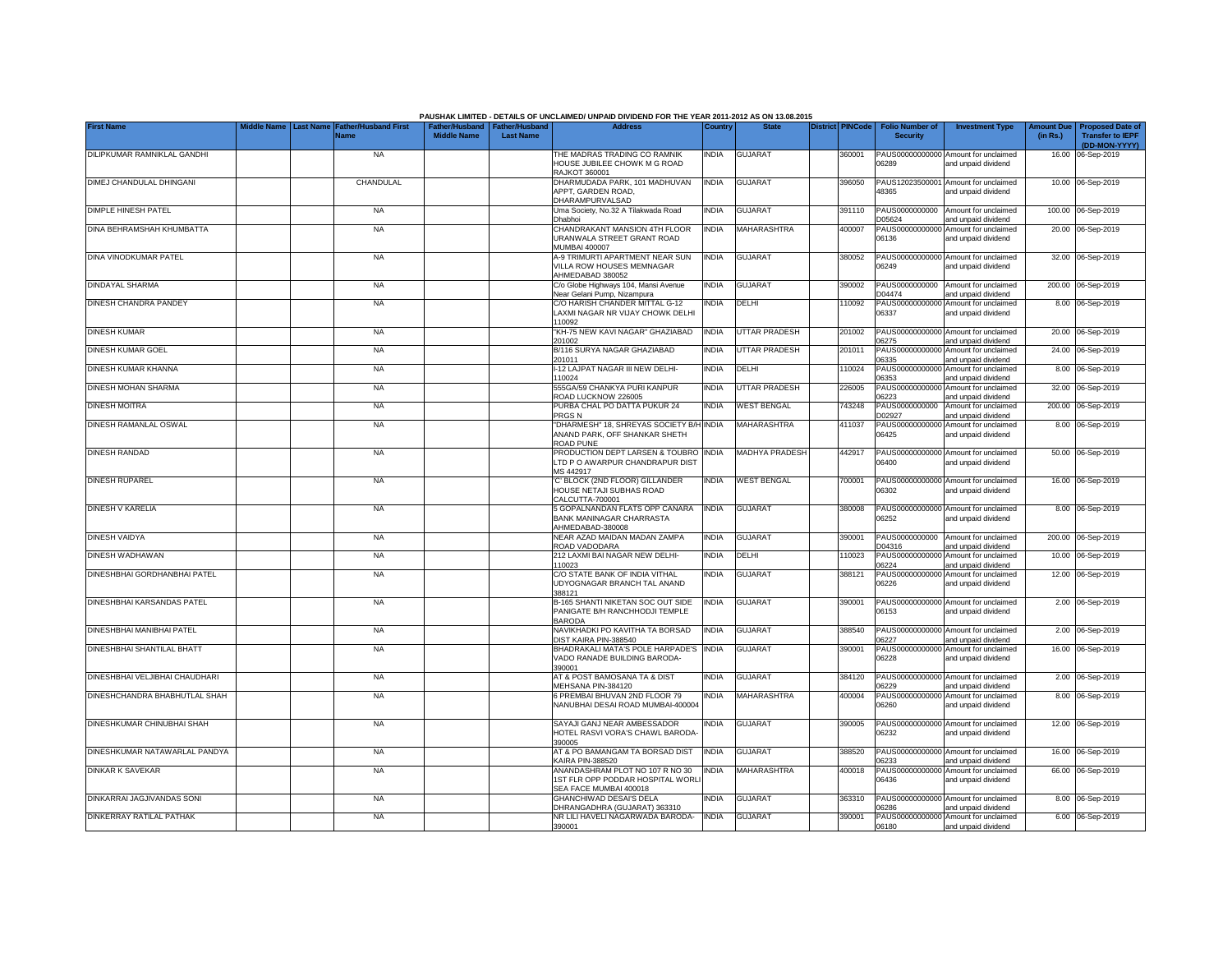| <b>First Name</b><br>ather/Husband First<br>Father/Husband   Father/Husband<br><b>Address</b><br>Country<br><b>State</b><br>District PINCode<br><b>Folio Number of</b><br><b>Investment Type</b><br>Last Name<br>Vame<br><b>Middle Name</b><br><b>Last Name</b><br><b>Security</b><br>DILIPKUMAR RAMNIKLAL GANDHI<br><b>NA</b><br>THE MADRAS TRADING CO RAMNIK<br><b>GUJARAT</b><br>PAUS00000000000 Amount for unclaimed<br>INDIA<br>360001<br>HOUSE JUBILEE CHOWK M G ROAD<br>06289<br>and unpaid dividend<br>RAJKOT 360001<br>DIMEJ CHANDULAL DHINGANI<br>CHANDULAL<br>DHARMUDADA PARK, 101 MADHUVAN<br>INDIA<br><b>GUJARAT</b><br>396050<br>PAUS12023500001<br>Amount for unclaimed<br>APPT, GARDEN ROAD.<br>48365<br>and unpaid dividend<br>DHARAMPURVALSAD<br>DIMPLE HINESH PATEL<br>Uma Society, No.32 A Tilakwada Road<br><b>INDIA</b><br><b>GUJARAT</b><br>PAUS0000000000<br>Amount for unclaimed<br><b>NA</b><br>391110<br><b>Ohabhoi</b><br>D05624<br>and unpaid dividend<br>DINA BEHRAMSHAH KHUMBATTA<br><b>NA</b><br>CHANDRAKANT MANSION 4TH FLOOR<br><b>INDIA</b><br>MAHARASHTRA<br>400007<br>PAUS0000000000<br>Amount for unclaimed<br>URANWALA STREET GRANT ROAD<br>06136<br>and unpaid dividend<br><b>MUMBAI 400007</b><br>380052<br>DINA VINODKUMAR PATEL<br><b>NA</b><br>A-9 TRIMURTI APARTMENT NEAR SUN<br><b>INDIA</b><br><b>GUJARAT</b><br>PAUS00000000000<br>Amount for unclaimed<br>VILLA ROW HOUSES MEMNAGAR<br>06249<br>and unpaid dividend<br>AHMEDABAD 380052<br>DINDAYAL SHARMA<br>india<br><b>GUJARAT</b><br>PAUS0000000000<br><b>NA</b><br>C/o Globe Highways 104, Mansi Avenue<br>390002<br>Amount for unclaimed<br>Near Gelani Pump, Nizampura<br>D04474<br>and unpaid dividend<br>DINESH CHANDRA PANDEY<br><b>NA</b><br>C/O HARISH CHANDER MITTAL G-12<br>NDIA<br>DELHI<br>10092<br>PAUS0000000000<br>Amount for unclaimed<br>LAXMI NAGAR NR VIJAY CHOWK DELHI<br>06337<br>and unpaid dividend<br>110092<br><b>DINESH KUMAR</b><br>"KH-75 NEW KAVI NAGAR" GHAZIABAD<br>INDIA<br><b>UTTAR PRADESH</b><br>PAUS00000000000<br><b>NA</b><br>201002<br>Amount for unclaimed<br>201002<br>06275<br>and unpaid dividend<br>DINESH KUMAR GOEL<br>B/116 SURYA NAGAR GHAZIABAD<br><b>UTTAR PRADESH</b><br><b>NA</b><br><b>NDIA</b><br>201011<br>PAUS0000000000<br>Amount for unclaimed<br>201011<br>06335<br>and unpaid dividend<br>DINESH KUMAR KHANNA<br>-12 LAJPAT NAGAR III NEW DELHI-<br><b>NA</b><br><b>NDIA</b><br>DELHI<br>110024<br>PAUS00000000000<br>Amount for unclaimed<br>110024<br>06353<br>and unpaid dividend<br>DINESH MOHAN SHARMA<br><b>NA</b><br>555GA/59 CHANKYA PURI KANPUR<br><b>INDIA</b><br><b>UTTAR PRADESH</b><br>226005<br>PAUS00000000000 Amount for unclaimed<br>ROAD LUCKNOW 226005<br>06223<br>and unpaid dividend<br>PURBA CHAL PO DATTA PUKUR 24<br>Amount for unclaimed<br><b>DINESH MOITRA</b><br><b>NA</b><br>India<br><b>WEST BENGAL</b><br>743248<br>PAUS0000000000<br>PRGS <sub>N</sub><br>D02927<br>and unpaid dividend<br>DINESH RAMANLAL OSWAL<br>"DHARMESH" 18, SHREYAS SOCIETY B/H<br>MAHARASHTRA<br>411037<br><b>NA</b><br><b>INDIA</b><br>PAUS00000000000<br>Amount for unclaimed<br>ANAND PARK, OFF SHANKAR SHETH<br>06425<br>and unpaid dividend<br>ROAD PUNE<br><b>DINESH RANDAD</b><br><b>NA</b><br>PRODUCTION DEPT LARSEN & TOUBRO<br><b>INDIA</b><br><b>MADHYA PRADESH</b><br>442917<br>PAUS00000000000 Amount for unclaimed<br>LTD P O AWARPUR CHANDRAPUR DIST<br>06400<br>and unpaid dividend<br>MS 442917<br><b>DINESH RUPAREL</b><br><b>NA</b><br>'C' BLOCK (2ND FLOOR) GILLANDER<br><b>INDIA</b><br><b>WEST BENGAL</b><br>700001<br>PAUS00000000000<br>Amount for unclaimed<br>HOUSE NETAJI SUBHAS ROAD<br>06302<br>and unpaid dividend | <b>Amount Due</b><br><b>Proposed Date of</b><br>(in Rs.)<br><b>Transfer to IEPF</b><br>(DD-MON-YYYY)<br>16.00 06-Sep-2019<br>10.00 06-Sep-2019 |
|---------------------------------------------------------------------------------------------------------------------------------------------------------------------------------------------------------------------------------------------------------------------------------------------------------------------------------------------------------------------------------------------------------------------------------------------------------------------------------------------------------------------------------------------------------------------------------------------------------------------------------------------------------------------------------------------------------------------------------------------------------------------------------------------------------------------------------------------------------------------------------------------------------------------------------------------------------------------------------------------------------------------------------------------------------------------------------------------------------------------------------------------------------------------------------------------------------------------------------------------------------------------------------------------------------------------------------------------------------------------------------------------------------------------------------------------------------------------------------------------------------------------------------------------------------------------------------------------------------------------------------------------------------------------------------------------------------------------------------------------------------------------------------------------------------------------------------------------------------------------------------------------------------------------------------------------------------------------------------------------------------------------------------------------------------------------------------------------------------------------------------------------------------------------------------------------------------------------------------------------------------------------------------------------------------------------------------------------------------------------------------------------------------------------------------------------------------------------------------------------------------------------------------------------------------------------------------------------------------------------------------------------------------------------------------------------------------------------------------------------------------------------------------------------------------------------------------------------------------------------------------------------------------------------------------------------------------------------------------------------------------------------------------------------------------------------------------------------------------------------------------------------------------------------------------------------------------------------------------------------------------------------------------------------------------------------------------------------------------------------------------------------------------------------------------------------------------------------------------------------------------------------------------------------------------------------------------------------------------------------------------------------------------------------------------------------------------------------------|------------------------------------------------------------------------------------------------------------------------------------------------|
|                                                                                                                                                                                                                                                                                                                                                                                                                                                                                                                                                                                                                                                                                                                                                                                                                                                                                                                                                                                                                                                                                                                                                                                                                                                                                                                                                                                                                                                                                                                                                                                                                                                                                                                                                                                                                                                                                                                                                                                                                                                                                                                                                                                                                                                                                                                                                                                                                                                                                                                                                                                                                                                                                                                                                                                                                                                                                                                                                                                                                                                                                                                                                                                                                                                                                                                                                                                                                                                                                                                                                                                                                                                                                                                           |                                                                                                                                                |
|                                                                                                                                                                                                                                                                                                                                                                                                                                                                                                                                                                                                                                                                                                                                                                                                                                                                                                                                                                                                                                                                                                                                                                                                                                                                                                                                                                                                                                                                                                                                                                                                                                                                                                                                                                                                                                                                                                                                                                                                                                                                                                                                                                                                                                                                                                                                                                                                                                                                                                                                                                                                                                                                                                                                                                                                                                                                                                                                                                                                                                                                                                                                                                                                                                                                                                                                                                                                                                                                                                                                                                                                                                                                                                                           |                                                                                                                                                |
|                                                                                                                                                                                                                                                                                                                                                                                                                                                                                                                                                                                                                                                                                                                                                                                                                                                                                                                                                                                                                                                                                                                                                                                                                                                                                                                                                                                                                                                                                                                                                                                                                                                                                                                                                                                                                                                                                                                                                                                                                                                                                                                                                                                                                                                                                                                                                                                                                                                                                                                                                                                                                                                                                                                                                                                                                                                                                                                                                                                                                                                                                                                                                                                                                                                                                                                                                                                                                                                                                                                                                                                                                                                                                                                           |                                                                                                                                                |
|                                                                                                                                                                                                                                                                                                                                                                                                                                                                                                                                                                                                                                                                                                                                                                                                                                                                                                                                                                                                                                                                                                                                                                                                                                                                                                                                                                                                                                                                                                                                                                                                                                                                                                                                                                                                                                                                                                                                                                                                                                                                                                                                                                                                                                                                                                                                                                                                                                                                                                                                                                                                                                                                                                                                                                                                                                                                                                                                                                                                                                                                                                                                                                                                                                                                                                                                                                                                                                                                                                                                                                                                                                                                                                                           |                                                                                                                                                |
|                                                                                                                                                                                                                                                                                                                                                                                                                                                                                                                                                                                                                                                                                                                                                                                                                                                                                                                                                                                                                                                                                                                                                                                                                                                                                                                                                                                                                                                                                                                                                                                                                                                                                                                                                                                                                                                                                                                                                                                                                                                                                                                                                                                                                                                                                                                                                                                                                                                                                                                                                                                                                                                                                                                                                                                                                                                                                                                                                                                                                                                                                                                                                                                                                                                                                                                                                                                                                                                                                                                                                                                                                                                                                                                           | 100.00 06-Sep-2019                                                                                                                             |
|                                                                                                                                                                                                                                                                                                                                                                                                                                                                                                                                                                                                                                                                                                                                                                                                                                                                                                                                                                                                                                                                                                                                                                                                                                                                                                                                                                                                                                                                                                                                                                                                                                                                                                                                                                                                                                                                                                                                                                                                                                                                                                                                                                                                                                                                                                                                                                                                                                                                                                                                                                                                                                                                                                                                                                                                                                                                                                                                                                                                                                                                                                                                                                                                                                                                                                                                                                                                                                                                                                                                                                                                                                                                                                                           | 20.00 06-Sep-2019                                                                                                                              |
|                                                                                                                                                                                                                                                                                                                                                                                                                                                                                                                                                                                                                                                                                                                                                                                                                                                                                                                                                                                                                                                                                                                                                                                                                                                                                                                                                                                                                                                                                                                                                                                                                                                                                                                                                                                                                                                                                                                                                                                                                                                                                                                                                                                                                                                                                                                                                                                                                                                                                                                                                                                                                                                                                                                                                                                                                                                                                                                                                                                                                                                                                                                                                                                                                                                                                                                                                                                                                                                                                                                                                                                                                                                                                                                           |                                                                                                                                                |
|                                                                                                                                                                                                                                                                                                                                                                                                                                                                                                                                                                                                                                                                                                                                                                                                                                                                                                                                                                                                                                                                                                                                                                                                                                                                                                                                                                                                                                                                                                                                                                                                                                                                                                                                                                                                                                                                                                                                                                                                                                                                                                                                                                                                                                                                                                                                                                                                                                                                                                                                                                                                                                                                                                                                                                                                                                                                                                                                                                                                                                                                                                                                                                                                                                                                                                                                                                                                                                                                                                                                                                                                                                                                                                                           | 32.00 06-Sep-2019                                                                                                                              |
|                                                                                                                                                                                                                                                                                                                                                                                                                                                                                                                                                                                                                                                                                                                                                                                                                                                                                                                                                                                                                                                                                                                                                                                                                                                                                                                                                                                                                                                                                                                                                                                                                                                                                                                                                                                                                                                                                                                                                                                                                                                                                                                                                                                                                                                                                                                                                                                                                                                                                                                                                                                                                                                                                                                                                                                                                                                                                                                                                                                                                                                                                                                                                                                                                                                                                                                                                                                                                                                                                                                                                                                                                                                                                                                           | 200.00 06-Sep-2019                                                                                                                             |
|                                                                                                                                                                                                                                                                                                                                                                                                                                                                                                                                                                                                                                                                                                                                                                                                                                                                                                                                                                                                                                                                                                                                                                                                                                                                                                                                                                                                                                                                                                                                                                                                                                                                                                                                                                                                                                                                                                                                                                                                                                                                                                                                                                                                                                                                                                                                                                                                                                                                                                                                                                                                                                                                                                                                                                                                                                                                                                                                                                                                                                                                                                                                                                                                                                                                                                                                                                                                                                                                                                                                                                                                                                                                                                                           | 8.00 06-Sep-2019                                                                                                                               |
|                                                                                                                                                                                                                                                                                                                                                                                                                                                                                                                                                                                                                                                                                                                                                                                                                                                                                                                                                                                                                                                                                                                                                                                                                                                                                                                                                                                                                                                                                                                                                                                                                                                                                                                                                                                                                                                                                                                                                                                                                                                                                                                                                                                                                                                                                                                                                                                                                                                                                                                                                                                                                                                                                                                                                                                                                                                                                                                                                                                                                                                                                                                                                                                                                                                                                                                                                                                                                                                                                                                                                                                                                                                                                                                           | 20.00 06-Sep-2019                                                                                                                              |
|                                                                                                                                                                                                                                                                                                                                                                                                                                                                                                                                                                                                                                                                                                                                                                                                                                                                                                                                                                                                                                                                                                                                                                                                                                                                                                                                                                                                                                                                                                                                                                                                                                                                                                                                                                                                                                                                                                                                                                                                                                                                                                                                                                                                                                                                                                                                                                                                                                                                                                                                                                                                                                                                                                                                                                                                                                                                                                                                                                                                                                                                                                                                                                                                                                                                                                                                                                                                                                                                                                                                                                                                                                                                                                                           | 24.00 06-Sep-2019                                                                                                                              |
|                                                                                                                                                                                                                                                                                                                                                                                                                                                                                                                                                                                                                                                                                                                                                                                                                                                                                                                                                                                                                                                                                                                                                                                                                                                                                                                                                                                                                                                                                                                                                                                                                                                                                                                                                                                                                                                                                                                                                                                                                                                                                                                                                                                                                                                                                                                                                                                                                                                                                                                                                                                                                                                                                                                                                                                                                                                                                                                                                                                                                                                                                                                                                                                                                                                                                                                                                                                                                                                                                                                                                                                                                                                                                                                           | 8.00 06-Sep-2019                                                                                                                               |
|                                                                                                                                                                                                                                                                                                                                                                                                                                                                                                                                                                                                                                                                                                                                                                                                                                                                                                                                                                                                                                                                                                                                                                                                                                                                                                                                                                                                                                                                                                                                                                                                                                                                                                                                                                                                                                                                                                                                                                                                                                                                                                                                                                                                                                                                                                                                                                                                                                                                                                                                                                                                                                                                                                                                                                                                                                                                                                                                                                                                                                                                                                                                                                                                                                                                                                                                                                                                                                                                                                                                                                                                                                                                                                                           | 32.00 06-Sep-2019                                                                                                                              |
|                                                                                                                                                                                                                                                                                                                                                                                                                                                                                                                                                                                                                                                                                                                                                                                                                                                                                                                                                                                                                                                                                                                                                                                                                                                                                                                                                                                                                                                                                                                                                                                                                                                                                                                                                                                                                                                                                                                                                                                                                                                                                                                                                                                                                                                                                                                                                                                                                                                                                                                                                                                                                                                                                                                                                                                                                                                                                                                                                                                                                                                                                                                                                                                                                                                                                                                                                                                                                                                                                                                                                                                                                                                                                                                           | 200.00 06-Sep-2019                                                                                                                             |
|                                                                                                                                                                                                                                                                                                                                                                                                                                                                                                                                                                                                                                                                                                                                                                                                                                                                                                                                                                                                                                                                                                                                                                                                                                                                                                                                                                                                                                                                                                                                                                                                                                                                                                                                                                                                                                                                                                                                                                                                                                                                                                                                                                                                                                                                                                                                                                                                                                                                                                                                                                                                                                                                                                                                                                                                                                                                                                                                                                                                                                                                                                                                                                                                                                                                                                                                                                                                                                                                                                                                                                                                                                                                                                                           | 8.00 06-Sep-2019                                                                                                                               |
|                                                                                                                                                                                                                                                                                                                                                                                                                                                                                                                                                                                                                                                                                                                                                                                                                                                                                                                                                                                                                                                                                                                                                                                                                                                                                                                                                                                                                                                                                                                                                                                                                                                                                                                                                                                                                                                                                                                                                                                                                                                                                                                                                                                                                                                                                                                                                                                                                                                                                                                                                                                                                                                                                                                                                                                                                                                                                                                                                                                                                                                                                                                                                                                                                                                                                                                                                                                                                                                                                                                                                                                                                                                                                                                           | 50.00 06-Sep-2019                                                                                                                              |
| CALCUTTA-700001                                                                                                                                                                                                                                                                                                                                                                                                                                                                                                                                                                                                                                                                                                                                                                                                                                                                                                                                                                                                                                                                                                                                                                                                                                                                                                                                                                                                                                                                                                                                                                                                                                                                                                                                                                                                                                                                                                                                                                                                                                                                                                                                                                                                                                                                                                                                                                                                                                                                                                                                                                                                                                                                                                                                                                                                                                                                                                                                                                                                                                                                                                                                                                                                                                                                                                                                                                                                                                                                                                                                                                                                                                                                                                           | 16.00 06-Sep-2019                                                                                                                              |
| DINESH V KARELIA<br><b>NA</b><br>5 GOPALNANDAN FLATS OPP CANARA<br><b>INDIA</b><br><b>GUJARAT</b><br>380008<br>PAUS00000000000 Amount for unclaimed<br>BANK MANINAGAR CHARRASTA<br>06252<br>and unpaid dividend<br>AHMEDABAD-380008                                                                                                                                                                                                                                                                                                                                                                                                                                                                                                                                                                                                                                                                                                                                                                                                                                                                                                                                                                                                                                                                                                                                                                                                                                                                                                                                                                                                                                                                                                                                                                                                                                                                                                                                                                                                                                                                                                                                                                                                                                                                                                                                                                                                                                                                                                                                                                                                                                                                                                                                                                                                                                                                                                                                                                                                                                                                                                                                                                                                                                                                                                                                                                                                                                                                                                                                                                                                                                                                                       | 8.00 06-Sep-2019                                                                                                                               |
| <b>DINESH VAIDYA</b><br>NEAR AZAD MAIDAN MADAN ZAMPA<br><b>GUJARAT</b><br>PAUS0000000000<br><b>NA</b><br><b>INDIA</b><br>390001<br>Amount for unclaimed<br>ROAD VADODARA<br>D04316<br>and unpaid dividend                                                                                                                                                                                                                                                                                                                                                                                                                                                                                                                                                                                                                                                                                                                                                                                                                                                                                                                                                                                                                                                                                                                                                                                                                                                                                                                                                                                                                                                                                                                                                                                                                                                                                                                                                                                                                                                                                                                                                                                                                                                                                                                                                                                                                                                                                                                                                                                                                                                                                                                                                                                                                                                                                                                                                                                                                                                                                                                                                                                                                                                                                                                                                                                                                                                                                                                                                                                                                                                                                                                 | 200.00 06-Sep-2019                                                                                                                             |
| PAUS00000000000<br>DINESH WADHAWAN<br><b>NA</b><br>212 LAXMI BAI NAGAR NEW DELHI-<br><b>NDIA</b><br>DELHI<br>110023<br>Amount for unclaimed<br>06224<br>10023<br>and unpaid dividend                                                                                                                                                                                                                                                                                                                                                                                                                                                                                                                                                                                                                                                                                                                                                                                                                                                                                                                                                                                                                                                                                                                                                                                                                                                                                                                                                                                                                                                                                                                                                                                                                                                                                                                                                                                                                                                                                                                                                                                                                                                                                                                                                                                                                                                                                                                                                                                                                                                                                                                                                                                                                                                                                                                                                                                                                                                                                                                                                                                                                                                                                                                                                                                                                                                                                                                                                                                                                                                                                                                                      | 10.00 06-Sep-2019                                                                                                                              |
| DINESHBHAI GORDHANBHAI PATEL<br><b>NA</b><br>C/O STATE BANK OF INDIA VITHAL<br><b>NDIA</b><br><b>GUJARAT</b><br>PAUS00000000000<br>Amount for unclaimed<br>388121<br>JDYOGNAGAR BRANCH TAL ANAND<br>06226<br>and unpaid dividend<br>388121                                                                                                                                                                                                                                                                                                                                                                                                                                                                                                                                                                                                                                                                                                                                                                                                                                                                                                                                                                                                                                                                                                                                                                                                                                                                                                                                                                                                                                                                                                                                                                                                                                                                                                                                                                                                                                                                                                                                                                                                                                                                                                                                                                                                                                                                                                                                                                                                                                                                                                                                                                                                                                                                                                                                                                                                                                                                                                                                                                                                                                                                                                                                                                                                                                                                                                                                                                                                                                                                                | 12.00 06-Sep-2019                                                                                                                              |
| DINESHBHAI KARSANDAS PATEL<br><b>NA</b><br>B-165 SHANTI NIKETAN SOC OUT SIDE<br><b>INDIA</b><br><b>GUJARAT</b><br>390001<br>PAUS00000000000<br>Amount for unclaimed<br>PANIGATE B/H RANCHHODJI TEMPLE<br>06153<br>and unpaid dividend<br><b>BARODA</b>                                                                                                                                                                                                                                                                                                                                                                                                                                                                                                                                                                                                                                                                                                                                                                                                                                                                                                                                                                                                                                                                                                                                                                                                                                                                                                                                                                                                                                                                                                                                                                                                                                                                                                                                                                                                                                                                                                                                                                                                                                                                                                                                                                                                                                                                                                                                                                                                                                                                                                                                                                                                                                                                                                                                                                                                                                                                                                                                                                                                                                                                                                                                                                                                                                                                                                                                                                                                                                                                    | 2.00 06-Sep-2019                                                                                                                               |
| DINESHBHAI MANIBHAI PATEL<br><b>NA</b><br>NAVIKHADKI PO KAVITHA TA BORSAD<br>INDIA<br><b>GUJARAT</b><br>388540<br>PAUS0000000000<br>Amount for unclaimed<br>DIST KAIRA PIN-388540<br>06227<br>and unpaid dividend                                                                                                                                                                                                                                                                                                                                                                                                                                                                                                                                                                                                                                                                                                                                                                                                                                                                                                                                                                                                                                                                                                                                                                                                                                                                                                                                                                                                                                                                                                                                                                                                                                                                                                                                                                                                                                                                                                                                                                                                                                                                                                                                                                                                                                                                                                                                                                                                                                                                                                                                                                                                                                                                                                                                                                                                                                                                                                                                                                                                                                                                                                                                                                                                                                                                                                                                                                                                                                                                                                         | 2.00 06-Sep-2019                                                                                                                               |
| DINESHBHAI SHANTILAL BHATT<br>BHADRAKALI MATA'S POLE HARPADE'S<br><b>GUJARAT</b><br><b>NA</b><br><b>INDIA</b><br>390001<br>PAUS0000000000<br>Amount for unclaimed<br>VADO RANADE BUILDING BARODA-<br>06228<br>and unpaid dividend<br>390001                                                                                                                                                                                                                                                                                                                                                                                                                                                                                                                                                                                                                                                                                                                                                                                                                                                                                                                                                                                                                                                                                                                                                                                                                                                                                                                                                                                                                                                                                                                                                                                                                                                                                                                                                                                                                                                                                                                                                                                                                                                                                                                                                                                                                                                                                                                                                                                                                                                                                                                                                                                                                                                                                                                                                                                                                                                                                                                                                                                                                                                                                                                                                                                                                                                                                                                                                                                                                                                                               | 16.00 06-Sep-2019                                                                                                                              |
| DINESHBHAI VELJIBHAI CHAUDHARI<br><b>NA</b><br>AT & POST BAMOSANA TA & DIST<br><b>NDIA</b><br><b>GUJARAT</b><br>384120<br>PAUS00000000000<br>Amount for unclaimed<br>MEHSANA PIN-384120<br>06229<br>and unpaid dividend                                                                                                                                                                                                                                                                                                                                                                                                                                                                                                                                                                                                                                                                                                                                                                                                                                                                                                                                                                                                                                                                                                                                                                                                                                                                                                                                                                                                                                                                                                                                                                                                                                                                                                                                                                                                                                                                                                                                                                                                                                                                                                                                                                                                                                                                                                                                                                                                                                                                                                                                                                                                                                                                                                                                                                                                                                                                                                                                                                                                                                                                                                                                                                                                                                                                                                                                                                                                                                                                                                   | 2.00 06-Sep-2019                                                                                                                               |
| 6 PREMBAI BHUVAN 2ND FLOOR 79<br><b>MAHARASHTRA</b><br>400004<br>PAUS00000000000<br>DINESHCHANDRA BHABHUTLAL SHAH<br><b>NA</b><br>india<br>Amount for unclaimed<br>NANUBHAI DESAI ROAD MUMBAI-400004<br>06260<br>and unpaid dividend                                                                                                                                                                                                                                                                                                                                                                                                                                                                                                                                                                                                                                                                                                                                                                                                                                                                                                                                                                                                                                                                                                                                                                                                                                                                                                                                                                                                                                                                                                                                                                                                                                                                                                                                                                                                                                                                                                                                                                                                                                                                                                                                                                                                                                                                                                                                                                                                                                                                                                                                                                                                                                                                                                                                                                                                                                                                                                                                                                                                                                                                                                                                                                                                                                                                                                                                                                                                                                                                                      | 8.00 06-Sep-2019                                                                                                                               |
| SAYAJI GANJ NEAR AMBESSADOR<br>DINESHKUMAR CHINUBHAI SHAH<br><b>NA</b><br>india<br><b>GUJARAT</b><br>390005<br>PAUS0000000000<br>Amount for unclaimed<br>HOTEL RASVI VORA'S CHAWL BARODA<br>06232<br>and unpaid dividend<br>390005                                                                                                                                                                                                                                                                                                                                                                                                                                                                                                                                                                                                                                                                                                                                                                                                                                                                                                                                                                                                                                                                                                                                                                                                                                                                                                                                                                                                                                                                                                                                                                                                                                                                                                                                                                                                                                                                                                                                                                                                                                                                                                                                                                                                                                                                                                                                                                                                                                                                                                                                                                                                                                                                                                                                                                                                                                                                                                                                                                                                                                                                                                                                                                                                                                                                                                                                                                                                                                                                                        | 12.00 06-Sep-2019                                                                                                                              |
| DINESHKUMAR NATAWARLAL PANDYA<br>AT & PO BAMANGAM TA BORSAD DIST<br><b>INDIA</b><br><b>GUJARAT</b><br>388520<br>PAUS00000000000 Amount for unclaimed<br><b>NA</b><br>KAIRA PIN-388520<br>06233<br>and unpaid dividend                                                                                                                                                                                                                                                                                                                                                                                                                                                                                                                                                                                                                                                                                                                                                                                                                                                                                                                                                                                                                                                                                                                                                                                                                                                                                                                                                                                                                                                                                                                                                                                                                                                                                                                                                                                                                                                                                                                                                                                                                                                                                                                                                                                                                                                                                                                                                                                                                                                                                                                                                                                                                                                                                                                                                                                                                                                                                                                                                                                                                                                                                                                                                                                                                                                                                                                                                                                                                                                                                                     | 16.00 06-Sep-2019                                                                                                                              |
| <b>DINKAR K SAVEKAR</b><br><b>INDIA</b><br>MAHARASHTRA<br><b>NA</b><br>ANANDASHRAM PLOT NO 107 R NO 30<br>400018<br>PAUS00000000000 Amount for unclaimed<br>1ST FLR OPP PODDAR HOSPITAL WORL<br>06436<br>and unpaid dividend<br>SEA FACE MUMBAI 400018                                                                                                                                                                                                                                                                                                                                                                                                                                                                                                                                                                                                                                                                                                                                                                                                                                                                                                                                                                                                                                                                                                                                                                                                                                                                                                                                                                                                                                                                                                                                                                                                                                                                                                                                                                                                                                                                                                                                                                                                                                                                                                                                                                                                                                                                                                                                                                                                                                                                                                                                                                                                                                                                                                                                                                                                                                                                                                                                                                                                                                                                                                                                                                                                                                                                                                                                                                                                                                                                    | 66.00 06-Sep-2019                                                                                                                              |
| PAUS00000000000<br>DINKARRAI JAGJIVANDAS SONI<br><b>NA</b><br><b>GHANCHIWAD DESAI'S DELA</b><br><b>INDIA</b><br><b>GUJARAT</b><br>363310<br>Amount for unclaimed<br>DHRANGADHRA (GUJARAT) 363310<br>06286<br>and unpaid dividend                                                                                                                                                                                                                                                                                                                                                                                                                                                                                                                                                                                                                                                                                                                                                                                                                                                                                                                                                                                                                                                                                                                                                                                                                                                                                                                                                                                                                                                                                                                                                                                                                                                                                                                                                                                                                                                                                                                                                                                                                                                                                                                                                                                                                                                                                                                                                                                                                                                                                                                                                                                                                                                                                                                                                                                                                                                                                                                                                                                                                                                                                                                                                                                                                                                                                                                                                                                                                                                                                          | 8.00 06-Sep-2019                                                                                                                               |
| <b>DINKERRAY RATILAL PATHAK</b><br><b>GUJARAT</b><br><b>NA</b><br>NR LILI HAVELI NAGARWADA BARODA-<br><b>INDIA</b><br>390001<br>PAUS00000000000<br>Amount for unclaimed<br>390001<br>06180<br>and unpaid dividend                                                                                                                                                                                                                                                                                                                                                                                                                                                                                                                                                                                                                                                                                                                                                                                                                                                                                                                                                                                                                                                                                                                                                                                                                                                                                                                                                                                                                                                                                                                                                                                                                                                                                                                                                                                                                                                                                                                                                                                                                                                                                                                                                                                                                                                                                                                                                                                                                                                                                                                                                                                                                                                                                                                                                                                                                                                                                                                                                                                                                                                                                                                                                                                                                                                                                                                                                                                                                                                                                                         |                                                                                                                                                |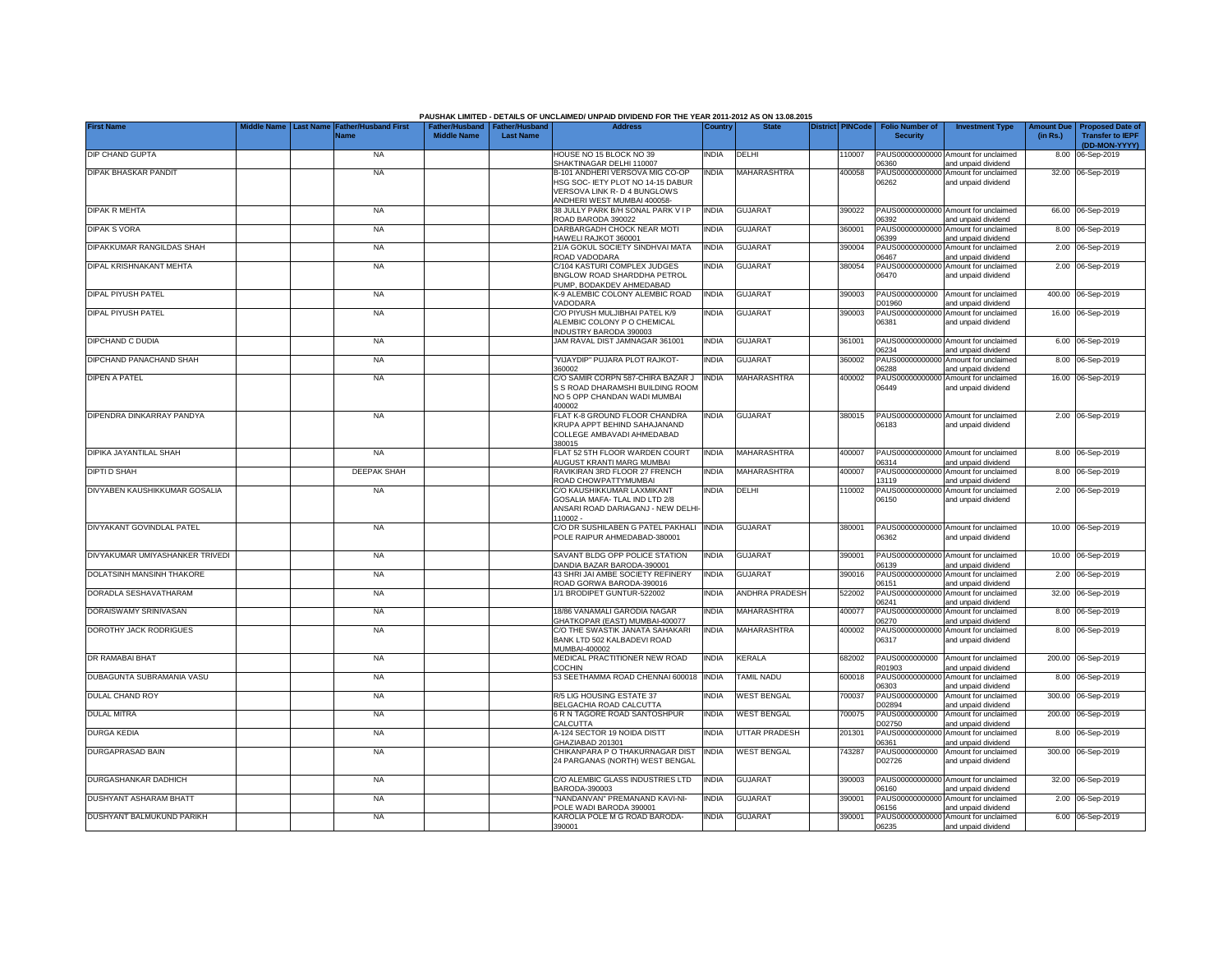|                                 |           |                                     |                                                       |                  | PAUSHAK LIMITED - DETAILS OF UNCLAIMED/ UNPAID DIVIDEND FOR THE YEAR 2011-2012 AS ON 13.08.2015                                    |              |                    |                         |                                           |                                                             |                               |                                                                     |
|---------------------------------|-----------|-------------------------------------|-------------------------------------------------------|------------------|------------------------------------------------------------------------------------------------------------------------------------|--------------|--------------------|-------------------------|-------------------------------------------|-------------------------------------------------------------|-------------------------------|---------------------------------------------------------------------|
| <b>First Name</b>               | Last Name | <b>Father/Husband First</b><br>Name | Father/Husband   Father/Husband<br><b>Middle Name</b> | <b>Last Name</b> | <b>Address</b>                                                                                                                     | Country      | <b>State</b>       | <b>District PINCode</b> | <b>Folio Number of</b><br><b>Security</b> | <b>Investment Type</b>                                      | <b>Amount Due</b><br>(in Rs.) | <b>Proposed Date of</b><br><b>Transfer to IEPF</b><br>(DD-MON-YYYY) |
| DIP CHAND GUPTA                 |           | <b>NA</b>                           |                                                       |                  | HOUSE NO 15 BLOCK NO 39<br>SHAKTINAGAR DELHI 110007                                                                                | <b>INDIA</b> | DELHI              | 110007                  | 06360                                     | PAUS00000000000 Amount for unclaimed<br>and unpaid dividend |                               | 8.00 06-Sep-2019                                                    |
| DIPAK BHASKAR PANDIT            |           | <b>NA</b>                           |                                                       |                  | B-101 ANDHERI VERSOVA MIG CO-OP<br>ISG SOC- IETY PLOT NO 14-15 DABUR<br>VERSOVA LINK R-D 4 BUNGLOWS<br>ANDHERI WEST MUMBAI 400058- | <b>INDIA</b> | MAHARASHTRA        | 400058                  | PAUS00000000000<br>06262                  | Amount for unclaimed<br>and unpaid dividend                 |                               | 32.00 06-Sep-2019                                                   |
| <b>DIPAK R MEHTA</b>            |           | <b>NA</b>                           |                                                       |                  | 38 JULLY PARK B/H SONAL PARK V I P<br>ROAD BARODA 390022                                                                           | <b>INDIA</b> | <b>GUJARAT</b>     | 390022                  | 06392                                     | PAUS00000000000 Amount for unclaimed<br>and unpaid dividend |                               | 66.00 06-Sep-2019                                                   |
| <b>DIPAK S VORA</b>             |           | <b>NA</b>                           |                                                       |                  | DARBARGADH CHOCK NEAR MOTI<br>HAWELI RAJKOT 360001                                                                                 | <b>INDIA</b> | <b>GUJARAT</b>     | 360001                  | PAUS00000000000<br>06399                  | Amount for unclaimed<br>and unpaid dividend                 |                               | 8.00 06-Sep-2019                                                    |
| DIPAKKUMAR RANGILDAS SHAH       |           | <b>NA</b>                           |                                                       |                  | 21/A GOKUL SOCIETY SINDHVAI MATA<br>ROAD VADODARA                                                                                  | <b>INDIA</b> | GUJARAT            | 390004                  | PAUS0000000000<br>06467                   | Amount for unclaimed<br>and unpaid dividend                 |                               | 2.00 06-Sep-2019                                                    |
| DIPAL KRISHNAKANT MEHTA         |           | <b>NA</b>                           |                                                       |                  | C/104 KASTURI COMPLEX JUDGES<br>BNGLOW ROAD SHARDDHA PETROL<br>PUMP. BODAKDEV AHMEDABAD                                            | <b>INDIA</b> | <b>GUJARAT</b>     | 380054                  | PAUS0000000000<br>06470                   | Amount for unclaimed<br>and unpaid dividend                 |                               | 2.00 06-Sep-2019                                                    |
| DIPAL PIYUSH PATEL              |           | <b>NA</b>                           |                                                       |                  | K-9 ALEMBIC COLONY ALEMBIC ROAD<br>VADODARA                                                                                        | <b>INDIA</b> | <b>GUJARAT</b>     | 390003                  | PAUS0000000000<br>D01960                  | Amount for unclaimed<br>and unpaid dividend                 |                               | 400.00 06-Sep-2019                                                  |
| <b>DIPAL PIYUSH PATEL</b>       |           | <b>NA</b>                           |                                                       |                  | C/O PIYUSH MULJIBHAI PATEL K/9<br>ALEMBIC COLONY P O CHEMICAL<br>INDUSTRY BARODA 390003                                            | <b>INDIA</b> | <b>GUJARAT</b>     | 390003                  | PAUS0000000000<br>06381                   | Amount for unclaimed<br>and unpaid dividend                 |                               | 16.00 06-Sep-2019                                                   |
| DIPCHAND C DUDIA                |           | <b>NA</b>                           |                                                       |                  | JAM RAVAL DIST JAMNAGAR 361001                                                                                                     | <b>INDIA</b> | <b>GUJARAT</b>     | 361001                  | 06234                                     | PAUS00000000000 Amount for unclaimed<br>and unpaid dividend |                               | 6.00 06-Sep-2019                                                    |
| DIPCHAND PANACHAND SHAH         |           | <b>NA</b>                           |                                                       |                  | 'VIJAYDIP" PUJARA PLOT RAJKOT-<br>360002                                                                                           | <b>INDIA</b> | <b>GUJARAT</b>     | 360002                  | PAUS0000000000<br>06288                   | Amount for unclaimed<br>and unpaid dividend                 |                               | 8.00 06-Sep-2019                                                    |
| DIPEN A PATEL                   |           | <b>NA</b>                           |                                                       |                  | C/O SAMIR CORPN 587-CHIRA BAZAR J<br>S S ROAD DHARAMSHI BUILDING ROOM<br>NO 5 OPP CHANDAN WADI MUMBAI<br>400002                    | <b>INDIA</b> | MAHARASHTRA        | 400002                  | PAUS00000000000<br>06449                  | Amount for unclaimed<br>and unpaid dividend                 |                               | 16.00 06-Sep-2019                                                   |
| DIPENDRA DINKARRAY PANDYA       |           | <b>NA</b>                           |                                                       |                  | FLAT K-8 GROUND FLOOR CHANDRA<br>KRUPA APPT BEHIND SAHAJANAND<br>COLLEGE AMBAVADI AHMEDABAD<br>380015                              | <b>INDIA</b> | <b>GUJARAT</b>     | 380015                  | 06183                                     | PAUS00000000000 Amount for unclaimed<br>and unpaid dividend |                               | 2.00 06-Sep-2019                                                    |
| DIPIKA JAYANTILAL SHAH          |           | <b>NA</b>                           |                                                       |                  | FLAT 52 5TH FLOOR WARDEN COURT<br>AUGUST KRANTI MARG MUMBAI                                                                        | <b>INDIA</b> | MAHARASHTRA        | 400007                  | 06314                                     | PAUS00000000000 Amount for unclaimed<br>and unpaid dividend |                               | 8.00 06-Sep-2019                                                    |
| DIPTI D SHAH                    |           | <b>DEEPAK SHAH</b>                  |                                                       |                  | RAVIKIRAN 3RD FLOOR 27 FRENCH<br>ROAD CHOWPATTYMUMBAI                                                                              | <b>INDIA</b> | MAHARASHTRA        | 400007                  | PAUS00000000000<br>13119                  | Amount for unclaimed<br>and unpaid dividend                 |                               | 8.00 06-Sep-2019                                                    |
| DIVYABEN KAUSHIKKUMAR GOSALIA   |           | <b>NA</b>                           |                                                       |                  | C/O KAUSHIKKUMAR LAXMIKANT<br>GOSALIA MAFA- TLAL IND LTD 2/8<br>ANSARI ROAD DARIAGANJ - NEW DELHI-<br>110002 -                     | <b>INDIA</b> | DELHI              | 110002                  | 06150                                     | PAUS00000000000 Amount for unclaimed<br>and unpaid dividend |                               | 2.00 06-Sep-2019                                                    |
| DIVYAKANT GOVINDLAL PATEL       |           | <b>NA</b>                           |                                                       |                  | C/O DR SUSHILABEN G PATEL PAKHALI<br>POLE RAIPUR AHMEDABAD-380001                                                                  | <b>INDIA</b> | <b>GUJARAT</b>     | 380001                  | 06362                                     | PAUS00000000000 Amount for unclaimed<br>and unpaid dividend |                               | 10.00 06-Sep-2019                                                   |
| DIVYAKUMAR UMIYASHANKER TRIVEDI |           | <b>NA</b>                           |                                                       |                  | SAVANT BLDG OPP POLICE STATION<br>DANDIA BAZAR BARODA-390001                                                                       | <b>INDIA</b> | <b>GUJARAT</b>     | 390001                  | 06139                                     | PAUS00000000000 Amount for unclaimed<br>and unpaid dividend |                               | 10.00 06-Sep-2019                                                   |
| DOLATSINH MANSINH THAKORE       |           | <b>NA</b>                           |                                                       |                  | 43 SHRI JAI AMBE SOCIETY REFINERY<br>ROAD GORWA BARODA-390016                                                                      | <b>INDIA</b> | <b>GUJARAT</b>     | 390016                  | PAUS00000000000<br>06151                  | Amount for unclaimed<br>and unpaid dividend                 |                               | 2.00 06-Sep-2019                                                    |
| DORADLA SESHAVATHARAM           |           | <b>NA</b>                           |                                                       |                  | 1/1 BRODIPET GUNTUR-522002                                                                                                         | <b>INDIA</b> | ANDHRA PRADESH     | 522002                  | PAUS00000000000<br>06241                  | Amount for unclaimed<br>and unpaid dividend                 |                               | 32.00 06-Sep-2019                                                   |
| DORAISWAMY SRINIVASAN           |           | <b>NA</b>                           |                                                       |                  | 18/86 VANAMALI GARODIA NAGAR<br>GHATKOPAR (EAST) MUMBAI-400077                                                                     | <b>INDIA</b> | MAHARASHTRA        | 400077                  | 06270                                     | PAUS00000000000 Amount for unclaimed<br>and unpaid dividend |                               | 8.00 06-Sep-2019                                                    |
| DOROTHY JACK RODRIGUES          |           | <b>NA</b>                           |                                                       |                  | C/O THE SWASTIK JANATA SAHAKARI<br>BANK LTD 502 KALBADEVI ROAD<br>MUMBAI-400002                                                    | <b>INDIA</b> | MAHARASHTRA        | 400002                  | 06317                                     | PAUS00000000000 Amount for unclaimed<br>and unpaid dividend |                               | 8.00 06-Sep-2019                                                    |
| DR RAMABAI BHAT                 |           | <b>NA</b>                           |                                                       |                  | MEDICAL PRACTITIONER NEW ROAD<br>COCHIN                                                                                            | <b>INDIA</b> | <b>KERALA</b>      | 682002                  | PAUS0000000000<br>R01903                  | Amount for unclaimed<br>and unpaid dividend                 |                               | 200.00 06-Sep-2019                                                  |
| DUBAGUNTA SUBRAMANIA VASU       |           | <b>NA</b>                           |                                                       |                  | 53 SEETHAMMA ROAD CHENNAI 600018                                                                                                   | <b>INDIA</b> | <b>TAMIL NADU</b>  | 600018                  | PAUS0000000000<br>06303                   | Amount for unclaimed<br>and unpaid dividend                 |                               | 8.00 06-Sep-2019                                                    |
| DULAL CHAND ROY                 |           | <b>NA</b>                           |                                                       |                  | R/5 LIG HOUSING ESTATE 37<br>BELGACHIA ROAD CALCUTTA                                                                               | <b>INDIA</b> | <b>WEST BENGAL</b> | 700037                  | PAUS0000000000<br>D02894                  | Amount for unclaimed<br>and unpaid dividend                 |                               | 300.00 06-Sep-2019                                                  |
| <b>DULAL MITRA</b>              |           | <b>NA</b>                           |                                                       |                  | 6 R N TAGORE ROAD SANTOSHPUR<br>CALCUTTA                                                                                           | <b>INDIA</b> | <b>WEST BENGAL</b> | 700075                  | PAUS0000000000<br>D02750                  | Amount for unclaimed<br>and unpaid dividend                 |                               | 200.00 06-Sep-2019                                                  |
| <b>DURGA KEDIA</b>              |           | <b>NA</b>                           |                                                       |                  | A-124 SECTOR 19 NOIDA DISTT<br>GHAZIABAD 201301                                                                                    | <b>INDIA</b> | UTTAR PRADESH      | 201301                  | PAUS00000000000<br>06361                  | Amount for unclaimed<br>and unpaid dividend                 |                               | 8.00 06-Sep-2019                                                    |
| <b>DURGAPRASAD BAIN</b>         |           | <b>NA</b>                           |                                                       |                  | CHIKANPARA P O THAKURNAGAR DIST<br>24 PARGANAS (NORTH) WEST BENGAL                                                                 | <b>INDIA</b> | <b>WEST BENGAL</b> | 743287                  | PAUS0000000000<br>D02726                  | Amount for unclaimed<br>and unpaid dividend                 |                               | 300.00 06-Sep-2019                                                  |
| DURGASHANKAR DADHICH            |           | <b>NA</b>                           |                                                       |                  | C/O ALEMBIC GLASS INDUSTRIES LTD<br>BARODA-390003                                                                                  | <b>INDIA</b> | <b>GUJARAT</b>     | 390003                  | 06160                                     | PAUS00000000000 Amount for unclaimed<br>and unpaid dividend |                               | 32.00 06-Sep-2019                                                   |
| <b>DUSHYANT ASHARAM BHATT</b>   |           | <b>NA</b>                           |                                                       |                  | "NANDANVAN" PREMANAND KAVI-NI-<br>POLE WADI BARODA 390001                                                                          | <b>INDIA</b> | <b>GUJARAT</b>     | 390001                  | 06156                                     | PAUS00000000000 Amount for unclaimed<br>and unpaid dividend |                               | 2.00 06-Sep-2019                                                    |
| DUSHYANT BALMUKUND PARIKH       |           | <b>NA</b>                           |                                                       |                  | KAROLIA POLE M G ROAD BARODA-<br>390001                                                                                            | <b>INDIA</b> | <b>GUJARAT</b>     | 390001                  | 06235                                     | PAUS00000000000 Amount for unclaimed<br>and unpaid dividend |                               | 6.00 06-Sep-2019                                                    |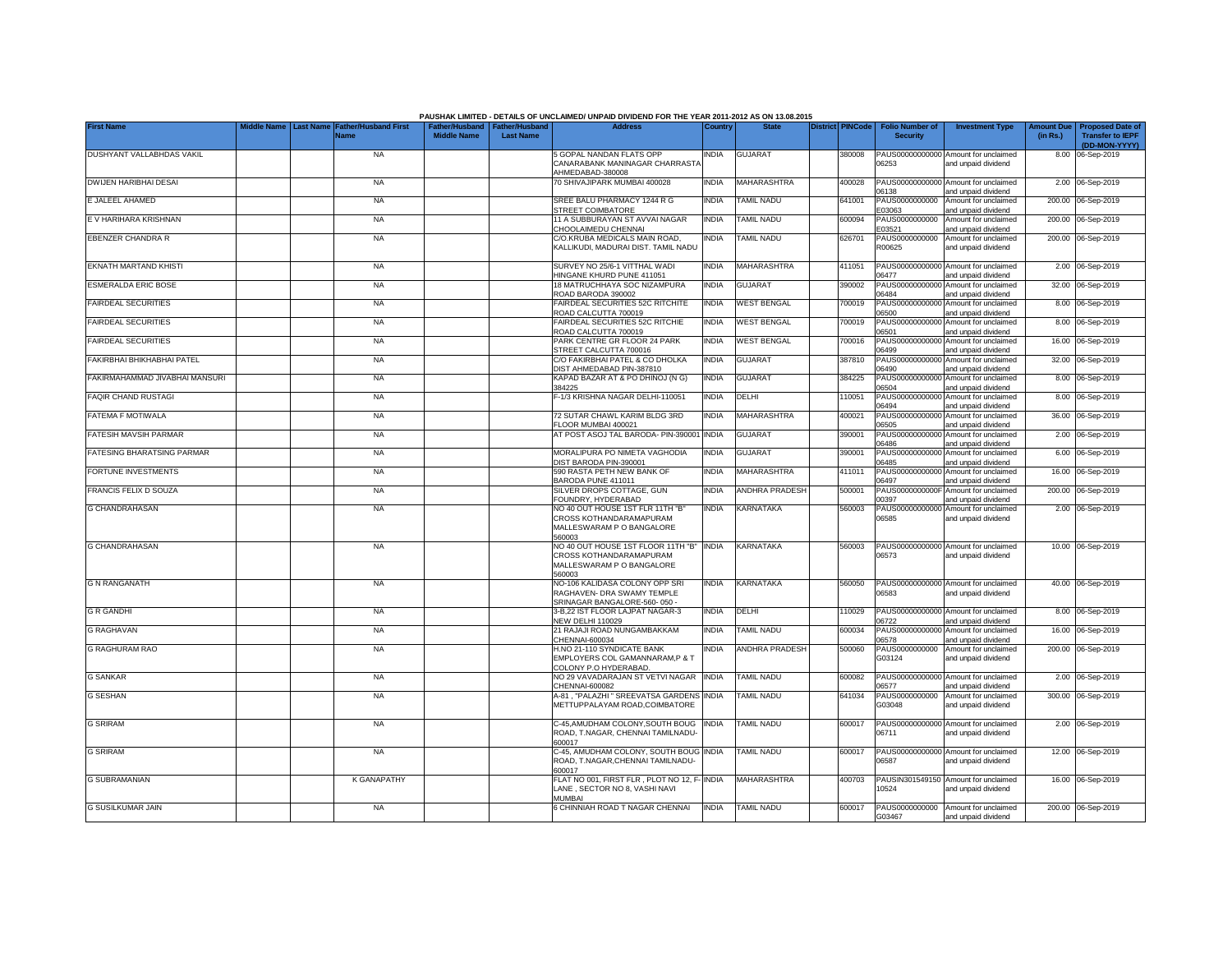|                                   | Middle Name |                  |                                            |                                                       |                  | PAUSHAK LIMITED - DETAILS OF UNCLAIMED/ UNPAID DIVIDEND FOR THE YEAR 2011-2012 AS ON 13.08.2015<br><b>Address</b> |              | <b>State</b>          |                         |                                           |                                                             |                               |                                                                     |
|-----------------------------------|-------------|------------------|--------------------------------------------|-------------------------------------------------------|------------------|-------------------------------------------------------------------------------------------------------------------|--------------|-----------------------|-------------------------|-------------------------------------------|-------------------------------------------------------------|-------------------------------|---------------------------------------------------------------------|
| <b>First Name</b>                 |             | <b>Last Name</b> | <b>Father/Husband First</b><br><b>Name</b> | Father/Husband   Father/Husband<br><b>Middle Name</b> | <b>Last Name</b> |                                                                                                                   | Country      |                       | <b>District PINCode</b> | <b>Folio Number of</b><br><b>Security</b> | <b>Investment Type</b>                                      | <b>Amount Due</b><br>(in Rs.) | <b>Proposed Date of</b><br><b>Transfer to IEPF</b><br>(DD-MON-YYYY) |
| DUSHYANT VALLABHDAS VAKIL         |             |                  | <b>NA</b>                                  |                                                       |                  | 5 GOPAL NANDAN FLATS OPP<br>CANARABANK MANINAGAR CHARRASTA<br>AHMEDABAD-380008                                    | <b>NDIA</b>  | <b>GUJARAT</b>        | 380008                  | 06253                                     | PAUS00000000000 Amount for unclaimed<br>and unpaid dividend |                               | 8.00 06-Sep-2019                                                    |
| DWIJEN HARIBHAI DESAI             |             |                  | <b>NA</b>                                  |                                                       |                  | 70 SHIVAJIPARK MUMBAI 400028                                                                                      | INDIA        | <b>MAHARASHTRA</b>    | 400028                  | 06138                                     | PAUS00000000000 Amount for unclaimed<br>and unpaid dividend |                               | 2.00 06-Sep-2019                                                    |
| E JALEEL AHAMED                   |             |                  | <b>NA</b>                                  |                                                       |                  | SREE BALU PHARMACY 1244 R G<br>STREET COIMBATORE                                                                  | <b>INDIA</b> | TAMIL NADU            | 641001                  | PAUS0000000000<br>E03063                  | Amount for unclaimed<br>and unpaid dividend                 |                               | 200.00 06-Sep-2019                                                  |
| E V HARIHARA KRISHNAN             |             |                  | <b>NA</b>                                  |                                                       |                  | 11 A SUBBURAYAN ST AVVAI NAGAR<br>CHOOLAIMEDU CHENNAI                                                             | INDIA        | <b>TAMIL NADU</b>     | 600094                  | PAUS0000000000<br>E03521                  | Amount for unclaimed<br>and unpaid dividend                 |                               | 200.00 06-Sep-2019                                                  |
| <b>EBENZER CHANDRA R</b>          |             |                  | <b>NA</b>                                  |                                                       |                  | C/O.KRUBA MEDICALS MAIN ROAD,<br>KALLIKUDI, MADURAI DIST, TAMIL NADU                                              | NDIA         | TAMIL NADU            | 626701                  | PAUS0000000000<br>R00625                  | Amount for unclaimed<br>and unpaid dividend                 |                               | 200.00 06-Sep-2019                                                  |
| EKNATH MARTAND KHISTI             |             |                  | <b>NA</b>                                  |                                                       |                  | SURVEY NO 25/6-1 VITTHAL WADI<br>HINGANE KHURD PUNE 411051                                                        | INDIA        | MAHARASHTRA           | 411051                  | PAUS00000000000<br>06477                  | Amount for unclaimed<br>and unpaid dividend                 |                               | 2.00 06-Sep-2019                                                    |
| <b>ESMERALDA ERIC BOSE</b>        |             |                  | <b>NA</b>                                  |                                                       |                  | 18 MATRUCHHAYA SOC NIZAMPURA<br>ROAD BARODA 390002                                                                | <b>INDIA</b> | GUJARAT               | 390002                  | PAUS0000000000<br>06484                   | Amount for unclaimed<br>and unpaid dividend                 |                               | 32.00 06-Sep-2019                                                   |
| <b>FAIRDEAL SECURITIES</b>        |             |                  | <b>NA</b>                                  |                                                       |                  | FAIRDEAL SECURITIES 52C RITCHITE<br>ROAD CALCUTTA 700019                                                          | INDIA        | <b>WEST BENGAL</b>    | 700019                  | PAUS0000000000<br>06500                   | Amount for unclaimed<br>and unpaid dividend                 |                               | 8.00 06-Sep-2019                                                    |
| <b>FAIRDEAL SECURITIES</b>        |             |                  | <b>NA</b>                                  |                                                       |                  | FAIRDEAL SECURITIES 52C RITCHIE<br>ROAD CALCUTTA 700019                                                           | India        | <b>WEST BENGAL</b>    | 700019                  | PAUS0000000000<br>06501                   | Amount for unclaimed<br>and unpaid dividend                 |                               | 8.00 06-Sep-2019                                                    |
| <b>FAIRDEAL SECURITIES</b>        |             |                  | <b>NA</b>                                  |                                                       |                  | PARK CENTRE GR FLOOR 24 PARK<br>STREET CALCUTTA 700016                                                            | <b>INDIA</b> | <b>WEST BENGAL</b>    | 700016                  | PAUS00000000000<br>06499                  | Amount for unclaimed<br>and unpaid dividend                 |                               | 16.00 06-Sep-2019                                                   |
| FAKIRBHAI BHIKHABHAI PATEL        |             |                  | <b>NA</b>                                  |                                                       |                  | C/O FAKIRBHAI PATEL & CO DHOLKA<br>DIST AHMEDABAD PIN-387810                                                      | <b>INDIA</b> | <b>GUJARAT</b>        | 387810                  | PAUS00000000000<br>06490                  | Amount for unclaimed<br>and unpaid dividend                 |                               | 32.00 06-Sep-2019                                                   |
| FAKIRMAHAMMAD JIVABHAI MANSURI    |             |                  | <b>NA</b>                                  |                                                       |                  | KAPAD BAZAR AT & PO DHINOJ (N G)<br>384225                                                                        | <b>INDIA</b> | <b>GUJARAT</b>        | 384225                  | 06504                                     | PAUS00000000000 Amount for unclaimed<br>and unpaid dividend |                               | 8.00 06-Sep-2019                                                    |
| <b>FAQIR CHAND RUSTAGI</b>        |             |                  | <b>NA</b>                                  |                                                       |                  | -1/3 KRISHNA NAGAR DELHI-110051                                                                                   | india        | DELHI                 | 110051                  | 06494                                     | PAUS00000000000 Amount for unclaimed<br>and unpaid dividend |                               | 8.00 06-Sep-2019                                                    |
| FATEMA F MOTIWALA                 |             |                  | <b>NA</b>                                  |                                                       |                  | 72 SUTAR CHAWL KARIM BLDG 3RD<br>FLOOR MUMBAI 400021                                                              | <b>INDIA</b> | <b>MAHARASHTRA</b>    | 400021                  | 06505                                     | PAUS00000000000 Amount for unclaimed<br>and unpaid dividend |                               | 36.00 06-Sep-2019                                                   |
| <b>FATESIH MAVSIH PARMAR</b>      |             |                  | - NA                                       |                                                       |                  | AT POST ASOJ TAL BARODA- PIN-390001                                                                               | <b>INDIA</b> | <b>GUJARAT</b>        | 390001                  | 06486                                     | PAUS00000000000 Amount for unclaimed<br>and unpaid dividend |                               | 2.00 06-Sep-2019                                                    |
| <b>FATESING BHARATSING PARMAR</b> |             |                  | <b>NA</b>                                  |                                                       |                  | MORALIPURA PO NIMETA VAGHODIA<br>DIST BARODA PIN-390001                                                           | <b>INDIA</b> | GUJARAT               | 390001                  | PAUS0000000000<br>06485                   | Amount for unclaimed<br>and unpaid dividend                 |                               | 6.00 06-Sep-2019                                                    |
| <b>FORTUNE INVESTMENTS</b>        |             |                  | <b>NA</b>                                  |                                                       |                  | 590 RASTA PETH NEW BANK OF<br>BARODA PUNE 411011                                                                  | <b>INDIA</b> | MAHARASHTRA           | 411011                  | PAUS0000000000<br>06497                   | Amount for unclaimed<br>and unpaid dividend                 | 16.00                         | 06-Sep-2019                                                         |
| FRANCIS FELIX D SOUZA             |             |                  | <b>NA</b>                                  |                                                       |                  | SILVER DROPS COTTAGE, GUN<br>FOUNDRY, HYDERABAD                                                                   | india        | <b>ANDHRA PRADESH</b> | 500001                  | PAUS0000000000<br>00397                   | Amount for unclaimed<br>and unpaid dividend                 | 200.00                        | 06-Sep-2019                                                         |
| <b>G CHANDRAHASAN</b>             |             |                  | <b>NA</b>                                  |                                                       |                  | NO 40 OUT HOUSE 1ST FLR 11TH "B"<br>CROSS KOTHANDARAMAPURAM<br>MALLESWARAM P O BANGALORE<br>560003                | India        | KARNATAKA             | 560003                  | PAUS0000000000<br>06585                   | Amount for unclaimed<br>and unpaid dividend                 |                               | 2.00 06-Sep-2019                                                    |
| <b>G CHANDRAHASAN</b>             |             |                  | <b>NA</b>                                  |                                                       |                  | NO 40 OUT HOUSE 1ST FLOOR 11TH "B" INDIA<br>CROSS KOTHANDARAMAPURAM<br>MALLESWARAM P O BANGALORE<br>560003        |              | KARNATAKA             | 560003                  | 06573                                     | PAUS00000000000 Amount for unclaimed<br>and unpaid dividend |                               | 10.00 06-Sep-2019                                                   |
| <b>G N RANGANATH</b>              |             |                  | <b>NA</b>                                  |                                                       |                  | NO-106 KALIDASA COLONY OPP SRI<br>RAGHAVEN- DRA SWAMY TEMPLE<br>SRINAGAR BANGALORE-560-050 -                      | india        | KARNATAKA             | 560050                  | 06583                                     | PAUS00000000000 Amount for unclaimed<br>and unpaid dividend |                               | 40.00 06-Sep-2019                                                   |
| <b>G R GANDHI</b>                 |             |                  | <b>NA</b>                                  |                                                       |                  | 3-B,22 IST FLOOR LAJPAT NAGAR-3<br><b>NEW DELHI 110029</b>                                                        | INDIA        | DELHI                 | 10029                   | PAUS00000000000<br>06722                  | Amount for unclaimed<br>and unpaid dividend                 |                               | 8.00 06-Sep-2019                                                    |
| <b>G RAGHAVAN</b>                 |             |                  | <b>NA</b>                                  |                                                       |                  | 21 RAJAJI ROAD NUNGAMBAKKAM<br>CHENNAI-600034                                                                     | NDIA         | TAMIL NADU            | 600034                  | PAUS0000000000<br>06578                   | Amount for unclaimed<br>and unpaid dividend                 |                               | 16.00 06-Sep-2019                                                   |
| <b>G RAGHURAM RAO</b>             |             |                  | <b>NA</b>                                  |                                                       |                  | H.NO 21-110 SYNDICATE BANK<br>EMPLOYERS COL GAMANNARAM.P & T<br>COLONY P.O HYDERABAD                              | NDIA         | <b>ANDHRA PRADESH</b> | 500060                  | PAUS0000000000<br>G03124                  | Amount for unclaimed<br>and unpaid dividend                 |                               | 200.00 06-Sep-2019                                                  |
| <b>G SANKAR</b>                   |             |                  | <b>NA</b>                                  |                                                       |                  | NO 29 VAVADARAJAN ST VETVI NAGAR<br>CHENNAI-600082                                                                | <b>INDIA</b> | TAMIL NADU            | 600082                  | 06577                                     | PAUS00000000000 Amount for unclaimed<br>and unpaid dividend |                               | 2.00 06-Sep-2019                                                    |
| <b>G SESHAN</b>                   |             |                  | <b>NA</b>                                  |                                                       |                  | A-81, "PALAZHI" SREEVATSA GARDENS<br>METTUPPALAYAM ROAD, COIMBATORE                                               | <b>INDIA</b> | <b>TAMIL NADU</b>     | 641034                  | PAUS0000000000<br>G03048                  | Amount for unclaimed<br>and unpaid dividend                 |                               | 300.00 06-Sep-2019                                                  |
| <b>G SRIRAM</b>                   |             |                  | <b>NA</b>                                  |                                                       |                  | C-45, AMUDHAM COLONY, SOUTH BOUG<br>ROAD, T.NAGAR, CHENNAI TAMILNADU-<br>600017                                   | <b>INDIA</b> | TAMIL NADU            | 600017                  | 06711                                     | PAUS00000000000 Amount for unclaimed<br>and unpaid dividend |                               | 2.00 06-Sep-2019                                                    |
| <b>G SRIRAM</b>                   |             |                  | <b>NA</b>                                  |                                                       |                  | C-45, AMUDHAM COLONY, SOUTH BOUG INDIA<br>ROAD, T.NAGAR, CHENNAI TAMILNADU-<br>600017                             |              | <b>TAMIL NADU</b>     | 600017                  | 06587                                     | PAUS00000000000 Amount for unclaimed<br>and unpaid dividend |                               | 12.00 06-Sep-2019                                                   |
| <b>G SUBRAMANIAN</b>              |             |                  | <b>K GANAPATHY</b>                         |                                                       |                  | FLAT NO 001, FIRST FLR, PLOT NO 12, F- INDIA<br>LANE, SECTOR NO 8, VASHI NAVI<br><b>MUMBAI</b>                    |              | MAHARASHTRA           | 400703                  | 10524                                     | PAUSIN301549150 Amount for unclaimed<br>and unpaid dividend |                               | 16.00 06-Sep-2019                                                   |
| <b>G SUSILKUMAR JAIN</b>          |             |                  | <b>NA</b>                                  |                                                       |                  | 6 CHINNIAH ROAD T NAGAR CHENNAI                                                                                   | <b>INDIA</b> | <b>TAMIL NADU</b>     | 600017                  | G03467                                    | PAUS0000000000 Amount for unclaimed<br>and unpaid dividend  |                               | 200.00 06-Sep-2019                                                  |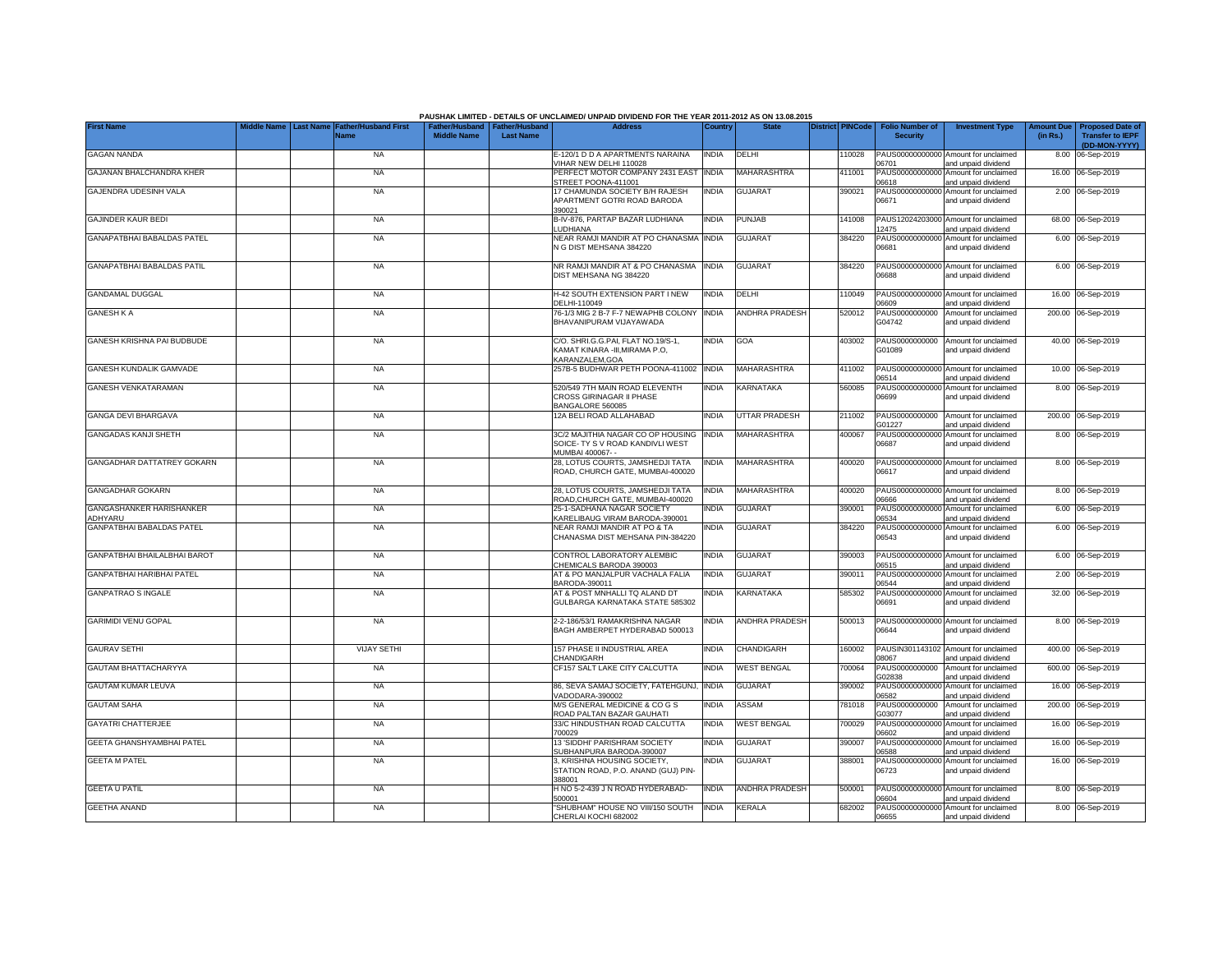|                                                   |             |                  |                                            |                                                       |                  | PAUSHAK LIMITED - DETAILS OF UNCLAIMED/ UNPAID DIVIDEND FOR THE YEAR 2011-2012 AS ON 13.08.2015 |              |                       |                         |                                           |                                                             |                               |                                                                     |
|---------------------------------------------------|-------------|------------------|--------------------------------------------|-------------------------------------------------------|------------------|-------------------------------------------------------------------------------------------------|--------------|-----------------------|-------------------------|-------------------------------------------|-------------------------------------------------------------|-------------------------------|---------------------------------------------------------------------|
| <b>First Name</b>                                 | Middle Name | <b>Last Name</b> | <b>Father/Husband First</b><br><b>Name</b> | Father/Husband   Father/Husband<br><b>Middle Name</b> | <b>Last Name</b> | <b>Address</b>                                                                                  | Country      | <b>State</b>          | <b>District PINCode</b> | <b>Folio Number of</b><br><b>Security</b> | <b>Investment Type</b>                                      | <b>Amount Due</b><br>(in Rs.) | <b>Proposed Date of</b><br><b>Transfer to IEPF</b><br>(DD-MON-YYYY) |
| <b>GAGAN NANDA</b>                                |             |                  | <b>NA</b>                                  |                                                       |                  | E-120/1 D D A APARTMENTS NARAINA<br>/IHAR NEW DELHI 110028                                      | <b>INDIA</b> | DELHI                 | 110028                  | 06701                                     | PAUS00000000000 Amount for unclaimed<br>and unpaid dividend |                               | 8.00 06-Sep-2019                                                    |
| GAJANAN BHALCHANDRA KHER                          |             |                  | <b>NA</b>                                  |                                                       |                  | PERFECT MOTOR COMPANY 2431 EAST<br>STREET POONA-411001                                          | <b>INDIA</b> | MAHARASHTRA           | 411001                  | 06618                                     | PAUS00000000000 Amount for unclaimed<br>and unpaid dividend |                               | 16.00 06-Sep-2019                                                   |
| GAJENDRA UDESINH VALA                             |             |                  | <b>NA</b>                                  |                                                       |                  | 17 CHAMUNDA SOCIETY B/H RAJESH<br>APARTMENT GOTRI ROAD BARODA<br>390021                         | <b>INDIA</b> | <b>GUJARAT</b>        | 390021                  | 06671                                     | PAUS00000000000 Amount for unclaimed<br>and unpaid dividend |                               | 2.00 06-Sep-2019                                                    |
| <b>GAJINDER KAUR BEDI</b>                         |             |                  | NA                                         |                                                       |                  | B-IV-876, PARTAP BAZAR LUDHIANA<br><b>LUDHIANA</b>                                              | <b>INDIA</b> | PUNJAB                | 141008                  | 12475                                     | PAUS12024203000 Amount for unclaimed<br>and unpaid dividend |                               | 68.00 06-Sep-2019                                                   |
| <b>GANAPATBHAI BABALDAS PATEL</b>                 |             |                  | <b>NA</b>                                  |                                                       |                  | NEAR RAMJI MANDIR AT PO CHANASMA<br>N G DIST MEHSANA 384220                                     | <b>INDIA</b> | <b>GUJARAT</b>        | 384220                  | 06681                                     | PAUS00000000000 Amount for unclaimed<br>and unpaid dividend |                               | 6.00 06-Sep-2019                                                    |
| GANAPATBHAI BABALDAS PATIL                        |             |                  | <b>NA</b>                                  |                                                       |                  | NR RAMJI MANDIR AT & PO CHANASMA<br>DIST MEHSANA NG 384220                                      | <b>INDIA</b> | <b>GUJARAT</b>        | 384220                  | 88660                                     | PAUS00000000000 Amount for unclaimed<br>and unpaid dividend |                               | 6.00 06-Sep-2019                                                    |
| <b>GANDAMAL DUGGAL</b>                            |             |                  | <b>NA</b>                                  |                                                       |                  | <b>H-42 SOUTH EXTENSION PART I NEW</b><br>DELHI-110049                                          | <b>INDIA</b> | DELHI                 | 10049                   | 06609                                     | PAUS00000000000 Amount for unclaimed<br>and unpaid dividend |                               | 16.00 06-Sep-2019                                                   |
| <b>GANESH K A</b>                                 |             |                  | <b>NA</b>                                  |                                                       |                  | 76-1/3 MIG 2 B-7 F-7 NEWAPHB COLONY<br>BHAVANIPURAM VIJAYAWADA                                  | <b>INDIA</b> | <b>ANDHRA PRADESH</b> | 520012                  | PAUS0000000000<br>G04742                  | Amount for unclaimed<br>and unpaid dividend                 |                               | 200.00 06-Sep-2019                                                  |
| GANESH KRISHNA PAI BUDBUDE                        |             |                  | <b>NA</b>                                  |                                                       |                  | C/O. SHRI.G.G.PAI, FLAT NO.19/S-1,<br>KAMAT KINARA -III, MIRAMA P.O,<br>KARANZALEM.GOA          | INDIA        | <b>GOA</b>            | 403002                  | PAUS0000000000<br>G01089                  | Amount for unclaimed<br>and unpaid dividend                 |                               | 40.00 06-Sep-2019                                                   |
| GANESH KUNDALIK GAMVADE                           |             |                  | <b>NA</b>                                  |                                                       |                  | 257B-5 BUDHWAR PETH POONA-411002                                                                | <b>INDIA</b> | MAHARASHTRA           | 411002                  | 06514                                     | PAUS00000000000 Amount for unclaimed<br>and unpaid dividend |                               | 10.00 06-Sep-2019                                                   |
| <b>GANESH VENKATARAMAN</b>                        |             |                  | <b>NA</b>                                  |                                                       |                  | 520/549 7TH MAIN ROAD ELEVENTH<br>CROSS GIRINAGAR II PHASE<br>BANGALORE 560085                  | <b>INDIA</b> | KARNATAKA             | 560085                  | 06699                                     | PAUS00000000000 Amount for unclaimed<br>and unpaid dividend |                               | 8.00 06-Sep-2019                                                    |
| GANGA DEVI BHARGAVA                               |             |                  | <b>NA</b>                                  |                                                       |                  | 12A BELI ROAD ALLAHABAD                                                                         | INDIA        | <b>UTTAR PRADESH</b>  | 211002                  | PAUS0000000000<br>G01227                  | Amount for unclaimed<br>and unpaid dividend                 |                               | 200.00 06-Sep-2019                                                  |
| <b>GANGADAS KANJI SHETH</b>                       |             |                  | <b>NA</b>                                  |                                                       |                  | 3C/2 MAJITHIA NAGAR CO OP HOUSING<br>SOICE- TY S V ROAD KANDIVLI WEST<br>MUMBAI 400067- -       | <b>INDIA</b> | MAHARASHTRA           | 400067                  | 06687                                     | PAUS00000000000 Amount for unclaimed<br>and unpaid dividend |                               | 8.00 06-Sep-2019                                                    |
| GANGADHAR DATTATREY GOKARN                        |             |                  | - NA                                       |                                                       |                  | 28, LOTUS COURTS, JAMSHEDJI TATA<br>ROAD, CHURCH GATE, MUMBAI-400020                            | <b>INDIA</b> | MAHARASHTRA           | 400020                  | 06617                                     | PAUS00000000000 Amount for unclaimed<br>and unpaid dividend |                               | 8.00 06-Sep-2019                                                    |
| <b>GANGADHAR GOKARN</b>                           |             |                  | <b>NA</b>                                  |                                                       |                  | 28. LOTUS COURTS, JAMSHEDJI TATA<br>ROAD.CHURCH GATE, MUMBAI-400020                             | INDIA        | MAHARASHTRA           | 400020                  | 06666                                     | PAUS00000000000 Amount for unclaimed<br>and unpaid dividend |                               | 8.00 06-Sep-2019                                                    |
| <b>GANGASHANKER HARISHANKER</b><br><b>IDHYARU</b> |             |                  | <b>NA</b>                                  |                                                       |                  | 25-1-SADHANA NAGAR SOCIETY<br>KARELIBAUG VIRAM BARODA-390001                                    | India        | <b>GUJARAT</b>        | 390001                  | PAUS0000000000<br>06534                   | Amount for unclaimed<br>and unpaid dividend                 |                               | 6.00 06-Sep-2019                                                    |
| GANPATBHAI BABALDAS PATEL                         |             |                  | <b>NA</b>                                  |                                                       |                  | NEAR RAMJI MANDIR AT PO & TA<br>CHANASMA DIST MEHSANA PIN-384220                                | INDIA        | <b>GUJARAT</b>        | 384220                  | PAUS0000000000<br>06543                   | Amount for unclaimed<br>and unpaid dividend                 |                               | 6.00 06-Sep-2019                                                    |
| GANPATBHAI BHAILALBHAI BAROT                      |             |                  | <b>NA</b>                                  |                                                       |                  | CONTROL LABORATORY ALEMBIC<br>CHEMICALS BARODA 390003                                           | INDIA        | <b>GUJARAT</b>        | 390003                  | PAUS00000000000<br>06515                  | Amount for unclaimed<br>and unpaid dividend                 |                               | 6.00 06-Sep-2019                                                    |
| GANPATBHAI HARIBHAI PATEL                         |             |                  | <b>NA</b>                                  |                                                       |                  | AT & PO MANJALPUR VACHALA FALIA<br>BARODA-390011                                                | INDIA        | <b>GUJARAT</b>        | 390011                  | PAUS0000000000<br>06544                   | Amount for unclaimed<br>and unpaid dividend                 |                               | 2.00 06-Sep-2019                                                    |
| <b>GANPATRAO S INGALE</b>                         |             |                  | <b>NA</b>                                  |                                                       |                  | AT & POST MNHALLI TQ ALAND DT<br>GULBARGA KARNATAKA STATE 585302                                | NDIA         | KARNATAKA             | 585302                  | 06691                                     | PAUS00000000000 Amount for unclaimed<br>and unpaid dividend |                               | 32.00 06-Sep-2019                                                   |
| <b>GARIMIDI VENU GOPAL</b>                        |             |                  | <b>NA</b>                                  |                                                       |                  | 2-2-186/53/1 RAMAKRISHNA NAGAR<br>BAGH AMBERPET HYDERABAD 500013                                | india        | <b>ANDHRA PRADESH</b> | 500013                  | 06644                                     | PAUS00000000000 Amount for unclaimed<br>and unpaid dividend |                               | 8.00 06-Sep-2019                                                    |
| <b>GAURAV SETHI</b>                               |             |                  | <b>VIJAY SETHI</b>                         |                                                       |                  | 157 PHASE II INDUSTRIAL AREA<br>CHANDIGARH                                                      | <b>INDIA</b> | <b>CHANDIGARH</b>     | 160002                  | 08067                                     | PAUSIN301143102 Amount for unclaimed<br>and unpaid dividend |                               | 400.00 06-Sep-2019                                                  |
| <b>GAUTAM BHATTACHARYYA</b>                       |             |                  | <b>NA</b>                                  |                                                       |                  | CF157 SALT LAKE CITY CALCUTTA                                                                   | india        | <b>WEST BENGAL</b>    | 700064                  | PAUS0000000000<br>G02838                  | Amount for unclaimed<br>and unpaid dividend                 |                               | 600.00 06-Sep-2019                                                  |
| <b>GAUTAM KUMAR LEUVA</b>                         |             |                  | <b>NA</b>                                  |                                                       |                  | 86, SEVA SAMAJ SOCIETY, FATEHGUNJ<br>VADODARA-390002                                            | <b>INDIA</b> | GUJARAT               | 390002                  | PAUS00000000000<br>06582                  | Amount for unclaimed<br>and unpaid dividend                 |                               | 16.00 06-Sep-2019                                                   |
| <b>GAUTAM SAHA</b>                                |             |                  | <b>NA</b>                                  |                                                       |                  | <b>M/S GENERAL MEDICINE &amp; CO G S</b><br>ROAD PALTAN BAZAR GAUHATI                           | India        | ASSAM                 | 781018                  | PAUS0000000000<br>303077                  | Amount for unclaimed<br>and unpaid dividend                 |                               | 200.00 06-Sep-2019                                                  |
| <b>GAYATRI CHATTERJEE</b>                         |             |                  | <b>NA</b>                                  |                                                       |                  | 33/C HINDUSTHAN ROAD CALCUTTA<br>700029                                                         | INDIA        | <b>WEST BENGAL</b>    | 700029                  | PAUS00000000000<br>06602                  | Amount for unclaimed<br>and unpaid dividend                 |                               | 16.00 06-Sep-2019                                                   |
| GEETA GHANSHYAMBHAI PATEL                         |             |                  | <b>NA</b>                                  |                                                       |                  | 13 'SIDDHI' PARISHRAM SOCIETY<br>SUBHANPURA BARODA-390007                                       | India        | <b>GUJARAT</b>        | 390007                  | 06588                                     | PAUS00000000000 Amount for unclaimed<br>and unpaid dividend |                               | 16.00 06-Sep-2019                                                   |
| <b>GEETA M PATEL</b>                              |             |                  | <b>NA</b>                                  |                                                       |                  | 3, KRISHNA HOUSING SOCIETY,<br>STATION ROAD, P.O. ANAND (GUJ) PIN-<br>388001                    | INDIA        | <b>GUJARAT</b>        | 388001                  | 06723                                     | PAUS00000000000 Amount for unclaimed<br>and unpaid dividend |                               | 16.00 06-Sep-2019                                                   |
| <b>GEETA U PATIL</b>                              |             |                  | <b>NA</b>                                  |                                                       |                  | H NO 5-2-439 J N ROAD HYDERABAD-<br>500001                                                      | <b>INDIA</b> | <b>ANDHRA PRADESH</b> | 500001                  | 06604                                     | PAUS00000000000 Amount for unclaimed<br>and unpaid dividend |                               | 8.00 06-Sep-2019                                                    |
| <b>GEETHA ANAND</b>                               |             |                  | <b>NA</b>                                  |                                                       |                  | "SHUBHAM" HOUSE NO VIII/150 SOUTH<br>CHERLAI KOCHI 682002                                       | <b>INDIA</b> | <b>KERALA</b>         | 682002                  | 06655                                     | PAUS00000000000 Amount for unclaimed<br>and unpaid dividend |                               | 8.00 06-Sep-2019                                                    |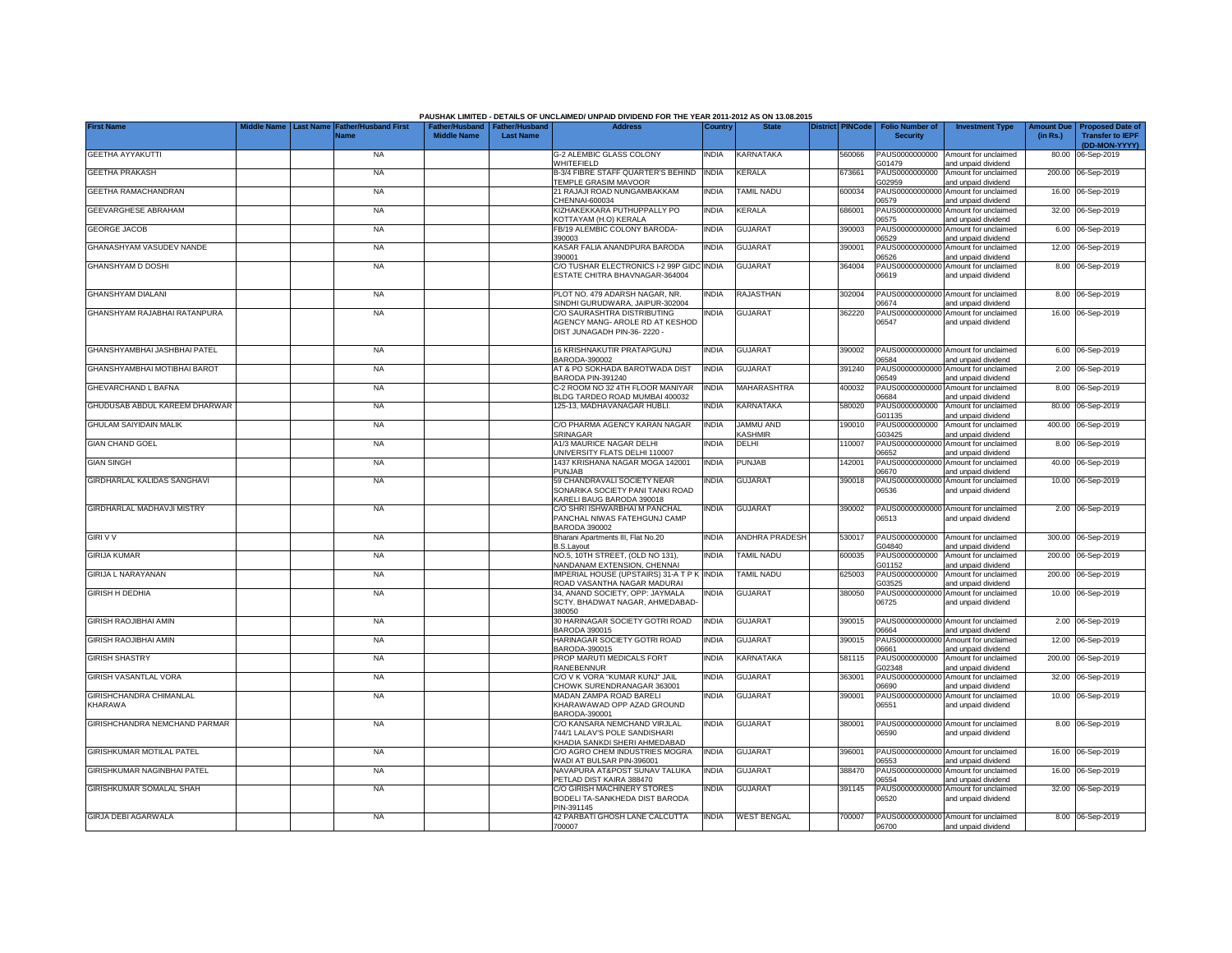|                                   |                  |                                     |                    |                                                     | PAUSHAK LIMITED - DETAILS OF UNCLAIMED/ UNPAID DIVIDEND FOR THE YEAR 2011-2012 AS ON 13.08.2015 |              |                         |                         |                                           |                                                             |                               |                                            |
|-----------------------------------|------------------|-------------------------------------|--------------------|-----------------------------------------------------|-------------------------------------------------------------------------------------------------|--------------|-------------------------|-------------------------|-------------------------------------------|-------------------------------------------------------------|-------------------------------|--------------------------------------------|
| <b>First Name</b>                 | <b>Last Name</b> | Father/Husband First<br><b>Name</b> | <b>Middle Name</b> | Father/Husband   Father/Husband<br><b>Last Name</b> | <b>Address</b>                                                                                  | Country      | <b>State</b>            | <b>District PINCode</b> | <b>Folio Number of</b><br><b>Security</b> | <b>Investment Type</b>                                      | <b>Amount Due</b><br>(in Rs.) | Proposed Date o<br><b>Transfer to IEPF</b> |
|                                   |                  |                                     |                    |                                                     |                                                                                                 |              |                         |                         |                                           |                                                             |                               | (DD-MON-YYYY)                              |
| GEETHA AYYAKUTTI                  |                  | <b>NA</b>                           |                    |                                                     | G-2 ALEMBIC GLASS COLONY<br>WHITEFIELD                                                          | <b>INDIA</b> | KARNATAKA               | 560066                  | PAUS0000000000<br>G01479                  | Amount for unclaimed<br>and unpaid dividend                 |                               | 80.00 06-Sep-2019                          |
| <b>GEETHA PRAKASH</b>             |                  | <b>NA</b>                           |                    |                                                     | B-3/4 FIBRE STAFF QUARTER'S BEHIND                                                              | <b>INDIA</b> | <b>KERALA</b>           | 673661                  | PAUS0000000000                            | Amount for unclaimed                                        |                               | 200.00 06-Sep-2019                         |
|                                   |                  |                                     |                    |                                                     | <b>EMPLE GRASIM MAVOOR</b>                                                                      |              |                         |                         | G02959                                    | and unpaid dividend                                         |                               |                                            |
| GEETHA RAMACHANDRAN               |                  | <b>NA</b>                           |                    |                                                     | 21 RAJAJI ROAD NUNGAMBAKKAM<br>CHENNAI-600034                                                   | INDIA        | TAMIL NADU              | 600034                  | PAUS0000000000<br>06579                   | Amount for unclaimed<br>and unpaid dividend                 |                               | 16.00 06-Sep-2019                          |
| GEEVARGHESE ABRAHAM               |                  | <b>NA</b>                           |                    |                                                     | KIZHAKEKKARA PUTHUPPALLY PO                                                                     | <b>INDIA</b> | <b>KERALA</b>           | 686001                  | PAUS0000000000                            | Amount for unclaimed                                        |                               | 32.00 06-Sep-2019                          |
|                                   |                  |                                     |                    |                                                     | KOTTAYAM (H.O) KERALA                                                                           |              |                         |                         | 06575                                     | and unpaid dividend                                         |                               |                                            |
| <b>GEORGE JACOB</b>               |                  | <b>NA</b>                           |                    |                                                     | FB/19 ALEMBIC COLONY BARODA-<br>390003                                                          | India        | <b>GUJARAT</b>          | 390003                  | PAUS0000000000<br>06529                   | Amount for unclaimed<br>and unpaid dividend                 |                               | 6.00 06-Sep-2019                           |
| GHANASHYAM VASUDEV NANDE          |                  | <b>NA</b>                           |                    |                                                     | KASAR FALIA ANANDPURA BARODA                                                                    | <b>INDIA</b> | <b>GUJARAT</b>          | 390001                  | PAUS0000000000                            | Amount for unclaimed                                        |                               | 12.00 06-Sep-2019                          |
| GHANSHYAM D DOSHI                 |                  | <b>NA</b>                           |                    |                                                     | 390001<br>C/O TUSHAR ELECTRONICS I-2 99P GIDC                                                   | <b>INDIA</b> | <b>GUJARAT</b>          | 364004                  | 06526<br>PAUS00000000000                  | and unpaid dividend                                         |                               | 8.00 06-Sep-2019                           |
|                                   |                  |                                     |                    |                                                     | ESTATE CHITRA BHAVNAGAR-364004                                                                  |              |                         |                         | 06619                                     | Amount for unclaimed<br>and unpaid dividend                 |                               |                                            |
|                                   |                  |                                     |                    |                                                     |                                                                                                 |              |                         |                         |                                           |                                                             |                               |                                            |
| <b>GHANSHYAM DIALANI</b>          |                  | <b>NA</b>                           |                    |                                                     | PLOT NO. 479 ADARSH NAGAR, NR.<br>SINDHI GURUDWARA, JAIPUR-302004                               | India        | <b>RAJASTHAN</b>        | 302004                  | PAUS0000000000<br>06674                   | Amount for unclaimed<br>and unpaid dividend                 |                               | 8.00 06-Sep-2019                           |
| GHANSHYAM RAJABHAI RATANPURA      |                  | <b>NA</b>                           |                    |                                                     | C/O SAURASHTRA DISTRIBUTING                                                                     | <b>INDIA</b> | <b>GUJARAT</b>          | 362220                  | PAUS0000000000                            | Amount for unclaimed                                        |                               | 16.00 06-Sep-2019                          |
|                                   |                  |                                     |                    |                                                     | AGENCY MANG- AROLE RD AT KESHOD                                                                 |              |                         |                         | 06547                                     | and unpaid dividend                                         |                               |                                            |
|                                   |                  |                                     |                    |                                                     | DIST JUNAGADH PIN-36-2220 -                                                                     |              |                         |                         |                                           |                                                             |                               |                                            |
| GHANSHYAMBHAI JASHBHAI PATEL      |                  | <b>NA</b>                           |                    |                                                     | 16 KRISHNAKUTIR PRATAPGUNJ                                                                      | <b>INDIA</b> | <b>GUJARAT</b>          | 390002                  |                                           | PAUS00000000000 Amount for unclaimed                        |                               | 6.00 06-Sep-2019                           |
|                                   |                  |                                     |                    |                                                     | BARODA-390002                                                                                   |              |                         |                         | 06584                                     | and unpaid dividend                                         |                               |                                            |
| GHANSHYAMBHAI MOTIBHAI BAROT      |                  | <b>NA</b>                           |                    |                                                     | AT & PO SOKHADA BAROTWADA DIST<br>BARODA PIN-391240                                             | <b>INDIA</b> | <b>GUJARAT</b>          | 391240                  | PAUS00000000000<br>06549                  | Amount for unclaimed<br>and unpaid dividend                 | 2.00                          | 06-Sep-2019                                |
| <b>GHEVARCHAND L BAFNA</b>        |                  | <b>NA</b>                           |                    |                                                     | C-2 ROOM NO 32 4TH FLOOR MANIYAR                                                                | <b>INDIA</b> | MAHARASHTRA             | 400032                  | PAUS00000000000                           | Amount for unclaimed                                        |                               | 8.00 06-Sep-2019                           |
| GHUDUSAB ABDUL KAREEM DHARWAR     |                  |                                     |                    |                                                     | BLDG TARDEO ROAD MUMBAI 400032<br>125-13. MADHAVANAGAR HUBLI.                                   | <b>INDIA</b> | <b>KARNATAKA</b>        | 580020                  | 06684<br>PAUS0000000000                   | and unpaid dividend<br>Amount for unclaimed                 |                               |                                            |
|                                   |                  | <b>NA</b>                           |                    |                                                     |                                                                                                 |              |                         |                         | G01135                                    | and unpaid dividend                                         |                               | 80.00 06-Sep-2019                          |
| <b>GHULAM SAIYIDAIN MALIK</b>     |                  | <b>NA</b>                           |                    |                                                     | C/O PHARMA AGENCY KARAN NAGAR                                                                   | INDIA        | <b>JAMMU AND</b>        | 190010                  | PAUS0000000000                            | Amount for unclaimed                                        |                               | 400.00 06-Sep-2019                         |
| <b>GIAN CHAND GOEL</b>            |                  | <b>NA</b>                           |                    |                                                     | <b>SRINAGAR</b><br>A1/3 MAURICE NAGAR DELHI                                                     | <b>INDIA</b> | <b>KASHMIR</b><br>DELHI | 110007                  | G03425                                    | and unpaid dividend<br>PAUS00000000000 Amount for unclaimed |                               | 8.00 06-Sep-2019                           |
|                                   |                  |                                     |                    |                                                     | UNIVERSITY FLATS DELHI 110007                                                                   |              |                         |                         | 06652                                     | and unpaid dividend                                         |                               |                                            |
| <b>GIAN SINGH</b>                 |                  | <b>NA</b>                           |                    |                                                     | 1437 KRISHANA NAGAR MOGA 142001                                                                 | <b>INDIA</b> | PUNJAB                  | 142001                  | PAUS00000000000                           | Amount for unclaimed                                        |                               | 40.00 06-Sep-2019                          |
| GIRDHARLAL KALIDAS SANGHAVI       |                  | <b>NA</b>                           |                    |                                                     | PUNJAB<br>59 CHANDRAVALI SOCIETY NEAR                                                           | India        | <b>GUJARAT</b>          | 390018                  | 06670                                     | and unpaid dividend<br>PAUS00000000000 Amount for unclaimed |                               | 10.00 06-Sep-2019                          |
|                                   |                  |                                     |                    |                                                     | SONARIKA SOCIETY PANI TANKI ROAD                                                                |              |                         |                         | 06536                                     | and unpaid dividend                                         |                               |                                            |
|                                   |                  |                                     |                    |                                                     | KARELI BAUG BARODA 390018                                                                       |              |                         |                         |                                           |                                                             |                               |                                            |
| <b>GIRDHARLAL MADHAVJI MISTRY</b> |                  | <b>NA</b>                           |                    |                                                     | C/O SHRI ISHWARBHAI M PANCHAL<br>PANCHAL NIWAS FATEHGUNJ CAMP                                   | <b>INDIA</b> | <b>GUJARAT</b>          | 390002                  | 06513                                     | PAUS00000000000 Amount for unclaimed<br>and unpaid dividend |                               | 2.00 06-Sep-2019                           |
|                                   |                  |                                     |                    |                                                     | <b>BARODA 390002</b>                                                                            |              |                         |                         |                                           |                                                             |                               |                                            |
| <b>GIRI V V</b>                   |                  | <b>NA</b>                           |                    |                                                     | Bharani Apartments III, Flat No.20                                                              | <b>INDIA</b> | <b>ANDHRA PRADESH</b>   | 530017                  | PAUS0000000000                            | Amount for unclaimed                                        |                               | 300.00 06-Sep-2019                         |
| <b>GIRIJA KUMAR</b>               |                  | <b>NA</b>                           |                    |                                                     | <b>B.S.Layout</b><br>NO.5, 10TH STREET, (OLD NO 131),                                           | <b>INDIA</b> | <b>TAMIL NADU</b>       | 600035                  | G04840<br>PAUS0000000000                  | and unpaid dividend<br>Amount for unclaimed                 |                               | 200.00 06-Sep-2019                         |
|                                   |                  |                                     |                    |                                                     | NANDANAM EXTENSION, CHENNAI                                                                     |              |                         |                         | G01152                                    | and unpaid dividend                                         |                               |                                            |
| <b>GIRIJA L NARAYANAN</b>         |                  | <b>NA</b>                           |                    |                                                     | IMPERIAL HOUSE (UPSTAIRS) 31-A T P K INDIA<br>ROAD VASANTHA NAGAR MADURAI                       |              | <b>TAMIL NADU</b>       | 625003                  | PAUS0000000000<br>G03525                  | Amount for unclaimed                                        |                               | 200.00 06-Sep-2019                         |
| <b>GIRISH H DEDHIA</b>            |                  | <b>NA</b>                           |                    |                                                     | 34. ANAND SOCIETY, OPP: JAYMALA                                                                 | <b>INDIA</b> | <b>GUJARAT</b>          | 380050                  | PAUS00000000000                           | and unpaid dividend<br>Amount for unclaimed                 |                               | 10.00 06-Sep-2019                          |
|                                   |                  |                                     |                    |                                                     | SCTY. BHADWAT NAGAR, AHMEDABAD-                                                                 |              |                         |                         | 06725                                     | and unpaid dividend                                         |                               |                                            |
| <b>GIRISH RAOJIBHAI AMIN</b>      |                  | <b>NA</b>                           |                    |                                                     | 380050<br>30 HARINAGAR SOCIETY GOTRI ROAD                                                       | <b>INDIA</b> | <b>GUJARAT</b>          | 390015                  | PAUS00000000000                           | Amount for unclaimed                                        |                               | 2.00 06-Sep-2019                           |
|                                   |                  |                                     |                    |                                                     | BARODA 390015                                                                                   |              |                         |                         | 06664                                     | and unpaid dividend                                         |                               |                                            |
| <b>GIRISH RAOJIBHAI AMIN</b>      |                  | <b>NA</b>                           |                    |                                                     | HARINAGAR SOCIETY GOTRI ROAD                                                                    | <b>INDIA</b> | <b>GUJARAT</b>          | 390015                  | PAUS0000000000                            | Amount for unclaimed                                        |                               | 12.00 06-Sep-2019                          |
| <b>GIRISH SHASTRY</b>             |                  | <b>NA</b>                           |                    |                                                     | BARODA-390015<br>PROP MARUTI MEDICALS FORT                                                      | INDIA        | KARNATAKA               | 581115                  | 06661<br>PAUS0000000000                   | and unpaid dividend<br>Amount for unclaimed                 |                               | 200.00 06-Sep-2019                         |
|                                   |                  |                                     |                    |                                                     | RANEBENNUR                                                                                      |              |                         |                         | G02348                                    | and unpaid dividend                                         |                               |                                            |
| GIRISH VASANTLAL VORA             |                  | <b>NA</b>                           |                    |                                                     | C/O V K VORA "KUMAR KUNJ" JAIL<br>CHOWK SURENDRANAGAR 363001                                    | <b>INDIA</b> | <b>GUJARAT</b>          | 363001                  | PAUS00000000000                           | Amount for unclaimed                                        |                               | 32.00 06-Sep-2019                          |
| GIRISHCHANDRA CHIMANLAL           |                  | <b>NA</b>                           |                    |                                                     | MADAN ZAMPA ROAD BARELI                                                                         | <b>INDIA</b> | <b>GUJARAT</b>          | 390001                  | 06690<br>PAUS00000000000                  | and unpaid dividend<br>Amount for unclaimed                 |                               | 10.00 06-Sep-2019                          |
| KHARAWA                           |                  |                                     |                    |                                                     | KHARAWAWAD OPP AZAD GROUND                                                                      |              |                         |                         | 06551                                     | and unpaid dividend                                         |                               |                                            |
| GIRISHCHANDRA NEMCHAND PARMAR     |                  | <b>NA</b>                           |                    |                                                     | BARODA-390001<br>C/O KANSARA NEMCHAND VIRJLAL                                                   | <b>INDIA</b> | <b>GUJARAT</b>          | 380001                  |                                           | PAUS00000000000 Amount for unclaimed                        |                               | 8.00 06-Sep-2019                           |
|                                   |                  |                                     |                    |                                                     | 744/1 LALAV'S POLE SANDISHARI                                                                   |              |                         |                         | 06590                                     | and unpaid dividend                                         |                               |                                            |
|                                   |                  |                                     |                    |                                                     | KHADIA SANKDI SHERI AHMEDABAD                                                                   |              |                         |                         |                                           |                                                             |                               |                                            |
| GIRISHKUMAR MOTILAL PATEL         |                  | <b>NA</b>                           |                    |                                                     | C/O AGRO CHEM INDUSTRIES MOGRA<br>WADI AT BULSAR PIN-396001                                     | <b>INDIA</b> | <b>GUJARAT</b>          | 396001                  | PAUS00000000000<br>06553                  | Amount for unclaimed<br>and unpaid dividend                 |                               | 16.00 06-Sep-2019                          |
| GIRISHKUMAR NAGINBHAI PATEL       |                  | <b>NA</b>                           |                    |                                                     | NAVAPURA AT&POST SUNAV TALUKA                                                                   | <b>INDIA</b> | <b>GUJARAT</b>          | 388470                  | PAUS0000000000                            | Amount for unclaimed                                        |                               | 16.00 06-Sep-2019                          |
|                                   |                  |                                     |                    |                                                     | PETLAD DIST KAIRA 388470                                                                        |              |                         |                         | 06554                                     | and unpaid dividend                                         |                               |                                            |
| GIRISHKUMAR SOMALAL SHAH          |                  | <b>NA</b>                           |                    |                                                     | C/O GIRISH MACHINERY STORES<br>BODELI TA-SANKHEDA DIST BARODA                                   | India        | <b>GUJARAT</b>          | 391145                  | PAUS00000000000<br>06520                  | Amount for unclaimed<br>and unpaid dividend                 |                               | 32.00 06-Sep-2019                          |
|                                   |                  |                                     |                    |                                                     | PIN-391145                                                                                      |              |                         |                         |                                           |                                                             |                               |                                            |
| GIRJA DEBI AGARWALA               |                  | <b>NA</b>                           |                    |                                                     | 42 PARBATI GHOSH LANE CALCUTTA<br>700007                                                        | INDIA        | <b>WEST BENGAL</b>      | 700007                  | 06700                                     | PAUS00000000000 Amount for unclaimed<br>and unpaid dividend |                               | 8.00 06-Sep-2019                           |
|                                   |                  |                                     |                    |                                                     |                                                                                                 |              |                         |                         |                                           |                                                             |                               |                                            |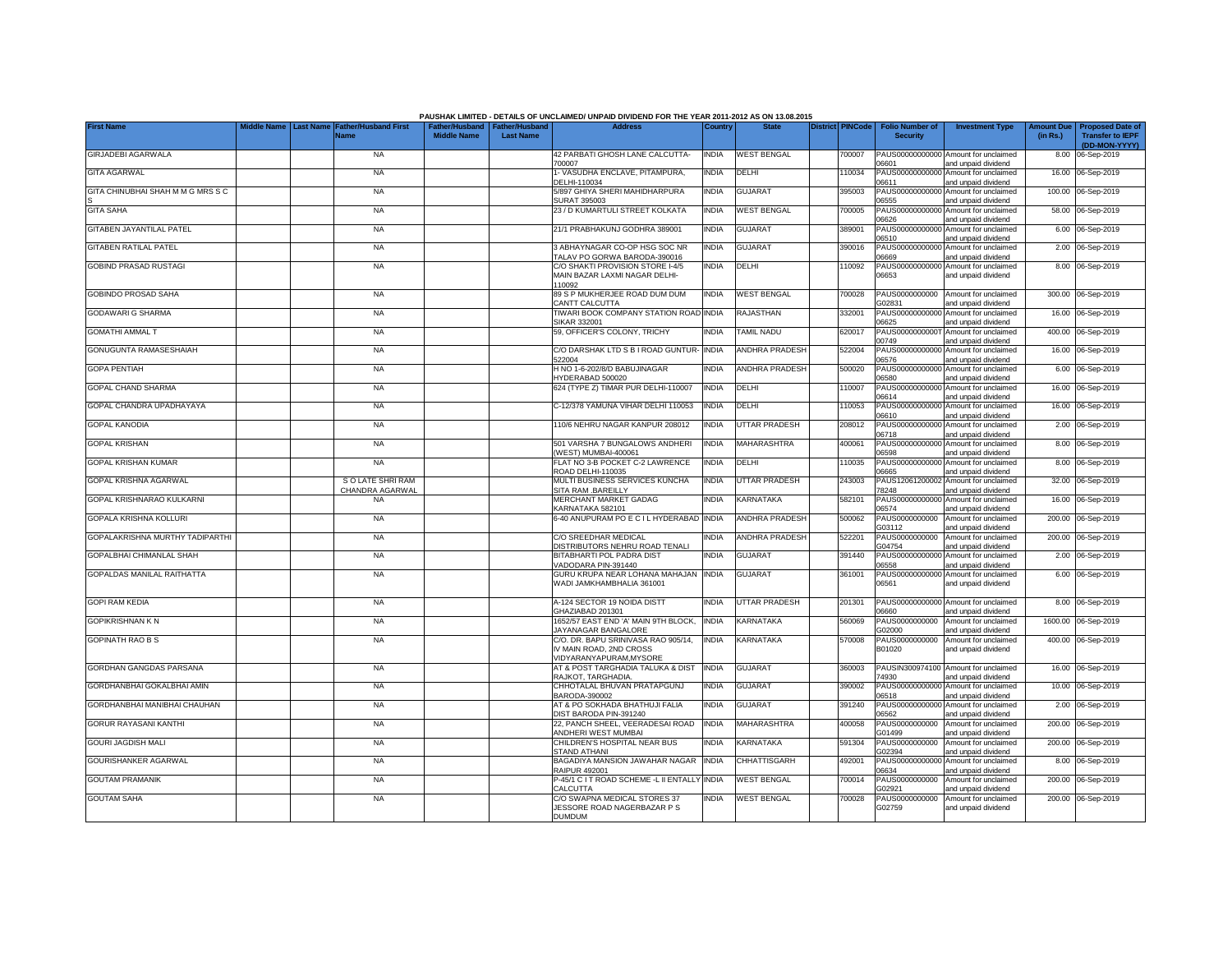|                                   |                                        |                                            |                                                       |                  | PAUSHAK LIMITED - DETAILS OF UNCLAIMED/ UNPAID DIVIDEND FOR THE YEAR 2011-2012 AS ON 13.08.2015                        |                |                       |                         |                                           |                                                                    |                               |                                                    |
|-----------------------------------|----------------------------------------|--------------------------------------------|-------------------------------------------------------|------------------|------------------------------------------------------------------------------------------------------------------------|----------------|-----------------------|-------------------------|-------------------------------------------|--------------------------------------------------------------------|-------------------------------|----------------------------------------------------|
| <b>First Name</b>                 | <b>Aiddle Name</b><br><b>Last Name</b> | <b>Father/Husband First</b><br><b>Name</b> | Father/Husband   Father/Husband<br><b>Middle Name</b> | <b>Last Name</b> | <b>Address</b>                                                                                                         | <b>Country</b> | <b>State</b>          | <b>District PINCode</b> | <b>Folio Number of</b><br><b>Security</b> | <b>Investment Type</b>                                             | <b>Amount Due</b><br>(in Rs.) | <b>Proposed Date of</b><br><b>Transfer to IEPF</b> |
| <b>GIRJADEBI AGARWALA</b>         |                                        | <b>NA</b>                                  |                                                       |                  | 42 PARBATI GHOSH LANE CALCUTTA-<br>700007                                                                              | <b>INDIA</b>   | <b>WEST BENGAL</b>    | 700007                  | 06601                                     | PAUS00000000000 Amount for unclaimed                               | 8.00                          | (DD-MON-YYYY)<br>06-Sep-2019                       |
| <b>GITA AGARWAL</b>               |                                        | <b>NA</b>                                  |                                                       |                  | 1- VASUDHA ENCLAVE, PITAMPURA,<br>DELHI-110034                                                                         | <b>INDIA</b>   | DELHI                 | 110034                  | PAUS00000000000                           | and unpaid dividend<br>Amount for unclaimed                        |                               | 16.00 06-Sep-2019                                  |
| GITA CHINUBHAI SHAH M M G MRS S C |                                        | <b>NA</b>                                  |                                                       |                  | 5/897 GHIYA SHERI MAHIDHARPURA<br>SURAT 395003                                                                         | <b>INDIA</b>   | <b>GUJARAT</b>        | 395003                  | 06611<br>PAUS00000000000<br>06555         | and unpaid dividend<br>Amount for unclaimed                        |                               | 100.00 06-Sep-2019                                 |
| <b>GITA SAHA</b>                  |                                        | <b>NA</b>                                  |                                                       |                  | 23 / D KUMARTULI STREET KOLKATA                                                                                        | <b>INDIA</b>   | <b>WEST BENGAL</b>    | '00005                  | PAUS0000000000<br>06626                   | and unpaid dividend<br>Amount for unclaimed                        |                               | 58.00 06-Sep-2019                                  |
| GITABEN JAYANTILAL PATEL          |                                        | <b>NA</b>                                  |                                                       |                  | 21/1 PRABHAKUNJ GODHRA 389001                                                                                          | <b>INDIA</b>   | <b>GUJARAT</b>        | 389001                  | PAUS0000000000<br>06510                   | and unpaid dividend<br>Amount for unclaimed<br>and unpaid dividend |                               | 6.00 06-Sep-2019                                   |
| <b>GITABEN RATILAL PATEL</b>      |                                        | <b>NA</b>                                  |                                                       |                  | 3 ABHAYNAGAR CO-OP HSG SOC NR<br>TALAV PO GORWA BARODA-390016                                                          | <b>INDIA</b>   | <b>GUJARAT</b>        | 390016                  | PAUS0000000000<br>86660                   | Amount for unclaimed<br>and unpaid dividend                        |                               | 2.00 06-Sep-2019                                   |
| <b>GOBIND PRASAD RUSTAGI</b>      |                                        | <b>NA</b>                                  |                                                       |                  | C/O SHAKTI PROVISION STORE I-4/5<br>MAIN BAZAR LAXMI NAGAR DELHI-                                                      | <b>INDIA</b>   | DELHI                 | 10092                   | PAUS0000000000<br>06653                   | Amount for unclaimed<br>and unpaid dividend                        |                               | 8.00 06-Sep-2019                                   |
| <b>GOBINDO PROSAD SAHA</b>        |                                        | <b>NA</b>                                  |                                                       |                  | 110092<br>89 S P MUKHERJEE ROAD DUM DUM                                                                                | <b>INDIA</b>   | <b>WEST BENGAL</b>    | 700028                  | PAUS0000000000                            | Amount for unclaimed                                               |                               | 300.00 06-Sep-2019                                 |
| <b>GODAWARI G SHARMA</b>          |                                        | <b>NA</b>                                  |                                                       |                  | CANTT CALCUTTA<br>TIWARI BOOK COMPANY STATION ROAD INDIA                                                               |                | <b>RAJASTHAN</b>      | 32001                   | G02831<br>PAUS0000000000                  | and unpaid dividend<br>Amount for unclaimed                        |                               | 16.00 06-Sep-2019                                  |
| <b>GOMATHI AMMAL T</b>            |                                        | <b>NA</b>                                  |                                                       |                  | <b>SIKAR 332001</b><br>59, OFFICER'S COLONY, TRICHY                                                                    | <b>INDIA</b>   | <b>TAMIL NADU</b>     | 320017                  | 06625<br>PAUS0000000000                   | and unpaid dividend<br>Amount for unclaimed                        |                               | 400.00 06-Sep-2019                                 |
| <b>GONUGUNTA RAMASESHAIAH</b>     |                                        | <b>NA</b>                                  |                                                       |                  | C/O DARSHAK LTD S B I ROAD GUNTUR-                                                                                     | <b>INDIA</b>   | <b>ANDHRA PRADESH</b> | 522004                  | 0749<br>PAUS0000000000                    | and unpaid dividend<br>Amount for unclaimed                        |                               | 16.00 06-Sep-2019                                  |
| <b>GOPA PENTIAH</b>               |                                        | <b>NA</b>                                  |                                                       |                  | 522004<br>H NO 1-6-202/8/D BABUJINAGAR                                                                                 | <b>INDIA</b>   | <b>ANDHRA PRADESH</b> | 500020                  | 06576<br>PAUS00000000000                  | and unpaid dividend<br>Amount for unclaimed                        |                               | 6.00 06-Sep-2019                                   |
| <b>GOPAL CHAND SHARMA</b>         |                                        | <b>NA</b>                                  |                                                       |                  | HYDERABAD 500020<br>624 (TYPE Z) TIMAR PUR DELHI-110007                                                                | <b>INDIA</b>   | DELHI                 | 10007                   | 06580<br>PAUS00000000000                  | and unpaid dividend<br>Amount for unclaimed                        |                               | 16.00 06-Sep-2019                                  |
| GOPAL CHANDRA UPADHAYAYA          |                                        | <b>NA</b>                                  |                                                       |                  | C-12/378 YAMUNA VIHAR DELHI 110053                                                                                     | <b>INDIA</b>   | DELHI                 | 10053                   | 06614<br>PAUS00000000000                  | and unpaid dividend<br>Amount for unclaimed                        |                               | 16.00 06-Sep-2019                                  |
| <b>GOPAL KANODIA</b>              |                                        | NA                                         |                                                       |                  | 110/6 NEHRU NAGAR KANPUR 208012                                                                                        | <b>INDIA</b>   | <b>UTTAR PRADESH</b>  | 208012                  | 06610<br>PAUS00000000000                  | and unpaid dividend<br>Amount for unclaimed                        |                               | 2.00 06-Sep-2019                                   |
| <b>GOPAL KRISHAN</b>              |                                        | <b>NA</b>                                  |                                                       |                  | 501 VARSHA 7 BUNGALOWS ANDHERI<br>WEST) MUMBAI-400061                                                                  | <b>INDIA</b>   | <b>MAHARASHTRA</b>    | 400061                  | 06718<br>06598                            | and unpaid dividend<br>PAUS00000000000 Amount for unclaimed        |                               | 8.00 06-Sep-2019                                   |
| <b>GOPAL KRISHAN KUMAR</b>        |                                        | <b>NA</b>                                  |                                                       |                  | FLAT NO 3-B POCKET C-2 LAWRENCE<br>ROAD DELHI-110035                                                                   | <b>INDIA</b>   | <b>DELHI</b>          | 110035                  | PAUS0000000000<br>06665                   | and unpaid dividend<br>Amount for unclaimed                        |                               | 8.00 06-Sep-2019                                   |
| GOPAL KRISHNA AGARWAL             |                                        | S O LATE SHRI RAM<br>CHANDRA AGARWAL       |                                                       |                  | MULTI BUSINESS SERVICES KUNCHA<br>SITA RAM .BAREILLY                                                                   | <b>INDIA</b>   | <b>UTTAR PRADESH</b>  | 243003                  | PAUS1206120000<br>78248                   | and unpaid dividend<br>Amount for unclaimed<br>and unpaid dividend |                               | 32.00 06-Sep-2019                                  |
| GOPAL KRISHNARAO KULKARNI         |                                        | <b>NA</b>                                  |                                                       |                  | <b>MERCHANT MARKET GADAG</b><br>KARNATAKA 582101                                                                       | <b>INDIA</b>   | <b>KARNATAKA</b>      | 582101                  | PAUS0000000000<br>06574                   | Amount for unclaimed<br>and unpaid dividend                        | 16.00                         | 06-Sep-2019                                        |
| <b>GOPALA KRISHNA KOLLURI</b>     |                                        | <b>NA</b>                                  |                                                       |                  | 6-40 ANUPURAM PO E C I L HYDERABAD                                                                                     | <b>INDIA</b>   | <b>ANDHRA PRADESH</b> | 500062                  | PAUS0000000000<br>G03112                  | Amount for unclaimed<br>and unpaid dividend                        | 200.00                        | 06-Sep-2019                                        |
| GOPALAKRISHNA MURTHY TADIPARTHI   |                                        | <b>NA</b>                                  |                                                       |                  | C/O SREEDHAR MEDICAL<br>DISTRIBUTORS NEHRU ROAD TENALI                                                                 | <b>INDIA</b>   | <b>ANDHRA PRADESH</b> | 522201                  | PAUS0000000000<br>G04754                  | Amount for unclaimed<br>and unpaid dividend                        | 200.00                        | 06-Sep-2019                                        |
| GOPALBHAI CHIMANLAL SHAH          |                                        | <b>NA</b>                                  |                                                       |                  | <b>BITABHARTI POL PADRA DIST</b><br>VADODARA PIN-391440                                                                | <b>INDIA</b>   | <b>GUJARAT</b>        | 391440                  | PAUS0000000000<br>06558                   | Amount for unclaimed<br>and unpaid dividend                        | 2.00                          | 06-Sep-2019                                        |
| <b>GOPALDAS MANILAL RAITHATTA</b> |                                        | <b>NA</b>                                  |                                                       |                  | GURU KRUPA NEAR LOHANA MAHAJAN<br>WADI JAMKHAMBHALIA 361001                                                            | <b>INDIA</b>   | <b>GUJARAT</b>        | 361001                  | PAUS00000000000<br>06561                  | Amount for unclaimed<br>and unpaid dividend                        |                               | 6.00 06-Sep-2019                                   |
| <b>GOPI RAM KEDIA</b>             |                                        | <b>NA</b>                                  |                                                       |                  | A-124 SECTOR 19 NOIDA DISTT                                                                                            | <b>INDIA</b>   | <b>UTTAR PRADESH</b>  | 201301                  |                                           | PAUS00000000000 Amount for unclaimed                               |                               | 8.00 06-Sep-2019                                   |
| <b>GOPIKRISHNAN K N</b>           |                                        | <b>NA</b>                                  |                                                       |                  | GHAZIABAD 201301<br>1652/57 EAST END 'A' MAIN 9TH BLOCK,                                                               | <b>INDIA</b>   | <b>KARNATAKA</b>      | 560069                  | 06660<br>PAUS0000000000                   | and unpaid dividend<br>Amount for unclaimed                        |                               | 1600.00 06-Sep-2019                                |
| <b>GOPINATH RAO B S</b>           |                                        | <b>NA</b>                                  |                                                       |                  | JAYANAGAR BANGALORE<br>C/O. DR. BAPU SRINIVASA RAO 905/14,<br>IV MAIN ROAD, 2ND CROSS<br><b>VIDYARANYAPURAM.MYSORE</b> | <b>INDIA</b>   | <b>KARNATAKA</b>      | 570008                  | G02000<br>PAUS0000000000<br>B01020        | and unpaid dividend<br>Amount for unclaimed<br>and unpaid dividend |                               | 400.00 06-Sep-2019                                 |
| GORDHAN GANGDAS PARSANA           |                                        | <b>NA</b>                                  |                                                       |                  | AT & POST TARGHADIA TALUKA & DIST                                                                                      | <b>INDIA</b>   | <b>GUJARAT</b>        | 360003                  |                                           | PAUSIN300974100 Amount for unclaimed                               |                               | 16.00 06-Sep-2019                                  |
| GORDHANBHAI GOKALBHAI AMIN        |                                        | <b>NA</b>                                  |                                                       |                  | RAJKOT, TARGHADIA<br>CHHOTALAL BHUVAN PRATAPGUNJ<br>BARODA-390002                                                      | <b>INDIA</b>   | GUJARAT               | 390002                  | 74930<br>PAUS00000000000<br>06518         | and unpaid dividend<br>Amount for unclaimed                        |                               | 10.00 06-Sep-2019                                  |
| GORDHANBHAI MANIBHAI CHAUHAN      |                                        | <b>NA</b>                                  |                                                       |                  | AT & PO SOKHADA BHATHUJI FALIA<br>DIST BARODA PIN-391240                                                               | <b>INDIA</b>   | GUJARAT               | 391240                  | PAUS00000000000<br>06562                  | and unpaid dividend<br>Amount for unclaimed                        |                               | 2.00 06-Sep-2019                                   |
| <b>GORUR RAYASANI KANTHI</b>      |                                        | <b>NA</b>                                  |                                                       |                  | 22, PANCH SHEEL, VEERADESAI ROAD<br>ANDHERI WEST MUMBAI                                                                | <b>INDIA</b>   | MAHARASHTRA           | 400058                  | PAUS0000000000<br>G01499                  | and unpaid dividend<br>Amount for unclaimed<br>and unpaid dividend |                               | 200.00 06-Sep-2019                                 |
| <b>GOURI JAGDISH MALI</b>         |                                        | <b>NA</b>                                  |                                                       |                  | CHILDREN'S HOSPITAL NEAR BUS<br><b>STAND ATHANI</b>                                                                    | <b>INDIA</b>   | KARNATAKA             | 591304                  | PAUS0000000000<br>G02394                  | Amount for unclaimed<br>and unpaid dividend                        |                               | 200.00 06-Sep-2019                                 |
| GOURISHANKER AGARWAL              |                                        | <b>NA</b>                                  |                                                       |                  | BAGADIYA MANSION JAWAHAR NAGAR<br><b>RAIPUR 492001</b>                                                                 | <b>INDIA</b>   | CHHATTISGARH          | 492001                  | 06634                                     | PAUS00000000000 Amount for unclaimed<br>and unpaid dividend        |                               | 8.00 06-Sep-2019                                   |
| <b>GOUTAM PRAMANIK</b>            |                                        | NA                                         |                                                       |                  | P-45/1 C I T ROAD SCHEME -L II ENTALLY INDIA<br>CALCUTTA                                                               |                | <b>WEST BENGAL</b>    | 700014                  | PAUS0000000000<br>G02921                  | Amount for unclaimed<br>and unpaid dividend                        |                               | 200.00 06-Sep-2019                                 |
| <b>GOUTAM SAHA</b>                |                                        | <b>NA</b>                                  |                                                       |                  | C/O SWAPNA MEDICAL STORES 37<br>JESSORE ROAD NAGERBAZAR P S<br><b>DUMDUM</b>                                           | <b>INDIA</b>   | <b>WEST BENGAL</b>    | 700028                  | PAUS0000000000<br>G02759                  | Amount for unclaimed<br>and unpaid dividend                        |                               | 200.00 06-Sep-2019                                 |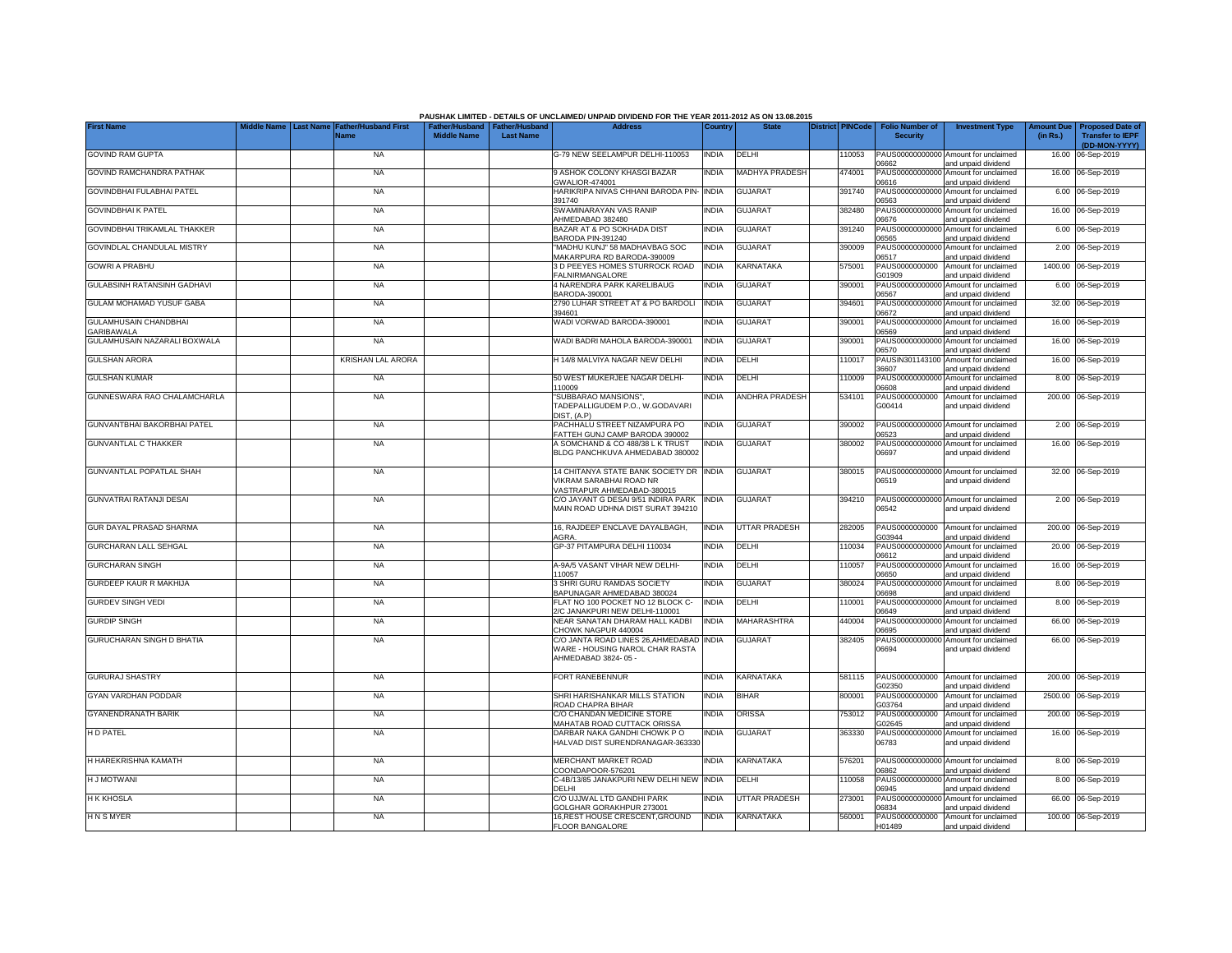| PAUSHAK LIMITED - DETAILS OF UNCLAIMED/ UNPAID DIVIDEND FOR THE YEAR 2011-2012 AS ON 13.08.2015 |             |                  |                             |                                             |                                           |                                                                                                          |              |                       |  |                         |                                           |                                                                    |                               |                                                                     |
|-------------------------------------------------------------------------------------------------|-------------|------------------|-----------------------------|---------------------------------------------|-------------------------------------------|----------------------------------------------------------------------------------------------------------|--------------|-----------------------|--|-------------------------|-------------------------------------------|--------------------------------------------------------------------|-------------------------------|---------------------------------------------------------------------|
| <b>First Name</b>                                                                               | Middle Name | <b>Last Name</b> | <b>Father/Husband First</b> | <b>Father/Husband</b><br><b>Middle Name</b> | <b>Father/Husband</b><br><b>Last Name</b> | <b>Address</b>                                                                                           | Country      | <b>State</b>          |  | <b>District PINCode</b> | <b>Folio Number of</b><br><b>Security</b> | <b>Investment Type</b>                                             | <b>Amount Due</b><br>(in Rs.) | <b>Proposed Date of</b><br><b>Transfer to IEPF</b><br>(DD-MON-YYYY) |
| <b>GOVIND RAM GUPTA</b>                                                                         |             |                  | <b>NA</b>                   |                                             |                                           | G-79 NEW SEELAMPUR DELHI-110053                                                                          | <b>INDIA</b> | DELHI                 |  | 110053                  |                                           | PAUS00000000000 Amount for unclaimed                               | 16.00                         | 06-Sep-2019                                                         |
| <b>GOVIND RAMCHANDRA PATHAK</b>                                                                 |             |                  | <b>NA</b>                   |                                             |                                           | 9 ASHOK COLONY KHASGI BAZAR<br><b>GWALIOR-474001</b>                                                     | INDIA        | <b>MADHYA PRADESH</b> |  | 474001                  | 06662<br>PAUS0000000000<br>06616          | and unpaid dividend<br>Amount for unclaimed<br>and unpaid dividend | 16.00                         | 06-Sep-2019                                                         |
| GOVINDBHAI FULABHAI PATEL                                                                       |             |                  | <b>NA</b>                   |                                             |                                           | HARIKRIPA NIVAS CHHANI BARODA PIN-                                                                       | <b>INDIA</b> | <b>GUJARAT</b>        |  | 391740                  | PAUS0000000000                            | Amount for unclaimed                                               | 6.00                          | 06-Sep-2019                                                         |
| <b>GOVINDBHAIK PATEL</b>                                                                        |             |                  | <b>NA</b>                   |                                             |                                           | 391740<br>SWAMINARAYAN VAS RANIP<br>AHMEDABAD 382480                                                     | INDIA        | <b>GUJARAT</b>        |  | 382480                  | 06563<br>PAUS0000000000<br>06676          | and unpaid dividend<br>Amount for unclaimed<br>and unpaid dividend | 16.00                         | 06-Sep-2019                                                         |
| GOVINDBHAI TRIKAMLAL THAKKER                                                                    |             |                  | <b>NA</b>                   |                                             |                                           | BAZAR AT & PO SOKHADA DIST                                                                               | INDIA        | <b>GUJARAT</b>        |  | 391240                  | PAUS0000000000                            | Amount for unclaimed                                               | 6.00                          | 06-Sep-2019                                                         |
| GOVINDLAL CHANDULAL MISTRY                                                                      |             |                  | <b>NA</b>                   |                                             |                                           | BARODA PIN-391240<br>"MADHU KUNJ" 58 MADHAVBAG SOC                                                       | INDIA        | <b>GUJARAT</b>        |  | 390009                  | 06565<br>PAUS00000000000                  | and unpaid dividend<br>Amount for unclaimed                        | 2.00                          | 06-Sep-2019                                                         |
| <b>GOWRI A PRABHU</b>                                                                           |             |                  | <b>NA</b>                   |                                             |                                           | MAKARPURA RD BARODA-390009<br>3 D PEEYES HOMES STURROCK ROAD                                             | <b>INDIA</b> | KARNATAKA             |  | 575001                  | 06517<br>PAUS0000000000                   | and unpaid dividend<br>Amount for unclaimed                        | 1400.00                       | 06-Sep-2019                                                         |
| GULABSINH RATANSINH GADHAVI                                                                     |             |                  | <b>NA</b>                   |                                             |                                           | <b>FALNIRMANGALORE</b><br>4 NARENDRA PARK KARELIBAUG                                                     | NDIA         | <b>GUJARAT</b>        |  | 390001                  | G01909                                    | and unpaid dividend<br>PAUS00000000000 Amount for unclaimed        |                               | 6.00 06-Sep-2019                                                    |
| <b>GULAM MOHAMAD YUSUF GABA</b>                                                                 |             |                  | <b>NA</b>                   |                                             |                                           | BARODA-390001<br>2790 LUHAR STREET AT & PO BARDOLI<br>394601                                             | <b>INDIA</b> | <b>GUJARAT</b>        |  | 394601                  | 06567<br>PAUS00000000000<br>06672         | and unpaid dividend<br>Amount for unclaimed                        |                               | 32.00 06-Sep-2019                                                   |
| GULAMHUSAIN CHANDBHAI<br><b>SARIBAWALA</b>                                                      |             |                  | <b>NA</b>                   |                                             |                                           | WADI VORWAD BARODA-390001                                                                                | <b>INDIA</b> | <b>GUJARAT</b>        |  | 390001                  | PAUS0000000000<br>06569                   | and unpaid dividend<br>Amount for unclaimed<br>and unpaid dividend |                               | 16.00 06-Sep-2019                                                   |
| GULAMHUSAIN NAZARALI BOXWALA                                                                    |             |                  | <b>NA</b>                   |                                             |                                           | WADI BADRI MAHOLA BARODA-390001                                                                          | <b>INDIA</b> | <b>GUJARAT</b>        |  | 390001                  | PAUS00000000000                           | Amount for unclaimed                                               |                               | 16.00 06-Sep-2019                                                   |
| <b>GULSHAN ARORA</b>                                                                            |             |                  | <b>KRISHAN LAL ARORA</b>    |                                             |                                           | H 14/8 MALVIYA NAGAR NEW DELHI                                                                           | <b>INDIA</b> | DELHI                 |  | 110017                  | 06570<br>PAUSIN301143100                  | and unpaid dividend<br>Amount for unclaimed                        |                               | 16.00 06-Sep-2019                                                   |
| <b>GULSHAN KUMAR</b>                                                                            |             |                  | <b>NA</b>                   |                                             |                                           | 50 WEST MUKERJEE NAGAR DELHI-                                                                            | INDIA        | DELHI                 |  | 110009                  | 6607<br>PAUS0000000000                    | and unpaid dividend<br>Amount for unclaimed                        | 8.00                          | 06-Sep-2019                                                         |
| GUNNESWARA RAO CHALAMCHARLA                                                                     |             |                  | <b>NA</b>                   |                                             |                                           | 110009<br>'SUBBARAO MANSIONS",<br>TADEPALLIGUDEM P.O., W.GODAVARI                                        | INDIA        | <b>ANDHRA PRADESH</b> |  | 534101                  | 8080<br>PAUS0000000000<br>G00414          | and unpaid dividend<br>Amount for unclaimed<br>and unpaid dividend |                               | 200.00 06-Sep-2019                                                  |
| GUNVANTBHAI BAKORBHAI PATEL                                                                     |             |                  | <b>NA</b>                   |                                             |                                           | DIST, (A.P)<br>PACHHALU STREET NIZAMPURA PO<br>FATTEH GUNJ CAMP BARODA 390002                            | INDIA        | <b>GUJARAT</b>        |  | 390002                  | 06523                                     | PAUS00000000000 Amount for unclaimed<br>and unpaid dividend        |                               | 2.00 06-Sep-2019                                                    |
| <b>GUNVANTLAL C THAKKER</b>                                                                     |             |                  | <b>NA</b>                   |                                             |                                           | A SOMCHAND & CO 488/38 L K TRUST<br>BLDG PANCHKUVA AHMEDABAD 380002                                      | INDIA        | <b>GUJARAT</b>        |  | 380002                  | PAUS0000000000<br>06697                   | Amount for unclaimed<br>and unpaid dividend                        |                               | 16.00 06-Sep-2019                                                   |
| <b>GUNVANTLAL POPATLAL SHAH</b>                                                                 |             |                  | <b>NA</b>                   |                                             |                                           | 14 CHITANYA STATE BANK SOCIETY DR INDIA<br>VIKRAM SARABHAI ROAD NR<br>VASTRAPUR AHMEDABAD-380015         |              | <b>GUJARAT</b>        |  | 380015                  | 06519                                     | PAUS00000000000 Amount for unclaimed<br>and unpaid dividend        |                               | 32.00 06-Sep-2019                                                   |
| <b>GUNVATRAI RATANJI DESAI</b>                                                                  |             |                  | <b>NA</b>                   |                                             |                                           | C/O JAYANT G DESAI 9/51 INDIRA PARK<br>MAIN ROAD UDHNA DIST SURAT 394210                                 | <b>INDIA</b> | <b>GUJARA1</b>        |  | 394210                  | 06542                                     | PAUS00000000000 Amount for unclaimed<br>and unpaid dividend        |                               | 2.00 06-Sep-2019                                                    |
| GUR DAYAL PRASAD SHARMA                                                                         |             |                  | <b>NA</b>                   |                                             |                                           | 16, RAJDEEP ENCLAVE DAYALBAGH,<br>AGRA                                                                   | <b>INDIA</b> | <b>UTTAR PRADESH</b>  |  | 282005                  | PAUS0000000000<br>G03944                  | Amount for unclaimed<br>and unpaid dividend                        |                               | 200.00 06-Sep-2019                                                  |
| GURCHARAN LALL SEHGAL                                                                           |             |                  | <b>NA</b>                   |                                             |                                           | GP-37 PITAMPURA DELHI 110034                                                                             | INDIA        | DELHI                 |  | 110034                  | 06612                                     | PAUS00000000000 Amount for unclaimed<br>and unpaid dividend        |                               | 20.00 06-Sep-2019                                                   |
| <b>GURCHARAN SINGH</b>                                                                          |             |                  | <b>NA</b>                   |                                             |                                           | A-9A/5 VASANT VIHAR NEW DELHI-<br>110057                                                                 | INDIA        | DELHI                 |  | 110057                  | 06650                                     | PAUS00000000000 Amount for unclaimed<br>and unpaid dividend        |                               | 16.00 06-Sep-2019                                                   |
| <b>GURDEEP KAUR R MAKHIJA</b>                                                                   |             |                  | <b>NA</b>                   |                                             |                                           | 3 SHRI GURU RAMDAS SOCIETY<br>BAPUNAGAR AHMEDABAD 380024                                                 | INDIA        | <b>GUJARAT</b>        |  | 380024                  | PAUS0000000000<br>88880                   | Amount for unclaimed<br>and unpaid dividend                        |                               | 8.00 06-Sep-2019                                                    |
| <b>GURDEV SINGH VEDI</b>                                                                        |             |                  | <b>NA</b>                   |                                             |                                           | FLAT NO 100 POCKET NO 12 BLOCK C-                                                                        | <b>INDIA</b> | DELHI                 |  | 110001                  | PAUS0000000000                            | Amount for unclaimed                                               |                               | 8.00 06-Sep-2019                                                    |
| <b>GURDIP SINGH</b>                                                                             |             |                  | <b>NA</b>                   |                                             |                                           | 2/C JANAKPURI NEW DELHI-110001<br>NEAR SANATAN DHARAM HALL KADBI<br>CHOWK NAGPUR 440004                  | <b>INDIA</b> | <b>MAHARASHTRA</b>    |  | 440004                  | 06649<br>PAUS00000000000<br>06695         | and unpaid dividend<br>Amount for unclaimed                        |                               | 66.00 06-Sep-2019                                                   |
| GURUCHARAN SINGH D BHATIA                                                                       |             |                  | <b>NA</b>                   |                                             |                                           | C/O JANTA ROAD LINES 26, AHMEDABAD<br><b><i>NARE - HOUSING NAROL CHAR RASTA</i></b><br>AHMEDABAD 3824-05 | <b>INDIA</b> | <b>GUJARA1</b>        |  | 382405                  | PAUS00000000000<br>06694                  | and unpaid dividend<br>Amount for unclaimed<br>and unpaid dividend |                               | 66.00 06-Sep-2019                                                   |
| <b>GURURAJ SHASTRY</b>                                                                          |             |                  | <b>NA</b>                   |                                             |                                           | FORT RANEBENNUR                                                                                          | INDIA        | <b>KARNATAKA</b>      |  | 581115                  | PAUS0000000000<br>G02350                  | Amount for unclaimed<br>and unpaid dividend                        |                               | 200.00 06-Sep-2019                                                  |
| GYAN VARDHAN PODDAR                                                                             |             |                  | <b>NA</b>                   |                                             |                                           | SHRI HARISHANKAR MILLS STATION<br>ROAD CHAPRA BIHAR                                                      | INDIA        | <b>BIHAR</b>          |  | 800001                  | PAUS0000000000<br>G03764                  | Amount for unclaimed<br>and unpaid dividend                        |                               | 2500.00 06-Sep-2019                                                 |
| <b>GYANENDRANATH BARIK</b>                                                                      |             |                  | <b>NA</b>                   |                                             |                                           | C/O CHANDAN MEDICINE STORE<br>MAHATAB ROAD CUTTACK ORISSA                                                | INDIA        | ORISSA                |  | 753012                  | PAUS0000000000<br>G02645                  | Amount for unclaimed<br>and unpaid dividend                        |                               | 200.00 06-Sep-2019                                                  |
| <b>HD PATEL</b>                                                                                 |             |                  | <b>NA</b>                   |                                             |                                           | DARBAR NAKA GANDHI CHOWK PO<br>HALVAD DIST SURENDRANAGAR-363330                                          | <b>INDIA</b> | <b>GUJARAT</b>        |  | 363330                  | PAUS0000000000<br>06783                   | Amount for unclaimed<br>and unpaid dividend                        |                               | 16.00 06-Sep-2019                                                   |
| H HAREKRISHNA KAMATH                                                                            |             |                  | <b>NA</b>                   |                                             |                                           | MERCHANT MARKET ROAD<br>COONDAPOOR-576201                                                                | INDIA        | KARNATAKA             |  | 576201                  | 06862                                     | PAUS00000000000 Amount for unclaimed<br>and unpaid dividend        |                               | 8.00 06-Sep-2019                                                    |
| <b>H J MOTWANI</b>                                                                              |             |                  | <b>NA</b>                   |                                             |                                           | C-4B/13/85 JANAKPURI NEW DELHI NEW<br>DELHI                                                              | <b>INDIA</b> | DELHI                 |  | 110058                  | PAUS00000000000<br>06945                  | Amount for unclaimed<br>and unpaid dividend                        | 8.00                          | 06-Sep-2019                                                         |
| <b>H K KHOSLA</b>                                                                               |             |                  | <b>NA</b>                   |                                             |                                           | C/O UJJWAL LTD GANDHI PARK<br>GOLGHAR GORAKHPUR 273001                                                   | INDIA        | UTTAR PRADESH         |  | 273001                  | PAUS00000000000<br>06834                  | Amount for unclaimed<br>and unpaid dividend                        | 66.00                         | 06-Sep-2019                                                         |
| <b>HNSMYER</b>                                                                                  |             |                  | <b>NA</b>                   |                                             |                                           | 16, REST HOUSE CRESCENT, GROUND<br>FLOOR BANGALORE                                                       | <b>INDIA</b> | KARNATAKA             |  | 560001                  | PAUS0000000000<br>H01489                  | Amount for unclaimed<br>and unpaid dividend                        |                               | 100.00 06-Sep-2019                                                  |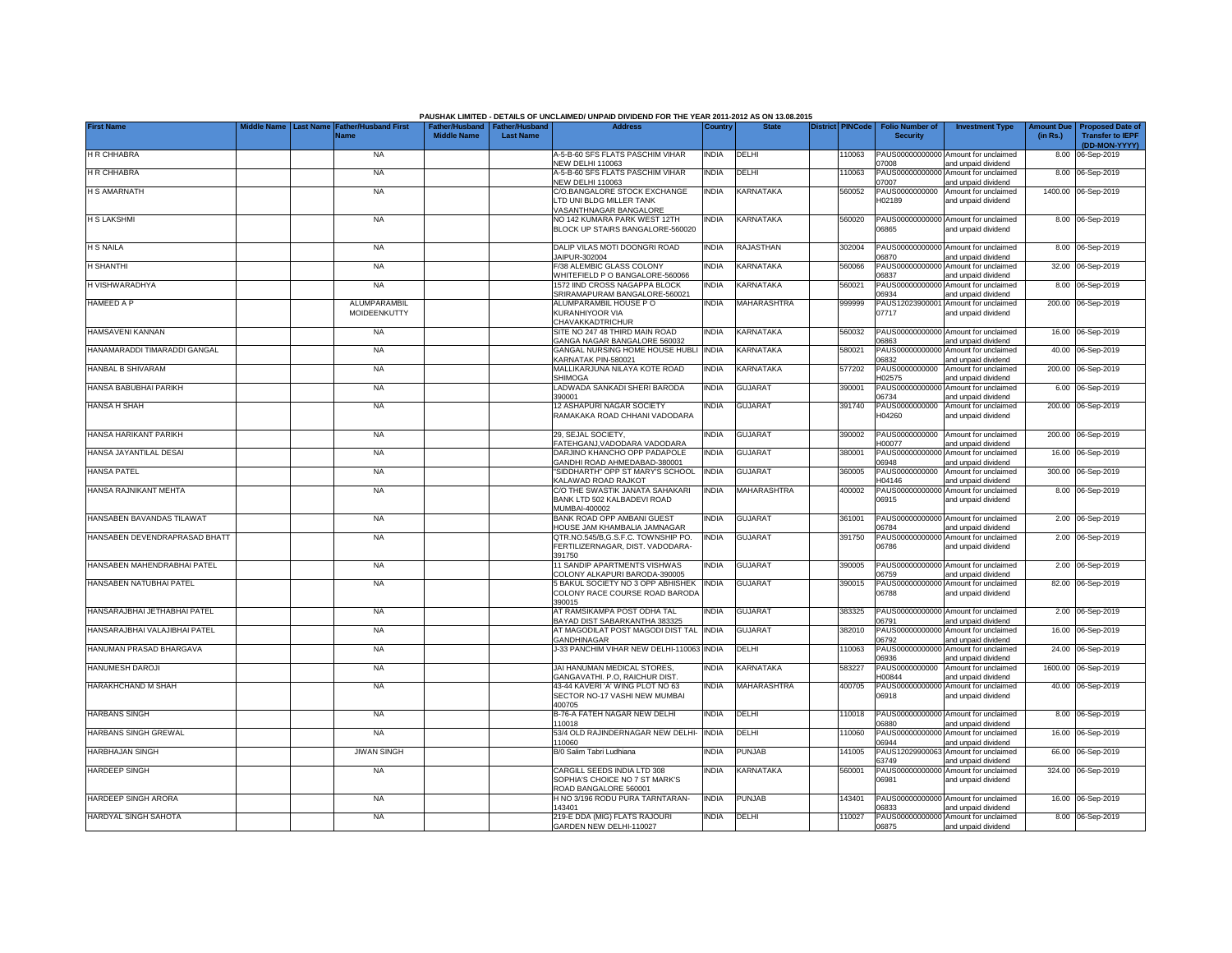|                               | <b>Last Name</b> |                              |                    |                                                     | PAUSHAK LIMITED - DETAILS OF UNCLAIMED/ UNPAID DIVIDEND FOR THE YEAR 2011-2012 AS ON 13.08.2015<br><b>Address</b> |              | <b>State</b>       | <b>District PINCode</b> | Folio Number o'                   |                                                                    |                               |                                            |
|-------------------------------|------------------|------------------------------|--------------------|-----------------------------------------------------|-------------------------------------------------------------------------------------------------------------------|--------------|--------------------|-------------------------|-----------------------------------|--------------------------------------------------------------------|-------------------------------|--------------------------------------------|
| <b>First Name</b>             |                  | Father/Husband First<br>Vame | <b>Middle Name</b> | Father/Husband   Father/Husband<br><b>Last Name</b> |                                                                                                                   | Country      |                    |                         | <b>Security</b>                   | <b>Investment Type</b>                                             | <b>Amount Due</b><br>(in Rs.) | Proposed Date o<br><b>Transfer to IEPF</b> |
| <b>H R CHHABRA</b>            |                  | <b>NA</b>                    |                    |                                                     | A-5-B-60 SFS FLATS PASCHIM VIHAR                                                                                  | <b>INDIA</b> | DELHI              | 110063                  |                                   | PAUS00000000000 Amount for unclaimed                               |                               | (DD-MON-YYYY)<br>8.00 06-Sep-2019          |
| <b>H R CHHABRA</b>            |                  | <b>NA</b>                    |                    |                                                     | NEW DELHI 110063<br>A-5-B-60 SFS FLATS PASCHIM VIHAR<br><b>NEW DELHI 110063</b>                                   | <b>INDIA</b> | DELHI              | 110063                  | 07008<br>PAUS00000000000<br>07007 | and unpaid dividend<br>Amount for unclaimed<br>and unpaid dividend |                               | 8.00 06-Sep-2019                           |
| <b>H S AMARNATH</b>           |                  | <b>NA</b>                    |                    |                                                     | C/O.BANGALORE STOCK EXCHANGE<br>LTD UNI BLDG MILLER TANK                                                          | <b>INDIA</b> | KARNATAKA          | 560052                  | PAUS0000000000<br>H02189          | Amount for unclaimed<br>and unpaid dividend                        |                               | 1400.00 06-Sep-2019                        |
| <b>H S LAKSHMI</b>            |                  | <b>NA</b>                    |                    |                                                     | VASANTHNAGAR BANGALORE<br>NO 142 KUMARA PARK WEST 12TH<br>BLOCK UP STAIRS BANGALORE-560020                        | India        | KARNATAKA          | 560020                  | PAUS00000000000<br>06865          | Amount for unclaimed<br>and unpaid dividend                        |                               | 8.00 06-Sep-2019                           |
| <b>H S NAILA</b>              |                  | <b>NA</b>                    |                    |                                                     | DALIP VILAS MOTI DOONGRI ROAD                                                                                     | <b>INDIA</b> | <b>RAJASTHAN</b>   | 302004                  | PAUS00000000000                   | Amount for unclaimed                                               |                               | 8.00 06-Sep-2019                           |
| H SHANTHI                     |                  | <b>NA</b>                    |                    |                                                     | JAIPUR-302004<br>F/38 ALEMBIC GLASS COLONY                                                                        | <b>NDIA</b>  | KARNATAKA          | 560066                  | 06870<br>PAUS0000000000           | and unpaid dividend<br>Amount for unclaimed                        |                               | 32.00 06-Sep-2019                          |
| H VISHWARADHYA                |                  | <b>NA</b>                    |                    |                                                     | WHITEFIELD P O BANGALORE-560066<br>1572 IIND CROSS NAGAPPA BLOCK                                                  | INDIA        | KARNATAKA          | 560021                  | 06837<br>PAUS0000000000           | and unpaid dividend<br>Amount for unclaimed                        |                               | 8.00 06-Sep-2019                           |
| HAMEED A P                    |                  | ALUMPARAMBIL<br>MOIDEENKUTTY |                    |                                                     | SRIRAMAPURAM BANGALORE-560021<br>ALUMPARAMBIL HOUSE PO<br>KURANHIYOOR VIA                                         | INDIA        | MAHARASHTRA        | 999999                  | 06934<br>PAUS1202390000<br>07717  | and unpaid dividend<br>Amount for unclaimed<br>and unpaid dividend |                               | 200.00 06-Sep-2019                         |
| HAMSAVENI KANNAN              |                  | <b>NA</b>                    |                    |                                                     | CHAVAKKADTRICHUR<br>SITE NO 247 48 THIRD MAIN ROAD                                                                | <b>INDIA</b> | KARNATAKA          | 560032                  | PAUS00000000000                   | Amount for unclaimed                                               |                               | 16.00 06-Sep-2019                          |
| HANAMARADDI TIMARADDI GANGAL  |                  | <b>NA</b>                    |                    |                                                     | GANGA NAGAR BANGALORE 560032<br>GANGAL NURSING HOME HOUSE HUBLI<br>KARNATAK PIN-580021                            | <b>INDIA</b> | KARNATAKA          | 580021                  | 06863<br>PAUS0000000000<br>06832  | and unpaid dividend<br>Amount for unclaimed                        |                               | 40.00 06-Sep-2019                          |
| HANBAL B SHIVARAM             |                  | <b>NA</b>                    |                    |                                                     | MALLIKARJUNA NILAYA KOTE ROAD<br><b>SHIMOGA</b>                                                                   | India        | <b>KARNATAKA</b>   | 577202                  | PAUS0000000000<br>H02575          | and unpaid dividend<br>Amount for unclaimed<br>and unpaid dividend | 200.00                        | 06-Sep-2019                                |
| HANSA BABUBHAI PARIKH         |                  | <b>NA</b>                    |                    |                                                     | LADWADA SANKADI SHERI BARODA<br>390001                                                                            | <b>NDIA</b>  | <b>GUJARAT</b>     | 390001                  | PAUS0000000000<br>06734           | Amount for unclaimed<br>and unpaid dividend                        |                               | 6.00 06-Sep-2019                           |
| HANSA H SHAH                  |                  | <b>NA</b>                    |                    |                                                     | 12 ASHAPURI NAGAR SOCIETY<br>RAMAKAKA ROAD CHHANI VADODARA                                                        | India        | <b>GUJARAT</b>     | 391740                  | PAUS0000000000<br>H04260          | Amount for unclaimed<br>and unpaid dividend                        |                               | 200.00 06-Sep-2019                         |
| HANSA HARIKANT PARIKH         |                  | <b>NA</b>                    |                    |                                                     | 29, SEJAL SOCIETY,<br>FATEHGANJ, VADODARA VADODARA                                                                | India        | <b>GUJARAT</b>     | 390002                  | PAUS0000000000<br>H00077          | Amount for unclaimed<br>and unpaid dividend                        |                               | 200.00 06-Sep-2019                         |
| HANSA JAYANTILAL DESAI        |                  | <b>NA</b>                    |                    |                                                     | DARJINO KHANCHO OPP PADAPOLE<br>GANDHI ROAD AHMEDABAD-380001                                                      | India        | <b>GUJARAT</b>     | 380001                  | PAUS00000000000<br>06948          | Amount for unclaimed<br>and unpaid dividend                        |                               | 16.00 06-Sep-2019                          |
| HANSA PATEL                   |                  | <b>NA</b>                    |                    |                                                     | "SIDDHARTH" OPP ST MARY'S SCHOOL<br>KALAWAD ROAD RAJKOT                                                           | <b>INDIA</b> | <b>GUJARAT</b>     | 360005                  | PAUS0000000000<br>H04146          | Amount for unclaimed<br>and unpaid dividend                        |                               | 300.00 06-Sep-2019                         |
| HANSA RAJNIKANT MEHTA         |                  | <b>NA</b>                    |                    |                                                     | C/O THE SWASTIK JANATA SAHAKARI<br>BANK LTD 502 KALBADEVI ROAD<br>MUMBAI-400002                                   | <b>INDIA</b> | <b>MAHARASHTRA</b> | 400002                  | PAUS00000000000<br>06915          | Amount for unclaimed<br>and unpaid dividend                        |                               | 8.00 06-Sep-2019                           |
| HANSABEN BAVANDAS TILAWAT     |                  | <b>NA</b>                    |                    |                                                     | BANK ROAD OPP AMBANI GUEST<br>HOUSE JAM KHAMBALIA JAMNAGAR                                                        | <b>INDIA</b> | <b>GUJARAT</b>     | 361001                  | 06784                             | PAUS00000000000 Amount for unclaimed<br>and unpaid dividend        |                               | 2.00 06-Sep-2019                           |
| HANSABEN DEVENDRAPRASAD BHATT |                  | <b>NA</b>                    |                    |                                                     | QTR.NO.545/B,G.S.F.C. TOWNSHIP PO.<br>FERTILIZERNAGAR, DIST. VADODARA-<br>391750                                  | <b>INDIA</b> | <b>GUJARAT</b>     | 391750                  | PAUS00000000000<br>06786          | Amount for unclaimed<br>and unpaid dividend                        |                               | 2.00 06-Sep-2019                           |
| HANSABEN MAHENDRABHAI PATEL   |                  | <b>NA</b>                    |                    |                                                     | 11 SANDIP APARTMENTS VISHWAS<br>COLONY ALKAPURI BARODA-390005                                                     | <b>INDIA</b> | <b>GUJARAT</b>     | 390005                  | PAUS00000000000<br>06759          | Amount for unclaimed<br>and unpaid dividend                        |                               | 2.00 06-Sep-2019                           |
| HANSABEN NATUBHAI PATEL       |                  | <b>NA</b>                    |                    |                                                     | <b>BAKUL SOCIETY NO 3 OPP ABHISHEK</b><br>COLONY RACE COURSE ROAD BARODA<br>390015                                | INDIA        | <b>GUJARAT</b>     | 390015                  | PAUS00000000000<br>06788          | Amount for unclaimed<br>and unpaid dividend                        |                               | 82.00 06-Sep-2019                          |
| HANSARAJBHAI JETHABHAI PATEL  |                  | <b>NA</b>                    |                    |                                                     | AT RAMSIKAMPA POST ODHA TAL<br>BAYAD DIST SABARKANTHA 383325                                                      | <b>INDIA</b> | <b>GUJARAT</b>     | 383325                  | 06791                             | PAUS00000000000 Amount for unclaimed<br>and unpaid dividend        |                               | 2.00 06-Sep-2019                           |
| HANSARAJBHAI VALAJIBHAI PATEL |                  | <b>NA</b>                    |                    |                                                     | AT MAGODILAT POST MAGODI DIST TAL INDIA<br>GANDHINAGAR                                                            |              | <b>GUJARAT</b>     | 382010                  | PAUS00000000000<br>06792          | Amount for unclaimed<br>and unpaid dividend                        |                               | 16.00 06-Sep-2019                          |
| HANUMAN PRASAD BHARGAVA       |                  | <b>NA</b>                    |                    |                                                     | J-33 PANCHIM VIHAR NEW DELHI-110063 INDIA                                                                         |              | <b>DELHI</b>       | 110063                  | PAUS00000000000<br>06936          | Amount for unclaimed<br>and unpaid dividend                        |                               | 24.00 06-Sep-2019                          |
| HANUMESH DAROJI               |                  | <b>NA</b>                    |                    |                                                     | JAI HANUMAN MEDICAL STORES.<br>GANGAVATHI, P.O. RAICHUR DIST.                                                     | <b>INDIA</b> | KARNATAKA          | 583227                  | PAUS0000000000<br>H00844          | Amount for unclaimed<br>and unpaid dividend                        |                               | 1600.00 06-Sep-2019                        |
| HARAKHCHAND M SHAH            |                  | <b>NA</b>                    |                    |                                                     | 43-44 KAVERI'A' WING PLOT NO 63<br>SECTOR NO-17 VASHI NEW MUMBAI<br>400705                                        | INDIA        | MAHARASHTRA        | 400705                  | PAUS0000000000<br>06918           | Amount for unclaimed<br>and unpaid dividend                        |                               | 40.00 06-Sep-2019                          |
| <b>HARBANS SINGH</b>          |                  | <b>NA</b>                    |                    |                                                     | B-76-A FATEH NAGAR NEW DELHI<br>110018                                                                            | INDIA        | <b>DELHI</b>       | 110018                  | PAUS00000000000<br>06880          | Amount for unclaimed<br>and unpaid dividend                        |                               | 8.00 06-Sep-2019                           |
| HARBANS SINGH GREWAL          |                  | <b>NA</b>                    |                    |                                                     | 53/4 OLD RAJINDERNAGAR NEW DELHI-<br>110060                                                                       | <b>INDIA</b> | DELHI              | 110060                  | PAUS0000000000<br>06944           | Amount for unclaimed<br>and unpaid dividend                        |                               | 16.00 06-Sep-2019                          |
| <b>HARBHAJAN SINGH</b>        |                  | <b>JIWAN SINGH</b>           |                    |                                                     | B/0 Salim Tabri Ludhiana                                                                                          | <b>INDIA</b> | PUNJAB             | 141005                  | PAUS1202990006<br>63749           | Amount for unclaimed<br>and unpaid dividend                        |                               | 66.00 06-Sep-2019                          |
| <b>HARDEEP SINGH</b>          |                  | <b>NA</b>                    |                    |                                                     | CARGILL SEEDS INDIA LTD 308<br>SOPHIA'S CHOICE NO 7 ST MARK'S<br>ROAD BANGALORE 560001                            | India        | KARNATAKA          | 560001                  | PAUS00000000000<br>06981          | Amount for unclaimed<br>and unpaid dividend                        |                               | 324.00 06-Sep-2019                         |
| HARDEEP SINGH ARORA           |                  | <b>NA</b>                    |                    |                                                     | H NO 3/196 RODU PURA TARNTARAN-<br>143401                                                                         | <b>INDIA</b> | <b>PUNJAB</b>      | 143401                  | 06833                             | PAUS00000000000 Amount for unclaimed<br>and unpaid dividend        |                               | 16.00 06-Sep-2019                          |
| HARDYAL SINGH SAHOTA          |                  | <b>NA</b>                    |                    |                                                     | 219-E DDA (MIG) FLATS RAJOURI<br>GARDEN NEW DELHI-110027                                                          | <b>INDIA</b> | DELHI              | 110027                  | 06875                             | PAUS00000000000 Amount for unclaimed<br>and unpaid dividend        |                               | 8.00 06-Sep-2019                           |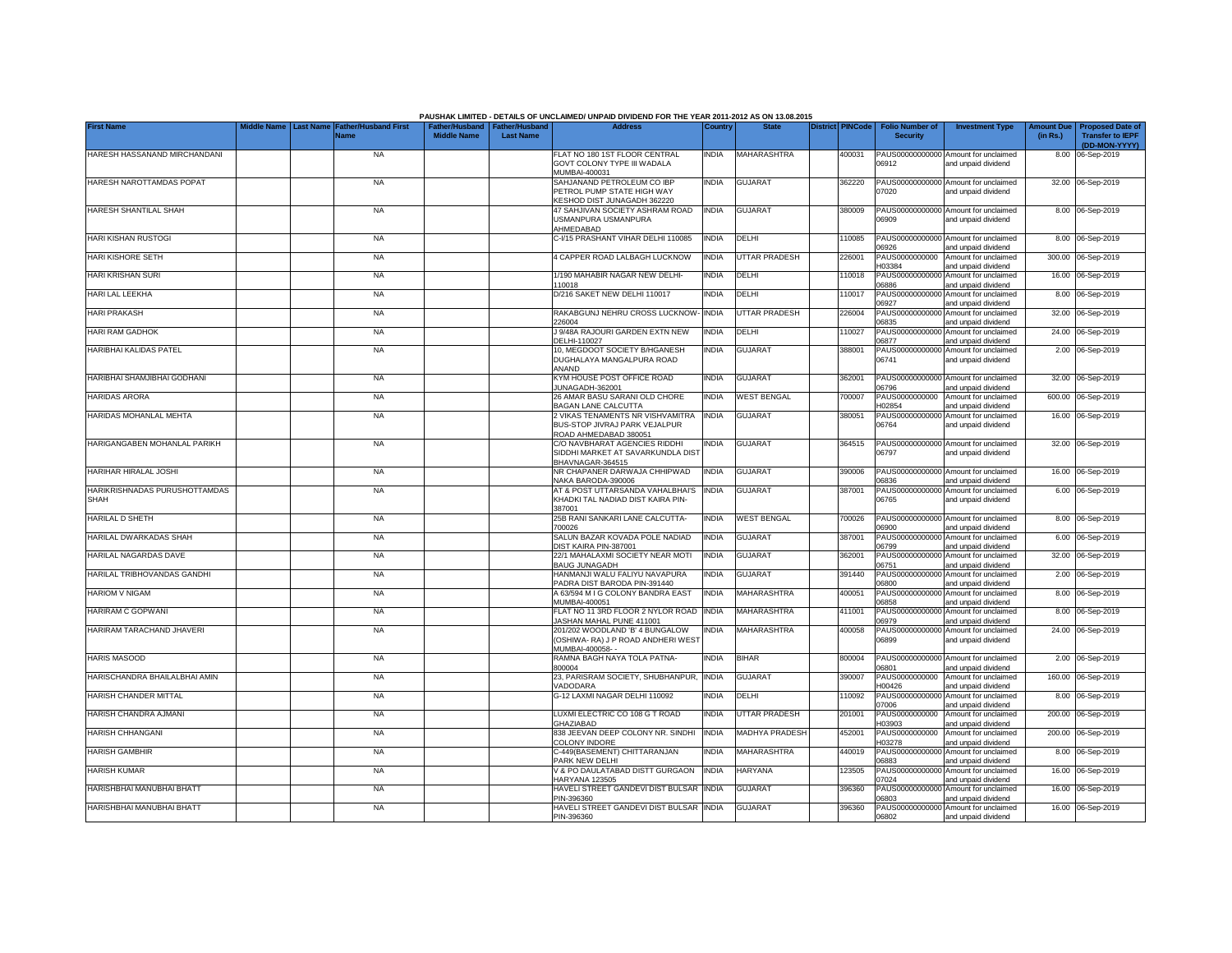|                               |                                        |                             |                                 |                  | PAUSHAK LIMITED - DETAILS OF UNCLAIMED/ UNPAID DIVIDEND FOR THE YEAR 2011-2012 AS ON 13.08.2015 |              |                       |                         |                          |                                                             |                   |                                          |
|-------------------------------|----------------------------------------|-----------------------------|---------------------------------|------------------|-------------------------------------------------------------------------------------------------|--------------|-----------------------|-------------------------|--------------------------|-------------------------------------------------------------|-------------------|------------------------------------------|
| <b>First Name</b>             | <b>Aiddle Name</b><br><b>Last Name</b> | <b>Father/Husband First</b> | Father/Husband   Father/Husband |                  | <b>Address</b>                                                                                  | Country      | <b>State</b>          | <b>District PINCode</b> | <b>Folio Number of</b>   | <b>Investment Type</b>                                      | <b>Amount Due</b> | <b>Proposed Date of</b>                  |
|                               |                                        | <b>Name</b>                 | <b>Middle Name</b>              | <b>Last Name</b> |                                                                                                 |              |                       |                         | <b>Security</b>          |                                                             | (in Rs.)          | <b>Transfer to IEPF</b><br>(DD-MON-YYYY) |
| HARESH HASSANAND MIRCHANDANI  |                                        | <b>NA</b>                   |                                 |                  | FLAT NO 180 1ST FLOOR CENTRAL                                                                   | <b>INDIA</b> | MAHARASHTRA           | 400031                  |                          | PAUS00000000000 Amount for unclaimed                        |                   | 8.00 06-Sep-2019                         |
|                               |                                        |                             |                                 |                  | GOVT COLONY TYPE III WADALA                                                                     |              |                       |                         | 06912                    | and unpaid dividend                                         |                   |                                          |
|                               |                                        |                             |                                 |                  | MUMBAI-400031                                                                                   |              |                       |                         |                          |                                                             |                   |                                          |
| HARESH NAROTTAMDAS POPAT      |                                        | <b>NA</b>                   |                                 |                  | SAHJANAND PETROLEUM CO IBP                                                                      | <b>INDIA</b> | <b>GUJARAT</b>        | 362220                  |                          | PAUS00000000000 Amount for unclaimed                        |                   | 32.00 06-Sep-2019                        |
|                               |                                        |                             |                                 |                  | PETROL PUMP STATE HIGH WAY                                                                      |              |                       |                         | 07020                    | and unpaid dividend                                         |                   |                                          |
|                               |                                        |                             |                                 |                  | KESHOD DIST JUNAGADH 362220                                                                     |              |                       |                         |                          |                                                             |                   |                                          |
| HARESH SHANTILAL SHAH         |                                        | <b>NA</b>                   |                                 |                  | 47 SAHJIVAN SOCIETY ASHRAM ROAD<br>USMANPURA USMANPURA                                          | <b>INDIA</b> | <b>GUJARAT</b>        | 380009                  | 06909                    | PAUS00000000000 Amount for unclaimed<br>and unpaid dividend |                   | 8.00 06-Sep-2019                         |
|                               |                                        |                             |                                 |                  | AHMEDABAD                                                                                       |              |                       |                         |                          |                                                             |                   |                                          |
| <b>HARI KISHAN RUSTOGI</b>    |                                        | <b>NA</b>                   |                                 |                  | C-I/15 PRASHANT VIHAR DELHI 110085                                                              | <b>INDIA</b> | DELHI                 | 10085                   |                          | PAUS00000000000 Amount for unclaimed                        |                   | 8.00 06-Sep-2019                         |
|                               |                                        |                             |                                 |                  |                                                                                                 |              |                       |                         | 06926                    | and unpaid dividend                                         |                   |                                          |
| <b>HARI KISHORE SETH</b>      |                                        | <b>NA</b>                   |                                 |                  | 4 CAPPER ROAD LALBAGH LUCKNOW                                                                   | <b>INDIA</b> | <b>UTTAR PRADESH</b>  | 226001                  | PAUS0000000000           | Amount for unclaimed                                        |                   | 300.00 06-Sep-2019                       |
|                               |                                        |                             |                                 |                  |                                                                                                 |              |                       |                         | H03384                   | and unpaid dividend                                         |                   |                                          |
| HARI KRISHAN SURI             |                                        | <b>NA</b>                   |                                 |                  | 1/190 MAHABIR NAGAR NEW DELHI-                                                                  | <b>INDIA</b> | DELHI                 | 10018                   | PAUS0000000000           | Amount for unclaimed                                        |                   | 16.00 06-Sep-2019                        |
| HARI LAL LEEKHA               |                                        | <b>NA</b>                   |                                 |                  | 10018<br>D/216 SAKET NEW DELHI 110017                                                           | <b>INDIA</b> | DELHI                 | 10017                   | 6886<br>PAUS0000000000   | and unpaid dividend<br>Amount for unclaimed                 |                   | 8.00 06-Sep-2019                         |
|                               |                                        |                             |                                 |                  |                                                                                                 |              |                       |                         | 06927                    | and unpaid dividend                                         |                   |                                          |
| <b>HARI PRAKASH</b>           |                                        | <b>NA</b>                   |                                 |                  | RAKABGUNJ NEHRU CROSS LUCKNOW                                                                   | <b>INDIA</b> | <b>UTTAR PRADESH</b>  | 226004                  | PAUS0000000000           | Amount for unclaimed                                        |                   | 32.00 06-Sep-2019                        |
|                               |                                        |                             |                                 |                  | 226004                                                                                          |              |                       |                         | 06835                    | and unpaid dividend                                         |                   |                                          |
| <b>HARI RAM GADHOK</b>        |                                        | <b>NA</b>                   |                                 |                  | J 9/48A RAJOURI GARDEN EXTN NEW                                                                 | <b>INDIA</b> | DELHI                 | 10027                   | PAUS0000000000           | Amount for unclaimed                                        |                   | 24.00 06-Sep-2019                        |
|                               |                                        |                             |                                 |                  | DELHI-110027                                                                                    |              |                       |                         | 06877                    | and unpaid dividend                                         |                   |                                          |
| HARIBHAI KALIDAS PATEL        |                                        | <b>NA</b>                   |                                 |                  | 10, MEGDOOT SOCIETY B/HGANESH                                                                   | <b>INDIA</b> | <b>GUJARAT</b>        | 388001                  | PAUS00000000000          | Amount for unclaimed                                        |                   | 2.00 06-Sep-2019                         |
|                               |                                        |                             |                                 |                  | DUGHALAYA MANGALPURA ROAD<br><b>ANAND</b>                                                       |              |                       |                         | 06741                    | and unpaid dividend                                         |                   |                                          |
| HARIBHAI SHAMJIBHAI GODHANI   |                                        | <b>NA</b>                   |                                 |                  | KYM HOUSE POST OFFICE ROAD                                                                      | <b>INDIA</b> | <b>GUJARAT</b>        | 362001                  |                          | PAUS00000000000 Amount for unclaimed                        |                   | 32.00 06-Sep-2019                        |
|                               |                                        |                             |                                 |                  | UNAGADH-362001                                                                                  |              |                       |                         | 06796                    | and unpaid dividend                                         |                   |                                          |
| <b>HARIDAS ARORA</b>          |                                        | <b>NA</b>                   |                                 |                  | 26 AMAR BASU SARANI OLD CHORE                                                                   | <b>INDIA</b> | <b>WEST BENGAL</b>    | 700007                  | PAUS0000000000           | Amount for unclaimed                                        |                   | 600.00 06-Sep-2019                       |
|                               |                                        |                             |                                 |                  | BAGAN LANE CALCUTTA                                                                             |              |                       |                         | H02854                   | and unpaid dividend                                         |                   |                                          |
| HARIDAS MOHANLAL MEHTA        |                                        | <b>NA</b>                   |                                 |                  | 2 VIKAS TENAMENTS NR VISHVAMITRA                                                                | <b>INDIA</b> | <b>GUJARAT</b>        | 380051                  |                          | PAUS00000000000 Amount for unclaimed                        |                   | 16.00 06-Sep-2019                        |
|                               |                                        |                             |                                 |                  | BUS-STOP JIVRAJ PARK VEJALPUR                                                                   |              |                       |                         | 06764                    | and unpaid dividend                                         |                   |                                          |
| HARIGANGABEN MOHANLAL PARIKH  |                                        | <b>NA</b>                   |                                 |                  | ROAD AHMEDABAD 380051<br>C/O NAVBHARAT AGENCIES RIDDHI                                          | <b>INDIA</b> | <b>GUJARAT</b>        | 364515                  |                          | PAUS00000000000 Amount for unclaimed                        |                   | 32.00 06-Sep-2019                        |
|                               |                                        |                             |                                 |                  | SIDDHI MARKET AT SAVARKUNDLA DIST                                                               |              |                       |                         | 06797                    | and unpaid dividend                                         |                   |                                          |
|                               |                                        |                             |                                 |                  | BHAVNAGAR-364515                                                                                |              |                       |                         |                          |                                                             |                   |                                          |
| HARIHAR HIRALAL JOSHI         |                                        | <b>NA</b>                   |                                 |                  | NR CHAPANER DARWAJA CHHIPWAD                                                                    | <b>INDIA</b> | <b>GUJARAT</b>        | 390006                  |                          | PAUS00000000000 Amount for unclaimed                        |                   | 16.00 06-Sep-2019                        |
|                               |                                        |                             |                                 |                  | NAKA BARODA-390006                                                                              |              |                       |                         | 06836                    | and unpaid dividend                                         |                   |                                          |
| HARIKRISHNADAS PURUSHOTTAMDAS |                                        | <b>NA</b>                   |                                 |                  | AT & POST UTTARSANDA VAHALBHAI'S                                                                | <b>INDIA</b> | <b>GUJARAT</b>        | 387001                  | PAUS0000000000           | Amount for unclaimed                                        |                   | 6.00 06-Sep-2019                         |
| <b>SHAH</b>                   |                                        |                             |                                 |                  | KHADKI TAL NADIAD DIST KAIRA PIN-                                                               |              |                       |                         | 06765                    | and unpaid dividend                                         |                   |                                          |
| HARILAL D SHETH               |                                        | <b>NA</b>                   |                                 |                  | 387001<br>25B RANI SANKARI LANE CALCUTTA-                                                       | <b>INDIA</b> | <b>WEST BENGAL</b>    | 700026                  |                          | PAUS00000000000 Amount for unclaimed                        |                   | 8.00 06-Sep-2019                         |
|                               |                                        |                             |                                 |                  | 700026                                                                                          |              |                       |                         | 06900                    | and unpaid dividend                                         |                   |                                          |
| HARILAL DWARKADAS SHAH        |                                        | <b>NA</b>                   |                                 |                  | SALUN BAZAR KOVADA POLE NADIAD                                                                  | <b>INDIA</b> | <b>GUJARAT</b>        | 387001                  | PAUS0000000000           | Amount for unclaimed                                        | 6.00              | 06-Sep-2019                              |
|                               |                                        |                             |                                 |                  | DIST KAIRA PIN-387001                                                                           |              |                       |                         | 06799                    | and unpaid dividend                                         |                   |                                          |
| HARILAL NAGARDAS DAVE         |                                        | <b>NA</b>                   |                                 |                  | 22/1 MAHALAXMI SOCIETY NEAR MOTI                                                                | <b>INDIA</b> | <b>GUJARAT</b>        | 362001                  | PAUS0000000000           | Amount for unclaimed                                        | 32.00             | 06-Sep-2019                              |
|                               |                                        |                             |                                 |                  | <b>BAUG JUNAGADH</b>                                                                            |              |                       |                         | 06751                    | and unpaid dividend                                         |                   |                                          |
| HARILAL TRIBHOVANDAS GANDHI   |                                        | <b>NA</b>                   |                                 |                  | HANMANJI WALU FALIYU NAVAPURA                                                                   | <b>INDIA</b> | <b>GUJARAT</b>        | 391440                  | PAUS0000000000           | Amount for unclaimed                                        | 2.00              | 06-Sep-2019                              |
| <b>HARIOM V NIGAM</b>         |                                        | <b>NA</b>                   |                                 |                  | PADRA DIST BARODA PIN-391440<br>A 63/594 M I G COLONY BANDRA EAST                               | <b>INDIA</b> | <b>MAHARASHTRA</b>    | 400051                  | 06800<br>PAUS0000000000  | and unpaid dividend<br>Amount for unclaimed                 |                   | 8.00 06-Sep-2019                         |
|                               |                                        |                             |                                 |                  | MUMBAI-400051                                                                                   |              |                       |                         | 06858                    | and unpaid dividend                                         |                   |                                          |
| HARIRAM C GOPWANI             |                                        | <b>NA</b>                   |                                 |                  | FLAT NO 11 3RD FLOOR 2 NYLOR ROAD                                                               | <b>INDIA</b> | MAHARASHTRA           | 411001                  | PAUS0000000000           | Amount for unclaimed                                        |                   | 8.00 06-Sep-2019                         |
|                               |                                        |                             |                                 |                  | JASHAN MAHAL PUNE 411001                                                                        |              |                       |                         | 06979                    | and unpaid dividend                                         |                   |                                          |
| HARIRAM TARACHAND JHAVERI     |                                        | <b>NA</b>                   |                                 |                  | 201/202 WOODLAND 'B' 4 BUNGALOW                                                                 | <b>INDIA</b> | MAHARASHTRA           | 400058                  | PAUS00000000000          | Amount for unclaimed                                        |                   | 24.00 06-Sep-2019                        |
|                               |                                        |                             |                                 |                  | (OSHIWA- RA) J P ROAD ANDHERI WEST                                                              |              |                       |                         | 06899                    | and unpaid dividend                                         |                   |                                          |
| <b>HARIS MASOOD</b>           |                                        | <b>NA</b>                   |                                 |                  | MUMBAI-400058-                                                                                  | <b>INDIA</b> | <b>BIHAR</b>          | 800004                  | PAUS0000000000           |                                                             |                   | 2.00 06-Sep-2019                         |
|                               |                                        |                             |                                 |                  | RAMNA BAGH NAYA TOLA PATNA-<br>800004                                                           |              |                       |                         | 06801                    | Amount for unclaimed<br>and unpaid dividend                 |                   |                                          |
| HARISCHANDRA BHAILALBHAI AMIN |                                        | <b>NA</b>                   |                                 |                  | 23, PARISRAM SOCIETY, SHUBHANPUR                                                                | <b>INDIA</b> | <b>GUJARAT</b>        | 390007                  | PAUS0000000000           | Amount for unclaimed                                        |                   | 160.00 06-Sep-2019                       |
|                               |                                        |                             |                                 |                  | VADODARA                                                                                        |              |                       |                         | H00426                   | and unpaid dividend                                         |                   |                                          |
| HARISH CHANDER MITTAL         |                                        | <b>NA</b>                   |                                 |                  | G-12 LAXMI NAGAR DELHI 110092                                                                   | <b>INDIA</b> | DELHI                 | 110092                  | PAUS0000000000           | Amount for unclaimed                                        |                   | 8.00 06-Sep-2019                         |
|                               |                                        |                             |                                 |                  |                                                                                                 |              |                       |                         | 07006                    | and unpaid dividend                                         |                   |                                          |
| HARISH CHANDRA AJMANI         |                                        | <b>NA</b>                   |                                 |                  | LUXMI ELECTRIC CO 108 G T ROAD                                                                  | <b>INDIA</b> | UTTAR PRADESH         | 201001                  | PAUS0000000000           | Amount for unclaimed                                        |                   | 200.00 06-Sep-2019                       |
| <b>HARISH CHHANGANI</b>       |                                        | <b>NA</b>                   |                                 |                  | GHAZIABAD<br>838 JEEVAN DEEP COLONY NR. SINDHI                                                  | <b>INDIA</b> | <b>MADHYA PRADESH</b> | 452001                  | H03903<br>PAUS0000000000 | and unpaid dividend<br>Amount for unclaimed                 |                   | 200.00 06-Sep-2019                       |
|                               |                                        |                             |                                 |                  | COLONY INDORE                                                                                   |              |                       |                         | H03278                   | and unpaid dividend                                         |                   |                                          |
| <b>HARISH GAMBHIR</b>         |                                        | <b>NA</b>                   |                                 |                  | C-449(BASEMENT) CHITTARANJAN                                                                    | <b>INDIA</b> | <b>MAHARASHTRA</b>    | 440019                  | PAUS0000000000           | Amount for unclaimed                                        |                   | 8.00 06-Sep-2019                         |
|                               |                                        |                             |                                 |                  | PARK NEW DELHI                                                                                  |              |                       |                         | 06883                    | and unpaid dividend                                         |                   |                                          |
| <b>HARISH KUMAR</b>           |                                        | <b>NA</b>                   |                                 |                  | V & PO DAULATABAD DISTT GURGAON                                                                 | <b>INDIA</b> | <b>HARYANA</b>        | 123505                  |                          | PAUS00000000000 Amount for unclaimed                        |                   | 16.00 06-Sep-2019                        |
|                               |                                        |                             |                                 |                  | <b>HARYANA 123505</b>                                                                           |              |                       |                         | 07024                    | and unpaid dividend                                         |                   |                                          |
| HARISHBHAI MANUBHAI BHATT     |                                        | <b>NA</b>                   |                                 |                  | HAVELI STREET GANDEVI DIST BULSAR                                                               | <b>INDIA</b> | <b>GUJARAT</b>        | 396360                  |                          | PAUS00000000000 Amount for unclaimed                        |                   | 16.00 06-Sep-2019                        |
| HARISHBHAI MANUBHAI BHATT     |                                        | <b>NA</b>                   |                                 |                  | PIN-396360<br>HAVELI STREET GANDEVI DIST BULSAR INDIA                                           |              | <b>GUJARAT</b>        | 396360                  | 06803                    | and unpaid dividend<br>PAUS00000000000 Amount for unclaimed |                   | 16.00 06-Sep-2019                        |
|                               |                                        |                             |                                 |                  | PIN-396360                                                                                      |              |                       |                         | 06802                    | and unpaid dividend                                         |                   |                                          |
|                               |                                        |                             |                                 |                  |                                                                                                 |              |                       |                         |                          |                                                             |                   |                                          |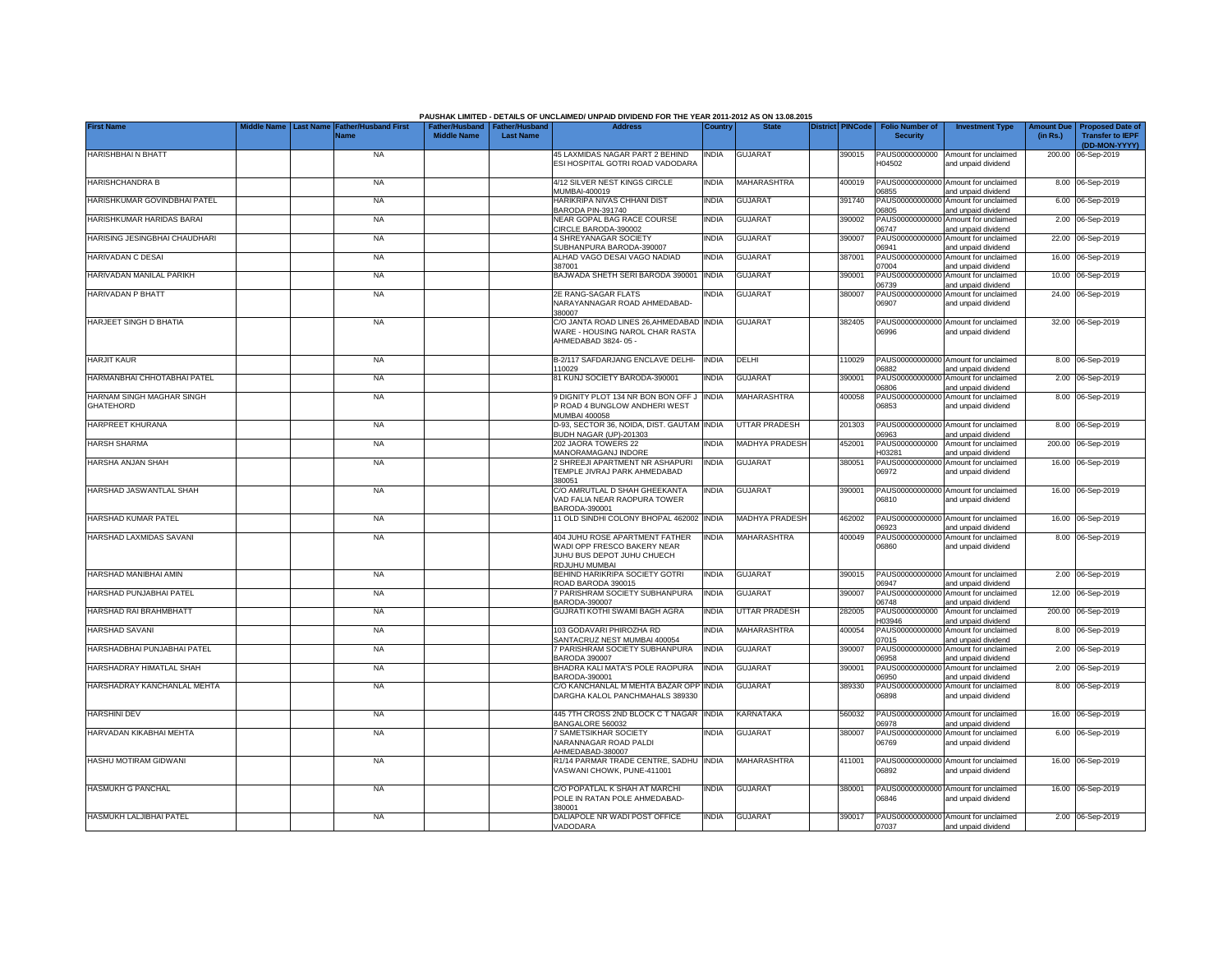|                                               |                                                        |                    |                                                   | PAUSHAK LIMITED - DETAILS OF UNCLAIMED/ UNPAID DIVIDEND FOR THE YEAR 2011-2012 AS ON 13.08.2015              |              |                       |                         |                                           |                                                             |                               |                                                    |
|-----------------------------------------------|--------------------------------------------------------|--------------------|---------------------------------------------------|--------------------------------------------------------------------------------------------------------------|--------------|-----------------------|-------------------------|-------------------------------------------|-------------------------------------------------------------|-------------------------------|----------------------------------------------------|
| <b>First Name</b>                             | <b>Father/Husband First</b><br>ast Name<br><b>Name</b> | <b>Middle Name</b> | Father/Husband Father/Husband<br><b>Last Name</b> | <b>Address</b>                                                                                               | Country      | <b>State</b>          | <b>District PINCode</b> | <b>Folio Number of</b><br><b>Security</b> | <b>Investment Type</b>                                      | <b>Amount Due</b><br>(in Rs.) | <b>Proposed Date of</b><br><b>Transfer to IEPF</b> |
|                                               |                                                        |                    |                                                   |                                                                                                              |              |                       |                         |                                           |                                                             |                               | (DD-MON-YYYY)                                      |
| <b>HARISHBHAI N BHATT</b>                     | <b>NA</b>                                              |                    |                                                   | 45 LAXMIDAS NAGAR PART 2 BEHIND<br>ESI HOSPITAL GOTRI ROAD VADODARA                                          | INDIA        | <b>GUJARAT</b>        | 390015                  | PAUS0000000000<br>H04502                  | Amount for unclaimed<br>and unpaid dividend                 |                               | 200.00 06-Sep-2019                                 |
| <b>HARISHCHANDRA B</b>                        | <b>NA</b>                                              |                    |                                                   | 4/12 SILVER NEST KINGS CIRCLE<br>MUMBAI-400019                                                               | <b>INDIA</b> | MAHARASHTRA           | 400019                  | PAUS00000000000<br>06855                  | Amount for unclaimed<br>and unpaid dividend                 |                               | 8.00 06-Sep-2019                                   |
| HARISHKUMAR GOVINDBHAI PATEL                  | <b>NA</b>                                              |                    |                                                   | HARIKRIPA NIVAS CHHANI DIST<br><b>BARODA PIN-391740</b>                                                      | <b>INDIA</b> | <b>GUJARAT</b>        | 391740                  | PAUS00000000000<br>16805                  | Amount for unclaimed<br>and unpaid dividend                 |                               | 6.00 06-Sep-2019                                   |
| HARISHKUMAR HARIDAS BARAI                     | <b>NA</b>                                              |                    |                                                   | NEAR GOPAL BAG RACE COURSE<br>CIRCLE BARODA-390002                                                           | India        | <b>GUJARAT</b>        | 390002                  | PAUS00000000000<br>06747                  | Amount for unclaimed<br>and unpaid dividend                 |                               | 2.00 06-Sep-2019                                   |
| HARISING JESINGBHAI CHAUDHARI                 | <b>NA</b>                                              |                    |                                                   | <b>4 SHREYANAGAR SOCIETY</b><br>SUBHANPURA BARODA-390007                                                     | India        | <b>GUJARAT</b>        | 390007                  | PAUS00000000000<br>06941                  | Amount for unclaimed<br>and unpaid dividend                 |                               | 22.00 06-Sep-2019                                  |
| HARIVADAN C DESAI                             | <b>NA</b>                                              |                    |                                                   | ALHAD VAGO DESAI VAGO NADIAD<br>387001                                                                       | INDIA        | <b>GUJARAT</b>        | 387001                  | PAUS00000000000<br>07004                  | Amount for unclaimed<br>and unpaid dividend                 |                               | 16.00 06-Sep-2019                                  |
| HARIVADAN MANILAL PARIKH                      | <b>NA</b>                                              |                    |                                                   | BAJWADA SHETH SERI BARODA 390001                                                                             | <b>INDIA</b> | <b>GUJARAT</b>        | 390001                  | PAUS0000000000<br>06739                   | Amount for unclaimed<br>and unpaid dividend                 |                               | 10.00 06-Sep-2019                                  |
| HARIVADAN P BHATT                             | <b>NA</b>                                              |                    |                                                   | 2E RANG-SAGAR FLATS<br>NARAYANNAGAR ROAD AHMEDABAD-<br>380007                                                | india        | <b>GUJARAT</b>        | 380007                  | PAUS0000000000<br>06907                   | Amount for unclaimed<br>and unpaid dividend                 |                               | 24.00 06-Sep-2019                                  |
| HARJEET SINGH D BHATIA                        | <b>NA</b>                                              |                    |                                                   | C/O JANTA ROAD LINES 26, AHMEDABAD INDIA<br>WARE - HOUSING NAROL CHAR RASTA<br>AHMEDABAD 3824-05 -           |              | <b>GUJARAT</b>        | 382405                  | PAUS0000000000<br>06996                   | Amount for unclaimed<br>and unpaid dividend                 |                               | 32.00 06-Sep-2019                                  |
| <b>HARJIT KAUR</b>                            | <b>NA</b>                                              |                    |                                                   | B-2/117 SAFDARJANG ENCLAVE DELHI-<br>110029                                                                  | <b>INDIA</b> | DELHI                 | 110029                  | 06882                                     | PAUS00000000000 Amount for unclaimed<br>and unpaid dividend |                               | 8.00 06-Sep-2019                                   |
| HARMANBHAI CHHOTABHAI PATEL                   | <b>NA</b>                                              |                    |                                                   | 81 KUNJ SOCIETY BARODA-390001                                                                                | India        | <b>GUJARAT</b>        | 390001                  | PAUS0000000000<br>06806                   | Amount for unclaimed<br>and unpaid dividend                 |                               | 2.00 06-Sep-2019                                   |
| HARNAM SINGH MAGHAR SINGH<br><b>GHATEHORD</b> | <b>NA</b>                                              |                    |                                                   | 9 DIGNITY PLOT 134 NR BON BON OFF J<br>P ROAD 4 BUNGLOW ANDHERI WEST<br>MUMBAI 400058                        | india        | MAHARASHTRA           | 400058                  | PAUS0000000000<br>06853                   | Amount for unclaimed<br>and unpaid dividend                 |                               | 8.00 06-Sep-2019                                   |
| HARPREET KHURANA                              | <b>NA</b>                                              |                    |                                                   | D-93, SECTOR 36, NOIDA, DIST. GAUTAM INDIA<br>BUDH NAGAR (UP)-201303                                         |              | <b>UTTAR PRADESH</b>  | 201303                  | PAUS00000000000<br>06963                  | Amount for unclaimed<br>and unpaid dividend                 |                               | 8.00 06-Sep-2019                                   |
| <b>HARSH SHARMA</b>                           | <b>NA</b>                                              |                    |                                                   | 202 JAORA TOWERS 22<br>MANORAMAGANJ INDORE                                                                   | <b>INDIA</b> | <b>MADHYA PRADESH</b> | 452001                  | PAUS0000000000<br>H03281                  | Amount for unclaimed<br>and unpaid dividend                 |                               | 200.00 06-Sep-2019                                 |
| HARSHA ANJAN SHAH                             | <b>NA</b>                                              |                    |                                                   | 2 SHREEJI APARTMENT NR ASHAPURI<br>TEMPLE JIVRAJ PARK AHMEDABAD<br>380051                                    | India        | <b>GUJARAT</b>        | 380051                  | 06972                                     | PAUS00000000000 Amount for unclaimed<br>and unpaid dividend |                               | 16.00 06-Sep-2019                                  |
| HARSHAD JASWANTLAL SHAH                       | <b>NA</b>                                              |                    |                                                   | C/O AMRUTLAL D SHAH GHEEKANTA<br>VAD FALIA NEAR RAOPURA TOWER<br>BARODA-390001                               | india        | <b>GUJARAT</b>        | 390001                  | 06810                                     | PAUS00000000000 Amount for unclaimed<br>and unpaid dividend |                               | 16.00 06-Sep-2019                                  |
| HARSHAD KUMAR PATEL                           | <b>NA</b>                                              |                    |                                                   | 11 OLD SINDHI COLONY BHOPAL 462002 INDIA                                                                     |              | <b>MADHYA PRADESH</b> | 462002                  | PAUS0000000000<br>06923                   | Amount for unclaimed<br>and unpaid dividend                 |                               | 16.00 06-Sep-2019                                  |
| HARSHAD LAXMIDAS SAVANI                       | <b>NA</b>                                              |                    |                                                   | 404 JUHU ROSE APARTMENT FATHER<br>WADI OPP FRESCO BAKERY NEAR<br>JUHU BUS DEPOT JUHU CHUECH<br>RDJUHU MUMBAI | <b>INDIA</b> | MAHARASHTRA           | 400049                  | PAUS00000000000<br>06860                  | Amount for unclaimed<br>and unpaid dividend                 |                               | 8.00 06-Sep-2019                                   |
| HARSHAD MANIBHAI AMIN                         | <b>NA</b>                                              |                    |                                                   | BEHIND HARIKRIPA SOCIETY GOTRI<br>ROAD BARODA 390015                                                         | <b>INDIA</b> | <b>GUJARAT</b>        | 390015                  | PAUS00000000000<br>06947                  | Amount for unclaimed<br>and unpaid dividend                 |                               | 2.00 06-Sep-2019                                   |
| HARSHAD PUNJABHAI PATEL                       | <b>NA</b>                                              |                    |                                                   | 7 PARISHRAM SOCIETY SUBHANPURA<br>BARODA-390007                                                              | <b>INDIA</b> | <b>GUJARAT</b>        | 390007                  | PAUS0000000000<br>06748                   | Amount for unclaimed<br>and unpaid dividend                 |                               | 12.00 06-Sep-2019                                  |
| HARSHAD RAI BRAHMBHATT                        | <b>NA</b>                                              |                    |                                                   | GUJRATI KOTHI SWAMI BAGH AGRA                                                                                | India        | UTTAR PRADESH         | 282005                  | PAUS0000000000<br>103946                  | Amount for unclaimed<br>and unpaid dividend                 |                               | 200.00 06-Sep-2019                                 |
| HARSHAD SAVANI                                | <b>NA</b>                                              |                    |                                                   | 103 GODAVARI PHIROZHA RD<br>SANTACRUZ NEST MUMBAI 400054                                                     | INDIA        | MAHARASHTRA           | 400054                  | PAUS0000000000<br>7015                    | Amount for unclaimed<br>and unpaid dividend                 |                               | 8.00 06-Sep-2019                                   |
| HARSHADBHAI PUNJABHAI PATEL                   | <b>NA</b>                                              |                    |                                                   | 7 PARISHRAM SOCIETY SUBHANPURA<br><b>BARODA 390007</b>                                                       | <b>INDIA</b> | <b>GUJARAT</b>        | 390007                  | PAUS00000000000<br>06958                  | Amount for unclaimed<br>and unpaid dividend                 |                               | 2.00 06-Sep-2019                                   |
| HARSHADRAY HIMATLAL SHAH                      | <b>NA</b>                                              |                    |                                                   | BHADRA KALI MATA'S POLE RAOPURA<br>BARODA-390001                                                             | <b>INDIA</b> | <b>GUJARAT</b>        | 390001                  | PAUS00000000000<br>06950                  | Amount for unclaimed<br>and unpaid dividend                 |                               | 2.00 06-Sep-2019                                   |
| HARSHADRAY KANCHANLAL MEHTA                   | <b>NA</b>                                              |                    |                                                   | C/O KANCHANLAL M MEHTA BAZAR OPP INDIA<br>DARGHA KALOL PANCHMAHALS 389330                                    |              | <b>GUJARAT</b>        | 389330                  | PAUS0000000000<br>06898                   | Amount for unclaimed<br>and unpaid dividend                 |                               | 8.00 06-Sep-2019                                   |
| <b>HARSHINI DEV</b>                           | <b>NA</b>                                              |                    |                                                   | 445 7TH CROSS 2ND BLOCK C T NAGAR INDIA<br>BANGALORE 560032                                                  |              | KARNATAKA             | 560032                  | PAUS0000000000<br>06978                   | Amount for unclaimed<br>and unpaid dividend                 |                               | 16.00 06-Sep-2019                                  |
| HARVADAN KIKABHAI MEHTA                       | <b>NA</b>                                              |                    |                                                   | 7 SAMETSIKHAR SOCIETY<br>NARANNAGAR ROAD PALDI<br>AHMEDABAD-380007                                           | INDIA        | <b>GUJARAT</b>        | 380007                  | PAUS0000000000<br>06769                   | Amount for unclaimed<br>and unpaid dividend                 |                               | 6.00 06-Sep-2019                                   |
| HASHU MOTIRAM GIDWANI                         | NA                                                     |                    |                                                   | R1/14 PARMAR TRADE CENTRE, SADHU INDIA<br>VASWANI CHOWK, PUNE-411001                                         |              | <b>MAHARASHTRA</b>    | 411001                  | 06892                                     | PAUS00000000000 Amount for unclaimed<br>and unpaid dividend |                               | 16.00 06-Sep-2019                                  |
| <b>HASMUKH G PANCHAL</b>                      | <b>NA</b>                                              |                    |                                                   | C/O POPATLAL K SHAH AT MARCHI<br>POLE IN RATAN POLE AHMEDABAD-<br>380001                                     | INDIA        | <b>GUJARAT</b>        | 380001                  | 06846                                     | PAUS00000000000 Amount for unclaimed<br>and unpaid dividend |                               | 16.00 06-Sep-2019                                  |
| HASMUKH LALJIBHAI PATEL                       | <b>NA</b>                                              |                    |                                                   | DALIAPOLE NR WADI POST OFFICE<br>VADODARA                                                                    | India        | <b>GUJARAT</b>        | 390017                  | 07037                                     | PAUS00000000000 Amount for unclaimed<br>and unpaid dividend |                               | 2.00 06-Sep-2019                                   |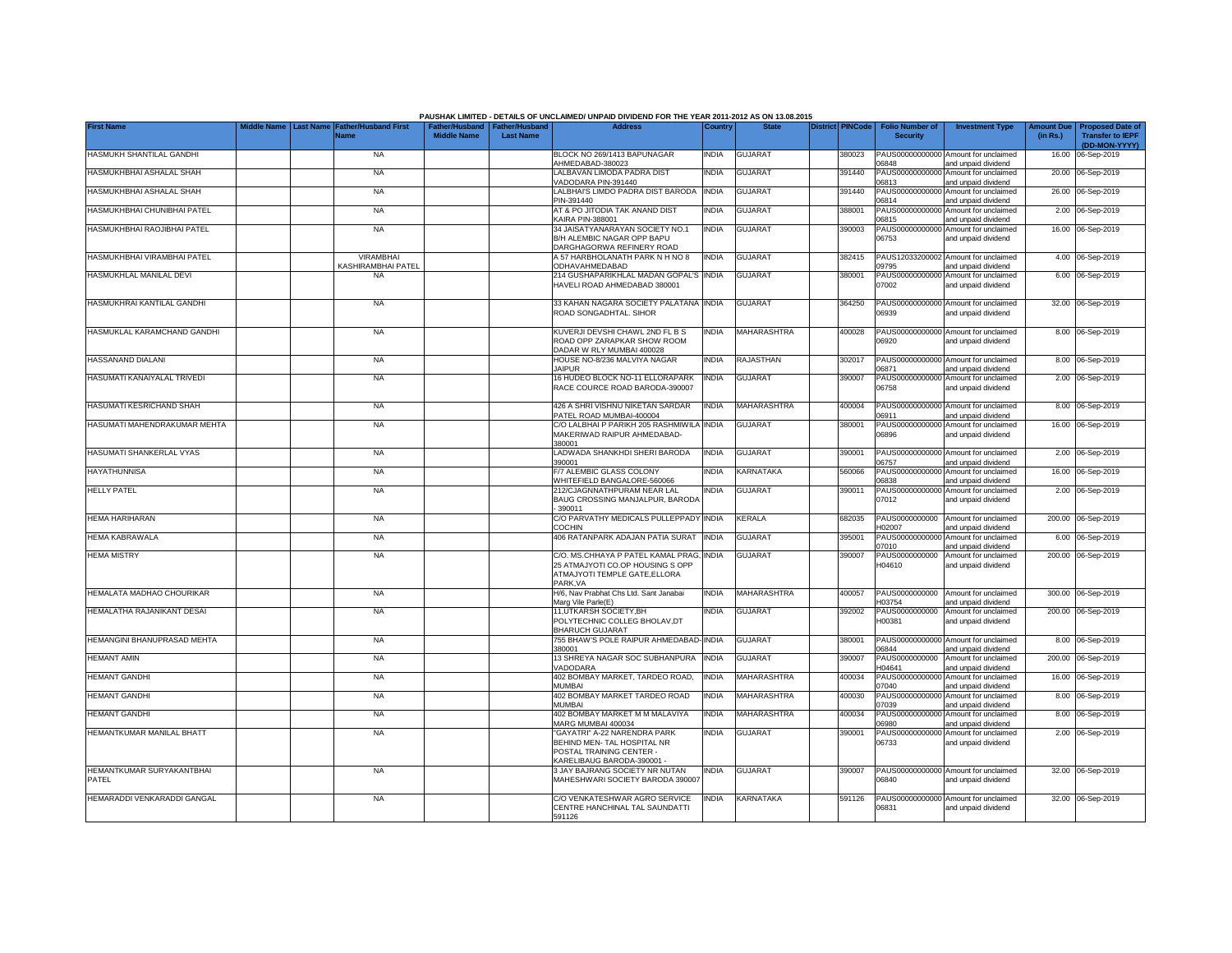|                                    |                  |                                     |                    |                                                     | PAUSHAK LIMITED - DETAILS OF UNCLAIMED/ UNPAID DIVIDEND FOR THE YEAR 2011-2012 AS ON 13.08.2015                       |              |                    |                         |                                           |                                                             |                               |                                                                     |
|------------------------------------|------------------|-------------------------------------|--------------------|-----------------------------------------------------|-----------------------------------------------------------------------------------------------------------------------|--------------|--------------------|-------------------------|-------------------------------------------|-------------------------------------------------------------|-------------------------------|---------------------------------------------------------------------|
| <b>First Name</b>                  | <b>Last Name</b> | <b>Father/Husband First</b><br>Name | <b>Middle Name</b> | Father/Husband   Father/Husband<br><b>Last Name</b> | <b>Address</b>                                                                                                        | Country      | <b>State</b>       | <b>District PINCode</b> | <b>Folio Number of</b><br><b>Security</b> | <b>Investment Type</b>                                      | <b>Amount Due</b><br>(in Rs.) | <b>Proposed Date of</b><br><b>Transfer to IEPF</b><br>(DD-MON-YYYY) |
| HASMUKH SHANTILAL GANDHI           |                  | <b>NA</b>                           |                    |                                                     | BLOCK NO 269/1413 BAPUNAGAR<br>AHMEDABAD-380023                                                                       | <b>INDIA</b> | <b>GUJARAT</b>     | 380023                  | 06848                                     | PAUS00000000000 Amount for unclaimed<br>and unpaid dividend |                               | 16.00 06-Sep-2019                                                   |
| HASMUKHBHAI ASHALAL SHAH           |                  | <b>NA</b>                           |                    |                                                     | LALBAVAN LIMODA PADRA DIST<br>/ADODARA PIN-391440                                                                     | <b>INDIA</b> | GUJARAT            | 391440                  | PAUS00000000000<br>06813                  | Amount for unclaimed<br>and unpaid dividend                 |                               | 20.00 06-Sep-2019                                                   |
| HASMUKHBHAI ASHALAL SHAH           |                  | <b>NA</b>                           |                    |                                                     | LALBHAI'S LIMDO PADRA DIST BARODA<br>PIN-391440                                                                       | <b>INDIA</b> | <b>GUJARAT</b>     | 391440                  | 06814                                     | PAUS00000000000 Amount for unclaimed<br>and unpaid dividend |                               | 26.00 06-Sep-2019                                                   |
| HASMUKHBHAI CHUNIBHAI PATEL        |                  | <b>NA</b>                           |                    |                                                     | AT & PO JITODIA TAK ANAND DIST<br><b>KAIRA PIN-388001</b>                                                             | <b>INDIA</b> | GUJARAT            | 388001                  | PAUS00000000000<br>06815                  | Amount for unclaimed<br>and unpaid dividend                 |                               | 2.00 06-Sep-2019                                                    |
| HASMUKHBHAI RAOJIBHAI PATEL        |                  | <b>NA</b>                           |                    |                                                     | 34 JAISATYANARAYAN SOCIETY NO.1<br>B/H ALEMBIC NAGAR OPP BAPU<br>DARGHAGORWA REFINERY ROAD                            | <b>INDIA</b> | <b>GUJARAT</b>     | 390003                  | PAUS00000000000<br>06753                  | Amount for unclaimed<br>and unpaid dividend                 |                               | 16.00 06-Sep-2019                                                   |
| HASMUKHBHAI VIRAMBHAI PATEL        |                  | VIRAMBHAI<br>KASHIRAMBHAI PATEL     |                    |                                                     | A 57 HARBHOLANATH PARK N H NO 8<br>ODHAVAHMEDABAD                                                                     | <b>INDIA</b> | <b>GUJARAT</b>     | 382415                  | 09795                                     | PAUS12033200002 Amount for unclaimed<br>and unpaid dividend |                               | 4.00 06-Sep-2019                                                    |
| HASMUKHLAL MANILAL DEVI            |                  | <b>NA</b>                           |                    |                                                     | 214 GUSHAPARIKHLAL MADAN GOPAL'S<br>HAVELI ROAD AHMEDABAD 380001                                                      | <b>INDIA</b> | <b>GUJARAT</b>     | 380001                  | PAUS00000000000<br>07002                  | Amount for unclaimed<br>and unpaid dividend                 |                               | 6.00 06-Sep-2019                                                    |
| HASMUKHRAI KANTILAL GANDHI         |                  | <b>NA</b>                           |                    |                                                     | 33 KAHAN NAGARA SOCIETY PALATANA INDIA<br>ROAD SONGADHTAL, SIHOR                                                      |              | <b>GUJARAT</b>     | 364250                  | 06939                                     | PAUS00000000000 Amount for unclaimed<br>and unpaid dividend |                               | 32.00 06-Sep-2019                                                   |
| HASMUKLAL KARAMCHAND GANDHI        |                  | <b>NA</b>                           |                    |                                                     | KUVERJI DEVSHI CHAWL 2ND FL B S<br>ROAD OPP ZARAPKAR SHOW ROOM<br>DADAR W RLY MUMBAI 400028                           | <b>INDIA</b> | MAHARASHTRA        | 400028                  | 06920                                     | PAUS00000000000 Amount for unclaimed<br>and unpaid dividend |                               | 8.00 06-Sep-2019                                                    |
| HASSANAND DIALANI                  |                  | <b>NA</b>                           |                    |                                                     | HOUSE NO-8/236 MALVIYA NAGAR<br><b>JAIPUR</b>                                                                         | <b>INDIA</b> | RAJASTHAN          | 302017                  | 06871                                     | PAUS00000000000 Amount for unclaimed<br>and unpaid dividend |                               | 8.00 06-Sep-2019                                                    |
| HASUMATI KANAIYALAL TRIVEDI        |                  | <b>NA</b>                           |                    |                                                     | 16 HUDEO BLOCK NO-11 ELLORAPARK<br>RACE COURCE ROAD BARODA-390007                                                     | <b>INDIA</b> | GUJARAT            | 390007                  | 06758                                     | PAUS00000000000 Amount for unclaimed<br>and unpaid dividend |                               | 2.00 06-Sep-2019                                                    |
| HASUMATI KESRICHAND SHAH           |                  | <b>NA</b>                           |                    |                                                     | 426 A SHRI VISHNU NIKETAN SARDAR<br>PATEL ROAD MUMBAI-400004                                                          | <b>INDIA</b> | <b>MAHARASHTRA</b> | 400004                  | 06911                                     | PAUS00000000000 Amount for unclaimed<br>and unpaid dividend |                               | 8.00 06-Sep-2019                                                    |
| HASUMATI MAHENDRAKUMAR MEHTA       |                  | <b>NA</b>                           |                    |                                                     | C/O LALBHAI P PARIKH 205 RASHMIWILA INDIA<br>MAKERIWAD RAIPUR AHMEDABAD-<br>380001                                    |              | <b>GUJARAT</b>     | 380001                  | 06896                                     | PAUS00000000000 Amount for unclaimed<br>and unpaid dividend |                               | 16.00 06-Sep-2019                                                   |
| HASUMATI SHANKERLAL VYAS           |                  | <b>NA</b>                           |                    |                                                     | LADWADA SHANKHDI SHERI BARODA<br>390001                                                                               | <b>INDIA</b> | <b>GUJARAT</b>     | 390001                  | 06757                                     | PAUS00000000000 Amount for unclaimed<br>and unpaid dividend |                               | 2.00 06-Sep-2019                                                    |
| <b>HAYATHUNNISA</b>                |                  | <b>NA</b>                           |                    |                                                     | F/7 ALEMBIC GLASS COLONY<br>WHITEFIELD BANGALORE-560066                                                               | <b>INDIA</b> | <b>KARNATAKA</b>   | 560066                  | PAUS0000000000<br>06838                   | Amount for unclaimed<br>and unpaid dividend                 |                               | 16.00 06-Sep-2019                                                   |
| <b>HELLY PATEL</b>                 |                  | <b>NA</b>                           |                    |                                                     | 212/CJAGNNATHPURAM NEAR LAL<br>BAUG CROSSING MANJALPUR, BARODA<br>390011                                              | <b>INDIA</b> | <b>GUJARAT</b>     | 390011                  | PAUS0000000000<br>07012                   | Amount for unclaimed<br>and unpaid dividend                 |                               | 2.00 06-Sep-2019                                                    |
| HEMA HARIHARAN                     |                  | <b>NA</b>                           |                    |                                                     | C/O PARVATHY MEDICALS PULLEPPADY<br><b>COCHIN</b>                                                                     | <b>INDIA</b> | KERALA             | 682035                  | PAUS0000000000<br>H02007                  | Amount for unclaimed<br>and unpaid dividend                 |                               | 200.00 06-Sep-2019                                                  |
| <b>HEMA KABRAWALA</b>              |                  | <b>NA</b>                           |                    |                                                     | 406 RATANPARK ADAJAN PATIA SURAT                                                                                      | <b>INDIA</b> | <b>GUJARAT</b>     | 395001                  | PAUS0000000000<br>07010                   | Amount for unclaimed<br>and unpaid dividend                 |                               | 6.00 06-Sep-2019                                                    |
| <b>HEMA MISTRY</b>                 |                  | <b>NA</b>                           |                    |                                                     | C/O. MS.CHHAYA P PATEL KAMAL PRAG<br>25 ATMAJYOTI CO.OP HOUSING S OPP<br>ATMAJYOTI TEMPLE GATE, ELLORA<br>PARK, VA    | <b>INDIA</b> | <b>GUJARAT</b>     | 390007                  | PAUS0000000000<br>H04610                  | Amount for unclaimed<br>and unpaid dividend                 |                               | 200.00 06-Sep-2019                                                  |
| HEMALATA MADHAO CHOURIKAR          |                  | <b>NA</b>                           |                    |                                                     | H/6, Nav Prabhat Chs Ltd. Sant Janabai<br>Marg Vile Parle(E)                                                          | <b>INDIA</b> | MAHARASHTRA        | 400057                  | PAUS0000000000<br>H03754                  | Amount for unclaimed<br>and unpaid dividend                 |                               | 300.00 06-Sep-2019                                                  |
| HEMALATHA RAJANIKANT DESAI         |                  | <b>NA</b>                           |                    |                                                     | 11, UTKARSH SOCIETY, BH<br>POLYTECHNIC COLLEG BHOLAV, DT<br><b>BHARUCH GUJARAT</b>                                    | <b>INDIA</b> | <b>GUJARAT</b>     | 392002                  | PAUS0000000000<br>H00381                  | Amount for unclaimed<br>and unpaid dividend                 |                               | 200.00 06-Sep-2019                                                  |
| HEMANGINI BHANUPRASAD MEHTA        |                  | <b>NA</b>                           |                    |                                                     | 755 BHAW'S POLE RAIPUR AHMEDABAD-INDIA<br>380001                                                                      |              | <b>GUJARAT</b>     | 380001                  | PAUS00000000000<br>06844                  | Amount for unclaimed<br>and unpaid dividend                 |                               | 8.00 06-Sep-2019                                                    |
| <b>HEMANT AMIN</b>                 |                  | <b>NA</b>                           |                    |                                                     | 13 SHREYA NAGAR SOC SUBHANPURA<br>VADODARA                                                                            | <b>INDIA</b> | <b>GUJARAT</b>     | 390007                  | PAUS0000000000<br>104641                  | Amount for unclaimed<br>and unpaid dividend                 |                               | 200.00 06-Sep-2019                                                  |
| <b>HEMANT GANDHI</b>               |                  | <b>NA</b>                           |                    |                                                     | 402 BOMBAY MARKET, TARDEO ROAD,<br><b>MUMBAI</b>                                                                      | <b>INDIA</b> | MAHARASHTRA        | 400034                  | PAUS0000000000<br>02040                   | Amount for unclaimed<br>and unpaid dividend                 |                               | 16.00 06-Sep-2019                                                   |
| <b>HEMANT GANDHI</b>               |                  | <b>NA</b>                           |                    |                                                     | 402 BOMBAY MARKET TARDEO ROAD<br>MUMBAI                                                                               | <b>INDIA</b> | MAHARASHTRA        | 400030                  | PAUS00000000000<br>07039                  | Amount for unclaimed<br>and unpaid dividend                 |                               | 8.00 06-Sep-2019                                                    |
| <b>HEMANT GANDHI</b>               |                  | <b>NA</b>                           |                    |                                                     | 402 BOMBAY MARKET M M MALAVIYA<br>MARG MUMBAI 400034                                                                  | <b>INDIA</b> | MAHARASHTRA        | 400034                  | PAUS00000000000<br>08980                  | Amount for unclaimed<br>and unpaid dividend                 |                               | 8.00 06-Sep-2019                                                    |
| HEMANTKUMAR MANILAL BHATT          |                  | <b>NA</b>                           |                    |                                                     | "GAYATRI" A-22 NARENDRA PARK<br>BEHIND MEN- TAL HOSPITAL NR<br>POSTAL TRAINING CENTER -<br>KARELIBAUG BARODA-390001 · | INDIA        | <b>GUJARAT</b>     | 390001                  | PAUS00000000000<br>06733                  | Amount for unclaimed<br>and unpaid dividend                 |                               | 2.00 06-Sep-2019                                                    |
| HEMANTKUMAR SURYAKANTBHAI<br>PATEL |                  | <b>NA</b>                           |                    |                                                     | 3 JAY BAJRANG SOCIETY NR NUTAN<br>MAHESHWARI SOCIETY BARODA 390007                                                    | <b>INDIA</b> | <b>GUJARAT</b>     | 390007                  | 06840                                     | PAUS00000000000 Amount for unclaimed<br>and unpaid dividend |                               | 32.00 06-Sep-2019                                                   |
| HEMARADDI VENKARADDI GANGAL        |                  | NA                                  |                    |                                                     | C/O VENKATESHWAR AGRO SERVICE<br>CENTRE HANCHINAL TAL SAUNDATTI<br>591126                                             | <b>INDIA</b> | KARNATAKA          | 591126                  | 06831                                     | PAUS00000000000 Amount for unclaimed<br>and unpaid dividend |                               | 32.00 06-Sep-2019                                                   |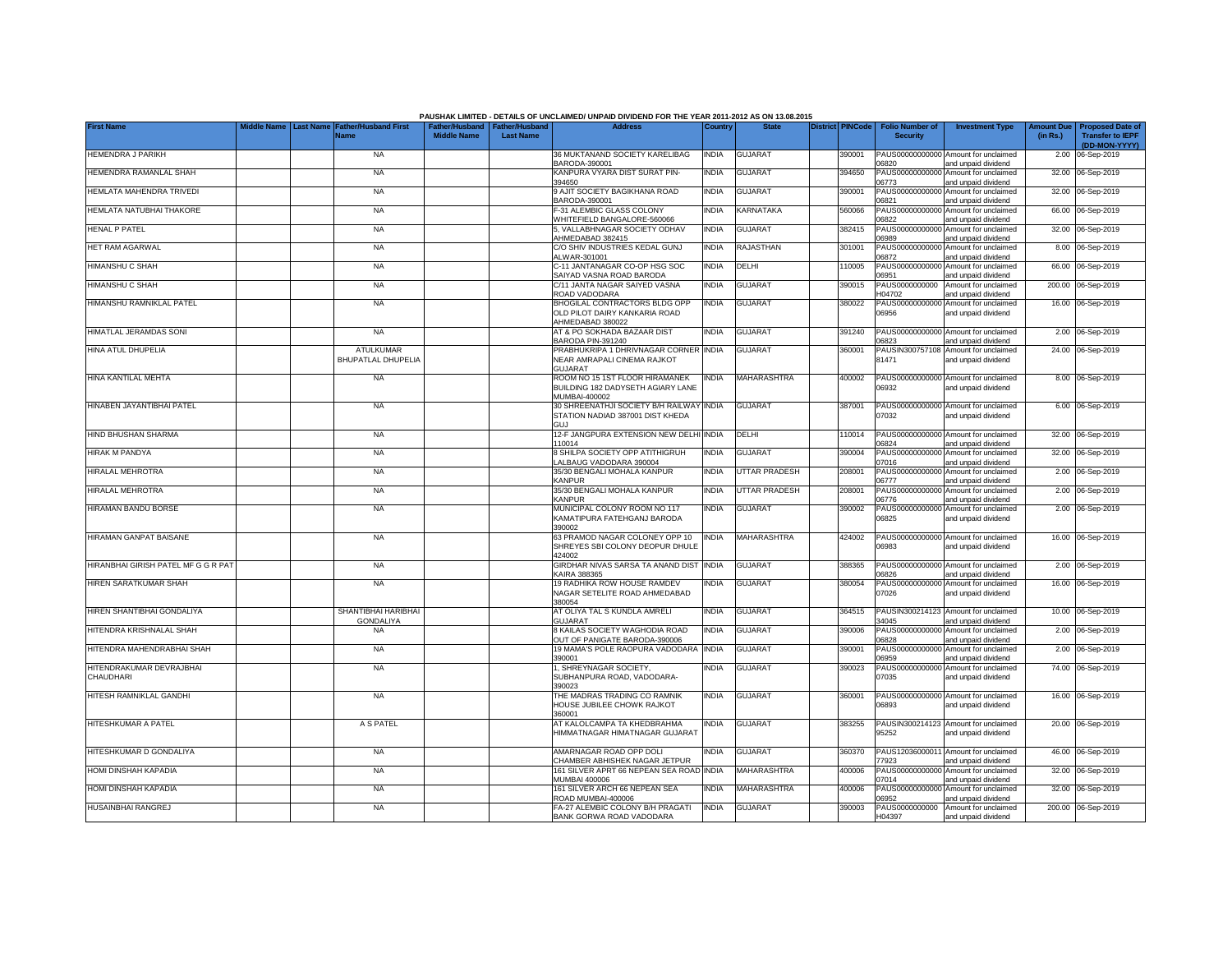|                                       |                                 |                                               |                    |                                                     | PAUSHAK LIMITED - DETAILS OF UNCLAIMED/ UNPAID DIVIDEND FOR THE YEAR 2011-2012 AS ON 13.08.2015 |              |                      |                         |                                           |                                                                                    |                               |                                                    |
|---------------------------------------|---------------------------------|-----------------------------------------------|--------------------|-----------------------------------------------------|-------------------------------------------------------------------------------------------------|--------------|----------------------|-------------------------|-------------------------------------------|------------------------------------------------------------------------------------|-------------------------------|----------------------------------------------------|
| <b>First Name</b>                     | liddle Name<br><b>Last Name</b> | <b>Father/Husband First</b><br>Name           | <b>Middle Name</b> | Father/Husband   Father/Husband<br><b>Last Name</b> | <b>Address</b>                                                                                  | Country      | <b>State</b>         | <b>District PINCode</b> | <b>Folio Number of</b><br><b>Security</b> | <b>Investment Type</b>                                                             | <b>Amount Due</b><br>(in Rs.) | <b>Proposed Date of</b><br><b>Transfer to IEPF</b> |
| <b>HEMENDRA J PARIKH</b>              |                                 | <b>NA</b>                                     |                    |                                                     | 36 MUKTANAND SOCIETY KARELIBAG                                                                  | <b>INDIA</b> | <b>GUJARAT</b>       | 390001                  |                                           | PAUS00000000000 Amount for unclaimed                                               |                               | (DD-MON-YYYY)<br>2.00 06-Sep-2019                  |
| HEMENDRA RAMANLAL SHAH                |                                 | <b>NA</b>                                     |                    |                                                     | BARODA-390001<br>KANPURA VYARA DIST SURAT PIN-                                                  | <b>INDIA</b> | <b>GUJARAT</b>       | 394650                  | 06820<br>PAUS0000000000                   | and unpaid dividend<br>Amount for unclaimed                                        |                               | 32.00 06-Sep-2019                                  |
| HEMLATA MAHENDRA TRIVEDI              |                                 | <b>NA</b>                                     |                    |                                                     | 394650<br>9 AJIT SOCIETY BAGIKHANA ROAD                                                         | <b>INDIA</b> | <b>GUJARAT</b>       | 390001                  | 06773<br>PAUS0000000000                   | and unpaid dividend<br>Amount for unclaimed                                        |                               | 32.00 06-Sep-2019                                  |
| HEMLATA NATUBHAI THAKORE              |                                 | <b>NA</b>                                     |                    |                                                     | BARODA-390001<br>F-31 ALEMBIC GLASS COLONY                                                      | <b>INDIA</b> | KARNATAKA            | 560066                  | 06821<br>PAUS0000000000                   | and unpaid dividend<br>Amount for unclaimed                                        |                               | 66.00 06-Sep-2019                                  |
| <b>HENAL P PATEL</b>                  |                                 | <b>NA</b>                                     |                    |                                                     | WHITEFIELD BANGALORE-560066<br>5, VALLABHNAGAR SOCIETY ODHAV                                    | <b>INDIA</b> | <b>GUJARAT</b>       | 382415                  | 06822<br>PAUS0000000000                   | and unpaid dividend<br>Amount for unclaimed                                        |                               | 32.00 06-Sep-2019                                  |
| HET RAM AGARWAL                       |                                 | <b>NA</b>                                     |                    |                                                     | AHMEDABAD 382415<br>C/O SHIV INDUSTRIES KEDAL GUNJ                                              | INDIA        | <b>RAJASTHAN</b>     | 301001                  | 06989<br>PAUS0000000000                   | and unpaid dividend<br>Amount for unclaimed                                        |                               | 8.00 06-Sep-2019                                   |
| <b>HIMANSHU C SHAH</b>                |                                 | <b>NA</b>                                     |                    |                                                     | ALWAR-301001<br>C-11 JANTANAGAR CO-OP HSG SOC                                                   | <b>INDIA</b> | DELHI                | 10005                   | 06872<br>PAUS0000000000                   | and unpaid dividend<br>Amount for unclaimed                                        |                               | 66.00 06-Sep-2019                                  |
|                                       |                                 |                                               |                    |                                                     | SAIYAD VASNA ROAD BARODA                                                                        |              |                      |                         | 06951                                     | and unpaid dividend                                                                |                               |                                                    |
| <b>HIMANSHU C SHAH</b>                |                                 | <b>NA</b>                                     |                    |                                                     | C/11 JANTA NAGAR SAIYED VASNA<br>ROAD VADODARA                                                  | <b>NDIA</b>  | <b>GUJARAT</b>       | 390015                  | PAUS0000000000<br>104702                  | Amount for unclaimed<br>and unpaid dividend                                        |                               | 200.00 06-Sep-2019                                 |
| HIMANSHU RAMNIKLAL PATEL              |                                 | <b>NA</b>                                     |                    |                                                     | BHOGILAL CONTRACTORS BLDG OPP<br>OLD PILOT DAIRY KANKARIA ROAD<br>AHMEDABAD 380022              | <b>INDIA</b> | <b>GUJARAT</b>       | 380022                  | PAUS00000000000<br>06956                  | Amount for unclaimed<br>and unpaid dividend                                        |                               | 16.00 06-Sep-2019                                  |
| HIMATLAL JERAMDAS SONI                |                                 | <b>NA</b>                                     |                    |                                                     | AT & PO SOKHADA BAZAAR DIST<br>BARODA PIN-391240                                                | <b>NDIA</b>  | <b>GUJARAT</b>       | 391240                  | PAUS00000000000<br>06823                  | Amount for unclaimed<br>and unpaid dividend                                        |                               | 2.00 06-Sep-2019                                   |
| HINA ATUL DHUPELIA                    |                                 | <b>ATULKUMAR</b><br><b>BHUPATLAL DHUPELIA</b> |                    |                                                     | PRABHUKRIPA 1 DHRIVNAGAR CORNER INDIA<br>NEAR AMRAPALI CINEMA RAJKOT<br><b>GUJARAT</b>          |              | <b>GUJARAT</b>       | 360001                  | 81471                                     | PAUSIN300757108 Amount for unclaimed<br>and unpaid dividend                        |                               | 24.00 06-Sep-2019                                  |
| HINA KANTILAL MEHTA                   |                                 | <b>NA</b>                                     |                    |                                                     | ROOM NO 15 1ST FLOOR HIRAMANEK<br>BUILDING 182 DADYSETH AGIARY LANE<br>MUMBAI-400002            | <b>INDIA</b> | <b>MAHARASHTRA</b>   | 400002                  | PAUS00000000000<br>06932                  | Amount for unclaimed<br>and unpaid dividend                                        |                               | 8.00 06-Sep-2019                                   |
| HINABEN JAYANTIBHAI PATEL             |                                 | <b>NA</b>                                     |                    |                                                     | 30 SHREENATHJI SOCIETY B/H RAILWAY INDIA<br>STATION NADIAD 387001 DIST KHEDA<br>GLU             |              | <b>GUJARAT</b>       | 387001                  | 07032                                     | PAUS00000000000 Amount for unclaimed<br>and unpaid dividend                        |                               | 6.00 06-Sep-2019                                   |
| HIND BHUSHAN SHARMA                   |                                 | <b>NA</b>                                     |                    |                                                     | 12-F JANGPURA EXTENSION NEW DELHI INDIA<br>110014                                               |              | DELHI                | 110014                  | PAUS0000000000<br>06824                   | Amount for unclaimed<br>and unpaid dividend                                        |                               | 32.00 06-Sep-2019                                  |
| HIRAK M PANDYA                        |                                 | <b>NA</b>                                     |                    |                                                     | 8 SHILPA SOCIETY OPP ATITHIGRUH<br>ALBAUG VADODARA 390004                                       | <b>INDIA</b> | <b>GUJARAT</b>       | 390004                  | PAUS0000000000<br>07016                   | Amount for unclaimed<br>and unpaid dividend                                        |                               | 32.00 06-Sep-2019                                  |
| <b>HIRALAL MEHROTRA</b>               |                                 | <b>NA</b>                                     |                    |                                                     | 35/30 BENGALI MOHALA KANPUR<br><b>KANPUR</b>                                                    | INDIA        | <b>UTTAR PRADESH</b> | 208001                  | PAUS0000000000<br>06777                   | Amount for unclaimed<br>and unpaid dividend                                        |                               | 2.00 06-Sep-2019                                   |
| <b>HIRALAL MEHROTRA</b>               |                                 | <b>NA</b>                                     |                    |                                                     | 35/30 BENGALI MOHALA KANPUR<br><b>KANPUR</b>                                                    | <b>INDIA</b> | UTTAR PRADESH        | 208001                  | PAUS0000000000<br>06776                   | Amount for unclaimed<br>and unpaid dividend                                        |                               | 2.00 06-Sep-2019                                   |
| <b>HIRAMAN BANDU BORSE</b>            |                                 | <b>NA</b>                                     |                    |                                                     | MUNICIPAL COLONY ROOM NO 117<br>KAMATIPURA FATEHGANJ BARODA<br>390002                           | <b>INDIA</b> | <b>GUJARAT</b>       | 390002                  | PAUS0000000000<br>06825                   | Amount for unclaimed<br>and unpaid dividend                                        |                               | 2.00 06-Sep-2019                                   |
| HIRAMAN GANPAT BAISANE                |                                 | <b>NA</b>                                     |                    |                                                     | 63 PRAMOD NAGAR COLONEY OPP 10<br>SHREYES SBI COLONY DEOPUR DHULE<br>424002                     | <b>INDIA</b> | <b>MAHARASHTRA</b>   | 424002                  | 06983                                     | PAUS00000000000 Amount for unclaimed<br>and unpaid dividend                        |                               | 16.00 06-Sep-2019                                  |
| HIRANBHAI GIRISH PATEL MF G G R PAT   |                                 | <b>NA</b>                                     |                    |                                                     | GIRDHAR NIVAS SARSA TA ANAND DIST<br><b>KAIRA 388365</b>                                        | <b>INDIA</b> | <b>GUJARAT</b>       | 388365                  | PAUS00000000000<br>06826                  | Amount for unclaimed<br>and unpaid dividend                                        |                               | 2.00 06-Sep-2019                                   |
| HIREN SARATKUMAR SHAH                 |                                 | <b>NA</b>                                     |                    |                                                     | 19 RADHIKA ROW HOUSE RAMDEV<br>NAGAR SETELITE ROAD AHMEDABAD<br>380054                          | India        | <b>GUJARAT</b>       | 380054                  | PAUS0000000000<br>07026                   | Amount for unclaimed<br>and unpaid dividend                                        |                               | 16.00 06-Sep-2019                                  |
| HIREN SHANTIBHAI GONDALIYA            |                                 | SHANTIBHAI HARIBHAI<br><b>GONDALIYA</b>       |                    |                                                     | AT OLIYA TAL S KUNDLA AMRELI<br><b>GUJARAT</b>                                                  | <b>INDIA</b> | <b>GUJARAT</b>       | 364515                  | PAUSIN300214123<br>34045                  | Amount for unclaimed<br>and unpaid dividend                                        |                               | 10.00 06-Sep-2019                                  |
| HITENDRA KRISHNALAL SHAH              |                                 | <b>NA</b>                                     |                    |                                                     | 8 KAILAS SOCIETY WAGHODIA ROAD<br>OUT OF PANIGATE BARODA-390006                                 | INDIA        | <b>GUJARAT</b>       | 390006                  | PAUS00000000000<br>06828                  | Amount for unclaimed<br>and unpaid dividend                                        |                               | 2.00 06-Sep-2019                                   |
| HITENDRA MAHENDRABHAI SHAH            |                                 | <b>NA</b>                                     |                    |                                                     | 19 MAMA'S POLE RAOPURA VADODARA<br>390001                                                       | <b>INDIA</b> | <b>GUJARAT</b>       | 390001                  | PAUS00000000000<br>06959                  | Amount for unclaimed                                                               |                               | 2.00 06-Sep-2019                                   |
| HITENDRAKUMAR DEVRAJBHAI<br>CHAUDHARI |                                 | <b>NA</b>                                     |                    |                                                     | 1, SHREYNAGAR SOCIETY,<br>SUBHANPURA ROAD, VADODARA-                                            | India        | <b>GUJARAT</b>       | 390023                  | 07035                                     | and unpaid dividend<br>PAUS00000000000 Amount for unclaimed<br>and unpaid dividend |                               | 74.00 06-Sep-2019                                  |
| HITESH RAMNIKLAL GANDHI               |                                 | <b>NA</b>                                     |                    |                                                     | 390023<br>THE MADRAS TRADING CO RAMNIK<br>HOUSE JUBILEE CHOWK RAJKOT<br>360001                  | <b>INDIA</b> | <b>GUJARAT</b>       | 360001                  | 06893                                     | PAUS00000000000 Amount for unclaimed<br>and unpaid dividend                        |                               | 16.00 06-Sep-2019                                  |
| <b>HITESHKUMAR A PATEL</b>            |                                 | A S PATEL                                     |                    |                                                     | AT KALOLCAMPA TA KHEDBRAHMA<br>HIMMATNAGAR HIMATNAGAR GUJARAT                                   | India        | <b>GUJARAT</b>       | 383255                  | 95252                                     | PAUSIN300214123 Amount for unclaimed<br>and unpaid dividend                        |                               | 20.00 06-Sep-2019                                  |
| HITESHKUMAR D GONDALIYA               |                                 | <b>NA</b>                                     |                    |                                                     | AMARNAGAR ROAD OPP DOLI                                                                         | <b>INDIA</b> | <b>GUJARAT</b>       | 360370                  | PAUS1203600001                            | Amount for unclaimed                                                               |                               | 46.00 06-Sep-2019                                  |
| HOMI DINSHAH KAPADIA                  |                                 | <b>NA</b>                                     |                    |                                                     | CHAMBER ABHISHEK NAGAR JETPUR<br>161 SILVER APRT 66 NEPEAN SEA ROAD INDIA                       |              | <b>MAHARASHTRA</b>   | 400006                  | 77923<br>PAUS00000000000                  | and unpaid dividend<br>Amount for unclaimed                                        |                               | 32.00 06-Sep-2019                                  |
| <b>IOMI DINSHAH KAPADIA</b>           |                                 | <b>NA</b>                                     |                    |                                                     | MUMBAI 400006<br>161 SILVER ARCH 66 NEPEAN SEA                                                  | <b>NDIA</b>  | MAHARASHTRA          | 400006                  | 07014<br>PAUS0000000000                   | and unpaid dividend<br>Amount for unclaimed                                        |                               | 32.00 06-Sep-2019                                  |
| <b>HUSAINBHAI RANGREJ</b>             |                                 | <b>NA</b>                                     |                    |                                                     | ROAD MUMBAI-400006<br>FA-27 ALEMBIC COLONY B/H PRAGATI                                          | <b>INDIA</b> | <b>GUJARAT</b>       | 390003                  | 06952<br>PAUS0000000000                   | and unpaid dividend<br>Amount for unclaimed                                        |                               | 200.00 06-Sep-2019                                 |
|                                       |                                 |                                               |                    |                                                     | BANK GORWA ROAD VADODARA                                                                        |              |                      |                         | H04397                                    | and unpaid dividend                                                                |                               |                                                    |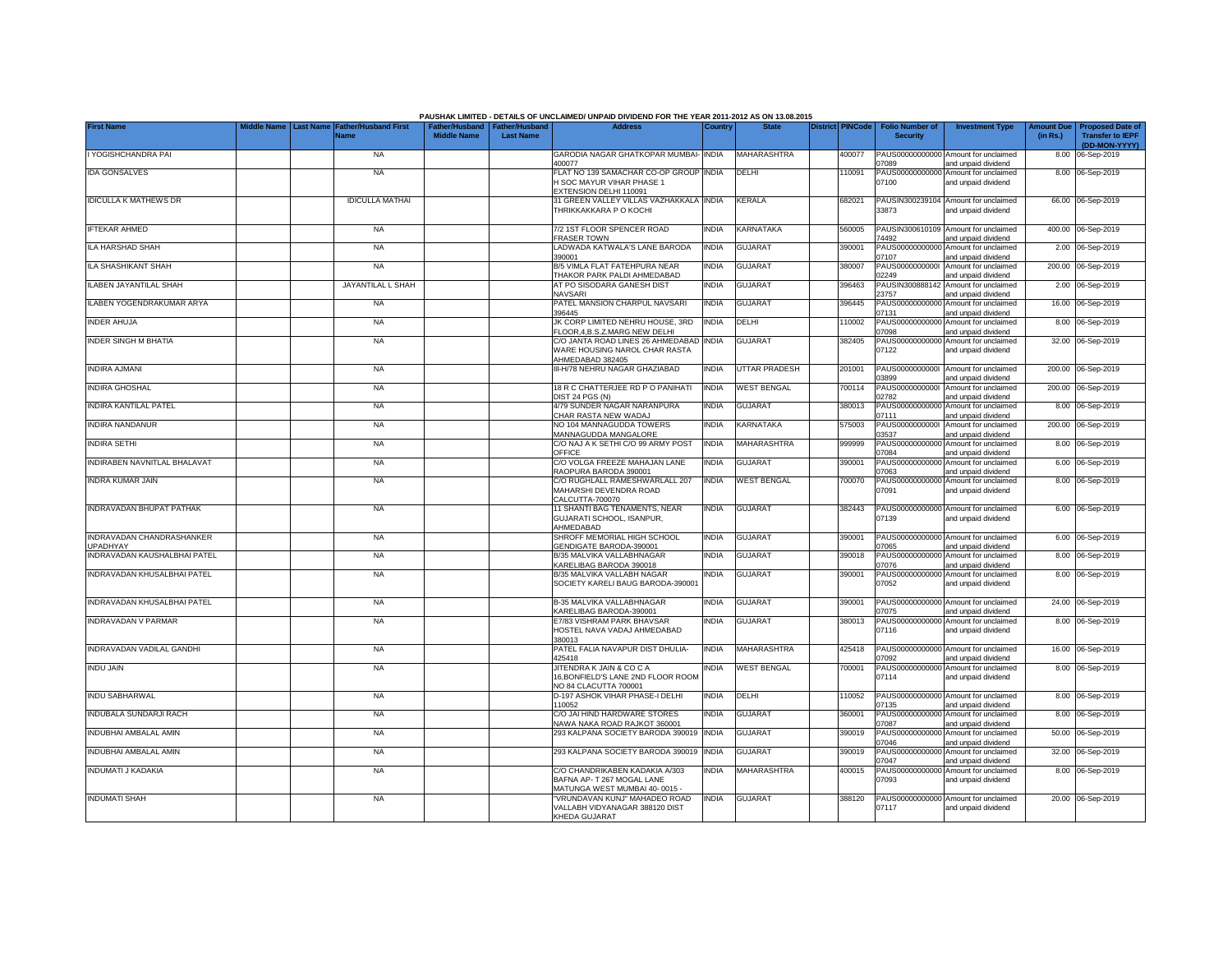|                                              |                                |                                     |                                                       |                  | PAUSHAK LIMITED - DETAILS OF UNCLAIMED/ UNPAID DIVIDEND FOR THE YEAR 2011-2012 AS ON 13.08.2015<br><b>Address</b> |              | <b>State</b>         |                         |                                           |                                                             |                               |                                                    |
|----------------------------------------------|--------------------------------|-------------------------------------|-------------------------------------------------------|------------------|-------------------------------------------------------------------------------------------------------------------|--------------|----------------------|-------------------------|-------------------------------------------|-------------------------------------------------------------|-------------------------------|----------------------------------------------------|
| <b>First Name</b>                            | <b>Last Name</b><br>iddle Name | <b>Father/Husband First</b><br>Name | Father/Husband   Father/Husband<br><b>Middle Name</b> | <b>Last Name</b> |                                                                                                                   | Country      |                      | <b>District PINCode</b> | <b>Folio Number of</b><br><b>Security</b> | <b>Investment Type</b>                                      | <b>Amount Due</b><br>(in Rs.) | <b>Proposed Date of</b><br><b>Transfer to IEPF</b> |
|                                              |                                |                                     |                                                       |                  |                                                                                                                   |              |                      |                         |                                           |                                                             |                               | (DD-MON-YYYY)                                      |
| I YOGISHCHANDRA PAI                          |                                | <b>NA</b>                           |                                                       |                  | GARODIA NAGAR GHATKOPAR MUMBAI-<br>400077                                                                         | <b>INDIA</b> | <b>MAHARASHTRA</b>   | 400077                  | 07089                                     | PAUS00000000000 Amount for unclaimed<br>and unpaid dividend |                               | 8.00 06-Sep-2019                                   |
| <b>IDA GONSALVES</b>                         |                                | <b>NA</b>                           |                                                       |                  | FLAT NO 139 SAMACHAR CO-OP GROUP INDIA                                                                            |              | DELHI                | 110091                  |                                           | PAUS00000000000 Amount for unclaimed                        |                               | 8.00 06-Sep-2019                                   |
|                                              |                                |                                     |                                                       |                  | <b>I SOC MAYUR VIHAR PHASE 1</b><br>EXTENSION DELHI 110091                                                        |              |                      |                         | 07100                                     | and unpaid dividend                                         |                               |                                                    |
| <b>IDICULLA K MATHEWS DR</b>                 |                                | <b>IDICULLA MATHAI</b>              |                                                       |                  | 31 GREEN VALLEY VILLAS VAZHAKKALA INDIA                                                                           |              | KERALA               | 682021                  |                                           | PAUSIN300239104 Amount for unclaimed                        |                               | 66.00 06-Sep-2019                                  |
|                                              |                                |                                     |                                                       |                  | THRIKKAKKARA P O KOCHI                                                                                            |              |                      |                         | 33873                                     | and unpaid dividend                                         |                               |                                                    |
| <b>IFTEKAR AHMED</b>                         |                                | <b>NA</b>                           |                                                       |                  | 7/2 1ST FLOOR SPENCER ROAD                                                                                        | <b>INDIA</b> | <b>KARNATAKA</b>     | 560005                  |                                           | PAUSIN300610109 Amount for unclaimed                        |                               | 400.00 06-Sep-2019                                 |
|                                              |                                |                                     |                                                       |                  | <b>FRASER TOWN</b>                                                                                                |              |                      |                         | 74492                                     | and unpaid dividend                                         |                               |                                                    |
| ILA HARSHAD SHAH                             |                                | <b>NA</b>                           |                                                       |                  | LADWADA KATWALA'S LANE BARODA                                                                                     | <b>INDIA</b> | GUJARAT              | 390001                  | PAUS0000000000                            | Amount for unclaimed                                        |                               | 2.00 06-Sep-2019                                   |
| ILA SHASHIKANT SHAH                          |                                | <b>NA</b>                           |                                                       |                  | 390001<br>B/5 VIMLA FLAT FATEHPURA NEAR                                                                           | <b>INDIA</b> | <b>GUJARAT</b>       | 380007                  | 07107<br>PAUS0000000000                   | and unpaid dividend<br>Amount for unclaimed                 |                               | 200.00 06-Sep-2019                                 |
|                                              |                                |                                     |                                                       |                  | THAKOR PARK PALDI AHMEDABAD                                                                                       |              |                      |                         | )2249                                     | and unpaid dividend                                         |                               |                                                    |
| <b>ILABEN JAYANTILAL SHAH</b>                |                                | JAYANTILAL L SHAH                   |                                                       |                  | AT PO SISODARA GANESH DIST                                                                                        | <b>INDIA</b> | GUJARAT              | 396463                  | PAUSIN300888142                           | Amount for unclaimed                                        |                               | 2.00 06-Sep-2019                                   |
| ILABEN YOGENDRAKUMAR ARYA                    |                                | <b>NA</b>                           |                                                       |                  | NAVSARI<br>PATEL MANSION CHARPUL NAVSARI                                                                          | <b>INDIA</b> | <b>GUJARAT</b>       | 396445                  | 23757<br>PAUS0000000000                   | and unpaid dividend<br>Amount for unclaimed                 |                               | 16.00 06-Sep-2019                                  |
|                                              |                                |                                     |                                                       |                  | 396445                                                                                                            |              |                      |                         | 07131                                     | and unpaid dividend                                         |                               |                                                    |
| <b>INDER AHUJA</b>                           |                                | <b>NA</b>                           |                                                       |                  | JK CORP LIMITED NEHRU HOUSE, 3RD<br>LOOR, 4, B.S. Z. MARG NEW DELHI                                               | <b>INDIA</b> | DELHI                | 110002                  | PAUS0000000000<br>07098                   | Amount for unclaimed<br>and unpaid dividend                 |                               | 8.00 06-Sep-2019                                   |
| <b>INDER SINGH M BHATIA</b>                  |                                | NA                                  |                                                       |                  | C/O JANTA ROAD LINES 26 AHMEDABAD INDIA                                                                           |              | GUJARAT              | 382405                  | PAUS00000000000                           | Amount for unclaimed                                        |                               | 32.00 06-Sep-2019                                  |
|                                              |                                |                                     |                                                       |                  | WARE HOUSING NAROL CHAR RASTA                                                                                     |              |                      |                         | 07122                                     | and unpaid dividend                                         |                               |                                                    |
| <b>INDIRA AJMANI</b>                         |                                | <b>NA</b>                           |                                                       |                  | AHMEDABAD 382405<br>III-H/78 NEHRU NAGAR GHAZIABAD                                                                | <b>INDIA</b> | <b>UTTAR PRADESH</b> | 201001                  |                                           | PAUS00000000001 Amount for unclaimed                        |                               | 200.00 06-Sep-2019                                 |
|                                              |                                |                                     |                                                       |                  |                                                                                                                   |              |                      |                         | 03899                                     | and unpaid dividend                                         |                               |                                                    |
| <b>INDIRA GHOSHAL</b>                        |                                | <b>NA</b>                           |                                                       |                  | 18 R C CHATTERJEE RD P O PANIHATI                                                                                 | <b>INDIA</b> | <b>WEST BENGAL</b>   | 700114                  | PAUS00000000001                           | Amount for unclaimed                                        |                               | 200.00 06-Sep-2019                                 |
| <b>INDIRA KANTILAL PATEL</b>                 |                                | <b>NA</b>                           |                                                       |                  | DIST 24 PGS (N)<br>4/79 SUNDER NAGAR NARANPURA                                                                    | <b>INDIA</b> | <b>GUJARAT</b>       | 380013                  | 02782                                     | and unpaid dividend<br>PAUS00000000000 Amount for unclaimed |                               | 8.00 06-Sep-2019                                   |
|                                              |                                |                                     |                                                       |                  | CHAR RASTA NEW WADAJ                                                                                              |              |                      |                         | 07111                                     | and unpaid dividend                                         |                               |                                                    |
| <b>INDIRA NANDANUR</b>                       |                                | <b>NA</b>                           |                                                       |                  | NO 104 MANNAGUDDA TOWERS                                                                                          | <b>INDIA</b> | KARNATAKA            | 575003                  | PAUS0000000000                            | Amount for unclaimed                                        | 200.00                        | 06-Sep-2019                                        |
| <b>INDIRA SETHI</b>                          |                                | <b>NA</b>                           |                                                       |                  | MANNAGUDDA MANGALORE<br>C/O NAJ A K SETHI C/O 99 ARMY POST                                                        | <b>INDIA</b> | MAHARASHTRA          | 999999                  | 03537<br>PAUS0000000000                   | and unpaid dividend<br>Amount for unclaimed                 | 8.00                          | 06-Sep-2019                                        |
|                                              |                                |                                     |                                                       |                  | OFFICE                                                                                                            |              |                      |                         | 07084                                     | and unpaid dividend                                         |                               |                                                    |
| <b>INDIRABEN NAVNITLAL BHALAVAT</b>          |                                | <b>NA</b>                           |                                                       |                  | C/O VOLGA FREEZE MAHAJAN LANE                                                                                     | <b>INDIA</b> | <b>GUJARAT</b>       | 390001                  | PAUS0000000000                            | Amount for unclaimed                                        | 6.00                          | 06-Sep-2019                                        |
| <b>INDRA KUMAR JAIN</b>                      |                                | <b>NA</b>                           |                                                       |                  | RAOPURA BARODA 390001<br>C/O RUGHLALL RAMESHWARLALL 207                                                           | <b>INDIA</b> | <b>WEST BENGAL</b>   | 700070                  | 07063<br>PAUS0000000000                   | and unpaid dividend<br>Amount for unclaimed                 |                               | 8.00 06-Sep-2019                                   |
|                                              |                                |                                     |                                                       |                  | MAHARSHI DEVENDRA ROAD                                                                                            |              |                      |                         | 07091                                     | and unpaid dividend                                         |                               |                                                    |
| <b>INDRAVADAN BHUPAT PATHAK</b>              |                                | <b>NA</b>                           |                                                       |                  | CALCUTTA-700070<br>11 SHANTI BAG TENAMENTS, NEAR                                                                  | <b>INDIA</b> | <b>GUJARAT</b>       | 382443                  |                                           | PAUS00000000000 Amount for unclaimed                        |                               | 6.00 06-Sep-2019                                   |
|                                              |                                |                                     |                                                       |                  | GUJARATI SCHOOL, ISANPUR,                                                                                         |              |                      |                         | 07139                                     | and unpaid dividend                                         |                               |                                                    |
|                                              |                                |                                     |                                                       |                  | AHMEDABAD                                                                                                         |              |                      |                         |                                           |                                                             |                               |                                                    |
| INDRAVADAN CHANDRASHANKER<br><b>JPADHYAY</b> |                                | <b>NA</b>                           |                                                       |                  | SHROFF MEMORIAL HIGH SCHOOL<br>GENDIGATE BARODA-390001                                                            | <b>INDIA</b> | <b>GUJARAT</b>       | 390001                  | 07065                                     | PAUS00000000000 Amount for unclaimed<br>and unpaid dividend |                               | 6.00 06-Sep-2019                                   |
| INDRAVADAN KAUSHALBHAI PATEL                 |                                | <b>NA</b>                           |                                                       |                  | B/35 MALVIKA VALLABHNAGAR                                                                                         | <b>INDIA</b> | GUJARAT              | 390018                  | PAUS00000000000                           | Amount for unclaimed                                        |                               | 8.00 06-Sep-2019                                   |
|                                              |                                |                                     |                                                       |                  | KARELIBAG BARODA 390018                                                                                           |              |                      |                         | 07076                                     | and unpaid dividend                                         |                               |                                                    |
| INDRAVADAN KHUSALBHAI PATEL                  |                                | <b>NA</b>                           |                                                       |                  | B/35 MALVIKA VALLABH NAGAR<br>SOCIETY KARELI BAUG BARODA-390001                                                   | INDIA        | GUJARAT              | 390001                  | PAUS00000000000<br>07052                  | Amount for unclaimed<br>and unpaid dividend                 |                               | 8.00 06-Sep-2019                                   |
|                                              |                                |                                     |                                                       |                  |                                                                                                                   |              |                      |                         |                                           |                                                             |                               |                                                    |
| INDRAVADAN KHUSALBHAI PATEL                  |                                | <b>NA</b>                           |                                                       |                  | B-35 MALVIKA VALLABHNAGAR<br>KARELIBAG BARODA-390001                                                              | <b>INDIA</b> | GUJARAT              | 390001                  | 07075                                     | PAUS00000000000 Amount for unclaimed<br>and unpaid dividend |                               | 24.00 06-Sep-2019                                  |
| <b>INDRAVADAN V PARMAR</b>                   |                                | <b>NA</b>                           |                                                       |                  | E7/83 VISHRAM PARK BHAVSAR                                                                                        | india        | <b>GUJARAT</b>       | 380013                  | PAUS00000000000                           | Amount for unclaimed                                        |                               | 8.00 06-Sep-2019                                   |
|                                              |                                |                                     |                                                       |                  | HOSTEL NAVA VADAJ AHMEDABAD                                                                                       |              |                      |                         | 07116                                     | and unpaid dividend                                         |                               |                                                    |
| INDRAVADAN VADILAL GANDHI                    |                                | <b>NA</b>                           |                                                       |                  | 380013<br>PATEL FALIA NAVAPUR DIST DHULIA-                                                                        | <b>INDIA</b> | MAHARASHTRA          | 425418                  |                                           | PAUS00000000000 Amount for unclaimed                        |                               | 16.00 06-Sep-2019                                  |
|                                              |                                |                                     |                                                       |                  | 425418                                                                                                            |              |                      |                         | 07092                                     | and unpaid dividend                                         |                               |                                                    |
| <b>INDU JAIN</b>                             |                                | <b>NA</b>                           |                                                       |                  | JITENDRA K JAIN & CO C A                                                                                          | <b>INDIA</b> | <b>WEST BENGAL</b>   | 700001                  |                                           | PAUS00000000000 Amount for unclaimed                        |                               | 8.00 06-Sep-2019                                   |
|                                              |                                |                                     |                                                       |                  | 16, BONFIELD'S LANE 2ND FLOOR ROOM<br>NO 84 CLACUTTA 700001                                                       |              |                      |                         | 07114                                     | and unpaid dividend                                         |                               |                                                    |
| <b>INDU SABHARWAL</b>                        |                                | <b>NA</b>                           |                                                       |                  | D-197 ASHOK VIHAR PHASE-I DELHI                                                                                   | <b>INDIA</b> | DELHI                | 110052                  |                                           | PAUS00000000000 Amount for unclaimed                        |                               | 8.00 06-Sep-2019                                   |
|                                              |                                |                                     |                                                       |                  | 110052                                                                                                            |              |                      |                         | 07135                                     | and unpaid dividend                                         |                               |                                                    |
| <b>INDUBALA SUNDARJI RACH</b>                |                                | <b>NA</b>                           |                                                       |                  | C/O JAI HIND HARDWARE STORES<br>NAWA NAKA ROAD RAJKOT 360001                                                      | <b>INDIA</b> | <b>GUJARAT</b>       | 360001                  | 07087                                     | PAUS00000000000 Amount for unclaimed<br>and unpaid dividend |                               | 8.00 06-Sep-2019                                   |
| INDUBHAI AMBALAL AMIN                        |                                | <b>NA</b>                           |                                                       |                  | 293 KALPANA SOCIETY BARODA 390019 INDIA                                                                           |              | GUJARAT              | 390019                  |                                           | PAUS00000000000 Amount for unclaimed                        |                               | 50.00 06-Sep-2019                                  |
| INDUBHAI AMBALAL AMIN                        |                                | <b>NA</b>                           |                                                       |                  | 293 KALPANA SOCIETY BARODA 390019 INDIA                                                                           |              | <b>GUJARAT</b>       | 390019                  | 07046                                     | and unpaid dividend<br>PAUS00000000000 Amount for unclaimed |                               | 32.00 06-Sep-2019                                  |
|                                              |                                |                                     |                                                       |                  |                                                                                                                   |              |                      |                         | 07047                                     | and unpaid dividend                                         |                               |                                                    |
| <b>INDUMATI J KADAKIA</b>                    |                                | <b>NA</b>                           |                                                       |                  | C/O CHANDRIKABEN KADAKIA A/303                                                                                    | <b>INDIA</b> | MAHARASHTRA          | 400015                  |                                           | PAUS00000000000 Amount for unclaimed                        |                               | 8.00 06-Sep-2019                                   |
|                                              |                                |                                     |                                                       |                  | BAFNA AP- T 267 MOGAL LANE<br>MATUNGA WEST MUMBAI 40-0015 -                                                       |              |                      |                         | 07093                                     | and unpaid dividend                                         |                               |                                                    |
| <b>INDUMATI SHAH</b>                         |                                | <b>NA</b>                           |                                                       |                  | VRUNDAVAN KUNJ" MAHADEO ROAD                                                                                      | <b>INDIA</b> | <b>GUJARAT</b>       | 388120                  |                                           | PAUS00000000000 Amount for unclaimed                        |                               | 20.00 06-Sep-2019                                  |
|                                              |                                |                                     |                                                       |                  | VALLABH VIDYANAGAR 388120 DIST                                                                                    |              |                      |                         | 07117                                     | and unpaid dividend                                         |                               |                                                    |
|                                              |                                |                                     |                                                       |                  | KHEDA GUJARAT                                                                                                     |              |                      |                         |                                           |                                                             |                               |                                                    |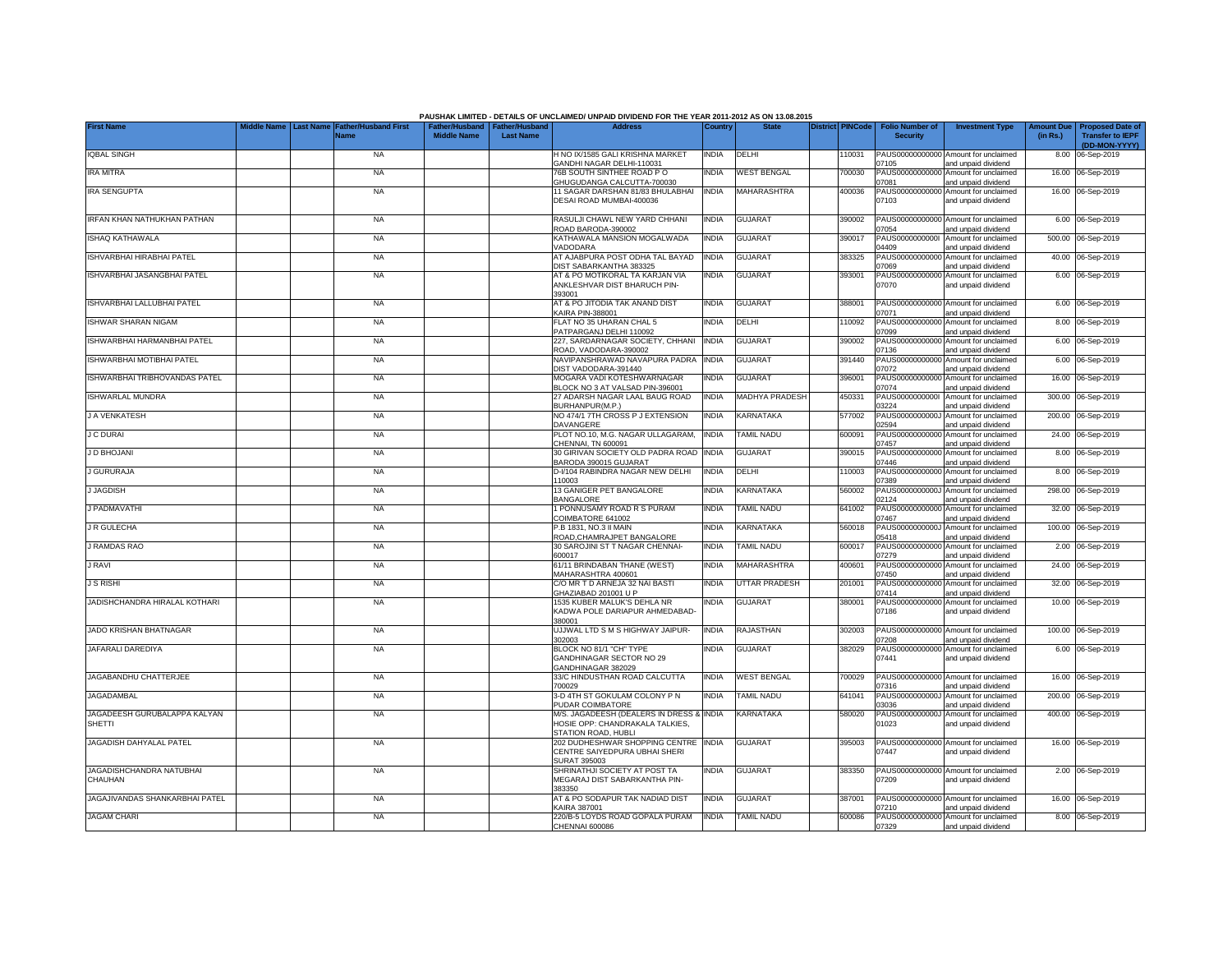|                                               |                  |                                     |                                                       |                  | PAUSHAK LIMITED - DETAILS OF UNCLAIMED/ UNPAID DIVIDEND FOR THE YEAR 2011-2012 AS ON 13.08.2015    |              |                    |                         |                                           |                                                                    |                               |                                                                     |
|-----------------------------------------------|------------------|-------------------------------------|-------------------------------------------------------|------------------|----------------------------------------------------------------------------------------------------|--------------|--------------------|-------------------------|-------------------------------------------|--------------------------------------------------------------------|-------------------------------|---------------------------------------------------------------------|
| <b>First Name</b>                             | <b>Last Name</b> | <b>Father/Husband First</b><br>Name | Father/Husband   Father/Husband<br><b>Middle Name</b> | <b>Last Name</b> | <b>Address</b>                                                                                     | Country      | <b>State</b>       | <b>District PINCode</b> | <b>Folio Number of</b><br><b>Security</b> | <b>Investment Type</b>                                             | <b>Amount Due</b><br>(in Rs.) | <b>Proposed Date of</b><br><b>Transfer to IEPF</b><br>(DD-MON-YYYY) |
| <b>IQBAL SINGH</b>                            |                  | <b>NA</b>                           |                                                       |                  | H NO IX/1585 GALI KRISHNA MARKET                                                                   | INDIA        | DELHI              | 110031                  | 07105                                     | PAUS00000000000 Amount for unclaimed                               |                               | 8.00 06-Sep-2019                                                    |
| <b>IRA MITRA</b>                              |                  | <b>NA</b>                           |                                                       |                  | <b>GANDHI NAGAR DELHI-110031</b><br>76B SOUTH SINTHEE ROAD PO<br><b>GHUGUDANGA CALCUTTA-700030</b> | INDIA        | <b>WEST BENGAL</b> | 700030                  | PAUS00000000000<br>07081                  | and unpaid dividend<br>Amount for unclaimed<br>and unpaid dividend |                               | 16.00 06-Sep-2019                                                   |
| <b>IRA SENGUPTA</b>                           |                  | <b>NA</b>                           |                                                       |                  | 11 SAGAR DARSHAN 81/83 BHULABHAI<br>DESAI ROAD MUMBAI-400036                                       | INDIA        | MAHARASHTRA        | 400036                  | PAUS0000000000<br>07103                   | Amount for unclaimed<br>and unpaid dividend                        |                               | 16.00 06-Sep-2019                                                   |
| IRFAN KHAN NATHUKHAN PATHAN                   |                  | <b>NA</b>                           |                                                       |                  | RASULJI CHAWL NEW YARD CHHANI<br>ROAD BARODA-390002                                                | <b>INDIA</b> | <b>GUJARAT</b>     | 390002                  | 07054                                     | PAUS00000000000 Amount for unclaimed<br>and unpaid dividend        |                               | 6.00 06-Sep-2019                                                    |
| <b>ISHAQ KATHAWALA</b>                        |                  | <b>NA</b>                           |                                                       |                  | KATHAWALA MANSION MOGALWADA<br>VADODARA                                                            | <b>INDIA</b> | <b>GUJARAT</b>     | 390017                  | PAUS00000000001<br>04409                  | Amount for unclaimed<br>and unpaid dividend                        |                               | 500.00 06-Sep-2019                                                  |
| ISHVARBHAI HIRABHAI PATEL                     |                  | <b>NA</b>                           |                                                       |                  | AT AJABPURA POST ODHA TAL BAYAD<br>DIST SABARKANTHA 383325                                         | <b>INDIA</b> | <b>GUJARAT</b>     | 383325                  | 07069                                     | PAUS00000000000 Amount for unclaimed<br>and unpaid dividend        |                               | 40.00 06-Sep-2019                                                   |
| ISHVARBHAI JASANGBHAI PATEL                   |                  | <b>NA</b>                           |                                                       |                  | AT & PO MOTIKORAL TA KARJAN VIA<br>ANKLESHVAR DIST BHARUCH PIN-<br>393001                          | <b>INDIA</b> | <b>GUJARAT</b>     | 393001                  | 07070                                     | PAUS00000000000 Amount for unclaimed<br>and unpaid dividend        |                               | 6.00 06-Sep-2019                                                    |
| ISHVARBHAI LALLUBHAI PATEL                    |                  | <b>NA</b>                           |                                                       |                  | AT & PO JITODIA TAK ANAND DIST<br><b>KAIRA PIN-388001</b>                                          | india        | <b>GUJARAT</b>     | 388001                  | 07071                                     | PAUS00000000000 Amount for unclaimed<br>and unpaid dividend        |                               | 6.00 06-Sep-2019                                                    |
| <b>ISHWAR SHARAN NIGAM</b>                    |                  | <b>NA</b>                           |                                                       |                  | FLAT NO 35 UHARAN CHAL 5<br>PATPARGANJ DELHI 110092                                                | India        | DELHI              | 110092                  | PAUS0000000000<br>07099                   | Amount for unclaimed<br>and unpaid dividend                        |                               | 8.00 06-Sep-2019                                                    |
| ISHWARBHAI HARMANBHAI PATEL                   |                  | <b>NA</b>                           |                                                       |                  | 227, SARDARNAGAR SOCIETY, CHHANI<br>ROAD, VADODARA-390002                                          | <b>INDIA</b> | <b>GUJARAT</b>     | 390002                  | PAUS0000000000<br>07136                   | Amount for unclaimed<br>and unpaid dividend                        |                               | 6.00 06-Sep-2019                                                    |
| ISHWARBHAI MOTIBHAI PATEL                     |                  | <b>NA</b>                           |                                                       |                  | NAVIPANSHRAWAD NAVAPURA PADRA<br>DIST VADODARA-391440                                              | <b>INDIA</b> | <b>GUJARAT</b>     | 391440                  | PAUS00000000000<br>07072                  | Amount for unclaimed<br>and unpaid dividend                        |                               | 6.00 06-Sep-2019                                                    |
| ISHWARBHAI TRIBHOVANDAS PATEL                 |                  | <b>NA</b>                           |                                                       |                  | MOGARA VADI KOTESHWARNAGAR<br>BLOCK NO 3 AT VALSAD PIN-396001                                      | india        | <b>GUJARAT</b>     | 396001                  | PAUS00000000000<br>07074                  | Amount for unclaimed<br>and unpaid dividend                        |                               | 16.00 06-Sep-2019                                                   |
| <b>ISHWARLAL MUNDRA</b>                       |                  | <b>NA</b>                           |                                                       |                  | 27 ADARSH NAGAR LAAL BAUG ROAD<br>BURHANPUR(M.P.)                                                  | India        | MADHYA PRADESH     | 450331                  | PAUS00000000001<br>3224                   | Amount for unclaimed<br>and unpaid dividend                        |                               | 300.00 06-Sep-2019                                                  |
| <b>J A VENKATESH</b>                          |                  | <b>NA</b>                           |                                                       |                  | NO 474/1 7TH CROSS P J EXTENSION<br>DAVANGERE                                                      | INDIA        | KARNATAKA          | 577002                  | PAUS0000000000J<br>02594                  | Amount for unclaimed<br>and unpaid dividend                        |                               | 200.00 06-Sep-2019                                                  |
| <b>J C DURAI</b>                              |                  | <b>NA</b>                           |                                                       |                  | PLOT NO.10, M.G. NAGAR ULLAGARAM,<br>CHENNAI, TN 600091                                            | <b>INDIA</b> | TAMIL NADU         | 600091                  | 07457                                     | PAUS00000000000 Amount for unclaimed<br>and unpaid dividend        |                               | 24.00 06-Sep-2019                                                   |
| J D BHOJANI                                   |                  | <b>NA</b>                           |                                                       |                  | 30 GIRIVAN SOCIETY OLD PADRA ROAD<br>BARODA 390015 GUJARAT                                         | <b>INDIA</b> | <b>GUJARAT</b>     | 390015                  | 07446                                     | PAUS00000000000 Amount for unclaimed<br>and unpaid dividend        |                               | 8.00 06-Sep-2019                                                    |
| <b>J GURURAJA</b>                             |                  | <b>NA</b>                           |                                                       |                  | D-I/104 RABINDRA NAGAR NEW DELHI<br>110003                                                         | <b>INDIA</b> | <b>DELHI</b>       | 110003                  | 07389                                     | PAUS00000000000 Amount for unclaimed<br>and unpaid dividend        |                               | 8.00 06-Sep-2019                                                    |
| <b>J JAGDISH</b>                              |                  | <b>NA</b>                           |                                                       |                  | 13 GANIGER PET BANGALORE<br><b>BANGALORE</b>                                                       | INDIA        | KARNATAKA          | 560002                  | PAUS0000000000J<br>02124                  | Amount for unclaimed<br>and unpaid dividend                        |                               | 298.00 06-Sep-2019                                                  |
| <b>J PADMAVATHI</b>                           |                  | <b>NA</b>                           |                                                       |                  | 1 PONNUSAMY ROAD R S PURAM<br>COIMBATORE 641002                                                    | india        | <b>TAMIL NADU</b>  | 641002                  | PAUS00000000000<br>07467                  | Amount for unclaimed<br>and unpaid dividend                        |                               | 32.00 06-Sep-2019                                                   |
| <b>J R GULECHA</b>                            |                  | <b>NA</b>                           |                                                       |                  | P.B 1831, NO.3 II MAIN<br>ROAD, CHAMRAJPET BANGALORE                                               | <b>INDIA</b> | KARNATAKA          | 560018                  | PAUS0000000000.<br>05418                  | Amount for unclaimed<br>and unpaid dividend                        |                               | 100.00 06-Sep-2019                                                  |
| <b>J RAMDAS RAO</b>                           |                  | <b>NA</b>                           |                                                       |                  | 30 SAROJINI ST T NAGAR CHENNAI-<br>600017                                                          | <b>INDIA</b> | <b>TAMIL NADU</b>  | 600017                  | PAUS00000000000<br>07279                  | Amount for unclaimed<br>and unpaid dividend                        |                               | 2.00 06-Sep-2019                                                    |
| <b>J RAVI</b>                                 |                  | <b>NA</b>                           |                                                       |                  | 61/11 BRINDABAN THANE (WEST)<br>MAHARASHTRA 400601                                                 | INDIA        | <b>MAHARASHTRA</b> | 400601                  | PAUS0000000000<br>07450                   | Amount for unclaimed<br>and unpaid dividend                        |                               | 24.00 06-Sep-2019                                                   |
| <b>J S RISHI</b>                              |                  | <b>NA</b>                           |                                                       |                  | C/O MR T D ARNEJA 32 NAI BASTI<br>GHAZIABAD 201001 U P                                             | india        | UTTAR PRADESH      | 201001                  | PAUS0000000000<br>07414                   | Amount for unclaimed<br>and unpaid dividend                        |                               | 32.00 06-Sep-2019                                                   |
| JADISHCHANDRA HIRALAL KOTHARI                 |                  | <b>NA</b>                           |                                                       |                  | 1535 KUBER MALUK'S DEHLA NR<br>KADWA POLE DARIAPUR AHMEDABAD-<br>380001                            | INDIA        | <b>GUJARAT</b>     | 380001                  | PAUS00000000000<br>07186                  | Amount for unclaimed<br>and unpaid dividend                        |                               | 10.00 06-Sep-2019                                                   |
| JADO KRISHAN BHATNAGAR                        |                  | <b>NA</b>                           |                                                       |                  | UJJWAL LTD S M S HIGHWAY JAIPUR-<br>302003                                                         | <b>INDIA</b> | <b>RAJASTHAN</b>   | 302003                  | 07208                                     | PAUS00000000000 Amount for unclaimed<br>and unpaid dividend        |                               | 100.00 06-Sep-2019                                                  |
| JAFARALI DAREDIYA                             |                  | <b>NA</b>                           |                                                       |                  | BLOCK NO 81/1 "CH" TYPE<br>GANDHINAGAR SECTOR NO 29<br>GANDHINAGAR 382029                          | INDIA        | <b>GUJARAT</b>     | 382029                  | 07441                                     | PAUS00000000000 Amount for unclaimed<br>and unpaid dividend        |                               | 6.00 06-Sep-2019                                                    |
| JAGABANDHU CHATTERJEE                         |                  | <b>NA</b>                           |                                                       |                  | 33/C HINDUSTHAN ROAD CALCUTTA<br>700029                                                            | <b>INDIA</b> | <b>WEST BENGAL</b> | 700029                  | 07316                                     | PAUS00000000000 Amount for unclaimed<br>and unpaid dividend        |                               | 16.00 06-Sep-2019                                                   |
| JAGADAMBAL                                    |                  | <b>NA</b>                           |                                                       |                  | 3-D 4TH ST GOKULAM COLONY P N<br>PUDAR COIMBATORE                                                  | <b>INDIA</b> | TAMIL NADU         | 641041                  | PAUS0000000000.<br>03036                  | Amount for unclaimed<br>and unpaid dividend                        |                               | 200.00 06-Sep-2019                                                  |
| JAGADEESH GURUBALAPPA KALYAN<br><b>SHETTI</b> |                  | <b>NA</b>                           |                                                       |                  | M/S. JAGADEESH (DEALERS IN DRESS &<br>HOSIE OPP: CHANDRAKALA TALKIES,<br>STATION ROAD, HUBLI       | <b>INDIA</b> | KARNATAKA          | 580020                  | PAUS0000000000<br>01023                   | Amount for unclaimed<br>and unpaid dividend                        |                               | 400.00 06-Sep-2019                                                  |
| JAGADISH DAHYALAL PATEL                       |                  | <b>NA</b>                           |                                                       |                  | 202 DUDHESHWAR SHOPPING CENTRE<br>CENTRE SAIYEDPURA UBHAI SHERI<br><b>SURAT 395003</b>             | <b>INDIA</b> | <b>GUJARAT</b>     | 395003                  | 07447                                     | PAUS00000000000 Amount for unclaimed<br>and unpaid dividend        |                               | 16.00 06-Sep-2019                                                   |
| JAGADISHCHANDRA NATUBHAI<br>CHAUHAN           |                  | <b>NA</b>                           |                                                       |                  | SHRINATHJI SOCIETY AT POST TA<br>MEGARAJ DIST SABARKANTHA PIN-<br>383350                           | INDIA        | <b>GUJARAT</b>     | 383350                  | 07209                                     | PAUS00000000000 Amount for unclaimed<br>and unpaid dividend        |                               | 2.00 06-Sep-2019                                                    |
| JAGAJIVANDAS SHANKARBHAI PATEL                |                  | <b>NA</b>                           |                                                       |                  | AT & PO SODAPUR TAK NADIAD DIST<br><b>KAIRA 387001</b>                                             | <b>INDIA</b> | <b>GUJARAT</b>     | 387001                  | 07210                                     | PAUS00000000000 Amount for unclaimed<br>and unpaid dividend        |                               | 16.00 06-Sep-2019                                                   |
| <b>JAGAM CHARI</b>                            |                  | <b>NA</b>                           |                                                       |                  | 220/B-5 LOYDS ROAD GOPALA PURAM<br>CHENNAI 600086                                                  | <b>INDIA</b> | <b>TAMIL NADU</b>  | 600086                  | 07329                                     | PAUS00000000000 Amount for unclaimed<br>and unpaid dividend        |                               | 8.00 06-Sep-2019                                                    |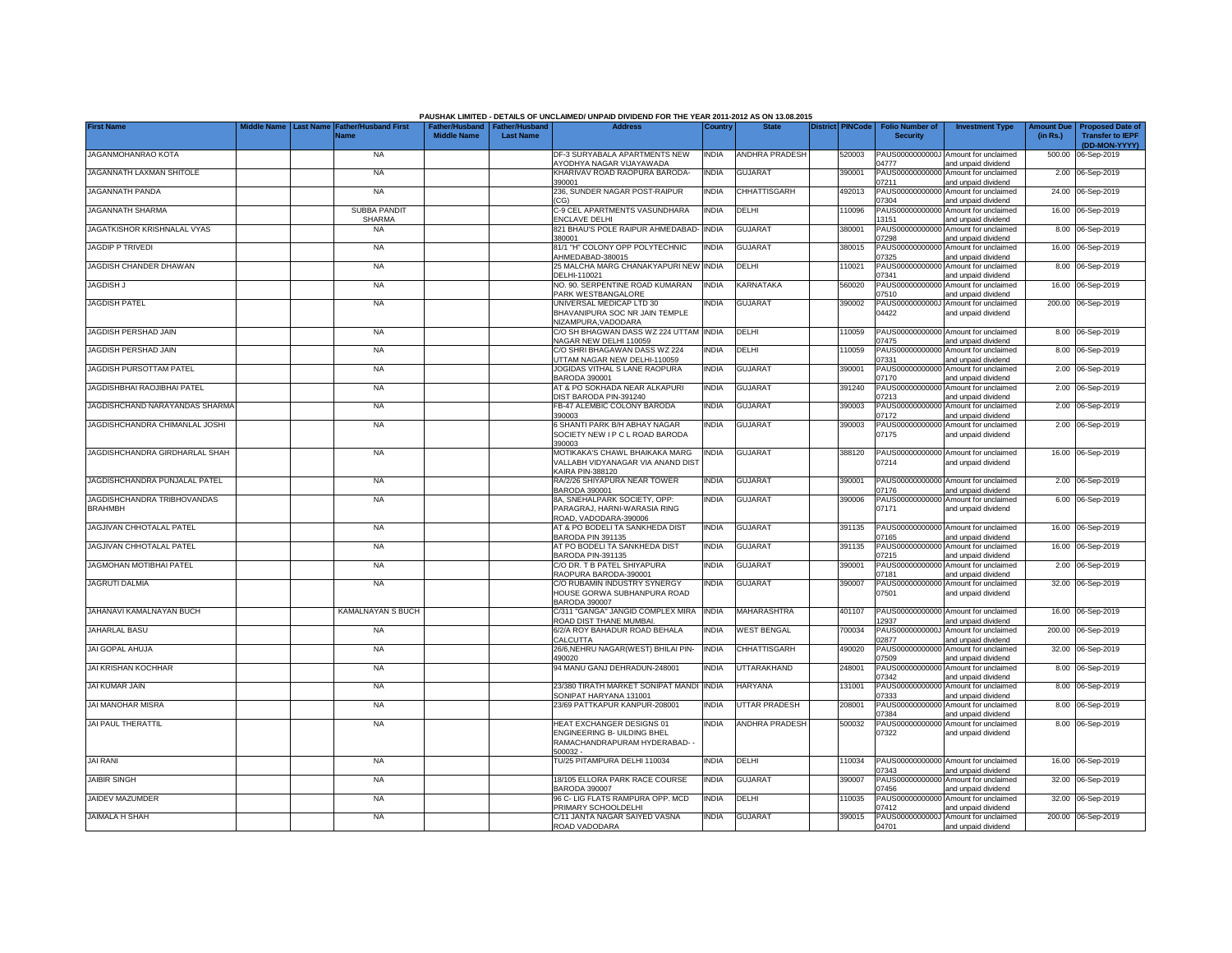| <b>First Name</b>                             | Last Name | <b>Father/Husband First</b> | Father/Husband   Father/Husband |                  | PAUSHAK LIMITED - DETAILS OF UNCLAIMED/ UNPAID DIVIDEND FOR THE YEAR 2011-2012 AS ON 13.08.2015<br><b>Address</b> | Country      | <b>State</b>          | <b>District PINCode</b> | <b>Folio Number of</b>   | <b>Investment Type</b>                                      | <b>Amount Due</b> | <b>Proposed Date of</b>                  |
|-----------------------------------------------|-----------|-----------------------------|---------------------------------|------------------|-------------------------------------------------------------------------------------------------------------------|--------------|-----------------------|-------------------------|--------------------------|-------------------------------------------------------------|-------------------|------------------------------------------|
|                                               |           | Name                        | <b>Middle Name</b>              | <b>Last Name</b> |                                                                                                                   |              |                       |                         | <b>Security</b>          |                                                             | (in Rs.)          | <b>Transfer to IEPF</b><br>(DD-MON-YYYY) |
| JAGANMOHANRAO KOTA                            |           | <b>NA</b>                   |                                 |                  | DF-3 SURYABALA APARTMENTS NEW                                                                                     | <b>INDIA</b> | <b>ANDHRA PRADESH</b> | 520003                  | 04777                    | PAUS0000000000J Amount for unclaimed                        |                   | 500.00 06-Sep-2019                       |
| JAGANNATH LAXMAN SHITOLE                      |           | <b>NA</b>                   |                                 |                  | AYODHYA NAGAR VIJAYAWADA<br>KHARIVAV ROAD RAOPURA BARODA-<br>390001                                               | <b>INDIA</b> | <b>GUJARAT</b>        | 390001                  | PAUS00000000000<br>07211 | and unpaid dividend<br>Amount for unclaimed                 |                   | 2.00 06-Sep-2019                         |
| JAGANNATH PANDA                               |           | <b>NA</b>                   |                                 |                  | 236, SUNDER NAGAR POST-RAIPUR                                                                                     | <b>INDIA</b> | CHHATTISGARH          | 492013                  | PAUS00000000000          | and unpaid dividend<br>Amount for unclaimed                 | 24.00             | 06-Sep-2019                              |
| JAGANNATH SHARMA                              |           | <b>SUBBA PANDI</b>          |                                 |                  | CGI<br>C-9 CEL APARTMENTS VASUNDHARA                                                                              | <b>INDIA</b> | DELHI                 | 110096                  | 07304<br>PAUS0000000000  | and unpaid dividend<br>Amount for unclaimed                 |                   | 16.00 06-Sep-2019                        |
| JAGATKISHOR KRISHNALAL VYAS                   |           | <b>SHARMA</b><br><b>NA</b>  |                                 |                  | <b>ENCLAVE DELHI</b><br>821 BHAU'S POLE RAIPUR AHMEDABAD-                                                         | <b>INDIA</b> | <b>GUJARAT</b>        | 380001                  | 13151<br>PAUS00000000000 | and unpaid dividend<br>Amount for unclaimed                 |                   | 8.00 06-Sep-2019                         |
| <b>JAGDIP P TRIVEDI</b>                       |           | <b>NA</b>                   |                                 |                  | 380001<br>81/1 "H" COLONY OPP POLYTECHNIC                                                                         | INDIA        | <b>GUJARAT</b>        | 380015                  | 07298<br>PAUS00000000000 | and unpaid dividend<br>Amount for unclaimed                 |                   | 16.00 06-Sep-2019                        |
| JAGDISH CHANDER DHAWAN                        |           | <b>NA</b>                   |                                 |                  | AHMEDABAD-380015<br>25 MALCHA MARG CHANAKYAPURI NEW                                                               | <b>INDIA</b> | DELHI                 | 110021                  | 07325<br>PAUS0000000000  | and unpaid dividend<br>Amount for unclaimed                 |                   | 8.00 06-Sep-2019                         |
| <b>JAGDISH J</b>                              |           | <b>NA</b>                   |                                 |                  | DELHI-110021<br>NO. 90. SERPENTINE ROAD KUMARAN                                                                   | <b>INDIA</b> | KARNATAKA             | 560020                  | 07341<br>PAUS0000000000  | and unpaid dividend<br>Amount for unclaimed                 |                   | 16.00 06-Sep-2019                        |
| <b>JAGDISH PATEL</b>                          |           | <b>NA</b>                   |                                 |                  | PARK WESTBANGALORE<br>UNIVERSAL MEDICAP LTD 30                                                                    | India        | <b>GUJARAT</b>        | 390002                  | 07510<br>PAUS0000000000  | and unpaid dividend<br>Amount for unclaimed                 |                   | 200.00 06-Sep-2019                       |
|                                               |           |                             |                                 |                  | BHAVANIPURA SOC NR JAIN TEMPLE<br>NIZAMPURA, VADODARA                                                             |              |                       |                         | 04422                    | and unpaid dividend                                         |                   |                                          |
| JAGDISH PERSHAD JAIN                          |           | <b>NA</b>                   |                                 |                  | C/O SH BHAGWAN DASS WZ 224 UTTAM INDIA<br>NAGAR NEW DELHI 110059                                                  |              | DELHI                 | 110059                  | 07475                    | PAUS00000000000 Amount for unclaimed<br>and unpaid dividend |                   | 8.00 06-Sep-2019                         |
| JAGDISH PERSHAD JAIN                          |           | <b>NA</b>                   |                                 |                  | C/O SHRI BHAGAWAN DASS WZ 224<br>UTTAM NAGAR NEW DELHI-110059                                                     | <b>INDIA</b> | DELHI                 | 110059                  | PAUS00000000000<br>07331 | Amount for unclaimed<br>and unpaid dividend                 |                   | 8.00 06-Sep-2019                         |
| JAGDISH PURSOTTAM PATEL                       |           | <b>NA</b>                   |                                 |                  | JOGIDAS VITHAL S LANE RAOPURA<br><b>BARODA 390001</b>                                                             | <b>INDIA</b> | <b>GUJARAT</b>        | 390001                  | PAUS00000000000<br>07170 | Amount for unclaimed<br>and unpaid dividend                 | 2.00              | 06-Sep-2019                              |
| JAGDISHBHAI RAOJIBHAI PATEL                   |           | <b>NA</b>                   |                                 |                  | AT & PO SOKHADA NEAR ALKAPURI<br>DIST BARODA PIN-391240                                                           | <b>INDIA</b> | <b>GUJARAT</b>        | 391240                  | PAUS00000000000<br>07213 | Amount for unclaimed<br>and unpaid dividend                 |                   | 2.00 06-Sep-2019                         |
| JAGDISHCHAND NARAYANDAS SHARMA                |           | <b>NA</b>                   |                                 |                  | FB-47 ALEMBIC COLONY BARODA<br>390003                                                                             | India        | <b>GUJARAT</b>        | 390003                  | PAUS00000000000<br>07172 | Amount for unclaimed<br>and unpaid dividend                 |                   | 2.00 06-Sep-2019                         |
| JAGDISHCHANDRA CHIMANLAL JOSHI                |           | <b>NA</b>                   |                                 |                  | 6 SHANTI PARK B/H ABHAY NAGAR<br>SOCIETY NEW I P C L ROAD BARODA                                                  | India        | <b>GUJARAT</b>        | 390003                  | 07175                    | PAUS00000000000 Amount for unclaimed<br>and unpaid dividend |                   | 2.00 06-Sep-2019                         |
|                                               |           |                             |                                 |                  | 390003                                                                                                            |              |                       |                         |                          |                                                             |                   |                                          |
| JAGDISHCHANDRA GIRDHARLAL SHAH                |           | <b>NA</b>                   |                                 |                  | MOTIKAKA'S CHAWL BHAIKAKA MARG<br>VALLABH VIDYANAGAR VIA ANAND DIST<br><b>KAIRA PIN-388120</b>                    | <b>INDIA</b> | <b>GUJARAT</b>        | 388120                  | 07214                    | PAUS00000000000 Amount for unclaimed<br>and unpaid dividend |                   | 16.00 06-Sep-2019                        |
| JAGDISHCHANDRA PUNJALAL PATEL                 |           | <b>NA</b>                   |                                 |                  | RA/2/26 SHIYAPURA NEAR TOWER<br>BARODA 390001                                                                     | <b>INDIA</b> | <b>GUJARAT</b>        | 390001                  | PAUS00000000000<br>07176 | Amount for unclaimed<br>and unpaid dividend                 |                   | 2.00 06-Sep-2019                         |
| JAGDISHCHANDRA TRIBHOVANDAS<br><b>BRAHMBH</b> |           | <b>NA</b>                   |                                 |                  | 8A, SNEHALPARK SOCIETY, OPP:<br>PARAGRAJ, HARNI-WARASIA RING                                                      | India        | <b>GUJARAT</b>        | 390006                  | PAUS00000000000<br>07171 | Amount for unclaimed<br>and unpaid dividend                 |                   | 6.00 06-Sep-2019                         |
| JAGJIVAN CHHOTALAL PATEL                      |           | <b>NA</b>                   |                                 |                  | ROAD, VADODARA-390006<br>AT & PO BODELI TA SANKHEDA DIST                                                          | <b>INDIA</b> | <b>GUJARAT</b>        | 391135                  |                          | PAUS00000000000 Amount for unclaimed                        |                   | 16.00 06-Sep-2019                        |
| JAGJIVAN CHHOTALAL PATEL                      |           | <b>NA</b>                   |                                 |                  | BARODA PIN 391135<br>AT PO BODELI TA SANKHEDA DIST                                                                | India        | <b>GUJARAT</b>        | 391135                  | 07165<br>PAUS0000000000  | and unpaid dividend<br>Amount for unclaimed                 |                   | 16.00 06-Sep-2019                        |
| <b>JAGMOHAN MOTIBHAI PATEL</b>                |           | <b>NA</b>                   |                                 |                  | BARODA PIN-391135<br>C/O DR. T B PATEL SHIYAPURA                                                                  | <b>NDIA</b>  | <b>GUJARAT</b>        | 390001                  | 07215<br>PAUS00000000000 | and unpaid dividend<br>Amount for unclaimed                 |                   | 2.00 06-Sep-2019                         |
| <b>JAGRUTI DALMIA</b>                         |           | <b>NA</b>                   |                                 |                  | RAOPURA BARODA-390001<br>C/O RUBAMIN INDUSTRY SYNERGY                                                             | India        | <b>GUJARAT</b>        | 390007                  | 07181<br>PAUS00000000000 | and unpaid dividend<br>Amount for unclaimed                 |                   | 32.00 06-Sep-2019                        |
|                                               |           |                             |                                 |                  | HOUSE GORWA SUBHANPURA ROAD<br><b>BARODA 390007</b>                                                               |              |                       |                         | 07501                    | and unpaid dividend                                         |                   |                                          |
| JAHANAVI KAMALNAYAN BUCH                      |           | <b>KAMALNAYAN S BUCH</b>    |                                 |                  | C/311 "GANGA" JANGID COMPLEX MIRA<br>ROAD DIST THANE MUMBAI                                                       | <b>INDIA</b> | MAHARASHTRA           | 401107                  | PAUS00000000000<br>12937 | Amount for unclaimed<br>and unpaid dividend                 |                   | 16.00 06-Sep-2019                        |
| JAHARLAL BASU                                 |           | <b>NA</b>                   |                                 |                  | 6/2/A ROY BAHADUR ROAD BEHALA<br>CALCUTTA                                                                         | INDIA        | <b>WEST BENGAL</b>    | 700034                  | PAUS0000000000.<br>02877 | Amount for unclaimed<br>and unpaid dividend                 |                   | 200.00 06-Sep-2019                       |
| JAI GOPAL AHUJA                               |           | <b>NA</b>                   |                                 |                  | 26/6, NEHRU NAGAR (WEST) BHILAI PIN-<br>490020                                                                    | <b>INDIA</b> | CHHATTISGARH          | 490020                  | PAUS00000000000<br>07509 | Amount for unclaimed<br>and unpaid dividend                 |                   | 32.00 06-Sep-2019                        |
| JAI KRISHAN KOCHHAR                           |           | <b>NA</b>                   |                                 |                  | 94 MANU GANJ DEHRADUN-248001                                                                                      | INDIA        | UTTARAKHAND           | 248001                  | PAUS0000000000<br>07342  | Amount for unclaimed<br>and unpaid dividend                 |                   | 8.00 06-Sep-2019                         |
| JAI KUMAR JAIN                                |           | <b>NA</b>                   |                                 |                  | 23/380 TIRATH MARKET SONIPAT MANDI<br>SONIPAT HARYANA 131001                                                      | <b>INDIA</b> | <b>HARYANA</b>        | 131001                  | PAUS0000000000<br>07333  | Amount for unclaimed<br>and unpaid dividend                 |                   | 8.00 06-Sep-2019                         |
| JAI MANOHAR MISRA                             |           | <b>NA</b>                   |                                 |                  | 23/69 PATTKAPUR KANPUR-208001                                                                                     | <b>INDIA</b> | <b>UTTAR PRADESH</b>  | 208001                  | PAUS0000000000<br>07384  | Amount for unclaimed<br>and unpaid dividend                 |                   | 8.00 06-Sep-2019                         |
| <b>JAI PAUL THERATTIL</b>                     |           | <b>NA</b>                   |                                 |                  | HEAT EXCHANGER DESIGNS 01<br>ENGINEERING B- UILDING BHEL                                                          | <b>INDIA</b> | <b>ANDHRA PRADESH</b> | 500032                  | PAUS00000000000<br>07322 | Amount for unclaimed<br>and unpaid dividend                 |                   | 8.00 06-Sep-2019                         |
|                                               |           |                             |                                 |                  | RAMACHANDRAPURAM HYDERABAD- -<br>500032-                                                                          |              |                       |                         |                          |                                                             |                   |                                          |
| <b>JAI RANI</b>                               |           | <b>NA</b>                   |                                 |                  | TU/25 PITAMPURA DELHI 110034                                                                                      | india        | <b>DELHI</b>          | 110034                  | PAUS00000000000<br>07343 | Amount for unclaimed<br>and unpaid dividend                 |                   | 16.00 06-Sep-2019                        |
| <b>JAIBIR SINGH</b>                           |           | <b>NA</b>                   |                                 |                  | 18/105 ELLORA PARK RACE COURSE<br><b>BARODA 390007</b>                                                            | <b>INDIA</b> | <b>GUJARAT</b>        | 390007                  | PAUS00000000000<br>07456 | Amount for unclaimed<br>and unpaid dividend                 |                   | 32.00 06-Sep-2019                        |
| JAIDEV MAZUMDER                               |           | <b>NA</b>                   |                                 |                  | 96 C- LIG FLATS RAMPURA OPP. MCD<br>PRIMARY SCHOOLDELHI                                                           | <b>INDIA</b> | DELHI                 | 110035                  | 07412                    | PAUS00000000000 Amount for unclaimed<br>and unpaid dividend |                   | 32.00 06-Sep-2019                        |
| <b>JAIMALA H SHAH</b>                         |           | <b>NA</b>                   |                                 |                  | C/11 JANTA NAGAR SAIYED VASNA<br>ROAD VADODARA                                                                    | India        | <b>GUJARAT</b>        | 390015                  | 04701                    | PAUS0000000000J Amount for unclaimed<br>and unpaid dividend |                   | 200.00 06-Sep-2019                       |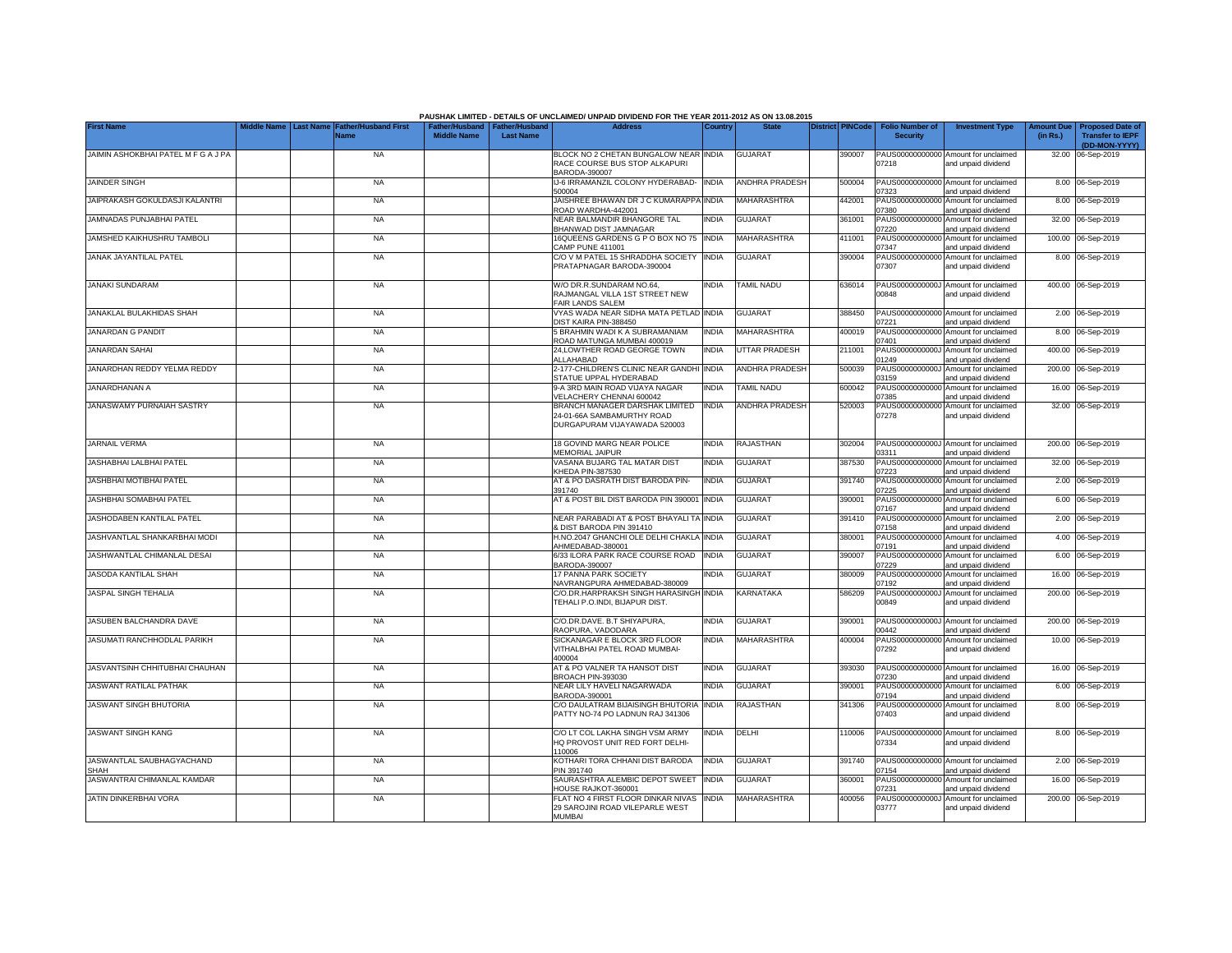|                                     |                  |                                     |                                      |                                           | PAUSHAK LIMITED - DETAILS OF UNCLAIMED/ UNPAID DIVIDEND FOR THE YEAR 2011-2012 AS ON 13.08.2015 |              |                       |                         |                                           |                                                             |                               |                                                    |
|-------------------------------------|------------------|-------------------------------------|--------------------------------------|-------------------------------------------|-------------------------------------------------------------------------------------------------|--------------|-----------------------|-------------------------|-------------------------------------------|-------------------------------------------------------------|-------------------------------|----------------------------------------------------|
| <b>First Name</b>                   | <b>Last Name</b> | <b>Father/Husband First</b><br>Name | Father/Husband<br><b>Middle Name</b> | <b>Father/Husband</b><br><b>Last Name</b> | <b>Address</b>                                                                                  | Country      | <b>State</b>          | <b>District PINCode</b> | <b>Folio Number of</b><br><b>Security</b> | <b>Investment Type</b>                                      | <b>Amount Due</b><br>(in Rs.) | <b>Proposed Date of</b><br><b>Transfer to IEPF</b> |
|                                     |                  |                                     |                                      |                                           |                                                                                                 |              |                       |                         |                                           |                                                             |                               | (DD-MON-YYYY)                                      |
| JAIMIN ASHOKBHAI PATEL M F G A J PA |                  | <b>NA</b>                           |                                      |                                           | BLOCK NO 2 CHETAN BUNGALOW NEAR INDIA<br>RACE COURSE BUS STOP ALKAPURI<br>BARODA-390007         |              | <b>GUJARAT</b>        | 390007                  | 07218                                     | PAUS00000000000 Amount for unclaimed<br>and unpaid dividend |                               | 32.00 06-Sep-2019                                  |
| <b>JAINDER SINGH</b>                |                  | <b>NA</b>                           |                                      |                                           | IJ-6 IRRAMANZIL COLONY HYDERABAD-<br>500004                                                     | <b>INDIA</b> | ANDHRA PRADESH        | 500004                  | 07323                                     | PAUS00000000000 Amount for unclaimed<br>and unpaid dividend |                               | 8.00 06-Sep-2019                                   |
| JAIPRAKASH GOKULDASJI KALANTRI      |                  | <b>NA</b>                           |                                      |                                           | JAISHREE BHAWAN DR J C KUMARAPPA<br>ROAD WARDHA-442001                                          | <b>INDIA</b> | MAHARASHTRA           | 442001                  | PAUS0000000000<br>07380                   | Amount for unclaimed<br>and unpaid dividend                 |                               | 8.00 06-Sep-2019                                   |
| JAMNADAS PUNJABHAI PATEL            |                  | <b>NA</b>                           |                                      |                                           | NEAR BALMANDIR BHANGORE TAL<br>BHANWAD DIST JAMNAGAR                                            | <b>INDIA</b> | <b>GUJARAT</b>        | 361001                  | PAUS0000000000<br>07220                   | Amount for unclaimed<br>and unpaid dividend                 |                               | 32.00 06-Sep-2019                                  |
| JAMSHED KAIKHUSHRU TAMBOLI          |                  | <b>NA</b>                           |                                      |                                           | 16QUEENS GARDENS G P O BOX NO 75<br>CAMP PUNE 411001                                            | <b>INDIA</b> | MAHARASHTRA           | 411001                  | PAUS0000000000<br>07347                   | Amount for unclaimed<br>and unpaid dividend                 |                               | 100.00 06-Sep-2019                                 |
| <b>JANAK JAYANTILAL PATEL</b>       |                  | <b>NA</b>                           |                                      |                                           | C/O V M PATEL 15 SHRADDHA SOCIETY<br>PRATAPNAGAR BARODA-390004                                  | <b>INDIA</b> | <b>GUJARAT</b>        | 390004                  | PAUS00000000000<br>07307                  | Amount for unclaimed<br>and unpaid dividend                 |                               | 8.00 06-Sep-2019                                   |
| <b>JANAKI SUNDARAM</b>              |                  | <b>NA</b>                           |                                      |                                           | W/O DR.R.SUNDARAM NO.64.<br>RAJMANGAL VILLA 1ST STREET NEW<br>FAIR LANDS SALEM                  | <b>INDIA</b> | TAMIL NADU            | 636014                  | 00848                                     | PAUS0000000000J Amount for unclaimed<br>and unpaid dividend |                               | 400.00 06-Sep-2019                                 |
| JANAKLAL BULAKHIDAS SHAH            |                  | <b>NA</b>                           |                                      |                                           | VYAS WADA NEAR SIDHA MATA PETLAD<br><b>JIST KAIRA PIN-388450</b>                                | <b>INDIA</b> | <b>GUJARAT</b>        | 388450                  | )7221                                     | PAUS00000000000 Amount for unclaimed<br>and unpaid dividend |                               | 2.00 06-Sep-2019                                   |
| <b>JANARDAN G PANDIT</b>            |                  | <b>NA</b>                           |                                      |                                           | 5 BRAHMIN WADI K A SUBRAMANIAM<br>ROAD MATUNGA MUMBAI 400019                                    | <b>INDIA</b> | MAHARASHTRA           | 400019                  | 07401                                     | PAUS00000000000 Amount for unclaimed<br>and unpaid dividend |                               | 8.00 06-Sep-2019                                   |
| JANARDAN SAHAI                      |                  | <b>NA</b>                           |                                      |                                           | 24,LOWTHER ROAD GEORGE TOWN<br>ALLAHABAD                                                        | <b>INDIA</b> | UTTAR PRADESH         | 211001                  | 01249                                     | PAUS0000000000J Amount for unclaimed<br>and unpaid dividend |                               | 400.00 06-Sep-2019                                 |
| JANARDHAN REDDY YELMA REDDY         |                  | <b>NA</b>                           |                                      |                                           | 2-177-CHILDREN'S CLINIC NEAR GANDHI<br>STATUE UPPAL HYDERABAD                                   | <b>INDIA</b> | <b>ANDHRA PRADESH</b> | 500039                  | 03159                                     | PAUS0000000000J Amount for unclaimed<br>and unpaid dividend |                               | 200.00 06-Sep-2019                                 |
| JANARDHANAN A                       |                  | <b>NA</b>                           |                                      |                                           | 9-A 3RD MAIN ROAD VIJAYA NAGAR<br>VELACHERY CHENNAI 600042                                      | <b>INDIA</b> | <b>TAMIL NADU</b>     | 600042                  | 07385                                     | PAUS00000000000 Amount for unclaimed<br>and unpaid dividend |                               | 16.00 06-Sep-2019                                  |
| JANASWAMY PURNAIAH SASTRY           |                  | <b>NA</b>                           |                                      |                                           | BRANCH MANAGER DARSHAK LIMITED<br>24-01-66A SAMBAMURTHY ROAD<br>DURGAPURAM VIJAYAWADA 520003    | <b>INDIA</b> | <b>ANDHRA PRADESH</b> | 520003                  | 07278                                     | PAUS00000000000 Amount for unclaimed<br>and unpaid dividend |                               | 32.00 06-Sep-2019                                  |
| JARNAIL VERMA                       |                  | <b>NA</b>                           |                                      |                                           | <b>18 GOVIND MARG NEAR POLICE</b><br><b>MEMORIAL JAIPUR</b>                                     | <b>INDIA</b> | <b>RAJASTHAN</b>      | 302004                  | PAUS0000000000J<br>03311                  | Amount for unclaimed<br>and unpaid dividend                 |                               | 200.00 06-Sep-2019                                 |
| JASHABHAI LALBHAI PATEL             |                  | <b>NA</b>                           |                                      |                                           | VASANA BUJARG TAL MATAR DIST<br>KHEDA PIN-387530                                                | <b>INDIA</b> | <b>GUJARAT</b>        | 387530                  | PAUS0000000000<br>07223                   | Amount for unclaimed<br>and unpaid dividend                 | 32.00                         | 06-Sep-2019                                        |
| JASHBHAI MOTIBHAI PATEL             |                  | <b>NA</b>                           |                                      |                                           | AT & PO DASRATH DIST BARODA PIN-<br>391740                                                      | <b>INDIA</b> | <b>GUJARAT</b>        | 391740                  | PAUS0000000000<br>07225                   | Amount for unclaimed<br>and unpaid dividend                 | 2.00                          | 06-Sep-2019                                        |
| JASHBHAI SOMABHAI PATEL             |                  | <b>NA</b>                           |                                      |                                           | AT & POST BIL DIST BARODA PIN 390001                                                            | <b>INDIA</b> | <b>GUJARAT</b>        | 390001                  | PAUS0000000000<br>07167                   | Amount for unclaimed<br>and unpaid dividend                 |                               | 6.00 06-Sep-2019                                   |
| JASHODABEN KANTILAL PATEL           |                  | <b>NA</b>                           |                                      |                                           | NEAR PARABADI AT & POST BHAYALI TA<br>& DIST BARODA PIN 391410                                  | <b>INDIA</b> | GUJARAT               | 391410                  | PAUS0000000000<br>07158                   | Amount for unclaimed<br>and unpaid dividend                 |                               | 2.00 06-Sep-2019                                   |
| JASHVANTLAL SHANKARBHAI MODI        |                  | <b>NA</b>                           |                                      |                                           | H.NO.2047 GHANCHI OLE DELHI CHAKLA INDIA<br>AHMEDABAD-380001                                    |              | <b>GUJARAT</b>        | 380001                  | PAUS00000000000<br>07191                  | Amount for unclaimed<br>and unpaid dividend                 |                               | 4.00 06-Sep-2019                                   |
| JASHWANTLAL CHIMANLAL DESAI         |                  | <b>NA</b>                           |                                      |                                           | 6/33 ILORA PARK RACE COURSE ROAD<br>BARODA-390007                                               | <b>INDIA</b> | GUJARAT               | 390007                  | PAUS0000000000<br>07229                   | Amount for unclaimed<br>and unpaid dividend                 |                               | 6.00 06-Sep-2019                                   |
| JASODA KANTILAL SHAH                |                  | <b>NA</b>                           |                                      |                                           | 17 PANNA PARK SOCIETY<br>NAVRANGPURA AHMEDABAD-380009                                           | INDIA        | <b>GUJARAT</b>        | 380009                  | PAUS0000000000<br>07192                   | Amount for unclaimed<br>and unpaid dividend                 |                               | 16.00 06-Sep-2019                                  |
| JASPAL SINGH TEHALIA                |                  | <b>NA</b>                           |                                      |                                           | C/O.DR.HARPRAKSH SINGH HARASINGH<br>TEHALI P.O.INDI, BIJAPUR DIST.                              | <b>INDIA</b> | KARNATAKA             | 586209                  | PAUS0000000000J<br>00849                  | Amount for unclaimed<br>and unpaid dividend                 |                               | 200.00 06-Sep-2019                                 |
| JASUBEN BALCHANDRA DAVE             |                  | <b>NA</b>                           |                                      |                                           | C/O.DR.DAVE. B.T SHIYAPURA,<br>RAOPURA, VADODARA                                                | <b>INDIA</b> | <b>GUJARAT</b>        | 390001                  | 00442                                     | PAUS0000000000J Amount for unclaimed<br>and unpaid dividend |                               | 200.00 06-Sep-2019                                 |
| JASUMATI RANCHHODLAL PARIKH         |                  | <b>NA</b>                           |                                      |                                           | SICKANAGAR E BLOCK 3RD FLOOR<br>VITHALBHAI PATEL ROAD MUMBAI-<br>400004                         | <b>INDIA</b> | MAHARASHTRA           | 400004                  | PAUS00000000000<br>07292                  | Amount for unclaimed<br>and unpaid dividend                 |                               | 10.00 06-Sep-2019                                  |
| JASVANTSINH CHHITUBHAI CHAUHAN      |                  | <b>NA</b>                           |                                      |                                           | AT & PO VALNER TA HANSOT DIST<br>BROACH PIN-393030                                              | <b>INDIA</b> | <b>GUJARAT</b>        | 393030                  | 07230                                     | PAUS00000000000 Amount for unclaimed<br>and unpaid dividend |                               | 16.00 06-Sep-2019                                  |
| <b>JASWANT RATILAL PATHAK</b>       |                  | <b>NA</b>                           |                                      |                                           | NEAR LILY HAVELI NAGARWADA<br>BARODA-390001                                                     | <b>INDIA</b> | <b>GUJARAT</b>        | 390001                  | 07194                                     | PAUS00000000000 Amount for unclaimed<br>and unpaid dividend |                               | 6.00 06-Sep-2019                                   |
| JASWANT SINGH BHUTORIA              |                  | <b>NA</b>                           |                                      |                                           | C/O DAULATRAM BIJAISINGH BHUTORIA<br>PATTY NO-74 PO LADNUN RAJ 341306                           | <b>INDIA</b> | <b>RAJASTHAN</b>      | 341306                  | 07403                                     | PAUS00000000000 Amount for unclaimed<br>and unpaid dividend |                               | 8.00 06-Sep-2019                                   |
| <b>JASWANT SINGH KANG</b>           |                  | <b>NA</b>                           |                                      |                                           | C/O LT COL LAKHA SINGH VSM ARMY<br>HQ PROVOST UNIT RED FORT DELHI-<br>110006                    | <b>INDIA</b> | DELHI                 | 110006                  | 07334                                     | PAUS00000000000 Amount for unclaimed<br>and unpaid dividend |                               | 8.00 06-Sep-2019                                   |
| JASWANTLAL SAUBHAGYACHAND<br>SHAH   |                  | <b>NA</b>                           |                                      |                                           | KOTHARI TORA CHHANI DIST BARODA<br>PIN 391740                                                   | <b>INDIA</b> | <b>GUJARAT</b>        | 391740                  | 07154                                     | PAUS00000000000 Amount for unclaimed<br>and unpaid dividend |                               | 2.00 06-Sep-2019                                   |
| JASWANTRAI CHIMANLAL KAMDAR         |                  | <b>NA</b>                           |                                      |                                           | SAURASHTRA ALEMBIC DEPOT SWEET<br><b>HOUSE RAJKOT-360001</b>                                    | <b>INDIA</b> | <b>GUJARAT</b>        | 360001                  | PAUS00000000000<br>07231                  | Amount for unclaimed<br>and unpaid dividend                 |                               | 16.00 06-Sep-2019                                  |
| JATIN DINKERBHAI VORA               |                  | <b>NA</b>                           |                                      |                                           | FLAT NO 4 FIRST FLOOR DINKAR NIVAS<br>29 SAROJINI ROAD VILEPARLE WEST<br><b>MUMBAI</b>          | <b>INDIA</b> | MAHARASHTRA           | 400056                  | PAUS0000000000J<br>03777                  | Amount for unclaimed<br>and unpaid dividend                 |                               | 200.00 06-Sep-2019                                 |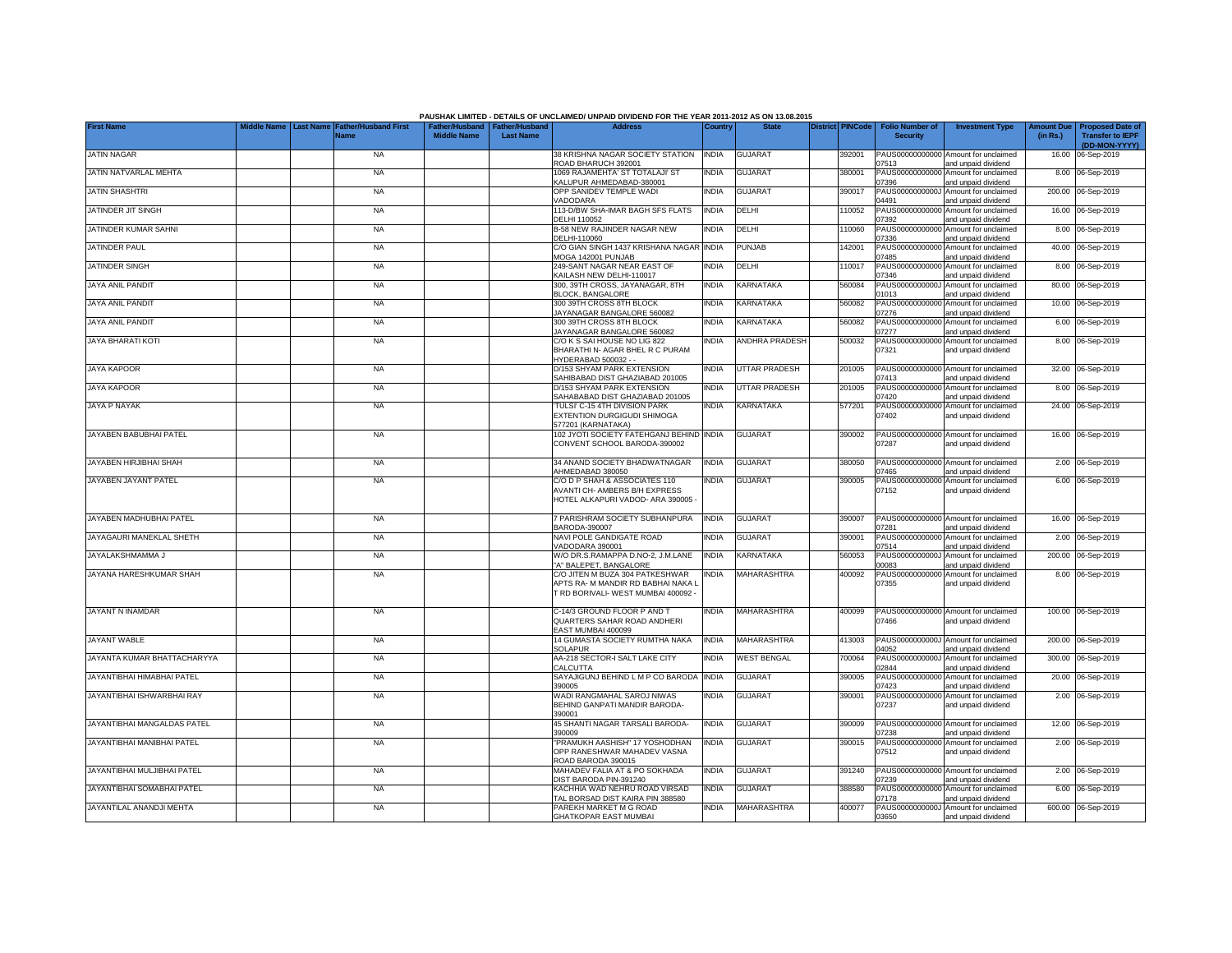|                             |                  |                                     |                    |                                                     | PAUSHAK LIMITED - DETAILS OF UNCLAIMED/ UNPAID DIVIDEND FOR THE YEAR 2011-2012 AS ON 13.08.2015              |              |                      |                         |                                           |                                                             |                               |                                                                     |
|-----------------------------|------------------|-------------------------------------|--------------------|-----------------------------------------------------|--------------------------------------------------------------------------------------------------------------|--------------|----------------------|-------------------------|-------------------------------------------|-------------------------------------------------------------|-------------------------------|---------------------------------------------------------------------|
| <b>First Name</b>           | <b>Last Name</b> | <b>Father/Husband First</b><br>Name | <b>Middle Name</b> | Father/Husband   Father/Husband<br><b>Last Name</b> | <b>Address</b>                                                                                               | Country      | <b>State</b>         | <b>District PINCode</b> | <b>Folio Number of</b><br><b>Security</b> | <b>Investment Type</b>                                      | <b>Amount Due</b><br>(in Rs.) | <b>Proposed Date of</b><br><b>Transfer to IEPF</b><br>(DD-MON-YYYY) |
| <b>JATIN NAGAR</b>          |                  | <b>NA</b>                           |                    |                                                     | 38 KRISHNA NAGAR SOCIETY STATION<br>ROAD BHARUCH 392001                                                      | <b>INDIA</b> | <b>GUJARAT</b>       | 392001                  | 07513                                     | PAUS00000000000 Amount for unclaimed<br>and unpaid dividend |                               | 16.00 06-Sep-2019                                                   |
| JATIN NATVARLAL MEHTA       |                  | <b>NA</b>                           |                    |                                                     | 1069 RAJAMEHTA' ST TOTALAJI' ST<br>KALUPUR AHMEDABAD-380001                                                  | <b>INDIA</b> | <b>GUJARAT</b>       | 380001                  | 07396                                     | PAUS00000000000 Amount for unclaimed<br>and unpaid dividend |                               | 8.00 06-Sep-2019                                                    |
| JATIN SHASHTRI              |                  | <b>NA</b>                           |                    |                                                     | OPP SANIDEV TEMPLE WADI<br>VADODARA                                                                          | <b>INDIA</b> | GUJARAT              | 390017                  | PAUS0000000000J<br>04491                  | Amount for unclaimed<br>and unpaid dividend                 |                               | 200.00 06-Sep-2019                                                  |
| JATINDER JIT SINGH          |                  | <b>NA</b>                           |                    |                                                     | 113-D/BW SHA-IMAR BAGH SFS FLATS<br>DELHI 110052                                                             | <b>INDIA</b> | DELHI                | 110052                  | PAUS00000000000<br>07392                  | Amount for unclaimed<br>and unpaid dividend                 |                               | 16.00 06-Sep-2019                                                   |
| JATINDER KUMAR SAHNI        |                  | <b>NA</b>                           |                    |                                                     | <b>B-58 NEW RAJINDER NAGAR NEW</b><br>DELHI-110060                                                           | <b>INDIA</b> | DELHI                | 110060                  | PAUS0000000000<br>07336                   | Amount for unclaimed<br>and unpaid dividend                 |                               | 8.00 06-Sep-2019                                                    |
| <b>JATINDER PAUL</b>        |                  | <b>NA</b>                           |                    |                                                     | C/O GIAN SINGH 1437 KRISHANA NAGAR<br>MOGA 142001 PUNJAB                                                     | <b>INDIA</b> | PUNJAB               | 42001                   | PAUS0000000000<br>07485                   | Amount for unclaimed<br>and unpaid dividend                 |                               | 40.00 06-Sep-2019                                                   |
| JATINDER SINGH              |                  | <b>NA</b>                           |                    |                                                     | 249-SANT NAGAR NEAR EAST OF<br>KAILASH NEW DELHI-110017                                                      | <b>INDIA</b> | DELHI                | 110017                  | PAUS0000000000<br>07346                   | Amount for unclaimed<br>and unpaid dividend                 |                               | 8.00 06-Sep-2019                                                    |
| JAYA ANIL PANDIT            |                  | <b>NA</b>                           |                    |                                                     | 300. 39TH CROSS, JAYANAGAR, 8TH<br><b>BLOCK, BANGALORE</b>                                                   | <b>INDIA</b> | KARNATAKA            | 560084                  | PAUS0000000000.<br>1013                   | Amount for unclaimed<br>and unpaid dividend                 |                               | 80.00 06-Sep-2019                                                   |
| JAYA ANIL PANDIT            |                  | <b>NA</b>                           |                    |                                                     | 300 39TH CROSS 8TH BLOCK<br>JAYANAGAR BANGALORE 560082                                                       | <b>INDIA</b> | KARNATAKA            | 560082                  | PAUS0000000000<br>)7276                   | Amount for unclaimed<br>and unpaid dividend                 |                               | 10.00 06-Sep-2019                                                   |
| JAYA ANIL PANDIT            |                  | <b>NA</b>                           |                    |                                                     | 300 39TH CROSS 8TH BLOCK<br>JAYANAGAR BANGALORE 560082                                                       | <b>INDIA</b> | KARNATAKA            | 560082                  | PAUS0000000000<br>)7277                   | Amount for unclaimed<br>and unpaid dividend                 |                               | 6.00 06-Sep-2019                                                    |
| JAYA BHARATI KOTI           |                  | NA                                  |                    |                                                     | C/O K S SAI HOUSE NO LIG 822<br>BHARATHI N- AGAR BHEL R C PURAM<br>HYDERABAD 500032 - -                      | <b>INDIA</b> | ANDHRA PRADESH       | 500032                  | PAUS00000000000<br>07321                  | Amount for unclaimed<br>and unpaid dividend                 |                               | 8.00 06-Sep-2019                                                    |
| <b>JAYA KAPOOR</b>          |                  | <b>NA</b>                           |                    |                                                     | D/153 SHYAM PARK EXTENSION<br>SAHIBABAD DIST GHAZIABAD 201005                                                | <b>INDIA</b> | <b>UTTAR PRADESH</b> | 201005                  | 07413                                     | PAUS00000000000 Amount for unclaimed<br>and unpaid dividend |                               | 32.00 06-Sep-2019                                                   |
| JAYA KAPOOR                 |                  | <b>NA</b>                           |                    |                                                     | D/153 SHYAM PARK EXTENSION<br>SAHABABAD DIST GHAZIABAD 201005                                                | <b>INDIA</b> | UTTAR PRADESH        | 201005                  | 07420                                     | PAUS00000000000 Amount for unclaimed<br>and unpaid dividend |                               | 8.00 06-Sep-2019                                                    |
| JAYA P NAYAK                |                  | <b>NA</b>                           |                    |                                                     | TULSI' C-15 4TH DIVISION PARK<br>EXTENTION DURGIGUDI SHIMOGA<br>577201 (KARNATAKA)                           | <b>INDIA</b> | KARNATAKA            | 577201                  | 07402                                     | PAUS00000000000 Amount for unclaimed<br>and unpaid dividend |                               | 24.00 06-Sep-2019                                                   |
| JAYABEN BABUBHAI PATEL      |                  | <b>NA</b>                           |                    |                                                     | 102 JYOTI SOCIETY FATEHGANJ BEHIND<br>CONVENT SCHOOL BARODA-390002                                           | <b>INDIA</b> | <b>GUJARAT</b>       | 390002                  | 07287                                     | PAUS00000000000 Amount for unclaimed<br>and unpaid dividend |                               | 16.00 06-Sep-2019                                                   |
| JAYABEN HIRJIBHAI SHAH      |                  | <b>NA</b>                           |                    |                                                     | 34 ANAND SOCIETY BHADWATNAGAR<br>AHMEDABAD 380050                                                            | <b>INDIA</b> | <b>GUJARAT</b>       | 380050                  | PAUS0000000000<br>07465                   | Amount for unclaimed<br>and unpaid dividend                 |                               | 2.00 06-Sep-2019                                                    |
| JAYABEN JAYANT PATEL        |                  | <b>NA</b>                           |                    |                                                     | C/O D P SHAH & ASSOCIATES 110<br>AVANTI CH- AMBERS B/H EXPRESS<br>HOTEL ALKAPURI VADOD- ARA 390005           | <b>INDIA</b> | <b>GUJARAT</b>       | 390005                  | PAUS0000000000<br>07152                   | Amount for unclaimed<br>and unpaid dividend                 |                               | 6.00 06-Sep-2019                                                    |
| JAYABEN MADHUBHAI PATEL     |                  | <b>NA</b>                           |                    |                                                     | 7 PARISHRAM SOCIETY SUBHANPURA<br>BARODA-390007                                                              | <b>INDIA</b> | <b>GUJARAT</b>       | 390007                  | 07281                                     | PAUS00000000000 Amount for unclaimed<br>and unpaid dividend |                               | 16.00 06-Sep-2019                                                   |
| JAYAGAURI MANEKLAL SHETH    |                  | <b>NA</b>                           |                    |                                                     | NAVI POLE GANDIGATE ROAD<br>VADODARA 390001                                                                  | <b>INDIA</b> | <b>GUJARAT</b>       | 390001                  | 07514                                     | PAUS00000000000 Amount for unclaimed<br>and unpaid dividend |                               | 2.00 06-Sep-2019                                                    |
| JAYALAKSHMAMMA J            |                  | <b>NA</b>                           |                    |                                                     | W/O DR.S.RAMAPPA D.NO-2, J.M.LANE<br>'A' BALEPET, BANGALORE                                                  | <b>INDIA</b> | KARNATAKA            | 560053                  | PAUS0000000000J<br>00083                  | Amount for unclaimed<br>and unpaid dividend                 |                               | 200.00 06-Sep-2019                                                  |
| JAYANA HARESHKUMAR SHAH     |                  | <b>NA</b>                           |                    |                                                     | C/O JITEN M BUZA 304 PATKESHWAR<br>APTS RA- M MANDIR RD BABHAI NAKA L<br>T RD BORIVALI- WEST MUMBAI 400092 - | <b>INDIA</b> | MAHARASHTRA          | 400092                  | PAUS00000000000<br>07355                  | Amount for unclaimed<br>and unpaid dividend                 |                               | 8.00 06-Sep-2019                                                    |
| JAYANT N INAMDAR            |                  | <b>NA</b>                           |                    |                                                     | C-14/3 GROUND FLOOR P AND T<br>QUARTERS SAHAR ROAD ANDHERI<br>EAST MUMBAI 400099                             | <b>INDIA</b> | MAHARASHTRA          | 400099                  | 07466                                     | PAUS00000000000 Amount for unclaimed<br>and unpaid dividend |                               | 100.00 06-Sep-2019                                                  |
| JAYANT WABLE                |                  | <b>NA</b>                           |                    |                                                     | 14 GUMASTA SOCIETY RUMTHA NAKA<br><b>SOLAPUR</b>                                                             | <b>INDIA</b> | MAHARASHTRA          | 413003                  | 14052                                     | PAUS0000000000J Amount for unclaimed<br>and unpaid dividend |                               | 200.00 06-Sep-2019                                                  |
| JAYANTA KUMAR BHATTACHARYYA |                  | <b>NA</b>                           |                    |                                                     | AA-218 SECTOR-I SALT LAKE CITY<br><b>CALCUTTA</b>                                                            | <b>INDIA</b> | <b>WEST BENGAL</b>   | 700064                  | 02844                                     | PAUS0000000000J Amount for unclaimed<br>and unpaid dividend |                               | 300.00 06-Sep-2019                                                  |
| JAYANTIBHAI HIMABHAI PATEL  |                  | <b>NA</b>                           |                    |                                                     | SAYAJIGUNJ BEHIND L M P CO BARODA<br>390005                                                                  | <b>INDIA</b> | <b>GUJARAT</b>       | 390005                  | 07423                                     | PAUS00000000000 Amount for unclaimed<br>and unpaid dividend |                               | 20.00 06-Sep-2019                                                   |
| JAYANTIBHAI ISHWARBHAI RAY  |                  | <b>NA</b>                           |                    |                                                     | WADI RANGMAHAL SAROJ NIWAS<br>BEHIND GANPATI MANDIR BARODA-<br>390001                                        | INDIA        | <b>GUJARAT</b>       | 390001                  | 07237                                     | PAUS00000000000 Amount for unclaimed<br>and unpaid dividend |                               | 2.00 06-Sep-2019                                                    |
| JAYANTIBHAI MANGALDAS PATEL |                  | <b>NA</b>                           |                    |                                                     | 45 SHANTI NAGAR TARSALI BARODA-<br>390009                                                                    | <b>INDIA</b> | <b>GUJARAT</b>       | 390009                  | 07238                                     | PAUS00000000000 Amount for unclaimed<br>and unpaid dividend |                               | 12.00 06-Sep-2019                                                   |
| JAYANTIBHAI MANIBHAI PATEL  |                  | <b>NA</b>                           |                    |                                                     | "PRAMUKH AASHISH" 17 YOSHODHAN<br>OPP RANESHWAR MAHADEV VASNA<br>ROAD BARODA 390015                          | <b>INDIA</b> | <b>GUJARAT</b>       | 390015                  | 07512                                     | PAUS00000000000 Amount for unclaimed<br>and unpaid dividend |                               | 2.00 06-Sep-2019                                                    |
| JAYANTIBHAI MULJIBHAI PATEL |                  | <b>NA</b>                           |                    |                                                     | MAHADEV FALIA AT & PO SOKHADA<br>DIST BARODA PIN-391240                                                      | <b>INDIA</b> | <b>GUJARAT</b>       | 391240                  | 07239                                     | PAUS00000000000 Amount for unclaimed<br>and unpaid dividend |                               | 2.00 06-Sep-2019                                                    |
| JAYANTIBHAI SOMABHAI PATEL  |                  | <b>NA</b>                           |                    |                                                     | KACHHIA WAD NEHRU ROAD VIRSAD<br>TAL BORSAD DIST KAIRA PIN 388580                                            | <b>INDIA</b> | <b>GUJARAT</b>       | 388580                  | 07178                                     | PAUS00000000000 Amount for unclaimed<br>and unpaid dividend |                               | 6.00 06-Sep-2019                                                    |
| JAYANTILAL ANANDJI MEHTA    |                  | <b>NA</b>                           |                    |                                                     | PAREKH MARKET M G ROAD<br><b>GHATKOPAR EAST MUMBAI</b>                                                       | <b>INDIA</b> | MAHARASHTRA          | 400077                  | 03650                                     | PAUS0000000000J Amount for unclaimed<br>and unpaid dividend |                               | 600.00 06-Sep-2019                                                  |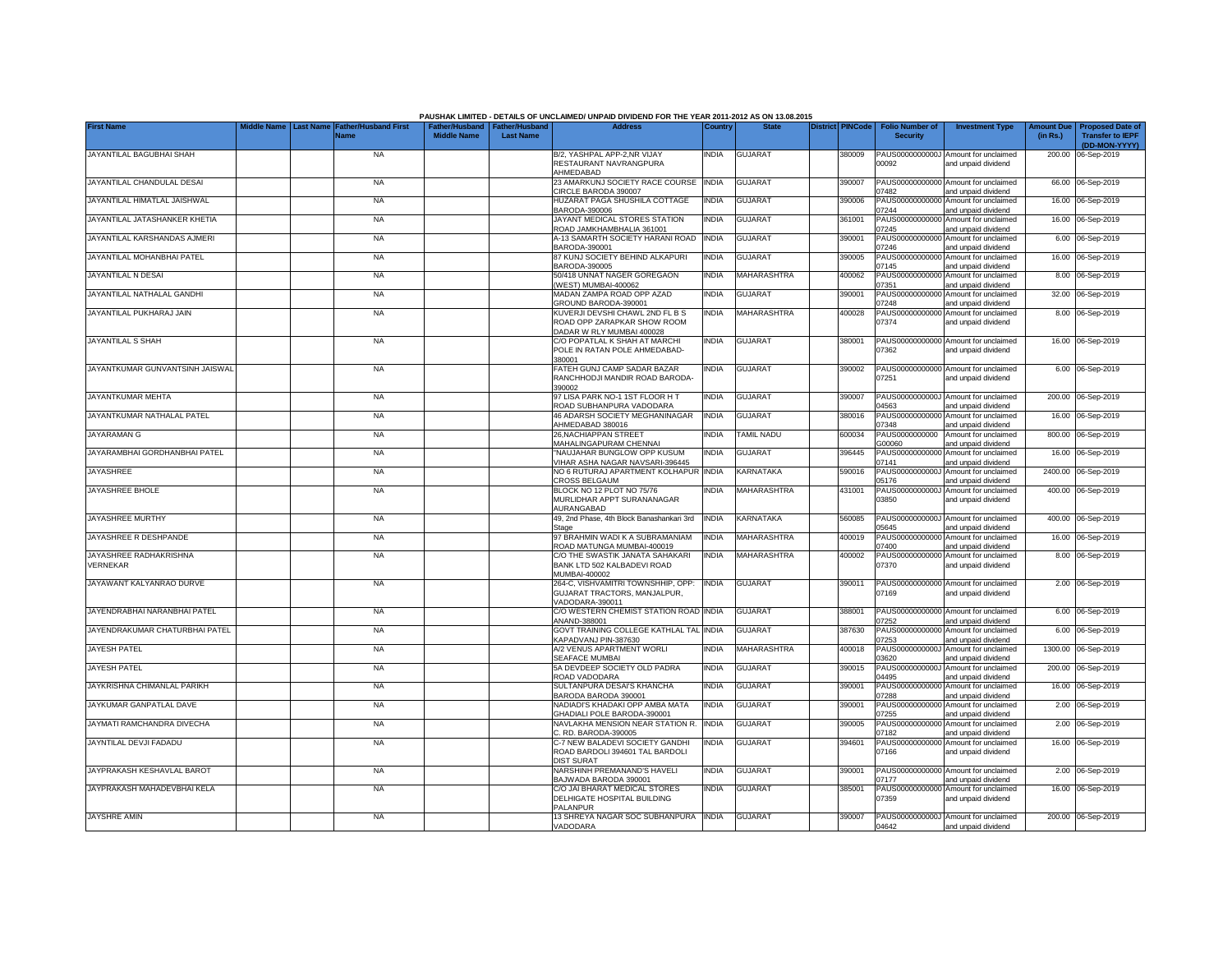| <b>First Name</b>                         | <b>Father/Husband First</b> |                    | Father/Husband   Father/Husband | PAUSHAK LIMITED - DETAILS OF UNCLAIMED/ UNPAID DIVIDEND FOR THE YEAR 2011-2012 AS ON 13.08.2015<br><b>Address</b> | Country      | <b>State</b>      | <b>District PINCode</b> |        | <b>Folio Number of</b>            | <b>Investment Type</b>                                             | Amount Due | Proposed Date o         |
|-------------------------------------------|-----------------------------|--------------------|---------------------------------|-------------------------------------------------------------------------------------------------------------------|--------------|-------------------|-------------------------|--------|-----------------------------------|--------------------------------------------------------------------|------------|-------------------------|
|                                           | Name                        | <b>Middle Name</b> | <b>Last Name</b>                |                                                                                                                   |              |                   |                         |        | <b>Security</b>                   |                                                                    | (in Rs.)   | <b>Transfer to IEPF</b> |
|                                           |                             |                    |                                 |                                                                                                                   |              |                   |                         |        |                                   |                                                                    |            | (DD-MON-YYYY)           |
| JAYANTILAL BAGUBHAI SHAH                  | <b>NA</b>                   |                    |                                 | B/2, YASHPAL APP-2,NR VIJAY<br>RESTAURANT NAVRANGPURA<br>AHMEDABAD                                                | <b>INDIA</b> | <b>GUJARAT</b>    |                         | 380009 | 00092                             | PAUS0000000000J Amount for unclaimed<br>and unpaid dividend        |            | 200.00 06-Sep-2019      |
| JAYANTILAL CHANDULAL DESAI                | <b>NA</b>                   |                    |                                 | 23 AMARKUNJ SOCIETY RACE COURSE<br>CIRCLE BARODA 390007                                                           | <b>INDIA</b> | <b>GUJARAT</b>    |                         | 390007 | PAUS00000000000<br>07482          | Amount for unclaimed<br>and unpaid dividend                        |            | 66.00 06-Sep-2019       |
| JAYANTILAL HIMATLAL JAISHWAL              | <b>NA</b>                   |                    |                                 | HUZARAT PAGA SHUSHILA COTTAGE<br>BARODA-390006                                                                    | <b>INDIA</b> | <b>GUJARAT</b>    |                         | 390006 | PAUS0000000000<br>)7244           | Amount for unclaimed<br>and unpaid dividend                        |            | 16.00 06-Sep-2019       |
| JAYANTILAL JATASHANKER KHETIA             | <b>NA</b>                   |                    |                                 | JAYANT MEDICAL STORES STATION<br>ROAD JAMKHAMBHALIA 361001                                                        | INDIA        | <b>GUJARAT</b>    |                         | 361001 | PAUS0000000000<br>07245           | Amount for unclaimed<br>and unpaid dividend                        |            | 16.00 06-Sep-2019       |
| JAYANTILAL KARSHANDAS AJMERI              | NA                          |                    |                                 | A-13 SAMARTH SOCIETY HARANI ROAD<br>BARODA-390001                                                                 | <b>INDIA</b> | <b>GUJARAT</b>    |                         | 390001 | PAUS0000000000<br>07246           | Amount for unclaimed<br>and unpaid dividend                        |            | 6.00 06-Sep-2019        |
| JAYANTILAL MOHANBHAI PATEL                | <b>NA</b>                   |                    |                                 | 87 KUNJ SOCIETY BEHIND ALKAPURI<br>BARODA-390005                                                                  | india        | <b>GUJARAT</b>    |                         | 390005 | PAUS00000000000<br>07145          | Amount for unclaimed<br>and unpaid dividend                        |            | 16.00 06-Sep-2019       |
| JAYANTILAL N DESAI                        | <b>NA</b>                   |                    |                                 | 50/418 UNNAT NAGER GOREGAON<br>(WEST) MUMBAI-400062                                                               | <b>INDIA</b> | MAHARASHTRA       |                         | 400062 | PAUS0000000000<br>07351           | Amount for unclaimed<br>and unpaid dividend                        |            | 8.00 06-Sep-2019        |
| JAYANTILAL NATHALAL GANDHI                | <b>NA</b>                   |                    |                                 | MADAN ZAMPA ROAD OPP AZAD<br>GROUND BARODA-390001                                                                 | <b>INDIA</b> | <b>GUJARAT</b>    |                         | 390001 | PAUS0000000000<br>07248           | Amount for unclaimed<br>and unpaid dividend                        |            | 32.00 06-Sep-2019       |
| JAYANTILAL PUKHARAJ JAIN                  | <b>NA</b>                   |                    |                                 | KUVERJI DEVSHI CHAWL 2ND FL B S<br>ROAD OPP ZARAPKAR SHOW ROOM<br>DADAR W RLY MUMBAI 400028                       | India        | MAHARASHTRA       |                         | 400028 | PAUS0000000000<br>07374           | Amount for unclaimed<br>and unpaid dividend                        |            | 8.00 06-Sep-2019        |
| JAYANTILAL S SHAH                         | <b>NA</b>                   |                    |                                 | C/O POPATLAL K SHAH AT MARCHI<br>POLE IN RATAN POLE AHMEDABAD-<br>380001                                          | INDIA        | <b>GUJARAT</b>    |                         | 380001 | 07362                             | PAUS00000000000 Amount for unclaimed<br>and unpaid dividend        |            | 16.00 06-Sep-2019       |
| JAYANTKUMAR GUNVANTSINH JAISWAL           | <b>NA</b>                   |                    |                                 | FATEH GUNJ CAMP SADAR BAZAR<br>RANCHHODJI MANDIR ROAD BARODA-<br>390002                                           | India        | <b>GUJARAT</b>    |                         | 390002 | PAUS00000000000<br>07251          | Amount for unclaimed<br>and unpaid dividend                        |            | 6.00 06-Sep-2019        |
| JAYANTKUMAR MEHTA                         | <b>NA</b>                   |                    |                                 | 97 LISA PARK NO-1 1ST FLOOR H T<br>ROAD SUBHANPURA VADODARA                                                       | india        | <b>GUJARAT</b>    |                         | 390007 | PAUS0000000000.<br>04563          | Amount for unclaimed<br>and unpaid dividend                        |            | 200.00 06-Sep-2019      |
| JAYANTKUMAR NATHALAL PATEL                | <b>NA</b>                   |                    |                                 | 46 ADARSH SOCIETY MEGHANINAGAR<br>AHMEDABAD 380016                                                                | <b>INDIA</b> | <b>GUJARAT</b>    |                         | 380016 | 07348                             | PAUS00000000000 Amount for unclaimed<br>and unpaid dividend        |            | 16.00 06-Sep-2019       |
| JAYARAMAN G                               | <b>NA</b>                   |                    |                                 | 26,NACHIAPPAN STREET<br>MAHALINGAPURAM CHENNAI                                                                    | INDIA        | <b>TAMIL NADU</b> |                         | 600034 | PAUS0000000000<br>G00060          | Amount for unclaimed<br>and unpaid dividend                        |            | 800.00 06-Sep-2019      |
| JAYARAMBHAI GORDHANBHAI PATEL             | NA                          |                    |                                 | "NAUJAHAR BUNGLOW OPP KUSUM<br>VIHAR ASHA NAGAR NAVSARI-396445                                                    | India        | <b>GUJARAT</b>    |                         | 396445 | PAUS00000000000<br>07141          | Amount for unclaimed<br>and unpaid dividend                        |            | 16.00 06-Sep-2019       |
| <b>JAYASHREE</b>                          | <b>NA</b>                   |                    |                                 | NO 6 RUTURAJ APARTMENT KOLHAPUR<br>CROSS BELGAUM                                                                  | INDIA        | KARNATAKA         |                         | 590016 | PAUS0000000000<br>05176           | Amount for unclaimed<br>and unpaid dividend                        |            | 2400.00 06-Sep-2019     |
| JAYASHREE BHOLE                           | <b>NA</b>                   |                    |                                 | BLOCK NO 12 PLOT NO 75/76<br>MURLIDHAR APPT SURANANAGAR<br>AURANGABAD                                             | <b>INDIA</b> | MAHARASHTRA       |                         | 431001 | PAUS0000000000.<br>03850          | Amount for unclaimed<br>and unpaid dividend                        |            | 400.00 06-Sep-2019      |
| JAYASHREE MURTHY                          | <b>NA</b>                   |                    |                                 | 49, 2nd Phase, 4th Block Banashankari 3rd<br>Stage                                                                | <b>INDIA</b> | <b>KARNATAKA</b>  |                         | 560085 | PAUS0000000000J<br>05645          | Amount for unclaimed<br>and unpaid dividend                        |            | 400.00 06-Sep-2019      |
| JAYASHREE R DESHPANDE                     | <b>NA</b>                   |                    |                                 | 97 BRAHMIN WADI K A SUBRAMANIAM<br>ROAD MATUNGA MUMBAI-400019                                                     | <b>INDIA</b> | MAHARASHTRA       |                         | 400019 | PAUS00000000000<br>07400          | Amount for unclaimed<br>and unpaid dividend                        |            | 16.00 06-Sep-2019       |
| JAYASHREE RADHAKRISHNA<br><b>/ERNEKAR</b> | <b>NA</b>                   |                    |                                 | C/O THE SWASTIK JANATA SAHAKARI<br>BANK LTD 502 KALBADEVI ROAD                                                    | India        | MAHARASHTRA       |                         | 400002 | PAUS00000000000<br>07370          | Amount for unclaimed<br>and unpaid dividend                        |            | 8.00 06-Sep-2019        |
| JAYAWANT KALYANRAO DURVE                  | <b>NA</b>                   |                    |                                 | MUMBAI-400002<br>264-C, VISHVAMITRI TOWNSHHIP, OPP:<br>GUJARAT TRACTORS, MANJALPUR,                               | <b>INDIA</b> | <b>GUJARAT</b>    |                         | 390011 | PAUS00000000000<br>07169          | Amount for unclaimed<br>and unpaid dividend                        |            | 2.00 06-Sep-2019        |
| JAYENDRABHAI NARANBHAI PATEL              | <b>NA</b>                   |                    |                                 | VADODARA-390011<br>C/O WESTERN CHEMIST STATION ROAD INDIA                                                         |              | <b>GUJARAT</b>    |                         | 388001 | PAUS00000000000                   | Amount for unclaimed                                               |            | 6.00 06-Sep-2019        |
| JAYENDRAKUMAR CHATURBHAI PATEL            | <b>NA</b>                   |                    |                                 | ANAND-388001<br>GOVT TRAINING COLLEGE KATHLAL TAL INDIA                                                           |              | <b>GUJARAT</b>    |                         | 387630 | 07252<br>PAUS00000000000          | and unpaid dividend<br>Amount for unclaimed                        |            | 6.00 06-Sep-2019        |
| JAYESH PATEL                              | <b>NA</b>                   |                    |                                 | KAPADVANJ PIN-387630<br>A/2 VENUS APARTMENT WORLI<br>SEAFACE MUMBAI                                               | India        | MAHARASHTRA       |                         | 400018 | 07253<br>PAUS0000000000.<br>03620 | and unpaid dividend<br>Amount for unclaimed                        |            | 1300.00 06-Sep-2019     |
| <b>JAYESH PATEL</b>                       | <b>NA</b>                   |                    |                                 | 5A DEVDEEP SOCIETY OLD PADRA<br>ROAD VADODARA                                                                     | india        | <b>GUJARAT</b>    |                         | 390015 | PAUS0000000000<br>04495           | and unpaid dividend<br>Amount for unclaimed<br>and unpaid dividend |            | 200.00 06-Sep-2019      |
| JAYKRISHNA CHIMANLAL PARIKH               | <b>NA</b>                   |                    |                                 | SULTANPURA DESAI'S KHANCHA<br>BARODA BARODA 390001                                                                | india        | <b>GUJARAT</b>    |                         | 390001 | PAUS0000000000<br>07288           | Amount for unclaimed<br>and unpaid dividend                        | 16.00      | 06-Sep-2019             |
| JAYKUMAR GANPATLAL DAVE                   | <b>NA</b>                   |                    |                                 | NADIADI'S KHADAKI OPP AMBA MATA<br>GHADIALI POLE BARODA-390001                                                    | <b>INDIA</b> | <b>GUJARAT</b>    |                         | 390001 | PAUS0000000000<br>07255           | Amount for unclaimed<br>and unpaid dividend                        | 2.00       | 06-Sep-2019             |
| JAYMATI RAMCHANDRA DIVECHA                | <b>NA</b>                   |                    |                                 | NAVLAKHA MENSION NEAR STATION R.<br>C. RD. BARODA-390005                                                          | <b>INDIA</b> | <b>GUJARAT</b>    |                         | 390005 | PAUS0000000000<br>07182           | Amount for unclaimed<br>and unpaid dividend                        |            | 2.00 06-Sep-2019        |
| JAYNTILAL DEVJI FADADU                    | <b>NA</b>                   |                    |                                 | C-7 NEW BALADEVI SOCIETY GANDHI<br>ROAD BARDOLI 394601 TAL BARDOLI                                                | India        | <b>GUJARAT</b>    |                         | 394601 | PAUS0000000000<br>07166           | Amount for unclaimed<br>and unpaid dividend                        |            | 16.00 06-Sep-2019       |
| JAYPRAKASH KESHAVLAL BAROT                | <b>NA</b>                   |                    |                                 | <b>DIST SURAT</b><br>NARSHINH PREMANAND'S HAVELI<br>BAJWADA BARODA 390001                                         | India        | <b>GUJARAT</b>    |                         | 390001 | PAUS00000000000<br>07177          | Amount for unclaimed<br>and unpaid dividend                        |            | 2.00 06-Sep-2019        |
| JAYPRAKASH MAHADEVBHAI KELA               | <b>NA</b>                   |                    |                                 | C/O JAI BHARAT MEDICAL STORES<br>DELHIGATE HOSPITAL BUILDING                                                      | India        | <b>GUJARAT</b>    |                         | 385001 | PAUS00000000000<br>07359          | Amount for unclaimed<br>and unpaid dividend                        |            | 16.00 06-Sep-2019       |
| <b>JAYSHRE AMIN</b>                       | <b>NA</b>                   |                    |                                 | PALANPUR<br>13 SHREYA NAGAR SOC SUBHANPURA INDIA<br>VADODARA                                                      |              | <b>GUJARAT</b>    |                         | 390007 | 04642                             | PAUS0000000000J Amount for unclaimed<br>and unpaid dividend        |            | 200.00 06-Sep-2019      |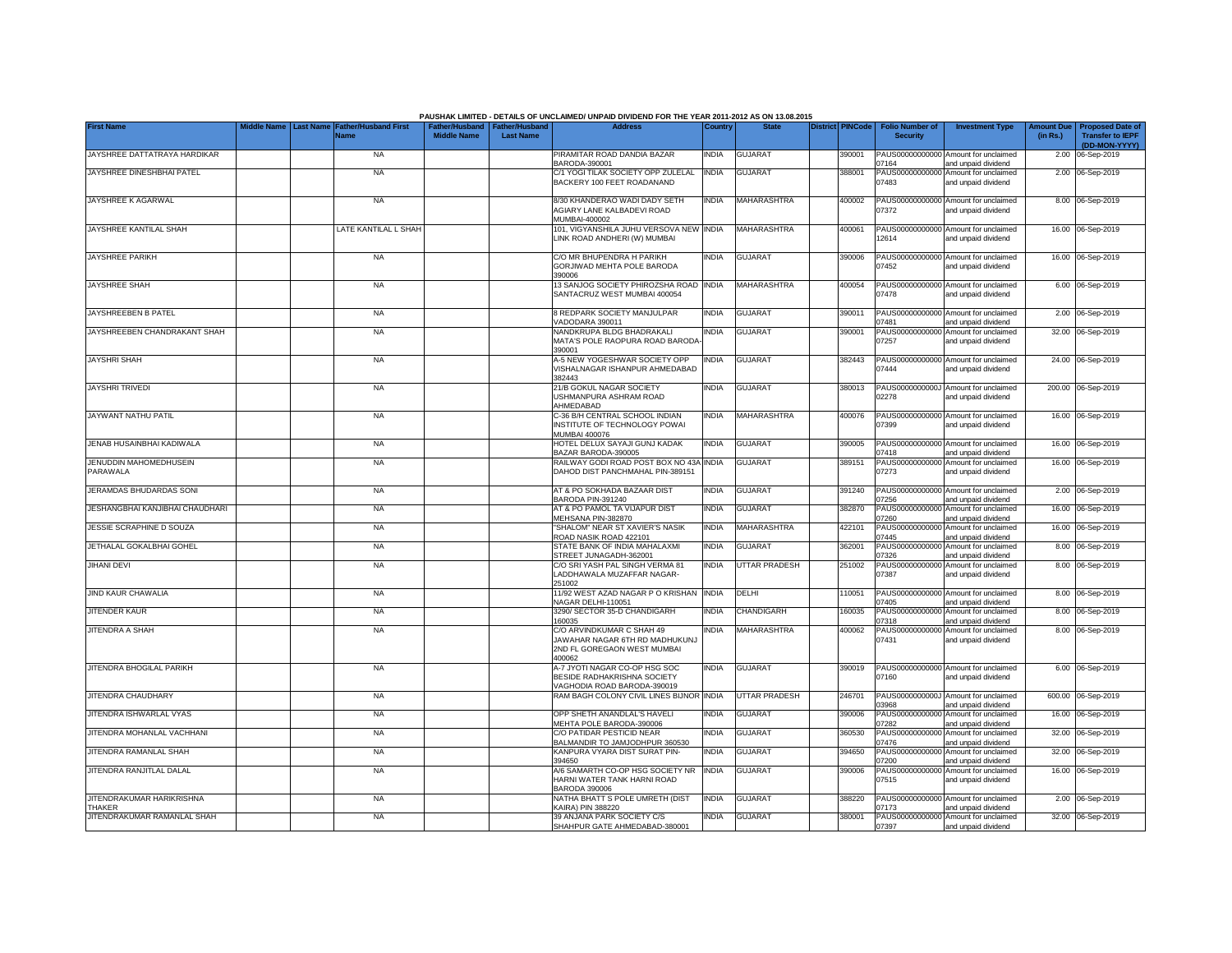|                                            |                                                  |                    |                                                     | PAUSHAK LIMITED - DETAILS OF UNCLAIMED/ UNPAID DIVIDEND FOR THE YEAR 2011-2012 AS ON 13.08.2015      |              |                      |                         |                                           |                                                             |                               |                                                                     |
|--------------------------------------------|--------------------------------------------------|--------------------|-----------------------------------------------------|------------------------------------------------------------------------------------------------------|--------------|----------------------|-------------------------|-------------------------------------------|-------------------------------------------------------------|-------------------------------|---------------------------------------------------------------------|
| <b>First Name</b>                          | <b>Father/Husband First</b><br>Last Name<br>Name | <b>Middle Name</b> | Father/Husband   Father/Husband<br><b>Last Name</b> | <b>Address</b>                                                                                       | Country      | <b>State</b>         | <b>District PINCode</b> | <b>Folio Number of</b><br><b>Security</b> | <b>Investment Type</b>                                      | <b>Amount Due</b><br>(in Rs.) | <b>Proposed Date of</b><br><b>Transfer to IEPF</b><br>(DD-MON-YYYY) |
| JAYSHREE DATTATRAYA HARDIKAR               | <b>NA</b>                                        |                    |                                                     | PIRAMITAR ROAD DANDIA BAZAR<br>BARODA-390001                                                         | <b>INDIA</b> | <b>GUJARAT</b>       | 390001                  | 07164                                     | PAUS00000000000 Amount for unclaimed<br>and unpaid dividend |                               | 2.00 06-Sep-2019                                                    |
| JAYSHREE DINESHBHAI PATEL                  | <b>NA</b>                                        |                    |                                                     | C/1 YOGI TILAK SOCIETY OPP ZULELAL<br>BACKERY 100 FEET ROADANAND                                     | <b>INDIA</b> | <b>GUJARAT</b>       | 388001                  | 07483                                     | PAUS00000000000 Amount for unclaimed<br>and unpaid dividend |                               | 2.00 06-Sep-2019                                                    |
| JAYSHREE K AGARWAL                         | <b>NA</b>                                        |                    |                                                     | 8/30 KHANDERAO WADI DADY SETH<br><b>AGIARY LANE KALBADEVI ROAD</b><br>MUMBAI-400002                  | <b>INDIA</b> | MAHARASHTRA          | 400002                  | 07372                                     | PAUS00000000000 Amount for unclaimed<br>and unpaid dividend |                               | 8.00 06-Sep-2019                                                    |
| JAYSHREE KANTILAL SHAH                     | LATE KANTILAL L SHAH                             |                    |                                                     | 101, VIGYANSHILA JUHU VERSOVA NEW INDIA<br>LINK ROAD ANDHERI (W) MUMBAI                              |              | MAHARASHTRA          | 400061                  | 12614                                     | PAUS00000000000 Amount for unclaimed<br>and unpaid dividend |                               | 16.00 06-Sep-2019                                                   |
| <b>JAYSHREE PARIKH</b>                     | <b>NA</b>                                        |                    |                                                     | C/O MR BHUPENDRA H PARIKH<br>GORJIWAD MEHTA POLE BARODA<br>390006                                    | <b>INDIA</b> | <b>GUJARAT</b>       | 390006                  | 07452                                     | PAUS00000000000 Amount for unclaimed<br>and unpaid dividend |                               | 16.00 06-Sep-2019                                                   |
| <b>JAYSHREE SHAH</b>                       | <b>NA</b>                                        |                    |                                                     | 13 SANJOG SOCIETY PHIROZSHA ROAD INDIA<br>SANTACRUZ WEST MUMBAI 400054                               |              | <b>MAHARASHTRA</b>   | 400054                  | 07478                                     | PAUS00000000000 Amount for unclaimed<br>and unpaid dividend |                               | 6.00 06-Sep-2019                                                    |
| JAYSHREEBEN B PATEL                        | <b>NA</b>                                        |                    |                                                     | 8 REDPARK SOCIETY MANJULPAR<br>VADODARA 390011                                                       | india        | <b>GUJARAT</b>       | 390011                  | PAUS0000000000<br>07481                   | Amount for unclaimed<br>and unpaid dividend                 |                               | 2.00 06-Sep-2019                                                    |
| JAYSHREEBEN CHANDRAKANT SHAH               | <b>NA</b>                                        |                    |                                                     | NANDKRUPA BLDG BHADRAKALI<br>MATA'S POLE RAOPURA ROAD BARODA<br>390001                               | <b>INDIA</b> | <b>GUJARAT</b>       | 390001                  | PAUS00000000000<br>07257                  | Amount for unclaimed<br>and unpaid dividend                 |                               | 32.00 06-Sep-2019                                                   |
| <b>JAYSHRI SHAH</b>                        | <b>NA</b>                                        |                    |                                                     | A-5 NEW YOGESHWAR SOCIETY OPP<br>VISHALNAGAR ISHANPUR AHMEDABAD<br>382443                            | <b>INDIA</b> | <b>GUJARAT</b>       | 382443                  | 07444                                     | PAUS00000000000 Amount for unclaimed<br>and unpaid dividend |                               | 24.00 06-Sep-2019                                                   |
| <b>JAYSHRI TRIVEDI</b>                     | <b>NA</b>                                        |                    |                                                     | 21/B GOKUL NAGAR SOCIETY<br>USHMANPURA ASHRAM ROAD<br>AHMEDABAD                                      | india        | GUJARAT              | 380013                  | 02278                                     | PAUS0000000000J Amount for unclaimed<br>and unpaid dividend |                               | 200.00 06-Sep-2019                                                  |
| JAYWANT NATHU PATIL                        | NA                                               |                    |                                                     | C-36 B/H CENTRAL SCHOOL INDIAN<br>INSTITUTE OF TECHNOLOGY POWAI<br>MUMBAI 400076                     | <b>INDIA</b> | MAHARASHTRA          | 400076                  | 07399                                     | PAUS00000000000 Amount for unclaimed<br>and unpaid dividend |                               | 16.00 06-Sep-2019                                                   |
| JENAB HUSAINBHAI KADIWALA                  | NA                                               |                    |                                                     | HOTEL DELUX SAYAJI GUNJ KADAK<br>BAZAR BARODA-390005                                                 | <b>INDIA</b> | <b>GUJARAT</b>       | 390005                  | 07418                                     | PAUS00000000000 Amount for unclaimed<br>and unpaid dividend |                               | 16.00 06-Sep-2019                                                   |
| JENUDDIN MAHOMEDHUSEIN<br>PARAWALA         | <b>NA</b>                                        |                    |                                                     | RAILWAY GODI ROAD POST BOX NO 43A<br>DAHOD DIST PANCHMAHAL PIN-389151                                | INDIA        | <b>GUJARAT</b>       | 389151                  | 07273                                     | PAUS00000000000 Amount for unclaimed<br>and unpaid dividend |                               | 16.00 06-Sep-2019                                                   |
| JERAMDAS BHUDARDAS SONI                    | <b>NA</b>                                        |                    |                                                     | AT & PO SOKHADA BAZAAR DIST<br>BARODA PIN-391240                                                     | <b>INDIA</b> | <b>GUJARAT</b>       | 391240                  | 07256                                     | PAUS00000000000 Amount for unclaimed<br>and unpaid dividend |                               | 2.00 06-Sep-2019                                                    |
| JESHANGBHAI KANJIBHAI CHAUDHARI            | <b>NA</b>                                        |                    |                                                     | AT & PO PAMOL TA VIJAPUR DIST<br>MEHSANA PIN-382870                                                  | <b>INDIA</b> | <b>GUJARAT</b>       | 382870                  | PAUS00000000000<br>07260                  | Amount for unclaimed<br>and unpaid dividend                 |                               | 16.00 06-Sep-2019                                                   |
| JESSIE SCRAPHINE D SOUZA                   | <b>NA</b>                                        |                    |                                                     | "SHALOM" NEAR ST XAVIER'S NASIK<br>ROAD NASIK ROAD 422101                                            | <b>INDIA</b> | <b>MAHARASHTRA</b>   | 422101                  | PAUS0000000000<br>07445                   | Amount for unclaimed<br>and unpaid dividend                 |                               | 16.00 06-Sep-2019                                                   |
| JETHALAL GOKALBHAI GOHEL                   | NA                                               |                    |                                                     | STATE BANK OF INDIA MAHALAXMI<br>STREET JUNAGADH-362001                                              | <b>INDIA</b> | <b>GUJARAT</b>       | 362001                  | PAUS00000000000<br>07326                  | Amount for unclaimed<br>and unpaid dividend                 |                               | 8.00 06-Sep-2019                                                    |
| <b>JIHANI DEVI</b>                         | <b>NA</b>                                        |                    |                                                     | C/O SRI YASH PAL SINGH VERMA 81<br>LADDHAWALA MUZAFFAR NAGAR-<br>251002                              | <b>INDIA</b> | <b>UTTAR PRADESH</b> | 251002                  | PAUS00000000000<br>07387                  | Amount for unclaimed<br>and unpaid dividend                 |                               | 8.00 06-Sep-2019                                                    |
| JIND KAUR CHAWALIA                         | <b>NA</b>                                        |                    |                                                     | 11/92 WEST AZAD NAGAR P O KRISHAN<br>NAGAR DELHI-110051                                              | <b>INDIA</b> | DELHI                | 10051                   | PAUS00000000000<br>07405                  | Amount for unclaimed<br>and unpaid dividend                 |                               | 8.00 06-Sep-2019                                                    |
| <b>JITENDER KAUR</b>                       | <b>NA</b>                                        |                    |                                                     | 3290/ SECTOR 35-D CHANDIGARH<br>160035                                                               | INDIA        | CHANDIGARH           | 160035                  | PAUS0000000000<br>07318                   | Amount for unclaimed<br>and unpaid dividend                 |                               | 8.00 06-Sep-2019                                                    |
| <b>JITENDRA A SHAH</b>                     | <b>NA</b>                                        |                    |                                                     | C/O ARVINDKUMAR C SHAH 49<br>JAWAHAR NAGAR 6TH RD MADHUKUNJ<br>2ND FL GOREGAON WEST MUMBAI<br>400062 | <b>INDIA</b> | <b>MAHARASHTRA</b>   | 400062                  | 07431                                     | PAUS00000000000 Amount for unclaimed<br>and unpaid dividend |                               | 8.00 06-Sep-2019                                                    |
| JITENDRA BHOGILAL PARIKH                   | <b>NA</b>                                        |                    |                                                     | A-7 JYOTI NAGAR CO-OP HSG SOC<br>BESIDE RADHAKRISHNA SOCIETY<br>VAGHODIA ROAD BARODA-390019          | <b>INDIA</b> | <b>GUJARAT</b>       | 390019                  | 07160                                     | PAUS00000000000 Amount for unclaimed<br>and unpaid dividend |                               | 6.00 06-Sep-2019                                                    |
| JITENDRA CHAUDHARY                         | <b>NA</b>                                        |                    |                                                     | RAM BAGH COLONY CIVIL LINES BIJNOR INDIA                                                             |              | <b>UTTAR PRADESH</b> | 246701                  | 03968                                     | PAUS0000000000J Amount for unclaimed<br>and unpaid dividend |                               | 600.00 06-Sep-2019                                                  |
| JITENDRA ISHWARLAL VYAS                    | NA                                               |                    |                                                     | OPP SHETH ANANDLAL'S HAVELI<br>MEHTA POLE BARODA-390006                                              | INDIA        | <b>GUJARAT</b>       | 390006                  | PAUS0000000000<br>07282                   | Amount for unclaimed<br>and unpaid dividend                 |                               | 16.00 06-Sep-2019                                                   |
| JITENDRA MOHANLAL VACHHANI                 | <b>NA</b>                                        |                    |                                                     | C/O PATIDAR PESTICID NEAR<br>BALMANDIR TO JAMJODHPUR 360530                                          | INDIA        | <b>GUJARAT</b>       | 360530                  | PAUS00000000000<br>07476                  | Amount for unclaimed<br>and unpaid dividend                 |                               | 32.00 06-Sep-2019                                                   |
| JITENDRA RAMANLAL SHAH                     | <b>NA</b>                                        |                    |                                                     | KANPURA VYARA DIST SURAT PIN-<br>394650                                                              | <b>INDIA</b> | <b>GUJARAT</b>       | 394650                  | PAUS00000000000<br>07200                  | Amount for unclaimed<br>and unpaid dividend                 |                               | 32.00 06-Sep-2019                                                   |
| JITENDRA RANJITLAL DALAL                   | <b>NA</b>                                        |                    |                                                     | A/6 SAMARTH CO-OP HSG SOCIETY NR<br>HARNI WATER TANK HARNI ROAD<br><b>BARODA 390006</b>              | <b>INDIA</b> | <b>GUJARAT</b>       | 390006                  | PAUS00000000000<br>07515                  | Amount for unclaimed<br>and unpaid dividend                 |                               | 16.00 06-Sep-2019                                                   |
| JITENDRAKUMAR HARIKRISHNA<br><b>THAKER</b> | <b>NA</b>                                        |                    |                                                     | NATHA BHATT S POLE UMRETH (DIST<br>KAIRA) PIN 388220                                                 | <b>INDIA</b> | <b>GUJARAT</b>       | 388220                  | 07173                                     | PAUS00000000000 Amount for unclaimed<br>and unpaid dividend |                               | 2.00 06-Sep-2019                                                    |
| JITENDRAKUMAR RAMANLAL SHAH                | <b>NA</b>                                        |                    |                                                     | 39 ANJANA PARK SOCIETY C/S<br>SHAHPUR GATE AHMEDABAD-380001                                          | INDIA        | <b>GUJARAT</b>       | 380001                  | 07397                                     | PAUS00000000000 Amount for unclaimed<br>and unpaid dividend |                               | 32.00 06-Sep-2019                                                   |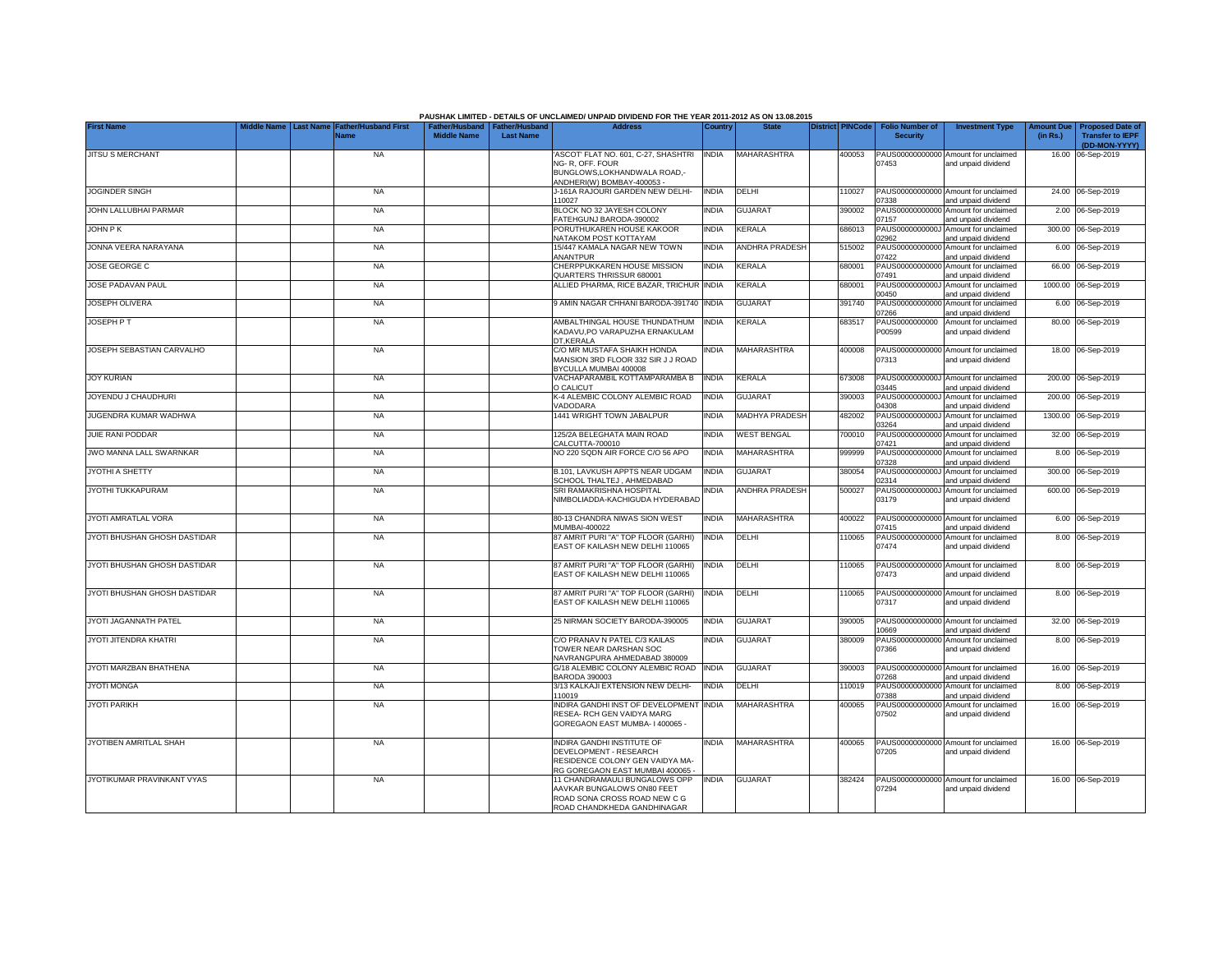|                              |                                        |                                     |                    |                                                     | PAUSHAK LIMITED - DETAILS OF UNCLAIMED/ UNPAID DIVIDEND FOR THE YEAR 2011-2012 AS ON 13.08.2015                                    |              |                       |                         |                                           |                                                                                    |                               |                                                                     |
|------------------------------|----------------------------------------|-------------------------------------|--------------------|-----------------------------------------------------|------------------------------------------------------------------------------------------------------------------------------------|--------------|-----------------------|-------------------------|-------------------------------------------|------------------------------------------------------------------------------------|-------------------------------|---------------------------------------------------------------------|
| <b>First Name</b>            | <b>Middle Name</b><br><b>Last Name</b> | <b>Father/Husband First</b><br>Name | <b>Middle Name</b> | Father/Husband   Father/Husband<br><b>Last Name</b> | <b>Address</b>                                                                                                                     | Country      | <b>State</b>          | <b>District PINCode</b> | <b>Folio Number of</b><br><b>Security</b> | <b>Investment Type</b>                                                             | <b>Amount Due</b><br>(in Rs.) | <b>Proposed Date of</b><br><b>Transfer to IEPF</b><br>(DD-MON-YYYY) |
| <b>JITSU S MERCHANT</b>      |                                        | <b>NA</b>                           |                    |                                                     | ASCOT' FLAT NO. 601, C-27, SHASHTRI<br>NG-R. OFF. FOUR                                                                             | <b>INDIA</b> | MAHARASHTRA           | 400053                  | 07453                                     | PAUS00000000000 Amount for unclaimed<br>and unpaid dividend                        |                               | 16.00 06-Sep-2019                                                   |
|                              |                                        |                                     |                    |                                                     | BUNGLOWS, LOKHANDWALA ROAD,-<br>ANDHERI(W) BOMBAY-400053 -                                                                         |              |                       |                         |                                           |                                                                                    |                               |                                                                     |
| <b>JOGINDER SINGH</b>        |                                        | <b>NA</b>                           |                    |                                                     | J-161A RAJOURI GARDEN NEW DELHI-<br>110027                                                                                         | <b>INDIA</b> | DELHI                 | 10027                   | 07338                                     | PAUS00000000000 Amount for unclaimed<br>and unpaid dividend                        |                               | 24.00 06-Sep-2019                                                   |
| JOHN LALLUBHAI PARMAR        |                                        | <b>NA</b>                           |                    |                                                     | BLOCK NO 32 JAYESH COLONY<br>ATEHGUNJ BARODA-390002                                                                                | <b>NDIA</b>  | <b>GUJARAT</b>        | 390002                  | PAUS00000000000<br>07157                  | Amount for unclaimed<br>and unpaid dividend                                        |                               | 2.00 06-Sep-2019                                                    |
| JOHN P K                     |                                        | <b>NA</b>                           |                    |                                                     | PORUTHUKAREN HOUSE KAKOOR<br><b>NATAKOM POST KOTTAYAM</b>                                                                          | <b>INDIA</b> | <b>KERALA</b>         | 686013                  | PAUS0000000000J<br>02962                  | Amount for unclaimed<br>and unpaid dividend                                        |                               | 300.00 06-Sep-2019                                                  |
| JONNA VEERA NARAYANA         |                                        | <b>NA</b>                           |                    |                                                     | 15/447 KAMALA NAGAR NEW TOWN<br><b>ANANTPUR</b>                                                                                    | <b>INDIA</b> | <b>ANDHRA PRADESH</b> | 515002                  | PAUS00000000000<br>07422                  | Amount for unclaimed<br>and unpaid dividend                                        |                               | 6.00 06-Sep-2019                                                    |
| JOSE GEORGE C                |                                        | <b>NA</b>                           |                    |                                                     | CHERPPUKKAREN HOUSE MISSION<br>QUARTERS THRISSUR 680001                                                                            | INDIA        | <b>KERALA</b>         | 680001                  | PAUS00000000000<br>07491                  | Amount for unclaimed<br>and unpaid dividend                                        |                               | 66.00 06-Sep-2019                                                   |
| JOSE PADAVAN PAUL            |                                        | <b>NA</b>                           |                    |                                                     | ALLIED PHARMA, RICE BAZAR, TRICHUR                                                                                                 | <b>INDIA</b> | <b>KERALA</b>         | 680001                  | PAUS0000000000J<br>00450                  | Amount for unclaimed<br>and unpaid dividend                                        |                               | 1000.00 06-Sep-2019                                                 |
| JOSEPH OLIVERA               |                                        | <b>NA</b>                           |                    |                                                     | 9 AMIN NAGAR CHHANI BARODA-391740                                                                                                  | <b>INDIA</b> | <b>GUJARAT</b>        | 391740                  | PAUS00000000000<br>07266                  | Amount for unclaimed<br>and unpaid dividend                                        |                               | 6.00 06-Sep-2019                                                    |
| <b>JOSEPH PT</b>             |                                        | <b>NA</b>                           |                    |                                                     | AMBALTHINGAL HOUSE THUNDATHUM<br>KADAVU, PO VARAPUZHA ERNAKULAM<br>DT,KERALA                                                       | <b>INDIA</b> | <b>KERALA</b>         | 683517                  | PAUS0000000000<br>P00599                  | Amount for unclaimed<br>and unpaid dividend                                        |                               | 80.00 06-Sep-2019                                                   |
| JOSEPH SEBASTIAN CARVALHO    |                                        | <b>NA</b>                           |                    |                                                     | C/O MR MUSTAFA SHAIKH HONDA<br>MANSION 3RD FLOOR 332 SIR J J ROAD<br>BYCULLA MUMBAI 400008                                         | <b>INDIA</b> | <b>MAHARASHTRA</b>    | 400008                  | 07313                                     | PAUS00000000000 Amount for unclaimed<br>and unpaid dividend                        |                               | 18.00 06-Sep-2019                                                   |
| <b>JOY KURIAN</b>            |                                        | <b>NA</b>                           |                    |                                                     | VACHAPARAMBIL KOTTAMPARAMBA B<br>O CALICUT                                                                                         | <b>INDIA</b> | <b>KERALA</b>         | 373008                  | 03445                                     | PAUS0000000000J Amount for unclaimed<br>and unpaid dividend                        |                               | 200.00 06-Sep-2019                                                  |
| JOYENDU J CHAUDHURI          |                                        | <b>NA</b>                           |                    |                                                     | K-4 ALEMBIC COLONY ALEMBIC ROAD<br>VADODARA                                                                                        | <b>INDIA</b> | <b>GUJARAT</b>        | 390003                  | 04308                                     | PAUS0000000000J Amount for unclaimed<br>and unpaid dividend                        |                               | 200.00 06-Sep-2019                                                  |
| JUGENDRA KUMAR WADHWA        |                                        | <b>NA</b>                           |                    |                                                     | 1441 WRIGHT TOWN JABALPUR                                                                                                          | <b>NDIA</b>  | <b>MADHYA PRADESH</b> | 482002                  | 03264                                     | PAUS0000000000J Amount for unclaimed<br>and unpaid dividend                        |                               | 1300.00 06-Sep-2019                                                 |
| JUIE RANI PODDAR             |                                        | <b>NA</b>                           |                    |                                                     | 125/2A BELEGHATA MAIN ROAD<br>CALCUTTA-700010                                                                                      | <b>NDIA</b>  | <b>WEST BENGAL</b>    | 700010                  | 07421                                     | PAUS00000000000 Amount for unclaimed<br>and unpaid dividend                        |                               | 32.00 06-Sep-2019                                                   |
| JWO MANNA LALL SWARNKAR      |                                        | <b>NA</b>                           |                    |                                                     | NO 220 SQDN AIR FORCE C/O 56 APO                                                                                                   | <b>INDIA</b> | MAHARASHTRA           | 999999                  | 07328                                     | PAUS00000000000 Amount for unclaimed<br>and unpaid dividend                        |                               | 8.00 06-Sep-2019                                                    |
| JYOTHI A SHETTY              |                                        | <b>NA</b>                           |                    |                                                     | B.101, LAVKUSH APPTS NEAR UDGAM<br>SCHOOL THALTEJ, AHMEDABAD                                                                       | <b>INDIA</b> | <b>GUJARAT</b>        | 380054                  | 02314                                     | PAUS0000000000J Amount for unclaimed<br>and unpaid dividend                        |                               | 300.00 06-Sep-2019                                                  |
| JYOTHI TUKKAPURAM            |                                        | <b>NA</b>                           |                    |                                                     | SRI RAMAKRISHNA HOSPITAL<br>NIMBOLIADDA-KACHIGUDA HYDERABAD                                                                        | INDIA        | <b>ANDHRA PRADESH</b> | 500027                  | 03179                                     | PAUS0000000000J Amount for unclaimed<br>and unpaid dividend                        |                               | 600.00 06-Sep-2019                                                  |
| JYOTI AMRATLAL VORA          |                                        | <b>NA</b>                           |                    |                                                     | 80-13 CHANDRA NIWAS SION WEST<br>MUMBAI-400022                                                                                     | <b>INDIA</b> | MAHARASHTRA           | 400022                  | 07415                                     | PAUS00000000000 Amount for unclaimed<br>and unpaid dividend                        |                               | 6.00 06-Sep-2019                                                    |
| JYOTI BHUSHAN GHOSH DASTIDAR |                                        | <b>NA</b>                           |                    |                                                     | 87 AMRIT PURI "A" TOP FLOOR (GARHI)<br>EAST OF KAILASH NEW DELHI 110065                                                            | <b>INDIA</b> | DELHI                 | 110065                  | 07474                                     | PAUS00000000000 Amount for unclaimed<br>and unpaid dividend                        |                               | 8.00 06-Sep-2019                                                    |
| JYOTI BHUSHAN GHOSH DASTIDAR |                                        | <b>NA</b>                           |                    |                                                     | 87 AMRIT PURI "A" TOP FLOOR (GARHI)<br>EAST OF KAILASH NEW DELHI 110065                                                            | <b>INDIA</b> | DELHI                 | 10065                   | 07473                                     | PAUS00000000000 Amount for unclaimed<br>and unpaid dividend                        |                               | 8.00 06-Sep-2019                                                    |
| JYOTI BHUSHAN GHOSH DASTIDAR |                                        | <b>NA</b>                           |                    |                                                     | 87 AMRIT PURI "A" TOP FLOOR (GARHI)<br>EAST OF KAILASH NEW DELHI 110065                                                            | <b>INDIA</b> | DELHI                 | 10065                   | 07317                                     | PAUS00000000000 Amount for unclaimed<br>and unpaid dividend                        |                               | 8.00 06-Sep-2019                                                    |
| JYOTI JAGANNATH PATEL        |                                        | <b>NA</b>                           |                    |                                                     | 25 NIRMAN SOCIETY BARODA-390005                                                                                                    | <b>INDIA</b> | <b>GUJARAT</b>        | 390005                  |                                           | PAUS00000000000 Amount for unclaimed                                               |                               | 32.00 06-Sep-2019                                                   |
| JYOTI JITENDRA KHATRI        |                                        | <b>NA</b>                           |                    |                                                     | C/O PRANAV N PATEL C/3 KAILAS<br>TOWER NEAR DARSHAN SOC                                                                            | <b>NDIA</b>  | <b>GUJARAT</b>        | 380009                  | 10669<br>07366                            | and unpaid dividend<br>PAUS00000000000 Amount for unclaimed<br>and unpaid dividend |                               | 8.00 06-Sep-2019                                                    |
| JYOTI MARZBAN BHATHENA       |                                        | <b>NA</b>                           |                    |                                                     | NAVRANGPURA AHMEDABAD 380009<br>G/18 ALEMBIC COLONY ALEMBIC ROAD                                                                   | <b>INDIA</b> | <b>GUJARAT</b>        | 390003                  |                                           | PAUS00000000000 Amount for unclaimed                                               |                               | 16.00 06-Sep-2019                                                   |
| <b>JYOTI MONGA</b>           |                                        | <b>NA</b>                           |                    |                                                     | <b>BARODA 390003</b><br>3/13 KALKAJI EXTENSION NEW DELHI-                                                                          | <b>NDIA</b>  | DELHI                 | 110019                  | 07268                                     | and unpaid dividend<br>PAUS00000000000 Amount for unclaimed                        |                               | 8.00 06-Sep-2019                                                    |
| <b>JYOTI PARIKH</b>          |                                        | <b>NA</b>                           |                    |                                                     | 110019<br>INDIRA GANDHI INST OF DEVELOPMENT                                                                                        | <b>INDIA</b> | MAHARASHTRA           | 400065                  | 07388                                     | and unpaid dividend<br>PAUS00000000000 Amount for unclaimed                        |                               | 16.00 06-Sep-2019                                                   |
|                              |                                        |                                     |                    |                                                     | RESEA- RCH GEN VAIDYA MARG<br>GOREGAON EAST MUMBA-1400065-                                                                         |              |                       |                         | 07502                                     | and unpaid dividend                                                                |                               |                                                                     |
| JYOTIBEN AMRITLAL SHAH       |                                        | <b>NA</b>                           |                    |                                                     | <b>INDIRA GANDHI INSTITUTE OF</b><br>DEVELOPMENT - RESEARCH<br>RESIDENCE COLONY GEN VAIDYA MA-<br>RG GOREGAON EAST MUMBAI 400065 - | <b>INDIA</b> | <b>MAHARASHTRA</b>    | 400065                  | 07205                                     | PAUS00000000000 Amount for unclaimed<br>and unpaid dividend                        |                               | 16.00 06-Sep-2019                                                   |
| JYOTIKUMAR PRAVINKANT VYAS   |                                        | <b>NA</b>                           |                    |                                                     | 11 CHANDRAMAULI BUNGALOWS OPP<br>AAVKAR BUNGALOWS ON80 FEET                                                                        | <b>INDIA</b> | <b>GUJARAT</b>        | 382424                  | 07294                                     | PAUS00000000000 Amount for unclaimed<br>and unpaid dividend                        |                               | 16.00 06-Sep-2019                                                   |
|                              |                                        |                                     |                    |                                                     | ROAD SONA CROSS ROAD NEW C G<br>ROAD CHANDKHEDA GANDHINAGAR                                                                        |              |                       |                         |                                           |                                                                                    |                               |                                                                     |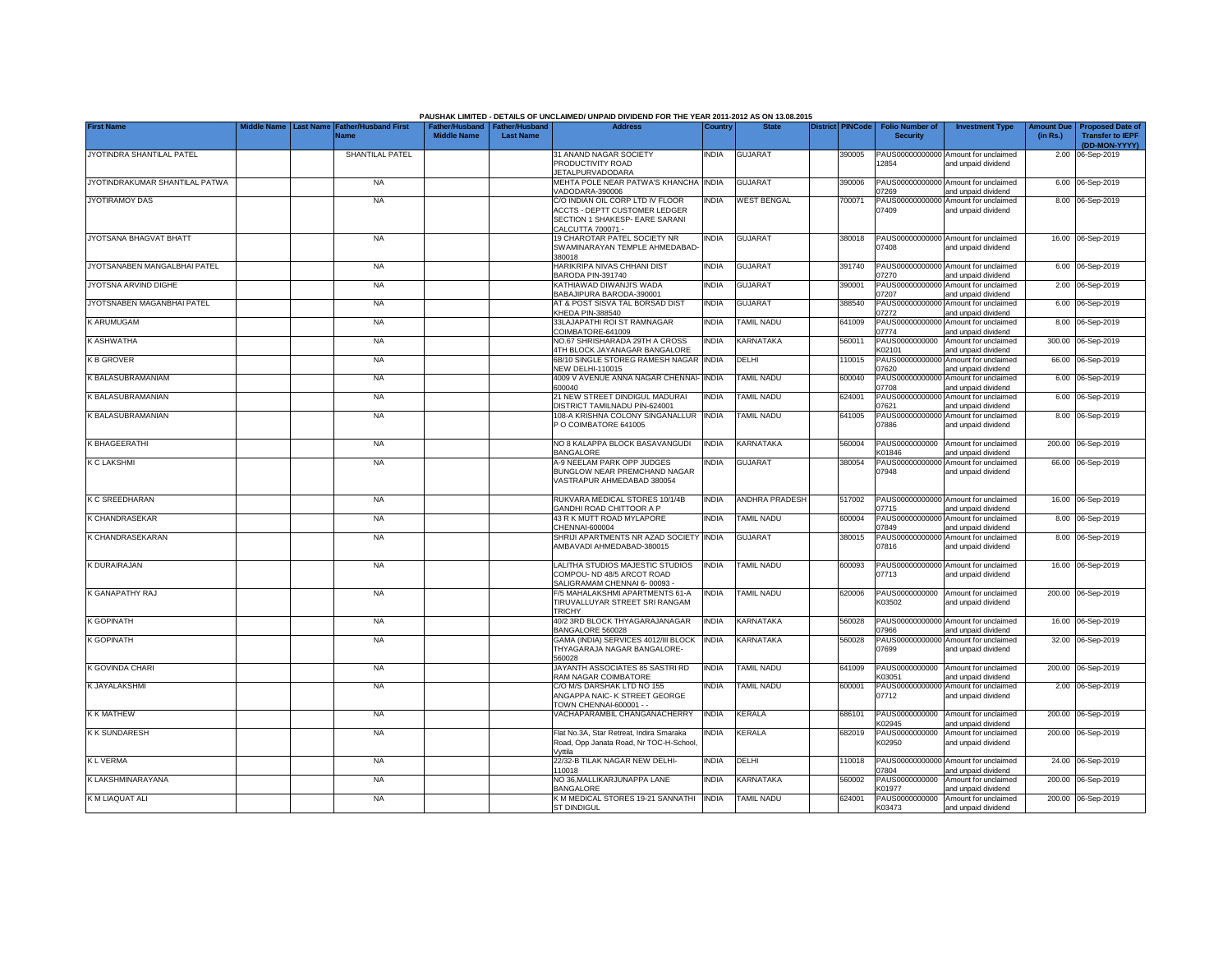|                                |                                                                                      |                        |                                                     | PAUSHAK LIMITED - DETAILS OF UNCLAIMED/ UNPAID DIVIDEND FOR THE YEAR 2011-2012 AS ON 13.08.2015 |              |                       |                         |                                           |                                                             |                               |                                                                     |
|--------------------------------|--------------------------------------------------------------------------------------|------------------------|-----------------------------------------------------|-------------------------------------------------------------------------------------------------|--------------|-----------------------|-------------------------|-------------------------------------------|-------------------------------------------------------------|-------------------------------|---------------------------------------------------------------------|
| <b>First Name</b>              | <b>Middle Name</b><br><b>Last Name</b><br><b>Father/Husband First</b><br><b>Name</b> | <b>Middle Name</b>     | Father/Husband   Father/Husband<br><b>Last Name</b> | <b>Address</b>                                                                                  | Country      | <b>State</b>          | <b>District PINCode</b> | <b>Folio Number of</b><br><b>Security</b> | <b>Investment Type</b>                                      | <b>Amount Due</b><br>(in Rs.) | <b>Proposed Date of</b><br><b>Transfer to IEPF</b><br>(DD-MON-YYYY) |
| JYOTINDRA SHANTILAL PATEL      |                                                                                      | <b>SHANTILAL PATEL</b> |                                                     | <b>31 ANAND NAGAR SOCIETY</b>                                                                   | India        | <b>GUJARAT</b>        | 390005                  |                                           | PAUS00000000000 Amount for unclaimed                        |                               | 2.00 06-Sep-2019                                                    |
|                                |                                                                                      |                        |                                                     | PRODUCTIVITY ROAD<br><b>JETALPURVADODARA</b>                                                    |              |                       |                         | 12854                                     | and unpaid dividend                                         |                               |                                                                     |
| JYOTINDRAKUMAR SHANTILAL PATWA |                                                                                      | <b>NA</b>              |                                                     | MEHTA POLE NEAR PATWA'S KHANCHA<br>VADODARA-390006                                              | <b>INDIA</b> | <b>GUJARAT</b>        | 390006                  | 07269                                     | PAUS00000000000 Amount for unclaimed<br>and unpaid dividend |                               | 6.00 06-Sep-2019                                                    |
| <b>JYOTIRAMOY DAS</b>          |                                                                                      | <b>NA</b>              |                                                     | C/O INDIAN OIL CORP LTD IV FLOOR                                                                | INDIA        | <b>WEST BENGAL</b>    | 700071                  | PAUS00000000000                           | Amount for unclaimed                                        |                               | 8.00 06-Sep-2019                                                    |
|                                |                                                                                      |                        |                                                     | <b>ACCTS - DEPTT CUSTOMER LEDGER</b>                                                            |              |                       |                         | 07409                                     | and unpaid dividend                                         |                               |                                                                     |
|                                |                                                                                      |                        |                                                     | SECTION 1 SHAKESP- EARE SARANI<br>CALCUTTA 700071-                                              |              |                       |                         |                                           |                                                             |                               |                                                                     |
| JYOTSANA BHAGVAT BHATT         |                                                                                      | <b>NA</b>              |                                                     | <b>19 CHAROTAR PATEL SOCIETY NR</b>                                                             | <b>INDIA</b> | <b>GUJARAT</b>        | 380018                  |                                           | PAUS00000000000 Amount for unclaimed                        |                               | 16.00 06-Sep-2019                                                   |
|                                |                                                                                      |                        |                                                     | SWAMINARAYAN TEMPLE AHMEDABAD<br>380018                                                         |              |                       |                         | 07408                                     | and unpaid dividend                                         |                               |                                                                     |
| JYOTSANABEN MANGALBHAI PATEL   |                                                                                      | <b>NA</b>              |                                                     | HARIKRIPA NIVAS CHHANI DIST<br>BARODA PIN-391740                                                | INDIA        | <b>GUJARAT</b>        | 391740                  | PAUS00000000000<br>07270                  | Amount for unclaimed<br>and unpaid dividend                 |                               | 6.00 06-Sep-2019                                                    |
| JYOTSNA ARVIND DIGHE           |                                                                                      | <b>NA</b>              |                                                     | KATHIAWAD DIWANJI'S WADA<br>BABAJIPURA BARODA-390001                                            | <b>INDIA</b> | <b>GUJARAT</b>        | 390001                  | PAUS00000000000<br>07207                  | Amount for unclaimed<br>and unpaid dividend                 |                               | 2.00 06-Sep-2019                                                    |
| JYOTSNABEN MAGANBHAI PATEL     |                                                                                      | <b>NA</b>              |                                                     | AT & POST SISVA TAL BORSAD DIST                                                                 | <b>INDIA</b> | <b>GUJARAT</b>        | 388540                  | PAUS00000000000                           | Amount for unclaimed                                        |                               | 6.00 06-Sep-2019                                                    |
|                                |                                                                                      |                        |                                                     | KHEDA PIN-388540                                                                                |              |                       |                         | 07272                                     | and unpaid dividend                                         |                               |                                                                     |
| K ARUMUGAM                     |                                                                                      | <b>NA</b>              |                                                     | 33LAJAPATHI ROI ST RAMNAGAR<br>COIMBATORE-641009                                                | <b>INDIA</b> | <b>TAMIL NADU</b>     | 641009                  | PAUS00000000000<br>07774                  | Amount for unclaimed<br>and unpaid dividend                 |                               | 8.00 06-Sep-2019                                                    |
| K ASHWATHA                     |                                                                                      | <b>NA</b>              |                                                     | NO.67 SHRISHARADA 29TH A CROSS                                                                  | <b>INDIA</b> | KARNATAKA             | 560011                  | PAUS0000000000                            | Amount for unclaimed                                        |                               | 300.00 06-Sep-2019                                                  |
|                                |                                                                                      |                        |                                                     | 4TH BLOCK JAYANAGAR BANGALORE                                                                   |              |                       |                         | K02101                                    | and unpaid dividend                                         |                               |                                                                     |
| <b>K B GROVER</b>              |                                                                                      | <b>NA</b>              |                                                     | 6B/10 SINGLE STOREG RAMESH NAGAR<br><b>NEW DELHI-110015</b>                                     | <b>INDIA</b> | DELHI                 | 110015                  | PAUS00000000000<br>07620                  | Amount for unclaimed<br>and unpaid dividend                 |                               | 66.00 06-Sep-2019                                                   |
| K BALASUBRAMANIAM              |                                                                                      | <b>NA</b>              |                                                     | 4009 V AVENUE ANNA NAGAR CHENNAI-                                                               | <b>INDIA</b> | <b>TAMIL NADU</b>     | 600040                  | PAUS00000000000                           | Amount for unclaimed                                        |                               | 6.00 06-Sep-2019                                                    |
|                                |                                                                                      |                        |                                                     | 600040                                                                                          |              |                       |                         | 07708                                     | and unpaid dividend                                         |                               |                                                                     |
| K BALASUBRAMANIAN              |                                                                                      | <b>NA</b>              |                                                     | 21 NEW STREET DINDIGUL MADURAI                                                                  | <b>INDIA</b> | <b>TAMIL NADU</b>     | 624001                  |                                           | PAUS00000000000 Amount for unclaimed                        |                               | 6.00 06-Sep-2019                                                    |
|                                |                                                                                      |                        |                                                     | DISTRICT TAMILNADU PIN-624001                                                                   |              |                       |                         | 07621                                     | and unpaid dividend                                         |                               |                                                                     |
| K BALASUBRAMANIAN              |                                                                                      | <b>NA</b>              |                                                     | 108-A KRISHNA COLONY SINGANALLUR INDIA<br>P O COIMBATORE 641005                                 |              | <b>TAMIL NADU</b>     | 641005                  | 07886                                     | PAUS00000000000 Amount for unclaimed<br>and unpaid dividend |                               | 8.00 06-Sep-2019                                                    |
| K BHAGEERATHI                  |                                                                                      | <b>NA</b>              |                                                     | NO 8 KALAPPA BLOCK BASAVANGUDI                                                                  | <b>INDIA</b> | KARNATAKA             | 560004                  | PAUS0000000000                            | Amount for unclaimed                                        |                               | 200.00 06-Sep-2019                                                  |
|                                |                                                                                      |                        |                                                     | <b>BANGALORE</b>                                                                                |              |                       |                         | K01846                                    | and unpaid dividend                                         |                               |                                                                     |
| K C LAKSHMI                    |                                                                                      | <b>NA</b>              |                                                     | <b>A-9 NEELAM PARK OPP JUDGES</b><br>BUNGLOW NEAR PREMCHAND NAGAR<br>VASTRAPUR AHMEDABAD 380054 | NDIA         | <b>GUJARAT</b>        | 380054                  | PAUS00000000000<br>07948                  | Amount for unclaimed<br>and unpaid dividend                 |                               | 66.00 06-Sep-2019                                                   |
| <b>K C SREEDHARAN</b>          |                                                                                      | <b>NA</b>              |                                                     | RUKVARA MEDICAL STORES 10/1/4B                                                                  | <b>INDIA</b> | <b>ANDHRA PRADESH</b> | 517002                  | 07715                                     | PAUS00000000000 Amount for unclaimed                        |                               | 16.00 06-Sep-2019                                                   |
| K CHANDRASEKAR                 |                                                                                      | <b>NA</b>              |                                                     | GANDHI ROAD CHITTOOR A P<br>43 R K MUTT ROAD MYLAPORE                                           | <b>INDIA</b> | <b>TAMIL NADU</b>     | 600004                  |                                           | and unpaid dividend<br>PAUS00000000000 Amount for unclaimed |                               | 8.00 06-Sep-2019                                                    |
|                                |                                                                                      |                        |                                                     | CHENNAI-600004                                                                                  |              |                       |                         | 07849                                     | and unpaid dividend                                         |                               |                                                                     |
| K CHANDRASEKARAN               |                                                                                      | <b>NA</b>              |                                                     | SHRIJI APARTMENTS NR AZAD SOCIETY INDIA<br>AMBAVADI AHMEDABAD-380015                            |              | <b>GUJARAT</b>        | 380015                  | 07816                                     | PAUS00000000000 Amount for unclaimed<br>and unpaid dividend |                               | 8.00 06-Sep-2019                                                    |
| K DURAIRAJAN                   |                                                                                      | <b>NA</b>              |                                                     | LALITHA STUDIOS MAJESTIC STUDIOS                                                                | <b>INDIA</b> | <b>TAMIL NADU</b>     | 600093                  |                                           | PAUS00000000000 Amount for unclaimed                        |                               | 16.00 06-Sep-2019                                                   |
|                                |                                                                                      |                        |                                                     | COMPOU- ND 48/5 ARCOT ROAD<br>SALIGRAMAM CHENNAI 6-00093                                        |              |                       |                         | 07713                                     | and unpaid dividend                                         |                               |                                                                     |
| K GANAPATHY RAJ                |                                                                                      | <b>NA</b>              |                                                     | F/5 MAHALAKSHMI APARTMENTS 61-A                                                                 | <b>INDIA</b> | <b>TAMIL NADU</b>     | 620006                  |                                           | PAUS0000000000 Amount for unclaimed                         |                               | 200.00 06-Sep-2019                                                  |
|                                |                                                                                      |                        |                                                     | TIRUVALLUYAR STREET SRI RANGAM<br><b>TRICHY</b>                                                 |              |                       |                         | K03502                                    | and unpaid dividend                                         |                               |                                                                     |
| <b>K GOPINATH</b>              |                                                                                      | <b>NA</b>              |                                                     | 40/2 3RD BLOCK THYAGARAJANAGAR<br>BANGALORE 560028                                              | <b>INDIA</b> | KARNATAKA             | 560028                  | 07966                                     | PAUS00000000000 Amount for unclaimed<br>and unpaid dividend |                               | 16.00 06-Sep-2019                                                   |
| <b>K GOPINATH</b>              |                                                                                      | <b>NA</b>              |                                                     | GAMA (INDIA) SERVICES 4012/III BLOCK                                                            | <b>INDIA</b> | KARNATAKA             | 560028                  |                                           | PAUS00000000000 Amount for unclaimed                        |                               | 32.00 06-Sep-2019                                                   |
|                                |                                                                                      |                        |                                                     | THYAGARAJA NAGAR BANGALORE-                                                                     |              |                       |                         | 07699                                     | and unpaid dividend                                         |                               |                                                                     |
|                                |                                                                                      |                        |                                                     | 560028                                                                                          |              |                       |                         |                                           |                                                             |                               |                                                                     |
| K GOVINDA CHARI                |                                                                                      | <b>NA</b>              |                                                     | JAYANTH ASSOCIATES 85 SASTRI RD<br>RAM NAGAR COIMBATORE                                         | <b>INDIA</b> | <b>TAMIL NADU</b>     | 641009                  | PAUS0000000000<br>K03051                  | Amount for unclaimed<br>and unpaid dividend                 |                               | 200.00 06-Sep-2019                                                  |
| K JAYALAKSHMI                  |                                                                                      | <b>NA</b>              |                                                     | C/O M/S DARSHAK LTD NO 155                                                                      | INDIA        | <b>TAMIL NADU</b>     | 600001                  |                                           | PAUS00000000000 Amount for unclaimed                        |                               | 2.00 06-Sep-2019                                                    |
|                                |                                                                                      |                        |                                                     | ANGAPPA NAIC- K STREET GEORGE                                                                   |              |                       |                         | 07712                                     | and unpaid dividend                                         |                               |                                                                     |
|                                |                                                                                      |                        |                                                     | TOWN CHENNAI-600001 - -                                                                         |              |                       |                         |                                           |                                                             |                               |                                                                     |
| <b>K K MATHEW</b>              |                                                                                      | <b>NA</b>              |                                                     | VACHAPARAMBIL CHANGANACHERRY                                                                    | <b>INDIA</b> | <b>KERALA</b>         | 686101                  | K02945                                    | PAUS0000000000 Amount for unclaimed<br>and unpaid dividend  |                               | 200.00 06-Sep-2019                                                  |
| <b>KK SUNDARESH</b>            |                                                                                      | <b>NA</b>              |                                                     | Flat No.3A, Star Retreat, Indira Smaraka                                                        | <b>INDIA</b> | <b>KERALA</b>         | 682019                  |                                           | PAUS0000000000 Amount for unclaimed                         |                               | 200.00 06-Sep-2019                                                  |
|                                |                                                                                      |                        |                                                     | Road, Opp Janata Road, Nr TOC-H-School<br>Vyttila                                               |              |                       |                         | K02950                                    | and unpaid dividend                                         |                               |                                                                     |
| <b>KLVERMA</b>                 |                                                                                      | <b>NA</b>              |                                                     | 22/32-B TILAK NAGAR NEW DELHI-                                                                  | <b>INDIA</b> | DELHI                 | 10018                   |                                           | PAUS00000000000 Amount for unclaimed                        |                               | 24.00 06-Sep-2019                                                   |
|                                |                                                                                      |                        |                                                     | 110018                                                                                          |              |                       |                         | 07804                                     | and unpaid dividend                                         |                               |                                                                     |
| K LAKSHMINARAYANA              |                                                                                      | <b>NA</b>              |                                                     | NO 36, MALLIKARJUNAPPA LANE                                                                     | <b>INDIA</b> | KARNATAKA             | 560002                  | PAUS0000000000                            | Amount for unclaimed                                        |                               | 200.00 06-Sep-2019                                                  |
| K M LIAQUAT ALI                |                                                                                      | <b>NA</b>              |                                                     | BANGALORE<br>K M MEDICAL STORES 19-21 SANNATHI INDIA                                            |              | <b>TAMIL NADU</b>     | 624001                  | K01977<br>PAUS0000000000                  | and unpaid dividend<br>Amount for unclaimed                 |                               | 200.00 06-Sep-2019                                                  |
|                                |                                                                                      |                        |                                                     | ST DINDIGUL                                                                                     |              |                       |                         | K03473                                    | and unpaid dividend                                         |                               |                                                                     |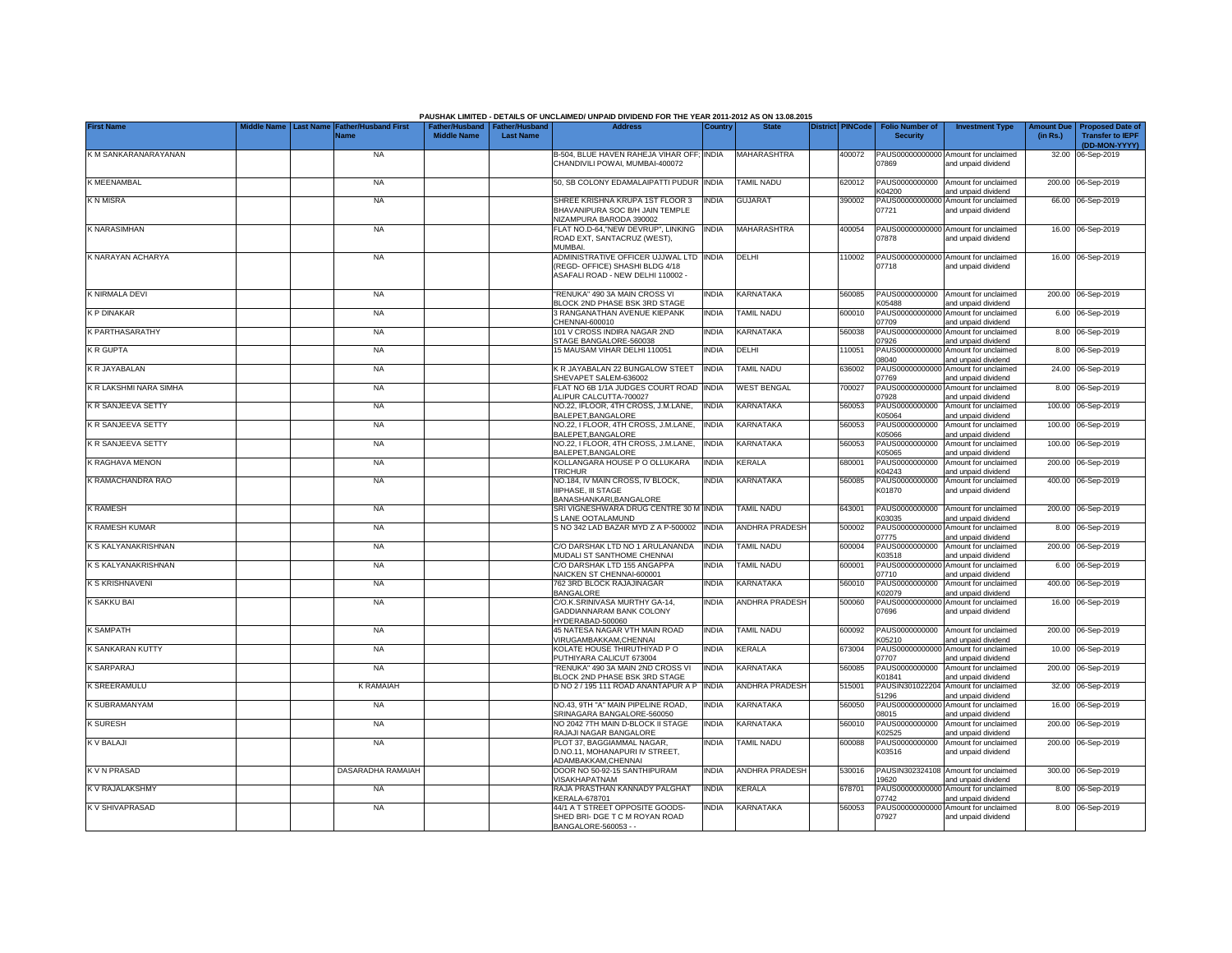|                        |                  |                                     |                                                       |                  | PAUSHAK LIMITED - DETAILS OF UNCLAIMED/ UNPAID DIVIDEND FOR THE YEAR 2011-2012 AS ON 13.08.2015                 |              |                          |                         |                                           |                                                             |                               |                                                    |
|------------------------|------------------|-------------------------------------|-------------------------------------------------------|------------------|-----------------------------------------------------------------------------------------------------------------|--------------|--------------------------|-------------------------|-------------------------------------------|-------------------------------------------------------------|-------------------------------|----------------------------------------------------|
| <b>First Name</b>      | <b>Last Name</b> | <b>Father/Husband First</b><br>Name | Father/Husband   Father/Husband<br><b>Middle Name</b> | <b>Last Name</b> | <b>Address</b>                                                                                                  | Country      | <b>State</b>             | <b>District PINCode</b> | <b>Folio Number of</b><br><b>Security</b> | <b>Investment Type</b>                                      | <b>Amount Due</b><br>(in Rs.) | <b>Proposed Date of</b><br><b>Transfer to IEPF</b> |
|                        |                  |                                     |                                                       |                  |                                                                                                                 |              |                          |                         |                                           |                                                             |                               | (DD-MON-YYYY)                                      |
| K M SANKARANARAYANAN   |                  | <b>NA</b>                           |                                                       |                  | B-504, BLUE HAVEN RAHEJA VIHAR OFF; INDIA<br>CHANDIVILI POWAI, MUMBAI-400072                                    |              | <b>MAHARASHTRA</b>       | 400072                  | 07869                                     | PAUS00000000000 Amount for unclaimed<br>and unpaid dividend |                               | 32.00 06-Sep-2019                                  |
| K MEENAMBAL            |                  | <b>NA</b>                           |                                                       |                  | 50. SB COLONY EDAMALAIPATTI PUDUR                                                                               | <b>INDIA</b> | TAMIL NADU               | 620012                  | PAUS0000000000<br><04200                  | Amount for unclaimed<br>and unpaid dividend                 |                               | 200.00 06-Sep-2019                                 |
| K N MISRA              |                  | <b>NA</b>                           |                                                       |                  | SHREE KRISHNA KRUPA 1ST FLOOR 3<br>BHAVANIPURA SOC B/H JAIN TEMPLE<br>NIZAMPURA BARODA 390002                   | <b>INDIA</b> | <b>GUJARAT</b>           | 390002                  | PAUS00000000000<br>07721                  | Amount for unclaimed<br>and unpaid dividend                 |                               | 66.00 06-Sep-2019                                  |
| <b>K NARASIMHAN</b>    |                  | <b>NA</b>                           |                                                       |                  | FLAT NO.D-64."NEW DEVRUP", LINKING<br>ROAD EXT, SANTACRUZ (WEST),<br>MI IMRAI                                   | <b>INDIA</b> | <b>MAHARASHTRA</b>       | 400054                  | 07878                                     | PAUS00000000000 Amount for unclaimed<br>and unpaid dividend |                               | 16.00 06-Sep-2019                                  |
| K NARAYAN ACHARYA      |                  | <b>NA</b>                           |                                                       |                  | ADMINISTRATIVE OFFICER UJJWAL LTD INDIA<br>(REGD- OFFICE) SHASHI BLDG 4/18<br>ASAFALI ROAD - NEW DELHI 110002 - |              | DELHI                    | 110002                  | 07718                                     | PAUS00000000000 Amount for unclaimed<br>and unpaid dividend |                               | 16.00 06-Sep-2019                                  |
| K NIRMALA DEVI         |                  | <b>NA</b>                           |                                                       |                  | 'RENUKA" 490 3A MAIN CROSS VI<br>BLOCK 2ND PHASE BSK 3RD STAGE                                                  | <b>INDIA</b> | KARNATAKA                | 560085                  | PAUS0000000000<br>K05488                  | Amount for unclaimed<br>and unpaid dividend                 |                               | 200.00 06-Sep-2019                                 |
| K P DINAKAR            |                  | <b>NA</b>                           |                                                       |                  | 3 RANGANATHAN AVENUE KIEPANK<br>CHENNAI-600010                                                                  | <b>INDIA</b> | <b>TAMIL NADU</b>        | 600010                  | PAUS0000000000<br>07709                   | Amount for unclaimed<br>and unpaid dividend                 | 6.00                          | 06-Sep-2019                                        |
| K PARTHASARATHY        |                  | <b>NA</b>                           |                                                       |                  | 101 V CROSS INDIRA NAGAR 2ND<br>STAGE BANGALORE-560038                                                          | <b>INDIA</b> | KARNATAKA                | 560038                  | PAUS0000000000<br>07926                   | Amount for unclaimed<br>and unpaid dividend                 |                               | 8.00 06-Sep-2019                                   |
| K R GUPTA              |                  | <b>NA</b>                           |                                                       |                  | 15 MAUSAM VIHAR DELHI 110051                                                                                    | <b>INDIA</b> | DELHI                    | 110051                  | PAUS0000000000<br>08040                   | Amount for unclaimed<br>and unpaid dividend                 |                               | 8.00 06-Sep-2019                                   |
| K R JAYABALAN          |                  | <b>NA</b>                           |                                                       |                  | K R JAYABALAN 22 BUNGALOW STEET<br>SHEVAPET SALEM-636002                                                        | <b>INDIA</b> | TAMIL NADU               | 636002                  | PAUS0000000000<br>07769                   | Amount for unclaimed<br>and unpaid dividend                 |                               | 24.00 06-Sep-2019                                  |
| K R LAKSHMI NARA SIMHA |                  | <b>NA</b>                           |                                                       |                  | FLAT NO 6B 1/1A JUDGES COURT ROAD<br>ALIPUR CALCUTTA-700027                                                     | <b>INDIA</b> | <b>WEST BENGAL</b>       | 700027                  | PAUS00000000000<br>07928                  | Amount for unclaimed<br>and unpaid dividend                 |                               | 8.00 06-Sep-2019                                   |
| K R SANJEEVA SETTY     |                  | <b>NA</b>                           |                                                       |                  | NO.22, IFLOOR, 4TH CROSS, J.M.LANE,<br>BALEPET, BANGALORE                                                       | <b>INDIA</b> | KARNATAKA                | 560053                  | PAUS0000000000<br><05064                  | Amount for unclaimed<br>and unpaid dividend                 |                               | 100.00 06-Sep-2019                                 |
| K R SANJEEVA SETTY     |                  | <b>NA</b>                           |                                                       |                  | NO.22, I FLOOR, 4TH CROSS, J.M.LANE,<br>BALEPET, BANGALORE                                                      | <b>INDIA</b> | <b>KARNATAKA</b>         | 560053                  | PAUS0000000000<br>K05066                  | Amount for unclaimed<br>and unpaid dividend                 |                               | 100.00 06-Sep-2019                                 |
| K R SANJEEVA SETTY     |                  | <b>NA</b>                           |                                                       |                  | NO.22, I FLOOR, 4TH CROSS, J.M.LANE,<br>BALEPET, BANGALORE                                                      | <b>INDIA</b> | KARNATAKA                | 560053                  | PAUS0000000000<br>K05065                  | Amount for unclaimed<br>and unpaid dividend                 |                               | 100.00 06-Sep-2019                                 |
| K RAGHAVA MENON        |                  | <b>NA</b>                           |                                                       |                  | KOLLANGARA HOUSE P O OLLUKARA<br><b>TRICHUR</b>                                                                 | <b>INDIA</b> | <b>KERALA</b>            | 680001                  | PAUS0000000000<br>K04243                  | Amount for unclaimed<br>and unpaid dividend                 |                               | 200.00 06-Sep-2019                                 |
| K RAMACHANDRA RAO      |                  | <b>NA</b>                           |                                                       |                  | NO.184, IV MAIN CROSS, IV BLOCK,<br><b>IIIPHASE. III STAGE</b><br>BANASHANKARI, BANGALORE                       | <b>INDIA</b> | KARNATAKA                | 560085                  | PAUS0000000000<br>K01870                  | Amount for unclaimed<br>and unpaid dividend                 |                               | 400.00 06-Sep-2019                                 |
| <b>K RAMESH</b>        |                  | <b>NA</b>                           |                                                       |                  | SRI VIGNESHWARA DRUG CENTRE 30 M INDIA<br><b>SLANE OOTALAMUND</b>                                               |              | <b>TAMIL NADU</b>        | 643001                  | PAUS0000000000<br>K03035                  | Amount for unclaimed<br>and unpaid dividend                 |                               | 200.00 06-Sep-2019                                 |
| K RAMESH KUMAR         |                  | <b>NA</b>                           |                                                       |                  | S NO 342 LAD BAZAR MYD Z A P-500002                                                                             | <b>INDIA</b> | ANDHRA PRADESH           | 500002                  | PAUS0000000000<br>07775                   | Amount for unclaimed<br>and unpaid dividend                 |                               | 8.00 06-Sep-2019                                   |
| K S KALYANAKRISHNAN    |                  | <b>NA</b>                           |                                                       |                  | C/O DARSHAK LTD NO 1 ARULANANDA<br>MUDALI ST SANTHOME CHENNAI                                                   | <b>INDIA</b> | <b>TAMIL NADU</b>        | 600004                  | PAUS0000000000<br>K03518                  | Amount for unclaimed<br>and unpaid dividend                 |                               | 200.00 06-Sep-2019                                 |
| K S KALYANAKRISHNAN    |                  | <b>NA</b>                           |                                                       |                  | C/O DARSHAK LTD 155 ANGAPPA<br>NAICKEN ST CHENNAI-600001                                                        | <b>INDIA</b> | <b><i>FAMIL NADU</i></b> | 600001                  | PAUS000<br>0000000<br>07710               | Amount for unclaimed<br>and unpaid dividend                 |                               | 6.00 06-Sep-2019                                   |
| K S KRISHNAVENI        |                  | <b>NA</b>                           |                                                       |                  | 762 3RD BLOCK RAJAJINAGAR<br><b>BANGALORE</b>                                                                   | <b>INDIA</b> | <b>KARNATAKA</b>         | 560010                  | PAUS0000000000<br>(02079                  | Amount for unclaimed<br>and unpaid dividend                 |                               | 400.00 06-Sep-2019                                 |
| K SAKKU BAI            |                  | <b>NA</b>                           |                                                       |                  | C/O.K.SRINIVASA MURTHY GA-14,<br><b>GADDIANNARAM BANK COLONY</b><br>HYDERABAD-500060                            | <b>INDIA</b> | <b>ANDHRA PRADESH</b>    | 500060                  | PAUS00000000000<br>07696                  | Amount for unclaimed<br>and unpaid dividend                 |                               | 16.00 06-Sep-2019                                  |
| <b>K SAMPATH</b>       |                  | <b>NA</b>                           |                                                       |                  | 45 NATESA NAGAR VTH MAIN ROAD<br>VIRUGAMBAKKAM,CHENNAI                                                          | <b>INDIA</b> | <b>TAMIL NADU</b>        | 600092                  | PAUS0000000000<br>K05210                  | Amount for unclaimed<br>and unpaid dividend                 |                               | 200.00 06-Sep-2019                                 |
| K SANKARAN KUTTY       |                  | <b>NA</b>                           |                                                       |                  | KOLATE HOUSE THIRUTHIYAD PO<br>PUTHIYARA CALICUT 673004                                                         | <b>INDIA</b> | KERALA                   | 673004                  | 07707                                     | PAUS00000000000 Amount for unclaimed<br>and unpaid dividend |                               | 10.00 06-Sep-2019                                  |
| K SARPARAJ             |                  | <b>NA</b>                           |                                                       |                  | 'RENUKA" 490 3A MAIN 2ND CROSS VI<br>BLOCK 2ND PHASE BSK 3RD STAGE                                              | <b>INDIA</b> | <b>KARNATAKA</b>         | 560085                  | PAUS0000000000<br>K01841                  | Amount for unclaimed<br>and unpaid dividend                 | 200.00                        | 06-Sep-2019                                        |
| K SREERAMULU           |                  | <b>K RAMAIAH</b>                    |                                                       |                  | D NO 2 / 195 111 ROAD ANANTAPUR A F                                                                             | <b>INDIA</b> | ANDHRA PRADESH           | 515001                  | PAUSIN30102220<br>51296                   | Amount for unclaimed<br>and unpaid dividend                 | 32.00                         | 06-Sep-2019                                        |
| K SUBRAMANYAM          |                  | <b>NA</b>                           |                                                       |                  | NO.43, 9TH "A" MAIN PIPELINE ROAD,<br>SRINAGARA BANGALORE-560050                                                | <b>INDIA</b> | KARNATAKA                | 560050                  | PAUS0000000000<br>08015                   | Amount for unclaimed<br>and unpaid dividend                 |                               | 16.00 06-Sep-2019                                  |
| <b>K SURESH</b>        |                  | <b>NA</b>                           |                                                       |                  | NO 2042 7TH MAIN D-BLOCK II STAGE<br>RAJAJI NAGAR BANGALORE                                                     | <b>INDIA</b> | KARNATAKA                | 560010                  | PAUS0000000000<br>K02525                  | Amount for unclaimed<br>and unpaid dividend                 |                               | 200.00 06-Sep-2019                                 |
| K V BALAJI             |                  | <b>NA</b>                           |                                                       |                  | PLOT 37, BAGGIAMMAL NAGAR,<br>D.NO.11, MOHANAPURI IV STREET,<br>ADAMBAKKAM.CHENNAI                              | <b>INDIA</b> | <b>TAMIL NADU</b>        | 600088                  | PAUS0000000000<br>K03516                  | Amount for unclaimed<br>and unpaid dividend                 |                               | 200.00 06-Sep-2019                                 |
| K V N PRASAD           |                  | DASARADHA RAMAIAH                   |                                                       |                  | DOOR NO 50-92-15 SANTHIPURAM<br>VISAKHAPATNAM                                                                   | India        | <b>ANDHRA PRADESH</b>    | 530016                  | PAUSIN302324108<br>9620                   | Amount for unclaimed<br>and unpaid dividend                 |                               | 300.00 06-Sep-2019                                 |
| K V RAJALAKSHMY        |                  | <b>NA</b>                           |                                                       |                  | RAJA PRASTHAN KANNADY PALGHAT<br><b>KERALA-678701</b>                                                           | <b>INDIA</b> | KERALA                   | 678701                  | PAUS00000000000<br>7742                   | Amount for unclaimed<br>and unpaid dividend                 |                               | 8.00 06-Sep-2019                                   |
| K V SHIVAPRASAD        |                  | <b>NA</b>                           |                                                       |                  | 44/1 A T STREET OPPOSITE GOODS-<br>SHED BRI- DGE T C M ROYAN ROAD<br>BANGALORE-560053 - -                       | <b>INDIA</b> | KARNATAKA                | 560053                  | 07927                                     | PAUS00000000000 Amount for unclaimed<br>and unpaid dividend |                               | 8.00 06-Sep-2019                                   |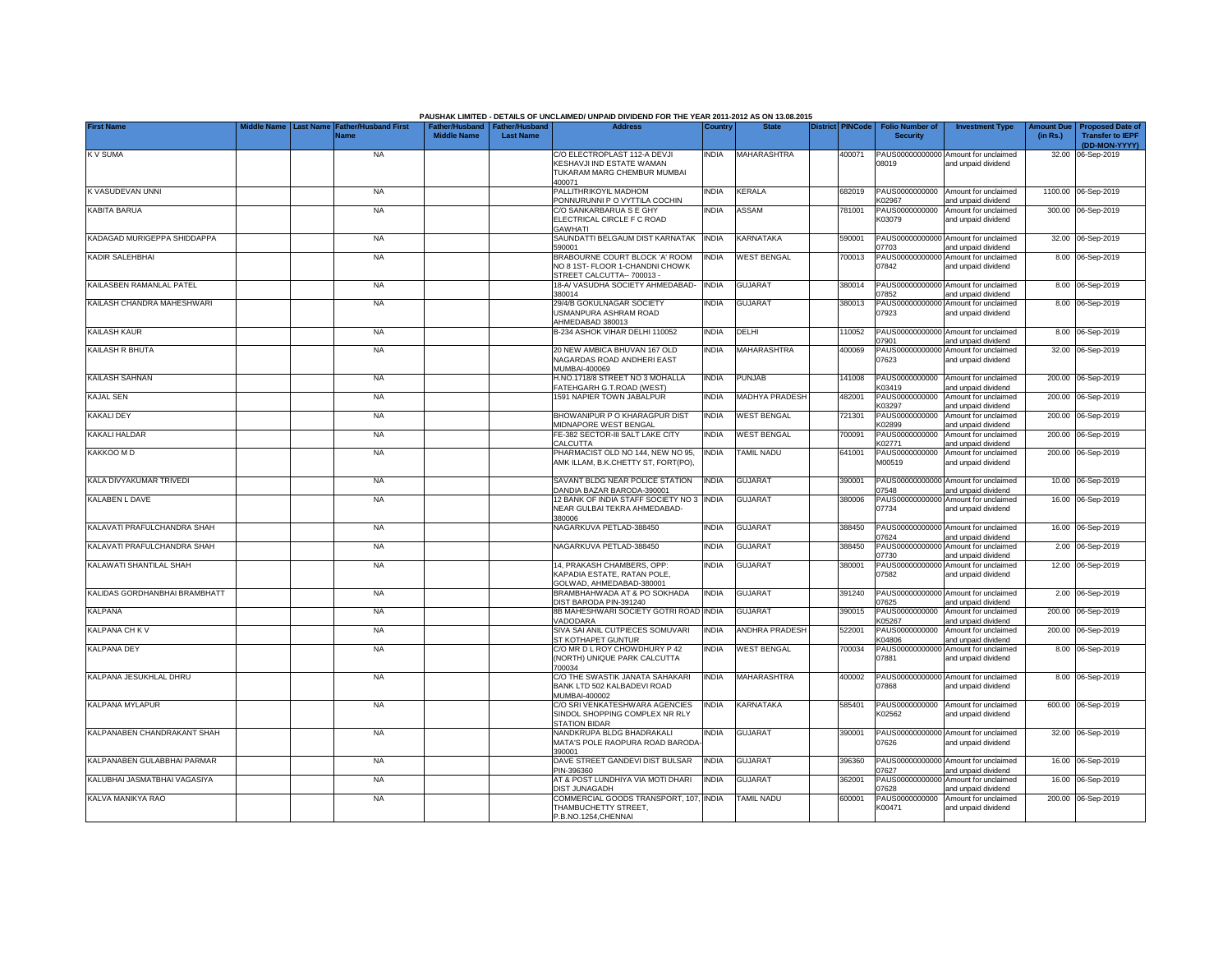|                               |                  |                                            |                                                       |                  | PAUSHAK LIMITED - DETAILS OF UNCLAIMED/ UNPAID DIVIDEND FOR THE YEAR 2011-2012 AS ON 13.08.2015 |              |                       |                         |                                           |                                                             |                               |                                                    |
|-------------------------------|------------------|--------------------------------------------|-------------------------------------------------------|------------------|-------------------------------------------------------------------------------------------------|--------------|-----------------------|-------------------------|-------------------------------------------|-------------------------------------------------------------|-------------------------------|----------------------------------------------------|
| <b>First Name</b>             | <b>Last Name</b> | <b>Father/Husband First</b><br><b>Name</b> | Father/Husband   Father/Husband<br><b>Middle Name</b> | <b>Last Name</b> | <b>Address</b>                                                                                  | Country      | <b>State</b>          | <b>District PINCode</b> | <b>Folio Number of</b><br><b>Security</b> | <b>Investment Type</b>                                      | <b>Amount Due</b><br>(in Rs.) | <b>Proposed Date of</b><br><b>Transfer to IEPF</b> |
| <b>KV SUMA</b>                |                  | <b>NA</b>                                  |                                                       |                  | C/O ELECTROPLAST 112-A DEVJI                                                                    | <b>INDIA</b> | MAHARASHTRA           | 400071                  | PAUS00000000000                           | Amount for unclaimed                                        |                               | (DD-MON-YYYY)<br>32.00 06-Sep-2019                 |
|                               |                  |                                            |                                                       |                  | KESHAVJI IND ESTATE WAMAN<br>TUKARAM MARG CHEMBUR MUMBAI<br>400071                              |              |                       |                         | 08019                                     | and unpaid dividend                                         |                               |                                                    |
| K VASUDEVAN UNNI              |                  | <b>NA</b>                                  |                                                       |                  | PALLITHRIKOYIL MADHOM<br>PONNURUNNI P O VYTTILA COCHIN                                          | <b>INDIA</b> | <b>KERALA</b>         | 682019                  | PAUS0000000000<br>K02967                  | Amount for unclaimed<br>and unpaid dividend                 |                               | 1100.00 06-Sep-2019                                |
| <b>KABITA BARUA</b>           |                  | <b>NA</b>                                  |                                                       |                  | C/O SANKARBARUA S E GHY<br>ELECTRICAL CIRCLE F C ROAD<br><b>GAWHATI</b>                         | india        | ASSAM                 | 781001                  | PAUS0000000000<br>K03079                  | Amount for unclaimed<br>and unpaid dividend                 |                               | 300.00 06-Sep-2019                                 |
| KADAGAD MURIGEPPA SHIDDAPPA   |                  | <b>NA</b>                                  |                                                       |                  | SAUNDATTI BELGAUM DIST KARNATAK<br>590001                                                       | <b>INDIA</b> | <b>KARNATAKA</b>      | 590001                  | PAUS00000000000<br>17703                  | Amount for unclaimed<br>and unpaid dividend                 |                               | 32.00 06-Sep-2019                                  |
| KADIR SALEHBHAI               |                  | <b>NA</b>                                  |                                                       |                  | BRABOURNE COURT BLOCK 'A' ROOM<br>NO 8 1ST- FLOOR 1-CHANDNI CHOWK<br>STREET CALCUTTA-- 700013 - | india        | <b>WEST BENGAL</b>    | 700013                  | PAUS00000000000<br>07842                  | Amount for unclaimed<br>and unpaid dividend                 |                               | 8.00 06-Sep-2019                                   |
| KAILASBEN RAMANLAL PATEL      |                  | <b>NA</b>                                  |                                                       |                  | 18-A/VASUDHA SOCIETY AHMEDABAD-<br>380014                                                       | <b>INDIA</b> | <b>GUJARAT</b>        | 380014                  | PAUS00000000000<br>07852                  | Amount for unclaimed<br>and unpaid dividend                 |                               | 8.00 06-Sep-2019                                   |
| KAILASH CHANDRA MAHESHWARI    |                  | <b>NA</b>                                  |                                                       |                  | 29/4/B GOKULNAGAR SOCIETY<br><b>JSMANPURA ASHRAM ROAD</b><br>AHMEDABAD 380013                   | INDIA        | <b>GUJARAT</b>        | 380013                  | PAUS00000000000<br>07923                  | Amount for unclaimed<br>and unpaid dividend                 |                               | 8.00 06-Sep-2019                                   |
| KAILASH KAUR                  |                  | <b>NA</b>                                  |                                                       |                  | B-234 ASHOK VIHAR DELHI 110052                                                                  | <b>INDIA</b> | DELHI                 | 110052                  | PAUS00000000000<br>)7901                  | Amount for unclaimed<br>and unpaid dividend                 |                               | 8.00 06-Sep-2019                                   |
| KAILASH R BHUTA               |                  | <b>NA</b>                                  |                                                       |                  | 20 NEW AMBICA BHUVAN 167 OLD<br>NAGARDAS ROAD ANDHERI EAST<br>MUMBAI-400069                     | <b>INDIA</b> | MAHARASHTRA           | 400069                  | PAUS00000000000<br>07623                  | Amount for unclaimed<br>and unpaid dividend                 |                               | 32.00 06-Sep-2019                                  |
| KAILASH SAHNAN                |                  | <b>NA</b>                                  |                                                       |                  | H.NO.1718/8 STREET NO 3 MOHALLA<br>FATEHGARH G.T.ROAD (WEST)                                    | <b>INDIA</b> | <b>PUNJAB</b>         | 141008                  | PAUS0000000000<br>K03419                  | Amount for unclaimed<br>and unpaid dividend                 |                               | 200.00 06-Sep-2019                                 |
| <b>KAJAL SEN</b>              |                  | <b>NA</b>                                  |                                                       |                  | 1591 NAPIER TOWN JABALPUR                                                                       | <b>INDIA</b> | MADHYA PRADESH        | 482001                  | PAUS0000000000<br>K03297                  | Amount for unclaimed<br>and unpaid dividend                 |                               | 200.00 06-Sep-2019                                 |
| KAKALI DEY                    |                  | <b>NA</b>                                  |                                                       |                  | BHOWANIPUR P O KHARAGPUR DIST<br>MIDNAPORE WEST BENGAL                                          | <b>INDIA</b> | <b>WEST BENGAL</b>    | 721301                  | PAUS0000000000<br>K02899                  | Amount for unclaimed<br>and unpaid dividend                 |                               | 200.00 06-Sep-2019                                 |
| KAKALI HALDAR                 |                  | <b>NA</b>                                  |                                                       |                  | FE-382 SECTOR-III SALT LAKE CITY<br>CALCUTTA                                                    | <b>INDIA</b> | <b>WEST BENGAL</b>    | 700091                  | PAUS0000000000<br>K02771                  | Amount for unclaimed<br>and unpaid dividend                 |                               | 200.00 06-Sep-2019                                 |
| KAKKOO M D                    |                  | <b>NA</b>                                  |                                                       |                  | PHARMACIST OLD NO 144, NEW NO 95,<br>AMK ILLAM, B.K.CHETTY ST, FORT(PO)                         | <b>INDIA</b> | <b>TAMIL NADU</b>     | 641001                  | PAUS0000000000<br>M00519                  | Amount for unclaimed<br>and unpaid dividend                 |                               | 200.00 06-Sep-2019                                 |
| KALA DIVYAKUMAR TRIVEDI       |                  | <b>NA</b>                                  |                                                       |                  | SAVANT BLDG NEAR POLICE STATION<br>DANDIA BAZAR BARODA-390001                                   | <b>INDIA</b> | <b>GUJARAT</b>        | 390001                  | PAUS00000000000<br>07548                  | Amount for unclaimed<br>and unpaid dividend                 |                               | 10.00 06-Sep-2019                                  |
| <b>KALABEN L DAVE</b>         |                  | <b>NA</b>                                  |                                                       |                  | 12 BANK OF INDIA STAFF SOCIETY NO 3<br>NEAR GULBAI TEKRA AHMEDABAD-<br>380006                   | <b>INDIA</b> | <b>GUJARAT</b>        | 380006                  | PAUS0000000000<br>07734                   | Amount for unclaimed<br>and unpaid dividend                 |                               | 16.00 06-Sep-2019                                  |
| KALAVATI PRAFULCHANDRA SHAH   |                  | <b>NA</b>                                  |                                                       |                  | NAGARKUVA PETLAD-388450                                                                         | <b>INDIA</b> | <b>GUJARAT</b>        | 388450                  | PAUS00000000000<br>07624                  | Amount for unclaimed<br>and unpaid dividend                 |                               | 16.00 06-Sep-2019                                  |
| KALAVATI PRAFULCHANDRA SHAH   |                  | <b>NA</b>                                  |                                                       |                  | NAGARKUVA PETLAD-388450                                                                         | INDIA        | <b>GUJARAT</b>        | 388450                  | PAUS00000000000<br>07730                  | Amount for unclaimed<br>and unpaid dividend                 |                               | 2.00 06-Sep-2019                                   |
| KALAWATI SHANTILAL SHAH       |                  | <b>NA</b>                                  |                                                       |                  | 14, PRAKASH CHAMBERS, OPP:<br>KAPADIA ESTATE, RATAN POLE,<br>GOLWAD, AHMEDABAD-380001           | India        | <b>GUJARAT</b>        | 380001                  | PAUS00000000000<br>07582                  | Amount for unclaimed<br>and unpaid dividend                 |                               | 12.00 06-Sep-2019                                  |
| KALIDAS GORDHANBHAI BRAMBHATT |                  | <b>NA</b>                                  |                                                       |                  | BRAMBHAHWADA AT & PO SOKHADA<br>DIST BARODA PIN-391240                                          | <b>INDIA</b> | <b>GUJARAT</b>        | 391240                  | PAUS00000000000<br>07625                  | Amount for unclaimed<br>and unpaid dividend                 |                               | 2.00 06-Sep-2019                                   |
| <b>KALPANA</b>                |                  | <b>NA</b>                                  |                                                       |                  | 8B MAHESHWARI SOCIETY GOTRI ROAD<br>VADODARA                                                    | <b>INDIA</b> | <b>GUJARAT</b>        | 390015                  | PAUS0000000000<br>K05267                  | Amount for unclaimed<br>and unpaid dividend                 |                               | 200.00 06-Sep-2019                                 |
| KALPANA CH K V                |                  | <b>NA</b>                                  |                                                       |                  | SIVA SAI ANIL CUTPIECES SOMUVARI<br>ST KOTHAPET GUNTUR                                          | india        | <b>ANDHRA PRADESH</b> | 522001                  | PAUS0000000000<br>K04806                  | Amount for unclaimed<br>and unpaid dividend                 |                               | 200.00 06-Sep-2019                                 |
| <b>KALPANA DEY</b>            |                  | <b>NA</b>                                  |                                                       |                  | C/O MR D L ROY CHOWDHURY P 42<br>(NORTH) UNIQUE PARK CALCUTTA<br>700034                         | INDIA        | <b>WEST BENGAL</b>    | 700034                  | PAUS00000000000<br>07881                  | Amount for unclaimed<br>and unpaid dividend                 |                               | 8.00 06-Sep-2019                                   |
| KALPANA JESUKHLAL DHRU        |                  | <b>NA</b>                                  |                                                       |                  | C/O THE SWASTIK JANATA SAHAKARI<br>BANK LTD 502 KALBADEVI ROAD<br>MUMBAI-400002                 | <b>INDIA</b> | <b>MAHARASHTRA</b>    | 400002                  | 07868                                     | PAUS00000000000 Amount for unclaimed<br>and unpaid dividend |                               | 8.00 06-Sep-2019                                   |
| KALPANA MYLAPUR               |                  | <b>NA</b>                                  |                                                       |                  | C/O SRI VENKATESHWARA AGENCIES<br>SINDOL SHOPPING COMPLEX NR RLY<br><b>STATION BIDAR</b>        | <b>INDIA</b> | KARNATAKA             | 585401                  | PAUS0000000000<br>K02562                  | Amount for unclaimed<br>and unpaid dividend                 |                               | 600.00 06-Sep-2019                                 |
| KALPANABEN CHANDRAKANT SHAH   |                  | NA                                         |                                                       |                  | NANDKRUPA BLDG BHADRAKALI<br>MATA'S POLE RAOPURA ROAD BARODA<br>390001                          | India        | <b>GUJARAT</b>        | 390001                  | 07626                                     | PAUS00000000000 Amount for unclaimed<br>and unpaid dividend |                               | 32.00 06-Sep-2019                                  |
| KALPANABEN GULABBHAI PARMAR   |                  | <b>NA</b>                                  |                                                       |                  | DAVE STREET GANDEVI DIST BULSAR<br>PIN-396360                                                   | <b>INDIA</b> | <b>GUJARAT</b>        | 396360                  | 07627                                     | PAUS00000000000 Amount for unclaimed<br>and unpaid dividend |                               | 16.00 06-Sep-2019                                  |
| KALUBHAI JASMATBHAI VAGASIYA  |                  | NA                                         |                                                       |                  | AT & POST LUNDHIYA VIA MOTI DHARI<br>DIST JUNAGADH                                              | <b>INDIA</b> | <b>GUJARAT</b>        | 362001                  | 07628                                     | PAUS00000000000 Amount for unclaimed<br>and unpaid dividend |                               | 16.00 06-Sep-2019                                  |
| KALVA MANIKYA RAO             |                  | <b>NA</b>                                  |                                                       |                  | COMMERCIAL GOODS TRANSPORT, 107, INDIA<br>THAMBUCHETTY STREET,<br>P.B.NO.1254.CHENNAI           |              | <b>TAMIL NADU</b>     | 600001                  | K00471                                    | PAUS0000000000 Amount for unclaimed<br>and unpaid dividend  |                               | 200.00 06-Sep-2019                                 |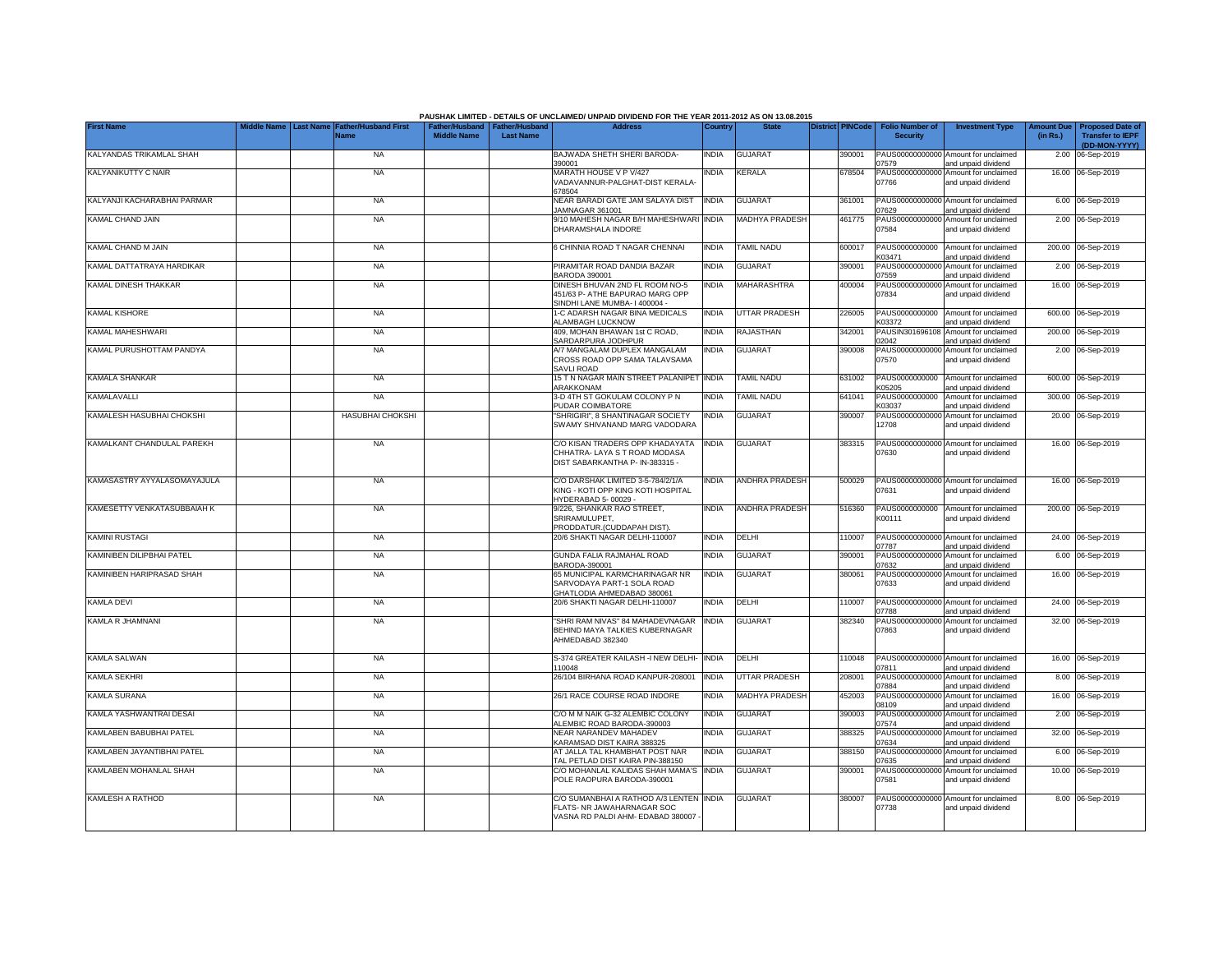|                             |           |                                     |                                                       |                  | PAUSHAK LIMITED - DETAILS OF UNCLAIMED/ UNPAID DIVIDEND FOR THE YEAR 2011-2012 AS ON 13.08.2015            |              |                       |                         |                                           |                                                             |                               |                                                                     |
|-----------------------------|-----------|-------------------------------------|-------------------------------------------------------|------------------|------------------------------------------------------------------------------------------------------------|--------------|-----------------------|-------------------------|-------------------------------------------|-------------------------------------------------------------|-------------------------------|---------------------------------------------------------------------|
| <b>First Name</b>           | Last Name | <b>Father/Husband First</b><br>Name | Father/Husband   Father/Husband<br><b>Middle Name</b> | <b>Last Name</b> | <b>Address</b>                                                                                             | Country      | <b>State</b>          | <b>District PINCode</b> | <b>Folio Number of</b><br><b>Security</b> | <b>Investment Type</b>                                      | <b>Amount Due</b><br>(in Rs.) | <b>Proposed Date of</b><br><b>Transfer to IEPF</b><br>(DD-MON-YYYY) |
| KALYANDAS TRIKAMLAL SHAH    |           | <b>NA</b>                           |                                                       |                  | BAJWADA SHETH SHERI BARODA-<br>390001                                                                      | <b>INDIA</b> | GUJARAT               | 390001                  | 07579                                     | PAUS00000000000 Amount for unclaimed<br>and unpaid dividend |                               | 2.00 06-Sep-2019                                                    |
| KALYANIKUTTY C NAIR         |           | <b>NA</b>                           |                                                       |                  | MARATH HOUSE V P V/427<br>VADAVANNUR-PALGHAT-DIST KERALA-<br>378504                                        | india        | <b>KERALA</b>         | 678504                  | PAUS00000000000<br>07766                  | Amount for unclaimed<br>and unpaid dividend                 |                               | 16.00 06-Sep-2019                                                   |
| KALYANJI KACHARABHAI PARMAR |           | <b>NA</b>                           |                                                       |                  | NEAR BARADI GATE JAM SALAYA DIST<br>JAMNAGAR 361001                                                        | <b>INDIA</b> | <b>GUJARAT</b>        | 361001                  | PAUS00000000000<br>7629                   | Amount for unclaimed<br>and unpaid dividend                 |                               | 6.00 06-Sep-2019                                                    |
| KAMAL CHAND JAIN            |           | <b>NA</b>                           |                                                       |                  | 9/10 MAHESH NAGAR B/H MAHESHWARI<br>DHARAMSHALA INDORE                                                     | <b>INDIA</b> | MADHYA PRADESH        | 461775                  | PAUS00000000000<br>07584                  | Amount for unclaimed<br>and unpaid dividend                 |                               | 2.00 06-Sep-2019                                                    |
| KAMAL CHAND M JAIN          |           | <b>NA</b>                           |                                                       |                  | 6 CHINNIA ROAD T NAGAR CHENNAI                                                                             | <b>INDIA</b> | <b>TAMIL NADU</b>     | 600017                  | PAUS0000000000<br>K03471                  | Amount for unclaimed<br>and unpaid dividend                 |                               | 200.00 06-Sep-2019                                                  |
| KAMAL DATTATRAYA HARDIKAR   |           | <b>NA</b>                           |                                                       |                  | PIRAMITAR ROAD DANDIA BAZAR<br>BARODA 390001                                                               | <b>INDIA</b> | <b>GUJARAT</b>        | 390001                  | PAUS0000000000<br>07559                   | Amount for unclaimed<br>and unpaid dividend                 |                               | 2.00 06-Sep-2019                                                    |
| KAMAL DINESH THAKKAR        |           | <b>NA</b>                           |                                                       |                  | DINESH BHUVAN 2ND FL ROOM NO-5<br>451/63 P- ATHE BAPURAO MARG OPP<br>SINDHI LANE MUMBA- I 400004 -         | <b>INDIA</b> | MAHARASHTRA           | 400004                  | 07834                                     | PAUS00000000000 Amount for unclaimed<br>and unpaid dividend |                               | 16.00 06-Sep-2019                                                   |
| KAMAL KISHORE               |           | <b>NA</b>                           |                                                       |                  | 1-C ADARSH NAGAR BINA MEDICALS<br>ALAMBAGH LUCKNOW                                                         | <b>INDIA</b> | UTTAR PRADESH         | 226005                  | PAUS0000000000<br>K03372                  | Amount for unclaimed<br>and unpaid dividend                 |                               | 600.00 06-Sep-2019                                                  |
| KAMAL MAHESHWARI            |           | <b>NA</b>                           |                                                       |                  | 409, MOHAN BHAWAN 1st C ROAD,<br>SARDARPURA JODHPUR                                                        | <b>INDIA</b> | <b>RAJASTHAN</b>      | 342001                  | PAUSIN30169610<br>02042                   | Amount for unclaimed<br>and unpaid dividend                 | 200.00                        | 06-Sep-2019                                                         |
| KAMAL PURUSHOTTAM PANDYA    |           | <b>NA</b>                           |                                                       |                  | A/7 MANGALAM DUPLEX MANGALAM<br>CROSS ROAD OPP SAMA TALAVSAMA<br>SAVLI ROAD                                | <b>INDIA</b> | <b>GUJARAT</b>        | 390008                  | PAUS0000000000<br>07570                   | Amount for unclaimed<br>and unpaid dividend                 |                               | 2.00 06-Sep-2019                                                    |
| KAMALA SHANKAR              |           | <b>NA</b>                           |                                                       |                  | 15 T N NAGAR MAIN STREET PALANIPET INDIA<br>ARAKKONAM                                                      |              | <b>TAMIL NADU</b>     | 631002                  | PAUS0000000000<br>K05205                  | Amount for unclaimed<br>and unpaid dividend                 |                               | 600.00 06-Sep-2019                                                  |
| KAMALAVALLI                 |           | <b>NA</b>                           |                                                       |                  | 3-D 4TH ST GOKULAM COLONY P N<br>PUDAR COIMBATORE                                                          | <b>INDIA</b> | <b>TAMIL NADU</b>     | 641041                  | PAUS0000000000<br><03037                  | Amount for unclaimed<br>and unpaid dividend                 |                               | 300.00 06-Sep-2019                                                  |
| KAMALESH HASUBHAI CHOKSHI   |           | <b>HASUBHAI CHOKSHI</b>             |                                                       |                  | "SHRIGIRI", 8 SHANTINAGAR SOCIETY<br>SWAMY SHIVANAND MARG VADODARA                                         | India        | <b>GUJARAT</b>        | 390007                  | PAUS00000000000<br>12708                  | Amount for unclaimed<br>and unpaid dividend                 |                               | 20.00 06-Sep-2019                                                   |
| KAMALKANT CHANDULAL PAREKH  |           | <b>NA</b>                           |                                                       |                  | C/O KISAN TRADERS OPP KHADAYATA<br>CHHATRA-LAYA S T ROAD MODASA<br>DIST SABARKANTHA P- IN-383315 -         | <b>INDIA</b> | <b>GUJARAT</b>        | 383315                  | 07630                                     | PAUS00000000000 Amount for unclaimed<br>and unpaid dividend |                               | 16.00 06-Sep-2019                                                   |
| KAMASASTRY AYYALASOMAYAJULA |           | <b>NA</b>                           |                                                       |                  | C/O DARSHAK LIMITED 3-5-784/2/1/A<br>KING - KOTI OPP KING KOTI HOSPITAL<br>HYDERABAD 5-00029 -             | <b>INDIA</b> | <b>ANDHRA PRADESH</b> | 500029                  | 07631                                     | PAUS00000000000 Amount for unclaimed<br>and unpaid dividend |                               | 16.00 06-Sep-2019                                                   |
| KAMESETTY VENKATASUBBAIAH K |           | <b>NA</b>                           |                                                       |                  | 9/226, SHANKAR RAO STREET,<br>SRIRAMULUPET.<br>PRODDATUR.(CUDDAPAH DIST).                                  | <b>INDIA</b> | ANDHRA PRADESH        | 516360                  | K00111                                    | PAUS0000000000 Amount for unclaimed<br>and unpaid dividend  |                               | 200.00 06-Sep-2019                                                  |
| KAMINI RUSTAGI              |           | <b>NA</b>                           |                                                       |                  | 20/6 SHAKTI NAGAR DELHI-110007                                                                             | <b>INDIA</b> | DELHI                 | 110007                  | 07787                                     | PAUS00000000000 Amount for unclaimed<br>and unpaid dividend |                               | 24.00 06-Sep-2019                                                   |
| KAMINIBEN DILIPBHAI PATEL   |           | <b>NA</b>                           |                                                       |                  | GUNDA FALIA RAJMAHAL ROAD<br>BARODA-390001                                                                 | <b>INDIA</b> | <b>GUJARAT</b>        | 390001                  | 07632                                     | PAUS00000000000 Amount for unclaimed<br>and unpaid dividend |                               | 6.00 06-Sep-2019                                                    |
| KAMINIBEN HARIPRASAD SHAH   |           | <b>NA</b>                           |                                                       |                  | 65 MUNICIPAL KARMCHARINAGAR NR<br>SARVODAYA PART-1 SOLA ROAD<br>GHATLODIA AHMEDABAD 380061                 | <b>INDIA</b> | GUJARAT               | 380061                  | 07633                                     | PAUS00000000000 Amount for unclaimed<br>and unpaid dividend |                               | 16.00 06-Sep-2019                                                   |
| <b>KAMLA DEVI</b>           |           | <b>NA</b>                           |                                                       |                  | 20/6 SHAKTI NAGAR DELHI-110007                                                                             | <b>INDIA</b> | DELHI                 | 110007                  | PAUS00000000000<br>17788                  | Amount for unclaimed<br>and unpaid dividend                 |                               | 24.00 06-Sep-2019                                                   |
| KAMLA R JHAMNANI            |           | <b>NA</b>                           |                                                       |                  | 'SHRI RAM NIVAS" 84 MAHADEVNAGAR<br>BEHIND MAYA TALKIES KUBERNAGAR<br>AHMEDABAD 382340                     | <b>INDIA</b> | <b>GUJARAT</b>        | 382340                  | PAUS00000000000<br>07863                  | Amount for unclaimed<br>and unpaid dividend                 |                               | 32.00 06-Sep-2019                                                   |
| KAMLA SALWAN                |           | <b>NA</b>                           |                                                       |                  | S-374 GREATER KAILASH -I NEW DELHI-<br>10048                                                               | <b>INDIA</b> | DELHI                 | 110048                  | 07811                                     | PAUS00000000000 Amount for unclaimed<br>and unpaid dividend |                               | 16.00 06-Sep-2019                                                   |
| KAMLA SEKHRI                |           | <b>NA</b>                           |                                                       |                  | 26/104 BIRHANA ROAD KANPUR-208001                                                                          | <b>INDIA</b> | UTTAR PRADESH         | 208001                  | 07884                                     | PAUS00000000000 Amount for unclaimed<br>and unpaid dividend |                               | 8.00 06-Sep-2019                                                    |
| KAMLA SURANA                |           | <b>NA</b>                           |                                                       |                  | 26/1 RACE COURSE ROAD INDORE                                                                               | <b>INDIA</b> | MADHYA PRADESH        | 452003                  | 08109                                     | PAUS00000000000 Amount for unclaimed<br>and unpaid dividend |                               | 16.00 06-Sep-2019                                                   |
| KAMLA YASHWANTRAI DESAI     |           | <b>NA</b>                           |                                                       |                  | C/O M M NAIK G-32 ALEMBIC COLONY<br>ALEMBIC ROAD BARODA-390003                                             | <b>INDIA</b> | <b>GUJARAT</b>        | 390003                  | 07574                                     | PAUS00000000000 Amount for unclaimed<br>and unpaid dividend |                               | 2.00 06-Sep-2019                                                    |
| KAMLABEN BABUBHAI PATEL     |           | <b>NA</b>                           |                                                       |                  | NEAR NARANDEV MAHADEV<br>KARAMSAD DIST KAIRA 388325                                                        | <b>INDIA</b> | <b>GUJARAT</b>        | 388325                  | PAUS0000000000<br>07634                   | Amount for unclaimed<br>and unpaid dividend                 | 32.00                         | 06-Sep-2019                                                         |
| KAMLABEN JAYANTIBHAI PATEL  |           | <b>NA</b>                           |                                                       |                  | AT JALLA TAL KHAMBHAT POST NAR<br>TAL PETLAD DIST KAIRA PIN-388150                                         | <b>INDIA</b> | <b>GUJARAT</b>        | 388150                  | PAUS0000000000<br>07635                   | Amount for unclaimed<br>and unpaid dividend                 | 6.00                          | 06-Sep-2019                                                         |
| KAMLABEN MOHANLAL SHAH      |           | <b>NA</b>                           |                                                       |                  | C/O MOHANLAL KALIDAS SHAH MAMA'S<br>POLE RAOPURA BARODA-390001                                             | <b>INDIA</b> | <b>GUJARAT</b>        | 390001                  | PAUS0000000000<br>07581                   | Amount for unclaimed<br>and unpaid dividend                 |                               | 10.00 06-Sep-2019                                                   |
| <b>KAMLESH A RATHOD</b>     |           | <b>NA</b>                           |                                                       |                  | C/O SUMANBHAI A RATHOD A/3 LENTEN INDIA<br>FLATS- NR JAWAHARNAGAR SOC<br>VASNA RD PALDI AHM- EDABAD 380007 |              | <b>GUJARAT</b>        | 380007                  | 07738                                     | PAUS00000000000 Amount for unclaimed<br>and unpaid dividend |                               | 8.00 06-Sep-2019                                                    |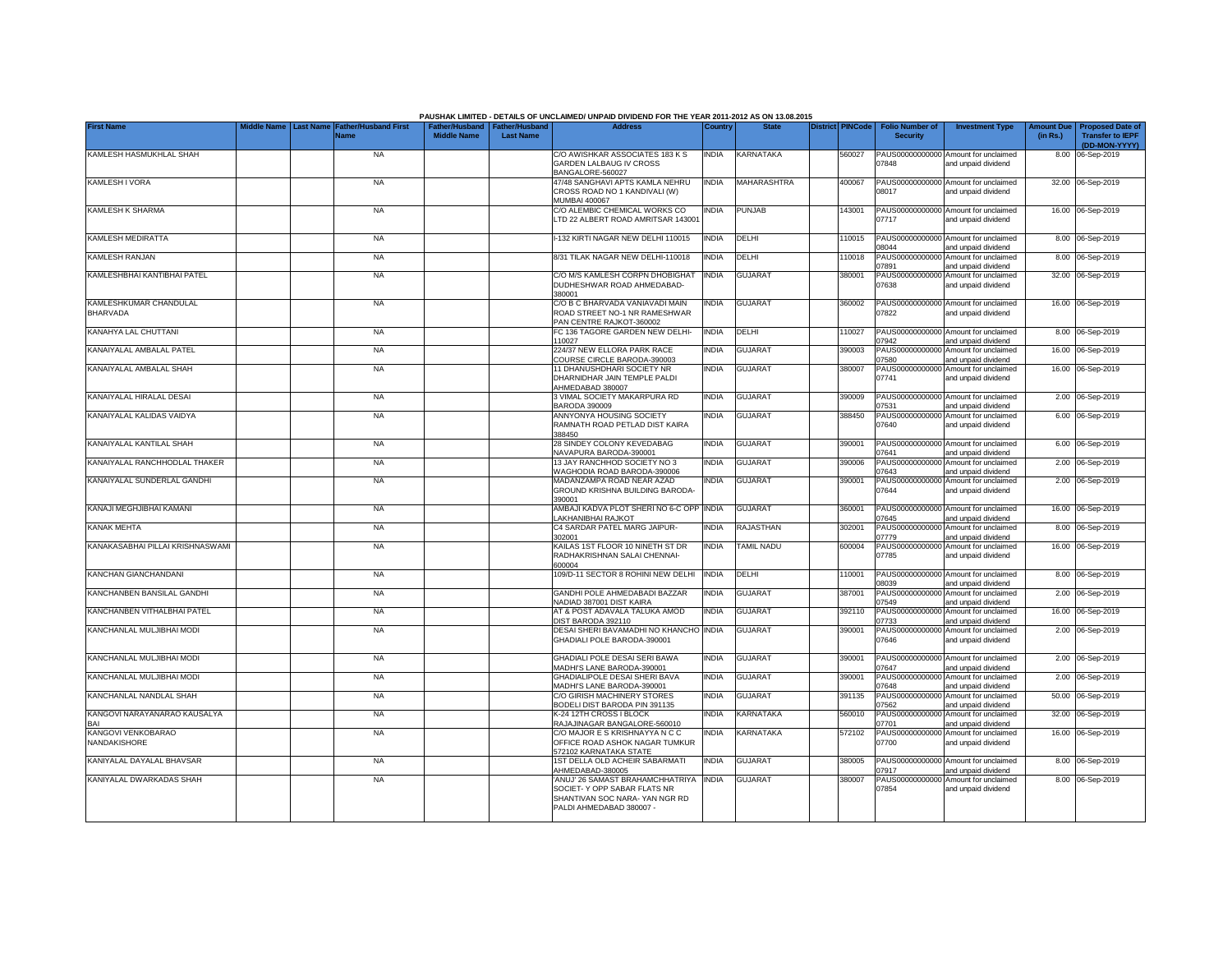|                                           |  |                                                               |                    |                                                     | PAUSHAK LIMITED - DETAILS OF UNCLAIMED/ UNPAID DIVIDEND FOR THE YEAR 2011-2012 AS ON 13.08.2015                               |              |                    |                  |                                           |                                                             |          |                                                                           |
|-------------------------------------------|--|---------------------------------------------------------------|--------------------|-----------------------------------------------------|-------------------------------------------------------------------------------------------------------------------------------|--------------|--------------------|------------------|-------------------------------------------|-------------------------------------------------------------|----------|---------------------------------------------------------------------------|
| <b>First Name</b>                         |  | Middle Name   Last Name   Father/Husband First<br><b>Name</b> | <b>Middle Name</b> | Father/Husband   Father/Husband<br><b>Last Name</b> | <b>Address</b>                                                                                                                | Country      | <b>State</b>       | District PINCode | <b>Folio Number of</b><br><b>Security</b> | <b>Investment Type</b>                                      | (in Rs.) | Amount Due   Proposed Date of<br><b>Transfer to IEPF</b><br>(DD-MON-YYYY) |
| KAMLESH HASMUKHLAL SHAH                   |  | <b>NA</b>                                                     |                    |                                                     | C/O AWISHKAR ASSOCIATES 183 K S<br>GARDEN LALBAUG IV CROSS<br>BANGALORE-560027                                                | <b>INDIA</b> | <b>KARNATAKA</b>   | 560027           | 07848                                     | PAUS00000000000 Amount for unclaimed<br>and unpaid dividend |          | 8.00 06-Sep-2019                                                          |
| KAMLESH I VORA                            |  | <b>NA</b>                                                     |                    |                                                     | 47/48 SANGHAVI APTS KAMLA NEHRU<br>CROSS ROAD NO 1 KANDIVALI (W)<br><b>MUMBAI 400067</b>                                      | <b>INDIA</b> | <b>MAHARASHTRA</b> | 400067           | 08017                                     | PAUS00000000000 Amount for unclaimed<br>and unpaid dividend |          | 32.00 06-Sep-2019                                                         |
| <b>KAMLESH K SHARMA</b>                   |  | <b>NA</b>                                                     |                    |                                                     | C/O ALEMBIC CHEMICAL WORKS CO<br>LTD 22 ALBERT ROAD AMRITSAR 143001                                                           | <b>INDIA</b> | <b>PUNJAB</b>      | 143001           | 07717                                     | PAUS00000000000 Amount for unclaimed<br>and unpaid dividend |          | 16.00 06-Sep-2019                                                         |
| KAMLESH MEDIRATTA                         |  | <b>NA</b>                                                     |                    |                                                     | I-132 KIRTI NAGAR NEW DELHI 110015                                                                                            | <b>INDIA</b> | DELHI              | 110015           | 08044                                     | PAUS00000000000 Amount for unclaimed<br>and unpaid dividend |          | 8.00 06-Sep-2019                                                          |
| KAMLESH RANJAN                            |  | <b>NA</b>                                                     |                    |                                                     | 8/31 TILAK NAGAR NEW DELHI-110018                                                                                             | <b>INDIA</b> | DELHI              | 110018           | PAUS00000000000<br>07891                  | Amount for unclaimed<br>and unpaid dividend                 |          | 8.00 06-Sep-2019                                                          |
| KAMLESHBHAI KANTIBHAI PATEL               |  | <b>NA</b>                                                     |                    |                                                     | C/O M/S KAMLESH CORPN DHOBIGHAT<br>DUDHESHWAR ROAD AHMEDABAD-<br>380001                                                       | <b>INDIA</b> | GUJARAT            | 380001           | PAUS00000000000<br>07638                  | Amount for unclaimed<br>and unpaid dividend                 |          | 32.00 06-Sep-2019                                                         |
| KAMLESHKUMAR CHANDULAL<br><b>BHARVADA</b> |  | <b>NA</b>                                                     |                    |                                                     | C/O B C BHARVADA VANIAVADI MAIN<br>ROAD STREET NO-1 NR RAMESHWAR<br>PAN CENTRE RAJKOT-360002                                  | INDIA        | <b>GUJARAT</b>     | 360002           | 07822                                     | PAUS00000000000 Amount for unclaimed<br>and unpaid dividend |          | 16.00 06-Sep-2019                                                         |
| KANAHYA LAL CHUTTANI                      |  | <b>NA</b>                                                     |                    |                                                     | FC 136 TAGORE GARDEN NEW DELHI-<br>110027                                                                                     | <b>INDIA</b> | DELHI              | 10027            | PAUS00000000000<br>07942                  | Amount for unclaimed<br>and unpaid dividend                 |          | 8.00 06-Sep-2019                                                          |
| KANAIYALAL AMBALAL PATEL                  |  | <b>NA</b>                                                     |                    |                                                     | 224/37 NEW ELLORA PARK RACE<br>COURSE CIRCLE BARODA-390003                                                                    | <b>INDIA</b> | <b>GUJARAT</b>     | 390003           | PAUS00000000000<br>7580                   | Amount for unclaimed<br>and unpaid dividend                 |          | 16.00 06-Sep-2019                                                         |
| KANAIYALAL AMBALAL SHAH                   |  | <b>NA</b>                                                     |                    |                                                     | 11 DHANUSHDHARI SOCIETY NR<br>DHARNIDHAR JAIN TEMPLE PALDI<br>AHMEDABAD 380007                                                | INDIA        | <b>GUJARAT</b>     | 380007           | PAUS00000000000<br>07741                  | Amount for unclaimed<br>and unpaid dividend                 |          | 16.00 06-Sep-2019                                                         |
| KANAIYALAL HIRALAL DESAI                  |  | <b>NA</b>                                                     |                    |                                                     | 3 VIMAL SOCIETY MAKARPURA RD<br>BARODA 390009                                                                                 | INDIA        | <b>GUJARAT</b>     | 390009           | 07531                                     | PAUS00000000000 Amount for unclaimed<br>and unpaid dividend |          | 2.00 06-Sep-2019                                                          |
| KANAIYALAL KALIDAS VAIDYA                 |  | <b>NA</b>                                                     |                    |                                                     | ANNYONYA HOUSING SOCIETY<br>RAMNATH ROAD PETLAD DIST KAIRA<br>388450                                                          | INDIA        | <b>GUJARAT</b>     | 388450           | PAUS00000000000<br>07640                  | Amount for unclaimed<br>and unpaid dividend                 |          | 6.00 06-Sep-2019                                                          |
| KANAIYALAL KANTILAL SHAH                  |  | <b>NA</b>                                                     |                    |                                                     | 28 SINDEY COLONY KEVEDABAG<br>NAVAPURA BARODA-390001                                                                          | <b>INDIA</b> | <b>GUJARAT</b>     | 390001           | 07641                                     | PAUS00000000000 Amount for unclaimed<br>and unpaid dividend |          | 6.00 06-Sep-2019                                                          |
| KANAIYALAL RANCHHODLAL THAKER             |  | <b>NA</b>                                                     |                    |                                                     | 13 JAY RANCHHOD SOCIETY NO 3<br>WAGHODIA ROAD BARODA-390006                                                                   | <b>INDIA</b> | <b>GUJARAT</b>     | 390006           | PAUS00000000000<br>07643                  | Amount for unclaimed<br>and unpaid dividend                 |          | 2.00 06-Sep-2019                                                          |
| KANAIYALAL SUNDERLAL GANDHI               |  | <b>NA</b>                                                     |                    |                                                     | MADANZAMPA ROAD NEAR AZAD<br>GROUND KRISHNA BUILDING BARODA-<br>390001                                                        | <b>INDIA</b> | <b>GUJARAT</b>     | 390001           | 07644                                     | PAUS00000000000 Amount for unclaimed<br>and unpaid dividend |          | 2.00 06-Sep-2019                                                          |
| KANAJI MEGHJIBHAI KAMANI                  |  | <b>NA</b>                                                     |                    |                                                     | AMBAJI KADVA PLOT SHERI NO 6-C OPP<br><b>AKHANIBHAI RAJKOT</b>                                                                | <b>INDIA</b> | <b>GUJARAT</b>     | 360001           | 07645                                     | PAUS00000000000 Amount for unclaimed<br>and unpaid dividend |          | 16.00 06-Sep-2019                                                         |
| KANAK MEHTA                               |  | <b>NA</b>                                                     |                    |                                                     | C4 SARDAR PATEL MARG JAIPUR-<br>302001                                                                                        | <b>INDIA</b> | RAJASTHAN          | 302001           | PAUS0000000000<br>07779                   | Amount for unclaimed<br>and unpaid dividend                 |          | 8.00 06-Sep-2019                                                          |
| KANAKASABHAI PILLAI KRISHNASWAMI          |  | <b>NA</b>                                                     |                    |                                                     | KAILAS 1ST FLOOR 10 NINETH ST DR<br>RADHAKRISHNAN SALAI CHENNAI-<br>600004                                                    | <b>INDIA</b> | TAMIL NADU         | 600004           | PAUS00000000000<br>07785                  | Amount for unclaimed<br>and unpaid dividend                 |          | 16.00 06-Sep-2019                                                         |
| KANCHAN GIANCHANDANI                      |  | <b>NA</b>                                                     |                    |                                                     | 109/D-11 SECTOR 8 ROHINI NEW DELHI                                                                                            | <b>INDIA</b> | DELHI              | 110001           | PAUS0000000000<br>08039                   | Amount for unclaimed<br>and unpaid dividend                 |          | 8.00 06-Sep-2019                                                          |
| KANCHANBEN BANSILAL GANDHI                |  | <b>NA</b>                                                     |                    |                                                     | GANDHI POLE AHMEDABADI BAZZAR<br>NADIAD 387001 DIST KAIRA                                                                     | INDIA        | <b>GUJARAT</b>     | 387001           | PAUS0000000000<br>07549                   | Amount for unclaimed<br>and unpaid dividend                 |          | 2.00 06-Sep-2019                                                          |
| KANCHANBEN VITHALBHAI PATEL               |  | <b>NA</b>                                                     |                    |                                                     | AT & POST ADAVALA TALUKA AMOD<br>DIST BARODA 392110                                                                           | <b>INDIA</b> | <b>GUJARAT</b>     | 392110           | PAUS0000000000<br>07733                   | Amount for unclaimed<br>and unpaid dividend                 |          | 16.00 06-Sep-2019                                                         |
| KANCHANLAL MULJIBHAI MODI                 |  | <b>NA</b>                                                     |                    |                                                     | DESAI SHERI BAVAMADHI NO KHANCHO INDIA<br>GHADIALI POLE BARODA-390001                                                         |              | <b>GUJARAT</b>     | 390001           | PAUS00000000000<br>07646                  | Amount for unclaimed<br>and unpaid dividend                 |          | 2.00 06-Sep-2019                                                          |
| KANCHANLAL MULJIBHAI MODI                 |  | <b>NA</b>                                                     |                    |                                                     | GHADIALI POLE DESAI SERI BAWA<br>MADHI'S LANE BARODA-390001                                                                   | <b>INDIA</b> | <b>GUJARAT</b>     | 390001           | PAUS00000000000<br>07647                  | Amount for unclaimed<br>and unpaid dividend                 |          | 2.00 06-Sep-2019                                                          |
| KANCHANLAL MULJIBHAI MODI                 |  | <b>NA</b>                                                     |                    |                                                     | GHADIALIPOLE DESAI SHERI BAVA<br>MADHI'S LANE BARODA-390001                                                                   | <b>INDIA</b> | GUJARAT            | 390001           | PAUS00000000000<br>07648                  | Amount for unclaimed<br>and unpaid dividend                 |          | 2.00 06-Sep-2019                                                          |
| KANCHANLAL NANDLAL SHAH                   |  | <b>NA</b>                                                     |                    |                                                     | C/O GIRISH MACHINERY STORES<br>BODELI DIST BARODA PIN 391135                                                                  | INDIA        | <b>GUJARAT</b>     | 391135           | PAUS0000000000<br>07562                   | Amount for unclaimed<br>and unpaid dividend                 |          | 50.00 06-Sep-2019                                                         |
| KANGOVI NARAYANARAO KAUSALYA<br>RA۱       |  | <b>NA</b>                                                     |                    |                                                     | K-24 12TH CROSS I BLOCK<br>RAJAJINAGAR BANGALORE-560010                                                                       | India        | <b>KARNATAKA</b>   | 560010           | PAUS0000000000<br>07701                   | Amount for unclaimed<br>and unpaid dividend                 |          | 32.00 06-Sep-2019                                                         |
| KANGOVI VENKOBARAO<br>NANDAKISHORE        |  | <b>NA</b>                                                     |                    |                                                     | C/O MAJOR E S KRISHNAYYA N C C<br>OFFICE ROAD ASHOK NAGAR TUMKUR<br>572102 KARNATAKA STATE                                    | INDIA        | KARNATAKA          | 572102           | PAUS00000000000<br>07700                  | Amount for unclaimed<br>and unpaid dividend                 |          | 16.00 06-Sep-2019                                                         |
| KANIYALAL DAYALAL BHAVSAR                 |  | <b>NA</b>                                                     |                    |                                                     | 1ST DELLA OLD ACHEIR SABARMATI<br>AHMEDABAD-380005                                                                            | <b>INDIA</b> | <b>GUJARAT</b>     | 80005            | 07917                                     | PAUS00000000000 Amount for unclaimed<br>and unpaid dividend |          | 8.00 06-Sep-2019                                                          |
| KANIYALAL DWARKADAS SHAH                  |  | <b>NA</b>                                                     |                    |                                                     | ANUJ' 26 SAMAST BRAHAMCHHATRIYA<br>SOCIET- Y OPP SABAR FLATS NR<br>SHANTIVAN SOC NARA- YAN NGR RD<br>PALDI AHMEDABAD 380007 - | <b>INDIA</b> | <b>GUJARAT</b>     | 380007           | PAUS00000000000<br>07854                  | Amount for unclaimed<br>and unpaid dividend                 |          | 8.00 06-Sep-2019                                                          |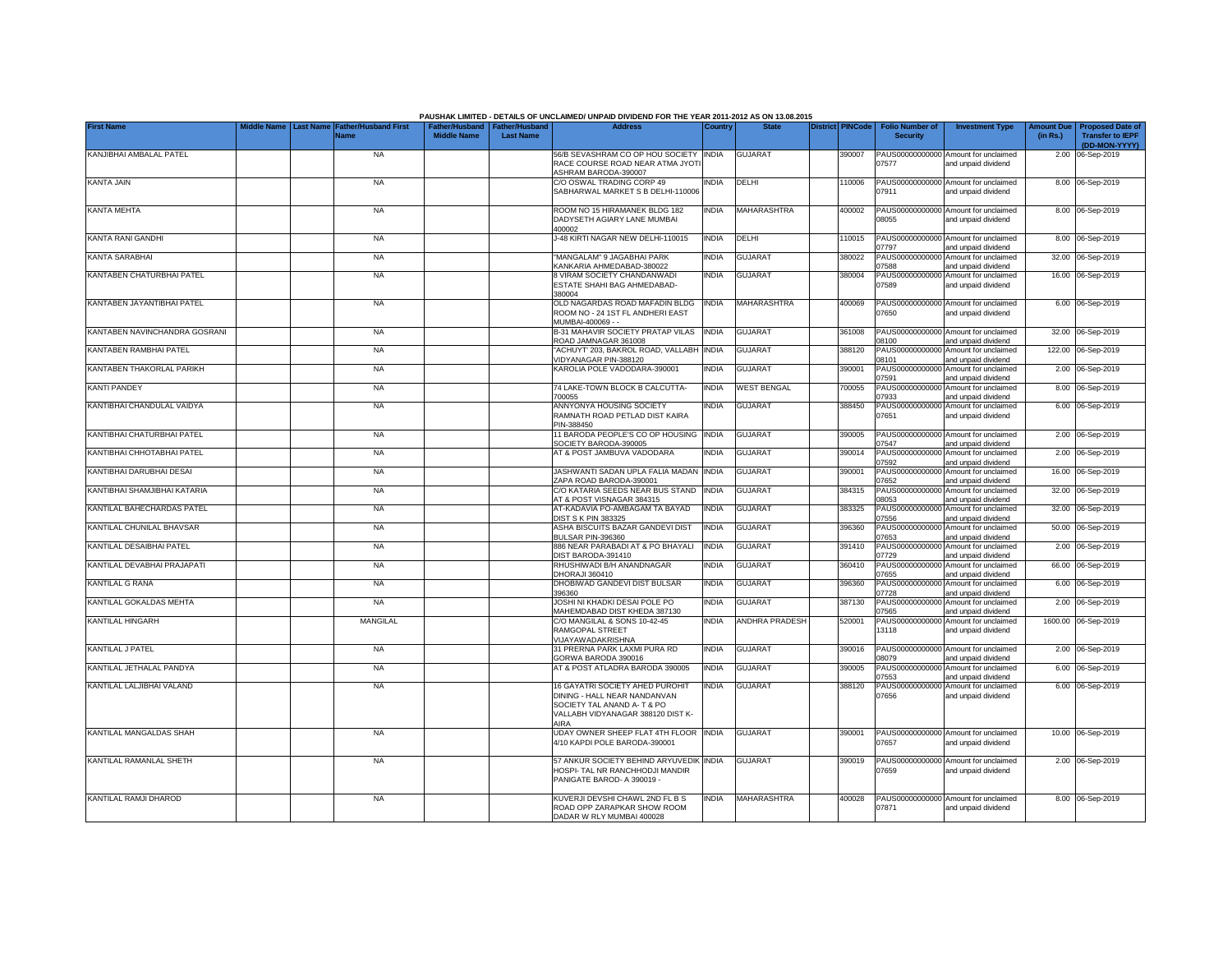|                               |                                                                              |                                                       |                  | PAUSHAK LIMITED - DETAILS OF UNCLAIMED/ UNPAID DIVIDEND FOR THE YEAR 2011-2012 AS ON 13.08.2015                                            |              |                    |                         |                                           |                                                             |                               |                                                    |
|-------------------------------|------------------------------------------------------------------------------|-------------------------------------------------------|------------------|--------------------------------------------------------------------------------------------------------------------------------------------|--------------|--------------------|-------------------------|-------------------------------------------|-------------------------------------------------------------|-------------------------------|----------------------------------------------------|
| <b>First Name</b>             | iddle Name<br><b>Father/Husband First</b><br><b>Last Name</b><br><b>Name</b> | Father/Husband   Father/Husband<br><b>Middle Name</b> | <b>Last Name</b> | <b>Address</b>                                                                                                                             | Country      | <b>State</b>       | <b>District PINCode</b> | <b>Folio Number of</b><br><b>Security</b> | <b>Investment Type</b>                                      | <b>Amount Due</b><br>(in Rs.) | <b>Proposed Date of</b><br><b>Transfer to IEPF</b> |
| KANJIBHAI AMBALAL PATEL       | <b>NA</b>                                                                    |                                                       |                  | 56/B SEVASHRAM CO OP HOU SOCIETY INDIA                                                                                                     |              | <b>GUJARAT</b>     | 390007                  |                                           | PAUS00000000000 Amount for unclaimed                        |                               | (DD-MON-YYYY)<br>2.00 06-Sep-2019                  |
|                               |                                                                              |                                                       |                  | RACE COURSE ROAD NEAR ATMA JYOT<br>ASHRAM BARODA-390007                                                                                    |              |                    |                         | 07577                                     | and unpaid dividend                                         |                               |                                                    |
| KANTA JAIN                    | <b>NA</b>                                                                    |                                                       |                  | C/O OSWAL TRADING CORP 49<br>SABHARWAL MARKET S B DELHI-110006                                                                             | <b>INDIA</b> | DELHI              | 110006                  | 07911                                     | PAUS00000000000 Amount for unclaimed<br>and unpaid dividend |                               | 8.00 06-Sep-2019                                   |
| KANTA MEHTA                   | <b>NA</b>                                                                    |                                                       |                  | ROOM NO 15 HIRAMANEK BLDG 182<br>DADYSETH AGIARY LANE MUMBAI<br>400002                                                                     | <b>INDIA</b> | MAHARASHTRA        | 400002                  | 08055                                     | PAUS00000000000 Amount for unclaimed<br>and unpaid dividend |                               | 8.00 06-Sep-2019                                   |
| KANTA RANI GANDHI             | <b>NA</b>                                                                    |                                                       |                  | J-48 KIRTI NAGAR NEW DELHI-110015                                                                                                          | <b>INDIA</b> | DELHI              | 110015                  | 07797                                     | PAUS00000000000 Amount for unclaimed<br>and unpaid dividend |                               | 8.00 06-Sep-2019                                   |
| KANTA SARABHAI                | <b>NA</b>                                                                    |                                                       |                  | "MANGALAM" 9 JAGABHAI PARK<br><b>KANKARIA AHMEDABAD-380022</b>                                                                             | <b>INDIA</b> | <b>GUJARAT</b>     | 380022                  | PAUS00000000000<br>7588                   | Amount for unclaimed<br>and unpaid dividend                 |                               | 32.00 06-Sep-2019                                  |
| KANTABEN CHATURBHAI PATEL     | <b>NA</b>                                                                    |                                                       |                  | <b>8 VIRAM SOCIETY CHANDANWADI</b><br>ESTATE SHAHI BAG AHMEDABAD-<br>380004                                                                | <b>INDIA</b> | <b>GUJARAT</b>     | 380004                  | PAUS00000000000<br>07589                  | Amount for unclaimed<br>and unpaid dividend                 |                               | 16.00 06-Sep-2019                                  |
| KANTABEN JAYANTIBHAI PATEL    | <b>NA</b>                                                                    |                                                       |                  | OLD NAGARDAS ROAD MAFADIN BLDG<br>ROOM NO - 24 1ST FL ANDHERI EAST<br>MUMBAI-400069 - -                                                    | <b>INDIA</b> | <b>MAHARASHTRA</b> | 400069                  | 07650                                     | PAUS00000000000 Amount for unclaimed<br>and unpaid dividend |                               | 6.00 06-Sep-2019                                   |
| KANTABEN NAVINCHANDRA GOSRANI | <b>NA</b>                                                                    |                                                       |                  | B-31 MAHAVIR SOCIETY PRATAP VILAS<br>ROAD JAMNAGAR 361008                                                                                  | <b>INDIA</b> | <b>GUJARAT</b>     | 361008                  | 00180                                     | PAUS00000000000 Amount for unclaimed<br>and unpaid dividend |                               | 32.00 06-Sep-2019                                  |
| KANTABEN RAMBHAI PATEL        | <b>NA</b>                                                                    |                                                       |                  | ACHUYT' 203, BAKROL ROAD, VALLABH INDIA<br>VIDYANAGAR PIN-388120                                                                           |              | <b>GUJARAT</b>     | 388120                  | 08101                                     | PAUS00000000000 Amount for unclaimed<br>and unpaid dividend |                               | 122.00 06-Sep-2019                                 |
| KANTABEN THAKORLAL PARIKH     | <b>NA</b>                                                                    |                                                       |                  | KAROLIA POLE VADODARA-390001                                                                                                               | INDIA        | <b>GUJARAT</b>     | 390001                  | PAUS00000000000<br>07591                  | Amount for unclaimed<br>and unpaid dividend                 |                               | 2.00 06-Sep-2019                                   |
| KANTI PANDEY                  | <b>NA</b>                                                                    |                                                       |                  | 74 LAKE-TOWN BLOCK B CALCUTTA-<br>700055                                                                                                   | <b>INDIA</b> | <b>WEST BENGAL</b> | 700055                  | PAUS00000000000<br>07933                  | Amount for unclaimed<br>and unpaid dividend                 |                               | 8.00 06-Sep-2019                                   |
| KANTIBHAI CHANDULAL VAIDYA    | <b>NA</b>                                                                    |                                                       |                  | ANNYONYA HOUSING SOCIETY<br>RAMNATH ROAD PETLAD DIST KAIRA<br>PIN-388450                                                                   | <b>INDIA</b> | <b>GUJARAT</b>     | 388450                  | PAUS00000000000<br>07651                  | Amount for unclaimed<br>and unpaid dividend                 |                               | 6.00 06-Sep-2019                                   |
| KANTIBHAI CHATURBHAI PATEL    | NA                                                                           |                                                       |                  | 11 BARODA PEOPLE'S CO OP HOUSING<br>SOCIETY BARODA-390005                                                                                  | <b>INDIA</b> | <b>GUJARAT</b>     | 390005                  | 07547                                     | PAUS00000000000 Amount for unclaimed<br>and unpaid dividend |                               | 2.00 06-Sep-2019                                   |
| KANTIBHAI CHHOTABHAI PATEL    | <b>NA</b>                                                                    |                                                       |                  | AT & POST JAMBUVA VADODARA                                                                                                                 | <b>INDIA</b> | <b>GUJARAT</b>     | 390014                  | 07592                                     | PAUS00000000000 Amount for unclaimed<br>and unpaid dividend |                               | 2.00 06-Sep-2019                                   |
| KANTIBHAI DARUBHAI DESAI      | <b>NA</b>                                                                    |                                                       |                  | JASHWANTI SADAN UPLA FALIA MADAN INDIA<br>ZAPA ROAD BARODA-390001                                                                          |              | <b>GUJARAT</b>     | 390001                  | PAUS0000000000<br>07652                   | Amount for unclaimed<br>and unpaid dividend                 |                               | 16.00 06-Sep-2019                                  |
| KANTIBHAI SHAMJIBHAI KATARIA  | <b>NA</b>                                                                    |                                                       |                  | C/O KATARIA SEEDS NEAR BUS STAND<br>AT & POST VISNAGAR 384315                                                                              | <b>INDIA</b> | <b>GUJARAT</b>     | 384315                  | PAUS0000000000<br>08053                   | Amount for unclaimed<br>and unpaid dividend                 |                               | 32.00 06-Sep-2019                                  |
| KANTILAL BAHECHARDAS PATEL    | <b>NA</b>                                                                    |                                                       |                  | AT-KADAVIA PO-AMBAGAM TA BAYAD<br><b>DIST S K PIN 383325</b>                                                                               | <b>INDIA</b> | <b>GUJARAT</b>     | 383325                  | PAUS0000000000<br>07556                   | Amount for unclaimed<br>and unpaid dividend                 | 32.00                         | 06-Sep-2019                                        |
| KANTILAL CHUNILAL BHAVSAR     | <b>NA</b>                                                                    |                                                       |                  | ASHA BISCUITS BAZAR GANDEVI DIST<br>BULSAR PIN-396360                                                                                      | <b>INDIA</b> | <b>GUJARAT</b>     | 396360                  | PAUS0000000000<br>07653                   | Amount for unclaimed<br>and unpaid dividend                 | 50.00                         | 06-Sep-2019                                        |
| KANTILAL DESAIBHAI PATEL      | <b>NA</b>                                                                    |                                                       |                  | 886 NEAR PARABADI AT & PO BHAYALI<br>DIST BARODA-391410                                                                                    | <b>INDIA</b> | <b>GUJARAT</b>     | 391410                  | PAUS0000000000<br>07729                   | Amount for unclaimed<br>and unpaid dividend                 |                               | 2.00 06-Sep-2019                                   |
| KANTILAL DEVABHAI PRAJAPATI   | <b>NA</b>                                                                    |                                                       |                  | RHUSHIWADI B/H ANANDNAGAR<br>DHORAJI 360410                                                                                                | <b>INDIA</b> | <b>GUJARAT</b>     | 360410                  | PAUS0000000000<br>07655                   | Amount for unclaimed<br>and unpaid dividend                 |                               | 66.00 06-Sep-2019                                  |
| KANTILAL G RANA               | NA                                                                           |                                                       |                  | DHOBIWAD GANDEVI DIST BULSAR<br>396360                                                                                                     | <b>INDIA</b> | <b>GUJARAT</b>     | 396360                  | PAUS0000000000<br>07728                   | Amount for unclaimed<br>and unpaid dividend                 |                               | 6.00 06-Sep-2019                                   |
| KANTILAL GOKALDAS MEHTA       | <b>NA</b>                                                                    |                                                       |                  | JOSHI NI KHADKI DESAI POLE PO<br>MAHEMDABAD DIST KHEDA 387130                                                                              | <b>INDIA</b> | <b>GUJARAT</b>     | 387130                  | PAUS00000000000<br>07565                  | Amount for unclaimed<br>and unpaid dividend                 |                               | 2.00 06-Sep-2019                                   |
| KANTILAL HINGARH              | MANGILAL                                                                     |                                                       |                  | C/O MANGILAL & SONS 10-42-45<br>RAMGOPAL STREET<br>VIJAYAWADAKRISHNA                                                                       | <b>INDIA</b> | ANDHRA PRADESH     | 520001                  | PAUS00000000000<br>13118                  | Amount for unclaimed<br>and unpaid dividend                 |                               | 1600.00 06-Sep-2019                                |
| KANTILAL J PATEL              | <b>NA</b>                                                                    |                                                       |                  | 31 PRERNA PARK LAXMI PURA RD<br>GORWA BARODA 390016                                                                                        | <b>INDIA</b> | <b>GUJARAT</b>     | 390016                  | 08079                                     | PAUS00000000000 Amount for unclaimed<br>and unpaid dividend |                               | 2.00 06-Sep-2019                                   |
| KANTILAL JETHALAL PANDYA      | <b>NA</b>                                                                    |                                                       |                  | AT & POST ATLADRA BARODA 390005                                                                                                            | <b>INDIA</b> | GUJARAT            | 390005                  | PAUS0000000000<br>07553                   | Amount for unclaimed<br>and unpaid dividend                 |                               | 6.00 06-Sep-2019                                   |
| KANTILAL LALJIBHAI VALAND     | <b>NA</b>                                                                    |                                                       |                  | 16 GAYATRI SOCIETY AHED PUROHIT<br>DINING - HALL NEAR NANDANVAN<br>SOCIETY TAL ANAND A-T & PO<br>VALLABH VIDYANAGAR 388120 DIST K-<br>AIRA | <b>INDIA</b> | <b>GUJARAT</b>     | 388120                  | PAUS00000000000<br>07656                  | Amount for unclaimed<br>and unpaid dividend                 |                               | 6.00 06-Sep-2019                                   |
| KANTILAL MANGALDAS SHAH       | <b>NA</b>                                                                    |                                                       |                  | UDAY OWNER SHEEP FLAT 4TH FLOOR INDIA<br>4/10 KAPDI POLE BARODA-390001                                                                     |              | <b>GUJARAT</b>     | 390001                  | 07657                                     | PAUS00000000000 Amount for unclaimed<br>and unpaid dividend |                               | 10.00 06-Sep-2019                                  |
| KANTILAL RAMANLAL SHETH       | <b>NA</b>                                                                    |                                                       |                  | 57 ANKUR SOCIETY BEHIND ARYUVEDIK INDIA<br>HOSPI- TAL NR RANCHHODJI MANDIR<br>PANIGATE BAROD- A 390019 -                                   |              | <b>GUJARAT</b>     | 390019                  | 07659                                     | PAUS00000000000 Amount for unclaimed<br>and unpaid dividend |                               | 2.00 06-Sep-2019                                   |
| KANTILAL RAMJI DHAROD         | <b>NA</b>                                                                    |                                                       |                  | KUVERJI DEVSHI CHAWL 2ND FL B S<br>ROAD OPP ZARAPKAR SHOW ROOM<br>DADAR W RLY MUMBAI 400028                                                | <b>INDIA</b> | MAHARASHTRA        | 400028                  | 07871                                     | PAUS00000000000 Amount for unclaimed<br>and unpaid dividend |                               | 8.00 06-Sep-2019                                   |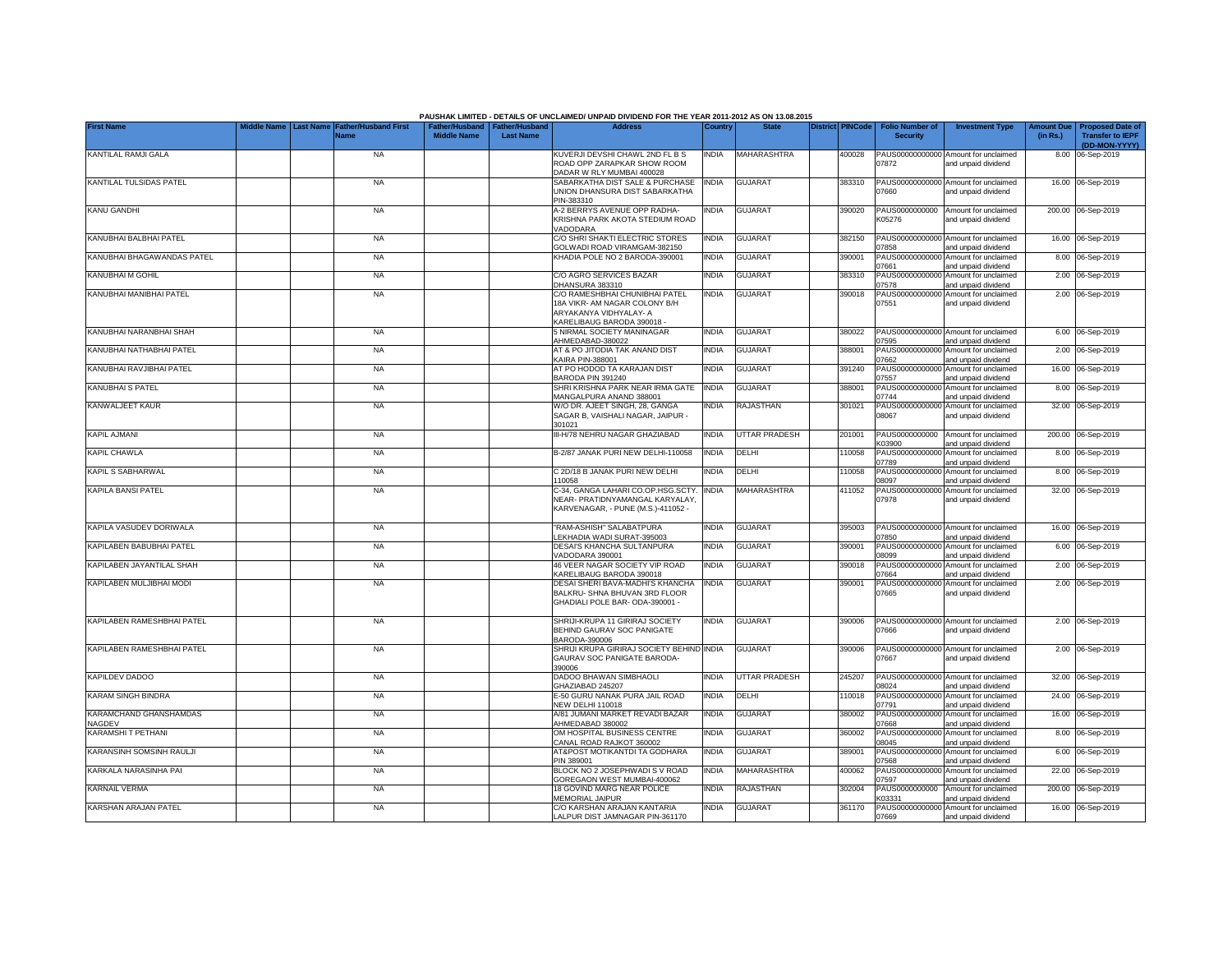|                                                |                                                                              |                    |                                                     | PAUSHAK LIMITED - DETAILS OF UNCLAIMED/ UNPAID DIVIDEND FOR THE YEAR 2011-2012 AS ON 13.08.2015                         |              |                      |                         |                                           |                                                             |                               |                                                    |
|------------------------------------------------|------------------------------------------------------------------------------|--------------------|-----------------------------------------------------|-------------------------------------------------------------------------------------------------------------------------|--------------|----------------------|-------------------------|-------------------------------------------|-------------------------------------------------------------|-------------------------------|----------------------------------------------------|
| <b>First Name</b>                              | <b>Father/Husband First</b><br>iddle Name<br><b>Last Name</b><br><b>Name</b> | <b>Middle Name</b> | Father/Husband   Father/Husband<br><b>Last Name</b> | <b>Address</b>                                                                                                          | Country      | <b>State</b>         | <b>District PINCode</b> | <b>Folio Number of</b><br><b>Security</b> | <b>Investment Type</b>                                      | <b>Amount Due</b><br>(in Rs.) | <b>Proposed Date of</b><br><b>Transfer to IEPF</b> |
|                                                |                                                                              |                    |                                                     |                                                                                                                         |              |                      |                         |                                           |                                                             |                               | (DD-MON-YYYY)                                      |
| KANTILAL RAMJI GALA                            | <b>NA</b>                                                                    |                    |                                                     | KUVERJI DEVSHI CHAWL 2ND FL B S<br>ROAD OPP ZARAPKAR SHOW ROOM<br>DADAR W RLY MUMBAI 400028                             | <b>INDIA</b> | MAHARASHTRA          | 400028                  | 07872                                     | PAUS00000000000 Amount for unclaimed<br>and unpaid dividend |                               | 8.00 06-Sep-2019                                   |
| KANTILAL TULSIDAS PATEL                        | <b>NA</b>                                                                    |                    |                                                     | SABARKATHA DIST SALE & PURCHASE<br>UNION DHANSURA DIST SABARKATHA                                                       | <b>INDIA</b> | <b>GUJARAT</b>       | 383310                  | 07660                                     | PAUS00000000000 Amount for unclaimed<br>and unpaid dividend |                               | 16.00 06-Sep-2019                                  |
| KANU GANDHI                                    | <b>NA</b>                                                                    |                    |                                                     | PIN-383310<br>A-2 BERRYS AVENUE OPP RADHA-<br>KRISHNA PARK AKOTA STEDIUM ROAD                                           | <b>INDIA</b> | <b>GUJARAT</b>       | 390020                  | PAUS0000000000<br>K05276                  | Amount for unclaimed<br>and unpaid dividend                 |                               | 200.00 06-Sep-2019                                 |
| KANUBHAI BALBHAI PATEL                         | <b>NA</b>                                                                    |                    |                                                     | VADODARA<br>C/O SHRI SHAKTI ELECTRIC STORES<br><b>GOLWADI ROAD VIRAMGAM-382150</b>                                      | <b>INDIA</b> | <b>GUJARAT</b>       | 382150                  | PAUS00000000000<br>07858                  | Amount for unclaimed<br>and unpaid dividend                 |                               | 16.00 06-Sep-2019                                  |
| KANUBHAI BHAGAWANDAS PATEL                     | <b>NA</b>                                                                    |                    |                                                     | KHADIA POLE NO 2 BARODA-390001                                                                                          | <b>INDIA</b> | <b>GUJARAT</b>       | 390001                  | PAUS00000000000<br>07661                  | Amount for unclaimed<br>and unpaid dividend                 |                               | 8.00 06-Sep-2019                                   |
| KANUBHAI M GOHIL                               | <b>NA</b>                                                                    |                    |                                                     | C/O AGRO SERVICES BAZAR<br>DHANSURA 383310                                                                              | <b>INDIA</b> | <b>GUJARAT</b>       | 383310                  | PAUS00000000000<br>07578                  | Amount for unclaimed<br>and unpaid dividend                 |                               | 2.00 06-Sep-2019                                   |
| KANUBHAI MANIBHAI PATEL                        | <b>NA</b>                                                                    |                    |                                                     | C/O RAMESHBHAI CHUNIBHAI PATEL<br>18A VIKR- AM NAGAR COLONY B/H<br>ARYAKANYA VIDHYALAY- A<br>KARELIBAUG BARODA 390018 - | <b>INDIA</b> | <b>GUJARAT</b>       | 390018                  | PAUS00000000000<br>07551                  | Amount for unclaimed<br>and unpaid dividend                 |                               | 2.00 06-Sep-2019                                   |
| KANUBHAI NARANBHAI SHAH                        | <b>NA</b>                                                                    |                    |                                                     | 5 NIRMAL SOCIETY MANINAGAR<br>AHMEDABAD-380022                                                                          | <b>INDIA</b> | <b>GUJARAT</b>       | 380022                  | 07595                                     | PAUS00000000000 Amount for unclaimed<br>and unpaid dividend |                               | 6.00 06-Sep-2019                                   |
| KANUBHAI NATHABHAI PATEL                       | <b>NA</b>                                                                    |                    |                                                     | AT & PO JITODIA TAK ANAND DIST<br><b>KAIRA PIN-388001</b>                                                               | <b>INDIA</b> | <b>GUJARAT</b>       | 388001                  | 07662                                     | PAUS00000000000 Amount for unclaimed<br>and unpaid dividend |                               | 2.00 06-Sep-2019                                   |
| KANUBHAI RAVJIBHAI PATEL                       | <b>NA</b>                                                                    |                    |                                                     | AT PO HODOD TA KARAJAN DIST<br>BARODA PIN 391240                                                                        | INDIA        | <b>GUJARAT</b>       | 391240                  | PAUS00000000000<br>07557                  | Amount for unclaimed<br>and unpaid dividend                 |                               | 16.00 06-Sep-2019                                  |
| KANUBHAI S PATEL                               | <b>NA</b>                                                                    |                    |                                                     | SHRI KRISHNA PARK NEAR IRMA GATE<br>MANGALPURA ANAND 388001                                                             | <b>INDIA</b> | <b>GUJARAT</b>       | 388001                  | PAUS00000000000<br>07744                  | Amount for unclaimed<br>and unpaid dividend                 |                               | 8.00 06-Sep-2019                                   |
| KANWALJEET KAUR                                | <b>NA</b>                                                                    |                    |                                                     | W/O DR. AJEET SINGH, 28, GANGA<br>SAGAR B, VAISHALI NAGAR, JAIPUR -<br>301021                                           | <b>INDIA</b> | <b>RAJASTHAN</b>     | 301021                  | PAUS00000000000<br>08067                  | Amount for unclaimed<br>and unpaid dividend                 |                               | 32.00 06-Sep-2019                                  |
| <b>KAPIL AJMANI</b>                            | <b>NA</b>                                                                    |                    |                                                     | III-H/78 NEHRU NAGAR GHAZIABAD                                                                                          | <b>INDIA</b> | <b>UTTAR PRADESH</b> | 201001                  | PAUS0000000000<br>K03900                  | Amount for unclaimed<br>and unpaid dividend                 |                               | 200.00 06-Sep-2019                                 |
| <b>KAPIL CHAWLA</b>                            | <b>NA</b>                                                                    |                    |                                                     | B-2/87 JANAK PURI NEW DELHI-110058                                                                                      | <b>INDIA</b> | <b>DELHI</b>         | 110058                  | 07789                                     | PAUS00000000000 Amount for unclaimed<br>and unpaid dividend |                               | 8.00 06-Sep-2019                                   |
| KAPIL S SABHARWAL                              | <b>NA</b>                                                                    |                    |                                                     | C 2D/18 B JANAK PURI NEW DELHI<br>110058                                                                                | <b>INDIA</b> | DELHI                | 110058                  | PAUS0000000000<br>08097                   | Amount for unclaimed<br>and unpaid dividend                 |                               | 8.00 06-Sep-2019                                   |
| <b>KAPILA BANSI PATEL</b>                      | <b>NA</b>                                                                    |                    |                                                     | C-34, GANGA LAHARI CO.OP.HSG.SCTY.<br>NEAR- PRATIDNYAMANGAL KARYALAY.<br>KARVENAGAR, - PUNE (M.S.)-411052 -             | <b>INDIA</b> | <b>MAHARASHTRA</b>   | 411052                  | PAUS0000000000<br>07978                   | Amount for unclaimed<br>and unpaid dividend                 |                               | 32.00 06-Sep-2019                                  |
| KAPILA VASUDEV DORIWALA                        | <b>NA</b>                                                                    |                    |                                                     | "RAM-ASHISH" SALABATPURA<br>LEKHADIA WADI SURAT-395003                                                                  | <b>INDIA</b> | <b>GUJARAT</b>       | 395003                  | PAUS0000000000<br>07850                   | Amount for unclaimed<br>and unpaid dividend                 |                               | 16.00 06-Sep-2019                                  |
| KAPILABEN BABUBHAI PATEL                       | <b>NA</b>                                                                    |                    |                                                     | DESAI'S KHANCHA SULTANPURA<br>VADODARA 390001                                                                           | <b>INDIA</b> | <b>GUJARAT</b>       | 390001                  | PAUS0000000000<br>08099                   | Amount for unclaimed<br>and unpaid dividend                 |                               | 6.00 06-Sep-2019                                   |
| KAPILABEN JAYANTILAL SHAH                      | <b>NA</b>                                                                    |                    |                                                     | 46 VEER NAGAR SOCIETY VIP ROAD<br>KARELIBAUG BARODA 390018                                                              | <b>INDIA</b> | <b>GUJARAT</b>       | 390018                  | PAUS0000000000<br>07664                   | Amount for unclaimed<br>and unpaid dividend                 |                               | 2.00 06-Sep-2019                                   |
| KAPILABEN MULJIBHAI MODI                       | <b>NA</b>                                                                    |                    |                                                     | DESAI SHERI BAVA-MADHI'S KHANCHA<br>BALKRU- SHNA BHUVAN 3RD FLOOR<br>GHADIALI POLE BAR-ODA-390001 -                     | <b>INDIA</b> | <b>GUJARAT</b>       | 390001                  | PAUS00000000000<br>07665                  | Amount for unclaimed<br>and unpaid dividend                 |                               | 2.00 06-Sep-2019                                   |
| KAPILABEN RAMESHBHAI PATEL                     | <b>NA</b>                                                                    |                    |                                                     | SHRIJI-KRUPA 11 GIRIRAJ SOCIETY<br>BEHIND GAURAV SOC PANIGATE<br>BARODA-390006                                          | <b>INDIA</b> | <b>GUJARAT</b>       | 390006                  | 07666                                     | PAUS00000000000 Amount for unclaimed<br>and unpaid dividend |                               | 2.00 06-Sep-2019                                   |
| KAPILABEN RAMESHBHAI PATEL                     | <b>NA</b>                                                                    |                    |                                                     | SHRIJI KRUPA GIRIRAJ SOCIETY BEHIND INDIA<br><b>GAURAV SOC PANIGATE BARODA-</b><br>390006                               |              | <b>GUJARAT</b>       | 390006                  | 07667                                     | PAUS00000000000 Amount for unclaimed<br>and unpaid dividend |                               | 2.00 06-Sep-2019                                   |
| <b>KAPILDEV DADOO</b>                          | <b>NA</b>                                                                    |                    |                                                     | DADOO BHAWAN SIMBHAOLI<br>GHAZIABAD 245207                                                                              | <b>INDIA</b> | UTTAR PRADESH        | 245207                  | 08024                                     | PAUS00000000000 Amount for unclaimed<br>and unpaid dividend |                               | 32.00 06-Sep-2019                                  |
| <b>KARAM SINGH BINDRA</b>                      | <b>NA</b>                                                                    |                    |                                                     | E-50 GURU NANAK PURA JAIL ROAD<br><b>NEW DELHI 110018</b>                                                               | <b>INDIA</b> | DELHI                | 10018                   | PAUS00000000000<br>07791                  | Amount for unclaimed<br>and unpaid dividend                 |                               | 24.00 06-Sep-2019                                  |
| <b>KARAMCHAND GHANSHAMDAS</b><br><b>JAGDEV</b> | <b>NA</b>                                                                    |                    |                                                     | A/81 JUMANI MARKET REVADI BAZAR<br>AHMEDABAD 380002                                                                     | India        | <b>GUJARAT</b>       | 380002                  | PAUS00000000000<br>07668                  | Amount for unclaimed<br>and unpaid dividend                 |                               | 16.00 06-Sep-2019                                  |
| <b>KARAMSHI T PETHANI</b>                      | <b>NA</b>                                                                    |                    |                                                     | OM HOSPITAL BUSINESS CENTRE<br>CANAL ROAD RAJKOT 360002                                                                 | <b>INDIA</b> | <b>GUJARAT</b>       | 360002                  | PAUS00000000000<br>08045                  | Amount for unclaimed<br>and unpaid dividend                 |                               | 8.00 06-Sep-2019                                   |
| KARANSINH SOMSINH RAULJI                       | <b>NA</b>                                                                    |                    |                                                     | AT&POST MOTIKANTDI TA GODHARA<br>PIN 389001                                                                             | <b>INDIA</b> | <b>GUJARAT</b>       | 389001                  | 07568                                     | PAUS00000000000 Amount for unclaimed<br>and unpaid dividend |                               | 6.00 06-Sep-2019                                   |
| KARKALA NARASINHA PAI                          | <b>NA</b>                                                                    |                    |                                                     | BLOCK NO 2 JOSEPHWADI S V ROAD<br>GOREGAON WEST MUMBAI-400062                                                           | <b>INDIA</b> | MAHARASHTRA          | 400062                  | 07597                                     | PAUS00000000000 Amount for unclaimed<br>and unpaid dividend |                               | 22.00 06-Sep-2019                                  |
| KARNAIL VERMA                                  | <b>NA</b>                                                                    |                    |                                                     | 18 GOVIND MARG NEAR POLICE<br>MEMORIAL JAIPUR                                                                           | <b>INDIA</b> | RAJASTHAN            | 302004                  | PAUS0000000000<br>K03331                  | Amount for unclaimed<br>and unpaid dividend                 |                               | 200.00 06-Sep-2019                                 |
| KARSHAN ARAJAN PATEL                           | <b>NA</b>                                                                    |                    |                                                     | C/O KARSHAN ARAJAN KANTARIA<br>LALPUR DIST JAMNAGAR PIN-361170                                                          | <b>INDIA</b> | <b>GUJARAT</b>       | 361170                  | 07669                                     | PAUS00000000000 Amount for unclaimed<br>and unpaid dividend |                               | 16.00 06-Sep-2019                                  |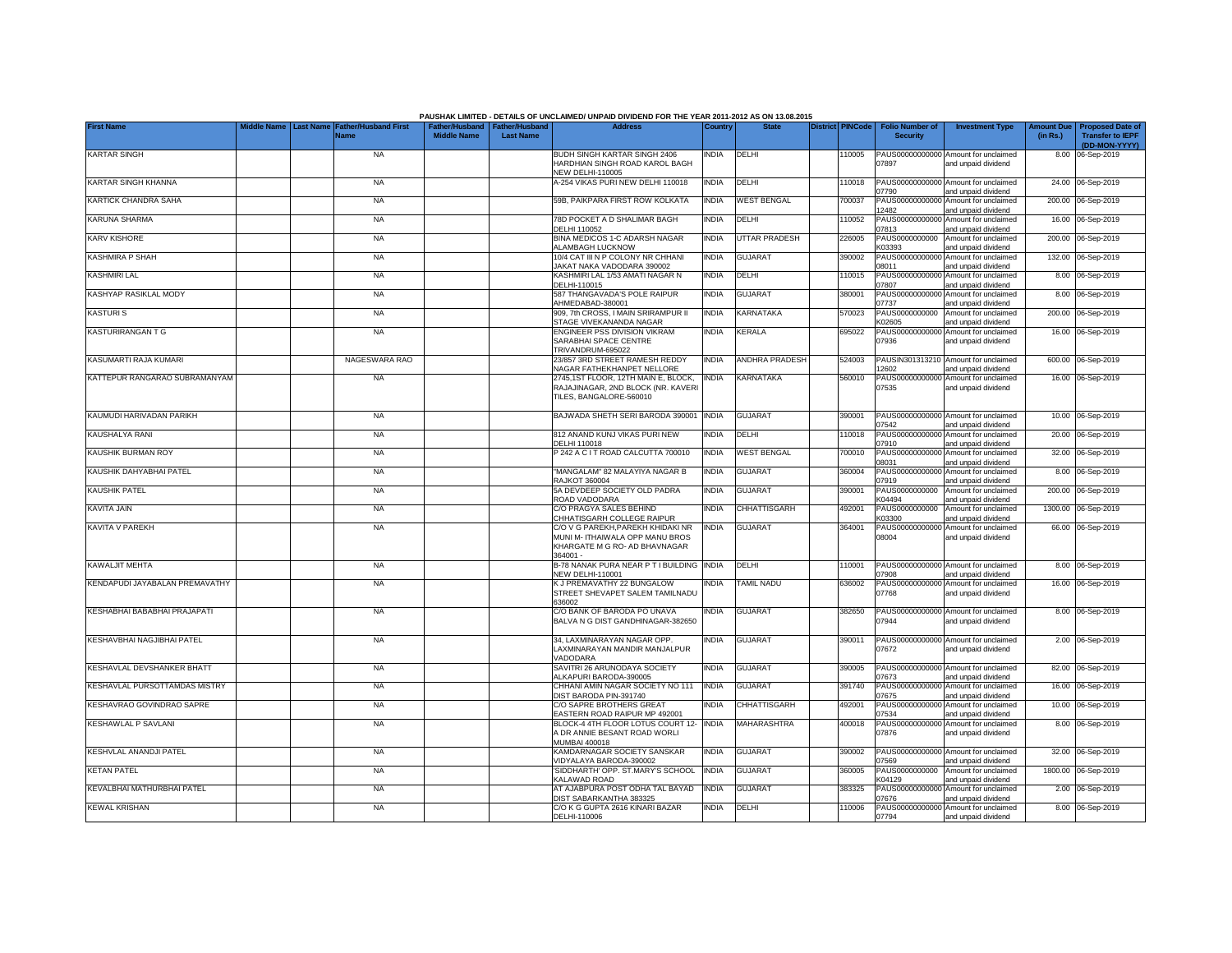|                                |                                                                              |                                                                           | PAUSHAK LIMITED - DETAILS OF UNCLAIMED/ UNPAID DIVIDEND FOR THE YEAR 2011-2012 AS ON 13.08.2015                   |              |                       |                         |                                           |                                                             |                               |                                                    |
|--------------------------------|------------------------------------------------------------------------------|---------------------------------------------------------------------------|-------------------------------------------------------------------------------------------------------------------|--------------|-----------------------|-------------------------|-------------------------------------------|-------------------------------------------------------------|-------------------------------|----------------------------------------------------|
| <b>First Name</b>              | iddle Name<br><b>Last Name</b><br><b>Father/Husband First</b><br><b>Name</b> | Father/Husband   Father/Husband<br><b>Middle Name</b><br><b>Last Name</b> | <b>Address</b>                                                                                                    | Country      | <b>State</b>          | <b>District PINCode</b> | <b>Folio Number of</b><br><b>Security</b> | <b>Investment Type</b>                                      | <b>Amount Due</b><br>(in Rs.) | <b>Proposed Date of</b><br><b>Transfer to IEPF</b> |
|                                |                                                                              |                                                                           |                                                                                                                   |              |                       |                         |                                           |                                                             |                               | (DD-MON-YYYY)                                      |
| <b>KARTAR SINGH</b>            | <b>NA</b>                                                                    |                                                                           | BUDH SINGH KARTAR SINGH 2406<br>HARDHIAN SINGH ROAD KAROL BAGH<br><b>NEW DELHI-110005</b>                         | <b>INDIA</b> | DELHI                 | 110005                  | 07897                                     | PAUS00000000000 Amount for unclaimed<br>and unpaid dividend |                               | 8.00 06-Sep-2019                                   |
| KARTAR SINGH KHANNA            | <b>NA</b>                                                                    |                                                                           | A-254 VIKAS PURI NEW DELHI 110018                                                                                 | <b>INDIA</b> | DELHI                 | 110018                  | 07790                                     | PAUS00000000000 Amount for unclaimed<br>and unpaid dividend |                               | 24.00 06-Sep-2019                                  |
| KARTICK CHANDRA SAHA           | <b>NA</b>                                                                    |                                                                           | 59B, PAIKPARA FIRST ROW KOLKATA                                                                                   | <b>INDIA</b> | <b>WEST BENGAL</b>    | 700037                  | PAUS00000000000<br>12482                  | Amount for unclaimed<br>and unpaid dividend                 |                               | 200.00 06-Sep-2019                                 |
| KARUNA SHARMA                  | <b>NA</b>                                                                    |                                                                           | 78D POCKET A D SHALIMAR BAGH<br>DELHI 110052                                                                      | <b>INDIA</b> | DELHI                 | 110052                  | PAUS00000000000<br>07813                  | Amount for unclaimed<br>and unpaid dividend                 |                               | 16.00 06-Sep-2019                                  |
| KARV KISHORE                   | <b>NA</b>                                                                    |                                                                           | BINA MEDICOS 1-C ADARSH NAGAR<br><b>ALAMBAGH LUCKNOW</b>                                                          | <b>INDIA</b> | UTTAR PRADESH         | 226005                  | PAUS0000000000<br>K03393                  | Amount for unclaimed<br>and unpaid dividend                 |                               | 200.00 06-Sep-2019                                 |
| <b>KASHMIRA P SHAH</b>         | <b>NA</b>                                                                    |                                                                           | 10/4 CAT III N P COLONY NR CHHANI<br>AKAT NAKA VADODARA 390002                                                    | <b>INDIA</b> | <b>GUJARAT</b>        | 390002                  | PAUS00000000000<br>08011                  | Amount for unclaimed<br>and unpaid dividend                 |                               | 132.00 06-Sep-2019                                 |
| <b>KASHMIRI LAL</b>            | <b>NA</b>                                                                    |                                                                           | KASHMIRI LAL 1/53 AMATI NAGAR N<br>DELHI-110015                                                                   | <b>INDIA</b> | DELHI                 | 10015                   | PAUS00000000000<br>07807                  | Amount for unclaimed<br>and unpaid dividend                 |                               | 8.00 06-Sep-2019                                   |
| KASHYAP RASIKLAL MODY          | <b>NA</b>                                                                    |                                                                           | 587 THANGAVADA'S POLE RAIPUR<br>AHMEDABAD-380001                                                                  | <b>INDIA</b> | GUJARAT               | 380001                  | PAUS00000000000<br>07737                  | Amount for unclaimed<br>and unpaid dividend                 |                               | 8.00 06-Sep-2019                                   |
| KASTURI S                      | <b>NA</b>                                                                    |                                                                           | 909. 7th CROSS. I MAIN SRIRAMPUR II<br>STAGE VIVEKANANDA NAGAR                                                    | <b>INDIA</b> | KARNATAKA             | 570023                  | PAUS0000000000<br><b>K02605</b>           | Amount for unclaimed<br>and unpaid dividend                 |                               | 200.00 06-Sep-2019                                 |
| KASTURIRANGAN T G              | <b>NA</b>                                                                    |                                                                           | ENGINEER PSS DIVISION VIKRAM<br>SARABHAI SPACE CENTRE<br>TRIVANDRUM-695022                                        | INDIA        | <b>KERALA</b>         | 695022                  | PAUS00000000000<br>07936                  | Amount for unclaimed<br>and unpaid dividend                 |                               | 16.00 06-Sep-2019                                  |
| KASUMARTI RAJA KUMARI          | NAGESWARA RAO                                                                |                                                                           | 23/857 3RD STREET RAMESH REDDY<br>NAGAR FATHEKHANPET NELLORE                                                      | <b>INDIA</b> | <b>ANDHRA PRADESH</b> | 524003                  | 2602                                      | PAUSIN301313210 Amount for unclaimed<br>and unpaid dividend |                               | 600.00 06-Sep-2019                                 |
| KATTEPUR RANGARAO SUBRAMANYAM  | <b>NA</b>                                                                    |                                                                           | 2745,1ST FLOOR, 12TH MAIN E, BLOCK,<br>RAJAJINAGAR, 2ND BLOCK (NR. KAVERI<br>TILES, BANGALORE-560010              | <b>INDIA</b> | KARNATAKA             | 560010                  | 07535                                     | PAUS00000000000 Amount for unclaimed<br>and unpaid dividend |                               | 16.00 06-Sep-2019                                  |
| KAUMUDI HARIVADAN PARIKH       | <b>NA</b>                                                                    |                                                                           | BAJWADA SHETH SERI BARODA 390001                                                                                  | <b>INDIA</b> | <b>GUJARAT</b>        | 390001                  | 07542                                     | PAUS00000000000 Amount for unclaimed<br>and unpaid dividend |                               | 10.00 06-Sep-2019                                  |
| KAUSHALYA RANI                 | <b>NA</b>                                                                    |                                                                           | 812 ANAND KUNJ VIKAS PURI NEW<br>DELHI 110018                                                                     | <b>INDIA</b> | DELHI                 | 110018                  | 07910                                     | PAUS00000000000 Amount for unclaimed<br>and unpaid dividend |                               | 20.00 06-Sep-2019                                  |
| <b>KAUSHIK BURMAN ROY</b>      | <b>NA</b>                                                                    |                                                                           | P 242 A C I T ROAD CALCUTTA 700010                                                                                | <b>INDIA</b> | <b>WEST BENGAL</b>    | 700010                  | 08031                                     | PAUS00000000000 Amount for unclaimed<br>and unpaid dividend |                               | 32.00 06-Sep-2019                                  |
| KAUSHIK DAHYABHAI PATEL        | <b>NA</b>                                                                    |                                                                           | "MANGALAM" 82 MALAYIYA NAGAR B<br>RAJKOT 360004                                                                   | <b>INDIA</b> | <b>GUJARAT</b>        | 360004                  | PAUS0000000000<br>07919                   | Amount for unclaimed<br>and unpaid dividend                 |                               | 8.00 06-Sep-2019                                   |
| KAUSHIK PATEL                  | <b>NA</b>                                                                    |                                                                           | 5A DEVDEEP SOCIETY OLD PADRA<br>ROAD VADODARA                                                                     | <b>INDIA</b> | <b>GUJARAT</b>        | 390001                  | PAUS0000000000<br>K04494                  | Amount for unclaimed<br>and unpaid dividend                 | 200.00                        | 06-Sep-2019                                        |
| KAVITA JAIN                    | <b>NA</b>                                                                    |                                                                           | C/O PRAGYA SALES BEHIND<br>CHHATISGARH COLLEGE RAIPUR                                                             | <b>INDIA</b> | CHHATTISGARH          | 492001                  | PAUS0000000000<br>K03300                  | Amount for unclaimed<br>and unpaid dividend                 | 1300.00                       | 06-Sep-2019                                        |
| <b>KAVITA V PAREKH</b>         | <b>NA</b>                                                                    |                                                                           | C/O V G PAREKH, PAREKH KHIDAKI NR<br>MUNI M- ITHAIWALA OPP MANU BROS<br>KHARGATE M G RO- AD BHAVNAGAR<br>364001 - | <b>INDIA</b> | <b>GUJARAT</b>        | 364001                  | PAUS0000000000<br>08004                   | Amount for unclaimed<br>and unpaid dividend                 |                               | 66.00 06-Sep-2019                                  |
| <b>KAWALJIT MEHTA</b>          | <b>NA</b>                                                                    |                                                                           | B-78 NANAK PURA NEAR P T I BUILDING<br><b>NEW DELHI-110001</b>                                                    | <b>INDIA</b> | DELHI                 | 110001                  | 07908                                     | PAUS00000000000 Amount for unclaimed<br>and unpaid dividend |                               | 8.00 06-Sep-2019                                   |
| KENDAPUDI JAYABALAN PREMAVATHY | <b>NA</b>                                                                    |                                                                           | K J PREMAVATHY 22 BUNGALOW<br>STREET SHEVAPET SALEM TAMILNADU<br>636002                                           | INDIA        | TAMIL NADU            | 636002                  | PAUS00000000000<br>07768                  | Amount for unclaimed<br>and unpaid dividend                 |                               | 16.00 06-Sep-2019                                  |
| KESHABHAI BABABHAI PRAJAPATI   | <b>NA</b>                                                                    |                                                                           | C/O BANK OF BARODA PO UNAVA<br>BALVA N G DIST GANDHINAGAR-382650                                                  | <b>INDIA</b> | <b>GUJARAT</b>        | 382650                  | 07944                                     | PAUS00000000000 Amount for unclaimed<br>and unpaid dividend |                               | 8.00 06-Sep-2019                                   |
| KESHAVBHAI NAGJIBHAI PATEL     | <b>NA</b>                                                                    |                                                                           | 34, LAXMINARAYAN NAGAR OPP.<br>LAXMINARAYAN MANDIR MANJALPUR<br>VADODARA                                          | india        | <b>GUJARAT</b>        | 390011                  | 07672                                     | PAUS00000000000 Amount for unclaimed<br>and unpaid dividend |                               | 2.00 06-Sep-2019                                   |
| KESHAVLAL DEVSHANKER BHATT     | <b>NA</b>                                                                    |                                                                           | SAVITRI 26 ARUNODAYA SOCIETY<br>ALKAPURI BARODA-390005                                                            | india        | GUJARAT               | 390005                  | 07673                                     | PAUS00000000000 Amount for unclaimed<br>and unpaid dividend |                               | 82.00 06-Sep-2019                                  |
| KESHAVLAL PURSOTTAMDAS MISTRY  | <b>NA</b>                                                                    |                                                                           | CHHANI AMIN NAGAR SOCIETY NO 111<br>DIST BARODA PIN-391740                                                        | <b>INDIA</b> | GUJARAT               | 391740                  | PAUS00000000000<br>07675                  | Amount for unclaimed<br>and unpaid dividend                 |                               | 16.00 06-Sep-2019                                  |
| KESHAVRAO GOVINDRAO SAPRE      | <b>NA</b>                                                                    |                                                                           | C/O SAPRE BROTHERS GREAT<br>EASTERN ROAD RAIPUR MP 492001                                                         | <b>INDIA</b> | CHHATTISGARH          | 492001                  | PAUS00000000000<br>07534                  | Amount for unclaimed<br>and unpaid dividend                 |                               | 10.00 06-Sep-2019                                  |
| KESHAWLAL P SAVLANI            | <b>NA</b>                                                                    |                                                                           | BLOCK-4 4TH FLOOR LOTUS COURT 12- INDIA<br>A DR ANNIE BESANT ROAD WORLI<br>MUMBAI 400018                          |              | MAHARASHTRA           | 400018                  | 07876                                     | PAUS00000000000 Amount for unclaimed<br>and unpaid dividend |                               | 8.00 06-Sep-2019                                   |
| KESHVLAL ANANDJI PATEL         | <b>NA</b>                                                                    |                                                                           | KAMDARNAGAR SOCIETY SANSKAR<br>VIDYALAYA BARODA-390002                                                            | <b>INDIA</b> | <b>GUJARAT</b>        | 390002                  | 07569                                     | PAUS00000000000 Amount for unclaimed<br>and unpaid dividend |                               | 32.00 06-Sep-2019                                  |
| <b>KETAN PATEL</b>             | <b>NA</b>                                                                    |                                                                           | SIDDHARTH' OPP. ST.MARY'S SCHOOL<br>KALAWAD ROAD                                                                  | <b>INDIA</b> | <b>GUJARAT</b>        | 360005                  | PAUS0000000000<br>K04129                  | Amount for unclaimed<br>and unpaid dividend                 |                               | 1800.00 06-Sep-2019                                |
| KEVALBHAI MATHURBHAI PATEL     | <b>NA</b>                                                                    |                                                                           | AT AJABPURA POST ODHA TAL BAYAD<br>DIST SABARKANTHA 383325                                                        | <b>INDIA</b> | <b>GUJARAT</b>        | 383325                  | 07676                                     | PAUS00000000000 Amount for unclaimed<br>and unpaid dividend |                               | 2.00 06-Sep-2019                                   |
| <b>KEWAL KRISHAN</b>           | <b>NA</b>                                                                    |                                                                           | C/O K G GUPTA 2616 KINARI BAZAR<br>DELHI-110006                                                                   | <b>INDIA</b> | <b>DELHI</b>          | 110006                  | 07794                                     | PAUS00000000000 Amount for unclaimed<br>and unpaid dividend |                               | 8.00 06-Sep-2019                                   |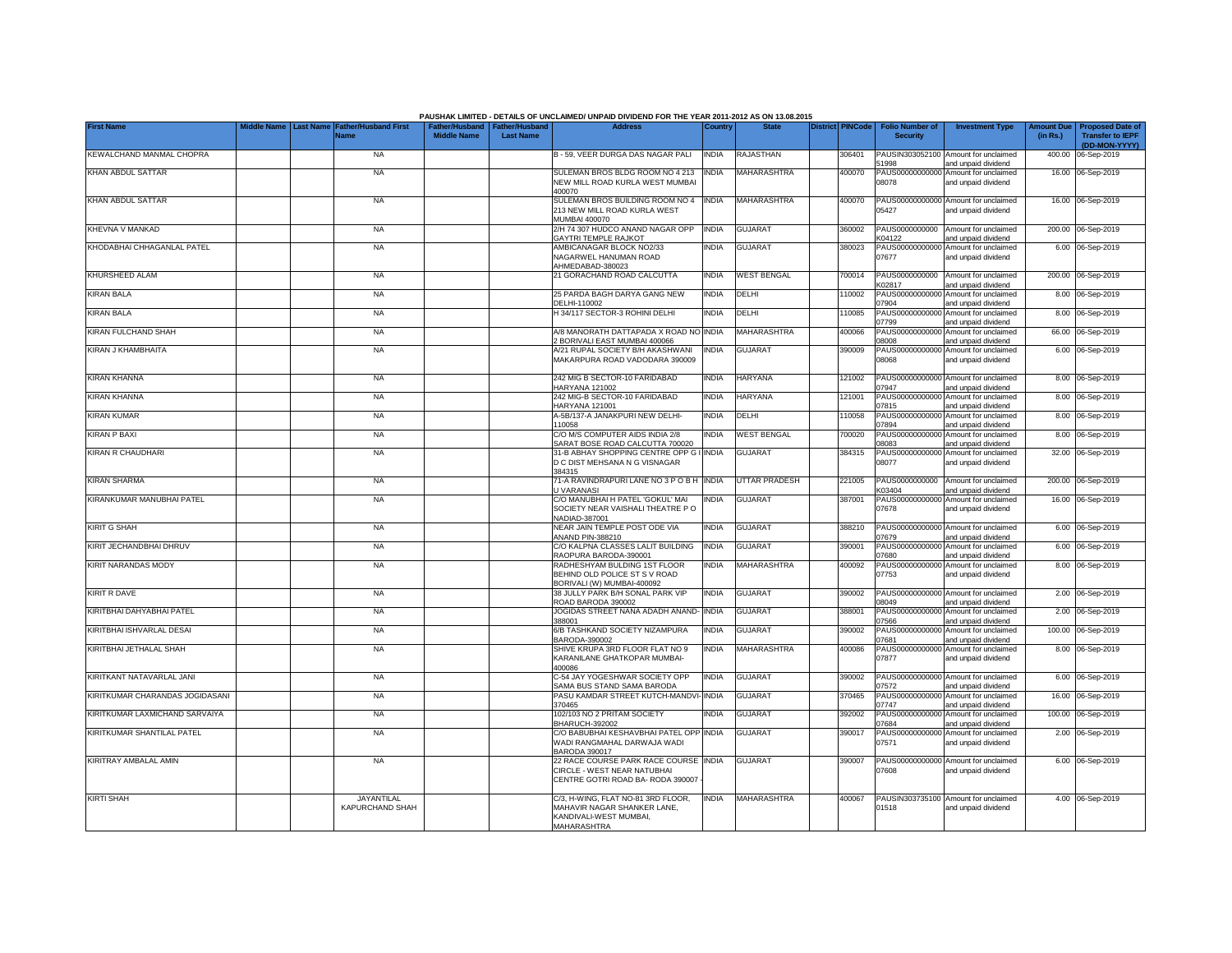|                                 |                  |                                      |                                                       |                  | PAUSHAK LIMITED - DETAILS OF UNCLAIMED/ UNPAID DIVIDEND FOR THE YEAR 2011-2012 AS ON 13.08.2015                   |              |                      |                         |                                           |                                                             |                               |                                                                     |
|---------------------------------|------------------|--------------------------------------|-------------------------------------------------------|------------------|-------------------------------------------------------------------------------------------------------------------|--------------|----------------------|-------------------------|-------------------------------------------|-------------------------------------------------------------|-------------------------------|---------------------------------------------------------------------|
| <b>First Name</b>               | <b>Last Name</b> | <b>Father/Husband First</b><br>Name  | Father/Husband   Father/Husband<br><b>Middle Name</b> | <b>Last Name</b> | <b>Address</b>                                                                                                    | Country      | <b>State</b>         | <b>District PINCode</b> | <b>Folio Number of</b><br><b>Security</b> | <b>Investment Type</b>                                      | <b>Amount Due</b><br>(in Rs.) | <b>Proposed Date of</b><br><b>Transfer to IEPF</b><br>(DD-MON-YYYY) |
| KEWALCHAND MANMAL CHOPRA        |                  | <b>NA</b>                            |                                                       |                  | B - 59, VEER DURGA DAS NAGAR PALI                                                                                 | <b>INDIA</b> | RAJASTHAN            | 306401                  | 51998                                     | PAUSIN303052100 Amount for unclaimed<br>and unpaid dividend |                               | 400.00 06-Sep-2019                                                  |
| KHAN ABDUL SATTAR               |                  | <b>NA</b>                            |                                                       |                  | SULEMAN BROS BLDG ROOM NO 4 213<br>NEW MILL ROAD KURLA WEST MUMBAI<br>400070                                      | <b>INDIA</b> | MAHARASHTRA          | 400070                  | PAUS00000000000<br>08078                  | Amount for unclaimed<br>and unpaid dividend                 |                               | 16.00 06-Sep-2019                                                   |
| KHAN ABDUL SATTAR               |                  | <b>NA</b>                            |                                                       |                  | SULEMAN BROS BUILDING ROOM NO 4<br>213 NEW MILL ROAD KURLA WEST<br>MUMBAI 400070                                  | <b>INDIA</b> | MAHARASHTRA          | 400070                  | 05427                                     | PAUS00000000000 Amount for unclaimed<br>and unpaid dividend |                               | 16.00 06-Sep-2019                                                   |
| KHEVNA V MANKAD                 |                  | <b>NA</b>                            |                                                       |                  | 2/H 74 307 HUDCO ANAND NAGAR OPP<br><b>GAYTRI TEMPLE RAJKOT</b>                                                   | <b>INDIA</b> | <b>GUJARAT</b>       | 360002                  | PAUS0000000000<br><04122                  | Amount for unclaimed<br>and unpaid dividend                 |                               | 200.00 06-Sep-2019                                                  |
| KHODABHAI CHHAGANLAL PATEL      |                  | <b>NA</b>                            |                                                       |                  | AMBICANAGAR BLOCK NO2/33<br>NAGARWEL HANUMAN ROAD<br>AHMEDABAD-380023                                             | <b>INDIA</b> | <b>GUJARAT</b>       | 380023                  | PAUS0000000000<br>07677                   | Amount for unclaimed<br>and unpaid dividend                 |                               | 6.00 06-Sep-2019                                                    |
| KHURSHEED ALAM                  |                  | <b>NA</b>                            |                                                       |                  | 21 GORACHAND ROAD CALCUTTA                                                                                        | <b>INDIA</b> | <b>WEST BENGAL</b>   | 700014                  | PAUS0000000000<br>K02817                  | Amount for unclaimed<br>and unpaid dividend                 |                               | 200.00 06-Sep-2019                                                  |
| <b>KIRAN BALA</b>               |                  | <b>NA</b>                            |                                                       |                  | 25 PARDA BAGH DARYA GANG NEW<br>DELHI-110002                                                                      | <b>INDIA</b> | DELHI                | 110002                  | 07904                                     | PAUS00000000000 Amount for unclaimed<br>and unpaid dividend |                               | 8.00 06-Sep-2019                                                    |
| <b>KIRAN BALA</b>               |                  | <b>NA</b>                            |                                                       |                  | H 34/117 SECTOR-3 ROHINI DELHI                                                                                    | <b>INDIA</b> | DELHI                | 110085                  | PAUS0000000000<br>07799                   | Amount for unclaimed<br>and unpaid dividend                 |                               | 8.00 06-Sep-2019                                                    |
| KIRAN FULCHAND SHAH             |                  | <b>NA</b>                            |                                                       |                  | A/8 MANORATH DATTAPADA X ROAD NC<br>2 BORIVALI EAST MUMBAI 400066                                                 | <b>INDIA</b> | MAHARASHTRA          | 400066                  | PAUS0000000000<br>80080                   | Amount for unclaimed<br>and unpaid dividend                 |                               | 66.00 06-Sep-2019                                                   |
| KIRAN J KHAMBHAITA              |                  | <b>NA</b>                            |                                                       |                  | A/21 RUPAL SOCIETY B/H AKASHWANI<br>MAKARPURA ROAD VADODARA 390009                                                | <b>INDIA</b> | <b>GUJARAT</b>       | 390009                  | PAUS0000000000<br>88080                   | Amount for unclaimed<br>and unpaid dividend                 |                               | 6.00 06-Sep-2019                                                    |
| KIRAN KHANNA                    |                  | <b>NA</b>                            |                                                       |                  | 242 MIG B SECTOR-10 FARIDABAD<br>HARYANA 121002                                                                   | <b>INDIA</b> | <b>HARYANA</b>       | 121002                  | 07947                                     | PAUS00000000000 Amount for unclaimed<br>and unpaid dividend |                               | 8.00 06-Sep-2019                                                    |
| <b>KIRAN KHANNA</b>             |                  | <b>NA</b>                            |                                                       |                  | 242 MIG-B SECTOR-10 FARIDABAD<br><b>HARYANA 121001</b>                                                            | INDIA        | <b>HARYANA</b>       | 121001                  | PAUS00000000000<br>07815                  | Amount for unclaimed<br>and unpaid dividend                 |                               | 8.00 06-Sep-2019                                                    |
| <b>KIRAN KUMAR</b>              |                  | <b>NA</b>                            |                                                       |                  | A-5B/137-A JANAKPURI NEW DELHI-<br>110058                                                                         | <b>INDIA</b> | DELHI                | 110058                  | PAUS0000000000<br>07894                   | Amount for unclaimed<br>and unpaid dividend                 |                               | 8.00 06-Sep-2019                                                    |
| <b>KIRAN P BAXI</b>             |                  | <b>NA</b>                            |                                                       |                  | C/O M/S COMPUTER AIDS INDIA 2/8<br>SARAT BOSE ROAD CALCUTTA 700020                                                | <b>INDIA</b> | <b>WEST BENGAL</b>   | 700020                  | PAUS00000000000<br>8083                   | Amount for unclaimed<br>and unpaid dividend                 |                               | 8.00 06-Sep-2019                                                    |
| <b>KIRAN R CHAUDHARI</b>        |                  | <b>NA</b>                            |                                                       |                  | 31-B ABHAY SHOPPING CENTRE OPP G I INDIA<br>D C DIST MEHSANA N G VISNAGAR<br>384315                               |              | <b>GUJARAT</b>       | 384315                  | 08077                                     | PAUS00000000000 Amount for unclaimed<br>and unpaid dividend |                               | 32.00 06-Sep-2019                                                   |
| <b>KIRAN SHARMA</b>             |                  | <b>NA</b>                            |                                                       |                  | 71-A RAVINDRAPURI LANE NO 3 P O B H INDIA<br>U VARANASI                                                           |              | <b>UTTAR PRADESH</b> | 221005                  | PAUS0000000000<br>K03404                  | Amount for unclaimed<br>and unpaid dividend                 |                               | 200.00 06-Sep-2019                                                  |
| KIRANKUMAR MANUBHAI PATEL       |                  | <b>NA</b>                            |                                                       |                  | C/O MANUBHAI H PATEL 'GOKUL' MAI<br>SOCIETY NEAR VAISHALI THEATRE PO<br>NADIAD-387001                             | <b>INDIA</b> | <b>GUJARAT</b>       | 387001                  | 07678                                     | PAUS00000000000 Amount for unclaimed<br>and unpaid dividend |                               | 16.00 06-Sep-2019                                                   |
| <b>KIRIT G SHAH</b>             |                  | <b>NA</b>                            |                                                       |                  | NEAR JAIN TEMPLE POST ODE VIA<br><b>ANAND PIN-388210</b>                                                          | <b>INDIA</b> | <b>GUJARAT</b>       | 388210                  | 07679                                     | PAUS00000000000 Amount for unclaimed<br>and unpaid dividend |                               | 6.00 06-Sep-2019                                                    |
| KIRIT JECHANDBHAI DHRUV         |                  | <b>NA</b>                            |                                                       |                  | C/O KALPNA CLASSES LALIT BUILDING<br>RAOPURA BARODA-390001                                                        | <b>INDIA</b> | <b>GUJARAT</b>       | 390001                  | PAUS0000000000<br>07680                   | Amount for unclaimed<br>and unpaid dividend                 |                               | 6.00 06-Sep-2019                                                    |
| KIRIT NARANDAS MODY             |                  | <b>NA</b>                            |                                                       |                  | RADHESHYAM BULDING 1ST FLOOR<br>BEHIND OLD POLICE ST S V ROAD<br>BORIVALI (W) MUMBAI-400092                       | <b>INDIA</b> | MAHARASHTRA          | 400092                  | PAUS0000000000<br>07753                   | Amount for unclaimed<br>and unpaid dividend                 |                               | 8.00 06-Sep-2019                                                    |
| KIRIT R DAVE                    |                  | <b>NA</b>                            |                                                       |                  | 38 JULLY PARK B/H SONAL PARK VIP<br>ROAD BARODA 390002                                                            | <b>INDIA</b> | <b>GUJARAT</b>       | 390002                  | 08049                                     | PAUS00000000000 Amount for unclaimed<br>and unpaid dividend |                               | 2.00 06-Sep-2019                                                    |
| KIRITBHAI DAHYABHAI PATEL       |                  | <b>NA</b>                            |                                                       |                  | JOGIDAS STREET NANA ADADH ANAND-<br>388001                                                                        | <b>INDIA</b> | <b>GUJARAT</b>       | 388001                  | PAUS00000000000<br>07566                  | Amount for unclaimed<br>and unpaid dividend                 |                               | 2.00 06-Sep-2019                                                    |
| KIRITBHAI ISHVARLAL DESAI       |                  | <b>NA</b>                            |                                                       |                  | 6/B TASHKAND SOCIETY NIZAMPURA<br>BARODA-390002                                                                   | <b>INDIA</b> | GUJARAT              | 390002                  | PAUS0000000000<br>17681                   | Amount for unclaimed<br>and unpaid dividend                 |                               | 100.00 06-Sep-2019                                                  |
| KIRITBHAI JETHALAL SHAH         |                  | <b>NA</b>                            |                                                       |                  | SHIVE KRUPA 3RD FLOOR FLAT NO 9<br>KARANILANE GHATKOPAR MUMBAI-<br>400086                                         | <b>INDIA</b> | MAHARASHTRA          | 400086                  | PAUS00000000000<br>07877                  | Amount for unclaimed<br>and unpaid dividend                 |                               | 8.00 06-Sep-2019                                                    |
| KIRITKANT NATAVARLAL JANI       |                  | <b>NA</b>                            |                                                       |                  | C-54 JAY YOGESHWAR SOCIETY OPP<br>SAMA BUS STAND SAMA BARODA                                                      | <b>INDIA</b> | <b>GUJARAT</b>       | 390002                  | 07572                                     | PAUS00000000000 Amount for unclaimed<br>and unpaid dividend |                               | 6.00 06-Sep-2019                                                    |
| KIRITKUMAR CHARANDAS JOGIDASANI |                  | <b>NA</b>                            |                                                       |                  | ASU KAMDAR STREET KUTCH-MANDVI-INDIA<br>370465                                                                    |              | GUJARAT              | 370465                  | 07747                                     | PAUS00000000000 Amount for unclaimed<br>and unpaid dividend |                               | 16.00 06-Sep-2019                                                   |
| KIRITKUMAR LAXMICHAND SARVAIYA  |                  | <b>NA</b>                            |                                                       |                  | 102/103 NO 2 PRITAM SOCIETY<br><b>BHARUCH-392002</b>                                                              | <b>INDIA</b> | <b>GUJARAT</b>       | 392002                  | 07684                                     | PAUS00000000000 Amount for unclaimed<br>and unpaid dividend |                               | 100.00 06-Sep-2019                                                  |
| KIRITKUMAR SHANTILAL PATEL      |                  | <b>NA</b>                            |                                                       |                  | C/O BABUBHAI KESHAVBHAI PATEL OPP INDIA<br>WADI RANGMAHAL DARWAJA WADI<br><b>BARODA 390017</b>                    |              | <b>GUJARAT</b>       | 390017                  | 07571                                     | PAUS00000000000 Amount for unclaimed<br>and unpaid dividend |                               | 2.00 06-Sep-2019                                                    |
| KIRITRAY AMBALAL AMIN           |                  | <b>NA</b>                            |                                                       |                  | 22 RACE COURSE PARK RACE COURSE INDIA<br>CIRCLE - WEST NEAR NATUBHAI<br>CENTRE GOTRI ROAD BA- RODA 390007         |              | <b>GUJARAT</b>       | 390007                  | PAUS00000000000<br>07608                  | Amount for unclaimed<br>and unpaid dividend                 |                               | 6.00 06-Sep-2019                                                    |
| <b>KIRTI SHAH</b>               |                  | <b>JAYANTILAL</b><br>KAPURCHAND SHAH |                                                       |                  | C/3, H-WING, FLAT NO-81 3RD FLOOR,<br>MAHAVIR NAGAR SHANKER LANE,<br>KANDIVALI-WEST MUMBAI,<br><b>MAHARASHTRA</b> | <b>INDIA</b> | MAHARASHTRA          | 400067                  | 01518                                     | PAUSIN303735100 Amount for unclaimed<br>and unpaid dividend |                               | 4.00 06-Sep-2019                                                    |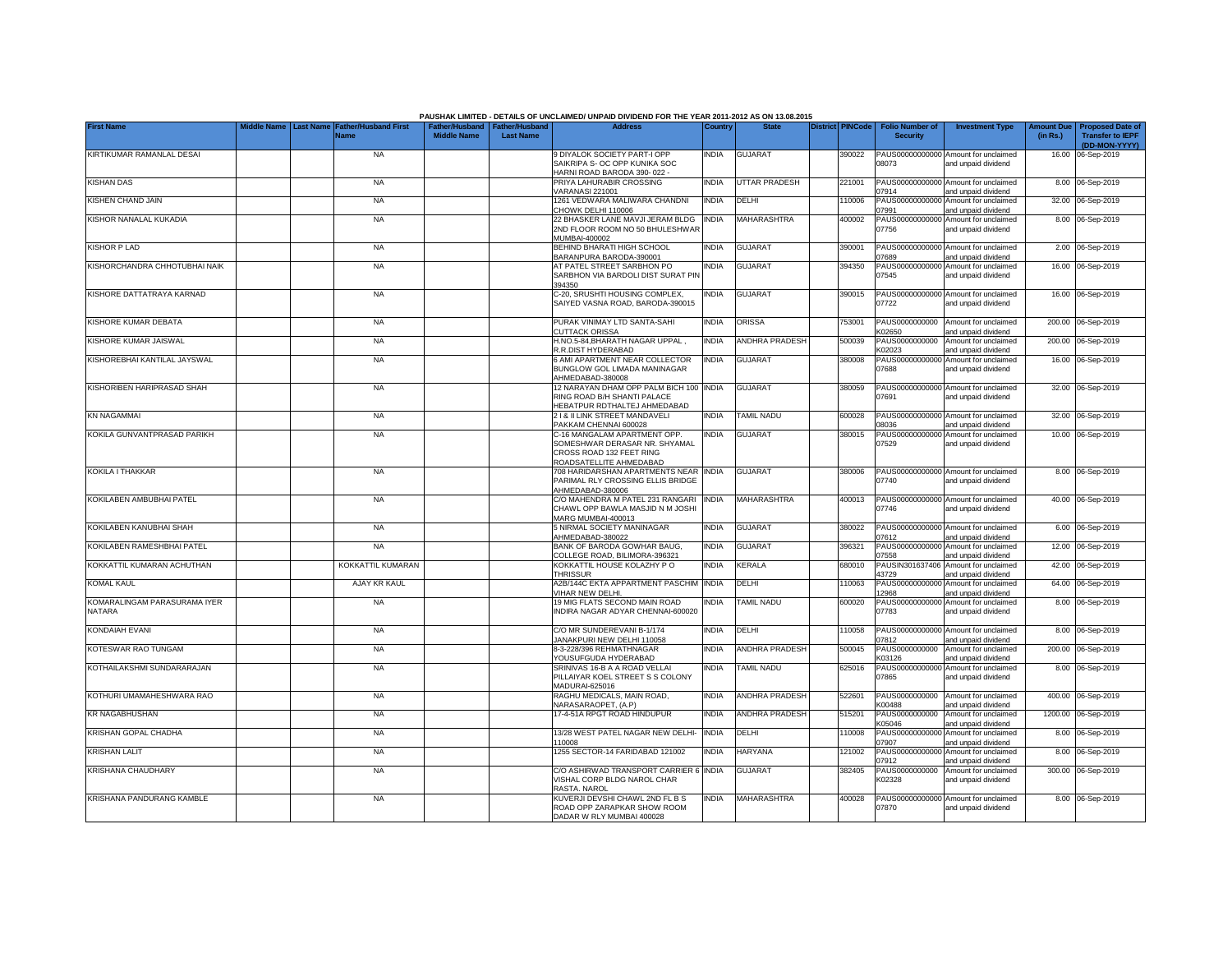|                                        | <b>Last Name</b> |                                     |                    |                                                     | PAUSHAK LIMITED - DETAILS OF UNCLAIMED/ UNPAID DIVIDEND FOR THE YEAR 2011-2012 AS ON 13.08.2015<br><b>Address</b>    |              | <b>State</b>          |                         |                                           |                                                                    |                               |                                                    |
|----------------------------------------|------------------|-------------------------------------|--------------------|-----------------------------------------------------|----------------------------------------------------------------------------------------------------------------------|--------------|-----------------------|-------------------------|-------------------------------------------|--------------------------------------------------------------------|-------------------------------|----------------------------------------------------|
| <b>First Name</b>                      |                  | <b>Father/Husband First</b><br>Name | <b>Middle Name</b> | Father/Husband   Father/Husband<br><b>Last Name</b> |                                                                                                                      | Country      |                       | <b>District PINCode</b> | <b>Folio Number of</b><br><b>Security</b> | <b>Investment Type</b>                                             | <b>Amount Due</b><br>(in Rs.) | <b>Proposed Date of</b><br><b>Transfer to IEPF</b> |
|                                        |                  |                                     |                    |                                                     |                                                                                                                      |              |                       |                         |                                           |                                                                    |                               | (DD-MON-YYYY)                                      |
| KIRTIKUMAR RAMANLAL DESAI              |                  | <b>NA</b>                           |                    |                                                     | 9 DIYALOK SOCIETY PART-I OPP<br>SAIKRIPA S- OC OPP KUNIKA SOC<br>HARNI ROAD BARODA 390-022 -                         | <b>INDIA</b> | <b>GUJARAT</b>        | 390022                  | 08073                                     | PAUS00000000000 Amount for unclaimed<br>and unpaid dividend        |                               | 16.00 06-Sep-2019                                  |
| <b>KISHAN DAS</b>                      |                  | <b>NA</b>                           |                    |                                                     | PRIYA LAHURABIR CROSSING                                                                                             | <b>INDIA</b> | UTTAR PRADESH         | 221001                  | 07914                                     | PAUS00000000000 Amount for unclaimed                               |                               | 8.00 06-Sep-2019                                   |
| KISHEN CHAND JAIN                      |                  | <b>NA</b>                           |                    |                                                     | VARANASI 221001<br>1261 VEDWARA MALIWARA CHANDNI                                                                     | <b>INDIA</b> | DELHI                 | 110006                  | PAUS0000000000                            | and unpaid dividend<br>Amount for unclaimed                        |                               | 32.00 06-Sep-2019                                  |
| KISHOR NANALAL KUKADIA                 |                  | <b>NA</b>                           |                    |                                                     | CHOWK DELHI 110006<br>22 BHASKER LANE MAVJI JERAM BLDG<br>2ND FLOOR ROOM NO 50 BHULESHWAR                            | <b>INDIA</b> | MAHARASHTRA           | 400002                  | 07991<br>PAUS00000000000<br>07756         | and unpaid dividend<br>Amount for unclaimed<br>and unpaid dividend |                               | 8.00 06-Sep-2019                                   |
| KISHOR P LAD                           |                  | <b>NA</b>                           |                    |                                                     | MUMBAI-400002<br>BEHIND BHARATI HIGH SCHOOL                                                                          | <b>INDIA</b> | GUJARAT               | 390001                  | PAUS0000000000                            | Amount for unclaimed                                               |                               | 2.00 06-Sep-2019                                   |
|                                        |                  |                                     |                    |                                                     | BARANPURA BARODA-390001                                                                                              |              |                       |                         | 7689                                      | and unpaid dividend                                                |                               |                                                    |
| KISHORCHANDRA CHHOTUBHAI NAIK          |                  | <b>NA</b>                           |                    |                                                     | AT PATEL STREET SARBHON PO<br>SARBHON VIA BARDOLI DIST SURAT PIN<br>394350                                           | INDIA        | <b>GUJARAT</b>        | 394350                  | PAUS00000000000<br>07545                  | Amount for unclaimed<br>and unpaid dividend                        |                               | 16.00 06-Sep-2019                                  |
| KISHORE DATTATRAYA KARNAD              |                  | <b>NA</b>                           |                    |                                                     | C-20, SRUSHTI HOUSING COMPLEX,<br>SAIYED VASNA ROAD, BARODA-390015                                                   | india        | <b>GUJARAT</b>        | 390015                  | 07722                                     | PAUS00000000000 Amount for unclaimed<br>and unpaid dividend        |                               | 16.00 06-Sep-2019                                  |
| KISHORE KUMAR DEBATA                   |                  | <b>NA</b>                           |                    |                                                     | PURAK VINIMAY LTD SANTA-SAHI<br><b>CUTTACK ORISSA</b>                                                                | <b>INDIA</b> | ORISSA                | 753001                  | PAUS0000000000<br><02650                  | Amount for unclaimed<br>and unpaid dividend                        |                               | 200.00 06-Sep-2019                                 |
| KISHORE KUMAR JAISWAL                  |                  | NA                                  |                    |                                                     | H.NO.5-84, BHARATH NAGAR UPPAL,<br>R.R.DIST HYDERABAD                                                                | <b>INDIA</b> | ANDHRA PRADESH        | 500039                  | PAUS0000000000<br>K02023                  | Amount for unclaimed<br>and unpaid dividend                        |                               | 200.00 06-Sep-2019                                 |
| KISHOREBHAI KANTILAL JAYSWAL           |                  | <b>NA</b>                           |                    |                                                     | 6 AMI APARTMENT NEAR COLLECTOR<br>BUNGLOW GOL LIMADA MANINAGAR<br>AHMEDABAD-380008                                   | <b>INDIA</b> | <b>GUJARAT</b>        | 380008                  | 07688                                     | PAUS00000000000 Amount for unclaimed<br>and unpaid dividend        |                               | 16.00 06-Sep-2019                                  |
| KISHORIBEN HARIPRASAD SHAH             |                  | <b>NA</b>                           |                    |                                                     | 12 NARAYAN DHAM OPP PALM BICH 100 INDIA<br>RING ROAD B/H SHANTI PALACE<br>HEBATPUR RDTHALTEJ AHMEDABAD               |              | <b>GUJARAT</b>        | 380059                  | 07691                                     | PAUS00000000000 Amount for unclaimed<br>and unpaid dividend        |                               | 32.00 06-Sep-2019                                  |
| KN NAGAMMAI                            |                  | <b>NA</b>                           |                    |                                                     | 21& II LINK STREET MANDAVELI<br>PAKKAM CHENNAI 600028                                                                | <b>INDIA</b> | TAMIL NADU            | 600028                  | 08036                                     | PAUS00000000000 Amount for unclaimed<br>and unpaid dividend        |                               | 32.00 06-Sep-2019                                  |
| KOKILA GUNVANTPRASAD PARIKH            |                  | <b>NA</b>                           |                    |                                                     | C-16 MANGALAM APARTMENT OPP.<br>SOMESHWAR DERASAR NR. SHYAMAL<br>CROSS ROAD 132 FEET RING<br>ROADSATELLITE AHMEDABAD | <b>INDIA</b> | <b>GUJARAT</b>        | 380015                  | PAUS0000000000<br>07529                   | Amount for unclaimed<br>and unpaid dividend                        |                               | 10.00 06-Sep-2019                                  |
| KOKILA I THAKKAR                       |                  | <b>NA</b>                           |                    |                                                     | 708 HARIDARSHAN APARTMENTS NEAR INDIA<br>PARIMAL RLY CROSSING ELLIS BRIDGE<br>AHMEDABAD-380006                       |              | <b>GUJARAT</b>        | 380006                  | 07740                                     | PAUS00000000000 Amount for unclaimed<br>and unpaid dividend        |                               | 8.00 06-Sep-2019                                   |
| KOKILABEN AMBUBHAI PATEL               |                  | <b>NA</b>                           |                    |                                                     | C/O MAHENDRA M PATEL 231 RANGARI<br>CHAWL OPP BAWLA MASJID N M JOSHI<br>MARG MUMBAI-400013                           | <b>INDIA</b> | MAHARASHTRA           | 400013                  | 07746                                     | PAUS00000000000 Amount for unclaimed<br>and unpaid dividend        |                               | 40.00 06-Sep-2019                                  |
| KOKILABEN KANUBHAI SHAH                |                  | <b>NA</b>                           |                    |                                                     | 5 NIRMAL SOCIETY MANINAGAR<br>AHMEDABAD-380022                                                                       | <b>INDIA</b> | <b>GUJARAT</b>        | 380022                  | 07612                                     | PAUS00000000000 Amount for unclaimed<br>and unpaid dividend        |                               | 6.00 06-Sep-2019                                   |
| KOKILABEN RAMESHBHAI PATEL             |                  | <b>NA</b>                           |                    |                                                     | BANK OF BARODA GOWHAR BAUG,<br>COLLEGE ROAD, BILIMORA-396321                                                         | <b>INDIA</b> | <b>GUJARAT</b>        | 396321                  | 07558                                     | PAUS00000000000 Amount for unclaimed<br>and unpaid dividend        |                               | 12.00 06-Sep-2019                                  |
| KOKKATTIL KUMARAN ACHUTHAN             |                  | KOKKATTIL KUMARAN                   |                    |                                                     | KOKKATTIL HOUSE KOLAZHY PO<br><b>THRISSUR</b>                                                                        | <b>INDIA</b> | KERALA                | 680010                  | PAUSIN301637406<br>43729                  | Amount for unclaimed<br>and unpaid dividend                        |                               | 42.00 06-Sep-2019                                  |
| <b>KOMAL KAUL</b>                      |                  | AJAY KR KAUL                        |                    |                                                     | A2B/144C EKTA APPARTMENT PASCHIM<br>VIHAR NEW DELHI.                                                                 | <b>INDIA</b> | DELHI                 | 110063                  | PAUS0000000000<br>12968                   | Amount for unclaimed<br>and unpaid dividend                        |                               | 64.00 06-Sep-2019                                  |
| KOMARALINGAM PARASURAMA IYER<br>NATARA |                  | <b>NA</b>                           |                    |                                                     | 19 MIG FLATS SECOND MAIN ROAD<br>INDIRA NAGAR ADYAR CHENNAI-600020                                                   | india        | <b>TAMIL NADU</b>     | 600020                  | PAUS0000000000<br>07783                   | Amount for unclaimed<br>and unpaid dividend                        |                               | 8.00 06-Sep-2019                                   |
| KONDAIAH EVANI                         |                  | <b>NA</b>                           |                    |                                                     | C/O MR SUNDEREVANI B-1/174<br>JANAKPURI NEW DELHI 110058                                                             | <b>INDIA</b> | DELHI                 | 10058                   | 07812                                     | PAUS00000000000 Amount for unclaimed<br>and unpaid dividend        |                               | 8.00 06-Sep-2019                                   |
| KOTESWAR RAO TUNGAM                    |                  | <b>NA</b>                           |                    |                                                     | 8-3-228/396 REHMATHNAGAR<br>YOUSUFGUDA HYDERABAD                                                                     | india        | <b>ANDHRA PRADESH</b> | 500045                  | PAUS0000000000<br>K03126                  | Amount for unclaimed<br>and unpaid dividend                        |                               | 200.00 06-Sep-2019                                 |
| KOTHAILAKSHMI SUNDARARAJAN             |                  | <b>NA</b>                           |                    |                                                     | SRINIVAS 16-B A A ROAD VELLAI<br>PILLAIYAR KOEL STREET S S COLONY<br>MADURAI-625016                                  | INDIA        | <b>TAMIL NADU</b>     | 625016                  | 07865                                     | PAUS00000000000 Amount for unclaimed<br>and unpaid dividend        |                               | 8.00 06-Sep-2019                                   |
| KOTHURI UMAMAHESHWARA RAO              |                  | <b>NA</b>                           |                    |                                                     | RAGHU MEDICALS, MAIN ROAD,<br>NARASARAOPET, (A.P)                                                                    | <b>INDIA</b> | ANDHRA PRADESH        | 522601                  | PAUS0000000000<br>K00488                  | Amount for unclaimed<br>and unpaid dividend                        |                               | 400.00 06-Sep-2019                                 |
| <b>KR NAGABHUSHAN</b>                  |                  | <b>NA</b>                           |                    |                                                     | 17-4-51A RPGT ROAD HINDUPUR                                                                                          | <b>INDIA</b> | ANDHRA PRADESH        | 515201                  | PAUS0000000000<br>K05046                  | Amount for unclaimed<br>and unpaid dividend                        |                               | 1200.00 06-Sep-2019                                |
| KRISHAN GOPAL CHADHA                   |                  | <b>NA</b>                           |                    |                                                     | 13/28 WEST PATEL NAGAR NEW DELHI-<br>110008                                                                          | <b>INDIA</b> | DELHI                 | 110008                  | 07907                                     | PAUS00000000000 Amount for unclaimed<br>and unpaid dividend        |                               | 8.00 06-Sep-2019                                   |
| KRISHAN LALIT                          |                  | <b>NA</b>                           |                    |                                                     | 1255 SECTOR-14 FARIDABAD 121002                                                                                      | <b>INDIA</b> | HARYANA               | 121002                  | 07912                                     | PAUS00000000000 Amount for unclaimed<br>and unpaid dividend        |                               | 8.00 06-Sep-2019                                   |
| KRISHANA CHAUDHARY                     |                  | <b>NA</b>                           |                    |                                                     | C/O ASHIRWAD TRANSPORT CARRIER 6 INDIA<br>VISHAL CORP BLDG NAROL CHAR<br>RASTA, NAROL                                |              | <b>GUJARAT</b>        | 382405                  | PAUS0000000000<br>K02328                  | Amount for unclaimed<br>and unpaid dividend                        |                               | 300.00 06-Sep-2019                                 |
| KRISHANA PANDURANG KAMBLE              |                  | <b>NA</b>                           |                    |                                                     | KUVERJI DEVSHI CHAWL 2ND FL B S<br>ROAD OPP ZARAPKAR SHOW ROOM<br>DADAR W RLY MUMBAI 400028                          | <b>INDIA</b> | <b>MAHARASHTRA</b>    | 400028                  | 07870                                     | PAUS00000000000 Amount for unclaimed<br>and unpaid dividend        |                               | 8.00 06-Sep-2019                                   |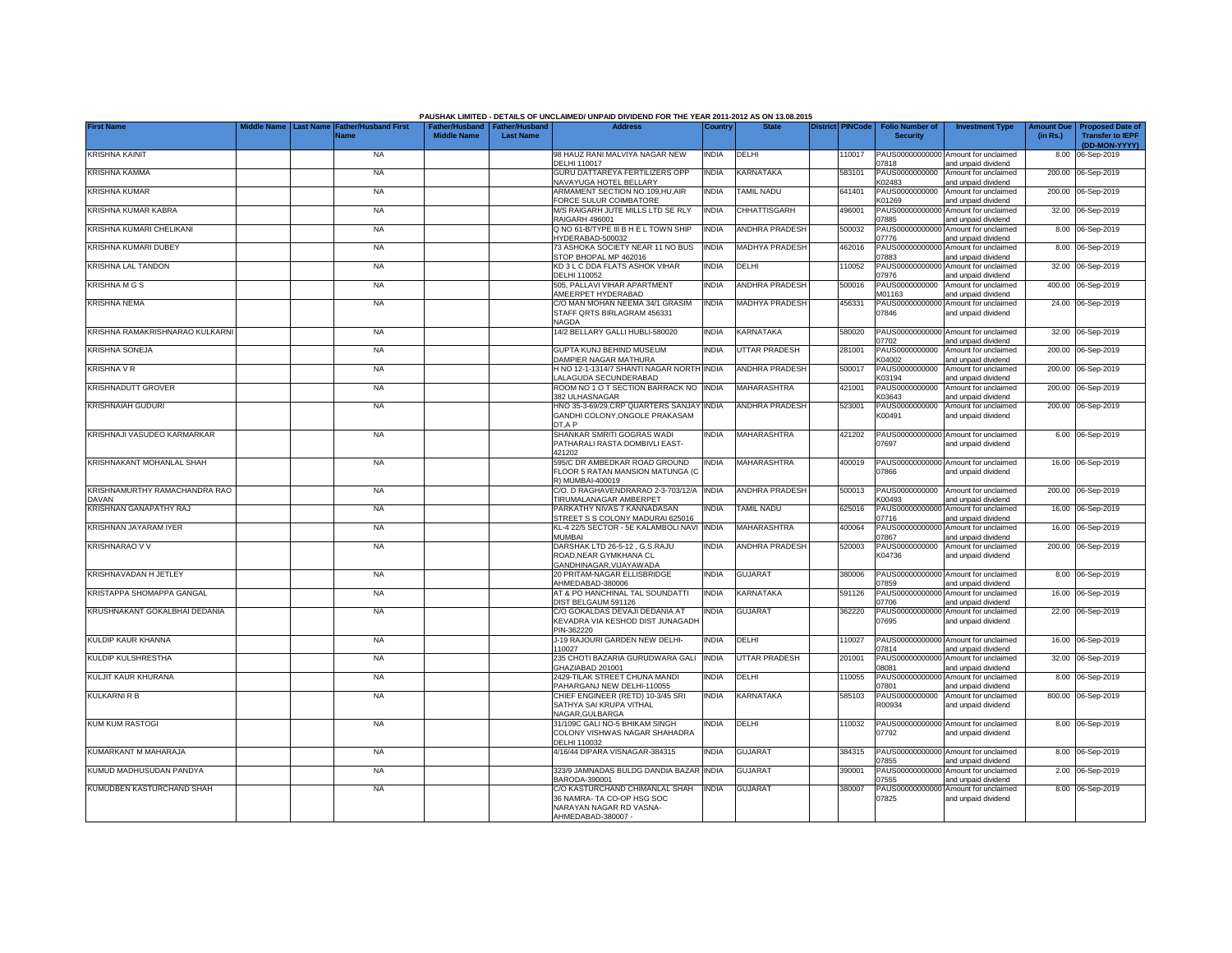|                                               |             |                  |                                            |                                                       |                  | PAUSHAK LIMITED - DETAILS OF UNCLAIMED/ UNPAID DIVIDEND FOR THE YEAR 2011-2012 AS ON 13.08.2015               |              |                       |                         |                                           |                                                             |                               |                                                                     |
|-----------------------------------------------|-------------|------------------|--------------------------------------------|-------------------------------------------------------|------------------|---------------------------------------------------------------------------------------------------------------|--------------|-----------------------|-------------------------|-------------------------------------------|-------------------------------------------------------------|-------------------------------|---------------------------------------------------------------------|
| <b>First Name</b>                             | Middle Name | <b>Last Name</b> | <b>Father/Husband First</b><br><b>Name</b> | Father/Husband   Father/Husband<br><b>Middle Name</b> | <b>Last Name</b> | <b>Address</b>                                                                                                | Country      | <b>State</b>          | <b>District PINCode</b> | <b>Folio Number of</b><br><b>Security</b> | <b>Investment Type</b>                                      | <b>Amount Due</b><br>(in Rs.) | <b>Proposed Date of</b><br><b>Transfer to IEPF</b><br>(DD-MON-YYYY) |
| <b>KRISHNA KAINIT</b>                         |             |                  | <b>NA</b>                                  |                                                       |                  | 98 HAUZ RANI MALVIYA NAGAR NEW<br>DELHI 110017                                                                | <b>INDIA</b> | DELHI                 | 110017                  | 07818                                     | PAUS00000000000 Amount for unclaimed<br>and unpaid dividend |                               | 8.00 06-Sep-2019                                                    |
| <b>KRISHNA KAMMA</b>                          |             |                  | <b>NA</b>                                  |                                                       |                  | <b>GURU DATTAREYA FERTILIZERS OPP</b><br>NAVAYUGA HOTEL BELLARY                                               | INDIA        | KARNATAKA             | 583101                  | PAUS0000000000<br>K02483                  | Amount for unclaimed<br>and unpaid dividend                 |                               | 200.00 06-Sep-2019                                                  |
| <b>KRISHNA KUMAR</b>                          |             |                  | <b>NA</b>                                  |                                                       |                  | ARMAMENT SECTION NO.109,HU,AIR<br>FORCE SULUR COIMBATORE                                                      | INDIA        | TAMIL NADU            | 641401                  | PAUS0000000000<br>K01269                  | Amount for unclaimed<br>and unpaid dividend                 |                               | 200.00 06-Sep-2019                                                  |
| KRISHNA KUMAR KABRA                           |             |                  | <b>NA</b>                                  |                                                       |                  | M/S RAIGARH JUTE MILLS LTD SE RLY<br>RAIGARH 496001                                                           | INDIA        | <b>CHHATTISGARH</b>   | 496001                  | PAUS0000000000<br>07885                   | Amount for unclaimed<br>and unpaid dividend                 |                               | 32.00 06-Sep-2019                                                   |
| KRISHNA KUMARI CHELIKANI                      |             |                  | <b>NA</b>                                  |                                                       |                  | Q NO 61-B/TYPE III B H E L TOWN SHIP<br>HYDERABAD-500032                                                      | INDIA        | <b>ANDHRA PRADESH</b> | 500032                  | PAUS00000000000<br>07776                  | Amount for unclaimed<br>and unpaid dividend                 |                               | 8.00 06-Sep-2019                                                    |
| KRISHNA KUMARI DUBEY                          |             |                  | <b>NA</b>                                  |                                                       |                  | 73 ASHOKA SOCIETY NEAR 11 NO BUS<br>STOP BHOPAL MP 462016                                                     | <b>INDIA</b> | MADHYA PRADESH        | 462016                  | PAUS0000000000<br>17883                   | Amount for unclaimed<br>and unpaid dividend                 |                               | 8.00 06-Sep-2019                                                    |
| <b>KRISHNA LAL TANDON</b>                     |             |                  | <b>NA</b>                                  |                                                       |                  | KD 3 L C DDA FLATS ASHOK VIHAR<br>DELHI 110052                                                                | INDIA        | DELHI                 | 10052                   | PAUS0000000000<br>07976                   | Amount for unclaimed<br>and unpaid dividend                 |                               | 32.00 06-Sep-2019                                                   |
| <b>KRISHNA M G S</b>                          |             |                  | <b>NA</b>                                  |                                                       |                  | 505. PALLAVI VIHAR APARTMENT<br>AMEERPET HYDERABAD                                                            | <b>INDIA</b> | ANDHRA PRADESH        | 500016                  | PAUS0000000000<br>M01163                  | Amount for unclaimed<br>and unpaid dividend                 |                               | 400.00 06-Sep-2019                                                  |
| <b>KRISHNA NEMA</b>                           |             |                  | <b>NA</b>                                  |                                                       |                  | C/O MAN MOHAN NEEMA 34/1 GRASIM<br>STAFF QRTS BIRLAGRAM 456331<br><b>NAGDA</b>                                | <b>INDIA</b> | <b>MADHYA PRADESH</b> | 456331                  | PAUS00000000000<br>07846                  | Amount for unclaimed<br>and unpaid dividend                 |                               | 24.00 06-Sep-2019                                                   |
| KRISHNA RAMAKRISHNARAO KULKARNI               |             |                  | <b>NA</b>                                  |                                                       |                  | 14/2 BELLARY GALLI HUBLI-580020                                                                               | INDIA        | <b>KARNATAKA</b>      | 580020                  | 7702                                      | PAUS00000000000 Amount for unclaimed<br>and unpaid dividend |                               | 32.00 06-Sep-2019                                                   |
| <b>KRISHNA SONEJA</b>                         |             |                  | <b>NA</b>                                  |                                                       |                  | <b>GUPTA KUNJ BEHIND MUSEUM</b><br>DAMPIER NAGAR MATHURA                                                      | <b>INDIA</b> | <b>UTTAR PRADESH</b>  | 281001                  | PAUS0000000000<br>K04002                  | Amount for unclaimed<br>and unpaid dividend                 |                               | 200.00 06-Sep-2019                                                  |
| <b>KRISHNA V R</b>                            |             |                  | <b>NA</b>                                  |                                                       |                  | H NO 12-1-1314/7 SHANTI NAGAR NORTH<br>LALAGUDA SECUNDERABAD                                                  | <b>INDIA</b> | <b>ANDHRA PRADESH</b> | 500017                  | PAUS0000000000<br>K03194                  | Amount for unclaimed<br>and unpaid dividend                 |                               | 200.00 06-Sep-2019                                                  |
| <b>KRISHNADUTT GROVER</b>                     |             |                  | <b>NA</b>                                  |                                                       |                  | ROOM NO 1 O T SECTION BARRACK NO<br>382 ULHASNAGAR                                                            | <b>INDIA</b> | MAHARASHTRA           | 421001                  | PAUS0000000000<br>K03643                  | Amount for unclaimed<br>and unpaid dividend                 |                               | 200.00 06-Sep-2019                                                  |
| <b>KRISHNAIAH GUDURI</b>                      |             |                  | <b>NA</b>                                  |                                                       |                  | HNO 35-3-69/29, CRP QUARTERS SANJAY<br>GANDHI COLONY, ONGOLE PRAKASAM<br>DT,A P                               | <b>INDIA</b> | <b>ANDHRA PRADESH</b> | 523001                  | PAUS0000000000<br>K00491                  | Amount for unclaimed<br>and unpaid dividend                 |                               | 200.00 06-Sep-2019                                                  |
| KRISHNAJI VASUDEO KARMARKAR                   |             |                  | <b>NA</b>                                  |                                                       |                  | SHANKAR SMRITI GOGRAS WADI<br>PATHARALI RASTA DOMBIVLI EAST-<br>421202                                        | <b>INDIA</b> | MAHARASHTRA           | 421202                  | 07697                                     | PAUS00000000000 Amount for unclaimed<br>and unpaid dividend |                               | 6.00 06-Sep-2019                                                    |
| KRISHNAKANT MOHANLAL SHAH                     |             |                  | <b>NA</b>                                  |                                                       |                  | 595/C DR AMBEDKAR ROAD GROUND<br>FLOOR 5 RATAN MANSION MATUNGA (C<br>R) MUMBAI-400019                         | <b>INDIA</b> | MAHARASHTRA           | 400019                  | 07866                                     | PAUS00000000000 Amount for unclaimed<br>and unpaid dividend |                               | 16.00 06-Sep-2019                                                   |
| KRISHNAMURTHY RAMACHANDRA RAO<br><b>DAVAN</b> |             |                  | <b>NA</b>                                  |                                                       |                  | C/O. D RAGHAVENDRARAO 2-3-703/12/A<br>TIRUMALANAGAR AMBERPET                                                  | <b>INDIA</b> | <b>ANDHRA PRADESH</b> | 500013                  | PAUS0000000000<br>K00493                  | Amount for unclaimed<br>and unpaid dividend                 |                               | 200.00 06-Sep-2019                                                  |
| KRISHNAN GANAPATHY RAJ                        |             |                  | <b>NA</b>                                  |                                                       |                  | PARKATHY NIVAS 7 KANNADASAN<br>STREET S S COLONY MADURAI 625016                                               | <b>INDIA</b> | TAMIL NADU            | 625016                  | PAUS0000000000<br>07716                   | Amount for unclaimed<br>and unpaid dividend                 | 16.00                         | 06-Sep-2019                                                         |
| KRISHNAN JAYARAM IYER                         |             |                  | <b>NA</b>                                  |                                                       |                  | KL-4 22/5 SECTOR - 5E KALAMBOLI NAVI<br>MUMBAI                                                                | <b>INDIA</b> | <b>MAHARASHTRA</b>    | 400064                  | PAUS0000000000<br>07867                   | Amount for unclaimed<br>and unpaid dividend                 | 16.00                         | 06-Sep-2019                                                         |
| <b>KRISHNARAO V V</b>                         |             |                  | <b>NA</b>                                  |                                                       |                  | DARSHAK LTD 26-5-12, G.S.RAJU<br>ROAD, NEAR GYMKHANA CL<br>GANDHINAGAR.VIJAYAWADA                             | <b>INDIA</b> | <b>ANDHRA PRADESH</b> | 520003                  | PAUS0000000000<br>K04736                  | Amount for unclaimed<br>and unpaid dividend                 |                               | 200.00 06-Sep-2019                                                  |
| KRISHNAVADAN H JETLEY                         |             |                  | <b>NA</b>                                  |                                                       |                  | 20 PRITAM-NAGAR ELLISBRIDGE<br>AHMEDABAD-380006                                                               | INDIA        | <b>GUJARAT</b>        | 380006                  | 07859                                     | PAUS00000000000 Amount for unclaimed<br>and unpaid dividend |                               | 8.00 06-Sep-2019                                                    |
| KRISTAPPA SHOMAPPA GANGAL                     |             |                  | <b>NA</b>                                  |                                                       |                  | AT & PO HANCHINAL TAL SOUNDATTI<br>DIST BELGAUM 591126                                                        | INDIA        | KARNATAKA             | 591126                  | 07706                                     | PAUS00000000000 Amount for unclaimed<br>and unpaid dividend |                               | 16.00 06-Sep-2019                                                   |
| KRUSHNAKANT GOKALBHAI DEDANIA                 |             |                  | <b>NA</b>                                  |                                                       |                  | C/O GOKALDAS DEVAJI DEDANIA AT<br>KEVADRA VIA KESHOD DIST JUNAGADH<br>PIN-362220                              | INDIA        | <b>GUJARAT</b>        | 362220                  | 07695                                     | PAUS00000000000 Amount for unclaimed<br>and unpaid dividend |                               | 22.00 06-Sep-2019                                                   |
| KULDIP KAUR KHANNA                            |             |                  | <b>NA</b>                                  |                                                       |                  | J-19 RAJOURI GARDEN NEW DELHI-<br>110027                                                                      | <b>INDIA</b> | DELHI                 | 110027                  | 07814                                     | PAUS00000000000 Amount for unclaimed<br>and unpaid dividend |                               | 16.00 06-Sep-2019                                                   |
| KULDIP KULSHRESTHA                            |             |                  | <b>NA</b>                                  |                                                       |                  | 235 CHOTI BAZARIA GURUDWARA GALI<br>GHAZIABAD 201001                                                          | <b>INDIA</b> | UTTAR PRADESH         | 201001                  | PAUS0000000000<br>18081                   | Amount for unclaimed<br>and unpaid dividend                 |                               | 32.00 06-Sep-2019                                                   |
| KULJIT KAUR KHURANA                           |             |                  | <b>NA</b>                                  |                                                       |                  | 2429-TILAK STREET CHUNA MANDI<br>PAHARGANJ NEW DELHI-110055                                                   | INDIA        | DELHI                 | 10055                   | PAUS0000000000<br>07801                   | Amount for unclaimed<br>and unpaid dividend                 |                               | 8.00 06-Sep-2019                                                    |
| KULKARNI R B                                  |             |                  | <b>NA</b>                                  |                                                       |                  | CHIEF ENGINEER (RETD) 10-3/45 SRI<br>SATHYA SAI KRUPA VITHAL<br>NAGAR.GULBARGA                                | <b>INDIA</b> | KARNATAKA             | 585103                  | PAUS0000000000<br>R00934                  | Amount for unclaimed<br>and unpaid dividend                 |                               | 800.00 06-Sep-2019                                                  |
| <b>KUM KUM RASTOGI</b>                        |             |                  | <b>NA</b>                                  |                                                       |                  | 31/109C GALI NO-5 BHIKAM SINGH<br>COLONY VISHWAS NAGAR SHAHADRA<br>DELHI 110032                               | india        | DELHI                 | 110032                  | 07792                                     | PAUS00000000000 Amount for unclaimed<br>and unpaid dividend |                               | 8.00 06-Sep-2019                                                    |
| KUMARKANT M MAHARAJA                          |             |                  | <b>NA</b>                                  |                                                       |                  | 4/16/44 DIPARA VISNAGAR-384315                                                                                | <b>INDIA</b> | <b>GUJARAT</b>        | 384315                  | 07855                                     | PAUS00000000000 Amount for unclaimed<br>and unpaid dividend |                               | 8.00 06-Sep-2019                                                    |
| KUMUD MADHUSUDAN PANDYA                       |             |                  | <b>NA</b>                                  |                                                       |                  | 323/9 JAMNADAS BULDG DANDIA BAZAR<br>BARODA-390001                                                            | <b>INDIA</b> | GUJARAT               | 390001                  | 07555                                     | PAUS00000000000 Amount for unclaimed<br>and unpaid dividend |                               | 2.00 06-Sep-2019                                                    |
| KUMUDBEN KASTURCHAND SHAH                     |             |                  | <b>NA</b>                                  |                                                       |                  | C/O KASTURCHAND CHIMANLAL SHAH<br>36 NAMRA- TA CO-OP HSG SOC<br>NARAYAN NAGAR RD VASNA-<br>AHMEDABAD-380007 - | <b>INDIA</b> | <b>GUJARAT</b>        | 380007                  | 07825                                     | PAUS00000000000 Amount for unclaimed<br>and unpaid dividend |                               | 8.00 06-Sep-2019                                                    |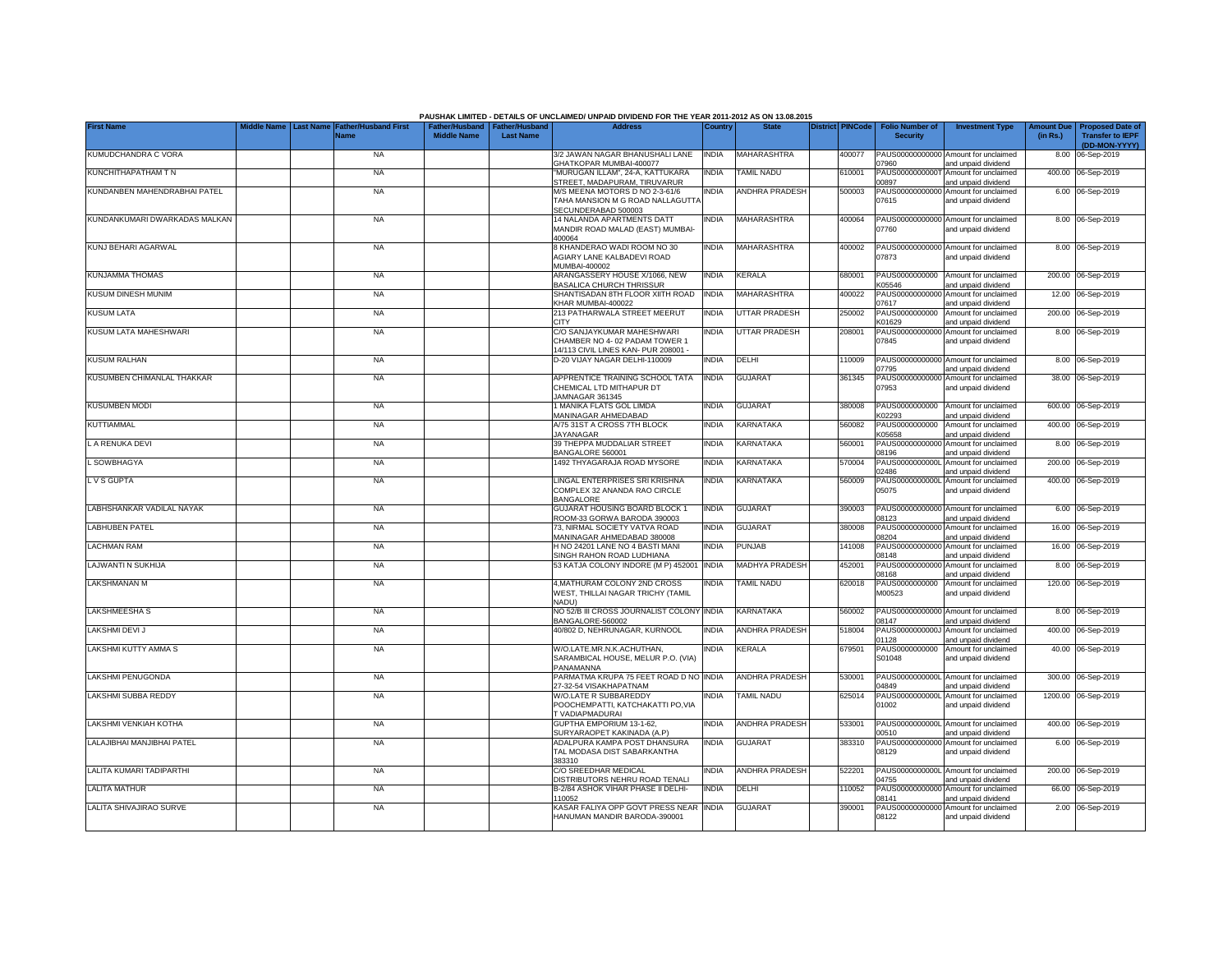|                               |                  |                             |                                                       |                  | PAUSHAK LIMITED - DETAILS OF UNCLAIMED/ UNPAID DIVIDEND FOR THE YEAR 2011-2012 AS ON 13.08.2015 |              |                       |                         |                                           |                                                                                    |                               |                                                    |
|-------------------------------|------------------|-----------------------------|-------------------------------------------------------|------------------|-------------------------------------------------------------------------------------------------|--------------|-----------------------|-------------------------|-------------------------------------------|------------------------------------------------------------------------------------|-------------------------------|----------------------------------------------------|
| <b>First Name</b>             | <b>Last Name</b> | ather/Husband First<br>Name | Father/Husband   Father/Husband<br><b>Middle Name</b> | <b>Last Name</b> | <b>Address</b>                                                                                  | Country      | <b>State</b>          | <b>District PINCode</b> | <b>Folio Number of</b><br><b>Security</b> | <b>Investment Type</b>                                                             | <b>Amount Due</b><br>(in Rs.) | <b>Proposed Date of</b><br><b>Transfer to IEPF</b> |
| KUMUDCHANDRA C VORA           |                  | <b>NA</b>                   |                                                       |                  | 3/2 JAWAN NAGAR BHANUSHALI LANE                                                                 | <b>INDIA</b> | <b>MAHARASHTRA</b>    | 400077                  |                                           | PAUS00000000000 Amount for unclaimed                                               |                               | (DD-MON-YYYY)<br>8.00 06-Sep-2019                  |
| KUNCHITHAPATHAM T N           |                  | <b>NA</b>                   |                                                       |                  | <b>GHATKOPAR MUMBAI-400077</b><br>MURUGAN ILLAM", 24-A, KATTUKARA                               |              | TAMIL NADU            |                         | 07960<br>PAUS0000000000                   | and unpaid dividend                                                                |                               | 400.00 06-Sep-2019                                 |
|                               |                  |                             |                                                       |                  | <b>STREET, MADAPURAM, TIRUVARUR</b>                                                             | INDIA        |                       | 610001                  | 10897                                     | Amount for unclaimed<br>and unpaid dividend                                        |                               |                                                    |
| KUNDANBEN MAHENDRABHAI PATEL  |                  | <b>NA</b>                   |                                                       |                  | M/S MEENA MOTORS D NO 2-3-61/6<br>TAHA MANSION M G ROAD NALLAGUTTA<br>SECUNDERABAD 500003       | NDIA         | ANDHRA PRADESH        | 500003                  | PAUS0000000000<br>07615                   | Amount for unclaimed<br>and unpaid dividend                                        |                               | 6.00 06-Sep-2019                                   |
| KUNDANKUMARI DWARKADAS MALKAN |                  | <b>NA</b>                   |                                                       |                  | 14 NALANDA APARTMENTS DATT<br>MANDIR ROAD MALAD (EAST) MUMBAI-<br>400064                        | INDIA        | MAHARASHTRA           | 400064                  | 07760                                     | PAUS00000000000 Amount for unclaimed<br>and unpaid dividend                        |                               | 8.00 06-Sep-2019                                   |
| KUNJ BEHARI AGARWAL           |                  | <b>NA</b>                   |                                                       |                  | 8 KHANDERAO WADI ROOM NO 30<br>AGIARY LANE KALBADEVI ROAD<br>MUMBAI-400002                      | <b>INDIA</b> | MAHARASHTRA           | 400002                  | 07873                                     | PAUS00000000000 Amount for unclaimed<br>and unpaid dividend                        |                               | 8.00 06-Sep-2019                                   |
| KUNJAMMA THOMAS               |                  | <b>NA</b>                   |                                                       |                  | ARANGASSERY HOUSE X/1066, NEW<br><b>BASALICA CHURCH THRISSUR</b>                                | <b>INDIA</b> | <b>KERALA</b>         | 680001                  | PAUS0000000000<br>K05546                  | Amount for unclaimed<br>and unpaid dividend                                        |                               | 200.00 06-Sep-2019                                 |
| <b>KUSUM DINESH MUNIM</b>     |                  | <b>NA</b>                   |                                                       |                  | SHANTISADAN 8TH FLOOR XIITH ROAD<br>KHAR MUMBAI-400022                                          | <b>INDIA</b> | MAHARASHTRA           | 400022                  | PAUS0000000000<br>07617                   | Amount for unclaimed<br>and unpaid dividend                                        |                               | 12.00 06-Sep-2019                                  |
| <b>KUSUM LATA</b>             |                  | <b>NA</b>                   |                                                       |                  | 213 PATHARWALA STREET MEERUT<br><b>CITY</b>                                                     | india        | <b>UTTAR PRADESH</b>  | 250002                  | PAUS0000000000<br>K01629                  | Amount for unclaimed<br>and unpaid dividend                                        | 200.00                        | 06-Sep-2019                                        |
| KUSUM LATA MAHESHWARI         |                  | <b>NA</b>                   |                                                       |                  | C/O SANJAYKUMAR MAHESHWARI                                                                      | <b>INDIA</b> | <b>UTTAR PRADESH</b>  | 208001                  | PAUS0000000000                            | Amount for unclaimed                                                               |                               | 8.00 06-Sep-2019                                   |
|                               |                  |                             |                                                       |                  | CHAMBER NO 4- 02 PADAM TOWER 1<br>14/113 CIVIL LINES KAN- PUR 208001 -                          |              |                       |                         | 07845                                     | and unpaid dividend                                                                |                               |                                                    |
| <b>KUSUM RALHAN</b>           |                  | <b>NA</b>                   |                                                       |                  | D-20 VIJAY NAGAR DELHI-110009                                                                   | india        | DELHI                 | 110009                  | 07795                                     | PAUS00000000000 Amount for unclaimed<br>and unpaid dividend                        |                               | 8.00 06-Sep-2019                                   |
| KUSUMBEN CHIMANLAL THAKKAR    |                  | <b>NA</b>                   |                                                       |                  | APPRENTICE TRAINING SCHOOL TATA<br>CHEMICAL LTD MITHAPUR DT<br>JAMNAGAR 361345                  | India        | <b>GUJARAT</b>        | 361345                  | PAUS00000000000<br>07953                  | Amount for unclaimed<br>and unpaid dividend                                        |                               | 38.00 06-Sep-2019                                  |
| <b>KUSUMBEN MODI</b>          |                  | <b>NA</b>                   |                                                       |                  | 1 MANIKA FLATS GOL LIMDA<br>MANINAGAR AHMEDABAD                                                 | India        | <b>GUJARAT</b>        | 80008                   | PAUS0000000000<br><02293                  | Amount for unclaimed<br>and unpaid dividend                                        |                               | 600.00 06-Sep-2019                                 |
| <b>KUTTIAMMAL</b>             |                  | <b>NA</b>                   |                                                       |                  | A/75 31ST A CROSS 7TH BLOCK<br><b>JAYANAGAR</b>                                                 | <b>INDIA</b> | KARNATAKA             | 560082                  | PAUS0000000000<br>K05658                  | Amount for unclaimed<br>and unpaid dividend                                        |                               | 400.00 06-Sep-2019                                 |
| L A RENUKA DEVI               |                  | <b>NA</b>                   |                                                       |                  | 39 THEPPA MUDDALIAR STREET<br>BANGALORE 560001                                                  | INDIA        | KARNATAKA             | 560001                  | 08196                                     | PAUS00000000000 Amount for unclaimed<br>and unpaid dividend                        |                               | 8.00 06-Sep-2019                                   |
| L SOWBHAGYA                   |                  | <b>NA</b>                   |                                                       |                  | 1492 THYAGARAJA ROAD MYSORE                                                                     | india        | KARNATAKA             | 570004                  | 02486                                     | PAUS0000000000L Amount for unclaimed                                               |                               | 200.00 06-Sep-2019                                 |
| LVSGUPTA                      |                  | <b>NA</b>                   |                                                       |                  | LINGAL ENTERPRISES SRI KRISHNA<br>COMPLEX 32 ANANDA RAO CIRCLE<br><b>BANGALORE</b>              | <b>INDIA</b> | KARNATAKA             | 560009                  | 05075                                     | and unpaid dividend<br>PAUS0000000000L Amount for unclaimed<br>and unpaid dividend |                               | 400.00 06-Sep-2019                                 |
| LABHSHANKAR VADILAL NAYAK     |                  | <b>NA</b>                   |                                                       |                  | GUJARAT HOUSING BOARD BLOCK 1                                                                   | INDIA        | <b>GUJARAT</b>        | 390003                  |                                           | PAUS00000000000 Amount for unclaimed                                               |                               | 6.00 06-Sep-2019                                   |
| <b>LABHUBEN PATEL</b>         |                  | <b>NA</b>                   |                                                       |                  | ROOM-33 GORWA BARODA 390003<br>73. NIRMAL SOCIETY VATVA ROAD                                    | <b>INDIA</b> | <b>GUJARAT</b>        | 380008                  | 08123<br>PAUS0000000000                   | and unpaid dividend<br>Amount for unclaimed                                        |                               | 16.00 06-Sep-2019                                  |
| <b>LACHMAN RAM</b>            |                  | <b>NA</b>                   |                                                       |                  | MANINAGAR AHMEDABAD 380008<br>H NO 24201 LANE NO 4 BASTI MANI                                   | <b>INDIA</b> | <b>PUNJAB</b>         | 141008                  | 08204<br>PAUS00000000000                  | and unpaid dividend<br>Amount for unclaimed                                        |                               | 16.00 06-Sep-2019                                  |
| LAJWANTI N SUKHIJA            |                  | <b>NA</b>                   |                                                       |                  | SINGH RAHON ROAD LUDHIANA<br>53 KATJA COLONY INDORE (M P) 452001                                | <b>INDIA</b> | <b>MADHYA PRADESH</b> | 452001                  | 08148<br>PAUS0000000000                   | and unpaid dividend<br>Amount for unclaimed                                        |                               | 8.00 06-Sep-2019                                   |
| LAKSHMANAN M                  |                  | <b>NA</b>                   |                                                       |                  | 4, MATHURAM COLONY 2ND CROSS                                                                    | India        | TAMIL NADU            | 620018                  | <b>8168</b><br>PAUS0000000000             | and unpaid dividend<br>Amount for unclaimed                                        |                               | 120.00 06-Sep-2019                                 |
|                               |                  |                             |                                                       |                  | WEST, THILLAI NAGAR TRICHY (TAMIL<br>NADU)                                                      |              |                       |                         | M00523                                    | and unpaid dividend                                                                |                               |                                                    |
| <b>LAKSHMEESHA S</b>          |                  | <b>NA</b>                   |                                                       |                  | NO 52/B III CROSS JOURNALIST COLONY<br>BANGALORE-560002                                         | <b>INDIA</b> | KARNATAKA             | 560002                  | PAUS0000000000<br>08147                   | Amount for unclaimed<br>and unpaid dividend                                        |                               | 8.00 06-Sep-2019                                   |
| LAKSHMI DEVI J                |                  | <b>NA</b>                   |                                                       |                  | 40/802 D, NEHRUNAGAR, KURNOOL                                                                   | <b>INDIA</b> | <b>ANDHRA PRADESH</b> | 518004                  | PAUS0000000000J<br>01128                  | Amount for unclaimed<br>and unpaid dividend                                        |                               | 400.00 06-Sep-2019                                 |
| LAKSHMI KUTTY AMMA S          |                  | <b>NA</b>                   |                                                       |                  | W/O.LATE.MR.N.K.ACHUTHAN,<br>SARAMBICAL HOUSE, MELUR P.O. (VIA)<br>PANAMANNA                    | <b>INDIA</b> | <b>KERALA</b>         | 679501                  | PAUS0000000000<br>S01048                  | Amount for unclaimed<br>and unpaid dividend                                        |                               | 40.00 06-Sep-2019                                  |
| <b>LAKSHMI PENUGONDA</b>      |                  | <b>NA</b>                   |                                                       |                  | PARMATMA KRUPA 75 FEET ROAD D NO INDIA<br>27-32-54 VISAKHAPATNAM                                |              | <b>ANDHRA PRADESH</b> | 530001                  | 04849                                     | PAUS0000000000L Amount for unclaimed<br>and unpaid dividend                        |                               | 300.00 06-Sep-2019                                 |
| LAKSHMI SUBBA REDDY           |                  | <b>NA</b>                   |                                                       |                  | W/O.LATE R SUBBAREDDY<br>POOCHEMPATTI, KATCHAKATTI PO, VIA<br>T VADIAPMADURAI                   | <b>INDIA</b> | <b>TAMIL NADU</b>     | 625014                  | PAUS0000000000L<br>01002                  | Amount for unclaimed<br>and unpaid dividend                                        |                               | 1200.00 06-Sep-2019                                |
| LAKSHMI VENKIAH KOTHA         |                  | <b>NA</b>                   |                                                       |                  | GUPTHA EMPORIUM 13-1-62.<br>SURYARAOPET KAKINADA (A.P)                                          | <b>INDIA</b> | <b>ANDHRA PRADESH</b> | 533001                  | 00510                                     | PAUS0000000000L Amount for unclaimed                                               |                               | 400.00 06-Sep-2019                                 |
| LALAJIBHAI MANJIBHAI PATEL    |                  | <b>NA</b>                   |                                                       |                  | ADALPURA KAMPA POST DHANSURA<br>TAL MODASA DIST SABARKANTHA                                     | INDIA        | <b>GUJARAT</b>        | 383310                  | 08129                                     | and unpaid dividend<br>PAUS00000000000 Amount for unclaimed<br>and unpaid dividend |                               | 6.00 06-Sep-2019                                   |
| LALITA KUMARI TADIPARTHI      |                  | <b>NA</b>                   |                                                       |                  | 383310<br>C/O SREEDHAR MEDICAL                                                                  | INDIA        | <b>ANDHRA PRADESH</b> | 522201                  |                                           | PAUS0000000000L Amount for unclaimed                                               |                               | 200.00 06-Sep-2019                                 |
| <b>LALITA MATHUR</b>          |                  | <b>NA</b>                   |                                                       |                  | DISTRIBUTORS NEHRU ROAD TENALI<br>B-2/84 ASHOK VIHAR PHASE II DELHI-                            | INDIA        | DELHI                 | 10052                   | 14755<br>PAUS0000000000                   | and unpaid dividend<br>Amount for unclaimed                                        |                               | 66.00 06-Sep-2019                                  |
| LALITA SHIVAJIRAO SURVE       |                  | <b>NA</b>                   |                                                       |                  | 110052<br>KASAR FALIYA OPP GOVT PRESS NEAR                                                      | <b>INDIA</b> | <b>GUJARAT</b>        | 390001                  | 08141<br>PAUS0000000000                   | and unpaid dividend<br>Amount for unclaimed                                        |                               | 2.00 06-Sep-2019                                   |
|                               |                  |                             |                                                       |                  | HANUMAN MANDIR BARODA-390001                                                                    |              |                       |                         | 08122                                     | and unpaid dividend                                                                |                               |                                                    |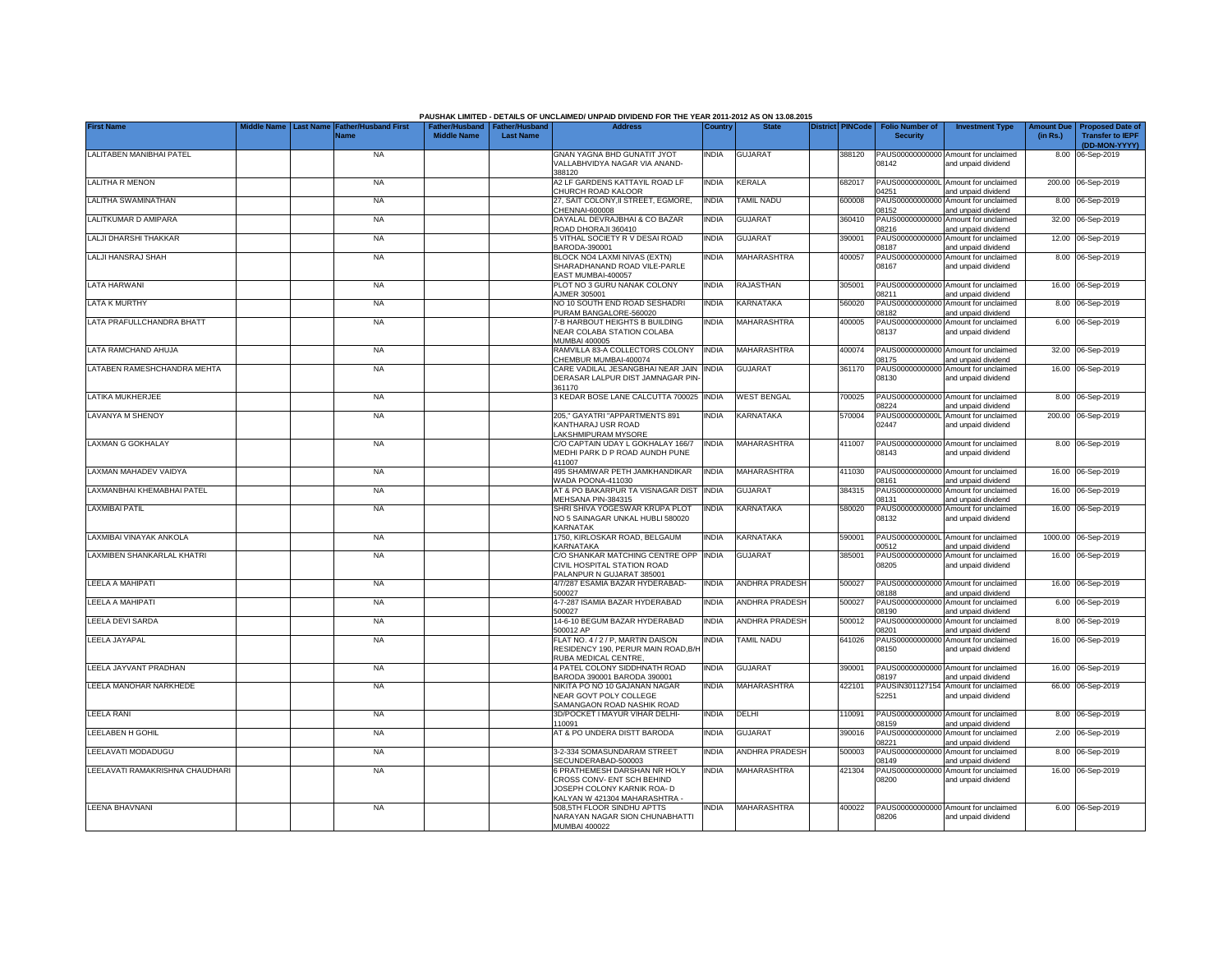|                                 |                  |                              |                                                       |                  | PAUSHAK LIMITED - DETAILS OF UNCLAIMED/ UNPAID DIVIDEND FOR THE YEAR 2011-2012 AS ON 13.08.2015                                   |              |                       |                         |                                           |                                                             |                               |                                                                     |
|---------------------------------|------------------|------------------------------|-------------------------------------------------------|------------------|-----------------------------------------------------------------------------------------------------------------------------------|--------------|-----------------------|-------------------------|-------------------------------------------|-------------------------------------------------------------|-------------------------------|---------------------------------------------------------------------|
| <b>First Name</b>               | <b>Last Name</b> | Father/Husband First<br>Vame | Father/Husband   Father/Husband<br><b>Middle Name</b> | <b>Last Name</b> | <b>Address</b>                                                                                                                    | Country      | <b>State</b>          | <b>District PINCode</b> | <b>Folio Number of</b><br><b>Security</b> | <b>Investment Type</b>                                      | <b>Amount Due</b><br>(in Rs.) | <b>Proposed Date of</b><br><b>Transfer to IEPF</b><br>(DD-MON-YYYY) |
| LALITABEN MANIBHAI PATEL        |                  | <b>NA</b>                    |                                                       |                  | GNAN YAGNA BHD GUNATIT JYOT                                                                                                       | INDIA        | <b>GUJARAT</b>        | 388120                  |                                           | PAUS00000000000 Amount for unclaimed                        |                               | 8.00 06-Sep-2019                                                    |
|                                 |                  |                              |                                                       |                  | VALLABHVIDYA NAGAR VIA ANAND-<br>388120                                                                                           |              |                       |                         | 08142                                     | and unpaid dividend                                         |                               |                                                                     |
| <b>LALITHA R MENON</b>          |                  | <b>NA</b>                    |                                                       |                  | A2 LF GARDENS KATTAYIL ROAD LF<br>CHURCH ROAD KALOOR                                                                              | <b>INDIA</b> | KERALA                | 682017                  | PAUS0000000000<br>14251                   | Amount for unclaimed<br>and unpaid dividend                 |                               | 200.00 06-Sep-2019                                                  |
| LALITHA SWAMINATHAN             |                  | <b>NA</b>                    |                                                       |                  | 27. SAIT COLONY.II STREET. EGMORE.<br>HENNAI-600008                                                                               | <b>INDIA</b> | <b>TAMIL NADU</b>     | 600008                  | PAUS00000000000<br>08152                  | Amount for unclaimed<br>and unpaid dividend                 |                               | 8.00 06-Sep-2019                                                    |
| LALITKUMAR D AMIPARA            |                  | <b>NA</b>                    |                                                       |                  | DAYALAL DEVRAJBHAI & CO BAZAR<br>ROAD DHORAJI 360410                                                                              | INDIA        | <b>GUJARAT</b>        | 360410                  | PAUS00000000000<br>08216                  | Amount for unclaimed<br>and unpaid dividend                 |                               | 32.00 06-Sep-2019                                                   |
| LALJI DHARSHI THAKKAR           |                  | <b>NA</b>                    |                                                       |                  | 5 VITHAL SOCIETY R V DESAI ROAD<br>BARODA-390001                                                                                  | India        | <b>GUJARAT</b>        | 390001                  | PAUS00000000000<br>08187                  | Amount for unclaimed<br>and unpaid dividend                 |                               | 12.00 06-Sep-2019                                                   |
| LALJI HANSRAJ SHAH              |                  | <b>NA</b>                    |                                                       |                  | BLOCK NO4 LAXMI NIVAS (EXTN)<br>SHARADHANAND ROAD VILE-PARLE<br>EAST MUMBAI-400057                                                | <b>NDIA</b>  | MAHARASHTRA           | 400057                  | PAUS00000000000<br>08167                  | Amount for unclaimed<br>and unpaid dividend                 |                               | 8.00 06-Sep-2019                                                    |
| LATA HARWANI                    |                  | <b>NA</b>                    |                                                       |                  | PLOT NO 3 GURU NANAK COLONY<br>AJMER 305001                                                                                       | INDIA        | RAJASTHAN             | 305001                  | PAUS0000000000<br>08211                   | Amount for unclaimed<br>and unpaid dividend                 |                               | 16.00 06-Sep-2019                                                   |
| <b>LATA K MURTHY</b>            |                  | <b>NA</b>                    |                                                       |                  | NO 10 SOUTH END ROAD SESHADRI<br>PURAM BANGALORE-560020                                                                           | <b>NDIA</b>  | KARNATAKA             | 560020                  | PAUS0000000000<br>08182                   | Amount for unclaimed<br>and unpaid dividend                 |                               | 8.00 06-Sep-2019                                                    |
| LATA PRAFULLCHANDRA BHATT       |                  | <b>NA</b>                    |                                                       |                  | 7-B HARBOUT HEIGHTS B BUILDING<br>NEAR COLABA STATION COLABA<br>MUMBAI 400005                                                     | India        | MAHARASHTRA           | 400005                  | PAUS0000000000<br>08137                   | Amount for unclaimed<br>and unpaid dividend                 |                               | 6.00 06-Sep-2019                                                    |
| LATA RAMCHAND AHUJA             |                  | <b>NA</b>                    |                                                       |                  | RAMVILLA 83-A COLLECTORS COLONY<br>CHEMBUR MUMBAI-400074                                                                          | <b>INDIA</b> | MAHARASHTRA           | 400074                  | PAUS00000000000<br>08175                  | Amount for unclaimed<br>and unpaid dividend                 |                               | 32.00 06-Sep-2019                                                   |
| LATABEN RAMESHCHANDRA MEHTA     |                  | <b>NA</b>                    |                                                       |                  | CARE VADILAL JESANGBHAI NEAR JAIN<br>DERASAR LALPUR DIST JAMNAGAR PIN-<br>361170                                                  | <b>INDIA</b> | <b>GUJARAT</b>        | 361170                  | PAUS0000000000<br>08130                   | Amount for unclaimed<br>and unpaid dividend                 |                               | 16.00 06-Sep-2019                                                   |
| LATIKA MUKHERJEE                |                  | <b>NA</b>                    |                                                       |                  | 3 KEDAR BOSE LANE CALCUTTA 700025                                                                                                 | <b>INDIA</b> | <b>WEST BENGAL</b>    | '00025                  | PAUS00000000000<br>08224                  | Amount for unclaimed<br>and unpaid dividend                 |                               | 8.00 06-Sep-2019                                                    |
| <b>LAVANYA M SHENOY</b>         |                  | <b>NA</b>                    |                                                       |                  | 205," GAYATRI "APPARTMENTS 891<br>KANTHARAJ USR ROAD<br>LAKSHMIPURAM MYSORE                                                       | <b>NDIA</b>  | KARNATAKA             | 570004                  | 02447                                     | PAUS0000000000L Amount for unclaimed<br>and unpaid dividend |                               | 200.00 06-Sep-2019                                                  |
| <b>LAXMAN G GOKHALAY</b>        |                  | <b>NA</b>                    |                                                       |                  | C/O CAPTAIN UDAY L GOKHALAY 166/7<br>MEDHI PARK D P ROAD AUNDH PUNE<br>411007                                                     | <b>INDIA</b> | MAHARASHTRA           | 411007                  | 08143                                     | PAUS00000000000 Amount for unclaimed<br>and unpaid dividend |                               | 8.00 06-Sep-2019                                                    |
| LAXMAN MAHADEV VAIDYA           |                  | <b>NA</b>                    |                                                       |                  | 495 SHAMIWAR PETH JAMKHANDIKAR<br>WADA POONA-411030                                                                               | <b>INDIA</b> | MAHARASHTRA           | 411030                  | 08161                                     | PAUS00000000000 Amount for unclaimed<br>and unpaid dividend |                               | 16.00 06-Sep-2019                                                   |
| LAXMANBHAI KHEMABHAI PATEL      |                  | <b>NA</b>                    |                                                       |                  | AT & PO BAKARPUR TA VISNAGAR DIST<br>MEHSANA PIN-384315                                                                           | <b>INDIA</b> | <b>GUJARAT</b>        | 384315                  | PAUS00000000000<br>08131                  | Amount for unclaimed<br>and unpaid dividend                 |                               | 16.00 06-Sep-2019                                                   |
| <b>LAXMIBAI PATIL</b>           |                  | <b>NA</b>                    |                                                       |                  | SHRI SHIVA YOGESWAR KRUPA PLOT<br>NO 5 SAINAGAR UNKAL HUBLI 580020<br><b>KARNATAK</b>                                             | <b>NDIA</b>  | KARNATAKA             | 580020                  | PAUS00000000000<br>08132                  | Amount for unclaimed<br>and unpaid dividend                 |                               | 16.00 06-Sep-2019                                                   |
| LAXMIBAI VINAYAK ANKOLA         |                  | <b>NA</b>                    |                                                       |                  | 1750, KIRLOSKAR ROAD, BELGAUM<br>KARNATAKA                                                                                        | <b>INDIA</b> | KARNATAKA             | 590001                  | 00512                                     | PAUS0000000000L Amount for unclaimed<br>and unpaid dividend |                               | 1000.00 06-Sep-2019                                                 |
| LAXMIBEN SHANKARLAL KHATRI      |                  | <b>NA</b>                    |                                                       |                  | C/O SHANKAR MATCHING CENTRE OPP<br>CIVIL HOSPITAL STATION ROAD<br>PALANPUR N GUJARAT 385001                                       | <b>INDIA</b> | <b>GUJARAT</b>        | 385001                  | PAUS00000000000<br>08205                  | Amount for unclaimed<br>and unpaid dividend                 |                               | 16.00 06-Sep-2019                                                   |
| LEELA A MAHIPATI                |                  | <b>NA</b>                    |                                                       |                  | 4/7/287 ESAMIA BAZAR HYDERABAD-<br>500027                                                                                         | <b>INDIA</b> | <b>ANDHRA PRADESH</b> | 500027                  | PAUS00000000000<br>08188                  | Amount for unclaimed<br>and unpaid dividend                 |                               | 16.00 06-Sep-2019                                                   |
| <b>LEELA A MAHIPATI</b>         |                  | <b>NA</b>                    |                                                       |                  | 4-7-287 ISAMIA BAZAR HYDERABAD<br>500027                                                                                          | <b>INDIA</b> | <b>ANDHRA PRADESH</b> | 500027                  | PAUS00000000000<br>08190                  | Amount for unclaimed<br>and unpaid dividend                 |                               | 6.00 06-Sep-2019                                                    |
| LEELA DEVI SARDA                |                  | <b>NA</b>                    |                                                       |                  | 14-6-10 BEGUM BAZAR HYDERABAD<br>500012 AP                                                                                        | <b>INDIA</b> | <b>ANDHRA PRADESH</b> | 500012                  | PAUS00000000000<br>08201                  | Amount for unclaimed<br>and unpaid dividend                 |                               | 8.00 06-Sep-2019                                                    |
| LEELA JAYAPAL                   |                  | <b>NA</b>                    |                                                       |                  | FLAT NO. 4 / 2 / P, MARTIN DAISON<br>RESIDENCY 190, PERUR MAIN ROAD, B/H<br>RUBA MEDICAL CENTRE,                                  | INDIA        | <b>TAMIL NADU</b>     | 641026                  | PAUS00000000000<br>08150                  | Amount for unclaimed<br>and unpaid dividend                 |                               | 16.00 06-Sep-2019                                                   |
| LEELA JAYVANT PRADHAN           |                  | <b>NA</b>                    |                                                       |                  | 4 PATEL COLONY SIDDHNATH ROAD<br>BARODA 390001 BARODA 390001                                                                      | <b>INDIA</b> | <b>GUJARAT</b>        | 390001                  | PAUS00000000000<br>08197                  | Amount for unclaimed<br>and unpaid dividend                 |                               | 16.00 06-Sep-2019                                                   |
| LEELA MANOHAR NARKHEDE          |                  | <b>NA</b>                    |                                                       |                  | NIKITA PO NO 10 GAJANAN NAGAR<br>NEAR GOVT POLY COLLEGE<br>SAMANGAON ROAD NASHIK ROAD                                             | India        | MAHARASHTRA           | 422101                  | PAUSIN301127154<br>52251                  | Amount for unclaimed<br>and unpaid dividend                 |                               | 66.00 06-Sep-2019                                                   |
| <b>LEELA RANI</b>               |                  | <b>NA</b>                    |                                                       |                  | 3D/POCKET I MAYUR VIHAR DELHI-<br>110091                                                                                          | <b>INDIA</b> | DELHI                 | 10091                   | PAUS0000000000<br>08159                   | Amount for unclaimed<br>and unpaid dividend                 |                               | 8.00 06-Sep-2019                                                    |
| LEELABEN H GOHIL                |                  | <b>NA</b>                    |                                                       |                  | AT & PO UNDERA DISTT BARODA                                                                                                       | <b>NDIA</b>  | <b>GUJARAT</b>        | 390016                  | PAUS0000000000<br>08221                   | Amount for unclaimed<br>and unpaid dividend                 |                               | 2.00 06-Sep-2019                                                    |
| LEELAVATI MODADUGU              |                  | <b>NA</b>                    |                                                       |                  | 3-2-334 SOMASUNDARAM STREET<br>SECUNDERABAD-500003                                                                                | <b>NDIA</b>  | <b>ANDHRA PRADESH</b> | 500003                  | PAUS00000000000<br>08149                  | Amount for unclaimed<br>and unpaid dividend                 |                               | 8.00 06-Sep-2019                                                    |
| LEELAVATI RAMAKRISHNA CHAUDHARI |                  | <b>NA</b>                    |                                                       |                  | 6 PRATHEMESH DARSHAN NR HOLY<br>CROSS CONV- ENT SCH BEHIND<br>JOSEPH COLONY KARNIK ROA- D<br><b>KALYAN W 421304 MAHARASHTRA -</b> | <b>INDIA</b> | <b>MAHARASHTRA</b>    | 421304                  | PAUS00000000000<br>08200                  | Amount for unclaimed<br>and unpaid dividend                 |                               | 16.00 06-Sep-2019                                                   |
| LEENA BHAVNANI                  |                  | <b>NA</b>                    |                                                       |                  | 508,5TH FLOOR SINDHU APTTS<br>NARAYAN NAGAR SION CHUNABHATTI<br><b>MUMBAI 400022</b>                                              | <b>NDIA</b>  | <b>MAHARASHTRA</b>    | 400022                  | 08206                                     | PAUS00000000000 Amount for unclaimed<br>and unpaid dividend |                               | 6.00 06-Sep-2019                                                    |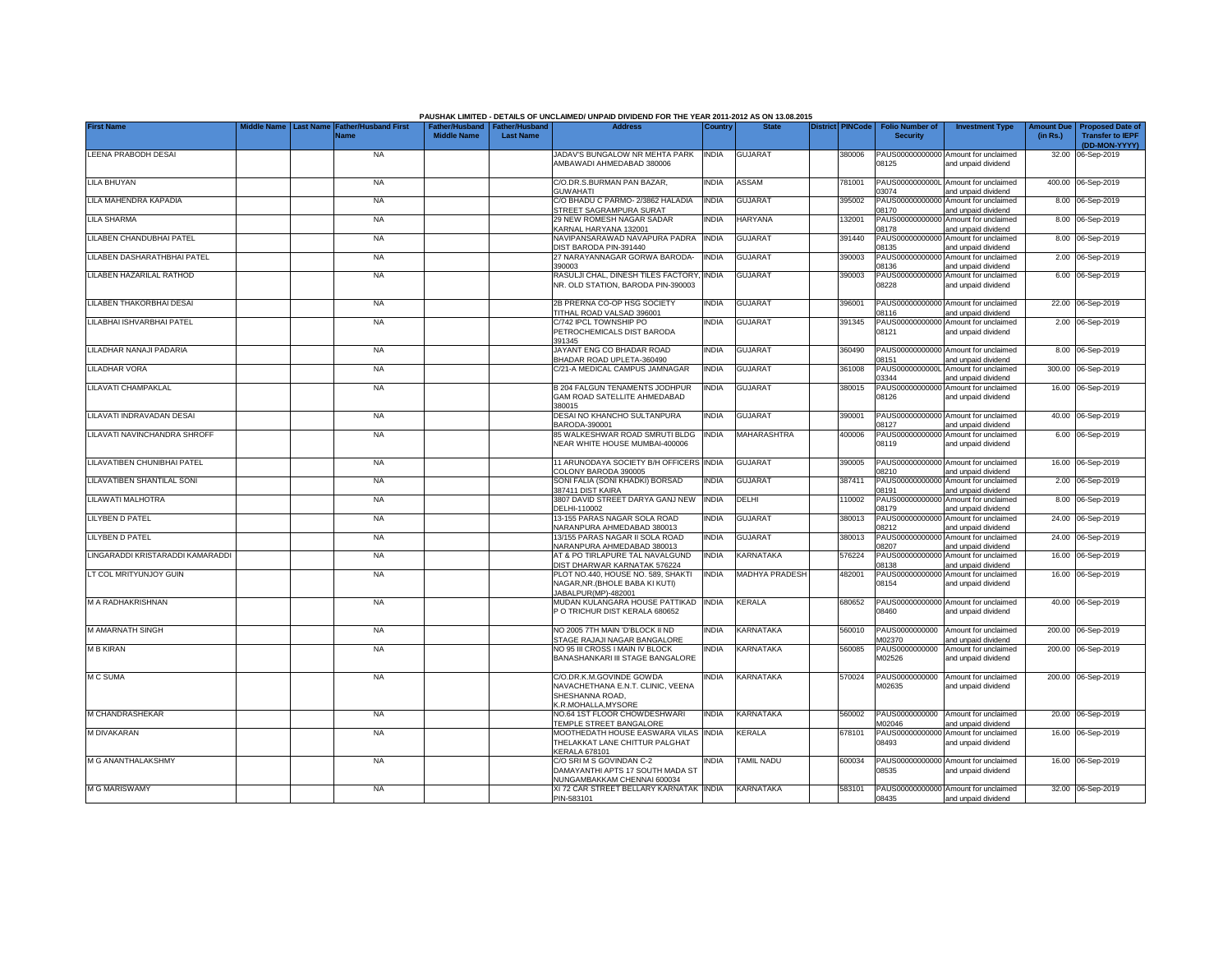|                                   |                                                                        |                    |                                                     | PAUSHAK LIMITED - DETAILS OF UNCLAIMED/ UNPAID DIVIDEND FOR THE YEAR 2011-2012 AS ON 13.08.2015        |              |                    |                         |                                           |                                                             |          |                                                          |
|-----------------------------------|------------------------------------------------------------------------|--------------------|-----------------------------------------------------|--------------------------------------------------------------------------------------------------------|--------------|--------------------|-------------------------|-------------------------------------------|-------------------------------------------------------------|----------|----------------------------------------------------------|
| <b>First Name</b>                 | liddle Name<br><b>Last Name</b><br><b>Father/Husband First</b><br>Name | <b>Middle Name</b> | Father/Husband   Father/Husband<br><b>Last Name</b> | <b>Address</b>                                                                                         | Country      | <b>State</b>       | <b>District PINCode</b> | <b>Folio Number of</b><br><b>Security</b> | <b>Investment Type</b>                                      | (in Rs.) | Amount Due   Proposed Date of<br><b>Transfer to IEPF</b> |
| LEENA PRABODH DESAI               | <b>NA</b>                                                              |                    |                                                     | JADAV'S BUNGALOW NR MEHTA PARK<br>AMBAWADI AHMEDABAD 380006                                            | <b>INDIA</b> | <b>GUJARAT</b>     | 380006                  | 08125                                     | PAUS00000000000 Amount for unclaimed<br>and unpaid dividend |          | (DD-MON-YYYY)<br>32.00 06-Sep-2019                       |
| LILA BHUYAN                       | <b>NA</b>                                                              |                    |                                                     | C/O.DR.S.BURMAN PAN BAZAR,                                                                             | <b>INDIA</b> | ASSAM              | 781001                  |                                           | PAUS0000000000L Amount for unclaimed                        |          | 400.00 06-Sep-2019                                       |
| LILA MAHENDRA KAPADIA             | <b>NA</b>                                                              |                    |                                                     | <b>GUWAHATI</b><br>C/O BHADU C PARMO- 2/3862 HALADIA                                                   | <b>INDIA</b> | <b>GUJARAT</b>     | 395002                  | 03074                                     | and unpaid dividend<br>PAUS00000000000 Amount for unclaimed |          | 8.00 06-Sep-2019                                         |
| ILA SHARMA                        | <b>NA</b>                                                              |                    |                                                     | STREET SAGRAMPURA SURAT<br>29 NEW ROMESH NAGAR SADAR                                                   | INDIA        | HARYANA            | 132001                  | 08170                                     | and unpaid dividend<br>PAUS00000000000 Amount for unclaimed |          | 8.00 06-Sep-2019                                         |
| ILABEN CHANDUBHAI PATEL           | <b>NA</b>                                                              |                    |                                                     | KARNAL HARYANA 132001<br>NAVIPANSARAWAD NAVAPURA PADRA                                                 | <b>INDIA</b> | <b>GUJARAT</b>     | 391440                  | 08178                                     | and unpaid dividend<br>PAUS00000000000 Amount for unclaimed |          | 8.00 06-Sep-2019                                         |
| <b>ILABEN DASHARATHBHAI PATEL</b> | <b>NA</b>                                                              |                    |                                                     | DIST BARODA PIN-391440<br>27 NARAYANNAGAR GORWA BARODA-                                                | <b>INDIA</b> | <b>GUJARAT</b>     | 390003                  | 08135<br>PAUS00000000000                  | and unpaid dividend<br>Amount for unclaimed                 |          | 2.00 06-Sep-2019                                         |
| LILABEN HAZARILAL RATHOD          | <b>NA</b>                                                              |                    |                                                     | 390003<br>RASULJI CHAL, DINESH TILES FACTORY                                                           | <b>INDIA</b> | <b>GUJARAT</b>     | 390003                  | 08136                                     | and unpaid dividend<br>PAUS00000000000 Amount for unclaimed |          | 6.00 06-Sep-2019                                         |
|                                   |                                                                        |                    |                                                     | NR. OLD STATION, BARODA PIN-390003                                                                     |              |                    |                         | 08228                                     | and unpaid dividend                                         |          |                                                          |
| <b>ILABEN THAKORBHAI DESAI</b>    | <b>NA</b>                                                              |                    |                                                     | 2B PRERNA CO-OP HSG SOCIETY<br>TITHAL ROAD VALSAD 396001                                               | <b>INDIA</b> | <b>GUJARA1</b>     | 396001                  | PAUS00000000000<br>08116                  | Amount for unclaimed<br>and unpaid dividend                 |          | 22.00 06-Sep-2019                                        |
| LILABHAI ISHVARBHAI PATEL         | <b>NA</b>                                                              |                    |                                                     | C/742 IPCL TOWNSHIP PO<br>PETROCHEMICALS DIST BARODA<br>391345                                         | <b>INDIA</b> | <b>GUJARA1</b>     | 391345                  | PAUS0000000000<br>08121                   | Amount for unclaimed<br>and unpaid dividend                 |          | 2.00 06-Sep-2019                                         |
| LILADHAR NANAJI PADARIA           | <b>NA</b>                                                              |                    |                                                     | JAYANT ENG CO BHADAR ROAD<br>BHADAR ROAD UPLETA-360490                                                 | <b>INDIA</b> | <b>GUJARAT</b>     | 360490                  | 08151                                     | PAUS00000000000 Amount for unclaimed<br>and unpaid dividend |          | 8.00 06-Sep-2019                                         |
| <b>ILADHAR VORA</b>               | <b>NA</b>                                                              |                    |                                                     | C/21-A MEDICAL CAMPUS JAMNAGAR                                                                         | <b>INDIA</b> | <b>GUJARAT</b>     | 361008                  | PAUS0000000000L<br>03344                  | Amount for unclaimed<br>and unpaid dividend                 |          | 300.00 06-Sep-2019                                       |
| <b>ILAVATI CHAMPAKLAL</b>         | <b>NA</b>                                                              |                    |                                                     | B 204 FALGUN TENAMENTS JODHPUR<br>GAM ROAD SATELLITE AHMEDABAD<br>380015                               | INDIA        | <b>GUJARAT</b>     | 380015                  | PAUS00000000000<br>08126                  | Amount for unclaimed<br>and unpaid dividend                 |          | 16.00 06-Sep-2019                                        |
| LILAVATI INDRAVADAN DESAI         | <b>NA</b>                                                              |                    |                                                     | DESAI NO KHANCHO SULTANPURA<br>BARODA-390001                                                           | <b>INDIA</b> | <b>GUJARAT</b>     | 390001                  | PAUS0000000000<br>08127                   | Amount for unclaimed<br>and unpaid dividend                 |          | 40.00 06-Sep-2019                                        |
| LILAVATI NAVINCHANDRA SHROFF      | <b>NA</b>                                                              |                    |                                                     | 85 WALKESHWAR ROAD SMRUTI BLDG<br>NEAR WHITE HOUSE MUMBAI-400006                                       | <b>INDIA</b> | <b>MAHARASHTRA</b> | 400006                  | PAUS0000000000<br>08119                   | Amount for unclaimed<br>and unpaid dividend                 |          | 6.00 06-Sep-2019                                         |
| LILAVATIBEN CHUNIBHAI PATEL       | <b>NA</b>                                                              |                    |                                                     | 11 ARUNODAYA SOCIETY B/H OFFICERS INDIA<br>COLONY BARODA 390005                                        |              | <b>GUJARAT</b>     | 390005                  | 08210                                     | PAUS00000000000 Amount for unclaimed<br>and unpaid dividend |          | 16.00 06-Sep-2019                                        |
| LILAVATIBEN SHANTILAL SONI        | <b>NA</b>                                                              |                    |                                                     | SONI FALIA (SONI KHADKI) BORSAD<br>387411 DIST KAIRA                                                   | <b>INDIA</b> | <b>GUJARAT</b>     | 387411                  | PAUS00000000000<br>08191                  | Amount for unclaimed<br>and unpaid dividend                 |          | 2.00 06-Sep-2019                                         |
| LILAWATI MALHOTRA                 | <b>NA</b>                                                              |                    |                                                     | 3807 DAVID STREET DARYA GANJ NEW<br>DELHI-110002                                                       | <b>INDIA</b> | DELHI              | 110002                  | PAUS00000000000<br>08179                  | Amount for unclaimed<br>and unpaid dividend                 |          | 8.00 06-Sep-2019                                         |
| <b>LILYBEN D PATEL</b>            | <b>NA</b>                                                              |                    |                                                     | 13-155 PARAS NAGAR SOLA ROAD<br>NARANPURA AHMEDABAD 380013                                             | INDIA        | <b>GUJARAT</b>     | 380013                  | PAUS0000000000<br>08212                   | Amount for unclaimed<br>and unpaid dividend                 |          | 24.00 06-Sep-2019                                        |
| <b>LILYBEN D PATEL</b>            | <b>NA</b>                                                              |                    |                                                     | 13/155 PARAS NAGAR II SOLA ROAD<br>NARANPURA AHMEDABAD 380013                                          | <b>INDIA</b> | <b>GUJARAT</b>     | 380013                  | PAUS0000000000<br>08207                   | Amount for unclaimed<br>and unpaid dividend                 |          | 24.00 06-Sep-2019                                        |
| LINGARADDI KRISTARADDI KAMARADDI  | <b>NA</b>                                                              |                    |                                                     | AT & PO TIRLAPURE TAL NAVALGUND<br>DIST DHARWAR KARNATAK 576224                                        | <b>INDIA</b> | KARNATAKA          | 576224                  | PAUS0000000000<br>08138                   | Amount for unclaimed<br>and unpaid dividend                 |          | 16.00 06-Sep-2019                                        |
| LT COL MRITYUNJOY GUIN            | <b>NA</b>                                                              |                    |                                                     | PLOT NO.440, HOUSE NO. 589, SHAKTI<br>NAGAR.NR.(BHOLE BABA KI KUTI)<br>JABALPUR(MP)-482001             | <b>INDIA</b> | MADHYA PRADESH     | 482001                  | PAUS00000000000<br>08154                  | Amount for unclaimed<br>and unpaid dividend                 |          | 16.00 06-Sep-2019                                        |
| <b>M A RADHAKRISHNAN</b>          | <b>NA</b>                                                              |                    |                                                     | MUDAN KULANGARA HOUSE PATTIKAD<br>P O TRICHUR DIST KERALA 680652                                       | <b>INDIA</b> | KERALA             | 680652                  | 08460                                     | PAUS00000000000 Amount for unclaimed<br>and unpaid dividend |          | 40.00 06-Sep-2019                                        |
| M AMARNATH SINGH                  | <b>NA</b>                                                              |                    |                                                     | NO 2005 7TH MAIN 'D'BLOCK II ND<br>STAGE RAJAJI NAGAR BANGALORE                                        | <b>INDIA</b> | KARNATAKA          | 560010                  | PAUS0000000000<br>M02370                  | Amount for unclaimed<br>and unpaid dividend                 |          | 200.00 06-Sep-2019                                       |
| <b>M B KIRAN</b>                  | <b>NA</b>                                                              |                    |                                                     | NO 95 III CROSS I MAIN IV BLOCK<br><b>BANASHANKARI III STAGE BANGALORE</b>                             | INDIA        | KARNATAKA          | 560085                  | PAUS0000000000<br>M02526                  | Amount for unclaimed<br>and unpaid dividend                 |          | 200.00 06-Sep-2019                                       |
| <b>MC SUMA</b>                    | <b>NA</b>                                                              |                    |                                                     | C/O.DR.K.M.GOVINDE GOWDA<br>NAVACHETHANA E.N.T. CLINIC, VEENA<br>SHESHANNA ROAD.<br>K.R.MOHALLA.MYSORE | <b>INDIA</b> | KARNATAKA          | 570024                  | PAUS0000000000<br>M02635                  | Amount for unclaimed<br>and unpaid dividend                 |          | 200.00 06-Sep-2019                                       |
| M CHANDRASHEKAR                   | <b>NA</b>                                                              |                    |                                                     | NO.64 1ST FLOOR CHOWDESHWARI<br>TEMPLE STREET BANGALORE                                                | <b>INDIA</b> | KARNATAKA          | 560002                  | PAUS0000000000<br>M02046                  | Amount for unclaimed<br>and unpaid dividend                 |          | 20.00 06-Sep-2019                                        |
| M DIVAKARAN                       | <b>NA</b>                                                              |                    |                                                     | MOOTHEDATH HOUSE EASWARA VILAS INDIA<br>THELAKKAT LANE CHITTUR PALGHAT<br><b>KERALA 678101</b>         |              | KERALA             | 678101                  | 08493                                     | PAUS00000000000 Amount for unclaimed<br>and unpaid dividend |          | 16.00 06-Sep-2019                                        |
| M G ANANTHALAKSHMY                | <b>NA</b>                                                              |                    |                                                     | C/O SRI M S GOVINDAN C-2<br>DAMAYANTHI APTS 17 SOUTH MADA ST                                           | <b>INDIA</b> | <b>TAMIL NADU</b>  | 600034                  | 08535                                     | PAUS00000000000 Amount for unclaimed<br>and unpaid dividend |          | 16.00 06-Sep-2019                                        |
| <b>M G MARISWAMY</b>              | <b>NA</b>                                                              |                    |                                                     | NUNGAMBAKKAM CHENNAI 600034<br>XI 72 CAR STREET BELLARY KARNATAK INDIA<br>PIN-583101                   |              | KARNATAKA          | 583101                  | 08435                                     | PAUS00000000000 Amount for unclaimed<br>and unpaid dividend |          | 32.00 06-Sep-2019                                        |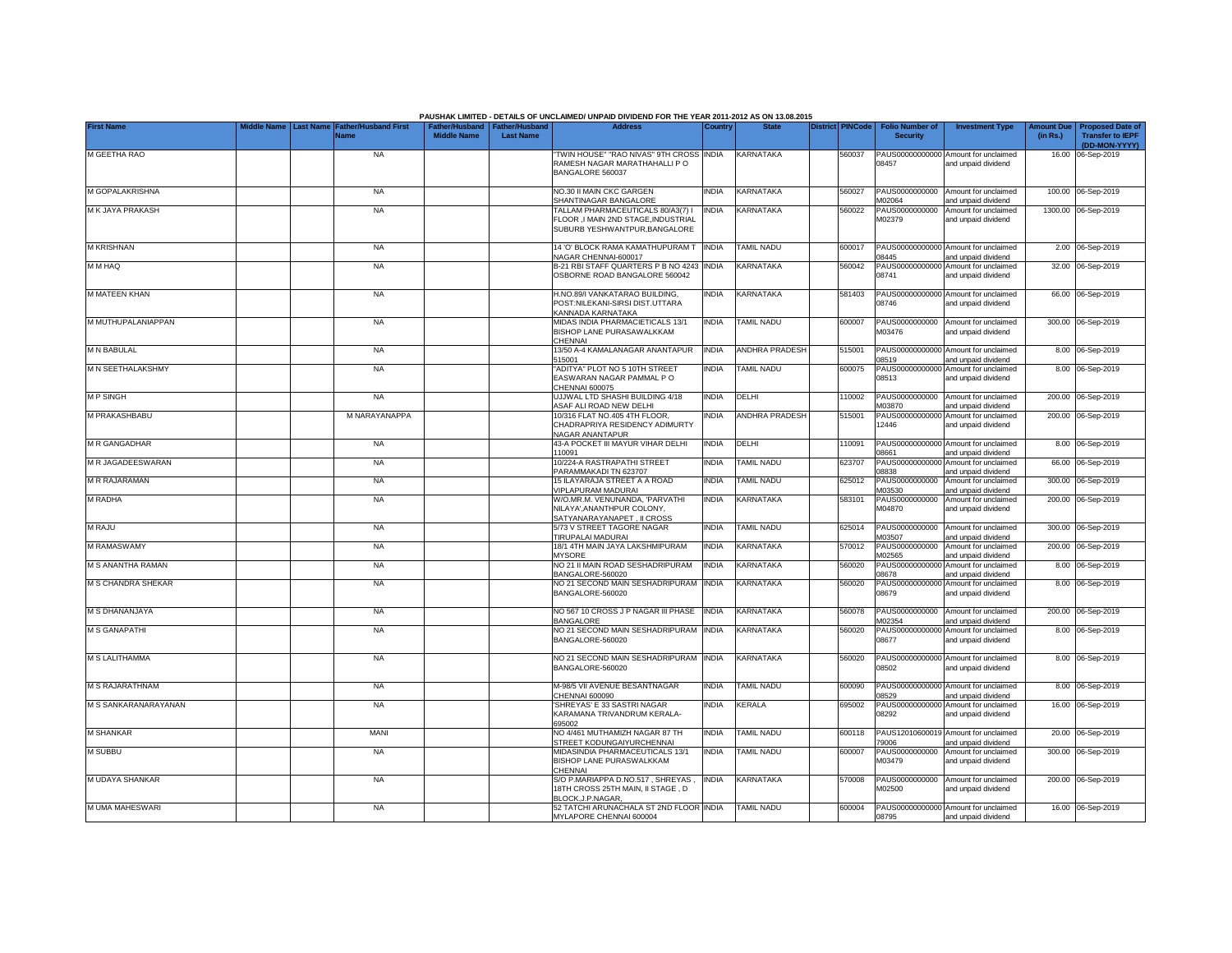|                           |                  |                              |                                                       |                  | PAUSHAK LIMITED - DETAILS OF UNCLAIMED/ UNPAID DIVIDEND FOR THE YEAR 2011-2012 AS ON 13.08.2015          |              |                       |                         |                                           |                                                                    |                               |                                                                     |
|---------------------------|------------------|------------------------------|-------------------------------------------------------|------------------|----------------------------------------------------------------------------------------------------------|--------------|-----------------------|-------------------------|-------------------------------------------|--------------------------------------------------------------------|-------------------------------|---------------------------------------------------------------------|
| <b>First Name</b>         | <b>Last Name</b> | Father/Husband First<br>Name | Father/Husband   Father/Husband<br><b>Middle Name</b> | <b>Last Name</b> | <b>Address</b>                                                                                           | Country      | <b>State</b>          | <b>District PINCode</b> | <b>Folio Number of</b><br><b>Security</b> | <b>Investment Type</b>                                             | <b>Amount Due</b><br>(in Rs.) | <b>Proposed Date of</b><br><b>Transfer to IEPF</b><br>(DD-MON-YYYY) |
| M GEETHA RAO              |                  | <b>NA</b>                    |                                                       |                  | TWIN HOUSE" "RAO NIVAS" 9TH CROSS<br>RAMESH NAGAR MARATHAHALLI PO<br>BANGALORE 560037                    | <b>INDIA</b> | <b>KARNATAKA</b>      | 560037                  | PAUS00000000000<br>08457                  | Amount for unclaimed<br>and unpaid dividend                        |                               | 16.00 06-Sep-2019                                                   |
| M GOPALAKRISHNA           |                  | <b>NA</b>                    |                                                       |                  | NO.30 II MAIN CKC GARGEN<br>SHANTINAGAR BANGALORE                                                        | <b>INDIA</b> | KARNATAKA             | 560027                  | PAUS0000000000<br>M02064                  | Amount for unclaimed                                               |                               | 100.00 06-Sep-2019                                                  |
| M K JAYA PRAKASH          |                  | <b>NA</b>                    |                                                       |                  | TALLAM PHARMACEUTICALS 80/A3(7) I<br>FLOOR ,I MAIN 2ND STAGE, INDUSTRIAL<br>SUBURB YESHWANTPUR.BANGALORE | INDIA        | KARNATAKA             | 560022                  | PAUS0000000000<br>M02379                  | and unpaid dividend<br>Amount for unclaimed<br>and unpaid dividend |                               | 1300.00 06-Sep-2019                                                 |
| <b>M KRISHNAN</b>         |                  | <b>NA</b>                    |                                                       |                  | 14 'O' BLOCK RAMA KAMATHUPURAM T<br>VAGAR CHENNAI-600017                                                 | <b>INDIA</b> | <b>TAMIL NADU</b>     | 600017                  | PAUS00000000000<br>08445                  | Amount for unclaimed<br>and unpaid dividend                        |                               | 2.00 06-Sep-2019                                                    |
| <b>OAH M M</b>            |                  | <b>NA</b>                    |                                                       |                  | B-21 RBI STAFF QUARTERS P B NO 4243<br>OSBORNE ROAD BANGALORE 560042                                     | <b>INDIA</b> | KARNATAKA             | 560042                  | PAUS00000000000<br>08741                  | Amount for unclaimed<br>and unpaid dividend                        |                               | 32.00 06-Sep-2019                                                   |
| M MATEEN KHAN             |                  | <b>NA</b>                    |                                                       |                  | H.NO.89/I VANKATARAO BUILDING.<br>POST:NILEKANI-SIRSI DIST.UTTARA<br>KANNADA KARNATAKA                   | ndia         | <b>KARNATAKA</b>      | 581403                  | PAUS00000000000<br>08746                  | Amount for unclaimed<br>and unpaid dividend                        |                               | 66.00 06-Sep-2019                                                   |
| M MUTHUPALANIAPPAN        |                  | <b>NA</b>                    |                                                       |                  | MIDAS INDIA PHARMACIETICALS 13/1<br>BISHOP LANE PURASAWALKKAM<br>CHENNAI                                 | <b>INDIA</b> | <b>TAMIL NADU</b>     | 600007                  | M03476                                    | PAUS0000000000 Amount for unclaimed<br>and unpaid dividend         |                               | 300.00 06-Sep-2019                                                  |
| <b>M N BABULAL</b>        |                  | <b>NA</b>                    |                                                       |                  | 13/50 A-4 KAMALANAGAR ANANTAPUR<br>515001                                                                | <b>INDIA</b> | <b>ANDHRA PRADESH</b> | 515001                  | PAUS00000000000<br>08519                  | Amount for unclaimed<br>and unpaid dividend                        |                               | 8.00 06-Sep-2019                                                    |
| M N SEETHALAKSHMY         |                  | <b>NA</b>                    |                                                       |                  | ADITYA" PLOT NO 5 10TH STREET<br>EASWARAN NAGAR PAMMAL PO<br>CHENNAI 600075                              | <b>NDIA</b>  | <b>TAMIL NADU</b>     | 600075                  | PAUS00000000000<br>08513                  | Amount for unclaimed<br>and unpaid dividend                        |                               | 8.00 06-Sep-2019                                                    |
| <b>MPSINGH</b>            |                  | <b>NA</b>                    |                                                       |                  | UJJWAL LTD SHASHI BUILDING 4/18<br>ASAF ALI ROAD NEW DELHI                                               | <b>INDIA</b> | DELHI                 | 10002                   | PAUS0000000000<br>M03870                  | Amount for unclaimed<br>and unpaid dividend                        |                               | 200.00 06-Sep-2019                                                  |
| M PRAKASHBABU             |                  | M NARAYANAPPA                |                                                       |                  | 10/316 FLAT NO.405 4TH FLOOR,<br>CHADRAPRIYA RESIDENCY ADIMURTY<br>NAGAR ANANTAPUR                       | <b>NDIA</b>  | <b>ANDHRA PRADESH</b> | 515001                  | PAUS0000000000<br>12446                   | Amount for unclaimed<br>and unpaid dividend                        |                               | 200.00 06-Sep-2019                                                  |
| <b>M R GANGADHAR</b>      |                  | <b>NA</b>                    |                                                       |                  | 43-A POCKET III MAYUR VIHAR DELHI<br>110091                                                              | <b>INDIA</b> | DELHI                 | 110091                  | PAUS0000000000<br>08661                   | Amount for unclaimed<br>and unpaid dividend                        |                               | 8.00 06-Sep-2019                                                    |
| <b>M R JAGADEESWARAN</b>  |                  | <b>NA</b>                    |                                                       |                  | 10/224-A RASTRAPATHI STREET<br>PARAMMAKADI TN 623707                                                     | <b>NDIA</b>  | <b>TAMIL NADU</b>     | 323707                  | PAUS0000000000<br>08838                   | Amount for unclaimed<br>and unpaid dividend                        |                               | 66.00 06-Sep-2019                                                   |
| <b>M R RAJARAMAN</b>      |                  | <b>NA</b>                    |                                                       |                  | 15 ILAYARAJA STREET A A ROAD<br>VIPLAPURAM MADURAI                                                       | <b>NDIA</b>  | <b>TAMIL NADU</b>     | 325012                  | PAUS0000000000<br>M03530                  | Amount for unclaimed<br>and unpaid dividend                        |                               | 300.00 06-Sep-2019                                                  |
| <b>M RADHA</b>            |                  | <b>NA</b>                    |                                                       |                  | W/O.MR.M. VENUNANDA, 'PARVATHI<br>NILAYA', ANANTHPUR COLONY,<br>SATYANARAYANAPET, II CROSS               | <b>NDIA</b>  | KARNATAKA             | 583101                  | PAUS0000000000<br>M04870                  | Amount for unclaimed<br>and unpaid dividend                        |                               | 200.00 06-Sep-2019                                                  |
| <b>M RAJU</b>             |                  | <b>NA</b>                    |                                                       |                  | 5/73 V STREET TAGORE NAGAR<br>TIRUPALAI MADURAI                                                          | <b>INDIA</b> | <b>TAMIL NADU</b>     | 625014                  | PAUS0000000000<br>M03507                  | Amount for unclaimed<br>and unpaid dividend                        |                               | 300.00 06-Sep-2019                                                  |
| <b>M RAMASWAMY</b>        |                  | <b>NA</b>                    |                                                       |                  | 18/1 4TH MAIN JAYA LAKSHMIPURAM<br><b>MYSORE</b>                                                         | <b>INDIA</b> | KARNATAKA             | 570012                  | PAUS0000000000<br>M02565                  | Amount for unclaimed<br>and unpaid dividend                        |                               | 200.00 06-Sep-2019                                                  |
| M S ANANTHA RAMAN         |                  | <b>NA</b>                    |                                                       |                  | NO 21 II MAIN ROAD SESHADRIPURAM<br>BANGALORE-560020                                                     | INDIA        | KARNATAKA             | 560020                  | PAUS00000000000<br>08678                  | Amount for unclaimed<br>and unpaid dividend                        |                               | 8.00 06-Sep-2019                                                    |
| <b>M S CHANDRA SHEKAR</b> |                  | <b>NA</b>                    |                                                       |                  | NO 21 SECOND MAIN SESHADRIPURAM<br>BANGALORE-560020                                                      | <b>INDIA</b> | KARNATAKA             | 560020                  | PAUS00000000000<br>08679                  | Amount for unclaimed<br>and unpaid dividend                        |                               | 8.00 06-Sep-2019                                                    |
| M S DHANANJAYA            |                  | <b>NA</b>                    |                                                       |                  | NO 567 10 CROSS J P NAGAR III PHASE<br>BANGALORE                                                         | <b>INDIA</b> | <b>KARNATAKA</b>      | 560078                  | PAUS0000000000<br>M02354                  | Amount for unclaimed<br>and unpaid dividend                        |                               | 200.00 06-Sep-2019                                                  |
| <b>M S GANAPATHI</b>      |                  | <b>NA</b>                    |                                                       |                  | NO 21 SECOND MAIN SESHADRIPURAM<br>BANGALORE-560020                                                      | <b>INDIA</b> | KARNATAKA             | 60020                   | PAUS00000000000<br>08677                  | Amount for unclaimed<br>and unpaid dividend                        |                               | 8.00 06-Sep-2019                                                    |
| M S LALITHAMMA            |                  | <b>NA</b>                    |                                                       |                  | NO 21 SECOND MAIN SESHADRIPURAM INDIA<br>BANGALORE-560020                                                |              | <b>KARNATAKA</b>      | 560020                  | 08502                                     | PAUS00000000000 Amount for unclaimed<br>and unpaid dividend        |                               | 8.00 06-Sep-2019                                                    |
| <b>M S RAJARATHNAM</b>    |                  | <b>NA</b>                    |                                                       |                  | M-98/5 VII AVENUE BESANTNAGAR<br>CHENNAI 600090                                                          | <b>NDIA</b>  | <b>TAMIL NADU</b>     | 600090                  | 08529                                     | PAUS00000000000 Amount for unclaimed<br>and unpaid dividend        |                               | 8.00 06-Sep-2019                                                    |
| M S SANKARANARAYANAN      |                  | <b>NA</b>                    |                                                       |                  | SHREYAS' E 33 SASTRI NAGAR<br>KARAMANA TRIVANDRUM KERALA-<br>695002                                      | <b>NDIA</b>  | <b>KERALA</b>         | 395002                  | 08292                                     | PAUS00000000000 Amount for unclaimed<br>and unpaid dividend        |                               | 16.00 06-Sep-2019                                                   |
| <b>M SHANKAR</b>          |                  | MANI                         |                                                       |                  | NO 4/461 MUTHAMIZH NAGAR 87 TH<br>STREET KODUNGAIYURCHENNAI                                              | <b>INDIA</b> | <b>TAMIL NADU</b>     | 600118                  | 79006                                     | PAUS12010600019 Amount for unclaimed<br>and unpaid dividend        |                               | 20.00 06-Sep-2019                                                   |
| <b>M SUBBU</b>            |                  | <b>NA</b>                    |                                                       |                  | MIDASINDIA PHARMACEUTICALS 13/1<br>BISHOP LANE PURASWALKKAM<br>CHENNAI                                   | <b>INDIA</b> | <b>TAMIL NADU</b>     | 600007                  | M03479                                    | PAUS0000000000 Amount for unclaimed<br>and unpaid dividend         |                               | 300.00 06-Sep-2019                                                  |
| M UDAYA SHANKAR           |                  | <b>NA</b>                    |                                                       |                  | S/O P.MARIAPPA D.NO.517, SHREYAS<br>18TH CROSS 25TH MAIN, II STAGE, D<br>BLOCK.J.P.NAGAR.                | <b>INDIA</b> | KARNATAKA             | 570008                  | M02500                                    | PAUS0000000000 Amount for unclaimed<br>and unpaid dividend         |                               | 200.00 06-Sep-2019                                                  |
| M UMA MAHESWARI           |                  | <b>NA</b>                    |                                                       |                  | 52 TATCHI ARUNACHALA ST 2ND FLOOR INDIA<br>MYLAPORE CHENNAI 600004                                       |              | <b>TAMIL NADU</b>     | 600004                  | 08795                                     | PAUS00000000000 Amount for unclaimed<br>and unpaid dividend        |                               | 16.00 06-Sep-2019                                                   |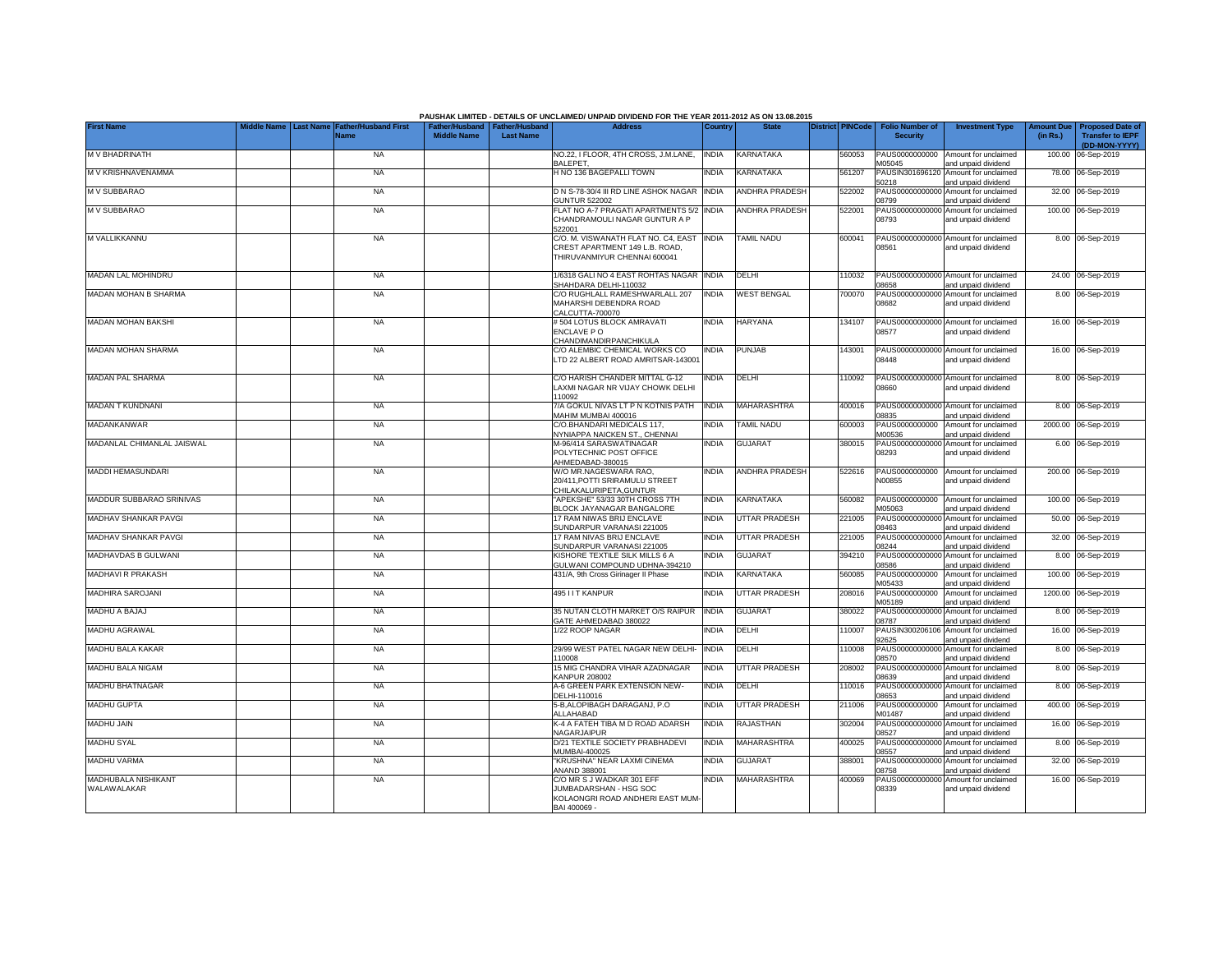|                                    |                                        |                                            |                    |                                                     | PAUSHAK LIMITED - DETAILS OF UNCLAIMED/ UNPAID DIVIDEND FOR THE YEAR 2011-2012 AS ON 13.08.2015         |              |                       |                         |                                           |                                                             |                               |                                                                     |
|------------------------------------|----------------------------------------|--------------------------------------------|--------------------|-----------------------------------------------------|---------------------------------------------------------------------------------------------------------|--------------|-----------------------|-------------------------|-------------------------------------------|-------------------------------------------------------------|-------------------------------|---------------------------------------------------------------------|
| <b>First Name</b>                  | <b>Middle Name</b><br><b>Last Name</b> | <b>Father/Husband First</b><br><b>Name</b> | <b>Middle Name</b> | Father/Husband   Father/Husband<br><b>Last Name</b> | <b>Address</b>                                                                                          | Country      | <b>State</b>          | <b>District PINCode</b> | <b>Folio Number of</b><br><b>Security</b> | <b>Investment Type</b>                                      | <b>Amount Due</b><br>(in Rs.) | <b>Proposed Date of</b><br><b>Transfer to IEPF</b><br>(DD-MON-YYYY) |
| M V BHADRINATH                     |                                        | <b>NA</b>                                  |                    |                                                     | NO.22, I FLOOR, 4TH CROSS, J.M.LANE,<br><b>BALEPET,</b>                                                 | <b>INDIA</b> | <b>KARNATAKA</b>      | 560053                  | PAUS0000000000<br>M05045                  | Amount for unclaimed<br>and unpaid dividend                 |                               | 100.00 06-Sep-2019                                                  |
| M V KRISHNAVENAMMA                 |                                        | <b>NA</b>                                  |                    |                                                     | <b>HNO 136 BAGEPALLI TOWN</b>                                                                           | <b>NDIA</b>  | KARNATAKA             | 561207                  | PAUSIN301696120<br>50218                  | Amount for unclaimed<br>and unpaid dividend                 |                               | 78.00 06-Sep-2019                                                   |
| M V SUBBARAO                       |                                        | <b>NA</b>                                  |                    |                                                     | D N S-78-30/4 III RD LINE ASHOK NAGAR<br><b>GUNTUR 522002</b>                                           | <b>INDIA</b> | <b>ANDHRA PRADESH</b> | 522002                  | PAUS0000000000<br>08799                   | Amount for unclaimed<br>and unpaid dividend                 |                               | 32.00 06-Sep-2019                                                   |
| M V SUBBARAO                       |                                        | <b>NA</b>                                  |                    |                                                     | FLAT NO A-7 PRAGATI APARTMENTS 5/2<br>CHANDRAMOULI NAGAR GUNTUR A P<br>522001                           | <b>INDIA</b> | <b>ANDHRA PRADESH</b> | 522001                  | PAUS0000000000<br>08793                   | Amount for unclaimed<br>and unpaid dividend                 |                               | 100.00 06-Sep-2019                                                  |
| M VALLIKKANNU                      |                                        | <b>NA</b>                                  |                    |                                                     | C/O. M. VISWANATH FLAT NO. C4. EAST<br>CREST APARTMENT 149 L.B. ROAD.<br>THIRUVANMIYUR CHENNAI 600041   | <b>INDIA</b> | <b>TAMIL NADU</b>     | 600041                  | 08561                                     | PAUS00000000000 Amount for unclaimed<br>and unpaid dividend |                               | 8.00 06-Sep-2019                                                    |
| <b>MADAN LAL MOHINDRU</b>          |                                        | <b>NA</b>                                  |                    |                                                     | 1/6318 GALI NO 4 EAST ROHTAS NAGAR<br>SHAHDARA DELHI-110032                                             | <b>INDIA</b> | DELHI                 | 10032                   | PAUS00000000000<br>08658                  | Amount for unclaimed<br>and unpaid dividend                 |                               | 24.00 06-Sep-2019                                                   |
| MADAN MOHAN B SHARMA               |                                        | <b>NA</b>                                  |                    |                                                     | C/O RUGHLALL RAMESHWARLALL 207<br>MAHARSHI DEBENDRA ROAD<br>CALCUTTA-700070                             | <b>INDIA</b> | <b>WEST BENGAL</b>    | 700070                  | PAUS00000000000<br>08682                  | Amount for unclaimed<br>and unpaid dividend                 |                               | 8.00 06-Sep-2019                                                    |
| MADAN MOHAN BAKSHI                 |                                        | <b>NA</b>                                  |                    |                                                     | #504 LOTUS BLOCK AMRAVATI<br>ENCLAVE PO<br>CHANDIMANDIRPANCHIKULA                                       | <b>NDIA</b>  | <b>HARYANA</b>        | 34107                   | PAUS00000000000<br>08577                  | Amount for unclaimed<br>and unpaid dividend                 |                               | 16.00 06-Sep-2019                                                   |
| <b>MADAN MOHAN SHARMA</b>          |                                        | <b>NA</b>                                  |                    |                                                     | C/O ALEMBIC CHEMICAL WORKS CO<br>LTD 22 ALBERT ROAD AMRITSAR-143001                                     | <b>INDIA</b> | <b>PUNJAB</b>         | 143001                  | 08448                                     | PAUS00000000000 Amount for unclaimed<br>and unpaid dividend |                               | 16.00 06-Sep-2019                                                   |
| <b>MADAN PAL SHARMA</b>            |                                        | <b>NA</b>                                  |                    |                                                     | C/O HARISH CHANDER MITTAL G-12<br>LAXMI NAGAR NR VIJAY CHOWK DELHI<br>110092                            | ndia         | DELHI                 | 10092                   | 08660                                     | PAUS00000000000 Amount for unclaimed<br>and unpaid dividend |                               | 8.00 06-Sep-2019                                                    |
| MADAN T KUNDNANI                   |                                        | <b>NA</b>                                  |                    |                                                     | 7/A GOKUL NIVAS LT P N KOTNIS PATH<br>MAHIM MUMBAI 400016                                               | <b>INDIA</b> | <b>MAHARASHTRA</b>    | 400016                  | PAUS00000000000<br>08835                  | Amount for unclaimed<br>and unpaid dividend                 |                               | 8.00 06-Sep-2019                                                    |
| MADANKANWAR                        |                                        | <b>NA</b>                                  |                    |                                                     | C/O.BHANDARI MEDICALS 117.<br>NYNIAPPA NAICKEN ST., CHENNAI                                             | <b>NDIA</b>  | <b>TAMIL NADU</b>     | 600003                  | PAUS0000000000<br>M00536                  | Amount for unclaimed<br>and unpaid dividend                 |                               | 2000.00 06-Sep-2019                                                 |
| MADANLAL CHIMANLAL JAISWAL         |                                        | <b>NA</b>                                  |                    |                                                     | M-96/414 SARASWATINAGAR<br>POLYTECHNIC POST OFFICE<br>AHMEDABAD-380015                                  | <b>INDIA</b> | <b>GUJARAT</b>        | 380015                  | PAUS00000000000<br>08293                  | Amount for unclaimed<br>and unpaid dividend                 |                               | 6.00 06-Sep-2019                                                    |
| MADDI HEMASUNDARI                  |                                        | <b>NA</b>                                  |                    |                                                     | W/O MR.NAGESWARA RAO,<br>20/411, POTTI SRIRAMULU STREET<br>CHILAKALURIPETA, GUNTUR                      | <b>INDIA</b> | <b>ANDHRA PRADESH</b> | 522616                  | PAUS0000000000<br>N00855                  | Amount for unclaimed<br>and unpaid dividend                 |                               | 200.00 06-Sep-2019                                                  |
| MADDUR SUBBARAO SRINIVAS           |                                        | <b>NA</b>                                  |                    |                                                     | "APEKSHE" 53/33 30TH CROSS 7TH<br>BLOCK JAYANAGAR BANGALORE                                             | <b>INDIA</b> | KARNATAKA             | 560082                  | PAUS0000000000<br>M05063                  | Amount for unclaimed<br>and unpaid dividend                 |                               | 100.00 06-Sep-2019                                                  |
| MADHAV SHANKAR PAVGI               |                                        | <b>NA</b>                                  |                    |                                                     | 17 RAM NIWAS BRIJ ENCLAVE<br>SUNDARPUR VARANASI 221005                                                  | <b>INDIA</b> | <b>UTTAR PRADESH</b>  | 221005                  | 08463                                     | PAUS00000000000 Amount for unclaimed<br>and unpaid dividend |                               | 50.00 06-Sep-2019                                                   |
| MADHAV SHANKAR PAVGI               |                                        | <b>NA</b>                                  |                    |                                                     | 17 RAM NIVAS BRIJ ENCLAVE<br>SUNDARPUR VARANASI 221005                                                  | <b>INDIA</b> | <b>UTTAR PRADESH</b>  | 221005                  | 08244                                     | PAUS00000000000 Amount for unclaimed<br>and unpaid dividend |                               | 32.00 06-Sep-2019                                                   |
| MADHAVDAS B GULWANI                |                                        | <b>NA</b>                                  |                    |                                                     | KISHORE TEXTILE SILK MILLS 6 A<br>GULWANI COMPOUND UDHNA-394210                                         | <b>INDIA</b> | <b>GUJARAT</b>        | 394210                  | 08586                                     | PAUS00000000000 Amount for unclaimed<br>and unpaid dividend |                               | 8.00 06-Sep-2019                                                    |
| MADHAVI R PRAKASH                  |                                        | <b>NA</b>                                  |                    |                                                     | 431/A, 9th Cross Girinager II Phase                                                                     | <b>INDIA</b> | KARNATAKA             | 560085                  | M05433                                    | PAUS0000000000 Amount for unclaimed<br>and unpaid dividend  |                               | 100.00 06-Sep-2019                                                  |
| MADHIRA SAROJANI                   |                                        | <b>NA</b>                                  |                    |                                                     | 495 I I T KANPUR                                                                                        | <b>INDIA</b> | <b>UTTAR PRADESH</b>  | 208016                  | PAUS0000000000<br>M05189                  | Amount for unclaimed<br>and unpaid dividend                 |                               | 1200.00 06-Sep-2019                                                 |
| MADHU A BAJAJ                      |                                        | <b>NA</b>                                  |                    |                                                     | 35 NUTAN CLOTH MARKET O/S RAIPUR<br>GATE AHMEDABAD 380022                                               | <b>INDIA</b> | <b>GUJARAT</b>        | 380022                  | PAUS00000000000<br>08787                  | Amount for unclaimed<br>and unpaid dividend                 |                               | 8.00 06-Sep-2019                                                    |
| MADHU AGRAWAL                      |                                        | <b>NA</b>                                  |                    |                                                     | 1/22 ROOP NAGAR                                                                                         | india        | <b>DELHI</b>          | 10007                   | 92625                                     | PAUSIN300206106 Amount for unclaimed<br>and unpaid dividend |                               | 16.00 06-Sep-2019                                                   |
| MADHU BALA KAKAR                   |                                        | <b>NA</b>                                  |                    |                                                     | 29/99 WEST PATEL NAGAR NEW DELHI-<br>110008                                                             | <b>INDIA</b> | <b>DELHI</b>          | 110008                  | PAUS00000000000<br>08570                  | Amount for unclaimed<br>and unpaid dividend                 |                               | 8.00 06-Sep-2019                                                    |
| MADHU BALA NIGAM                   |                                        | <b>NA</b>                                  |                    |                                                     | 15 MIG CHANDRA VIHAR AZADNAGAR<br><b>KANPUR 208002</b>                                                  | <b>INDIA</b> | <b>UTTAR PRADESH</b>  | 208002                  | PAUS00000000000<br>08639                  | Amount for unclaimed<br>and unpaid dividend                 |                               | 8.00 06-Sep-2019                                                    |
| MADHU BHATNAGAR                    |                                        | <b>NA</b>                                  |                    |                                                     | A-6 GREEN PARK EXTENSION NEW-<br>DELHI-110016                                                           | <b>INDIA</b> | DELHI                 | 110016                  | 08653                                     | PAUS00000000000 Amount for unclaimed<br>and unpaid dividend |                               | 8.00 06-Sep-2019                                                    |
| <b>MADHU GUPTA</b>                 |                                        | <b>NA</b>                                  |                    |                                                     | 5-B, ALOPIBAGH DARAGANJ, P.O<br>ALLAHABAD                                                               | <b>NDIA</b>  | <b>UTTAR PRADESH</b>  | 211006                  | PAUS0000000000<br>M01487                  | Amount for unclaimed<br>and unpaid dividend                 |                               | 400.00 06-Sep-2019                                                  |
| MADHU JAIN                         |                                        | <b>NA</b>                                  |                    |                                                     | K-4 A FATEH TIBA M D ROAD ADARSH<br>NAGARJAIPUR                                                         | <b>INDIA</b> | <b>RAJASTHAN</b>      | 302004                  | 08527                                     | PAUS00000000000 Amount for unclaimed<br>and unpaid dividend |                               | 16.00 06-Sep-2019                                                   |
| <b>MADHU SYAL</b>                  |                                        | <b>NA</b>                                  |                    |                                                     | D/21 TEXTILE SOCIETY PRABHADEVI<br>MUMBAI-400025                                                        | <b>INDIA</b> | <b>MAHARASHTRA</b>    | 400025                  | 08557                                     | PAUS00000000000 Amount for unclaimed<br>and unpaid dividend |                               | 8.00 06-Sep-2019                                                    |
| <b>MADHU VARMA</b>                 |                                        | <b>NA</b>                                  |                    |                                                     | KRUSHNA" NEAR LAXMI CINEMA<br>ANAND 388001                                                              | <b>NDIA</b>  | <b>GUJARAT</b>        | 388001                  | 08758                                     | PAUS00000000000 Amount for unclaimed<br>and unpaid dividend |                               | 32.00 06-Sep-2019                                                   |
| MADHUBALA NISHIKANT<br>WALAWALAKAR |                                        | <b>NA</b>                                  |                    |                                                     | C/O MR S J WADKAR 301 EFF<br>JUMBADARSHAN - HSG SOC<br>KOLAONGRI ROAD ANDHERI EAST MUM-<br>BAI 400069 - | <b>INDIA</b> | MAHARASHTRA           | 400069                  | 08339                                     | PAUS00000000000 Amount for unclaimed<br>and unpaid dividend |                               | 16.00 06-Sep-2019                                                   |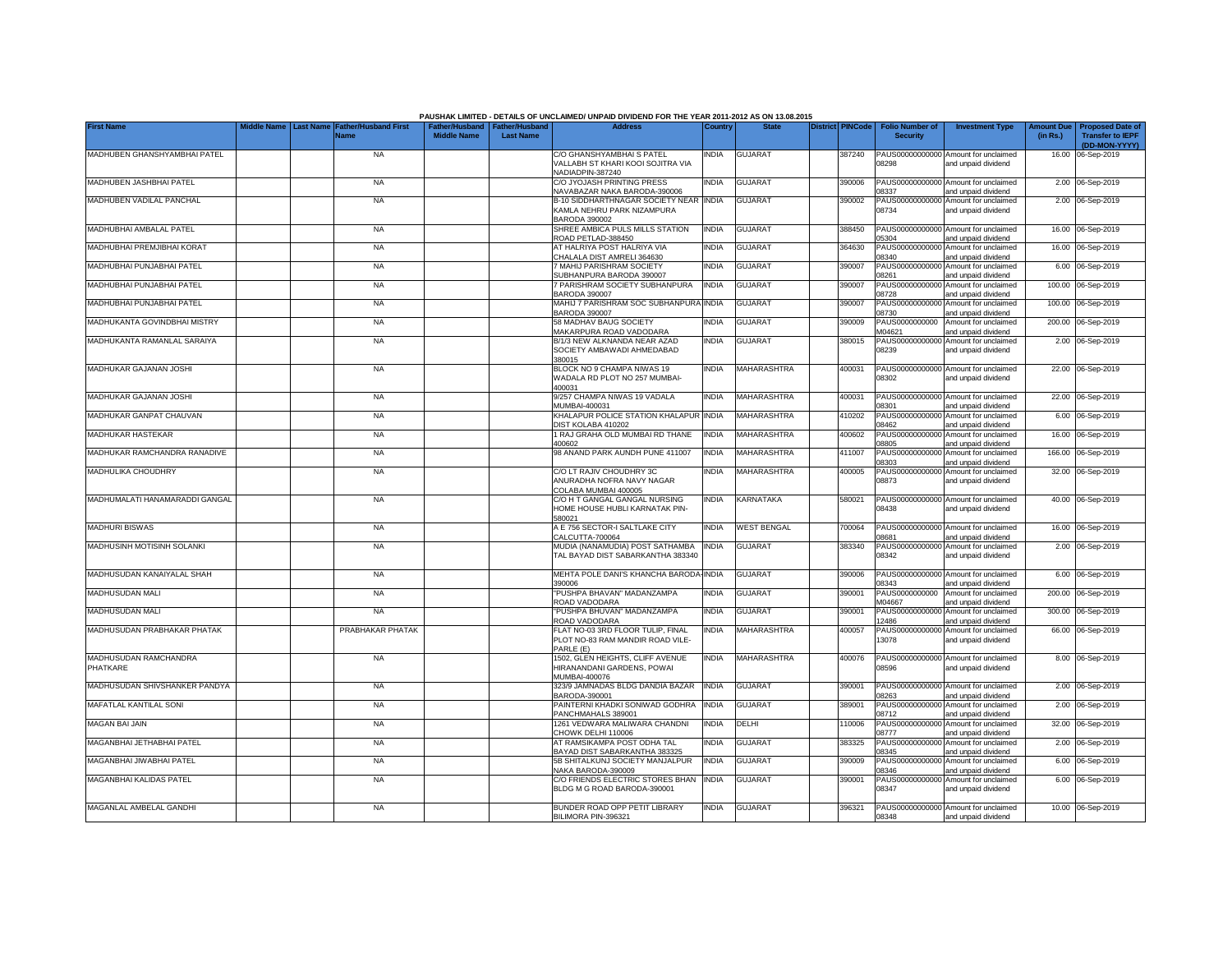|                                   |                                 |                                            |                                                       |                  | PAUSHAK LIMITED - DETAILS OF UNCLAIMED/ UNPAID DIVIDEND FOR THE YEAR 2011-2012 AS ON 13.08.2015 |              |                    |                         |                                           |                                                             |                               |                                                    |
|-----------------------------------|---------------------------------|--------------------------------------------|-------------------------------------------------------|------------------|-------------------------------------------------------------------------------------------------|--------------|--------------------|-------------------------|-------------------------------------------|-------------------------------------------------------------|-------------------------------|----------------------------------------------------|
| <b>First Name</b>                 | Middle Name<br><b>Last Name</b> | <b>Father/Husband First</b><br><b>Name</b> | Father/Husband   Father/Husband<br><b>Middle Name</b> | <b>Last Name</b> | <b>Address</b>                                                                                  | Country      | <b>State</b>       | <b>District PINCode</b> | <b>Folio Number of</b><br><b>Security</b> | <b>Investment Type</b>                                      | <b>Amount Due</b><br>(in Rs.) | <b>Proposed Date of</b><br><b>Transfer to IEPF</b> |
| MADHUBEN GHANSHYAMBHAI PATEL      |                                 | <b>NA</b>                                  |                                                       |                  | C/O GHANSHYAMBHAIS PATEL                                                                        | <b>NDIA</b>  | <b>GUJARAT</b>     | 387240                  |                                           | PAUS00000000000 Amount for unclaimed                        |                               | (DD-MON-YYYY)<br>16.00 06-Sep-2019                 |
|                                   |                                 |                                            |                                                       |                  | VALLABH ST KHARI KOOI SOJITRA VIA<br>NADIADPIN-387240                                           |              |                    |                         | 08298                                     | and unpaid dividend                                         |                               |                                                    |
| MADHUBEN JASHBHAI PATEL           |                                 | <b>NA</b>                                  |                                                       |                  | C/O JYOJASH PRINTING PRESS<br>NAVABAZAR NAKA BARODA-390006                                      | INDIA        | GUJARAT            | 390006                  | 08337                                     | PAUS00000000000 Amount for unclaimed<br>and unpaid dividend |                               | 2.00 06-Sep-2019                                   |
| MADHUBEN VADILAL PANCHAL          |                                 | <b>NA</b>                                  |                                                       |                  | B-10 SIDDHARTHNAGAR SOCIETY NEAR<br>KAMLA NEHRU PARK NIZAMPURA<br><b>BARODA 390002</b>          | <b>INDIA</b> | <b>GUJARAT</b>     | 390002                  | 08734                                     | PAUS00000000000 Amount for unclaimed<br>and unpaid dividend |                               | 2.00 06-Sep-2019                                   |
| MADHUBHAI AMBALAL PATEL           |                                 | <b>NA</b>                                  |                                                       |                  | SHREE AMBICA PULS MILLS STATION<br>ROAD PETLAD-388450                                           | <b>INDIA</b> | <b>GUJARAT</b>     | 388450                  | 05304                                     | PAUS00000000000 Amount for unclaimed<br>and unpaid dividend |                               | 16.00 06-Sep-2019                                  |
| MADHUBHAI PREMJIBHAI KORAT        |                                 | <b>NA</b>                                  |                                                       |                  | AT HALRIYA POST HALRIYA VIA<br>HALALA DIST AMRELI 364630                                        | <b>INDIA</b> | <b>GUJARAT</b>     | 364630                  | PAUS0000000000<br>8340                    | Amount for unclaimed<br>and unpaid dividend                 |                               | 16.00 06-Sep-2019                                  |
| MADHUBHAI PUNJABHAI PATEL         |                                 | <b>NA</b>                                  |                                                       |                  | MAHIJ PARISHRAM SOCIETY<br><b>JUBHANPURA BARODA 390007</b>                                      | INDIA        | <b>GUJARAT</b>     | 390007                  | PAUS0000000000<br>08261                   | Amount for unclaimed<br>and unpaid dividend                 |                               | 6.00 06-Sep-2019                                   |
| MADHUBHAI PUNJABHAI PATEL         |                                 | <b>NA</b>                                  |                                                       |                  | 7 PARISHRAM SOCIETY SUBHANPURA<br>BARODA 390007                                                 | <b>INDIA</b> | <b>GUJARAT</b>     | 390007                  | PAUS0000000000<br>08728                   | Amount for unclaimed<br>and unpaid dividend                 |                               | 100.00 06-Sep-2019                                 |
| MADHUBHAI PUNJABHAI PATEL         |                                 | <b>NA</b>                                  |                                                       |                  | MAHIJ 7 PARISHRAM SOC SUBHANPURA<br><b>BARODA 390007</b>                                        | <b>INDIA</b> | <b>GUJARAT</b>     | 390007                  | PAUS0000000000<br>08730                   | Amount for unclaimed<br>and unpaid dividend                 |                               | 100.00 06-Sep-2019                                 |
| MADHUKANTA GOVINDBHAI MISTRY      |                                 | <b>NA</b>                                  |                                                       |                  | 58 MADHAV BAUG SOCIETY<br><b>MAKARPURA ROAD VADODARA</b>                                        | INDIA        | <b>GUJARAT</b>     | 390009                  | PAUS0000000000<br>M04621                  | Amount for unclaimed<br>and unpaid dividend                 |                               | 200.00 06-Sep-2019                                 |
| MADHUKANTA RAMANLAL SARAIYA       |                                 | <b>NA</b>                                  |                                                       |                  | B/1/3 NEW ALKNANDA NEAR AZAD<br>SOCIETY AMBAWADI AHMEDABAD<br>380015                            | INDIA        | <b>GUJARAT</b>     | 380015                  | 08239                                     | PAUS00000000000 Amount for unclaimed<br>and unpaid dividend |                               | 2.00 06-Sep-2019                                   |
| MADHUKAR GAJANAN JOSHI            |                                 | <b>NA</b>                                  |                                                       |                  | BLOCK NO 9 CHAMPA NIWAS 19<br>WADALA RD PLOT NO 257 MUMBAI-<br>400031                           | <b>INDIA</b> | MAHARASHTRA        | 400031                  | 08302                                     | PAUS00000000000 Amount for unclaimed<br>and unpaid dividend |                               | 22.00 06-Sep-2019                                  |
| MADHUKAR GAJANAN JOSHI            |                                 | <b>NA</b>                                  |                                                       |                  | 9/257 CHAMPA NIWAS 19 VADALA<br>MUMBAI-400031                                                   | <b>INDIA</b> | MAHARASHTRA        | 400031                  | 08301                                     | PAUS00000000000 Amount for unclaimed<br>and unpaid dividend |                               | 22.00 06-Sep-2019                                  |
| MADHUKAR GANPAT CHAUVAN           |                                 | <b>NA</b>                                  |                                                       |                  | KHALAPUR POLICE STATION KHALAPUR<br>DIST KOLABA 410202                                          | <b>INDIA</b> | <b>MAHARASHTRA</b> | 410202                  | PAUS0000000000<br>08462                   | Amount for unclaimed<br>and unpaid dividend                 |                               | 6.00 06-Sep-2019                                   |
| MADHUKAR HASTEKAR                 |                                 | <b>NA</b>                                  |                                                       |                  | 1 RAJ GRAHA OLD MUMBAI RD THANE<br>400602                                                       | <b>INDIA</b> | <b>MAHARASHTRA</b> | 400602                  | 08805                                     | PAUS00000000000 Amount for unclaimed<br>and unpaid dividend |                               | 16.00 06-Sep-2019                                  |
| MADHUKAR RAMCHANDRA RANADIVE      |                                 | <b>NA</b>                                  |                                                       |                  | 98 ANAND PARK AUNDH PUNE 411007                                                                 | <b>INDIA</b> | MAHARASHTRA        | 411007                  | PAUS0000000000<br>08303                   | Amount for unclaimed<br>and unpaid dividend                 | 166.00                        | 06-Sep-2019                                        |
| MADHULIKA CHOUDHRY                |                                 | <b>NA</b>                                  |                                                       |                  | C/O LT RAJIV CHOUDHRY 3C<br>ANURADHA NOFRA NAVY NAGAR<br>COLABA MUMBAI 400005                   | india        | MAHARASHTRA        | 400005                  | PAUS0000000000<br>08873                   | Amount for unclaimed<br>and unpaid dividend                 |                               | 32.00 06-Sep-2019                                  |
| MADHUMALATI HANAMARADDI GANGAL    |                                 | <b>NA</b>                                  |                                                       |                  | C/O H T GANGAL GANGAL NURSING<br>HOME HOUSE HUBLI KARNATAK PIN-<br>580021                       | <b>INDIA</b> | KARNATAKA          | 580021                  | 08438                                     | PAUS00000000000 Amount for unclaimed<br>and unpaid dividend |                               | 40.00 06-Sep-2019                                  |
| <b>MADHURI BISWAS</b>             |                                 | <b>NA</b>                                  |                                                       |                  | A E 756 SECTOR-I SALTLAKE CITY<br>CALCUTTA-700064                                               | INDIA        | <b>WEST BENGAL</b> | 700064                  | 08681                                     | PAUS00000000000 Amount for unclaimed<br>and unpaid dividend |                               | 16.00 06-Sep-2019                                  |
| MADHUSINH MOTISINH SOLANKI        |                                 | <b>NA</b>                                  |                                                       |                  | MUDIA (NANAMUDIA) POST SATHAMBA<br>TAL BAYAD DIST SABARKANTHA 383340                            | <b>INDIA</b> | <b>GUJARAT</b>     | 383340                  | 08342                                     | PAUS00000000000 Amount for unclaimed<br>and unpaid dividend |                               | 2.00 06-Sep-2019                                   |
| MADHUSUDAN KANAIYALAL SHAH        |                                 | <b>NA</b>                                  |                                                       |                  | MEHTA POLE DANI'S KHANCHA BARODA-INDIA<br>390006                                                |              | <b>GUJARAT</b>     | 390006                  | 08343                                     | PAUS00000000000 Amount for unclaimed<br>and unpaid dividend |                               | 6.00 06-Sep-2019                                   |
| MADHUSUDAN MALI                   |                                 | <b>NA</b>                                  |                                                       |                  | PUSHPA BHAVAN" MADANZAMPA<br>ROAD VADODARA                                                      | INDIA        | <b>GUJARAT</b>     | 390001                  | PAUS0000000000<br>M04667                  | Amount for unclaimed<br>and unpaid dividend                 |                               | 200.00 06-Sep-2019                                 |
| MADHUSUDAN MALI                   |                                 | <b>NA</b>                                  |                                                       |                  | PUSHPA BHUVAN" MADANZAMPA<br>ROAD VADODARA                                                      | INDIA        | <b>GUJARAT</b>     | 390001                  | PAUS00000000000<br>12486                  | Amount for unclaimed<br>and unpaid dividend                 |                               | 300.00 06-Sep-2019                                 |
| MADHUSUDAN PRABHAKAR PHATAK       |                                 | PRABHAKAR PHATAK                           |                                                       |                  | FLAT NO-03 3RD FLOOR TULIP, FINAL<br>PLOT NO-83 RAM MANDIR ROAD VILE-<br>PARLE (E)              | India        | MAHARASHTRA        | 400057                  | 13078                                     | PAUS00000000000 Amount for unclaimed<br>and unpaid dividend |                               | 66.00 06-Sep-2019                                  |
| MADHUSUDAN RAMCHANDRA<br>PHATKARE |                                 | <b>NA</b>                                  |                                                       |                  | 1502, GLEN HEIGHTS, CLIFF AVENUE<br>HIRANANDANI GARDENS, POWAL<br>MUMBAI-400076                 | India        | MAHARASHTRA        | 400076                  | 08596                                     | PAUS00000000000 Amount for unclaimed<br>and unpaid dividend |                               | 8.00 06-Sep-2019                                   |
| MADHUSUDAN SHIVSHANKER PANDYA     |                                 | <b>NA</b>                                  |                                                       |                  | 323/9 JAMNADAS BLDG DANDIA BAZAR<br>BARODA-390001                                               | <b>INDIA</b> | <b>GUJARAT</b>     | 390001                  | 08263                                     | PAUS00000000000 Amount for unclaimed<br>and unpaid dividend |                               | 2.00 06-Sep-2019                                   |
| <b>MAFATLAL KANTILAL SONI</b>     |                                 | <b>NA</b>                                  |                                                       |                  | PAINTERNI KHADKI SONIWAD GODHRA<br>PANCHMAHALS 389001                                           | <b>INDIA</b> | GUJARAT            | 389001                  | PAUS00000000000<br>08712                  | Amount for unclaimed<br>and unpaid dividend                 |                               | 2.00 06-Sep-2019                                   |
| <b>MAGAN BAI JAIN</b>             |                                 | <b>NA</b>                                  |                                                       |                  | 1261 VEDWARA MALIWARA CHANDNI<br>CHOWK DELHI 110006                                             | INDIA        | DELHI              | 110006                  | PAUS00000000000<br>08777                  | Amount for unclaimed<br>and unpaid dividend                 |                               | 32.00 06-Sep-2019                                  |
| MAGANBHAI JETHABHAI PATEL         |                                 | <b>NA</b>                                  |                                                       |                  | AT RAMSIKAMPA POST ODHA TAL<br>BAYAD DIST SABARKANTHA 383325                                    | India        | <b>GUJARAT</b>     | 383325                  | 08345                                     | PAUS00000000000 Amount for unclaimed<br>and unpaid dividend |                               | 2.00 06-Sep-2019                                   |
| MAGANBHAI JIWABHAI PATEL          |                                 | <b>NA</b>                                  |                                                       |                  | 5B SHITALKUNJ SOCIETY MANJALPUR<br>NAKA BARODA-390009                                           | <b>INDIA</b> | <b>GUJARAT</b>     | 390009                  | 08346                                     | PAUS00000000000 Amount for unclaimed<br>and unpaid dividend |                               | 6.00 06-Sep-2019                                   |
| MAGANBHAI KALIDAS PATEL           |                                 | <b>NA</b>                                  |                                                       |                  | C/O FRIENDS ELECTRIC STORES BHAN<br>BLDG M G ROAD BARODA-390001                                 | <b>INDIA</b> | <b>GUJARAT</b>     | 390001                  | 08347                                     | PAUS00000000000 Amount for unclaimed<br>and unpaid dividend |                               | 6.00 06-Sep-2019                                   |
| MAGANLAL AMBELAL GANDHI           |                                 | <b>NA</b>                                  |                                                       |                  | BUNDER ROAD OPP PETIT LIBRARY<br>BILIMORA PIN-396321                                            | <b>INDIA</b> | <b>GUJARAT</b>     | 396321                  | 08348                                     | PAUS00000000000 Amount for unclaimed<br>and unpaid dividend |                               | 10.00 06-Sep-2019                                  |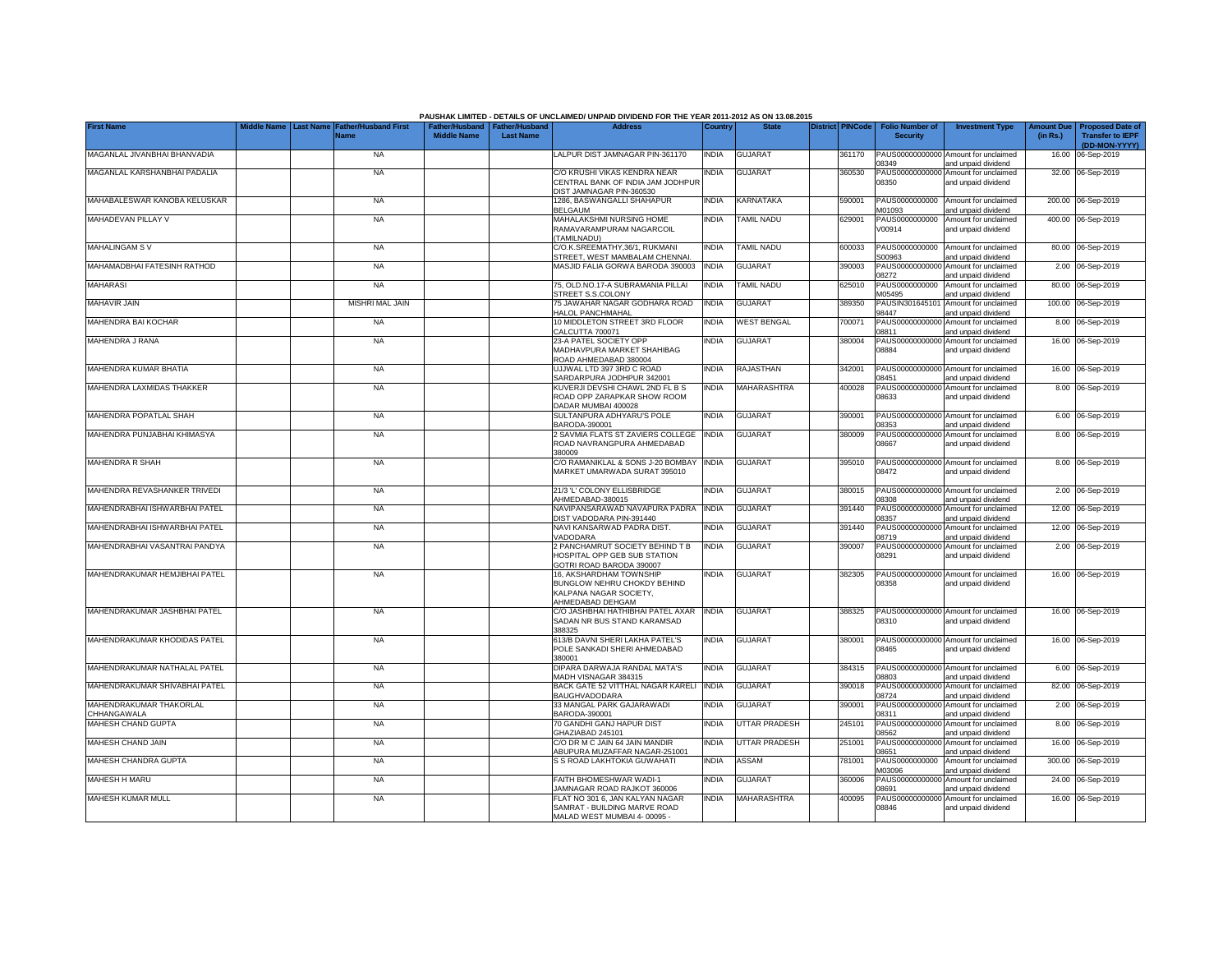|                                               | Middle Name      |                                            |                                                       |                  | PAUSHAK LIMITED - DETAILS OF UNCLAIMED/ UNPAID DIVIDEND FOR THE YEAR 2011-2012 AS ON 13.08.2015<br><b>Address</b> |              | <b>State</b>         |                         |                                           |                                                             |                               |                                                                     |
|-----------------------------------------------|------------------|--------------------------------------------|-------------------------------------------------------|------------------|-------------------------------------------------------------------------------------------------------------------|--------------|----------------------|-------------------------|-------------------------------------------|-------------------------------------------------------------|-------------------------------|---------------------------------------------------------------------|
| <b>First Name</b>                             | <b>Last Name</b> | <b>Father/Husband First</b><br><b>Name</b> | Father/Husband   Father/Husband<br><b>Middle Name</b> | <b>Last Name</b> |                                                                                                                   | Country      |                      | <b>District PINCode</b> | <b>Folio Number of</b><br><b>Security</b> | <b>Investment Type</b>                                      | <b>Amount Due</b><br>(in Rs.) | <b>Proposed Date of</b><br><b>Transfer to IEPF</b><br>(DD-MON-YYYY) |
| MAGANLAL JIVANBHAI BHANVADIA                  |                  | <b>NA</b>                                  |                                                       |                  | LALPUR DIST JAMNAGAR PIN-361170                                                                                   | <b>INDIA</b> | <b>GUJARAT</b>       | 361170                  | 08349                                     | PAUS00000000000 Amount for unclaimed<br>and unpaid dividend |                               | 16.00 06-Sep-2019                                                   |
| MAGANLAL KARSHANBHAI PADALIA                  |                  | <b>NA</b>                                  |                                                       |                  | C/O KRUSHI VIKAS KENDRA NEAR<br>CENTRAL BANK OF INDIA JAM JODHPUR<br>DIST JAMNAGAR PIN-360530                     | INDIA        | <b>GUJARAT</b>       | 360530                  | 08350                                     | PAUS00000000000 Amount for unclaimed<br>and unpaid dividend |                               | 32.00 06-Sep-2019                                                   |
| MAHABALESWAR KANOBA KELUSKAR                  |                  | <b>NA</b>                                  |                                                       |                  | 1286, BASWANGALLI SHAHAPUR<br><b>BELGAUM</b>                                                                      | <b>INDIA</b> | KARNATAKA            | 590001                  | PAUS0000000000<br>M01093                  | Amount for unclaimed<br>and unpaid dividend                 |                               | 200.00 06-Sep-2019                                                  |
| MAHADEVAN PILLAY V                            |                  | <b>NA</b>                                  |                                                       |                  | MAHALAKSHMI NURSING HOME<br>RAMAVARAMPURAM NAGARCOIL<br>TAMILNADU)                                                | INDIA        | TAMIL NADU           | 629001                  | PAUS0000000000<br>V00914                  | Amount for unclaimed<br>and unpaid dividend                 |                               | 400.00 06-Sep-2019                                                  |
| <b>MAHALINGAM SV</b>                          |                  | <b>NA</b>                                  |                                                       |                  | C/O.K.SREEMATHY,36/1, RUKMANI<br><b>STREET, WEST MAMBALAM CHENNAI</b>                                             | India        | TAMIL NADU           | 600033                  | PAUS0000000000<br>S00963                  | Amount for unclaimed<br>and unpaid dividend                 |                               | 80.00 06-Sep-2019                                                   |
| MAHAMADBHAI FATESINH RATHOD                   |                  | <b>NA</b>                                  |                                                       |                  | MASJID FALIA GORWA BARODA 390003                                                                                  | <b>INDIA</b> | <b>GUJARAT</b>       | 390003                  | PAUS0000000000<br>08272                   | Amount for unclaimed<br>and unpaid dividend                 |                               | 2.00 06-Sep-2019                                                    |
| <b>MAHARASI</b>                               |                  | <b>NA</b>                                  |                                                       |                  | 75. OLD.NO.17-A SUBRAMANIA PILLAI<br><b>STREET S.S.COLONY</b>                                                     | <b>INDIA</b> | TAMIL NADU           | 325010                  | PAUS0000000000<br>M05495                  | Amount for unclaimed<br>and unpaid dividend                 |                               | 80.00 06-Sep-2019                                                   |
| MAHAVIR JAIN                                  |                  | <b>MISHRI MAL JAIN</b>                     |                                                       |                  | 75 JAWAHAR NAGAR GODHARA ROAD<br><b>HALOL PANCHMAHAL</b>                                                          | <b>INDIA</b> | <b>GUJARAT</b>       | 389350                  | PAUSIN30164510<br>8447                    | Amount for unclaimed<br>and unpaid dividend                 |                               | 100.00 06-Sep-2019                                                  |
| MAHENDRA BAI KOCHAR                           |                  | <b>NA</b>                                  |                                                       |                  | 10 MIDDLETON STREET 3RD FLOOR<br>CALCUTTA 700071                                                                  | <b>INDIA</b> | <b>WEST BENGAL</b>   | 700071                  | PAUS00000000000<br>08811                  | Amount for unclaimed<br>and unpaid dividend                 |                               | 8.00 06-Sep-2019                                                    |
| MAHENDRA J RANA                               |                  | <b>NA</b>                                  |                                                       |                  | 23-A PATEL SOCIETY OPP<br>MADHAVPURA MARKET SHAHIBAG<br>ROAD AHMEDABAD 380004                                     | INDIA        | <b>GUJARAT</b>       | 380004                  | 08884                                     | PAUS00000000000 Amount for unclaimed<br>and unpaid dividend |                               | 16.00 06-Sep-2019                                                   |
| MAHENDRA KUMAR BHATIA                         |                  | <b>NA</b>                                  |                                                       |                  | UJJWAL LTD 397 3RD C ROAD<br>SARDARPURA JODHPUR 342001                                                            | <b>INDIA</b> | <b>RAJASTHAN</b>     | 342001                  | 08451                                     | PAUS00000000000 Amount for unclaimed<br>and unpaid dividend |                               | 16.00 06-Sep-2019                                                   |
| MAHENDRA LAXMIDAS THAKKER                     |                  | <b>NA</b>                                  |                                                       |                  | KUVERJI DEVSHI CHAWL 2ND FL B S<br>ROAD OPP ZARAPKAR SHOW ROOM<br>DADAR MUMBAI 400028                             | <b>INDIA</b> | MAHARASHTRA          | 400028                  | 08633                                     | PAUS00000000000 Amount for unclaimed<br>and unpaid dividend |                               | 8.00 06-Sep-2019                                                    |
| MAHENDRA POPATLAL SHAH                        |                  | <b>NA</b>                                  |                                                       |                  | SULTANPURA ADHYARU'S POLE<br>BARODA-390001                                                                        | <b>INDIA</b> | <b>GUJARAT</b>       | 390001                  | 08353                                     | PAUS00000000000 Amount for unclaimed<br>and unpaid dividend |                               | 6.00 06-Sep-2019                                                    |
| MAHENDRA PUNJABHAI KHIMASYA                   |                  | <b>NA</b>                                  |                                                       |                  | 2 SAVMIA FLATS ST ZAVIERS COLLEGE<br>ROAD NAVRANGPURA AHMEDABAD<br>380009                                         | <b>INDIA</b> | <b>GUJARAT</b>       | 380009                  | 08667                                     | PAUS00000000000 Amount for unclaimed<br>and unpaid dividend |                               | 8.00 06-Sep-2019                                                    |
| <b>MAHENDRA R SHAH</b>                        |                  | <b>NA</b>                                  |                                                       |                  | C/O RAMANIKLAL & SONS J-20 BOMBAY<br>MARKET UMARWADA SURAT 395010                                                 | <b>INDIA</b> | <b>GUJARAT</b>       | 395010                  | 08472                                     | PAUS00000000000 Amount for unclaimed<br>and unpaid dividend |                               | 8.00 06-Sep-2019                                                    |
| MAHENDRA REVASHANKER TRIVEDI                  |                  | <b>NA</b>                                  |                                                       |                  | 21/3 'L' COLONY ELLISBRIDGE<br>AHMEDABAD-380015                                                                   | INDIA        | <b>GUJARAT</b>       | 380015                  | 08308                                     | PAUS00000000000 Amount for unclaimed<br>and unpaid dividend |                               | 2.00 06-Sep-2019                                                    |
| MAHENDRABHAI ISHWARBHAI PATEL                 |                  | <b>NA</b>                                  |                                                       |                  | NAVIPANSARAWAD NAVAPURA PADRA<br>DIST VADODARA PIN-391440                                                         | <b>INDIA</b> | <b>GUJARAT</b>       | 391440                  | PAUS0000000000<br>08357                   | Amount for unclaimed<br>and unpaid dividend                 |                               | 12.00 06-Sep-2019                                                   |
| MAHENDRABHAI ISHWARBHAI PATEL                 |                  | <b>NA</b>                                  |                                                       |                  | NAVI KANSARWAD PADRA DIST.<br>VADODARA                                                                            | INDIA        | <b>GUJARAT</b>       | 391440                  | 08719                                     | PAUS00000000000 Amount for unclaimed<br>and unpaid dividend |                               | 12.00 06-Sep-2019                                                   |
| MAHENDRABHAI VASANTRAI PANDYA                 |                  | <b>NA</b>                                  |                                                       |                  | 2 PANCHAMRUT SOCIETY BEHIND T B<br>HOSPITAL OPP GEB SUB STATION<br>GOTRI ROAD BARODA 390007                       | <b>INDIA</b> | <b>GUJARAT</b>       | 390007                  | 08291                                     | PAUS00000000000 Amount for unclaimed<br>and unpaid dividend |                               | 2.00 06-Sep-2019                                                    |
| MAHENDRAKUMAR HEMJIBHAI PATEL                 |                  | <b>NA</b>                                  |                                                       |                  | 16, AKSHARDHAM TOWNSHIP<br>BUNGLOW NEHRU CHOKDY BEHIND<br>KALPANA NAGAR SOCIETY,<br>AHMEDABAD DEHGAM              | INDIA        | <b>GUJARAT</b>       | 382305                  | 08358                                     | PAUS00000000000 Amount for unclaimed<br>and unpaid dividend |                               | 16.00 06-Sep-2019                                                   |
| MAHENDRAKUMAR JASHBHAI PATEL                  |                  | <b>NA</b>                                  |                                                       |                  | C/O JASHBHAI HATHIBHAI PATEL AXAR<br>SADAN NR BUS STAND KARAMSAD<br>388325                                        | <b>INDIA</b> | <b>GUJARAT</b>       | 388325                  | 08310                                     | PAUS00000000000 Amount for unclaimed<br>and unpaid dividend |                               | 16.00 06-Sep-2019                                                   |
| MAHENDRAKUMAR KHODIDAS PATEL                  |                  | <b>NA</b>                                  |                                                       |                  | 613/B DAVNI SHERI LAKHA PATEL'S<br>POLE SANKADI SHERI AHMEDABAD<br>380001                                         | India        | <b>GUJARAT</b>       | 380001                  | 08465                                     | PAUS00000000000 Amount for unclaimed<br>and unpaid dividend |                               | 16.00 06-Sep-2019                                                   |
| MAHENDRAKUMAR NATHALAL PATEL                  |                  | <b>NA</b>                                  |                                                       |                  | DIPARA DARWAJA RANDAL MATA'S<br>MADH VISNAGAR 384315                                                              | India        | <b>GUJARAT</b>       | 384315                  | 08803                                     | PAUS00000000000 Amount for unclaimed<br>and unpaid dividend |                               | 6.00 06-Sep-2019                                                    |
| MAHENDRAKUMAR SHIVABHAI PATEL                 |                  | <b>NA</b>                                  |                                                       |                  | BACK GATE 52 VITTHAL NAGAR KARELI<br>BAUGHVADODARA                                                                | <b>INDIA</b> | <b>GUJARAT</b>       | 390018                  | 08724                                     | PAUS00000000000 Amount for unclaimed<br>and unpaid dividend |                               | 82.00 06-Sep-2019                                                   |
| MAHENDRAKUMAR THAKORLAL<br><b>CHHANGAWALA</b> |                  | <b>NA</b>                                  |                                                       |                  | 33 MANGAL PARK GAJARAWADI<br>BARODA-390001                                                                        | INDIA        | <b>GUJARAT</b>       | 390001                  | 08311                                     | PAUS00000000000 Amount for unclaimed<br>and unpaid dividend |                               | 2.00 06-Sep-2019                                                    |
| MAHESH CHAND GUPTA                            |                  | <b>NA</b>                                  |                                                       |                  | 70 GANDHI GANJ HAPUR DIST<br>GHAZIABAD 245101                                                                     | INDIA        | <b>UTTAR PRADESH</b> | 245101                  | 08562                                     | PAUS00000000000 Amount for unclaimed<br>and unpaid dividend |                               | 8.00 06-Sep-2019                                                    |
| MAHESH CHAND JAIN                             |                  | <b>NA</b>                                  |                                                       |                  | C/O DR M C JAIN 64 JAIN MANDIR<br>ABUPURA MUZAFFAR NAGAR-251001                                                   | <b>INDIA</b> | <b>UTTAR PRADESH</b> | 251001                  | 08651                                     | PAUS00000000000 Amount for unclaimed<br>and unpaid dividend |                               | 16.00 06-Sep-2019                                                   |
| <b>MAHESH CHANDRA GUPTA</b>                   |                  | <b>NA</b>                                  |                                                       |                  | S S ROAD LAKHTOKIA GUWAHATI                                                                                       | <b>INDIA</b> | ASSAM                | 781001                  | M03096                                    | PAUS0000000000 Amount for unclaimed<br>and unpaid dividend  |                               | 300.00 06-Sep-2019                                                  |
| MAHESH H MARU                                 |                  | <b>NA</b>                                  |                                                       |                  | FAITH BHOMESHWAR WADI-1<br>AMNAGAR ROAD RAJKOT 360006                                                             | INDIA        | GUJARAT              | 360006                  | 08691                                     | PAUS00000000000 Amount for unclaimed<br>and unpaid dividend |                               | 24.00 06-Sep-2019                                                   |
| <b>MAHESH KUMAR MULL</b>                      |                  | <b>NA</b>                                  |                                                       |                  | FLAT NO 301 6. JAN KALYAN NAGAR<br>SAMRAT - BUILDING MARVE ROAD<br>MALAD WEST MUMBAI 4-00095 -                    | <b>INDIA</b> | MAHARASHTRA          | 400095                  | 08846                                     | PAUS00000000000 Amount for unclaimed<br>and unpaid dividend |                               | 16.00 06-Sep-2019                                                   |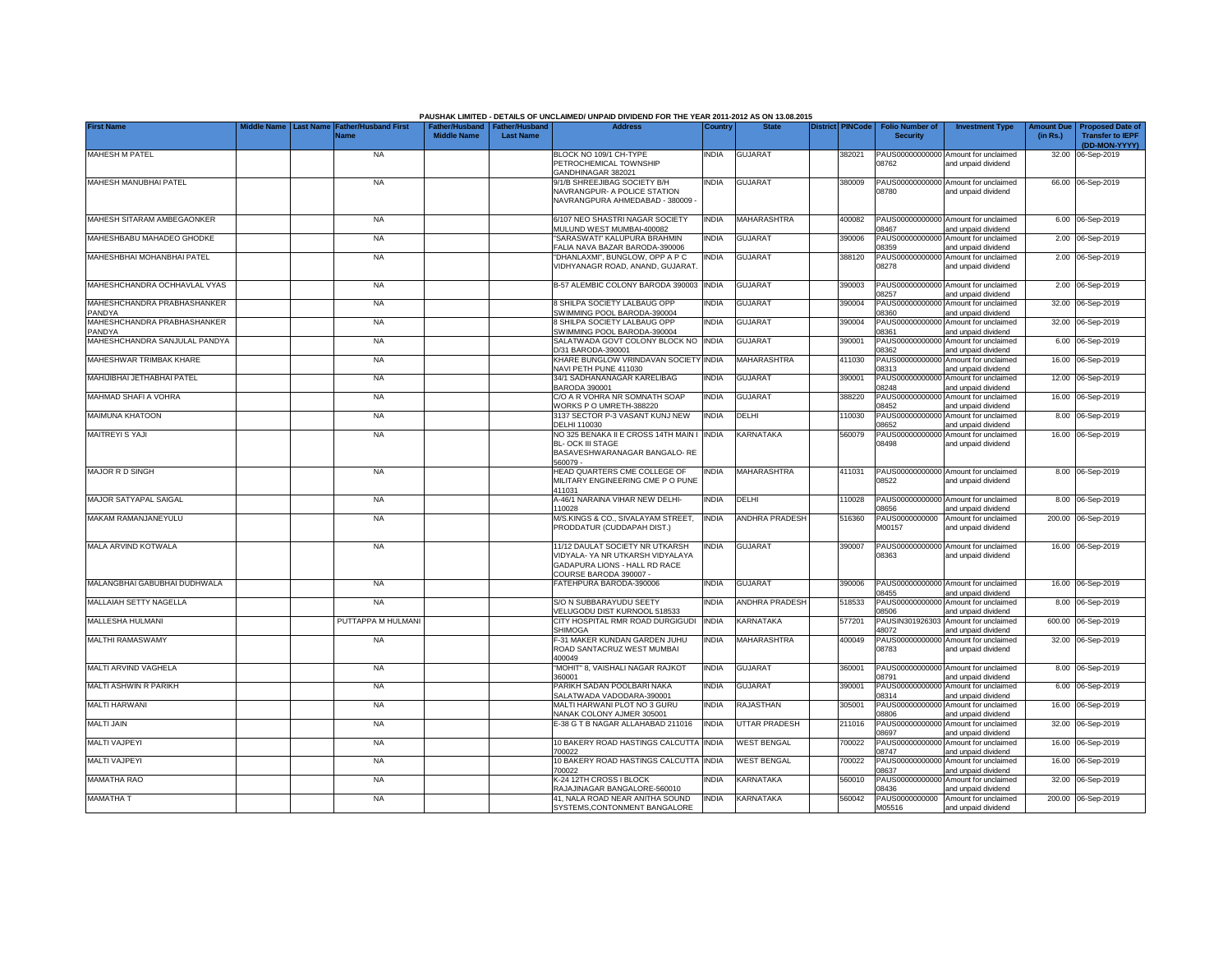|                                             |                                        |                                            |                                                       |                  | PAUSHAK LIMITED - DETAILS OF UNCLAIMED/ UNPAID DIVIDEND FOR THE YEAR 2011-2012 AS ON 13.08.2015                                |              |                       |                         |                                           |                                                                                    |                               |                                                                     |
|---------------------------------------------|----------------------------------------|--------------------------------------------|-------------------------------------------------------|------------------|--------------------------------------------------------------------------------------------------------------------------------|--------------|-----------------------|-------------------------|-------------------------------------------|------------------------------------------------------------------------------------|-------------------------------|---------------------------------------------------------------------|
| <b>First Name</b>                           | <b>Middle Name</b><br><b>Last Name</b> | <b>Father/Husband First</b><br><b>Name</b> | Father/Husband   Father/Husband<br><b>Middle Name</b> | <b>Last Name</b> | <b>Address</b>                                                                                                                 | Country      | <b>State</b>          | <b>District PINCode</b> | <b>Folio Number of</b><br><b>Security</b> | <b>Investment Type</b>                                                             | <b>Amount Due</b><br>(in Rs.) | <b>Proposed Date of</b><br><b>Transfer to IEPF</b><br>(DD-MON-YYYY) |
| <b>MAHESH M PATEL</b>                       |                                        | <b>NA</b>                                  |                                                       |                  | BLOCK NO 109/1 CH-TYPE<br>PETROCHEMICAL TOWNSHIP                                                                               | <b>INDIA</b> | <b>GUJARAT</b>        | 382021                  | 08762                                     | PAUS00000000000 Amount for unclaimed<br>and unpaid dividend                        |                               | 32.00 06-Sep-2019                                                   |
| MAHESH MANUBHAI PATEL                       |                                        | <b>NA</b>                                  |                                                       |                  | GANDHINAGAR 382021<br>9/1/B SHREEJIBAG SOCIETY B/H<br>NAVRANGPUR- A POLICE STATION<br>NAVRANGPURA AHMEDABAD - 380009           | <b>INDIA</b> | <b>GUJARAT</b>        | 380009                  | 08780                                     | PAUS00000000000 Amount for unclaimed<br>and unpaid dividend                        |                               | 66.00 06-Sep-2019                                                   |
| MAHESH SITARAM AMBEGAONKER                  |                                        | <b>NA</b>                                  |                                                       |                  | 6/107 NEO SHASTRI NAGAR SOCIETY                                                                                                | <b>INDIA</b> | MAHARASHTRA           | 400082                  |                                           | PAUS00000000000 Amount for unclaimed                                               |                               | 6.00 06-Sep-2019                                                    |
| MAHESHBABU MAHADEO GHODKE                   |                                        | <b>NA</b>                                  |                                                       |                  | MULUND WEST MUMBAI-400082<br>"SARASWATI" KALUPURA BRAHMIN<br>FALIA NAVA BAZAR BARODA-390006                                    | <b>INDIA</b> | <b>GUJARAT</b>        | 390006                  | 08467<br>08359                            | and unpaid dividend<br>PAUS00000000000 Amount for unclaimed<br>and unpaid dividend |                               | 2.00 06-Sep-2019                                                    |
| MAHESHBHAI MOHANBHAI PATEL                  |                                        | <b>NA</b>                                  |                                                       |                  | "DHANLAXMI", BUNGLOW, OPP A P C<br>VIDHYANAGR ROAD, ANAND, GUJARAT                                                             | INDIA        | <b>GUJARAT</b>        | 388120                  | 08278                                     | PAUS00000000000 Amount for unclaimed<br>and unpaid dividend                        |                               | 2.00 06-Sep-2019                                                    |
| MAHESHCHANDRA OCHHAVLAL VYAS                |                                        | <b>NA</b>                                  |                                                       |                  | B-57 ALEMBIC COLONY BARODA 390003                                                                                              | <b>INDIA</b> | <b>GUJARAT</b>        | 390003                  | PAUS00000000000<br>08257                  | Amount for unclaimed<br>and unpaid dividend                                        |                               | 2.00 06-Sep-2019                                                    |
| MAHESHCHANDRA PRABHASHANKER<br><b>ANDYA</b> |                                        | <b>NA</b>                                  |                                                       |                  | <b>8 SHILPA SOCIETY LALBAUG OPP</b><br>SWIMMING POOL BARODA-390004                                                             | <b>INDIA</b> | <b>GUJARAT</b>        | 390004                  | PAUS00000000000<br>08360                  | Amount for unclaimed<br>and unpaid dividend                                        |                               | 32.00 06-Sep-2019                                                   |
| MAHESHCHANDRA PRABHASHANKER<br><b>ANDYA</b> |                                        | <b>NA</b>                                  |                                                       |                  | <b>8 SHILPA SOCIETY LALBAUG OPP</b><br>SWIMMING POOL BARODA-390004                                                             | <b>INDIA</b> | <b>GUJARAT</b>        | 390004                  | PAUS00000000000<br>08361                  | Amount for unclaimed<br>and unpaid dividend                                        |                               | 32.00 06-Sep-2019                                                   |
| MAHESHCHANDRA SANJULAL PANDYA               |                                        | <b>NA</b>                                  |                                                       |                  | SALATWADA GOVT COLONY BLOCK NO INDIA<br>D/31 BARODA-390001                                                                     |              | <b>GUJARAT</b>        | 390001                  | PAUS00000000000<br>08362                  | Amount for unclaimed<br>and unpaid dividend                                        |                               | 6.00 06-Sep-2019                                                    |
| MAHESHWAR TRIMBAK KHARE                     |                                        | <b>NA</b>                                  |                                                       |                  | KHARE BUNGLOW VRINDAVAN SOCIETY INDIA<br>NAVI PETH PUNE 411030                                                                 |              | MAHARASHTRA           | 411030                  | PAUS00000000000<br>08313                  | Amount for unclaimed<br>and unpaid dividend                                        |                               | 16.00 06-Sep-2019                                                   |
| MAHIJIBHAI JETHABHAI PATEL                  |                                        | <b>NA</b>                                  |                                                       |                  | 34/1 SADHANANAGAR KARELIBAG<br>BARODA 390001                                                                                   | <b>INDIA</b> | <b>GUJARAT</b>        | 390001                  | PAUS00000000000<br>08248                  | Amount for unclaimed<br>and unpaid dividend                                        |                               | 12.00 06-Sep-2019                                                   |
| MAHMAD SHAFI A VOHRA                        |                                        | <b>NA</b>                                  |                                                       |                  | C/O A R VOHRA NR SOMNATH SOAP<br>WORKS PO UMRETH-388220                                                                        | <b>INDIA</b> | <b>GUJARAT</b>        | 388220                  | PAUS00000000000<br>08452                  | Amount for unclaimed<br>and unpaid dividend                                        |                               | 16.00 06-Sep-2019                                                   |
| <b>MAIMUNA KHATOON</b>                      |                                        | <b>NA</b>                                  |                                                       |                  | 3137 SECTOR P-3 VASANT KUNJ NEW<br>DELHI 110030                                                                                | <b>INDIA</b> | DELHI                 | 10030                   | 08652                                     | PAUS00000000000 Amount for unclaimed<br>and unpaid dividend                        |                               | 8.00 06-Sep-2019                                                    |
| <b>MAITREYI S YAJI</b>                      |                                        | <b>NA</b>                                  |                                                       |                  | NO 325 BENAKA II E CROSS 14TH MAIN I INDIA<br><b>BL- OCK III STAGE</b><br>BASAVESHWARANAGAR BANGALO-RE<br>560079 -             |              | <b>KARNATAKA</b>      | 560079                  | 08498                                     | PAUS00000000000 Amount for unclaimed<br>and unpaid dividend                        |                               | 16.00 06-Sep-2019                                                   |
| <b>MAJOR R D SINGH</b>                      |                                        | <b>NA</b>                                  |                                                       |                  | HEAD QUARTERS CME COLLEGE OF<br>MILITARY ENGINEERING CME P O PUNE<br>411031                                                    | <b>INDIA</b> | MAHARASHTRA           | 411031                  | 08522                                     | PAUS00000000000 Amount for unclaimed<br>and unpaid dividend                        |                               | 8.00 06-Sep-2019                                                    |
| MAJOR SATYAPAL SAIGAL                       |                                        | <b>NA</b>                                  |                                                       |                  | A-46/1 NARAINA VIHAR NEW DELHI-<br>110028                                                                                      | INDIA        | DELHI                 | 10028                   | 08656                                     | PAUS00000000000 Amount for unclaimed<br>and unpaid dividend                        |                               | 8.00 06-Sep-2019                                                    |
| MAKAM RAMANJANEYULU                         |                                        | <b>NA</b>                                  |                                                       |                  | M/S.KINGS & CO., SIVALAYAM STREET,<br>PRODDATUR (CUDDAPAH DIST.)                                                               | <b>INDIA</b> | <b>ANDHRA PRADESH</b> | 516360                  | PAUS0000000000<br>M00157                  | Amount for unclaimed<br>and unpaid dividend                                        |                               | 200.00 06-Sep-2019                                                  |
| MALA ARVIND KOTWALA                         |                                        | <b>NA</b>                                  |                                                       |                  | 11/12 DAULAT SOCIETY NR UTKARSH<br>VIDYALA- YA NR UTKARSH VIDYALAYA<br>GADAPURA LIONS - HALL RD RACE<br>COURSE BARODA 390007 - | <b>INDIA</b> | <b>GUJARAT</b>        | 390007                  | 08363                                     | PAUS00000000000 Amount for unclaimed<br>and unpaid dividend                        |                               | 16.00 06-Sep-2019                                                   |
| MALANGBHAI GABUBHAI DUDHWALA                |                                        | NA                                         |                                                       |                  | FATEHPURA BARODA-390006                                                                                                        | <b>INDIA</b> | <b>GUJARAT</b>        | 390006                  | 08455                                     | PAUS00000000000 Amount for unclaimed<br>and unpaid dividend                        |                               | 16.00 06-Sep-2019                                                   |
| MALLAIAH SETTY NAGELLA                      |                                        | NA                                         |                                                       |                  | S/O N SUBBARAYUDU SEETY<br>VELUGODU DIST KURNOOL 518533                                                                        | <b>INDIA</b> | <b>ANDHRA PRADESH</b> | 518533                  | 08506                                     | PAUS00000000000 Amount for unclaimed<br>and unpaid dividend                        |                               | 8.00 06-Sep-2019                                                    |
| MALLESHA HULMANI                            |                                        | PUTTAPPA M HULMANI                         |                                                       |                  | CITY HOSPITAL RMR ROAD DURGIGUDI<br><b>SHIMOGA</b>                                                                             | <b>INDIA</b> | KARNATAKA             | 577201                  | 18072                                     | PAUSIN301926303 Amount for unclaimed<br>and unpaid dividend                        |                               | 600.00 06-Sep-2019                                                  |
| <b>MALTHI RAMASWAMY</b>                     |                                        | <b>NA</b>                                  |                                                       |                  | -31 MAKER KUNDAN GARDEN JUHU<br>ROAD SANTACRUZ WEST MUMBAI<br>400049                                                           | <b>INDIA</b> | MAHARASHTRA           | 400049                  | 08783                                     | PAUS00000000000 Amount for unclaimed<br>and unpaid dividend                        |                               | 32.00 06-Sep-2019                                                   |
| MALTI ARVIND VAGHELA                        |                                        | <b>NA</b>                                  |                                                       |                  | "MOHIT" 8, VAISHALI NAGAR RAJKOT<br>360001                                                                                     | <b>INDIA</b> | <b>GUJARAT</b>        | 360001                  | 08791                                     | PAUS00000000000 Amount for unclaimed<br>and unpaid dividend                        |                               | 8.00 06-Sep-2019                                                    |
| MALTI ASHWIN R PARIKH                       |                                        | <b>NA</b>                                  |                                                       |                  | PARIKH SADAN POOLBARI NAKA<br>SALATWADA VADODARA-390001                                                                        | <b>INDIA</b> | <b>GUJARAT</b>        | 390001                  | PAUS00000000000<br>08314                  | Amount for unclaimed<br>and unpaid dividend                                        |                               | 6.00 06-Sep-2019                                                    |
| <b>MALTI HARWANI</b>                        |                                        | <b>NA</b>                                  |                                                       |                  | MALTI HARWANI PLOT NO 3 GURU<br>NANAK COLONY AJMER 305001                                                                      | <b>INDIA</b> | <b>RAJASTHAN</b>      | 305001                  | PAUS00000000000<br>8806                   | Amount for unclaimed<br>and unpaid dividend                                        |                               | 16.00 06-Sep-2019                                                   |
| <b>MALTI JAIN</b>                           |                                        | <b>NA</b>                                  |                                                       |                  | E-38 G T B NAGAR ALLAHABAD 211016                                                                                              | <b>INDIA</b> | <b>UTTAR PRADESH</b>  | 211016                  | PAUS00000000000<br>08697                  | Amount for unclaimed<br>and unpaid dividend                                        |                               | 32.00 06-Sep-2019                                                   |
| <b>MALTI VAJPEYI</b>                        |                                        | <b>NA</b>                                  |                                                       |                  | 10 BAKERY ROAD HASTINGS CALCUTTA INDIA<br>700022                                                                               |              | <b>WEST BENGAL</b>    | 700022                  | PAUS00000000000<br>08747                  | Amount for unclaimed<br>and unpaid dividend                                        |                               | 16.00 06-Sep-2019                                                   |
| <b>MALTI VAJPEYI</b>                        |                                        | <b>NA</b>                                  |                                                       |                  | 10 BAKERY ROAD HASTINGS CALCUTTA INDIA<br>700022                                                                               |              | <b>WEST BENGAL</b>    | 700022                  | PAUS00000000000<br>08637                  | Amount for unclaimed<br>and unpaid dividend                                        |                               | 16.00 06-Sep-2019                                                   |
| <b>MAMATHA RAO</b>                          |                                        | <b>NA</b>                                  |                                                       |                  | <b>&lt;-24 12TH CROSS I BLOCK</b><br>RAJAJINAGAR BANGALORE-560010                                                              | <b>INDIA</b> | KARNATAKA             | 560010                  | PAUS00000000000<br>08436                  | Amount for unclaimed<br>and unpaid dividend                                        |                               | 32.00 06-Sep-2019                                                   |
| <b>MAMATHA T</b>                            |                                        | <b>NA</b>                                  |                                                       |                  | 41, NALA ROAD NEAR ANITHA SOUND<br>SYSTEMS, CONTONMENT BANGALORE                                                               | <b>INDIA</b> | <b>KARNATAKA</b>      | 560042                  | PAUS0000000000<br>M05516                  | Amount for unclaimed<br>and unpaid dividend                                        |                               | 200.00 06-Sep-2019                                                  |

## **PAUSHAK LIMITED - DETAILS OF UNCLAIMED/ UNPAID DIVIDEND FOR THE YEAR 2011-2012 AS ON 13.08.2015**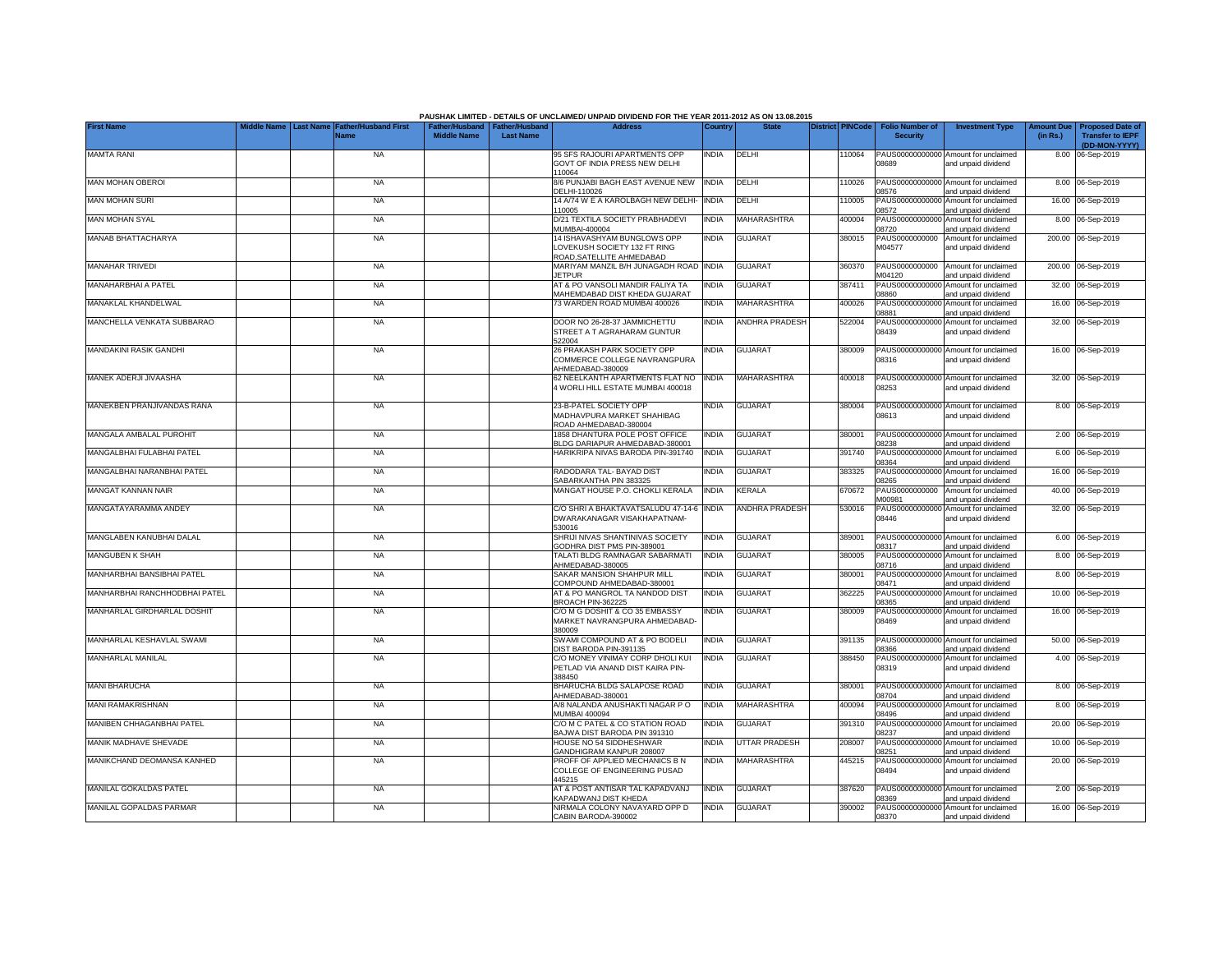| <b>Last Name</b><br>Father/Husband   Father/Husband<br>Name<br><b>Middle Name</b><br><b>Last Name</b><br>(in Rs.)<br><b>Transfer to IEPF</b><br><b>Security</b><br>(DD-MON-YYYY)<br><b>MAMTA RANI</b><br><b>NA</b><br>95 SFS RAJOURI APARTMENTS OPP<br><b>INDIA</b><br>DELHI<br>110064<br>PAUS00000000000 Amount for unclaimed<br>8.00 06-Sep-2019<br>GOVT OF INDIA PRESS NEW DELHI<br>08689<br>and unpaid dividend<br>110064<br>8/6 PUNJABI BAGH EAST AVENUE NEW<br><b>INDIA</b><br>DELHI<br>PAUS00000000000 Amount for unclaimed<br>MAN MOHAN OBEROI<br><b>NA</b><br>110026<br>8.00 06-Sep-2019<br>DELHI-110026<br>08576<br>and unpaid dividend<br><b>MAN MOHAN SURI</b><br><b>NA</b><br>14 A/74 W E A KAROLBAGH NEW DELHI-<br><b>INDIA</b><br>DELHI<br>PAUS00000000000<br>Amount for unclaimed<br>110005<br>16.00 06-Sep-2019<br>110005<br>08572<br>and unpaid dividend<br>MAN MOHAN SYAL<br><b>MAHARASHTRA</b><br>PAUS00000000000<br><b>NA</b><br>D/21 TEXTILA SOCIETY PRABHADEVI<br><b>INDIA</b><br>Amount for unclaimed<br>8.00 06-Sep-2019<br>400004<br>MUMBAI-400004<br>08720<br>and unpaid dividend<br><b>MANAB BHATTACHARYA</b><br>PAUS0000000000<br><b>NA</b><br>14 ISHAVASHYAM BUNGLOWS OPP<br><b>INDIA</b><br><b>GUJARAT</b><br>380015<br>Amount for unclaimed<br>200.00 06-Sep-2019<br>LOVEKUSH SOCIETY 132 FT RING<br>M04577<br>and unpaid dividend<br>ROAD.SATELLITE AHMEDABAD<br><b>MANAHAR TRIVEDI</b><br><b>NA</b><br>MARIYAM MANZIL B/H JUNAGADH ROAD INDIA<br><b>GUJARAT</b><br>PAUS0000000000<br>200.00 06-Sep-2019<br>360370<br>Amount for unclaimed<br><b>JETPUR</b><br>M04120<br>and unpaid dividend<br>AT & PO VANSOLI MANDIR FALIYA TA<br>MANAHARBHAI A PATEL<br><b>NA</b><br><b>INDIA</b><br><b>GUJARAT</b><br>387411<br>PAUS0000000000<br>Amount for unclaimed<br>32.00 06-Sep-2019<br>MAHEMDABAD DIST KHEDA GUJARAT<br>03860<br>and unpaid dividend<br>MANAKLAL KHANDELWAL<br>73 WARDEN ROAD MUMBAI 400026<br>MAHARASHTRA<br>PAUS0000000000<br><b>NA</b><br><b>INDIA</b><br>400026<br>Amount for unclaimed<br>16.00<br>06-Sep-2019<br>8881<br>and unpaid dividend<br>MANCHELLA VENKATA SUBBARAO<br>DOOR NO 26-28-37 JAMMICHETTU<br><b>ANDHRA PRADESH</b><br>PAUS00000000000<br>Amount for unclaimed<br>32.00 06-Sep-2019<br>NA<br><b>INDIA</b><br>522004<br>STREET A T AGRAHARAM GUNTUR<br>08439<br>and unpaid dividend<br>522004<br><b>MANDAKINI RASIK GANDHI</b><br><b>NA</b><br>26 PRAKASH PARK SOCIETY OPP<br><b>INDIA</b><br><b>GUJARAT</b><br>380009<br>PAUS00000000000 Amount for unclaimed<br>16.00 06-Sep-2019<br>COMMERCE COLLEGE NAVRANGPURA<br>8316<br>and unpaid dividend<br>AHMEDABAD-380009<br><b>INDIA</b><br>MAHARASHTRA<br>PAUS00000000000 Amount for unclaimed<br>32.00 06-Sep-2019<br>MANEK ADERJI JIVAASHA<br><b>NA</b><br>62 NEELKANTH APARTMENTS FLAT NO<br>400018<br>4 WORLI HILL ESTATE MUMBAI 400018<br>08253<br>and unpaid dividend<br>MANEKBEN PRANJIVANDAS RANA<br><b>NA</b><br>23-B-PATEL SOCIETY OPP<br><b>INDIA</b><br><b>GUJARAT</b><br>380004<br>PAUS00000000000 Amount for unclaimed<br>8.00 06-Sep-2019<br>MADHAVPURA MARKET SHAHIBAG<br>08613<br>and unpaid dividend<br>ROAD AHMEDABAD-380004<br><b>GUJARAT</b><br>PAUS00000000000 Amount for unclaimed<br>MANGALA AMBALAL PUROHIT<br><b>NA</b><br>1858 DHANTURA POLE POST OFFICE<br><b>INDIA</b><br>380001<br>2.00 06-Sep-2019<br>BLDG DARIAPUR AHMEDABAD-380001<br>08238<br>and unpaid dividend<br>MANGALBHAI FULABHAI PATEL<br>HARIKRIPA NIVAS BARODA PIN-391740<br><b>INDIA</b><br><b>GUJARAT</b><br>391740<br>PAUS00000000000 Amount for unclaimed<br>6.00 06-Sep-2019<br><b>NA</b><br>08364<br>and unpaid dividend<br>MANGALBHAI NARANBHAI PATEL<br><b>NA</b><br>RADODARA TAL-BAYAD DIST<br><b>INDIA</b><br><b>GUJARAT</b><br>383325<br>PAUS0000000000<br>16.00 06-Sep-2019<br>Amount for unclaimed<br>SABARKANTHA PIN 383325<br>08265<br>and unpaid dividend<br>MANGAT KANNAN NAIR<br><b>INDIA</b><br><b>NA</b><br>MANGAT HOUSE P.O. CHOKLI KERALA<br>KERALA<br>670672<br>PAUS0000000000<br>Amount for unclaimed<br>40.00<br>06-Sep-2019<br>M00981<br>and unpaid dividend<br>MANGATAYARAMMA ANDEY<br>C/O SHRI A BHAKTAVATSALUDU 47-14-6<br><b>INDIA</b><br><b>ANDHRA PRADESH</b><br>PAUS0000000000<br>32.00 06-Sep-2019<br><b>NA</b><br>530016<br>Amount for unclaimed<br>DWARAKANAGAR VISAKHAPATNAM-<br>08446<br>and unpaid dividend<br>530016<br>MANGLABEN KANUBHAI DALAL<br><b>NA</b><br>SHRIJI NIVAS SHANTINIVAS SOCIETY<br><b>INDIA</b><br><b>GUJARAT</b><br>389001<br>PAUS0000000000<br>Amount for unclaimed<br>6.00 06-Sep-2019<br>GODHRA DIST PMS PIN-389001<br>08317<br>and unpaid dividend<br><b>MANGUBEN K SHAH</b><br><b>NA</b><br>TALATI BLDG RAMNAGAR SABARMATI<br><b>INDIA</b><br><b>GUJARAT</b><br>380005<br>PAUS0000000000<br>Amount for unclaimed<br>8.00 06-Sep-2019<br>AHMEDABAD-380005<br>08716<br>and unpaid dividend<br>MANHARBHAI BANSIBHAI PATEL<br>SAKAR MANSION SHAHPUR MILL<br><b>GUJARAT</b><br><b>NA</b><br><b>INDIA</b><br>380001<br>PAUS00000000000<br>Amount for unclaimed<br>8.00 06-Sep-2019<br>COMPOUND AHMEDABAD-380001<br>08471<br>and unpaid dividend<br>AT & PO MANGROL TA NANDOD DIST<br>MANHARBHAI RANCHHODBHAI PATEL<br><b>NA</b><br><b>INDIA</b><br><b>GUJARAT</b><br>362225<br>PAUS00000000000 Amount for unclaimed<br>10.00 06-Sep-2019<br>08365<br>BROACH PIN-362225<br>and unpaid dividend<br><b>INDIA</b><br><b>GUJARAT</b><br>PAUS00000000000 Amount for unclaimed<br>MANHARLAL GIRDHARLAL DOSHIT<br><b>NA</b><br>C/O M G DOSHIT & CO 35 EMBASSY<br>380009<br>16.00 06-Sep-2019<br>08469<br>MARKET NAVRANGPURA AHMEDABAD-<br>and unpaid dividend<br>380009<br>MANHARLAL KESHAVLAL SWAMI<br><b>INDIA</b><br><b>NA</b><br>SWAMI COMPOUND AT & PO BODELI<br><b>GUJARAT</b><br>391135<br>PAUS00000000000 Amount for unclaimed<br>50.00 06-Sep-2019<br>DIST BARODA PIN-391135<br>08366<br>and unpaid dividend<br><b>MANHARLAL MANILAL</b><br><b>NA</b><br>C/O MONEY VINIMAY CORP DHOLI KUI<br>India<br><b>GUJARAT</b><br>388450<br>PAUS00000000000<br>Amount for unclaimed<br>4.00 06-Sep-2019<br>PETLAD VIA ANAND DIST KAIRA PIN-<br>08319<br>and unpaid dividend<br>388450<br><b>MANI BHARUCHA</b><br><b>NA</b><br>BHARUCHA BLDG SALAPOSE ROAD<br><b>INDIA</b><br><b>GUJARAT</b><br>380001<br>PAUS00000000000 Amount for unclaimed<br>8.00 06-Sep-2019<br>08704<br>AHMEDABAD-380001<br>and unpaid dividend<br><b>MANI RAMAKRISHNAN</b><br>A/8 NALANDA ANUSHAKTI NAGAR P O<br><b>INDIA</b><br>MAHARASHTRA<br>400094<br>PAUS00000000000<br>Amount for unclaimed<br><b>NA</b><br>8.00 06-Sep-2019<br>MUMBAI 400094<br>08496<br>and unpaid dividend<br>MANIBEN CHHAGANBHAI PATEL<br>C/O M C PATEL & CO STATION ROAD<br><b>INDIA</b><br><b>GUJARAT</b><br>391310<br>PAUS00000000000<br>Amount for unclaimed<br>20.00 06-Sep-2019<br><b>NA</b><br>BAJWA DIST BARODA PIN 391310<br>08237<br>and unpaid dividend<br>MANIK MADHAVE SHEVADE<br><b>UTTAR PRADESH</b><br><b>NA</b><br>HOUSE NO 54 SIDDHESHWAR<br><b>INDIA</b><br>208007<br>PAUS00000000000 Amount for unclaimed<br>10.00 06-Sep-2019<br>GANDHIGRAM KANPUR 208007<br>08251<br>and unpaid dividend<br>MANIKCHAND DEOMANSA KANHED<br><b>NA</b><br>PROFF OF APPLIED MECHANICS B N<br><b>INDIA</b><br>MAHARASHTRA<br>445215<br>PAUS00000000000 Amount for unclaimed<br>20.00 06-Sep-2019<br>COLLEGE OF ENGINEERING PUSAD<br>08494<br>and unpaid dividend<br>445215<br>MANILAL GOKALDAS PATEL<br>AT & POST ANTISAR TAL KAPADVANJ<br><b>INDIA</b><br><b>NA</b><br><b>GUJARAT</b><br>387620<br>PAUS00000000000 Amount for unclaimed<br>2.00 06-Sep-2019<br>KAPADWANJ DIST KHEDA<br>08369<br>and unpaid dividend<br>NIRMALA COLONY NAVAYARD OPP D<br>MANILAL GOPALDAS PARMAR<br><b>INDIA</b><br><b>GUJARAT</b><br>390002<br>16.00 06-Sep-2019<br><b>NA</b><br>PAUS00000000000 Amount for unclaimed<br>CABIN BARODA-390002<br>08370<br>and unpaid dividend |                   |            |                             |  | PAUSHAK LIMITED - DETAILS OF UNCLAIMED/ UNPAID DIVIDEND FOR THE YEAR 2011-2012 AS ON 13.08.2015 |         |              |                         |                        |                        |                   |                         |
|-------------------------------------------------------------------------------------------------------------------------------------------------------------------------------------------------------------------------------------------------------------------------------------------------------------------------------------------------------------------------------------------------------------------------------------------------------------------------------------------------------------------------------------------------------------------------------------------------------------------------------------------------------------------------------------------------------------------------------------------------------------------------------------------------------------------------------------------------------------------------------------------------------------------------------------------------------------------------------------------------------------------------------------------------------------------------------------------------------------------------------------------------------------------------------------------------------------------------------------------------------------------------------------------------------------------------------------------------------------------------------------------------------------------------------------------------------------------------------------------------------------------------------------------------------------------------------------------------------------------------------------------------------------------------------------------------------------------------------------------------------------------------------------------------------------------------------------------------------------------------------------------------------------------------------------------------------------------------------------------------------------------------------------------------------------------------------------------------------------------------------------------------------------------------------------------------------------------------------------------------------------------------------------------------------------------------------------------------------------------------------------------------------------------------------------------------------------------------------------------------------------------------------------------------------------------------------------------------------------------------------------------------------------------------------------------------------------------------------------------------------------------------------------------------------------------------------------------------------------------------------------------------------------------------------------------------------------------------------------------------------------------------------------------------------------------------------------------------------------------------------------------------------------------------------------------------------------------------------------------------------------------------------------------------------------------------------------------------------------------------------------------------------------------------------------------------------------------------------------------------------------------------------------------------------------------------------------------------------------------------------------------------------------------------------------------------------------------------------------------------------------------------------------------------------------------------------------------------------------------------------------------------------------------------------------------------------------------------------------------------------------------------------------------------------------------------------------------------------------------------------------------------------------------------------------------------------------------------------------------------------------------------------------------------------------------------------------------------------------------------------------------------------------------------------------------------------------------------------------------------------------------------------------------------------------------------------------------------------------------------------------------------------------------------------------------------------------------------------------------------------------------------------------------------------------------------------------------------------------------------------------------------------------------------------------------------------------------------------------------------------------------------------------------------------------------------------------------------------------------------------------------------------------------------------------------------------------------------------------------------------------------------------------------------------------------------------------------------------------------------------------------------------------------------------------------------------------------------------------------------------------------------------------------------------------------------------------------------------------------------------------------------------------------------------------------------------------------------------------------------------------------------------------------------------------------------------------------------------------------------------------------------------------------------------------------------------------------------------------------------------------------------------------------------------------------------------------------------------------------------------------------------------------------------------------------------------------------------------------------------------------------------------------------------------------------------------------------------------------------------------------------------------------------------------------------------------------------------------------------------------------------------------------------------------------------------------------------------------------------------------------------------------------------------------------------------------------------------------------------------------------------------------------------------------------------------------------------------------------------------------------------------------------------------------------------------------------------------------------------------------------------------------------------------------------------------------------------------------------------------------------------------------------------------------------------------------------------------------------------------------------------------------------------------------------------------------------------------------------------------------------------------------------------------------------------------------------------------------------------------------------------------------------------------------------------------------------------------------------------------------------------------------------------------------------------------------------------------------------------------------------------------------------------------------------------------------------------------------------------------------|-------------------|------------|-----------------------------|--|-------------------------------------------------------------------------------------------------|---------|--------------|-------------------------|------------------------|------------------------|-------------------|-------------------------|
|                                                                                                                                                                                                                                                                                                                                                                                                                                                                                                                                                                                                                                                                                                                                                                                                                                                                                                                                                                                                                                                                                                                                                                                                                                                                                                                                                                                                                                                                                                                                                                                                                                                                                                                                                                                                                                                                                                                                                                                                                                                                                                                                                                                                                                                                                                                                                                                                                                                                                                                                                                                                                                                                                                                                                                                                                                                                                                                                                                                                                                                                                                                                                                                                                                                                                                                                                                                                                                                                                                                                                                                                                                                                                                                                                                                                                                                                                                                                                                                                                                                                                                                                                                                                                                                                                                                                                                                                                                                                                                                                                                                                                                                                                                                                                                                                                                                                                                                                                                                                                                                                                                                                                                                                                                                                                                                                                                                                                                                                                                                                                                                                                                                                                                                                                                                                                                                                                                                                                                                                                                                                                                                                                                                                                                                                                                                                                                                                                                                                                                                                                                                                                                                                                                                                                                                                                                                                                                                                                                                                                                                                                                                                                                                                                                                                                                                                                                                                                                                                                                                                                                                                                                                                                                                                                                                                                                                                               | <b>First Name</b> | iddle Name | <b>Father/Husband First</b> |  | <b>Address</b>                                                                                  | Country | <b>State</b> | <b>District PINCode</b> | <b>Folio Number of</b> | <b>Investment Type</b> | <b>Amount Due</b> | <b>Proposed Date of</b> |
|                                                                                                                                                                                                                                                                                                                                                                                                                                                                                                                                                                                                                                                                                                                                                                                                                                                                                                                                                                                                                                                                                                                                                                                                                                                                                                                                                                                                                                                                                                                                                                                                                                                                                                                                                                                                                                                                                                                                                                                                                                                                                                                                                                                                                                                                                                                                                                                                                                                                                                                                                                                                                                                                                                                                                                                                                                                                                                                                                                                                                                                                                                                                                                                                                                                                                                                                                                                                                                                                                                                                                                                                                                                                                                                                                                                                                                                                                                                                                                                                                                                                                                                                                                                                                                                                                                                                                                                                                                                                                                                                                                                                                                                                                                                                                                                                                                                                                                                                                                                                                                                                                                                                                                                                                                                                                                                                                                                                                                                                                                                                                                                                                                                                                                                                                                                                                                                                                                                                                                                                                                                                                                                                                                                                                                                                                                                                                                                                                                                                                                                                                                                                                                                                                                                                                                                                                                                                                                                                                                                                                                                                                                                                                                                                                                                                                                                                                                                                                                                                                                                                                                                                                                                                                                                                                                                                                                                                               |                   |            |                             |  |                                                                                                 |         |              |                         |                        |                        |                   |                         |
|                                                                                                                                                                                                                                                                                                                                                                                                                                                                                                                                                                                                                                                                                                                                                                                                                                                                                                                                                                                                                                                                                                                                                                                                                                                                                                                                                                                                                                                                                                                                                                                                                                                                                                                                                                                                                                                                                                                                                                                                                                                                                                                                                                                                                                                                                                                                                                                                                                                                                                                                                                                                                                                                                                                                                                                                                                                                                                                                                                                                                                                                                                                                                                                                                                                                                                                                                                                                                                                                                                                                                                                                                                                                                                                                                                                                                                                                                                                                                                                                                                                                                                                                                                                                                                                                                                                                                                                                                                                                                                                                                                                                                                                                                                                                                                                                                                                                                                                                                                                                                                                                                                                                                                                                                                                                                                                                                                                                                                                                                                                                                                                                                                                                                                                                                                                                                                                                                                                                                                                                                                                                                                                                                                                                                                                                                                                                                                                                                                                                                                                                                                                                                                                                                                                                                                                                                                                                                                                                                                                                                                                                                                                                                                                                                                                                                                                                                                                                                                                                                                                                                                                                                                                                                                                                                                                                                                                                               |                   |            |                             |  |                                                                                                 |         |              |                         |                        |                        |                   |                         |
|                                                                                                                                                                                                                                                                                                                                                                                                                                                                                                                                                                                                                                                                                                                                                                                                                                                                                                                                                                                                                                                                                                                                                                                                                                                                                                                                                                                                                                                                                                                                                                                                                                                                                                                                                                                                                                                                                                                                                                                                                                                                                                                                                                                                                                                                                                                                                                                                                                                                                                                                                                                                                                                                                                                                                                                                                                                                                                                                                                                                                                                                                                                                                                                                                                                                                                                                                                                                                                                                                                                                                                                                                                                                                                                                                                                                                                                                                                                                                                                                                                                                                                                                                                                                                                                                                                                                                                                                                                                                                                                                                                                                                                                                                                                                                                                                                                                                                                                                                                                                                                                                                                                                                                                                                                                                                                                                                                                                                                                                                                                                                                                                                                                                                                                                                                                                                                                                                                                                                                                                                                                                                                                                                                                                                                                                                                                                                                                                                                                                                                                                                                                                                                                                                                                                                                                                                                                                                                                                                                                                                                                                                                                                                                                                                                                                                                                                                                                                                                                                                                                                                                                                                                                                                                                                                                                                                                                                               |                   |            |                             |  |                                                                                                 |         |              |                         |                        |                        |                   |                         |
|                                                                                                                                                                                                                                                                                                                                                                                                                                                                                                                                                                                                                                                                                                                                                                                                                                                                                                                                                                                                                                                                                                                                                                                                                                                                                                                                                                                                                                                                                                                                                                                                                                                                                                                                                                                                                                                                                                                                                                                                                                                                                                                                                                                                                                                                                                                                                                                                                                                                                                                                                                                                                                                                                                                                                                                                                                                                                                                                                                                                                                                                                                                                                                                                                                                                                                                                                                                                                                                                                                                                                                                                                                                                                                                                                                                                                                                                                                                                                                                                                                                                                                                                                                                                                                                                                                                                                                                                                                                                                                                                                                                                                                                                                                                                                                                                                                                                                                                                                                                                                                                                                                                                                                                                                                                                                                                                                                                                                                                                                                                                                                                                                                                                                                                                                                                                                                                                                                                                                                                                                                                                                                                                                                                                                                                                                                                                                                                                                                                                                                                                                                                                                                                                                                                                                                                                                                                                                                                                                                                                                                                                                                                                                                                                                                                                                                                                                                                                                                                                                                                                                                                                                                                                                                                                                                                                                                                                               |                   |            |                             |  |                                                                                                 |         |              |                         |                        |                        |                   |                         |
|                                                                                                                                                                                                                                                                                                                                                                                                                                                                                                                                                                                                                                                                                                                                                                                                                                                                                                                                                                                                                                                                                                                                                                                                                                                                                                                                                                                                                                                                                                                                                                                                                                                                                                                                                                                                                                                                                                                                                                                                                                                                                                                                                                                                                                                                                                                                                                                                                                                                                                                                                                                                                                                                                                                                                                                                                                                                                                                                                                                                                                                                                                                                                                                                                                                                                                                                                                                                                                                                                                                                                                                                                                                                                                                                                                                                                                                                                                                                                                                                                                                                                                                                                                                                                                                                                                                                                                                                                                                                                                                                                                                                                                                                                                                                                                                                                                                                                                                                                                                                                                                                                                                                                                                                                                                                                                                                                                                                                                                                                                                                                                                                                                                                                                                                                                                                                                                                                                                                                                                                                                                                                                                                                                                                                                                                                                                                                                                                                                                                                                                                                                                                                                                                                                                                                                                                                                                                                                                                                                                                                                                                                                                                                                                                                                                                                                                                                                                                                                                                                                                                                                                                                                                                                                                                                                                                                                                                               |                   |            |                             |  |                                                                                                 |         |              |                         |                        |                        |                   |                         |
|                                                                                                                                                                                                                                                                                                                                                                                                                                                                                                                                                                                                                                                                                                                                                                                                                                                                                                                                                                                                                                                                                                                                                                                                                                                                                                                                                                                                                                                                                                                                                                                                                                                                                                                                                                                                                                                                                                                                                                                                                                                                                                                                                                                                                                                                                                                                                                                                                                                                                                                                                                                                                                                                                                                                                                                                                                                                                                                                                                                                                                                                                                                                                                                                                                                                                                                                                                                                                                                                                                                                                                                                                                                                                                                                                                                                                                                                                                                                                                                                                                                                                                                                                                                                                                                                                                                                                                                                                                                                                                                                                                                                                                                                                                                                                                                                                                                                                                                                                                                                                                                                                                                                                                                                                                                                                                                                                                                                                                                                                                                                                                                                                                                                                                                                                                                                                                                                                                                                                                                                                                                                                                                                                                                                                                                                                                                                                                                                                                                                                                                                                                                                                                                                                                                                                                                                                                                                                                                                                                                                                                                                                                                                                                                                                                                                                                                                                                                                                                                                                                                                                                                                                                                                                                                                                                                                                                                                               |                   |            |                             |  |                                                                                                 |         |              |                         |                        |                        |                   |                         |
|                                                                                                                                                                                                                                                                                                                                                                                                                                                                                                                                                                                                                                                                                                                                                                                                                                                                                                                                                                                                                                                                                                                                                                                                                                                                                                                                                                                                                                                                                                                                                                                                                                                                                                                                                                                                                                                                                                                                                                                                                                                                                                                                                                                                                                                                                                                                                                                                                                                                                                                                                                                                                                                                                                                                                                                                                                                                                                                                                                                                                                                                                                                                                                                                                                                                                                                                                                                                                                                                                                                                                                                                                                                                                                                                                                                                                                                                                                                                                                                                                                                                                                                                                                                                                                                                                                                                                                                                                                                                                                                                                                                                                                                                                                                                                                                                                                                                                                                                                                                                                                                                                                                                                                                                                                                                                                                                                                                                                                                                                                                                                                                                                                                                                                                                                                                                                                                                                                                                                                                                                                                                                                                                                                                                                                                                                                                                                                                                                                                                                                                                                                                                                                                                                                                                                                                                                                                                                                                                                                                                                                                                                                                                                                                                                                                                                                                                                                                                                                                                                                                                                                                                                                                                                                                                                                                                                                                                               |                   |            |                             |  |                                                                                                 |         |              |                         |                        |                        |                   |                         |
|                                                                                                                                                                                                                                                                                                                                                                                                                                                                                                                                                                                                                                                                                                                                                                                                                                                                                                                                                                                                                                                                                                                                                                                                                                                                                                                                                                                                                                                                                                                                                                                                                                                                                                                                                                                                                                                                                                                                                                                                                                                                                                                                                                                                                                                                                                                                                                                                                                                                                                                                                                                                                                                                                                                                                                                                                                                                                                                                                                                                                                                                                                                                                                                                                                                                                                                                                                                                                                                                                                                                                                                                                                                                                                                                                                                                                                                                                                                                                                                                                                                                                                                                                                                                                                                                                                                                                                                                                                                                                                                                                                                                                                                                                                                                                                                                                                                                                                                                                                                                                                                                                                                                                                                                                                                                                                                                                                                                                                                                                                                                                                                                                                                                                                                                                                                                                                                                                                                                                                                                                                                                                                                                                                                                                                                                                                                                                                                                                                                                                                                                                                                                                                                                                                                                                                                                                                                                                                                                                                                                                                                                                                                                                                                                                                                                                                                                                                                                                                                                                                                                                                                                                                                                                                                                                                                                                                                                               |                   |            |                             |  |                                                                                                 |         |              |                         |                        |                        |                   |                         |
|                                                                                                                                                                                                                                                                                                                                                                                                                                                                                                                                                                                                                                                                                                                                                                                                                                                                                                                                                                                                                                                                                                                                                                                                                                                                                                                                                                                                                                                                                                                                                                                                                                                                                                                                                                                                                                                                                                                                                                                                                                                                                                                                                                                                                                                                                                                                                                                                                                                                                                                                                                                                                                                                                                                                                                                                                                                                                                                                                                                                                                                                                                                                                                                                                                                                                                                                                                                                                                                                                                                                                                                                                                                                                                                                                                                                                                                                                                                                                                                                                                                                                                                                                                                                                                                                                                                                                                                                                                                                                                                                                                                                                                                                                                                                                                                                                                                                                                                                                                                                                                                                                                                                                                                                                                                                                                                                                                                                                                                                                                                                                                                                                                                                                                                                                                                                                                                                                                                                                                                                                                                                                                                                                                                                                                                                                                                                                                                                                                                                                                                                                                                                                                                                                                                                                                                                                                                                                                                                                                                                                                                                                                                                                                                                                                                                                                                                                                                                                                                                                                                                                                                                                                                                                                                                                                                                                                                                               |                   |            |                             |  |                                                                                                 |         |              |                         |                        |                        |                   |                         |
|                                                                                                                                                                                                                                                                                                                                                                                                                                                                                                                                                                                                                                                                                                                                                                                                                                                                                                                                                                                                                                                                                                                                                                                                                                                                                                                                                                                                                                                                                                                                                                                                                                                                                                                                                                                                                                                                                                                                                                                                                                                                                                                                                                                                                                                                                                                                                                                                                                                                                                                                                                                                                                                                                                                                                                                                                                                                                                                                                                                                                                                                                                                                                                                                                                                                                                                                                                                                                                                                                                                                                                                                                                                                                                                                                                                                                                                                                                                                                                                                                                                                                                                                                                                                                                                                                                                                                                                                                                                                                                                                                                                                                                                                                                                                                                                                                                                                                                                                                                                                                                                                                                                                                                                                                                                                                                                                                                                                                                                                                                                                                                                                                                                                                                                                                                                                                                                                                                                                                                                                                                                                                                                                                                                                                                                                                                                                                                                                                                                                                                                                                                                                                                                                                                                                                                                                                                                                                                                                                                                                                                                                                                                                                                                                                                                                                                                                                                                                                                                                                                                                                                                                                                                                                                                                                                                                                                                                               |                   |            |                             |  |                                                                                                 |         |              |                         |                        |                        |                   |                         |
|                                                                                                                                                                                                                                                                                                                                                                                                                                                                                                                                                                                                                                                                                                                                                                                                                                                                                                                                                                                                                                                                                                                                                                                                                                                                                                                                                                                                                                                                                                                                                                                                                                                                                                                                                                                                                                                                                                                                                                                                                                                                                                                                                                                                                                                                                                                                                                                                                                                                                                                                                                                                                                                                                                                                                                                                                                                                                                                                                                                                                                                                                                                                                                                                                                                                                                                                                                                                                                                                                                                                                                                                                                                                                                                                                                                                                                                                                                                                                                                                                                                                                                                                                                                                                                                                                                                                                                                                                                                                                                                                                                                                                                                                                                                                                                                                                                                                                                                                                                                                                                                                                                                                                                                                                                                                                                                                                                                                                                                                                                                                                                                                                                                                                                                                                                                                                                                                                                                                                                                                                                                                                                                                                                                                                                                                                                                                                                                                                                                                                                                                                                                                                                                                                                                                                                                                                                                                                                                                                                                                                                                                                                                                                                                                                                                                                                                                                                                                                                                                                                                                                                                                                                                                                                                                                                                                                                                                               |                   |            |                             |  |                                                                                                 |         |              |                         |                        |                        |                   |                         |
|                                                                                                                                                                                                                                                                                                                                                                                                                                                                                                                                                                                                                                                                                                                                                                                                                                                                                                                                                                                                                                                                                                                                                                                                                                                                                                                                                                                                                                                                                                                                                                                                                                                                                                                                                                                                                                                                                                                                                                                                                                                                                                                                                                                                                                                                                                                                                                                                                                                                                                                                                                                                                                                                                                                                                                                                                                                                                                                                                                                                                                                                                                                                                                                                                                                                                                                                                                                                                                                                                                                                                                                                                                                                                                                                                                                                                                                                                                                                                                                                                                                                                                                                                                                                                                                                                                                                                                                                                                                                                                                                                                                                                                                                                                                                                                                                                                                                                                                                                                                                                                                                                                                                                                                                                                                                                                                                                                                                                                                                                                                                                                                                                                                                                                                                                                                                                                                                                                                                                                                                                                                                                                                                                                                                                                                                                                                                                                                                                                                                                                                                                                                                                                                                                                                                                                                                                                                                                                                                                                                                                                                                                                                                                                                                                                                                                                                                                                                                                                                                                                                                                                                                                                                                                                                                                                                                                                                                               |                   |            |                             |  |                                                                                                 |         |              |                         |                        |                        |                   |                         |
|                                                                                                                                                                                                                                                                                                                                                                                                                                                                                                                                                                                                                                                                                                                                                                                                                                                                                                                                                                                                                                                                                                                                                                                                                                                                                                                                                                                                                                                                                                                                                                                                                                                                                                                                                                                                                                                                                                                                                                                                                                                                                                                                                                                                                                                                                                                                                                                                                                                                                                                                                                                                                                                                                                                                                                                                                                                                                                                                                                                                                                                                                                                                                                                                                                                                                                                                                                                                                                                                                                                                                                                                                                                                                                                                                                                                                                                                                                                                                                                                                                                                                                                                                                                                                                                                                                                                                                                                                                                                                                                                                                                                                                                                                                                                                                                                                                                                                                                                                                                                                                                                                                                                                                                                                                                                                                                                                                                                                                                                                                                                                                                                                                                                                                                                                                                                                                                                                                                                                                                                                                                                                                                                                                                                                                                                                                                                                                                                                                                                                                                                                                                                                                                                                                                                                                                                                                                                                                                                                                                                                                                                                                                                                                                                                                                                                                                                                                                                                                                                                                                                                                                                                                                                                                                                                                                                                                                                               |                   |            |                             |  |                                                                                                 |         |              |                         |                        |                        |                   |                         |
|                                                                                                                                                                                                                                                                                                                                                                                                                                                                                                                                                                                                                                                                                                                                                                                                                                                                                                                                                                                                                                                                                                                                                                                                                                                                                                                                                                                                                                                                                                                                                                                                                                                                                                                                                                                                                                                                                                                                                                                                                                                                                                                                                                                                                                                                                                                                                                                                                                                                                                                                                                                                                                                                                                                                                                                                                                                                                                                                                                                                                                                                                                                                                                                                                                                                                                                                                                                                                                                                                                                                                                                                                                                                                                                                                                                                                                                                                                                                                                                                                                                                                                                                                                                                                                                                                                                                                                                                                                                                                                                                                                                                                                                                                                                                                                                                                                                                                                                                                                                                                                                                                                                                                                                                                                                                                                                                                                                                                                                                                                                                                                                                                                                                                                                                                                                                                                                                                                                                                                                                                                                                                                                                                                                                                                                                                                                                                                                                                                                                                                                                                                                                                                                                                                                                                                                                                                                                                                                                                                                                                                                                                                                                                                                                                                                                                                                                                                                                                                                                                                                                                                                                                                                                                                                                                                                                                                                                               |                   |            |                             |  |                                                                                                 |         |              |                         |                        |                        |                   |                         |
|                                                                                                                                                                                                                                                                                                                                                                                                                                                                                                                                                                                                                                                                                                                                                                                                                                                                                                                                                                                                                                                                                                                                                                                                                                                                                                                                                                                                                                                                                                                                                                                                                                                                                                                                                                                                                                                                                                                                                                                                                                                                                                                                                                                                                                                                                                                                                                                                                                                                                                                                                                                                                                                                                                                                                                                                                                                                                                                                                                                                                                                                                                                                                                                                                                                                                                                                                                                                                                                                                                                                                                                                                                                                                                                                                                                                                                                                                                                                                                                                                                                                                                                                                                                                                                                                                                                                                                                                                                                                                                                                                                                                                                                                                                                                                                                                                                                                                                                                                                                                                                                                                                                                                                                                                                                                                                                                                                                                                                                                                                                                                                                                                                                                                                                                                                                                                                                                                                                                                                                                                                                                                                                                                                                                                                                                                                                                                                                                                                                                                                                                                                                                                                                                                                                                                                                                                                                                                                                                                                                                                                                                                                                                                                                                                                                                                                                                                                                                                                                                                                                                                                                                                                                                                                                                                                                                                                                                               |                   |            |                             |  |                                                                                                 |         |              |                         |                        |                        |                   |                         |
|                                                                                                                                                                                                                                                                                                                                                                                                                                                                                                                                                                                                                                                                                                                                                                                                                                                                                                                                                                                                                                                                                                                                                                                                                                                                                                                                                                                                                                                                                                                                                                                                                                                                                                                                                                                                                                                                                                                                                                                                                                                                                                                                                                                                                                                                                                                                                                                                                                                                                                                                                                                                                                                                                                                                                                                                                                                                                                                                                                                                                                                                                                                                                                                                                                                                                                                                                                                                                                                                                                                                                                                                                                                                                                                                                                                                                                                                                                                                                                                                                                                                                                                                                                                                                                                                                                                                                                                                                                                                                                                                                                                                                                                                                                                                                                                                                                                                                                                                                                                                                                                                                                                                                                                                                                                                                                                                                                                                                                                                                                                                                                                                                                                                                                                                                                                                                                                                                                                                                                                                                                                                                                                                                                                                                                                                                                                                                                                                                                                                                                                                                                                                                                                                                                                                                                                                                                                                                                                                                                                                                                                                                                                                                                                                                                                                                                                                                                                                                                                                                                                                                                                                                                                                                                                                                                                                                                                                               |                   |            |                             |  |                                                                                                 |         |              |                         |                        |                        |                   |                         |
|                                                                                                                                                                                                                                                                                                                                                                                                                                                                                                                                                                                                                                                                                                                                                                                                                                                                                                                                                                                                                                                                                                                                                                                                                                                                                                                                                                                                                                                                                                                                                                                                                                                                                                                                                                                                                                                                                                                                                                                                                                                                                                                                                                                                                                                                                                                                                                                                                                                                                                                                                                                                                                                                                                                                                                                                                                                                                                                                                                                                                                                                                                                                                                                                                                                                                                                                                                                                                                                                                                                                                                                                                                                                                                                                                                                                                                                                                                                                                                                                                                                                                                                                                                                                                                                                                                                                                                                                                                                                                                                                                                                                                                                                                                                                                                                                                                                                                                                                                                                                                                                                                                                                                                                                                                                                                                                                                                                                                                                                                                                                                                                                                                                                                                                                                                                                                                                                                                                                                                                                                                                                                                                                                                                                                                                                                                                                                                                                                                                                                                                                                                                                                                                                                                                                                                                                                                                                                                                                                                                                                                                                                                                                                                                                                                                                                                                                                                                                                                                                                                                                                                                                                                                                                                                                                                                                                                                                               |                   |            |                             |  |                                                                                                 |         |              |                         |                        |                        |                   |                         |
|                                                                                                                                                                                                                                                                                                                                                                                                                                                                                                                                                                                                                                                                                                                                                                                                                                                                                                                                                                                                                                                                                                                                                                                                                                                                                                                                                                                                                                                                                                                                                                                                                                                                                                                                                                                                                                                                                                                                                                                                                                                                                                                                                                                                                                                                                                                                                                                                                                                                                                                                                                                                                                                                                                                                                                                                                                                                                                                                                                                                                                                                                                                                                                                                                                                                                                                                                                                                                                                                                                                                                                                                                                                                                                                                                                                                                                                                                                                                                                                                                                                                                                                                                                                                                                                                                                                                                                                                                                                                                                                                                                                                                                                                                                                                                                                                                                                                                                                                                                                                                                                                                                                                                                                                                                                                                                                                                                                                                                                                                                                                                                                                                                                                                                                                                                                                                                                                                                                                                                                                                                                                                                                                                                                                                                                                                                                                                                                                                                                                                                                                                                                                                                                                                                                                                                                                                                                                                                                                                                                                                                                                                                                                                                                                                                                                                                                                                                                                                                                                                                                                                                                                                                                                                                                                                                                                                                                                               |                   |            |                             |  |                                                                                                 |         |              |                         |                        |                        |                   |                         |
|                                                                                                                                                                                                                                                                                                                                                                                                                                                                                                                                                                                                                                                                                                                                                                                                                                                                                                                                                                                                                                                                                                                                                                                                                                                                                                                                                                                                                                                                                                                                                                                                                                                                                                                                                                                                                                                                                                                                                                                                                                                                                                                                                                                                                                                                                                                                                                                                                                                                                                                                                                                                                                                                                                                                                                                                                                                                                                                                                                                                                                                                                                                                                                                                                                                                                                                                                                                                                                                                                                                                                                                                                                                                                                                                                                                                                                                                                                                                                                                                                                                                                                                                                                                                                                                                                                                                                                                                                                                                                                                                                                                                                                                                                                                                                                                                                                                                                                                                                                                                                                                                                                                                                                                                                                                                                                                                                                                                                                                                                                                                                                                                                                                                                                                                                                                                                                                                                                                                                                                                                                                                                                                                                                                                                                                                                                                                                                                                                                                                                                                                                                                                                                                                                                                                                                                                                                                                                                                                                                                                                                                                                                                                                                                                                                                                                                                                                                                                                                                                                                                                                                                                                                                                                                                                                                                                                                                                               |                   |            |                             |  |                                                                                                 |         |              |                         |                        |                        |                   |                         |
|                                                                                                                                                                                                                                                                                                                                                                                                                                                                                                                                                                                                                                                                                                                                                                                                                                                                                                                                                                                                                                                                                                                                                                                                                                                                                                                                                                                                                                                                                                                                                                                                                                                                                                                                                                                                                                                                                                                                                                                                                                                                                                                                                                                                                                                                                                                                                                                                                                                                                                                                                                                                                                                                                                                                                                                                                                                                                                                                                                                                                                                                                                                                                                                                                                                                                                                                                                                                                                                                                                                                                                                                                                                                                                                                                                                                                                                                                                                                                                                                                                                                                                                                                                                                                                                                                                                                                                                                                                                                                                                                                                                                                                                                                                                                                                                                                                                                                                                                                                                                                                                                                                                                                                                                                                                                                                                                                                                                                                                                                                                                                                                                                                                                                                                                                                                                                                                                                                                                                                                                                                                                                                                                                                                                                                                                                                                                                                                                                                                                                                                                                                                                                                                                                                                                                                                                                                                                                                                                                                                                                                                                                                                                                                                                                                                                                                                                                                                                                                                                                                                                                                                                                                                                                                                                                                                                                                                                               |                   |            |                             |  |                                                                                                 |         |              |                         |                        |                        |                   |                         |
|                                                                                                                                                                                                                                                                                                                                                                                                                                                                                                                                                                                                                                                                                                                                                                                                                                                                                                                                                                                                                                                                                                                                                                                                                                                                                                                                                                                                                                                                                                                                                                                                                                                                                                                                                                                                                                                                                                                                                                                                                                                                                                                                                                                                                                                                                                                                                                                                                                                                                                                                                                                                                                                                                                                                                                                                                                                                                                                                                                                                                                                                                                                                                                                                                                                                                                                                                                                                                                                                                                                                                                                                                                                                                                                                                                                                                                                                                                                                                                                                                                                                                                                                                                                                                                                                                                                                                                                                                                                                                                                                                                                                                                                                                                                                                                                                                                                                                                                                                                                                                                                                                                                                                                                                                                                                                                                                                                                                                                                                                                                                                                                                                                                                                                                                                                                                                                                                                                                                                                                                                                                                                                                                                                                                                                                                                                                                                                                                                                                                                                                                                                                                                                                                                                                                                                                                                                                                                                                                                                                                                                                                                                                                                                                                                                                                                                                                                                                                                                                                                                                                                                                                                                                                                                                                                                                                                                                                               |                   |            |                             |  |                                                                                                 |         |              |                         |                        |                        |                   |                         |
|                                                                                                                                                                                                                                                                                                                                                                                                                                                                                                                                                                                                                                                                                                                                                                                                                                                                                                                                                                                                                                                                                                                                                                                                                                                                                                                                                                                                                                                                                                                                                                                                                                                                                                                                                                                                                                                                                                                                                                                                                                                                                                                                                                                                                                                                                                                                                                                                                                                                                                                                                                                                                                                                                                                                                                                                                                                                                                                                                                                                                                                                                                                                                                                                                                                                                                                                                                                                                                                                                                                                                                                                                                                                                                                                                                                                                                                                                                                                                                                                                                                                                                                                                                                                                                                                                                                                                                                                                                                                                                                                                                                                                                                                                                                                                                                                                                                                                                                                                                                                                                                                                                                                                                                                                                                                                                                                                                                                                                                                                                                                                                                                                                                                                                                                                                                                                                                                                                                                                                                                                                                                                                                                                                                                                                                                                                                                                                                                                                                                                                                                                                                                                                                                                                                                                                                                                                                                                                                                                                                                                                                                                                                                                                                                                                                                                                                                                                                                                                                                                                                                                                                                                                                                                                                                                                                                                                                                               |                   |            |                             |  |                                                                                                 |         |              |                         |                        |                        |                   |                         |
|                                                                                                                                                                                                                                                                                                                                                                                                                                                                                                                                                                                                                                                                                                                                                                                                                                                                                                                                                                                                                                                                                                                                                                                                                                                                                                                                                                                                                                                                                                                                                                                                                                                                                                                                                                                                                                                                                                                                                                                                                                                                                                                                                                                                                                                                                                                                                                                                                                                                                                                                                                                                                                                                                                                                                                                                                                                                                                                                                                                                                                                                                                                                                                                                                                                                                                                                                                                                                                                                                                                                                                                                                                                                                                                                                                                                                                                                                                                                                                                                                                                                                                                                                                                                                                                                                                                                                                                                                                                                                                                                                                                                                                                                                                                                                                                                                                                                                                                                                                                                                                                                                                                                                                                                                                                                                                                                                                                                                                                                                                                                                                                                                                                                                                                                                                                                                                                                                                                                                                                                                                                                                                                                                                                                                                                                                                                                                                                                                                                                                                                                                                                                                                                                                                                                                                                                                                                                                                                                                                                                                                                                                                                                                                                                                                                                                                                                                                                                                                                                                                                                                                                                                                                                                                                                                                                                                                                                               |                   |            |                             |  |                                                                                                 |         |              |                         |                        |                        |                   |                         |
|                                                                                                                                                                                                                                                                                                                                                                                                                                                                                                                                                                                                                                                                                                                                                                                                                                                                                                                                                                                                                                                                                                                                                                                                                                                                                                                                                                                                                                                                                                                                                                                                                                                                                                                                                                                                                                                                                                                                                                                                                                                                                                                                                                                                                                                                                                                                                                                                                                                                                                                                                                                                                                                                                                                                                                                                                                                                                                                                                                                                                                                                                                                                                                                                                                                                                                                                                                                                                                                                                                                                                                                                                                                                                                                                                                                                                                                                                                                                                                                                                                                                                                                                                                                                                                                                                                                                                                                                                                                                                                                                                                                                                                                                                                                                                                                                                                                                                                                                                                                                                                                                                                                                                                                                                                                                                                                                                                                                                                                                                                                                                                                                                                                                                                                                                                                                                                                                                                                                                                                                                                                                                                                                                                                                                                                                                                                                                                                                                                                                                                                                                                                                                                                                                                                                                                                                                                                                                                                                                                                                                                                                                                                                                                                                                                                                                                                                                                                                                                                                                                                                                                                                                                                                                                                                                                                                                                                                               |                   |            |                             |  |                                                                                                 |         |              |                         |                        |                        |                   |                         |
|                                                                                                                                                                                                                                                                                                                                                                                                                                                                                                                                                                                                                                                                                                                                                                                                                                                                                                                                                                                                                                                                                                                                                                                                                                                                                                                                                                                                                                                                                                                                                                                                                                                                                                                                                                                                                                                                                                                                                                                                                                                                                                                                                                                                                                                                                                                                                                                                                                                                                                                                                                                                                                                                                                                                                                                                                                                                                                                                                                                                                                                                                                                                                                                                                                                                                                                                                                                                                                                                                                                                                                                                                                                                                                                                                                                                                                                                                                                                                                                                                                                                                                                                                                                                                                                                                                                                                                                                                                                                                                                                                                                                                                                                                                                                                                                                                                                                                                                                                                                                                                                                                                                                                                                                                                                                                                                                                                                                                                                                                                                                                                                                                                                                                                                                                                                                                                                                                                                                                                                                                                                                                                                                                                                                                                                                                                                                                                                                                                                                                                                                                                                                                                                                                                                                                                                                                                                                                                                                                                                                                                                                                                                                                                                                                                                                                                                                                                                                                                                                                                                                                                                                                                                                                                                                                                                                                                                                               |                   |            |                             |  |                                                                                                 |         |              |                         |                        |                        |                   |                         |
|                                                                                                                                                                                                                                                                                                                                                                                                                                                                                                                                                                                                                                                                                                                                                                                                                                                                                                                                                                                                                                                                                                                                                                                                                                                                                                                                                                                                                                                                                                                                                                                                                                                                                                                                                                                                                                                                                                                                                                                                                                                                                                                                                                                                                                                                                                                                                                                                                                                                                                                                                                                                                                                                                                                                                                                                                                                                                                                                                                                                                                                                                                                                                                                                                                                                                                                                                                                                                                                                                                                                                                                                                                                                                                                                                                                                                                                                                                                                                                                                                                                                                                                                                                                                                                                                                                                                                                                                                                                                                                                                                                                                                                                                                                                                                                                                                                                                                                                                                                                                                                                                                                                                                                                                                                                                                                                                                                                                                                                                                                                                                                                                                                                                                                                                                                                                                                                                                                                                                                                                                                                                                                                                                                                                                                                                                                                                                                                                                                                                                                                                                                                                                                                                                                                                                                                                                                                                                                                                                                                                                                                                                                                                                                                                                                                                                                                                                                                                                                                                                                                                                                                                                                                                                                                                                                                                                                                                               |                   |            |                             |  |                                                                                                 |         |              |                         |                        |                        |                   |                         |
|                                                                                                                                                                                                                                                                                                                                                                                                                                                                                                                                                                                                                                                                                                                                                                                                                                                                                                                                                                                                                                                                                                                                                                                                                                                                                                                                                                                                                                                                                                                                                                                                                                                                                                                                                                                                                                                                                                                                                                                                                                                                                                                                                                                                                                                                                                                                                                                                                                                                                                                                                                                                                                                                                                                                                                                                                                                                                                                                                                                                                                                                                                                                                                                                                                                                                                                                                                                                                                                                                                                                                                                                                                                                                                                                                                                                                                                                                                                                                                                                                                                                                                                                                                                                                                                                                                                                                                                                                                                                                                                                                                                                                                                                                                                                                                                                                                                                                                                                                                                                                                                                                                                                                                                                                                                                                                                                                                                                                                                                                                                                                                                                                                                                                                                                                                                                                                                                                                                                                                                                                                                                                                                                                                                                                                                                                                                                                                                                                                                                                                                                                                                                                                                                                                                                                                                                                                                                                                                                                                                                                                                                                                                                                                                                                                                                                                                                                                                                                                                                                                                                                                                                                                                                                                                                                                                                                                                                               |                   |            |                             |  |                                                                                                 |         |              |                         |                        |                        |                   |                         |
|                                                                                                                                                                                                                                                                                                                                                                                                                                                                                                                                                                                                                                                                                                                                                                                                                                                                                                                                                                                                                                                                                                                                                                                                                                                                                                                                                                                                                                                                                                                                                                                                                                                                                                                                                                                                                                                                                                                                                                                                                                                                                                                                                                                                                                                                                                                                                                                                                                                                                                                                                                                                                                                                                                                                                                                                                                                                                                                                                                                                                                                                                                                                                                                                                                                                                                                                                                                                                                                                                                                                                                                                                                                                                                                                                                                                                                                                                                                                                                                                                                                                                                                                                                                                                                                                                                                                                                                                                                                                                                                                                                                                                                                                                                                                                                                                                                                                                                                                                                                                                                                                                                                                                                                                                                                                                                                                                                                                                                                                                                                                                                                                                                                                                                                                                                                                                                                                                                                                                                                                                                                                                                                                                                                                                                                                                                                                                                                                                                                                                                                                                                                                                                                                                                                                                                                                                                                                                                                                                                                                                                                                                                                                                                                                                                                                                                                                                                                                                                                                                                                                                                                                                                                                                                                                                                                                                                                                               |                   |            |                             |  |                                                                                                 |         |              |                         |                        |                        |                   |                         |
|                                                                                                                                                                                                                                                                                                                                                                                                                                                                                                                                                                                                                                                                                                                                                                                                                                                                                                                                                                                                                                                                                                                                                                                                                                                                                                                                                                                                                                                                                                                                                                                                                                                                                                                                                                                                                                                                                                                                                                                                                                                                                                                                                                                                                                                                                                                                                                                                                                                                                                                                                                                                                                                                                                                                                                                                                                                                                                                                                                                                                                                                                                                                                                                                                                                                                                                                                                                                                                                                                                                                                                                                                                                                                                                                                                                                                                                                                                                                                                                                                                                                                                                                                                                                                                                                                                                                                                                                                                                                                                                                                                                                                                                                                                                                                                                                                                                                                                                                                                                                                                                                                                                                                                                                                                                                                                                                                                                                                                                                                                                                                                                                                                                                                                                                                                                                                                                                                                                                                                                                                                                                                                                                                                                                                                                                                                                                                                                                                                                                                                                                                                                                                                                                                                                                                                                                                                                                                                                                                                                                                                                                                                                                                                                                                                                                                                                                                                                                                                                                                                                                                                                                                                                                                                                                                                                                                                                                               |                   |            |                             |  |                                                                                                 |         |              |                         |                        |                        |                   |                         |
|                                                                                                                                                                                                                                                                                                                                                                                                                                                                                                                                                                                                                                                                                                                                                                                                                                                                                                                                                                                                                                                                                                                                                                                                                                                                                                                                                                                                                                                                                                                                                                                                                                                                                                                                                                                                                                                                                                                                                                                                                                                                                                                                                                                                                                                                                                                                                                                                                                                                                                                                                                                                                                                                                                                                                                                                                                                                                                                                                                                                                                                                                                                                                                                                                                                                                                                                                                                                                                                                                                                                                                                                                                                                                                                                                                                                                                                                                                                                                                                                                                                                                                                                                                                                                                                                                                                                                                                                                                                                                                                                                                                                                                                                                                                                                                                                                                                                                                                                                                                                                                                                                                                                                                                                                                                                                                                                                                                                                                                                                                                                                                                                                                                                                                                                                                                                                                                                                                                                                                                                                                                                                                                                                                                                                                                                                                                                                                                                                                                                                                                                                                                                                                                                                                                                                                                                                                                                                                                                                                                                                                                                                                                                                                                                                                                                                                                                                                                                                                                                                                                                                                                                                                                                                                                                                                                                                                                                               |                   |            |                             |  |                                                                                                 |         |              |                         |                        |                        |                   |                         |
|                                                                                                                                                                                                                                                                                                                                                                                                                                                                                                                                                                                                                                                                                                                                                                                                                                                                                                                                                                                                                                                                                                                                                                                                                                                                                                                                                                                                                                                                                                                                                                                                                                                                                                                                                                                                                                                                                                                                                                                                                                                                                                                                                                                                                                                                                                                                                                                                                                                                                                                                                                                                                                                                                                                                                                                                                                                                                                                                                                                                                                                                                                                                                                                                                                                                                                                                                                                                                                                                                                                                                                                                                                                                                                                                                                                                                                                                                                                                                                                                                                                                                                                                                                                                                                                                                                                                                                                                                                                                                                                                                                                                                                                                                                                                                                                                                                                                                                                                                                                                                                                                                                                                                                                                                                                                                                                                                                                                                                                                                                                                                                                                                                                                                                                                                                                                                                                                                                                                                                                                                                                                                                                                                                                                                                                                                                                                                                                                                                                                                                                                                                                                                                                                                                                                                                                                                                                                                                                                                                                                                                                                                                                                                                                                                                                                                                                                                                                                                                                                                                                                                                                                                                                                                                                                                                                                                                                                               |                   |            |                             |  |                                                                                                 |         |              |                         |                        |                        |                   |                         |
|                                                                                                                                                                                                                                                                                                                                                                                                                                                                                                                                                                                                                                                                                                                                                                                                                                                                                                                                                                                                                                                                                                                                                                                                                                                                                                                                                                                                                                                                                                                                                                                                                                                                                                                                                                                                                                                                                                                                                                                                                                                                                                                                                                                                                                                                                                                                                                                                                                                                                                                                                                                                                                                                                                                                                                                                                                                                                                                                                                                                                                                                                                                                                                                                                                                                                                                                                                                                                                                                                                                                                                                                                                                                                                                                                                                                                                                                                                                                                                                                                                                                                                                                                                                                                                                                                                                                                                                                                                                                                                                                                                                                                                                                                                                                                                                                                                                                                                                                                                                                                                                                                                                                                                                                                                                                                                                                                                                                                                                                                                                                                                                                                                                                                                                                                                                                                                                                                                                                                                                                                                                                                                                                                                                                                                                                                                                                                                                                                                                                                                                                                                                                                                                                                                                                                                                                                                                                                                                                                                                                                                                                                                                                                                                                                                                                                                                                                                                                                                                                                                                                                                                                                                                                                                                                                                                                                                                                               |                   |            |                             |  |                                                                                                 |         |              |                         |                        |                        |                   |                         |
|                                                                                                                                                                                                                                                                                                                                                                                                                                                                                                                                                                                                                                                                                                                                                                                                                                                                                                                                                                                                                                                                                                                                                                                                                                                                                                                                                                                                                                                                                                                                                                                                                                                                                                                                                                                                                                                                                                                                                                                                                                                                                                                                                                                                                                                                                                                                                                                                                                                                                                                                                                                                                                                                                                                                                                                                                                                                                                                                                                                                                                                                                                                                                                                                                                                                                                                                                                                                                                                                                                                                                                                                                                                                                                                                                                                                                                                                                                                                                                                                                                                                                                                                                                                                                                                                                                                                                                                                                                                                                                                                                                                                                                                                                                                                                                                                                                                                                                                                                                                                                                                                                                                                                                                                                                                                                                                                                                                                                                                                                                                                                                                                                                                                                                                                                                                                                                                                                                                                                                                                                                                                                                                                                                                                                                                                                                                                                                                                                                                                                                                                                                                                                                                                                                                                                                                                                                                                                                                                                                                                                                                                                                                                                                                                                                                                                                                                                                                                                                                                                                                                                                                                                                                                                                                                                                                                                                                                               |                   |            |                             |  |                                                                                                 |         |              |                         |                        |                        |                   |                         |
|                                                                                                                                                                                                                                                                                                                                                                                                                                                                                                                                                                                                                                                                                                                                                                                                                                                                                                                                                                                                                                                                                                                                                                                                                                                                                                                                                                                                                                                                                                                                                                                                                                                                                                                                                                                                                                                                                                                                                                                                                                                                                                                                                                                                                                                                                                                                                                                                                                                                                                                                                                                                                                                                                                                                                                                                                                                                                                                                                                                                                                                                                                                                                                                                                                                                                                                                                                                                                                                                                                                                                                                                                                                                                                                                                                                                                                                                                                                                                                                                                                                                                                                                                                                                                                                                                                                                                                                                                                                                                                                                                                                                                                                                                                                                                                                                                                                                                                                                                                                                                                                                                                                                                                                                                                                                                                                                                                                                                                                                                                                                                                                                                                                                                                                                                                                                                                                                                                                                                                                                                                                                                                                                                                                                                                                                                                                                                                                                                                                                                                                                                                                                                                                                                                                                                                                                                                                                                                                                                                                                                                                                                                                                                                                                                                                                                                                                                                                                                                                                                                                                                                                                                                                                                                                                                                                                                                                                               |                   |            |                             |  |                                                                                                 |         |              |                         |                        |                        |                   |                         |
|                                                                                                                                                                                                                                                                                                                                                                                                                                                                                                                                                                                                                                                                                                                                                                                                                                                                                                                                                                                                                                                                                                                                                                                                                                                                                                                                                                                                                                                                                                                                                                                                                                                                                                                                                                                                                                                                                                                                                                                                                                                                                                                                                                                                                                                                                                                                                                                                                                                                                                                                                                                                                                                                                                                                                                                                                                                                                                                                                                                                                                                                                                                                                                                                                                                                                                                                                                                                                                                                                                                                                                                                                                                                                                                                                                                                                                                                                                                                                                                                                                                                                                                                                                                                                                                                                                                                                                                                                                                                                                                                                                                                                                                                                                                                                                                                                                                                                                                                                                                                                                                                                                                                                                                                                                                                                                                                                                                                                                                                                                                                                                                                                                                                                                                                                                                                                                                                                                                                                                                                                                                                                                                                                                                                                                                                                                                                                                                                                                                                                                                                                                                                                                                                                                                                                                                                                                                                                                                                                                                                                                                                                                                                                                                                                                                                                                                                                                                                                                                                                                                                                                                                                                                                                                                                                                                                                                                                               |                   |            |                             |  |                                                                                                 |         |              |                         |                        |                        |                   |                         |
|                                                                                                                                                                                                                                                                                                                                                                                                                                                                                                                                                                                                                                                                                                                                                                                                                                                                                                                                                                                                                                                                                                                                                                                                                                                                                                                                                                                                                                                                                                                                                                                                                                                                                                                                                                                                                                                                                                                                                                                                                                                                                                                                                                                                                                                                                                                                                                                                                                                                                                                                                                                                                                                                                                                                                                                                                                                                                                                                                                                                                                                                                                                                                                                                                                                                                                                                                                                                                                                                                                                                                                                                                                                                                                                                                                                                                                                                                                                                                                                                                                                                                                                                                                                                                                                                                                                                                                                                                                                                                                                                                                                                                                                                                                                                                                                                                                                                                                                                                                                                                                                                                                                                                                                                                                                                                                                                                                                                                                                                                                                                                                                                                                                                                                                                                                                                                                                                                                                                                                                                                                                                                                                                                                                                                                                                                                                                                                                                                                                                                                                                                                                                                                                                                                                                                                                                                                                                                                                                                                                                                                                                                                                                                                                                                                                                                                                                                                                                                                                                                                                                                                                                                                                                                                                                                                                                                                                                               |                   |            |                             |  |                                                                                                 |         |              |                         |                        |                        |                   |                         |
|                                                                                                                                                                                                                                                                                                                                                                                                                                                                                                                                                                                                                                                                                                                                                                                                                                                                                                                                                                                                                                                                                                                                                                                                                                                                                                                                                                                                                                                                                                                                                                                                                                                                                                                                                                                                                                                                                                                                                                                                                                                                                                                                                                                                                                                                                                                                                                                                                                                                                                                                                                                                                                                                                                                                                                                                                                                                                                                                                                                                                                                                                                                                                                                                                                                                                                                                                                                                                                                                                                                                                                                                                                                                                                                                                                                                                                                                                                                                                                                                                                                                                                                                                                                                                                                                                                                                                                                                                                                                                                                                                                                                                                                                                                                                                                                                                                                                                                                                                                                                                                                                                                                                                                                                                                                                                                                                                                                                                                                                                                                                                                                                                                                                                                                                                                                                                                                                                                                                                                                                                                                                                                                                                                                                                                                                                                                                                                                                                                                                                                                                                                                                                                                                                                                                                                                                                                                                                                                                                                                                                                                                                                                                                                                                                                                                                                                                                                                                                                                                                                                                                                                                                                                                                                                                                                                                                                                                               |                   |            |                             |  |                                                                                                 |         |              |                         |                        |                        |                   |                         |
|                                                                                                                                                                                                                                                                                                                                                                                                                                                                                                                                                                                                                                                                                                                                                                                                                                                                                                                                                                                                                                                                                                                                                                                                                                                                                                                                                                                                                                                                                                                                                                                                                                                                                                                                                                                                                                                                                                                                                                                                                                                                                                                                                                                                                                                                                                                                                                                                                                                                                                                                                                                                                                                                                                                                                                                                                                                                                                                                                                                                                                                                                                                                                                                                                                                                                                                                                                                                                                                                                                                                                                                                                                                                                                                                                                                                                                                                                                                                                                                                                                                                                                                                                                                                                                                                                                                                                                                                                                                                                                                                                                                                                                                                                                                                                                                                                                                                                                                                                                                                                                                                                                                                                                                                                                                                                                                                                                                                                                                                                                                                                                                                                                                                                                                                                                                                                                                                                                                                                                                                                                                                                                                                                                                                                                                                                                                                                                                                                                                                                                                                                                                                                                                                                                                                                                                                                                                                                                                                                                                                                                                                                                                                                                                                                                                                                                                                                                                                                                                                                                                                                                                                                                                                                                                                                                                                                                                                               |                   |            |                             |  |                                                                                                 |         |              |                         |                        |                        |                   |                         |
|                                                                                                                                                                                                                                                                                                                                                                                                                                                                                                                                                                                                                                                                                                                                                                                                                                                                                                                                                                                                                                                                                                                                                                                                                                                                                                                                                                                                                                                                                                                                                                                                                                                                                                                                                                                                                                                                                                                                                                                                                                                                                                                                                                                                                                                                                                                                                                                                                                                                                                                                                                                                                                                                                                                                                                                                                                                                                                                                                                                                                                                                                                                                                                                                                                                                                                                                                                                                                                                                                                                                                                                                                                                                                                                                                                                                                                                                                                                                                                                                                                                                                                                                                                                                                                                                                                                                                                                                                                                                                                                                                                                                                                                                                                                                                                                                                                                                                                                                                                                                                                                                                                                                                                                                                                                                                                                                                                                                                                                                                                                                                                                                                                                                                                                                                                                                                                                                                                                                                                                                                                                                                                                                                                                                                                                                                                                                                                                                                                                                                                                                                                                                                                                                                                                                                                                                                                                                                                                                                                                                                                                                                                                                                                                                                                                                                                                                                                                                                                                                                                                                                                                                                                                                                                                                                                                                                                                                               |                   |            |                             |  |                                                                                                 |         |              |                         |                        |                        |                   |                         |
|                                                                                                                                                                                                                                                                                                                                                                                                                                                                                                                                                                                                                                                                                                                                                                                                                                                                                                                                                                                                                                                                                                                                                                                                                                                                                                                                                                                                                                                                                                                                                                                                                                                                                                                                                                                                                                                                                                                                                                                                                                                                                                                                                                                                                                                                                                                                                                                                                                                                                                                                                                                                                                                                                                                                                                                                                                                                                                                                                                                                                                                                                                                                                                                                                                                                                                                                                                                                                                                                                                                                                                                                                                                                                                                                                                                                                                                                                                                                                                                                                                                                                                                                                                                                                                                                                                                                                                                                                                                                                                                                                                                                                                                                                                                                                                                                                                                                                                                                                                                                                                                                                                                                                                                                                                                                                                                                                                                                                                                                                                                                                                                                                                                                                                                                                                                                                                                                                                                                                                                                                                                                                                                                                                                                                                                                                                                                                                                                                                                                                                                                                                                                                                                                                                                                                                                                                                                                                                                                                                                                                                                                                                                                                                                                                                                                                                                                                                                                                                                                                                                                                                                                                                                                                                                                                                                                                                                                               |                   |            |                             |  |                                                                                                 |         |              |                         |                        |                        |                   |                         |
|                                                                                                                                                                                                                                                                                                                                                                                                                                                                                                                                                                                                                                                                                                                                                                                                                                                                                                                                                                                                                                                                                                                                                                                                                                                                                                                                                                                                                                                                                                                                                                                                                                                                                                                                                                                                                                                                                                                                                                                                                                                                                                                                                                                                                                                                                                                                                                                                                                                                                                                                                                                                                                                                                                                                                                                                                                                                                                                                                                                                                                                                                                                                                                                                                                                                                                                                                                                                                                                                                                                                                                                                                                                                                                                                                                                                                                                                                                                                                                                                                                                                                                                                                                                                                                                                                                                                                                                                                                                                                                                                                                                                                                                                                                                                                                                                                                                                                                                                                                                                                                                                                                                                                                                                                                                                                                                                                                                                                                                                                                                                                                                                                                                                                                                                                                                                                                                                                                                                                                                                                                                                                                                                                                                                                                                                                                                                                                                                                                                                                                                                                                                                                                                                                                                                                                                                                                                                                                                                                                                                                                                                                                                                                                                                                                                                                                                                                                                                                                                                                                                                                                                                                                                                                                                                                                                                                                                                               |                   |            |                             |  |                                                                                                 |         |              |                         |                        |                        |                   |                         |
|                                                                                                                                                                                                                                                                                                                                                                                                                                                                                                                                                                                                                                                                                                                                                                                                                                                                                                                                                                                                                                                                                                                                                                                                                                                                                                                                                                                                                                                                                                                                                                                                                                                                                                                                                                                                                                                                                                                                                                                                                                                                                                                                                                                                                                                                                                                                                                                                                                                                                                                                                                                                                                                                                                                                                                                                                                                                                                                                                                                                                                                                                                                                                                                                                                                                                                                                                                                                                                                                                                                                                                                                                                                                                                                                                                                                                                                                                                                                                                                                                                                                                                                                                                                                                                                                                                                                                                                                                                                                                                                                                                                                                                                                                                                                                                                                                                                                                                                                                                                                                                                                                                                                                                                                                                                                                                                                                                                                                                                                                                                                                                                                                                                                                                                                                                                                                                                                                                                                                                                                                                                                                                                                                                                                                                                                                                                                                                                                                                                                                                                                                                                                                                                                                                                                                                                                                                                                                                                                                                                                                                                                                                                                                                                                                                                                                                                                                                                                                                                                                                                                                                                                                                                                                                                                                                                                                                                                               |                   |            |                             |  |                                                                                                 |         |              |                         |                        |                        |                   |                         |
|                                                                                                                                                                                                                                                                                                                                                                                                                                                                                                                                                                                                                                                                                                                                                                                                                                                                                                                                                                                                                                                                                                                                                                                                                                                                                                                                                                                                                                                                                                                                                                                                                                                                                                                                                                                                                                                                                                                                                                                                                                                                                                                                                                                                                                                                                                                                                                                                                                                                                                                                                                                                                                                                                                                                                                                                                                                                                                                                                                                                                                                                                                                                                                                                                                                                                                                                                                                                                                                                                                                                                                                                                                                                                                                                                                                                                                                                                                                                                                                                                                                                                                                                                                                                                                                                                                                                                                                                                                                                                                                                                                                                                                                                                                                                                                                                                                                                                                                                                                                                                                                                                                                                                                                                                                                                                                                                                                                                                                                                                                                                                                                                                                                                                                                                                                                                                                                                                                                                                                                                                                                                                                                                                                                                                                                                                                                                                                                                                                                                                                                                                                                                                                                                                                                                                                                                                                                                                                                                                                                                                                                                                                                                                                                                                                                                                                                                                                                                                                                                                                                                                                                                                                                                                                                                                                                                                                                                               |                   |            |                             |  |                                                                                                 |         |              |                         |                        |                        |                   |                         |
|                                                                                                                                                                                                                                                                                                                                                                                                                                                                                                                                                                                                                                                                                                                                                                                                                                                                                                                                                                                                                                                                                                                                                                                                                                                                                                                                                                                                                                                                                                                                                                                                                                                                                                                                                                                                                                                                                                                                                                                                                                                                                                                                                                                                                                                                                                                                                                                                                                                                                                                                                                                                                                                                                                                                                                                                                                                                                                                                                                                                                                                                                                                                                                                                                                                                                                                                                                                                                                                                                                                                                                                                                                                                                                                                                                                                                                                                                                                                                                                                                                                                                                                                                                                                                                                                                                                                                                                                                                                                                                                                                                                                                                                                                                                                                                                                                                                                                                                                                                                                                                                                                                                                                                                                                                                                                                                                                                                                                                                                                                                                                                                                                                                                                                                                                                                                                                                                                                                                                                                                                                                                                                                                                                                                                                                                                                                                                                                                                                                                                                                                                                                                                                                                                                                                                                                                                                                                                                                                                                                                                                                                                                                                                                                                                                                                                                                                                                                                                                                                                                                                                                                                                                                                                                                                                                                                                                                                               |                   |            |                             |  |                                                                                                 |         |              |                         |                        |                        |                   |                         |
|                                                                                                                                                                                                                                                                                                                                                                                                                                                                                                                                                                                                                                                                                                                                                                                                                                                                                                                                                                                                                                                                                                                                                                                                                                                                                                                                                                                                                                                                                                                                                                                                                                                                                                                                                                                                                                                                                                                                                                                                                                                                                                                                                                                                                                                                                                                                                                                                                                                                                                                                                                                                                                                                                                                                                                                                                                                                                                                                                                                                                                                                                                                                                                                                                                                                                                                                                                                                                                                                                                                                                                                                                                                                                                                                                                                                                                                                                                                                                                                                                                                                                                                                                                                                                                                                                                                                                                                                                                                                                                                                                                                                                                                                                                                                                                                                                                                                                                                                                                                                                                                                                                                                                                                                                                                                                                                                                                                                                                                                                                                                                                                                                                                                                                                                                                                                                                                                                                                                                                                                                                                                                                                                                                                                                                                                                                                                                                                                                                                                                                                                                                                                                                                                                                                                                                                                                                                                                                                                                                                                                                                                                                                                                                                                                                                                                                                                                                                                                                                                                                                                                                                                                                                                                                                                                                                                                                                                               |                   |            |                             |  |                                                                                                 |         |              |                         |                        |                        |                   |                         |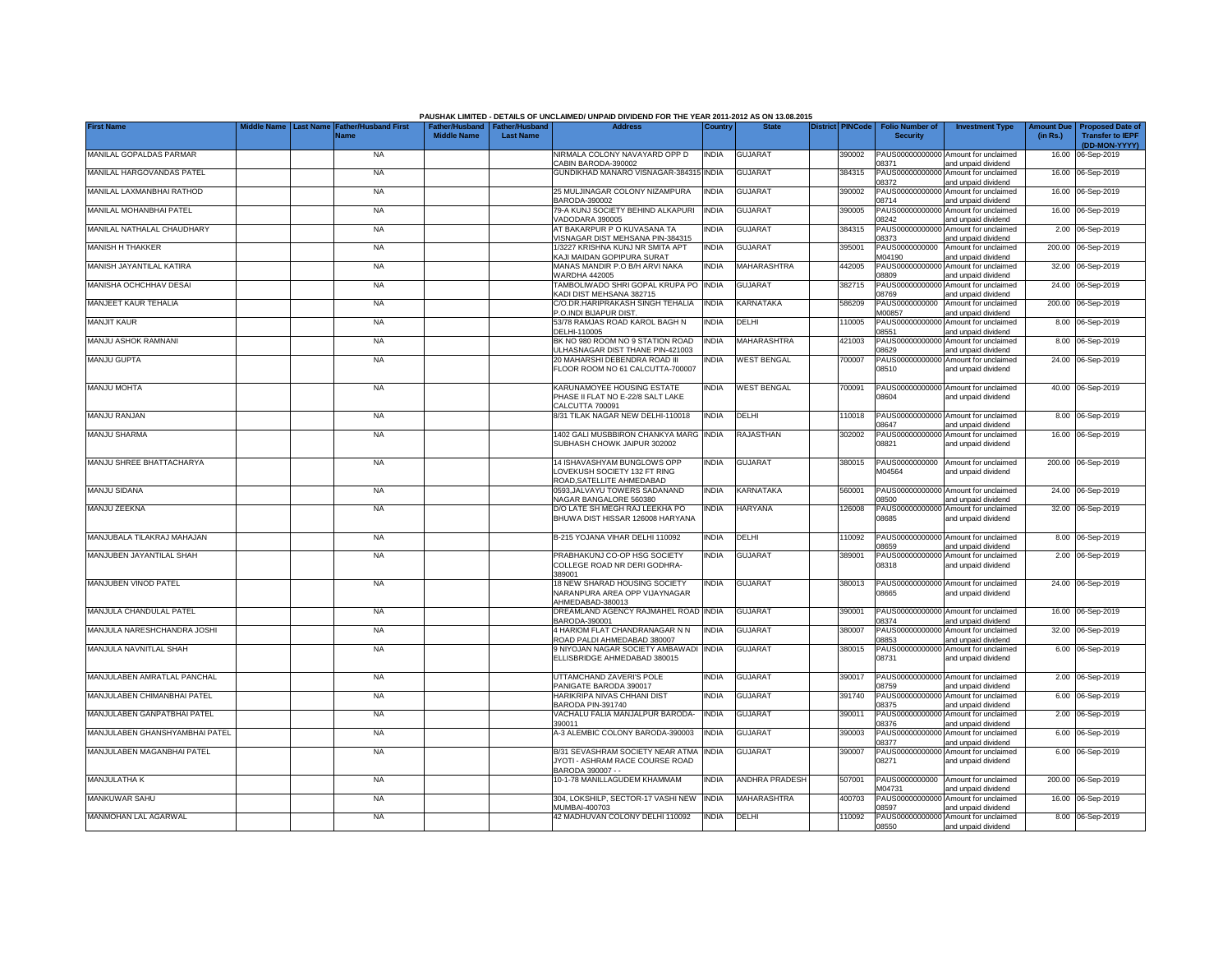|                                |                  |                                     |                                                       |                  | PAUSHAK LIMITED - DETAILS OF UNCLAIMED/ UNPAID DIVIDEND FOR THE YEAR 2011-2012 AS ON 13.08.2015 |              |                       |                         |                                           |                                                             |                               |                                                                     |
|--------------------------------|------------------|-------------------------------------|-------------------------------------------------------|------------------|-------------------------------------------------------------------------------------------------|--------------|-----------------------|-------------------------|-------------------------------------------|-------------------------------------------------------------|-------------------------------|---------------------------------------------------------------------|
| <b>First Name</b>              | <b>Last Name</b> | <b>Father/Husband First</b><br>Name | Father/Husband   Father/Husband<br><b>Middle Name</b> | <b>Last Name</b> | <b>Address</b>                                                                                  | Country      | <b>State</b>          | <b>District PINCode</b> | <b>Folio Number of</b><br><b>Security</b> | <b>Investment Type</b>                                      | <b>Amount Due</b><br>(in Rs.) | <b>Proposed Date of</b><br><b>Transfer to IEPF</b><br>(DD-MON-YYYY) |
| MANILAL GOPALDAS PARMAR        |                  | <b>NA</b>                           |                                                       |                  | NIRMALA COLONY NAVAYARD OPP D<br>CABIN BARODA-390002                                            | <b>INDIA</b> | <b>GUJARAT</b>        | 390002                  | 08371                                     | PAUS00000000000 Amount for unclaimed<br>and unpaid dividend |                               | 16.00 06-Sep-2019                                                   |
| MANILAL HARGOVANDAS PATEL      |                  | <b>NA</b>                           |                                                       |                  | GUNDIKHAD MANARO VISNAGAR-384315                                                                | <b>INDIA</b> | <b>GUJARAT</b>        | 384315                  | PAUS00000000000<br>08372                  | Amount for unclaimed<br>and unpaid dividend                 |                               | 16.00 06-Sep-2019                                                   |
| MANILAL LAXMANBHAI RATHOD      |                  | <b>NA</b>                           |                                                       |                  | 25 MULJINAGAR COLONY NIZAMPURA<br>3ARODA-390002                                                 | INDIA        | <b>GUJARAT</b>        | 390002                  | PAUS0000000000<br>08714                   | Amount for unclaimed<br>and unpaid dividend                 |                               | 16.00 06-Sep-2019                                                   |
| MANILAL MOHANBHAI PATEL        |                  | <b>NA</b>                           |                                                       |                  | 79-A KUNJ SOCIETY BEHIND ALKAPURI<br>/ADODARA 390005                                            | <b>INDIA</b> | <b>GUJARAT</b>        | 390005                  | PAUS0000000000<br>08242                   | Amount for unclaimed<br>and unpaid dividend                 |                               | 16.00 06-Sep-2019                                                   |
| MANILAL NATHALAL CHAUDHARY     |                  | <b>NA</b>                           |                                                       |                  | AT BAKARPUR P O KUVASANA TA<br>/ISNAGAR DIST MEHSANA PIN-384315                                 | India        | <b>GUJARAT</b>        | 384315                  | PAUS00000000000<br>08373                  | Amount for unclaimed<br>and unpaid dividend                 |                               | 2.00 06-Sep-2019                                                    |
| <b>MANISH H THAKKER</b>        |                  | <b>NA</b>                           |                                                       |                  | 1/3227 KRISHNA KUNJ NR SMITA APT<br>KAJI MAIDAN GOPIPURA SURAT                                  | <b>INDIA</b> | <b>GUJARAT</b>        | 395001                  | PAUS0000000000<br>M04190                  | Amount for unclaimed<br>and unpaid dividend                 |                               | 200.00 06-Sep-2019                                                  |
| MANISH JAYANTILAL KATIRA       |                  | <b>NA</b>                           |                                                       |                  | MANAS MANDIR P.O B/H ARVI NAKA<br><b>WARDHA 442005</b>                                          | <b>INDIA</b> | MAHARASHTRA           | 442005                  | PAUS0000000000<br>08809                   | Amount for unclaimed<br>and unpaid dividend                 |                               | 32.00 06-Sep-2019                                                   |
| MANISHA OCHCHHAV DESAI         |                  | <b>NA</b>                           |                                                       |                  | TAMBOLIWADO SHRI GOPAL KRUPA PO<br>KADI DIST MEHSANA 382715                                     | <b>INDIA</b> | GUJARAT               | 382715                  | PAUS0000000000<br>08769                   | Amount for unclaimed<br>and unpaid dividend                 | 24.00                         | 06-Sep-2019                                                         |
| MANJEET KAUR TEHALIA           |                  | <b>NA</b>                           |                                                       |                  | C/O.DR.HARIPRAKASH SINGH TEHALIA<br>P.O.INDI BIJAPUR DIST                                       | <b>INDIA</b> | KARNATAKA             | 586209                  | PAUS0000000000<br>M00857                  | Amount for unclaimed<br>and unpaid dividend                 | 200.00                        | 06-Sep-2019                                                         |
| <b>MANJIT KAUR</b>             |                  | <b>NA</b>                           |                                                       |                  | 53/78 RAMJAS ROAD KAROL BAGH N<br>DELHI-110005                                                  | India        | DELHI                 | 110005                  | PAUS0000000000<br>08551                   | Amount for unclaimed<br>and unpaid dividend                 |                               | 8.00 06-Sep-2019                                                    |
| MANJU ASHOK RAMNANI            |                  | <b>NA</b>                           |                                                       |                  | BK NO 980 ROOM NO 9 STATION ROAD<br>ULHASNAGAR DIST THANE PIN-421003                            | INDIA        | MAHARASHTRA           | 421003                  | PAUS0000000000<br>08629                   | Amount for unclaimed<br>and unpaid dividend                 |                               | 8.00 06-Sep-2019                                                    |
| MANJU GUPTA                    |                  | <b>NA</b>                           |                                                       |                  | 20 MAHARSHI DEBENDRA ROAD III<br>FLOOR ROOM NO 61 CALCUTTA-700007                               | India        | <b>WEST BENGAL</b>    | 700007                  | 08510                                     | PAUS00000000000 Amount for unclaimed<br>and unpaid dividend |                               | 24.00 06-Sep-2019                                                   |
| MANJU MOHTA                    |                  | <b>NA</b>                           |                                                       |                  | KARUNAMOYEE HOUSING ESTATE<br>PHASE II FLAT NO E-22/8 SALT LAKE<br>CALCUTTA 700091              | NDIA         | <b>WEST BENGAL</b>    | 00091                   | 08604                                     | PAUS00000000000 Amount for unclaimed<br>and unpaid dividend |                               | 40.00 06-Sep-2019                                                   |
| <b>MANJU RANJAN</b>            |                  | <b>NA</b>                           |                                                       |                  | 8/31 TILAK NAGAR NEW DELHI-110018                                                               | <b>INDIA</b> | DELHI                 | 110018                  | 08647                                     | PAUS00000000000 Amount for unclaimed<br>and unpaid dividend |                               | 8.00 06-Sep-2019                                                    |
| MANJU SHARMA                   |                  | <b>NA</b>                           |                                                       |                  | 1402 GALI MUSBBIRON CHANKYA MARG<br>SUBHASH CHOWK JAIPUR 302002                                 | <b>INDIA</b> | RAJASTHAN             | 302002                  | 08821                                     | PAUS00000000000 Amount for unclaimed<br>and unpaid dividend |                               | 16.00 06-Sep-2019                                                   |
| MANJU SHREE BHATTACHARYA       |                  | <b>NA</b>                           |                                                       |                  | 14 ISHAVASHYAM BUNGLOWS OPP<br>LOVEKUSH SOCIETY 132 FT RING<br>ROAD.SATELLITE AHMEDABAD         | INDIA        | <b>GUJARAT</b>        | 380015                  | PAUS0000000000<br>M04564                  | Amount for unclaimed<br>and unpaid dividend                 |                               | 200.00 06-Sep-2019                                                  |
| <b>MANJU SIDANA</b>            |                  | <b>NA</b>                           |                                                       |                  | 0593, JALVAYU TOWERS SADANAND<br>NAGAR BANGALORE 560380                                         | <b>INDIA</b> | KARNATAKA             | 560001                  | 08500                                     | PAUS00000000000 Amount for unclaimed<br>and unpaid dividend |                               | 24.00 06-Sep-2019                                                   |
| MANJU ZEEKNA                   |                  | <b>NA</b>                           |                                                       |                  | D/O LATE SH MEGH RAJ LEEKHA PO<br>BHUWA DIST HISSAR 126008 HARYANA                              | NDIA         | <b>HARYANA</b>        | 126008                  | 08685                                     | PAUS00000000000 Amount for unclaimed<br>and unpaid dividend |                               | 32.00 06-Sep-2019                                                   |
| MANJUBALA TILAKRAJ MAHAJAN     |                  | <b>NA</b>                           |                                                       |                  | B-215 YOJANA VIHAR DELHI 110092                                                                 | <b>INDIA</b> | DELHI                 | 110092                  | 08659                                     | PAUS00000000000 Amount for unclaimed<br>and unpaid dividend |                               | 8.00 06-Sep-2019                                                    |
| MANJUBEN JAYANTILAL SHAH       |                  | <b>NA</b>                           |                                                       |                  | PRABHAKUNJ CO-OP HSG SOCIETY<br>COLLEGE ROAD NR DERI GODHRA-<br>389001                          | India        | <b>GUJARAT</b>        | 389001                  | 08318                                     | PAUS00000000000 Amount for unclaimed<br>and unpaid dividend |                               | 2.00 06-Sep-2019                                                    |
| MANJUBEN VINOD PATEL           |                  | <b>NA</b>                           |                                                       |                  | 18 NEW SHARAD HOUSING SOCIETY<br>VARANPURA AREA OPP VIJAYNAGAR<br>AHMEDABAD-380013              | india        | <b>GUJARAT</b>        | 380013                  | 08665                                     | PAUS00000000000 Amount for unclaimed<br>and unpaid dividend |                               | 24.00 06-Sep-2019                                                   |
| MANJULA CHANDULAL PATEL        |                  | <b>NA</b>                           |                                                       |                  | DREAMLAND AGENCY RAJMAHEL ROAD INDIA<br>BARODA-390001                                           |              | <b>GUJARAT</b>        | 390001                  | 08374                                     | PAUS00000000000 Amount for unclaimed<br>and unpaid dividend |                               | 16.00 06-Sep-2019                                                   |
| MANJULA NARESHCHANDRA JOSHI    |                  | <b>NA</b>                           |                                                       |                  | 4 HARIOM FLAT CHANDRANAGAR N N<br>ROAD PALDI AHMEDABAD 380007                                   | <b>INDIA</b> | <b>GUJARAT</b>        | 380007                  | PAUS00000000000<br>08853                  | Amount for unclaimed<br>and unpaid dividend                 |                               | 32.00 06-Sep-2019                                                   |
| MANJULA NAVNITLAL SHAH         |                  | <b>NA</b>                           |                                                       |                  | 9 NIYOJAN NAGAR SOCIETY AMBAWADI<br>ELLISBRIDGE AHMEDABAD 380015                                | <b>INDIA</b> | <b>GUJARAT</b>        | 380015                  | 08731                                     | PAUS00000000000 Amount for unclaimed<br>and unpaid dividend |                               | 6.00 06-Sep-2019                                                    |
| MANJULABEN AMRATLAL PANCHAL    |                  | <b>NA</b>                           |                                                       |                  | UTTAMCHAND ZAVERI'S POLE<br>PANIGATE BARODA 390017                                              | <b>INDIA</b> | <b>GUJARAT</b>        | 390017                  | 08759                                     | PAUS00000000000 Amount for unclaimed<br>and unpaid dividend |                               | 2.00 06-Sep-2019                                                    |
| MANJULABEN CHIMANBHAI PATEL    |                  | <b>NA</b>                           |                                                       |                  | HARIKRIPA NIVAS CHHANI DIST<br>BARODA PIN-391740                                                | <b>INDIA</b> | <b>GUJARAT</b>        | 391740                  | PAUS00000000000<br>08375                  | Amount for unclaimed<br>and unpaid dividend                 |                               | 6.00 06-Sep-2019                                                    |
| MANJULABEN GANPATBHAI PATEL    |                  | <b>NA</b>                           |                                                       |                  | VACHALU FALIA MANJALPUR BARODA-<br>390011                                                       | INDIA        | <b>GUJARAT</b>        | 390011                  | PAUS0000000000<br>08376                   | Amount for unclaimed<br>and unpaid dividend                 | 2.00                          | 06-Sep-2019                                                         |
| MANJULABEN GHANSHYAMBHAI PATEL |                  | <b>NA</b>                           |                                                       |                  | A-3 ALEMBIC COLONY BARODA-390003                                                                | INDIA        | <b>GUJARAT</b>        | 390003                  | PAUS0000000000<br>08377                   | Amount for unclaimed<br>and unpaid dividend                 |                               | 6.00 06-Sep-2019                                                    |
| MANJULABEN MAGANBHAI PATEL     |                  | <b>NA</b>                           |                                                       |                  | B/31 SEVASHRAM SOCIETY NEAR ATMA<br>JYOTI - ASHRAM RACE COURSE ROAD<br>BARODA 390007 - -        | <b>INDIA</b> | <b>GUJARAT</b>        | 390007                  | 08271                                     | PAUS00000000000 Amount for unclaimed<br>and unpaid dividend |                               | 6.00 06-Sep-2019                                                    |
| MANJULATHA K                   |                  | <b>NA</b>                           |                                                       |                  | 10-1-78 MANILLAGUDEM KHAMMAM                                                                    | India        | <b>ANDHRA PRADESH</b> | 507001                  | PAUS0000000000<br>M04731                  | Amount for unclaimed<br>and unpaid dividend                 |                               | 200.00 06-Sep-2019                                                  |
| <b>MANKUWAR SAHU</b>           |                  | <b>NA</b>                           |                                                       |                  | 304, LOKSHILP, SECTOR-17 VASHI NEW<br>MUMBAI-400703                                             | <b>INDIA</b> | MAHARASHTRA           | 400703                  | PAUS00000000000<br>08597                  | Amount for unclaimed<br>and unpaid dividend                 |                               | 16.00 06-Sep-2019                                                   |
| MANMOHAN LAL AGARWAL           |                  | <b>NA</b>                           |                                                       |                  | 42 MADHUVAN COLONY DELHI 110092                                                                 | <b>INDIA</b> | DELHI                 | 110092                  | 08550                                     | PAUS00000000000 Amount for unclaimed<br>and unpaid dividend |                               | 8.00 06-Sep-2019                                                    |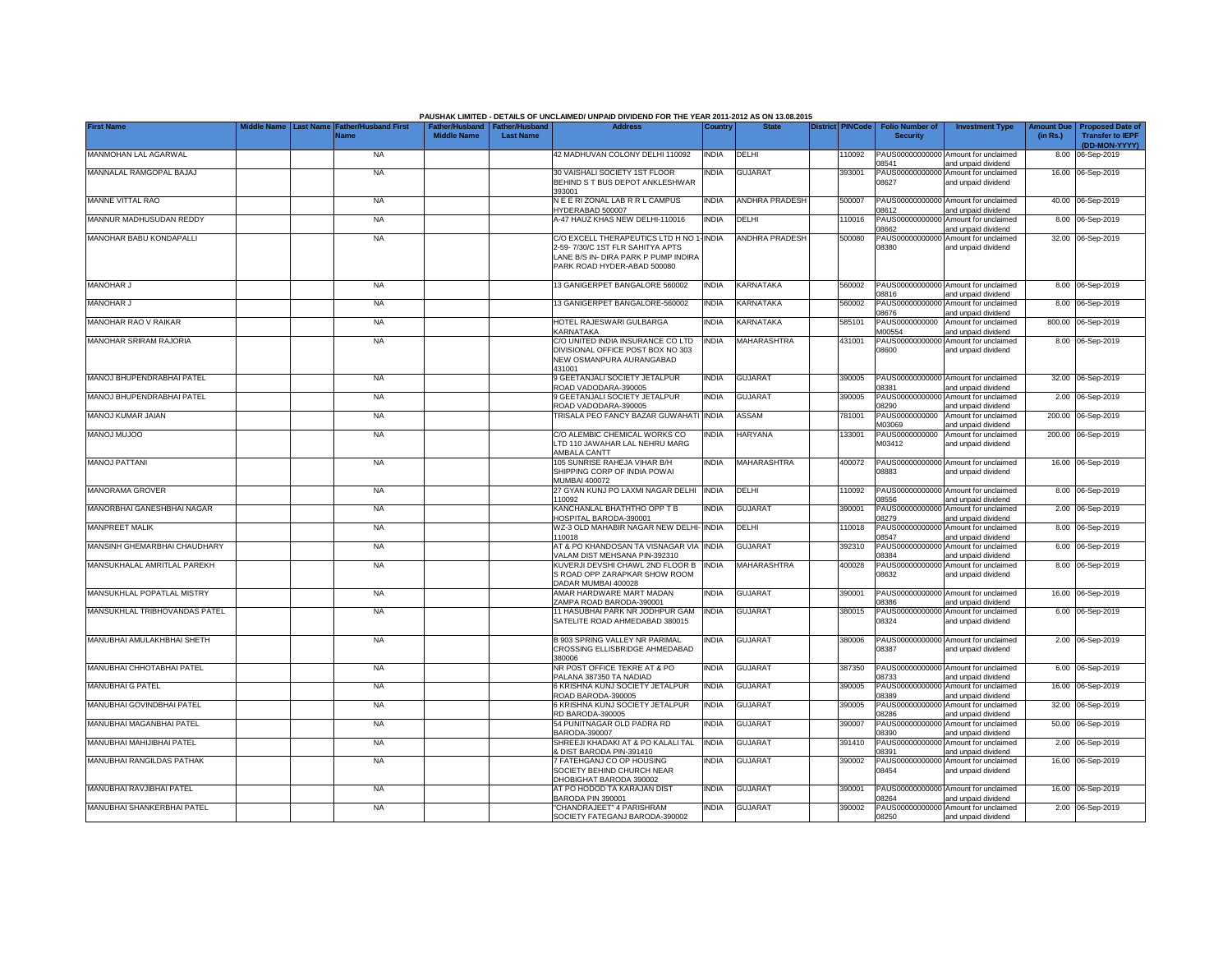|                               |                                                               |                    |                                                     | PAUSHAK LIMITED - DETAILS OF UNCLAIMED/ UNPAID DIVIDEND FOR THE YEAR 2011-2012 AS ON 13.08.2015                                                     |              |                         |                  |                                           |                                                             |          |                                                                           |
|-------------------------------|---------------------------------------------------------------|--------------------|-----------------------------------------------------|-----------------------------------------------------------------------------------------------------------------------------------------------------|--------------|-------------------------|------------------|-------------------------------------------|-------------------------------------------------------------|----------|---------------------------------------------------------------------------|
| <b>First Name</b>             | Middle Name   Last Name   Father/Husband First<br><b>Name</b> | <b>Middle Name</b> | Father/Husband   Father/Husband<br><b>Last Name</b> | <b>Address</b>                                                                                                                                      | Country      | <b>State</b>            | District PINCode | <b>Folio Number of</b><br><b>Security</b> | <b>Investment Type</b>                                      | (in Rs.) | Amount Due   Proposed Date of<br><b>Transfer to IEPF</b><br>(DD-MON-YYYY) |
| MANMOHAN LAL AGARWAL          | <b>NA</b>                                                     |                    |                                                     | 42 MADHUVAN COLONY DELHI 110092                                                                                                                     | <b>INDIA</b> | DELHI                   | 10092            | 08541                                     | PAUS00000000000 Amount for unclaimed<br>and unpaid dividend |          | 8.00 06-Sep-2019                                                          |
| MANNALAL RAMGOPAL BAJAJ       | <b>NA</b>                                                     |                    |                                                     | 30 VAISHALI SOCIETY 1ST FLOOR<br>BEHIND S T BUS DEPOT ANKLESHWAR<br>393001                                                                          | <b>INDIA</b> | <b>GUJARAT</b>          | 393001           | PAUS00000000000<br>08627                  | Amount for unclaimed<br>and unpaid dividend                 |          | 16.00 06-Sep-2019                                                         |
| MANNE VITTAL RAO              | <b>NA</b>                                                     |                    |                                                     | NEERIZONAL LABRR L CAMPUS<br>HYDERABAD 500007                                                                                                       | <b>INDIA</b> | <b>ANDHRA PRADESH</b>   | 500007           | 08612                                     | PAUS00000000000 Amount for unclaimed<br>and unpaid dividend |          | 40.00 06-Sep-2019                                                         |
| MANNUR MADHUSUDAN REDDY       | NA                                                            |                    |                                                     | A-47 HAUZ KHAS NEW DELHI-110016                                                                                                                     | <b>INDIA</b> | DELHI                   | 110016           | PAUS0000000000<br>08662                   | Amount for unclaimed<br>and unpaid dividend                 |          | 8.00 06-Sep-2019                                                          |
| MANOHAR BABU KONDAPALLI       | <b>NA</b>                                                     |                    |                                                     | C/O EXCELL THERAPEUTICS LTD H NO 1-INDIA<br>2-59-7/30/C 1ST FLR SAHITYA APTS<br>LANE B/S IN- DIRA PARK P PUMP INDIRA<br>PARK ROAD HYDER-ABAD 500080 |              | ANDHRA PRADESH          | 500080           | PAUS00000000000<br>08380                  | Amount for unclaimed<br>and unpaid dividend                 |          | 32.00 06-Sep-2019                                                         |
| MANOHAR J                     | <b>NA</b>                                                     |                    |                                                     | 13 GANIGERPET BANGALORE 560002                                                                                                                      | <b>INDIA</b> | KARNATAKA               | 560002           | 08816                                     | PAUS00000000000 Amount for unclaimed<br>and unpaid dividend |          | 8.00 06-Sep-2019                                                          |
| <b>MANOHAR J</b>              | <b>NA</b>                                                     |                    |                                                     | 3 GANIGERPET BANGALORE-560002                                                                                                                       | <b>INDIA</b> | <b>KARNATAKA</b>        | 560002           | PAUS00000000000<br>8676                   | Amount for unclaimed<br>and unpaid dividend                 |          | 8.00 06-Sep-2019                                                          |
| MANOHAR RAO V RAIKAR          | <b>NA</b>                                                     |                    |                                                     | HOTEL RAJESWARI GULBARGA<br><b>KARNATAKA</b>                                                                                                        | <b>INDIA</b> | <b><i>CARNATAKA</i></b> | 585101           | PAUS0000000000<br>M00554                  | Amount for unclaimed<br>and unpaid dividend                 |          | 800.00 06-Sep-2019                                                        |
| <b>MANOHAR SRIRAM RAJORIA</b> | <b>NA</b>                                                     |                    |                                                     | C/O UNITED INDIA INSURANCE CO LTD<br>DIVISIONAL OFFICE POST BOX NO 303<br>NEW OSMANPURA AURANGABAD<br>431001                                        | <b>INDIA</b> | MAHARASHTRA             | 431001           | PAUS00000000000<br>08600                  | Amount for unclaimed<br>and unpaid dividend                 |          | 8.00 06-Sep-2019                                                          |
| MANOJ BHUPENDRABHAI PATEL     | <b>NA</b>                                                     |                    |                                                     | 9 GEETANJALI SOCIETY JETALPUR<br>ROAD VADODARA-390005                                                                                               | <b>INDIA</b> | <b>GUJARAT</b>          | 390005           | 8381                                      | PAUS00000000000 Amount for unclaimed<br>and unpaid dividend |          | 32.00 06-Sep-2019                                                         |
| MANOJ BHUPENDRABHAI PATEL     | <b>NA</b>                                                     |                    |                                                     | 9 GEETANJALI SOCIETY JETALPUR<br>ROAD VADODARA-390005                                                                                               | INDIA        | <b>GUJARAT</b>          | 390005           | PAUS00000000000<br>08290                  | Amount for unclaimed<br>and unpaid dividend                 |          | 2.00 06-Sep-2019                                                          |
| MANOJ KUMAR JAIAN             | <b>NA</b>                                                     |                    |                                                     | TRISALA PEO FANCY BAZAR GUWAHAT                                                                                                                     | <b>INDIA</b> | ASSAM                   | 781001           | PAUS0000000000<br>M03069                  | Amount for unclaimed<br>and unpaid dividend                 |          | 200.00 06-Sep-2019                                                        |
| <b>MANOJ MUJOO</b>            | <b>NA</b>                                                     |                    |                                                     | C/O ALEMBIC CHEMICAL WORKS CO<br>LTD 110 JAWAHAR LAL NEHRU MARG<br>AMBALA CANTT                                                                     | <b>INDIA</b> | <b>HARYANA</b>          | 133001           | PAUS0000000000<br>M03412                  | Amount for unclaimed<br>and unpaid dividend                 |          | 200.00 06-Sep-2019                                                        |
| <b>MANOJ PATTANI</b>          | <b>NA</b>                                                     |                    |                                                     | 105 SUNRISE RAHEJA VIHAR B/H<br>SHIPPING CORP OF INDIA POWAI<br><b>MUMBAI 400072</b>                                                                | <b>INDIA</b> | MAHARASHTRA             | 400072           | 08883                                     | PAUS00000000000 Amount for unclaimed<br>and unpaid dividend |          | 16.00 06-Sep-2019                                                         |
| MANORAMA GROVER               | <b>NA</b>                                                     |                    |                                                     | 27 GYAN KUNJ PO LAXMI NAGAR DELHI<br>110092                                                                                                         | <b>INDIA</b> | DELHI                   | 110092           | 08556                                     | PAUS00000000000 Amount for unclaimed<br>and unpaid dividend |          | 8.00 06-Sep-2019                                                          |
| MANORBHAI GANESHBHAI NAGAR    | <b>NA</b>                                                     |                    |                                                     | KANCHANLAL BHATHTHO OPP T B<br>HOSPITAL BARODA-390001                                                                                               | <b>INDIA</b> | <b>GUJARAT</b>          | 390001           | PAUS00000000000<br>08279                  | Amount for unclaimed<br>and unpaid dividend                 |          | 2.00 06-Sep-2019                                                          |
| <b>MANPREET MALIK</b>         | <b>NA</b>                                                     |                    |                                                     | WZ-3 OLD MAHABIR NAGAR NEW DELHI- INDIA<br>110018                                                                                                   |              | DELHI                   | 110018           | PAUS0000000000<br>08547                   | Amount for unclaimed<br>and unpaid dividend                 |          | 8.00 06-Sep-2019                                                          |
| MANSINH GHEMARBHAI CHAUDHARY  | <b>NA</b>                                                     |                    |                                                     | AT & PO KHANDOSAN TA VISNAGAR VIA INDIA<br>VALAM DIST MEHSANA PIN-392310                                                                            |              | <b>GUJARAT</b>          | 392310           | PAUS0000000000<br>08384                   | Amount for unclaimed<br>and unpaid dividend                 |          | 6.00 06-Sep-2019                                                          |
| MANSUKHALAL AMRITLAL PAREKH   | <b>NA</b>                                                     |                    |                                                     | KUVERJI DEVSHI CHAWL 2ND FLOOR B<br>S ROAD OPP ZARAPKAR SHOW ROOM<br>DADAR MUMBAI 400028                                                            | <b>INDIA</b> | <b>MAHARASHTRA</b>      | 400028           | PAUS0000000000<br>08632                   | Amount for unclaimed<br>and unpaid dividend                 |          | 8.00 06-Sep-2019                                                          |
| MANSUKHLAL POPATLAL MISTRY    | <b>NA</b>                                                     |                    |                                                     | AMAR HARDWARE MART MADAN<br>ZAMPA ROAD BARODA-390001                                                                                                | INDIA        | <b>GUJARAT</b>          | 390001           | PAUS00000000000<br>08386                  | Amount for unclaimed<br>and unpaid dividend                 |          | 16.00 06-Sep-2019                                                         |
| MANSUKHLAL TRIBHOVANDAS PATEL | <b>NA</b>                                                     |                    |                                                     | 11 HASUBHAI PARK NR JODHPUR GAM<br>SATELITE ROAD AHMEDABAD 380015                                                                                   | <b>INDIA</b> | <b>GUJARAT</b>          | 380015           | PAUS00000000000<br>08324                  | Amount for unclaimed<br>and unpaid dividend                 |          | 6.00 06-Sep-2019                                                          |
| MANUBHAI AMULAKHBHAI SHETH    | <b>NA</b>                                                     |                    |                                                     | B 903 SPRING VALLEY NR PARIMAL<br>CROSSING ELLISBRIDGE AHMEDABAD<br>380006                                                                          | <b>INDIA</b> | <b>GUJARAT</b>          | 380006           | 08387                                     | PAUS00000000000 Amount for unclaimed<br>and unpaid dividend |          | 2.00 06-Sep-2019                                                          |
| MANUBHAI CHHOTABHAI PATEL     | <b>NA</b>                                                     |                    |                                                     | NR POST OFFICE TEKRE AT & PO<br>PALANA 387350 TA NADIAD                                                                                             | <b>INDIA</b> | <b>GUJARAT</b>          | 387350           | 08733                                     | PAUS00000000000 Amount for unclaimed<br>and unpaid dividend |          | 6.00 06-Sep-2019                                                          |
| MANUBHAI G PATEL              | NA                                                            |                    |                                                     | 6 KRISHNA KUNJ SOCIETY JETALPUR<br>ROAD BARODA-390005                                                                                               | <b>INDIA</b> | <b>GUJARAT</b>          | 390005           | PAUS00000000000<br>08389                  | Amount for unclaimed<br>and unpaid dividend                 |          | 16.00 06-Sep-2019                                                         |
| MANUBHAI GOVINDBHAI PATEL     | <b>NA</b>                                                     |                    |                                                     | 6 KRISHNA KUNJ SOCIETY JETALPUR<br>RD BARODA-390005                                                                                                 | <b>INDIA</b> | <b>GUJARAT</b>          | 390005           | PAUS00000000000<br>08286                  | Amount for unclaimed<br>and unpaid dividend                 |          | 32.00 06-Sep-2019                                                         |
| MANUBHAI MAGANBHAI PATEL      | <b>NA</b>                                                     |                    |                                                     | 54 PUNITNAGAR OLD PADRA RD<br>BARODA-390007                                                                                                         | india        | GUJARAT                 | 390007           | PAUS0000000000<br>08390                   | Amount for unclaimed<br>and unpaid dividend                 |          | 50.00 06-Sep-2019                                                         |
| MANUBHAI MAHIJIBHAI PATEL     | <b>NA</b>                                                     |                    |                                                     | SHREEJI KHADAKI AT & PO KALALI TAL<br><b>DIST BARODA PIN-391410</b>                                                                                 | <b>INDIA</b> | GUJARAT                 | 391410           | PAUS00000000000<br>08391                  | Amount for unclaimed<br>and unpaid dividend                 |          | 2.00 06-Sep-2019                                                          |
| MANUBHAI RANGILDAS PATHAK     | <b>NA</b>                                                     |                    |                                                     | 7 FATEHGANJ CO OP HOUSING<br>SOCIETY BEHIND CHURCH NEAR<br>DHOBIGHAT BARODA 390002                                                                  | <b>INDIA</b> | <b>GUJARAT</b>          | 390002           | PAUS00000000000<br>08454                  | Amount for unclaimed<br>and unpaid dividend                 |          | 16.00 06-Sep-2019                                                         |
| MANUBHAI RAVJIBHAI PATEL      | <b>NA</b>                                                     |                    |                                                     | AT PO HODOD TA KARAJAN DIST<br>BARODA PIN 390001                                                                                                    | <b>INDIA</b> | <b>GUJARAT</b>          | 390001           | 08264                                     | PAUS00000000000 Amount for unclaimed<br>and unpaid dividend |          | 16.00 06-Sep-2019                                                         |
| MANUBHAI SHANKERBHAI PATEL    | <b>NA</b>                                                     |                    |                                                     | "CHANDRAJEET" 4 PARISHRAM<br>SOCIETY FATEGANJ BARODA-390002                                                                                         | <b>INDIA</b> | <b>GUJARAT</b>          | 390002           | 08250                                     | PAUS00000000000 Amount for unclaimed<br>and unpaid dividend |          | 2.00 06-Sep-2019                                                          |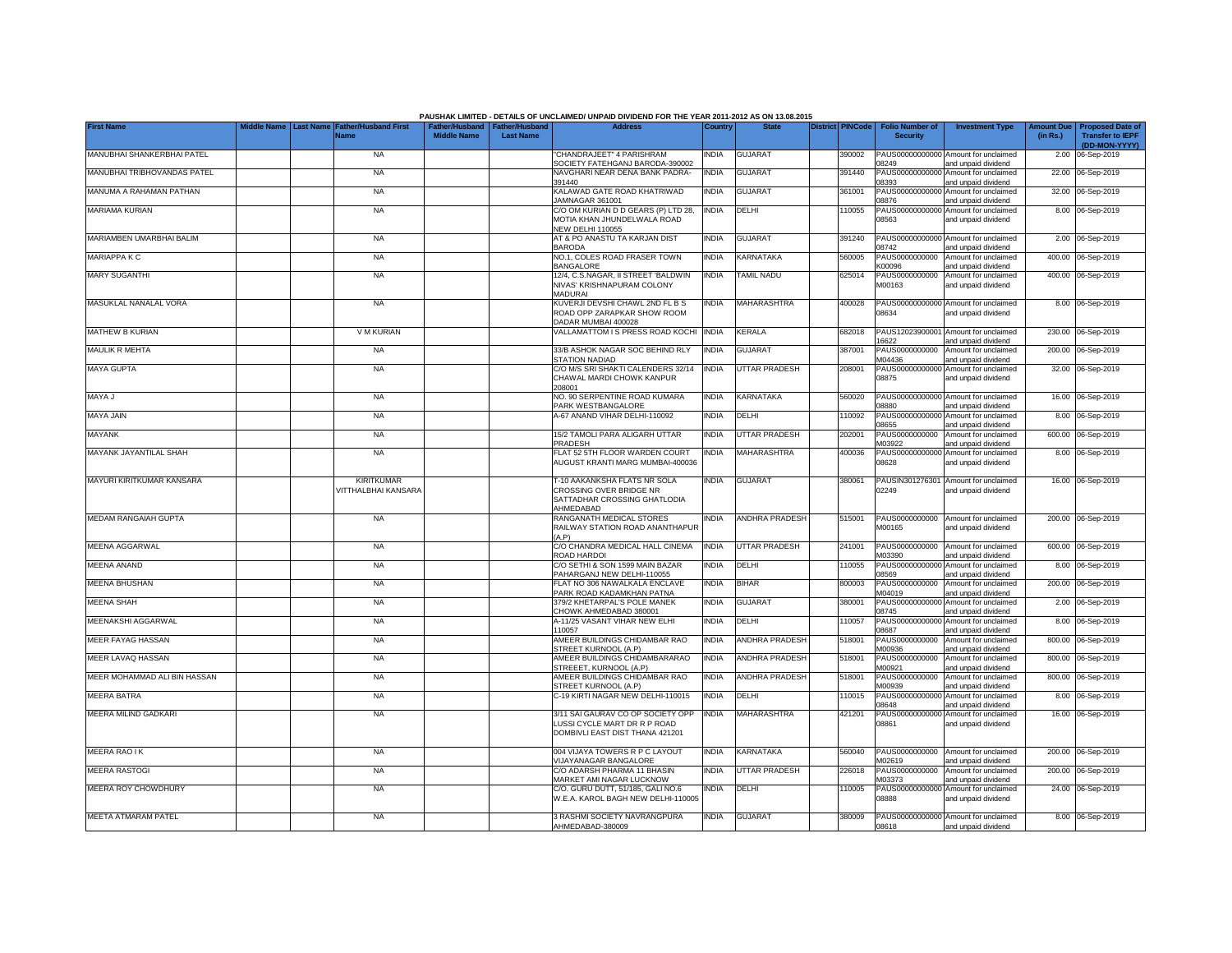|                              |                  |                                          |                                                       |                  | PAUSHAK LIMITED - DETAILS OF UNCLAIMED/ UNPAID DIVIDEND FOR THE YEAR 2011-2012 AS ON 13.08.2015         |              |                       |                         |                                           |                                                                    |                               |                                                    |
|------------------------------|------------------|------------------------------------------|-------------------------------------------------------|------------------|---------------------------------------------------------------------------------------------------------|--------------|-----------------------|-------------------------|-------------------------------------------|--------------------------------------------------------------------|-------------------------------|----------------------------------------------------|
| <b>First Name</b>            | <b>Last Name</b> | ather/Husband First<br>Name              | Father/Husband   Father/Husband<br><b>Middle Name</b> | <b>Last Name</b> | <b>Address</b>                                                                                          | Country      | <b>State</b>          | <b>District PINCode</b> | <b>Folio Number of</b><br><b>Security</b> | <b>Investment Type</b>                                             | <b>Amount Due</b><br>(in Rs.) | <b>Proposed Date of</b><br><b>Transfer to IEPF</b> |
| MANUBHAI SHANKERBHAI PATEL   |                  | <b>NA</b>                                |                                                       |                  | 'CHANDRAJEET" 4 PARISHRAM                                                                               | INDIA        | <b>GUJARAT</b>        | 390002                  |                                           | PAUS00000000000 Amount for unclaimed                               |                               | (DD-MON-YYYY)<br>2.00 06-Sep-2019                  |
| MANUBHAI TRIBHOVANDAS PATEL  |                  | <b>NA</b>                                |                                                       |                  | SOCIETY FATEHGANJ BARODA-390002<br>NAVGHARI NEAR DENA BANK PADRA-<br>391440                             | INDIA        | <b>GUJARAT</b>        | 391440                  | 08249<br>PAUS00000000000<br>08393         | and unpaid dividend<br>Amount for unclaimed<br>and unpaid dividend |                               | 22.00 06-Sep-2019                                  |
| MANUMA A RAHAMAN PATHAN      |                  | <b>NA</b>                                |                                                       |                  | KALAWAD GATE ROAD KHATRIWAD<br>JAMNAGAR 361001                                                          | india        | <b>GUJARAT</b>        | 361001                  | PAUS0000000000<br>08876                   | Amount for unclaimed<br>and unpaid dividend                        |                               | 32.00 06-Sep-2019                                  |
| MARIAMA KURIAN               |                  | <b>NA</b>                                |                                                       |                  | C/O OM KURIAN D D GEARS (P) LTD 28,<br>MOTIA KHAN JHUNDELWALA ROAD                                      | <b>INDIA</b> | DELHI                 | 10055                   | PAUS00000000000<br>08563                  | Amount for unclaimed<br>and unpaid dividend                        |                               | 8.00 06-Sep-2019                                   |
| MARIAMBEN UMARBHAI BALIM     |                  | <b>NA</b>                                |                                                       |                  | <b>NEW DELHI 110055</b><br>AT & PO ANASTU TA KARJAN DIST                                                | India        | <b>GUJARAT</b>        | 391240                  | 08742                                     | PAUS00000000000 Amount for unclaimed                               |                               | 2.00 06-Sep-2019                                   |
| <b>MARIAPPA K C</b>          |                  | <b>NA</b>                                |                                                       |                  | <b>BARODA</b><br>NO.1, COLES ROAD FRASER TOWN<br><b>BANGALORE</b>                                       | INDIA        | KARNATAKA             | 560005                  | PAUS0000000000<br>K00096                  | and unpaid dividend<br>Amount for unclaimed<br>and unpaid dividend |                               | 400.00 06-Sep-2019                                 |
| <b>MARY SUGANTHI</b>         |                  | <b>NA</b>                                |                                                       |                  | 12/4, C.S.NAGAR, II STREET 'BALDWIN<br>NIVAS' KRISHNAPURAM COLONY                                       | <b>INDIA</b> | <b>TAMIL NADU</b>     | 625014                  | PAUS0000000000<br>M00163                  | Amount for unclaimed<br>and unpaid dividend                        |                               | 400.00 06-Sep-2019                                 |
| MASUKLAL NANALAL VORA        |                  | <b>NA</b>                                |                                                       |                  | <b>MADURAI</b><br>KUVERJI DEVSHI CHAWL 2ND FL B S<br>ROAD OPP ZARAPKAR SHOW ROOM<br>DADAR MUMBAI 400028 | India        | MAHARASHTRA           | 400028                  | 08634                                     | PAUS00000000000 Amount for unclaimed<br>and unpaid dividend        |                               | 8.00 06-Sep-2019                                   |
| MATHEW B KURIAN              |                  | V M KURIAN                               |                                                       |                  | VALLAMATTOM I S PRESS ROAD KOCHI                                                                        | <b>INDIA</b> | <b>KERALA</b>         | 682018                  | PAUS12023900001<br>16622                  | Amount for unclaimed<br>and unpaid dividend                        |                               | 230.00 06-Sep-2019                                 |
| <b>MAULIK R MEHTA</b>        |                  | <b>NA</b>                                |                                                       |                  | 33/B ASHOK NAGAR SOC BEHIND RLY<br>STATION NADIAD                                                       | INDIA        | <b>GUJARAT</b>        | 387001                  | PAUS0000000000<br>M04436                  | Amount for unclaimed<br>and unpaid dividend                        |                               | 200.00 06-Sep-2019                                 |
| <b>MAYA GUPTA</b>            |                  | <b>NA</b>                                |                                                       |                  | C/O M/S SRI SHAKTI CALENDERS 32/14<br>CHAWAL MARDI CHOWK KANPUR<br>208001                               | <b>INDIA</b> | <b>UTTAR PRADESH</b>  | 208001                  | PAUS0000000000<br>08875                   | Amount for unclaimed<br>and unpaid dividend                        |                               | 32.00 06-Sep-2019                                  |
| MAYA J                       |                  | <b>NA</b>                                |                                                       |                  | NO. 90 SERPENTINE ROAD KUMARA<br>PARK WESTBANGALORE                                                     | india        | <b>KARNATAKA</b>      | 560020                  | 8880                                      | PAUS00000000000 Amount for unclaimed<br>and unpaid dividend        |                               | 16.00 06-Sep-2019                                  |
| <b>MAYA JAIN</b>             |                  | <b>NA</b>                                |                                                       |                  | A-67 ANAND VIHAR DELHI-110092                                                                           | NDIA         | DELHI                 | 110092                  | PAUS00000000000<br>8655                   | Amount for unclaimed<br>and unpaid dividend                        |                               | 8.00 06-Sep-2019                                   |
| <b>MAYANK</b>                |                  | <b>NA</b>                                |                                                       |                  | 15/2 TAMOLI PARA ALIGARH UTTAR<br>PRADESH                                                               | INDIA        | <b>UTTAR PRADESH</b>  | 202001                  | PAUS0000000000<br>M03922                  | Amount for unclaimed<br>and unpaid dividend                        |                               | 600.00 06-Sep-2019                                 |
| MAYANK JAYANTILAL SHAH       |                  | <b>NA</b>                                |                                                       |                  | FLAT 52 5TH FLOOR WARDEN COURT<br>AUGUST KRANTI MARG MUMBAI-400036                                      | <b>INDIA</b> | <b>MAHARASHTRA</b>    | 400036                  | 08628                                     | PAUS00000000000 Amount for unclaimed<br>and unpaid dividend        |                               | 8.00 06-Sep-2019                                   |
| MAYURI KIRITKUMAR KANSARA    |                  | <b>KIRITKUMAR</b><br>VITTHALBHAI KANSARA |                                                       |                  | T-10 AAKANKSHA FLATS NR SOLA<br>CROSSING OVER BRIDGE NR<br>SATTADHAR CROSSING GHATLODIA<br>AHMEDABAD    | <b>INDIA</b> | <b>GUJARAT</b>        | 380061                  | 02249                                     | PAUSIN301276301 Amount for unclaimed<br>and unpaid dividend        |                               | 16.00 06-Sep-2019                                  |
| <b>MEDAM RANGAIAH GUPTA</b>  |                  | <b>NA</b>                                |                                                       |                  | RANGANATH MEDICAL STORES<br>RAILWAY STATION ROAD ANANTHAPUR<br>(A, P)                                   | INDIA        | <b>ANDHRA PRADESH</b> | 515001                  | PAUS0000000000<br>M00165                  | Amount for unclaimed<br>and unpaid dividend                        |                               | 200.00 06-Sep-2019                                 |
| <b>MEENA AGGARWAL</b>        |                  | <b>NA</b>                                |                                                       |                  | C/O CHANDRA MEDICAL HALL CINEMA<br>ROAD HARDOI                                                          | <b>INDIA</b> | UTTAR PRADESH         | 241001                  | PAUS0000000000<br>M03390                  | Amount for unclaimed<br>and unpaid dividend                        |                               | 600.00 06-Sep-2019                                 |
| <b>MEENA ANAND</b>           |                  | <b>NA</b>                                |                                                       |                  | C/O SETHI & SON 1599 MAIN BAZAR<br>PAHARGANJ NEW DELHI-110055                                           | INDIA        | DELHI                 | 110055                  | PAUS0000000000<br>08569                   | Amount for unclaimed<br>and unpaid dividend                        |                               | 8.00 06-Sep-2019                                   |
| <b>MEENA BHUSHAN</b>         |                  | <b>NA</b>                                |                                                       |                  | FLAT NO 306 NAWALKALA ENCLAVE<br>PARK ROAD KADAMKHAN PATNA                                              | India        | BIHAR                 | 800003                  | PAUS0000000000<br>M04019                  | Amount for unclaimed<br>and unpaid dividend                        |                               | 200.00 06-Sep-2019                                 |
| <b>MEENA SHAH</b>            |                  | <b>NA</b>                                |                                                       |                  | 379/2 KHETARPAL'S POLE MANEK<br>HOWK AHMEDABAD 380001                                                   | <b>INDIA</b> | <b>GUJARAT</b>        | 380001                  | PAUS0000000000<br>08745                   | Amount for unclaimed<br>and unpaid dividend                        |                               | 2.00 06-Sep-2019                                   |
| MEENAKSHI AGGARWAL           |                  | <b>NA</b>                                |                                                       |                  | A-11/25 VASANT VIHAR NEW ELHI<br>110057                                                                 | India        | DELHI                 | 110057                  | PAUS00000000000<br>08687                  | Amount for unclaimed<br>and unpaid dividend                        |                               | 8.00 06-Sep-2019                                   |
| MEER FAYAG HASSAN            |                  | <b>NA</b>                                |                                                       |                  | AMEER BUILDINGS CHIDAMBAR RAO<br>STREET KURNOOL (A.P)                                                   | <b>INDIA</b> | <b>ANDHRA PRADESH</b> | 518001                  | PAUS0000000000<br>M00936                  | Amount for unclaimed<br>and unpaid dividend                        |                               | 800.00 06-Sep-2019                                 |
| MEER LAVAQ HASSAN            |                  | <b>NA</b>                                |                                                       |                  | AMEER BUILDINGS CHIDAMBARARAO<br>STREEET, KURNOOL (A.P)                                                 | india        | <b>ANDHRA PRADESH</b> | 518001                  | PAUS0000000000<br>M00921                  | Amount for unclaimed<br>and unpaid dividend                        |                               | 800.00 06-Sep-2019                                 |
| MEER MOHAMMAD ALI BIN HASSAN |                  | <b>NA</b>                                |                                                       |                  | AMEER BUILDINGS CHIDAMBAR RAO<br>STREET KURNOOL (A.P)                                                   | INDIA        | <b>ANDHRA PRADESH</b> | 518001                  | PAUS0000000000<br>M00939                  | Amount for unclaimed<br>and unpaid dividend                        |                               | 800.00 06-Sep-2019                                 |
| <b>MEERA BATRA</b>           |                  | <b>NA</b>                                |                                                       |                  | C-19 KIRTI NAGAR NEW DELHI-110015                                                                       | INDIA        | DELHI                 | 110015                  | PAUS0000000000<br>08648                   | Amount for unclaimed<br>and unpaid dividend                        | 8.00                          | 06-Sep-2019                                        |
| MEERA MILIND GADKARI         |                  | <b>NA</b>                                |                                                       |                  | 3/11 SAI GAURAV CO OP SOCIETY OPP<br>LUSSI CYCLE MART DR R P ROAD<br>DOMBIVLI EAST DIST THANA 421201    | INDIA        | <b>MAHARASHTRA</b>    | 421201                  | PAUS0000000000<br>08861                   | Amount for unclaimed<br>and unpaid dividend                        |                               | 16.00 06-Sep-2019                                  |
| <b>MEERA RAO IK</b>          |                  | <b>NA</b>                                |                                                       |                  | 004 VIJAYA TOWERS R P C LAYOUT<br>VIJAYANAGAR BANGALORE                                                 | INDIA        | KARNATAKA             | 560040                  | PAUS0000000000<br>M02619                  | Amount for unclaimed<br>and unpaid dividend                        |                               | 200.00 06-Sep-2019                                 |
| <b>MEERA RASTOGI</b>         |                  | <b>NA</b>                                |                                                       |                  | C/O ADARSH PHARMA 11 BHASIN<br>MARKET AMI NAGAR LUCKNOW                                                 | INDIA        | <b>UTTAR PRADESH</b>  | 226018                  | PAUS0000000000<br>M03373                  | Amount for unclaimed<br>and unpaid dividend                        |                               | 200.00 06-Sep-2019                                 |
| MEERA ROY CHOWDHURY          |                  | <b>NA</b>                                |                                                       |                  | C/O. GURU DUTT, 51/185, GALI NO.6<br>W.E.A. KAROL BAGH NEW DELHI-110005                                 | INDIA        | DELHI                 | 10005                   | PAUS00000000000<br>08888                  | Amount for unclaimed<br>and unpaid dividend                        |                               | 24.00 06-Sep-2019                                  |
| MEETA ATMARAM PATEL          |                  | <b>NA</b>                                |                                                       |                  | 3 RASHMI SOCIETY NAVRANGPURA<br>AHMEDABAD-380009                                                        | <b>INDIA</b> | <b>GUJARAT</b>        | 380009                  | 08618                                     | PAUS00000000000 Amount for unclaimed<br>and unpaid dividend        |                               | 8.00 06-Sep-2019                                   |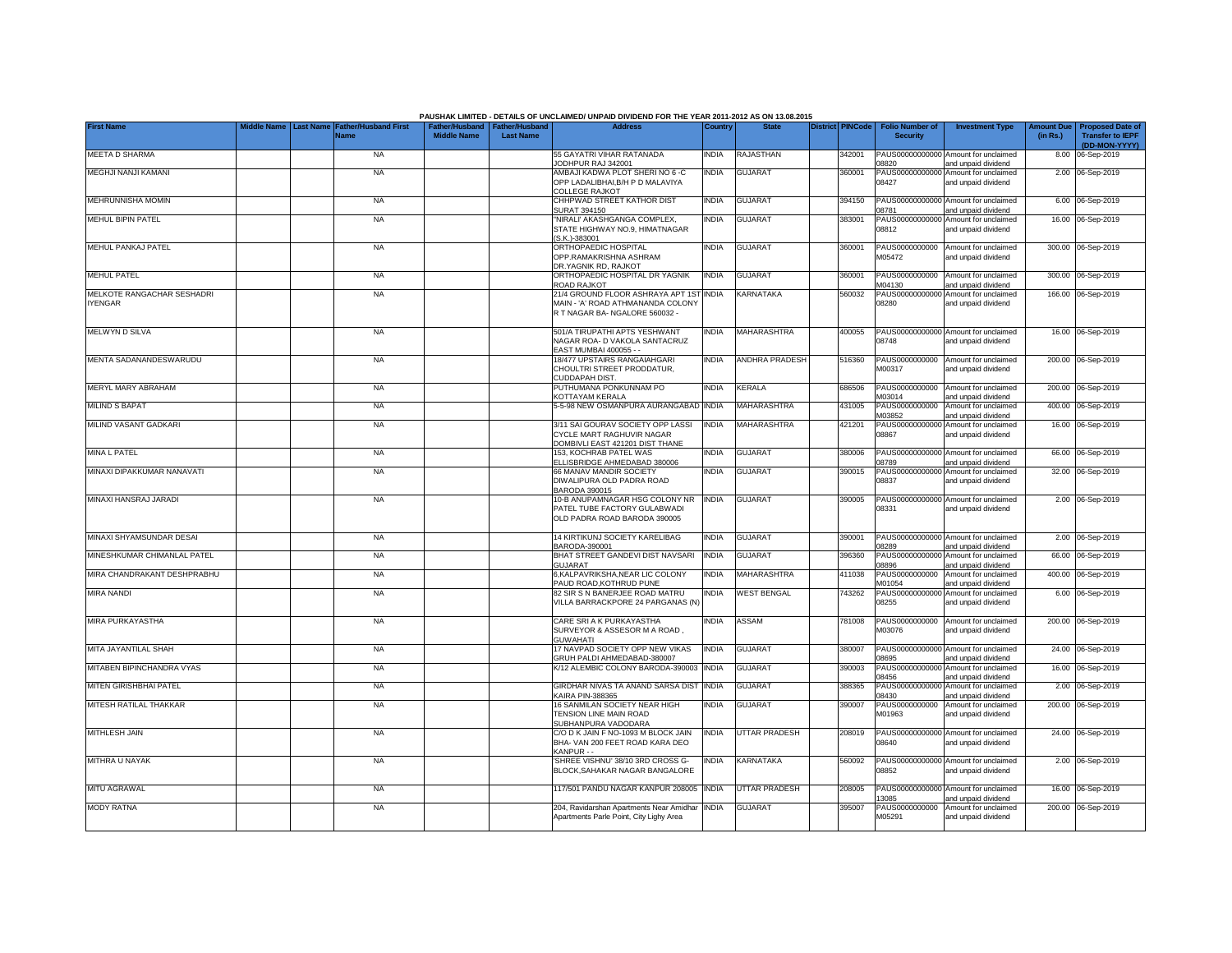|                             |                  |                                            |                                                       |                  | PAUSHAK LIMITED - DETAILS OF UNCLAIMED/ UNPAID DIVIDEND FOR THE YEAR 2011-2012 AS ON 13.08.2015      |              |                      |                         |                                           |                                                             |                               |                                                    |
|-----------------------------|------------------|--------------------------------------------|-------------------------------------------------------|------------------|------------------------------------------------------------------------------------------------------|--------------|----------------------|-------------------------|-------------------------------------------|-------------------------------------------------------------|-------------------------------|----------------------------------------------------|
| <b>First Name</b>           | <b>Last Name</b> | <b>Father/Husband First</b><br><b>Name</b> | Father/Husband   Father/Husband<br><b>Middle Name</b> | <b>Last Name</b> | <b>Address</b>                                                                                       | Country      | <b>State</b>         | <b>District PINCode</b> | <b>Folio Number of</b><br><b>Security</b> | <b>Investment Type</b>                                      | <b>Amount Due</b><br>(in Rs.) | <b>Proposed Date of</b><br><b>Transfer to IEPF</b> |
| <b>MEETA D SHARMA</b>       |                  | <b>NA</b>                                  |                                                       |                  | 55 GAYATRI VIHAR RATANADA                                                                            | INDIA        | RAJASTHAN            | 342001                  |                                           | PAUS00000000000 Amount for unclaimed                        |                               | (DD-MON-YYYY)<br>8.00 06-Sep-2019                  |
| MEGHJI NANJI KAMANI         |                  | <b>NA</b>                                  |                                                       |                  | JODHPUR RAJ 342001<br>AMBAJI KADWA PLOT SHERI NO 6 -C                                                | INDIA        | <b>GUJARAT</b>       | 360001                  | 08820<br>PAUS00000000000                  | and unpaid dividend<br>Amount for unclaimed                 |                               | 2.00 06-Sep-2019                                   |
|                             |                  |                                            |                                                       |                  | OPP LADALIBHAI, B/H P D MALAVIYA<br>COLLEGE RAJKOT                                                   |              |                      |                         | 08427                                     | and unpaid dividend                                         |                               |                                                    |
| <b>MEHRUNNISHA MOMIN</b>    |                  | <b>NA</b>                                  |                                                       |                  | CHHPWAD STREET KATHOR DIST<br>SURAT 394150                                                           | <b>INDIA</b> | <b>GUJARAT</b>       | 394150                  | 08781                                     | PAUS00000000000 Amount for unclaimed<br>and unpaid dividend |                               | 6.00 06-Sep-2019                                   |
| <b>MEHUL BIPIN PATEL</b>    |                  | <b>NA</b>                                  |                                                       |                  | "NIRALI' AKASHGANGA COMPLEX,<br>STATE HIGHWAY NO.9, HIMATNAGAR<br>S.K.)-383001                       | INDIA        | <b>GUJARAT</b>       | 383001                  | 08812                                     | PAUS00000000000 Amount for unclaimed<br>and unpaid dividend |                               | 16.00 06-Sep-2019                                  |
| MEHUL PANKAJ PATEL          |                  | <b>NA</b>                                  |                                                       |                  | ORTHOPAEDIC HOSPITAL<br>OPP.RAMAKRISHNA ASHRAM<br>DR.YAGNIK RD, RAJKOT                               | INDIA        | <b>GUJARAT</b>       | 360001                  | PAUS0000000000<br>M05472                  | Amount for unclaimed<br>and unpaid dividend                 |                               | 300.00 06-Sep-2019                                 |
| <b>MEHUL PATEL</b>          |                  | <b>NA</b>                                  |                                                       |                  | ORTHOPAEDIC HOSPITAL DR YAGNIK<br>ROAD RAJKOT                                                        | <b>INDIA</b> | <b>GUJARAT</b>       | 360001                  | PAUS0000000000<br>M04130                  | Amount for unclaimed<br>and unpaid dividend                 |                               | 300.00 06-Sep-2019                                 |
| MELKOTE RANGACHAR SESHADRI  |                  | <b>NA</b>                                  |                                                       |                  | 21/4 GROUND FLOOR ASHRAYA APT 1ST                                                                    | <b>INDIA</b> | <b>KARNATAKA</b>     | 560032                  |                                           | PAUS00000000000 Amount for unclaimed                        |                               | 166.00 06-Sep-2019                                 |
| <b>IYENGAR</b>              |                  |                                            |                                                       |                  | MAIN - 'A' ROAD ATHMANANDA COLONY<br>R T NAGAR BA-NGALORE 560032 -                                   |              |                      |                         | 08280                                     | and unpaid dividend                                         |                               |                                                    |
| MELWYN D SILVA              |                  | <b>NA</b>                                  |                                                       |                  | 501/A TIRUPATHI APTS YESHWANT<br>NAGAR ROA- D VAKOLA SANTACRUZ<br>EAST MUMBAI 400055 - -             | INDIA        | MAHARASHTRA          | 400055                  | 08748                                     | PAUS00000000000 Amount for unclaimed<br>and unpaid dividend |                               | 16.00 06-Sep-2019                                  |
| MENTA SADANANDESWARUDU      |                  | <b>NA</b>                                  |                                                       |                  | 18/477 UPSTAIRS RANGAIAHGARI                                                                         | INDIA        | ANDHRA PRADESH       | 516360                  | PAUS0000000000                            | Amount for unclaimed                                        |                               | 200.00 06-Sep-2019                                 |
|                             |                  |                                            |                                                       |                  | CHOULTRI STREET PRODDATUR,<br>CUDDAPAH DIST.                                                         |              |                      |                         | M00317                                    | and unpaid dividend                                         |                               |                                                    |
| MERYL MARY ABRAHAM          |                  | <b>NA</b>                                  |                                                       |                  | PUTHUMANA PONKUNNAM PO<br>KOTTAYAM KERALA                                                            | <b>INDIA</b> | <b>KERALA</b>        | 686506                  | PAUS0000000000<br>M03014                  | Amount for unclaimed<br>and unpaid dividend                 |                               | 200.00 06-Sep-2019                                 |
| <b>MILIND S BAPAT</b>       |                  | <b>NA</b>                                  |                                                       |                  | 5-5-98 NEW OSMANPURA AURANGABAD                                                                      | <b>INDIA</b> | MAHARASHTRA          | 431005                  | PAUS0000000000<br>M03852                  | Amount for unclaimed<br>and unpaid dividend                 |                               | 400.00 06-Sep-2019                                 |
| MILIND VASANT GADKARI       |                  | <b>NA</b>                                  |                                                       |                  | 3/11 SAI GOURAV SOCIETY OPP LASSI                                                                    | <b>INDIA</b> | MAHARASHTRA          | 421201                  | PAUS00000000000                           | Amount for unclaimed                                        |                               | 16.00 06-Sep-2019                                  |
|                             |                  |                                            |                                                       |                  | CYCLE MART RAGHUVIR NAGAR<br>DOMBIVLI EAST 421201 DIST THANE                                         |              |                      |                         | 08867                                     | and unpaid dividend                                         |                               |                                                    |
| <b>MINA L PATEL</b>         |                  | <b>NA</b>                                  |                                                       |                  | 153. KOCHRAB PATEL WAS<br>ELLISBRIDGE AHMEDABAD 380006                                               | <b>INDIA</b> | <b>GUJARAT</b>       | 380006                  | 08789                                     | PAUS00000000000 Amount for unclaimed<br>and unpaid dividend |                               | 66.00 06-Sep-2019                                  |
| MINAXI DIPAKKUMAR NANAVATI  |                  | <b>NA</b>                                  |                                                       |                  | 66 MANAV MANDIR SOCIETY<br>DIWALIPURA OLD PADRA ROAD<br><b>BARODA 390015</b>                         | <b>INDIA</b> | <b>GUJARAT</b>       | 390015                  | 08837                                     | PAUS00000000000 Amount for unclaimed<br>and unpaid dividend |                               | 32.00 06-Sep-2019                                  |
| MINAXI HANSRAJ JARADI       |                  | <b>NA</b>                                  |                                                       |                  | 10-B ANUPAMNAGAR HSG COLONY NR INDIA<br>PATEL TUBE FACTORY GULABWADI<br>OLD PADRA ROAD BARODA 390005 |              | <b>GUJARAT</b>       | 390005                  | 08331                                     | PAUS00000000000 Amount for unclaimed<br>and unpaid dividend |                               | 2.00 06-Sep-2019                                   |
| MINAXI SHYAMSUNDAR DESAI    |                  | <b>NA</b>                                  |                                                       |                  | 14 KIRTIKUNJ SOCIETY KARELIBAG<br>BARODA-390001                                                      | <b>INDIA</b> | <b>GUJARAT</b>       | 390001                  | 08289                                     | PAUS00000000000 Amount for unclaimed<br>and unpaid dividend |                               | 2.00 06-Sep-2019                                   |
| MINESHKUMAR CHIMANLAL PATEL |                  | <b>NA</b>                                  |                                                       |                  | BHAT STREET GANDEVI DIST NAVSARI                                                                     | <b>INDIA</b> | <b>GUJARAT</b>       | 396360                  |                                           | PAUS00000000000 Amount for unclaimed                        |                               | 66.00 06-Sep-2019                                  |
| MIRA CHANDRAKANT DESHPRABHU |                  | <b>NA</b>                                  |                                                       |                  | GUJARAT<br>6, KALPAVRIKSHA, NEAR LIC COLONY                                                          | INDIA        | <b>MAHARASHTRA</b>   | 411038                  | 08896<br>PAUS0000000000                   | and unpaid dividend<br>Amount for unclaimed                 |                               | 400.00 06-Sep-2019                                 |
| <b>MIRA NANDI</b>           |                  | <b>NA</b>                                  |                                                       |                  | PAUD ROAD.KOTHRUD PUNE<br>82 SIR S N BANERJEE ROAD MATRU                                             | India        | <b>WEST BENGAL</b>   | 743262                  | M01054<br>PAUS0000000000                  | and unpaid dividend<br>Amount for unclaimed                 |                               | 6.00 06-Sep-2019                                   |
|                             |                  |                                            |                                                       |                  | VILLA BARRACKPORE 24 PARGANAS (N)                                                                    |              |                      |                         | 08255                                     | and unpaid dividend                                         |                               |                                                    |
| MIRA PURKAYASTHA            |                  | <b>NA</b>                                  |                                                       |                  | CARE SRI A K PURKAYASTHA<br>SURVEYOR & ASSESOR M A ROAD.<br><b>GUWAHATI</b>                          | india        | ASSAM                | 781008                  | PAUS0000000000<br>M03076                  | Amount for unclaimed<br>and unpaid dividend                 |                               | 200.00 06-Sep-2019                                 |
| MITA JAYANTILAL SHAH        |                  | <b>NA</b>                                  |                                                       |                  | 17 NAVPAD SOCIETY OPP NEW VIKAS<br>GRUH PALDI AHMEDABAD-380007                                       | <b>INDIA</b> | <b>GUJARAT</b>       | 380007                  | PAUS00000000000<br>08695                  | Amount for unclaimed<br>and unpaid dividend                 |                               | 24.00 06-Sep-2019                                  |
| MITABEN BIPINCHANDRA VYAS   |                  | <b>NA</b>                                  |                                                       |                  | K/12 ALEMBIC COLONY BARODA-390003                                                                    | <b>INDIA</b> | <b>GUJARAT</b>       | 390003                  | PAUS0000000000<br>08456                   | Amount for unclaimed<br>and unpaid dividend                 |                               | 16.00 06-Sep-2019                                  |
| MITEN GIRISHBHAI PATEL      |                  | <b>NA</b>                                  |                                                       |                  | GIRDHAR NIVAS TA ANAND SARSA DIST<br>KAIRA PIN-388365                                                | <b>INDIA</b> | <b>GUJARAT</b>       | 388365                  | PAUS00000000000<br>08430                  | Amount for unclaimed<br>and unpaid dividend                 |                               | 2.00 06-Sep-2019                                   |
| MITESH RATILAL THAKKAR      |                  | <b>NA</b>                                  |                                                       |                  | 16 SANMILAN SOCIETY NEAR HIGH<br>TENSION LINE MAIN ROAD<br>SUBHANPURA VADODARA                       | <b>INDIA</b> | <b>GUJARAT</b>       | 390007                  | PAUS0000000000<br>M01963                  | Amount for unclaimed<br>and unpaid dividend                 |                               | 200.00 06-Sep-2019                                 |
| <b>MITHLESH JAIN</b>        |                  | <b>NA</b>                                  |                                                       |                  | C/O D K JAIN F NO-1093 M BLOCK JAIN<br>BHA- VAN 200 FEET ROAD KARA DEO<br>KANPUR - -                 | <b>INDIA</b> | <b>UTTAR PRADESH</b> | 208019                  | 08640                                     | PAUS00000000000 Amount for unclaimed<br>and unpaid dividend |                               | 24.00 06-Sep-2019                                  |
| MITHRA U NAYAK              |                  | <b>NA</b>                                  |                                                       |                  | SHREE VISHNU' 38/10 3RD CROSS G-<br>BLOCK.SAHAKAR NAGAR BANGALORE                                    | INDIA        | KARNATAKA            | 560092                  | 08852                                     | PAUS00000000000 Amount for unclaimed<br>and unpaid dividend |                               | 2.00 06-Sep-2019                                   |
| MITU AGRAWAL                |                  | <b>NA</b>                                  |                                                       |                  | 117/501 PANDU NAGAR KANPUR 208005                                                                    | <b>INDIA</b> | <b>UTTAR PRADESH</b> | 208005                  | 13085                                     | PAUS00000000000 Amount for unclaimed                        |                               | 16.00 06-Sep-2019                                  |
| <b>MODY RATNA</b>           |                  | NA                                         |                                                       |                  | 204, Ravidarshan Apartments Near Amidhar                                                             | <b>INDIA</b> | <b>GUJARAT</b>       | 395007                  | PAUS0000000000                            | and unpaid dividend<br>Amount for unclaimed                 |                               | 200.00 06-Sep-2019                                 |
|                             |                  |                                            |                                                       |                  | Apartments Parle Point, City Lighy Area                                                              |              |                      |                         | M05291                                    | and unpaid dividend                                         |                               |                                                    |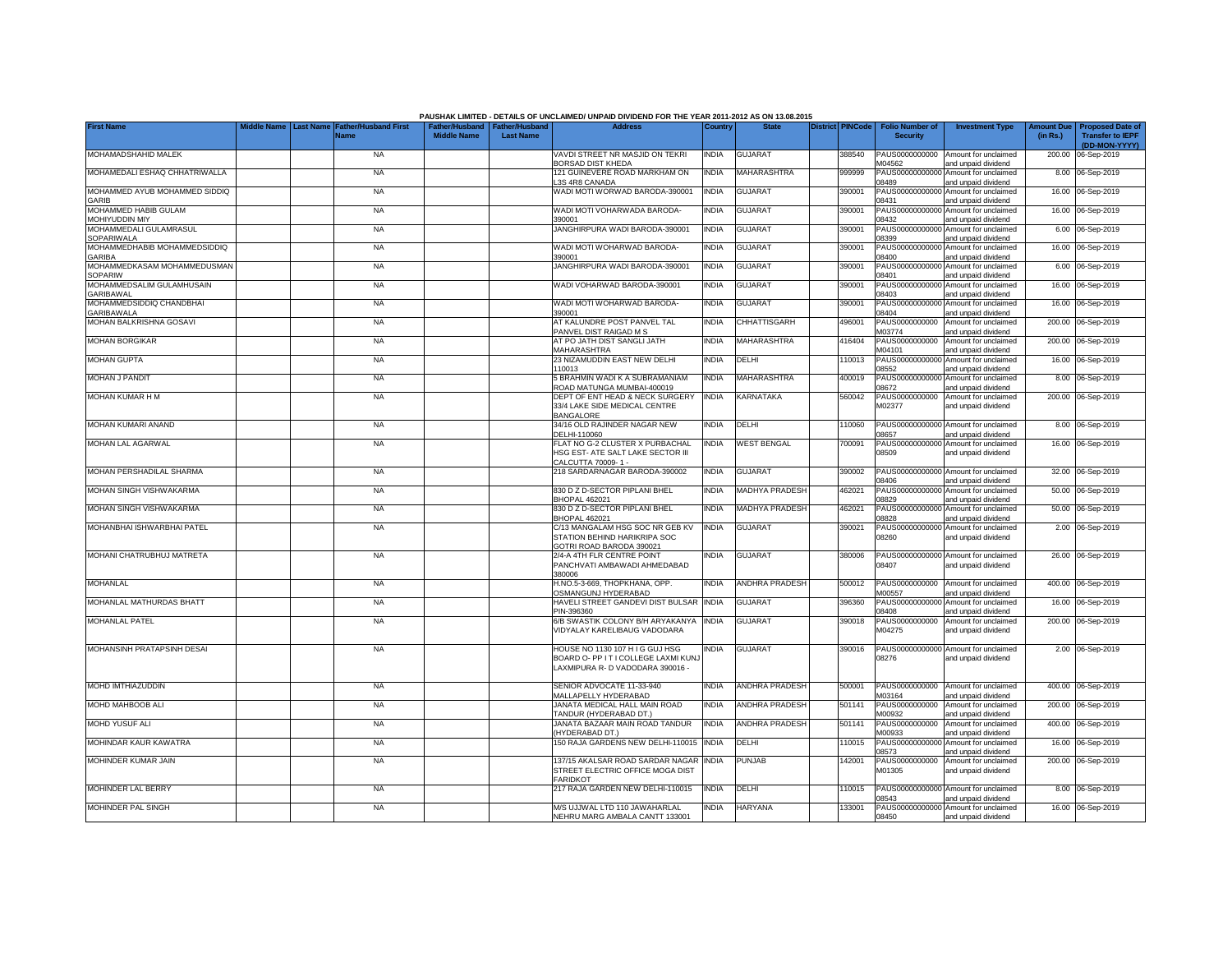|                                               |                                 |                                            |                                                       |                  | PAUSHAK LIMITED - DETAILS OF UNCLAIMED/ UNPAID DIVIDEND FOR THE YEAR 2011-2012 AS ON 13.08.2015          |              |                       |                         |                                           |                                                             |                               |                                                                     |
|-----------------------------------------------|---------------------------------|--------------------------------------------|-------------------------------------------------------|------------------|----------------------------------------------------------------------------------------------------------|--------------|-----------------------|-------------------------|-------------------------------------------|-------------------------------------------------------------|-------------------------------|---------------------------------------------------------------------|
| <b>First Name</b>                             | Middle Name<br><b>Last Name</b> | <b>Father/Husband First</b><br><b>Name</b> | Father/Husband   Father/Husband<br><b>Middle Name</b> | <b>Last Name</b> | <b>Address</b>                                                                                           | Country      | <b>State</b>          | <b>District PINCode</b> | <b>Folio Number of</b><br><b>Security</b> | <b>Investment Type</b>                                      | <b>Amount Due</b><br>(in Rs.) | <b>Proposed Date of</b><br><b>Transfer to IEPF</b><br>(DD-MON-YYYY) |
| MOHAMADSHAHID MALEK                           |                                 | <b>NA</b>                                  |                                                       |                  | VAVDI STREET NR MASJID ON TEKRI<br>BORSAD DIST KHEDA                                                     | <b>INDIA</b> | <b>GUJARAT</b>        | 388540                  | PAUS0000000000<br>M04562                  | Amount for unclaimed<br>and unpaid dividend                 |                               | 200.00 06-Sep-2019                                                  |
| MOHAMEDALI ESHAQ CHHATRIWALLA                 |                                 | <b>NA</b>                                  |                                                       |                  | 121 GUINEVERE ROAD MARKHAM ON<br>3S 4R8 CANADA                                                           | <b>INDIA</b> | MAHARASHTRA           | 999999                  | PAUS00000000000<br>08489                  | Amount for unclaimed<br>and unpaid dividend                 |                               | 8.00 06-Sep-2019                                                    |
| MOHAMMED AYUB MOHAMMED SIDDIQ<br>GARIB        |                                 | <b>NA</b>                                  |                                                       |                  | WADI MOTI WORWAD BARODA-390001                                                                           | <b>INDIA</b> | <b>GUJARAT</b>        | 390001                  | PAUS00000000000<br>08431                  | Amount for unclaimed<br>and unpaid dividend                 |                               | 16.00 06-Sep-2019                                                   |
| MOHAMMED HABIB GULAM<br>MOHIYUDDIN MIY        |                                 | NA                                         |                                                       |                  | WADI MOTI VOHARWADA BARODA-<br>390001                                                                    | <b>INDIA</b> | <b>GUJARAT</b>        | 390001                  | PAUS0000000000<br>08432                   | Amount for unclaimed<br>and unpaid dividend                 |                               | 16.00 06-Sep-2019                                                   |
| MOHAMMEDALI GULAMRASUL<br><b>SOPARIWALA</b>   |                                 | <b>NA</b>                                  |                                                       |                  | JANGHIRPURA WADI BARODA-390001                                                                           | <b>INDIA</b> | <b>GUJARAT</b>        | 390001                  | PAUS0000000000<br>8399                    | Amount for unclaimed<br>and unpaid dividend                 |                               | 6.00 06-Sep-2019                                                    |
| MOHAMMEDHABIB MOHAMMEDSIDDIQ<br><b>GARIBA</b> |                                 | <b>NA</b>                                  |                                                       |                  | WADI MOTI WOHARWAD BARODA-<br>390001                                                                     | <b>INDIA</b> | <b>GUJARAT</b>        | 390001                  | PAUS0000000000<br>00480                   | Amount for unclaimed<br>and unpaid dividend                 |                               | 16.00 06-Sep-2019                                                   |
| MOHAMMEDKASAM MOHAMMEDUSMAN<br><b>SOPARIW</b> |                                 | <b>NA</b>                                  |                                                       |                  | JANGHIRPURA WADI BARODA-390001                                                                           | <b>INDIA</b> | <b>GUJARAT</b>        | 390001                  | PAUS0000000000<br>08401                   | Amount for unclaimed<br>and unpaid dividend                 |                               | 6.00 06-Sep-2019                                                    |
| MOHAMMEDSALIM GULAMHUSAIN<br>GARIBAWAL        |                                 | <b>NA</b>                                  |                                                       |                  | WADI VOHARWAD BARODA-390001                                                                              | <b>INDIA</b> | <b>GUJARAT</b>        | 390001                  | PAUS0000000000<br>08403                   | Amount for unclaimed<br>and unpaid dividend                 |                               | 16.00 06-Sep-2019                                                   |
| MOHAMMEDSIDDIQ CHANDBHAI<br><b>GARIBAWALA</b> |                                 | <b>NA</b>                                  |                                                       |                  | WADI MOTI WOHARWAD BARODA-<br>390001                                                                     | <b>INDIA</b> | <b>GUJARAT</b>        | 390001                  | PAUS0000000000<br>08404                   | Amount for unclaimed<br>and unpaid dividend                 |                               | 16.00 06-Sep-2019                                                   |
| MOHAN BALKRISHNA GOSAVI                       |                                 | <b>NA</b>                                  |                                                       |                  | AT KALUNDRE POST PANVEL TAL<br>PANVEL DIST RAIGAD M S                                                    | <b>INDIA</b> | CHHATTISGARH          | 496001                  | PAUS0000000000<br>M03774                  | Amount for unclaimed<br>and unpaid dividend                 |                               | 200.00 06-Sep-2019                                                  |
| <b>MOHAN BORGIKAR</b>                         |                                 | NA                                         |                                                       |                  | AT PO JATH DIST SANGLI JATH<br>MAHARASHTRA                                                               | <b>INDIA</b> | MAHARASHTRA           | 416404                  | PAUS0000000000<br>M04101                  | Amount for unclaimed<br>and unpaid dividend                 |                               | 200.00 06-Sep-2019                                                  |
| <b>MOHAN GUPTA</b>                            |                                 | <b>NA</b>                                  |                                                       |                  | 23 NIZAMUDDIN EAST NEW DELHI<br>110013                                                                   | <b>INDIA</b> | DELHI                 | 110013                  | PAUS00000000000<br>08552                  | Amount for unclaimed<br>and unpaid dividend                 |                               | 16.00 06-Sep-2019                                                   |
| <b>MOHAN J PANDIT</b>                         |                                 | <b>NA</b>                                  |                                                       |                  | 5 BRAHMIN WADI K A SUBRAMANIAM<br>ROAD MATUNGA MUMBAI-400019                                             | <b>INDIA</b> | MAHARASHTRA           | 400019                  | PAUS00000000000<br>08672                  | Amount for unclaimed<br>and unpaid dividend                 |                               | 8.00 06-Sep-2019                                                    |
| MOHAN KUMAR H M                               |                                 | <b>NA</b>                                  |                                                       |                  | DEPT OF ENT HEAD & NECK SURGERY<br>33/4 LAKE SIDE MEDICAL CENTRE<br><b>BANGALORE</b>                     | <b>INDIA</b> | KARNATAKA             | 560042                  | PAUS0000000000<br>M02377                  | Amount for unclaimed<br>and unpaid dividend                 |                               | 200.00 06-Sep-2019                                                  |
| MOHAN KUMARI ANAND                            |                                 | <b>NA</b>                                  |                                                       |                  | 34/16 OLD RAJINDER NAGAR NEW<br>DELHI-110060                                                             | <b>INDIA</b> | DELHI                 | 10060                   | 08657                                     | PAUS00000000000 Amount for unclaimed<br>and unpaid dividend |                               | 8.00 06-Sep-2019                                                    |
| <b>MOHAN LAL AGARWAL</b>                      |                                 | <b>NA</b>                                  |                                                       |                  | FLAT NO G-2 CLUSTER X PURBACHAL<br>HSG EST- ATE SALT LAKE SECTOR III<br>CALCUTTA 70009-1-                | <b>INDIA</b> | <b>WEST BENGAL</b>    | 700091                  | PAUS0000000000<br>08509                   | Amount for unclaimed<br>and unpaid dividend                 |                               | 16.00 06-Sep-2019                                                   |
| MOHAN PERSHADILAL SHARMA                      |                                 | <b>NA</b>                                  |                                                       |                  | 218 SARDARNAGAR BARODA-390002                                                                            | <b>INDIA</b> | <b>GUJARAT</b>        | 390002                  | PAUS0000000000<br>08406                   | Amount for unclaimed<br>and unpaid dividend                 |                               | 32.00 06-Sep-2019                                                   |
| MOHAN SINGH VISHWAKARMA                       |                                 | <b>NA</b>                                  |                                                       |                  | 830 D Z D-SECTOR PIPLANI BHEL<br><b>BHOPAL 462021</b>                                                    | <b>INDIA</b> | MADHYA PRADESH        | 462021                  | PAUS0000000000<br>08829                   | Amount for unclaimed<br>and unpaid dividend                 | 50.00                         | 06-Sep-2019                                                         |
| MOHAN SINGH VISHWAKARMA                       |                                 | <b>NA</b>                                  |                                                       |                  | 830 D Z D-SECTOR PIPLANI BHEL<br><b>BHOPAL 462021</b>                                                    | <b>INDIA</b> | <b>MADHYA PRADESH</b> | 462021                  | PAUS0000000000<br>08828                   | Amount for unclaimed<br>and unpaid dividend                 |                               | 50.00 06-Sep-2019                                                   |
| MOHANBHAI ISHWARBHAI PATEL                    |                                 | <b>NA</b>                                  |                                                       |                  | C/13 MANGALAM HSG SOC NR GEB KV<br>STATION BEHIND HARIKRIPA SOC<br>GOTRI ROAD BARODA 390021              | <b>INDIA</b> | <b>GUJARAT</b>        | 390021                  | PAUS00000000000<br>08260                  | Amount for unclaimed<br>and unpaid dividend                 |                               | 2.00 06-Sep-2019                                                    |
| MOHANI CHATRUBHUJ MATRETA                     |                                 | <b>NA</b>                                  |                                                       |                  | 2/4-A 4TH FLR CENTRE POINT<br>PANCHVATI AMBAWADI AHMEDABAD<br>380006                                     | <b>INDIA</b> | <b>GUJARAT</b>        | 380006                  | PAUS00000000000<br>08407                  | Amount for unclaimed<br>and unpaid dividend                 |                               | 26.00 06-Sep-2019                                                   |
| MOHANLAL                                      |                                 | <b>NA</b>                                  |                                                       |                  | H.NO.5-3-669, THOPKHANA, OPP.<br>OSMANGUNJ HYDERABAD                                                     | <b>INDIA</b> | <b>ANDHRA PRADESH</b> | 500012                  | PAUS0000000000<br>M00557                  | Amount for unclaimed<br>and unpaid dividend                 |                               | 400.00 06-Sep-2019                                                  |
| MOHANLAL MATHURDAS BHATT                      |                                 | <b>NA</b>                                  |                                                       |                  | HAVELI STREET GANDEVI DIST BULSAR<br>PIN-396360                                                          | <b>INDIA</b> | <b>GUJARAT</b>        | 396360                  | PAUS0000000000<br>8408                    | Amount for unclaimed<br>and unpaid dividend                 |                               | 16.00 06-Sep-2019                                                   |
| <b>MOHANLAL PATEL</b>                         |                                 | <b>NA</b>                                  |                                                       |                  | 6/B SWASTIK COLONY B/H ARYAKANYA<br>VIDYALAY KARELIBAUG VADODARA                                         | <b>INDIA</b> | <b>GUJARAT</b>        | 390018                  | PAUS0000000000<br>M04275                  | Amount for unclaimed<br>and unpaid dividend                 |                               | 200.00 06-Sep-2019                                                  |
| MOHANSINH PRATAPSINH DESAI                    |                                 | <b>NA</b>                                  |                                                       |                  | HOUSE NO 1130 107 HIG GUJ HSG<br>BOARD O- PP IT I COLLEGE LAXMI KUNJ<br>LAXMIPURA R- D VADODARA 390016 - | <b>INDIA</b> | <b>GUJARAT</b>        | 390016                  | 08276                                     | PAUS00000000000 Amount for unclaimed<br>and unpaid dividend |                               | 2.00 06-Sep-2019                                                    |
| <b>MOHD IMTHIAZUDDIN</b>                      |                                 | <b>NA</b>                                  |                                                       |                  | SENIOR ADVOCATE 11-33-940<br>MALLAPELLY HYDERABAD                                                        | <b>INDIA</b> | <b>ANDHRA PRADESH</b> | 500001                  | M03164                                    | PAUS0000000000 Amount for unclaimed<br>and unpaid dividend  |                               | 400.00 06-Sep-2019                                                  |
| MOHD MAHBOOB ALI                              |                                 | <b>NA</b>                                  |                                                       |                  | JANATA MEDICAL HALL MAIN ROAD<br>TANDUR (HYDERABAD DT.)                                                  | <b>INDIA</b> | <b>ANDHRA PRADESH</b> | 501141                  | M00932                                    | PAUS0000000000 Amount for unclaimed<br>and unpaid dividend  |                               | 200.00 06-Sep-2019                                                  |
| MOHD YUSUF ALI                                |                                 | <b>NA</b>                                  |                                                       |                  | JANATA BAZAAR MAIN ROAD TANDUR<br>(HYDERABAD DT.)                                                        | <b>INDIA</b> | <b>ANDHRA PRADESH</b> | 501141                  | M00933                                    | PAUS0000000000 Amount for unclaimed<br>and unpaid dividend  |                               | 400.00 06-Sep-2019                                                  |
| MOHINDAR KAUR KAWATRA                         |                                 | <b>NA</b>                                  |                                                       |                  | 150 RAJA GARDENS NEW DELHI-110015                                                                        | <b>INDIA</b> | DELHI                 | 110015                  | 08573                                     | PAUS00000000000 Amount for unclaimed<br>and unpaid dividend |                               | 16.00 06-Sep-2019                                                   |
| MOHINDER KUMAR JAIN                           |                                 | <b>NA</b>                                  |                                                       |                  | 137/15 AKALSAR ROAD SARDAR NAGAR<br>STREET ELECTRIC OFFICE MOGA DIST<br><b>FARIDKOT</b>                  | <b>INDIA</b> | <b>PUNJAB</b>         | 142001                  | M01305                                    | PAUS0000000000 Amount for unclaimed<br>and unpaid dividend  |                               | 200.00 06-Sep-2019                                                  |
| <b>MOHINDER LAL BERRY</b>                     |                                 | <b>NA</b>                                  |                                                       |                  | 217 RAJA GARDEN NEW DELHI-110015                                                                         | <b>INDIA</b> | DELHI                 | 10015                   | 08543                                     | PAUS00000000000 Amount for unclaimed<br>and unpaid dividend |                               | 8.00 06-Sep-2019                                                    |
| <b>MOHINDER PAL SINGH</b>                     |                                 | <b>NA</b>                                  |                                                       |                  | M/S UJJWAL LTD 110 JAWAHARLAL<br>NEHRU MARG AMBALA CANTT 133001                                          | <b>INDIA</b> | <b>HARYANA</b>        | 133001                  | 08450                                     | PAUS00000000000 Amount for unclaimed<br>and unpaid dividend |                               | 16.00 06-Sep-2019                                                   |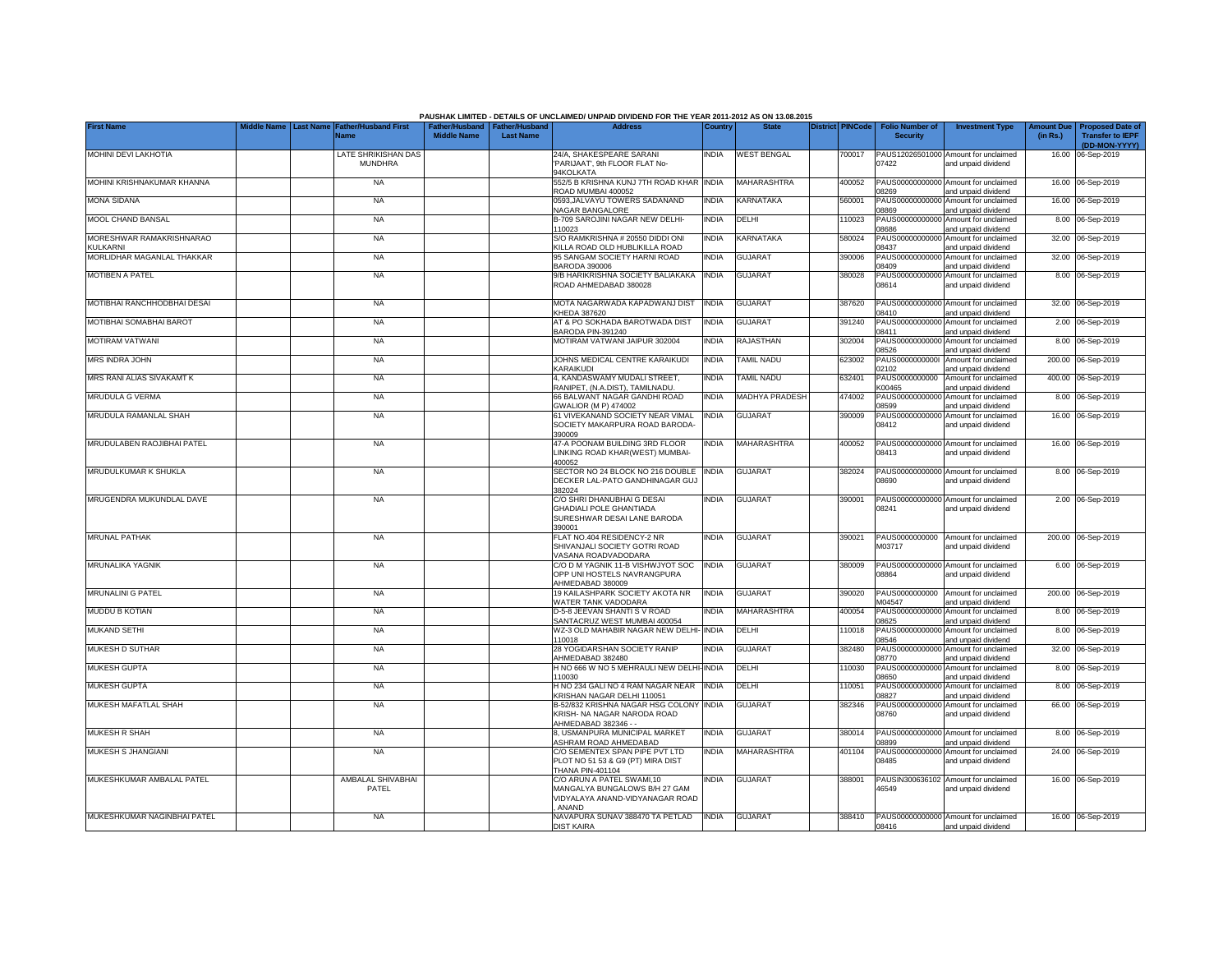|                                      |                  |                                       |                                                       |                  | PAUSHAK LIMITED - DETAILS OF UNCLAIMED/ UNPAID DIVIDEND FOR THE YEAR 2011-2012 AS ON 13.08.2015        |              |                          |                         |                                           |                                                             |                               |                                                    |
|--------------------------------------|------------------|---------------------------------------|-------------------------------------------------------|------------------|--------------------------------------------------------------------------------------------------------|--------------|--------------------------|-------------------------|-------------------------------------------|-------------------------------------------------------------|-------------------------------|----------------------------------------------------|
| <b>First Name</b>                    | <b>Last Name</b> | <b>Father/Husband First</b><br>Name   | Father/Husband   Father/Husband<br><b>Middle Name</b> | <b>Last Name</b> | <b>Address</b>                                                                                         | Country      | <b>State</b>             | <b>District PINCode</b> | <b>Folio Number of</b><br><b>Security</b> | <b>Investment Type</b>                                      | <b>Amount Due</b><br>(in Rs.) | <b>Proposed Date of</b><br><b>Transfer to IEPF</b> |
|                                      |                  |                                       |                                                       |                  |                                                                                                        |              |                          |                         |                                           |                                                             |                               | (DD-MON-YYYY)                                      |
| MOHINI DEVI LAKHOTIA                 |                  | LATE SHRIKISHAN DAS<br><b>MUNDHRA</b> |                                                       |                  | 24/A, SHAKESPEARE SARANI<br>PARIJAAT', 9th FLOOR FLAT No-<br>94KOLKATA                                 | <b>INDIA</b> | <b>WEST BENGAL</b>       | 700017                  | 07422                                     | PAUS12026501000 Amount for unclaimed<br>and unpaid dividend |                               | 16.00 06-Sep-2019                                  |
| MOHINI KRISHNAKUMAR KHANNA           |                  | <b>NA</b>                             |                                                       |                  | 552/5 B KRISHNA KUNJ 7TH ROAD KHAR<br>ROAD MUMBAI 400052                                               | <b>INDIA</b> | MAHARASHTRA              | 400052                  | PAUS00000000000<br>08269                  | Amount for unclaimed<br>and unpaid dividend                 |                               | 16.00 06-Sep-2019                                  |
| <b>MONA SIDANA</b>                   |                  | <b>NA</b>                             |                                                       |                  | 0593.JALVAYU TOWERS SADANAND<br>NAGAR BANGALORE                                                        | <b>INDIA</b> | KARNATAKA                | 560001                  | PAUS0000000000<br>08869                   | Amount for unclaimed<br>and unpaid dividend                 |                               | 16.00 06-Sep-2019                                  |
| MOOL CHAND BANSAL                    |                  | <b>NA</b>                             |                                                       |                  | B-709 SAROJINI NAGAR NEW DELHI-<br>110023                                                              | INDIA        | DELHI                    | 110023                  | PAUS0000000000<br>8686                    | Amount for unclaimed<br>and unpaid dividend                 |                               | 8.00 06-Sep-2019                                   |
| MORESHWAR RAMAKRISHNARAO<br>KULKARNI |                  | <b>NA</b>                             |                                                       |                  | S/O RAMKRISHNA # 20550 DIDDI ONI<br>KILLA ROAD OLD HUBLIKILLA ROAD                                     | <b>INDIA</b> | KARNATAKA                | 580024                  | PAUS00000000000<br>08437                  | Amount for unclaimed<br>and unpaid dividend                 |                               | 32.00 06-Sep-2019                                  |
| MORLIDHAR MAGANLAL THAKKAR           |                  | <b>NA</b>                             |                                                       |                  | 95 SANGAM SOCIETY HARNI ROAD<br><b>BARODA 390006</b>                                                   | <b>INDIA</b> | <b>GUJARAT</b>           | 390006                  | 08409                                     | PAUS00000000000 Amount for unclaimed<br>and unpaid dividend |                               | 32.00 06-Sep-2019                                  |
| <b>MOTIBEN A PATEL</b>               |                  | <b>NA</b>                             |                                                       |                  | 9/B HARIKRISHNA SOCIETY BALIAKAKA<br>ROAD AHMEDABAD 380028                                             | <b>INDIA</b> | <b>GUJARAT</b>           | 380028                  | 08614                                     | PAUS00000000000 Amount for unclaimed<br>and unpaid dividend |                               | 8.00 06-Sep-2019                                   |
| MOTIBHAI RANCHHODBHAI DESAI          |                  | <b>NA</b>                             |                                                       |                  | MOTA NAGARWADA KAPADWANJ DIST<br>KHEDA 387620                                                          | <b>INDIA</b> | <b>GUJARAT</b>           | 387620                  | PAUS0000000000<br>08410                   | Amount for unclaimed<br>and unpaid dividend                 |                               | 32.00 06-Sep-2019                                  |
| MOTIBHAI SOMABHAI BAROT              |                  | <b>NA</b>                             |                                                       |                  | AT & PO SOKHADA BAROTWADA DIST<br>BARODA PIN-391240                                                    | <b>INDIA</b> | <b>GUJARAT</b>           | 391240                  | PAUS0000000000<br>08411                   | Amount for unclaimed<br>and unpaid dividend                 |                               | 2.00 06-Sep-2019                                   |
| <b>MOTIRAM VATWANI</b>               |                  | <b>NA</b>                             |                                                       |                  | MOTIRAM VATWANI JAIPUR 302004                                                                          | INDIA        | RAJASTHAN                | 302004                  | PAUS0000000000<br>08526                   | Amount for unclaimed<br>and unpaid dividend                 |                               | 8.00 06-Sep-2019                                   |
| <b>MRS INDRA JOHN</b>                |                  | <b>NA</b>                             |                                                       |                  | JOHNS MEDICAL CENTRE KARAIKUDI<br>KARAIKUDI                                                            | <b>INDIA</b> | <b><i>FAMIL NADU</i></b> | 623002                  | PAUS0000000000<br>02102                   | Amount for unclaimed<br>and unpaid dividend                 |                               | 200.00 06-Sep-2019                                 |
| MRS RANI ALIAS SIVAKAMT K            |                  | <b>NA</b>                             |                                                       |                  | 4, KANDASWAMY MUDALI STREET.<br>RANIPET. (N.A.DIST), TAMILNADU.                                        | <b>INDIA</b> | <b>TAMIL NADU</b>        | 632401                  | PAUS0000000000<br>K00465                  | Amount for unclaimed<br>and unpaid dividend                 |                               | 400.00 06-Sep-2019                                 |
| MRUDULA G VERMA                      |                  | <b>NA</b>                             |                                                       |                  | 66 BALWANT NAGAR GANDHI ROAD<br>GWALIOR (M P) 474002                                                   | <b>INDIA</b> | <b>MADHYA PRADESH</b>    | 474002                  | PAUS00000000000<br>08599                  | Amount for unclaimed<br>and unpaid dividend                 |                               | 8.00 06-Sep-2019                                   |
| MRUDULA RAMANLAL SHAH                |                  | <b>NA</b>                             |                                                       |                  | 61 VIVEKANAND SOCIETY NEAR VIMAL<br>SOCIETY MAKARPURA ROAD BARODA<br>390009                            | <b>INDIA</b> | <b>GUJARAT</b>           | 390009                  | 08412                                     | PAUS00000000000 Amount for unclaimed<br>and unpaid dividend |                               | 16.00 06-Sep-2019                                  |
| MRUDULABEN RAOJIBHAI PATEL           |                  | <b>NA</b>                             |                                                       |                  | 47-A POONAM BUILDING 3RD FLOOR<br>LINKING ROAD KHAR(WEST) MUMBAI-<br>400052                            | <b>INDIA</b> | MAHARASHTRA              | 400052                  | 08413                                     | PAUS00000000000 Amount for unclaimed<br>and unpaid dividend |                               | 16.00 06-Sep-2019                                  |
| MRUDULKUMAR K SHUKLA                 |                  | <b>NA</b>                             |                                                       |                  | SECTOR NO 24 BLOCK NO 216 DOUBLE<br>DECKER LAL-PATO GANDHINAGAR GUJ<br>382024                          | <b>INDIA</b> | <b>GUJARAT</b>           | 382024                  | 08690                                     | PAUS00000000000 Amount for unclaimed<br>and unpaid dividend |                               | 8.00 06-Sep-2019                                   |
| MRUGENDRA MUKUNDLAL DAVE             |                  | <b>NA</b>                             |                                                       |                  | C/O SHRI DHANUBHAI G DESAI<br><b>GHADIALI POLE GHANTIADA</b><br>SURESHWAR DESAI LANE BARODA<br>390001  | <b>INDIA</b> | <b>GUJARAT</b>           | 390001                  | 08241                                     | PAUS00000000000 Amount for unclaimed<br>and unpaid dividend |                               | 2.00 06-Sep-2019                                   |
| <b>MRUNAL PATHAK</b>                 |                  | <b>NA</b>                             |                                                       |                  | FLAT NO.404 RESIDENCY-2 NR<br>SHIVANJALI SOCIETY GOTRI ROAD<br>/ASANA ROADVADODARA                     | <b>INDIA</b> | <b>GUJARAT</b>           | 390021                  | M03717                                    | PAUS0000000000 Amount for unclaimed<br>and unpaid dividend  |                               | 200.00 06-Sep-2019                                 |
| <b>MRUNALIKA YAGNIK</b>              |                  | <b>NA</b>                             |                                                       |                  | C/O D M YAGNIK 11-B VISHWJYOT SOC<br>OPP UNI HOSTELS NAVRANGPURA<br>AHMEDABAD 380009                   | <b>INDIA</b> | <b>GUJARAT</b>           | 380009                  | 08864                                     | PAUS00000000000 Amount for unclaimed<br>and unpaid dividend |                               | 6.00 06-Sep-2019                                   |
| <b>MRUNALINI G PATEL</b>             |                  | <b>NA</b>                             |                                                       |                  | 19 KAILASHPARK SOCIETY AKOTA NR<br>WATER TANK VADODARA                                                 | <b>INDIA</b> | <b>GUJARAT</b>           | 390020                  | PAUS0000000000<br>M04547                  | Amount for unclaimed<br>and unpaid dividend                 |                               | 200.00 06-Sep-2019                                 |
| <b>MUDDU B KOTIAN</b>                |                  | <b>NA</b>                             |                                                       |                  | D-5-8 JEEVAN SHANTI S V ROAD<br>SANTACRUZ WEST MUMBAI 400054                                           | <b>INDIA</b> | MAHARASHTRA              | 400054                  | PAUS00000000000<br>08625                  | Amount for unclaimed<br>and unpaid dividend                 |                               | 8.00 06-Sep-2019                                   |
| <b>MUKAND SETHI</b>                  |                  | <b>NA</b>                             |                                                       |                  | WZ-3 OLD MAHABIR NAGAR NEW DELHI-<br>110018                                                            | <b>INDIA</b> | DELHI                    | 110018                  | PAUS00000000000<br>08546                  | Amount for unclaimed<br>and unpaid dividend                 |                               | 8.00 06-Sep-2019                                   |
| MUKESH D SUTHAR                      |                  | <b>NA</b>                             |                                                       |                  | 28 YOGIDARSHAN SOCIETY RANIP<br>AHMEDABAD 382480                                                       | <b>INDIA</b> | <b>GUJARAT</b>           | 382480                  | PAUS00000000000<br>08770                  | Amount for unclaimed<br>and unpaid dividend                 |                               | 32.00 06-Sep-2019                                  |
| <b>MUKESH GUPTA</b>                  |                  | <b>NA</b>                             |                                                       |                  | H NO 666 W NO 5 MEHRAULI NEW DELHI<br>110030                                                           | <b>INDIA</b> | DELHI                    | 110030                  | PAUS0000000000<br>08650                   | Amount for unclaimed<br>and unpaid dividend                 |                               | 8.00 06-Sep-2019                                   |
| <b>MUKESH GUPTA</b>                  |                  | <b>NA</b>                             |                                                       |                  | H NO 234 GALI NO 4 RAM NAGAR NEAR<br>KRISHAN NAGAR DELHI 110051                                        | <b>INDIA</b> | DELHI                    | 110051                  | PAUS0000000000<br>08827                   | Amount for unclaimed<br>and unpaid dividend                 | 8.00                          | 06-Sep-2019                                        |
| MUKESH MAFATLAL SHAH                 |                  | <b>NA</b>                             |                                                       |                  | B-52/832 KRISHNA NAGAR HSG COLONY<br>KRISH- NA NAGAR NARODA ROAD<br>AHMEDABAD 382346 --                | <b>INDIA</b> | <b>GUJARAT</b>           | 382346                  | PAUS0000000000<br>08760                   | Amount for unclaimed<br>and unpaid dividend                 |                               | 66.00 06-Sep-2019                                  |
| <b>MUKESH R SHAH</b>                 |                  | <b>NA</b>                             |                                                       |                  | 8, USMANPURA MUNICIPAL MARKET<br>ASHRAM ROAD AHMEDABAD                                                 | <b>INDIA</b> | <b>GUJARAT</b>           | 380014                  | PAUS00000000000<br>08899                  | Amount for unclaimed<br>and unpaid dividend                 |                               | 8.00 06-Sep-2019                                   |
| MUKESH S JHANGIANI                   |                  | <b>NA</b>                             |                                                       |                  | C/O SEMENTEX SPAN PIPE PVT LTD<br>PLOT NO 51 53 & G9 (PT) MIRA DIST<br>THANA PIN-401104                | <b>INDIA</b> | MAHARASHTRA              | 401104                  | PAUS0000000000<br>08485                   | Amount for unclaimed<br>and unpaid dividend                 |                               | 24.00 06-Sep-2019                                  |
| MUKESHKUMAR AMBALAL PATEL            |                  | AMBALAL SHIVABHAI<br>PATEL            |                                                       |                  | C/O ARUN A PATEL SWAMI.10<br>MANGALYA BUNGALOWS B/H 27 GAM<br>VIDYALAYA ANAND-VIDYANAGAR ROAD<br>ANAND | India        | <b>GUJARAT</b>           | 388001                  | 16549                                     | PAUSIN300636102 Amount for unclaimed<br>and unpaid dividend |                               | 16.00 06-Sep-2019                                  |
| MUKESHKUMAR NAGINBHAI PATEL          |                  | <b>NA</b>                             |                                                       |                  | NAVAPURA SUNAV 388470 TA PETLAD<br><b>DIST KAIRA</b>                                                   | <b>INDIA</b> | <b>GUJARAT</b>           | 388410                  | 08416                                     | PAUS00000000000 Amount for unclaimed<br>and unpaid dividend |                               | 16.00 06-Sep-2019                                  |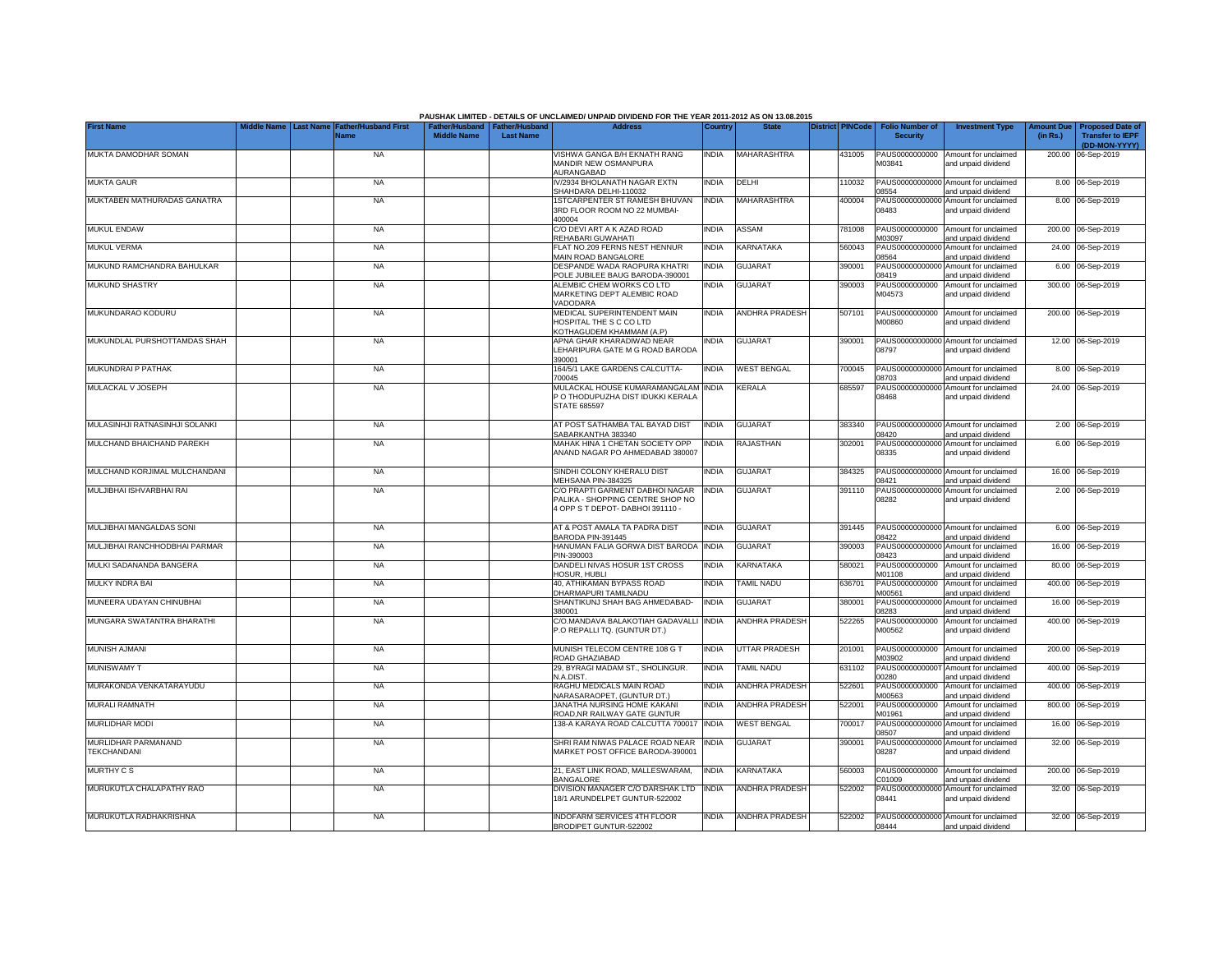|                                           |           |                             |                                                       |                  | PAUSHAK LIMITED - DETAILS OF UNCLAIMED/ UNPAID DIVIDEND FOR THE YEAR 2011-2012 AS ON 13.08.2015<br><b>Address</b> |              | <b>State</b>          |                         |        |                                           |                                                             |                               |                                                    |
|-------------------------------------------|-----------|-----------------------------|-------------------------------------------------------|------------------|-------------------------------------------------------------------------------------------------------------------|--------------|-----------------------|-------------------------|--------|-------------------------------------------|-------------------------------------------------------------|-------------------------------|----------------------------------------------------|
| <b>First Name</b>                         | Last Name | ather/Husband First<br>Name | Father/Husband   Father/Husband<br><b>Middle Name</b> | <b>Last Name</b> |                                                                                                                   | Country      |                       | <b>District PINCode</b> |        | <b>Folio Number of</b><br><b>Security</b> | <b>Investment Type</b>                                      | <b>Amount Due</b><br>(in Rs.) | <b>Proposed Date of</b><br><b>Transfer to IEPF</b> |
|                                           |           |                             |                                                       |                  |                                                                                                                   |              |                       |                         |        |                                           |                                                             |                               | (DD-MON-YYYY)                                      |
| MUKTA DAMODHAR SOMAN                      |           | <b>NA</b>                   |                                                       |                  | VISHWA GANGA B/H EKNATH RANG                                                                                      | INDIA        | MAHARASHTRA           |                         | 431005 | M03841                                    | PAUS0000000000 Amount for unclaimed                         |                               | 200.00 06-Sep-2019                                 |
|                                           |           |                             |                                                       |                  | MANDIR NEW OSMANPURA<br>AURANGABAD                                                                                |              |                       |                         |        |                                           | and unpaid dividend                                         |                               |                                                    |
| <b>MUKTA GAUR</b>                         |           | <b>NA</b>                   |                                                       |                  | V/2934 BHOLANATH NAGAR EXTN<br>SHAHDARA DELHI-110032                                                              | INDIA        | DELHI                 |                         | 10032  | PAUS0000000000<br>08554                   | Amount for unclaimed<br>and unpaid dividend                 |                               | 8.00 06-Sep-2019                                   |
| MUKTABEN MATHURADAS GANATRA               |           | <b>NA</b>                   |                                                       |                  | <b>ISTCARPENTER ST RAMESH BHUVAN</b>                                                                              | <b>INDIA</b> | <b>MAHARASHTRA</b>    |                         | 400004 | PAUS00000000000                           | Amount for unclaimed                                        |                               | 8.00 06-Sep-2019                                   |
|                                           |           |                             |                                                       |                  | 3RD FLOOR ROOM NO 22 MUMBAI-<br>400004                                                                            |              |                       |                         |        | 08483                                     | and unpaid dividend                                         |                               |                                                    |
| <b>MUKUL ENDAW</b>                        |           | <b>NA</b>                   |                                                       |                  | C/O DEVI ART A K AZAD ROAD                                                                                        | India        | ASSAM                 |                         | 781008 | PAUS0000000000                            | Amount for unclaimed                                        |                               | 200.00 06-Sep-2019                                 |
|                                           |           |                             |                                                       |                  | REHABARI GUWAHATI                                                                                                 |              |                       |                         |        | M03097                                    | and unpaid dividend                                         |                               |                                                    |
| <b>MUKUL VERMA</b>                        |           | <b>NA</b>                   |                                                       |                  | FLAT NO.209 FERNS NEST HENNUR                                                                                     | INDIA        | KARNATAKA             |                         | 560043 | PAUS0000000000                            | Amount for unclaimed                                        |                               | 24.00 06-Sep-2019                                  |
| MUKUND RAMCHANDRA BAHULKAR                |           | <b>NA</b>                   |                                                       |                  | MAIN ROAD BANGALORE<br>DESPANDE WADA RAOPURA KHATRI                                                               | <b>INDIA</b> | <b>GUJARAT</b>        |                         | 390001 | 08564<br>PAUS0000000000                   | and unpaid dividend<br>Amount for unclaimed                 |                               | 6.00 06-Sep-2019                                   |
|                                           |           |                             |                                                       |                  | POLE JUBILEE BAUG BARODA-390001                                                                                   |              |                       |                         |        | 08419                                     | and unpaid dividend                                         |                               |                                                    |
| <b>MUKUND SHASTRY</b>                     |           | <b>NA</b>                   |                                                       |                  | ALEMBIC CHEM WORKS CO LTD<br>MARKETING DEPT ALEMBIC ROAD                                                          | INDIA        | <b>GUJARAT</b>        |                         | 390003 | PAUS0000000000<br>M04573                  | Amount for unclaimed<br>and unpaid dividend                 |                               | 300.00 06-Sep-2019                                 |
|                                           |           |                             |                                                       |                  | VADODARA                                                                                                          |              |                       |                         |        |                                           |                                                             |                               |                                                    |
| MUKUNDARAO KODURU                         |           | <b>NA</b>                   |                                                       |                  | MEDICAL SUPERINTENDENT MAIN                                                                                       | <b>INDIA</b> | <b>ANDHRA PRADESH</b> |                         | 507101 | PAUS0000000000                            | Amount for unclaimed                                        |                               | 200.00 06-Sep-2019                                 |
|                                           |           |                             |                                                       |                  | HOSPITAL THE S C CO LTD<br>KOTHAGUDEM KHAMMAM (A.P)                                                               |              |                       |                         |        | M00860                                    | and unpaid dividend                                         |                               |                                                    |
| MUKUNDLAL PURSHOTTAMDAS SHAH              |           | <b>NA</b>                   |                                                       |                  | APNA GHAR KHARADIWAD NEAR                                                                                         | india        | <b>GUJARAT</b>        |                         | 390001 |                                           | PAUS00000000000 Amount for unclaimed                        |                               | 12.00 06-Sep-2019                                  |
|                                           |           |                             |                                                       |                  | LEHARIPURA GATE M G ROAD BARODA<br>390001                                                                         |              |                       |                         |        | 08797                                     | and unpaid dividend                                         |                               |                                                    |
| MUKUNDRAI P PATHAK                        |           | <b>NA</b>                   |                                                       |                  | 164/5/1 LAKE GARDENS CALCUTTA-                                                                                    | india        | <b>WEST BENGAL</b>    |                         | '00045 | PAUS0000000000                            | Amount for unclaimed                                        |                               | 8.00 06-Sep-2019                                   |
|                                           |           |                             |                                                       |                  | 700045                                                                                                            |              |                       |                         |        | 08703                                     | and unpaid dividend                                         |                               |                                                    |
| MULACKAL V JOSEPH                         |           | <b>NA</b>                   |                                                       |                  | MULACKAL HOUSE KUMARAMANGALAM<br>P O THODUPUZHA DIST IDUKKI KERALA                                                | <b>INDIA</b> | KERALA                |                         | 685597 | PAUS00000000000<br>08468                  | Amount for unclaimed<br>and unpaid dividend                 |                               | 24.00 06-Sep-2019                                  |
|                                           |           |                             |                                                       |                  | <b>STATE 685597</b>                                                                                               |              |                       |                         |        |                                           |                                                             |                               |                                                    |
| MULASINHJI RATNASINHJI SOLANKI            |           | <b>NA</b>                   |                                                       |                  | AT POST SATHAMBA TAL BAYAD DIST                                                                                   | <b>INDIA</b> | <b>GUJARAT</b>        |                         | 383340 |                                           | PAUS00000000000 Amount for unclaimed                        |                               | 2.00 06-Sep-2019                                   |
|                                           |           |                             |                                                       |                  | SABARKANTHA 383340                                                                                                |              |                       |                         |        | 08420                                     | and unpaid dividend                                         |                               |                                                    |
| MULCHAND BHAICHAND PAREKH                 |           | <b>NA</b>                   |                                                       |                  | MAHAK HINA 1 CHETAN SOCIETY OPP                                                                                   | INDIA        | RAJASTHAN             |                         | 302001 |                                           | PAUS00000000000 Amount for unclaimed                        |                               | 6.00 06-Sep-2019                                   |
|                                           |           |                             |                                                       |                  | ANAND NAGAR PO AHMEDABAD 380007                                                                                   |              |                       |                         |        | 08335                                     | and unpaid dividend                                         |                               |                                                    |
| MULCHAND KORJIMAL MULCHANDANI             |           | <b>NA</b>                   |                                                       |                  | SINDHI COLONY KHERALU DIST                                                                                        | <b>INDIA</b> | <b>GUJARAT</b>        |                         | 384325 |                                           | PAUS00000000000 Amount for unclaimed                        |                               | 16.00 06-Sep-2019                                  |
| MULJIBHAI ISHVARBHAI RAI                  |           | <b>NA</b>                   |                                                       |                  | MEHSANA PIN-384325<br>C/O PRAPTI GARMENT DABHOI NAGAR                                                             | <b>INDIA</b> | <b>GUJARAT</b>        |                         | 391110 | 08421<br>PAUS00000000000                  | and unpaid dividend<br>Amount for unclaimed                 |                               | 2.00 06-Sep-2019                                   |
|                                           |           |                             |                                                       |                  | PALIKA - SHOPPING CENTRE SHOP NO                                                                                  |              |                       |                         |        | 08282                                     | and unpaid dividend                                         |                               |                                                    |
|                                           |           |                             |                                                       |                  | 4 OPP S T DEPOT- DABHOI 391110 -                                                                                  |              |                       |                         |        |                                           |                                                             |                               |                                                    |
| MULJIBHAI MANGALDAS SONI                  |           | <b>NA</b>                   |                                                       |                  | AT & POST AMALA TA PADRA DIST                                                                                     | India        | <b>GUJARAT</b>        |                         | 391445 |                                           | PAUS00000000000 Amount for unclaimed                        |                               | 6.00 06-Sep-2019                                   |
|                                           |           |                             |                                                       |                  | BARODA PIN-391445                                                                                                 |              |                       |                         |        | 08422                                     | and unpaid dividend                                         |                               |                                                    |
| MULJIBHAI RANCHHODBHAI PARMAR             |           | <b>NA</b>                   |                                                       |                  | HANUMAN FALIA GORWA DIST BARODA<br>PIN-390003                                                                     | <b>INDIA</b> | <b>GUJARAT</b>        |                         | 390003 | PAUS00000000000                           | Amount for unclaimed<br>and unpaid dividend                 |                               | 16.00 06-Sep-2019                                  |
| MULKI SADANANDA BANGERA                   |           | <b>NA</b>                   |                                                       |                  | DANDELI NIVAS HOSUR 1ST CROSS                                                                                     | <b>INDIA</b> | KARNATAKA             |                         | 580021 | 08423<br>PAUS0000000000                   | Amount for unclaimed                                        |                               | 80.00 06-Sep-2019                                  |
|                                           |           |                             |                                                       |                  | <b>OSUR, HUBLI</b>                                                                                                |              |                       |                         |        | M01108                                    | and unpaid dividend                                         |                               |                                                    |
| MULKY INDRA BAI                           |           | <b>NA</b>                   |                                                       |                  | 40, ATHIKAMAN BYPASS ROAD<br>DHARMAPURI TAMILNADU                                                                 | INDIA        | <b>TAMIL NADU</b>     |                         | 36701  | PAUS0000000000<br>M00561                  | Amount for unclaimed<br>and unpaid dividend                 |                               | 400.00 06-Sep-2019                                 |
| MUNEERA UDAYAN CHINUBHAI                  |           | <b>NA</b>                   |                                                       |                  | SHANTIKUNJ SHAH BAG AHMEDABAD-                                                                                    | <b>INDIA</b> | <b>GUJARAT</b>        |                         | 380001 | PAUS00000000000                           | Amount for unclaimed                                        |                               | 16.00 06-Sep-2019                                  |
| MUNGARA SWATANTRA BHARATHI                |           | <b>NA</b>                   |                                                       |                  | 380001<br>C/O.MANDAVA BALAKOTIAH GADAVALLI                                                                        | <b>INDIA</b> | <b>ANDHRA PRADESH</b> |                         | 522265 | 08283<br>PAUS0000000000                   | and unpaid dividend<br>Amount for unclaimed                 |                               | 400.00 06-Sep-2019                                 |
|                                           |           |                             |                                                       |                  | P.O REPALLI TQ. (GUNTUR DT.)                                                                                      |              |                       |                         |        | M00562                                    | and unpaid dividend                                         |                               |                                                    |
|                                           |           |                             |                                                       |                  |                                                                                                                   |              |                       |                         |        |                                           |                                                             |                               |                                                    |
| MUNISH AJMANI                             |           | <b>NA</b>                   |                                                       |                  | MUNISH TELECOM CENTRE 108 G T<br>ROAD GHAZIABAD                                                                   | INDIA        | <b>UTTAR PRADESH</b>  |                         | 201001 | PAUS0000000000<br>M03902                  | Amount for unclaimed<br>and unpaid dividend                 |                               | 200.00 06-Sep-2019                                 |
| <b>MUNISWAMY T</b>                        |           | <b>NA</b>                   |                                                       |                  | 29, BYRAGI MADAM ST., SHOLINGUR.                                                                                  | india        | TAMIL NADU            |                         | 631102 | PAUS0000000000                            | Amount for unclaimed                                        | 400.00                        | 06-Sep-2019                                        |
| MURAKONDA VENKATARAYUDU                   |           | <b>NA</b>                   |                                                       |                  | N.A.DIST.<br>RAGHU MEDICALS MAIN ROAD                                                                             | <b>INDIA</b> | <b>ANDHRA PRADESH</b> |                         | 522601 | 00280<br>PAUS0000000000                   | and unpaid dividend<br>Amount for unclaimed                 | 400.00                        | 06-Sep-2019                                        |
|                                           |           |                             |                                                       |                  | NARASARAOPET, (GUNTUR DT.)                                                                                        |              |                       |                         |        | M00563                                    | and unpaid dividend                                         |                               |                                                    |
| <b>MURALI RAMNATH</b>                     |           | <b>NA</b>                   |                                                       |                  | JANATHA NURSING HOME KAKANI<br>ROAD, NR RAILWAY GATE GUNTUR                                                       | <b>INDIA</b> | <b>ANDHRA PRADESH</b> |                         | 522001 | PAUS0000000000                            | Amount for unclaimed                                        |                               | 800.00 06-Sep-2019                                 |
| <b>MURLIDHAR MODI</b>                     |           | <b>NA</b>                   |                                                       |                  | 138-A KARAYA ROAD CALCUTTA 700017                                                                                 | <b>INDIA</b> | <b>WEST BENGAL</b>    |                         | 700017 | M01961<br>PAUS0000000000                  | and unpaid dividend<br>Amount for unclaimed                 |                               | 16.00 06-Sep-2019                                  |
|                                           |           |                             |                                                       |                  |                                                                                                                   |              |                       |                         |        | 08507                                     | and unpaid dividend                                         |                               |                                                    |
| MURLIDHAR PARMANAND<br><b>TEKCHANDANI</b> |           | <b>NA</b>                   |                                                       |                  | SHRI RAM NIWAS PALACE ROAD NEAR<br>MARKET POST OFFICE BARODA-390001                                               | india        | <b>GUJARAT</b>        |                         | 390001 | PAUS0000000000<br>08287                   | Amount for unclaimed<br>and unpaid dividend                 |                               | 32.00 06-Sep-2019                                  |
|                                           |           |                             |                                                       |                  |                                                                                                                   |              |                       |                         |        |                                           |                                                             |                               |                                                    |
| <b>MURTHY C S</b>                         |           | <b>NA</b>                   |                                                       |                  | 21, EAST LINK ROAD, MALLESWARAM,                                                                                  | <b>INDIA</b> | KARNATAKA             |                         | 560003 | PAUS0000000000                            | Amount for unclaimed                                        |                               | 200.00 06-Sep-2019                                 |
| MURUKUTLA CHALAPATHY RAO                  |           | <b>NA</b>                   |                                                       |                  | <b>BANGALORE</b><br>DIVISION MANAGER C/O DARSHAK LTD                                                              | <b>INDIA</b> | ANDHRA PRADESH        |                         | 522002 | 201009                                    | and unpaid dividend<br>PAUS00000000000 Amount for unclaimed |                               | 32.00 06-Sep-2019                                  |
|                                           |           |                             |                                                       |                  | 18/1 ARUNDELPET GUNTUR-522002                                                                                     |              |                       |                         |        | 08441                                     | and unpaid dividend                                         |                               |                                                    |
| MURUKUTLA RADHAKRISHNA                    |           | <b>NA</b>                   |                                                       |                  | <b>INDOFARM SERVICES 4TH FLOOR</b>                                                                                | <b>INDIA</b> | <b>ANDHRA PRADESH</b> |                         | 522002 |                                           | PAUS00000000000 Amount for unclaimed                        |                               | 32.00 06-Sep-2019                                  |
|                                           |           |                             |                                                       |                  | BRODIPET GUNTUR-522002                                                                                            |              |                       |                         |        | 08444                                     | and unpaid dividend                                         |                               |                                                    |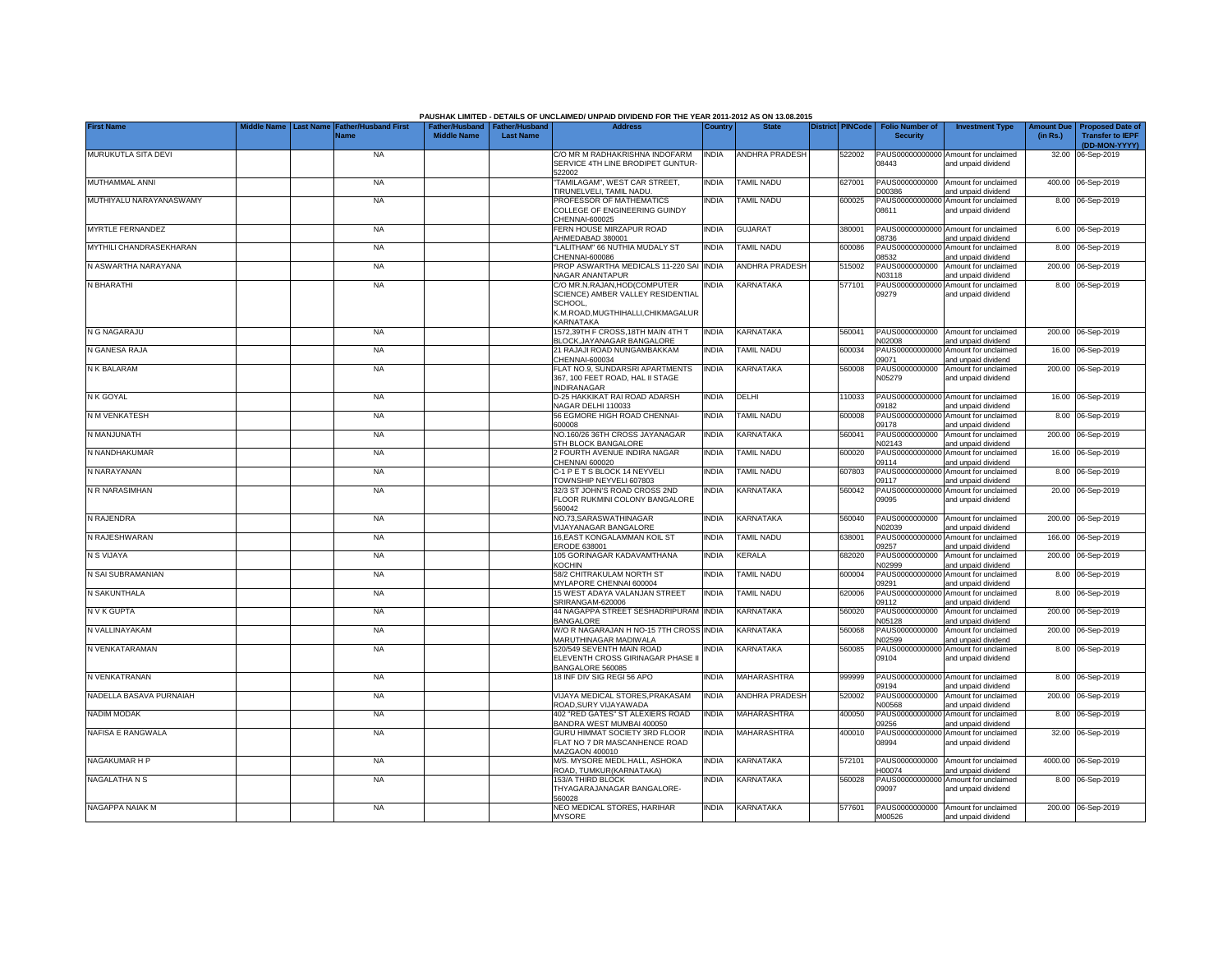|                                |                    |                                                                |                                                       |                  | PAUSHAK LIMITED - DETAILS OF UNCLAIMED/ UNPAID DIVIDEND FOR THE YEAR 2011-2012 AS ON 13.08.2015                                |              |                       |                         |                                           |                                                             |                               |                                                    |
|--------------------------------|--------------------|----------------------------------------------------------------|-------------------------------------------------------|------------------|--------------------------------------------------------------------------------------------------------------------------------|--------------|-----------------------|-------------------------|-------------------------------------------|-------------------------------------------------------------|-------------------------------|----------------------------------------------------|
| <b>First Name</b>              | <b>Aiddle Name</b> | <b>Last Name</b><br><b>Father/Husband First</b><br><b>Name</b> | Father/Husband   Father/Husband<br><b>Middle Name</b> | <b>Last Name</b> | <b>Address</b>                                                                                                                 | Country      | <b>State</b>          | <b>District PINCode</b> | <b>Folio Number of</b><br><b>Security</b> | <b>Investment Type</b>                                      | <b>Amount Due</b><br>(in Rs.) | <b>Proposed Date of</b><br><b>Transfer to IEPF</b> |
| MURUKUTLA SITA DEVI            |                    | <b>NA</b>                                                      |                                                       |                  | C/O MR M RADHAKRISHNA INDOFARM                                                                                                 | <b>INDIA</b> | <b>ANDHRA PRADESH</b> | 522002                  |                                           | PAUS00000000000 Amount for unclaimed                        |                               | (DD-MON-YYYY)<br>32.00 06-Sep-2019                 |
|                                |                    |                                                                |                                                       |                  | SERVICE 4TH LINE BRODIPET GUNTUR-<br>522002                                                                                    |              |                       |                         | 08443                                     | and unpaid dividend                                         |                               |                                                    |
| MUTHAMMAL ANNI                 |                    | <b>NA</b>                                                      |                                                       |                  | TAMILAGAM", WEST CAR STREET,<br>TIRUNELVELI, TAMIL NADU.                                                                       | <b>INDIA</b> | <b>TAMIL NADU</b>     | 627001                  | PAUS0000000000<br>D00386                  | Amount for unclaimed<br>and unpaid dividend                 |                               | 400.00 06-Sep-2019                                 |
| MUTHIYALU NARAYANASWAMY        |                    | <b>NA</b>                                                      |                                                       |                  | PROFESSOR OF MATHEMATICS<br>COLLEGE OF ENGINEERING GUINDY<br>CHENNAI-600025                                                    | <b>NDIA</b>  | <b>TAMIL NADU</b>     | 600025                  | PAUS00000000000<br>08611                  | Amount for unclaimed<br>and unpaid dividend                 |                               | 8.00 06-Sep-2019                                   |
| <b>MYRTLE FERNANDEZ</b>        |                    | <b>NA</b>                                                      |                                                       |                  | FERN HOUSE MIRZAPUR ROAD<br>AHMEDABAD 380001                                                                                   | <b>INDIA</b> | <b>GUJARAT</b>        | 380001                  | PAUS00000000000<br>08736                  | Amount for unclaimed<br>and unpaid dividend                 |                               | 6.00 06-Sep-2019                                   |
| <b>MYTHILI CHANDRASEKHARAN</b> |                    | <b>NA</b>                                                      |                                                       |                  | 'LALITHAM" 66 NUTHIA MUDALY ST<br>CHENNAI-600086                                                                               | <b>INDIA</b> | <b>TAMIL NADU</b>     | 600086                  | PAUS0000000000<br>18532                   | Amount for unclaimed<br>and unpaid dividend                 |                               | 8.00 06-Sep-2019                                   |
| N ASWARTHA NARAYANA            |                    | <b>NA</b>                                                      |                                                       |                  | PROP ASWARTHA MEDICALS 11-220 SAI<br><b>NAGAR ANANTAPUR</b>                                                                    | <b>INDIA</b> | <b>ANDHRA PRADESH</b> | 15002                   | PAUS0000000000<br>N03118                  | Amount for unclaimed<br>and unpaid dividend                 |                               | 200.00 06-Sep-2019                                 |
| N BHARATHI                     |                    | <b>NA</b>                                                      |                                                       |                  | C/O MR.N.RAJAN, HOD (COMPUTER<br>SCIENCE) AMBER VALLEY RESIDENTIAL<br>SCHOOL.<br>K.M.ROAD.MUGTHIHALLI.CHIKMAGALUR<br>KARNATAKA | <b>INDIA</b> | <b>KARNATAKA</b>      | 577101                  | PAUS0000000000<br>09279                   | Amount for unclaimed<br>and unpaid dividend                 |                               | 8.00 06-Sep-2019                                   |
| N G NAGARAJU                   |                    | <b>NA</b>                                                      |                                                       |                  | 1572,39TH F CROSS,18TH MAIN 4TH T<br><b>BLOCK, JAYANAGAR BANGALORE</b>                                                         | <b>INDIA</b> | <b>KARNATAKA</b>      | 560041                  | PAUS0000000000<br>N02008                  | Amount for unclaimed<br>and unpaid dividend                 |                               | 200.00 06-Sep-2019                                 |
| N GANESA RAJA                  |                    | <b>NA</b>                                                      |                                                       |                  | 21 RAJAJI ROAD NUNGAMBAKKAM<br>CHENNAI-600034                                                                                  | <b>INDIA</b> | <b>TAMIL NADU</b>     | 600034                  | PAUS00000000000<br>09071                  | Amount for unclaimed<br>and unpaid dividend                 |                               | 16.00 06-Sep-2019                                  |
| N K BALARAM                    |                    | <b>NA</b>                                                      |                                                       |                  | FLAT NO.9, SUNDARSRI APARTMENTS<br>367, 100 FEET ROAD, HAL II STAGE<br><b>INDIRANAGAR</b>                                      | <b>INDIA</b> | <b>KARNATAKA</b>      | 560008                  | PAUS0000000000<br>N05279                  | Amount for unclaimed<br>and unpaid dividend                 |                               | 200.00 06-Sep-2019                                 |
| N K GOYAL                      |                    | <b>NA</b>                                                      |                                                       |                  | D-25 HAKKIKAT RAI ROAD ADARSH<br>NAGAR DELHI 110033                                                                            | <b>INDIA</b> | DELHI                 | 110033                  | 09182                                     | PAUS00000000000 Amount for unclaimed<br>and unpaid dividend |                               | 16.00 06-Sep-2019                                  |
| N M VENKATESH                  |                    | <b>NA</b>                                                      |                                                       |                  | 56 EGMORE HIGH ROAD CHENNAI-<br>800008                                                                                         | <b>INDIA</b> | <b>TAMIL NADU</b>     | 600008                  | 09178                                     | PAUS00000000000 Amount for unclaimed<br>and unpaid dividend |                               | 8.00 06-Sep-2019                                   |
| N MANJUNATH                    |                    | <b>NA</b>                                                      |                                                       |                  | NO.160/26 36TH CROSS JAYANAGAR<br>5TH BLOCK BANGALORE                                                                          | <b>INDIA</b> | <b>KARNATAKA</b>      | 560041                  | PAUS0000000000<br>N02143                  | Amount for unclaimed<br>and unpaid dividend                 |                               | 200.00 06-Sep-2019                                 |
| N NANDHAKUMAR                  |                    | <b>NA</b>                                                      |                                                       |                  | 2 FOURTH AVENUE INDIRA NAGAR<br>CHENNAI 600020                                                                                 | <b>INDIA</b> | <b>TAMIL NADU</b>     | 600020                  | PAUS00000000000<br>09114                  | Amount for unclaimed<br>and unpaid dividend                 |                               | 16.00 06-Sep-2019                                  |
| N NARAYANAN                    |                    | <b>NA</b>                                                      |                                                       |                  | C-1 P E T S BLOCK 14 NEYVELI<br>TOWNSHIP NEYVELI 607803                                                                        | <b>INDIA</b> | <b>TAMIL NADU</b>     | 607803                  | PAUS0000000000<br>09117                   | Amount for unclaimed<br>and unpaid dividend                 | 8.00                          | 06-Sep-2019                                        |
| N R NARASIMHAN                 |                    | <b>NA</b>                                                      |                                                       |                  | 32/3 ST JOHN'S ROAD CROSS 2ND<br>FLOOR RUKMINI COLONY BANGALORE<br>560042                                                      | <b>INDIA</b> | <b>KARNATAKA</b>      | 560042                  | PAUS0000000000<br>09095                   | Amount for unclaimed<br>and unpaid dividend                 |                               | 20.00 06-Sep-2019                                  |
| N RAJENDRA                     |                    | <b>NA</b>                                                      |                                                       |                  | NO.73.SARASWATHINAGAR<br><b>VIJAYANAGAR BANGALORE</b>                                                                          | <b>INDIA</b> | <b>KARNATAKA</b>      | 560040                  | PAUS0000000000<br>N02039                  | Amount for unclaimed<br>and unpaid dividend                 |                               | 200.00 06-Sep-2019                                 |
| N RAJESHWARAN                  |                    | <b>NA</b>                                                      |                                                       |                  | 16.EAST KONGALAMMAN KOIL ST<br>ERODE 638001                                                                                    | <b>INDIA</b> | <b>TAMIL NADU</b>     | 38001                   | PAUS0000000000<br>09257                   | Amount for unclaimed<br>and unpaid dividend                 | 166.00                        | 06-Sep-2019                                        |
| N S VIJAYA                     |                    | <b>NA</b>                                                      |                                                       |                  | 105 GORINAGAR KADAVAMTHANA<br><b>KOCHIN</b>                                                                                    | <b>INDIA</b> | <b>KERALA</b>         | 682020                  | PAUS0000000000<br>N02999                  | Amount for unclaimed<br>and unpaid dividend                 | 200.00                        | 06-Sep-2019                                        |
| N SAI SUBRAMANIAN              |                    | <b>NA</b>                                                      |                                                       |                  | 58/2 CHITRAKULAM NORTH ST<br>MYLAPORE CHENNAI 600004                                                                           | <b>INDIA</b> | <b>TAMIL NADU</b>     | 600004                  | PAUS0000000000<br>09291                   | Amount for unclaimed<br>and unpaid dividend                 | 8.00                          | 06-Sep-2019                                        |
| N SAKUNTHALA                   |                    | <b>NA</b>                                                      |                                                       |                  | 15 WEST ADAYA VALANJAN STREET<br>SRIRANGAM-620006                                                                              | <b>INDIA</b> | <b>TAMIL NADU</b>     | 620006                  | PAUS0000000000<br>09112                   | Amount for unclaimed<br>and unpaid dividend                 | 8.00                          | 06-Sep-2019                                        |
| N V K GUPTA                    |                    | <b>NA</b>                                                      |                                                       |                  | 44 NAGAPPA STREET SESHADRIPURAM<br><b>BANGALORE</b>                                                                            | <b>INDIA</b> | KARNATAKA             | 560020                  | PAUS0000000000<br>N05128                  | Amount for unclaimed<br>and unpaid dividend                 | 200.00                        | 06-Sep-2019                                        |
| N VALLINAYAKAM                 |                    | <b>NA</b>                                                      |                                                       |                  | W/O R NAGARAJAN H NO-15 7TH CROSS INDIA<br>MARUTHINAGAR MADIWALA                                                               |              | <b>KARNATAKA</b>      | 560068                  | PAUS0000000000<br>N02599                  | Amount for unclaimed<br>and unpaid dividend                 |                               | 200.00 06-Sep-2019                                 |
| N VENKATARAMAN                 |                    | <b>NA</b>                                                      |                                                       |                  | 520/549 SEVENTH MAIN ROAD<br>ELEVENTH CROSS GIRINAGAR PHASE I<br>BANGALORE 560085                                              | <b>NDIA</b>  | <b>KARNATAKA</b>      | 560085                  | PAUS0000000000<br>09104                   | Amount for unclaimed<br>and unpaid dividend                 |                               | 8.00 06-Sep-2019                                   |
| N VENKATRANAN                  |                    | <b>NA</b>                                                      |                                                       |                  | 18 INF DIV SIG REGI 56 APO                                                                                                     | <b>INDIA</b> | <b>MAHARASHTRA</b>    | 999999                  | PAUS00000000000<br>09194                  | Amount for unclaimed<br>and unpaid dividend                 |                               | 8.00 06-Sep-2019                                   |
| NADELLA BASAVA PURNAIAH        |                    | <b>NA</b>                                                      |                                                       |                  | VIJAYA MEDICAL STORES, PRAKASAM<br>ROAD.SURY VIJAYAWADA                                                                        | <b>INDIA</b> | <b>ANDHRA PRADESH</b> | 520002                  | PAUS0000000000<br>N00568                  | Amount for unclaimed<br>and unpaid dividend                 |                               | 200.00 06-Sep-2019                                 |
| <b>NADIM MODAK</b>             |                    | <b>NA</b>                                                      |                                                       |                  | 402 "RED GATES" ST ALEXIERS ROAD<br>BANDRA WEST MUMBAI 400050                                                                  | INDIA        | MAHARASHTRA           | 400050                  | PAUS0000000000<br>09256                   | Amount for unclaimed<br>and unpaid dividend                 |                               | 8.00 06-Sep-2019                                   |
| NAFISA E RANGWALA              |                    | <b>NA</b>                                                      |                                                       |                  | GURU HIMMAT SOCIETY 3RD FLOOR<br>FLAT NO 7 DR MASCANHENCE ROAD<br>MAZGAON 400010                                               | <b>NDIA</b>  | MAHARASHTRA           | 400010                  | 08994                                     | PAUS00000000000 Amount for unclaimed<br>and unpaid dividend |                               | 32.00 06-Sep-2019                                  |
| NAGAKUMAR H P                  |                    | <b>NA</b>                                                      |                                                       |                  | M/S. MYSORE MEDL.HALL. ASHOKA<br>ROAD, TUMKUR(KARNATAKA)                                                                       | <b>INDIA</b> | <b>KARNATAKA</b>      | 572101                  | PAUS0000000000<br>H00074                  | Amount for unclaimed<br>and unpaid dividend                 |                               | 4000.00 06-Sep-2019                                |
| <b>NAGALATHA N S</b>           |                    | <b>NA</b>                                                      |                                                       |                  | <b>153/A THIRD BLOCK</b><br>THYAGARAJANAGAR BANGALORE-<br>560028                                                               | INDIA        | <b>KARNATAKA</b>      | 560028                  | 09097                                     | PAUS00000000000 Amount for unclaimed<br>and unpaid dividend |                               | 8.00 06-Sep-2019                                   |
| NAGAPPA NAIAK M                |                    | <b>NA</b>                                                      |                                                       |                  | NEO MEDICAL STORES, HARIHAR<br><b>MYSORE</b>                                                                                   | <b>INDIA</b> | <b>KARNATAKA</b>      | 577601                  | M00526                                    | PAUS0000000000 Amount for unclaimed<br>and unpaid dividend  |                               | 200.00 06-Sep-2019                                 |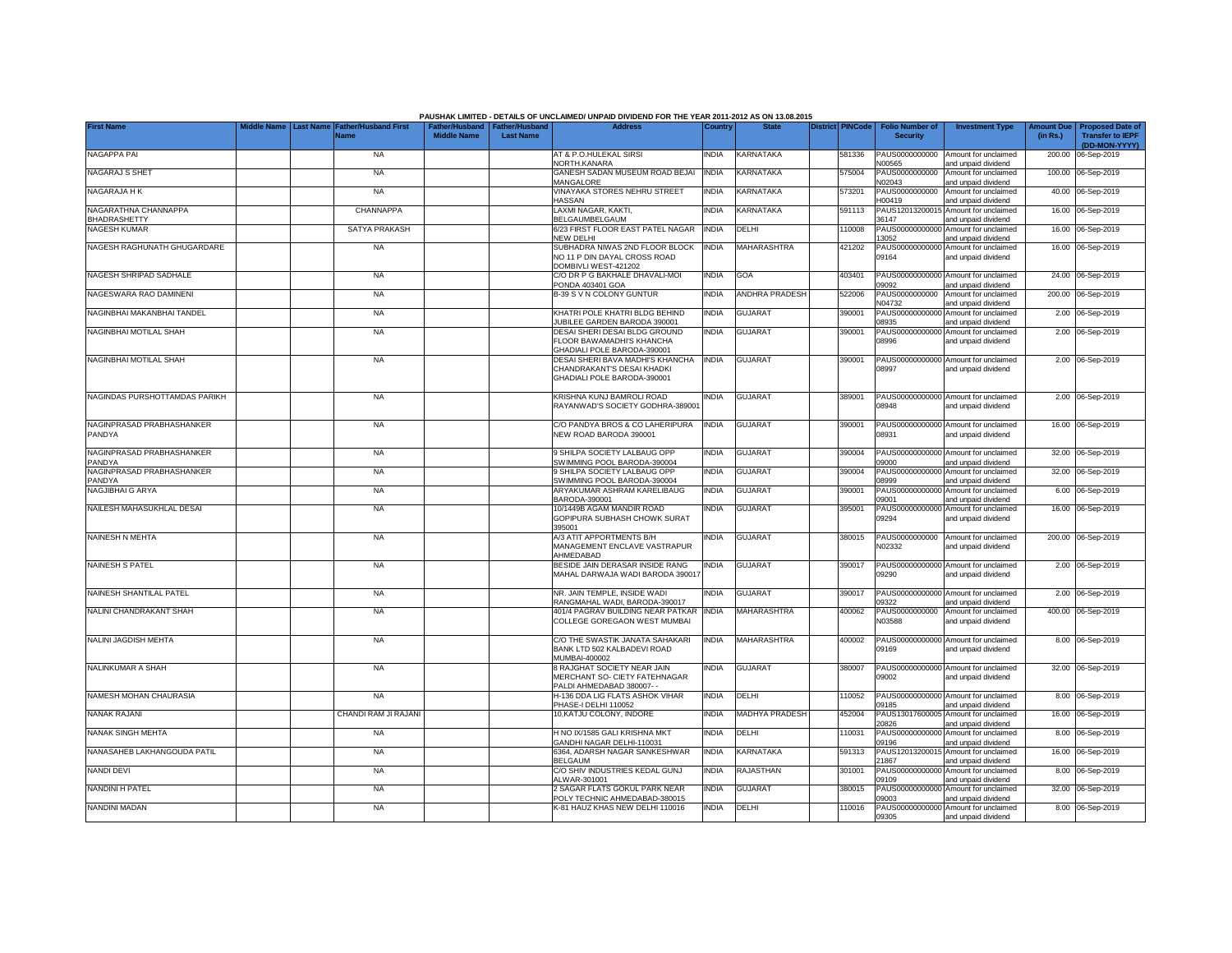|                               |             |                                       |                       |                       | PAUSHAK LIMITED - DETAILS OF UNCLAIMED/ UNPAID DIVIDEND FOR THE YEAR 2011-2012 AS ON 13.08.2015 |              |                         |                         |                           |                                                             |                   |                                          |
|-------------------------------|-------------|---------------------------------------|-----------------------|-----------------------|-------------------------------------------------------------------------------------------------|--------------|-------------------------|-------------------------|---------------------------|-------------------------------------------------------------|-------------------|------------------------------------------|
| <b>First Name</b>             | liddle Name | <b>Last Name Father/Husband First</b> | <b>Father/Husband</b> | <b>Father/Husband</b> | <b>Address</b>                                                                                  | Country      | <b>State</b>            | <b>District PINCode</b> | <b>Folio Number of</b>    | <b>Investment Type</b>                                      | <b>Amount Due</b> | <b>Proposed Date of</b>                  |
|                               |             | <b>Vame</b>                           | <b>Middle Name</b>    | <b>Last Name</b>      |                                                                                                 |              |                         |                         | <b>Security</b>           |                                                             | (in Rs.)          | <b>Transfer to IEPF</b><br>(DD-MON-YYYY) |
| NAGAPPA PAI                   |             | <b>NA</b>                             |                       |                       | AT & P.O.HULEKAL SIRSI                                                                          | <b>INDIA</b> | <b>KARNATAKA</b>        | 581336                  | PAUS0000000000            | Amount for unclaimed                                        | 200.00            | 06-Sep-2019                              |
|                               |             |                                       |                       |                       | NORTH.KANARA                                                                                    |              |                         |                         | N00565                    | and unpaid dividend                                         |                   |                                          |
| NAGARAJ S SHET                |             | <b>NA</b>                             |                       |                       | GANESH SADAN MUSEUM ROAD BEJAI<br>MANGALORE                                                     | <b>INDIA</b> | <b>KARNATAKA</b>        | 575004                  | PAUS0000000000<br>N02043  | Amount for unclaimed<br>and unpaid dividend                 |                   | 100.00 06-Sep-2019                       |
| NAGARAJA H K                  |             | <b>NA</b>                             |                       |                       | VINAYAKA STORES NEHRU STREET                                                                    | <b>INDIA</b> | KARNATAKA               | 573201                  | PAUS0000000000            | Amount for unclaimed                                        |                   | 40.00 06-Sep-2019                        |
| NAGARATHNA CHANNAPPA          |             | CHANNAPPA                             |                       |                       | HASSAN<br>LAXMI NAGAR, KAKTI,                                                                   | <b>INDIA</b> | KARNATAKA               | 591113                  | H00419<br>PAUS1201320001  | and unpaid dividend<br>Amount for unclaimed                 |                   | 16.00 06-Sep-2019                        |
| <b>BHADRASHETTY</b>           |             |                                       |                       |                       | BELGAUMBELGAUM                                                                                  |              |                         |                         | 36147                     | and unpaid dividend                                         |                   |                                          |
| <b>NAGESH KUMAR</b>           |             | <b>SATYA PRAKASH</b>                  |                       |                       | 6/23 FIRST FLOOR EAST PATEL NAGAR                                                               | <b>INDIA</b> | DELHI                   | 110008                  | PAUS0000000000            | Amount for unclaimed                                        |                   | 16.00 06-Sep-2019                        |
| NAGESH RAGHUNATH GHUGARDARE   |             | <b>NA</b>                             |                       |                       | <b>NEW DELHI</b><br>SUBHADRA NIWAS 2ND FLOOR BLOCK                                              | <b>INDIA</b> | MAHARASHTRA             | 421202                  | 13052<br>PAUS0000000000   | and unpaid dividend<br>Amount for unclaimed                 |                   | 16.00 06-Sep-2019                        |
|                               |             |                                       |                       |                       | NO 11 P DIN DAYAL CROSS ROAD                                                                    |              |                         |                         | 09164                     | and unpaid dividend                                         |                   |                                          |
|                               |             |                                       |                       |                       | DOMBIVLI WEST-421202                                                                            |              |                         |                         |                           |                                                             |                   |                                          |
| NAGESH SHRIPAD SADHALE        |             | <b>NA</b>                             |                       |                       | C/O DR P G BAKHALE DHAVALI-MOI<br>PONDA 403401 GOA                                              | <b>INDIA</b> | GOA                     | 403401                  | 09092                     | PAUS00000000000 Amount for unclaimed<br>and unpaid dividend |                   | 24.00 06-Sep-2019                        |
| NAGESWARA RAO DAMINENI        |             | <b>NA</b>                             |                       |                       | B-39 S V N COLONY GUNTUR                                                                        | <b>INDIA</b> | ANDHRA PRADESH          | 522006                  | PAUS0000000000            | Amount for unclaimed                                        |                   | 200.00 06-Sep-2019                       |
| NAGINBHAI MAKANBHAI TANDEL    |             | <b>NA</b>                             |                       |                       | KHATRI POLE KHATRI BLDG BEHIND                                                                  | <b>INDIA</b> | <b>GUJARAT</b>          | 390001                  | N04732<br>PAUS00000000000 | and unpaid dividend<br>Amount for unclaimed                 |                   | 2.00 06-Sep-2019                         |
|                               |             |                                       |                       |                       | JUBILEE GARDEN BARODA 390001                                                                    |              |                         |                         | 08935                     | and unpaid dividend                                         |                   |                                          |
| NAGINBHAI MOTILAL SHAH        |             | <b>NA</b>                             |                       |                       | DESAI SHERI DESAI BLDG GROUND                                                                   | <b>INDIA</b> | <b>GUJARAT</b>          | 390001                  | PAUS00000000000           | Amount for unclaimed                                        |                   | 2.00 06-Sep-2019                         |
|                               |             |                                       |                       |                       | FLOOR BAWAMADHI'S KHANCHA<br>GHADIALI POLE BARODA-390001                                        |              |                         |                         | 38996                     | and unpaid dividend                                         |                   |                                          |
| NAGINBHAI MOTILAL SHAH        |             | NA                                    |                       |                       | DESAI SHERI BAVA MADHI'S KHANCHA                                                                | <b>INDIA</b> | <b>GUJARAT</b>          | 390001                  |                           | PAUS00000000000 Amount for unclaimed                        |                   | 2.00 06-Sep-2019                         |
|                               |             |                                       |                       |                       | CHANDRAKANT'S DESAI KHADKI                                                                      |              |                         |                         | 08997                     | and unpaid dividend                                         |                   |                                          |
|                               |             |                                       |                       |                       | GHADIALI POLE BARODA-390001                                                                     |              |                         |                         |                           |                                                             |                   |                                          |
| NAGINDAS PURSHOTTAMDAS PARIKH |             | <b>NA</b>                             |                       |                       | KRISHNA KUNJ BAMROLI ROAD                                                                       | <b>INDIA</b> | <b>GUJARAT</b>          | 389001                  |                           | PAUS00000000000 Amount for unclaimed                        |                   | 2.00 06-Sep-2019                         |
|                               |             |                                       |                       |                       | RAYANWAD'S SOCIETY GODHRA-38900*                                                                |              |                         |                         | 8948                      | and unpaid dividend                                         |                   |                                          |
| NAGINPRASAD PRABHASHANKER     |             | <b>NA</b>                             |                       |                       | C/O PANDYA BROS & CO LAHERIPURA                                                                 | <b>INDIA</b> | <b>GUJARAT</b>          | 390001                  |                           | PAUS00000000000 Amount for unclaimed                        |                   | 16.00 06-Sep-2019                        |
| PANDYA                        |             |                                       |                       |                       | NEW ROAD BARODA 390001                                                                          |              |                         |                         | 08931                     | and unpaid dividend                                         |                   |                                          |
| NAGINPRASAD PRABHASHANKER     |             | <b>NA</b>                             |                       |                       | 9 SHILPA SOCIETY LALBAUG OPP                                                                    | <b>INDIA</b> | <b>GUJARAT</b>          | 390004                  |                           | PAUS00000000000 Amount for unclaimed                        |                   | 32.00 06-Sep-2019                        |
| PANDYA                        |             |                                       |                       |                       | SWIMMING POOL BARODA-390004                                                                     |              |                         |                         | 09000                     | and unpaid dividend                                         |                   |                                          |
| NAGINPRASAD PRABHASHANKER     |             | <b>NA</b>                             |                       |                       | 9 SHILPA SOCIETY LALBAUG OPP                                                                    | <b>INDIA</b> | GUJARAT                 | 390004                  | PAUS00000000000           | Amount for unclaimed                                        |                   | 32.00 06-Sep-2019                        |
| PANDYA<br>NAGJIBHAI G ARYA    |             | <b>NA</b>                             |                       |                       | SWIMMING POOL BARODA-390004<br>ARYAKUMAR ASHRAM KARELIBAUG                                      | <b>INDIA</b> | <b>GUJARAT</b>          | 390001                  | 08999<br>PAUS00000000000  | and unpaid dividend<br>Amount for unclaimed                 |                   | 6.00 06-Sep-2019                         |
|                               |             |                                       |                       |                       | BARODA-390001                                                                                   |              |                         |                         | 09001                     | and unpaid dividend                                         |                   |                                          |
| NAILESH MAHASUKHLAL DESAI     |             | <b>NA</b>                             |                       |                       | 10/1449B AGAM MANDIR ROAD                                                                       | <b>INDIA</b> | <b>GUJARAT</b>          | 395001                  | PAUS00000000000           | Amount for unclaimed                                        |                   | 16.00 06-Sep-2019                        |
|                               |             |                                       |                       |                       | GOPIPURA SUBHASH CHOWK SURAT<br>395001                                                          |              |                         |                         | 09294                     | and unpaid dividend                                         |                   |                                          |
| <b>NAINESH N MEHTA</b>        |             | <b>NA</b>                             |                       |                       | A/3 ATIT APPORTMENTS B/H                                                                        | <b>INDIA</b> | <b>GUJARAT</b>          | 380015                  | PAUS0000000000            | Amount for unclaimed                                        |                   | 200.00 06-Sep-2019                       |
|                               |             |                                       |                       |                       | MANAGEMENT ENCLAVE VASTRAPUR<br>AHMEDABAD                                                       |              |                         |                         | <b>V02332</b>             | and unpaid dividend                                         |                   |                                          |
| <b>NAINESH S PATEL</b>        |             | <b>NA</b>                             |                       |                       | BESIDE JAIN DERASAR INSIDE RANG                                                                 | <b>INDIA</b> | <b>GUJARAT</b>          | 390017                  |                           | PAUS00000000000 Amount for unclaimed                        |                   | 2.00 06-Sep-2019                         |
|                               |             |                                       |                       |                       | MAHAL DARWAJA WADI BARODA 39001                                                                 |              |                         |                         | 09290                     | and unpaid dividend                                         |                   |                                          |
| NAINESH SHANTILAL PATEL       |             | <b>NA</b>                             |                       |                       | NR. JAIN TEMPLE. INSIDE WADI                                                                    | <b>INDIA</b> | <b>GUJARAT</b>          | 390017                  |                           | PAUS00000000000 Amount for unclaimed                        |                   | 2.00 06-Sep-2019                         |
|                               |             |                                       |                       |                       | RANGMAHAL WADI, BARODA-390017                                                                   |              |                         |                         | 09322                     | and unpaid dividend                                         |                   |                                          |
| NALINI CHANDRAKANT SHAH       |             | <b>NA</b>                             |                       |                       | 401/4 PAGRAV BUILDING NEAR PATKAR<br>COLLEGE GOREGAON WEST MUMBAI                               | <b>INDIA</b> | <b>MAHARASHTRA</b>      | 400062                  | PAUS0000000000<br>N03588  | Amount for unclaimed                                        |                   | 400.00 06-Sep-2019                       |
|                               |             |                                       |                       |                       |                                                                                                 |              |                         |                         |                           | and unpaid dividend                                         |                   |                                          |
| NALINI JAGDISH MEHTA          |             | <b>NA</b>                             |                       |                       | C/O THE SWASTIK JANATA SAHAKARI                                                                 | <b>INDIA</b> | <b>MAHARASHTRA</b>      | 400002                  |                           | PAUS00000000000 Amount for unclaimed                        |                   | 8.00 06-Sep-2019                         |
|                               |             |                                       |                       |                       | BANK LTD 502 KALBADEVI ROAD<br>MUMBAI-400002                                                    |              |                         |                         | 09169                     | and unpaid dividend                                         |                   |                                          |
| NALINKUMAR A SHAH             |             | <b>NA</b>                             |                       |                       | 8 RAJGHAT SOCIETY NEAR JAIN                                                                     | <b>INDIA</b> | <b>GUJARAT</b>          | 380007                  |                           | PAUS00000000000 Amount for unclaimed                        |                   | 32.00 06-Sep-2019                        |
|                               |             |                                       |                       |                       | MERCHANT SO- CIETY FATEHNAGAR                                                                   |              |                         |                         | 09002                     | and unpaid dividend                                         |                   |                                          |
| NAMESH MOHAN CHAURASIA        |             | <b>NA</b>                             |                       |                       | PALDI AHMEDABAD 380007-<br>H-136 DDA LIG FLATS ASHOK VIHAR                                      | <b>INDIA</b> | DELHI                   | 110052                  |                           | PAUS00000000000 Amount for unclaimed                        |                   | 8.00 06-Sep-2019                         |
|                               |             |                                       |                       |                       | PHASE-I DELHI 110052                                                                            |              |                         |                         | 09185                     | and unpaid dividend                                         |                   |                                          |
| NANAK RAJANI                  |             | CHANDI RAM JI RAJANI                  |                       |                       | 10, KATJU COLONY, INDORE                                                                        | <b>INDIA</b> | <b>MADHYA PRADESH</b>   | 452004                  | 20826                     | PAUS13017600005 Amount for unclaimed                        |                   | 16.00 06-Sep-2019                        |
| NANAK SINGH MEHTA             |             | <b>NA</b>                             |                       |                       | H NO IX/1585 GALI KRISHNA MKT                                                                   | <b>INDIA</b> | DELHI                   | 110031                  | PAUS00000000000           | and unpaid dividend<br>Amount for unclaimed                 |                   | 8.00 06-Sep-2019                         |
|                               |             |                                       |                       |                       | GANDHI NAGAR DELHI-110031                                                                       |              |                         |                         | 09196                     | and unpaid dividend                                         |                   |                                          |
| NANASAHEB LAKHANGOUDA PATIL   |             | <b>NA</b>                             |                       |                       | 6364. ADARSH NAGAR SANKESHWAR<br><b>BELGAUM</b>                                                 | <b>INDIA</b> | <b><i>CARNATAKA</i></b> | 591313                  | PAUS12013200015<br>1867   | Amount for unclaimed<br>and unpaid dividend                 |                   | 16.00 06-Sep-2019                        |
| NANDI DEVI                    |             | <b>NA</b>                             |                       |                       | C/O SHIV INDUSTRIES KEDAL GUNJ                                                                  | india        | RAJASTHAN               | 301001                  | PAUS00000000000           | Amount for unclaimed                                        |                   | 8.00 06-Sep-2019                         |
|                               |             |                                       |                       |                       | ALWAR-301001                                                                                    |              |                         |                         | 9109                      | and unpaid dividend                                         |                   |                                          |
| NANDINI H PATEL               |             | <b>NA</b>                             |                       |                       | 2 SAGAR FLATS GOKUL PARK NEAR<br>POLY TECHNIC AHMEDABAD-380015                                  | <b>INDIA</b> | <b>GUJARAT</b>          | 380015                  | 09003                     | PAUS00000000000 Amount for unclaimed<br>and unpaid dividend |                   | 32.00 06-Sep-2019                        |
| NANDINI MADAN                 |             | <b>NA</b>                             |                       |                       | K-81 HAUZ KHAS NEW DELHI 110016                                                                 | <b>INDIA</b> | <b>DELHI</b>            | 110016                  |                           | PAUS00000000000 Amount for unclaimed                        |                   | 8.00 06-Sep-2019                         |
|                               |             |                                       |                       |                       |                                                                                                 |              |                         |                         | 09305                     | and unpaid dividend                                         |                   |                                          |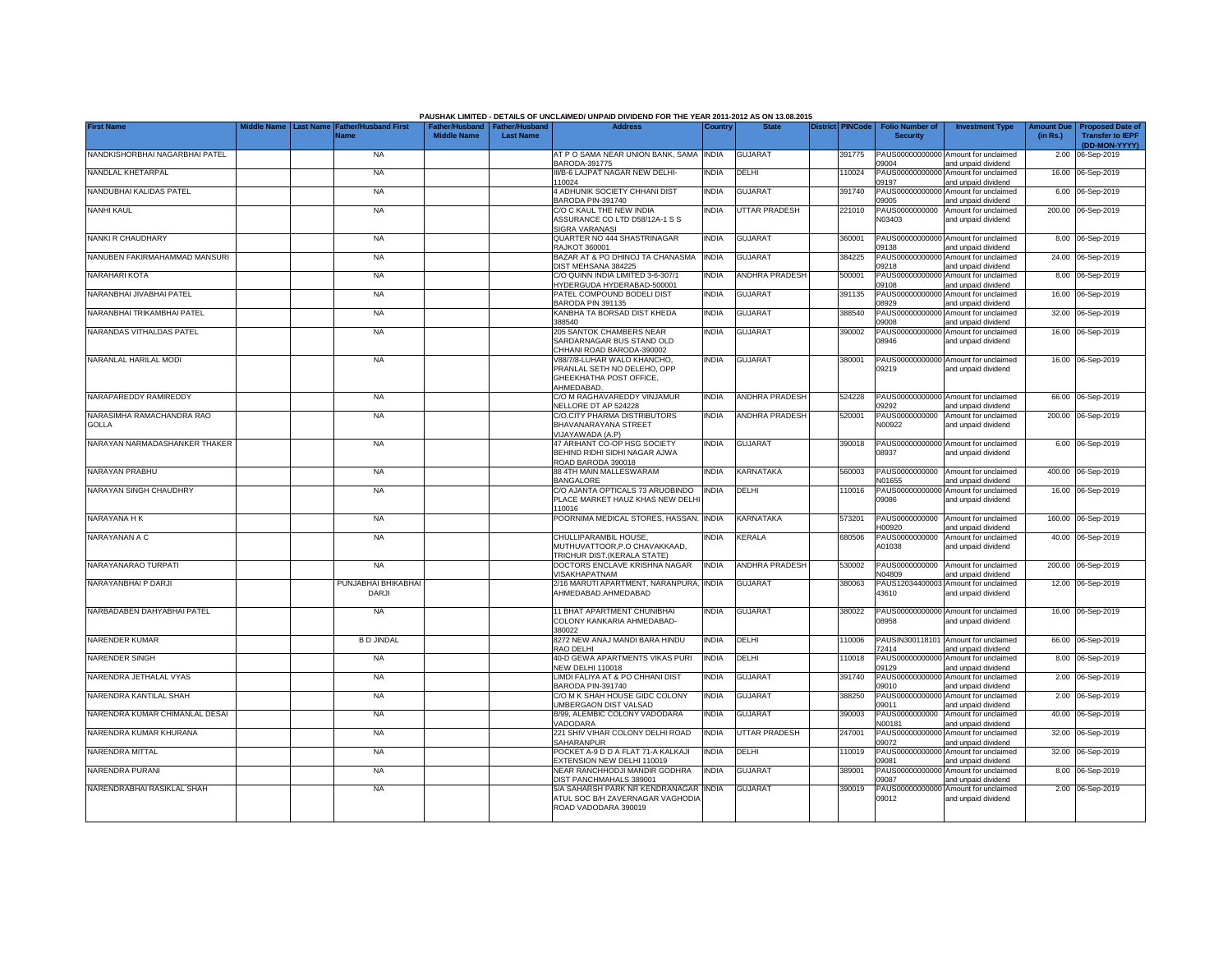|                                           |                  |                                     |                    |                                                     | PAUSHAK LIMITED - DETAILS OF UNCLAIMED/ UNPAID DIVIDEND FOR THE YEAR 2011-2012 AS ON 13.08.2015<br><b>Address</b>                |              | <b>State</b>          | <b>District PINCode</b> |        |                                           |                                                                    |                               |                                                   |
|-------------------------------------------|------------------|-------------------------------------|--------------------|-----------------------------------------------------|----------------------------------------------------------------------------------------------------------------------------------|--------------|-----------------------|-------------------------|--------|-------------------------------------------|--------------------------------------------------------------------|-------------------------------|---------------------------------------------------|
| <b>First Name</b>                         | <b>Last Name</b> | <b>Father/Husband First</b><br>Name | <b>Middle Name</b> | Father/Husband   Father/Husband<br><b>Last Name</b> |                                                                                                                                  | Country      |                       |                         |        | <b>Folio Number of</b><br><b>Security</b> | <b>Investment Type</b>                                             | <b>Amount Due</b><br>(in Rs.) | <b>Proposed Date o</b><br><b>Transfer to IEPF</b> |
| NANDKISHORBHAI NAGARBHAI PATEL            |                  | <b>NA</b>                           |                    |                                                     | AT P O SAMA NEAR UNION BANK, SAMA INDIA                                                                                          |              | <b>GUJARAT</b>        |                         | 391775 |                                           | PAUS00000000000 Amount for unclaimed                               |                               | (DD-MON-YYYY)<br>2.00 06-Sep-2019                 |
| NANDLAL KHETARPAL                         |                  | <b>NA</b>                           |                    |                                                     | BARODA-391775<br>III/B-6 LAJPAT NAGAR NEW DELHI-                                                                                 | <b>INDIA</b> | DELHI                 |                         | 110024 | 09004<br>PAUS0000000000                   | and unpaid dividend<br>Amount for unclaimed                        |                               | 16.00 06-Sep-2019                                 |
| NANDUBHAI KALIDAS PATEL                   |                  | <b>NA</b>                           |                    |                                                     | 110024<br>4 ADHUNIK SOCIETY CHHANI DIST                                                                                          | <b>INDIA</b> | <b>GUJARAT</b>        |                         | 391740 | 09197<br>PAUS0000000000                   | and unpaid dividend<br>Amount for unclaimed                        |                               | 6.00 06-Sep-2019                                  |
| <b>NANHI KAUL</b>                         |                  | <b>NA</b>                           |                    |                                                     | BARODA PIN-391740<br>C/O C KAUL THE NEW INDIA<br>ASSURANCE CO LTD D58/12A-1 S S                                                  | <b>INDIA</b> | <b>UTTAR PRADESH</b>  |                         | 221010 | 09005<br>PAUS0000000000<br>N03403         | and unpaid dividend<br>Amount for unclaimed<br>and unpaid dividend |                               | 200.00 06-Sep-2019                                |
| NANKI R CHAUDHARY                         |                  | <b>NA</b>                           |                    |                                                     | <b>SIGRA VARANASI</b><br>QUARTER NO 444 SHASTRINAGAR                                                                             | <b>INDIA</b> | <b>GUJARAT</b>        |                         | 360001 | PAUS0000000000                            | Amount for unclaimed                                               |                               | 8.00 06-Sep-2019                                  |
| NANUBEN FAKIRMAHAMMAD MANSURI             |                  | <b>NA</b>                           |                    |                                                     | <b>RAJKOT 360001</b><br>BAZAR AT & PO DHINOJ TA CHANASMA                                                                         | <b>INDIA</b> | <b>GUJARAT</b>        |                         | 384225 | 09138<br>PAUS0000000000                   | and unpaid dividend<br>Amount for unclaimed                        |                               | 24.00 06-Sep-2019                                 |
| NARAHARI KOTA                             |                  | <b>NA</b>                           |                    |                                                     | DIST MEHSANA 384225<br>C/O QUINN INDIA LIMITED 3-6-307/1<br>HYDERGUDA HYDERABAD-500001                                           | <b>INDIA</b> | <b>ANDHRA PRADESH</b> |                         | 500001 | 09218<br>PAUS0000000000<br>09108          | and unpaid dividend<br>Amount for unclaimed                        |                               | 8.00 06-Sep-2019                                  |
| NARANBHAI JIVABHAI PATEL                  |                  | <b>NA</b>                           |                    |                                                     | PATEL COMPOUND BODELI DIST                                                                                                       | INDIA        | <b>GUJARAT</b>        |                         | 391135 | PAUS0000000000<br>08929                   | and unpaid dividend<br>Amount for unclaimed                        |                               | 16.00 06-Sep-2019                                 |
| NARANBHAI TRIKAMBHAI PATEL                |                  | <b>NA</b>                           |                    |                                                     | BARODA PIN 391135<br>KANBHA TA BORSAD DIST KHEDA<br>388540                                                                       | India        | <b>GUJARAT</b>        |                         | 388540 | PAUS0000000000<br>09008                   | and unpaid dividend<br>Amount for unclaimed                        |                               | 32.00 06-Sep-2019                                 |
| NARANDAS VITHALDAS PATEL                  |                  | <b>NA</b>                           |                    |                                                     | 205 SANTOK CHAMBERS NEAR<br>SARDARNAGAR BUS STAND OLD                                                                            | <b>NDIA</b>  | <b>GUJARAT</b>        |                         | 390002 | PAUS00000000000<br>08946                  | and unpaid dividend<br>Amount for unclaimed<br>and unpaid dividend |                               | 16.00 06-Sep-2019                                 |
| NARANLAL HARILAL MODI                     |                  | <b>NA</b>                           |                    |                                                     | CHHANI ROAD BARODA-390002<br>V88/7/8-LUHAR WALO KHANCHO,<br>PRANLAL SETH NO DELEHO, OPP<br>GHEEKHATHA POST OFFICE,<br>AHMEDABAD. | <b>INDIA</b> | <b>GUJARAT</b>        |                         | 380001 | 09219                                     | PAUS00000000000 Amount for unclaimed<br>and unpaid dividend        |                               | 16.00 06-Sep-2019                                 |
| NARAPAREDDY RAMIREDDY                     |                  | <b>NA</b>                           |                    |                                                     | C/O M RAGHAVAREDDY VINJAMUR<br>NELLORE DT AP 524228                                                                              | <b>INDIA</b> | <b>ANDHRA PRADESH</b> |                         | 524228 | PAUS00000000000<br>09292                  | Amount for unclaimed<br>and unpaid dividend                        |                               | 66.00 06-Sep-2019                                 |
| NARASIMHA RAMACHANDRA RAO<br><b>GOLLA</b> |                  | <b>NA</b>                           |                    |                                                     | C/O.CITY PHARMA DISTRIBUTORS<br>BHAVANARAYANA STREET<br>VIJAYAWADA (A.P)                                                         | <b>NDIA</b>  | <b>ANDHRA PRADESH</b> |                         | 520001 | PAUS0000000000<br>N00922                  | Amount for unclaimed<br>and unpaid dividend                        |                               | 200.00 06-Sep-2019                                |
| NARAYAN NARMADASHANKER THAKER             |                  | <b>NA</b>                           |                    |                                                     | 47 ARIHANT CO-OP HSG SOCIETY<br>BEHIND RIDHI SIDHI NAGAR AJWA<br>ROAD BARODA 390018                                              | <b>INDIA</b> | <b>GUJARAT</b>        |                         | 390018 | PAUS0000000000<br>08937                   | Amount for unclaimed<br>and unpaid dividend                        |                               | 6.00 06-Sep-2019                                  |
| NARAYAN PRABHU                            |                  | <b>NA</b>                           |                    |                                                     | 88 4TH MAIN MALLESWARAM<br><b>BANGALORE</b>                                                                                      | INDIA        | KARNATAKA             |                         | 560003 | PAUS0000000000<br>N01655                  | Amount for unclaimed<br>and unpaid dividend                        |                               | 400.00 06-Sep-2019                                |
| NARAYAN SINGH CHAUDHRY                    |                  | <b>NA</b>                           |                    |                                                     | C/O AJANTA OPTICALS 73 ARUOBINDO<br>PLACE MARKET HAUZ KHAS NEW DELHI<br>110016                                                   | <b>INDIA</b> | DELHI                 |                         | 110016 | PAUS0000000000<br>09086                   | Amount for unclaimed<br>and unpaid dividend                        |                               | 16.00 06-Sep-2019                                 |
| NARAYANA H K                              |                  | <b>NA</b>                           |                    |                                                     | POORNIMA MEDICAL STORES, HASSAN.                                                                                                 | <b>INDIA</b> | KARNATAKA             |                         | 573201 | PAUS0000000000<br>H00920                  | Amount for unclaimed<br>and unpaid dividend                        |                               | 160.00 06-Sep-2019                                |
| NARAYANAN A C                             |                  | <b>NA</b>                           |                    |                                                     | CHULLIPARAMBIL HOUSE,<br>MUTHUVATTOOR, P.O CHAVAKKAAD,<br>TRICHUR DIST.(KERALA STATE)                                            | India        | <b>KERALA</b>         |                         | 680506 | PAUS0000000000<br>A01038                  | Amount for unclaimed<br>and unpaid dividend                        |                               | 40.00 06-Sep-2019                                 |
| NARAYANARAO TURPATI                       |                  | <b>NA</b>                           |                    |                                                     | DOCTORS ENCLAVE KRISHNA NAGAR<br>VISAKHAPATNAM                                                                                   | <b>INDIA</b> | <b>ANDHRA PRADESH</b> |                         | 530002 | PAUS0000000000<br>N04809                  | Amount for unclaimed<br>and unpaid dividend                        |                               | 200.00 06-Sep-2019                                |
| NARAYANBHAI P DARJI                       |                  | PUNJABHAI BHIKABHAI<br><b>DARJI</b> |                    |                                                     | 2/16 MARUTI APARTMENT, NARANPURA,<br>AHMEDABAD.AHMEDABAD                                                                         | <b>INDIA</b> | <b>GUJARAT</b>        |                         | 380063 | PAUS1203440000<br>43610                   | Amount for unclaimed<br>and unpaid dividend                        |                               | 12.00 06-Sep-2019                                 |
| NARBADABEN DAHYABHAI PATEL                |                  | <b>NA</b>                           |                    |                                                     | 11 BHAT APARTMENT CHUNIBHAI<br>COLONY KANKARIA AHMEDABAD-<br>380022                                                              | <b>INDIA</b> | <b>GUJARAT</b>        |                         | 380022 | PAUS00000000000<br>08958                  | Amount for unclaimed<br>and unpaid dividend                        |                               | 16.00 06-Sep-2019                                 |
| NARENDER KUMAR                            |                  | <b>B D JINDAL</b>                   |                    |                                                     | 8272 NEW ANAJ MANDI BARA HINDU<br>RAO DELHI                                                                                      | <b>INDIA</b> | DELHI                 |                         | 110006 | PAUSIN300118101<br>72414                  | Amount for unclaimed<br>and unpaid dividend                        |                               | 66.00 06-Sep-2019                                 |
| <b>NARENDER SINGH</b>                     |                  | <b>NA</b>                           |                    |                                                     | 40-D GEWA APARTMENTS VIKAS PURI<br><b>NEW DELHI 110018</b>                                                                       | <b>INDIA</b> | DELHI                 |                         | 110018 | PAUS0000000000<br>09129                   | Amount for unclaimed<br>and unpaid dividend                        |                               | 8.00 06-Sep-2019                                  |
| NARENDRA JETHALAL VYAS                    |                  | <b>NA</b>                           |                    |                                                     | LIMDI FALIYA AT & PO CHHANI DIST<br>BARODA PIN-391740                                                                            | <b>NDIA</b>  | <b>GUJARAT</b>        |                         | 391740 | 09010                                     | PAUS00000000000 Amount for unclaimed<br>and unpaid dividend        |                               | 2.00 06-Sep-2019                                  |
| NARENDRA KANTILAL SHAH                    |                  | <b>NA</b>                           |                    |                                                     | C/O M K SHAH HOUSE GIDC COLONY<br>UMBERGAON DIST VALSAD                                                                          | <b>INDIA</b> | <b>GUJARAT</b>        |                         | 388250 | 09011                                     | PAUS00000000000 Amount for unclaimed<br>and unpaid dividend        |                               | 2.00 06-Sep-2019                                  |
| NARENDRA KUMAR CHIMANLAL DESAI            |                  | <b>NA</b>                           |                    |                                                     | B/99, ALEMBIC COLONY VADODARA<br>VADODARA                                                                                        | <b>INDIA</b> | <b>GUJARAT</b>        |                         | 390003 | PAUS0000000000<br>N00181                  | Amount for unclaimed<br>and unpaid dividend                        |                               | 40.00 06-Sep-2019                                 |
| NARENDRA KUMAR KHURANA                    |                  | <b>NA</b>                           |                    |                                                     | 221 SHIV VIHAR COLONY DELHI ROAD<br>SAHARANPUR                                                                                   | <b>INDIA</b> | <b>UTTAR PRADESH</b>  |                         | 247001 | PAUS00000000000<br>09072                  | Amount for unclaimed<br>and unpaid dividend                        |                               | 32.00 06-Sep-2019                                 |
| NARENDRA MITTAL                           |                  | <b>NA</b>                           |                    |                                                     | POCKET A-9 D D A FLAT 71-A KALKAJI<br>EXTENSION NEW DELHI 110019                                                                 | <b>INDIA</b> | DELHI                 |                         | 110019 | PAUS00000000000<br>09081                  | Amount for unclaimed<br>and unpaid dividend                        |                               | 32.00 06-Sep-2019                                 |
| NARENDRA PURANI                           |                  | <b>NA</b>                           |                    |                                                     | NEAR RANCHHODJI MANDIR GODHRA<br>DIST PANCHMAHALS 389001                                                                         | <b>INDIA</b> | <b>GUJARAT</b>        |                         | 389001 | PAUS0000000000<br>09087                   | Amount for unclaimed<br>and unpaid dividend                        |                               | 8.00 06-Sep-2019                                  |
| NARENDRABHAI RASIKLAL SHAH                |                  | <b>NA</b>                           |                    |                                                     | 5/A SAHARSH PARK NR KENDRANAGAR INDIA<br>ATUL SOC B/H ZAVERNAGAR VAGHODIA<br>ROAD VADODARA 390019                                |              | <b>GUJARAT</b>        |                         | 390019 | PAUS0000000000<br>09012                   | Amount for unclaimed<br>and unpaid dividend                        |                               | 2.00 06-Sep-2019                                  |
|                                           |                  |                                     |                    |                                                     |                                                                                                                                  |              |                       |                         |        |                                           |                                                                    |                               |                                                   |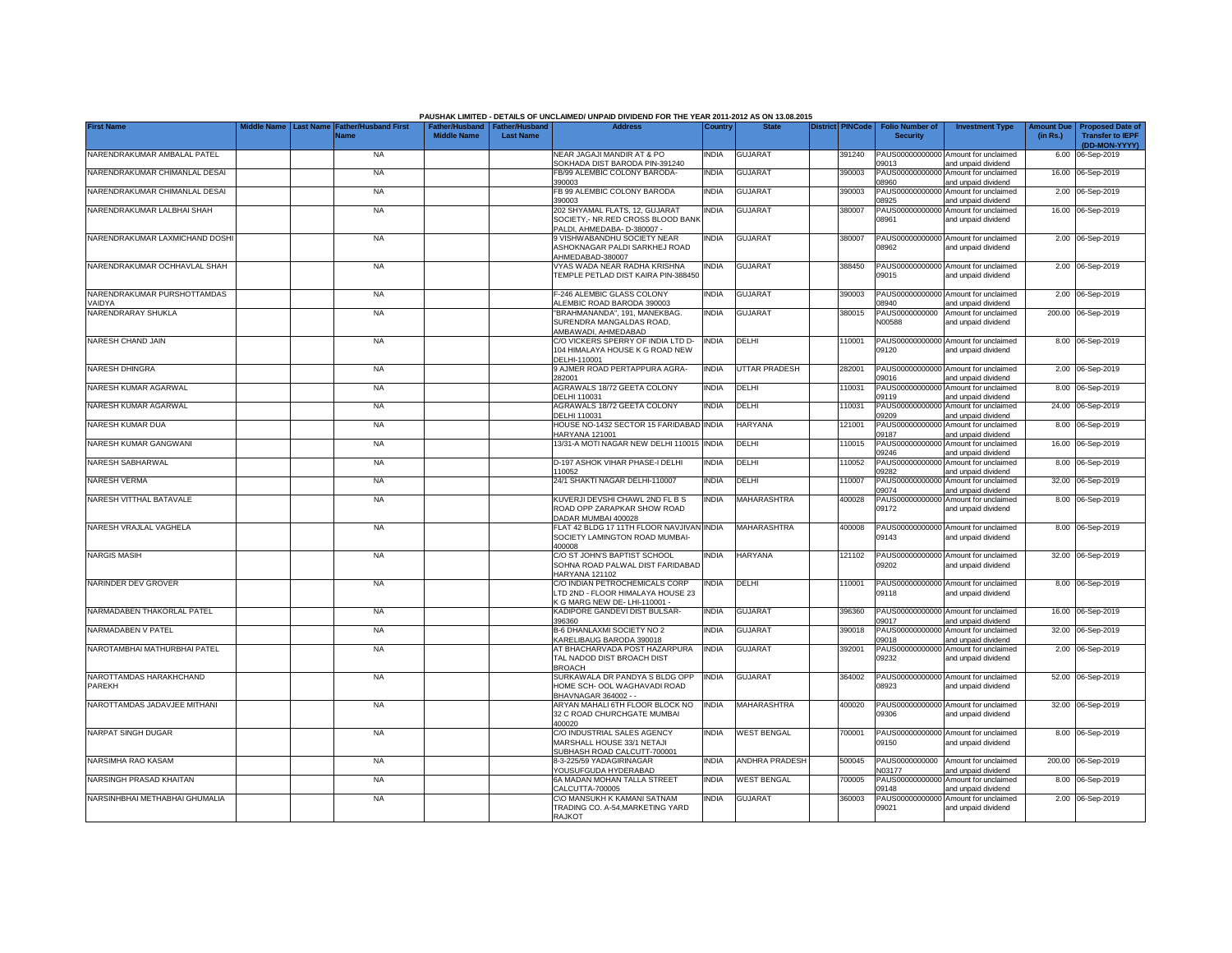|                                   |                                 |                                            |                                                       |                  | PAUSHAK LIMITED - DETAILS OF UNCLAIMED/ UNPAID DIVIDEND FOR THE YEAR 2011-2012 AS ON 13.08.2015 |              |                       |                         |                                           |                                                             |                               |                                                    |
|-----------------------------------|---------------------------------|--------------------------------------------|-------------------------------------------------------|------------------|-------------------------------------------------------------------------------------------------|--------------|-----------------------|-------------------------|-------------------------------------------|-------------------------------------------------------------|-------------------------------|----------------------------------------------------|
| <b>First Name</b>                 | Aiddle Name<br><b>Last Name</b> | <b>Father/Husband First</b><br><b>Name</b> | Father/Husband   Father/Husband<br><b>Middle Name</b> | <b>Last Name</b> | <b>Address</b>                                                                                  | Country      | <b>State</b>          | <b>District PINCode</b> | <b>Folio Number of</b><br><b>Security</b> | <b>Investment Type</b>                                      | <b>Amount Due</b><br>(in Rs.) | <b>Proposed Date of</b><br><b>Transfer to IEPF</b> |
|                                   |                                 |                                            |                                                       |                  |                                                                                                 |              |                       |                         |                                           |                                                             |                               | (DD-MON-YYYY)                                      |
| NARENDRAKUMAR AMBALAL PATEL       |                                 | <b>NA</b>                                  |                                                       |                  | NEAR JAGAJI MANDIR AT & PO<br>SOKHADA DIST BARODA PIN-391240                                    | <b>INDIA</b> | <b>GUJARAT</b>        | 391240                  | 09013                                     | PAUS00000000000 Amount for unclaimed<br>and unpaid dividend |                               | 6.00 06-Sep-2019                                   |
| NARENDRAKUMAR CHIMANLAL DESAI     |                                 | <b>NA</b>                                  |                                                       |                  | FB/99 ALEMBIC COLONY BARODA-                                                                    | <b>INDIA</b> | <b>GUJARAT</b>        | 390003                  | PAUS00000000000                           | Amount for unclaimed                                        |                               | 16.00 06-Sep-2019                                  |
|                                   |                                 |                                            |                                                       |                  | 390003                                                                                          |              |                       |                         | 08960                                     | and unpaid dividend                                         |                               |                                                    |
| NARENDRAKUMAR CHIMANLAL DESAI     |                                 | <b>NA</b>                                  |                                                       |                  | FB 99 ALEMBIC COLONY BARODA                                                                     | <b>INDIA</b> | <b>GUJARAT</b>        | 390003                  | PAUS00000000000                           | Amount for unclaimed                                        |                               | 2.00 06-Sep-2019                                   |
|                                   |                                 |                                            |                                                       |                  | 390003                                                                                          |              |                       |                         | 08925                                     | and unpaid dividend                                         |                               |                                                    |
| NARENDRAKUMAR LALBHAI SHAH        |                                 | NA                                         |                                                       |                  | 202 SHYAMAL FLATS, 12, GUJARAT                                                                  | INDIA        | <b>GUJARAT</b>        | 380007                  | PAUS0000000000                            | Amount for unclaimed                                        |                               | 16.00 06-Sep-2019                                  |
|                                   |                                 |                                            |                                                       |                  | SOCIETY,- NR.RED CROSS BLOOD BANK<br>PALDI, AHMEDABA- D-380007 -                                |              |                       |                         | 08961                                     | and unpaid dividend                                         |                               |                                                    |
| NARENDRAKUMAR LAXMICHAND DOSHI    |                                 | <b>NA</b>                                  |                                                       |                  | 9 VISHWABANDHU SOCIETY NEAR                                                                     | <b>INDIA</b> | <b>GUJARAT</b>        | 380007                  |                                           | PAUS00000000000 Amount for unclaimed                        |                               | 2.00 06-Sep-2019                                   |
|                                   |                                 |                                            |                                                       |                  | ASHOKNAGAR PALDI SARKHEJ ROAD                                                                   |              |                       |                         | 08962                                     | and unpaid dividend                                         |                               |                                                    |
|                                   |                                 |                                            |                                                       |                  | AHMEDABAD-380007                                                                                |              |                       |                         |                                           |                                                             |                               |                                                    |
| NARENDRAKUMAR OCHHAVLAL SHAH      |                                 | <b>NA</b>                                  |                                                       |                  | VYAS WADA NEAR RADHA KRISHNA                                                                    | <b>INDIA</b> | <b>GUJARAT</b>        | 388450                  |                                           | PAUS00000000000 Amount for unclaimed                        |                               | 2.00 06-Sep-2019                                   |
|                                   |                                 |                                            |                                                       |                  | TEMPLE PETLAD DIST KAIRA PIN-388450                                                             |              |                       |                         | 09015                                     | and unpaid dividend                                         |                               |                                                    |
| NARENDRAKUMAR PURSHOTTAMDAS       |                                 | <b>NA</b>                                  |                                                       |                  | F-246 ALEMBIC GLASS COLONY                                                                      | <b>INDIA</b> | <b>GUJARAT</b>        | 390003                  | PAUS0000000000                            | Amount for unclaimed                                        |                               | 2.00 06-Sep-2019                                   |
| VAIDYA                            |                                 |                                            |                                                       |                  | ALEMBIC ROAD BARODA 390003                                                                      |              |                       |                         | 8940                                      | and unpaid dividend                                         |                               |                                                    |
| NARENDRARAY SHUKLA                |                                 | <b>NA</b>                                  |                                                       |                  | "BRAHMANANDA", 191, MANEKBAG,                                                                   | <b>INDIA</b> | <b>GUJARAT</b>        | 380015                  | PAUS0000000000                            | Amount for unclaimed                                        |                               | 200.00 06-Sep-2019                                 |
|                                   |                                 |                                            |                                                       |                  | SURENDRA MANGALDAS ROAD,                                                                        |              |                       |                         | N00588                                    | and unpaid dividend                                         |                               |                                                    |
|                                   |                                 |                                            |                                                       |                  | AMBAWADI, AHMEDABAD                                                                             |              |                       |                         |                                           |                                                             |                               |                                                    |
| NARESH CHAND JAIN                 |                                 | NA                                         |                                                       |                  | C/O VICKERS SPERRY OF INDIA LTD D-<br>104 HIMALAYA HOUSE K G ROAD NEW                           | <b>INDIA</b> | DELHI                 | 110001                  | 09120                                     | PAUS00000000000 Amount for unclaimed<br>and unpaid dividend |                               | 8.00 06-Sep-2019                                   |
|                                   |                                 |                                            |                                                       |                  | DELHI-110001                                                                                    |              |                       |                         |                                           |                                                             |                               |                                                    |
| <b>NARESH DHINGRA</b>             |                                 | <b>NA</b>                                  |                                                       |                  | 9 AJMER ROAD PERTAPPURA AGRA-                                                                   | <b>INDIA</b> | <b>UTTAR PRADESH</b>  | 282001                  |                                           | PAUS00000000000 Amount for unclaimed                        |                               | 2.00 06-Sep-2019                                   |
|                                   |                                 |                                            |                                                       |                  | 282001                                                                                          |              |                       |                         | 09016                                     | and unpaid dividend                                         |                               |                                                    |
| NARESH KUMAR AGARWAL              |                                 | <b>NA</b>                                  |                                                       |                  | AGRAWALS 18/72 GEETA COLONY                                                                     | <b>INDIA</b> | DELHI                 | 10031                   | PAUS0000000000<br>09119                   | Amount for unclaimed                                        |                               | 8.00 06-Sep-2019                                   |
| NARESH KUMAR AGARWAL              |                                 | <b>NA</b>                                  |                                                       |                  | DELHI 110031<br>AGRAWALS 18/72 GEETA COLONY                                                     | <b>INDIA</b> | DELHI                 | 10031                   | PAUS0000000000                            | and unpaid dividend<br>Amount for unclaimed                 |                               | 24.00 06-Sep-2019                                  |
|                                   |                                 |                                            |                                                       |                  | DELHI 110031                                                                                    |              |                       |                         | 09209                                     | and unpaid dividend                                         |                               |                                                    |
| NARESH KUMAR DUA                  |                                 | <b>NA</b>                                  |                                                       |                  | HOUSE NO-1432 SECTOR 15 FARIDABAD                                                               | <b>INDIA</b> | <b>HARYANA</b>        | 121001                  | PAUS0000000000                            | Amount for unclaimed                                        |                               | 8.00 06-Sep-2019                                   |
|                                   |                                 |                                            |                                                       |                  | HARYANA 121001                                                                                  |              |                       |                         | 09187                                     | and unpaid dividend                                         |                               |                                                    |
| NARESH KUMAR GANGWANI             |                                 | <b>NA</b>                                  |                                                       |                  | 13/31-A MOTI NAGAR NEW DELHI 110015                                                             | <b>INDIA</b> | DELHI                 | 10015                   | PAUS0000000000<br>09246                   | Amount for unclaimed<br>and unpaid dividend                 |                               | 16.00 06-Sep-2019                                  |
| <b>NARESH SABHARWAL</b>           |                                 | <b>NA</b>                                  |                                                       |                  | D-197 ASHOK VIHAR PHASE-I DELHI                                                                 | <b>INDIA</b> | <b>DELHI</b>          | 10052                   | PAUS0000000000                            | Amount for unclaimed                                        |                               | 8.00 06-Sep-2019                                   |
|                                   |                                 |                                            |                                                       |                  | 110052                                                                                          |              |                       |                         | 09282                                     | and unpaid dividend                                         |                               |                                                    |
| <b>NARESH VERMA</b>               |                                 | <b>NA</b>                                  |                                                       |                  | 24/1 SHAKTI NAGAR DELHI-110007                                                                  | <b>INDIA</b> | DELHI                 | 10007                   | PAUS0000000000                            | Amount for unclaimed                                        |                               | 32.00 06-Sep-2019                                  |
|                                   |                                 |                                            |                                                       |                  |                                                                                                 |              |                       |                         | 09074                                     | and unpaid dividend                                         |                               |                                                    |
| NARESH VITTHAL BATAVALE           |                                 | <b>NA</b>                                  |                                                       |                  | KUVERJI DEVSHI CHAWL 2ND FL B S                                                                 | <b>INDIA</b> | MAHARASHTRA           | 400028                  | PAUS00000000000                           | Amount for unclaimed                                        |                               | 8.00 06-Sep-2019                                   |
|                                   |                                 |                                            |                                                       |                  | ROAD OPP ZARAPKAR SHOW ROAD<br>DADAR MUMBAI 400028                                              |              |                       |                         | 09172                                     | and unpaid dividend                                         |                               |                                                    |
| NARESH VRAJLAL VAGHELA            |                                 | <b>NA</b>                                  |                                                       |                  | FLAT 42 BLDG 17 11TH FLOOR NAVJIVAN INDIA                                                       |              | <b>MAHARASHTRA</b>    | 400008                  |                                           | PAUS00000000000 Amount for unclaimed                        |                               | 8.00 06-Sep-2019                                   |
|                                   |                                 |                                            |                                                       |                  | SOCIETY LAMINGTON ROAD MUMBAI-                                                                  |              |                       |                         | 09143                                     | and unpaid dividend                                         |                               |                                                    |
|                                   |                                 |                                            |                                                       |                  | 400008                                                                                          |              |                       |                         |                                           |                                                             |                               |                                                    |
| <b>NARGIS MASIH</b>               |                                 | <b>NA</b>                                  |                                                       |                  | C/O ST JOHN'S BAPTIST SCHOOL                                                                    | <b>INDIA</b> | <b>HARYANA</b>        | 121102                  |                                           | PAUS00000000000 Amount for unclaimed                        |                               | 32.00 06-Sep-2019                                  |
|                                   |                                 |                                            |                                                       |                  | SOHNA ROAD PALWAL DIST FARIDABAD<br><b>HARYANA 121102</b>                                       |              |                       |                         | 09202                                     | and unpaid dividend                                         |                               |                                                    |
| NARINDER DEV GROVER               |                                 | <b>NA</b>                                  |                                                       |                  | C/O INDIAN PETROCHEMICALS CORP                                                                  | INDIA        | DELHI                 | 10001                   |                                           | PAUS00000000000 Amount for unclaimed                        |                               | 8.00 06-Sep-2019                                   |
|                                   |                                 |                                            |                                                       |                  | LTD 2ND - FLOOR HIMALAYA HOUSE 23                                                               |              |                       |                         | 09118                                     | and unpaid dividend                                         |                               |                                                    |
|                                   |                                 |                                            |                                                       |                  | K G MARG NEW DE-LHI-110001 -                                                                    |              |                       |                         |                                           |                                                             |                               |                                                    |
| NARMADABEN THAKORLAL PATEL        |                                 | <b>NA</b>                                  |                                                       |                  | KADIPORE GANDEVI DIST BULSAR-<br>396360                                                         | <b>INDIA</b> | <b>GUJARAT</b>        | 396360                  |                                           | PAUS00000000000 Amount for unclaimed                        |                               | 16.00 06-Sep-2019                                  |
| NARMADABEN V PATEL                |                                 | <b>NA</b>                                  |                                                       |                  | B-6 DHANLAXMI SOCIETY NO 2                                                                      | <b>INDIA</b> | <b>GUJARAT</b>        | 390018                  | 09017<br>PAUS00000000000                  | and unpaid dividend<br>Amount for unclaimed                 |                               | 32.00 06-Sep-2019                                  |
|                                   |                                 |                                            |                                                       |                  | KARELIBAUG BARODA 390018                                                                        |              |                       |                         | 09018                                     | and unpaid dividend                                         |                               |                                                    |
| NAROTAMBHAI MATHURBHAI PATEL      |                                 | <b>NA</b>                                  |                                                       |                  | AT BHACHARVADA POST HAZARPURA                                                                   | <b>INDIA</b> | <b>GUJARAT</b>        | 392001                  |                                           | PAUS00000000000 Amount for unclaimed                        |                               | 2.00 06-Sep-2019                                   |
|                                   |                                 |                                            |                                                       |                  | TAL NADOD DIST BROACH DIST                                                                      |              |                       |                         | 09232                                     | and unpaid dividend                                         |                               |                                                    |
|                                   |                                 |                                            |                                                       |                  | <b>BROACH</b>                                                                                   |              |                       |                         |                                           |                                                             |                               |                                                    |
| NAROTTAMDAS HARAKHCHAND<br>PAREKH |                                 | <b>NA</b>                                  |                                                       |                  | SURKAWALA DR PANDYA S BLDG OPP<br>HOME SCH- OOL WAGHAVADI ROAD                                  | <b>INDIA</b> | <b>GUJARAT</b>        | 364002                  | 08923                                     | PAUS00000000000 Amount for unclaimed<br>and unpaid dividend |                               | 52.00 06-Sep-2019                                  |
|                                   |                                 |                                            |                                                       |                  | BHAVNAGAR 364002 - -                                                                            |              |                       |                         |                                           |                                                             |                               |                                                    |
| NAROTTAMDAS JADAVJEE MITHANI      |                                 | <b>NA</b>                                  |                                                       |                  | ARYAN MAHALI 6TH FLOOR BLOCK NO                                                                 | <b>INDIA</b> | MAHARASHTRA           | 400020                  |                                           | PAUS00000000000 Amount for unclaimed                        |                               | 32.00 06-Sep-2019                                  |
|                                   |                                 |                                            |                                                       |                  | 32 C ROAD CHURCHGATE MUMBAI                                                                     |              |                       |                         | 09306                                     | and unpaid dividend                                         |                               |                                                    |
| NARPAT SINGH DUGAR                |                                 |                                            |                                                       |                  | 400020                                                                                          | <b>INDIA</b> | <b>WEST BENGAL</b>    |                         |                                           |                                                             |                               |                                                    |
|                                   |                                 | <b>NA</b>                                  |                                                       |                  | C/O INDUSTRIAL SALES AGENCY<br>MARSHALL HOUSE 33/1 NETAJI                                       |              |                       | 700001                  | 09150                                     | PAUS00000000000 Amount for unclaimed<br>and unpaid dividend |                               | 8.00 06-Sep-2019                                   |
|                                   |                                 |                                            |                                                       |                  | SUBHASH ROAD CALCUTT-700001                                                                     |              |                       |                         |                                           |                                                             |                               |                                                    |
| NARSIMHA RAO KASAM                |                                 | <b>NA</b>                                  |                                                       |                  | 8-3-225/59 YADAGIRINAGAR                                                                        | <b>INDIA</b> | <b>ANDHRA PRADESH</b> | 500045                  |                                           | PAUS0000000000 Amount for unclaimed                         |                               | 200.00 06-Sep-2019                                 |
|                                   |                                 |                                            |                                                       |                  | YOUSUFGUDA HYDERABAD                                                                            |              |                       |                         | N03177                                    | and unpaid dividend                                         |                               |                                                    |
| NARSINGH PRASAD KHAITAN           |                                 | <b>NA</b>                                  |                                                       |                  | 6A MADAN MOHAN TALLA STREET<br>CALCUTTA-700005                                                  | <b>INDIA</b> | <b>WEST BENGAL</b>    | 700005                  | 09148                                     | PAUS00000000000 Amount for unclaimed<br>and unpaid dividend |                               | 8.00 06-Sep-2019                                   |
| NARSINHBHAI METHABHAI GHUMALIA    |                                 | <b>NA</b>                                  |                                                       |                  | C\O MANSUKH K KAMANI SATNAM                                                                     | <b>INDIA</b> | <b>GUJARAT</b>        | 360003                  | PAUS00000000000                           | Amount for unclaimed                                        |                               | 2.00 06-Sep-2019                                   |
|                                   |                                 |                                            |                                                       |                  | TRADING CO. A-54 MARKETING YARD                                                                 |              |                       |                         | 09021                                     | and unpaid dividend                                         |                               |                                                    |
|                                   |                                 |                                            |                                                       |                  | <b>RAJKOT</b>                                                                                   |              |                       |                         |                                           |                                                             |                               |                                                    |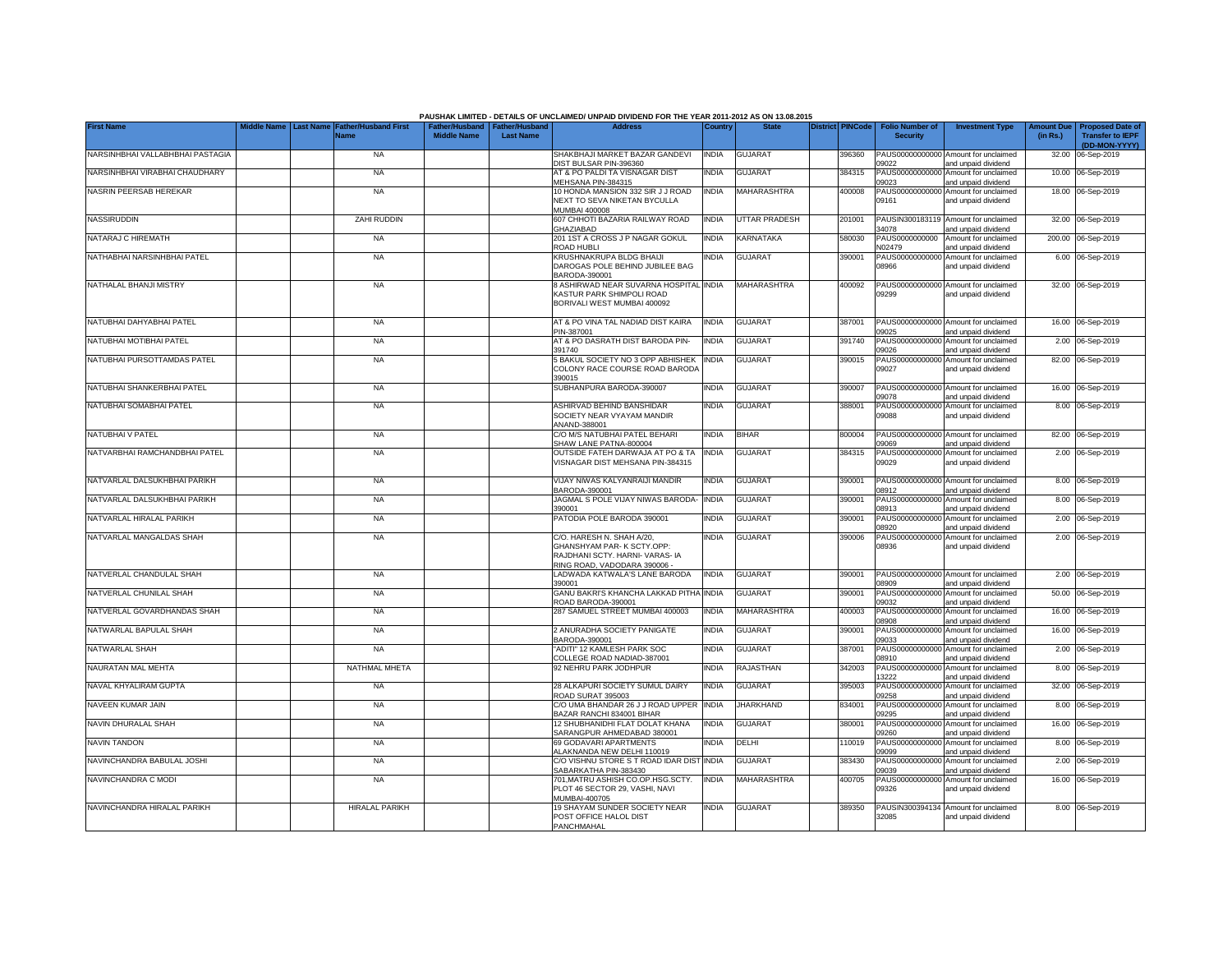|                                                   |                  |                                     |                                                       |                  | PAUSHAK LIMITED - DETAILS OF UNCLAIMED/ UNPAID DIVIDEND FOR THE YEAR 2011-2012 AS ON 13.08.2015                           |                              |                        |                         |                                           |                                                                                     |                               |                                                    |
|---------------------------------------------------|------------------|-------------------------------------|-------------------------------------------------------|------------------|---------------------------------------------------------------------------------------------------------------------------|------------------------------|------------------------|-------------------------|-------------------------------------------|-------------------------------------------------------------------------------------|-------------------------------|----------------------------------------------------|
| <b>First Name</b>                                 | <b>Last Name</b> | <b>Father/Husband First</b><br>Name | Father/Husband   Father/Husband<br><b>Middle Name</b> | <b>Last Name</b> | <b>Address</b>                                                                                                            | Country                      | <b>State</b>           | <b>District PINCode</b> | <b>Folio Number of</b><br><b>Security</b> | <b>Investment Type</b>                                                              | <b>Amount Due</b><br>(in Rs.) | <b>Proposed Date of</b><br><b>Transfer to IEPF</b> |
| NARSINHBHAI VALLABHBHAI PASTAGIA                  |                  | <b>NA</b>                           |                                                       |                  | SHAKBHAJI MARKET BAZAR GANDEVI<br>DIST BULSAR PIN-396360                                                                  | INDIA                        | <b>GUJARAT</b>         | 396360                  | 09022                                     | PAUS00000000000 Amount for unclaimed<br>and unpaid dividend                         |                               | (DD-MON-YYYY)<br>32.00 06-Sep-2019                 |
| NARSINHBHAI VIRABHAI CHAUDHARY                    |                  | <b>NA</b>                           |                                                       |                  | AT & PO PALDI TA VISNAGAR DIST<br>MEHSANA PIN-384315                                                                      | INDIA                        | <b>GUJARAT</b>         | 384315                  | PAUS00000000000<br>09023                  | Amount for unclaimed<br>and unpaid dividend                                         |                               | 10.00 06-Sep-2019                                  |
| NASRIN PEERSAB HEREKAR                            |                  | <b>NA</b>                           |                                                       |                  | 10 HONDA MANSION 332 SIR J J ROAD<br>NEXT TO SEVA NIKETAN BYCULLA<br>MUMBAI 400008                                        | INDIA                        | MAHARASHTRA            | 400008                  | PAUS00000000000<br>09161                  | Amount for unclaimed<br>and unpaid dividend                                         |                               | 18.00 06-Sep-2019                                  |
| NASSIRUDDIN                                       |                  | <b>ZAHI RUDDIN</b>                  |                                                       |                  | 607 CHHOTI BAZARIA RAILWAY ROAD<br><b>GHAZIABAD</b>                                                                       | <b>INDIA</b>                 | <b>UTTAR PRADESH</b>   | 201001                  | PAUSIN300183119<br>34078                  | Amount for unclaimed<br>and unpaid dividend                                         |                               | 32.00 06-Sep-2019                                  |
| NATARAJ C HIREMATH                                |                  | <b>NA</b>                           |                                                       |                  | 201 1ST A CROSS J P NAGAR GOKUL<br>ROAD HUBLI                                                                             | <b>INDIA</b>                 | KARNATAKA              | 580030                  | PAUS0000000000<br>N02479                  | Amount for unclaimed<br>and unpaid dividend                                         |                               | 200.00 06-Sep-2019                                 |
| NATHABHAI NARSINHBHAI PATEL                       |                  | <b>NA</b>                           |                                                       |                  | KRUSHNAKRUPA BLDG BHAIJI<br>DAROGAS POLE BEHIND JUBILEE BAG<br>BARODA-390001                                              | india                        | <b>GUJARAT</b>         | 390001                  | 33966                                     | PAUS00000000000 Amount for unclaimed<br>and unpaid dividend                         |                               | 6.00 06-Sep-2019                                   |
| NATHALAL BHANJI MISTRY                            |                  | <b>NA</b>                           |                                                       |                  | 8 ASHIRWAD NEAR SUVARNA HOSPITAL<br>KASTUR PARK SHIMPOLI ROAD<br>BORIVALI WEST MUMBAI 400092                              | <b>INDIA</b>                 | <b>MAHARASHTRA</b>     | 400092                  | 09299                                     | PAUS00000000000 Amount for unclaimed<br>and unpaid dividend                         |                               | 32.00 06-Sep-2019                                  |
| NATUBHAI DAHYABHAI PATEL                          |                  | <b>NA</b>                           |                                                       |                  | AT & PO VINA TAL NADIAD DIST KAIRA<br>PIN-387001                                                                          | <b>INDIA</b>                 | <b>GUJARAT</b>         | 387001                  | 09025                                     | PAUS00000000000 Amount for unclaimed<br>and unpaid dividend                         |                               | 16.00 06-Sep-2019                                  |
| NATUBHAI MOTIBHAI PATEL                           |                  | <b>NA</b>                           |                                                       |                  | AT & PO DASRATH DIST BARODA PIN-<br>391740                                                                                | INDIA                        | <b>GUJARAT</b>         | 391740                  | 09026                                     | PAUS00000000000 Amount for unclaimed<br>and unpaid dividend                         |                               | 2.00 06-Sep-2019                                   |
| NATUBHAI PURSOTTAMDAS PATEL                       |                  | <b>NA</b>                           |                                                       |                  | 5 BAKUL SOCIETY NO 3 OPP ABHISHEK<br>COLONY RACE COURSE ROAD BARODA<br>390015                                             | <b>INDIA</b>                 | <b>GUJARAT</b>         | 390015                  | 09027                                     | PAUS00000000000 Amount for unclaimed<br>and unpaid dividend                         |                               | 82.00 06-Sep-2019                                  |
| NATUBHAI SHANKERBHAI PATEL                        |                  | <b>NA</b>                           |                                                       |                  | SUBHANPURA BARODA-390007                                                                                                  | <b>INDIA</b>                 | <b>GUJARAT</b>         | 390007                  | 09078                                     | PAUS00000000000 Amount for unclaimed<br>and unpaid dividend                         |                               | 16.00 06-Sep-2019                                  |
| NATUBHAI SOMABHAI PATEL                           |                  | <b>NA</b>                           |                                                       |                  | ASHIRVAD BEHIND BANSHIDAR<br>SOCIETY NEAR VYAYAM MANDIR<br>ANAND-388001                                                   | <b>INDIA</b>                 | <b>GUJARAT</b>         | 388001                  | 09088                                     | PAUS00000000000 Amount for unclaimed<br>and unpaid dividend                         |                               | 8.00 06-Sep-2019                                   |
| NATUBHAI V PATEL                                  |                  | <b>NA</b>                           |                                                       |                  | C/O M/S NATUBHAI PATEL BEHARI<br>SHAW LANE PATNA-800004                                                                   | <b>INDIA</b>                 | <b>BIHAR</b>           | 800004                  | 09069                                     | PAUS00000000000 Amount for unclaimed<br>and unpaid dividend                         |                               | 82.00 06-Sep-2019                                  |
| NATVARBHAI RAMCHANDBHAI PATEL                     |                  | <b>NA</b>                           |                                                       |                  | OUTSIDE FATEH DARWAJA AT PO & TA<br>VISNAGAR DIST MEHSANA PIN-384315                                                      | <b>INDIA</b>                 | <b>GUJARAT</b>         | 384315                  | 09029                                     | PAUS00000000000 Amount for unclaimed<br>and unpaid dividend                         |                               | 2.00 06-Sep-2019                                   |
| NATVARLAL DALSUKHBHAI PARIKH                      |                  | <b>NA</b>                           |                                                       |                  | VIJAY NIWAS KALYANRAIJI MANDIR<br>BARODA-390001                                                                           | <b>INDIA</b>                 | <b>GUJARAT</b>         | 390001                  | 08912                                     | PAUS00000000000 Amount for unclaimed<br>and unpaid dividend                         |                               | 8.00 06-Sep-2019                                   |
| NATVARLAL DALSUKHBHAI PARIKH                      |                  | <b>NA</b>                           |                                                       |                  | JAGMAL S POLE VIJAY NIWAS BARODA-<br>390001                                                                               | <b>INDIA</b>                 | GUJARAT                | 390001                  | 08913                                     | PAUS00000000000 Amount for unclaimed<br>and unpaid dividend                         |                               | 8.00 06-Sep-2019                                   |
| NATVARLAL HIRALAL PARIKH                          |                  | <b>NA</b>                           |                                                       |                  | PATODIA POLE BARODA 390001                                                                                                | INDIA                        | <b>GUJARAT</b>         | 390001                  | 08920                                     | PAUS00000000000 Amount for unclaimed<br>and unpaid dividend                         |                               | 2.00 06-Sep-2019                                   |
| NATVARLAL MANGALDAS SHAH                          |                  | <b>NA</b>                           |                                                       |                  | C/O. HARESH N. SHAH A/20,<br>GHANSHYAM PAR-K SCTY.OPP:<br>RAJDHANI SCTY, HARNI- VARAS- IA<br>RING ROAD, VADODARA 390006 - | INDIA                        | <b>GUJARAT</b>         | 390006                  | 08936                                     | PAUS00000000000 Amount for unclaimed<br>and unpaid dividend                         |                               | 2.00 06-Sep-2019                                   |
| NATVERLAL CHANDULAL SHAH                          |                  | <b>NA</b>                           |                                                       |                  | LADWADA KATWALA'S LANE BARODA<br>390001                                                                                   | <b>INDIA</b>                 | <b>GUJARAT</b>         | 390001                  | 8909                                      | PAUS00000000000 Amount for unclaimed<br>and unpaid dividend                         |                               | 2.00 06-Sep-2019                                   |
| NATVERLAL CHUNILAL SHAH                           |                  | <b>NA</b>                           |                                                       |                  | GANU BAKRI'S KHANCHA LAKKAD PITHA<br>ROAD BARODA-390001                                                                   | <b>INDIA</b>                 | <b>GUJARAT</b>         | 390001                  | PAUS0000000000<br>09032                   | Amount for unclaimed<br>and unpaid dividend                                         |                               | 50.00 06-Sep-2019                                  |
| NATVERLAL GOVARDHANDAS SHAH                       |                  | <b>NA</b>                           |                                                       |                  | 287 SAMUEL STREET MUMBAI 400003                                                                                           | <b>INDIA</b>                 | MAHARASHTRA            | 400003                  | PAUS0000000000<br>08908                   | Amount for unclaimed<br>and unpaid dividend                                         |                               | 16.00 06-Sep-2019                                  |
| NATWARLAL BAPULAL SHAH                            |                  | <b>NA</b>                           |                                                       |                  | 2 ANURADHA SOCIETY PANIGATE<br>BARODA-390001                                                                              | <b>INDIA</b>                 | <b>GUJARAT</b>         | 390001                  | PAUS00000000000<br>09033                  | Amount for unclaimed<br>and unpaid dividend                                         |                               | 16.00 06-Sep-2019                                  |
| NATWARLAL SHAH                                    |                  | <b>NA</b>                           |                                                       |                  | "ADITI" 12 KAMLESH PARK SOC<br>COLLEGE ROAD NADIAD-387001                                                                 | <b>INDIA</b>                 | <b>GUJARAT</b>         | 387001                  | PAUS0000000000<br>08910                   | Amount for unclaimed<br>and unpaid dividend                                         |                               | 2.00 06-Sep-2019                                   |
| NAURATAN MAL MEHTA                                |                  | NATHMAL MHETA                       |                                                       |                  | 92 NEHRU PARK JODHPUR                                                                                                     | india                        | RAJASTHAN              | 342003                  | PAUS0000000000<br>13222                   | Amount for unclaimed<br>and unpaid dividend                                         |                               | 8.00 06-Sep-2019                                   |
| NAVAL KHYALIRAM GUPTA                             |                  | <b>NA</b>                           |                                                       |                  | 28 ALKAPURI SOCIETY SUMUL DAIRY<br>ROAD SURAT 395003                                                                      | india                        | <b>GUJARAT</b>         | 395003                  | PAUS0000000000<br>09258                   | Amount for unclaimed<br>and unpaid dividend                                         | 32.00                         | 06-Sep-2019                                        |
| NAVEEN KUMAR JAIN                                 |                  | <b>NA</b>                           |                                                       |                  | C/O UMA BHANDAR 26 J J ROAD UPPER<br>BAZAR RANCHI 834001 BIHAR                                                            | <b>INDIA</b>                 | <b>JHARKHAND</b>       | 834001                  | PAUS0000000000<br>09295                   | Amount for unclaimed<br>and unpaid dividend                                         |                               | 8.00 06-Sep-2019                                   |
| NAVIN DHURALAL SHAH                               |                  | <b>NA</b>                           |                                                       |                  | 12 SHUBHANIDHI FLAT DOLAT KHANA<br>SARANGPUR AHMEDABAD 380001                                                             | <b>INDIA</b>                 | <b>GUJARAT</b>         | 380001                  | PAUS00000000000<br>09260                  | Amount for unclaimed<br>and unpaid dividend                                         |                               | 16.00 06-Sep-2019                                  |
| <b>NAVIN TANDON</b>                               |                  | <b>NA</b>                           |                                                       |                  | 69 GODAVARI APARTMENTS<br>ALAKNANDA NEW DELHI 110019                                                                      | INDIA                        | DELHI                  | 110019                  | PAUS0000000000<br>09099                   | Amount for unclaimed<br>and unpaid dividend                                         |                               | 8.00 06-Sep-2019                                   |
| NAVINCHANDRA BABULAL JOSHI<br>NAVINCHANDRA C MODI |                  | <b>NA</b>                           |                                                       |                  | C/O VISHNU STORE S T ROAD IDAR DIST<br>SABARKATHA PIN-383430<br>701.MATRU ASHISH CO.OP.HSG.SCTY.                          | <b>INDIA</b><br><b>INDIA</b> | GUJARAT<br>MAHARASHTRA | 383430                  | PAUS0000000000<br>09039                   | Amount for unclaimed<br>and unpaid dividend<br>PAUS00000000000 Amount for unclaimed |                               | 2.00 06-Sep-2019                                   |
|                                                   |                  | <b>NA</b>                           |                                                       |                  | PLOT 46 SECTOR 29, VASHI, NAVI<br>MUMBAI-400705                                                                           |                              |                        | 400705                  | 09326                                     | and unpaid dividend                                                                 |                               | 16.00 06-Sep-2019                                  |
| NAVINCHANDRA HIRALAL PARIKH                       |                  | <b>HIRALAL PARIKH</b>               |                                                       |                  | 19 SHAYAM SUNDER SOCIETY NEAR<br>POST OFFICE HALOL DIST<br>PANCHMAHAL                                                     | <b>INDIA</b>                 | <b>GUJARAT</b>         | 389350                  | 32085                                     | PAUSIN300394134 Amount for unclaimed<br>and unpaid dividend                         |                               | 8.00 06-Sep-2019                                   |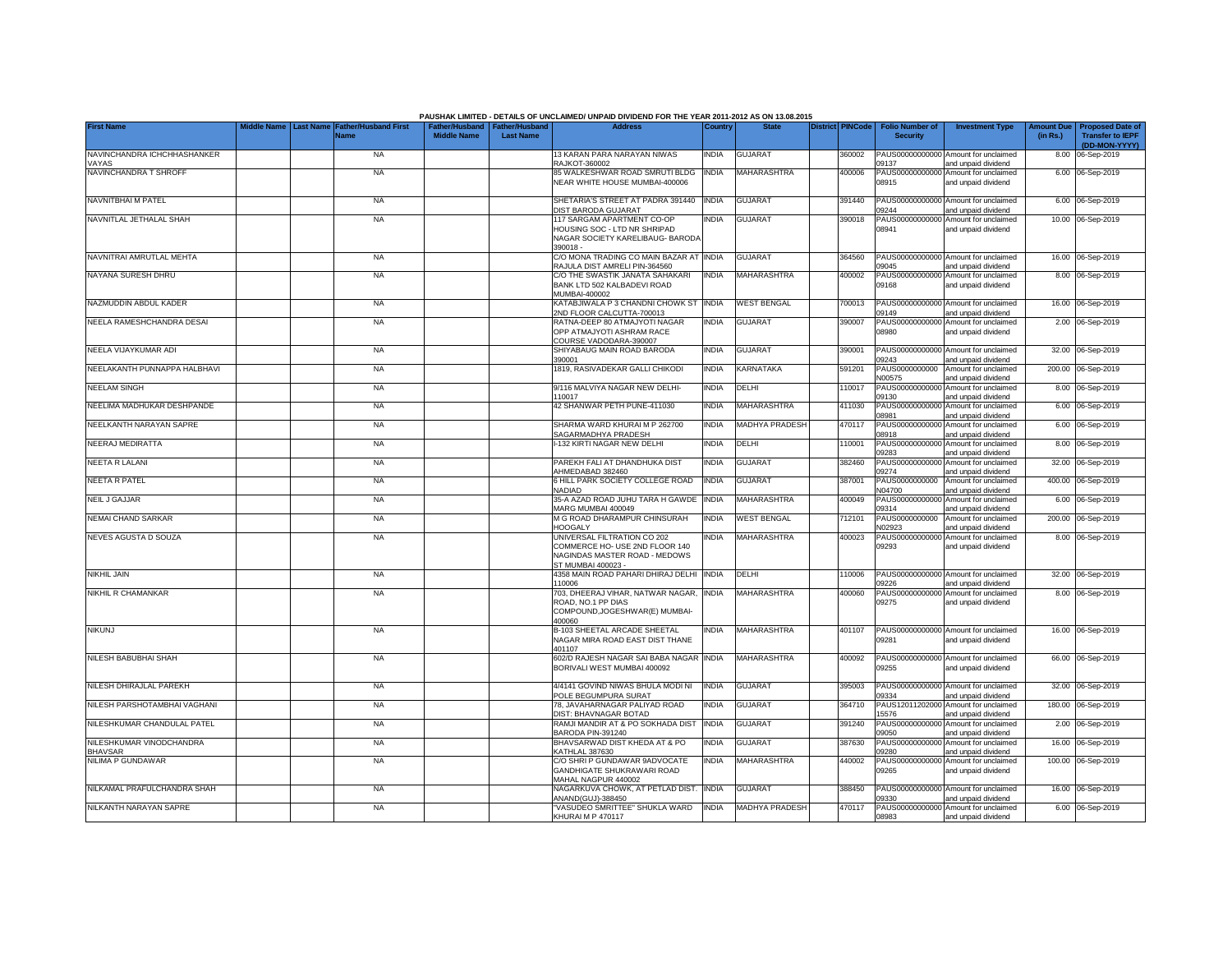|                                            | iddle Name                                                     |                    |                                                     | PAUSHAK LIMITED - DETAILS OF UNCLAIMED/ UNPAID DIVIDEND FOR THE YEAR 2011-2012 AS ON 13.08.2015<br><b>Address</b>    |              |                       | <b>District PINCode</b> |                                           |                                                             |                               |                                                                     |
|--------------------------------------------|----------------------------------------------------------------|--------------------|-----------------------------------------------------|----------------------------------------------------------------------------------------------------------------------|--------------|-----------------------|-------------------------|-------------------------------------------|-------------------------------------------------------------|-------------------------------|---------------------------------------------------------------------|
| <b>First Name</b>                          | <b>Last Name</b><br><b>Father/Husband First</b><br><b>Name</b> | <b>Middle Name</b> | Father/Husband   Father/Husband<br><b>Last Name</b> |                                                                                                                      | Country      | <b>State</b>          |                         | <b>Folio Number of</b><br><b>Security</b> | <b>Investment Type</b>                                      | <b>Amount Due</b><br>(in Rs.) | <b>Proposed Date of</b><br><b>Transfer to IEPF</b><br>(DD-MON-YYYY) |
| NAVINCHANDRA ICHCHHASHANKER<br><b>AYAS</b> | <b>NA</b>                                                      |                    |                                                     | 13 KARAN PARA NARAYAN NIWAS<br>RAJKOT-360002                                                                         | <b>INDIA</b> | <b>GUJARAT</b>        | 360002                  | 09137                                     | PAUS00000000000 Amount for unclaimed<br>and unpaid dividend |                               | 8.00 06-Sep-2019                                                    |
| NAVINCHANDRA T SHROFF                      | NA                                                             |                    |                                                     | 85 WALKESHWAR ROAD SMRUTI BLDG<br>NEAR WHITE HOUSE MUMBAI-400006                                                     | <b>INDIA</b> | <b>MAHARASHTRA</b>    | 400006                  | 08915                                     | PAUS00000000000 Amount for unclaimed<br>and unpaid dividend |                               | 6.00 06-Sep-2019                                                    |
| NAVNITBHAI M PATEL                         | <b>NA</b>                                                      |                    |                                                     | SHETARIA'S STREET AT PADRA 391440<br>DIST BARODA GUJARAT                                                             | <b>INDIA</b> | <b>GUJARAT</b>        | 391440                  | 09244                                     | PAUS00000000000 Amount for unclaimed<br>and unpaid dividend |                               | 6.00 06-Sep-2019                                                    |
| NAVNITLAL JETHALAL SHAH                    | <b>NA</b>                                                      |                    |                                                     | 117 SARGAM APARTMENT CO-OP<br>HOUSING SOC - LTD NR SHRIPAD<br>NAGAR SOCIETY KARELIBAUG- BARODA<br>390018-            | <b>INDIA</b> | GUJARAT               | 390018                  | PAUS00000000000<br>08941                  | Amount for unclaimed<br>and unpaid dividend                 |                               | 10.00 06-Sep-2019                                                   |
| NAVNITRAI AMRUTLAL MEHTA                   | <b>NA</b>                                                      |                    |                                                     | C/O MONA TRADING CO MAIN BAZAR AT INDIA<br>RAJULA DIST AMRELI PIN-364560                                             |              | <b>GUJARAT</b>        | 364560                  | PAUS00000000000<br>09045                  | Amount for unclaimed<br>and unpaid dividend                 |                               | 16.00 06-Sep-2019                                                   |
| NAYANA SURESH DHRU                         | <b>NA</b>                                                      |                    |                                                     | C/O THE SWASTIK JANATA SAHAKARI<br>BANK LTD 502 KALBADEVI ROAD<br>MUMBAI-400002                                      | <b>INDIA</b> | MAHARASHTRA           | 400002                  | PAUS00000000000<br>09168                  | Amount for unclaimed<br>and unpaid dividend                 |                               | 8.00 06-Sep-2019                                                    |
| NAZMUDDIN ABDUL KADER                      | <b>NA</b>                                                      |                    |                                                     | KATABJIWALA P 3 CHANDNI CHOWK ST<br>2ND FLOOR CALCUTTA-700013                                                        | <b>INDIA</b> | <b>WEST BENGAL</b>    | 700013                  | PAUS00000000000<br>09149                  | Amount for unclaimed<br>and unpaid dividend                 |                               | 16.00 06-Sep-2019                                                   |
| NEELA RAMESHCHANDRA DESAI                  | <b>NA</b>                                                      |                    |                                                     | RATNA-DEEP 80 ATMAJYOTI NAGAR<br>OPP ATMAJYOTI ASHRAM RACE<br>COURSE VADODARA-390007                                 | <b>INDIA</b> | <b>GUJARAT</b>        | 390007                  | PAUS00000000000<br>08980                  | Amount for unclaimed<br>and unpaid dividend                 |                               | 2.00 06-Sep-2019                                                    |
| NEELA VIJAYKUMAR ADI                       | <b>NA</b>                                                      |                    |                                                     | SHIYABAUG MAIN ROAD BARODA<br>390001                                                                                 | <b>INDIA</b> | <b>GUJARAT</b>        | 390001                  | 09243                                     | PAUS00000000000 Amount for unclaimed<br>and unpaid dividend |                               | 32.00 06-Sep-2019                                                   |
| NEELAKANTH PUNNAPPA HALBHAVI               | <b>NA</b>                                                      |                    |                                                     | 1819, RASIVADEKAR GALLI CHIKODI                                                                                      | <b>INDIA</b> | <b>KARNATAKA</b>      | 591201                  | PAUS0000000000<br>N00575                  | Amount for unclaimed<br>and unpaid dividend                 |                               | 200.00 06-Sep-2019                                                  |
| <b>NEELAM SINGH</b>                        | <b>NA</b>                                                      |                    |                                                     | 9/116 MALVIYA NAGAR NEW DELHI-<br>110017                                                                             | <b>INDIA</b> | DELHI                 | 110017                  | PAUS00000000000<br>09130                  | Amount for unclaimed<br>and unpaid dividend                 |                               | 8.00 06-Sep-2019                                                    |
| NEELIMA MADHUKAR DESHPANDE                 | <b>NA</b>                                                      |                    |                                                     | 42 SHANWAR PETH PUNE-411030                                                                                          | <b>INDIA</b> | <b>MAHARASHTRA</b>    | 411030                  | PAUS00000000000<br>08981                  | Amount for unclaimed<br>and unpaid dividend                 |                               | 6.00 06-Sep-2019                                                    |
| NEELKANTH NARAYAN SAPRE                    | NA                                                             |                    |                                                     | SHARMA WARD KHURAI M P 262700<br>SAGARMADHYA PRADESH                                                                 | <b>INDIA</b> | MADHYA PRADESH        | 470117                  | PAUS00000000000<br>08918                  | Amount for unclaimed<br>and unpaid dividend                 |                               | 6.00 06-Sep-2019                                                    |
| NEERAJ MEDIRATTA                           | <b>NA</b>                                                      |                    |                                                     | -132 KIRTI NAGAR NEW DELHI                                                                                           | <b>INDIA</b> | DELHI                 | 110001                  | PAUS00000000000<br>09283                  | Amount for unclaimed<br>and unpaid dividend                 |                               | 8.00 06-Sep-2019                                                    |
| NEETA R LALANI                             | <b>NA</b>                                                      |                    |                                                     | PAREKH FALI AT DHANDHUKA DIST<br>AHMEDABAD 382460                                                                    | <b>INDIA</b> | <b>GUJARAT</b>        | 382460                  | PAUS0000000000<br>09274                   | Amount for unclaimed<br>and unpaid dividend                 |                               | 32.00 06-Sep-2019                                                   |
| NEETA R PATEL                              | <b>NA</b>                                                      |                    |                                                     | 6 HILL PARK SOCIETY COLLEGE ROAD<br><b>NADIAD</b>                                                                    | <b>INDIA</b> | <b>GUJARAT</b>        | 387001                  | PAUS0000000000<br>N04700                  | Amount for unclaimed<br>and unpaid dividend                 |                               | 400.00 06-Sep-2019                                                  |
| <b>NEIL J GAJJAR</b>                       | <b>NA</b>                                                      |                    |                                                     | 35-A AZAD ROAD JUHU TARA H GAWDE<br>MARG MUMBAI 400049                                                               | <b>INDIA</b> | <b>MAHARASHTRA</b>    | 400049                  | PAUS0000000000<br>09314                   | Amount for unclaimed<br>and unpaid dividend                 | 6.00                          | 06-Sep-2019                                                         |
| NEMAI CHAND SARKAR                         | <b>NA</b>                                                      |                    |                                                     | M G ROAD DHARAMPUR CHINSURAH<br><b>HOOGALY</b>                                                                       | <b>INDIA</b> | <b>WEST BENGAL</b>    | 712101                  | PAUS0000000000<br>N02923                  | Amount for unclaimed<br>and unpaid dividend                 | 200.00                        | 06-Sep-2019                                                         |
| NEVES AGUSTA D SOUZA                       | <b>NA</b>                                                      |                    |                                                     | UNIVERSAL FILTRATION CO 202<br>COMMERCE HO- USE 2ND FLOOR 140<br>NAGINDAS MASTER ROAD - MEDOWS<br>ST MUMBAI 400023 - | INDIA        | <b>MAHARASHTRA</b>    | 400023                  | PAUS0000000000<br>09293                   | Amount for unclaimed<br>and unpaid dividend                 |                               | 8.00 06-Sep-2019                                                    |
| <b>NIKHIL JAIN</b>                         | <b>NA</b>                                                      |                    |                                                     | 4358 MAIN ROAD PAHARI DHIRAJ DELHI<br>110006                                                                         | <b>INDIA</b> | DELHI                 | 110006                  | 09226                                     | PAUS00000000000 Amount for unclaimed<br>and unpaid dividend |                               | 32.00 06-Sep-2019                                                   |
| NIKHIL R CHAMANKAR                         | <b>NA</b>                                                      |                    |                                                     | 703, DHEERAJ VIHAR, NATWAR NAGAR, INDIA<br>ROAD, NO.1 PP DIAS<br>COMPOUND, JOGESHWAR(E) MUMBAI-<br>400060            |              | <b>MAHARASHTRA</b>    | 400060                  | 09275                                     | PAUS00000000000 Amount for unclaimed<br>and unpaid dividend |                               | 8.00 06-Sep-2019                                                    |
| <b>NIKUNJ</b>                              | <b>NA</b>                                                      |                    |                                                     | B-103 SHEETAL ARCADE SHEETAL<br>NAGAR MIRA ROAD EAST DIST THANE<br>401107                                            | India        | MAHARASHTRA           | 401107                  | 09281                                     | PAUS00000000000 Amount for unclaimed<br>and unpaid dividend |                               | 16.00 06-Sep-2019                                                   |
| NILESH BABUBHAI SHAH                       | <b>NA</b>                                                      |                    |                                                     | 602/D RAJESH NAGAR SAI BABA NAGAR<br>BORIVALI WEST MUMBAI 400092                                                     | <b>INDIA</b> | MAHARASHTRA           | 400092                  | 09255                                     | PAUS00000000000 Amount for unclaimed<br>and unpaid dividend |                               | 66.00 06-Sep-2019                                                   |
| NILESH DHIRAJLAL PAREKH                    | <b>NA</b>                                                      |                    |                                                     | 4/4141 GOVIND NIWAS BHULA MODI NI<br>POLE BEGUMPURA SURAT                                                            | <b>INDIA</b> | <b>GUJARAT</b>        | 395003                  | 09334                                     | PAUS00000000000 Amount for unclaimed<br>and unpaid dividend |                               | 32.00 06-Sep-2019                                                   |
| NILESH PARSHOTAMBHAI VAGHANI               | <b>NA</b>                                                      |                    |                                                     | 78. JAVAHARNAGAR PALIYAD ROAD<br>DIST: BHAVNAGAR BOTAD                                                               | <b>INDIA</b> | GUJARAT               | 364710                  | PAUS12011202000<br>15576                  | Amount for unclaimed<br>and unpaid dividend                 |                               | 180.00 06-Sep-2019                                                  |
| NILESHKUMAR CHANDULAL PATEL                | <b>NA</b>                                                      |                    |                                                     | RAMJI MANDIR AT & PO SOKHADA DIST<br>BARODA PIN-391240                                                               | <b>INDIA</b> | GUJARAT               | 391240                  | PAUS00000000000<br>09050                  | Amount for unclaimed<br>and unpaid dividend                 |                               | 2.00 06-Sep-2019                                                    |
| NILESHKUMAR VINODCHANDRA<br><b>BHAVSAR</b> | <b>NA</b>                                                      |                    |                                                     | BHAVSARWAD DIST KHEDA AT & PO<br><b>KATHLAL 387630</b>                                                               | <b>INDIA</b> | <b>GUJARAT</b>        | 387630                  | 09280                                     | PAUS00000000000 Amount for unclaimed<br>and unpaid dividend |                               | 16.00 06-Sep-2019                                                   |
| NILIMA P GUNDAWAR                          | <b>NA</b>                                                      |                    |                                                     | C/O SHRI P GUNDAWAR 9ADVOCATE<br>GANDHIGATE SHUKRAWARI ROAD<br>MAHAL NAGPUR 440002                                   | <b>INDIA</b> | MAHARASHTRA           | 440002                  | 09265                                     | PAUS00000000000 Amount for unclaimed<br>and unpaid dividend |                               | 100.00 06-Sep-2019                                                  |
| NILKAMAL PRAFULCHANDRA SHAH                | <b>NA</b>                                                      |                    |                                                     | NAGARKUVA CHOWK, AT PETLAD DIST.<br>ANAND(GUJ)-388450                                                                | <b>INDIA</b> | <b>GUJARAT</b>        | 388450                  | 09330                                     | PAUS00000000000 Amount for unclaimed<br>and unpaid dividend |                               | 16.00 06-Sep-2019                                                   |
| NILKANTH NARAYAN SAPRE                     | <b>NA</b>                                                      |                    |                                                     | 'VASUDEO SMRITTEE" SHUKLA WARD<br>KHURAI M P 470117                                                                  | <b>INDIA</b> | <b>MADHYA PRADESH</b> | 470117                  | 08983                                     | PAUS00000000000 Amount for unclaimed<br>and unpaid dividend |                               | 6.00 06-Sep-2019                                                    |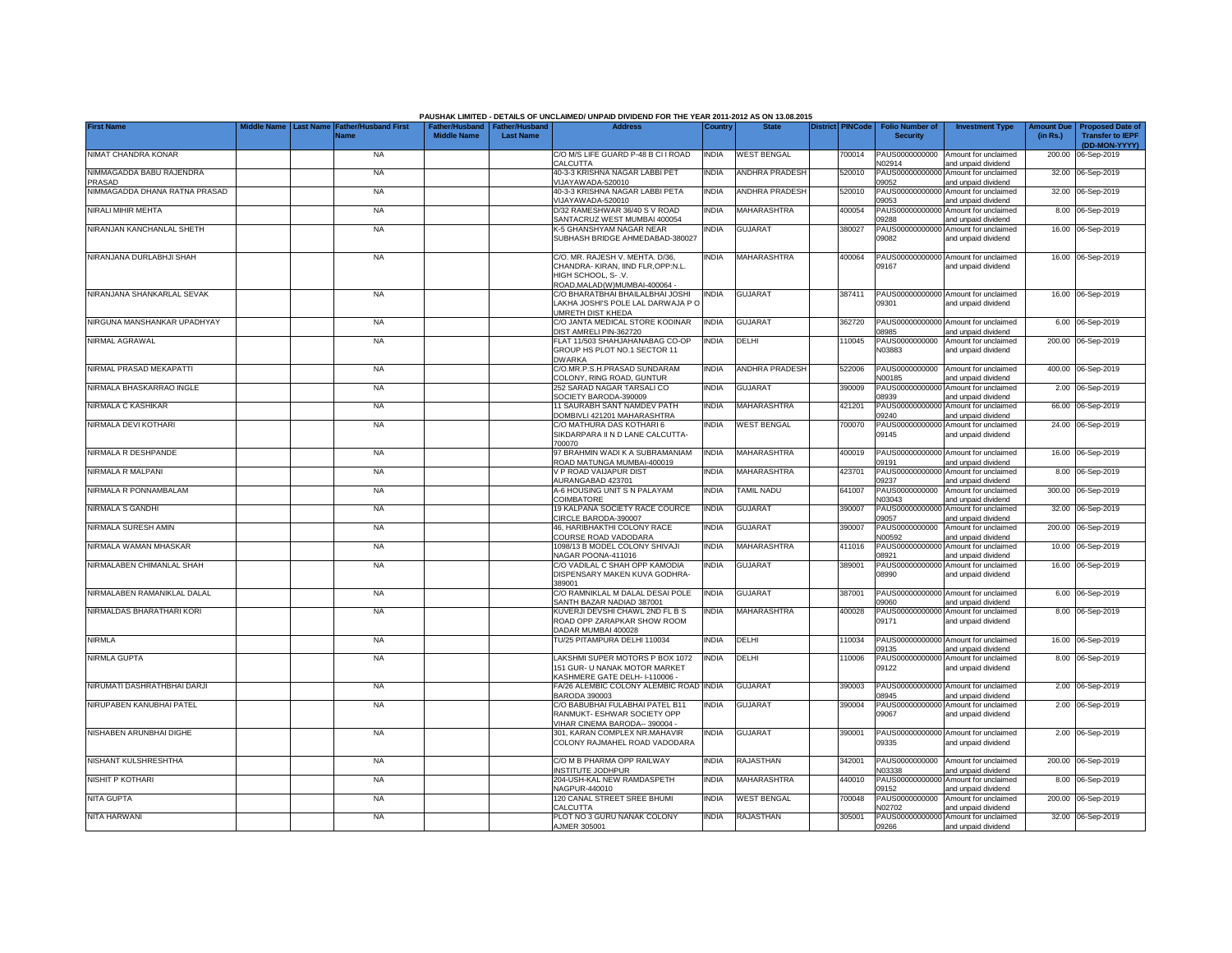|                                    |                                                               |                    |                                                   | PAUSHAK LIMITED - DETAILS OF UNCLAIMED/ UNPAID DIVIDEND FOR THE YEAR 2011-2012 AS ON 13.08.2015                               |              |                       |        |                                                       |                                                             |          |                                                                           |
|------------------------------------|---------------------------------------------------------------|--------------------|---------------------------------------------------|-------------------------------------------------------------------------------------------------------------------------------|--------------|-----------------------|--------|-------------------------------------------------------|-------------------------------------------------------------|----------|---------------------------------------------------------------------------|
| <b>First Name</b>                  | Middle Name   Last Name   Father/Husband First<br><b>Name</b> | <b>Middle Name</b> | Father/Husband Father/Husband<br><b>Last Name</b> | <b>Address</b>                                                                                                                | Country      | <b>State</b>          |        | District PINCode   Folio Number of<br><b>Security</b> | <b>Investment Type</b>                                      | (in Rs.) | Amount Due   Proposed Date of<br><b>Transfer to IEPF</b><br>(DD-MON-YYYY) |
| NIMAT CHANDRA KONAR                | <b>NA</b>                                                     |                    |                                                   | C/O M/S LIFE GUARD P-48 B CI I ROAD<br>CALCUTTA                                                                               | <b>INDIA</b> | <b>WEST BENGAL</b>    | 700014 | PAUS0000000000<br>N02914                              | Amount for unclaimed<br>and unpaid dividend                 |          | 200.00 06-Sep-2019                                                        |
| NIMMAGADDA BABU RAJENDRA<br>PRASAD | <b>NA</b>                                                     |                    |                                                   | 40-3-3 KRISHNA NAGAR LABBI PET<br>VIJAYAWADA-520010                                                                           | <b>INDIA</b> | <b>ANDHRA PRADESH</b> | 520010 | PAUS0000000000<br>09052                               | Amount for unclaimed<br>and unpaid dividend                 |          | 32.00 06-Sep-2019                                                         |
| NIMMAGADDA DHANA RATNA PRASAD      | <b>NA</b>                                                     |                    |                                                   | 40-3-3 KRISHNA NAGAR LABBI PETA<br>VIJAYAWADA-520010                                                                          | <b>INDIA</b> | <b>ANDHRA PRADESH</b> | 520010 | PAUS0000000000<br>09053                               | Amount for unclaimed<br>and unpaid dividend                 |          | 32.00 06-Sep-2019                                                         |
| NIRALI MIHIR MEHTA                 | <b>NA</b>                                                     |                    |                                                   | D/32 RAMESHWAR 36/40 S V ROAD<br>SANTACRUZ WEST MUMBAI 400054                                                                 | <b>INDIA</b> | <b>MAHARASHTRA</b>    | 400054 | PAUS0000000000<br>09288                               | Amount for unclaimed<br>and unpaid dividend                 |          | 8.00 06-Sep-2019                                                          |
| NIRANJAN KANCHANLAL SHETH          | <b>NA</b>                                                     |                    |                                                   | <b>&lt;-5 GHANSHYAM NAGAR NEAR</b><br>SUBHASH BRIDGE AHMEDABAD-380027                                                         | <b>NDIA</b>  | <b>GUJARAT</b>        | 380027 | PAUS0000000000<br>09082                               | Amount for unclaimed<br>and unpaid dividend                 |          | 16.00 06-Sep-2019                                                         |
| NIRANJANA DURLABHJI SHAH           | <b>NA</b>                                                     |                    |                                                   | C/O. MR. RAJESH V. MEHTA. D/36,<br>CHANDRA- KIRAN, IIND FLR, OPP:N.L.<br>HIGH SCHOOL, S-.V.<br>ROAD, MALAD(W) MUMBAI-400064 - | INDIA        | MAHARASHTRA           | 400064 | PAUS00000000000<br>09167                              | Amount for unclaimed<br>and unpaid dividend                 |          | 16.00 06-Sep-2019                                                         |
| NIRANJANA SHANKARLAL SEVAK         | <b>NA</b>                                                     |                    |                                                   | C/O BHARATBHAI BHAILALBHAI JOSHI<br>LAKHA JOSHI'S POLE LAL DARWAJA P O<br>UMRETH DIST KHEDA                                   | <b>INDIA</b> | <b>GUJARAT</b>        | 387411 | 09301                                                 | PAUS00000000000 Amount for unclaimed<br>and unpaid dividend |          | 16.00 06-Sep-2019                                                         |
| NIRGUNA MANSHANKAR UPADHYAY        | <b>NA</b>                                                     |                    |                                                   | C/O JANTA MEDICAL STORE KODINAR<br>DIST AMRELI PIN-362720                                                                     | INDIA        | <b>GUJARAT</b>        | 362720 | PAUS0000000000<br>08985                               | Amount for unclaimed<br>and unpaid dividend                 |          | 6.00 06-Sep-2019                                                          |
| NIRMAL AGRAWAL                     | <b>NA</b>                                                     |                    |                                                   | FLAT 11/503 SHAHJAHANABAG CO-OP<br>GROUP HS PLOT NO.1 SECTOR 11<br><b>DWARKA</b>                                              | <b>INDIA</b> | DELHI                 | 110045 | PAUS0000000000<br>N03883                              | Amount for unclaimed<br>and unpaid dividend                 |          | 200.00 06-Sep-2019                                                        |
| NIRMAL PRASAD MEKAPATTI            | <b>NA</b>                                                     |                    |                                                   | C/O.MR.P.S.H.PRASAD SUNDARAM<br>COLONY, RING ROAD, GUNTUR                                                                     | INDIA        | <b>ANDHRA PRADESH</b> | 522006 | PAUS0000000000<br>N00185                              | Amount for unclaimed<br>and unpaid dividend                 |          | 400.00 06-Sep-2019                                                        |
| NIRMALA BHASKARRAO INGLE           | <b>NA</b>                                                     |                    |                                                   | 252 SARAD NAGAR TARSALI CO<br>SOCIETY BARODA-390009                                                                           | <b>NDIA</b>  | <b>GUJARAT</b>        | 390009 | PAUS0000000000<br>08939                               | Amount for unclaimed<br>and unpaid dividend                 |          | 2.00 06-Sep-2019                                                          |
| NIRMALA C KASHIKAR                 | <b>NA</b>                                                     |                    |                                                   | 11 SAURABH SANT NAMDEV PATH<br>DOMBIVLI 421201 MAHARASHTRA                                                                    | <b>NDIA</b>  | <b>MAHARASHTRA</b>    | 421201 | PAUS00000000000<br>09240                              | Amount for unclaimed<br>and unpaid dividend                 |          | 66.00 06-Sep-2019                                                         |
| NIRMALA DEVI KOTHARI               | <b>NA</b>                                                     |                    |                                                   | C/O MATHURA DAS KOTHARI 6<br>SIKDARPARA II N D LANE CALCUTTA-<br>700070                                                       | India        | <b>WEST BENGAL</b>    | 700070 | 09145                                                 | PAUS00000000000 Amount for unclaimed<br>and unpaid dividend |          | 24.00 06-Sep-2019                                                         |
| NIRMALA R DESHPANDE                | <b>NA</b>                                                     |                    |                                                   | 97 BRAHMIN WADI K A SUBRAMANIAM<br>ROAD MATUNGA MUMBAI-400019                                                                 | <b>INDIA</b> | <b>MAHARASHTRA</b>    | 400019 | 09191                                                 | PAUS00000000000 Amount for unclaimed<br>and unpaid dividend |          | 16.00 06-Sep-2019                                                         |
| NIRMALA R MALPANI                  | <b>NA</b>                                                     |                    |                                                   | V P ROAD VAIJAPUR DIST<br>AURANGABAD 423701                                                                                   | <b>NDIA</b>  | MAHARASHTRA           | 423701 | PAUS00000000000<br>09237                              | Amount for unclaimed<br>and unpaid dividend                 |          | 8.00 06-Sep-2019                                                          |
| NIRMALA R PONNAMBALAM              | <b>NA</b>                                                     |                    |                                                   | A-6 HOUSING UNIT S N PALAYAM<br>COIMBATORE                                                                                    | <b>INDIA</b> | <b>TAMIL NADU</b>     | 641007 | PAUS0000000000<br>N03043                              | Amount for unclaimed<br>and unpaid dividend                 |          | 300.00 06-Sep-2019                                                        |
| NIRMALA S GANDHI                   | <b>NA</b>                                                     |                    |                                                   | 19 KALPANA SOCIETY RACE COURCE<br>CIRCLE BARODA-390007                                                                        | <b>INDIA</b> | <b>GUJARAT</b>        | 390007 | PAUS0000000000<br>09057                               | Amount for unclaimed<br>and unpaid dividend                 |          | 32.00 06-Sep-2019                                                         |
| NIRMALA SURESH AMIN                | <b>NA</b>                                                     |                    |                                                   | 46, HARIBHAKTHI COLONY RACE<br>COURSE ROAD VADODARA                                                                           | <b>INDIA</b> | <b>GUJARAT</b>        | 390007 | PAUS0000000000<br>N00592                              | Amount for unclaimed<br>and unpaid dividend                 |          | 200.00 06-Sep-2019                                                        |
| NIRMALA WAMAN MHASKAR              | <b>NA</b>                                                     |                    |                                                   | 1098/13 B MODEL COLONY SHIVAJI<br>NAGAR POONA-411016                                                                          | <b>INDIA</b> | MAHARASHTRA           | 411016 | PAUS0000000000<br>08921                               | Amount for unclaimed<br>and unpaid dividend                 |          | 10.00 06-Sep-2019                                                         |
| NIRMALABEN CHIMANLAL SHAH          | <b>NA</b>                                                     |                    |                                                   | C/O VADILAL C SHAH OPP KAMODIA<br>DISPENSARY MAKEN KUVA GODHRA-<br>389001                                                     | <b>INDIA</b> | <b>GUJARAT</b>        | 389001 | PAUS0000000000<br>08990                               | Amount for unclaimed<br>and unpaid dividend                 |          | 16.00 06-Sep-2019                                                         |
| NIRMALABEN RAMANIKLAL DALAL        | <b>NA</b>                                                     |                    |                                                   | C/O RAMNIKLAL M DALAL DESAI POLE<br>SANTH BAZAR NADIAD 387001                                                                 | <b>INDIA</b> | <b>GUJARAT</b>        | 387001 | PAUS0000000000<br>09060                               | Amount for unclaimed<br>and unpaid dividend                 |          | 6.00 06-Sep-2019                                                          |
| NIRMALDAS BHARATHARI KORI          | <b>NA</b>                                                     |                    |                                                   | KUVERJI DEVSHI CHAWL 2ND FL B S<br>ROAD OPP ZARAPKAR SHOW ROOM<br>DADAR MUMBAI 400028                                         | <b>INDIA</b> | MAHARASHTRA           | 400028 | PAUS00000000000<br>09171                              | Amount for unclaimed<br>and unpaid dividend                 |          | 8.00 06-Sep-2019                                                          |
| NIRMLA                             | <b>NA</b>                                                     |                    |                                                   | TU/25 PITAMPURA DELHI 110034                                                                                                  | <b>NDIA</b>  | DELHI                 | 110034 | PAUS0000000000<br>09135                               | Amount for unclaimed<br>and unpaid dividend                 |          | 16.00 06-Sep-2019                                                         |
| NIRMLA GUPTA                       | <b>NA</b>                                                     |                    |                                                   | LAKSHMI SUPER MOTORS P BOX 1072<br>151 GUR- U NANAK MOTOR MARKET<br>KASHMERE GATE DELH- I-110006 -                            | <b>INDIA</b> | DELHI                 | 110006 | PAUS00000000000<br>09122                              | Amount for unclaimed<br>and unpaid dividend                 |          | 8.00 06-Sep-2019                                                          |
| NIRUMATI DASHRATHBHAI DARJI        | <b>NA</b>                                                     |                    |                                                   | FA/26 ALEMBIC COLONY ALEMBIC ROAD INDIA<br><b>BARODA 390003</b>                                                               |              | <b>GUJARAT</b>        | 390003 | PAUS0000000000<br>08945                               | Amount for unclaimed<br>and unpaid dividend                 |          | 2.00 06-Sep-2019                                                          |
| NIRUPABEN KANUBHAI PATEL           | <b>NA</b>                                                     |                    |                                                   | C/O BABUBHAI FULABHAI PATEL B11<br>RANMUKT- ESHWAR SOCIETY OPP<br>VIHAR CINEMA BARODA-- 390004 -                              | <b>INDIA</b> | <b>GUJARAT</b>        | 390004 | PAUS0000000000<br>09067                               | Amount for unclaimed<br>and unpaid dividend                 |          | 2.00 06-Sep-2019                                                          |
| NISHABEN ARUNBHAI DIGHE            | <b>NA</b>                                                     |                    |                                                   | 301, KARAN COMPLEX NR.MAHAVIR<br>COLONY RAJMAHEL ROAD VADODARA                                                                | <b>INDIA</b> | <b>GUJARAT</b>        | 390001 | 09335                                                 | PAUS00000000000 Amount for unclaimed<br>and unpaid dividend |          | 2.00 06-Sep-2019                                                          |
| NISHANT KULSHRESHTHA               | <b>NA</b>                                                     |                    |                                                   | C/O M B PHARMA OPP RAILWAY<br><b>INSTITUTE JODHPUR</b>                                                                        | INDIA        | <b>RAJASTHAN</b>      | 342001 | PAUS0000000000<br>N03338                              | Amount for unclaimed<br>and unpaid dividend                 |          | 200.00 06-Sep-2019                                                        |
| NISHIT P KOTHARI                   | <b>NA</b>                                                     |                    |                                                   | 204-USH-KAL NEW RAMDASPETH<br>NAGPUR-440010                                                                                   | <b>NDIA</b>  | <b>MAHARASHTRA</b>    | 440010 | PAUS00000000000<br>09152                              | Amount for unclaimed<br>and unpaid dividend                 |          | 8.00 06-Sep-2019                                                          |
| <b>NITA GUPTA</b>                  | <b>NA</b>                                                     |                    |                                                   | 120 CANAL STREET SREE BHUMI<br>CALCUTTA                                                                                       | <b>NDIA</b>  | <b>WEST BENGAL</b>    | 700048 | PAUS0000000000<br>N02702                              | Amount for unclaimed<br>and unpaid dividend                 |          | 200.00 06-Sep-2019                                                        |
| NITA HARWANI                       | <b>NA</b>                                                     |                    |                                                   | PLOT NO 3 GURU NANAK COLONY<br>AJMER 305001                                                                                   | <b>INDIA</b> | RAJASTHAN             | 305001 | 09266                                                 | PAUS00000000000 Amount for unclaimed<br>and unpaid dividend |          | 32.00 06-Sep-2019                                                         |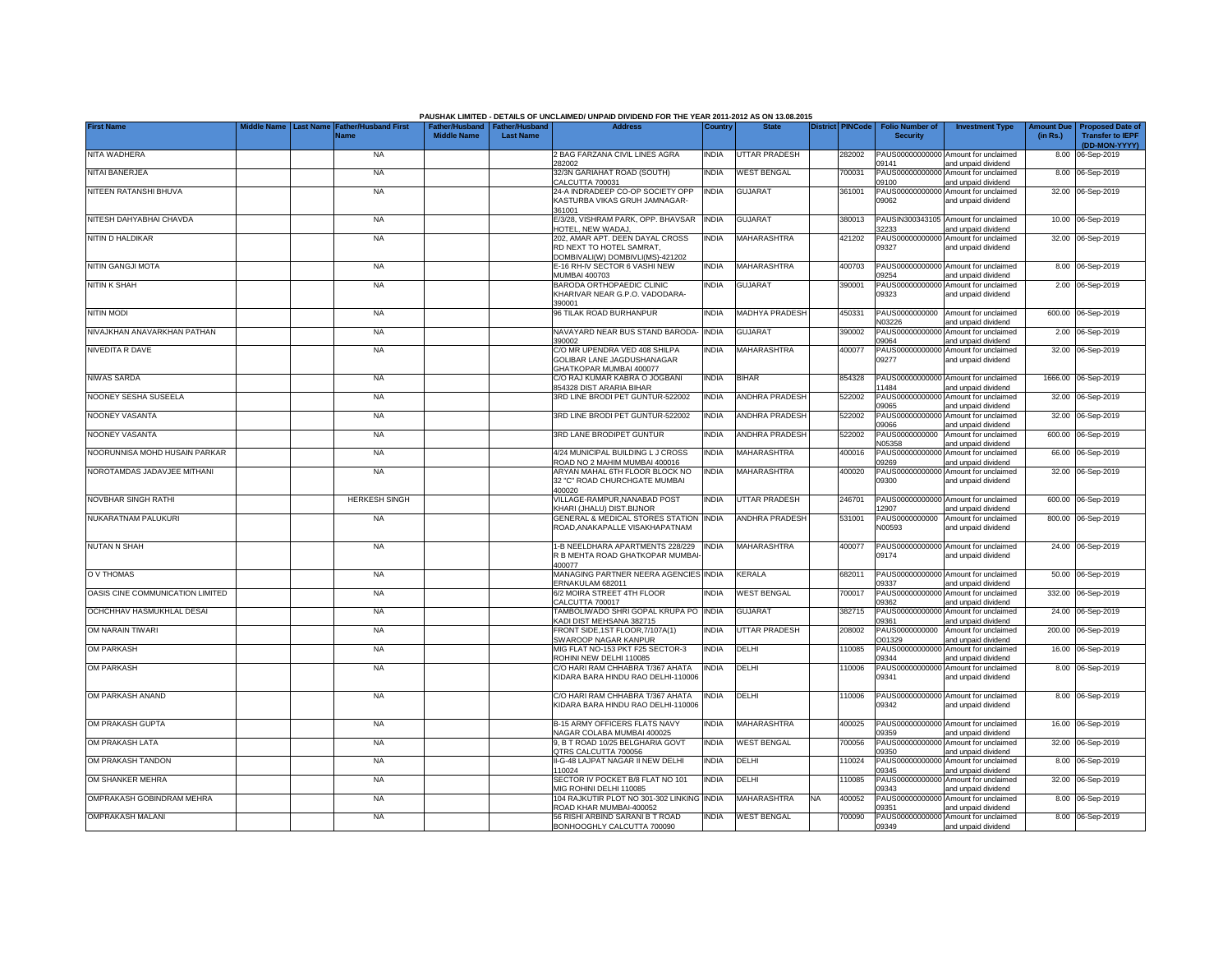|                                  |                  |                                     |                                                       |                  | PAUSHAK LIMITED - DETAILS OF UNCLAIMED/ UNPAID DIVIDEND FOR THE YEAR 2011-2012 AS ON 13.08.2015 |              |                       |                         |        |                                           |                                                                    |                               |                                                    |
|----------------------------------|------------------|-------------------------------------|-------------------------------------------------------|------------------|-------------------------------------------------------------------------------------------------|--------------|-----------------------|-------------------------|--------|-------------------------------------------|--------------------------------------------------------------------|-------------------------------|----------------------------------------------------|
| <b>First Name</b>                | <b>Last Name</b> | <b>Father/Husband First</b><br>Name | Father/Husband   Father/Husband<br><b>Middle Name</b> | <b>Last Name</b> | <b>Address</b>                                                                                  | Country      | <b>State</b>          | <b>District PINCode</b> |        | <b>Folio Number of</b><br><b>Security</b> | <b>Investment Type</b>                                             | <b>Amount Due</b><br>(in Rs.) | <b>Proposed Date of</b><br><b>Transfer to IEPF</b> |
| NITA WADHERA                     |                  | <b>NA</b>                           |                                                       |                  | 2 BAG FARZANA CIVIL LINES AGRA                                                                  | INDIA        | UTTAR PRADESH         |                         | 282002 |                                           | PAUS00000000000 Amount for unclaimed                               |                               | (DD-MON-YYYY)<br>8.00 06-Sep-2019                  |
| NITAI BANERJEA                   |                  | <b>NA</b>                           |                                                       |                  | 282002<br>32/3N GARIAHAT ROAD (SOUTH)<br>CALCUTTA 700031                                        | INDIA        | <b>WEST BENGAL</b>    |                         | 700031 | 09141<br>PAUS00000000000<br>09100         | and unpaid dividend<br>Amount for unclaimed<br>and unpaid dividend |                               | 8.00 06-Sep-2019                                   |
| NITEEN RATANSHI BHUVA            |                  | <b>NA</b>                           |                                                       |                  | 24-A INDRADEEP CO-OP SOCIETY OPP<br>KASTURBA VIKAS GRUH JAMNAGAR-<br>361001                     | INDIA        | <b>GUJARAT</b>        |                         | 361001 | PAUS00000000000<br>09062                  | Amount for unclaimed<br>and unpaid dividend                        |                               | 32.00 06-Sep-2019                                  |
| NITESH DAHYABHAI CHAVDA          |                  | <b>NA</b>                           |                                                       |                  | E/3/28, VISHRAM PARK, OPP. BHAVSAR<br><b>IOTEL, NEW WADAJ</b>                                   | <b>INDIA</b> | <b>GUJARAT</b>        |                         | 380013 | PAUSIN300343105<br>32233                  | Amount for unclaimed<br>and unpaid dividend                        |                               | 10.00 06-Sep-2019                                  |
| NITIN D HALDIKAR                 |                  | <b>NA</b>                           |                                                       |                  | 202, AMAR APT. DEEN DAYAL CROSS<br>RD NEXT TO HOTEL SAMRAT,<br>DOMBIVALI(W) DOMBIVLI(MS)-421202 | <b>INDIA</b> | MAHARASHTRA           |                         | 421202 | 09327                                     | PAUS00000000000 Amount for unclaimed<br>and unpaid dividend        |                               | 32.00 06-Sep-2019                                  |
| NITIN GANGJI MOTA                |                  | <b>NA</b>                           |                                                       |                  | E-16 RH-IV SECTOR 6 VASHI NEW<br><b>MUMBAI 400703</b>                                           | <b>INDIA</b> | <b>MAHARASHTRA</b>    |                         | 400703 | 09254                                     | PAUS00000000000 Amount for unclaimed<br>and unpaid dividend        |                               | 8.00 06-Sep-2019                                   |
| <b>NITIN K SHAH</b>              |                  | <b>NA</b>                           |                                                       |                  | BARODA ORTHOPAEDIC CLINIC<br>KHARIVAR NEAR G.P.O. VADODARA-<br>390001                           | india        | <b>GUJARAT</b>        |                         | 390001 | PAUS0000000000<br>09323                   | Amount for unclaimed<br>and unpaid dividend                        |                               | 2.00 06-Sep-2019                                   |
| <b>NITIN MODI</b>                |                  | <b>NA</b>                           |                                                       |                  | 96 TILAK ROAD BURHANPUR                                                                         | INDIA        | <b>MADHYA PRADESH</b> |                         | 450331 | PAUS0000000000<br>N03226                  | Amount for unclaimed<br>and unpaid dividend                        |                               | 600.00 06-Sep-2019                                 |
| NIVAJKHAN ANAVARKHAN PATHAN      |                  | <b>NA</b>                           |                                                       |                  | NAVAYARD NEAR BUS STAND BARODA-<br>390002                                                       | <b>INDIA</b> | <b>GUJARAT</b>        |                         | 390002 | PAUS0000000000<br>09064                   | Amount for unclaimed<br>and unpaid dividend                        |                               | 2.00 06-Sep-2019                                   |
| NIVEDITA R DAVE                  |                  | <b>NA</b>                           |                                                       |                  | C/O MR UPENDRA VED 408 SHILPA<br>GOLIBAR LANE JAGDUSHANAGAR<br>GHATKOPAR MUMBAI 400077          | India        | MAHARASHTRA           |                         | 400077 | PAUS00000000000<br>09277                  | Amount for unclaimed<br>and unpaid dividend                        |                               | 32.00 06-Sep-2019                                  |
| NIWAS SARDA                      |                  | <b>NA</b>                           |                                                       |                  | C/O RAJ KUMAR KABRA O JOGBANI<br>854328 DIST ARARIA BIHAR                                       | india        | <b>BIHAR</b>          |                         | 854328 | 11484                                     | PAUS00000000000 Amount for unclaimed<br>and unpaid dividend        |                               | 1666.00 06-Sep-2019                                |
| NOONEY SESHA SUSEELA             |                  | <b>NA</b>                           |                                                       |                  | 3RD LINE BRODI PET GUNTUR-522002                                                                | INDIA        | ANDHRA PRADESH        |                         | 522002 | PAUS00000000000<br>09065                  | Amount for unclaimed<br>and unpaid dividend                        |                               | 32.00 06-Sep-2019                                  |
| NOONEY VASANTA                   |                  | <b>NA</b>                           |                                                       |                  | 3RD LINE BRODI PET GUNTUR-522002                                                                | <b>INDIA</b> | <b>ANDHRA PRADESH</b> |                         | 522002 | 33090                                     | PAUS00000000000 Amount for unclaimed<br>and unpaid dividend        |                               | 32.00 06-Sep-2019                                  |
| NOONEY VASANTA                   |                  | <b>NA</b>                           |                                                       |                  | 3RD LANE BRODIPET GUNTUR                                                                        | INDIA        | <b>ANDHRA PRADESH</b> |                         | 522002 | N05358                                    | PAUS0000000000 Amount for unclaimed<br>and unpaid dividend         |                               | 600.00 06-Sep-2019                                 |
| NOORUNNISA MOHD HUSAIN PARKAR    |                  | <b>NA</b>                           |                                                       |                  | 4/24 MUNICIPAL BUILDING L J CROSS<br>ROAD NO 2 MAHIM MUMBAI 400016                              | <b>INDIA</b> | <b>MAHARASHTRA</b>    |                         | 400016 | 09269                                     | PAUS00000000000 Amount for unclaimed<br>and unpaid dividend        |                               | 66.00 06-Sep-2019                                  |
| NOROTAMDAS JADAVJEE MITHANI      |                  | <b>NA</b>                           |                                                       |                  | ARYAN MAHAL 6TH FLOOR BLOCK NO<br>32 "C" ROAD CHURCHGATE MUMBAI<br>400020                       | INDIA        | MAHARASHTRA           |                         | 400020 | 09300                                     | PAUS00000000000 Amount for unclaimed<br>and unpaid dividend        |                               | 32.00 06-Sep-2019                                  |
| NOVBHAR SINGH RATHI              |                  | <b>HERKESH SINGH</b>                |                                                       |                  | VILLAGE-RAMPUR, NANABAD POST<br>KHARI (JHALU) DIST.BIJNOR                                       | INDIA        | <b>UTTAR PRADESH</b>  |                         | 246701 | 12907                                     | PAUS00000000000 Amount for unclaimed<br>and unpaid dividend        |                               | 600.00 06-Sep-2019                                 |
| NUKARATNAM PALUKURI              |                  | <b>NA</b>                           |                                                       |                  | <b>GENERAL &amp; MEDICAL STORES STATION</b><br>ROAD, ANAKAPALLE VISAKHAPATNAM                   | <b>INDIA</b> | <b>ANDHRA PRADESH</b> |                         | 531001 | PAUS0000000000<br>N00593                  | Amount for unclaimed<br>and unpaid dividend                        |                               | 800.00 06-Sep-2019                                 |
| <b>NUTAN N SHAH</b>              |                  | <b>NA</b>                           |                                                       |                  | 1-B NEELDHARA APARTMENTS 228/229<br>R B MEHTA ROAD GHATKOPAR MUMBAI<br>400077                   | <b>INDIA</b> | MAHARASHTRA           |                         | 400077 | 09174                                     | PAUS00000000000 Amount for unclaimed<br>and unpaid dividend        |                               | 24.00 06-Sep-2019                                  |
| O V THOMAS                       |                  | <b>NA</b>                           |                                                       |                  | MANAGING PARTNER NEERA AGENCIES<br>ERNAKULAM 682011                                             | <b>INDIA</b> | KERALA                |                         | 682011 | PAUS00000000000<br>09337                  | Amount for unclaimed<br>and unpaid dividend                        |                               | 50.00 06-Sep-2019                                  |
| OASIS CINE COMMUNICATION LIMITED |                  | <b>NA</b>                           |                                                       |                  | 6/2 MOIRA STREET 4TH FLOOR<br>CALCUTTA 700017                                                   | INDIA        | <b>WEST BENGAL</b>    |                         | 700017 | PAUS0000000000<br>9362                    | Amount for unclaimed<br>and unpaid dividend                        | 332.00                        | 06-Sep-2019                                        |
| OCHCHHAV HASMUKHLAL DESAI        |                  | <b>NA</b>                           |                                                       |                  | TAMBOLIWADO SHRI GOPAL KRUPA PO INDIA<br>KADI DIST MEHSANA 382715                               |              | <b>GUJARAT</b>        |                         | 382715 | PAUS00000000000<br>09361                  | Amount for unclaimed<br>and unpaid dividend                        |                               | 24.00 06-Sep-2019                                  |
| OM NARAIN TIWARI                 |                  | <b>NA</b>                           |                                                       |                  | FRONT SIDE, 1ST FLOOR, 7/107A(1)<br>SWAROOP NAGAR KANPUR                                        | <b>INDIA</b> | <b>UTTAR PRADESH</b>  |                         | 208002 | PAUS0000000000<br>001329                  | Amount for unclaimed<br>and unpaid dividend                        |                               | 200.00 06-Sep-2019                                 |
| <b>OM PARKASH</b>                |                  | <b>NA</b>                           |                                                       |                  | MIG FLAT NO-153 PKT F25 SECTOR-3<br>ROHINI NEW DELHI 110085                                     | <b>INDIA</b> | DELHI                 |                         | 110085 | PAUS00000000000<br>09344                  | Amount for unclaimed<br>and unpaid dividend                        |                               | 16.00 06-Sep-2019                                  |
| <b>OM PARKASH</b>                |                  | <b>NA</b>                           |                                                       |                  | C/O HARI RAM CHHABRA T/367 AHATA<br>KIDARA BARA HINDU RAO DELHI-110006                          | INDIA        | DELHI                 |                         | 110006 | 09341                                     | PAUS00000000000 Amount for unclaimed<br>and unpaid dividend        |                               | 8.00 06-Sep-2019                                   |
| OM PARKASH ANAND                 |                  | <b>NA</b>                           |                                                       |                  | C/O HARI RAM CHHABRA T/367 AHATA<br>KIDARA BARA HINDU RAO DELHI-110006                          | INDIA        | DELHI                 |                         | 110006 | 09342                                     | PAUS00000000000 Amount for unclaimed<br>and unpaid dividend        |                               | 8.00 06-Sep-2019                                   |
| OM PRAKASH GUPTA                 |                  | <b>NA</b>                           |                                                       |                  | B-15 ARMY OFFICERS FLATS NAVY<br>NAGAR COLABA MUMBAI 400025                                     | INDIA        | MAHARASHTRA           |                         | 400025 | 09359                                     | PAUS00000000000 Amount for unclaimed<br>and unpaid dividend        |                               | 16.00 06-Sep-2019                                  |
| OM PRAKASH LATA                  |                  | <b>NA</b>                           |                                                       |                  | 9, B T ROAD 10/25 BELGHARIA GOVT<br>QTRS CALCUTTA 700056                                        | India        | <b>WEST BENGAL</b>    |                         | 700056 | PAUS00000000000<br>09350                  | Amount for unclaimed<br>and unpaid dividend                        |                               | 32.00 06-Sep-2019                                  |
| OM PRAKASH TANDON                |                  | <b>NA</b>                           |                                                       |                  | II-G-48 LAJPAT NAGAR II NEW DELHI<br>110024                                                     | india        | DELHI                 |                         | 110024 | PAUS0000000000<br>09345                   | Amount for unclaimed<br>and unpaid dividend                        |                               | 8.00 06-Sep-2019                                   |
| OM SHANKER MEHRA                 |                  | <b>NA</b>                           |                                                       |                  | SECTOR IV POCKET B/8 FLAT NO 101<br>MIG ROHINI DELHI 110085                                     | <b>INDIA</b> | DELHI                 |                         | 110085 | PAUS00000000000<br>09343                  | Amount for unclaimed<br>and unpaid dividend                        |                               | 32.00 06-Sep-2019                                  |
| OMPRAKASH GOBINDRAM MEHRA        |                  | NA                                  |                                                       |                  | 104 RAJKUTIR PLOT NO 301-302 LINKING<br>ROAD KHAR MUMBAI-400052                                 | <b>INDIA</b> | <b>MAHARASHTRA</b>    | NA                      | 400052 | 09351                                     | PAUS00000000000 Amount for unclaimed<br>and unpaid dividend        |                               | 8.00 06-Sep-2019                                   |
| <b>OMPRAKASH MALANI</b>          |                  | <b>NA</b>                           |                                                       |                  | 56 RISHI ARBIND SARANI B T ROAD<br>BONHOOGHLY CALCUTTA 700090                                   | <b>INDIA</b> | <b>WEST BENGAL</b>    |                         | 700090 | 09349                                     | PAUS00000000000 Amount for unclaimed<br>and unpaid dividend        |                               | 8.00 06-Sep-2019                                   |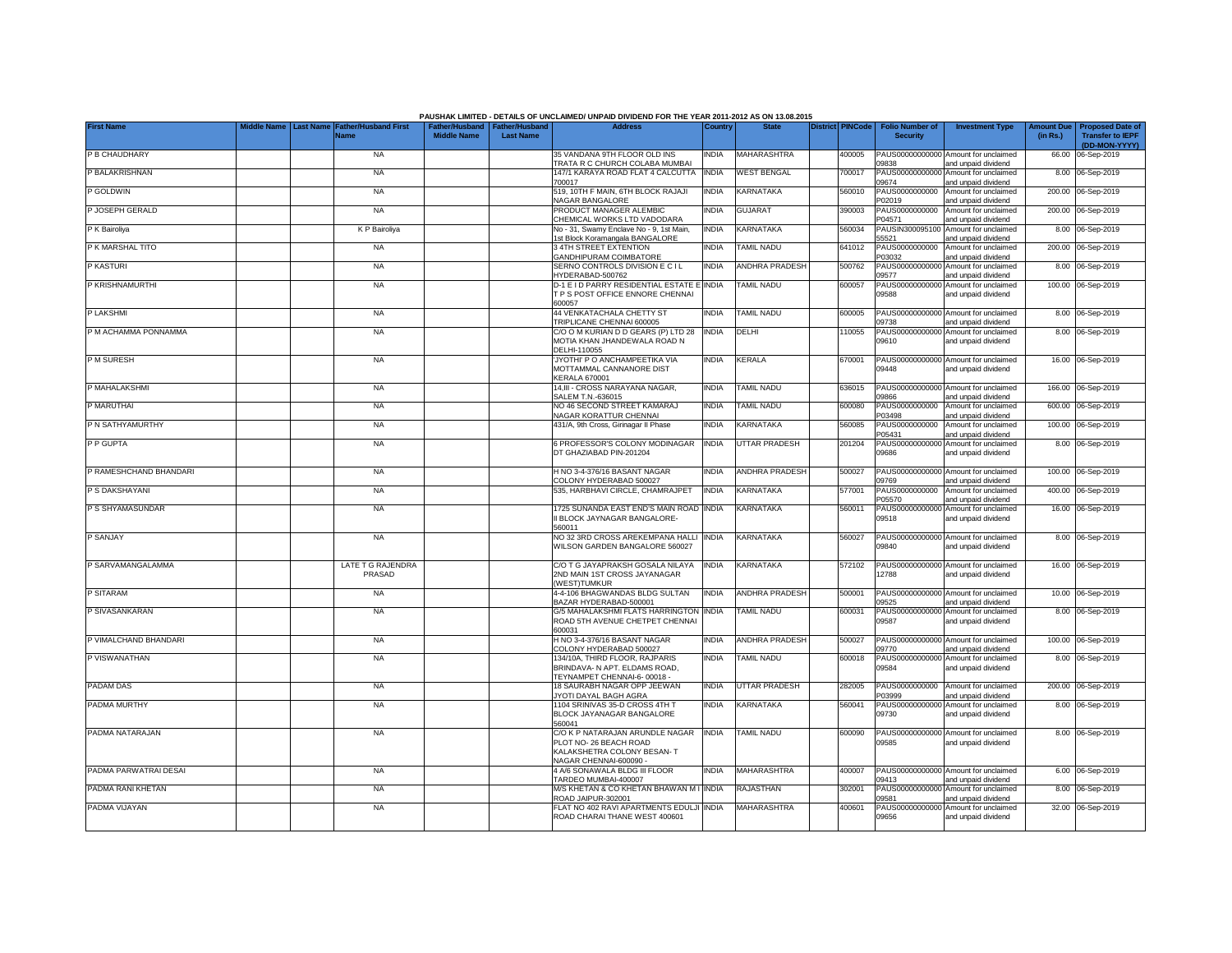| PAUSHAK LIMITED - DETAILS OF UNCLAIMED/ UNPAID DIVIDEND FOR THE YEAR 2011-2012 AS ON 13.08.2015<br>Middle Name<br><b>Last Name</b><br><b>Father/Husband First</b><br><b>District PINCode</b><br><b>Folio Number of</b><br><b>Investment Type</b><br><b>Amount Due</b><br><b>Proposed Date of</b><br>Father/Husband<br><b>Father/Husband</b><br><b>Address</b><br>Country<br><b>State</b> |  |  |                             |                    |                  |                                                                                                                  |              |                       |  |        |                                    |                                                                                    |          |                                          |
|------------------------------------------------------------------------------------------------------------------------------------------------------------------------------------------------------------------------------------------------------------------------------------------------------------------------------------------------------------------------------------------|--|--|-----------------------------|--------------------|------------------|------------------------------------------------------------------------------------------------------------------|--------------|-----------------------|--|--------|------------------------------------|------------------------------------------------------------------------------------|----------|------------------------------------------|
| <b>First Name</b>                                                                                                                                                                                                                                                                                                                                                                        |  |  | Name                        | <b>Middle Name</b> | <b>Last Name</b> |                                                                                                                  |              |                       |  |        | <b>Security</b>                    |                                                                                    | (in Rs.) | <b>Transfer to IEPF</b><br>(DD-MON-YYYY) |
| P B CHAUDHARY                                                                                                                                                                                                                                                                                                                                                                            |  |  | <b>NA</b>                   |                    |                  | 35 VANDANA 9TH FLOOR OLD INS<br>TRATA R C CHURCH COLABA MUMBAI                                                   | <b>INDIA</b> | <b>MAHARASHTRA</b>    |  | 400005 | 09838                              | PAUS00000000000 Amount for unclaimed<br>and unpaid dividend                        |          | 66.00 06-Sep-2019                        |
| P BALAKRISHNAN                                                                                                                                                                                                                                                                                                                                                                           |  |  | <b>NA</b>                   |                    |                  | 147/1 KARAYA ROAD FLAT 4 CALCUTTA<br>700017                                                                      | <b>INDIA</b> | <b>WEST BENGAL</b>    |  | 700017 | PAUS0000000000<br>09674            | Amount for unclaimed<br>and unpaid dividend                                        | 8.00     | 06-Sep-2019                              |
| P GOLDWIN                                                                                                                                                                                                                                                                                                                                                                                |  |  | <b>NA</b>                   |                    |                  | 519, 10TH F MAIN, 6TH BLOCK RAJAJI                                                                               | <b>INDIA</b> | <b>KARNATAKA</b>      |  | 560010 | PAUS0000000000                     | Amount for unclaimed                                                               |          | 200.00 06-Sep-2019                       |
| P JOSEPH GERALD                                                                                                                                                                                                                                                                                                                                                                          |  |  | <b>NA</b>                   |                    |                  | NAGAR BANGALORE<br>PRODUCT MANAGER ALEMBIC<br>CHEMICAL WORKS LTD VADODARA                                        | India        | <b>GUJARAT</b>        |  | 390003 | P02019<br>PAUS0000000000<br>P04571 | and unpaid dividend<br>Amount for unclaimed<br>and unpaid dividend                 |          | 200.00 06-Sep-2019                       |
| P K Bairoliya                                                                                                                                                                                                                                                                                                                                                                            |  |  | K P Bairoliya               |                    |                  | No - 31, Swamy Enclave No - 9, 1st Main,                                                                         | India        | KARNATAKA             |  | 560034 | PAUSIN300095100                    | Amount for unclaimed                                                               |          | 8.00 06-Sep-2019                         |
| P K MARSHAL TITO                                                                                                                                                                                                                                                                                                                                                                         |  |  | <b>NA</b>                   |                    |                  | 1st Block Koramangala BANGALORE<br>3 4TH STREET EXTENTION                                                        | India        | TAMIL NADU            |  | 641012 | 55521<br>PAUS0000000000            | and unpaid dividend<br>Amount for unclaimed                                        |          | 200.00 06-Sep-2019                       |
| P KASTURI                                                                                                                                                                                                                                                                                                                                                                                |  |  | <b>NA</b>                   |                    |                  | <b>GANDHIPURAM COIMBATORE</b><br>SERNO CONTROLS DIVISION E CIL<br>HYDERABAD-500762                               | <b>INDIA</b> | <b>ANDHRA PRADESH</b> |  | 500762 | 203032<br>09577                    | and unpaid dividend<br>PAUS00000000000 Amount for unclaimed<br>and unpaid dividend |          | 8.00 06-Sep-2019                         |
| P KRISHNAMURTHI                                                                                                                                                                                                                                                                                                                                                                          |  |  | <b>NA</b>                   |                    |                  | D-1 E I D PARRY RESIDENTIAL ESTATE E INDIA<br>T P S POST OFFICE ENNORE CHENNAL<br>600057                         |              | <b>TAMIL NADU</b>     |  | 600057 | 09588                              | PAUS00000000000 Amount for unclaimed<br>and unpaid dividend                        |          | 100.00 06-Sep-2019                       |
| P LAKSHMI                                                                                                                                                                                                                                                                                                                                                                                |  |  | <b>NA</b>                   |                    |                  | <b>44 VENKATACHALA CHETTY ST</b><br>TRIPLICANE CHENNAI 600005                                                    | <b>INDIA</b> | TAMIL NADU            |  | 600005 | 09738                              | PAUS00000000000 Amount for unclaimed<br>and unpaid dividend                        |          | 8.00 06-Sep-2019                         |
| P M ACHAMMA PONNAMMA                                                                                                                                                                                                                                                                                                                                                                     |  |  | <b>NA</b>                   |                    |                  | C/O O M KURIAN D D GEARS (P) LTD 28<br>MOTIA KHAN JHANDEWALA ROAD N<br>DELHI-110055                              | <b>INDIA</b> | DELHI                 |  | 110055 | 09610                              | PAUS00000000000 Amount for unclaimed<br>and unpaid dividend                        |          | 8.00 06-Sep-2019                         |
| P M SURESH                                                                                                                                                                                                                                                                                                                                                                               |  |  | <b>NA</b>                   |                    |                  | 'JYOTHI' P O ANCHAMPEETIKA VIA<br>MOTTAMMAL CANNANORE DIST<br><b>KERALA 670001</b>                               | INDIA        | KERALA                |  | 670001 | 09448                              | PAUS00000000000 Amount for unclaimed<br>and unpaid dividend                        |          | 16.00 06-Sep-2019                        |
| P MAHALAKSHMI                                                                                                                                                                                                                                                                                                                                                                            |  |  | <b>NA</b>                   |                    |                  | 14,III - CROSS NARAYANA NAGAR,<br>SALEM T.N.-636015                                                              | INDIA        | TAMIL NADU            |  | 636015 | 9866                               | PAUS00000000000 Amount for unclaimed<br>and unpaid dividend                        |          | 166.00 06-Sep-2019                       |
| P MARUTHAI                                                                                                                                                                                                                                                                                                                                                                               |  |  | <b>NA</b>                   |                    |                  | NO 46 SECOND STREET KAMARAJ<br>NAGAR KORATTUR CHENNAI                                                            | India        | <b>TAMIL NADU</b>     |  | 600080 | PAUS0000000000<br>P03498           | Amount for unclaimed<br>and unpaid dividend                                        |          | 600.00 06-Sep-2019                       |
| P N SATHYAMURTHY                                                                                                                                                                                                                                                                                                                                                                         |  |  | <b>NA</b>                   |                    |                  | 431/A, 9th Cross, Girinagar II Phase                                                                             | India        | KARNATAKA             |  | 560085 | PAUS0000000000<br>P05431           | Amount for unclaimed<br>and unpaid dividend                                        |          | 100.00 06-Sep-2019                       |
| P P GUPTA                                                                                                                                                                                                                                                                                                                                                                                |  |  | <b>NA</b>                   |                    |                  | 6 PROFESSOR'S COLONY MODINAGAR<br>DT GHAZIABAD PIN-201204                                                        | <b>INDIA</b> | UTTAR PRADESH         |  | 201204 | PAUS0000000000<br>09686            | Amount for unclaimed<br>and unpaid dividend                                        |          | 8.00 06-Sep-2019                         |
| P RAMESHCHAND BHANDARI                                                                                                                                                                                                                                                                                                                                                                   |  |  | <b>NA</b>                   |                    |                  | H NO 3-4-376/16 BASANT NAGAR<br>COLONY HYDERABAD 500027                                                          | <b>INDIA</b> | <b>ANDHRA PRADESH</b> |  | 500027 | 09769                              | PAUS00000000000 Amount for unclaimed<br>and unpaid dividend                        |          | 100.00 06-Sep-2019                       |
| P S DAKSHAYANI                                                                                                                                                                                                                                                                                                                                                                           |  |  | <b>NA</b>                   |                    |                  | 535. HARBHAVI CIRCLE, CHAMRAJPET                                                                                 | <b>INDIA</b> | KARNATAKA             |  | 577001 | PAUS0000000000<br>P05570           | Amount for unclaimed<br>and unpaid dividend                                        |          | 400.00 06-Sep-2019                       |
| P S SHYAMASUNDAR                                                                                                                                                                                                                                                                                                                                                                         |  |  | <b>NA</b>                   |                    |                  | 1725 SUNANDA EAST END'S MAIN ROAD<br>II BLOCK JAYNAGAR BANGALORE-<br>560011                                      | <b>INDIA</b> | KARNATAKA             |  | 560011 | PAUS0000000000<br>09518            | Amount for unclaimed<br>and unpaid dividend                                        |          | 16.00 06-Sep-2019                        |
| P SANJAY                                                                                                                                                                                                                                                                                                                                                                                 |  |  | <b>NA</b>                   |                    |                  | NO 32 3RD CROSS AREKEMPANA HALLI<br>WILSON GARDEN BANGALORE 560027                                               | <b>INDIA</b> | KARNATAKA             |  | 560027 | 09840                              | PAUS00000000000 Amount for unclaimed<br>and unpaid dividend                        |          | 8.00 06-Sep-2019                         |
| P SARVAMANGALAMMA                                                                                                                                                                                                                                                                                                                                                                        |  |  | LATE T G RAJENDRA<br>PRASAD |                    |                  | C/O T G JAYAPRAKSH GOSALA NILAYA<br>2ND MAIN 1ST CROSS JAYANAGAR<br><b>WESTITUMKUR</b>                           | <b>INDIA</b> | KARNATAKA             |  | 572102 | 12788                              | PAUS00000000000 Amount for unclaimed<br>and unpaid dividend                        |          | 16.00 06-Sep-2019                        |
| P SITARAM                                                                                                                                                                                                                                                                                                                                                                                |  |  | <b>NA</b>                   |                    |                  | 4-4-106 BHAGWANDAS BLDG SULTAN<br>BAZAR HYDERABAD-500001                                                         | <b>INDIA</b> | ANDHRA PRADESH        |  | 500001 | 09525                              | PAUS00000000000 Amount for unclaimed<br>and unpaid dividend                        |          | 10.00 06-Sep-2019                        |
| P SIVASANKARAN                                                                                                                                                                                                                                                                                                                                                                           |  |  | <b>NA</b>                   |                    |                  | <b>G/5 MAHALAKSHMI FLATS HARRINGTON</b><br>ROAD 5TH AVENUE CHETPET CHENNAI<br>600031                             | <b>INDIA</b> | <b>TAMIL NADU</b>     |  | 600031 | 09587                              | PAUS00000000000 Amount for unclaimed<br>and unpaid dividend                        |          | 8.00 06-Sep-2019                         |
| P VIMALCHAND BHANDARI                                                                                                                                                                                                                                                                                                                                                                    |  |  | <b>NA</b>                   |                    |                  | H NO 3-4-376/16 BASANT NAGAR<br>COLONY HYDERABAD 500027                                                          | <b>INDIA</b> | <b>ANDHRA PRADESH</b> |  | 500027 | 09770                              | PAUS00000000000 Amount for unclaimed<br>and unpaid dividend                        |          | 100.00 06-Sep-2019                       |
| P VISWANATHAN                                                                                                                                                                                                                                                                                                                                                                            |  |  | <b>NA</b>                   |                    |                  | 134/10A. THIRD FLOOR, RAJPARIS<br>BRINDAVA- N APT, ELDAMS ROAD.<br>TEYNAMPET CHENNAI-6-00018 -                   | India        | TAMIL NADU            |  | 600018 | PAUS00000000000<br>09584           | Amount for unclaimed<br>and unpaid dividend                                        |          | 8.00 06-Sep-2019                         |
| PADAM DAS                                                                                                                                                                                                                                                                                                                                                                                |  |  | <b>NA</b>                   |                    |                  | 18 SAURABH NAGAR OPP JEEWAN<br>JYOTI DAYAL BAGH AGRA                                                             | <b>INDIA</b> | <b>UTTAR PRADESH</b>  |  | 282005 | PAUS0000000000<br>P03999           | Amount for unclaimed<br>and unpaid dividend                                        |          | 200.00 06-Sep-2019                       |
| PADMA MURTHY                                                                                                                                                                                                                                                                                                                                                                             |  |  | <b>NA</b>                   |                    |                  | 1104 SRINIVAS 35-D CROSS 4TH T<br>BLOCK JAYANAGAR BANGALORE<br>560041                                            | INDIA        | KARNATAKA             |  | 560041 | PAUS00000000000<br>09730           | Amount for unclaimed<br>and unpaid dividend                                        |          | 8.00 06-Sep-2019                         |
| PADMA NATARAJAN                                                                                                                                                                                                                                                                                                                                                                          |  |  | <b>NA</b>                   |                    |                  | C/O K P NATARAJAN ARUNDLE NAGAR<br>PLOT NO-26 BEACH ROAD<br>KALAKSHETRA COLONY BESAN-T<br>NAGAR CHENNAI-600090 - | <b>INDIA</b> | <b>TAMIL NADU</b>     |  | 600090 | 09585                              | PAUS00000000000 Amount for unclaimed<br>and unpaid dividend                        |          | 8.00 06-Sep-2019                         |
| PADMA PARWATRAI DESAI                                                                                                                                                                                                                                                                                                                                                                    |  |  | <b>NA</b>                   |                    |                  | 4 A/6 SONAWALA BLDG III FLOOR<br>TARDEO MUMBAI-400007                                                            | <b>INDIA</b> | MAHARASHTRA           |  | 400007 | 09413                              | PAUS00000000000 Amount for unclaimed<br>and unpaid dividend                        |          | 6.00 06-Sep-2019                         |
| PADMA RANI KHETAN                                                                                                                                                                                                                                                                                                                                                                        |  |  | <b>NA</b>                   |                    |                  | M/S KHETAN & CO KHETAN BHAWAN M I<br>ROAD JAIPUR-302001                                                          | <b>INDIA</b> | RAJASTHAN             |  | 302001 | PAUS0000000000<br>09581            | Amount for unclaimed<br>and unpaid dividend                                        |          | 8.00 06-Sep-2019                         |
| PADMA VIJAYAN                                                                                                                                                                                                                                                                                                                                                                            |  |  | <b>NA</b>                   |                    |                  | <b>FLAT NO 402 RAVI APARTMENTS EDULJI INDIA</b><br>ROAD CHARAI THANE WEST 400601                                 |              | MAHARASHTRA           |  | 400601 | PAUS00000000000<br>09656           | Amount for unclaimed<br>and unpaid dividend                                        |          | 32.00 06-Sep-2019                        |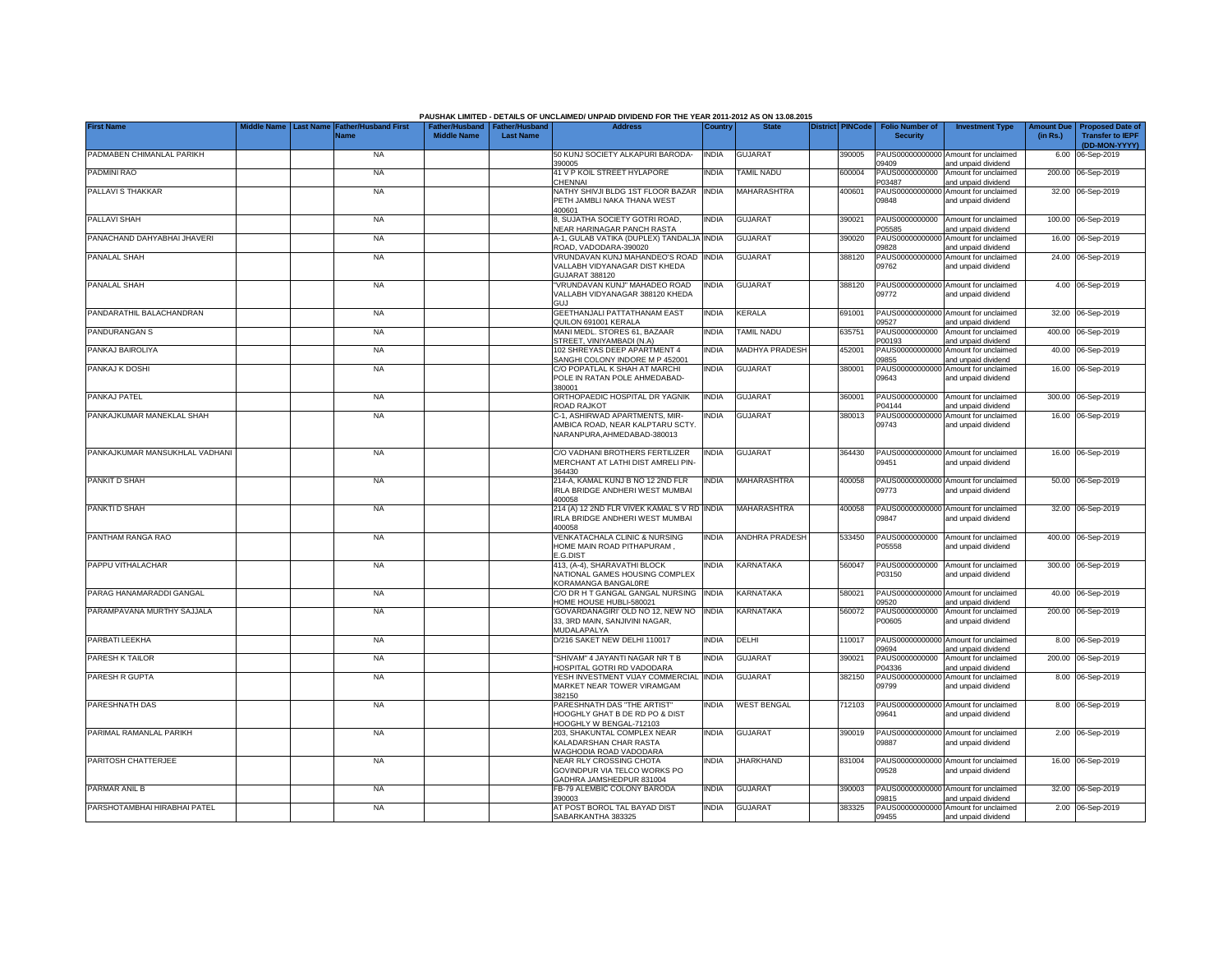|                                |                                |                                            |                                                       |                  | PAUSHAK LIMITED - DETAILS OF UNCLAIMED/ UNPAID DIVIDEND FOR THE YEAR 2011-2012 AS ON 13.08.2015<br><b>Address</b> |              |                       |                         |                                           |                                                             |                               |                                                    |
|--------------------------------|--------------------------------|--------------------------------------------|-------------------------------------------------------|------------------|-------------------------------------------------------------------------------------------------------------------|--------------|-----------------------|-------------------------|-------------------------------------------|-------------------------------------------------------------|-------------------------------|----------------------------------------------------|
| <b>First Name</b>              | <b>Last Name</b><br>iddle Name | <b>Father/Husband First</b><br><b>Name</b> | Father/Husband   Father/Husband<br><b>Middle Name</b> | <b>Last Name</b> |                                                                                                                   | Country      | <b>State</b>          | <b>District PINCode</b> | <b>Folio Number of</b><br><b>Security</b> | <b>Investment Type</b>                                      | <b>Amount Due</b><br>(in Rs.) | <b>Proposed Date of</b><br><b>Transfer to IEPF</b> |
|                                |                                |                                            |                                                       |                  |                                                                                                                   |              |                       |                         |                                           |                                                             |                               | (DD-MON-YYYY)                                      |
| PADMABEN CHIMANLAL PARIKH      |                                | <b>NA</b>                                  |                                                       |                  | 50 KUNJ SOCIETY ALKAPURI BARODA-<br>390005                                                                        | <b>INDIA</b> | <b>GUJARAT</b>        | 390005                  | 09409                                     | PAUS00000000000 Amount for unclaimed<br>and unpaid dividend |                               | 6.00 06-Sep-2019                                   |
| PADMINI RAO                    |                                | <b>NA</b>                                  |                                                       |                  | 41 V P KOIL STREET HYLAPORE<br>CHENNAI                                                                            | <b>INDIA</b> | <b>TAMIL NADU</b>     | 600004                  | PAUS0000000000<br>P03487                  | Amount for unclaimed                                        |                               | 200.00 06-Sep-2019                                 |
| PALLAVI S THAKKAR              |                                | <b>NA</b>                                  |                                                       |                  | NATHY SHIVJI BLDG 1ST FLOOR BAZAR INDIA                                                                           |              | <b>MAHARASHTRA</b>    | 400601                  |                                           | and unpaid dividend<br>PAUS00000000000 Amount for unclaimed |                               | 32.00 06-Sep-2019                                  |
|                                |                                |                                            |                                                       |                  | PETH JAMBLI NAKA THANA WEST<br>400601                                                                             |              |                       |                         | 09848                                     | and unpaid dividend                                         |                               |                                                    |
| PALLAVI SHAH                   |                                | <b>NA</b>                                  |                                                       |                  | 8, SUJATHA SOCIETY GOTRI ROAD,<br>NEAR HARINAGAR PANCH RASTA                                                      | <b>INDIA</b> | GUJARAT               | 390021                  | PAUS0000000000<br>P05585                  | Amount for unclaimed<br>and unpaid dividend                 |                               | 100.00 06-Sep-2019                                 |
| PANACHAND DAHYABHAI JHAVERI    |                                | <b>NA</b>                                  |                                                       |                  | A-1, GULAB VATIKA (DUPLEX) TANDALJA INDIA<br>ROAD, VADODARA-390020                                                |              | <b>GUJARAT</b>        | 390020                  | PAUS00000000000<br>09828                  | Amount for unclaimed<br>and unpaid dividend                 |                               | 16.00 06-Sep-2019                                  |
| <b>PANALAL SHAH</b>            |                                | <b>NA</b>                                  |                                                       |                  | VRUNDAVAN KUNJ MAHANDEO'S ROAD                                                                                    | <b>INDIA</b> | <b>GUJARAT</b>        | 388120                  | PAUS00000000000                           | Amount for unclaimed                                        |                               | 24.00 06-Sep-2019                                  |
|                                |                                |                                            |                                                       |                  | <b>/ALLABH VIDYANAGAR DIST KHEDA</b><br>GUJARAT 388120                                                            |              |                       |                         | 09762                                     | and unpaid dividend                                         |                               |                                                    |
| PANALAL SHAH                   |                                | <b>NA</b>                                  |                                                       |                  | VRUNDAVAN KUNJ" MAHADEO ROAD                                                                                      | <b>INDIA</b> | <b>GUJARAT</b>        | 388120                  |                                           | PAUS00000000000 Amount for unclaimed                        |                               | 4.00 06-Sep-2019                                   |
|                                |                                |                                            |                                                       |                  | VALLABH VIDYANAGAR 388120 KHEDA<br><b>GUJ</b>                                                                     |              |                       |                         | 09772                                     | and unpaid dividend                                         |                               |                                                    |
| PANDARATHIL BALACHANDRAN       |                                | <b>NA</b>                                  |                                                       |                  | <b>GEETHANJALI PATTATHANAM EAST</b>                                                                               | <b>INDIA</b> | <b>KERALA</b>         | 691001                  |                                           | PAUS00000000000 Amount for unclaimed                        |                               | 32.00 06-Sep-2019                                  |
| PANDURANGAN S                  |                                | <b>NA</b>                                  |                                                       |                  | QUILON 691001 KERALA<br>MANI MEDL. STORES 61, BAZAAR                                                              | <b>INDIA</b> | <b>TAMIL NADU</b>     | 635751                  | 09527<br>PAUS0000000000                   | and unpaid dividend<br>Amount for unclaimed                 |                               | 400.00 06-Sep-2019                                 |
|                                |                                |                                            |                                                       |                  | STREET, VINIYAMBADI (N.A)                                                                                         |              |                       |                         | 200193                                    | and unpaid dividend                                         |                               |                                                    |
| PANKAJ BAIROLIYA               |                                | <b>NA</b>                                  |                                                       |                  | 102 SHREYAS DEEP APARTMENT 4<br>SANGHI COLONY INDORE M P 452001                                                   | <b>INDIA</b> | MADHYA PRADESH        | 452001                  | PAUS00000000000<br>09855                  | Amount for unclaimed<br>and unpaid dividend                 |                               | 40.00 06-Sep-2019                                  |
| PANKAJ K DOSHI                 |                                | <b>NA</b>                                  |                                                       |                  | C/O POPATLAL K SHAH AT MARCHI                                                                                     | <b>INDIA</b> | <b>GUJARAT</b>        | 380001                  |                                           | PAUS00000000000 Amount for unclaimed                        |                               | 16.00 06-Sep-2019                                  |
|                                |                                |                                            |                                                       |                  | POLE IN RATAN POLE AHMEDABAD-<br>380001                                                                           |              |                       |                         | 09643                                     | and unpaid dividend                                         |                               |                                                    |
| PANKAJ PATEL                   |                                | <b>NA</b>                                  |                                                       |                  | ORTHOPAEDIC HOSPITAL DR YAGNIK<br>ROAD RAJKOT                                                                     | <b>INDIA</b> | <b>GUJARAT</b>        | 360001                  | PAUS0000000000<br>P04144                  | Amount for unclaimed<br>and unpaid dividend                 |                               | 300.00 06-Sep-2019                                 |
| PANKAJKUMAR MANEKLAL SHAH      |                                | <b>NA</b>                                  |                                                       |                  | C-1, ASHIRWAD APARTMENTS, MIR-                                                                                    | <b>INDIA</b> | <b>GUJARAT</b>        | 380013                  |                                           | PAUS00000000000 Amount for unclaimed                        |                               | 16.00 06-Sep-2019                                  |
|                                |                                |                                            |                                                       |                  | AMBICA ROAD, NEAR KALPTARU SCTY.<br>NARANPURA, AHMEDABAD-380013                                                   |              |                       |                         | 09743                                     | and unpaid dividend                                         |                               |                                                    |
| PANKAJKUMAR MANSUKHLAL VADHANI |                                | <b>NA</b>                                  |                                                       |                  | C/O VADHANI BROTHERS FERTILIZER                                                                                   | <b>INDIA</b> | <b>GUJARAT</b>        | 364430                  |                                           | PAUS00000000000 Amount for unclaimed                        |                               | 16.00 06-Sep-2019                                  |
|                                |                                |                                            |                                                       |                  | MERCHANT AT LATHI DIST AMRELI PIN-<br>364430                                                                      |              |                       |                         | 09451                                     | and unpaid dividend                                         |                               |                                                    |
| PANKIT D SHAH                  |                                | <b>NA</b>                                  |                                                       |                  | 214-A, KAMAL KUNJ B NO 12 2ND FLR                                                                                 | <b>INDIA</b> | MAHARASHTRA           | 400058                  |                                           | PAUS00000000000 Amount for unclaimed                        |                               | 50.00 06-Sep-2019                                  |
|                                |                                |                                            |                                                       |                  | IRLA BRIDGE ANDHERI WEST MUMBAI<br>400058                                                                         |              |                       |                         | 09773                                     | and unpaid dividend                                         |                               |                                                    |
| PANKTI D SHAH                  |                                | <b>NA</b>                                  |                                                       |                  | 214 (A) 12 2ND FLR VIVEK KAMAL S V RD                                                                             | <b>INDIA</b> | <b>MAHARASHTRA</b>    | 400058                  |                                           | PAUS00000000000 Amount for unclaimed                        |                               | 32.00 06-Sep-2019                                  |
|                                |                                |                                            |                                                       |                  | IRLA BRIDGE ANDHERI WEST MUMBAI<br>400058                                                                         |              |                       |                         | 09847                                     | and unpaid dividend                                         |                               |                                                    |
| PANTHAM RANGA RAO              |                                | <b>NA</b>                                  |                                                       |                  | VENKATACHALA CLINIC & NURSING                                                                                     | <b>INDIA</b> | <b>ANDHRA PRADESH</b> | 533450                  | PAUS0000000000                            | Amount for unclaimed                                        |                               | 400.00 06-Sep-2019                                 |
|                                |                                |                                            |                                                       |                  | HOME MAIN ROAD PITHAPURAM,<br>E.G.DIST                                                                            |              |                       |                         | P05558                                    | and unpaid dividend                                         |                               |                                                    |
| PAPPU VITHALACHAR              |                                | <b>NA</b>                                  |                                                       |                  | 413, (A-4), SHARAVATHI BLOCK                                                                                      | <b>INDIA</b> | <b>KARNATAKA</b>      | 560047                  | PAUS0000000000                            | Amount for unclaimed                                        |                               | 300.00 06-Sep-2019                                 |
|                                |                                |                                            |                                                       |                  | NATIONAL GAMES HOUSING COMPLEX<br>KORAMANGA BANGALORE                                                             |              |                       |                         | P03150                                    | and unpaid dividend                                         |                               |                                                    |
| PARAG HANAMARADDI GANGAL       |                                | <b>NA</b>                                  |                                                       |                  | C/O DR H T GANGAL GANGAL NURSING<br>HOME HOUSE HUBLI-580021                                                       | <b>INDIA</b> | KARNATAKA             | 580021                  | 09520                                     | PAUS00000000000 Amount for unclaimed<br>and unpaid dividend |                               | 40.00 06-Sep-2019                                  |
| PARAMPAVANA MURTHY SAJJALA     |                                | <b>NA</b>                                  |                                                       |                  | 'GOVARDANAGIRI' OLD NO 12, NEW NO                                                                                 | <b>INDIA</b> | KARNATAKA             | 560072                  | PAUS0000000000                            | Amount for unclaimed                                        |                               | 200.00 06-Sep-2019                                 |
|                                |                                |                                            |                                                       |                  | 33, 3RD MAIN, SANJIVINI NAGAR,<br>MUDALAPALYA                                                                     |              |                       |                         | P00605                                    | and unpaid dividend                                         |                               |                                                    |
| PARBATI LEEKHA                 |                                | <b>NA</b>                                  |                                                       |                  | D/216 SAKET NEW DELHI 110017                                                                                      | <b>INDIA</b> | DELHI                 | 110017                  | PAUS00000000000<br>09694                  | Amount for unclaimed<br>and unpaid dividend                 |                               | 8.00 06-Sep-2019                                   |
| PARESH K TAILOR                |                                | <b>NA</b>                                  |                                                       |                  | "SHIVAM" 4 JAYANTI NAGAR NR T B<br>HOSPITAL GOTRI RD VADODARA                                                     | <b>INDIA</b> | <b>GUJARAT</b>        | 390021                  | PAUS0000000000<br>P04336                  | Amount for unclaimed<br>and unpaid dividend                 |                               | 200.00 06-Sep-2019                                 |
| PARESH R GUPTA                 |                                | <b>NA</b>                                  |                                                       |                  | YESH INVESTMENT VIJAY COMMERCIAL                                                                                  | <b>INDIA</b> | <b>GUJARAT</b>        | 382150                  | PAUS00000000000                           | Amount for unclaimed                                        |                               | 8.00 06-Sep-2019                                   |
|                                |                                |                                            |                                                       |                  | MARKET NEAR TOWER VIRAMGAM<br>382150                                                                              |              |                       |                         | 09799                                     | and unpaid dividend                                         |                               |                                                    |
| PARESHNATH DAS                 |                                | <b>NA</b>                                  |                                                       |                  | PARESHNATH DAS "THE ARTIST"                                                                                       | <b>INDIA</b> | <b>WEST BENGAL</b>    | 712103                  |                                           | PAUS00000000000 Amount for unclaimed                        |                               | 8.00 06-Sep-2019                                   |
|                                |                                |                                            |                                                       |                  | HOOGHLY GHAT B DE RD PO & DIST<br>HOOGHLY W BENGAL-712103                                                         |              |                       |                         | 09641                                     | and unpaid dividend                                         |                               |                                                    |
| PARIMAL RAMANLAL PARIKH        |                                | <b>NA</b>                                  |                                                       |                  | 203, SHAKUNTAL COMPLEX NEAR                                                                                       | <b>INDIA</b> | <b>GUJARAT</b>        | 390019                  |                                           | PAUS00000000000 Amount for unclaimed                        |                               | 2.00 06-Sep-2019                                   |
|                                |                                |                                            |                                                       |                  | KALADARSHAN CHAR RASTA<br>WAGHODIA ROAD VADODARA                                                                  |              |                       |                         | 09887                                     | and unpaid dividend                                         |                               |                                                    |
| PARITOSH CHATTERJEE            |                                | <b>NA</b>                                  |                                                       |                  | NEAR RLY CROSSING CHOTA                                                                                           | <b>INDIA</b> | <b>JHARKHAND</b>      | 831004                  |                                           | PAUS00000000000 Amount for unclaimed                        |                               | 16.00 06-Sep-2019                                  |
|                                |                                |                                            |                                                       |                  | GOVINDPUR VIA TELCO WORKS PO                                                                                      |              |                       |                         | 09528                                     | and unpaid dividend                                         |                               |                                                    |
| PARMAR ANIL B                  |                                | <b>NA</b>                                  |                                                       |                  | GADHRA JAMSHEDPUR 831004<br>FB-79 ALEMBIC COLONY BARODA                                                           | <b>INDIA</b> | <b>GUJARAT</b>        | 390003                  |                                           | PAUS00000000000 Amount for unclaimed                        |                               | 32.00 06-Sep-2019                                  |
|                                |                                |                                            |                                                       |                  | 390003                                                                                                            |              |                       |                         | 09815                                     | and unpaid dividend                                         |                               |                                                    |
| PARSHOTAMBHAI HIRABHAI PATEL   |                                | <b>NA</b>                                  |                                                       |                  | AT POST BOROL TAL BAYAD DIST                                                                                      | <b>INDIA</b> | <b>GUJARAT</b>        | 383325                  |                                           | PAUS00000000000 Amount for unclaimed                        |                               | 2.00 06-Sep-2019                                   |
|                                |                                |                                            |                                                       |                  | SABARKANTHA 383325                                                                                                |              |                       |                         | 09455                                     | and unpaid dividend                                         |                               |                                                    |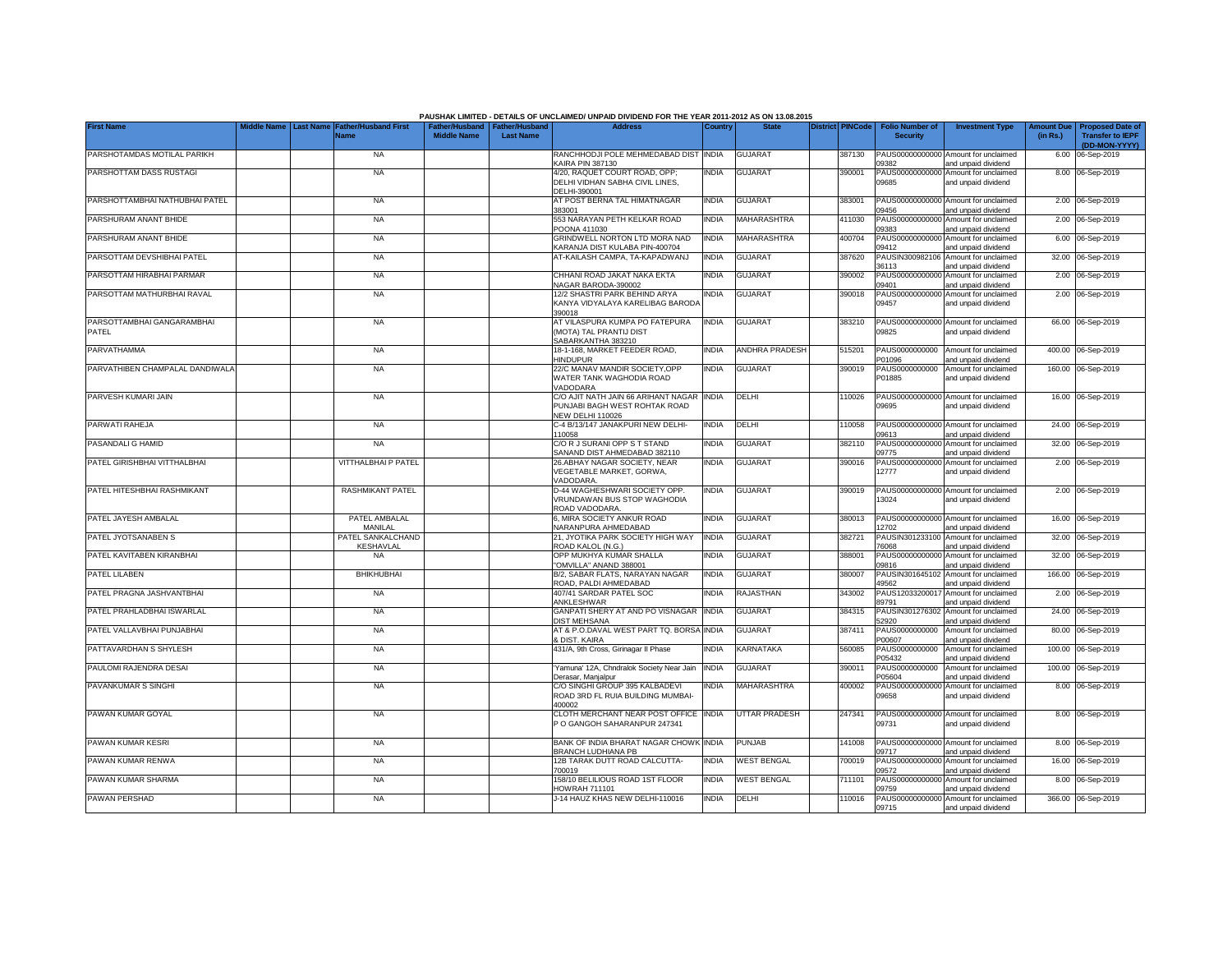|                                     |                                 |                                     |                    |                                                     | PAUSHAK LIMITED - DETAILS OF UNCLAIMED/ UNPAID DIVIDEND FOR THE YEAR 2011-2012 AS ON 13.08.2015 |              |                       |                         |                                           |                                                             |          |                                                                         |
|-------------------------------------|---------------------------------|-------------------------------------|--------------------|-----------------------------------------------------|-------------------------------------------------------------------------------------------------|--------------|-----------------------|-------------------------|-------------------------------------------|-------------------------------------------------------------|----------|-------------------------------------------------------------------------|
| <b>First Name</b>                   | <b>Last Name</b><br>liddle Name | <b>Father/Husband First</b><br>Name | <b>Middle Name</b> | Father/Husband   Father/Husband<br><b>Last Name</b> | <b>Address</b>                                                                                  | Country      | <b>State</b>          | <b>District PINCode</b> | <b>Folio Number of</b><br><b>Security</b> | <b>Investment Type</b>                                      | (in Rs.) | Amount Due Proposed Date of<br><b>Transfer to IEPF</b><br>(DD-MON-YYYY) |
| PARSHOTAMDAS MOTILAL PARIKH         |                                 | <b>NA</b>                           |                    |                                                     | RANCHHODJI POLE MEHMEDABAD DIST<br><b>KAIRA PIN 387130</b>                                      | <b>INDIA</b> | <b>GUJARAT</b>        | 387130                  | 09382                                     | PAUS00000000000 Amount for unclaimed<br>and unpaid dividend |          | 6.00 06-Sep-2019                                                        |
| PARSHOTTAM DASS RUSTAGI             |                                 | <b>NA</b>                           |                    |                                                     | 4/20, RAQUET COURT ROAD, OPP:<br>DELHI VIDHAN SABHA CIVIL LINES.<br>DELHI-390001                | <b>INDIA</b> | <b>GUJARAT</b>        | 390001                  | PAUS00000000000<br>09685                  | Amount for unclaimed<br>and unpaid dividend                 |          | 8.00 06-Sep-2019                                                        |
| PARSHOTTAMBHAI NATHUBHAI PATEL      |                                 | <b>NA</b>                           |                    |                                                     | AT POST BERNA TAL HIMATNAGAR<br>383001                                                          | <b>INDIA</b> | <b>GUJARAT</b>        | 383001                  | 09456                                     | PAUS00000000000 Amount for unclaimed<br>and unpaid dividend |          | 2.00 06-Sep-2019                                                        |
| PARSHURAM ANANT BHIDE               |                                 | <b>NA</b>                           |                    |                                                     | 553 NARAYAN PETH KELKAR ROAD<br>POONA 411030                                                    | <b>INDIA</b> | <b>MAHARASHTRA</b>    | 411030                  | PAUS00000000000<br>09383                  | Amount for unclaimed<br>and unpaid dividend                 |          | 2.00 06-Sep-2019                                                        |
| PARSHURAM ANANT BHIDE               |                                 | <b>NA</b>                           |                    |                                                     | GRINDWELL NORTON LTD MORA NAD<br>KARANJA DIST KULABA PIN-400704                                 | <b>INDIA</b> | MAHARASHTRA           | 400704                  | PAUS00000000000<br>09412                  | Amount for unclaimed<br>and unpaid dividend                 |          | 6.00 06-Sep-2019                                                        |
| PARSOTTAM DEVSHIBHAI PATEL          |                                 | <b>NA</b>                           |                    |                                                     | AT-KAILASH CAMPA, TA-KAPADWANJ                                                                  | <b>INDIA</b> | <b>GUJARAT</b>        | 387620                  | PAUSIN300982106<br>36113                  | Amount for unclaimed<br>and unpaid dividend                 |          | 32.00 06-Sep-2019                                                       |
| PARSOTTAM HIRABHAI PARMAR           |                                 | <b>NA</b>                           |                    |                                                     | CHHANI ROAD JAKAT NAKA EKTA<br>NAGAR BARODA-390002                                              | <b>INDIA</b> | <b>GUJARAT</b>        | 390002                  | 09401                                     | PAUS00000000000 Amount for unclaimed<br>and unpaid dividend |          | 2.00 06-Sep-2019                                                        |
| PARSOTTAM MATHURBHAI RAVAL          |                                 | <b>NA</b>                           |                    |                                                     | 12/2 SHASTRI PARK BEHIND ARYA<br>KANYA VIDYALAYA KARELIBAG BARODA<br>390018                     | <b>INDIA</b> | <b>GUJARAT</b>        | 390018                  | 09457                                     | PAUS00000000000 Amount for unclaimed<br>and unpaid dividend |          | 2.00 06-Sep-2019                                                        |
| PARSOTTAMBHAI GANGARAMBHAI<br>PATEL |                                 | <b>NA</b>                           |                    |                                                     | AT VILASPURA KUMPA PO FATEPURA<br>(MOTA) TAL PRANTIJ DIST                                       | <b>INDIA</b> | <b>GUJARAT</b>        | 383210                  | 09825                                     | PAUS00000000000 Amount for unclaimed<br>and unpaid dividend |          | 66.00 06-Sep-2019                                                       |
| PARVATHAMMA                         |                                 | <b>NA</b>                           |                    |                                                     | SABARKANTHA 383210<br>18-1-168, MARKET FEEDER ROAD,                                             | <b>INDIA</b> | <b>ANDHRA PRADESH</b> | 515201                  |                                           | PAUS0000000000 Amount for unclaimed                         |          | 400.00 06-Sep-2019                                                      |
| PARVATHIBEN CHAMPALAL DANDIWALA     |                                 | <b>NA</b>                           |                    |                                                     | <b>HINDUPUR</b><br>22/C MANAV MANDIR SOCIETY, OPP                                               | <b>INDIA</b> | <b>GUJARAT</b>        | 390019                  | P01096<br>PAUS0000000000                  | and unpaid dividend<br>Amount for unclaimed                 |          | 160.00 06-Sep-2019                                                      |
|                                     |                                 |                                     |                    |                                                     | WATER TANK WAGHODIA ROAD<br>VADODARA                                                            |              |                       |                         | P01885                                    | and unpaid dividend                                         |          |                                                                         |
| PARVESH KUMARI JAIN                 |                                 | <b>NA</b>                           |                    |                                                     | C/O AJIT NATH JAIN 66 ARIHANT NAGAR<br>PUNJABI BAGH WEST ROHTAK ROAD<br>NEW DELHI 110026        | <b>INDIA</b> | DELHI                 | 110026                  | 09695                                     | PAUS00000000000 Amount for unclaimed<br>and unpaid dividend |          | 16.00 06-Sep-2019                                                       |
| PARWATI RAHEJA                      |                                 | <b>NA</b>                           |                    |                                                     | C-4 B/13/147 JANAKPURI NEW DELHI-<br>110058                                                     | <b>INDIA</b> | DELHI                 | 110058                  | 09613                                     | PAUS00000000000 Amount for unclaimed<br>and unpaid dividend |          | 24.00 06-Sep-2019                                                       |
| PASANDALI G HAMID                   |                                 | <b>NA</b>                           |                    |                                                     | C/O R J SURANI OPP S T STAND<br>SANAND DIST AHMEDABAD 382110                                    | <b>INDIA</b> | <b>GUJARAT</b>        | 382110                  | 09775                                     | PAUS00000000000 Amount for unclaimed<br>and unpaid dividend |          | 32.00 06-Sep-2019                                                       |
| PATEL GIRISHBHAI VITTHALBHAI        |                                 | <b>VITTHALBHAI P PATEL</b>          |                    |                                                     | 26.ABHAY NAGAR SOCIETY, NEAR<br>VEGETABLE MARKET, GORWA,<br>VADODARA.                           | <b>INDIA</b> | <b>GUJARAT</b>        | 390016                  | 12777                                     | PAUS00000000000 Amount for unclaimed<br>and unpaid dividend |          | 2.00 06-Sep-2019                                                        |
| PATEL HITESHBHAI RASHMIKANT         |                                 | <b>RASHMIKANT PATEL</b>             |                    |                                                     | D-44 WAGHESHWARI SOCIETY OPP.<br>VRUNDAWAN BUS STOP WAGHODIA<br>ROAD VADODARA.                  | <b>INDIA</b> | <b>GUJARAT</b>        | 390019                  | 13024                                     | PAUS00000000000 Amount for unclaimed<br>and unpaid dividend |          | 2.00 06-Sep-2019                                                        |
| PATEL JAYESH AMBALAL                |                                 | PATEL AMBALAL<br>MANILAL            |                    |                                                     | 6, MIRA SOCIETY ANKUR ROAD<br>NARANPURA AHMEDABAD                                               | <b>INDIA</b> | <b>GUJARAT</b>        | 380013                  | 12702                                     | PAUS00000000000 Amount for unclaimed<br>and unpaid dividend |          | 16.00 06-Sep-2019                                                       |
| PATEL JYOTSANABEN S                 |                                 | PATEL SANKALCHAND<br>KESHAVLAL      |                    |                                                     | 21, JYOTIKA PARK SOCIETY HIGH WAY<br>ROAD KALOL (N.G.)                                          | <b>INDIA</b> | <b>GUJARAT</b>        | 382721                  | 76068                                     | PAUSIN301233100 Amount for unclaimed<br>and unpaid dividend |          | 32.00 06-Sep-2019                                                       |
| PATEL KAVITABEN KIRANBHAI           |                                 | NA                                  |                    |                                                     | OPP MUKHYA KUMAR SHALLA<br>"OMVILLA" ANAND 388001                                               | <b>INDIA</b> | <b>GUJARAT</b>        | 388001                  | 09816                                     | PAUS00000000000 Amount for unclaimed<br>and unpaid dividend |          | 32.00 06-Sep-2019                                                       |
| PATEL LILABEN                       |                                 | <b>BHIKHUBHAI</b>                   |                    |                                                     | B/2, SABAR FLATS, NARAYAN NAGAR<br>ROAD, PALDI AHMEDABAD                                        | <b>INDIA</b> | <b>GUJARAT</b>        | 380007                  | 49562                                     | PAUSIN301645102 Amount for unclaimed<br>and unpaid dividend |          | 166.00 06-Sep-2019                                                      |
| PATEL PRAGNA JASHVANTBHAI           |                                 | <b>NA</b>                           |                    |                                                     | 407/41 SARDAR PATEL SOC<br>ANKLESHWAR                                                           | <b>INDIA</b> | RAJASTHAN             | 343002                  | PAUS12033200017<br>89791                  | Amount for unclaimed<br>and unpaid dividend                 |          | 2.00 06-Sep-2019                                                        |
| PATEL PRAHLADBHAI ISWARLAL          |                                 | <b>NA</b>                           |                    |                                                     | GANPATI SHERY AT AND PO VISNAGAR<br><b>DIST MEHSANA</b>                                         | <b>INDIA</b> | <b>GUJARAT</b>        | 384315                  | 52920                                     | PAUSIN301276302 Amount for unclaimed<br>and unpaid dividend |          | 24.00 06-Sep-2019                                                       |
| PATEL VALLAVBHAI PUNJABHAI          |                                 | <b>NA</b>                           |                    |                                                     | AT & P.O.DAVAL WEST PART TQ. BORSA INDIA<br>& DIST, KAIRA                                       |              | <b>GUJARAT</b>        | 387411                  | PAUS0000000000<br>P00607                  | Amount for unclaimed<br>and unpaid dividend                 |          | 80.00 06-Sep-2019                                                       |
| PATTAVARDHAN S SHYLESH              |                                 | <b>NA</b>                           |                    |                                                     | 431/A, 9th Cross, Girinagar II Phase                                                            | <b>INDIA</b> | <b>KARNATAKA</b>      | 560085                  | PAUS0000000000<br>P05432                  | Amount for unclaimed<br>and unpaid dividend                 |          | 100.00 06-Sep-2019                                                      |
| PAULOMI RAJENDRA DESAI              |                                 | <b>NA</b>                           |                    |                                                     | Yamuna' 12A, Chndralok Society Near Jain<br>Derasar, Manjalpur                                  | <b>INDIA</b> | <b>GUJARAT</b>        | 390011                  | PAUS0000000000<br>205604                  | Amount for unclaimed<br>and unpaid dividend                 |          | 100.00 06-Sep-2019                                                      |
| PAVANKUMAR S SINGHI                 |                                 | <b>NA</b>                           |                    |                                                     | C/O SINGHI GROUP 395 KALBADEVI<br>ROAD 3RD FL RUIA BUILDING MUMBAI-<br>400002                   | <b>INDIA</b> | MAHARASHTRA           | 400002                  | 09658                                     | PAUS00000000000 Amount for unclaimed<br>and unpaid dividend |          | 8.00 06-Sep-2019                                                        |
| PAWAN KUMAR GOYAL                   |                                 | <b>NA</b>                           |                    |                                                     | CLOTH MERCHANT NEAR POST OFFICE INDIA<br>P O GANGOH SAHARANPUR 247341                           |              | <b>UTTAR PRADESH</b>  | 247341                  | 09731                                     | PAUS00000000000 Amount for unclaimed<br>and unpaid dividend |          | 8.00 06-Sep-2019                                                        |
| PAWAN KUMAR KESRI                   |                                 | <b>NA</b>                           |                    |                                                     | BANK OF INDIA BHARAT NAGAR CHOWK INDIA<br>BRANCH LUDHIANA PB                                    |              | <b>PUNJAB</b>         | 141008                  | 09717                                     | PAUS00000000000 Amount for unclaimed<br>and unpaid dividend |          | 8.00 06-Sep-2019                                                        |
| PAWAN KUMAR RENWA                   |                                 | <b>NA</b>                           |                    |                                                     | 12B TARAK DUTT ROAD CALCUTTA-<br>700019                                                         | <b>INDIA</b> | <b>WEST BENGAL</b>    | 700019                  | 09572                                     | PAUS00000000000 Amount for unclaimed<br>and unpaid dividend |          | 16.00 06-Sep-2019                                                       |
| PAWAN KUMAR SHARMA                  |                                 | <b>NA</b>                           |                    |                                                     | 158/10 BELILIOUS ROAD 1ST FLOOR<br><b>OWRAH 711101</b>                                          | <b>INDIA</b> | <b>WEST BENGAL</b>    | 711101                  | PAUS00000000000<br>09759                  | Amount for unclaimed<br>and unpaid dividend                 |          | 8.00 06-Sep-2019                                                        |
| PAWAN PERSHAD                       |                                 | <b>NA</b>                           |                    |                                                     | J-14 HAUZ KHAS NEW DELHI-110016                                                                 | <b>INDIA</b> | DELHI                 | 110016                  | 09715                                     | PAUS00000000000 Amount for unclaimed<br>and unpaid dividend |          | 366.00 06-Sep-2019                                                      |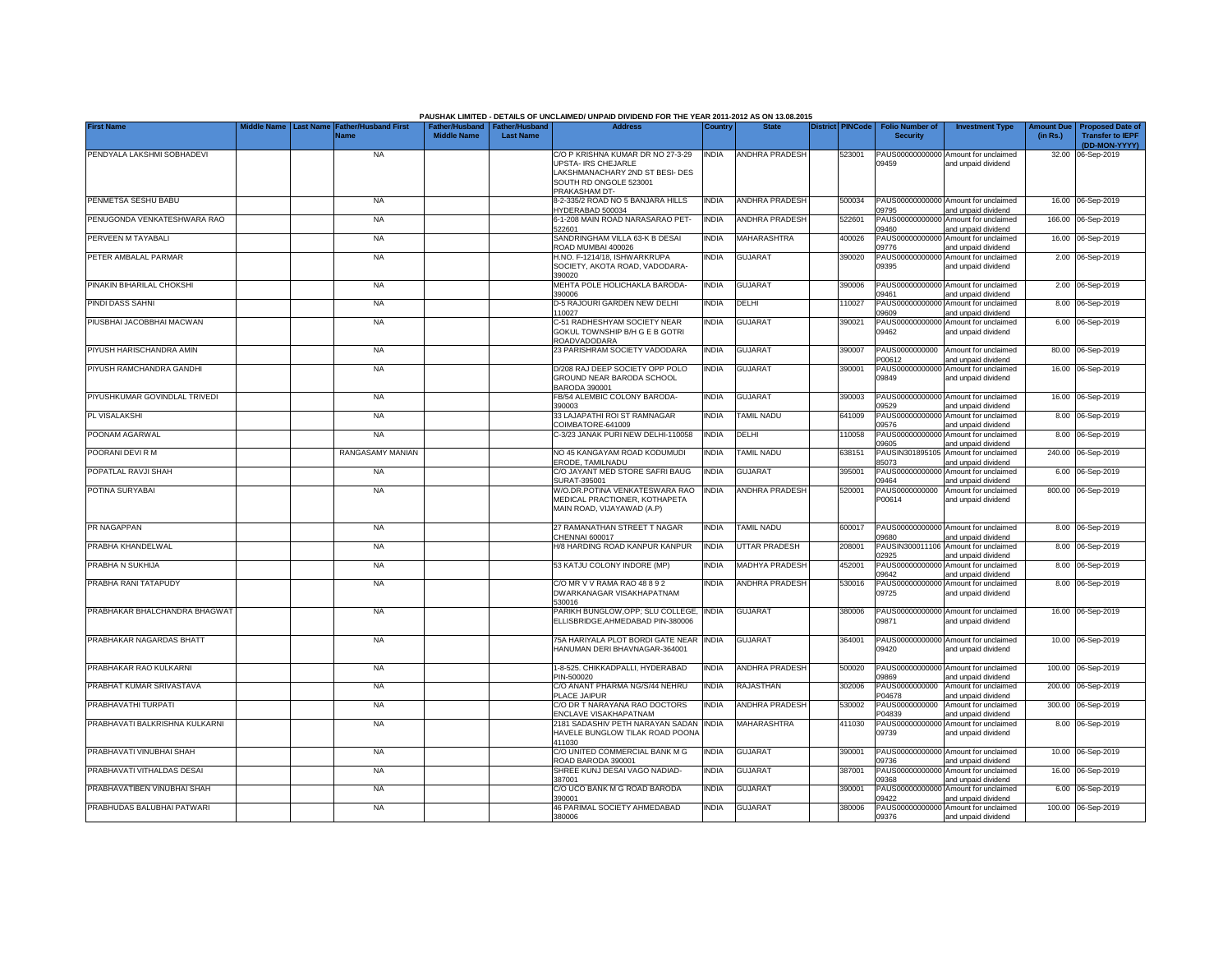|                                |  |                                                               |                                                       |                  | PAUSHAK LIMITED - DETAILS OF UNCLAIMED/ UNPAID DIVIDEND FOR THE YEAR 2011-2012 AS ON 13.08.2015                                        |              |                       |                         |                                           |                                                             |          |                                                                           |
|--------------------------------|--|---------------------------------------------------------------|-------------------------------------------------------|------------------|----------------------------------------------------------------------------------------------------------------------------------------|--------------|-----------------------|-------------------------|-------------------------------------------|-------------------------------------------------------------|----------|---------------------------------------------------------------------------|
| <b>First Name</b>              |  | Middle Name   Last Name   Father/Husband First<br><b>Name</b> | Father/Husband   Father/Husband<br><b>Middle Name</b> | <b>Last Name</b> | <b>Address</b>                                                                                                                         | Country      | <b>State</b>          | <b>District PINCode</b> | <b>Folio Number of</b><br><b>Security</b> | <b>Investment Type</b>                                      | (in Rs.) | Amount Due   Proposed Date of<br><b>Transfer to IEPF</b><br>(DD-MON-YYYY) |
| PENDYALA LAKSHMI SOBHADEVI     |  | <b>NA</b>                                                     |                                                       |                  | C/O P KRISHNA KUMAR DR NO 27-3-29<br>UPSTA- IRS CHEJARLE<br>LAKSHMANACHARY 2ND ST BESI- DES<br>SOUTH RD ONGOLE 523001<br>PRAKASHAM DT- | <b>INDIA</b> | <b>ANDHRA PRADESH</b> | 523001                  | 09459                                     | PAUS00000000000 Amount for unclaimed<br>and unpaid dividend |          | 32.00 06-Sep-2019                                                         |
| PENMETSA SESHU BABU            |  | <b>NA</b>                                                     |                                                       |                  | 8-2-335/2 ROAD NO 5 BANJARA HILLS<br><b>IYDERABAD 500034</b>                                                                           | <b>INDIA</b> | ANDHRA PRADESH        | 500034                  | 09795                                     | PAUS00000000000 Amount for unclaimed<br>and unpaid dividend |          | 16.00 06-Sep-2019                                                         |
| PENUGONDA VENKATESHWARA RAO    |  | <b>NA</b>                                                     |                                                       |                  | 6-1-208 MAIN ROAD NARASARAO PET-<br>522601                                                                                             | <b>INDIA</b> | ANDHRA PRADESH        | 522601                  | PAUS00000000000<br>09460                  | Amount for unclaimed<br>and unpaid dividend                 |          | 166.00 06-Sep-2019                                                        |
| PERVEEN M TAYABALI             |  | <b>NA</b>                                                     |                                                       |                  | SANDRINGHAM VILLA 63-K B DESAI<br>ROAD MUMBAI 400026                                                                                   | <b>INDIA</b> | MAHARASHTRA           | 400026                  | PAUS00000000000<br>09776                  | Amount for unclaimed<br>and unpaid dividend                 |          | 16.00 06-Sep-2019                                                         |
| PETER AMBALAL PARMAR           |  | <b>NA</b>                                                     |                                                       |                  | H.NO. F-1214/18, ISHWARKRUPA<br>SOCIETY, AKOTA ROAD, VADODARA-<br>390020                                                               | India        | <b>GUJARAT</b>        | 390020                  | PAUS0000000000<br>09395                   | Amount for unclaimed<br>and unpaid dividend                 |          | 2.00 06-Sep-2019                                                          |
| PINAKIN BIHARILAL CHOKSHI      |  | <b>NA</b>                                                     |                                                       |                  | MEHTA POLE HOLICHAKLA BARODA-<br>390006                                                                                                | <b>INDIA</b> | <b>GUJARAT</b>        | 390006                  | PAUS00000000000<br>19461                  | Amount for unclaimed<br>and unpaid dividend                 |          | 2.00 06-Sep-2019                                                          |
| PINDI DASS SAHNI               |  | <b>NA</b>                                                     |                                                       |                  | D-5 RAJOURI GARDEN NEW DELHI<br>10027                                                                                                  | <b>INDIA</b> | DELHI                 | 110027                  | PAUS0000000000<br>9609                    | Amount for unclaimed<br>and unpaid dividend                 |          | 8.00 06-Sep-2019                                                          |
| PIUSBHAI JACOBBHAI MACWAN      |  | <b>NA</b>                                                     |                                                       |                  | C-51 RADHESHYAM SOCIETY NEAR<br>GOKUL TOWNSHIP B/H G E B GOTRI<br>ROADVADODARA                                                         | <b>INDIA</b> | <b>GUJARAT</b>        | 390021                  | PAUS00000000000<br>09462                  | Amount for unclaimed<br>and unpaid dividend                 |          | 6.00 06-Sep-2019                                                          |
| PIYUSH HARISCHANDRA AMIN       |  | <b>NA</b>                                                     |                                                       |                  | 23 PARISHRAM SOCIETY VADODARA                                                                                                          | <b>INDIA</b> | <b>GUJARAT</b>        | 390007                  | PAUS0000000000<br>200612                  | Amount for unclaimed<br>and unpaid dividend                 |          | 80.00 06-Sep-2019                                                         |
| PIYUSH RAMCHANDRA GANDHI       |  | <b>NA</b>                                                     |                                                       |                  | D/208 RAJ DEEP SOCIETY OPP POLO<br>GROUND NEAR BARODA SCHOOL<br>BARODA 390001                                                          | <b>INDIA</b> | <b>GUJARAT</b>        | 390001                  | PAUS00000000000<br>09849                  | Amount for unclaimed<br>and unpaid dividend                 |          | 16.00 06-Sep-2019                                                         |
| PIYUSHKUMAR GOVINDLAL TRIVEDI  |  | <b>NA</b>                                                     |                                                       |                  | B/54 ALEMBIC COLONY BARODA-<br>390003                                                                                                  | <b>INDIA</b> | <b>GUJARAT</b>        | 390003                  | 09529                                     | PAUS00000000000 Amount for unclaimed<br>and unpaid dividend |          | 16.00 06-Sep-2019                                                         |
| PL VISALAKSHI                  |  | <b>NA</b>                                                     |                                                       |                  | 33 LAJAPATHI ROI ST RAMNAGAR<br>COIMBATORE-641009                                                                                      | <b>INDIA</b> | <b>TAMIL NADU</b>     | 641009                  | PAUS00000000000<br>09576                  | Amount for unclaimed<br>and unpaid dividend                 |          | 8.00 06-Sep-2019                                                          |
| POONAM AGARWAL                 |  | <b>NA</b>                                                     |                                                       |                  | C-3/23 JANAK PURI NEW DELHI-110058                                                                                                     | <b>INDIA</b> | DELHI                 | 110058                  | PAUS00000000000<br>09605                  | Amount for unclaimed<br>and unpaid dividend                 |          | 8.00 06-Sep-2019                                                          |
| POORANI DEVI R M               |  | RANGASAMY MANIAN                                              |                                                       |                  | NO 45 KANGAYAM ROAD KODUMUDI<br>ERODE, TAMILNADU                                                                                       | <b>INDIA</b> | <b>TAMIL NADU</b>     | 638151                  | PAUSIN301895105<br>85073                  | Amount for unclaimed<br>and unpaid dividend                 |          | 240.00 06-Sep-2019                                                        |
| POPATLAL RAVJI SHAH            |  | <b>NA</b>                                                     |                                                       |                  | C/O JAYANT MED STORE SAFRI BAUG<br>SURAT-395001                                                                                        | <b>INDIA</b> | <b>GUJARAT</b>        | 395001                  | 09464                                     | PAUS00000000000 Amount for unclaimed<br>and unpaid dividend |          | 6.00 06-Sep-2019                                                          |
| POTINA SURYABAI                |  | <b>NA</b>                                                     |                                                       |                  | W/O.DR.POTINA VENKATESWARA RAO<br>MEDICAL PRACTIONER, KOTHAPETA<br>MAIN ROAD, VIJAYAWAD (A.P)                                          | <b>INDIA</b> | <b>ANDHRA PRADESH</b> | 520001                  | PAUS0000000000<br>P00614                  | Amount for unclaimed<br>and unpaid dividend                 |          | 800.00 06-Sep-2019                                                        |
| PR NAGAPPAN                    |  | <b>NA</b>                                                     |                                                       |                  | 27 RAMANATHAN STREET T NAGAR<br>CHENNAI 600017                                                                                         | <b>INDIA</b> | TAMIL NADU            | 600017                  | 09680                                     | PAUS00000000000 Amount for unclaimed<br>and unpaid dividend |          | 8.00 06-Sep-2019                                                          |
| PRABHA KHANDELWAL              |  | <b>NA</b>                                                     |                                                       |                  | H/8 HARDING ROAD KANPUR KANPUR                                                                                                         | INDIA        | UTTAR PRADESH         | 208001                  | PAUSIN30001110<br>02925                   | Amount for unclaimed<br>and unpaid dividend                 | 8.00     | 06-Sep-2019                                                               |
| PRABHA N SUKHIJA               |  | <b>NA</b>                                                     |                                                       |                  | 53 KATJU COLONY INDORE (MP)                                                                                                            | <b>INDIA</b> | MADHYA PRADESH        | 452001                  | PAUS0000000000<br>09642                   | Amount for unclaimed<br>and unpaid dividend                 |          | 8.00 06-Sep-2019                                                          |
| PRABHA RANI TATAPUDY           |  | <b>NA</b>                                                     |                                                       |                  | C/O MR V V RAMA RAO 48 8 9 2<br>DWARKANAGAR VISAKHAPATNAM<br>530016                                                                    | <b>INDIA</b> | ANDHRA PRADESH        | 530016                  | PAUS0000000000<br>09725                   | Amount for unclaimed<br>and unpaid dividend                 |          | 8.00 06-Sep-2019                                                          |
| PRABHAKAR BHALCHANDRA BHAGWAT  |  | <b>NA</b>                                                     |                                                       |                  | PARIKH BUNGLOW, OPP; SLU COLLEGE,<br>ELLISBRIDGE.AHMEDABAD PIN-380006                                                                  | <b>INDIA</b> | <b>GUJARAT</b>        | 380006                  | 09871                                     | PAUS00000000000 Amount for unclaimed<br>and unpaid dividend |          | 16.00 06-Sep-2019                                                         |
| PRABHAKAR NAGARDAS BHATT       |  | <b>NA</b>                                                     |                                                       |                  | 75A HARIYALA PLOT BORDI GATE NEAR<br>HANUMAN DERI BHAVNAGAR-364001                                                                     | <b>INDIA</b> | <b>GUJARAT</b>        | 364001                  | 09420                                     | PAUS00000000000 Amount for unclaimed<br>and unpaid dividend |          | 10.00 06-Sep-2019                                                         |
| PRABHAKAR RAO KULKARNI         |  | <b>NA</b>                                                     |                                                       |                  | 1-8-525. CHIKKADPALLI, HYDERABAD<br>PIN-500020                                                                                         | <b>INDIA</b> | <b>ANDHRA PRADESH</b> | 500020                  | 9869                                      | PAUS00000000000 Amount for unclaimed<br>and unpaid dividend |          | 100.00 06-Sep-2019                                                        |
| PRABHAT KUMAR SRIVASTAVA       |  | <b>NA</b>                                                     |                                                       |                  | C/O ANANT PHARMA NG/S/44 NEHRU<br>PLACE JAIPUR                                                                                         | <b>INDIA</b> | RAJASTHAN             | 302006                  | PAUS0000000000<br>P04678                  | Amount for unclaimed<br>and unpaid dividend                 |          | 200.00 06-Sep-2019                                                        |
| PRABHAVATHI TURPATI            |  | <b>NA</b>                                                     |                                                       |                  | C/O DR T NARAYANA RAO DOCTORS<br>ENCLAVE VISAKHAPATNAM                                                                                 | <b>INDIA</b> | ANDHRA PRADESH        | 530002                  | PAUS0000000000<br>204839                  | Amount for unclaimed<br>and unpaid dividend                 |          | 300.00 06-Sep-2019                                                        |
| PRABHAVATI BALKRISHNA KULKARNI |  | <b>NA</b>                                                     |                                                       |                  | 2181 SADASHIV PETH NARAYAN SADAN<br>HAVELE BUNGLOW TILAK ROAD POONA<br>411030                                                          | <b>INDIA</b> | MAHARASHTRA           | 411030                  | PAUS00000000000<br>09739                  | Amount for unclaimed<br>and unpaid dividend                 |          | 8.00 06-Sep-2019                                                          |
| PRABHAVATI VINUBHAI SHAH       |  | <b>NA</b>                                                     |                                                       |                  | C/O UNITED COMMERCIAL BANK M G<br>ROAD BARODA 390001                                                                                   | <b>INDIA</b> | <b>GUJARAT</b>        | 390001                  | 09736                                     | PAUS00000000000 Amount for unclaimed<br>and unpaid dividend |          | 10.00 06-Sep-2019                                                         |
| PRABHAVATI VITHALDAS DESAI     |  | <b>NA</b>                                                     |                                                       |                  | SHREE KUNJ DESAI VAGO NADIAD-<br>387001                                                                                                | <b>INDIA</b> | <b>GUJARAT</b>        | 387001                  | 09368                                     | PAUS00000000000 Amount for unclaimed<br>and unpaid dividend |          | 16.00 06-Sep-2019                                                         |
| PRABHAVATIBEN VINUBHAI SHAH    |  | <b>NA</b>                                                     |                                                       |                  | C/O UCO BANK M G ROAD BARODA<br>390001                                                                                                 | <b>INDIA</b> | GUJARAT               | 390001                  | 09422                                     | PAUS00000000000 Amount for unclaimed<br>and unpaid dividend |          | 6.00 06-Sep-2019                                                          |
| PRABHUDAS BALUBHAI PATWARI     |  | <b>NA</b>                                                     |                                                       |                  | 46 PARIMAL SOCIETY AHMEDABAD<br>380006                                                                                                 | <b>INDIA</b> | <b>GUJARAT</b>        | 380006                  | 09376                                     | PAUS00000000000 Amount for unclaimed<br>and unpaid dividend |          | 100.00 06-Sep-2019                                                        |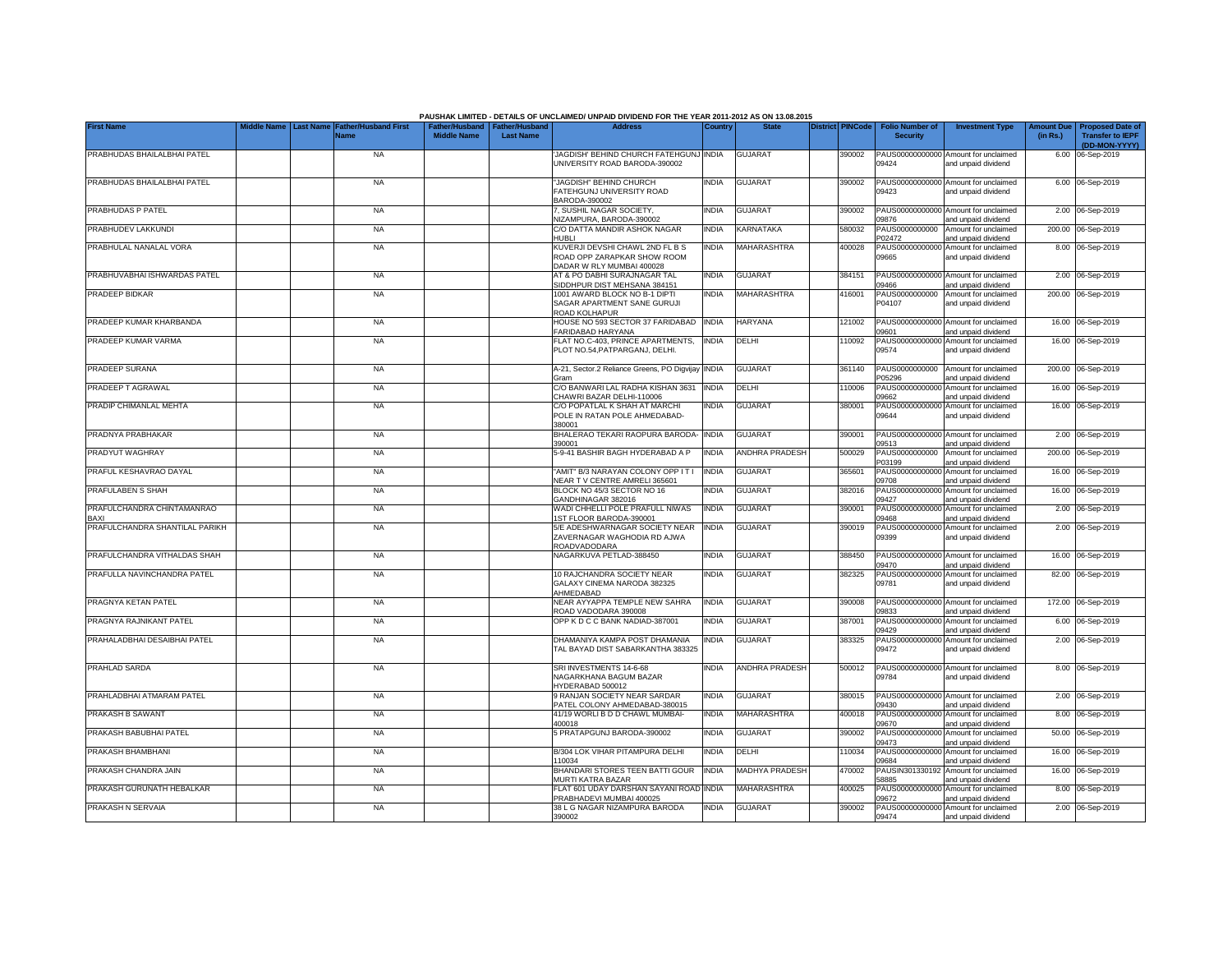|                                    |                  |                                            |                                                       |                  | PAUSHAK LIMITED - DETAILS OF UNCLAIMED/ UNPAID DIVIDEND FOR THE YEAR 2011-2012 AS ON 13.08.2015 |              |                       |                         |                                           |                                                             |                               |                                                    |
|------------------------------------|------------------|--------------------------------------------|-------------------------------------------------------|------------------|-------------------------------------------------------------------------------------------------|--------------|-----------------------|-------------------------|-------------------------------------------|-------------------------------------------------------------|-------------------------------|----------------------------------------------------|
| <b>First Name</b>                  | <b>Last Name</b> | <b>Father/Husband First</b><br><b>Name</b> | Father/Husband   Father/Husband<br><b>Middle Name</b> | <b>Last Name</b> | <b>Address</b>                                                                                  | Country      | <b>State</b>          | <b>District PINCode</b> | <b>Folio Number of</b><br><b>Security</b> | <b>Investment Type</b>                                      | <b>Amount Due</b><br>(in Rs.) | <b>Proposed Date of</b><br><b>Transfer to IEPF</b> |
| PRABHUDAS BHAILALBHAI PATEL        |                  | <b>NA</b>                                  |                                                       |                  | JAGDISH' BEHIND CHURCH FATEHGUNJ INDIA                                                          |              | <b>GUJARAT</b>        | 390002                  |                                           | PAUS00000000000 Amount for unclaimed                        |                               | (DD-MON-YYYY)<br>6.00 06-Sep-2019                  |
|                                    |                  |                                            |                                                       |                  | UNIVERSITY ROAD BARODA-390002                                                                   |              |                       |                         | 09424                                     | and unpaid dividend                                         |                               |                                                    |
| PRABHUDAS BHAILALBHAI PATEL        |                  | <b>NA</b>                                  |                                                       |                  | "JAGDISH" BEHIND CHURCH                                                                         | <b>INDIA</b> | GUJARAT               | 390002                  |                                           | PAUS00000000000 Amount for unclaimed                        |                               | 6.00 06-Sep-2019                                   |
|                                    |                  |                                            |                                                       |                  | FATEHGUNJ UNIVERSITY ROAD<br>BARODA-390002                                                      |              |                       |                         | 09423                                     | and unpaid dividend                                         |                               |                                                    |
| PRABHUDAS P PATEL                  |                  | <b>NA</b>                                  |                                                       |                  | 7, SUSHIL NAGAR SOCIETY,<br>NIZAMPURA, BARODA-390002                                            | <b>INDIA</b> | <b>GUJARAT</b>        | 390002                  | 09876                                     | PAUS00000000000 Amount for unclaimed<br>and unpaid dividend |                               | 2.00 06-Sep-2019                                   |
| PRABHUDEV LAKKUNDI                 |                  | <b>NA</b>                                  |                                                       |                  | C/O DATTA MANDIR ASHOK NAGAR<br>HUBLI                                                           | <b>INDIA</b> | <b>KARNATAKA</b>      | 580032                  | PAUS0000000000<br>P02472                  | Amount for unclaimed<br>and unpaid dividend                 |                               | 200.00 06-Sep-2019                                 |
| PRABHULAL NANALAL VORA             |                  | <b>NA</b>                                  |                                                       |                  | KUVERJI DEVSHI CHAWL 2ND FL B S<br>ROAD OPP ZARAPKAR SHOW ROOM<br>DADAR W RLY MUMBAI 400028     | <b>INDIA</b> | MAHARASHTRA           | 400028                  | PAUS00000000000<br>09665                  | Amount for unclaimed<br>and unpaid dividend                 |                               | 8.00 06-Sep-2019                                   |
| PRABHUVABHAI ISHWARDAS PATEL       |                  | <b>NA</b>                                  |                                                       |                  | AT & PO DABHI SURAJNAGAR TAL<br>SIDDHPUR DIST MEHSANA 384151                                    | <b>INDIA</b> | <b>GUJARAT</b>        | 384151                  | PAUS00000000000<br>9466                   | Amount for unclaimed<br>and unpaid dividend                 |                               | 2.00 06-Sep-2019                                   |
| PRADEEP BIDKAR                     |                  | <b>NA</b>                                  |                                                       |                  | 1001 AWARD BLOCK NO B-1 DIPTI<br>SAGAR APARTMENT SANE GURUJI<br>ROAD KOLHAPUR                   | <b>INDIA</b> | MAHARASHTRA           | 416001                  | PAUS0000000000<br>P04107                  | Amount for unclaimed<br>and unpaid dividend                 |                               | 200.00 06-Sep-2019                                 |
| PRADEEP KUMAR KHARBANDA            |                  | <b>NA</b>                                  |                                                       |                  | HOUSE NO 593 SECTOR 37 FARIDABAD<br>FARIDABAD HARYANA                                           | <b>INDIA</b> | <b>HARYANA</b>        | 121002                  | PAUS0000000000<br>09601                   | Amount for unclaimed<br>and unpaid dividend                 |                               | 16.00 06-Sep-2019                                  |
| PRADEEP KUMAR VARMA                |                  | <b>NA</b>                                  |                                                       |                  | FLAT NO.C-403, PRINCE APARTMENTS,<br>PLOT NO.54, PATPARGANJ, DELHI                              | <b>INDIA</b> | DELHI                 | 110092                  | PAUS00000000000<br>09574                  | Amount for unclaimed<br>and unpaid dividend                 |                               | 16.00 06-Sep-2019                                  |
| PRADEEP SURANA                     |                  | <b>NA</b>                                  |                                                       |                  | A-21, Sector.2 Reliance Greens, PO Digvijay<br><b>Gram</b>                                      | <b>INDIA</b> | <b>GUJARAT</b>        | 361140                  | PAUS0000000000<br>P05296                  | Amount for unclaimed<br>and unpaid dividend                 |                               | 200.00 06-Sep-2019                                 |
| PRADEEP T AGRAWAL                  |                  | <b>NA</b>                                  |                                                       |                  | C/O BANWARI LAL RADHA KISHAN 3631<br>CHAWRI BAZAR DELHI-110006                                  | <b>INDIA</b> | DELHI                 | 110006                  | PAUS00000000000<br>09662                  | Amount for unclaimed<br>and unpaid dividend                 |                               | 16.00 06-Sep-2019                                  |
| PRADIP CHIMANLAL MEHTA             |                  | <b>NA</b>                                  |                                                       |                  | C/O POPATLAL K SHAH AT MARCHI<br>POLE IN RATAN POLE AHMEDABAD-<br>380001                        | <b>INDIA</b> | <b>GUJARAT</b>        | 380001                  | 09644                                     | PAUS00000000000 Amount for unclaimed<br>and unpaid dividend |                               | 16.00 06-Sep-2019                                  |
| PRADNYA PRABHAKAR                  |                  | <b>NA</b>                                  |                                                       |                  | BHALERAO TEKARI RAOPURA BARODA-<br>390001                                                       | <b>INDIA</b> | <b>GUJARAT</b>        | 390001                  | 09513                                     | PAUS00000000000 Amount for unclaimed<br>and unpaid dividend |                               | 2.00 06-Sep-2019                                   |
| PRADYUT WAGHRAY                    |                  | <b>NA</b>                                  |                                                       |                  | 5-9-41 BASHIR BAGH HYDERABAD A P                                                                | <b>INDIA</b> | <b>ANDHRA PRADESH</b> | 500029                  | PAUS0000000000<br>P03199                  | Amount for unclaimed<br>and unpaid dividend                 |                               | 200.00 06-Sep-2019                                 |
| PRAFUL KESHAVRAO DAYAL             |                  | <b>NA</b>                                  |                                                       |                  | "AMIT" B/3 NARAYAN COLONY OPP IT I<br>NEAR TV CENTRE AMRELI 365601                              | <b>INDIA</b> | <b>GUJARAT</b>        | 365601                  | PAUS0000000000<br>09708                   | Amount for unclaimed<br>and unpaid dividend                 |                               | 16.00 06-Sep-2019                                  |
| PRAFULABEN S SHAH                  |                  | <b>NA</b>                                  |                                                       |                  | BLOCK NO 45/3 SECTOR NO 16<br>GANDHINAGAR 382016                                                | <b>INDIA</b> | <b>GUJARAT</b>        | 382016                  | PAUS0000000000<br>09427                   | Amount for unclaimed<br>and unpaid dividend                 | 16.00                         | 06-Sep-2019                                        |
| PRAFULCHANDRA CHINTAMANRAO<br>BAXI |                  | <b>NA</b>                                  |                                                       |                  | WADI CHHELLI POLE PRAFULL NIWAS<br>1ST FLOOR BARODA-390001                                      | <b>INDIA</b> | <b>GUJARAT</b>        | 390001                  | PAUS0000000000<br>09468                   | Amount for unclaimed<br>and unpaid dividend                 | 2.00                          | 06-Sep-2019                                        |
| PRAFULCHANDRA SHANTILAL PARIKH     |                  | <b>NA</b>                                  |                                                       |                  | 5/E ADESHWARNAGAR SOCIETY NEAR<br>ZAVERNAGAR WAGHODIA RD AJWA<br>ROADVADODARA                   | <b>INDIA</b> | <b>GUJARAT</b>        | 390019                  | PAUS0000000000<br>09399                   | Amount for unclaimed<br>and unpaid dividend                 |                               | 2.00 06-Sep-2019                                   |
| PRAFULCHANDRA VITHALDAS SHAH       |                  | <b>NA</b>                                  |                                                       |                  | NAGARKUVA PETLAD-388450                                                                         | <b>INDIA</b> | <b>GUJARAT</b>        | 388450                  | 09470                                     | PAUS00000000000 Amount for unclaimed<br>and unpaid dividend |                               | 16.00 06-Sep-2019                                  |
| PRAFULLA NAVINCHANDRA PATEL        |                  | <b>NA</b>                                  |                                                       |                  | 10 RAJCHANDRA SOCIETY NEAR<br>GALAXY CINEMA NARODA 382325                                       | <b>INDIA</b> | GUJARAT               | 382325                  | PAUS00000000000<br>09781                  | Amount for unclaimed<br>and unpaid dividend                 |                               | 82.00 06-Sep-2019                                  |
| PRAGNYA KETAN PATEL                |                  | <b>NA</b>                                  |                                                       |                  | AHMEDABAD<br>NEAR AYYAPPA TEMPLE NEW SAHRA                                                      | <b>INDIA</b> | <b>GUJARAT</b>        | 390008                  |                                           | PAUS00000000000 Amount for unclaimed                        |                               | 172.00 06-Sep-2019                                 |
| PRAGNYA RAJNIKANT PATEL            |                  | <b>NA</b>                                  |                                                       |                  | ROAD VADODARA 390008<br>OPP K D C C BANK NADIAD-387001                                          | <b>INDIA</b> | GUJARAT               | 387001                  | 09833<br>PAUS00000000000                  | and unpaid dividend<br>Amount for unclaimed                 |                               | 6.00 06-Sep-2019                                   |
| PRAHALADBHAI DESAIBHAI PATEL       |                  | <b>NA</b>                                  |                                                       |                  | DHAMANIYA KAMPA POST DHAMANIA                                                                   | <b>INDIA</b> | <b>GUJARAT</b>        | 383325                  | 09429<br>PAUS00000000000                  | and unpaid dividend<br>Amount for unclaimed                 |                               | 2.00 06-Sep-2019                                   |
|                                    |                  |                                            |                                                       |                  | TAL BAYAD DIST SABARKANTHA 383325                                                               |              |                       |                         | 09472                                     | and unpaid dividend                                         |                               |                                                    |
| PRAHLAD SARDA                      |                  | <b>NA</b>                                  |                                                       |                  | SRI INVESTMENTS 14-6-68<br>NAGARKHANA BAGUM BAZAR<br>HYDERABAD 500012                           | <b>INDIA</b> | ANDHRA PRADESH        | 500012                  | 09784                                     | PAUS00000000000 Amount for unclaimed<br>and unpaid dividend |                               | 8.00 06-Sep-2019                                   |
| PRAHLADBHAI ATMARAM PATEL          |                  | <b>NA</b>                                  |                                                       |                  | 9 RANJAN SOCIETY NEAR SARDAR<br>PATEL COLONY AHMEDABAD-380015                                   | <b>INDIA</b> | <b>GUJARAT</b>        | 380015                  | 09430                                     | PAUS00000000000 Amount for unclaimed<br>and unpaid dividend |                               | 2.00 06-Sep-2019                                   |
| PRAKASH B SAWANT                   |                  | <b>NA</b>                                  |                                                       |                  | 41/19 WORLI B D D CHAWL MUMBAI-<br>400018                                                       | <b>INDIA</b> | MAHARASHTRA           | 400018                  | PAUS00000000000<br>09670                  | Amount for unclaimed<br>and unpaid dividend                 |                               | 8.00 06-Sep-2019                                   |
| PRAKASH BABUBHAI PATEL             |                  | <b>NA</b>                                  |                                                       |                  | 5 PRATAPGUNJ BARODA-390002                                                                      | INDIA        | <b>GUJARAT</b>        | 390002                  | 09473                                     | PAUS00000000000 Amount for unclaimed<br>and unpaid dividend |                               | 50.00 06-Sep-2019                                  |
| PRAKASH BHAMBHANI                  |                  | <b>NA</b>                                  |                                                       |                  | B/304 LOK VIHAR PITAMPURA DELHI<br>110034                                                       | <b>INDIA</b> | DELHI                 | 110034                  | 09684                                     | PAUS00000000000 Amount for unclaimed<br>and unpaid dividend |                               | 16.00 06-Sep-2019                                  |
| PRAKASH CHANDRA JAIN               |                  | <b>NA</b>                                  |                                                       |                  | BHANDARI STORES TEEN BATTI GOUR<br>MURTI KATRA BAZAR                                            | <b>INDIA</b> | <b>MADHYA PRADESH</b> | 470002                  | 58885                                     | PAUSIN301330192 Amount for unclaimed<br>and unpaid dividend |                               | 16.00 06-Sep-2019                                  |
| PRAKASH GURUNATH HEBALKAR          |                  | <b>NA</b>                                  |                                                       |                  | FLAT 601 UDAY DARSHAN SAYANI ROAD<br>PRABHADEVI MUMBAI 400025                                   | <b>INDIA</b> | MAHARASHTRA           | 400025                  | 09672                                     | PAUS00000000000 Amount for unclaimed<br>and unpaid dividend |                               | 8.00 06-Sep-2019                                   |
| PRAKASH N SERVAIA                  |                  | <b>NA</b>                                  |                                                       |                  | 38 L G NAGAR NIZAMPURA BARODA<br>390002                                                         | <b>INDIA</b> | <b>GUJARAT</b>        | 390002                  | 09474                                     | PAUS00000000000 Amount for unclaimed<br>and unpaid dividend |                               | 2.00 06-Sep-2019                                   |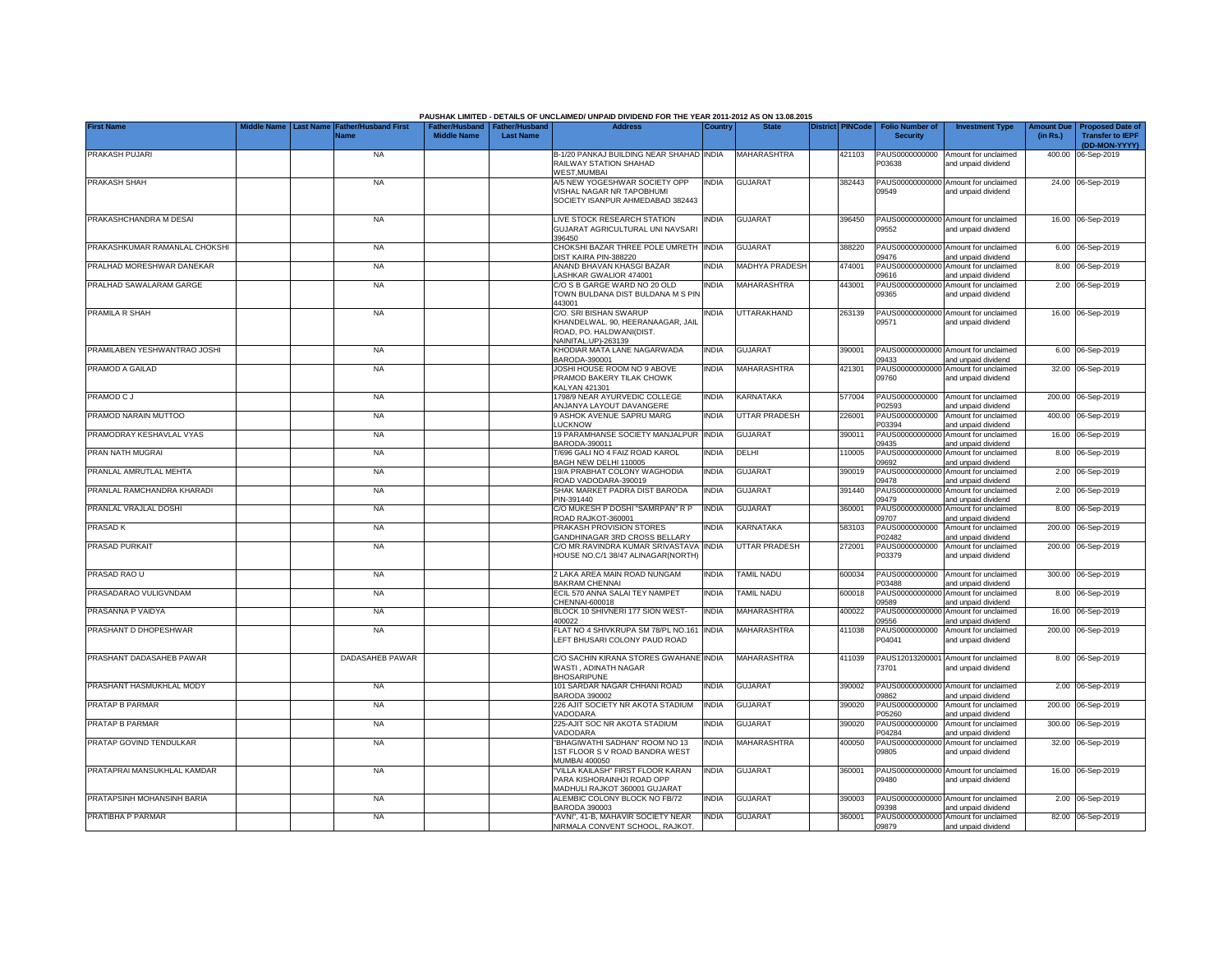|                               |                  |                                     |                                                       |                  | PAUSHAK LIMITED - DETAILS OF UNCLAIMED/ UNPAID DIVIDEND FOR THE YEAR 2011-2012 AS ON 13.08.2015                |              |                       |                         |        |                                           |                                                             |                               |                                                    |
|-------------------------------|------------------|-------------------------------------|-------------------------------------------------------|------------------|----------------------------------------------------------------------------------------------------------------|--------------|-----------------------|-------------------------|--------|-------------------------------------------|-------------------------------------------------------------|-------------------------------|----------------------------------------------------|
| <b>First Name</b>             | <b>Last Name</b> | <b>Father/Husband First</b><br>Name | Father/Husband   Father/Husband<br><b>Middle Name</b> | <b>Last Name</b> | <b>Address</b>                                                                                                 | Country      | <b>State</b>          | <b>District PINCode</b> |        | <b>Folio Number of</b><br><b>Security</b> | <b>Investment Type</b>                                      | <b>Amount Due</b><br>(in Rs.) | <b>Proposed Date of</b><br><b>Transfer to IEPF</b> |
|                               |                  |                                     |                                                       |                  |                                                                                                                |              |                       |                         |        |                                           |                                                             |                               | (DD-MON-YYYY)                                      |
| PRAKASH PUJARI                |                  | <b>NA</b>                           |                                                       |                  | B-1/20 PANKAJ BUILDING NEAR SHAHAD INDIA<br>RAILWAY STATION SHAHAD<br><b>WEST, MUMBAI</b>                      |              | <b>MAHARASHTRA</b>    |                         | 421103 | PAUS0000000000<br>P03638                  | Amount for unclaimed<br>and unpaid dividend                 |                               | 400.00 06-Sep-2019                                 |
| PRAKASH SHAH                  |                  | <b>NA</b>                           |                                                       |                  | A/5 NEW YOGESHWAR SOCIETY OPP<br>VISHAL NAGAR NR TAPOBHUMI<br>SOCIETY ISANPUR AHMEDABAD 382443                 | INDIA        | <b>GUJARAT</b>        |                         | 382443 | PAUS00000000000<br>09549                  | Amount for unclaimed<br>and unpaid dividend                 |                               | 24.00 06-Sep-2019                                  |
| PRAKASHCHANDRA M DESAI        |                  | <b>NA</b>                           |                                                       |                  | LIVE STOCK RESEARCH STATION<br>GUJARAT AGRICULTURAL UNI NAVSARI<br>396450                                      | <b>INDIA</b> | <b>GUJARAT</b>        |                         | 396450 | 09552                                     | PAUS00000000000 Amount for unclaimed<br>and unpaid dividend |                               | 16.00 06-Sep-2019                                  |
| PRAKASHKUMAR RAMANLAL CHOKSHI |                  | NA                                  |                                                       |                  | CHOKSHI BAZAR THREE POLE UMRETH INDIA<br>DIST KAIRA PIN-388220                                                 |              | <b>GUJARAT</b>        |                         | 388220 | PAUS00000000000<br>09476                  | Amount for unclaimed<br>and unpaid dividend                 |                               | 6.00 06-Sep-2019                                   |
| PRALHAD MORESHWAR DANEKAR     |                  | <b>NA</b>                           |                                                       |                  | ANAND BHAVAN KHASGI BAZAR<br>LASHKAR GWALIOR 474001                                                            | INDIA        | <b>MADHYA PRADESH</b> |                         | 474001 | PAUS0000000000<br>09616                   | Amount for unclaimed<br>and unpaid dividend                 |                               | 8.00 06-Sep-2019                                   |
| PRALHAD SAWALARAM GARGE       |                  | <b>NA</b>                           |                                                       |                  | C/O S B GARGE WARD NO 20 OLD<br>TOWN BULDANA DIST BULDANA M S PIN<br>443001                                    | INDIA        | MAHARASHTRA           |                         | 443001 | PAUS0000000000<br>09365                   | Amount for unclaimed<br>and unpaid dividend                 |                               | 2.00 06-Sep-2019                                   |
| PRAMILA R SHAH                |                  | NA                                  |                                                       |                  | C/O. SRI BISHAN SWARUP<br>KHANDELWAL. 90, HEERANAAGAR, JAIL<br>ROAD, PO. HALDWANI(DIST.<br>NAINITAL.UP)-263139 | <b>INDIA</b> | UTTARAKHAND           |                         | 263139 | PAUS0000000000<br>09571                   | Amount for unclaimed<br>and unpaid dividend                 |                               | 16.00 06-Sep-2019                                  |
| PRAMILABEN YESHWANTRAO JOSHI  |                  | <b>NA</b>                           |                                                       |                  | KHODIAR MATA LANE NAGARWADA<br>BARODA-390001                                                                   | india        | <b>GUJARAT</b>        |                         | 390001 | 09433                                     | PAUS00000000000 Amount for unclaimed<br>and unpaid dividend |                               | 6.00 06-Sep-2019                                   |
| PRAMOD A GAILAD               |                  | <b>NA</b>                           |                                                       |                  | JOSHI HOUSE ROOM NO 9 ABOVE<br>PRAMOD BAKERY TILAK CHOWK<br>KALYAN 421301                                      | <b>NDIA</b>  | MAHARASHTRA           |                         | 421301 | PAUS00000000000<br>09760                  | Amount for unclaimed<br>and unpaid dividend                 |                               | 32.00 06-Sep-2019                                  |
| PRAMOD C J                    |                  | <b>NA</b>                           |                                                       |                  | 1798/9 NEAR AYURVEDIC COLLEGE<br>ANJANYA LAYOUT DAVANGERE                                                      | <b>INDIA</b> | <b>KARNATAKA</b>      |                         | 577004 | PAUS0000000000<br>P02593                  | Amount for unclaimed<br>and unpaid dividend                 |                               | 200.00 06-Sep-2019                                 |
| PRAMOD NARAIN MUTTOO          |                  | <b>NA</b>                           |                                                       |                  | 9 ASHOK AVENUE SAPRU MARG<br>LUCKNOW                                                                           | INDIA        | <b>UTTAR PRADESH</b>  |                         | 226001 | PAUS0000000000<br>P03394                  | Amount for unclaimed<br>and unpaid dividend                 |                               | 400.00 06-Sep-2019                                 |
| PRAMODRAY KESHAVLAL VYAS      |                  | <b>NA</b>                           |                                                       |                  | 19 PARAMHANSE SOCIETY MANJALPUR INDIA<br>BARODA-390011                                                         |              | <b>GUJARAT</b>        |                         | 390011 | 09435                                     | PAUS00000000000 Amount for unclaimed<br>and unpaid dividend |                               | 16.00 06-Sep-2019                                  |
| PRAN NATH MUGRAI              |                  | <b>NA</b>                           |                                                       |                  | T/696 GALI NO 4 FAIZ ROAD KAROL<br>BAGH NEW DELHI 110005                                                       | INDIA        | DELHI                 |                         | 110005 | PAUS00000000000<br>09692                  | Amount for unclaimed<br>and unpaid dividend                 |                               | 8.00 06-Sep-2019                                   |
| PRANLAL AMRUTLAL MEHTA        |                  | <b>NA</b>                           |                                                       |                  | 19/A PRABHAT COLONY WAGHODIA<br>ROAD VADODARA-390019                                                           | INDIA        | <b>GUJARAT</b>        |                         | 390019 | PAUS0000000000<br>09478                   | Amount for unclaimed<br>and unpaid dividend                 |                               | 2.00 06-Sep-2019                                   |
| PRANLAL RAMCHANDRA KHARADI    |                  | <b>NA</b>                           |                                                       |                  | SHAK MARKET PADRA DIST BARODA<br>PIN-391440                                                                    | INDIA        | <b>GUJARAT</b>        |                         | 391440 | PAUS0000000000<br>09479                   | Amount for unclaimed<br>and unpaid dividend                 |                               | 2.00 06-Sep-2019                                   |
| PRANLAL VRAJLAL DOSHI         |                  | <b>NA</b>                           |                                                       |                  | C/O MUKESH P DOSHI "SAMRPAN" R P<br>ROAD RAJKOT-360001                                                         | <b>INDIA</b> | <b>GUJARAT</b>        |                         | 360001 | PAUS0000000000<br>09707                   | Amount for unclaimed<br>and unpaid dividend                 |                               | 8.00 06-Sep-2019                                   |
| PRASAD K                      |                  | NA                                  |                                                       |                  | PRAKASH PROVISION STORES<br>GANDHINAGAR 3RD CROSS BELLARY                                                      | INDIA        | KARNATAKA             |                         | 583103 | PAUS0000000000<br>P02482                  | Amount for unclaimed<br>and unpaid dividend                 |                               | 200.00 06-Sep-2019                                 |
| PRASAD PURKAIT                |                  | <b>NA</b>                           |                                                       |                  | C/O MR.RAVINDRA KUMAR SRIVASTAVA<br>HOUSE NO.C/1 38/47 ALINAGAR(NORTH)                                         | India        | <b>UTTAR PRADESH</b>  |                         | 272001 | PAUS0000000000<br>P03379                  | Amount for unclaimed<br>and unpaid dividend                 |                               | 200.00 06-Sep-2019                                 |
| PRASAD RAO U                  |                  | <b>NA</b>                           |                                                       |                  | 2 LAKA AREA MAIN ROAD NUNGAM<br><b>BAKRAM CHENNAI</b>                                                          | INDIA        | <b>TAMIL NADU</b>     |                         | 600034 | PAUS0000000000<br>P03488                  | Amount for unclaimed<br>and unpaid dividend                 |                               | 300.00 06-Sep-2019                                 |
| PRASADARAO VULIGVNDAM         |                  | <b>NA</b>                           |                                                       |                  | ECIL 570 ANNA SALAI TEY NAMPET<br>CHENNAI-600018                                                               | INDIA        | <b>TAMIL NADU</b>     |                         | 600018 | PAUS0000000000<br>9589                    | Amount for unclaimed<br>and unpaid dividend                 |                               | 8.00 06-Sep-2019                                   |
| PRASANNA P VAIDYA             |                  | <b>NA</b>                           |                                                       |                  | BLOCK 10 SHIVNERI 177 SION WEST-<br>400022                                                                     | INDIA        | MAHARASHTRA           |                         | 400022 | PAUS00000000000<br>09556                  | Amount for unclaimed<br>and unpaid dividend                 |                               | 16.00 06-Sep-2019                                  |
| PRASHANT D DHOPESHWAR         |                  | NA                                  |                                                       |                  | FLAT NO 4 SHIVKRUPA SM 78/PL NO.161<br>LEFT BHUSARI COLONY PAUD ROAD                                           | <b>INDIA</b> | MAHARASHTRA           |                         | 411038 | PAUS0000000000<br>P04041                  | Amount for unclaimed<br>and unpaid dividend                 |                               | 200.00 06-Sep-2019                                 |
| PRASHANT DADASAHEB PAWAR      |                  | DADASAHEB PAWAR                     |                                                       |                  | C/O SACHIN KIRANA STORES GWAHANE INDIA<br>WASTI, ADINATH NAGAR<br><b>BHOSARIPUNE</b>                           |              | MAHARASHTRA           |                         | 411039 | PAUS12013200001<br>73701                  | Amount for unclaimed<br>and unpaid dividend                 |                               | 8.00 06-Sep-2019                                   |
| PRASHANT HASMUKHLAL MODY      |                  | <b>NA</b>                           |                                                       |                  | 101 SARDAR NAGAR CHHANI ROAD<br><b>BARODA 390002</b>                                                           | INDIA        | <b>GUJARAT</b>        |                         | 390002 | PAUS0000000000<br>09862                   | Amount for unclaimed<br>and unpaid dividend                 |                               | 2.00 06-Sep-2019                                   |
| PRATAP B PARMAR               |                  | <b>NA</b>                           |                                                       |                  | 226 AJIT SOCIETY NR AKOTA STADIUM<br>VADODARA                                                                  | INDIA        | <b>GUJARAT</b>        |                         | 390020 | PAUS0000000000<br>P05260                  | Amount for unclaimed<br>and unpaid dividend                 |                               | 200.00 06-Sep-2019                                 |
| PRATAP B PARMAR               |                  | <b>NA</b>                           |                                                       |                  | 225-AJIT SOC NR AKOTA STADIUM<br>VADODARA                                                                      | INDIA        | <b>GUJARAT</b>        |                         | 390020 | PAUS0000000000<br>P04284                  | Amount for unclaimed<br>and unpaid dividend                 |                               | 300.00 06-Sep-2019                                 |
| PRATAP GOVIND TENDULKAR       |                  | NA                                  |                                                       |                  | "BHAGIWATHI SADHAN" ROOM NO 13<br>1ST FLOOR S V ROAD BANDRA WEST<br>MUMBAI 400050                              | <b>INDIA</b> | MAHARASHTRA           |                         | 400050 | PAUS00000000000<br>09805                  | Amount for unclaimed<br>and unpaid dividend                 |                               | 32.00 06-Sep-2019                                  |
| PRATAPRAI MANSUKHLAL KAMDAR   |                  | <b>NA</b>                           |                                                       |                  | 'VILLA KAILASH'' FIRST FLOOR KARAN<br>PARA KISHORAINHJI ROAD OPP<br>MADHULI RAJKOT 360001 GUJARAT              | INDIA        | <b>GUJARAT</b>        |                         | 360001 | 09480                                     | PAUS00000000000 Amount for unclaimed<br>and unpaid dividend |                               | 16.00 06-Sep-2019                                  |
| PRATAPSINH MOHANSINH BARIA    |                  | NA                                  |                                                       |                  | ALEMBIC COLONY BLOCK NO FB/72<br>BARODA 390003                                                                 | INDIA        | <b>GUJARAT</b>        |                         | 390003 | 09398                                     | PAUS00000000000 Amount for unclaimed<br>and unpaid dividend |                               | 2.00 06-Sep-2019                                   |
| PRATIBHA P PARMAR             |                  | <b>NA</b>                           |                                                       |                  | "AVNI", 41-B, MAHAVIR SOCIETY NEAR<br>NIRMALA CONVENT SCHOOL, RAJKOT.                                          | INDIA        | <b>GUJARAT</b>        |                         | 360001 | 09879                                     | PAUS00000000000 Amount for unclaimed<br>and unpaid dividend |                               | 82.00 06-Sep-2019                                  |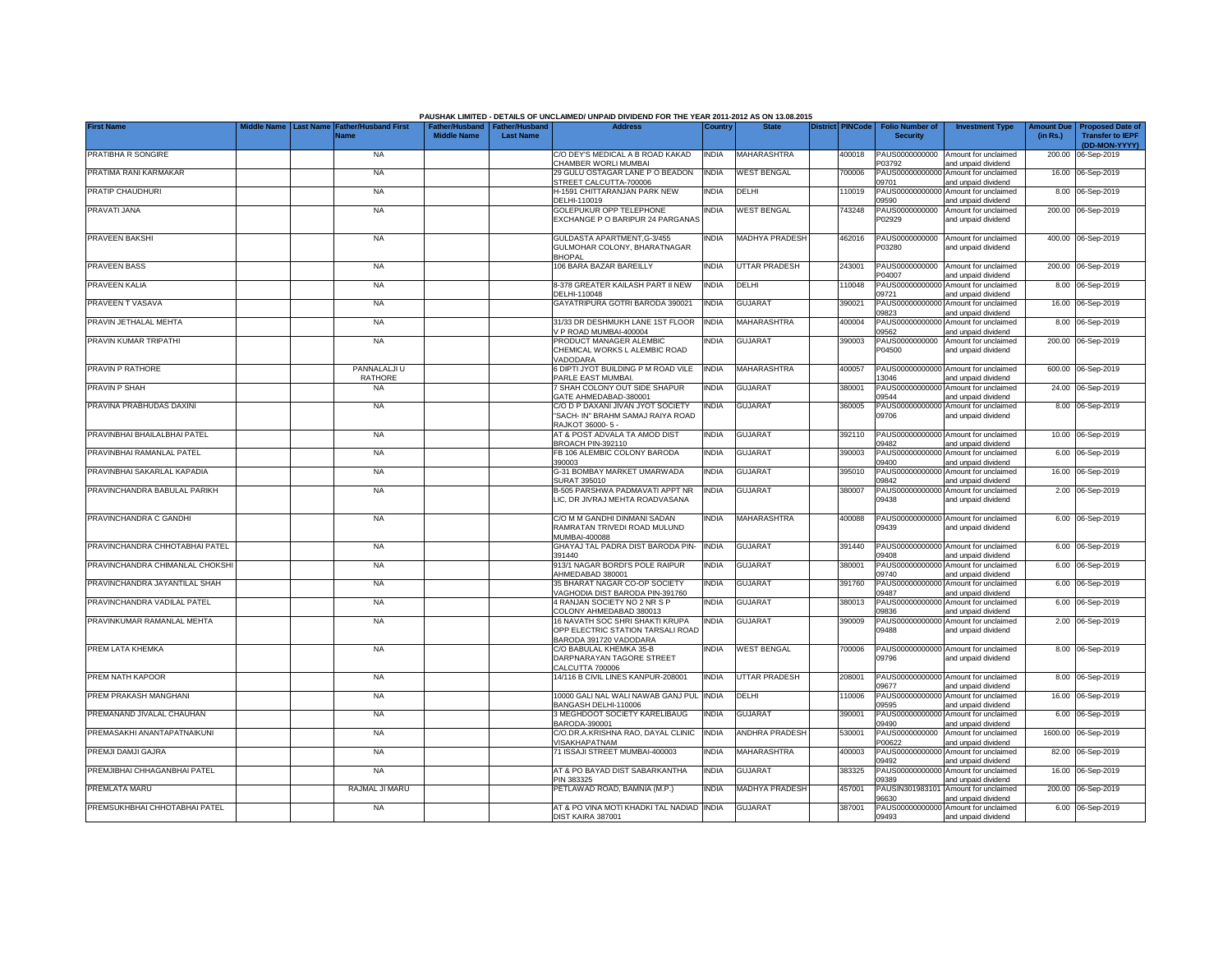|                                 |                                |                                     |                                                       |                  | PAUSHAK LIMITED - DETAILS OF UNCLAIMED/ UNPAID DIVIDEND FOR THE YEAR 2011-2012 AS ON 13.08.2015 |              |                       |                         |                                           |                                                             |                               |                                                    |
|---------------------------------|--------------------------------|-------------------------------------|-------------------------------------------------------|------------------|-------------------------------------------------------------------------------------------------|--------------|-----------------------|-------------------------|-------------------------------------------|-------------------------------------------------------------|-------------------------------|----------------------------------------------------|
| <b>First Name</b>               | <b>Last Name</b><br>iddle Name | <b>Father/Husband First</b><br>Name | Father/Husband   Father/Husband<br><b>Middle Name</b> | <b>Last Name</b> | <b>Address</b>                                                                                  | Country      | <b>State</b>          | <b>District PINCode</b> | <b>Folio Number of</b><br><b>Security</b> | <b>Investment Type</b>                                      | <b>Amount Due</b><br>(in Rs.) | <b>Proposed Date of</b><br><b>Transfer to IEPF</b> |
| PRATIBHA R SONGIRE              |                                | <b>NA</b>                           |                                                       |                  | C/O DEY'S MEDICAL A B ROAD KAKAD                                                                | <b>INDIA</b> | MAHARASHTRA           | 400018                  | PAUS0000000000                            | Amount for unclaimed                                        |                               | (DD-MON-YYYY)<br>200.00 06-Sep-2019                |
|                                 |                                |                                     |                                                       |                  | CHAMBER WORLI MUMBAI                                                                            |              |                       |                         | P03792                                    | and unpaid dividend                                         |                               |                                                    |
| PRATIMA RANI KARMAKAR           |                                | <b>NA</b>                           |                                                       |                  | 29 GULU OSTAGAR LANE P O BEADON<br>STREET CALCUTTA-700006                                       | <b>INDIA</b> | <b>WEST BENGAL</b>    | 700006                  | PAUS00000000000<br>09701                  | Amount for unclaimed<br>and unpaid dividend                 |                               | 16.00 06-Sep-2019                                  |
| PRATIP CHAUDHURI                |                                | <b>NA</b>                           |                                                       |                  | H-1591 CHITTARANJAN PARK NEW                                                                    | <b>INDIA</b> | DELHI                 | 110019                  |                                           | PAUS00000000000 Amount for unclaimed                        |                               | 8.00 06-Sep-2019                                   |
| PRAVATI JANA                    |                                | <b>NA</b>                           |                                                       |                  | DELHI-110019<br>GOLEPUKUR OPP TELEPHONE                                                         | <b>INDIA</b> | <b>WEST BENGAL</b>    | 743248                  | 09590<br>PAUS0000000000                   | and unpaid dividend<br>Amount for unclaimed                 |                               | 200.00 06-Sep-2019                                 |
|                                 |                                |                                     |                                                       |                  | EXCHANGE P O BARIPUR 24 PARGANAS                                                                |              |                       |                         | P02929                                    | and unpaid dividend                                         |                               |                                                    |
| PRAVEEN BAKSHI                  |                                | <b>NA</b>                           |                                                       |                  | GULDASTA APARTMENT, G-3/455                                                                     | <b>INDIA</b> | <b>MADHYA PRADESH</b> | 462016                  | PAUS0000000000                            | Amount for unclaimed                                        |                               | 400.00 06-Sep-2019                                 |
|                                 |                                |                                     |                                                       |                  | GULMOHAR COLONY, BHARATNAGAR<br><b>BHOPAL</b>                                                   |              |                       |                         | P03280                                    | and unpaid dividend                                         |                               |                                                    |
| PRAVEEN BASS                    |                                | <b>NA</b>                           |                                                       |                  | 106 BARA BAZAR BAREILLY                                                                         | <b>INDIA</b> | <b>JTTAR PRADESH</b>  | 243001                  | PAUS0000000000<br>204007                  | Amount for unclaimed<br>and unpaid dividend                 |                               | 200.00 06-Sep-2019                                 |
| PRAVEEN KALIA                   |                                | <b>NA</b>                           |                                                       |                  | 8-378 GREATER KAILASH PART II NEW<br>DELHI-110048                                               | <b>INDIA</b> | DELHI                 | 110048                  | PAUS0000000000                            | Amount for unclaimed                                        |                               | 8.00 06-Sep-2019                                   |
| PRAVEEN T VASAVA                |                                | <b>NA</b>                           |                                                       |                  | GAYATRIPURA GOTRI BARODA 390021                                                                 | <b>INDIA</b> | GUJARAT               | 390021                  | 09721<br>PAUS0000000000                   | and unpaid dividend<br>Amount for unclaimed                 |                               | 16.00 06-Sep-2019                                  |
| PRAVIN JETHALAL MEHTA           |                                | NA                                  |                                                       |                  | 31/33 DR DESHMUKH LANE 1ST FLOOR                                                                | <b>INDIA</b> | MAHARASHTRA           | 400004                  | 09823<br>PAUS0000000000                   | and unpaid dividend<br>Amount for unclaimed                 |                               | 8.00 06-Sep-2019                                   |
|                                 |                                |                                     |                                                       |                  | / P ROAD MUMBAI-400004                                                                          |              |                       |                         | 9562                                      | and unpaid dividend                                         |                               |                                                    |
| PRAVIN KUMAR TRIPATHI           |                                | <b>NA</b>                           |                                                       |                  | PRODUCT MANAGER ALEMBIC                                                                         | <b>INDIA</b> | <b>GUJARAT</b>        | 390003                  | PAUS0000000000                            | Amount for unclaimed                                        |                               | 200.00 06-Sep-2019                                 |
|                                 |                                |                                     |                                                       |                  | CHEMICAL WORKS L ALEMBIC ROAD<br>VADODARA                                                       |              |                       |                         | P04500                                    | and unpaid dividend                                         |                               |                                                    |
| PRAVIN P RATHORE                |                                | PANNALALJI U<br>RATHORE             |                                                       |                  | 6 DIPTI JYOT BUILDING P M ROAD VILE<br>PARLE EAST MUMBAI.                                       | <b>INDIA</b> | MAHARASHTRA           | 400057                  | 3046                                      | PAUS00000000000 Amount for unclaimed<br>and unpaid dividend |                               | 600.00 06-Sep-2019                                 |
| PRAVIN P SHAH                   |                                | <b>NA</b>                           |                                                       |                  | 7 SHAH COLONY OUT SIDE SHAPUR<br>GATE AHMEDABAD-380001                                          | <b>INDIA</b> | <b>GUJARAT</b>        | 380001                  | 09544                                     | PAUS00000000000 Amount for unclaimed<br>and unpaid dividend |                               | 24.00 06-Sep-2019                                  |
| PRAVINA PRABHUDAS DAXINI        |                                | <b>NA</b>                           |                                                       |                  | C/O D P DAXANI JIVAN JYOT SOCIETY                                                               | <b>INDIA</b> | <b>GUJARAT</b>        | 360005                  |                                           | PAUS00000000000 Amount for unclaimed                        |                               | 8.00 06-Sep-2019                                   |
|                                 |                                |                                     |                                                       |                  | "SACH- IN" BRAHM SAMAJ RAIYA ROAD<br>RAJKOT 36000-5-                                            |              |                       |                         | 09706                                     | and unpaid dividend                                         |                               |                                                    |
| PRAVINBHAI BHAILALBHAI PATEL    |                                | <b>NA</b>                           |                                                       |                  | AT & POST ADVALA TA AMOD DIST                                                                   | <b>INDIA</b> | <b>GUJARAT</b>        | 392110                  |                                           | PAUS00000000000 Amount for unclaimed                        |                               | 10.00 06-Sep-2019                                  |
| PRAVINBHAI RAMANLAL PATEL       |                                | <b>NA</b>                           |                                                       |                  | BROACH PIN-392110<br>FB 106 ALEMBIC COLONY BARODA                                               | <b>INDIA</b> | <b>GUJARAT</b>        | 390003                  | 09482                                     | and unpaid dividend<br>PAUS00000000000 Amount for unclaimed |                               | 6.00 06-Sep-2019                                   |
|                                 |                                |                                     |                                                       |                  | 390003                                                                                          |              |                       |                         | 09400                                     | and unpaid dividend                                         |                               |                                                    |
| PRAVINBHAI SAKARLAL KAPADIA     |                                | <b>NA</b>                           |                                                       |                  | G-31 BOMBAY MARKET UMARWADA<br>SURAT 395010                                                     | <b>INDIA</b> | <b>GUJARAT</b>        | 395010                  | PAUS0000000000<br>09842                   | Amount for unclaimed<br>and unpaid dividend                 |                               | 16.00 06-Sep-2019                                  |
| PRAVINCHANDRA BABULAL PARIKH    |                                | <b>NA</b>                           |                                                       |                  | B-505 PARSHWA PADMAVATI APPT NR                                                                 | <b>INDIA</b> | <b>GUJARAT</b>        | 380007                  | PAUS00000000000                           | Amount for unclaimed                                        |                               | 2.00 06-Sep-2019                                   |
|                                 |                                |                                     |                                                       |                  | LIC. DR JIVRAJ MEHTA ROADVASANA                                                                 |              |                       |                         | 09438                                     | and unpaid dividend                                         |                               |                                                    |
| PRAVINCHANDRA C GANDHI          |                                | <b>NA</b>                           |                                                       |                  | C/O M M GANDHI DINMANI SADAN                                                                    | <b>INDIA</b> | MAHARASHTRA           | 400088                  | 09439                                     | PAUS00000000000 Amount for unclaimed                        |                               | 6.00 06-Sep-2019                                   |
|                                 |                                |                                     |                                                       |                  | RAMRATAN TRIVEDI ROAD MULUND<br>MUMBAI-400088                                                   |              |                       |                         |                                           | and unpaid dividend                                         |                               |                                                    |
| PRAVINCHANDRA CHHOTABHAI PATEL  |                                | <b>NA</b>                           |                                                       |                  | GHAYAJ TAL PADRA DIST BARODA PIN-<br>391440                                                     | <b>INDIA</b> | <b>GUJARAT</b>        | 391440                  | 09408                                     | PAUS00000000000 Amount for unclaimed<br>and unpaid dividend |                               | 6.00 06-Sep-2019                                   |
| PRAVINCHANDRA CHIMANLAL CHOKSHI |                                | <b>NA</b>                           |                                                       |                  | 913/1 NAGAR BORDI'S POLE RAIPUR                                                                 | <b>INDIA</b> | <b>GUJARAT</b>        | 380001                  | PAUS0000000000                            | Amount for unclaimed                                        |                               | 6.00 06-Sep-2019                                   |
| PRAVINCHANDRA JAYANTILAL SHAH   |                                | <b>NA</b>                           |                                                       |                  | AHMEDABAD 380001<br>35 BHARAT NAGAR CO-OP SOCIETY                                               | <b>INDIA</b> |                       | 391760                  | 09740<br>PAUS00000000000                  | and unpaid dividend                                         |                               |                                                    |
|                                 |                                |                                     |                                                       |                  | VAGHODIA DIST BARODA PIN-391760                                                                 |              | <b>GUJARAT</b>        |                         | 09487                                     | Amount for unclaimed<br>and unpaid dividend                 |                               | 6.00 06-Sep-2019                                   |
| PRAVINCHANDRA VADILAL PATEL     |                                | <b>NA</b>                           |                                                       |                  | 4 RANJAN SOCIETY NO 2 NR S P<br>COLONY AHMEDABAD 380013                                         | <b>INDIA</b> | <b>GUJARAT</b>        | 380013                  | PAUS00000000000<br>09836                  | Amount for unclaimed<br>and unpaid dividend                 |                               | 6.00 06-Sep-2019                                   |
| PRAVINKUMAR RAMANLAL MEHTA      |                                | <b>NA</b>                           |                                                       |                  | 16 NAVATH SOC SHRI SHAKTI KRUPA                                                                 | <b>INDIA</b> | GUJARAT               | 390009                  | PAUS00000000000                           | Amount for unclaimed                                        |                               | 2.00 06-Sep-2019                                   |
|                                 |                                |                                     |                                                       |                  | OPP ELECTRIC STATION TARSALI ROAD<br>BARODA 391720 VADODARA                                     |              |                       |                         | 09488                                     | and unpaid dividend                                         |                               |                                                    |
| PREM LATA KHEMKA                |                                | <b>NA</b>                           |                                                       |                  | C/O BABULAL KHEMKA 35-B                                                                         | <b>INDIA</b> | <b>WEST BENGAL</b>    | 700006                  |                                           | PAUS00000000000 Amount for unclaimed                        |                               | 8.00 06-Sep-2019                                   |
|                                 |                                |                                     |                                                       |                  | DARPNARAYAN TAGORE STREET<br>CALCUTTA 700006                                                    |              |                       |                         | 09796                                     | and unpaid dividend                                         |                               |                                                    |
| PREM NATH KAPOOR                |                                | <b>NA</b>                           |                                                       |                  | 14/116 B CIVIL LINES KANPUR-208001                                                              | <b>INDIA</b> | UTTAR PRADESH         | 208001                  |                                           | PAUS00000000000 Amount for unclaimed                        |                               | 8.00 06-Sep-2019                                   |
| PREM PRAKASH MANGHANI           |                                | <b>NA</b>                           |                                                       |                  | 10000 GALI NAL WALI NAWAB GANJ PUL                                                              | <b>INDIA</b> | DELHI                 | 110006                  | 09677<br>PAUS00000000000                  | and unpaid dividend<br>Amount for unclaimed                 |                               | 16.00 06-Sep-2019                                  |
|                                 |                                |                                     |                                                       |                  | BANGASH DELHI-110006                                                                            |              |                       |                         | 09595                                     | and unpaid dividend                                         |                               |                                                    |
| PREMANAND JIVALAL CHAUHAN       |                                | <b>NA</b>                           |                                                       |                  | 3 MEGHDOOT SOCIETY KARELIBAUG<br>BARODA-390001                                                  | <b>INDIA</b> | GUJARAT               | 390001                  | PAUS00000000000<br>09490                  | Amount for unclaimed<br>and unpaid dividend                 |                               | 6.00 06-Sep-2019                                   |
| PREMASAKHI ANANTAPATNAIKUNI     |                                | <b>NA</b>                           |                                                       |                  | C/O.DR.A.KRISHNA RAO, DAYAL CLINIC<br>VISAKHAPATNAM                                             | <b>INDIA</b> | ANDHRA PRADESH        | 530001                  | PAUS0000000000<br>P00622                  | Amount for unclaimed<br>and unpaid dividend                 |                               | 1600.00 06-Sep-2019                                |
| PREMJI DAMJI GAJRA              |                                | <b>NA</b>                           |                                                       |                  | 71 ISSAJI STREET MUMBAI-400003                                                                  | <b>INDIA</b> | MAHARASHTRA           | 400003                  |                                           | PAUS00000000000 Amount for unclaimed                        |                               | 82.00 06-Sep-2019                                  |
| PREMJIBHAI CHHAGANBHAI PATEL    |                                | <b>NA</b>                           |                                                       |                  | AT & PO BAYAD DIST SABARKANTHA                                                                  | <b>INDIA</b> | <b>GUJARAT</b>        | 383325                  | 09492                                     | and unpaid dividend<br>PAUS00000000000 Amount for unclaimed |                               | 16.00 06-Sep-2019                                  |
|                                 |                                |                                     |                                                       |                  | PIN 383325                                                                                      |              |                       |                         | 09389                                     | and unpaid dividend                                         |                               |                                                    |
| PREMLATA MARU                   |                                | RAJMAL JI MARU                      |                                                       |                  | PETLAWAD ROAD, BAMNIA (M.P.)                                                                    | <b>INDIA</b> | MADHYA PRADESH        | 457001                  | 96630                                     | PAUSIN301983101 Amount for unclaimed<br>and unpaid dividend |                               | 200.00 06-Sep-2019                                 |
| PREMSUKHBHAI CHHOTABHAI PATEL   |                                | <b>NA</b>                           |                                                       |                  | AT & PO VINA MOTI KHADKI TAL NADIAD INDIA<br>DIST KAIRA 387001                                  |              | <b>GUJARAT</b>        | 387001                  | 09493                                     | PAUS00000000000 Amount for unclaimed                        |                               | 6.00 06-Sep-2019                                   |
|                                 |                                |                                     |                                                       |                  |                                                                                                 |              |                       |                         |                                           | and unpaid dividend                                         |                               |                                                    |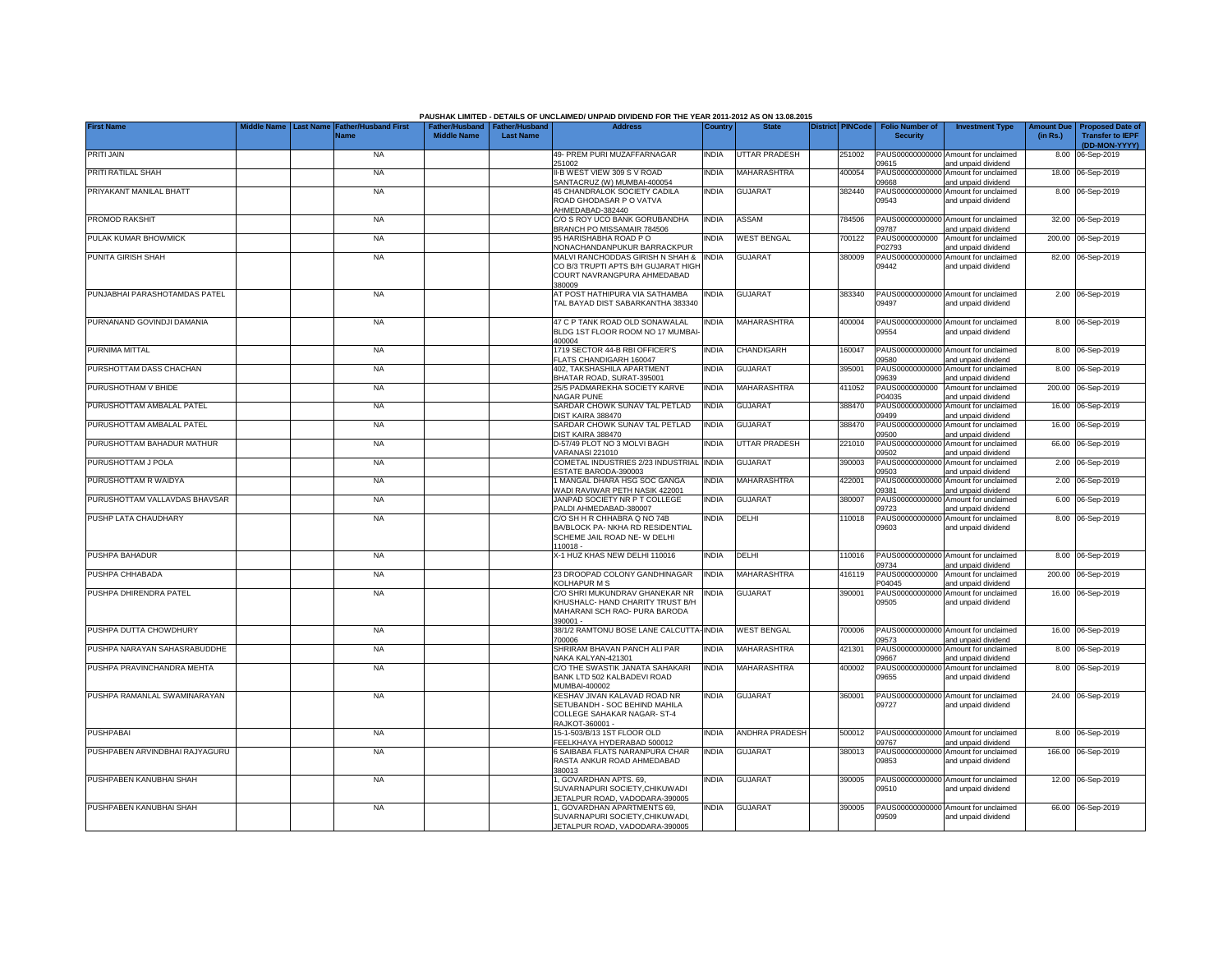|                                |                                     |                    |                                                     | PAUSHAK LIMITED - DETAILS OF UNCLAIMED/ UNPAID DIVIDEND FOR THE YEAR 2011-2012 AS ON 13.08.2015 |              |                       |                         |        |                                           |                                                             |                               |                                                    |
|--------------------------------|-------------------------------------|--------------------|-----------------------------------------------------|-------------------------------------------------------------------------------------------------|--------------|-----------------------|-------------------------|--------|-------------------------------------------|-------------------------------------------------------------|-------------------------------|----------------------------------------------------|
| <b>First Name</b>              | <b>Father/Husband First</b><br>Name | <b>Middle Name</b> | Father/Husband   Father/Husband<br><b>Last Name</b> | <b>Address</b>                                                                                  | Country      | <b>State</b>          | <b>District PINCode</b> |        | <b>Folio Number of</b><br><b>Security</b> | <b>Investment Type</b>                                      | <b>Amount Due</b><br>(in Rs.) | <b>Proposed Date of</b><br><b>Transfer to IEPF</b> |
| <b>PRITI JAIN</b>              | <b>NA</b>                           |                    |                                                     | 49- PREM PURI MUZAFFARNAGAR                                                                     | <b>INDIA</b> | <b>UTTAR PRADESH</b>  |                         | 251002 |                                           | PAUS00000000000 Amount for unclaimed                        |                               | (DD-MON-YYYY)<br>8.00 06-Sep-2019                  |
| PRITI RATILAL SHAH             | <b>NA</b>                           |                    |                                                     | 251002<br>II-B WEST VIEW 309 S V ROAD                                                           | <b>INDIA</b> | MAHARASHTRA           | 400054                  |        | 09615<br>PAUS0000000000                   | and unpaid dividend<br>Amount for unclaimed                 |                               | 18.00 06-Sep-2019                                  |
| PRIYAKANT MANILAL BHATT        | <b>NA</b>                           |                    |                                                     | SANTACRUZ (W) MUMBAI-400054<br>45 CHANDRALOK SOCIETY CADILA                                     | india        | <b>GUJARAT</b>        |                         | 382440 | 09668<br>PAUS0000000000                   | and unpaid dividend<br>Amount for unclaimed                 |                               | 8.00 06-Sep-2019                                   |
|                                |                                     |                    |                                                     | ROAD GHODASAR P O VATVA<br>AHMEDABAD-382440                                                     |              |                       |                         |        | 09543                                     | and unpaid dividend                                         |                               |                                                    |
| PROMOD RAKSHIT                 | <b>NA</b>                           |                    |                                                     | C/O S ROY UCO BANK GORUBANDHA<br>BRANCH PO MISSAMAIR 784506                                     | <b>INDIA</b> | ASSAM                 | 784506                  |        | PAUS0000000000<br>09787                   | Amount for unclaimed<br>and unpaid dividend                 |                               | 32.00 06-Sep-2019                                  |
| PULAK KUMAR BHOWMICK           | <b>NA</b>                           |                    |                                                     | 95 HARISHABHA ROAD PO<br>NONACHANDANPUKUR BARRACKPUR                                            | India        | <b>WEST BENGAL</b>    | 700122                  |        | PAUS0000000000<br>P02793                  | Amount for unclaimed<br>and unpaid dividend                 |                               | 200.00 06-Sep-2019                                 |
| PUNITA GIRISH SHAH             | <b>NA</b>                           |                    |                                                     | MALVI RANCHODDAS GIRISH N SHAH &<br>CO B/3 TRUPTI APTS B/H GUJARAT HIGH                         | <b>INDIA</b> | <b>GUJARAT</b>        | 380009                  |        | PAUS00000000000<br>09442                  | Amount for unclaimed<br>and unpaid dividend                 |                               | 82.00 06-Sep-2019                                  |
|                                |                                     |                    |                                                     | COURT NAVRANGPURA AHMEDABAD<br>380009                                                           |              |                       |                         |        |                                           |                                                             |                               |                                                    |
| PUNJABHAI PARASHOTAMDAS PATEL  | <b>NA</b>                           |                    |                                                     | AT POST HATHIPURA VIA SATHAMBA                                                                  | India        | <b>GUJARAT</b>        |                         | 383340 | PAUS00000000000                           | Amount for unclaimed                                        |                               | 2.00 06-Sep-2019                                   |
|                                |                                     |                    |                                                     | TAL BAYAD DIST SABARKANTHA 383340                                                               |              |                       |                         |        | 09497                                     | and unpaid dividend                                         |                               |                                                    |
| PURNANAND GOVINDJI DAMANIA     | <b>NA</b>                           |                    |                                                     | 47 C P TANK ROAD OLD SONAWALAL                                                                  | INDIA        | <b>MAHARASHTRA</b>    | 400004                  |        | PAUS00000000000                           | Amount for unclaimed                                        |                               | 8.00 06-Sep-2019                                   |
|                                |                                     |                    |                                                     | BLDG 1ST FLOOR ROOM NO 17 MUMBAI<br>400004                                                      |              |                       |                         |        | 09554                                     | and unpaid dividend                                         |                               |                                                    |
| PURNIMA MITTAL                 | <b>NA</b>                           |                    |                                                     | 1719 SECTOR 44-B RBI OFFICER'S                                                                  | INDIA        | <b>CHANDIGARH</b>     | 160047                  |        | PAUS00000000000                           | Amount for unclaimed                                        |                               | 8.00 06-Sep-2019                                   |
| PURSHOTTAM DASS CHACHAN        | <b>NA</b>                           |                    |                                                     | FLATS CHANDIGARH 160047<br>402, TAKSHASHILA APARTMENT                                           | India        | <b>GUJARAT</b>        | 395001                  |        | 09580<br>PAUS0000000000                   | and unpaid dividend<br>Amount for unclaimed                 |                               | 8.00 06-Sep-2019                                   |
| PURUSHOTHAM V BHIDE            | <b>NA</b>                           |                    |                                                     | BHATAR ROAD, SURAT-395001<br>25/5 PADMAREKHA SOCIETY KARVE                                      | india        | <b>MAHARASHTRA</b>    | 411052                  |        | 09639<br>PAUS0000000000                   | and unpaid dividend<br>Amount for unclaimed                 |                               | 200.00 06-Sep-2019                                 |
|                                |                                     |                    |                                                     | <b>NAGAR PUNE</b>                                                                               |              |                       |                         |        | P04035                                    | and unpaid dividend                                         |                               |                                                    |
| PURUSHOTTAM AMBALAL PATEL      | <b>NA</b>                           |                    |                                                     | SARDAR CHOWK SUNAV TAL PETLAD<br>DIST KAIRA 388470                                              | india        | <b>GUJARAT</b>        | 388470                  |        | PAUS0000000000<br>09499                   | Amount for unclaimed<br>and unpaid dividend                 |                               | 16.00 06-Sep-2019                                  |
| PURUSHOTTAM AMBALAL PATEL      | <b>NA</b>                           |                    |                                                     | SARDAR CHOWK SUNAV TAL PETLAD<br>DIST KAIRA 388470                                              | <b>INDIA</b> | <b>GUJARAT</b>        | 388470                  |        | PAUS00000000000<br>09500                  | Amount for unclaimed<br>and unpaid dividend                 |                               | 16.00 06-Sep-2019                                  |
| PURUSHOTTAM BAHADUR MATHUR     | <b>NA</b>                           |                    |                                                     | D-57/49 PLOT NO 3 MOLVI BAGH<br>VARANASI 221010                                                 | INDIA        | <b>UTTAR PRADESH</b>  | 221010                  |        | PAUS00000000000<br>09502                  | Amount for unclaimed<br>and unpaid dividend                 |                               | 66.00 06-Sep-2019                                  |
| PURUSHOTTAM J POLA             | <b>NA</b>                           |                    |                                                     | COMETAL INDUSTRIES 2/23 INDUSTRIAL INDIA                                                        |              | <b>GUJARAT</b>        | 390003                  |        | PAUS00000000000                           | Amount for unclaimed                                        |                               | 2.00 06-Sep-2019                                   |
| PURUSHOTTAM R WAIDYA           | <b>NA</b>                           |                    |                                                     | ESTATE BARODA-390003<br>1 MANGAL DHARA HSG SOC GANGA                                            | india        | MAHARASHTRA           | 422001                  |        | 09503<br>PAUS00000000000                  | and unpaid dividend<br>Amount for unclaimed                 |                               | 2.00 06-Sep-2019                                   |
| PURUSHOTTAM VALLAVDAS BHAVSAR  |                                     |                    |                                                     | WADI RAVIWAR PETH NASIK 422001<br>JANPAD SOCIETY NR P T COLLEGE                                 |              | <b>GUJARAT</b>        | 380007                  |        | 09381<br>PAUS0000000000                   | and unpaid dividend                                         |                               |                                                    |
|                                | <b>NA</b>                           |                    |                                                     | PALDI AHMEDABAD-380007                                                                          | <b>INDIA</b> |                       |                         |        | 09723                                     | Amount for unclaimed<br>and unpaid dividend                 |                               | 6.00 06-Sep-2019                                   |
| PUSHP LATA CHAUDHARY           | <b>NA</b>                           |                    |                                                     | C/O SH H R CHHABRA Q NO 74B<br>BA/BLOCK PA- NKHA RD RESIDENTIAL                                 | India        | DELHI                 | 110018                  |        | PAUS0000000000<br>09603                   | Amount for unclaimed<br>and unpaid dividend                 |                               | 8.00 06-Sep-2019                                   |
|                                |                                     |                    |                                                     | SCHEME JAIL ROAD NE- W DELHI<br>110018 -                                                        |              |                       |                         |        |                                           |                                                             |                               |                                                    |
| PUSHPA BAHADUR                 | <b>NA</b>                           |                    |                                                     | X-1 HUZ KHAS NEW DELHI 110016                                                                   | <b>INDIA</b> | DELHI                 | 110016                  |        | PAUS00000000000                           | Amount for unclaimed                                        |                               | 8.00 06-Sep-2019                                   |
| PUSHPA CHHABADA                | <b>NA</b>                           |                    |                                                     | 23 DROOPAD COLONY GANDHINAGAR                                                                   | <b>INDIA</b> | MAHARASHTRA           | 416119                  |        | 09734<br>PAUS0000000000                   | and unpaid dividend<br>Amount for unclaimed                 |                               | 200.00 06-Sep-2019                                 |
| PUSHPA DHIRENDRA PATEL         | <b>NA</b>                           |                    |                                                     | <b>KOLHAPUR M S</b><br>C/O SHRI MUKUNDRAV GHANEKAR NR                                           |              | <b>GUJARAT</b>        |                         |        | P04045<br>PAUS0000000000                  | and unpaid dividend                                         |                               |                                                    |
|                                |                                     |                    |                                                     | KHUSHALC- HAND CHARITY TRUST B/H                                                                | <b>INDIA</b> |                       | 390001                  |        | 09505                                     | Amount for unclaimed<br>and unpaid dividend                 |                               | 16.00 06-Sep-2019                                  |
|                                |                                     |                    |                                                     | MAHARANI SCH RAO- PURA BARODA<br>390001 -                                                       |              |                       |                         |        |                                           |                                                             |                               |                                                    |
| PUSHPA DUTTA CHOWDHURY         | <b>NA</b>                           |                    |                                                     | 38/1/2 RAMTONU BOSE LANE CALCUTTA-INDIA<br>700006                                               |              | <b>WEST BENGAL</b>    | 700006                  |        | 09573                                     | PAUS00000000000 Amount for unclaimed<br>and unpaid dividend |                               | 16.00 06-Sep-2019                                  |
| PUSHPA NARAYAN SAHASRABUDDHE   | <b>NA</b>                           |                    |                                                     | SHRIRAM BHAVAN PANCH ALI PAR<br>NAKA KALYAN-421301                                              | INDIA        | MAHARASHTRA           | 421301                  |        | PAUS00000000000<br>09667                  | Amount for unclaimed                                        |                               | 8.00 06-Sep-2019                                   |
| PUSHPA PRAVINCHANDRA MEHTA     | <b>NA</b>                           |                    |                                                     | C/O THE SWASTIK JANATA SAHAKARI                                                                 | <b>INDIA</b> | MAHARASHTRA           | 400002                  |        | PAUS0000000000                            | and unpaid dividend<br>Amount for unclaimed                 |                               | 8.00 06-Sep-2019                                   |
|                                |                                     |                    |                                                     | BANK LTD 502 KALBADEVI ROAD<br>MUMBAI-400002                                                    |              |                       |                         |        | 09655                                     | and unpaid dividend                                         |                               |                                                    |
| PUSHPA RAMANLAL SWAMINARAYAN   | <b>NA</b>                           |                    |                                                     | KESHAV JIVAN KALAVAD ROAD NR<br>SETUBANDH - SOC BEHIND MAHILA                                   | <b>INDIA</b> | <b>GUJARAT</b>        | 360001                  |        | PAUS0000000000                            | Amount for unclaimed                                        |                               | 24.00 06-Sep-2019                                  |
|                                |                                     |                    |                                                     | COLLEGE SAHAKAR NAGAR- ST-4                                                                     |              |                       |                         |        | 09727                                     | and unpaid dividend                                         |                               |                                                    |
| <b>PUSHPABAI</b>               | <b>NA</b>                           |                    |                                                     | RAJKOT-360001 -<br>15-1-503/B/13 1ST FLOOR OLD                                                  | INDIA        | <b>ANDHRA PRADESH</b> | 500012                  |        |                                           | PAUS00000000000 Amount for unclaimed                        |                               | 8.00 06-Sep-2019                                   |
|                                |                                     |                    |                                                     | FEELKHAYA HYDERABAD 500012                                                                      |              |                       |                         |        | 09767                                     | and unpaid dividend                                         |                               |                                                    |
| PUSHPABEN ARVINDBHAI RAJYAGURU | <b>NA</b>                           |                    |                                                     | 6 SAIBABA FLATS NARANPURA CHAR<br>RASTA ANKUR ROAD AHMEDABAD                                    | INDIA        | <b>GUJARAT</b>        | 380013                  |        | 09853                                     | PAUS00000000000 Amount for unclaimed<br>and unpaid dividend |                               | 166.00 06-Sep-2019                                 |
|                                |                                     |                    |                                                     | 380013                                                                                          |              |                       |                         |        |                                           |                                                             |                               |                                                    |
| PUSHPABEN KANUBHAI SHAH        | <b>NA</b>                           |                    |                                                     | I, GOVARDHAN APTS. 69,<br>SUVARNAPURI SOCIETY.CHIKUWADI                                         | india        | <b>GUJARAT</b>        |                         | 390005 | PAUS0000000000<br>09510                   | Amount for unclaimed<br>and unpaid dividend                 |                               | 12.00 06-Sep-2019                                  |
|                                |                                     |                    |                                                     | JETALPUR ROAD, VADODARA-390005                                                                  |              |                       |                         |        |                                           |                                                             |                               |                                                    |
| PUSHPABEN KANUBHAI SHAH        | <b>NA</b>                           |                    |                                                     | , GOVARDHAN APARTMENTS 69,<br>SUVARNAPURI SOCIETY, CHIKUWADI,                                   | india        | <b>GUJARAT</b>        | 390005                  |        | PAUS00000000000<br>09509                  | Amount for unclaimed<br>and unpaid dividend                 |                               | 66.00 06-Sep-2019                                  |
|                                |                                     |                    |                                                     | JETALPUR ROAD, VADODARA-390005                                                                  |              |                       |                         |        |                                           |                                                             |                               |                                                    |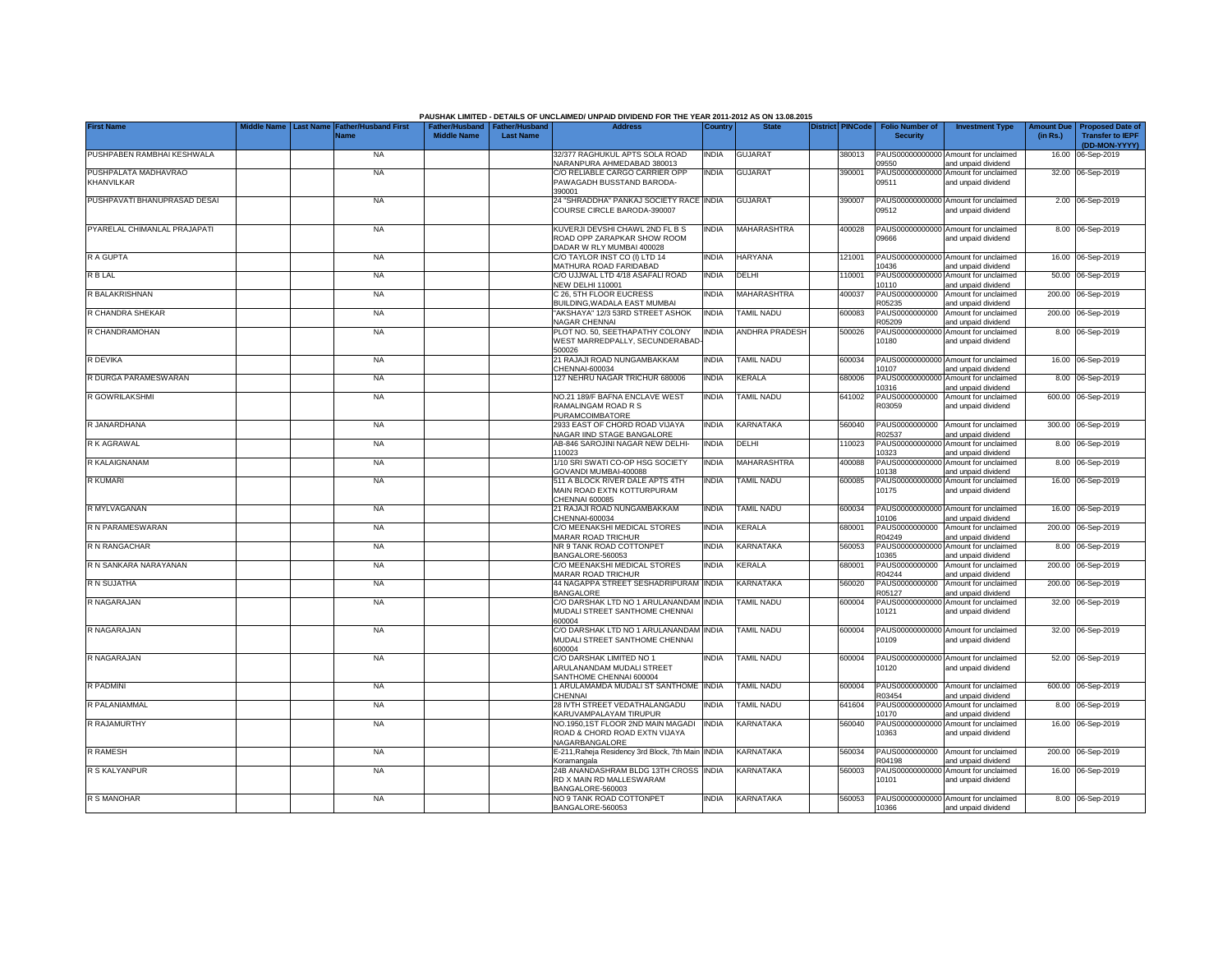|                                    |                                 | <b>Father/Husband First</b> |                    |                                                     | PAUSHAK LIMITED - DETAILS OF UNCLAIMED/ UNPAID DIVIDEND FOR THE YEAR 2011-2012 AS ON 13.08.2015 |              |                       | District PINCode |                                           |                                                             |                               |                                                                     |
|------------------------------------|---------------------------------|-----------------------------|--------------------|-----------------------------------------------------|-------------------------------------------------------------------------------------------------|--------------|-----------------------|------------------|-------------------------------------------|-------------------------------------------------------------|-------------------------------|---------------------------------------------------------------------|
| <b>First Name</b>                  | Middle Name<br><b>Last Name</b> | <b>Name</b>                 | <b>Middle Name</b> | Father/Husband   Father/Husband<br><b>Last Name</b> | <b>Address</b>                                                                                  | Country      | <b>State</b>          |                  | <b>Folio Number of</b><br><b>Security</b> | <b>Investment Type</b>                                      | <b>Amount Due</b><br>(in Rs.) | <b>Proposed Date of</b><br><b>Transfer to IEPF</b><br>(DD-MON-YYYY) |
| PUSHPABEN RAMBHAI KESHWALA         |                                 | <b>NA</b>                   |                    |                                                     | 32/377 RAGHUKUL APTS SOLA ROAD<br>NARANPURA AHMEDABAD 380013                                    | <b>INDIA</b> | <b>GUJARAT</b>        | 380013           | 09550                                     | PAUS00000000000 Amount for unclaimed<br>and unpaid dividend |                               | 16.00 06-Sep-2019                                                   |
| PUSHPALATA MADHAVRAO<br>KHANVILKAR |                                 | <b>NA</b>                   |                    |                                                     | C/O RELIABLE CARGO CARRIER OPP<br>PAWAGADH BUSSTAND BARODA-<br>390001                           | <b>INDIA</b> | <b>GUJARAT</b>        | 390001           | PAUS0000000000<br>09511                   | Amount for unclaimed<br>and unpaid dividend                 |                               | 32.00 06-Sep-2019                                                   |
| PUSHPAVATI BHANUPRASAD DESAI       |                                 | <b>NA</b>                   |                    |                                                     | 24 "SHRADDHA" PANKAJ SOCIETY RACE INDIA<br>COURSE CIRCLE BARODA-390007                          |              | <b>GUJARAT</b>        | 390007           | 09512                                     | PAUS00000000000 Amount for unclaimed<br>and unpaid dividend |                               | 2.00 06-Sep-2019                                                    |
| PYARELAL CHIMANLAL PRAJAPATI       |                                 | <b>NA</b>                   |                    |                                                     | KUVERJI DEVSHI CHAWL 2ND FL B S<br>ROAD OPP ZARAPKAR SHOW ROOM<br>DADAR W RLY MUMBAI 400028     | <b>INDIA</b> | <b>MAHARASHTRA</b>    | 400028           | 09666                                     | PAUS00000000000 Amount for unclaimed<br>and unpaid dividend |                               | 8.00 06-Sep-2019                                                    |
| R A GUPTA                          |                                 | <b>NA</b>                   |                    |                                                     | C/O TAYLOR INST CO (I) LTD 14<br>MATHURA ROAD FARIDABAD                                         | <b>INDIA</b> | <b>HARYANA</b>        | 121001           | PAUS00000000000<br>10436                  | Amount for unclaimed<br>and unpaid dividend                 |                               | 16.00 06-Sep-2019                                                   |
| R B LAL                            |                                 | <b>NA</b>                   |                    |                                                     | C/O UJJWAL LTD 4/18 ASAFALI ROAD<br>NEW DELHI 110001                                            | <b>INDIA</b> | DELHI                 | 110001           | PAUS00000000000<br>10110                  | Amount for unclaimed<br>and unpaid dividend                 |                               | 50.00 06-Sep-2019                                                   |
| R BALAKRISHNAN                     |                                 | <b>NA</b>                   |                    |                                                     | C 26. 5TH FLOOR EUCRESS<br>BUILDING, WADALA EAST MUMBAI                                         | <b>NDIA</b>  | <b>MAHARASHTRA</b>    | 400037           | PAUS0000000000<br>R05235                  | Amount for unclaimed<br>and unpaid dividend                 |                               | 200.00 06-Sep-2019                                                  |
| R CHANDRA SHEKAR                   |                                 | <b>NA</b>                   |                    |                                                     | 'AKSHAYA" 12/3 53RD STREET ASHOK<br><b>NAGAR CHENNAI</b>                                        | <b>INDIA</b> | TAMIL NADU            | 600083           | PAUS0000000000<br>R05209                  | Amount for unclaimed<br>and unpaid dividend                 |                               | 200.00 06-Sep-2019                                                  |
| R CHANDRAMOHAN                     |                                 | <b>NA</b>                   |                    |                                                     | PLOT NO. 50, SEETHAPATHY COLONY<br>WEST MARREDPALLY, SECUNDERABAD<br>500026                     | <b>INDIA</b> | <b>ANDHRA PRADESH</b> | 500026           | PAUS00000000000<br>10180                  | Amount for unclaimed<br>and unpaid dividend                 |                               | 8.00 06-Sep-2019                                                    |
| R DEVIKA                           |                                 | <b>NA</b>                   |                    |                                                     | 21 RAJAJI ROAD NUNGAMBAKKAM<br>CHENNAI-600034                                                   | <b>INDIA</b> | <b>TAMIL NADU</b>     | 600034           | PAUS00000000000<br>10107                  | Amount for unclaimed<br>and unpaid dividend                 |                               | 16.00 06-Sep-2019                                                   |
| R DURGA PARAMESWARAN               |                                 | <b>NA</b>                   |                    |                                                     | 127 NEHRU NAGAR TRICHUR 680006                                                                  | <b>INDIA</b> | <b>KERALA</b>         | 680006           | PAUS00000000000<br>10316                  | Amount for unclaimed<br>and unpaid dividend                 |                               | 8.00 06-Sep-2019                                                    |
| R GOWRILAKSHMI                     |                                 | <b>NA</b>                   |                    |                                                     | NO.21 189/F BAFNA ENCLAVE WEST<br>RAMALINGAM ROAD R S<br>PURAMCOIMBATORE                        | <b>INDIA</b> | <b>TAMIL NADU</b>     | 641002           | PAUS0000000000<br>R03059                  | Amount for unclaimed<br>and unpaid dividend                 |                               | 600.00 06-Sep-2019                                                  |
| R JANARDHANA                       |                                 | <b>NA</b>                   |                    |                                                     | 2933 EAST OF CHORD ROAD VIJAYA<br>NAGAR IIND STAGE BANGALORE                                    | <b>INDIA</b> | <b>KARNATAKA</b>      | 560040           | PAUS0000000000<br>R02537                  | Amount for unclaimed<br>and unpaid dividend                 |                               | 300.00 06-Sep-2019                                                  |
| R K AGRAWAL                        |                                 | <b>NA</b>                   |                    |                                                     | AB-846 SAROJINI NAGAR NEW DELHI-<br>110023                                                      | <b>INDIA</b> | DELHI                 | 110023           | PAUS00000000000<br>10323                  | Amount for unclaimed<br>and unpaid dividend                 |                               | 8.00 06-Sep-2019                                                    |
| R KALAIGNANAM                      |                                 | <b>NA</b>                   |                    |                                                     | 1/10 SRI SWATI CO-OP HSG SOCIETY<br>GOVANDI MUMBAI-400088                                       | <b>INDIA</b> | <b>MAHARASHTRA</b>    | 400088           | PAUS00000000000<br>10138                  | Amount for unclaimed<br>and unpaid dividend                 |                               | 8.00 06-Sep-2019                                                    |
| R KUMARI                           |                                 | <b>NA</b>                   |                    |                                                     | 511 A BLOCK RIVER DALE APTS 4TH<br>MAIN ROAD EXTN KOTTURPURAM<br>CHENNAI 600085                 | <b>INDIA</b> | <b>TAMIL NADU</b>     | 600085           | 10175                                     | PAUS00000000000 Amount for unclaimed<br>and unpaid dividend |                               | 16.00 06-Sep-2019                                                   |
| R MYLVAGANAN                       |                                 | <b>NA</b>                   |                    |                                                     | 21 RAJAJI ROAD NUNGAMBAKKAM<br>CHENNAI-600034                                                   | <b>INDIA</b> | <b>TAMIL NADU</b>     | 600034           | 10106                                     | PAUS00000000000 Amount for unclaimed<br>and unpaid dividend |                               | 16.00 06-Sep-2019                                                   |
| R N PARAMESWARAN                   |                                 | <b>NA</b>                   |                    |                                                     | C/O MEENAKSHI MEDICAL STORES<br>MARAR ROAD TRICHUR                                              | INDIA        | <b>KERALA</b>         | 680001           | PAUS0000000000<br>R04249                  | Amount for unclaimed<br>and unpaid dividend                 |                               | 200.00 06-Sep-2019                                                  |
| R N RANGACHAR                      |                                 | <b>NA</b>                   |                    |                                                     | NR 9 TANK ROAD COTTONPET<br>BANGALORE-560053                                                    | <b>INDIA</b> | KARNATAKA             | 560053           | PAUS00000000000<br>10365                  | Amount for unclaimed<br>and unpaid dividend                 |                               | 8.00 06-Sep-2019                                                    |
| R N SANKARA NARAYANAN              |                                 | <b>NA</b>                   |                    |                                                     | C/O MEENAKSHI MEDICAL STORES<br>MARAR ROAD TRICHUR                                              | <b>INDIA</b> | <b>KERALA</b>         | 680001           | PAUS0000000000<br>R04244                  | Amount for unclaimed<br>and unpaid dividend                 |                               | 200.00 06-Sep-2019                                                  |
| R N SUJATHA                        |                                 | <b>NA</b>                   |                    |                                                     | 44 NAGAPPA STREET SESHADRIPURAM INDIA<br><b>BANGALORE</b>                                       |              | KARNATAKA             | 560020           | PAUS0000000000<br>R05127                  | Amount for unclaimed<br>and unpaid dividend                 |                               | 200.00 06-Sep-2019                                                  |
| R NAGARAJAN                        |                                 | <b>NA</b>                   |                    |                                                     | C/O DARSHAK LTD NO 1 ARULANANDAM INDIA<br>MUDALI STREET SANTHOME CHENNAI<br>600004              |              | <b>TAMIL NADU</b>     | 600004           | 10121                                     | PAUS00000000000 Amount for unclaimed<br>and unpaid dividend |                               | 32.00 06-Sep-2019                                                   |
| R NAGARAJAN                        |                                 | <b>NA</b>                   |                    |                                                     | C/O DARSHAK LTD NO 1 ARULANANDAM INDIA<br>MUDALI STREET SANTHOME CHENNAI<br>600004              |              | <b>TAMIL NADU</b>     | 600004           | 10109                                     | PAUS00000000000 Amount for unclaimed<br>and unpaid dividend |                               | 32.00 06-Sep-2019                                                   |
| R NAGARAJAN                        |                                 | <b>NA</b>                   |                    |                                                     | C/O DARSHAK LIMITED NO 1<br>ARULANANDAM MUDALI STREET<br>SANTHOME CHENNAI 600004                | <b>NDIA</b>  | <b>TAMIL NADU</b>     | 600004           | 10120                                     | PAUS00000000000 Amount for unclaimed<br>and unpaid dividend |                               | 52.00 06-Sep-2019                                                   |
| R PADMINI                          |                                 | <b>NA</b>                   |                    |                                                     | 1 ARULAMAMDA MUDALI ST SANTHOME INDIA<br>CHENNAI                                                |              | <b>TAMIL NADU</b>     | 600004           | PAUS0000000000<br>R03454                  | Amount for unclaimed<br>and unpaid dividend                 |                               | 600.00 06-Sep-2019                                                  |
| R PALANIAMMAL                      |                                 | <b>NA</b>                   |                    |                                                     | 28 IVTH STREET VEDATHALANGADU<br>KARUVAMPALAYAM TIRUPUR                                         | <b>INDIA</b> | <b>TAMIL NADU</b>     | 641604           | 10170                                     | PAUS00000000000 Amount for unclaimed<br>and unpaid dividend |                               | 8.00 06-Sep-2019                                                    |
| R RAJAMURTHY                       |                                 | <b>NA</b>                   |                    |                                                     | NO.1950,1ST FLOOR 2ND MAIN MAGADI<br>ROAD & CHORD ROAD EXTN VIJAYA<br>NAGARBANGALORE            | <b>INDIA</b> | KARNATAKA             | 560040           | 10363                                     | PAUS00000000000 Amount for unclaimed<br>and unpaid dividend |                               | 16.00 06-Sep-2019                                                   |
| <b>R RAMESH</b>                    |                                 | <b>NA</b>                   |                    |                                                     | E-211, Raheja Residency 3rd Block, 7th Main<br>Koramangala                                      | <b>INDIA</b> | KARNATAKA             | 560034           | PAUS0000000000<br>R04198                  | Amount for unclaimed<br>and unpaid dividend                 |                               | 200.00 06-Sep-2019                                                  |
| R S KALYANPUR                      |                                 | <b>NA</b>                   |                    |                                                     | 24B ANANDASHRAM BLDG 13TH CROSS<br>RD X MAIN RD MALLESWARAM<br>BANGALORE-560003                 | <b>INDIA</b> | KARNATAKA             | 560003           | PAUS00000000000<br>10101                  | Amount for unclaimed<br>and unpaid dividend                 |                               | 16.00 06-Sep-2019                                                   |
| R S MANOHAR                        |                                 | <b>NA</b>                   |                    |                                                     | NO 9 TANK ROAD COTTONPET<br>BANGALORE-560053                                                    | <b>INDIA</b> | KARNATAKA             | 560053           | 10366                                     | PAUS00000000000 Amount for unclaimed<br>and unpaid dividend |                               | 8.00 06-Sep-2019                                                    |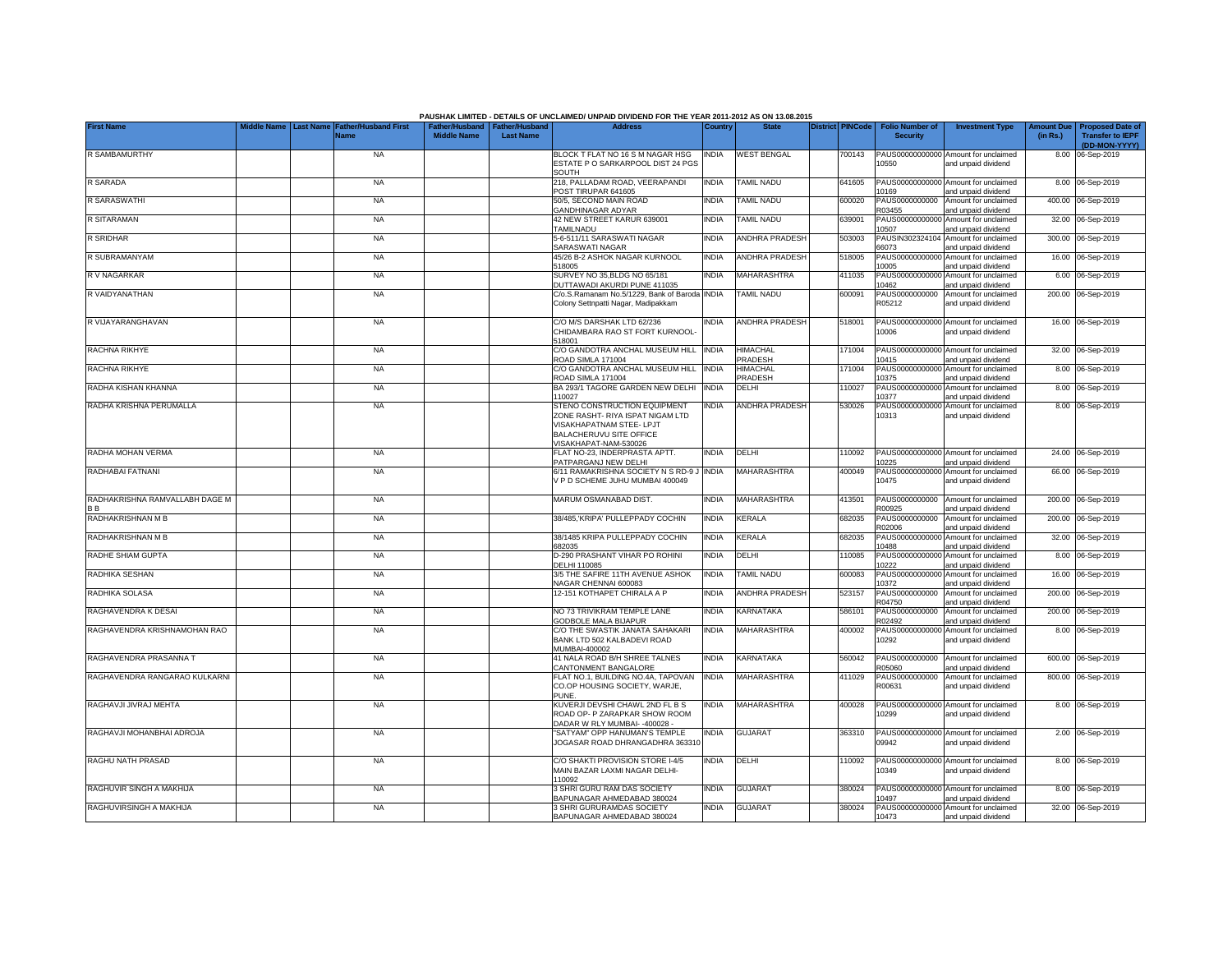|                                                  | Middle Name |                  |                                            |                                                       |                  | PAUSHAK LIMITED - DETAILS OF UNCLAIMED/ UNPAID DIVIDEND FOR THE YEAR 2011-2012 AS ON 13.08.2015<br><b>Address</b>                                |              | <b>State</b>               | <b>District PINCode</b> |                                           |                                                             |                               |                                                    |
|--------------------------------------------------|-------------|------------------|--------------------------------------------|-------------------------------------------------------|------------------|--------------------------------------------------------------------------------------------------------------------------------------------------|--------------|----------------------------|-------------------------|-------------------------------------------|-------------------------------------------------------------|-------------------------------|----------------------------------------------------|
| <b>First Name</b>                                |             | <b>Last Name</b> | <b>Father/Husband First</b><br><b>Name</b> | Father/Husband   Father/Husband<br><b>Middle Name</b> | <b>Last Name</b> |                                                                                                                                                  | Country      |                            |                         | <b>Folio Number of</b><br><b>Security</b> | <b>Investment Type</b>                                      | <b>Amount Due</b><br>(in Rs.) | <b>Proposed Date of</b><br><b>Transfer to IEPF</b> |
|                                                  |             |                  |                                            |                                                       |                  |                                                                                                                                                  |              |                            |                         |                                           |                                                             |                               | (DD-MON-YYYY)                                      |
| <b>R SAMBAMURTHY</b>                             |             |                  | <b>NA</b>                                  |                                                       |                  | BLOCK T FLAT NO 16 S M NAGAR HSG<br>ESTATE P O SARKARPOOL DIST 24 PGS<br>SOUTH                                                                   | INDIA        | <b>WEST BENGAL</b>         | 700143                  | 10550                                     | PAUS00000000000 Amount for unclaimed<br>and unpaid dividend |                               | 8.00 06-Sep-2019                                   |
| R SARADA                                         |             |                  | <b>NA</b>                                  |                                                       |                  | 218, PALLADAM ROAD, VEERAPANDI<br>POST TIRUPAR 641605                                                                                            | <b>INDIA</b> | <b>TAMIL NADU</b>          | 641605                  | 10169                                     | PAUS00000000000 Amount for unclaimed<br>and unpaid dividend |                               | 8.00 06-Sep-2019                                   |
| R SARASWATHI                                     |             |                  | <b>NA</b>                                  |                                                       |                  | 50/5, SECOND MAIN ROAD<br>GANDHINAGAR ADYAR                                                                                                      | INDIA        | <b>TAMIL NADU</b>          | 600020                  | PAUS0000000000<br>R03455                  | Amount for unclaimed<br>and unpaid dividend                 |                               | 400.00 06-Sep-2019                                 |
| R SITARAMAN                                      |             |                  | NA                                         |                                                       |                  | 42 NEW STREET KARUR 639001<br>TAMILNADU                                                                                                          | INDIA        | <b>TAMIL NADU</b>          | 639001                  | PAUS00000000000<br>10507                  | Amount for unclaimed<br>and unpaid dividend                 |                               | 32.00 06-Sep-2019                                  |
| <b>R SRIDHAR</b>                                 |             |                  | <b>NA</b>                                  |                                                       |                  | 5-6-511/11 SARASWATI NAGAR<br><b>SARASWATI NAGAR</b>                                                                                             | <b>INDIA</b> | ANDHRA PRADESH             | 503003                  | PAUSIN302324104<br>66073                  | Amount for unclaimed<br>and unpaid dividend                 |                               | 300.00 06-Sep-2019                                 |
| R SUBRAMANYAM                                    |             |                  | <b>NA</b>                                  |                                                       |                  | 45/26 B-2 ASHOK NAGAR KURNOOL<br>518005                                                                                                          | <b>INDIA</b> | ANDHRA PRADESH             | 518005                  | PAUS0000000000<br>10005                   | Amount for unclaimed<br>and unpaid dividend                 |                               | 16.00 06-Sep-2019                                  |
| R V NAGARKAR                                     |             |                  | <b>NA</b>                                  |                                                       |                  | SURVEY NO 35, BLDG NO 65/181<br>DUTTAWADI AKURDI PUNE 411035                                                                                     | <b>INDIA</b> | <b>MAHARASHTRA</b>         | 411035                  | PAUS0000000000<br>10462                   | Amount for unclaimed<br>and unpaid dividend                 |                               | 6.00 06-Sep-2019                                   |
| R VAIDYANATHAN                                   |             |                  | <b>NA</b>                                  |                                                       |                  | C/o.S.Ramanam No.5/1229, Bank of Baroda<br>Colony Settnpatti Nagar, Madipakkam                                                                   | <b>INDIA</b> | <b>TAMIL NADU</b>          | 600091                  | PAUS0000000000<br>R05212                  | Amount for unclaimed<br>and unpaid dividend                 |                               | 200.00 06-Sep-2019                                 |
| R VIJAYARANGHAVAN                                |             |                  | <b>NA</b>                                  |                                                       |                  | C/O M/S DARSHAK LTD 62/236<br>CHIDAMBARA RAO ST FORT KURNOOL-<br>518001                                                                          | INDIA        | <b>ANDHRA PRADESH</b>      | 518001                  | 10006                                     | PAUS00000000000 Amount for unclaimed<br>and unpaid dividend |                               | 16.00 06-Sep-2019                                  |
| RACHNA RIKHYE                                    |             |                  | <b>NA</b>                                  |                                                       |                  | C/O GANDOTRA ANCHAL MUSEUM HILL<br>ROAD SIMLA 171004                                                                                             | <b>INDIA</b> | <b>HIMACHAL</b><br>PRADESH | 171004                  | 10415                                     | PAUS00000000000 Amount for unclaimed<br>and unpaid dividend |                               | 32.00 06-Sep-2019                                  |
| RACHNA RIKHYE                                    |             |                  | <b>NA</b>                                  |                                                       |                  | C/O GANDOTRA ANCHAL MUSEUM HILL<br>ROAD SIMLA 171004                                                                                             | <b>INDIA</b> | HIMACHAL<br>PRADESH        | 171004                  | 10375                                     | PAUS00000000000 Amount for unclaimed<br>and unpaid dividend |                               | 8.00 06-Sep-2019                                   |
| RADHA KISHAN KHANNA                              |             |                  | <b>NA</b>                                  |                                                       |                  | BA 293/1 TAGORE GARDEN NEW DELHI<br>110027                                                                                                       | <b>INDIA</b> | DELHI                      | 110027                  | 10377                                     | PAUS00000000000 Amount for unclaimed<br>and unpaid dividend |                               | 8.00 06-Sep-2019                                   |
| RADHA KRISHNA PERUMALLA                          |             |                  | <b>NA</b>                                  |                                                       |                  | STENO CONSTRUCTION EQUIPMENT<br>ZONE RASHT- RIYA ISPAT NIGAM LTD<br>VISAKHAPATNAM STEE- LPJT<br>BALACHERUVU SITE OFFICE<br>VISAKHAPAT-NAM-530026 | India        | ANDHRA PRADESH             | 530026                  | 10313                                     | PAUS00000000000 Amount for unclaimed<br>and unpaid dividend |                               | 8.00 06-Sep-2019                                   |
| RADHA MOHAN VERMA                                |             |                  | <b>NA</b>                                  |                                                       |                  | FLAT NO-23. INDERPRASTA APTT.<br>PATPARGANJ NEW DELHI                                                                                            | <b>INDIA</b> | DELHI                      | 110092                  | 10225                                     | PAUS00000000000 Amount for unclaimed<br>and unpaid dividend |                               | 24.00 06-Sep-2019                                  |
| RADHABAI FATNANI                                 |             |                  | <b>NA</b>                                  |                                                       |                  | 6/11 RAMAKRISHNA SOCIETY N S RD-9 J<br>V P D SCHEME JUHU MUMBAI 400049                                                                           | <b>INDIA</b> | MAHARASHTRA                | 400049                  | 10475                                     | PAUS00000000000 Amount for unclaimed<br>and unpaid dividend |                               | 66.00 06-Sep-2019                                  |
| RADHAKRISHNA RAMVALLABH DAGE M<br>B <sub>B</sub> |             |                  | <b>NA</b>                                  |                                                       |                  | MARUM OSMANABAD DIST.                                                                                                                            | <b>INDIA</b> | <b>MAHARASHTRA</b>         | 413501                  | PAUS0000000000<br>R00925                  | Amount for unclaimed<br>and unpaid dividend                 |                               | 200.00 06-Sep-2019                                 |
| RADHAKRISHNAN M B                                |             |                  | <b>NA</b>                                  |                                                       |                  | 38/485, KRIPA' PULLEPPADY COCHIN                                                                                                                 | india        | KERALA                     | 682035                  | PAUS0000000000<br>R02006                  | Amount for unclaimed<br>and unpaid dividend                 | 200.00                        | 06-Sep-2019                                        |
| RADHAKRISHNAN M B                                |             |                  | <b>NA</b>                                  |                                                       |                  | 38/1485 KRIPA PULLEPPADY COCHIN<br>682035                                                                                                        | INDIA        | <b>KERALA</b>              | 682035                  | PAUS0000000000<br>10488                   | Amount for unclaimed<br>and unpaid dividend                 | 32.00                         | 06-Sep-2019                                        |
| RADHE SHIAM GUPTA                                |             |                  | <b>NA</b>                                  |                                                       |                  | D-290 PRASHANT VIHAR PO ROHINI<br>DELHI 110085                                                                                                   | INDIA        | DELHI                      | 110085                  | PAUS0000000000<br>10222                   | Amount for unclaimed<br>and unpaid dividend                 | 8.00                          | 06-Sep-2019                                        |
| RADHIKA SESHAN                                   |             |                  | NA                                         |                                                       |                  | 3/5 THE SAFIRE 11TH AVENUE ASHOK<br>NAGAR CHENNAI 600083                                                                                         | <b>INDIA</b> | TAMIL NADU                 | 600083                  | PAUS0000000000<br>10372                   | Amount for unclaimed<br>and unpaid dividend                 |                               | 16.00 06-Sep-2019                                  |
| RADHIKA SOLASA                                   |             |                  | <b>NA</b>                                  |                                                       |                  | 12-151 KOTHAPET CHIRALA A P                                                                                                                      | INDIA        | <b>ANDHRA PRADESH</b>      | 523157                  | PAUS0000000000<br>R04750                  | Amount for unclaimed<br>and unpaid dividend                 |                               | 200.00 06-Sep-2019                                 |
| RAGHAVENDRA K DESAI                              |             |                  | <b>NA</b>                                  |                                                       |                  | NO 73 TRIVIKRAM TEMPLE LANE<br>GODBOLE MALA BIJAPUR                                                                                              | INDIA        | KARNATAKA                  | 586101                  | PAUS0000000000<br>R02492                  | Amount for unclaimed<br>and unpaid dividend                 |                               | 200.00 06-Sep-2019                                 |
| RAGHAVENDRA KRISHNAMOHAN RAO                     |             |                  | NA                                         |                                                       |                  | C/O THE SWASTIK JANATA SAHAKARI<br>BANK LTD 502 KALBADEVI ROAD<br>MUMBAI-400002                                                                  | <b>INDIA</b> | MAHARASHTRA                | 400002                  | PAUS00000000000<br>10292                  | Amount for unclaimed<br>and unpaid dividend                 |                               | 8.00 06-Sep-2019                                   |
| RAGHAVENDRA PRASANNA T                           |             |                  | <b>NA</b>                                  |                                                       |                  | 41 NALA ROAD B/H SHREE TALNES<br>CANTONMENT BANGALORE                                                                                            | india        | KARNATAKA                  | 560042                  | PAUS0000000000<br>R05060                  | Amount for unclaimed<br>and unpaid dividend                 |                               | 600.00 06-Sep-2019                                 |
| RAGHAVENDRA RANGARAO KULKARNI                    |             |                  | <b>NA</b>                                  |                                                       |                  | FLAT NO.1, BUILDING NO.4A, TAPOVAN<br>CO.OP HOUSING SOCIETY, WARJE.<br>PUNE.                                                                     | <b>INDIA</b> | MAHARASHTRA                | 411029                  | PAUS0000000000<br>R00631                  | Amount for unclaimed<br>and unpaid dividend                 |                               | 800.00 06-Sep-2019                                 |
| RAGHAVJI JIVRAJ MEHTA                            |             |                  | <b>NA</b>                                  |                                                       |                  | KUVERJI DEVSHI CHAWL 2ND FL B S<br>ROAD OP- P ZARAPKAR SHOW ROOM<br>DADAR W RLY MUMBAI- - 400028 -                                               | INDIA        | MAHARASHTRA                | 400028                  | 10299                                     | PAUS00000000000 Amount for unclaimed<br>and unpaid dividend |                               | 8.00 06-Sep-2019                                   |
| RAGHAVJI MOHANBHAI ADROJA                        |             |                  | <b>NA</b>                                  |                                                       |                  | SATYAM" OPP HANUMAN'S TEMPLE<br>JOGASAR ROAD DHRANGADHRA 363310                                                                                  | INDIA        | <b>GUJARAT</b>             | 363310                  | 09942                                     | PAUS00000000000 Amount for unclaimed<br>and unpaid dividend |                               | 2.00 06-Sep-2019                                   |
| RAGHU NATH PRASAD                                |             |                  | <b>NA</b>                                  |                                                       |                  | C/O SHAKTI PROVISION STORE I-4/5<br>MAIN BAZAR LAXMI NAGAR DELHI-<br>110092                                                                      | <b>INDIA</b> | DELHI                      | 110092                  | 10349                                     | PAUS00000000000 Amount for unclaimed<br>and unpaid dividend |                               | 8.00 06-Sep-2019                                   |
| RAGHUVIR SINGH A MAKHIJA                         |             |                  | <b>NA</b>                                  |                                                       |                  | 3 SHRI GURU RAM DAS SOCIETY<br>BAPUNAGAR AHMEDABAD 380024                                                                                        | INDIA        | <b>GUJARAT</b>             | 380024                  | 10497                                     | PAUS00000000000 Amount for unclaimed<br>and unpaid dividend |                               | 8.00 06-Sep-2019                                   |
| RAGHUVIRSINGH A MAKHIJA                          |             |                  | <b>NA</b>                                  |                                                       |                  | 3 SHRI GURURAMDAS SOCIETY<br>BAPUNAGAR AHMEDABAD 380024                                                                                          | <b>INDIA</b> | <b>GUJARAT</b>             | 380024                  | 10473                                     | PAUS00000000000 Amount for unclaimed<br>and unpaid dividend |                               | 32.00 06-Sep-2019                                  |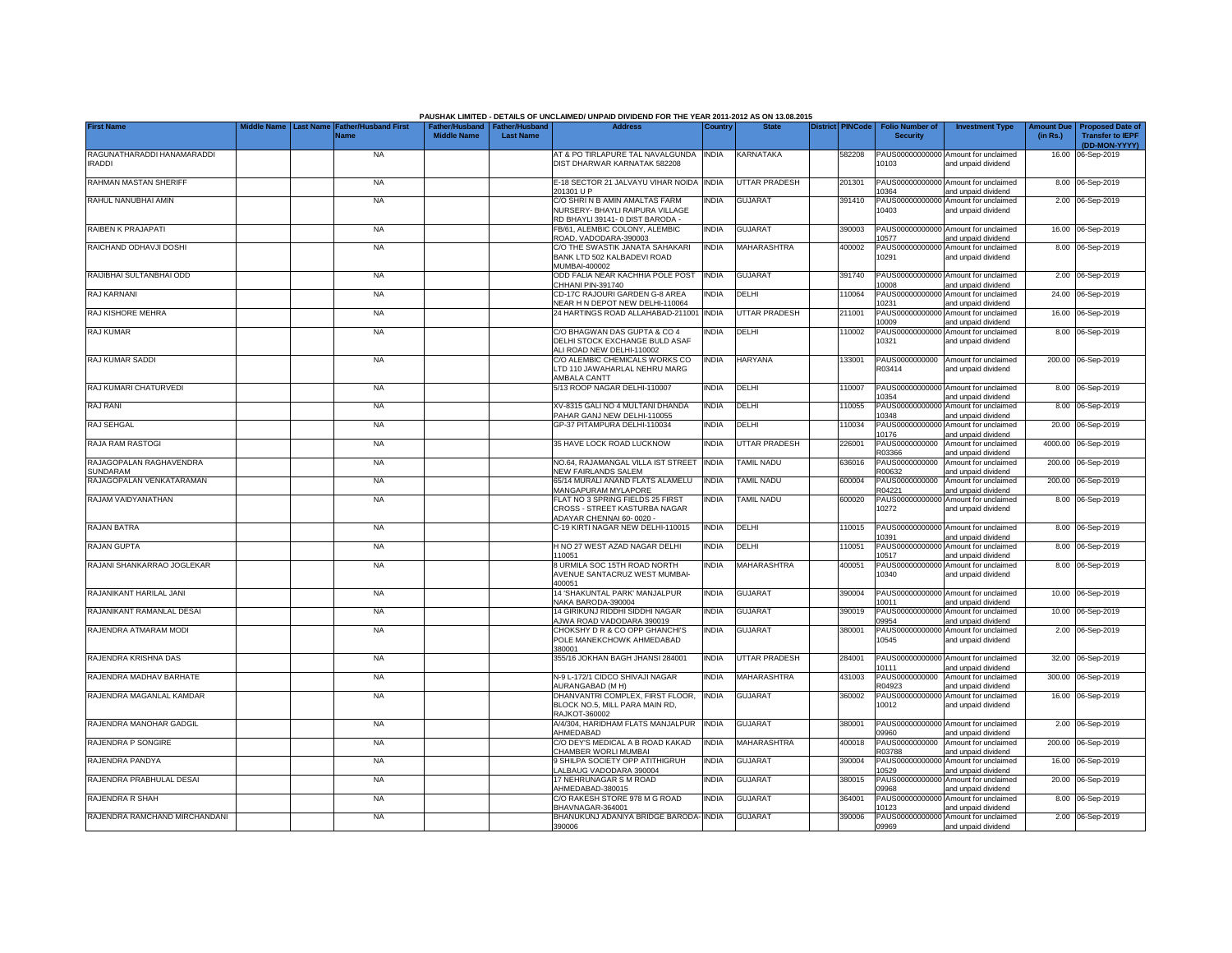|                                             |           |                             |                                                       |                  | PAUSHAK LIMITED - DETAILS OF UNCLAIMED/ UNPAID DIVIDEND FOR THE YEAR 2011-2012 AS ON 13.08.2015      |              |                      |                         |                                           |                                                             |                               |                                                    |
|---------------------------------------------|-----------|-----------------------------|-------------------------------------------------------|------------------|------------------------------------------------------------------------------------------------------|--------------|----------------------|-------------------------|-------------------------------------------|-------------------------------------------------------------|-------------------------------|----------------------------------------------------|
| <b>First Name</b>                           | Last Name | ather/Husband First<br>Name | Father/Husband   Father/Husband<br><b>Middle Name</b> | <b>Last Name</b> |                                                                                                      | Country      | <b>State</b>         | <b>District PINCode</b> | <b>Folio Number of</b><br><b>Security</b> | <b>Investment Type</b>                                      | <b>Amount Due</b><br>(in Rs.) | <b>Proposed Date of</b><br><b>Transfer to IEPF</b> |
|                                             |           |                             |                                                       |                  |                                                                                                      |              |                      |                         |                                           |                                                             |                               | (DD-MON-YYYY)                                      |
| RAGUNATHARADDI HANAMARADDI<br><b>IRADDI</b> |           | <b>NA</b>                   |                                                       |                  | AT & PO TIRLAPURE TAL NAVALGUNDA INDIA<br>DIST DHARWAR KARNATAK 582208                               |              | KARNATAKA            | 582208                  | 10103                                     | PAUS00000000000 Amount for unclaimed<br>and unpaid dividend |                               | 16.00 06-Sep-2019                                  |
| RAHMAN MASTAN SHERIFI                       |           | <b>NA</b>                   |                                                       |                  | E-18 SECTOR 21 JALVAYU VIHAR NOIDA<br>201301 U P                                                     | <b>INDIA</b> | UTTAR PRADESH        | 201301                  | PAUS0000000000<br>10364                   | Amount for unclaimed<br>and unpaid dividend                 |                               | 8.00 06-Sep-2019                                   |
| RAHUL NANUBHAI AMIN                         |           | <b>NA</b>                   |                                                       |                  | C/O SHRI N B AMIN AMALTAS FARM<br>NURSERY- BHAYLI RAIPURA VILLAGE<br>RD BHAYLI 39141-0 DIST BARODA - | INDIA        | <b>GUJARAT</b>       | 391410                  | PAUS00000000000<br>10403                  | Amount for unclaimed<br>and unpaid dividend                 |                               | 2.00 06-Sep-2019                                   |
| RAIBEN K PRAJAPATI                          |           | <b>NA</b>                   |                                                       |                  | FB/61, ALEMBIC COLONY, ALEMBIC<br>ROAD, VADODARA-390003                                              | <b>INDIA</b> | <b>GUJARAT</b>       | 390003                  | 10577                                     | PAUS00000000000 Amount for unclaimed<br>and unpaid dividend |                               | 16.00 06-Sep-2019                                  |
| RAICHAND ODHAVJI DOSHI                      |           | <b>NA</b>                   |                                                       |                  | C/O THE SWASTIK JANATA SAHAKARI<br>BANK LTD 502 KALBADEVI ROAD<br>MUMBAI-400002                      | <b>INDIA</b> | MAHARASHTRA          | 400002                  | 10291                                     | PAUS00000000000 Amount for unclaimed<br>and unpaid dividend |                               | 8.00 06-Sep-2019                                   |
| RAIJIBHAI SULTANBHAI ODD                    |           | <b>NA</b>                   |                                                       |                  | ODD FALIA NEAR KACHHIA POLE POST<br>CHHANI PIN-391740                                                | <b>INDIA</b> | <b>GUJARAT</b>       | 391740                  | 10008                                     | PAUS00000000000 Amount for unclaimed<br>and unpaid dividend |                               | 2.00 06-Sep-2019                                   |
| RAJ KARNANI                                 |           | <b>NA</b>                   |                                                       |                  | CD-17C RAJOURI GARDEN G-8 AREA<br>NEAR H N DEPOT NEW DELHI-110064                                    | india        | DELHI                | 110064                  | PAUS0000000000<br>10231                   | Amount for unclaimed<br>and unpaid dividend                 |                               | 24.00 06-Sep-2019                                  |
| RAJ KISHORE MEHRA                           |           | <b>NA</b>                   |                                                       |                  | 24 HARTINGS ROAD ALLAHABAD-211001                                                                    | <b>INDIA</b> | <b>UTTAR PRADESH</b> | 211001                  | PAUS00000000000<br>10009                  | Amount for unclaimed<br>and unpaid dividend                 |                               | 16.00 06-Sep-2019                                  |
| RAJ KUMAR                                   |           | <b>NA</b>                   |                                                       |                  | C/O BHAGWAN DAS GUPTA & CO 4<br>DELHI STOCK EXCHANGE BULD ASAF<br>ALI ROAD NEW DELHI-110002          | INDIA        | DELHI                | 110002                  | 10321                                     | PAUS00000000000 Amount for unclaimed<br>and unpaid dividend |                               | 8.00 06-Sep-2019                                   |
| RAJ KUMAR SADDI                             |           | <b>NA</b>                   |                                                       |                  | C/O ALEMBIC CHEMICALS WORKS CO<br>LTD 110 JAWAHARLAL NEHRU MARG<br>AMBALA CANTT                      | india        | <b>HARYANA</b>       | 133001                  | PAUS0000000000<br>R03414                  | Amount for unclaimed<br>and unpaid dividend                 |                               | 200.00 06-Sep-2019                                 |
| RAJ KUMARI CHATURVEDI                       |           | <b>NA</b>                   |                                                       |                  | 5/13 ROOP NAGAR DELHI-110007                                                                         | INDIA        | DELHI                | 110007                  | 10354                                     | PAUS00000000000 Amount for unclaimed<br>and unpaid dividend |                               | 8.00 06-Sep-2019                                   |
| <b>RAJ RANI</b>                             |           | <b>NA</b>                   |                                                       |                  | XV-8315 GALI NO 4 MULTANI DHANDA<br>PAHAR GANJ NEW DELHI-110055                                      | <b>INDIA</b> | DELHI                | 110055                  | 10348                                     | PAUS00000000000 Amount for unclaimed<br>and unpaid dividend |                               | 8.00 06-Sep-2019                                   |
| RAJ SEHGAL                                  |           | <b>NA</b>                   |                                                       |                  | GP-37 PITAMPURA DELHI-110034                                                                         | <b>INDIA</b> | <b>DELHI</b>         | 110034                  | 10176                                     | PAUS00000000000 Amount for unclaimed<br>and unpaid dividend |                               | 20.00 06-Sep-2019                                  |
| <b>RAJA RAM RASTOGI</b>                     |           | <b>NA</b>                   |                                                       |                  | 35 HAVE LOCK ROAD LUCKNOW                                                                            | <b>INDIA</b> | UTTAR PRADESH        | 226001                  | PAUS0000000000<br>R03366                  | Amount for unclaimed<br>and unpaid dividend                 |                               | 4000.00 06-Sep-2019                                |
| RAJAGOPALAN RAGHAVENDRA<br><b>SUNDARAM</b>  |           | <b>NA</b>                   |                                                       |                  | NO.64, RAJAMANGAL VILLA IST STREET<br>NEW FAIRLANDS SALEM                                            | <b>INDIA</b> | TAMIL NADU           | 636016                  | PAUS0000000000<br>R00632                  | Amount for unclaimed<br>and unpaid dividend                 |                               | 200.00 06-Sep-2019                                 |
| RAJAGOPALAN VENKATARAMAN                    |           | <b>NA</b>                   |                                                       |                  | 65/14 MURALI ANAND FLATS ALAMELU<br>MANGAPURAM MYLAPORE                                              | INDIA        | <b>TAMIL NADU</b>    | 600004                  | PAUS0000000000<br>R04221                  | Amount for unclaimed<br>and unpaid dividend                 |                               | 200.00 06-Sep-2019                                 |
| RAJAM VAIDYANATHAN                          |           | <b>NA</b>                   |                                                       |                  | FLAT NO 3 SPRING FIELDS 25 FIRST<br>CROSS - STREET KASTURBA NAGAR<br>ADAYAR CHENNAI 60-0020 -        | INDIA        | TAMIL NADU           | 600020                  | 10272                                     | PAUS00000000000 Amount for unclaimed<br>and unpaid dividend |                               | 8.00 06-Sep-2019                                   |
| RAJAN BATRA                                 |           | <b>NA</b>                   |                                                       |                  | C-19 KIRTI NAGAR NEW DELHI-110015                                                                    | <b>INDIA</b> | DELHI                | 110015                  | 10391                                     | PAUS00000000000 Amount for unclaimed<br>and unpaid dividend |                               | 8.00 06-Sep-2019                                   |
| RAJAN GUPTA                                 |           | <b>NA</b>                   |                                                       |                  | H NO 27 WEST AZAD NAGAR DELHI<br>110051                                                              | INDIA        | DELHI                | 10051                   | PAUS0000000000<br>10517                   | Amount for unclaimed<br>and unpaid dividend                 |                               | 8.00 06-Sep-2019                                   |
| RAJANI SHANKARRAO JOGLEKAR                  |           | <b>NA</b>                   |                                                       |                  | 8 URMILA SOC 15TH ROAD NORTH<br>AVENUE SANTACRUZ WEST MUMBAI-<br>400051                              | INDIA        | <b>MAHARASHTRA</b>   | 400051                  | PAUS00000000000<br>10340                  | Amount for unclaimed<br>and unpaid dividend                 |                               | 8.00 06-Sep-2019                                   |
| RAJANIKANT HARILAL JANI                     |           | <b>NA</b>                   |                                                       |                  | 14 'SHAKUNTAL PARK' MANJALPUR<br>NAKA BARODA-390004                                                  | <b>INDIA</b> | <b>GUJARAT</b>       | 390004                  | 10011                                     | PAUS00000000000 Amount for unclaimed<br>and unpaid dividend |                               | 10.00 06-Sep-2019                                  |
| RAJANIKANT RAMANLAL DESAI                   |           | <b>NA</b>                   |                                                       |                  | 14 GIRIKUNJ RIDDHI SIDDHI NAGAR<br>AJWA ROAD VADODARA 390019                                         | INDIA        | <b>GUJARAT</b>       | 390019                  | PAUS00000000000<br>09954                  | Amount for unclaimed<br>and unpaid dividend                 |                               | 10.00 06-Sep-2019                                  |
| RAJENDRA ATMARAM MODI                       |           | <b>NA</b>                   |                                                       |                  | CHOKSHY D R & CO OPP GHANCHI'S<br>POLE MANEKCHOWK AHMEDABAD<br>380001                                | INDIA        | <b>GUJARAT</b>       | 380001                  | PAUS00000000000<br>10545                  | Amount for unclaimed<br>and unpaid dividend                 |                               | 2.00 06-Sep-2019                                   |
| RAJENDRA KRISHNA DAS                        |           | <b>NA</b>                   |                                                       |                  | 355/16 JOKHAN BAGH JHANSI 284001                                                                     | INDIA        | <b>UTTAR PRADESH</b> | 284001                  | PAUS00000000000<br>10111                  | Amount for unclaimed<br>and unpaid dividend                 |                               | 32.00 06-Sep-2019                                  |
| RAJENDRA MADHAV BARHATE                     |           | <b>NA</b>                   |                                                       |                  | N-9 L-172/1 CIDCO SHIVAJI NAGAR<br>AURANGABAD (M H)                                                  | INDIA        | MAHARASHTRA          | 431003                  | PAUS0000000000<br>R04923                  | Amount for unclaimed<br>and unpaid dividend                 |                               | 300.00 06-Sep-2019                                 |
| RAJENDRA MAGANLAL KAMDAR                    |           | <b>NA</b>                   |                                                       |                  | DHANVANTRI COMPLEX, FIRST FLOOR,<br>BLOCK NO.5, MILL PARA MAIN RD,<br>RAJKOT-360002                  | INDIA        | <b>GUJARAT</b>       | 360002                  | 10012                                     | PAUS00000000000 Amount for unclaimed<br>and unpaid dividend |                               | 16.00 06-Sep-2019                                  |
| RAJENDRA MANOHAR GADGIL                     |           | <b>NA</b>                   |                                                       |                  | A/4/304, HARIDHAM FLATS MANJALPUR<br>AHMEDABAD                                                       | <b>INDIA</b> | <b>GUJARAT</b>       | 380001                  | PAUS00000000000<br>09960                  | Amount for unclaimed<br>and unpaid dividend                 |                               | 2.00 06-Sep-2019                                   |
| RAJENDRA P SONGIRE                          |           | <b>NA</b>                   |                                                       |                  | C/O DEY'S MEDICAL A B ROAD KAKAD<br>CHAMBER WORLI MUMBAI                                             | india        | MAHARASHTRA          | 400018                  | PAUS0000000000<br>R03788                  | Amount for unclaimed<br>and unpaid dividend                 |                               | 200.00 06-Sep-2019                                 |
| RAJENDRA PANDYA                             |           | <b>NA</b>                   |                                                       |                  | 9 SHILPA SOCIETY OPP ATITHIGRUH<br>ALBAUG VADODARA 390004                                            | <b>INDIA</b> | <b>GUJARAT</b>       | 390004                  | 10529                                     | PAUS00000000000 Amount for unclaimed<br>and unpaid dividend |                               | 16.00 06-Sep-2019                                  |
| RAJENDRA PRABHULAL DESAI                    |           | <b>NA</b>                   |                                                       |                  | 17 NEHRUNAGAR S M ROAD<br>AHMEDABAD-380015                                                           | INDIA        | <b>GUJARAT</b>       | 380015                  | 09968                                     | PAUS00000000000 Amount for unclaimed<br>and unpaid dividend |                               | 20.00 06-Sep-2019                                  |
| RAJENDRA R SHAH                             |           | <b>NA</b>                   |                                                       |                  | C/O RAKESH STORE 978 M G ROAD<br>BHAVNAGAR-364001                                                    | <b>INDIA</b> | <b>GUJARAT</b>       | 364001                  | 10123                                     | PAUS00000000000 Amount for unclaimed<br>and unpaid dividend |                               | 8.00 06-Sep-2019                                   |
| RAJENDRA RAMCHAND MIRCHANDANI               |           | <b>NA</b>                   |                                                       |                  | BHANUKUNJ ADANIYA BRIDGE BARODA-<br>390006                                                           | <b>INDIA</b> | <b>GUJARAT</b>       | 390006                  | 09969                                     | PAUS00000000000 Amount for unclaimed<br>and unpaid dividend |                               | 2.00 06-Sep-2019                                   |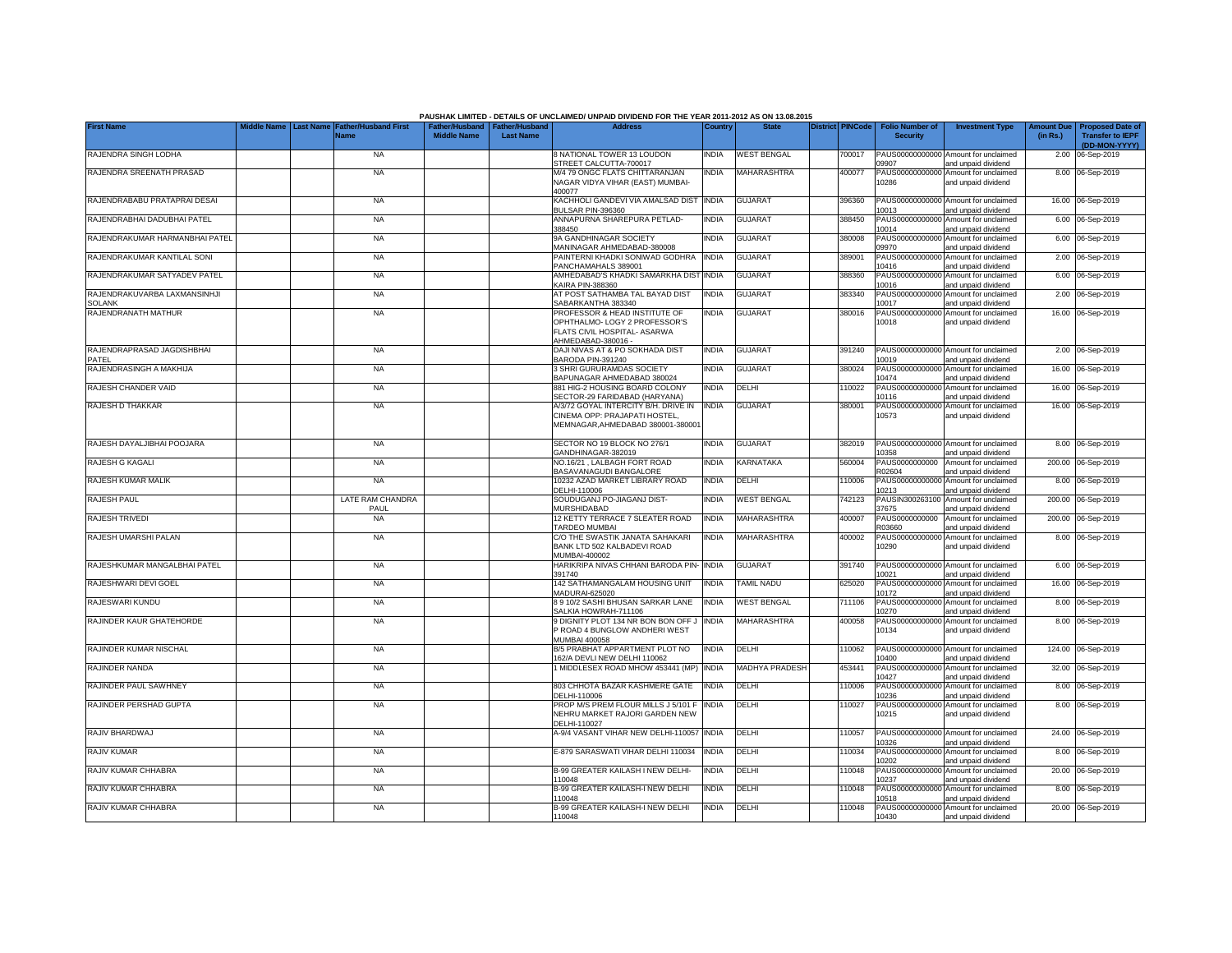|                                               | Middle Name      |                                            |                                                       |                  | PAUSHAK LIMITED - DETAILS OF UNCLAIMED/ UNPAID DIVIDEND FOR THE YEAR 2011-2012 AS ON 13.08.2015<br><b>Address</b>    |              |                    | <b>District PINCode</b> |                                           |                                                             |                               |                                                                     |
|-----------------------------------------------|------------------|--------------------------------------------|-------------------------------------------------------|------------------|----------------------------------------------------------------------------------------------------------------------|--------------|--------------------|-------------------------|-------------------------------------------|-------------------------------------------------------------|-------------------------------|---------------------------------------------------------------------|
| <b>First Name</b>                             | <b>Last Name</b> | <b>Father/Husband First</b><br><b>Name</b> | Father/Husband   Father/Husband<br><b>Middle Name</b> | <b>Last Name</b> |                                                                                                                      | Country      | <b>State</b>       |                         | <b>Folio Number of</b><br><b>Security</b> | <b>Investment Type</b>                                      | <b>Amount Due</b><br>(in Rs.) | <b>Proposed Date of</b><br><b>Transfer to IEPF</b><br>(DD-MON-YYYY) |
| RAJENDRA SINGH LODHA                          |                  | <b>NA</b>                                  |                                                       |                  | 8 NATIONAL TOWER 13 LOUDON<br>STREET CALCUTTA-700017                                                                 | <b>INDIA</b> | <b>WEST BENGAL</b> | 700017                  | 09907                                     | PAUS00000000000 Amount for unclaimed<br>and unpaid dividend |                               | 2.00 06-Sep-2019                                                    |
| RAJENDRA SREENATH PRASAD                      |                  | <b>NA</b>                                  |                                                       |                  | M/4 79 ONGC FLATS CHITTARANJAN<br>NAGAR VIDYA VIHAR (EAST) MUMBAI-<br>400077                                         | INDIA        | <b>MAHARASHTRA</b> | 400077                  | 10286                                     | PAUS00000000000 Amount for unclaimed<br>and unpaid dividend |                               | 8.00 06-Sep-2019                                                    |
| RAJENDRABABU PRATAPRAI DESAI                  |                  | <b>NA</b>                                  |                                                       |                  | KACHHOLI GANDEVI VIA AMALSAD DIST<br>BULSAR PIN-396360                                                               | <b>INDIA</b> | <b>GUJARAT</b>     | 396360                  | 10013                                     | PAUS00000000000 Amount for unclaimed<br>and unpaid dividend |                               | 16.00 06-Sep-2019                                                   |
| RAJENDRABHAI DADUBHAI PATEL                   |                  | <b>NA</b>                                  |                                                       |                  | ANNAPURNA SHAREPURA PETLAD-<br>388450                                                                                | INDIA        | <b>GUJARAT</b>     | 388450                  | PAUS00000000000<br>10014                  | Amount for unclaimed<br>and unpaid dividend                 |                               | 6.00 06-Sep-2019                                                    |
| RAJENDRAKUMAR HARMANBHAI PATEL                |                  | <b>NA</b>                                  |                                                       |                  | 9A GANDHINAGAR SOCIETY<br>MANINAGAR AHMEDABAD-380008                                                                 | <b>INDIA</b> | GUJARAT            | 380008                  | PAUS00000000000<br>09970                  | Amount for unclaimed<br>and unpaid dividend                 |                               | 6.00 06-Sep-2019                                                    |
| RAJENDRAKUMAR KANTILAL SONI                   |                  | <b>NA</b>                                  |                                                       |                  | PAINTERNI KHADKI SONIWAD GODHRA<br>PANCHAMAHALS 389001                                                               | <b>INDIA</b> | <b>GUJARAT</b>     | 389001                  | PAUS0000000000<br>10416                   | Amount for unclaimed<br>and unpaid dividend                 |                               | 2.00 06-Sep-2019                                                    |
| RAJENDRAKUMAR SATYADEV PATEL                  |                  | <b>NA</b>                                  |                                                       |                  | AMHEDABAD'S KHADKI SAMARKHA DIST<br><b>KAIRA PIN-388360</b>                                                          | <b>INDIA</b> | <b>GUJARAT</b>     | 388360                  | PAUS0000000000<br>10016                   | Amount for unclaimed<br>and unpaid dividend                 |                               | 6.00 06-Sep-2019                                                    |
| RAJENDRAKUVARBA LAXMANSINHJI<br><b>SOLANK</b> |                  | <b>NA</b>                                  |                                                       |                  | AT POST SATHAMBA TAL BAYAD DIST<br>SABARKANTHA 383340                                                                | <b>INDIA</b> | GUJARAT            | 383340                  | PAUS0000000000<br>10017                   | Amount for unclaimed<br>and unpaid dividend                 |                               | 2.00 06-Sep-2019                                                    |
| RAJENDRANATH MATHUR                           |                  | <b>NA</b>                                  |                                                       |                  | PROFESSOR & HEAD INSTITUTE OF<br>OPHTHALMO- LOGY 2 PROFESSOR'S<br>FLATS CIVIL HOSPITAL- ASARWA<br>AHMEDABAD-380016 - | <b>INDIA</b> | <b>GUJARAT</b>     | 380016                  | PAUS0000000000<br>10018                   | Amount for unclaimed<br>and unpaid dividend                 |                               | 16.00 06-Sep-2019                                                   |
| RAJENDRAPRASAD JAGDISHBHAI<br>PATEL           |                  | <b>NA</b>                                  |                                                       |                  | DAJI NIVAS AT & PO SOKHADA DIST<br>BARODA PIN-391240                                                                 | <b>INDIA</b> | <b>GUJARAT</b>     | 391240                  | 10019                                     | PAUS00000000000 Amount for unclaimed<br>and unpaid dividend |                               | 2.00 06-Sep-2019                                                    |
| RAJENDRASINGH A MAKHIJA                       |                  | <b>NA</b>                                  |                                                       |                  | 3 SHRI GURURAMDAS SOCIETY<br>BAPUNAGAR AHMEDABAD 380024                                                              | India        | <b>GUJARAT</b>     | 380024                  | 10474                                     | PAUS00000000000 Amount for unclaimed<br>and unpaid dividend |                               | 16.00 06-Sep-2019                                                   |
| RAJESH CHANDER VAID                           |                  | <b>NA</b>                                  |                                                       |                  | 881 HIG-2 HOUSING BOARD COLONY<br>SECTOR-29 FARIDABAD (HARYANA)                                                      | <b>INDIA</b> | DELHI              | 110022                  | 10116                                     | PAUS00000000000 Amount for unclaimed<br>and unpaid dividend |                               | 16.00 06-Sep-2019                                                   |
| RAJESH D THAKKAR                              |                  | <b>NA</b>                                  |                                                       |                  | A/3/72 GOYAL INTERCITY B/H. DRIVE IN<br>CINEMA OPP: PRAJAPATI HOSTEL,<br>MEMNAGAR, AHMEDABAD 380001-380001           | <b>INDIA</b> | <b>GUJARAT</b>     | 380001                  | 10573                                     | PAUS00000000000 Amount for unclaimed<br>and unpaid dividend |                               | 16.00 06-Sep-2019                                                   |
| RAJESH DAYALJIBHAI POOJARA                    |                  | <b>NA</b>                                  |                                                       |                  | SECTOR NO 19 BLOCK NO 276/1<br>GANDHINAGAR-382019                                                                    | <b>INDIA</b> | <b>GUJARAT</b>     | 382019                  | 10358                                     | PAUS00000000000 Amount for unclaimed<br>and unpaid dividend |                               | 8.00 06-Sep-2019                                                    |
| RAJESH G KAGALI                               |                  | <b>NA</b>                                  |                                                       |                  | NO.16/21 . LALBAGH FORT ROAD<br>BASAVANAGUDI BANGALORE                                                               | <b>INDIA</b> | <b>KARNATAKA</b>   | 560004                  | PAUS0000000000<br>R02604                  | Amount for unclaimed<br>and unpaid dividend                 |                               | 200.00 06-Sep-2019                                                  |
| RAJESH KUMAR MALIK                            |                  | <b>NA</b>                                  |                                                       |                  | 10232 AZAD MARKET LIBRARY ROAD<br>DELHI-110006                                                                       | <b>INDIA</b> | DELHI              | 110006                  | PAUS0000000000<br>10213                   | Amount for unclaimed<br>and unpaid dividend                 |                               | 8.00 06-Sep-2019                                                    |
| RAJESH PAUL                                   |                  | LATE RAM CHANDRA<br>PAUL                   |                                                       |                  | SOUDUGANJ PO-JIAGANJ DIST-<br><b>MURSHIDABAD</b>                                                                     | <b>INDIA</b> | <b>WEST BENGAL</b> | 742123                  | PAUSIN30026310<br>37675                   | Amount for unclaimed<br>and unpaid dividend                 | 200.00                        | 06-Sep-2019                                                         |
| <b>RAJESH TRIVEDI</b>                         |                  | <b>NA</b>                                  |                                                       |                  | 12 KETTY TERRACE 7 SLEATER ROAD<br>TARDEO MUMBAI                                                                     | india        | <b>MAHARASHTRA</b> | 400007                  | PAUS0000000000<br>R03660                  | Amount for unclaimed<br>and unpaid dividend                 | 200.00                        | 06-Sep-2019                                                         |
| RAJESH UMARSHI PALAN                          |                  | <b>NA</b>                                  |                                                       |                  | C/O THE SWASTIK JANATA SAHAKARI<br>BANK LTD 502 KALBADEVI ROAD<br>MUMBAI-400002                                      | INDIA        | <b>MAHARASHTRA</b> | 400002                  | PAUS0000000000<br>10290                   | Amount for unclaimed<br>and unpaid dividend                 |                               | 8.00 06-Sep-2019                                                    |
| RAJESHKUMAR MANGALBHAI PATEL                  |                  | <b>NA</b>                                  |                                                       |                  | HARIKRIPA NIVAS CHHANI BARODA PIN-<br>391740                                                                         | <b>INDIA</b> | <b>GUJARAT</b>     | 391740                  | 10021                                     | PAUS00000000000 Amount for unclaimed<br>and unpaid dividend |                               | 6.00 06-Sep-2019                                                    |
| RAJESHWARI DEVI GOEL                          |                  | <b>NA</b>                                  |                                                       |                  | 142 SATHAMANGALAM HOUSING UNIT<br>MADURAI-625020                                                                     | INDIA        | TAMIL NADU         | 625020                  | PAUS00000000000<br>10172                  | Amount for unclaimed<br>and unpaid dividend                 |                               | 16.00 06-Sep-2019                                                   |
| RAJESWARI KUNDU                               |                  | <b>NA</b>                                  |                                                       |                  | 8 9 10/2 SASHI BHUSAN SARKAR LANE<br>SALKIA HOWRAH-711106                                                            | INDIA        | <b>WEST BENGAL</b> | 711106                  | 10270                                     | PAUS00000000000 Amount for unclaimed<br>and unpaid dividend |                               | 8.00 06-Sep-2019                                                    |
| RAJINDER KAUR GHATEHORDE                      |                  | <b>NA</b>                                  |                                                       |                  | 9 DIGNITY PLOT 134 NR BON BON OFF J<br>P ROAD 4 BUNGLOW ANDHERI WEST<br><b>MUMBAI 400058</b>                         | <b>INDIA</b> | <b>MAHARASHTRA</b> | 400058                  | PAUS0000000000<br>10134                   | Amount for unclaimed<br>and unpaid dividend                 |                               | 8.00 06-Sep-2019                                                    |
| RAJINDER KUMAR NISCHAL                        |                  | <b>NA</b>                                  |                                                       |                  | B/5 PRABHAT APPARTMENT PLOT NO<br>162/A DEVLI NEW DELHI 110062                                                       | <b>INDIA</b> | DELHI              | 10062                   | 10400                                     | PAUS00000000000 Amount for unclaimed<br>and unpaid dividend |                               | 124.00 06-Sep-2019                                                  |
| RAJINDER NANDA                                |                  | <b>NA</b>                                  |                                                       |                  | 1 MIDDLESEX ROAD MHOW 453441 (MP)                                                                                    | <b>INDIA</b> | MADHYA PRADESH     | 453441                  | PAUS0000000000<br>10427                   | Amount for unclaimed<br>and unpaid dividend                 |                               | 32.00 06-Sep-2019                                                   |
| RAJINDER PAUL SAWHNEY                         |                  | <b>NA</b>                                  |                                                       |                  | 803 CHHOTA BAZAR KASHMERE GATE<br>DELHI-110006                                                                       | <b>INDIA</b> | DELHI              | 110006                  | PAUS00000000000<br>10236                  | Amount for unclaimed<br>and unpaid dividend                 |                               | 8.00 06-Sep-2019                                                    |
| RAJINDER PERSHAD GUPTA                        |                  | <b>NA</b>                                  |                                                       |                  | PROP M/S PREM FLOUR MILLS J 5/101 F<br>NEHRU MARKET RAJORI GARDEN NEW<br>DELHI-110027                                | <b>INDIA</b> | DELHI              | 110027                  | PAUS00000000000<br>10215                  | Amount for unclaimed<br>and unpaid dividend                 |                               | 8.00 06-Sep-2019                                                    |
| RAJIV BHARDWAJ                                |                  | <b>NA</b>                                  |                                                       |                  | A-9/4 VASANT VIHAR NEW DELHI-110057                                                                                  | <b>INDIA</b> | DELHI              | 10057                   | 10326                                     | PAUS00000000000 Amount for unclaimed<br>and unpaid dividend |                               | 24.00 06-Sep-2019                                                   |
| RAJIV KUMAR                                   |                  | <b>NA</b>                                  |                                                       |                  | E-879 SARASWATI VIHAR DELHI 110034                                                                                   | <b>INDIA</b> | DELHI              | 110034                  | 10202                                     | PAUS00000000000 Amount for unclaimed<br>and unpaid dividend |                               | 8.00 06-Sep-2019                                                    |
| RAJIV KUMAR CHHABRA                           |                  | <b>NA</b>                                  |                                                       |                  | B-99 GREATER KAILASH I NEW DELHI-<br>110048                                                                          | India        | DELHI              | 110048                  | 10237                                     | PAUS00000000000 Amount for unclaimed<br>and unpaid dividend |                               | 20.00 06-Sep-2019                                                   |
| RAJIV KUMAR CHHABRA                           |                  | <b>NA</b>                                  |                                                       |                  | B-99 GREATER KAILASH-I NEW DELHI<br>110048                                                                           | INDIA        | DELHI              | 110048                  | 10518                                     | PAUS00000000000 Amount for unclaimed<br>and unpaid dividend |                               | 8.00 06-Sep-2019                                                    |
| RAJIV KUMAR CHHABRA                           |                  | <b>NA</b>                                  |                                                       |                  | B-99 GREATER KAILASH-I NEW DELHI<br>110048                                                                           | <b>INDIA</b> | <b>DELHI</b>       | 110048                  | 10430                                     | PAUS00000000000 Amount for unclaimed<br>and unpaid dividend |                               | 20.00 06-Sep-2019                                                   |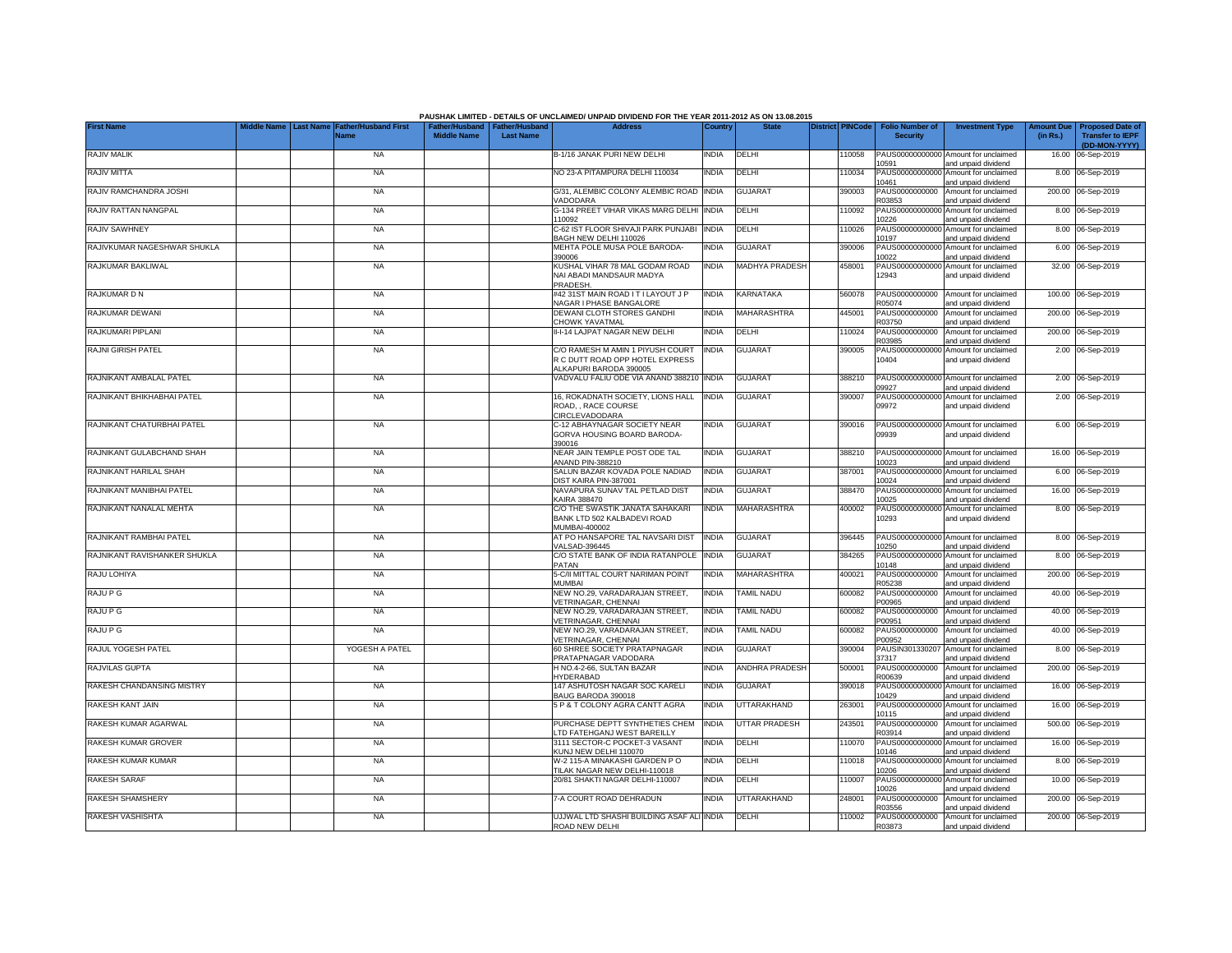|                              |  |                                     |                    |                                                     | PAUSHAK LIMITED - DETAILS OF UNCLAIMED/ UNPAID DIVIDEND FOR THE YEAR 2011-2012 AS ON 13.08.2015<br><b>Address</b> |              | <b>State</b>          |                         |        | Folio Number of          |                                                             | <b>Amount Due</b> |                                                   |
|------------------------------|--|-------------------------------------|--------------------|-----------------------------------------------------|-------------------------------------------------------------------------------------------------------------------|--------------|-----------------------|-------------------------|--------|--------------------------|-------------------------------------------------------------|-------------------|---------------------------------------------------|
| <b>First Name</b>            |  | <b>Father/Husband First</b><br>Name | <b>Middle Name</b> | Father/Husband   Father/Husband<br><b>Last Name</b> |                                                                                                                   | Country      |                       | <b>District PINCode</b> |        | <b>Security</b>          | <b>Investment Type</b>                                      | (in Rs.)          | <b>Proposed Date o</b><br><b>Transfer to IEPF</b> |
| RAJIV MALIK                  |  | <b>NA</b>                           |                    |                                                     | B-1/16 JANAK PURI NEW DELHI                                                                                       | <b>INDIA</b> | DELHI                 |                         | 110058 |                          | PAUS00000000000 Amount for unclaimed                        |                   | (DD-MON-YYYY)<br>16.00 06-Sep-2019                |
|                              |  | <b>NA</b>                           |                    |                                                     | NO 23-A PITAMPURA DELHI 110034                                                                                    | <b>INDIA</b> |                       |                         |        | 10591                    | and unpaid dividend                                         |                   |                                                   |
| RAJIV MITTA                  |  |                                     |                    |                                                     |                                                                                                                   |              | DELHI                 |                         | 110034 | PAUS00000000000<br>10461 | Amount for unclaimed<br>and unpaid dividend                 |                   | 8.00 06-Sep-2019                                  |
| RAJIV RAMCHANDRA JOSHI       |  | <b>NA</b>                           |                    |                                                     | G/31, ALEMBIC COLONY ALEMBIC ROAD INDIA<br>VADODARA                                                               |              | <b>GUJARAT</b>        |                         | 390003 | PAUS0000000000<br>R03853 | Amount for unclaimed<br>and unpaid dividend                 |                   | 200.00 06-Sep-2019                                |
| RAJIV RATTAN NANGPAL         |  | <b>NA</b>                           |                    |                                                     | G-134 PREET VIHAR VIKAS MARG DELHI INDIA                                                                          |              | DELHI                 |                         | 10092  | PAUS0000000000           | Amount for unclaimed                                        |                   | 8.00 06-Sep-2019                                  |
| RAJIV SAWHNEY                |  | <b>NA</b>                           |                    |                                                     | 110092<br>C-62 IST FLOOR SHIVAJI PARK PUNJABI                                                                     | <b>INDIA</b> | DELHI                 |                         | 110026 | 0226<br>PAUS00000000000  | and unpaid dividend<br>Amount for unclaimed                 |                   | 8.00 06-Sep-2019                                  |
| RAJIVKUMAR NAGESHWAR SHUKLA  |  | <b>NA</b>                           |                    |                                                     | BAGH NEW DELHI 110026<br>MEHTA POLE MUSA POLE BARODA-                                                             | India        | <b>GUJARAT</b>        |                         | 390006 | 10197<br>PAUS00000000000 | and unpaid dividend<br>Amount for unclaimed                 |                   | 6.00 06-Sep-2019                                  |
|                              |  |                                     |                    |                                                     | 390006                                                                                                            |              |                       |                         |        | 10022                    | and unpaid dividend                                         |                   |                                                   |
| RAJKUMAR BAKLIWAL            |  | <b>NA</b>                           |                    |                                                     | KUSHAL VIHAR 78 MAL GODAM ROAD<br>NAI ABADI MANDSAUR MADYA                                                        | India        | <b>MADHYA PRADESH</b> |                         | 458001 | PAUS0000000000<br>12943  | Amount for unclaimed<br>and unpaid dividend                 |                   | 32.00 06-Sep-2019                                 |
| RAJKUMAR D N                 |  | <b>NA</b>                           |                    |                                                     | PRADESH.<br>#42 31ST MAIN ROAD IT I LAYOUT J P                                                                    | <b>INDIA</b> | KARNATAKA             |                         | 560078 | PAUS0000000000           | Amount for unclaimed                                        |                   | 100.00 06-Sep-2019                                |
| RAJKUMAR DEWANI              |  | <b>NA</b>                           |                    |                                                     | NAGAR I PHASE BANGALORE<br>DEWANI CLOTH STORES GANDHI                                                             | <b>INDIA</b> | MAHARASHTRA           |                         | 445001 | R05074<br>PAUS0000000000 | and unpaid dividend<br>Amount for unclaimed                 |                   | 200.00 06-Sep-2019                                |
|                              |  |                                     |                    |                                                     | <b>CHOWK YAVATMAL</b>                                                                                             |              |                       |                         |        | R03750                   | and unpaid dividend                                         |                   |                                                   |
| RAJKUMARI PIPLANI            |  | <b>NA</b>                           |                    |                                                     | II-I-14 LAJPAT NAGAR NEW DELHI                                                                                    | India        | DELHI                 |                         | 110024 | PAUS0000000000<br>R03985 | Amount for unclaimed<br>and unpaid dividend                 |                   | 200.00 06-Sep-2019                                |
| RAJNI GIRISH PATEL           |  | <b>NA</b>                           |                    |                                                     | C/O RAMESH M AMIN 1 PIYUSH COURT<br>R C DUTT ROAD OPP HOTEL EXPRESS                                               | <b>INDIA</b> | <b>GUJARAT</b>        |                         | 390005 | PAUS0000000000           | Amount for unclaimed                                        |                   | 2.00 06-Sep-2019                                  |
|                              |  |                                     |                    |                                                     | ALKAPURI BARODA 390005                                                                                            |              |                       |                         |        | 10404                    | and unpaid dividend                                         |                   |                                                   |
| RAJNIKANT AMBALAL PATEL      |  | <b>NA</b>                           |                    |                                                     | VADVALU FALIU ODE VIA ANAND 388210 INDIA                                                                          |              | <b>GUJARAT</b>        |                         | 388210 | PAUS0000000000<br>09927  | Amount for unclaimed<br>and unpaid dividend                 |                   | 2.00 06-Sep-2019                                  |
| RAJNIKANT BHIKHABHAI PATEL   |  | <b>NA</b>                           |                    |                                                     | 16, ROKADNATH SOCIETY, LIONS HALL                                                                                 | <b>INDIA</b> | <b>GUJARAT</b>        |                         | 390007 | PAUS00000000000          | Amount for unclaimed                                        |                   | 2.00 06-Sep-2019                                  |
|                              |  |                                     |                    |                                                     | ROAD, , RACE COURSE<br><b>CIRCLEVADODARA</b>                                                                      |              |                       |                         |        | 09972                    | and unpaid dividend                                         |                   |                                                   |
| RAJNIKANT CHATURBHAI PATEL   |  | <b>NA</b>                           |                    |                                                     | C-12 ABHAYNAGAR SOCIETY NEAR<br>GORVA HOUSING BOARD BARODA-                                                       | India        | <b>GUJARAT</b>        |                         | 390016 | 09939                    | PAUS00000000000 Amount for unclaimed<br>and unpaid dividend |                   | 6.00 06-Sep-2019                                  |
|                              |  |                                     |                    |                                                     | 390016                                                                                                            | India        |                       |                         | 388210 |                          |                                                             |                   |                                                   |
| RAJNIKANT GULABCHAND SHAH    |  | <b>NA</b>                           |                    |                                                     | NEAR JAIN TEMPLE POST ODE TAL<br>ANAND PIN-388210                                                                 |              | <b>GUJARAT</b>        |                         |        | 10023                    | PAUS00000000000 Amount for unclaimed<br>and unpaid dividend |                   | 16.00 06-Sep-2019                                 |
| RAJNIKANT HARILAL SHAH       |  | <b>NA</b>                           |                    |                                                     | SALUN BAZAR KOVADA POLE NADIAD<br>DIST KAIRA PIN-387001                                                           | india        | <b>GUJARAT</b>        |                         | 387001 | PAUS00000000000<br>10024 | Amount for unclaimed<br>and unpaid dividend                 |                   | 6.00 06-Sep-2019                                  |
| RAJNIKANT MANIBHAI PATEL     |  | <b>NA</b>                           |                    |                                                     | NAVAPURA SUNAV TAL PETLAD DIST<br>KAIRA 388470                                                                    | <b>INDIA</b> | <b>GUJARAT</b>        |                         | 388470 | PAUS00000000000<br>10025 | Amount for unclaimed<br>and unpaid dividend                 |                   | 16.00 06-Sep-2019                                 |
| RAJNIKANT NANALAL MEHTA      |  | <b>NA</b>                           |                    |                                                     | C/O THE SWASTIK JANATA SAHAKARI                                                                                   | <b>INDIA</b> | MAHARASHTRA           |                         | 400002 | PAUS00000000000          | Amount for unclaimed                                        |                   | 8.00 06-Sep-2019                                  |
|                              |  |                                     |                    |                                                     | BANK LTD 502 KALBADEVI ROAD<br>MUMBAI-400002                                                                      |              |                       |                         |        | 10293                    | and unpaid dividend                                         |                   |                                                   |
| RAJNIKANT RAMBHAI PATEL      |  | <b>NA</b>                           |                    |                                                     | AT PO HANSAPORE TAL NAVSARI DIST<br>VALSAD-396445                                                                 | <b>INDIA</b> | <b>GUJARAT</b>        |                         | 396445 | PAUS00000000000<br>10250 | Amount for unclaimed<br>and unpaid dividend                 |                   | 8.00 06-Sep-2019                                  |
| RAJNIKANT RAVISHANKER SHUKLA |  | <b>NA</b>                           |                    |                                                     | C/O STATE BANK OF INDIA RATANPOLE                                                                                 | <b>INDIA</b> | <b>GUJARAT</b>        |                         | 384265 | PAUS00000000000          | Amount for unclaimed                                        |                   | 8.00 06-Sep-2019                                  |
| RAJU LOHIYA                  |  | <b>NA</b>                           |                    |                                                     | PATAN<br>5-C/II MITTAL COURT NARIMAN POINT                                                                        | <b>INDIA</b> | <b>MAHARASHTRA</b>    |                         | 400021 | 10148<br>PAUS0000000000  | and unpaid dividend<br>Amount for unclaimed                 |                   | 200.00 06-Sep-2019                                |
|                              |  |                                     |                    |                                                     | <b>MI IMRAI</b>                                                                                                   |              |                       |                         |        | R05238                   | and unpaid dividend                                         |                   |                                                   |
| RAJU P G                     |  | <b>NA</b>                           |                    |                                                     | NEW NO.29, VARADARAJAN STREET,<br><b>VETRINAGAR, CHENNAI</b>                                                      | India        | <b>TAMIL NADU</b>     |                         | 600082 | PAUS0000000000<br>P00965 | Amount for unclaimed<br>and unpaid dividend                 |                   | 40.00 06-Sep-2019                                 |
| RAJU P G                     |  | <b>NA</b>                           |                    |                                                     | NEW NO.29. VARADARAJAN STREET.<br>VETRINAGAR, CHENNAI                                                             | <b>INDIA</b> | <b>TAMIL NADU</b>     |                         | 600082 | PAUS0000000000<br>P00951 | Amount for unclaimed<br>and unpaid dividend                 |                   | 40.00 06-Sep-2019                                 |
| RAJU P G                     |  | <b>NA</b>                           |                    |                                                     | NEW NO.29, VARADARAJAN STREET,<br>VETRINAGAR, CHENNAI                                                             | <b>INDIA</b> | <b>TAMIL NADU</b>     |                         | 600082 | PAUS0000000000<br>P00952 | Amount for unclaimed<br>and unpaid dividend                 |                   | 40.00 06-Sep-2019                                 |
| RAJUL YOGESH PATEL           |  | YOGESH A PATEL                      |                    |                                                     | 60 SHREE SOCIETY PRATAPNAGAR                                                                                      | <b>INDIA</b> | <b>GUJARAT</b>        |                         | 390004 | PAUSIN301330207          | Amount for unclaimed                                        |                   | 8.00 06-Sep-2019                                  |
| RAJVILAS GUPTA               |  | <b>NA</b>                           |                    |                                                     | PRATAPNAGAR VADODARA<br>H NO.4-2-66, SULTAN BAZAR                                                                 | india        | ANDHRA PRADESH        |                         | 500001 | 37317<br>PAUS0000000000  | and unpaid dividend<br>Amount for unclaimed                 |                   | 200.00 06-Sep-2019                                |
| RAKESH CHANDANSING MISTRY    |  | <b>NA</b>                           |                    |                                                     | <b>HYDERABAD</b><br>147 ASHUTOSH NAGAR SOC KARELI                                                                 | india        | <b>GUJARAT</b>        |                         | 390018 | R00639<br>PAUS0000000000 | and unpaid dividend<br>Amount for unclaimed                 | 16.00             | 06-Sep-2019                                       |
|                              |  |                                     |                    |                                                     | BAUG BARODA 390018                                                                                                |              |                       |                         |        | 10429                    | and unpaid dividend                                         |                   |                                                   |
| RAKESH KANT JAIN             |  | <b>NA</b>                           |                    |                                                     | 5 P & T COLONY AGRA CANTT AGRA                                                                                    | <b>INDIA</b> | UTTARAKHAND           |                         | 263001 | PAUS0000000000<br>10115  | Amount for unclaimed<br>and unpaid dividend                 |                   | 16.00 06-Sep-2019                                 |
| RAKESH KUMAR AGARWAL         |  | <b>NA</b>                           |                    |                                                     | PURCHASE DEPTT SYNTHETIES CHEM<br>LTD FATEHGANJ WEST BAREILLY                                                     | <b>INDIA</b> | <b>UTTAR PRADESH</b>  |                         | 243501 | PAUS0000000000<br>R03914 | Amount for unclaimed<br>and unpaid dividend                 |                   | 500.00 06-Sep-2019                                |
| RAKESH KUMAR GROVER          |  | <b>NA</b>                           |                    |                                                     | 3111 SECTOR-C POCKET-3 VASANT                                                                                     | INDIA        | DELHI                 |                         | 110070 | PAUS0000000000           | Amount for unclaimed                                        |                   | 16.00 06-Sep-2019                                 |
| RAKESH KUMAR KUMAR           |  | <b>NA</b>                           |                    |                                                     | KUNJ NEW DELHI 110070<br>W-2 115-A MINAKASHI GARDEN PO                                                            | india        | DELHI                 |                         | 110018 | 10146<br>PAUS0000000000  | and unpaid dividend<br>Amount for unclaimed                 |                   | 8.00 06-Sep-2019                                  |
| RAKESH SARAF                 |  | <b>NA</b>                           |                    |                                                     | TILAK NAGAR NEW DELHI-110018<br>20/81 SHAKTI NAGAR DELHI-110007                                                   | India        | DELHI                 |                         | 110007 | 10206<br>PAUS00000000000 | and unpaid dividend<br>Amount for unclaimed                 |                   | 10.00 06-Sep-2019                                 |
|                              |  |                                     |                    |                                                     |                                                                                                                   |              |                       |                         |        | 0026                     | and unpaid dividend                                         |                   |                                                   |
| RAKESH SHAMSHERY             |  | NA                                  |                    |                                                     | 7-A COURT ROAD DEHRADUN                                                                                           | <b>INDIA</b> | UTTARAKHAND           |                         | 248001 | PAUS0000000000<br>R03556 | Amount for unclaimed<br>and unpaid dividend                 |                   | 200.00 06-Sep-2019                                |
| RAKESH VASHISHTA             |  | <b>NA</b>                           |                    |                                                     | UJJWAL LTD SHASHI BUILDING ASAF ALI INDIA<br>ROAD NEW DELHI                                                       |              | DELHI                 |                         | 110002 | PAUS0000000000<br>R03873 | Amount for unclaimed<br>and unpaid dividend                 |                   | 200.00 06-Sep-2019                                |
|                              |  |                                     |                    |                                                     |                                                                                                                   |              |                       |                         |        |                          |                                                             |                   |                                                   |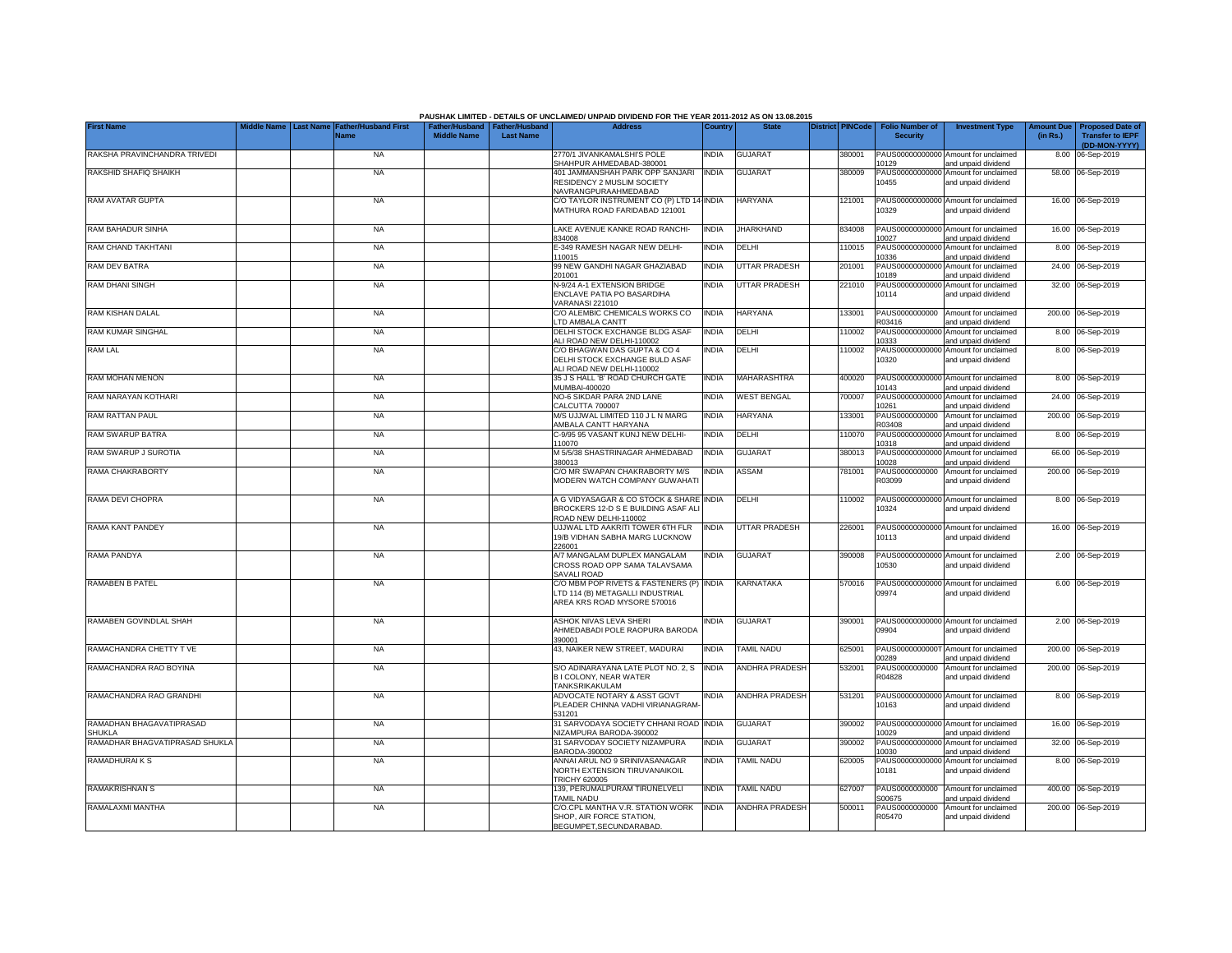|                                           |           |                                     |                                                       |                  | PAUSHAK LIMITED - DETAILS OF UNCLAIMED/ UNPAID DIVIDEND FOR THE YEAR 2011-2012 AS ON 13.08.2015            |              |                       |                         |                                           |                                                             |                               |                                                                     |
|-------------------------------------------|-----------|-------------------------------------|-------------------------------------------------------|------------------|------------------------------------------------------------------------------------------------------------|--------------|-----------------------|-------------------------|-------------------------------------------|-------------------------------------------------------------|-------------------------------|---------------------------------------------------------------------|
| <b>First Name</b>                         | Last Name | <b>Father/Husband First</b><br>Name | Father/Husband   Father/Husband<br><b>Middle Name</b> | <b>Last Name</b> | <b>Address</b>                                                                                             | Country      | <b>State</b>          | <b>District PINCode</b> | <b>Folio Number of</b><br><b>Security</b> | <b>Investment Type</b>                                      | <b>Amount Due</b><br>(in Rs.) | <b>Proposed Date of</b><br><b>Transfer to IEPF</b><br>(DD-MON-YYYY) |
| RAKSHA PRAVINCHANDRA TRIVEDI              |           | <b>NA</b>                           |                                                       |                  | 2770/1 JIVANKAMALSHI'S POLE<br>SHAHPUR AHMEDABAD-380001                                                    | <b>INDIA</b> | <b>GUJARAT</b>        | 380001                  | 10129                                     | PAUS00000000000 Amount for unclaimed<br>and unpaid dividend |                               | 8.00 06-Sep-2019                                                    |
| RAKSHID SHAFIQ SHAIKH                     |           | <b>NA</b>                           |                                                       |                  | 401 JAMMANSHAH PARK OPP SANJARI<br>RESIDENCY 2 MUSLIM SOCIETY<br>NAVRANGPURAAHMEDABAD                      | <b>INDIA</b> | <b>GUJARAT</b>        | 380009                  | PAUS00000000000<br>10455                  | Amount for unclaimed<br>and unpaid dividend                 |                               | 58.00 06-Sep-2019                                                   |
| <b>RAM AVATAR GUPTA</b>                   |           | <b>NA</b>                           |                                                       |                  | C/O TAYLOR INSTRUMENT CO (P) LTD 14 INDIA<br>MATHURA ROAD FARIDABAD 121001                                 |              | <b>HARYANA</b>        | 121001                  | 10329                                     | PAUS00000000000 Amount for unclaimed<br>and unpaid dividend |                               | 16.00 06-Sep-2019                                                   |
| RAM BAHADUR SINHA                         |           | <b>NA</b>                           |                                                       |                  | LAKE AVENUE KANKE ROAD RANCHI-<br>834008                                                                   | <b>INDIA</b> | <b>JHARKHAND</b>      | 834008                  | 10027                                     | PAUS00000000000 Amount for unclaimed<br>and unpaid dividend |                               | 16.00 06-Sep-2019                                                   |
| RAM CHAND TAKHTANI                        |           | <b>NA</b>                           |                                                       |                  | E-349 RAMESH NAGAR NEW DELHI-<br>110015                                                                    | <b>INDIA</b> | DELHI                 | 110015                  | PAUS00000000000<br>10336                  | Amount for unclaimed<br>and unpaid dividend                 |                               | 8.00 06-Sep-2019                                                    |
| RAM DEV BATRA                             |           | <b>NA</b>                           |                                                       |                  | 99 NEW GANDHI NAGAR GHAZIABAD<br>201001                                                                    | <b>INDIA</b> | UTTAR PRADESH         | 201001                  | 10189                                     | PAUS00000000000 Amount for unclaimed<br>and unpaid dividend |                               | 24.00 06-Sep-2019                                                   |
| <b>RAM DHANI SINGH</b>                    |           | <b>NA</b>                           |                                                       |                  | N-9/24 A-1 EXTENSION BRIDGE<br>ENCLAVE PATIA PO BASARDIHA<br><b>VARANASI 221010</b>                        | <b>INDIA</b> | UTTAR PRADESH         | 221010                  | PAUS0000000000<br>10114                   | Amount for unclaimed<br>and unpaid dividend                 |                               | 32.00 06-Sep-2019                                                   |
| RAM KISHAN DALAL                          |           | <b>NA</b>                           |                                                       |                  | C/O ALEMBIC CHEMICALS WORKS CO<br>TD AMBALA CANTT                                                          | <b>INDIA</b> | <b>HARYANA</b>        | 133001                  | PAUS0000000000<br>R03416                  | Amount for unclaimed<br>and unpaid dividend                 |                               | 200.00 06-Sep-2019                                                  |
| RAM KUMAR SINGHAL                         |           | <b>NA</b>                           |                                                       |                  | DELHI STOCK EXCHANGE BLDG ASAF<br>ALI ROAD NEW DELHI-110002                                                | <b>INDIA</b> | DELHI                 | 110002                  | PAUS0000000000<br>10333                   | Amount for unclaimed<br>and unpaid dividend                 |                               | 8.00 06-Sep-2019                                                    |
| RAM LAL                                   |           | <b>NA</b>                           |                                                       |                  | C/O BHAGWAN DAS GUPTA & CO 4<br>DELHI STOCK EXCHANGE BULD ASAF<br>ALI ROAD NEW DELHI-110002                | India        | DELHI                 | 110002                  | PAUS0000000000<br>10320                   | Amount for unclaimed<br>and unpaid dividend                 |                               | 8.00 06-Sep-2019                                                    |
| RAM MOHAN MENON                           |           | <b>NA</b>                           |                                                       |                  | 35 J S HALL 'B' ROAD CHURCH GATE<br>MUMBAI-400020                                                          | <b>INDIA</b> | MAHARASHTRA           | 400020                  | 10143                                     | PAUS00000000000 Amount for unclaimed<br>and unpaid dividend |                               | 8.00 06-Sep-2019                                                    |
| RAM NARAYAN KOTHARI                       |           | <b>NA</b>                           |                                                       |                  | NO-6 SIKDAR PARA 2ND LANE<br>CALCUTTA 700007                                                               | India        | <b>WEST BENGAL</b>    | 700007                  | PAUS00000000000<br>10261                  | Amount for unclaimed<br>and unpaid dividend                 |                               | 24.00 06-Sep-2019                                                   |
| RAM RATTAN PAUL                           |           | <b>NA</b>                           |                                                       |                  | M/S UJJWAL LIMITED 110 J L N MARG<br>AMBALA CANTT HARYANA                                                  | <b>INDIA</b> | <b>HARYANA</b>        | 133001                  | PAUS0000000000<br>R03408                  | Amount for unclaimed<br>and unpaid dividend                 |                               | 200.00 06-Sep-2019                                                  |
| RAM SWARUP BATRA                          |           | <b>NA</b>                           |                                                       |                  | C-9/95 95 VASANT KUNJ NEW DELHI-<br>110070                                                                 | <b>INDIA</b> | DELHI                 | 110070                  | 10318                                     | PAUS00000000000 Amount for unclaimed<br>and unpaid dividend |                               | 8.00 06-Sep-2019                                                    |
| RAM SWARUP J SUROTIA                      |           | <b>NA</b>                           |                                                       |                  | M 5/5/38 SHASTRINAGAR AHMEDABAD<br>380013                                                                  | <b>INDIA</b> | <b>GUJARAT</b>        | 380013                  | 10028                                     | PAUS00000000000 Amount for unclaimed<br>and unpaid dividend |                               | 66.00 06-Sep-2019                                                   |
| RAMA CHAKRABORTY                          |           | <b>NA</b>                           |                                                       |                  | C/O MR SWAPAN CHAKRABORTY M/S<br>MODERN WATCH COMPANY GUWAHATI                                             | <b>INDIA</b> | ASSAM                 | 781001                  | PAUS0000000000<br>R03099                  | Amount for unclaimed<br>and unpaid dividend                 |                               | 200.00 06-Sep-2019                                                  |
| RAMA DEVI CHOPRA                          |           | <b>NA</b>                           |                                                       |                  | A G VIDYASAGAR & CO STOCK & SHARE<br>BROCKERS 12-D S E BUILDING ASAF ALI<br>ROAD NEW DELHI-110002          | <b>INDIA</b> | DELHI                 | 110002                  | 10324                                     | PAUS00000000000 Amount for unclaimed<br>and unpaid dividend |                               | 8.00 06-Sep-2019                                                    |
| RAMA KANT PANDEY                          |           | <b>NA</b>                           |                                                       |                  | UJJWAL LTD AAKRITI TOWER 6TH FLR<br>19/B VIDHAN SABHA MARG LUCKNOW<br>226001                               | <b>INDIA</b> | UTTAR PRADESH         | 226001                  | 10113                                     | PAUS00000000000 Amount for unclaimed<br>and unpaid dividend |                               | 16.00 06-Sep-2019                                                   |
| RAMA PANDYA                               |           | <b>NA</b>                           |                                                       |                  | A/7 MANGALAM DUPLEX MANGALAM<br>CROSS ROAD OPP SAMA TALAVSAMA<br>SAVALI ROAD                               | <b>INDIA</b> | <b>GUJARAT</b>        | 390008                  | 10530                                     | PAUS00000000000 Amount for unclaimed<br>and unpaid dividend |                               | 2.00 06-Sep-2019                                                    |
| <b>RAMABEN B PATEL</b>                    |           | <b>NA</b>                           |                                                       |                  | C/O MBM POP RIVETS & FASTENERS (P) INDIA<br>TD 114 (B) METAGALLI INDUSTRIAL<br>AREA KRS ROAD MYSORE 570016 |              | <b>KARNATAKA</b>      | 570016                  | 09974                                     | PAUS00000000000 Amount for unclaimed<br>and unpaid dividend |                               | 6.00 06-Sep-2019                                                    |
| RAMABEN GOVINDLAL SHAH                    |           | <b>NA</b>                           |                                                       |                  | ASHOK NIVAS LEVA SHERI<br>AHMEDABADI POLE RAOPURA BARODA<br>390001                                         | <b>INDIA</b> | <b>GUJARAT</b>        | 390001                  | 09904                                     | PAUS00000000000 Amount for unclaimed<br>and unpaid dividend |                               | 2.00 06-Sep-2019                                                    |
| RAMACHANDRA CHETTY TVE                    |           | <b>NA</b>                           |                                                       |                  | 43, NAIKER NEW STREET, MADURAI                                                                             | <b>INDIA</b> | TAMIL NADU            | 625001                  | PAUS0000000000<br>00289                   | Amount for unclaimed<br>and unpaid dividend                 |                               | 200.00 06-Sep-2019                                                  |
| RAMACHANDRA RAO BOYINA                    |           | <b>NA</b>                           |                                                       |                  | S/O ADINARAYANA LATE PLOT NO. 2, S<br><b>BI COLONY, NEAR WATER</b><br>TANKSRIKAKULAM                       | <b>INDIA</b> | ANDHRA PRADESH        | 532001                  | PAUS0000000000<br>R04828                  | Amount for unclaimed<br>and unpaid dividend                 |                               | 200.00 06-Sep-2019                                                  |
| RAMACHANDRA RAO GRANDHI                   |           | <b>NA</b>                           |                                                       |                  | ADVOCATE NOTARY & ASST GOVT<br>PLEADER CHINNA VADHI VIRIANAGRAM<br>531201                                  | <b>INDIA</b> | <b>ANDHRA PRADESH</b> | 531201                  | PAUS0000000000<br>10163                   | Amount for unclaimed<br>and unpaid dividend                 |                               | 8.00 06-Sep-2019                                                    |
| RAMADHAN BHAGAVATIPRASAD<br><b>SHUKLA</b> |           | <b>NA</b>                           |                                                       |                  | 31 SARVODAYA SOCIETY CHHANI ROAD<br>NIZAMPURA BARODA-390002                                                | <b>INDIA</b> | <b>GUJARAT</b>        | 390002                  | 10029                                     | PAUS00000000000 Amount for unclaimed<br>and unpaid dividend |                               | 16.00 06-Sep-2019                                                   |
| RAMADHAR BHAGVATIPRASAD SHUKLA            |           | <b>NA</b>                           |                                                       |                  | 31 SARVODAY SOCIETY NIZAMPURA<br>BARODA-390002                                                             | <b>INDIA</b> | <b>GUJARAT</b>        | 390002                  | PAUS00000000000<br>10030                  | Amount for unclaimed<br>and unpaid dividend                 |                               | 32.00 06-Sep-2019                                                   |
| RAMADHURAIKS                              |           | <b>NA</b>                           |                                                       |                  | ANNAI ARUL NO 9 SRINIVASANAGAR<br>NORTH EXTENSION TIRUVANAIKOIL<br><b>TRICHY 620005</b>                    | <b>INDIA</b> | <b>TAMIL NADU</b>     | 620005                  | PAUS00000000000<br>10181                  | Amount for unclaimed<br>and unpaid dividend                 |                               | 8.00 06-Sep-2019                                                    |
| <b>RAMAKRISHNAN S</b>                     |           | <b>NA</b>                           |                                                       |                  | 139, PERUMALPURAM TIRUNELVELI<br>TAMIL NADU                                                                | <b>INDIA</b> | <b>TAMIL NADU</b>     | 627007                  | PAUS0000000000<br>300675                  | Amount for unclaimed<br>and unpaid dividend                 |                               | 400.00 06-Sep-2019                                                  |
| RAMALAXMI MANTHA                          |           | <b>NA</b>                           |                                                       |                  | C/O.CPL MANTHA V.R. STATION WORK<br>SHOP, AIR FORCE STATION,<br>BEGUMPET, SECUNDARABAD                     | <b>INDIA</b> | <b>ANDHRA PRADESH</b> | 500011                  | PAUS0000000000<br>R05470                  | Amount for unclaimed<br>and unpaid dividend                 |                               | 200.00 06-Sep-2019                                                  |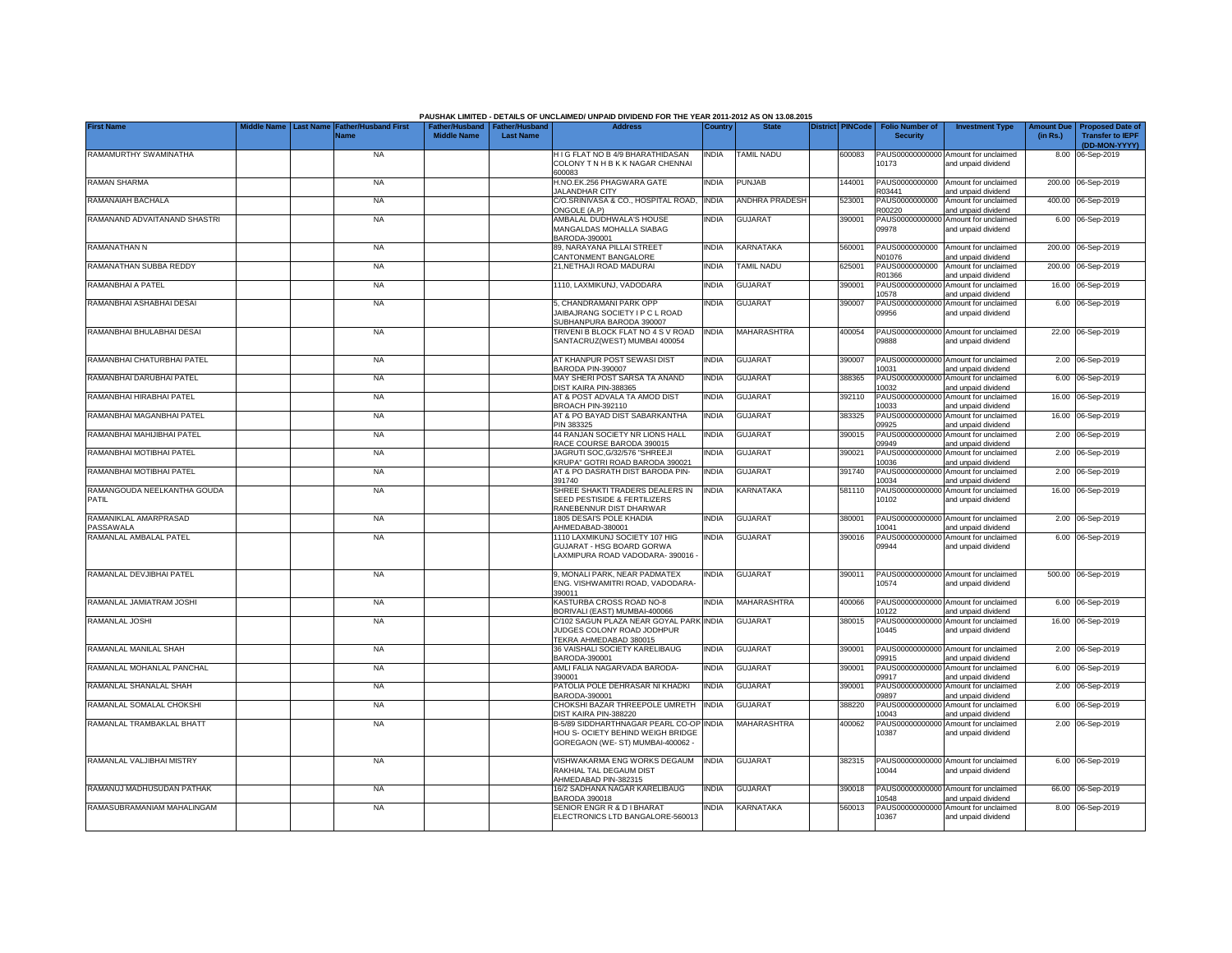|                                      |                  |                                     |                                                       |                  | PAUSHAK LIMITED - DETAILS OF UNCLAIMED/ UNPAID DIVIDEND FOR THE YEAR 2011-2012 AS ON 13.08.2015            |              |                       |                         |                                           |                                                             |                               |                                                    |
|--------------------------------------|------------------|-------------------------------------|-------------------------------------------------------|------------------|------------------------------------------------------------------------------------------------------------|--------------|-----------------------|-------------------------|-------------------------------------------|-------------------------------------------------------------|-------------------------------|----------------------------------------------------|
| <b>First Name</b>                    | <b>Last Name</b> | <b>Father/Husband First</b><br>Name | Father/Husband   Father/Husband<br><b>Middle Name</b> | <b>Last Name</b> | <b>Address</b>                                                                                             | Country      | <b>State</b>          | <b>District PINCode</b> | <b>Folio Number of</b><br><b>Security</b> | <b>Investment Type</b>                                      | <b>Amount Due</b><br>(in Rs.) | <b>Proposed Date of</b><br><b>Transfer to IEPF</b> |
|                                      |                  | <b>NA</b>                           |                                                       |                  | H I G FLAT NO B 4/9 BHARATHIDASAN                                                                          |              | <b>TAMIL NADU</b>     |                         |                                           |                                                             |                               | (DD-MON-YYYY)                                      |
| RAMAMURTHY SWAMINATHA                |                  |                                     |                                                       |                  | COLONY T N H B K K NAGAR CHENNAI<br><b><i>FROODB</i></b>                                                   | <b>INDIA</b> |                       | 600083                  | 10173                                     | PAUS00000000000 Amount for unclaimed<br>and unpaid dividend |                               | 8.00 06-Sep-2019                                   |
| RAMAN SHARMA                         |                  | <b>NA</b>                           |                                                       |                  | H.NO.EK.256 PHAGWARA GATE<br><b>JALANDHAR CITY</b>                                                         | <b>INDIA</b> | PUNJAB                | 144001                  | PAUS0000000000<br>R03441                  | Amount for unclaimed<br>and unpaid dividend                 |                               | 200.00 06-Sep-2019                                 |
| RAMANAIAH BACHALA                    |                  | <b>NA</b>                           |                                                       |                  | C/O.SRINIVASA & CO., HOSPITAL ROAD.<br>ONGOLE (A.P)                                                        | <b>INDIA</b> | <b>ANDHRA PRADESH</b> | 523001                  | PAUS0000000000<br>300220                  | Amount for unclaimed<br>and unpaid dividend                 |                               | 400.00 06-Sep-2019                                 |
| RAMANAND ADVAITANAND SHASTRI         |                  | <b>NA</b>                           |                                                       |                  | AMBALAL DUDHWALA'S HOUSE<br>MANGALDAS MOHALLA SIABAG<br>BARODA-390001                                      | <b>INDIA</b> | <b>GUJARAT</b>        | 390001                  | PAUS00000000000<br>09978                  | Amount for unclaimed<br>and unpaid dividend                 |                               | 6.00 06-Sep-2019                                   |
| RAMANATHAN N                         |                  | <b>NA</b>                           |                                                       |                  | 89, NARAYANA PILLAI STREET<br>CANTONMENT BANGALORE                                                         | <b>INDIA</b> | KARNATAKA             | 560001                  | PAUS0000000000<br>N01076                  | Amount for unclaimed<br>and unpaid dividend                 |                               | 200.00 06-Sep-2019                                 |
| RAMANATHAN SUBBA REDDY               |                  | <b>NA</b>                           |                                                       |                  | 21, NETHAJI ROAD MADURAI                                                                                   | <b>INDIA</b> | <b>TAMIL NADU</b>     | 625001                  | PAUS0000000000<br>R01366                  | Amount for unclaimed<br>and unpaid dividend                 |                               | 200.00 06-Sep-2019                                 |
| RAMANBHAI A PATEL                    |                  | <b>NA</b>                           |                                                       |                  | 1110, LAXMIKUNJ, VADODARA                                                                                  | <b>INDIA</b> | <b>GUJARAT</b>        | 390001                  | PAUS0000000000<br>10578                   | Amount for unclaimed<br>and unpaid dividend                 | 16.00                         | 06-Sep-2019                                        |
| RAMANBHAI ASHABHAI DESAI             |                  | <b>NA</b>                           |                                                       |                  | 5, CHANDRAMANI PARK OPP<br>JAIBAJRANG SOCIETY I P C L ROAD<br>SUBHANPURA BARODA 390007                     | <b>INDIA</b> | <b>GUJARAT</b>        | 390007                  | PAUS0000000000<br>09956                   | Amount for unclaimed<br>and unpaid dividend                 |                               | 6.00 06-Sep-2019                                   |
| RAMANBHAI BHULABHAI DESAI            |                  | <b>NA</b>                           |                                                       |                  | TRIVENI B BLOCK FLAT NO 4 S V ROAD<br>SANTACRUZ(WEST) MUMBAI 400054                                        | <b>INDIA</b> | MAHARASHTRA           | 400054                  | 09888                                     | PAUS00000000000 Amount for unclaimed<br>and unpaid dividend |                               | 22.00 06-Sep-2019                                  |
| RAMANBHAI CHATURBHAI PATEL           |                  | <b>NA</b>                           |                                                       |                  | AT KHANPUR POST SEWASI DIST<br>BARODA PIN-390007                                                           | <b>INDIA</b> | <b>GUJARAT</b>        | 390007                  | 10031                                     | PAUS00000000000 Amount for unclaimed<br>and unpaid dividend |                               | 2.00 06-Sep-2019                                   |
| RAMANBHAI DARUBHAI PATEL             |                  | <b>NA</b>                           |                                                       |                  | MAY SHERI POST SARSA TA ANAND<br>DIST KAIRA PIN-388365                                                     | <b>INDIA</b> | <b>GUJARAT</b>        | 388365                  | PAUS0000000000<br>10032                   | Amount for unclaimed<br>and unpaid dividend                 |                               | 6.00 06-Sep-2019                                   |
| RAMANBHAI HIRABHAI PATEL             |                  | <b>NA</b>                           |                                                       |                  | AT & POST ADVALA TA AMOD DIST<br>BROACH PIN-392110                                                         | India        | <b>GUJARAT</b>        | 392110                  | PAUS00000000000<br>10033                  | Amount for unclaimed<br>and unpaid dividend                 |                               | 16.00 06-Sep-2019                                  |
| RAMANBHAI MAGANBHAI PATEL            |                  | <b>NA</b>                           |                                                       |                  | AT & PO BAYAD DIST SABARKANTHA<br>PIN 383325                                                               | <b>INDIA</b> | <b>GUJARAT</b>        | 383325                  | 09925                                     | PAUS00000000000 Amount for unclaimed<br>and unpaid dividend |                               | 16.00 06-Sep-2019                                  |
| RAMANBHAI MAHIJIBHAI PATEL           |                  | <b>NA</b>                           |                                                       |                  | 44 RANJAN SOCIETY NR LIONS HALL<br>RACE COURSE BARODA 390015                                               | <b>INDIA</b> | GUJARAT               | 390015                  | 09949                                     | PAUS00000000000 Amount for unclaimed<br>and unpaid dividend |                               | 2.00 06-Sep-2019                                   |
| RAMANBHAI MOTIBHAI PATEL             |                  | <b>NA</b>                           |                                                       |                  | JAGRUTI SOC, G/32/576 "SHREEJI<br>KRUPA" GOTRI ROAD BARODA 390021                                          | <b>INDIA</b> | <b>GUJARAT</b>        | 390021                  | 10036                                     | PAUS00000000000 Amount for unclaimed<br>and unpaid dividend |                               | 2.00 06-Sep-2019                                   |
| RAMANBHAI MOTIBHAI PATEL             |                  | <b>NA</b>                           |                                                       |                  | AT & PO DASRATH DIST BARODA PIN-<br>391740                                                                 | <b>INDIA</b> | <b>GUJARAT</b>        | 391740                  | 10034                                     | PAUS00000000000 Amount for unclaimed<br>and unpaid dividend |                               | 2.00 06-Sep-2019                                   |
| RAMANGOUDA NEELKANTHA GOUDA<br>PATIL |                  | <b>NA</b>                           |                                                       |                  | SHREE SHAKTI TRADERS DEALERS IN<br>SEED PESTISIDE & FERTILIZERS<br>RANEBENNUR DIST DHARWAR                 | <b>INDIA</b> | KARNATAKA             | 581110                  | 10102                                     | PAUS00000000000 Amount for unclaimed<br>and unpaid dividend |                               | 16.00 06-Sep-2019                                  |
| RAMANIKLAL AMARPRASAD<br>PASSAWALA   |                  | <b>NA</b>                           |                                                       |                  | 1805 DESAI'S POLE KHADIA<br>AHMEDABAD-380001                                                               | <b>INDIA</b> | <b>GUJARAT</b>        | 380001                  | 10041                                     | PAUS00000000000 Amount for unclaimed<br>and unpaid dividend |                               | 2.00 06-Sep-2019                                   |
| RAMANLAL AMBALAL PATEL               |                  | <b>NA</b>                           |                                                       |                  | 1110 LAXMIKUNJ SOCIETY 107 HIG<br>GUJARAT - HSG BOARD GORWA<br>LAXMIPURA ROAD VADODARA-390016 -            | <b>INDIA</b> | <b>GUJARAT</b>        | 390016                  | 09944                                     | PAUS00000000000 Amount for unclaimed<br>and unpaid dividend |                               | 6.00 06-Sep-2019                                   |
| RAMANLAL DEVJIBHAI PATEL             |                  | <b>NA</b>                           |                                                       |                  | 9. MONALI PARK, NEAR PADMATEX<br>ENG. VISHWAMITRI ROAD. VADODARA-<br>390011                                | <b>INDIA</b> | <b>GUJARAT</b>        | 390011                  | 10574                                     | PAUS00000000000 Amount for unclaimed<br>and unpaid dividend |                               | 500.00 06-Sep-2019                                 |
| RAMANLAL JAMIATRAM JOSHI             |                  | <b>NA</b>                           |                                                       |                  | KASTURBA CROSS ROAD NO-8<br>BORIVALI (EAST) MUMBAI-400066                                                  | <b>INDIA</b> | MAHARASHTRA           | 400066                  | 10122                                     | PAUS00000000000 Amount for unclaimed<br>and unpaid dividend |                               | 6.00 06-Sep-2019                                   |
| RAMANLAL JOSHI                       |                  | <b>NA</b>                           |                                                       |                  | C/102 SAGUN PLAZA NEAR GOYAL PARK INDIA<br>JUDGES COLONY ROAD JODHPUR<br>TEKRA AHMEDABAD 380015            |              | GUJARAT               | 380015                  | 10445                                     | PAUS00000000000 Amount for unclaimed<br>and unpaid dividend |                               | 16.00 06-Sep-2019                                  |
| RAMANLAL MANILAL SHAH                |                  | <b>NA</b>                           |                                                       |                  | 36 VAISHALI SOCIETY KARELIBAUG<br>BARODA-390001                                                            | <b>INDIA</b> | <b>GUJARAT</b>        | 390001                  | 09915                                     | PAUS00000000000 Amount for unclaimed<br>and unpaid dividend |                               | 2.00 06-Sep-2019                                   |
| RAMANLAL MOHANLAL PANCHAL            |                  | <b>NA</b>                           |                                                       |                  | AMLI FALIA NAGARVADA BARODA-<br>390001                                                                     | <b>INDIA</b> | <b>GUJARAT</b>        | 390001                  | PAUS0000000000<br>09917                   | Amount for unclaimed<br>and unpaid dividend                 |                               | 6.00 06-Sep-2019                                   |
| RAMANLAL SHANALAL SHAH               |                  | <b>NA</b>                           |                                                       |                  | PATOLIA POLE DEHRASAR NI KHADKI<br>BARODA-390001                                                           | <b>INDIA</b> | <b>GUJARAT</b>        | 390001                  | PAUS0000000000<br>09897                   | Amount for unclaimed<br>and unpaid dividend                 | 2.00                          | 06-Sep-2019                                        |
| RAMANLAL SOMALAL CHOKSHI             |                  | <b>NA</b>                           |                                                       |                  | CHOKSHI BAZAR THREEPOLE UMRETH<br>DIST KAIRA PIN-388220                                                    | <b>INDIA</b> | <b>GUJARAT</b>        | 388220                  | PAUS0000000000<br>10043                   | Amount for unclaimed<br>and unpaid dividend                 |                               | 6.00 06-Sep-2019                                   |
| RAMANLAL TRAMBAKLAL BHATT            |                  | <b>NA</b>                           |                                                       |                  | B-5/89 SIDDHARTHNAGAR PEARL CO-OP<br>HOU S- OCIETY BEHIND WEIGH BRIDGE<br>GOREGAON (WE-ST) MUMBAI-400062 - | <b>INDIA</b> | MAHARASHTRA           | 400062                  | PAUS00000000000<br>10387                  | Amount for unclaimed<br>and unpaid dividend                 |                               | 2.00 06-Sep-2019                                   |
| RAMANLAL VALJIBHAI MISTRY            |                  | <b>NA</b>                           |                                                       |                  | VISHWAKARMA ENG WORKS DEGAUM<br>RAKHIAL TAL DEGAUM DIST<br>AHMEDABAD PIN-382315                            | <b>INDIA</b> | <b>GUJARAT</b>        | 382315                  | 10044                                     | PAUS00000000000 Amount for unclaimed<br>and unpaid dividend |                               | 6.00 06-Sep-2019                                   |
| RAMANUJ MADHUSUDAN PATHAK            |                  | <b>NA</b>                           |                                                       |                  | 16/2 SADHANA NAGAR KARELIBAUG<br><b>BARODA 390018</b>                                                      | <b>INDIA</b> | <b>GUJARAT</b>        | 390018                  | 0548                                      | PAUS00000000000 Amount for unclaimed<br>and unpaid dividend |                               | 66.00 06-Sep-2019                                  |
| RAMASUBRAMANIAM MAHALINGAM           |                  | <b>NA</b>                           |                                                       |                  | SENIOR ENGR R & D I BHARAT<br>ELECTRONICS LTD BANGALORE-560013                                             | <b>INDIA</b> | KARNATAKA             | 560013                  | 10367                                     | PAUS00000000000 Amount for unclaimed<br>and unpaid dividend |                               | 8.00 06-Sep-2019                                   |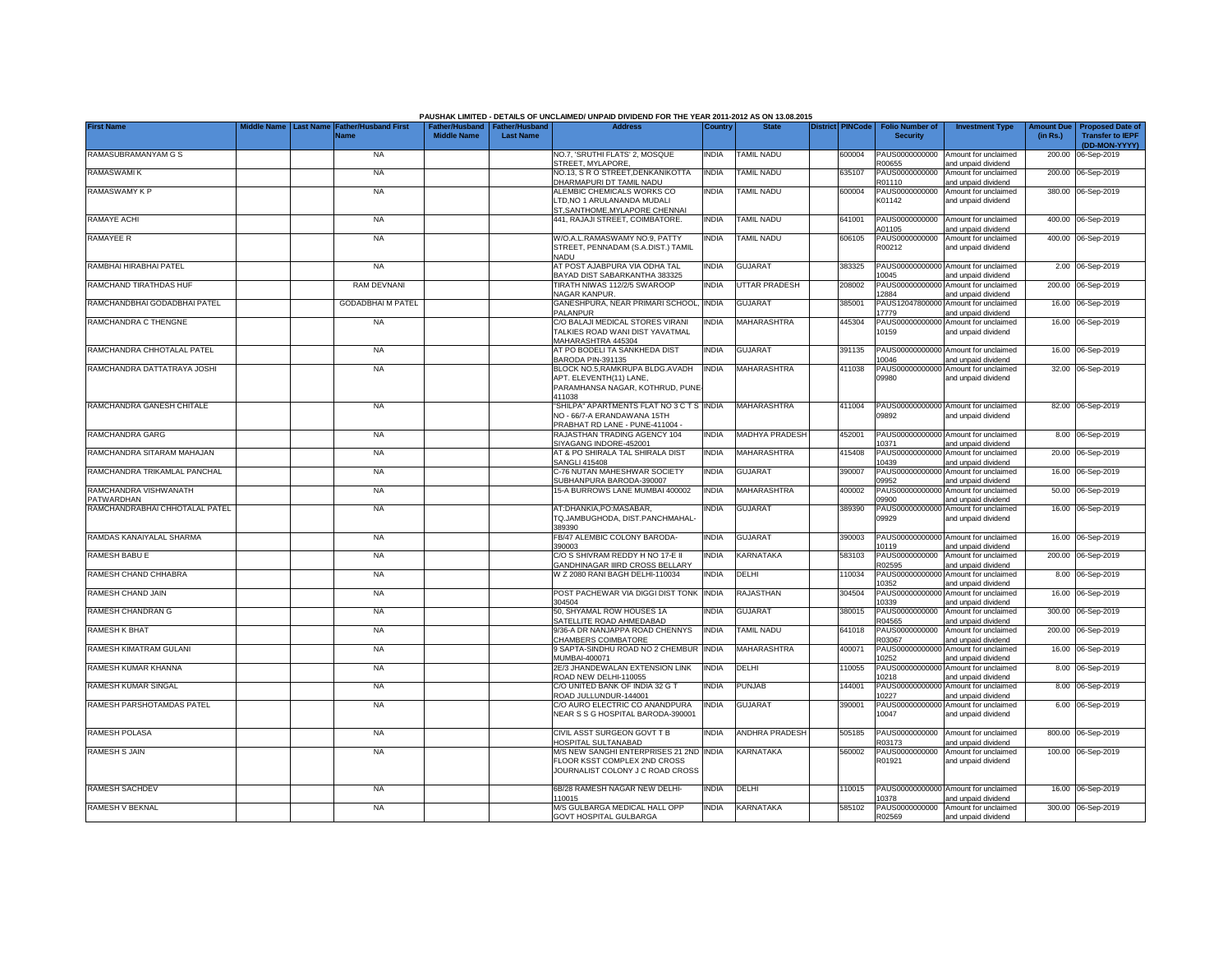|                                     |             |                  |                                            |                                                       |                  | PAUSHAK LIMITED - DETAILS OF UNCLAIMED/ UNPAID DIVIDEND FOR THE YEAR 2011-2012 AS ON 13.08.2015             |              |                       |                         |                                           |                                                             |                               |                                                                     |
|-------------------------------------|-------------|------------------|--------------------------------------------|-------------------------------------------------------|------------------|-------------------------------------------------------------------------------------------------------------|--------------|-----------------------|-------------------------|-------------------------------------------|-------------------------------------------------------------|-------------------------------|---------------------------------------------------------------------|
| <b>First Name</b>                   | Middle Name | <b>Last Name</b> | <b>Father/Husband First</b><br><b>Name</b> | Father/Husband   Father/Husband<br><b>Middle Name</b> | <b>Last Name</b> | <b>Address</b>                                                                                              | Country      | <b>State</b>          | <b>District PINCode</b> | <b>Folio Number of</b><br><b>Security</b> | <b>Investment Type</b>                                      | <b>Amount Due</b><br>(in Rs.) | <b>Proposed Date of</b><br><b>Transfer to IEPF</b><br>(DD-MON-YYYY) |
| RAMASUBRAMANYAM G S                 |             |                  | <b>NA</b>                                  |                                                       |                  | NO.7, 'SRUTHI FLATS' 2, MOSQUE<br>STREET, MYLAPORE                                                          | <b>INDIA</b> | <b>TAMIL NADU</b>     | 600004                  | PAUS0000000000<br>R00655                  | Amount for unclaimed<br>and unpaid dividend                 | 200.00                        | 06-Sep-2019                                                         |
| RAMASWAMI K                         |             |                  | <b>NA</b>                                  |                                                       |                  | NO.13, S R O STREET, DENKANIKOTTA<br><b>DHARMAPURI DT TAMIL NADU</b>                                        | INDIA        | <b>TAMIL NADU</b>     | 635107                  | PAUS0000000000<br>R01110                  | Amount for unclaimed<br>and unpaid dividend                 |                               | 200.00 06-Sep-2019                                                  |
| RAMASWAMY K P                       |             |                  | <b>NA</b>                                  |                                                       |                  | ALEMBIC CHEMICALS WORKS CO<br>TD, NO 1 ARULANANDA MUDALI<br>ST, SANTHOME, MYLAPORE CHENNAI                  | INDIA        | <b>TAMIL NADU</b>     | 600004                  | PAUS0000000000<br>K01142                  | Amount for unclaimed<br>and unpaid dividend                 |                               | 380.00 06-Sep-2019                                                  |
| RAMAYE ACHI                         |             |                  | <b>NA</b>                                  |                                                       |                  | 441, RAJAJI STREET, COIMBATORE.                                                                             | INDIA        | <b>TAMIL NADU</b>     | 641001                  | PAUS0000000000<br>A01105                  | Amount for unclaimed<br>and unpaid dividend                 |                               | 400.00 06-Sep-2019                                                  |
| <b>RAMAYEE R</b>                    |             |                  | <b>NA</b>                                  |                                                       |                  | W/O.A.L.RAMASWAMY NO.9, PATTY<br>STREET, PENNADAM (S.A.DIST.) TAMIL<br>NADU                                 | INDIA        | TAMIL NADU            | 606105                  | PAUS0000000000<br>R00212                  | Amount for unclaimed<br>and unpaid dividend                 |                               | 400.00 06-Sep-2019                                                  |
| RAMBHAI HIRABHAI PATEL              |             |                  | <b>NA</b>                                  |                                                       |                  | AT POST AJABPURA VIA ODHA TAL<br>BAYAD DIST SABARKANTHA 383325                                              | india        | <b>GUJARAT</b>        | 383325                  | PAUS00000000000<br>10045                  | Amount for unclaimed<br>and unpaid dividend                 |                               | 2.00 06-Sep-2019                                                    |
| RAMCHAND TIRATHDAS HUF              |             |                  | <b>RAM DEVNANI</b>                         |                                                       |                  | TIRATH NIWAS 112/2/5 SWAROOP<br><b>NAGAR KANPUR.</b>                                                        | <b>INDIA</b> | UTTAR PRADESH         | 208002                  | PAUS00000000000<br>2884                   | Amount for unclaimed<br>and unpaid dividend                 |                               | 200.00 06-Sep-2019                                                  |
| RAMCHANDBHAI GODADBHAI PATEL        |             |                  | <b>GODADBHAIM PATEL</b>                    |                                                       |                  | GANESHPURA, NEAR PRIMARI SCHOOL,<br>PALANPUR                                                                | <b>INDIA</b> | GUJARAT               | 385001                  | PAUS12047800000<br>17779                  | Amount for unclaimed<br>and unpaid dividend                 |                               | 16.00 06-Sep-2019                                                   |
| RAMCHANDRA C THENGNE                |             |                  | <b>NA</b>                                  |                                                       |                  | C/O BALAJI MEDICAL STORES VIRANI<br>TALKIES ROAD WANI DIST YAVATMAL<br>MAHARASHTRA 445304                   | INDIA        | <b>MAHARASHTRA</b>    | 445304                  | PAUS00000000000<br>10159                  | Amount for unclaimed<br>and unpaid dividend                 |                               | 16.00 06-Sep-2019                                                   |
| RAMCHANDRA CHHOTALAL PATEL          |             |                  | <b>NA</b>                                  |                                                       |                  | AT PO BODELI TA SANKHEDA DIST<br>BARODA PIN-391135                                                          | <b>INDIA</b> | <b>GUJARAT</b>        | 391135                  | 0046                                      | PAUS00000000000 Amount for unclaimed<br>and unpaid dividend |                               | 16.00 06-Sep-2019                                                   |
| RAMCHANDRA DATTATRAYA JOSHI         |             |                  | <b>NA</b>                                  |                                                       |                  | BLOCK NO.5, RAMKRUPA BLDG.AVADH<br>APT. ELEVENTH(11) LANE,<br>PARAMHANSA NAGAR, KOTHRUD, PUNE<br>411038     | <b>INDIA</b> | <b>MAHARASHTRA</b>    | 411038                  | 09980                                     | PAUS00000000000 Amount for unclaimed<br>and unpaid dividend |                               | 32.00 06-Sep-2019                                                   |
| RAMCHANDRA GANESH CHITALE           |             |                  | <b>NA</b>                                  |                                                       |                  | "SHILPA" APARTMENTS FLAT NO 3 C T S INDIA<br>NO - 66/7-A ERANDAWANA 15TH<br>PRABHAT RD LANE - PUNE-411004 - |              | MAHARASHTRA           | 411004                  | 09892                                     | PAUS00000000000 Amount for unclaimed<br>and unpaid dividend |                               | 82.00 06-Sep-2019                                                   |
| RAMCHANDRA GARG                     |             |                  | <b>NA</b>                                  |                                                       |                  | RAJASTHAN TRADING AGENCY 104<br>SIYAGANG INDORE-452001                                                      | <b>INDIA</b> | <b>MADHYA PRADESH</b> | 452001                  | 10371                                     | PAUS00000000000 Amount for unclaimed<br>and unpaid dividend |                               | 8.00 06-Sep-2019                                                    |
| RAMCHANDRA SITARAM MAHAJAN          |             |                  | <b>NA</b>                                  |                                                       |                  | AT & PO SHIRALA TAL SHIRALA DIST<br><b>SANGLI 415408</b>                                                    | <b>INDIA</b> | MAHARASHTRA           | 415408                  | PAUS0000000000<br>10439                   | Amount for unclaimed<br>and unpaid dividend                 | 20.00                         | 06-Sep-2019                                                         |
| RAMCHANDRA TRIKAMLAL PANCHAL        |             |                  | <b>NA</b>                                  |                                                       |                  | C-76 NUTAN MAHESHWAR SOCIETY<br>SUBHANPURA BARODA-390007                                                    | INDIA        | <b>GUJARAT</b>        | 390007                  | PAUS0000000000<br>09952                   | Amount for unclaimed<br>and unpaid dividend                 | 16.00                         | 06-Sep-2019                                                         |
| RAMCHANDRA VISHWANATH<br>PATWARDHAN |             |                  | <b>NA</b>                                  |                                                       |                  | 15-A BURROWS LANE MUMBAI 400002                                                                             | INDIA        | MAHARASHTRA           | 400002                  | PAUS0000000000<br>09900                   | Amount for unclaimed<br>and unpaid dividend                 | 50.00                         | 06-Sep-2019                                                         |
| RAMCHANDRABHAI CHHOTALAL PATEL      |             |                  | <b>NA</b>                                  |                                                       |                  | AT:DHANKIA.PO:MASABAR.<br>TQ.JAMBUGHODA, DIST.PANCHMAHAL-<br>389390                                         | <b>INDIA</b> | <b>GUJARAT</b>        | 389390                  | PAUS0000000000<br>09929                   | Amount for unclaimed<br>and unpaid dividend                 |                               | 16.00 06-Sep-2019                                                   |
| RAMDAS KANAIYALAL SHARMA            |             |                  | <b>NA</b>                                  |                                                       |                  | FB/47 ALEMBIC COLONY BARODA-<br>390003                                                                      | INDIA        | <b>GUJARAT</b>        | 390003                  | PAUS00000000000<br>10119                  | Amount for unclaimed<br>and unpaid dividend                 |                               | 16.00 06-Sep-2019                                                   |
| RAMESH BABU E                       |             |                  | <b>NA</b>                                  |                                                       |                  | C/O S SHIVRAM REDDY H NO 17-E II<br>GANDHINAGAR IIIRD CROSS BELLARY                                         | INDIA        | KARNATAKA             | 583103                  | PAUS0000000000<br>R02595                  | Amount for unclaimed<br>and unpaid dividend                 | 200.00                        | 06-Sep-2019                                                         |
| RAMESH CHAND CHHABRA                |             |                  | <b>NA</b>                                  |                                                       |                  | W Z 2080 RANI BAGH DELHI-110034                                                                             | <b>INDIA</b> | DELHI                 | 110034                  | PAUS0000000000<br>10352                   | Amount for unclaimed<br>and unpaid dividend                 |                               | 8.00 06-Sep-2019                                                    |
| RAMESH CHAND JAIN                   |             |                  | <b>NA</b>                                  |                                                       |                  | POST PACHEWAR VIA DIGGI DIST TONK<br>304504                                                                 | <b>INDIA</b> | RAJASTHAN             | 304504                  | PAUS00000000000<br>10339                  | Amount for unclaimed<br>and unpaid dividend                 |                               | 16.00 06-Sep-2019                                                   |
| RAMESH CHANDRAN G                   |             |                  | <b>NA</b>                                  |                                                       |                  | 50, SHYAMAL ROW HOUSES 1A<br>SATELLITE ROAD AHMEDABAD                                                       | INDIA        | <b>GUJARAT</b>        | 380015                  | PAUS0000000000<br>R04565                  | Amount for unclaimed<br>and unpaid dividend                 |                               | 300.00 06-Sep-2019                                                  |
| <b>RAMESH K BHAT</b>                |             |                  | <b>NA</b>                                  |                                                       |                  | 9/36-A DR NANJAPPA ROAD CHENNYS<br>CHAMBERS COIMBATORE                                                      | India        | TAMIL NADU            | 641018                  | PAUS0000000000<br>R03067                  | Amount for unclaimed<br>and unpaid dividend                 |                               | 200.00 06-Sep-2019                                                  |
| RAMESH KIMATRAM GULANI              |             |                  | <b>NA</b>                                  |                                                       |                  | 9 SAPTA-SINDHU ROAD NO 2 CHEMBUR<br>MUMBAI-400071                                                           | <b>INDIA</b> | MAHARASHTRA           | 400071                  | PAUS00000000000<br>10252                  | Amount for unclaimed<br>and unpaid dividend                 |                               | 16.00 06-Sep-2019                                                   |
| RAMESH KUMAR KHANNA                 |             |                  | <b>NA</b>                                  |                                                       |                  | 2E/3 JHANDEWALAN EXTENSION LINK<br>ROAD NEW DELHI-110055                                                    | india        | DELHI                 | 110055                  | PAUS0000000000<br>10218                   | Amount for unclaimed<br>and unpaid dividend                 |                               | 8.00 06-Sep-2019                                                    |
| <b>RAMESH KUMAR SINGAL</b>          |             |                  | <b>NA</b>                                  |                                                       |                  | C/O UNITED BANK OF INDIA 32 G T<br>ROAD JULLUNDUR-144001                                                    | INDIA        | PUNJAB                | 144001                  | PAUS00000000000<br>10227                  | Amount for unclaimed<br>and unpaid dividend                 |                               | 8.00 06-Sep-2019                                                    |
| RAMESH PARSHOTAMDAS PATEL           |             |                  | <b>NA</b>                                  |                                                       |                  | C/O AURO ELECTRIC CO ANANDPURA<br>NEAR S S G HOSPITAL BARODA-390001                                         | INDIA        | GUJARAT               | 390001                  | PAUS00000000000<br>10047                  | Amount for unclaimed<br>and unpaid dividend                 |                               | 6.00 06-Sep-2019                                                    |
| RAMESH POLASA                       |             |                  | <b>NA</b>                                  |                                                       |                  | CIVIL ASST SURGEON GOVT T B<br>HOSPITAL SULTANABAD                                                          | INDIA        | <b>ANDHRA PRADESH</b> | 505185                  | PAUS0000000000<br>R03173                  | Amount for unclaimed<br>and unpaid dividend                 |                               | 800.00 06-Sep-2019                                                  |
| <b>RAMESH S JAIN</b>                |             |                  | <b>NA</b>                                  |                                                       |                  | M/S NEW SANGHI ENTERPRISES 21 2ND INDIA<br>FLOOR KSST COMPLEX 2ND CROSS<br>JOURNALIST COLONY J C ROAD CROSS |              | KARNATAKA             | 560002                  | PAUS0000000000<br>R01921                  | Amount for unclaimed<br>and unpaid dividend                 |                               | 100.00 06-Sep-2019                                                  |
| <b>RAMESH SACHDEV</b>               |             |                  | <b>NA</b>                                  |                                                       |                  | 6B/28 RAMESH NAGAR NEW DELHI-<br>110015                                                                     | INDIA        | DELHI                 | 110015                  | 10378                                     | PAUS00000000000 Amount for unclaimed<br>and unpaid dividend |                               | 16.00 06-Sep-2019                                                   |
| RAMESH V BEKNAL                     |             |                  | <b>NA</b>                                  |                                                       |                  | M/S GULBARGA MEDICAL HALL OPP<br><b>GOVT HOSPITAL GULBARGA</b>                                              | <b>INDIA</b> | KARNATAKA             | 585102                  | R02569                                    | PAUS0000000000 Amount for unclaimed<br>and unpaid dividend  |                               | 300.00 06-Sep-2019                                                  |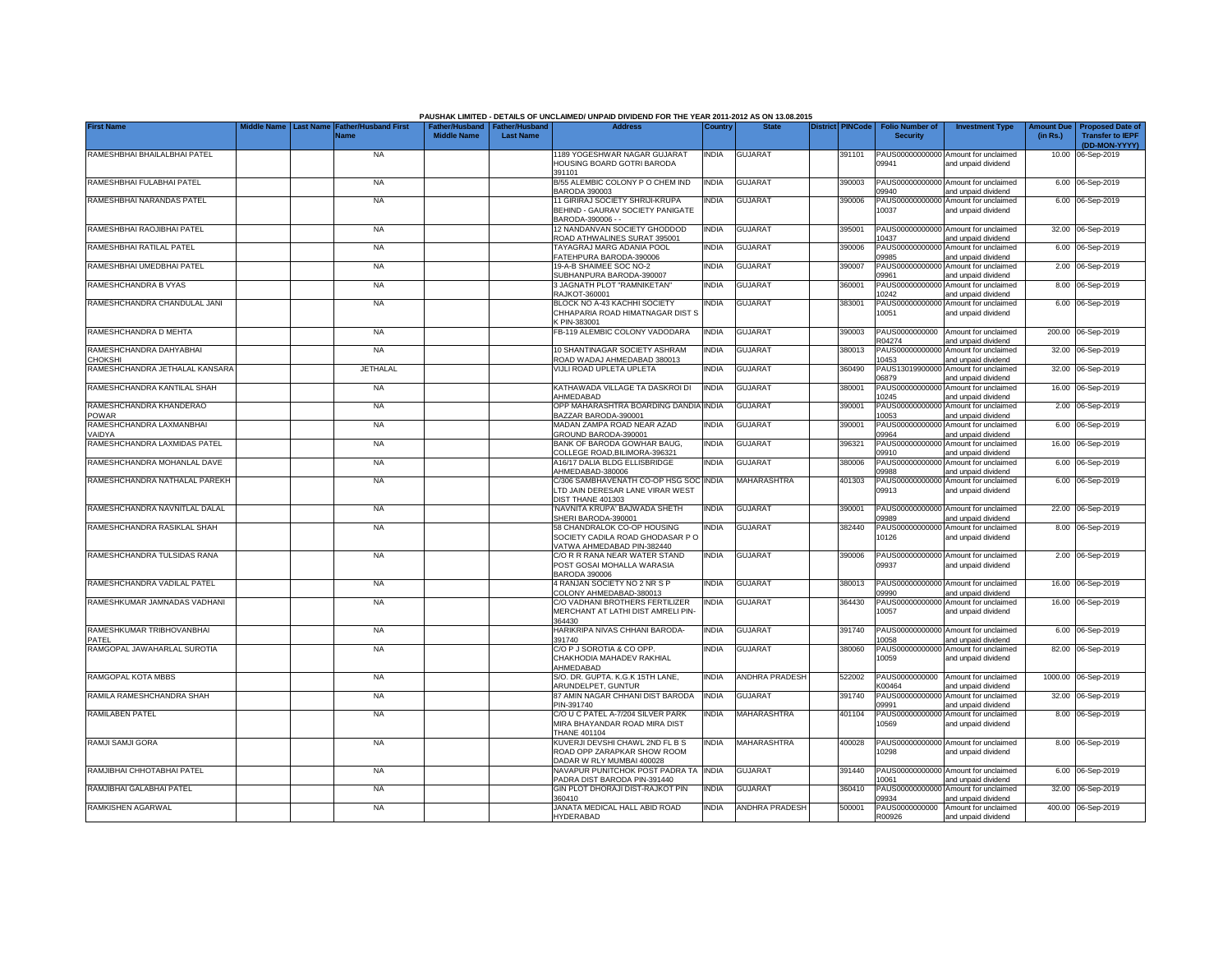|                                          | Middle Name      |                                            |                                                       |                  | PAUSHAK LIMITED - DETAILS OF UNCLAIMED/ UNPAID DIVIDEND FOR THE YEAR 2011-2012 AS ON 13.08.2015<br><b>Address</b> |              | <b>State</b>          | <b>District PINCode</b> |                                           |                                                             |                               |                                                    |
|------------------------------------------|------------------|--------------------------------------------|-------------------------------------------------------|------------------|-------------------------------------------------------------------------------------------------------------------|--------------|-----------------------|-------------------------|-------------------------------------------|-------------------------------------------------------------|-------------------------------|----------------------------------------------------|
| <b>First Name</b>                        | <b>Last Name</b> | <b>Father/Husband First</b><br><b>Name</b> | Father/Husband   Father/Husband<br><b>Middle Name</b> | <b>Last Name</b> |                                                                                                                   | Country      |                       |                         | <b>Folio Number of</b><br><b>Security</b> | <b>Investment Type</b>                                      | <b>Amount Due</b><br>(in Rs.) | <b>Proposed Date of</b><br><b>Transfer to IEPF</b> |
|                                          |                  |                                            |                                                       |                  |                                                                                                                   |              |                       |                         |                                           |                                                             |                               | (DD-MON-YYYY)                                      |
| RAMESHBHAI BHAILALBHAI PATEL             |                  | <b>NA</b>                                  |                                                       |                  | 1189 YOGESHWAR NAGAR GUJARAT<br>HOUSING BOARD GOTRI BARODA<br>391101                                              | <b>INDIA</b> | <b>GUJARAT</b>        | 391101                  | 09941                                     | PAUS00000000000 Amount for unclaimed<br>and unpaid dividend |                               | 10.00 06-Sep-2019                                  |
| RAMESHBHAI FULABHAI PATEL                |                  | <b>NA</b>                                  |                                                       |                  | B/55 ALEMBIC COLONY P O CHEM IND<br>BARODA 390003                                                                 | <b>INDIA</b> | <b>GUJARAT</b>        | 390003                  | 09940                                     | PAUS00000000000 Amount for unclaimed<br>and unpaid dividend |                               | 6.00 06-Sep-2019                                   |
| RAMESHBHAI NARANDAS PATEL                |                  | <b>NA</b>                                  |                                                       |                  | 11 GIRIRAJ SOCIETY SHRIJI-KRUPA<br>BEHIND - GAURAV SOCIETY PANIGATE<br>BARODA-390006 - -                          | INDIA        | <b>GUJARAT</b>        | 390006                  | 10037                                     | PAUS00000000000 Amount for unclaimed<br>and unpaid dividend |                               | 6.00 06-Sep-2019                                   |
| RAMESHBHAI RAOJIBHAI PATEL               |                  | <b>NA</b>                                  |                                                       |                  | 12 NANDANVAN SOCIETY GHODDOD<br>ROAD ATHWALINES SURAT 395001                                                      | INDIA        | <b>GUJARAT</b>        | 395001                  | 10437                                     | PAUS00000000000 Amount for unclaimed<br>and unpaid dividend |                               | 32.00 06-Sep-2019                                  |
| RAMESHBHAI RATILAL PATEL                 |                  | <b>NA</b>                                  |                                                       |                  | TAYAGRAJ MARG ADANIA POOL<br>ATEHPURA BARODA-390006                                                               | <b>INDIA</b> | GUJARAT               | 390006                  | PAUS0000000000<br>19985                   | Amount for unclaimed<br>and unpaid dividend                 |                               | 6.00 06-Sep-2019                                   |
| RAMESHBHAI UMEDBHAI PATEL                |                  | <b>NA</b>                                  |                                                       |                  | 19-A-B SHAIMEE SOC NO-2<br>SUBHANPURA BARODA-390007                                                               | NDIA         | <b>GUJARAT</b>        | 390007                  | PAUS0000000000<br>09961                   | Amount for unclaimed<br>and unpaid dividend                 |                               | 2.00 06-Sep-2019                                   |
| RAMESHCHANDRA B VYAS                     |                  | <b>NA</b>                                  |                                                       |                  | 3 JAGNATH PLOT "RAMNIKETAN"<br>RAJKOT-360001                                                                      | <b>INDIA</b> | <b>GUJARAT</b>        | 360001                  | PAUS0000000000<br>10242                   | Amount for unclaimed<br>and unpaid dividend                 |                               | 8.00 06-Sep-2019                                   |
| RAMESHCHANDRA CHANDULAL JANI             |                  | <b>NA</b>                                  |                                                       |                  | BLOCK NO A-43 KACHHI SOCIETY<br>CHHAPARIA ROAD HIMATNAGAR DIST S<br>CPIN-383001                                   | INDIA        | <b>GUJARAT</b>        | 383001                  | PAUS00000000000<br>10051                  | Amount for unclaimed<br>and unpaid dividend                 |                               | 6.00 06-Sep-2019                                   |
| RAMESHCHANDRA D MEHTA                    |                  | <b>NA</b>                                  |                                                       |                  | FB-119 ALEMBIC COLONY VADODARA                                                                                    | <b>INDIA</b> | <b>GUJARAT</b>        | 390003                  | PAUS0000000000<br>R04274                  | Amount for unclaimed<br>and unpaid dividend                 |                               | 200.00 06-Sep-2019                                 |
| RAMESHCHANDRA DAHYABHAI<br>HOKSHI        |                  | <b>NA</b>                                  |                                                       |                  | 10 SHANTINAGAR SOCIETY ASHRAM<br>ROAD WADAJ AHMEDABAD 380013                                                      | <b>INDIA</b> | <b>GUJARAT</b>        | 380013                  | PAUS0000000000<br>10453                   | Amount for unclaimed<br>and unpaid dividend                 |                               | 32.00 06-Sep-2019                                  |
| RAMESHCHANDRA JETHALAL KANSARA           |                  | <b>JETHALAL</b>                            |                                                       |                  | VIJLI ROAD UPLETA UPLETA                                                                                          | India        | <b>GUJARAT</b>        | 360490                  | PAUS13019900000<br>06879                  | Amount for unclaimed<br>and unpaid dividend                 |                               | 32.00 06-Sep-2019                                  |
| RAMESHCHANDRA KANTILAL SHAH              |                  | <b>NA</b>                                  |                                                       |                  | KATHAWADA VILLAGE TA DASKROI DI<br>AHMEDABAD                                                                      | <b>INDIA</b> | <b>GUJARAT</b>        | 380001                  | PAUS00000000000<br>10245                  | Amount for unclaimed<br>and unpaid dividend                 |                               | 16.00 06-Sep-2019                                  |
| RAMESHCHANDRA KHANDERAO<br>POWAR         |                  | <b>NA</b>                                  |                                                       |                  | OPP MAHARASHTRA BOARDING DANDIA<br>BAZZAR BARODA-390001                                                           | <b>INDIA</b> | <b>GUJARAT</b>        | 390001                  | 10053                                     | PAUS00000000000 Amount for unclaimed<br>and unpaid dividend |                               | 2.00 06-Sep-2019                                   |
| RAMESHCHANDRA LAXMANBHAI<br><b>AIDYA</b> |                  | <b>NA</b>                                  |                                                       |                  | MADAN ZAMPA ROAD NEAR AZAD<br>GROUND BARODA-390001                                                                | INDIA        | <b>GUJARAT</b>        | 390001                  | 09964                                     | PAUS00000000000 Amount for unclaimed<br>and unpaid dividend |                               | 6.00 06-Sep-2019                                   |
| RAMESHCHANDRA LAXMIDAS PATEL             |                  | <b>NA</b>                                  |                                                       |                  | BANK OF BARODA GOWHAR BAUG.<br>COLLEGE ROAD, BILIMORA-396321                                                      | <b>INDIA</b> | <b>GUJARAT</b>        | 396321                  | 09910                                     | PAUS00000000000 Amount for unclaimed<br>and unpaid dividend |                               | 16.00 06-Sep-2019                                  |
| RAMESHCHANDRA MOHANLAL DAVE              |                  | <b>NA</b>                                  |                                                       |                  | A16/17 DALIA BLDG ELLISBRIDGE<br>AHMEDABAD-380006                                                                 | <b>INDIA</b> | <b>GUJARAT</b>        | 380006                  | 09988                                     | PAUS00000000000 Amount for unclaimed<br>and unpaid dividend |                               | 6.00 06-Sep-2019                                   |
| RAMESHCHANDRA NATHALAL PAREKH            |                  | <b>NA</b>                                  |                                                       |                  | C/306 SAMBHAVENATH CO-OP HSG SOC<br>LTD JAIN DERESAR LANE VIRAR WEST<br>DIST THANE 401303                         | <b>INDIA</b> | MAHARASHTRA           | 401303                  | PAUS0000000000<br>09913                   | Amount for unclaimed<br>and unpaid dividend                 |                               | 6.00 06-Sep-2019                                   |
| RAMESHCHANDRA NAVNITLAL DALAL            |                  | <b>NA</b>                                  |                                                       |                  | NAVNITA KRUPA' BAJWADA SHETH<br>SHERI BARODA-390001                                                               | <b>INDIA</b> | <b>GUJARAT</b>        | 390001                  | 09989                                     | PAUS00000000000 Amount for unclaimed<br>and unpaid dividend |                               | 22.00 06-Sep-2019                                  |
| RAMESHCHANDRA RASIKLAL SHAH              |                  | <b>NA</b>                                  |                                                       |                  | 58 CHANDRALOK CO-OP HOUSING<br>SOCIETY CADILA ROAD GHODASAR PO<br>VATWA AHMEDABAD PIN-382440                      | INDIA        | <b>GUJARAT</b>        | 382440                  | PAUS0000000000<br>10126                   | Amount for unclaimed<br>and unpaid dividend                 |                               | 8.00 06-Sep-2019                                   |
| RAMESHCHANDRA TULSIDAS RANA              |                  | <b>NA</b>                                  |                                                       |                  | C/O R R RANA NEAR WATER STAND<br>POST GOSAI MOHALLA WARASIA<br><b>BARODA 390006</b>                               | <b>INDIA</b> | <b>GUJARAT</b>        | 390006                  | 09937                                     | PAUS00000000000 Amount for unclaimed<br>and unpaid dividend |                               | 2.00 06-Sep-2019                                   |
| RAMESHCHANDRA VADILAL PATEL              |                  | <b>NA</b>                                  |                                                       |                  | 4 RANJAN SOCIETY NO 2 NR S P<br>COLONY AHMEDABAD-380013                                                           | INDIA        | <b>GUJARAT</b>        | 380013                  | 09990                                     | PAUS00000000000 Amount for unclaimed<br>and unpaid dividend |                               | 16.00 06-Sep-2019                                  |
| RAMESHKUMAR JAMNADAS VADHANI             |                  | <b>NA</b>                                  |                                                       |                  | C/O VADHANI BROTHERS FERTILIZER<br>MERCHANT AT LATHI DIST AMRELI PIN-<br>364430                                   | India        | <b>GUJARAT</b>        | 364430                  | 10057                                     | PAUS00000000000 Amount for unclaimed<br>and unpaid dividend |                               | 16.00 06-Sep-2019                                  |
| RAMESHKUMAR TRIBHOVANBHAI<br>PATFI       |                  | <b>NA</b>                                  |                                                       |                  | HARIKRIPA NIVAS CHHANI BARODA-<br>391740                                                                          | India        | <b>GUJARAT</b>        | 391740                  | 10058                                     | PAUS00000000000 Amount for unclaimed<br>and unpaid dividend |                               | 6.00 06-Sep-2019                                   |
| RAMGOPAL JAWAHARLAL SUROTIA              |                  | <b>NA</b>                                  |                                                       |                  | C/O P J SOROTIA & CO OPP.<br>CHAKHODIA MAHADEV RAKHIAL<br>AHMEDABAD                                               | India        | <b>GUJARAT</b>        | 380060                  | PAUS00000000000<br>10059                  | Amount for unclaimed<br>and unpaid dividend                 |                               | 82.00 06-Sep-2019                                  |
| RAMGOPAL KOTA MBBS                       |                  | <b>NA</b>                                  |                                                       |                  | S/O. DR. GUPTA. K.G.K 15TH LANE,<br>ARUNDELPET, GUNTUR                                                            | INDIA        | <b>ANDHRA PRADESH</b> | 522002                  | PAUS0000000000<br>K00464                  | Amount for unclaimed<br>and unpaid dividend                 |                               | 1000.00 06-Sep-2019                                |
| RAMILA RAMESHCHANDRA SHAH                |                  | <b>NA</b>                                  |                                                       |                  | 87 AMIN NAGAR CHHANI DIST BARODA<br>PIN-391740                                                                    | INDIA        | <b>GUJARAT</b>        | 391740                  | PAUS00000000000<br>19991                  | Amount for unclaimed<br>and unpaid dividend                 |                               | 32.00 06-Sep-2019                                  |
| RAMILABEN PATEL                          |                  | <b>NA</b>                                  |                                                       |                  | C/O U C PATEL A-7/204 SILVER PARK<br>MIRA BHAYANDAR ROAD MIRA DIST<br><b>THANE 401104</b>                         | India        | MAHARASHTRA           | 401104                  | 10569                                     | PAUS00000000000 Amount for unclaimed<br>and unpaid dividend |                               | 8.00 06-Sep-2019                                   |
| RAMJI SAMJI GORA                         |                  | <b>NA</b>                                  |                                                       |                  | KUVERJI DEVSHI CHAWL 2ND FL B S<br>ROAD OPP ZARAPKAR SHOW ROOM<br>DADAR W RLY MUMBAI 400028                       | INDIA        | MAHARASHTRA           | 400028                  | 10298                                     | PAUS00000000000 Amount for unclaimed<br>and unpaid dividend |                               | 8.00 06-Sep-2019                                   |
| RAMJIBHAI CHHOTABHAI PATEL               |                  | <b>NA</b>                                  |                                                       |                  | NAVAPUR PUNITCHOK POST PADRA TA INDIA<br>PADRA DIST BARODA PIN-391440                                             |              | <b>GUJARAT</b>        | 391440                  | 10061                                     | PAUS00000000000 Amount for unclaimed<br>and unpaid dividend |                               | 6.00 06-Sep-2019                                   |
| RAMJIBHAI GALABHAI PATEL                 |                  | <b>NA</b>                                  |                                                       |                  | GIN PLOT DHORAJI DIST-RAJKOT PIN<br>360410                                                                        | <b>INDIA</b> | <b>GUJARAT</b>        | 360410                  | 09934                                     | PAUS00000000000 Amount for unclaimed<br>and unpaid dividend |                               | 32.00 06-Sep-2019                                  |
| <b>RAMKISHEN AGARWAL</b>                 |                  | <b>NA</b>                                  |                                                       |                  | JANATA MEDICAL HALL ABID ROAD<br><b>HYDERABAD</b>                                                                 | INDIA        | <b>ANDHRA PRADESH</b> | 500001                  | R00926                                    | PAUS0000000000 Amount for unclaimed<br>and unpaid dividend  |                               | 400.00 06-Sep-2019                                 |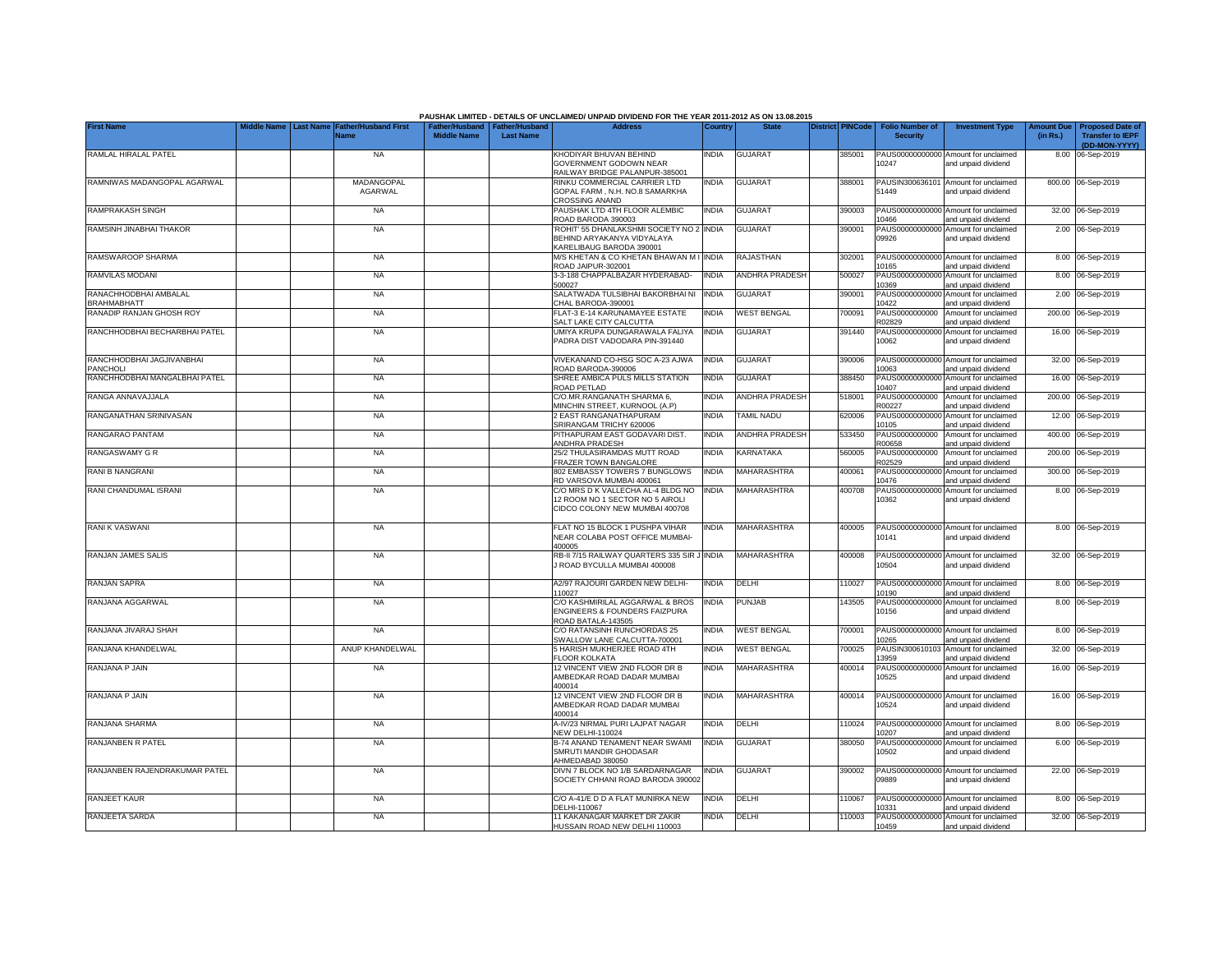|                                             |                         |                                            |                                      |                                           | PAUSHAK LIMITED - DETAILS OF UNCLAIMED/ UNPAID DIVIDEND FOR THE YEAR 2011-2012 AS ON 13.08.2015        |              |                       |                         |                                           |                                                             |                               |                                                                     |
|---------------------------------------------|-------------------------|--------------------------------------------|--------------------------------------|-------------------------------------------|--------------------------------------------------------------------------------------------------------|--------------|-----------------------|-------------------------|-------------------------------------------|-------------------------------------------------------------|-------------------------------|---------------------------------------------------------------------|
| <b>First Name</b>                           | Middle Name   Last Name | <b>Father/Husband First</b><br><b>Name</b> | Father/Husband<br><b>Middle Name</b> | <b>Father/Husband</b><br><b>Last Name</b> | <b>Address</b>                                                                                         | Country      | <b>State</b>          | <b>District PINCode</b> | <b>Folio Number of</b><br><b>Security</b> | <b>Investment Type</b>                                      | <b>Amount Due</b><br>(in Rs.) | <b>Proposed Date of</b><br><b>Transfer to IEPF</b><br>(DD-MON-YYYY) |
| RAMLAL HIRALAL PATEL                        |                         | <b>NA</b>                                  |                                      |                                           | KHODIYAR BHUVAN BEHIND<br><b>GOVERNMENT GODOWN NEAR</b><br>RAILWAY BRIDGE PALANPUR-385001              | <b>INDIA</b> | <b>GUJARAT</b>        | 385001                  | 10247                                     | PAUS00000000000 Amount for unclaimed<br>and unpaid dividend |                               | 8.00 06-Sep-2019                                                    |
| RAMNIWAS MADANGOPAL AGARWAL                 |                         | MADANGOPAL<br>AGARWAL                      |                                      |                                           | RINKU COMMERCIAL CARRIER LTD<br>GOPAL FARM, N.H. NO.8 SAMARKHA<br>CROSSING ANAND                       | INDIA        | <b>GUJARAT</b>        | 388001                  | PAUSIN300636101<br>51449                  | Amount for unclaimed<br>and unpaid dividend                 |                               | 800.00 06-Sep-2019                                                  |
| RAMPRAKASH SINGH                            |                         | <b>NA</b>                                  |                                      |                                           | PAUSHAK LTD 4TH FLOOR ALEMBIC<br>ROAD BARODA 390003                                                    | India        | GUJARAT               | 390003                  | PAUS00000000000<br>10466                  | Amount for unclaimed<br>and unpaid dividend                 |                               | 32.00 06-Sep-2019                                                   |
| RAMSINH JINABHAI THAKOR                     |                         | <b>NA</b>                                  |                                      |                                           | ROHIT' 55 DHANLAKSHMI SOCIETY NO 2<br>BEHIND ARYAKANYA VIDYALAYA<br>KARELIBAUG BARODA 390001           | INDIA        | <b>GUJARAT</b>        | 390001                  | PAUS0000000000<br>09926                   | Amount for unclaimed<br>and unpaid dividend                 |                               | 2.00 06-Sep-2019                                                    |
| RAMSWAROOP SHARMA                           |                         | <b>NA</b>                                  |                                      |                                           | M/S KHETAN & CO KHETAN BHAWAN M I INDIA<br>ROAD JAIPUR-302001                                          |              | RAJASTHAN             | 302001                  | 10165                                     | PAUS00000000000 Amount for unclaimed<br>and unpaid dividend |                               | 8.00 06-Sep-2019                                                    |
| RAMVILAS MODANI                             |                         | <b>NA</b>                                  |                                      |                                           | 3-3-188 CHAPPALBAZAR HYDERABAD-<br>500027                                                              | <b>INDIA</b> | <b>ANDHRA PRADESH</b> | 500027                  | 10369                                     | PAUS00000000000 Amount for unclaimed<br>and unpaid dividend |                               | 8.00 06-Sep-2019                                                    |
| RANACHHODBHAI AMBALAL<br><b>BRAHMABHATT</b> |                         | <b>NA</b>                                  |                                      |                                           | SALATWADA TULSIBHAI BAKORBHAI NI<br>CHAL BARODA-390001                                                 | <b>INDIA</b> | GUJARAT               | 390001                  | 10422                                     | PAUS00000000000 Amount for unclaimed<br>and unpaid dividend |                               | 2.00 06-Sep-2019                                                    |
| RANADIP RANJAN GHOSH ROY                    |                         | <b>NA</b>                                  |                                      |                                           | FLAT-3 E-14 KARUNAMAYEE ESTATE<br>SALT LAKE CITY CALCUTTA                                              | India        | <b>WEST BENGAL</b>    | 700091                  | PAUS0000000000<br>R02829                  | Amount for unclaimed<br>and unpaid dividend                 |                               | 200.00 06-Sep-2019                                                  |
| RANCHHODBHAI BECHARBHAI PATEL               |                         | <b>NA</b>                                  |                                      |                                           | UMIYA KRUPA DUNGARAWALA FALIYA<br>PADRA DIST VADODARA PIN-391440                                       | INDIA        | GUJARAT               | 391440                  | PAUS00000000000<br>10062                  | Amount for unclaimed<br>and unpaid dividend                 |                               | 16.00 06-Sep-2019                                                   |
| RANCHHODBHAI JAGJIVANBHAI<br>PANCHOLI       |                         | <b>NA</b>                                  |                                      |                                           | VIVEKANAND CO-HSG SOC A-23 AJWA<br>OAD BARODA-390006                                                   | INDIA        | GUJARAT               | 390006                  | 0063                                      | PAUS00000000000 Amount for unclaimed<br>and unpaid dividend |                               | 32.00 06-Sep-2019                                                   |
| RANCHHODBHAI MANGALBHAI PATEL               |                         | <b>NA</b>                                  |                                      |                                           | SHREE AMBICA PULS MILLS STATION<br>ROAD PETLAD                                                         | <b>INDIA</b> | <b>GUJARAT</b>        | 388450                  | PAUS0000000000<br>10407                   | Amount for unclaimed<br>and unpaid dividend                 | 16.00                         | 06-Sep-2019                                                         |
| RANGA ANNAVAJJALA                           |                         | <b>NA</b>                                  |                                      |                                           | C/O.MR.RANGANATH SHARMA 6,<br>MINCHIN STREET, KURNOOL (A.P)                                            | India        | <b>ANDHRA PRADESH</b> | 518001                  | PAUS0000000000<br>R00227                  | Amount for unclaimed<br>and unpaid dividend                 |                               | 200.00 06-Sep-2019                                                  |
| RANGANATHAN SRINIVASAN                      |                         | <b>NA</b>                                  |                                      |                                           | 2 EAST RANGANATHAPURAM<br>SRIRANGAM TRICHY 620006                                                      | <b>INDIA</b> | <b>TAMIL NADU</b>     | 620006                  | PAUS00000000000<br>10105                  | Amount for unclaimed<br>and unpaid dividend                 |                               | 12.00 06-Sep-2019                                                   |
| RANGARAO PANTAM                             |                         | <b>NA</b>                                  |                                      |                                           | PITHAPURAM EAST GODAVARI DIST.<br>ANDHRA PRADESH                                                       | INDIA        | <b>ANDHRA PRADESH</b> | 533450                  | PAUS0000000000<br>R00658                  | Amount for unclaimed<br>and unpaid dividend                 | 400.00                        | 06-Sep-2019                                                         |
| RANGASWAMY G R                              |                         | <b>NA</b>                                  |                                      |                                           | 25/2 THULASIRAMDAS MUTT ROAD<br>FRAZER TOWN BANGALORE                                                  | India        | <b>KARNATAKA</b>      | 560005                  | PAUS0000000000<br>R02529                  | Amount for unclaimed<br>and unpaid dividend                 | 200.00                        | 06-Sep-2019                                                         |
| RANI B NANGRANI                             |                         | <b>NA</b>                                  |                                      |                                           | 802 EMBASSY TOWERS 7 BUNGLOWS<br>RD VARSOVA MUMBAI 400061                                              | INDIA        | MAHARASHTRA           | 400061                  | PAUS0000000000<br>10476                   | Amount for unclaimed<br>and unpaid dividend                 |                               | 300.00 06-Sep-2019                                                  |
| RANI CHANDUMAL ISRANI                       |                         | <b>NA</b>                                  |                                      |                                           | C/O MRS D K VALLECHA AL-4 BLDG NO<br>12 ROOM NO 1 SECTOR NO 5 AIROLI<br>CIDCO COLONY NEW MUMBAI 400708 | India        | MAHARASHTRA           | 400708                  | PAUS0000000000<br>10362                   | Amount for unclaimed<br>and unpaid dividend                 |                               | 8.00 06-Sep-2019                                                    |
| RANI K VASWANI                              |                         | <b>NA</b>                                  |                                      |                                           | FLAT NO 15 BLOCK 1 PUSHPA VIHAR<br>NEAR COLABA POST OFFICE MUMBAI-<br>400005                           | INDIA        | MAHARASHTRA           | 400005                  | 10141                                     | PAUS00000000000 Amount for unclaimed<br>and unpaid dividend |                               | 8.00 06-Sep-2019                                                    |
| RANJAN JAMES SALIS                          |                         | <b>NA</b>                                  |                                      |                                           | RB-II 7/15 RAILWAY QUARTERS 335 SIR J INDIA<br>J ROAD BYCULLA MUMBAI 400008                            |              | MAHARASHTRA           | 400008                  | 10504                                     | PAUS00000000000 Amount for unclaimed<br>and unpaid dividend |                               | 32.00 06-Sep-2019                                                   |
| RANJAN SAPRA                                |                         | <b>NA</b>                                  |                                      |                                           | A2/97 RAJOURI GARDEN NEW DELHI-<br>110027                                                              | <b>INDIA</b> | DELHI                 | 110027                  | 10190                                     | PAUS00000000000 Amount for unclaimed<br>and unpaid dividend |                               | 8.00 06-Sep-2019                                                    |
| RANJANA AGGARWAL                            |                         | <b>NA</b>                                  |                                      |                                           | C/O KASHMIRILAL AGGARWAL & BROS<br>ENGINEERS & FOUNDERS FAIZPURA<br>ROAD BATALA-143505                 | INDIA        | PUNJAB                | 143505                  | 10156                                     | PAUS00000000000 Amount for unclaimed<br>and unpaid dividend |                               | 8.00 06-Sep-2019                                                    |
| RANJANA JIVARAJ SHAH                        |                         | <b>NA</b>                                  |                                      |                                           | C/O RATANSINH RUNCHORDAS 25<br>SWALLOW LANE CALCUTTA-700001                                            | India        | <b>WEST BENGAL</b>    | '00001                  | PAUS0000000000<br>0265                    | Amount for unclaimed<br>and unpaid dividend                 |                               | 8.00 06-Sep-2019                                                    |
| RANJANA KHANDELWAL                          |                         | ANUP KHANDELWAL                            |                                      |                                           | 5 HARISH MUKHERJEE ROAD 4TH<br><b>FLOOR KOLKATA</b>                                                    | INDIA        | <b>WEST BENGAL</b>    | 700025                  | PAUSIN300610103<br>3959                   | Amount for unclaimed<br>and unpaid dividend                 | 32.00                         | 06-Sep-2019                                                         |
| RANJANA P JAIN                              |                         | <b>NA</b>                                  |                                      |                                           | 12 VINCENT VIEW 2ND FLOOR DR B<br>AMBEDKAR ROAD DADAR MUMBAI<br>400014                                 | INDIA        | MAHARASHTRA           | 400014                  | 0525                                      | PAUS00000000000 Amount for unclaimed<br>and unpaid dividend |                               | 16.00 06-Sep-2019                                                   |
| RANJANA P JAIN                              |                         | <b>NA</b>                                  |                                      |                                           | 12 VINCENT VIEW 2ND FLOOR DR B<br>AMBEDKAR ROAD DADAR MUMBAI<br>400014                                 | INDIA        | MAHARASHTRA           | 400014                  | 10524                                     | PAUS00000000000 Amount for unclaimed<br>and unpaid dividend |                               | 16.00 06-Sep-2019                                                   |
| RANJANA SHARMA                              |                         | <b>NA</b>                                  |                                      |                                           | A-IV/23 NIRMAL PURI LAJPAT NAGAR<br><b>NEW DELHI-110024</b>                                            | <b>INDIA</b> | DELHI                 | 110024                  | 10207                                     | PAUS00000000000 Amount for unclaimed<br>and unpaid dividend |                               | 8.00 06-Sep-2019                                                    |
| RANJANBEN R PATEL                           |                         | <b>NA</b>                                  |                                      |                                           | B-74 ANAND TENAMENT NEAR SWAMI<br>SMRUTI MANDIR GHODASAR<br>AHMEDABAD 380050                           | INDIA        | <b>GUJARAT</b>        | 380050                  | 10502                                     | PAUS00000000000 Amount for unclaimed<br>and unpaid dividend |                               | 6.00 06-Sep-2019                                                    |
| RANJANBEN RAJENDRAKUMAR PATEL               |                         | <b>NA</b>                                  |                                      |                                           | DIVN 7 BLOCK NO 1/B SARDARNAGAR<br>SOCIETY CHHANI ROAD BARODA 390002                                   | INDIA        | <b>GUJARAT</b>        | 390002                  | 09889                                     | PAUS00000000000 Amount for unclaimed<br>and unpaid dividend |                               | 22.00 06-Sep-2019                                                   |
| RANJEET KAUR                                |                         | <b>NA</b>                                  |                                      |                                           | C/O A-41/E D D A FLAT MUNIRKA NEW<br>DELHI-110067                                                      | <b>INDIA</b> | DELHI                 | 10067                   | 10331                                     | PAUS00000000000 Amount for unclaimed<br>and unpaid dividend |                               | 8.00 06-Sep-2019                                                    |
| RANJEETA SARDA                              |                         | <b>NA</b>                                  |                                      |                                           | 11 KAKANAGAR MARKET DR ZAKIR<br>HUSSAIN ROAD NEW DELHI 110003                                          | india        | DELHI                 | 110003                  | 10459                                     | PAUS00000000000 Amount for unclaimed<br>and unpaid dividend |                               | 32.00 06-Sep-2019                                                   |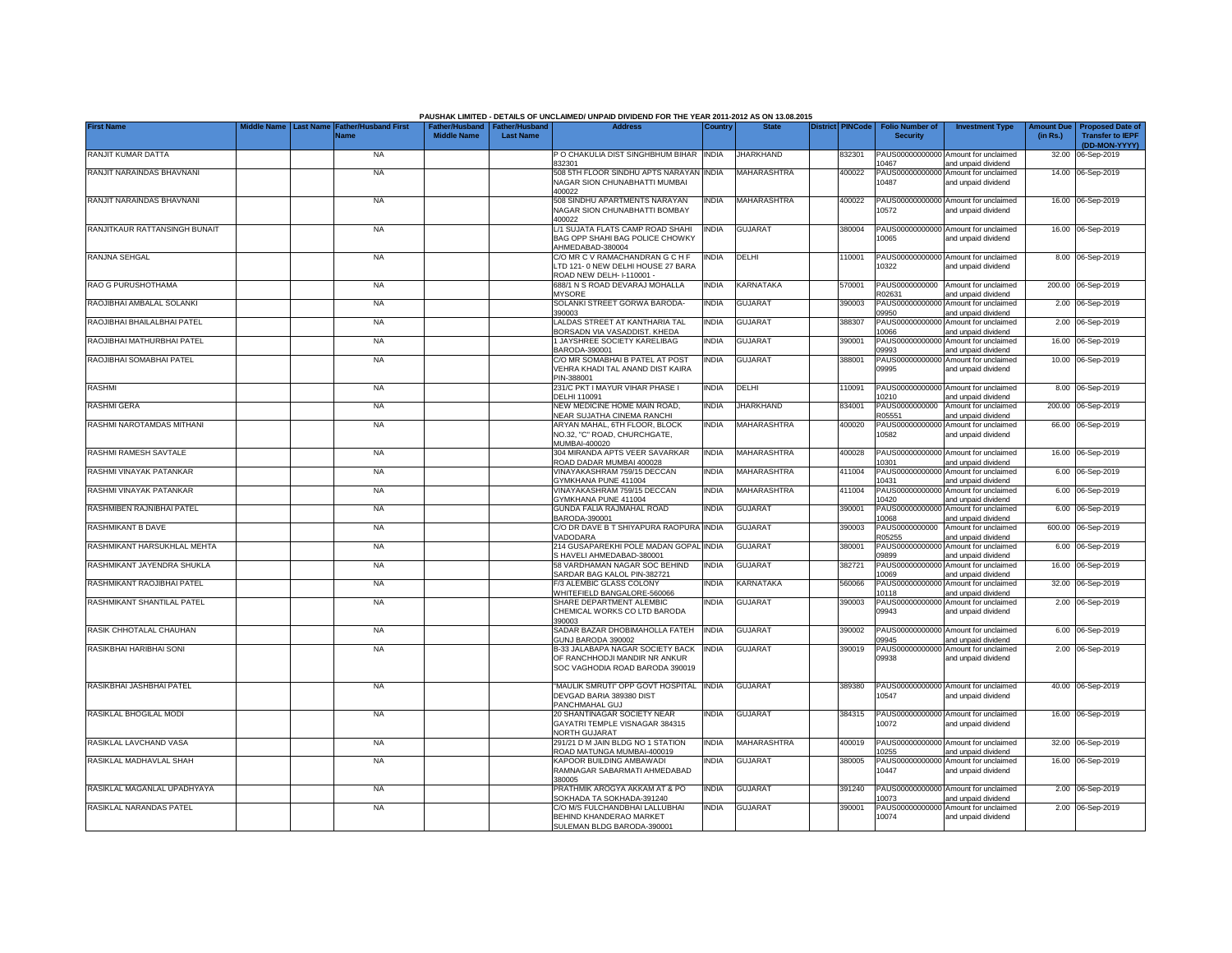|                               | <b>Last Name</b> |                                     |                                                       |                  | PAUSHAK LIMITED - DETAILS OF UNCLAIMED/ UNPAID DIVIDEND FOR THE YEAR 2011-2012 AS ON 13.08.2015<br><b>Address</b> |              | <b>State</b>       |                         |                                           |                                                             |                               |                                                                     |
|-------------------------------|------------------|-------------------------------------|-------------------------------------------------------|------------------|-------------------------------------------------------------------------------------------------------------------|--------------|--------------------|-------------------------|-------------------------------------------|-------------------------------------------------------------|-------------------------------|---------------------------------------------------------------------|
| <b>First Name</b>             |                  | <b>Father/Husband First</b><br>Name | Father/Husband   Father/Husband<br><b>Middle Name</b> | <b>Last Name</b> |                                                                                                                   | Country      |                    | <b>District PINCode</b> | <b>Folio Number of</b><br><b>Security</b> | <b>Investment Type</b>                                      | <b>Amount Due</b><br>(in Rs.) | <b>Proposed Date of</b><br><b>Transfer to IEPF</b><br>(DD-MON-YYYY) |
| RANJIT KUMAR DATTA            |                  | <b>NA</b>                           |                                                       |                  | P O CHAKULIA DIST SINGHBHUM BIHAR INDIA<br>832301                                                                 |              | JHARKHAND.         | 832301                  | 10467                                     | PAUS00000000000 Amount for unclaimed<br>and unpaid dividend |                               | 32.00 06-Sep-2019                                                   |
| RANJIT NARAINDAS BHAVNANI     |                  | <b>NA</b>                           |                                                       |                  | 508 5TH FLOOR SINDHU APTS NARAYAN INDIA<br>NAGAR SION CHUNABHATTI MUMBAI<br>400022                                |              | <b>MAHARASHTRA</b> | 400022                  | 10487                                     | PAUS00000000000 Amount for unclaimed<br>and unpaid dividend |                               | 14.00 06-Sep-2019                                                   |
| RANJIT NARAINDAS BHAVNANI     |                  | <b>NA</b>                           |                                                       |                  | 508 SINDHU APARTMENTS NARAYAN<br>NAGAR SION CHUNABHATTI BOMBAY<br>400022                                          | <b>INDIA</b> | MAHARASHTRA        | 400022                  | 10572                                     | PAUS00000000000 Amount for unclaimed<br>and unpaid dividend |                               | 16.00 06-Sep-2019                                                   |
| RANJITKAUR RATTANSINGH BUNAIT |                  | <b>NA</b>                           |                                                       |                  | L/1 SUJATA FLATS CAMP ROAD SHAHI<br>BAG OPP SHAHI BAG POLICE CHOWKY<br>AHMEDABAD-380004                           | <b>INDIA</b> | <b>GUJARAT</b>     | 380004                  | 0065                                      | PAUS00000000000 Amount for unclaimed<br>and unpaid dividend |                               | 16.00 06-Sep-2019                                                   |
| RANJNA SEHGAL                 |                  | <b>NA</b>                           |                                                       |                  | C/O MR C V RAMACHANDRAN G C H F<br>LTD 121- 0 NEW DELHI HOUSE 27 BARA<br>ROAD NEW DELH- I-110001 -                | <b>INDIA</b> | DELHI              | 110001                  | 10322                                     | PAUS00000000000 Amount for unclaimed<br>and unpaid dividend |                               | 8.00 06-Sep-2019                                                    |
| RAO G PURUSHOTHAMA            |                  | <b>NA</b>                           |                                                       |                  | 688/1 N S ROAD DEVARAJ MOHALLA<br><b>MYSORE</b>                                                                   | <b>INDIA</b> | KARNATAKA          | 570001                  | PAUS0000000000<br>R02631                  | Amount for unclaimed<br>and unpaid dividend                 |                               | 200.00 06-Sep-2019                                                  |
| RAOJIBHAI AMBALAL SOLANKI     |                  | <b>NA</b>                           |                                                       |                  | SOLANKI STREET GORWA BARODA-<br>390003                                                                            | <b>INDIA</b> | <b>GUJARAT</b>     | 390003                  | PAUS0000000000<br>09950                   | Amount for unclaimed<br>and unpaid dividend                 | 2.00                          | 06-Sep-2019                                                         |
| RAOJIBHAI BHAILALBHAI PATEL   |                  | <b>NA</b>                           |                                                       |                  | LALDAS STREET AT KANTHARIA TAL<br>BORSADN VIA VASADDIST. KHEDA                                                    | <b>INDIA</b> | <b>GUJARAT</b>     | 388307                  | PAUS0000000000<br>10066                   | Amount for unclaimed<br>and unpaid dividend                 |                               | 2.00 06-Sep-2019                                                    |
| RAOJIBHAI MATHURBHAI PATEL    |                  | <b>NA</b>                           |                                                       |                  | 1 JAYSHREE SOCIETY KARELIBAG<br>BARODA-390001                                                                     | <b>INDIA</b> | <b>GUJARAT</b>     | 390001                  | PAUS00000000000<br>09993                  | Amount for unclaimed<br>and unpaid dividend                 |                               | 16.00 06-Sep-2019                                                   |
| RAOJIBHAI SOMABHAI PATEL      |                  | NA                                  |                                                       |                  | C/O MR SOMABHAI B PATEL AT POST<br>VEHRA KHADI TAL ANAND DIST KAIRA<br>PIN-388001                                 | INDIA        | <b>GUJARAT</b>     | 388001                  | 09995                                     | PAUS00000000000 Amount for unclaimed<br>and unpaid dividend |                               | 10.00 06-Sep-2019                                                   |
| <b>RASHMI</b>                 |                  | <b>NA</b>                           |                                                       |                  | 231/C PKT I MAYUR VIHAR PHASE I<br>DELHI 110091                                                                   | India        | DELHI              | 10091                   | 10210                                     | PAUS00000000000 Amount for unclaimed<br>and unpaid dividend |                               | 8.00 06-Sep-2019                                                    |
| <b>RASHMI GERA</b>            |                  | <b>NA</b>                           |                                                       |                  | NEW MEDICINE HOME MAIN ROAD,<br>NEAR SUJATHA CINEMA RANCHI                                                        | <b>INDIA</b> | <b>JHARKHAND</b>   | 834001                  | PAUS0000000000<br>305551                  | Amount for unclaimed<br>and unpaid dividend                 |                               | 200.00 06-Sep-2019                                                  |
| RASHMI NAROTAMDAS MITHANI     |                  | <b>NA</b>                           |                                                       |                  | ARYAN MAHAL, 6TH FLOOR, BLOCK<br>NO.32, "C" ROAD, CHURCHGATE,<br>MUMBAI-400020                                    | <b>INDIA</b> | MAHARASHTRA        | 400020                  | 10582                                     | PAUS00000000000 Amount for unclaimed<br>and unpaid dividend |                               | 66.00 06-Sep-2019                                                   |
| RASHMI RAMESH SAVTALE         |                  | <b>NA</b>                           |                                                       |                  | 304 MIRANDA APTS VEER SAVARKAR<br>ROAD DADAR MUMBAI 400028                                                        | <b>INDIA</b> | MAHARASHTRA        | 400028                  | 10301                                     | PAUS00000000000 Amount for unclaimed<br>and unpaid dividend |                               | 16.00 06-Sep-2019                                                   |
| RASHMI VINAYAK PATANKAR       |                  | <b>NA</b>                           |                                                       |                  | VINAYAKASHRAM 759/15 DECCAN<br>GYMKHANA PUNE 411004                                                               | <b>INDIA</b> | MAHARASHTRA        | 411004                  | 10431                                     | PAUS00000000000 Amount for unclaimed<br>and unpaid dividend |                               | 6.00 06-Sep-2019                                                    |
| RASHMI VINAYAK PATANKAR       |                  | <b>NA</b>                           |                                                       |                  | VINAYAKASHRAM 759/15 DECCAN<br>GYMKHANA PUNE 411004                                                               | <b>INDIA</b> | MAHARASHTRA        | 411004                  | PAUS00000000000<br>10420                  | Amount for unclaimed<br>and unpaid dividend                 |                               | 6.00 06-Sep-2019                                                    |
| RASHMIBEN RAJNIBHAI PATEL     |                  | <b>NA</b>                           |                                                       |                  | GUNDA FALIA RAJMAHAL ROAD<br>BARODA-390001                                                                        | <b>INDIA</b> | <b>GUJARAT</b>     | 390001                  | PAUS0000000000<br>10068                   | Amount for unclaimed<br>and unpaid dividend                 |                               | 6.00 06-Sep-2019                                                    |
| RASHMIKANT B DAVE             |                  | <b>NA</b>                           |                                                       |                  | C/O DR DAVE B T SHIYAPURA RAOPURA INDIA<br>VADODARA                                                               |              | GUJARAT            | 390003                  | PAUS0000000000<br>R05255                  | Amount for unclaimed<br>and unpaid dividend                 |                               | 600.00 06-Sep-2019                                                  |
| RASHMIKANT HARSUKHLAL MEHTA   |                  | <b>NA</b>                           |                                                       |                  | 214 GUSAPAREKHI POLE MADAN GOPAL INDIA<br>S HAVELI AHMEDABAD-380001                                               |              | GUJARAT            | 380001                  | PAUS0000000000<br>00890                   | Amount for unclaimed<br>and unpaid dividend                 |                               | 6.00 06-Sep-2019                                                    |
| RASHMIKANT JAYENDRA SHUKLA    |                  | <b>NA</b>                           |                                                       |                  | 58 VARDHAMAN NAGAR SOC BEHIND<br>SARDAR BAG KALOL PIN-382721                                                      | <b>INDIA</b> | <b>GUJARAT</b>     | 382721                  | PAUS0000000000<br>10069                   | Amount for unclaimed<br>and unpaid dividend                 |                               | 16.00 06-Sep-2019                                                   |
| RASHMIKANT RAOJIBHAI PATEL    |                  | <b>NA</b>                           |                                                       |                  | F/3 ALEMBIC GLASS COLONY<br>WHITEFIELD BANGALORE-560066                                                           | <b>INDIA</b> | <b>KARNATAKA</b>   | 560066                  | PAUS00000000000<br>0118                   | Amount for unclaimed<br>and unpaid dividend                 |                               | 32.00 06-Sep-2019                                                   |
| RASHMIKANT SHANTILAL PATEL    |                  | <b>NA</b>                           |                                                       |                  | SHARE DEPARTMENT ALEMBIC<br>CHEMICAL WORKS CO LTD BARODA<br>390003                                                | INDIA        | <b>GUJARAT</b>     | 390003                  | PAUS00000000000<br>09943                  | Amount for unclaimed<br>and unpaid dividend                 |                               | 2.00 06-Sep-2019                                                    |
| RASIK CHHOTALAL CHAUHAN       |                  | <b>NA</b>                           |                                                       |                  | SADAR BAZAR DHOBIMAHOLLA FATEH<br>GUNJ BARODA 390002                                                              | <b>INDIA</b> | <b>GUJARAT</b>     | 390002                  | 09945                                     | PAUS00000000000 Amount for unclaimed<br>and unpaid dividend |                               | 6.00 06-Sep-2019                                                    |
| RASIKBHAI HARIBHAI SONI       |                  | <b>NA</b>                           |                                                       |                  | B-33 JALABAPA NAGAR SOCIETY BACK<br>OF RANCHHODJI MANDIR NR ANKUR<br>SOC VAGHODIA ROAD BARODA 390019              | <b>INDIA</b> | <b>GUJARAT</b>     | 390019                  | 09938                                     | PAUS00000000000 Amount for unclaimed<br>and unpaid dividend |                               | 2.00 06-Sep-2019                                                    |
| RASIKBHAI JASHBHAI PATEL      |                  | <b>NA</b>                           |                                                       |                  | "MAULIK SMRUTI" OPP GOVT HOSPITAL<br>DEVGAD BARIA 389380 DIST<br>PANCHMAHAL GUJ                                   | <b>INDIA</b> | <b>GUJARAT</b>     | 389380                  | 10547                                     | PAUS00000000000 Amount for unclaimed<br>and unpaid dividend |                               | 40.00 06-Sep-2019                                                   |
| RASIKLAL BHOGILAL MODI        |                  | <b>NA</b>                           |                                                       |                  | 20 SHANTINAGAR SOCIETY NEAR<br>GAYATRI TEMPLE VISNAGAR 384315<br>NORTH GUJARAT                                    | <b>INDIA</b> | <b>GUJARAT</b>     | 384315                  | 10072                                     | PAUS00000000000 Amount for unclaimed<br>and unpaid dividend |                               | 16.00 06-Sep-2019                                                   |
| RASIKLAL LAVCHAND VASA        |                  | <b>NA</b>                           |                                                       |                  | 291/21 D M JAIN BLDG NO 1 STATION<br>ROAD MATUNGA MUMBAI-400019                                                   | <b>INDIA</b> | MAHARASHTRA        | 400019                  | 10255                                     | PAUS00000000000 Amount for unclaimed<br>and unpaid dividend |                               | 32.00 06-Sep-2019                                                   |
| RASIKLAL MADHAVLAL SHAH       |                  | <b>NA</b>                           |                                                       |                  | KAPOOR BUILDING AMBAWADI<br>RAMNAGAR SABARMATI AHMEDABAD<br>380005                                                | India        | <b>GUJARAT</b>     | 380005                  | PAUS00000000000<br>10447                  | Amount for unclaimed<br>and unpaid dividend                 |                               | 16.00 06-Sep-2019                                                   |
| RASIKLAL MAGANLAL UPADHYAYA   |                  | <b>NA</b>                           |                                                       |                  | PRATHMIK AROGYA AKKAM AT & PO<br>SOKHADA TA SOKHADA-391240                                                        | <b>INDIA</b> | <b>GUJARAT</b>     | 391240                  | 0073                                      | PAUS00000000000 Amount for unclaimed<br>and unpaid dividend |                               | 2.00 06-Sep-2019                                                    |
| RASIKLAL NARANDAS PATEL       |                  | <b>NA</b>                           |                                                       |                  | C/O M/S FULCHANDBHAI LALLUBHAI<br>BEHIND KHANDERAO MARKET<br>SULEMAN BLDG BARODA-390001                           | <b>INDIA</b> | <b>GUJARAT</b>     | 390001                  | 10074                                     | PAUS00000000000 Amount for unclaimed<br>and unpaid dividend |                               | 2.00 06-Sep-2019                                                    |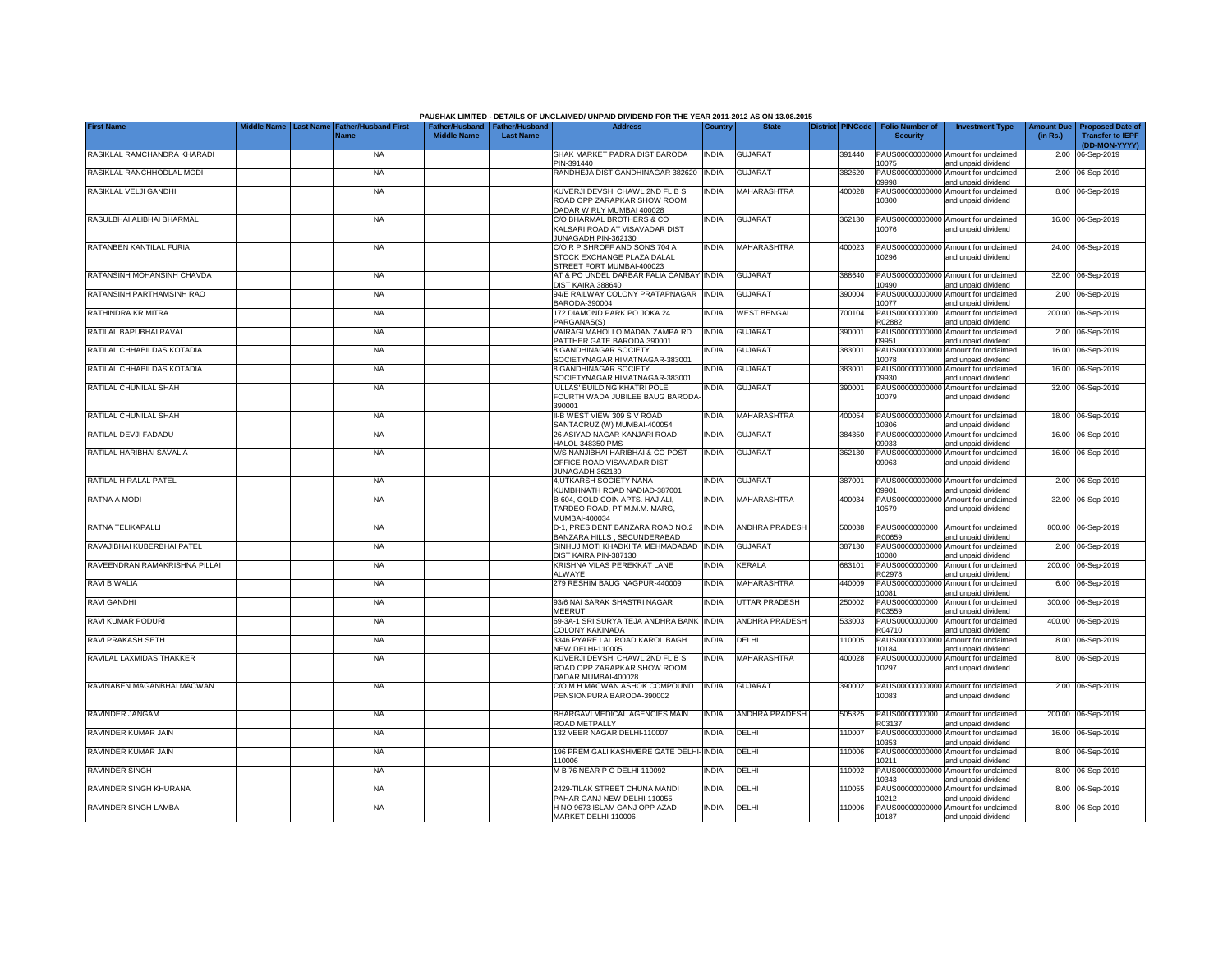|                               |                                 |                                            |                                                       |                  | PAUSHAK LIMITED - DETAILS OF UNCLAIMED/ UNPAID DIVIDEND FOR THE YEAR 2011-2012 AS ON 13.08.2015 |              |                       |                         |                                           |                                                             |                               |                                                                     |
|-------------------------------|---------------------------------|--------------------------------------------|-------------------------------------------------------|------------------|-------------------------------------------------------------------------------------------------|--------------|-----------------------|-------------------------|-------------------------------------------|-------------------------------------------------------------|-------------------------------|---------------------------------------------------------------------|
| <b>First Name</b>             | Middle Name<br><b>Last Name</b> | <b>Father/Husband First</b><br><b>Name</b> | Father/Husband   Father/Husband<br><b>Middle Name</b> | <b>Last Name</b> | <b>Address</b>                                                                                  | Country      | <b>State</b>          | <b>District PINCode</b> | <b>Folio Number of</b><br><b>Security</b> | <b>Investment Type</b>                                      | <b>Amount Due</b><br>(in Rs.) | <b>Proposed Date of</b><br><b>Transfer to IEPF</b><br>(DD-MON-YYYY) |
| RASIKLAL RAMCHANDRA KHARADI   |                                 | <b>NA</b>                                  |                                                       |                  | SHAK MARKET PADRA DIST BARODA<br>PIN-391440                                                     | <b>INDIA</b> | <b>GUJARAT</b>        | 391440                  | 10075                                     | PAUS00000000000 Amount for unclaimed<br>and unpaid dividend |                               | 2.00 06-Sep-2019                                                    |
| RASIKLAL RANCHHODLAL MODI     |                                 | <b>NA</b>                                  |                                                       |                  | RANDHEJA DIST GANDHINAGAR 382620                                                                | <b>INDIA</b> | GUJARAT               | 382620                  | 09998                                     | PAUS00000000000 Amount for unclaimed<br>and unpaid dividend |                               | 2.00 06-Sep-2019                                                    |
| RASIKLAL VELJI GANDHI         |                                 | <b>NA</b>                                  |                                                       |                  | KUVERJI DEVSHI CHAWL 2ND FL B S<br>ROAD OPP ZARAPKAR SHOW ROOM<br>DADAR W RLY MUMBAI 400028     | INDIA        | MAHARASHTRA           | 400028                  | 10300                                     | PAUS00000000000 Amount for unclaimed<br>and unpaid dividend |                               | 8.00 06-Sep-2019                                                    |
| RASULBHAI ALIBHAI BHARMAL     |                                 | <b>NA</b>                                  |                                                       |                  | C/O BHARMAL BROTHERS & CO<br>KALSARI ROAD AT VISAVADAR DIST<br>JUNAGADH PIN-362130              | INDIA        | <b>GUJARAT</b>        | 362130                  | 10076                                     | PAUS00000000000 Amount for unclaimed<br>and unpaid dividend |                               | 16.00 06-Sep-2019                                                   |
| RATANBEN KANTILAL FURIA       |                                 | <b>NA</b>                                  |                                                       |                  | C/O R P SHROFF AND SONS 704 A<br>STOCK EXCHANGE PLAZA DALAL<br>STREET FORT MUMBAI-400023        | <b>INDIA</b> | MAHARASHTRA           | 400023                  | 10296                                     | PAUS00000000000 Amount for unclaimed<br>and unpaid dividend |                               | 24.00 06-Sep-2019                                                   |
| RATANSINH MOHANSINH CHAVDA    |                                 | <b>NA</b>                                  |                                                       |                  | AT & PO UNDEL DARBAR FALIA CAMBAY<br>DIST KAIRA 388640                                          | <b>INDIA</b> | <b>GUJARAT</b>        | 388640                  | 10490                                     | PAUS00000000000 Amount for unclaimed<br>and unpaid dividend |                               | 32.00 06-Sep-2019                                                   |
| RATANSINH PARTHAMSINH RAO     |                                 | <b>NA</b>                                  |                                                       |                  | 94/E RAILWAY COLONY PRATAPNAGAR<br>BARODA-390004                                                | <b>INDIA</b> | <b>GUJARAT</b>        | 390004                  | PAUS00000000000<br>10077                  | Amount for unclaimed<br>and unpaid dividend                 |                               | 2.00 06-Sep-2019                                                    |
| RATHINDRA KR MITRA            |                                 | <b>NA</b>                                  |                                                       |                  | 172 DIAMOND PARK PO JOKA 24<br>PARGANAS(S)                                                      | INDIA        | <b>WEST BENGAL</b>    | 700104                  | PAUS0000000000<br>R02882                  | Amount for unclaimed<br>and unpaid dividend                 |                               | 200.00 06-Sep-2019                                                  |
| RATILAL BAPUBHAI RAVAL        |                                 | <b>NA</b>                                  |                                                       |                  | VAIRAGI MAHOLLO MADAN ZAMPA RD<br>PATTHER GATE BARODA 390001                                    | <b>INDIA</b> | <b>GUJARAT</b>        | 390001                  | PAUS00000000000<br>09951                  | Amount for unclaimed<br>and unpaid dividend                 |                               | 2.00 06-Sep-2019                                                    |
| RATILAL CHHABILDAS KOTADIA    |                                 | <b>NA</b>                                  |                                                       |                  | 8 GANDHINAGAR SOCIETY<br>SOCIETYNAGAR HIMATNAGAR-383001                                         | India        | <b>GUJARAT</b>        | 383001                  | PAUS00000000000<br>10078                  | Amount for unclaimed<br>and unpaid dividend                 |                               | 16.00 06-Sep-2019                                                   |
| RATILAL CHHABILDAS KOTADIA    |                                 | <b>NA</b>                                  |                                                       |                  | 8 GANDHINAGAR SOCIETY<br>SOCIETYNAGAR HIMATNAGAR-383001                                         | INDIA        | <b>GUJARAT</b>        | 383001                  | 09930                                     | PAUS00000000000 Amount for unclaimed<br>and unpaid dividend |                               | 16.00 06-Sep-2019                                                   |
| RATILAL CHUNILAL SHAH         |                                 | <b>NA</b>                                  |                                                       |                  | 'ULLAS' BUILDING KHATRI POLE<br>FOURTH WADA JUBILEE BAUG BARODA<br>390001                       | INDIA        | <b>GUJARAT</b>        | 390001                  | 10079                                     | PAUS00000000000 Amount for unclaimed<br>and unpaid dividend |                               | 32.00 06-Sep-2019                                                   |
| RATILAL CHUNILAL SHAH         |                                 | <b>NA</b>                                  |                                                       |                  | II-B WEST VIEW 309 S V ROAD<br>SANTACRUZ (W) MUMBAI-400054                                      | <b>INDIA</b> | <b>MAHARASHTRA</b>    | 400054                  | 10306                                     | PAUS00000000000 Amount for unclaimed<br>and unpaid dividend |                               | 18.00 06-Sep-2019                                                   |
| RATILAL DEVJI FADADU          |                                 | <b>NA</b>                                  |                                                       |                  | 26 ASIYAD NAGAR KANJARI ROAD<br><b>HALOL 348350 PMS</b>                                         | <b>INDIA</b> | <b>GUJARAT</b>        | 384350                  | 09933                                     | PAUS00000000000 Amount for unclaimed<br>and unpaid dividend |                               | 16.00 06-Sep-2019                                                   |
| RATILAL HARIBHAI SAVALIA      |                                 | <b>NA</b>                                  |                                                       |                  | M/S NANJIBHAI HARIBHAI & CO POST<br>OFFICE ROAD VISAVADAR DIST<br>JUNAGADH 362130               | <b>INDIA</b> | <b>GUJARAT</b>        | 362130                  | 09963                                     | PAUS00000000000 Amount for unclaimed<br>and unpaid dividend |                               | 16.00 06-Sep-2019                                                   |
| RATILAL HIRALAL PATEL         |                                 | <b>NA</b>                                  |                                                       |                  | 4.UTKARSH SOCIETY NANA<br>KUMBHNATH ROAD NADIAD-387001                                          | India        | <b>GUJARAT</b>        | 387001                  | 09901                                     | PAUS00000000000 Amount for unclaimed<br>and unpaid dividend |                               | 2.00 06-Sep-2019                                                    |
| RATNA A MODI                  |                                 | <b>NA</b>                                  |                                                       |                  | B-604, GOLD COIN APTS. HAJIALI,<br>TARDEO ROAD, PT.M.M.M. MARG,<br>MUMBAI-400034                | INDIA        | <b>MAHARASHTRA</b>    | 400034                  | PAUS0000000000<br>10579                   | Amount for unclaimed<br>and unpaid dividend                 |                               | 32.00 06-Sep-2019                                                   |
| RATNA TELIKAPALLI             |                                 | <b>NA</b>                                  |                                                       |                  | D-1, PRESIDENT BANZARA ROAD NO.2<br>BANZARA HILLS, SECUNDERABAD                                 | <b>INDIA</b> | <b>ANDHRA PRADESH</b> | 500038                  | PAUS0000000000<br>R00659                  | Amount for unclaimed<br>and unpaid dividend                 |                               | 800.00 06-Sep-2019                                                  |
| RAVAJIBHAI KUBERBHAI PATEL    |                                 | <b>NA</b>                                  |                                                       |                  | SINHUJ MOTI KHADKI TA MEHMADABAD<br>DIST KAIRA PIN-387130                                       | <b>INDIA</b> | <b>GUJARAT</b>        | 387130                  | PAUS0000000000<br>10080                   | Amount for unclaimed<br>and unpaid dividend                 |                               | 2.00 06-Sep-2019                                                    |
| RAVEENDRAN RAMAKRISHNA PILLAI |                                 | <b>NA</b>                                  |                                                       |                  | KRISHNA VILAS PEREKKAT LANE<br><b>ALWAYE</b>                                                    | INDIA        | <b>KERALA</b>         | 683101                  | PAUS0000000000<br>R02978                  | Amount for unclaimed<br>and unpaid dividend                 |                               | 200.00 06-Sep-2019                                                  |
| RAVI B WALIA                  |                                 | <b>NA</b>                                  |                                                       |                  | 279 RESHIM BAUG NAGPUR-440009                                                                   | <b>INDIA</b> | MAHARASHTRA           | 440009                  | PAUS0000000000<br>10081                   | Amount for unclaimed<br>and unpaid dividend                 |                               | 6.00 06-Sep-2019                                                    |
| <b>RAVI GANDHI</b>            |                                 | <b>NA</b>                                  |                                                       |                  | 93/6 NAI SARAK SHASTRI NAGAR<br>MEERUT                                                          | INDIA        | UTTAR PRADESH         | 250002                  | PAUS0000000000<br>R03559                  | Amount for unclaimed<br>and unpaid dividend                 |                               | 300.00 06-Sep-2019                                                  |
| RAVI KUMAR PODURI             |                                 | <b>NA</b>                                  |                                                       |                  | 69-3A-1 SRI SURYA TEJA ANDHRA BANK<br>COLONY KAKINADA                                           | <b>INDIA</b> | ANDHRA PRADESH        | 533003                  | PAUS0000000000<br>R04710                  | Amount for unclaimed<br>and unpaid dividend                 |                               | 400.00 06-Sep-2019                                                  |
| RAVI PRAKASH SETH             |                                 | <b>NA</b>                                  |                                                       |                  | 3346 PYARE LAL ROAD KAROL BAGH<br><b>NEW DELHI-110005</b>                                       | INDIA        | DELHI                 | 10005                   | PAUS00000000000<br>10184                  | Amount for unclaimed<br>and unpaid dividend                 |                               | 8.00 06-Sep-2019                                                    |
| RAVILAL LAXMIDAS THAKKER      |                                 | <b>NA</b>                                  |                                                       |                  | KUVERJI DEVSHI CHAWL 2ND FL B S<br>ROAD OPP ZARAPKAR SHOW ROOM<br>DADAR MUMBAI-400028           | INDIA        | MAHARASHTRA           | 400028                  | 10297                                     | PAUS00000000000 Amount for unclaimed<br>and unpaid dividend |                               | 8.00 06-Sep-2019                                                    |
| RAVINABEN MAGANBHAI MACWAN    |                                 | <b>NA</b>                                  |                                                       |                  | C/O M H MACWAN ASHOK COMPOUND<br>PENSIONPURA BARODA-390002                                      | <b>INDIA</b> | <b>GUJARAT</b>        | 390002                  | 10083                                     | PAUS00000000000 Amount for unclaimed<br>and unpaid dividend |                               | 2.00 06-Sep-2019                                                    |
| RAVINDER JANGAM               |                                 | <b>NA</b>                                  |                                                       |                  | BHARGAVI MEDICAL AGENCIES MAIN<br>ROAD METPALLY                                                 | <b>INDIA</b> | <b>ANDHRA PRADESH</b> | 505325                  | R03137                                    | PAUS0000000000 Amount for unclaimed<br>and unpaid dividend  |                               | 200.00 06-Sep-2019                                                  |
| RAVINDER KUMAR JAIN           |                                 | NA                                         |                                                       |                  | 132 VEER NAGAR DELHI-110007                                                                     | INDIA        | DELHI                 | 110007                  | 10353                                     | PAUS00000000000 Amount for unclaimed<br>and unpaid dividend |                               | 16.00 06-Sep-2019                                                   |
| RAVINDER KUMAR JAIN           |                                 | <b>NA</b>                                  |                                                       |                  | 196 PREM GALI KASHMERE GATE DELHI- INDIA<br>110006                                              |              | DELHI                 | 110006                  | 10211                                     | PAUS00000000000 Amount for unclaimed<br>and unpaid dividend |                               | 8.00 06-Sep-2019                                                    |
| <b>RAVINDER SINGH</b>         |                                 | <b>NA</b>                                  |                                                       |                  | M B 76 NEAR P O DELHI-110092                                                                    | INDIA        | DELHI                 | 110092                  | 10343                                     | PAUS00000000000 Amount for unclaimed<br>and unpaid dividend |                               | 8.00 06-Sep-2019                                                    |
| RAVINDER SINGH KHURANA        |                                 | <b>NA</b>                                  |                                                       |                  | 2429-TILAK STREET CHUNA MANDI<br>PAHAR GANJ NEW DELHI-110055                                    | <b>INDIA</b> | DELHI                 | 110055                  | 10212                                     | PAUS00000000000 Amount for unclaimed<br>and unpaid dividend |                               | 8.00 06-Sep-2019                                                    |
| RAVINDER SINGH LAMBA          |                                 | <b>NA</b>                                  |                                                       |                  | H NO 9673 ISLAM GANJ OPP AZAD<br>MARKET DELHI-110006                                            | <b>INDIA</b> | DELHI                 | 10006                   | 10187                                     | PAUS00000000000 Amount for unclaimed<br>and unpaid dividend |                               | 8.00 06-Sep-2019                                                    |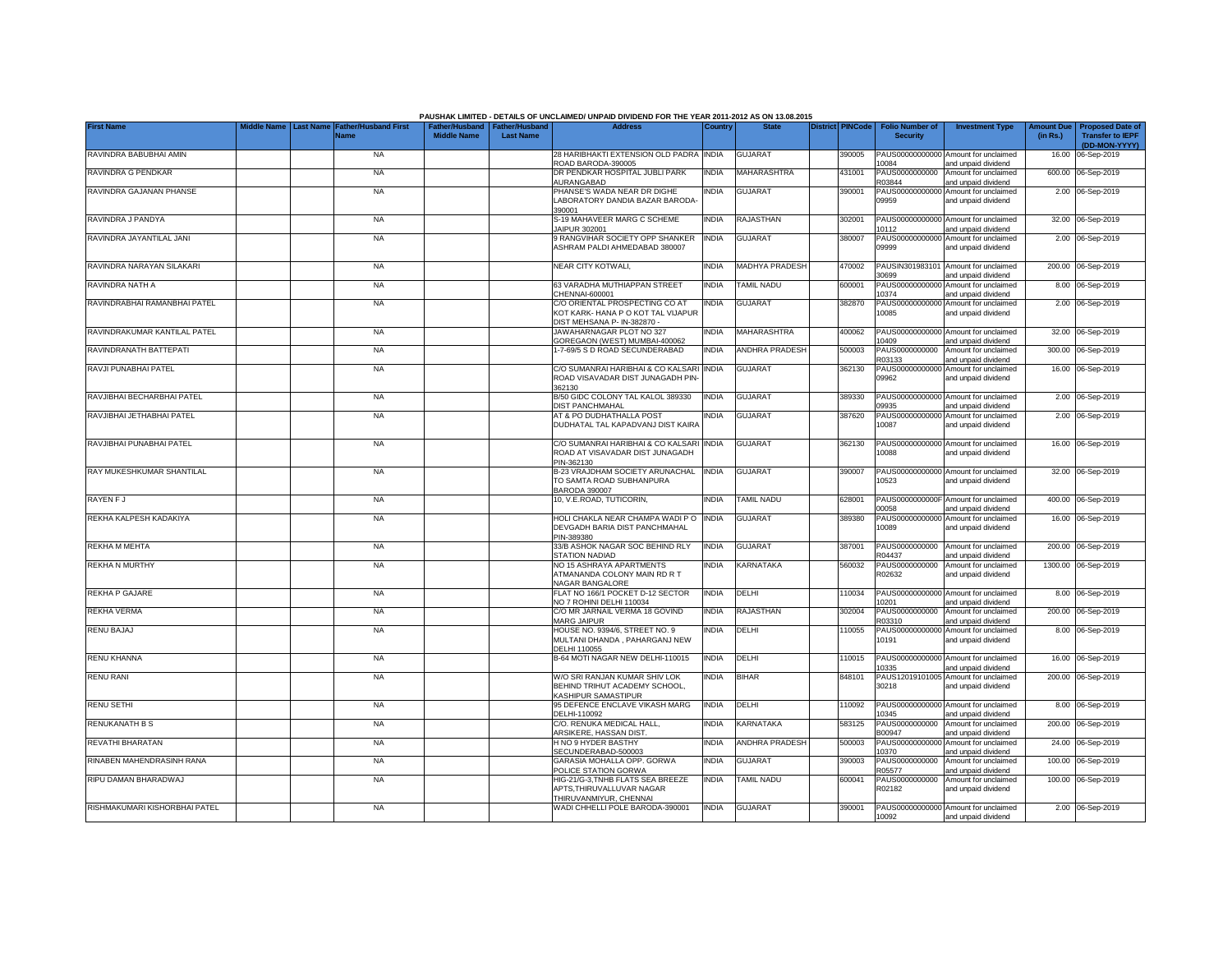|                               |            |                                                                |                    |                                                     | PAUSHAK LIMITED - DETAILS OF UNCLAIMED/ UNPAID DIVIDEND FOR THE YEAR 2011-2012 AS ON 13.08.2015     |              |                          |                         |                                           |                                                             |                               |                                                                     |
|-------------------------------|------------|----------------------------------------------------------------|--------------------|-----------------------------------------------------|-----------------------------------------------------------------------------------------------------|--------------|--------------------------|-------------------------|-------------------------------------------|-------------------------------------------------------------|-------------------------------|---------------------------------------------------------------------|
| <b>First Name</b>             | iddle Name | <b>Last Name</b><br><b>Father/Husband First</b><br><b>Name</b> | <b>Middle Name</b> | Father/Husband   Father/Husband<br><b>Last Name</b> | <b>Address</b>                                                                                      | Country      | <b>State</b>             | <b>District PINCode</b> | <b>Folio Number of</b><br><b>Security</b> | <b>Investment Type</b>                                      | <b>Amount Due</b><br>(in Rs.) | <b>Proposed Date of</b><br><b>Transfer to IEPF</b><br>(DD-MON-YYYY) |
| RAVINDRA BABUBHAI AMIN        |            | <b>NA</b>                                                      |                    |                                                     | 28 HARIBHAKTI EXTENSION OLD PADRA INDIA<br>ROAD BARODA-390005                                       |              | <b>GUJARAT</b>           | 390005                  | 10084                                     | PAUS00000000000 Amount for unclaimed<br>and unpaid dividend |                               | 16.00 06-Sep-2019                                                   |
| RAVINDRA G PENDKAR            |            | NA                                                             |                    |                                                     | DR PENDKAR HOSPITAL JUBLI PARK<br>AURANGABAD                                                        | <b>INDIA</b> | MAHARASHTRA              | 431001                  | PAUS0000000000<br>R03844                  | Amount for unclaimed<br>and unpaid dividend                 |                               | 600.00 06-Sep-2019                                                  |
| RAVINDRA GAJANAN PHANSE       |            | NA                                                             |                    |                                                     | PHANSE'S WADA NEAR DR DIGHE<br>LABORATORY DANDIA BAZAR BARODA<br>390001                             | <b>INDIA</b> | <b>GUJARAT</b>           | 390001                  | 09959                                     | PAUS00000000000 Amount for unclaimed<br>and unpaid dividend |                               | 2.00 06-Sep-2019                                                    |
| RAVINDRA J PANDYA             |            | <b>NA</b>                                                      |                    |                                                     | S-19 MAHAVEER MARG C SCHEME<br>JAIPUR 302001                                                        | <b>INDIA</b> | RAJASTHAN                | 302001                  | 10112                                     | PAUS00000000000 Amount for unclaimed<br>and unpaid dividend |                               | 32.00 06-Sep-2019                                                   |
| RAVINDRA JAYANTILAL JANI      |            | <b>NA</b>                                                      |                    |                                                     | 9 RANGVIHAR SOCIETY OPP SHANKER<br>ASHRAM PALDI AHMEDABAD 380007                                    | <b>INDIA</b> | <b>GUJARAT</b>           | 380007                  | PAUS00000000000<br>09999                  | Amount for unclaimed<br>and unpaid dividend                 |                               | 2.00 06-Sep-2019                                                    |
| RAVINDRA NARAYAN SILAKARI     |            | <b>NA</b>                                                      |                    |                                                     | NEAR CITY KOTWALI,                                                                                  | <b>INDIA</b> | MADHYA PRADESH           | 470002                  | PAUSIN301983101<br>80699                  | Amount for unclaimed<br>and unpaid dividend                 |                               | 200.00 06-Sep-2019                                                  |
| RAVINDRA NATH A               |            | <b>NA</b>                                                      |                    |                                                     | 63 VARADHA MUTHIAPPAN STREET<br>CHENNAI-600001                                                      | <b>INDIA</b> | <b><i>FAMIL NADU</i></b> | 600001                  | PAUS0000000000<br>0374                    | Amount for unclaimed<br>and unpaid dividend                 |                               | 8.00 06-Sep-2019                                                    |
| RAVINDRABHAI RAMANBHAI PATEL  |            | <b>NA</b>                                                      |                    |                                                     | C/O ORIENTAL PROSPECTING CO AT<br>KOT KARK- HANA P O KOT TAL VIJAPUR<br>DIST MEHSANA P- IN-382870 - | <b>INDIA</b> | <b>GUJARAT</b>           | 382870                  | PAUS00000000000<br>10085                  | Amount for unclaimed<br>and unpaid dividend                 |                               | 2.00 06-Sep-2019                                                    |
| RAVINDRAKUMAR KANTILAL PATEL  |            | <b>NA</b>                                                      |                    |                                                     | JAWAHARNAGAR PLOT NO 327<br>GOREGAON (WEST) MUMBAI-400062                                           | <b>INDIA</b> | MAHARASHTRA              | 400062                  | 0409                                      | PAUS00000000000 Amount for unclaimed<br>and unpaid dividend |                               | 32.00 06-Sep-2019                                                   |
| RAVINDRANATH BATTEPATI        |            | <b>NA</b>                                                      |                    |                                                     | 1-7-69/5 S D ROAD SECUNDERABAD                                                                      | <b>INDIA</b> | <b>ANDHRA PRADESH</b>    | 500003                  | PAUS0000000000<br>R03133                  | Amount for unclaimed<br>and unpaid dividend                 |                               | 300.00 06-Sep-2019                                                  |
| RAVJI PUNABHAI PATEL          |            | <b>NA</b>                                                      |                    |                                                     | C/O SUMANRAI HARIBHAI & CO KALSARI<br>ROAD VISAVADAR DIST JUNAGADH PIN<br>362130                    | <b>INDIA</b> | <b>GUJARAT</b>           | 362130                  | PAUS00000000000<br>09962                  | Amount for unclaimed<br>and unpaid dividend                 |                               | 16.00 06-Sep-2019                                                   |
| RAVJIBHAI BECHARBHAI PATEL    |            | <b>NA</b>                                                      |                    |                                                     | B/50 GIDC COLONY TAL KALOL 389330<br><b>DIST PANCHMAHAL</b>                                         | <b>INDIA</b> | <b>GUJARAT</b>           | 389330                  | 09935                                     | PAUS00000000000 Amount for unclaimed<br>and unpaid dividend |                               | 2.00 06-Sep-2019                                                    |
| RAVJIBHAI JETHABHAI PATEL     |            | <b>NA</b>                                                      |                    |                                                     | AT & PO DUDHATHALLA POST<br>DUDHATAL TAL KAPADVANJ DIST KAIRA                                       | <b>INDIA</b> | <b>GUJARAT</b>           | 387620                  | 10087                                     | PAUS00000000000 Amount for unclaimed<br>and unpaid dividend |                               | 2.00 06-Sep-2019                                                    |
| RAVJIBHAI PUNABHAI PATEL      |            | <b>NA</b>                                                      |                    |                                                     | C/O SUMANRAI HARIBHAI & CO KALSARI INDIA<br>ROAD AT VISAVADAR DIST JUNAGADH<br>PIN-362130           |              | <b>GUJARAT</b>           | 362130                  | 10088                                     | PAUS00000000000 Amount for unclaimed<br>and unpaid dividend |                               | 16.00 06-Sep-2019                                                   |
| RAY MUKESHKUMAR SHANTILAL     |            | <b>NA</b>                                                      |                    |                                                     | B-23 VRAJDHAM SOCIETY ARUNACHAL<br>TO SAMTA ROAD SUBHANPURA<br><b>BARODA 390007</b>                 | <b>INDIA</b> | <b>GUJARAT</b>           | 390007                  | 10523                                     | PAUS00000000000 Amount for unclaimed<br>and unpaid dividend |                               | 32.00 06-Sep-2019                                                   |
| RAYEN F J                     |            | <b>NA</b>                                                      |                    |                                                     | 10, V.E.ROAD, TUTICORIN,                                                                            | <b>INDIA</b> | TAMIL NADU               | 628001                  | PAUS0000000000<br>00058                   | Amount for unclaimed<br>and unpaid dividend                 |                               | 400.00 06-Sep-2019                                                  |
| REKHA KALPESH KADAKIYA        |            | <b>NA</b>                                                      |                    |                                                     | HOLI CHAKLA NEAR CHAMPA WADI PO<br>DEVGADH BARIA DIST PANCHMAHAL<br>PIN-389380                      | <b>INDIA</b> | <b>GUJARAT</b>           | 389380                  | PAUS0000000000<br>10089                   | Amount for unclaimed<br>and unpaid dividend                 |                               | 16.00 06-Sep-2019                                                   |
| REKHA M MEHTA                 |            | <b>NA</b>                                                      |                    |                                                     | 33/B ASHOK NAGAR SOC BEHIND RLY<br>STATION NADIAD                                                   | <b>INDIA</b> | <b>GUJARAT</b>           | 387001                  | PAUS0000000000<br>R04437                  | Amount for unclaimed<br>and unpaid dividend                 |                               | 200.00 06-Sep-2019                                                  |
| <b>REKHA N MURTHY</b>         |            | <b>NA</b>                                                      |                    |                                                     | NO 15 ASHRAYA APARTMENTS<br>ATMANANDA COLONY MAIN RD R T<br>NAGAR BANGALORE                         | <b>INDIA</b> | KARNATAKA                | 560032                  | PAUS0000000000<br>R02632                  | Amount for unclaimed<br>and unpaid dividend                 |                               | 1300.00 06-Sep-2019                                                 |
| REKHA P GAJARE                |            | <b>NA</b>                                                      |                    |                                                     | FLAT NO 166/1 POCKET D-12 SECTOR<br>NO 7 ROHINI DELHI 110034                                        | <b>INDIA</b> | DELHI                    | 110034                  | 10201                                     | PAUS00000000000 Amount for unclaimed<br>and unpaid dividend |                               | 8.00 06-Sep-2019                                                    |
| <b>REKHA VERMA</b>            |            | <b>NA</b>                                                      |                    |                                                     | C/O MR JARNAIL VERMA 18 GOVIND<br>MARG JAIPUR                                                       | <b>INDIA</b> | RAJASTHAN                | 302004                  | PAUS0000000000<br>R03310                  | Amount for unclaimed<br>and unpaid dividend                 |                               | 200.00 06-Sep-2019                                                  |
| RENU BAJAJ                    |            | NA                                                             |                    |                                                     | HOUSE NO. 9394/6, STREET NO. 9<br>MULTANI DHANDA, PAHARGANJ NEW<br>DELHI 110055                     | INDIA        | DELHI                    | 110055                  | PAUS00000000000<br>10191                  | Amount for unclaimed<br>and unpaid dividend                 |                               | 8.00 06-Sep-2019                                                    |
| RENU KHANNA                   |            | <b>NA</b>                                                      |                    |                                                     | B-64 MOTI NAGAR NEW DELHI-110015                                                                    | <b>INDIA</b> | DELHI                    | 110015                  | 10335                                     | PAUS00000000000 Amount for unclaimed<br>and unpaid dividend |                               | 16.00 06-Sep-2019                                                   |
| <b>RENU RANI</b>              |            | <b>NA</b>                                                      |                    |                                                     | W/O SRI RANJAN KUMAR SHIV LOK<br>BEHIND TRIHUT ACADEMY SCHOOL<br>KASHIPUR SAMASTIPUR                | INDIA        | <b>BIHAR</b>             | 848101                  | PAUS12019101005<br>30218                  | Amount for unclaimed<br>and unpaid dividend                 |                               | 200.00 06-Sep-2019                                                  |
| RENU SETHI                    |            | <b>NA</b>                                                      |                    |                                                     | 95 DEFENCE ENCLAVE VIKASH MARG<br>DELHI-110092                                                      | <b>INDIA</b> | DELHI                    | 10092                   | 10345                                     | PAUS00000000000 Amount for unclaimed<br>and unpaid dividend |                               | 8.00 06-Sep-2019                                                    |
| RENUKANATH B S                |            | <b>NA</b>                                                      |                    |                                                     | C/O. RENUKA MEDICAL HALL,<br>ARSIKERE, HASSAN DIST.                                                 | india        | KARNATAKA                | 583125                  | PAUS0000000000<br>B00947                  | Amount for unclaimed<br>and unpaid dividend                 |                               | 200.00 06-Sep-2019                                                  |
| REVATHI BHARATAN              |            | <b>NA</b>                                                      |                    |                                                     | H NO 9 HYDER BASTHY<br>SECUNDERABAD-500003                                                          | <b>INDIA</b> | <b>ANDHRA PRADESH</b>    | 500003                  | 10370                                     | PAUS00000000000 Amount for unclaimed<br>and unpaid dividend |                               | 24.00 06-Sep-2019                                                   |
| RINABEN MAHENDRASINH RANA     |            | <b>NA</b>                                                      |                    |                                                     | GARASIA MOHALLA OPP. GORWA<br>POLICE STATION GORWA                                                  | <b>INDIA</b> | <b>GUJARAT</b>           | 390003                  | PAUS0000000000<br>R05577                  | Amount for unclaimed<br>and unpaid dividend                 |                               | 100.00 06-Sep-2019                                                  |
| RIPU DAMAN BHARADWAJ          |            | <b>NA</b>                                                      |                    |                                                     | HIG-21/G-3, TNHB FLATS SEA BREEZE<br>APTS, THIRUVALLUVAR NAGAR<br>THIRUVANMIYUR, CHENNAI            | <b>INDIA</b> | TAMIL NADU               | 600041                  | PAUS0000000000<br>R02182                  | Amount for unclaimed<br>and unpaid dividend                 |                               | 100.00 06-Sep-2019                                                  |
| RISHMAKUMARI KISHORBHAI PATEL |            | <b>NA</b>                                                      |                    |                                                     | WADI CHHELLI POLE BARODA-390001                                                                     | <b>INDIA</b> | <b>GUJARAT</b>           | 390001                  | 10092                                     | PAUS00000000000 Amount for unclaimed<br>and unpaid dividend |                               | 2.00 06-Sep-2019                                                    |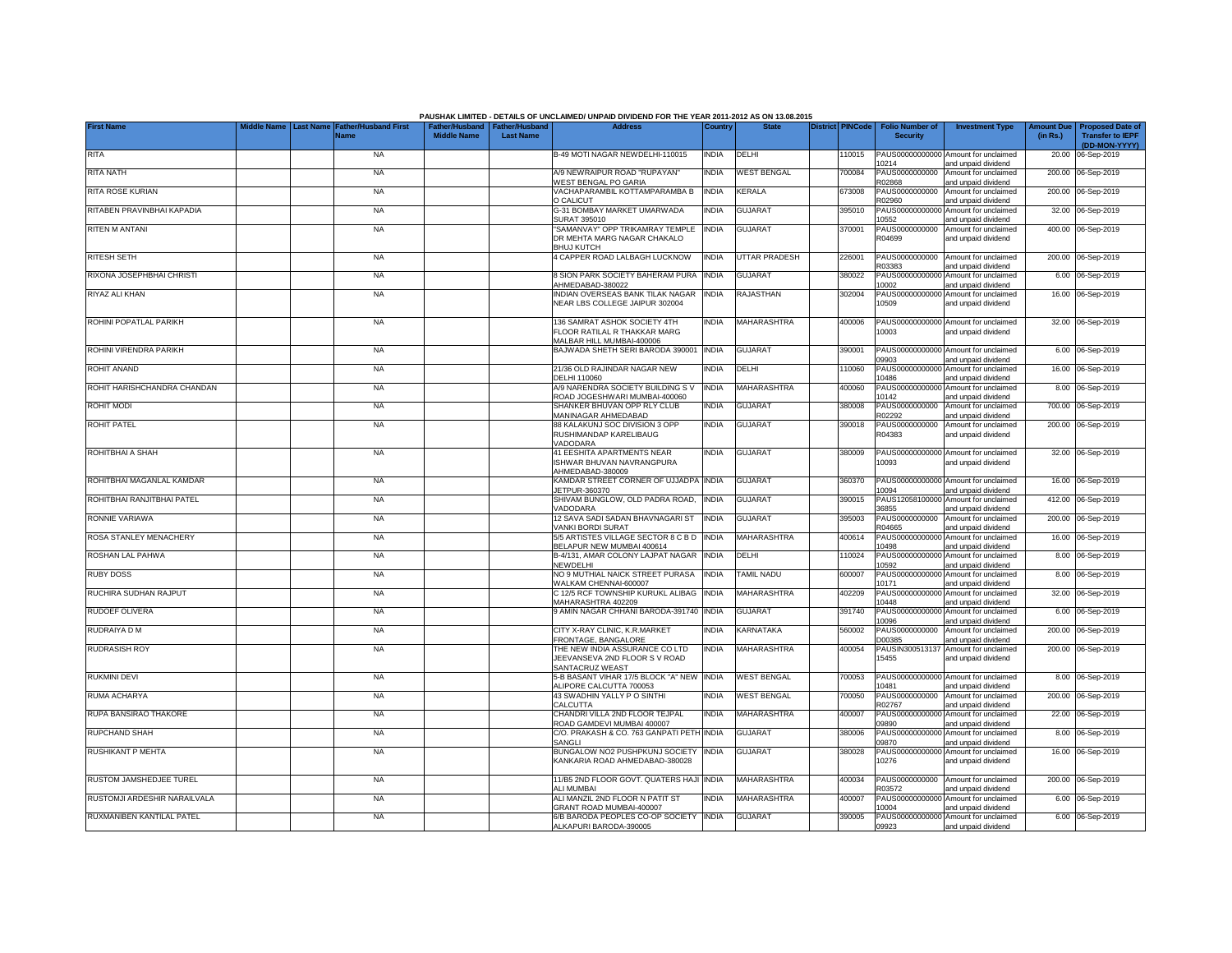|                              | <b>Last Name</b> |                             |                                                       |                  | PAUSHAK LIMITED - DETAILS OF UNCLAIMED/ UNPAID DIVIDEND FOR THE YEAR 2011-2012 AS ON 13.08.2015<br><b>Address</b> |              | <b>State</b>         |                         | Folio Number of          |                                                             | <b>Amount Due</b> |                                                    |
|------------------------------|------------------|-----------------------------|-------------------------------------------------------|------------------|-------------------------------------------------------------------------------------------------------------------|--------------|----------------------|-------------------------|--------------------------|-------------------------------------------------------------|-------------------|----------------------------------------------------|
| <b>First Name</b>            |                  | ather/Husband First<br>Vame | Father/Husband   Father/Husband<br><b>Middle Name</b> | <b>Last Name</b> |                                                                                                                   | Country      |                      | <b>District PINCode</b> | <b>Security</b>          | <b>Investment Type</b>                                      | (in Rs.)          | <b>Proposed Date of</b><br><b>Transfer to IEPF</b> |
| RITA                         |                  | <b>NA</b>                   |                                                       |                  | B-49 MOTI NAGAR NEWDELHI-110015                                                                                   | <b>INDIA</b> | DELHI                | 110015                  |                          | PAUS00000000000 Amount for unclaimed                        |                   | (DD-MON-YYYY)<br>20.00 06-Sep-2019                 |
| <b>RITA NATH</b>             |                  | <b>NA</b>                   |                                                       |                  | A/9 NEWRAIPUR ROAD "RUPAYAN"                                                                                      | <b>INDIA</b> | <b>WEST BENGAL</b>   | 700084                  | 10214<br>PAUS0000000000  | and unpaid dividend<br>Amount for unclaimed                 |                   | 200.00 06-Sep-2019                                 |
| RITA ROSE KURIAN             |                  | <b>NA</b>                   |                                                       |                  | <b><i>NEST BENGAL PO GARIA</i></b><br>VACHAPARAMBIL KOTTAMPARAMBA B                                               | <b>INDIA</b> | <b>KERALA</b>        | 373008                  | R02868<br>PAUS0000000000 | and unpaid dividend<br>Amount for unclaimed                 | 200.00            | 06-Sep-2019                                        |
|                              |                  |                             |                                                       |                  | O CALICUT                                                                                                         |              |                      |                         | R02960                   | and unpaid dividend                                         |                   |                                                    |
| RITABEN PRAVINBHAI KAPADIA   |                  | <b>NA</b>                   |                                                       |                  | G-31 BOMBAY MARKET UMARWADA<br>SURAT 395010                                                                       | <b>INDIA</b> | <b>GUJARAT</b>       | 395010                  | PAUS0000000000<br>0552   | Amount for unclaimed<br>and unpaid dividend                 | 32.00             | 06-Sep-2019                                        |
| RITEN M ANTANI               |                  | <b>NA</b>                   |                                                       |                  | "SAMANVAY" OPP TRIKAMRAY TEMPLE<br>DR MEHTA MARG NAGAR CHAKALO<br><b>BHUJ KUTCH</b>                               | <b>INDIA</b> | <b>GUJARAT</b>       | 370001                  | PAUS0000000000<br>R04699 | Amount for unclaimed<br>and unpaid dividend                 |                   | 400.00 06-Sep-2019                                 |
| RITESH SETH                  |                  | <b>NA</b>                   |                                                       |                  | 4 CAPPER ROAD LALBAGH LUCKNOW                                                                                     | <b>INDIA</b> | <b>UTTAR PRADESH</b> | 226001                  | PAUS0000000000<br>R03383 | Amount for unclaimed                                        |                   | 200.00 06-Sep-2019                                 |
| RIXONA JOSEPHBHAI CHRISTI    |                  | <b>NA</b>                   |                                                       |                  | 8 SION PARK SOCIETY BAHERAM PURA                                                                                  | <b>INDIA</b> | <b>GUJARAT</b>       | 380022                  | PAUS0000000000           | and unpaid dividend<br>Amount for unclaimed                 |                   | 6.00 06-Sep-2019                                   |
| RIYAZ ALI KHAN               |                  | <b>NA</b>                   |                                                       |                  | AHMEDABAD-380022<br><b>INDIAN OVERSEAS BANK TILAK NAGAR</b>                                                       | <b>INDIA</b> | RAJASTHAN            | 302004                  | 10002<br>PAUS0000000000  | and unpaid dividend<br>Amount for unclaimed                 |                   | 16.00 06-Sep-2019                                  |
|                              |                  |                             |                                                       |                  | NEAR LBS COLLEGE JAIPUR 302004                                                                                    |              |                      |                         | 10509                    | and unpaid dividend                                         |                   |                                                    |
| ROHINI POPATLAL PARIKH       |                  | <b>NA</b>                   |                                                       |                  | 136 SAMRAT ASHOK SOCIETY 4TH<br>FLOOR RATILAL R THAKKAR MARG<br>MALBAR HILL MUMBAI-400006                         | <b>INDIA</b> | <b>MAHARASHTRA</b>   | 400006                  | 10003                    | PAUS00000000000 Amount for unclaimed<br>and unpaid dividend |                   | 32.00 06-Sep-2019                                  |
| ROHINI VIRENDRA PARIKH       |                  | <b>NA</b>                   |                                                       |                  | BAJWADA SHETH SERI BARODA 390001                                                                                  | <b>INDIA</b> | <b>GUJARAT</b>       | 390001                  | PAUS00000000000<br>09903 | Amount for unclaimed                                        |                   | 6.00 06-Sep-2019                                   |
| <b>ROHIT ANAND</b>           |                  | <b>NA</b>                   |                                                       |                  | 21/36 OLD RAJINDAR NAGAR NEW                                                                                      | <b>NDIA</b>  | DELHI                | 110060                  | PAUS0000000000           | and unpaid dividend<br>Amount for unclaimed                 |                   | 16.00 06-Sep-2019                                  |
| ROHIT HARISHCHANDRA CHANDAN  |                  | <b>NA</b>                   |                                                       |                  | DELHI 110060<br>A/9 NARENDRA SOCIETY BUILDING S V                                                                 | <b>INDIA</b> | <b>MAHARASHTRA</b>   | 400060                  | 10486<br>PAUS00000000000 | and unpaid dividend<br>Amount for unclaimed                 |                   | 8.00 06-Sep-2019                                   |
| <b>ROHIT MODI</b>            |                  | <b>NA</b>                   |                                                       |                  | ROAD JOGESHWARI MUMBAI-400060<br>SHANKER BHUVAN OPP RLY CLUB                                                      | India        | <b>GUJARAT</b>       | 380008                  | 10142<br>PAUS0000000000  | and unpaid dividend<br>Amount for unclaimed                 |                   | 700.00 06-Sep-2019                                 |
| <b>ROHIT PATEL</b>           |                  | <b>NA</b>                   |                                                       |                  | MANINAGAR AHMEDABAD<br>88 KALAKUNJ SOC DIVISION 3 OPP                                                             | India        | <b>GUJARAT</b>       | 390018                  | R02292<br>PAUS0000000000 | and unpaid dividend<br>Amount for unclaimed                 |                   | 200.00 06-Sep-2019                                 |
|                              |                  |                             |                                                       |                  | RUSHIMANDAP KARELIBAUG<br>VADODARA                                                                                |              |                      |                         | R04383                   | and unpaid dividend                                         |                   |                                                    |
| ROHITBHAI A SHAH             |                  | <b>NA</b>                   |                                                       |                  | 41 EESHITA APARTMENTS NEAR<br>ISHWAR BHUVAN NAVRANGPURA<br>AHMEDABAD-380009                                       | <b>NDIA</b>  | <b>GUJARAT</b>       | 380009                  | 10093                    | PAUS00000000000 Amount for unclaimed<br>and unpaid dividend |                   | 32.00 06-Sep-2019                                  |
| ROHITBHAI MAGANLAL KAMDAR    |                  | <b>NA</b>                   |                                                       |                  | <b>KAMDAR STREET CORNER OF UJJADPA INDIA</b><br>JETPUR-360370                                                     |              | <b>GUJARAT</b>       | 360370                  | PAUS00000000000<br>10094 | Amount for unclaimed<br>and unpaid dividend                 |                   | 16.00 06-Sep-2019                                  |
| ROHITBHAI RANJITBHAI PATEL   |                  | <b>NA</b>                   |                                                       |                  | SHIVAM BUNGLOW, OLD PADRA ROAD,                                                                                   | <b>INDIA</b> | <b>GUJARAT</b>       | 390015                  | PAUS1205810000           | Amount for unclaimed                                        |                   | 412.00 06-Sep-2019                                 |
| RONNIE VARIAWA               |                  | <b>NA</b>                   |                                                       |                  | VADODARA<br>12 SAVA SADI SADAN BHAVNAGARI ST                                                                      | <b>INDIA</b> | <b>GUJARAT</b>       | 395003                  | 36855<br>PAUS0000000000  | and unpaid dividend<br>Amount for unclaimed                 |                   | 200.00 06-Sep-2019                                 |
| ROSA STANLEY MENACHERY       |                  | <b>NA</b>                   |                                                       |                  | VANKI BORDI SURAT<br>5/5 ARTISTES VILLAGE SECTOR 8 C B D                                                          | <b>INDIA</b> | MAHARASHTRA          | 400614                  | R04665<br>PAUS0000000000 | and unpaid dividend<br>Amount for unclaimed                 |                   | 16.00 06-Sep-2019                                  |
| ROSHAN LAL PAHWA             |                  | <b>NA</b>                   |                                                       |                  | BELAPUR NEW MUMBAI 400614<br>B-4/131, AMAR COLONY LAJPAT NAGAR                                                    | <b>INDIA</b> | DELHI                | 110024                  | 10498<br>PAUS0000000000  | and unpaid dividend<br>Amount for unclaimed                 |                   | 8.00 06-Sep-2019                                   |
|                              |                  |                             |                                                       |                  | NEWDELHI                                                                                                          | <b>INDIA</b> | <b>TAMIL NADU</b>    |                         | 10592                    | and unpaid dividend<br>Amount for unclaimed                 |                   |                                                    |
| <b>RUBY DOSS</b>             |                  | <b>NA</b>                   |                                                       |                  | NO 9 MUTHIAL NAICK STREET PURASA<br>WALKAM CHENNAI-600007                                                         |              |                      | 600007                  | PAUS0000000000<br>10171  | and unpaid dividend                                         |                   | 8.00 06-Sep-2019                                   |
| RUCHIRA SUDHAN RAJPUT        |                  | <b>NA</b>                   |                                                       |                  | C 12/5 RCF TOWNSHIP KURUKL ALIBAG<br>MAHARASHTRA 402209                                                           | <b>INDIA</b> | MAHARASHTRA          | 402209                  | PAUS0000000000<br>0448   | Amount for unclaimed<br>and unpaid dividend                 |                   | 32.00 06-Sep-2019                                  |
| <b>RUDOEF OLIVERA</b>        |                  | <b>NA</b>                   |                                                       |                  | 9 AMIN NAGAR CHHANI BARODA-391740 INDIA                                                                           |              | <b>GUJARAT</b>       | 391740                  | PAUS00000000000<br>10096 | Amount for unclaimed<br>and unpaid dividend                 |                   | 6.00 06-Sep-2019                                   |
| RUDRAIYA D M                 |                  | <b>NA</b>                   |                                                       |                  | CITY X-RAY CLINIC, K.R.MARKET<br>FRONTAGE, BANGALORE                                                              | <b>INDIA</b> | KARNATAKA            | 560002                  | PAUS0000000000<br>D00385 | Amount for unclaimed<br>and unpaid dividend                 |                   | 200.00 06-Sep-2019                                 |
| <b>RUDRASISH ROY</b>         |                  | <b>NA</b>                   |                                                       |                  | THE NEW INDIA ASSURANCE CO LTD<br>JEEVANSEVA 2ND FLOOR S V ROAD<br>SANTACRUZ WEAST                                | <b>INDIA</b> | <b>MAHARASHTRA</b>   | 400054                  | PAUSIN300513137<br>15455 | Amount for unclaimed<br>and unpaid dividend                 |                   | 200.00 06-Sep-2019                                 |
| <b>RUKMINI DEVI</b>          |                  | <b>NA</b>                   |                                                       |                  | 5-B BASANT VIHAR 17/5 BLOCK "A" NEW                                                                               | <b>INDIA</b> | <b>WEST BENGAL</b>   | 700053                  | PAUS0000000000           | Amount for unclaimed                                        |                   | 8.00 06-Sep-2019                                   |
| RUMA ACHARYA                 |                  | <b>NA</b>                   |                                                       |                  | ALIPORE CALCUTTA 700053<br>43 SWADHIN YALLY P O SINTHI                                                            | <b>INDIA</b> | <b>WEST BENGAL</b>   | 700050                  | 10481<br>PAUS0000000000  | and unpaid dividend<br>Amount for unclaimed                 | 200.00            | 06-Sep-2019                                        |
| RUPA BANSIRAO THAKORE        |                  | <b>NA</b>                   |                                                       |                  | <b>CALCUTTA</b><br>CHANDRI VILLA 2ND FLOOR TEJPAL                                                                 | <b>INDIA</b> | MAHARASHTRA          | 400007                  | R02767<br>PAUS0000000000 | and unpaid dividend<br>Amount for unclaimed                 | 22.00             | 06-Sep-2019                                        |
| RUPCHAND SHAH                |                  | <b>NA</b>                   |                                                       |                  | ROAD GAMDEVI MUMBAI 400007<br>C/O. PRAKASH & CO. 763 GANPATI PETH INDIA                                           |              | <b>GUJARAT</b>       | 380006                  | 09890<br>PAUS0000000000  | and unpaid dividend<br>Amount for unclaimed                 |                   | 8.00 06-Sep-2019                                   |
|                              |                  |                             |                                                       |                  | SANGLI                                                                                                            |              |                      |                         | 09870                    | and unpaid dividend                                         |                   |                                                    |
| <b>RUSHIKANT P MEHTA</b>     |                  | <b>NA</b>                   |                                                       |                  | BUNGALOW NO2 PUSHPKUNJ SOCIETY<br>KANKARIA ROAD AHMEDABAD-380028                                                  | <b>INDIA</b> | <b>GUJARAT</b>       | 380028                  | PAUS0000000000<br>10276  | Amount for unclaimed<br>and unpaid dividend                 |                   | 16.00 06-Sep-2019                                  |
| RUSTOM JAMSHEDJEE TUREL      |                  | <b>NA</b>                   |                                                       |                  | 11/B5 2ND FLOOR GOVT. QUATERS HAJI INDIA<br>ALI MUMBAI                                                            |              | <b>MAHARASHTRA</b>   | 400034                  | PAUS0000000000<br>R03572 | Amount for unclaimed<br>and unpaid dividend                 |                   | 200.00 06-Sep-2019                                 |
| RUSTOMJI ARDESHIR NARAILVALA |                  | <b>NA</b>                   |                                                       |                  | ALI MANZIL 2ND FLOOR N PATIT ST                                                                                   | <b>NDIA</b>  | <b>MAHARASHTRA</b>   | 400007                  | PAUS00000000000          | Amount for unclaimed                                        |                   | 6.00 06-Sep-2019                                   |
| RUXMANIBEN KANTILAL PATEL    |                  | <b>NA</b>                   |                                                       |                  | GRANT ROAD MUMBAI-400007<br>6/B BARODA PEOPLES CO-OP SOCIETY INDIA                                                |              | <b>GUJARAT</b>       | 390005                  | 10004                    | and unpaid dividend<br>PAUS00000000000 Amount for unclaimed |                   | 6.00 06-Sep-2019                                   |
|                              |                  |                             |                                                       |                  | ALKAPURI BARODA-390005                                                                                            |              |                      |                         | 09923                    | and unpaid dividend                                         |                   |                                                    |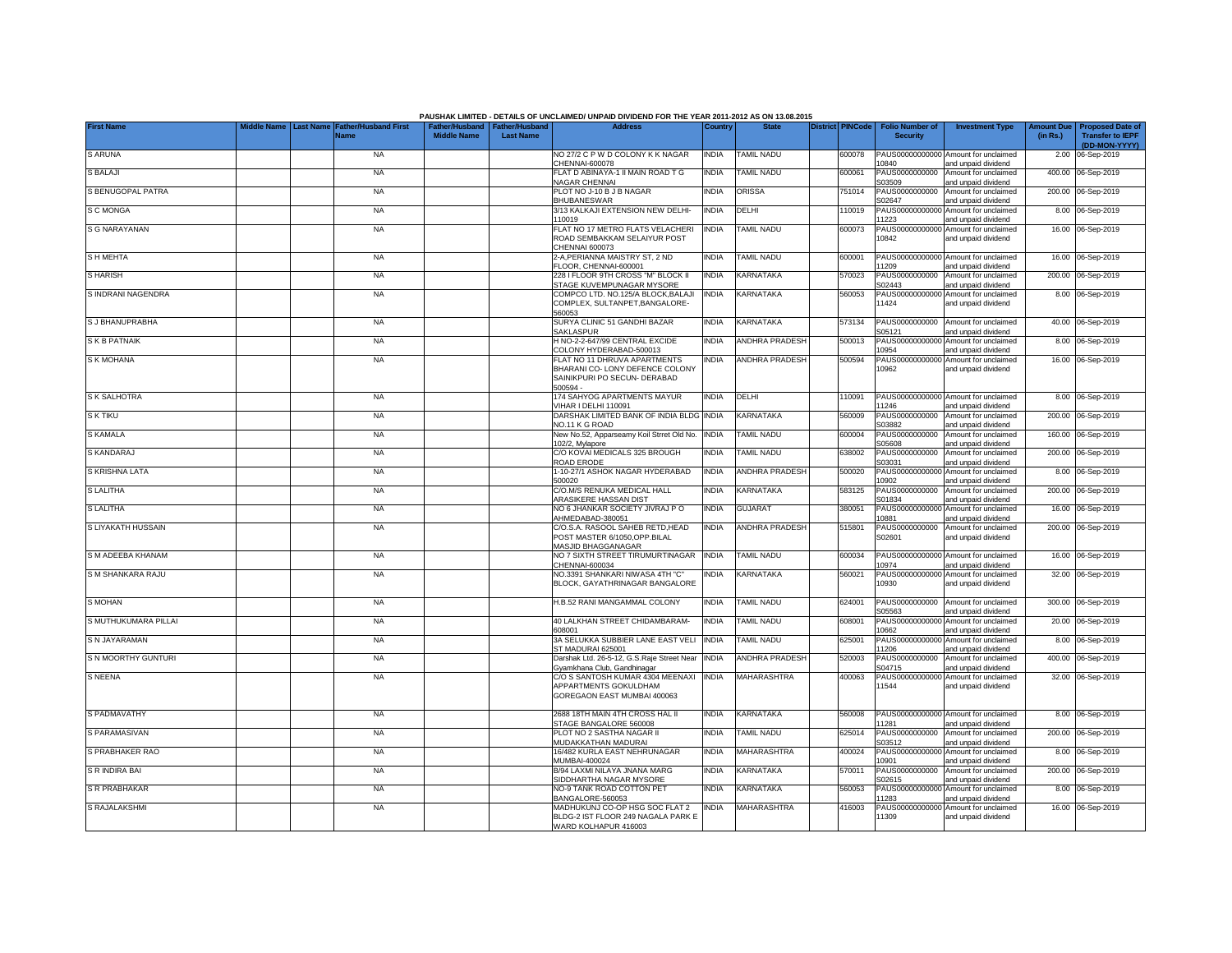|                      |                         |                                     |                                      |                                           | PAUSHAK LIMITED - DETAILS OF UNCLAIMED/ UNPAID DIVIDEND FOR THE YEAR 2011-2012 AS ON 13.08.2015 |              |                       |                         |                                           |                                                             |                               |                                                    |
|----------------------|-------------------------|-------------------------------------|--------------------------------------|-------------------------------------------|-------------------------------------------------------------------------------------------------|--------------|-----------------------|-------------------------|-------------------------------------------|-------------------------------------------------------------|-------------------------------|----------------------------------------------------|
| <b>First Name</b>    | Middle Name   Last Name | <b>Father/Husband First</b><br>lame | Father/Husband<br><b>Middle Name</b> | <b>Father/Husband</b><br><b>Last Name</b> | <b>Address</b>                                                                                  | Country      |                       | <b>District PINCode</b> | <b>Folio Number of</b><br><b>Security</b> | <b>Investment Type</b>                                      | <b>Amount Due</b><br>(in Rs.) | <b>Proposed Date of</b><br><b>Transfer to IEPF</b> |
|                      |                         |                                     |                                      |                                           |                                                                                                 |              |                       |                         |                                           |                                                             |                               | (DD-MON-YYYY)                                      |
| <b>SARUNA</b>        |                         | <b>NA</b>                           |                                      |                                           | NO 27/2 C P W D COLONY K K NAGAR<br>CHENNAI-600078                                              | <b>INDIA</b> | <b>TAMIL NADU</b>     | 600078                  | 10840                                     | PAUS00000000000 Amount for unclaimed<br>and unpaid dividend | 2.00                          | 06-Sep-2019                                        |
| <b>S BALAJI</b>      |                         | <b>NA</b>                           |                                      |                                           | FLAT D ABINAYA-1 II MAIN ROAD T G                                                               | <b>INDIA</b> | <b>TAMIL NADU</b>     | 600061                  | PAUS0000000000                            | Amount for unclaimed                                        | 400.00                        | 06-Sep-2019                                        |
| S BENUGOPAL PATRA    |                         | <b>NA</b>                           |                                      |                                           | NAGAR CHENNAI<br>PLOT NO J-10 B J B NAGAR                                                       | <b>INDIA</b> | <b>ORISSA</b>         | 751014                  | S03509<br>PAUS0000000000                  | and unpaid dividend<br>Amount for unclaimed                 |                               | 200.00 06-Sep-2019                                 |
| S C MONGA            |                         | <b>NA</b>                           |                                      |                                           | BHUBANESWAR<br>3/13 KALKAJI EXTENSION NEW DELHI-                                                | <b>INDIA</b> | DELHI                 | 110019                  | S02647<br>PAUS0000000000                  | and unpaid dividend<br>Amount for unclaimed                 |                               | 8.00 06-Sep-2019                                   |
|                      |                         |                                     |                                      |                                           | 110019                                                                                          |              |                       |                         | 11223                                     | and unpaid dividend                                         |                               |                                                    |
| S G NARAYANAN        |                         | <b>NA</b>                           |                                      |                                           | FLAT NO 17 METRO FLATS VELACHERI<br>ROAD SEMBAKKAM SELAIYUR POST<br>CHENNAI 600073              | INDIA        | TAMIL NADU            | 600073                  | PAUS0000000000<br>10842                   | Amount for unclaimed<br>and unpaid dividend                 |                               | 16.00 06-Sep-2019                                  |
| <b>SHMEHTA</b>       |                         | <b>NA</b>                           |                                      |                                           | 2-A,PERIANNA MAISTRY ST, 2 ND<br>FLOOR, CHENNAI-600001                                          | <b>INDIA</b> | <b>TAMIL NADU</b>     | 600001                  | 11209                                     | PAUS00000000000 Amount for unclaimed<br>and unpaid dividend |                               | 16.00 06-Sep-2019                                  |
| <b>SHARISH</b>       |                         | <b>NA</b>                           |                                      |                                           | 228 I FLOOR 9TH CROSS "M" BLOCK II<br>STAGE KUVEMPUNAGAR MYSORE                                 | <b>INDIA</b> | <b>KARNATAKA</b>      | 570023                  | S02443                                    | PAUS0000000000 Amount for unclaimed<br>and unpaid dividend  |                               | 200.00 06-Sep-2019                                 |
| S INDRANI NAGENDRA   |                         | <b>NA</b>                           |                                      |                                           | COMPCO LTD. NO.125/A BLOCK.BALAJI                                                               | <b>INDIA</b> | <b>KARNATAKA</b>      | 560053                  |                                           | PAUS00000000000 Amount for unclaimed                        |                               | 8.00 06-Sep-2019                                   |
|                      |                         |                                     |                                      |                                           | COMPLEX, SULTANPET, BANGALORE-<br>560053                                                        |              |                       |                         | 11424                                     | and unpaid dividend                                         |                               |                                                    |
| S J BHANUPRABHA      |                         | <b>NA</b>                           |                                      |                                           | SURYA CLINIC 51 GANDHI BAZAR<br>SAKLASPUR                                                       | <b>INDIA</b> | KARNATAKA             | 573134                  | PAUS0000000000<br>S05121                  | Amount for unclaimed<br>and unpaid dividend                 |                               | 40.00 06-Sep-2019                                  |
| S K B PATNAIK        |                         | <b>NA</b>                           |                                      |                                           | H NO-2-2-647/99 CENTRAL EXCIDE                                                                  | INDIA        | <b>ANDHRA PRADESH</b> | 500013                  | PAUS0000000000                            | Amount for unclaimed                                        |                               | 8.00 06-Sep-2019                                   |
| S K MOHANA           |                         | <b>NA</b>                           |                                      |                                           | COLONY HYDERABAD-500013<br>FLAT NO 11 DHRUVA APARTMENTS                                         | INDIA        | <b>ANDHRA PRADESH</b> | 500594                  | 10954<br>PAUS00000000000                  | and unpaid dividend<br>Amount for unclaimed                 |                               | 16.00 06-Sep-2019                                  |
|                      |                         |                                     |                                      |                                           | BHARANI CO- LONY DEFENCE COLONY<br>SAINIKPURI PO SECUN- DERABAD<br>500594                       |              |                       |                         | 10962                                     | and unpaid dividend                                         |                               |                                                    |
| S K SALHOTRA         |                         | <b>NA</b>                           |                                      |                                           | 174 SAHYOG APARTMENTS MAYUR<br>VIHAR I DELHI 110091                                             | <b>INDIA</b> | DELHI                 | 110091                  | 11246                                     | PAUS00000000000 Amount for unclaimed<br>and unpaid dividend |                               | 8.00 06-Sep-2019                                   |
| S K TIKU             |                         | <b>NA</b>                           |                                      |                                           | DARSHAK LIMITED BANK OF INDIA BLDG<br>NO.11 K G ROAD                                            | <b>INDIA</b> | <b>KARNATAKA</b>      | 560009                  | PAUS0000000000<br>S03882                  | Amount for unclaimed<br>and unpaid dividend                 |                               | 200.00 06-Sep-2019                                 |
| S KAMALA             |                         | <b>NA</b>                           |                                      |                                           | New No.52, Apparseamy Koil Strret Old No.<br>102/2, Mylapore                                    | <b>INDIA</b> | <b>TAMIL NADU</b>     | 600004                  | PAUS0000000000<br>S05608                  | Amount for unclaimed                                        |                               | 160.00 06-Sep-2019                                 |
| S KANDARAJ           |                         | <b>NA</b>                           |                                      |                                           | C/O KOVAI MEDICALS 325 BROUGH                                                                   | <b>INDIA</b> | TAMIL NADU            | 338002                  | PAUS0000000000                            | and unpaid dividend<br>Amount for unclaimed                 | 200.00                        | 06-Sep-2019                                        |
| S KRISHNA LATA       |                         | <b>NA</b>                           |                                      |                                           | ROAD ERODE<br>1-10-27/1 ASHOK NAGAR HYDERABAD                                                   | <b>INDIA</b> | <b>ANDHRA PRADESH</b> | 500020                  | S03031<br>PAUS0000000000                  | and unpaid dividend<br>Amount for unclaimed                 |                               | 8.00 06-Sep-2019                                   |
| S LALITHA            |                         | <b>NA</b>                           |                                      |                                           | 500020<br>C/O.M/S RENUKA MEDICAL HALL                                                           | <b>INDIA</b> | KARNATAKA             | 583125                  | 10902<br>PAUS0000000000                   | and unpaid dividend<br>Amount for unclaimed                 |                               | 200.00 06-Sep-2019                                 |
|                      |                         |                                     |                                      |                                           | ARASIKERE HASSAN DIST<br>NO 6 JHANKAR SOCIETY JIVRAJ PO                                         |              | <b>GUJARAT</b>        |                         | S01834<br>PAUS0000000000                  | and unpaid dividend                                         |                               |                                                    |
| S LALITHA            |                         | <b>NA</b>                           |                                      |                                           | AHMEDABAD-380051                                                                                | INDIA        |                       | 380051                  | 10881                                     | Amount for unclaimed<br>and unpaid dividend                 |                               | 16.00 06-Sep-2019                                  |
| S LIYAKATH HUSSAIN   |                         | <b>NA</b>                           |                                      |                                           | C/O.S.A. RASOOL SAHEB RETD.HEAD<br>POST MASTER 6/1050, OPP.BILAL<br>MASJID BHAGGANAGAR          | <b>INDIA</b> | <b>ANDHRA PRADESH</b> | 515801                  | PAUS0000000000<br>S02601                  | Amount for unclaimed<br>and unpaid dividend                 |                               | 200.00 06-Sep-2019                                 |
| S M ADEEBA KHANAM    |                         | <b>NA</b>                           |                                      |                                           | NO 7 SIXTH STREET TIRUMURTINAGAR<br>CHENNAI-600034                                              | <b>INDIA</b> | <b>TAMIL NADU</b>     | 600034                  | 10974                                     | PAUS00000000000 Amount for unclaimed<br>and unpaid dividend |                               | 16.00 06-Sep-2019                                  |
| S M SHANKARA RAJU    |                         | <b>NA</b>                           |                                      |                                           | NO.3391 SHANKARI NIWASA 4TH "C"<br>BLOCK, GAYATHRINAGAR BANGALORE                               | <b>INDIA</b> | <b>KARNATAKA</b>      | 560021                  | 10930                                     | PAUS00000000000 Amount for unclaimed<br>and unpaid dividend |                               | 32.00 06-Sep-2019                                  |
| <b>S MOHAN</b>       |                         | <b>NA</b>                           |                                      |                                           | H.B.52 RANI MANGAMMAL COLONY                                                                    | <b>INDIA</b> | <b>TAMIL NADU</b>     | 324001                  | PAUS0000000000                            | Amount for unclaimed                                        |                               | 300.00 06-Sep-2019                                 |
| S MUTHUKUMARA PILLAI |                         | <b>NA</b>                           |                                      |                                           | 40 LALKHAN STREET CHIDAMBARAM-                                                                  | <b>INDIA</b> | <b>TAMIL NADU</b>     | 608001                  | S05563<br>PAUS0000000000                  | and unpaid dividend<br>Amount for unclaimed                 |                               | 20.00 06-Sep-2019                                  |
| S N JAYARAMAN        |                         | <b>NA</b>                           |                                      |                                           | 608001<br>3A SELUKKA SUBBIER LANE EAST VELI                                                     | <b>INDIA</b> | <b>TAMIL NADU</b>     | 325001                  | 10662<br>PAUS0000000000                   | and unpaid dividend<br>Amount for unclaimed                 |                               | 8.00 06-Sep-2019                                   |
|                      |                         |                                     |                                      |                                           | ST MADURAI 625001                                                                               |              |                       |                         | 1206                                      | and unpaid dividend                                         |                               |                                                    |
| S N MOORTHY GUNTURI  |                         | <b>NA</b>                           |                                      |                                           | Darshak Ltd. 26-5-12, G.S.Raje Street Near<br>Gyamkhana Club, Gandhinagar                       | <b>INDIA</b> | <b>ANDHRA PRADESH</b> | 520003                  | PAUS0000000000<br>\$04715                 | Amount for unclaimed<br>and unpaid dividend                 |                               | 400.00 06-Sep-2019                                 |
| <b>S NEENA</b>       |                         | <b>NA</b>                           |                                      |                                           | C/O S SANTOSH KUMAR 4304 MEENAXI<br><b>APPARTMENTS GOKULDHAM</b><br>GOREGAON EAST MUMBAI 400063 | <b>INDIA</b> | MAHARASHTRA           | 400063                  | PAUS00000000000<br>11544                  | Amount for unclaimed<br>and unpaid dividend                 |                               | 32.00 06-Sep-2019                                  |
| S PADMAVATHY         |                         | <b>NA</b>                           |                                      |                                           | 2688 18TH MAIN 4TH CROSS HAL II<br>STAGE BANGALORE 560008                                       | <b>INDIA</b> | <b>KARNATAKA</b>      | 560008                  | 11281                                     | PAUS00000000000 Amount for unclaimed<br>and unpaid dividend |                               | 8.00 06-Sep-2019                                   |
| S PARAMASIVAN        |                         | <b>NA</b>                           |                                      |                                           | PLOT NO 2 SASTHA NAGAR II<br>MUDAKKATHAN MADURAI                                                | <b>INDIA</b> | <b>TAMIL NADU</b>     | 625014                  | PAUS0000000000<br>S03512                  | Amount for unclaimed<br>and unpaid dividend                 |                               | 200.00 06-Sep-2019                                 |
| S PRABHAKER RAO      |                         | <b>NA</b>                           |                                      |                                           | 16/482 KURLA EAST NEHRUNAGAR                                                                    | <b>INDIA</b> | MAHARASHTRA           | 400024                  | PAUS0000000000                            | Amount for unclaimed                                        |                               | 8.00 06-Sep-2019                                   |
| S R INDIRA BAI       |                         | <b>NA</b>                           |                                      |                                           | MUMBAI-400024<br>B/94 LAXMI NILAYA JNANA MARG                                                   | <b>INDIA</b> | KARNATAKA             | 570011                  | 10901<br>PAUS0000000000                   | and unpaid dividend<br>Amount for unclaimed                 |                               | 200.00 06-Sep-2019                                 |
| S R PRABHAKAR        |                         | <b>NA</b>                           |                                      |                                           | SIDDHARTHA NAGAR MYSORE<br>NO-9 TANK ROAD COTTON PET                                            | <b>INDIA</b> | <b>KARNATAKA</b>      | 560053                  | S02615<br>PAUS0000000000                  | and unpaid dividend<br>Amount for unclaimed                 |                               | 8.00 06-Sep-2019                                   |
| S RAJALAKSHMI        |                         | <b>NA</b>                           |                                      |                                           | BANGALORE-560053<br>MADHUKUNJ CO-OP HSG SOC FLAT 2                                              | <b>INDIA</b> | MAHARASHTRA           | 416003                  | 1283<br>PAUS00000000000                   | and unpaid dividend<br>Amount for unclaimed                 |                               | 16.00 06-Sep-2019                                  |
|                      |                         |                                     |                                      |                                           | BLDG-2 IST FLOOR 249 NAGALA PARK E<br>WARD KOLHAPUR 416003                                      |              |                       |                         | 11309                                     | and unpaid dividend                                         |                               |                                                    |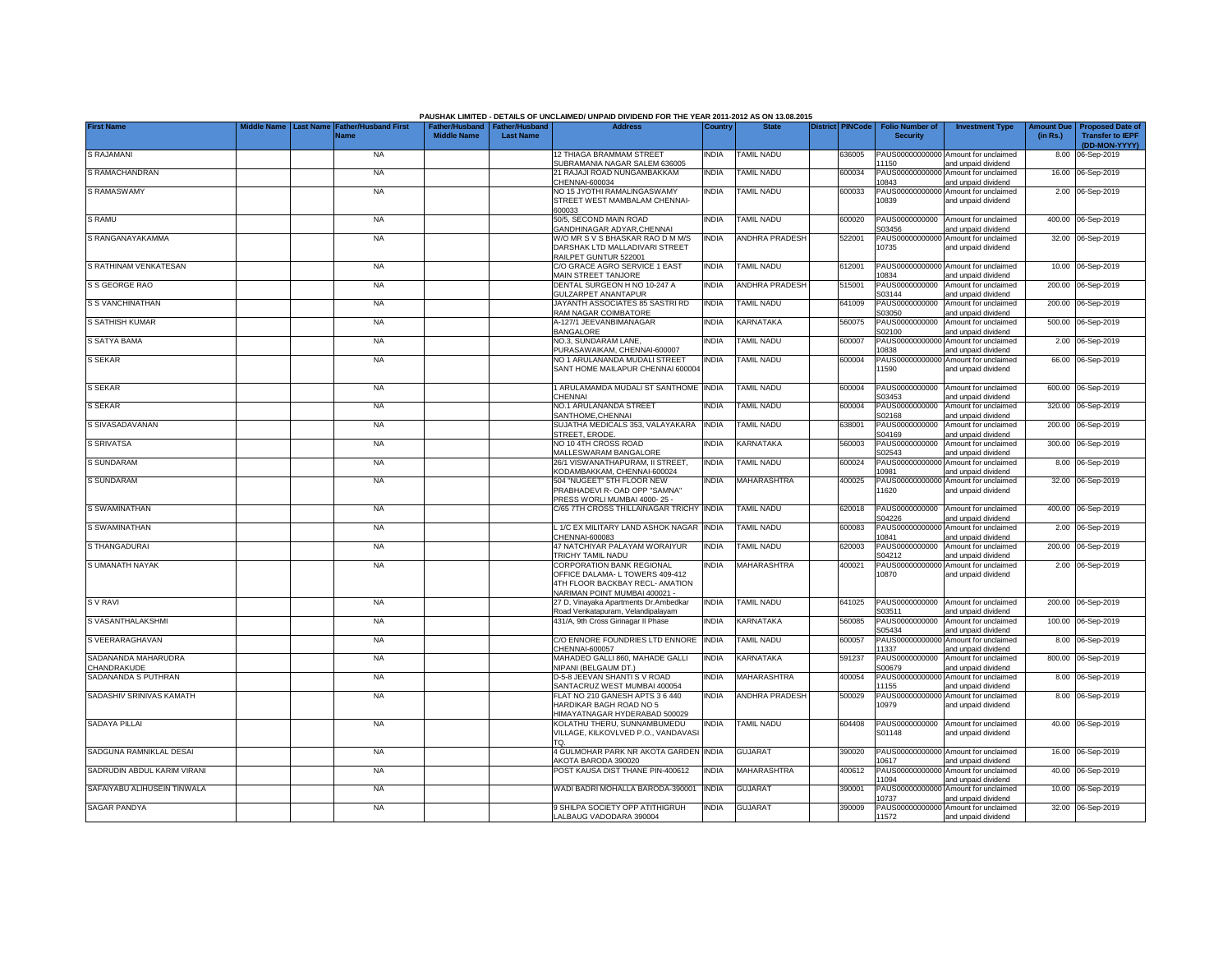|                                    |                                 |                                            |                                                       |                  | PAUSHAK LIMITED - DETAILS OF UNCLAIMED/ UNPAID DIVIDEND FOR THE YEAR 2011-2012 AS ON 13.08.2015     |              |                       |                         |                                           |                                                             |                               |                                                    |
|------------------------------------|---------------------------------|--------------------------------------------|-------------------------------------------------------|------------------|-----------------------------------------------------------------------------------------------------|--------------|-----------------------|-------------------------|-------------------------------------------|-------------------------------------------------------------|-------------------------------|----------------------------------------------------|
| <b>First Name</b>                  | Aiddle Name<br><b>Last Name</b> | <b>Father/Husband First</b><br><b>Name</b> | Father/Husband   Father/Husband<br><b>Middle Name</b> | <b>Last Name</b> | <b>Address</b>                                                                                      | Country      | <b>State</b>          | <b>District PINCode</b> | <b>Folio Number of</b><br><b>Security</b> | <b>Investment Type</b>                                      | <b>Amount Due</b><br>(in Rs.) | <b>Proposed Date of</b><br><b>Transfer to IEPF</b> |
|                                    |                                 |                                            |                                                       |                  |                                                                                                     |              |                       |                         |                                           |                                                             |                               | (DD-MON-YYYY)                                      |
| <b>S RAJAMANI</b>                  |                                 | <b>NA</b>                                  |                                                       |                  | 12 THIAGA BRAMMAM STREET<br>SUBRAMANIA NAGAR SALEM 636005                                           | <b>INDIA</b> | <b>TAMIL NADU</b>     | 36005                   | 11150                                     | PAUS00000000000 Amount for unclaimed<br>and unpaid dividend |                               | 8.00 06-Sep-2019                                   |
| S RAMACHANDRAN                     |                                 | <b>NA</b>                                  |                                                       |                  | 21 RAJAJI ROAD NUNGAMBAKKAM<br>CHENNAI-600034                                                       | <b>INDIA</b> | <b>TAMIL NADU</b>     | 600034                  | 10843                                     | PAUS00000000000 Amount for unclaimed<br>and unpaid dividend |                               | 16.00 06-Sep-2019                                  |
| S RAMASWAMY                        |                                 | <b>NA</b>                                  |                                                       |                  | NO 15 JYOTHI RAMALINGASWAMY                                                                         | INDIA        | <b>TAMIL NADU</b>     | 600033                  |                                           | PAUS00000000000 Amount for unclaimed                        |                               | 2.00 06-Sep-2019                                   |
|                                    |                                 |                                            |                                                       |                  | STREET WEST MAMBALAM CHENNAI-<br>600033                                                             |              |                       |                         | 10839                                     | and unpaid dividend                                         |                               |                                                    |
| S RAMU                             |                                 | <b>NA</b>                                  |                                                       |                  | 50/5, SECOND MAIN ROAD<br>GANDHINAGAR ADYAR, CHENNAI                                                | <b>INDIA</b> | <b>TAMIL NADU</b>     | 600020                  | PAUS0000000000<br>S03456                  | Amount for unclaimed<br>and unpaid dividend                 |                               | 400.00 06-Sep-2019                                 |
| S RANGANAYAKAMMA                   |                                 | <b>NA</b>                                  |                                                       |                  | W/O MR S V S BHASKAR RAO D M M/S                                                                    | <b>INDIA</b> | <b>ANDHRA PRADESH</b> | 522001                  | PAUS00000000000                           | Amount for unclaimed                                        |                               | 32.00 06-Sep-2019                                  |
|                                    |                                 |                                            |                                                       |                  | DARSHAK LTD MALLADIVARI STREET<br>RAILPET GUNTUR 522001                                             |              |                       |                         | 10735                                     | and unpaid dividend                                         |                               |                                                    |
| S RATHINAM VENKATESAN              |                                 | <b>NA</b>                                  |                                                       |                  | C/O GRACE AGRO SERVICE 1 EAST<br><b>MAIN STREET TANJORE</b>                                         | <b>INDIA</b> | TAMIL NADU            | 312001                  | PAUS00000000000<br>10834                  | Amount for unclaimed<br>and unpaid dividend                 |                               | 10.00 06-Sep-2019                                  |
| S S GEORGE RAO                     |                                 | <b>NA</b>                                  |                                                       |                  | DENTAL SURGEON H NO 10-247 A<br>GULZARPET ANANTAPUR                                                 | <b>INDIA</b> | ANDHRA PRADESH        | 15001                   | PAUS0000000000<br>S03144                  | Amount for unclaimed<br>and unpaid dividend                 |                               | 200.00 06-Sep-2019                                 |
| <b>S S VANCHINATHAN</b>            |                                 | <b>NA</b>                                  |                                                       |                  | JAYANTH ASSOCIATES 85 SASTRI RD<br>RAM NAGAR COIMBATORE                                             | <b>INDIA</b> | <b>TAMIL NADU</b>     | 341009                  | PAUS0000000000<br>\$03050                 | Amount for unclaimed<br>and unpaid dividend                 |                               | 200.00 06-Sep-2019                                 |
| S SATHISH KUMAR                    |                                 | <b>NA</b>                                  |                                                       |                  | A-127/1 JEEVANBIMANAGAR                                                                             | <b>INDIA</b> | KARNATAKA             | 560075                  | PAUS0000000000                            | Amount for unclaimed                                        |                               | 500.00 06-Sep-2019                                 |
| <b>S SATYA BAMA</b>                |                                 | <b>NA</b>                                  |                                                       |                  | BANGALORE<br>NO.3, SUNDARAM LANE,                                                                   | <b>INDIA</b> | <b>TAMIL NADU</b>     | 600007                  | 302100<br>PAUS00000000000                 | and unpaid dividend<br>Amount for unclaimed                 |                               | 2.00 06-Sep-2019                                   |
|                                    |                                 |                                            |                                                       |                  | PURASAWAIKAM, CHENNAI-600007                                                                        |              |                       |                         | 10838                                     | and unpaid dividend                                         |                               |                                                    |
| S SEKAR                            |                                 | <b>NA</b>                                  |                                                       |                  | NO 1 ARULANANDA MUDALI STREET<br>SANT HOME MAILAPUR CHENNAI 600004                                  | <b>INDIA</b> | <b>TAMIL NADU</b>     | 600004                  | 11590                                     | PAUS00000000000 Amount for unclaimed<br>and unpaid dividend |                               | 66.00 06-Sep-2019                                  |
| S SEKAR                            |                                 | <b>NA</b>                                  |                                                       |                  | 1 ARULAMAMDA MUDALI ST SANTHOME INDIA<br>CHENNAI                                                    |              | <b>TAMIL NADU</b>     | 600004                  | PAUS0000000000<br>S03453                  | Amount for unclaimed                                        |                               | 600.00 06-Sep-2019                                 |
| <b>S SEKAR</b>                     |                                 | <b>NA</b>                                  |                                                       |                  | NO.1 ARULANANDA STREET                                                                              | <b>INDIA</b> | <b>TAMIL NADU</b>     | 600004                  | PAUS0000000000                            | and unpaid dividend<br>Amount for unclaimed                 |                               | 320.00 06-Sep-2019                                 |
| S SIVASADAVANAN                    |                                 | <b>NA</b>                                  |                                                       |                  | SANTHOME, CHENNAI<br>SUJATHA MEDICALS 353, VALAYAKARA INDIA                                         |              | <b>TAMIL NADU</b>     | 638001                  | S02168<br>PAUS0000000000                  | and unpaid dividend<br>Amount for unclaimed                 |                               | 200.00 06-Sep-2019                                 |
| <b>S SRIVATSA</b>                  |                                 | <b>NA</b>                                  |                                                       |                  | STREET, ERODE.<br>NO 10 4TH CROSS ROAD                                                              | <b>INDIA</b> | <b>KARNATAKA</b>      | 560003                  | S04169<br>PAUS0000000000                  | and unpaid dividend<br>Amount for unclaimed                 |                               | 300.00 06-Sep-2019                                 |
| S SUNDARAM                         |                                 | <b>NA</b>                                  |                                                       |                  | MALLESWARAM BANGALORE<br>26/1 VISWANATHAPURAM. II STREET.                                           | <b>INDIA</b> | <b>TAMIL NADU</b>     | 600024                  | S02543<br>PAUS00000000000                 | and unpaid dividend<br>Amount for unclaimed                 |                               | 8.00 06-Sep-2019                                   |
|                                    |                                 |                                            |                                                       |                  | KODAMBAKKAM, CHENNAI-600024                                                                         |              |                       |                         | 10981                                     | and unpaid dividend                                         |                               |                                                    |
| <b>S SUNDARAM</b>                  |                                 | <b>NA</b>                                  |                                                       |                  | 504 "NUGEET" 5TH FLOOR NEW<br>PRABHADEVI R- OAD OPP "SAMNA"<br>PRESS WORLI MUMBAI 4000-25 -         | <b>INDIA</b> | MAHARASHTRA           | 400025                  | PAUS0000000000<br>11620                   | Amount for unclaimed<br>and unpaid dividend                 |                               | 32.00 06-Sep-2019                                  |
| S SWAMINATHAN                      |                                 | <b>NA</b>                                  |                                                       |                  | C/65 7TH CROSS THILLAINAGAR TRICHY                                                                  | <b>INDIA</b> | <b>TAMIL NADU</b>     | 620018                  | PAUS0000000000                            | Amount for unclaimed                                        |                               | 400.00 06-Sep-2019                                 |
| S SWAMINATHAN                      |                                 | <b>NA</b>                                  |                                                       |                  | L 1/C EX MILITARY LAND ASHOK NAGAR                                                                  | <b>INDIA</b> | <b>TAMIL NADU</b>     | 600083                  | S04226<br>PAUS0000000000                  | and unpaid dividend<br>Amount for unclaimed                 | 2.00                          | 06-Sep-2019                                        |
| S THANGADURAI                      |                                 | <b>NA</b>                                  |                                                       |                  | CHENNAI-600083<br>47 NATCHIYAR PALAYAM WORAIYUR                                                     | <b>INDIA</b> | <b>TAMIL NADU</b>     | 620003                  | 10841<br>PAUS0000000000                   | and unpaid dividend<br>Amount for unclaimed                 | 200.00                        | 06-Sep-2019                                        |
| S UMANATH NAYAK                    |                                 | <b>NA</b>                                  |                                                       |                  | TRICHY TAMIL NADU<br><b>CORPORATION BANK REGIONAL</b>                                               | <b>INDIA</b> | MAHARASHTRA           | 400021                  | S04212<br>PAUS00000000000                 | and unpaid dividend<br>Amount for unclaimed                 |                               | 2.00 06-Sep-2019                                   |
|                                    |                                 |                                            |                                                       |                  | OFFICE DALAMA- L TOWERS 409-412<br>4TH FLOOR BACKBAY RECL- AMATION<br>NARIMAN POINT MUMBAI 400021 - |              |                       |                         | 10870                                     | and unpaid dividend                                         |                               |                                                    |
| S V RAVI                           |                                 | <b>NA</b>                                  |                                                       |                  | 27 D, Vinayaka Apartments Dr.Ambedkar                                                               | <b>INDIA</b> | <b>TAMIL NADU</b>     | 641025                  | PAUS0000000000                            | Amount for unclaimed                                        |                               | 200.00 06-Sep-2019                                 |
| S VASANTHALAKSHMI                  |                                 | <b>NA</b>                                  |                                                       |                  | Road Venkatapuram, Velandipalayam<br>431/A, 9th Cross Girinagar II Phase                            | <b>INDIA</b> | <b>KARNATAKA</b>      | 560085                  | S03511<br>PAUS0000000000                  | and unpaid dividend<br>Amount for unclaimed                 |                               | 100.00 06-Sep-2019                                 |
|                                    |                                 |                                            |                                                       |                  |                                                                                                     |              |                       |                         | S05434                                    | and unpaid dividend                                         |                               |                                                    |
| S VEERARAGHAVAN                    |                                 | <b>NA</b>                                  |                                                       |                  | C/O ENNORE FOUNDRIES LTD ENNORE<br>CHENNAI-600057                                                   | <b>INDIA</b> | <b>TAMIL NADU</b>     | 600057                  | PAUS0000000000<br>11337                   | Amount for unclaimed<br>and unpaid dividend                 |                               | 8.00 06-Sep-2019                                   |
| SADANANDA MAHARUDRA<br>CHANDRAKUDE |                                 | <b>NA</b>                                  |                                                       |                  | MAHADEO GALLI 860, MAHADE GALLI<br>NIPANI (BELGAUM DT.)                                             | INDIA        | KARNATAKA             | 591237                  | PAUS0000000000<br>S00679                  | Amount for unclaimed<br>and unpaid dividend                 |                               | 800.00 06-Sep-2019                                 |
| SADANANDA S PUTHRAN                |                                 | <b>NA</b>                                  |                                                       |                  | D-5-8 JEEVAN SHANTI S V ROAD<br>SANTACRUZ WEST MUMBAI 400054                                        | <b>INDIA</b> | MAHARASHTRA           | 400054                  | PAUS0000000000<br>11155                   | Amount for unclaimed<br>and unpaid dividend                 |                               | 8.00 06-Sep-2019                                   |
| SADASHIV SRINIVAS KAMATH           |                                 | <b>NA</b>                                  |                                                       |                  | FLAT NO 210 GANESH APTS 3 6 440                                                                     | INDIA        | <b>ANDHRA PRADESH</b> | 500029                  | PAUS00000000000                           | Amount for unclaimed                                        |                               | 8.00 06-Sep-2019                                   |
|                                    |                                 |                                            |                                                       |                  | HARDIKAR BAGH ROAD NO 5<br>HIMAYATNAGAR HYDERABAD 500029                                            |              |                       |                         | 10979                                     | and unpaid dividend                                         |                               |                                                    |
| <b>SADAYA PILLAI</b>               |                                 | <b>NA</b>                                  |                                                       |                  | KOLATHU THERU, SUNNAMBUMEDU                                                                         | <b>INDIA</b> | <b>TAMIL NADU</b>     | 604408                  | PAUS0000000000                            | Amount for unclaimed                                        |                               | 40.00 06-Sep-2019                                  |
|                                    |                                 |                                            |                                                       |                  | VILLAGE, KILKOVLVED P.O., VANDAVASI<br>TQ.                                                          |              |                       |                         | S01148                                    | and unpaid dividend                                         |                               |                                                    |
| SADGUNA RAMNIKLAL DESAI            |                                 | <b>NA</b>                                  |                                                       |                  | 4 GULMOHAR PARK NR AKOTA GARDEN INDIA<br>AKOTA BARODA 390020                                        |              | <b>GUJARAT</b>        | 390020                  | 10617                                     | PAUS00000000000 Amount for unclaimed<br>and unpaid dividend |                               | 16.00 06-Sep-2019                                  |
| SADRUDIN ABDUL KARIM VIRANI        |                                 | <b>NA</b>                                  |                                                       |                  | POST KAUSA DIST THANE PIN-400612                                                                    | <b>INDIA</b> | <b>MAHARASHTRA</b>    | 400612                  |                                           | PAUS00000000000 Amount for unclaimed                        |                               | 40.00 06-Sep-2019                                  |
| SAFAIYABU ALIHUSEIN TINWALA        |                                 | <b>NA</b>                                  |                                                       |                  | WADI BADRI MOHALLA BARODA-390001                                                                    | <b>INDIA</b> | <b>GUJARAT</b>        | 390001                  | 11094                                     | and unpaid dividend<br>PAUS00000000000 Amount for unclaimed |                               | 10.00 06-Sep-2019                                  |
| <b>SAGAR PANDYA</b>                |                                 |                                            |                                                       |                  | 9 SHILPA SOCIETY OPP ATITHIGRUH                                                                     | <b>INDIA</b> | <b>GUJARAT</b>        | 390009                  | 10737                                     | and unpaid dividend<br>PAUS00000000000 Amount for unclaimed |                               | 32.00 06-Sep-2019                                  |
|                                    |                                 | <b>NA</b>                                  |                                                       |                  | LALBAUG VADODARA 390004                                                                             |              |                       |                         | 11572                                     | and unpaid dividend                                         |                               |                                                    |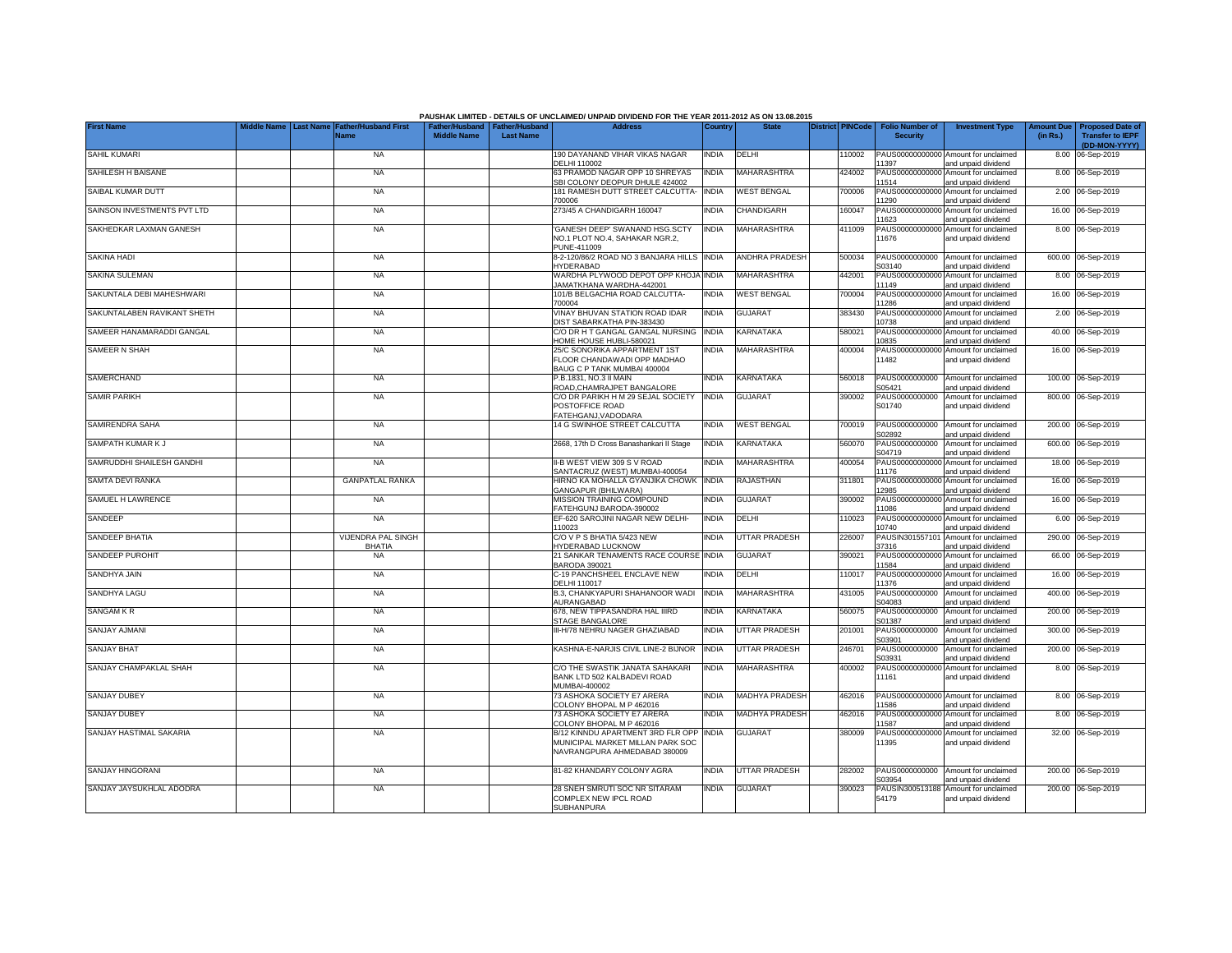|                             |                                 |                                            |                    |                                                     | PAUSHAK LIMITED - DETAILS OF UNCLAIMED/ UNPAID DIVIDEND FOR THE YEAR 2011-2012 AS ON 13.08.2015       |                |                       |                         |                                           |                                                             |                               |                                                                     |
|-----------------------------|---------------------------------|--------------------------------------------|--------------------|-----------------------------------------------------|-------------------------------------------------------------------------------------------------------|----------------|-----------------------|-------------------------|-------------------------------------------|-------------------------------------------------------------|-------------------------------|---------------------------------------------------------------------|
| <b>First Name</b>           | Middle Name<br><b>Last Name</b> | <b>Father/Husband First</b><br><b>Name</b> | <b>Middle Name</b> | Father/Husband   Father/Husband<br><b>Last Name</b> | <b>Address</b>                                                                                        | <b>Country</b> | <b>State</b>          | <b>District PINCode</b> | <b>Folio Number of</b><br><b>Security</b> | <b>Investment Type</b>                                      | <b>Amount Due</b><br>(in Rs.) | <b>Proposed Date of</b><br><b>Transfer to IEPF</b><br>(DD-MON-YYYY) |
| <b>SAHIL KUMARI</b>         |                                 | <b>NA</b>                                  |                    |                                                     | 190 DAYANAND VIHAR VIKAS NAGAR<br>DELHI 110002                                                        | <b>INDIA</b>   | <b>DELHI</b>          | 10002                   | 11397                                     | PAUS00000000000 Amount for unclaimed<br>and unpaid dividend |                               | 8.00 06-Sep-2019                                                    |
| SAHILESH H BAISANE          |                                 | <b>NA</b>                                  |                    |                                                     | 63 PRAMOD NAGAR OPP 10 SHREYAS<br>SBI COLONY DEOPUR DHULE 424002                                      | INDIA          | MAHARASHTRA           | 424002                  | 11514                                     | PAUS00000000000 Amount for unclaimed<br>and unpaid dividend |                               | 8.00 06-Sep-2019                                                    |
| SAIBAL KUMAR DUTT           |                                 | <b>NA</b>                                  |                    |                                                     | 181 RAMESH DUTT STREET CALCUTTA-<br>700006                                                            | <b>INDIA</b>   | <b>WEST BENGAL</b>    | 700006                  | 11290                                     | PAUS00000000000 Amount for unclaimed<br>and unpaid dividend |                               | 2.00 06-Sep-2019                                                    |
| SAINSON INVESTMENTS PVT LTD |                                 | <b>NA</b>                                  |                    |                                                     | 273/45 A CHANDIGARH 160047                                                                            | <b>INDIA</b>   | CHANDIGARH            | 160047                  | 11623                                     | PAUS00000000000 Amount for unclaimed<br>and unpaid dividend |                               | 16.00 06-Sep-2019                                                   |
| SAKHEDKAR LAXMAN GANESH     |                                 | <b>NA</b>                                  |                    |                                                     | GANESH DEEP' SWANAND HSG.SCTY<br>NO.1 PLOT NO.4, SAHAKAR NGR.2,<br>PUNE-411009                        | <b>INDIA</b>   | MAHARASHTRA           | 411009                  | 11676                                     | PAUS00000000000 Amount for unclaimed<br>and unpaid dividend |                               | 8.00 06-Sep-2019                                                    |
| <b>SAKINA HADI</b>          |                                 | <b>NA</b>                                  |                    |                                                     | 8-2-120/86/2 ROAD NO 3 BANJARA HILLS INDIA<br><b>HYDERABAD</b>                                        |                | <b>ANDHRA PRADESH</b> | 500034                  | PAUS0000000000<br>S03140                  | Amount for unclaimed<br>and unpaid dividend                 |                               | 600.00 06-Sep-2019                                                  |
| <b>SAKINA SULEMAN</b>       |                                 | <b>NA</b>                                  |                    |                                                     | WARDHA PLYWOOD DEPOT OPP KHOJA INDIA<br>JAMATKHANA WARDHA-442001                                      |                | MAHARASHTRA           | 442001                  | 11149                                     | PAUS00000000000 Amount for unclaimed<br>and unpaid dividend |                               | 8.00 06-Sep-2019                                                    |
| SAKUNTALA DEBI MAHESHWARI   |                                 | <b>NA</b>                                  |                    |                                                     | 101/B BELGACHIA ROAD CALCUTTA-<br>700004                                                              | <b>INDIA</b>   | <b>WEST BENGAL</b>    | 700004                  | 11286                                     | PAUS00000000000 Amount for unclaimed<br>and unpaid dividend |                               | 16.00 06-Sep-2019                                                   |
| SAKUNTALABEN RAVIKANT SHETH |                                 | <b>NA</b>                                  |                    |                                                     | VINAY BHUVAN STATION ROAD IDAR<br>DIST SABARKATHA PIN-383430                                          | <b>INDIA</b>   | <b>GUJARAT</b>        | 383430                  | 10738                                     | PAUS00000000000 Amount for unclaimed<br>and unpaid dividend |                               | 2.00 06-Sep-2019                                                    |
| SAMEER HANAMARADDI GANGAL   |                                 | - NA                                       |                    |                                                     | C/O DR H T GANGAL GANGAL NURSING<br>HOME HOUSE HUBLI-580021                                           | <b>INDIA</b>   | KARNATAKA             | 580021                  | 10835                                     | PAUS00000000000 Amount for unclaimed<br>and unpaid dividend |                               | 40.00 06-Sep-2019                                                   |
| SAMEER N SHAH               |                                 | <b>NA</b>                                  |                    |                                                     | 25/C SONORIKA APPARTMENT 1ST<br>FLOOR CHANDAWADI OPP MADHAO<br>BAUG C P TANK MUMBAI 400004            | <b>INDIA</b>   | <b>MAHARASHTRA</b>    | 400004                  | 11482                                     | PAUS00000000000 Amount for unclaimed<br>and unpaid dividend |                               | 16.00 06-Sep-2019                                                   |
| SAMERCHAND                  |                                 | <b>NA</b>                                  |                    |                                                     | P.B.1831, NO.3 II MAIN<br>ROAD, CHAMRAJPET BANGALORE                                                  | <b>INDIA</b>   | KARNATAKA             | 560018                  | S05421                                    | PAUS0000000000 Amount for unclaimed<br>and unpaid dividend  |                               | 100.00 06-Sep-2019                                                  |
| <b>SAMIR PARIKH</b>         |                                 | <b>NA</b>                                  |                    |                                                     | C/O DR PARIKH H M 29 SEJAL SOCIETY<br>POSTOFFICE ROAD<br>FATEHGANJ, VADODARA                          | <b>INDIA</b>   | <b>GUJARAT</b>        | 390002                  | PAUS0000000000<br>S01740                  | Amount for unclaimed<br>and unpaid dividend                 |                               | 800.00 06-Sep-2019                                                  |
| SAMIRENDRA SAHA             |                                 | <b>NA</b>                                  |                    |                                                     | 14 G SWINHOE STREET CALCUTTA                                                                          | <b>INDIA</b>   | <b>WEST BENGAL</b>    | 700019                  | PAUS0000000000<br>S02892                  | Amount for unclaimed<br>and unpaid dividend                 |                               | 200.00 06-Sep-2019                                                  |
| SAMPATH KUMAR K J           |                                 | <b>NA</b>                                  |                    |                                                     | 2668, 17th D Cross Banashankari II Stage                                                              | <b>INDIA</b>   | KARNATAKA             | 560070                  | PAUS0000000000<br>S04719                  | Amount for unclaimed<br>and unpaid dividend                 |                               | 600.00 06-Sep-2019                                                  |
| SAMRUDDHI SHAILESH GANDHI   |                                 | <b>NA</b>                                  |                    |                                                     | II-B WEST VIEW 309 S V ROAD<br>SANTACRUZ (WEST) MUMBAI-400054                                         | INDIA          | MAHARASHTRA           | 400054                  | 11176                                     | PAUS00000000000 Amount for unclaimed<br>and unpaid dividend |                               | 18.00 06-Sep-2019                                                   |
| SAMTA DEVI RANKA            |                                 | <b>GANPATLAL RANKA</b>                     |                    |                                                     | HIRNO KA MOHALLA GYANJIKA CHOWK INDIA<br>GANGAPUR (BHILWARA)                                          |                | RAJASTHAN             | 311801                  | 12985                                     | PAUS00000000000 Amount for unclaimed<br>and unpaid dividend |                               | 16.00 06-Sep-2019                                                   |
| SAMUEL H LAWRENCE           |                                 | <b>NA</b>                                  |                    |                                                     | MISSION TRAINING COMPOUND<br>FATEHGUNJ BARODA-390002                                                  | INDIA          | <b>GUJARAT</b>        | 390002                  | 1086                                      | PAUS00000000000 Amount for unclaimed<br>and unpaid dividend |                               | 16.00 06-Sep-2019                                                   |
| SANDEEP                     |                                 | <b>NA</b>                                  |                    |                                                     | EF-620 SAROJINI NAGAR NEW DELHI-<br>110023                                                            | <b>INDIA</b>   | DELHI                 | 110023                  | 10740                                     | PAUS00000000000 Amount for unclaimed<br>and unpaid dividend |                               | 6.00 06-Sep-2019                                                    |
| SANDEEP BHATIA              |                                 | <b>VIJENDRA PAL SINGH</b><br><b>BHATIA</b> |                    |                                                     | C/O V P S BHATIA 5/423 NEW<br><b>IYDERABAD LUCKNOW</b>                                                | india          | UTTAR PRADESH         | 226007                  | 37316                                     | PAUSIN301557101 Amount for unclaimed<br>and unpaid dividend |                               | 290.00 06-Sep-2019                                                  |
| SANDEEP PUROHIT             |                                 | <b>NA</b>                                  |                    |                                                     | 21 SANKAR TENAMENTS RACE COURSE INDIA<br><b>BARODA 390021</b>                                         |                | GUJARAT               | 390021                  | 11584                                     | PAUS00000000000 Amount for unclaimed<br>and unpaid dividend |                               | 66.00 06-Sep-2019                                                   |
| SANDHYA JAIN                |                                 | <b>NA</b>                                  |                    |                                                     | C-19 PANCHSHEEL ENCLAVE NEW<br>DELHI 110017                                                           | <b>INDIA</b>   | DELHI                 | 110017                  | 11376                                     | PAUS00000000000 Amount for unclaimed<br>and unpaid dividend |                               | 16.00 06-Sep-2019                                                   |
| <b>SANDHYA LAGU</b>         |                                 | <b>NA</b>                                  |                    |                                                     | B.3, CHANKYAPURI SHAHANOOR WADI<br>AURANGABAD                                                         | <b>INDIA</b>   | MAHARASHTRA           | 431005                  | PAUS0000000000<br>S04083                  | Amount for unclaimed<br>and unpaid dividend                 |                               | 400.00 06-Sep-2019                                                  |
| <b>SANGAM K R</b>           |                                 | <b>NA</b>                                  |                    |                                                     | 678, NEW TIPPASANDRA HAL IIIRD<br><b>STAGE BANGALORE</b>                                              | India          | KARNATAKA             | 560075                  | PAUS0000000000<br>S01387                  | Amount for unclaimed<br>and unpaid dividend                 |                               | 200.00 06-Sep-2019                                                  |
| <b>SANJAY AJMANI</b>        |                                 | <b>NA</b>                                  |                    |                                                     | III-H/78 NEHRU NAGER GHAZIABAD                                                                        | <b>INDIA</b>   | <b>UTTAR PRADESH</b>  | 201001                  | PAUS0000000000<br>S03901                  | Amount for unclaimed<br>and unpaid dividend                 |                               | 300.00 06-Sep-2019                                                  |
| <b>SANJAY BHAT</b>          |                                 | <b>NA</b>                                  |                    |                                                     | KASHNA-E-NARJIS CIVIL LINE-2 BIJNOR                                                                   | <b>INDIA</b>   | <b>UTTAR PRADESH</b>  | 246701                  | PAUS0000000000<br>S03931                  | Amount for unclaimed<br>and unpaid dividend                 |                               | 200.00 06-Sep-2019                                                  |
| SANJAY CHAMPAKLAL SHAH      |                                 | <b>NA</b>                                  |                    |                                                     | C/O THE SWASTIK JANATA SAHAKARI<br>BANK LTD 502 KALBADEVI ROAD<br>MUMBAI-400002                       | <b>INDIA</b>   | <b>MAHARASHTRA</b>    | 400002                  | PAUS00000000000<br>11161                  | Amount for unclaimed<br>and unpaid dividend                 |                               | 8.00 06-Sep-2019                                                    |
| <b>SANJAY DUBEY</b>         |                                 | <b>NA</b>                                  |                    |                                                     | 73 ASHOKA SOCIETY E7 ARERA<br>COLONY BHOPAL M P 462016                                                | India          | <b>MADHYA PRADESH</b> | 462016                  | 1586                                      | PAUS00000000000 Amount for unclaimed<br>and unpaid dividend |                               | 8.00 06-Sep-2019                                                    |
| <b>SANJAY DUBEY</b>         |                                 | <b>NA</b>                                  |                    |                                                     | 73 ASHOKA SOCIETY E7 ARERA<br>COLONY BHOPAL M P 462016                                                | <b>INDIA</b>   | <b>MADHYA PRADESH</b> | 462016                  | PAUS0000000000<br>1587                    | Amount for unclaimed<br>and unpaid dividend                 |                               | 8.00 06-Sep-2019                                                    |
| SANJAY HASTIMAL SAKARIA     |                                 | <b>NA</b>                                  |                    |                                                     | B/12 KINNDU APARTMENT 3RD FLR OPP<br>MUNICIPAL MARKET MILLAN PARK SOC<br>NAVRANGPURA AHMEDABAD 380009 | <b>INDIA</b>   | <b>GUJARAT</b>        | 380009                  | PAUS00000000000<br>1395                   | Amount for unclaimed<br>and unpaid dividend                 |                               | 32.00 06-Sep-2019                                                   |
| SANJAY HINGORANI            |                                 | <b>NA</b>                                  |                    |                                                     | 81-82 KHANDARY COLONY AGRA                                                                            | <b>INDIA</b>   | <b>UTTAR PRADESH</b>  | 282002                  | PAUS0000000000<br>303954                  | Amount for unclaimed<br>and unpaid dividend                 |                               | 200.00 06-Sep-2019                                                  |
| SANJAY JAYSUKHLAL ADODRA    |                                 | <b>NA</b>                                  |                    |                                                     | 28 SNEH SMRUTI SOC NR SITARAM<br>COMPLEX NEW IPCL ROAD<br><b>SUBHANPURA</b>                           | INDIA          | <b>GUJARAT</b>        | 390023                  | PAUSIN300513188<br>54179                  | Amount for unclaimed<br>and unpaid dividend                 |                               | 200.00 06-Sep-2019                                                  |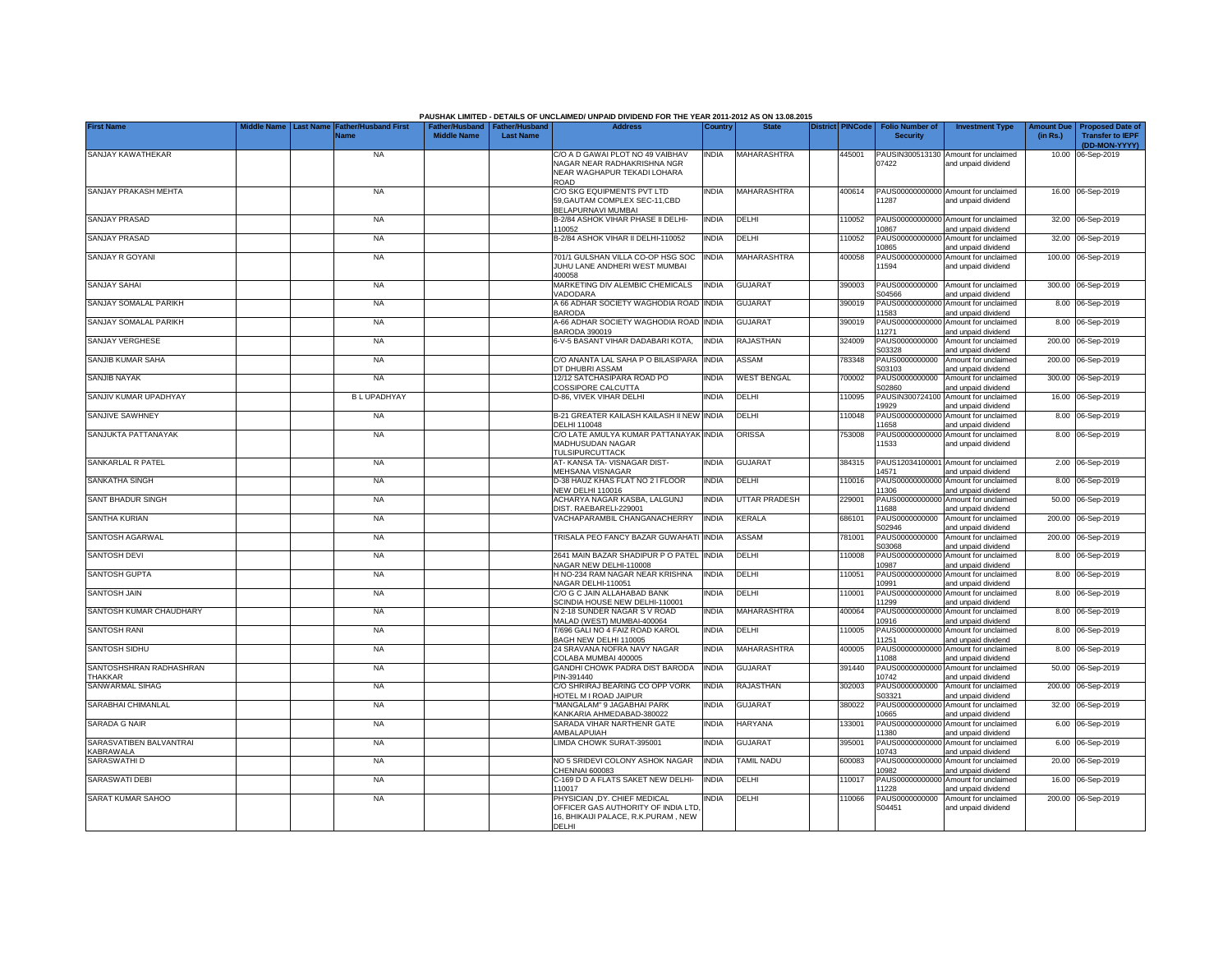|                                                    |                  |                             |                                                       |                  | PAUSHAK LIMITED - DETAILS OF UNCLAIMED/ UNPAID DIVIDEND FOR THE YEAR 2011-2012 AS ON 13.08.2015                           |              |                      |                         |                                           |                                                             |                               |                                                                     |
|----------------------------------------------------|------------------|-----------------------------|-------------------------------------------------------|------------------|---------------------------------------------------------------------------------------------------------------------------|--------------|----------------------|-------------------------|-------------------------------------------|-------------------------------------------------------------|-------------------------------|---------------------------------------------------------------------|
| <b>First Name</b>                                  | <b>Last Name</b> | ather/Husband First<br>Name | Father/Husband   Father/Husband<br><b>Middle Name</b> | <b>Last Name</b> | <b>Address</b>                                                                                                            | Country      | <b>State</b>         | <b>District PINCode</b> | <b>Folio Number of</b><br><b>Security</b> | <b>Investment Type</b>                                      | <b>Amount Due</b><br>(in Rs.) | <b>Proposed Date of</b><br><b>Transfer to IEPF</b><br>(DD-MON-YYYY) |
| SANJAY KAWATHEKAR                                  |                  | <b>NA</b>                   |                                                       |                  | C/O A D GAWAI PLOT NO 49 VAIBHAV                                                                                          | INDIA        | <b>MAHARASHTRA</b>   | 445001                  |                                           | PAUSIN300513130 Amount for unclaimed                        |                               | 10.00 06-Sep-2019                                                   |
|                                                    |                  |                             |                                                       |                  | NAGAR NEAR RADHAKRISHNA NGR<br>NEAR WAGHAPUR TEKADI LOHARA<br>ROAD                                                        |              |                      |                         | 07422                                     | and unpaid dividend                                         |                               |                                                                     |
| SANJAY PRAKASH MEHTA                               |                  | <b>NA</b>                   |                                                       |                  | C/O SKG EQUIPMENTS PVT LTD<br>59. GAUTAM COMPLEX SEC-11. CBD<br>BELAPURNAVI MUMBAI                                        | <b>NDIA</b>  | <b>MAHARASHTRA</b>   | 400614                  | PAUS00000000000<br>11287                  | Amount for unclaimed<br>and unpaid dividend                 |                               | 16.00 06-Sep-2019                                                   |
| <b>SANJAY PRASAD</b>                               |                  | <b>NA</b>                   |                                                       |                  | B-2/84 ASHOK VIHAR PHASE II DELHI-<br>110052                                                                              | <b>INDIA</b> | DELHI                | 10052                   | PAUS00000000000<br>10867                  | Amount for unclaimed<br>and unpaid dividend                 |                               | 32.00 06-Sep-2019                                                   |
| <b>SANJAY PRASAD</b>                               |                  | <b>NA</b>                   |                                                       |                  | B-2/84 ASHOK VIHAR II DELHI-110052                                                                                        | <b>INDIA</b> | DELHI                | 10052                   | PAUS00000000000<br>10865                  | Amount for unclaimed<br>and unpaid dividend                 |                               | 32.00 06-Sep-2019                                                   |
| SANJAY R GOYANI                                    |                  | <b>NA</b>                   |                                                       |                  | 701/1 GULSHAN VILLA CO-OP HSG SOC<br>JUHU LANE ANDHERI WEST MUMBAI<br>400058                                              | <b>INDIA</b> | MAHARASHTRA          | 400058                  | PAUS00000000000<br>11594                  | Amount for unclaimed<br>and unpaid dividend                 |                               | 100.00 06-Sep-2019                                                  |
| SANJAY SAHAI                                       |                  | <b>NA</b>                   |                                                       |                  | MARKETING DIV ALEMBIC CHEMICALS<br>VADODARA                                                                               | INDIA        | <b>GUJARAT</b>       | 390003                  | PAUS0000000000<br>S04566                  | Amount for unclaimed<br>and unpaid dividend                 |                               | 300.00 06-Sep-2019                                                  |
| SANJAY SOMALAL PARIKH                              |                  | <b>NA</b>                   |                                                       |                  | A 66 ADHAR SOCIETY WAGHODIA ROAD<br><b>BARODA</b>                                                                         | <b>INDIA</b> | <b>GUJARAT</b>       | 390019                  | PAUS0000000000<br>11583                   | Amount for unclaimed<br>and unpaid dividend                 |                               | 8.00 06-Sep-2019                                                    |
| SANJAY SOMALAL PARIKH                              |                  | <b>NA</b>                   |                                                       |                  | A-66 ADHAR SOCIETY WAGHODIA ROAD<br>BARODA 390019                                                                         | <b>INDIA</b> | <b>GUJARAT</b>       | 390019                  | PAUS0000000000<br>11271                   | Amount for unclaimed<br>and unpaid dividend                 |                               | 8.00 06-Sep-2019                                                    |
| <b>SANJAY VERGHESE</b>                             |                  | <b>NA</b>                   |                                                       |                  | 6-V-5 BASANT VIHAR DADABARI KOTA,                                                                                         | <b>INDIA</b> | <b>RAJASTHAN</b>     | 324009                  | PAUS0000000000<br>S03328                  | Amount for unclaimed<br>and unpaid dividend                 |                               | 200.00 06-Sep-2019                                                  |
| SANJIB KUMAR SAHA                                  |                  | <b>NA</b>                   |                                                       |                  | C/O ANANTA LAL SAHA P O BILASIPARA<br>DT DHUBRI ASSAM                                                                     | <b>INDIA</b> | ASSAM                | 783348                  | PAUS0000000000<br>S03103                  | Amount for unclaimed<br>and unpaid dividend                 |                               | 200.00 06-Sep-2019                                                  |
| SANJIB NAYAK                                       |                  | <b>NA</b>                   |                                                       |                  | 12/12 SATCHASIPARA ROAD PO<br>COSSIPORE CALCUTTA                                                                          | <b>NDIA</b>  | <b>WEST BENGAL</b>   | 700002                  | PAUS0000000000<br>S02860                  | Amount for unclaimed<br>and unpaid dividend                 |                               | 300.00 06-Sep-2019                                                  |
| SANJIV KUMAR UPADHYAY                              |                  | <b>BLUPADHYAY</b>           |                                                       |                  | D-86. VIVEK VIHAR DELHI                                                                                                   | <b>NDIA</b>  | DELHI                | 10095                   | PAUSIN300724100<br>19929                  | Amount for unclaimed<br>and unpaid dividend                 |                               | 16.00 06-Sep-2019                                                   |
| SANJIVE SAWHNEY                                    |                  | NA                          |                                                       |                  | B-21 GREATER KAILASH KAILASH II NEW INDIA<br>DELHI 110048                                                                 |              | DELHI                | 10048                   | PAUS00000000000<br>11658                  | Amount for unclaimed<br>and unpaid dividend                 |                               | 8.00 06-Sep-2019                                                    |
| SANJUKTA PATTANAYAK                                |                  | <b>NA</b>                   |                                                       |                  | C/O LATE AMULYA KUMAR PATTANAYAK INDIA<br>MADHUSUDAN NAGAR<br>TULSIPURCUTTACK                                             |              | <b>ORISSA</b>        | 753008                  | 11533                                     | PAUS00000000000 Amount for unclaimed<br>and unpaid dividend |                               | 8.00 06-Sep-2019                                                    |
| SANKARLAL R PATEL                                  |                  | <b>NA</b>                   |                                                       |                  | AT-KANSA TA-VISNAGAR DIST-<br>MEHSANA VISNAGAR                                                                            | <b>INDIA</b> | <b>GUJARAT</b>       | 384315                  | 14571                                     | PAUS12034100001 Amount for unclaimed<br>and unpaid dividend |                               | 2.00 06-Sep-2019                                                    |
| <b>SANKATHA SINGH</b>                              |                  | <b>NA</b>                   |                                                       |                  | D-38 HAUZ KHAS FLAT NO 2 I FLOOR<br><b>NEW DELHI 110016</b>                                                               | <b>INDIA</b> | <b>DELHI</b>         | 10016                   | PAUS00000000000<br>11306                  | Amount for unclaimed<br>and unpaid dividend                 |                               | 8.00 06-Sep-2019                                                    |
| SANT BHADUR SINGH                                  |                  | <b>NA</b>                   |                                                       |                  | ACHARYA NAGAR KASBA, LALGUNJ<br>DIST. RAEBARELI-229001                                                                    | <b>INDIA</b> | <b>UTTAR PRADESH</b> | 229001                  | PAUS00000000000<br>11688                  | Amount for unclaimed<br>and unpaid dividend                 |                               | 50.00 06-Sep-2019                                                   |
| SANTHA KURIAN                                      |                  | <b>NA</b>                   |                                                       |                  | VACHAPARAMBIL CHANGANACHERRY                                                                                              | <b>INDIA</b> | <b>KERALA</b>        | 686101                  | PAUS0000000000<br>S02946                  | Amount for unclaimed<br>and unpaid dividend                 |                               | 200.00 06-Sep-2019                                                  |
| SANTOSH AGARWAL                                    |                  | <b>NA</b>                   |                                                       |                  | TRISALA PEO FANCY BAZAR GUWAHATI INDIA                                                                                    |              | <b>ASSAM</b>         | 781001                  | PAUS0000000000<br>S03068                  | Amount for unclaimed<br>and unpaid dividend                 |                               | 200.00 06-Sep-2019                                                  |
| SANTOSH DEVI                                       |                  | <b>NA</b>                   |                                                       |                  | 2641 MAIN BAZAR SHADIPUR P O PATEL INDIA<br>NAGAR NEW DELHI-110008                                                        |              | DELHI                | 110008                  | PAUS00000000000<br>10987                  | Amount for unclaimed<br>and unpaid dividend                 |                               | 8.00 06-Sep-2019                                                    |
| <b>SANTOSH GUPTA</b>                               |                  | <b>NA</b>                   |                                                       |                  | H NO-234 RAM NAGAR NEAR KRISHNA<br>VAGAR DELHI-110051                                                                     | <b>INDIA</b> | DELHI                | 10051                   | PAUS0000000000<br>10991                   | Amount for unclaimed<br>and unpaid dividend                 |                               | 8.00 06-Sep-2019                                                    |
| <b>SANTOSH JAIN</b>                                |                  | <b>NA</b>                   |                                                       |                  | C/O G C JAIN ALLAHABAD BANK<br><b>SCINDIA HOUSE NEW DELHI-110001</b>                                                      | <b>NDIA</b>  | DELHI                | 10001                   | PAUS0000000000<br>11299                   | Amount for unclaimed<br>and unpaid dividend                 |                               | 8.00 06-Sep-2019                                                    |
| SANTOSH KUMAR CHAUDHARY                            |                  | <b>NA</b>                   |                                                       |                  | <b>V2-18 SUNDER NAGAR S V ROAD</b><br>MALAD (WEST) MUMBAI-400064                                                          | <b>NDIA</b>  | MAHARASHTRA          | 400064                  | PAUS0000000000<br>10916                   | Amount for unclaimed<br>and unpaid dividend                 |                               | 8.00 06-Sep-2019                                                    |
| SANTOSH RANI                                       |                  | <b>NA</b>                   |                                                       |                  | T/696 GALI NO 4 FAIZ ROAD KAROL<br>BAGH NEW DELHI 110005                                                                  | <b>INDIA</b> | DELHI                | 110005                  | PAUS0000000000<br>11251                   | Amount for unclaimed<br>and unpaid dividend                 |                               | 8.00 06-Sep-2019                                                    |
| <b>SANTOSH SIDHU</b>                               |                  | <b>NA</b>                   |                                                       |                  | 24 SRAVANA NOFRA NAVY NAGAR<br>COLABA MUMBAI 400005                                                                       | <b>INDIA</b> | <b>MAHARASHTRA</b>   | 400005                  | PAUS00000000000<br>11088                  | Amount for unclaimed<br>and unpaid dividend                 |                               | 8.00 06-Sep-2019                                                    |
| SANTOSHSHRAN RADHASHRAN<br>THAKKAR                 |                  | <b>NA</b>                   |                                                       |                  | GANDHI CHOWK PADRA DIST BARODA<br>PIN-391440                                                                              | <b>INDIA</b> | <b>GUJARAT</b>       | 391440                  | PAUS0000000000<br>10742                   | Amount for unclaimed<br>and unpaid dividend                 |                               | 50.00 06-Sep-2019                                                   |
| SANWARMAL SIHAG                                    |                  | <b>NA</b>                   |                                                       |                  | C/O SHRIRAJ BEARING CO OPP VORK<br>HOTEL M I ROAD JAIPUR                                                                  | <b>INDIA</b> | RAJASTHAN            | 302003                  | PAUS0000000000<br>S03321                  | Amount for unclaimed<br>and unpaid dividend                 |                               | 200.00 06-Sep-2019                                                  |
| SARABHAI CHIMANLAL                                 |                  | <b>NA</b>                   |                                                       |                  | 'MANGALAM" 9 JAGABHAI PARK<br>KANKARIA AHMEDABAD-380022                                                                   | <b>NDIA</b>  | <b>GUJARAT</b>       | 380022                  | PAUS0000000000<br>10665                   | Amount for unclaimed<br>and unpaid dividend                 |                               | 32.00 06-Sep-2019                                                   |
| <b>SARADA G NAIR</b>                               |                  | <b>NA</b>                   |                                                       |                  | SARADA VIHAR NARTHENR GATE<br>AMBALAPUIAH                                                                                 | <b>INDIA</b> | <b>HARYANA</b>       | 133001                  | PAUS0000000000<br>11380                   | Amount for unclaimed<br>and unpaid dividend                 |                               | 6.00 06-Sep-2019                                                    |
| SARASVATIBEN BALVANTRAI<br><b><i>CABRAWALA</i></b> |                  | <b>NA</b>                   |                                                       |                  | LIMDA CHOWK SURAT-395001                                                                                                  | INDIA        | <b>GUJARAT</b>       | 395001                  | PAUS0000000000<br>10743                   | Amount for unclaimed<br>and unpaid dividend                 |                               | 6.00 06-Sep-2019                                                    |
| SARASWATHI D                                       |                  | <b>NA</b>                   |                                                       |                  | NO 5 SRIDEVI COLONY ASHOK NAGAR<br>CHENNAI 600083                                                                         | <b>INDIA</b> | <b>TAMIL NADU</b>    | 600083                  | PAUS0000000000<br>10982                   | Amount for unclaimed<br>and unpaid dividend                 |                               | 20.00 06-Sep-2019                                                   |
| <b>SARASWATI DEBI</b>                              |                  | <b>NA</b>                   |                                                       |                  | C-169 D D A FLATS SAKET NEW DELHI-<br>110017                                                                              | india        | DELHI                | 110017                  | PAUS0000000000<br>11228                   | Amount for unclaimed<br>and unpaid dividend                 |                               | 16.00 06-Sep-2019                                                   |
| SARAT KUMAR SAHOO                                  |                  | <b>NA</b>                   |                                                       |                  | PHYSICIAN .DY. CHIEF MEDICAL<br>OFFICER GAS AUTHORITY OF INDIA LTD<br>16, BHIKAIJI PALACE, R.K.PURAM, NEW<br><b>DELHI</b> | <b>NDIA</b>  | DELHI                | 10066                   | PAUS0000000000<br>S04451                  | Amount for unclaimed<br>and unpaid dividend                 |                               | 200.00 06-Sep-2019                                                  |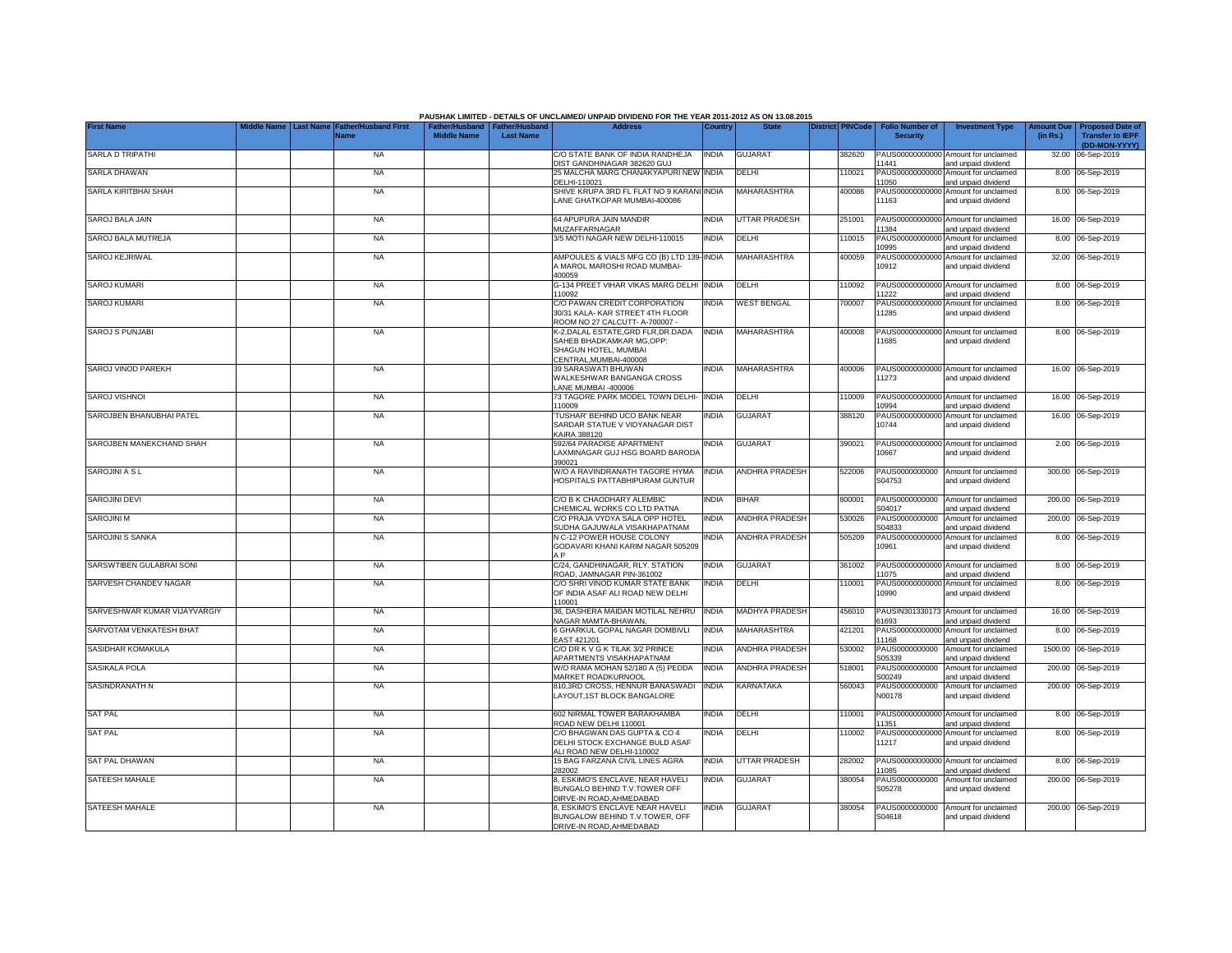|                              |                  |                                     |                                                       |                  | PAUSHAK LIMITED - DETAILS OF UNCLAIMED/ UNPAID DIVIDEND FOR THE YEAR 2011-2012 AS ON 13.08.2015                    |              |                       |                         |                                           |                                                             |                               |                                                                     |
|------------------------------|------------------|-------------------------------------|-------------------------------------------------------|------------------|--------------------------------------------------------------------------------------------------------------------|--------------|-----------------------|-------------------------|-------------------------------------------|-------------------------------------------------------------|-------------------------------|---------------------------------------------------------------------|
| <b>First Name</b>            | <b>Last Name</b> | <b>Father/Husband First</b><br>Name | Father/Husband   Father/Husband<br><b>Middle Name</b> | <b>Last Name</b> | <b>Address</b>                                                                                                     | Country      | <b>State</b>          | <b>District PINCode</b> | <b>Folio Number of</b><br><b>Security</b> | <b>Investment Type</b>                                      | <b>Amount Due</b><br>(in Rs.) | <b>Proposed Date of</b><br><b>Transfer to IEPF</b><br>(DD-MON-YYYY) |
| SARLA D TRIPATHI             |                  | <b>NA</b>                           |                                                       |                  | C/O STATE BANK OF INDIA RANDHEJA<br>DIST GANDHINAGAR 382620 GUJ                                                    | <b>INDIA</b> | GUJARAT               | 382620                  | 1441                                      | PAUS00000000000 Amount for unclaimed<br>and unpaid dividend |                               | 32.00 06-Sep-2019                                                   |
| SARLA DHAWAN                 |                  | <b>NA</b>                           |                                                       |                  | 25 MALCHA MARG CHANAKYAPURI NEW INDIA<br>DELHI-110021                                                              |              | DELHI                 | 110021                  | PAUS00000000000<br>1050                   | Amount for unclaimed<br>and unpaid dividend                 |                               | 8.00 06-Sep-2019                                                    |
| SARLA KIRITBHAI SHAH         |                  | <b>NA</b>                           |                                                       |                  | SHIVE KRUPA 3RD FL FLAT NO 9 KARANI INDIA<br>LANE GHATKOPAR MUMBAI-400086                                          |              | <b>MAHARASHTRA</b>    | 400086                  | PAUS00000000000<br>11163                  | Amount for unclaimed<br>and unpaid dividend                 |                               | 8.00 06-Sep-2019                                                    |
| SAROJ BALA JAIN              |                  | <b>NA</b>                           |                                                       |                  | 64 APUPURA JAIN MANDIR<br>MUZAFFARNAGAR                                                                            | <b>INDIA</b> | <b>UTTAR PRADESH</b>  | 251001                  | 1384                                      | PAUS00000000000 Amount for unclaimed<br>and unpaid dividend |                               | 16.00 06-Sep-2019                                                   |
| SAROJ BALA MUTREJA           |                  | <b>NA</b>                           |                                                       |                  | 3/5 MOTI NAGAR NEW DELHI-110015                                                                                    | <b>INDIA</b> | DELHI                 | 110015                  | 10995                                     | PAUS00000000000 Amount for unclaimed<br>and unpaid dividend |                               | 8.00 06-Sep-2019                                                    |
| SAROJ KEJRIWAL               |                  | <b>NA</b>                           |                                                       |                  | AMPOULES & VIALS MFG CO (B) LTD 139-INDIA<br>A MAROL MAROSHI ROAD MUMBAI-<br>400059                                |              | MAHARASHTRA           | 400059                  | 10912                                     | PAUS00000000000 Amount for unclaimed<br>and unpaid dividend |                               | 32.00 06-Sep-2019                                                   |
| SAROJ KUMARI                 |                  | <b>NA</b>                           |                                                       |                  | G-134 PREET VIHAR VIKAS MARG DELHI<br>110092                                                                       | <b>INDIA</b> | DELHI                 | 110092                  | PAUS0000000000<br>11222                   | Amount for unclaimed<br>and unpaid dividend                 |                               | 8.00 06-Sep-2019                                                    |
| <b>SAROJ KUMARI</b>          |                  | <b>NA</b>                           |                                                       |                  | C/O PAWAN CREDIT CORPORATION<br>30/31 KALA-KAR STREET 4TH FLOOR<br>ROOM NO 27 CALCUTT- A-700007 -                  | INDIA        | <b>WEST BENGAL</b>    | 700007                  | PAUS0000000000<br>11285                   | Amount for unclaimed<br>and unpaid dividend                 |                               | 8.00 06-Sep-2019                                                    |
| <b>SAROJ S PUNJABI</b>       |                  | <b>NA</b>                           |                                                       |                  | K-2, DALAL ESTATE, GRD FLR, DR. DADA<br>SAHEB BHADKAMKAR MG, OPP:<br>SHAGUN HOTEL, MUMBAI<br>CENTRAL.MUMBAI-400008 | <b>INDIA</b> | MAHARASHTRA           | 400008                  | 1685                                      | PAUS00000000000 Amount for unclaimed<br>and unpaid dividend |                               | 8.00 06-Sep-2019                                                    |
| SAROJ VINOD PAREKH           |                  | <b>NA</b>                           |                                                       |                  | 39 SARASWATI BHUWAN<br>WALKESHWAR BANGANGA CROSS<br>LANE MUMBAI -400006                                            | <b>INDIA</b> | MAHARASHTRA           | 400006                  | 11273                                     | PAUS00000000000 Amount for unclaimed<br>and unpaid dividend |                               | 16.00 06-Sep-2019                                                   |
| <b>SAROJ VISHNOI</b>         |                  | <b>NA</b>                           |                                                       |                  | 73 TAGORE PARK MODEL TOWN DELHI-<br>110009                                                                         | <b>INDIA</b> | DELHI                 | 110009                  | 10994                                     | PAUS00000000000 Amount for unclaimed<br>and unpaid dividend |                               | 16.00 06-Sep-2019                                                   |
| SAROJBEN BHANUBHAI PATEL     |                  | <b>NA</b>                           |                                                       |                  | TUSHAR' BEHIND UCO BANK NEAR<br>SARDAR STATUE V VIDYANAGAR DIST<br>KAIRA 388120                                    | <b>INDIA</b> | <b>GUJARAT</b>        | 388120                  | 10744                                     | PAUS00000000000 Amount for unclaimed<br>and unpaid dividend |                               | 16.00 06-Sep-2019                                                   |
| SAROJBEN MANEKCHAND SHAH     |                  | <b>NA</b>                           |                                                       |                  | 592/64 PARADISE APARTMENT<br>LAXMINAGAR GUJ HSG BOARD BARODA<br>390021                                             | <b>INDIA</b> | <b>GUJARAT</b>        | 390021                  | 10667                                     | PAUS00000000000 Amount for unclaimed<br>and unpaid dividend |                               | 2.00 06-Sep-2019                                                    |
| SAROJINI A S L               |                  | <b>NA</b>                           |                                                       |                  | W/O A RAVINDRANATH TAGORE HYMA<br>HOSPITALS PATTABHIPURAM GUNTUR                                                   | <b>INDIA</b> | ANDHRA PRADESH        | 522006                  | S04753                                    | PAUS0000000000 Amount for unclaimed<br>and unpaid dividend  |                               | 300.00 06-Sep-2019                                                  |
| SAROJINI DEVI                |                  | <b>NA</b>                           |                                                       |                  | C/O B K CHAODHARY ALEMBIC<br>CHEMICAL WORKS CO LTD PATNA                                                           | <b>INDIA</b> | <b>BIHAR</b>          | 800001                  | PAUS0000000000<br>S04017                  | Amount for unclaimed<br>and unpaid dividend                 |                               | 200.00 06-Sep-2019                                                  |
| SAROJINI M                   |                  | <b>NA</b>                           |                                                       |                  | C/O PRAJA VYDYA SALA OPP HOTEL<br>SUDHA GAJUWALA VISAKHAPATNAM                                                     | <b>INDIA</b> | ANDHRA PRADESH        | 530026                  | PAUS0000000000<br>S04833                  | Amount for unclaimed<br>and unpaid dividend                 |                               | 200.00 06-Sep-2019                                                  |
| SAROJINI S SANKA             |                  | <b>NA</b>                           |                                                       |                  | N C-12 POWER HOUSE COLONY<br>GODAVARI KHANI KARIM NAGAR 505209<br>A <sub>P</sub>                                   | <b>INDIA</b> | <b>ANDHRA PRADESH</b> | 505209                  | 10961                                     | PAUS00000000000 Amount for unclaimed<br>and unpaid dividend |                               | 8.00 06-Sep-2019                                                    |
| SARSWTIBEN GULABRAI SONI     |                  | <b>NA</b>                           |                                                       |                  | C/24. GANDHINAGAR. RLY. STATION<br>ROAD, JAMNAGAR PIN-361002                                                       | <b>INDIA</b> | <b>GUJARAT</b>        | 361002                  | PAUS00000000000<br>1075                   | Amount for unclaimed<br>and unpaid dividend                 |                               | 8.00 06-Sep-2019                                                    |
| SARVESH CHANDEV NAGAR        |                  | <b>NA</b>                           |                                                       |                  | C/O SHRI VINOD KUMAR STATE BANK<br>OF INDIA ASAF ALI ROAD NEW DELHI<br>110001                                      | <b>INDIA</b> | DELHI                 | 110001                  | PAUS00000000000<br>10990                  | Amount for unclaimed<br>and unpaid dividend                 |                               | 8.00 06-Sep-2019                                                    |
| SARVESHWAR KUMAR VIJAYVARGIY |                  | <b>NA</b>                           |                                                       |                  | 36. DASHERA MAIDAN MOTILAL NEHRU<br>NAGAR MAMTA-BHAWAN,                                                            | <b>INDIA</b> | <b>MADHYA PRADESH</b> | 456010                  | 61693                                     | PAUSIN301330173 Amount for unclaimed<br>and unpaid dividend |                               | 16.00 06-Sep-2019                                                   |
| SARVOTAM VENKATESH BHAT      |                  | <b>NA</b>                           |                                                       |                  | 6 GHARKUL GOPAL NAGAR DOMBIVLI<br>EAST 421201                                                                      | <b>INDIA</b> | MAHARASHTRA           | 421201                  | 11168                                     | PAUS00000000000 Amount for unclaimed<br>and unpaid dividend |                               | 8.00 06-Sep-2019                                                    |
| SASIDHAR KOMAKULA            |                  | <b>NA</b>                           |                                                       |                  | C/O DR K V G K TILAK 3/2 PRINCE<br>APARTMENTS VISAKHAPATNAM                                                        | <b>INDIA</b> | ANDHRA PRADESH        | 530002                  | PAUS0000000000<br>S05339                  | Amount for unclaimed<br>and unpaid dividend                 |                               | 1500.00 06-Sep-2019                                                 |
| SASIKALA POLA                |                  | <b>NA</b>                           |                                                       |                  | W/O RAMA MOHAN 52/180 A (5) PEDDA<br>MARKET ROADKURNOOL                                                            | <b>INDIA</b> | ANDHRA PRADESH        | 518001                  | PAUS0000000000<br>S00249                  | Amount for unclaimed<br>and unpaid dividend                 | 200.00                        | 06-Sep-2019                                                         |
| SASINDRANATH N               |                  | <b>NA</b>                           |                                                       |                  | 810,3RD CROSS, HENNUR BANASWADI<br>LAYOUT,1ST BLOCK BANGALORE                                                      | <b>INDIA</b> | KARNATAKA             | 560043                  | PAUS0000000000<br>N00178                  | Amount for unclaimed<br>and unpaid dividend                 |                               | 200.00 06-Sep-2019                                                  |
| <b>SAT PAL</b>               |                  | <b>NA</b>                           |                                                       |                  | 602 NIRMAL TOWER BARAKHAMBA<br>ROAD NEW DELHI 110001                                                               | <b>INDIA</b> | DELHI                 | 110001                  | 11351                                     | PAUS00000000000 Amount for unclaimed<br>and unpaid dividend |                               | 8.00 06-Sep-2019                                                    |
| <b>SAT PAL</b>               |                  | <b>NA</b>                           |                                                       |                  | C/O BHAGWAN DAS GUPTA & CO 4<br>DELHI STOCK EXCHANGE BULD ASAF<br>ALI ROAD NEW DELHI-110002                        | India        | DELHI                 | 110002                  | PAUS00000000000<br>11217                  | Amount for unclaimed<br>and unpaid dividend                 |                               | 8.00 06-Sep-2019                                                    |
| <b>SAT PAL DHAWAN</b>        |                  | <b>NA</b>                           |                                                       |                  | 15 BAG FARZANA CIVIL LINES AGRA<br>282002                                                                          | <b>INDIA</b> | UTTAR PRADESH         | 282002                  | 1085                                      | PAUS00000000000 Amount for unclaimed<br>and unpaid dividend |                               | 8.00 06-Sep-2019                                                    |
| SATEESH MAHALE               |                  | <b>NA</b>                           |                                                       |                  | 8, ESKIMO'S ENCLAVE, NEAR HAVELI<br>BUNGALO BEHIND T.V.TOWER OFF<br>DIRVE-IN ROAD.AHMEDABAD                        | India        | <b>GUJARAT</b>        | 380054                  | PAUS0000000000<br>S05278                  | Amount for unclaimed<br>and unpaid dividend                 |                               | 200.00 06-Sep-2019                                                  |
| SATEESH MAHALE               |                  | <b>NA</b>                           |                                                       |                  | 8, ESKIMO'S ENCLAVE NEAR HAVELI<br>BUNGALOW BEHIND T.V.TOWER, OFF<br>DRIVE-IN ROAD, AHMEDABAD                      | <b>INDIA</b> | <b>GUJARAT</b>        | 380054                  | PAUS0000000000<br>S04618                  | Amount for unclaimed<br>and unpaid dividend                 |                               | 200.00 06-Sep-2019                                                  |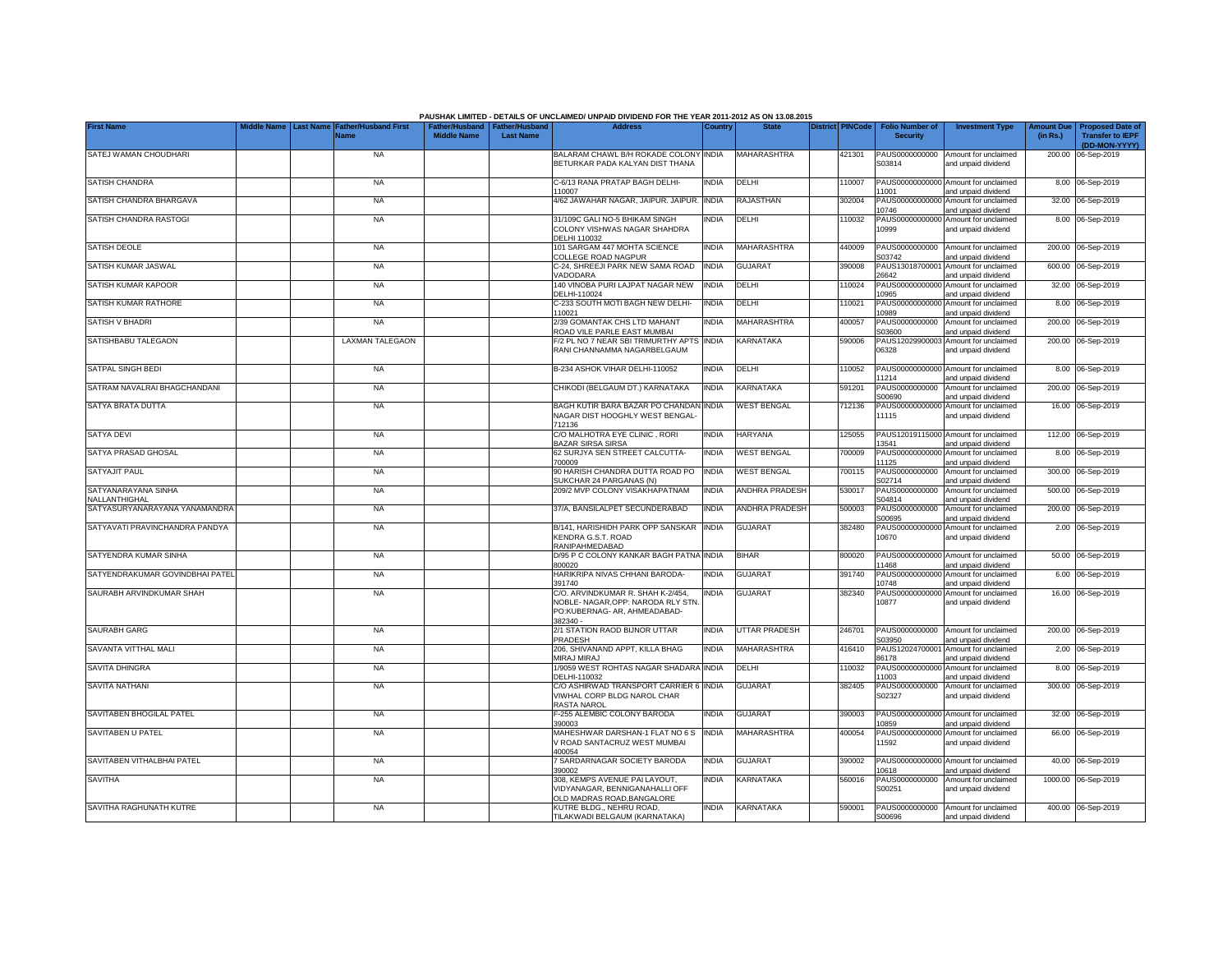|                                             |                                 |                                            |                                                       |                  | PAUSHAK LIMITED - DETAILS OF UNCLAIMED/ UNPAID DIVIDEND FOR THE YEAR 2011-2012 AS ON 13.08.2015                     |              |                       |                         |                                           |                                                             |                               |                                                                     |
|---------------------------------------------|---------------------------------|--------------------------------------------|-------------------------------------------------------|------------------|---------------------------------------------------------------------------------------------------------------------|--------------|-----------------------|-------------------------|-------------------------------------------|-------------------------------------------------------------|-------------------------------|---------------------------------------------------------------------|
| <b>First Name</b>                           | Middle Name<br><b>Last Name</b> | <b>Father/Husband First</b><br><b>Name</b> | Father/Husband   Father/Husband<br><b>Middle Name</b> | <b>Last Name</b> | <b>Address</b>                                                                                                      | Country      | <b>State</b>          | <b>District PINCode</b> | <b>Folio Number of</b><br><b>Security</b> | <b>Investment Type</b>                                      | <b>Amount Due</b><br>(in Rs.) | <b>Proposed Date of</b><br><b>Transfer to IEPF</b><br>(DD-MON-YYYY) |
| SATEJ WAMAN CHOUDHARI                       |                                 | <b>NA</b>                                  |                                                       |                  | BALARAM CHAWL B/H ROKADE COLONY INDIA<br>BETURKAR PADA KALYAN DIST THANA                                            |              | <b>MAHARASHTRA</b>    | 421301                  | PAUS0000000000<br>S03814                  | Amount for unclaimed<br>and unpaid dividend                 |                               | 200.00 06-Sep-2019                                                  |
| SATISH CHANDRA                              |                                 | <b>NA</b>                                  |                                                       |                  | C-6/13 RANA PRATAP BAGH DELHI-<br>110007                                                                            | INDIA        | DELHI                 | 110007                  | 11001                                     | PAUS00000000000 Amount for unclaimed<br>and unpaid dividend |                               | 8.00 06-Sep-2019                                                    |
| SATISH CHANDRA BHARGAVA                     |                                 | <b>NA</b>                                  |                                                       |                  | 4/62 JAWAHAR NAGAR, JAIPUR. JAIPUR.                                                                                 | <b>INDIA</b> | <b>RAJASTHAN</b>      | 302004                  | 10746                                     | PAUS00000000000 Amount for unclaimed<br>and unpaid dividend |                               | 32.00 06-Sep-2019                                                   |
| SATISH CHANDRA RASTOGI                      |                                 | NA                                         |                                                       |                  | 31/109C GALI NO-5 BHIKAM SINGH<br>COLONY VISHWAS NAGAR SHAHDRA<br>DELHI 110032                                      | INDIA        | DELHI                 | 110032                  | 10999                                     | PAUS00000000000 Amount for unclaimed<br>and unpaid dividend |                               | 8.00 06-Sep-2019                                                    |
| <b>SATISH DEOLE</b>                         |                                 | <b>NA</b>                                  |                                                       |                  | 101 SARGAM 447 MOHTA SCIENCE<br>COLLEGE ROAD NAGPUR                                                                 | <b>INDIA</b> | MAHARASHTRA           | 440009                  | PAUS0000000000<br>S03742                  | Amount for unclaimed<br>and unpaid dividend                 |                               | 200.00 06-Sep-2019                                                  |
| SATISH KUMAR JASWAL                         |                                 | <b>NA</b>                                  |                                                       |                  | C-24, SHREEJI PARK NEW SAMA ROAD<br><b>/ADODARA</b>                                                                 | India        | <b>GUJARAT</b>        | 390008                  | PAUS1301870000<br>26642                   | Amount for unclaimed<br>and unpaid dividend                 |                               | 600.00 06-Sep-2019                                                  |
| SATISH KUMAR KAPOOR                         |                                 | <b>NA</b>                                  |                                                       |                  | 140 VINOBA PURI LAJPAT NAGAR NEW<br>DELHI-110024                                                                    | INDIA        | DELHI                 | 10024                   | PAUS0000000000<br>10965                   | Amount for unclaimed<br>and unpaid dividend                 |                               | 32.00 06-Sep-2019                                                   |
| SATISH KUMAR RATHORE                        |                                 | <b>NA</b>                                  |                                                       |                  | C-233 SOUTH MOTI BAGH NEW DELHI-<br>10021                                                                           | <b>INDIA</b> | DELHI                 | 10021                   | PAUS0000000000<br>0989                    | Amount for unclaimed<br>and unpaid dividend                 |                               | 8.00 06-Sep-2019                                                    |
| SATISH V BHADRI                             |                                 | NA                                         |                                                       |                  | 2/39 GOMANTAK CHS LTD MAHANT<br>ROAD VILE PARLE EAST MUMBAI                                                         | INDIA        | MAHARASHTRA           | 400057                  | PAUS0000000000<br>303600                  | Amount for unclaimed<br>and unpaid dividend                 |                               | 200.00 06-Sep-2019                                                  |
| SATISHBABU TALEGAON                         |                                 | <b>LAXMAN TALEGAON</b>                     |                                                       |                  | F/2 PL NO 7 NEAR SBI TRIMURTHY APTS<br>RANI CHANNAMMA NAGARBELGAUM                                                  | <b>INDIA</b> | <b>KARNATAKA</b>      | 590006                  | 06328                                     | PAUS12029900003 Amount for unclaimed<br>and unpaid dividend |                               | 200.00 06-Sep-2019                                                  |
| SATPAL SINGH BEDI                           |                                 | <b>NA</b>                                  |                                                       |                  | B-234 ASHOK VIHAR DELHI-110052                                                                                      | India        | DELHI                 | 110052                  | 11214                                     | PAUS00000000000 Amount for unclaimed<br>and unpaid dividend |                               | 8.00 06-Sep-2019                                                    |
| SATRAM NAVALRAI BHAGCHANDANI                |                                 | <b>NA</b>                                  |                                                       |                  | CHIKODI (BELGAUM DT.) KARNATAKA                                                                                     | <b>INDIA</b> | KARNATAKA             | 591201                  | PAUS0000000000<br>S00690                  | Amount for unclaimed<br>and unpaid dividend                 |                               | 200.00 06-Sep-2019                                                  |
| SATYA BRATA DUTTA                           |                                 | <b>NA</b>                                  |                                                       |                  | BAGH KUTIR BARA BAZAR PO CHANDAN<br>NAGAR DIST HOOGHLY WEST BENGAL<br>712136                                        | <b>INDIA</b> | <b>WEST BENGAL</b>    | 712136                  | 11115                                     | PAUS00000000000 Amount for unclaimed<br>and unpaid dividend |                               | 16.00 06-Sep-2019                                                   |
| <b>SATYA DEVI</b>                           |                                 | <b>NA</b>                                  |                                                       |                  | C/O MALHOTRA EYE CLINIC, RORI<br><b>BAZAR SIRSA SIRSA</b>                                                           | <b>INDIA</b> | <b>HARYANA</b>        | 125055                  | 13541                                     | PAUS12019115000 Amount for unclaimed<br>and unpaid dividend |                               | 112.00 06-Sep-2019                                                  |
| SATYA PRASAD GHOSAL                         |                                 | <b>NA</b>                                  |                                                       |                  | 62 SURJYA SEN STREET CALCUTTA-<br>700009                                                                            | <b>INDIA</b> | <b>WEST BENGAL</b>    | 700009                  | PAUS0000000000<br>11125                   | Amount for unclaimed<br>and unpaid dividend                 | 8.00                          | 06-Sep-2019                                                         |
| <b>SATYAJIT PAUL</b>                        |                                 | <b>NA</b>                                  |                                                       |                  | 90 HARISH CHANDRA DUTTA ROAD PO<br>SUKCHAR 24 PARGANAS (N)                                                          | <b>INDIA</b> | <b>WEST BENGAL</b>    | 700115                  | PAUS0000000000<br>S02714                  | Amount for unclaimed<br>and unpaid dividend                 | 300.00                        | 06-Sep-2019                                                         |
| SATYANARAYANA SINHA<br><b>JALLANTHIGHAL</b> |                                 | <b>NA</b>                                  |                                                       |                  | 209/2 MVP COLONY VISAKHAPATNAM                                                                                      | INDIA        | <b>ANDHRA PRADESH</b> | 530017                  | PAUS0000000000<br>S04814                  | Amount for unclaimed<br>and unpaid dividend                 | 500.00                        | 06-Sep-2019                                                         |
| SATYASURYANARAYANA YANAMANDRA               |                                 | <b>NA</b>                                  |                                                       |                  | 37/A. BANSILALPET SECUNDERABAD                                                                                      | India        | <b>ANDHRA PRADESH</b> | 500003                  | PAUS0000000000<br>S00695                  | Amount for unclaimed<br>and unpaid dividend                 | 200.00                        | 06-Sep-2019                                                         |
| SATYAVATI PRAVINCHANDRA PANDYA              |                                 | <b>NA</b>                                  |                                                       |                  | B/141, HARISHIDH PARK OPP SANSKAR<br>KENDRA G.S.T. ROAD<br>RANIPAHMEDABAD                                           | <b>INDIA</b> | <b>GUJARAT</b>        | 382480                  | PAUS0000000000<br>10670                   | Amount for unclaimed<br>and unpaid dividend                 |                               | 2.00 06-Sep-2019                                                    |
| SATYENDRA KUMAR SINHA                       |                                 | <b>NA</b>                                  |                                                       |                  | D/95 P C COLONY KANKAR BAGH PATNA<br>800020                                                                         | <b>INDIA</b> | <b>BIHAR</b>          | 800020                  | PAUS00000000000<br>11468                  | Amount for unclaimed<br>and unpaid dividend                 |                               | 50.00 06-Sep-2019                                                   |
| SATYENDRAKUMAR GOVINDBHAI PATEL             |                                 | <b>NA</b>                                  |                                                       |                  | HARIKRIPA NIVAS CHHANI BARODA-<br>391740                                                                            | INDIA        | <b>GUJARAT</b>        | 391740                  | PAUS0000000000<br>10748                   | Amount for unclaimed<br>and unpaid dividend                 |                               | 6.00 06-Sep-2019                                                    |
| SAURABH ARVINDKUMAR SHAH                    |                                 | <b>NA</b>                                  |                                                       |                  | C/O. ARVINDKUMAR R. SHAH K-2/454,<br>NOBLE- NAGAR, OPP: NARODA RLY STN.<br>PO:KUBERNAG- AR, AHMEADABAD-<br>382340 - | INDIA        | <b>GUJARAT</b>        | 382340                  | 10877                                     | PAUS00000000000 Amount for unclaimed<br>and unpaid dividend |                               | 16.00 06-Sep-2019                                                   |
| <b>SAURABH GARG</b>                         |                                 | <b>NA</b>                                  |                                                       |                  | 2/1 STATION RAOD BIJNOR UTTAR<br>PRADESH                                                                            | INDIA        | <b>UTTAR PRADESH</b>  | 246701                  | PAUS0000000000<br>S03950                  | Amount for unclaimed<br>and unpaid dividend                 |                               | 200.00 06-Sep-2019                                                  |
| SAVANTA VITTHAL MALI                        |                                 | <b>NA</b>                                  |                                                       |                  | 206, SHIVANAND APPT, KILLA BHAG<br>MIRAJ MIRAJ                                                                      | India        | MAHARASHTRA           | 416410                  | PAUS12024700001<br>86178                  | Amount for unclaimed<br>and unpaid dividend                 |                               | 2.00 06-Sep-2019                                                    |
| SAVITA DHINGRA                              |                                 | <b>NA</b>                                  |                                                       |                  | 1/9059 WEST ROHTAS NAGAR SHADARA<br>DELHI-110032                                                                    | <b>INDIA</b> | DELHI                 | 110032                  | PAUS0000000000<br>1003                    | Amount for unclaimed<br>and unpaid dividend                 |                               | 8.00 06-Sep-2019                                                    |
| <b>SAVITA NATHANI</b>                       |                                 | <b>NA</b>                                  |                                                       |                  | C/O ASHIRWAD TRANSPORT CARRIER 6<br>VIWHAL CORP BLDG NAROL CHAR<br>RASTA NAROL                                      | <b>INDIA</b> | GUJARAT               | 382405                  | PAUS0000000000<br>S02327                  | Amount for unclaimed<br>and unpaid dividend                 |                               | 300.00 06-Sep-2019                                                  |
| SAVITABEN BHOGILAL PATEL                    |                                 | <b>NA</b>                                  |                                                       |                  | F-255 ALEMBIC COLONY BARODA<br>390003                                                                               | India        | <b>GUJARAT</b>        | 390003                  | 10859                                     | PAUS00000000000 Amount for unclaimed<br>and unpaid dividend |                               | 32.00 06-Sep-2019                                                   |
| <b>SAVITABEN U PATEL</b>                    |                                 | <b>NA</b>                                  |                                                       |                  | MAHESHWAR DARSHAN-1 FLAT NO 6 S<br>V ROAD SANTACRUZ WEST MUMBAI<br>400054                                           | <b>INDIA</b> | MAHARASHTRA           | 400054                  | 1592                                      | PAUS00000000000 Amount for unclaimed<br>and unpaid dividend |                               | 66.00 06-Sep-2019                                                   |
| SAVITABEN VITHALBHAI PATEL                  |                                 | <b>NA</b>                                  |                                                       |                  | 7 SARDARNAGAR SOCIETY BARODA<br>390002                                                                              | <b>INDIA</b> | <b>GUJARAT</b>        | 390002                  | 10618                                     | PAUS00000000000 Amount for unclaimed<br>and unpaid dividend |                               | 40.00 06-Sep-2019                                                   |
| SAVITHA                                     |                                 | <b>NA</b>                                  |                                                       |                  | 308, KEMPS AVENUE PAI LAYOUT,<br>VIDYANAGAR, BENNIGANAHALLI OFF<br>OLD MADRAS ROAD, BANGALORE                       | INDIA        | KARNATAKA             | 560016                  | PAUS0000000000<br>S00251                  | Amount for unclaimed<br>and unpaid dividend                 |                               | 1000.00 06-Sep-2019                                                 |
| SAVITHA RAGHUNATH KUTRE                     |                                 | <b>NA</b>                                  |                                                       |                  | KUTRE BLDG., NEHRU ROAD,<br>TILAKWADI BELGAUM (KARNATAKA)                                                           | <b>INDIA</b> | KARNATAKA             | 590001                  | S00696                                    | PAUS0000000000 Amount for unclaimed<br>and unpaid dividend  |                               | 400.00 06-Sep-2019                                                  |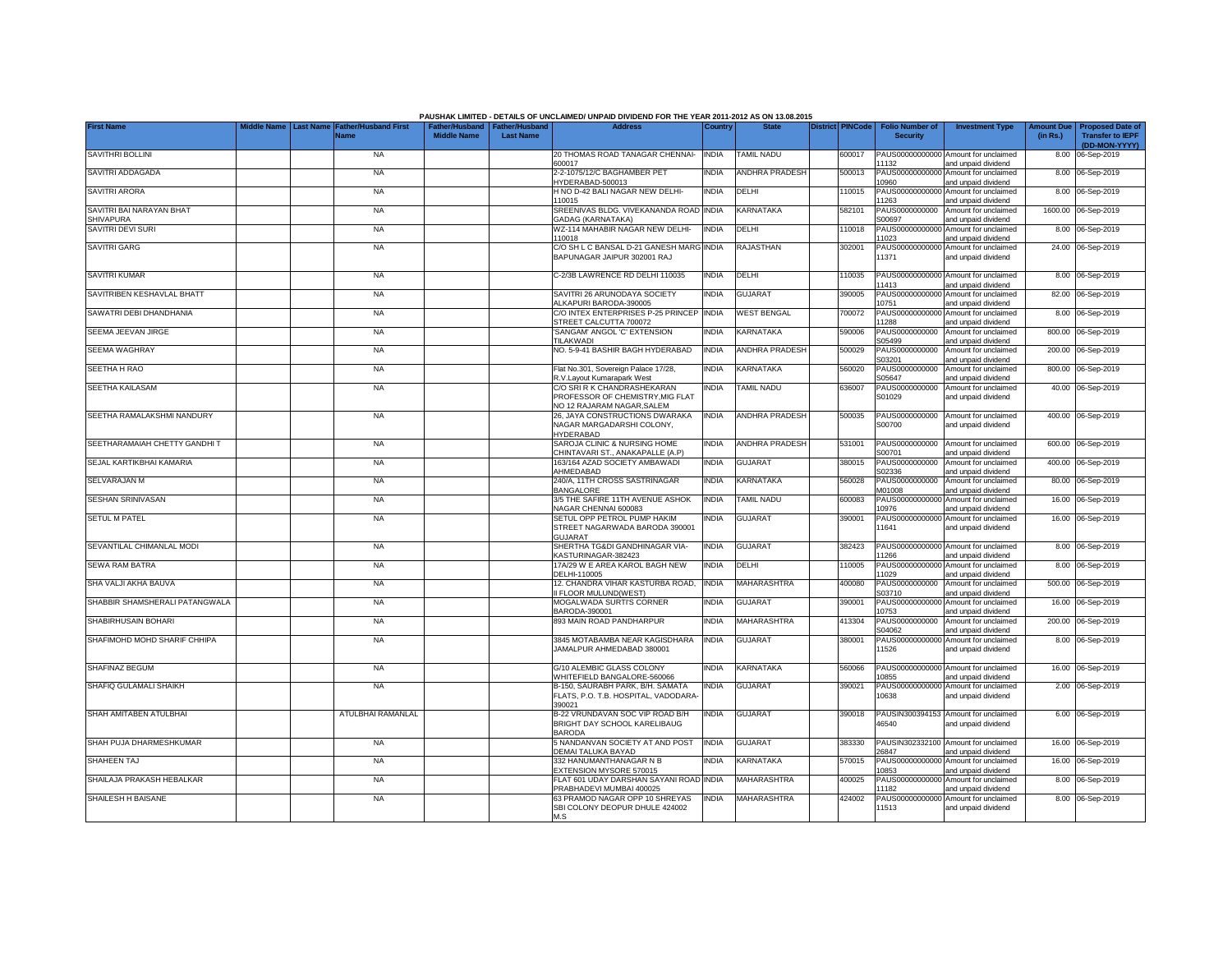|                                       |             |                                                                |                    |                                                     | PAUSHAK LIMITED - DETAILS OF UNCLAIMED/ UNPAID DIVIDEND FOR THE YEAR 2011-2012 AS ON 13.08.2015 |              |                       |                         |                                           |                                                             |                               |                                                    |
|---------------------------------------|-------------|----------------------------------------------------------------|--------------------|-----------------------------------------------------|-------------------------------------------------------------------------------------------------|--------------|-----------------------|-------------------------|-------------------------------------------|-------------------------------------------------------------|-------------------------------|----------------------------------------------------|
| <b>First Name</b>                     | Middle Name | <b>Last Name</b><br><b>Father/Husband First</b><br><b>Name</b> | <b>Middle Name</b> | Father/Husband   Father/Husband<br><b>Last Name</b> | <b>Address</b>                                                                                  | Country      | <b>State</b>          | <b>District PINCode</b> | <b>Folio Number of</b><br><b>Security</b> | <b>Investment Type</b>                                      | <b>Amount Due</b><br>(in Rs.) | <b>Proposed Date of</b><br><b>Transfer to IEPF</b> |
| SAVITHRI BOLLINI                      |             | <b>NA</b>                                                      |                    |                                                     | 20 THOMAS ROAD TANAGAR CHENNAI-                                                                 | <b>INDIA</b> | <b>TAMIL NADU</b>     | 600017                  |                                           | PAUS00000000000 Amount for unclaimed                        |                               | (DD-MON-YYYY)<br>8.00 06-Sep-2019                  |
| SAVITRI ADDAGADA                      |             | <b>NA</b>                                                      |                    |                                                     | 600017<br>2-2-1075/12/C BAGHAMBER PET                                                           | INDIA        | ANDHRA PRADESH        | 500013                  | 11132<br>PAUS00000000000                  | and unpaid dividend<br>Amount for unclaimed                 |                               | 8.00 06-Sep-2019                                   |
| SAVITRI ARORA                         |             | <b>NA</b>                                                      |                    |                                                     | IYDERABAD-500013<br>H NO D-42 BALI NAGAR NEW DELHI-                                             | INDIA        | DELHI                 | 110015                  | 10960                                     | and unpaid dividend<br>PAUS00000000000 Amount for unclaimed |                               | 8.00 06-Sep-2019                                   |
| SAVITRI BAI NARAYAN BHAT              |             | <b>NA</b>                                                      |                    |                                                     | 110015<br>SREENIVAS BLDG. VIVEKANANDA ROAD INDIA                                                |              | KARNATAKA             | 582101                  | 11263<br>PAUS0000000000                   | and unpaid dividend<br>Amount for unclaimed                 |                               | 1600.00 06-Sep-2019                                |
| <b>SHIVAPURA</b><br>SAVITRI DEVI SURI |             | NA                                                             |                    |                                                     | <b>GADAG (KARNATAKA)</b><br>WZ-114 MAHABIR NAGAR NEW DELHI-                                     | INDIA        | DELHI                 | 110018                  | S00697<br>PAUS0000000000                  | and unpaid dividend<br>Amount for unclaimed                 |                               | 8.00 06-Sep-2019                                   |
| <b>SAVITRI GARG</b>                   |             | <b>NA</b>                                                      |                    |                                                     | 110018<br>C/O SH L C BANSAL D-21 GANESH MARG                                                    | <b>INDIA</b> | RAJASTHAN             | 302001                  | 11023<br>PAUS00000000000                  | and unpaid dividend<br>Amount for unclaimed                 |                               | 24.00 06-Sep-2019                                  |
|                                       |             |                                                                |                    |                                                     | BAPUNAGAR JAIPUR 302001 RAJ                                                                     |              |                       |                         | 11371                                     | and unpaid dividend                                         |                               |                                                    |
| <b>SAVITRI KUMAR</b>                  |             | <b>NA</b>                                                      |                    |                                                     | C-2/3B LAWRENCE RD DELHI 110035                                                                 | <b>INDIA</b> | DELHI                 | 10035                   | PAUS00000000000<br>11413                  | Amount for unclaimed<br>and unpaid dividend                 |                               | 8.00 06-Sep-2019                                   |
| SAVITRIBEN KESHAVLAL BHATT            |             | <b>NA</b>                                                      |                    |                                                     | SAVITRI 26 ARUNODAYA SOCIETY<br>LKAPURI BARODA-390005                                           | <b>INDIA</b> | <b>GUJARAT</b>        | 390005                  | PAUS0000000000<br>10751                   | Amount for unclaimed<br>and unpaid dividend                 |                               | 82.00 06-Sep-2019                                  |
| SAWATRI DEBI DHANDHANIA               |             | <b>NA</b>                                                      |                    |                                                     | C/O INTEX ENTERPRISES P-25 PRINCEP<br>STREET CALCUTTA 700072                                    | <b>INDIA</b> | <b>WEST BENGAL</b>    | 700072                  | PAUS0000000000<br>1288                    | Amount for unclaimed<br>and unpaid dividend                 |                               | 8.00 06-Sep-2019                                   |
| SEEMA JEEVAN JIRGE                    |             | <b>NA</b>                                                      |                    |                                                     | SANGAM' ANGOL 'C' EXTENSION<br><b>TILAKWADI</b>                                                 | India        | KARNATAKA             | 590006                  | PAUS0000000000<br>305499                  | Amount for unclaimed<br>and unpaid dividend                 |                               | 800.00 06-Sep-2019                                 |
| <b>SEEMA WAGHRAY</b>                  |             | <b>NA</b>                                                      |                    |                                                     | NO. 5-9-41 BASHIR BAGH HYDERABAD                                                                | <b>INDIA</b> | <b>ANDHRA PRADESH</b> | 500029                  | PAUS0000000000<br>303201                  | Amount for unclaimed<br>and unpaid dividend                 |                               | 200.00 06-Sep-2019                                 |
| SEETHA H RAO                          |             | <b>NA</b>                                                      |                    |                                                     | Flat No.301, Sovereign Palace 17/28,<br>R.V.Layout Kumarapark West                              | India        | KARNATAKA             | 560020                  | PAUS0000000000<br>S05647                  | Amount for unclaimed<br>and unpaid dividend                 |                               | 800.00 06-Sep-2019                                 |
| SEETHA KAILASAM                       |             | <b>NA</b>                                                      |                    |                                                     | C/O SRI R K CHANDRASHEKARAN<br>PROFESSOR OF CHEMISTRY, MIG FLAT                                 | INDIA        | <b>TAMIL NADU</b>     | 636007                  | PAUS0000000000<br>S01029                  | Amount for unclaimed<br>and unpaid dividend                 |                               | 40.00 06-Sep-2019                                  |
| SEETHA RAMALAKSHMI NANDURY            |             | <b>NA</b>                                                      |                    |                                                     | NO 12 RAJARAM NAGAR, SALEM<br>26, JAYA CONSTRUCTIONS DWARAKA                                    | <b>INDIA</b> | <b>ANDHRA PRADESH</b> | 500035                  | PAUS0000000000                            | Amount for unclaimed                                        |                               | 400.00 06-Sep-2019                                 |
|                                       |             |                                                                |                    |                                                     | NAGAR MARGADARSHI COLONY,<br>HYDERABAD                                                          |              |                       |                         | S00700                                    | and unpaid dividend                                         |                               |                                                    |
| SEETHARAMAIAH CHETTY GANDHIT          |             | <b>NA</b>                                                      |                    |                                                     | SAROJA CLINIC & NURSING HOME<br>CHINTAVARI ST., ANAKAPALLE (A.P)                                | <b>INDIA</b> | <b>ANDHRA PRADESH</b> | 531001                  | PAUS0000000000<br>S00701                  | Amount for unclaimed<br>and unpaid dividend                 |                               | 600.00 06-Sep-2019                                 |
| SEJAL KARTIKBHAI KAMARIA              |             | <b>NA</b>                                                      |                    |                                                     | 163/164 AZAD SOCIETY AMBAWADI<br>AHMEDABAD                                                      | <b>INDIA</b> | <b>GUJARAT</b>        | 380015                  | PAUS0000000000<br>S02336                  | Amount for unclaimed<br>and unpaid dividend                 |                               | 400.00 06-Sep-2019                                 |
| SELVARAJAN M                          |             | <b>NA</b>                                                      |                    |                                                     | 240/A, 11TH CROSS SASTRINAGAR<br><b>BANGALORE</b>                                               | INDIA        | <b>KARNATAKA</b>      | 560028                  | PAUS0000000000<br>M01008                  | Amount for unclaimed<br>and unpaid dividend                 |                               | 80.00 06-Sep-2019                                  |
| <b>SESHAN SRINIVASAN</b>              |             | <b>NA</b>                                                      |                    |                                                     | 3/5 THE SAFIRE 11TH AVENUE ASHOK<br>NAGAR CHENNAI 600083                                        | <b>INDIA</b> | TAMIL NADU            | 600083                  | PAUS0000000000<br>10976                   | Amount for unclaimed<br>and unpaid dividend                 | 16.00                         | 06-Sep-2019                                        |
| <b>SETUL M PATEL</b>                  |             | <b>NA</b>                                                      |                    |                                                     | SETUL OPP PETROL PUMP HAKIM<br>STREET NAGARWADA BARODA 390001                                   | NDIA         | <b>GUJARAT</b>        | 390001                  | PAUS0000000000<br>11641                   | Amount for unclaimed<br>and unpaid dividend                 |                               | 16.00 06-Sep-2019                                  |
| SEVANTILAL CHIMANLAL MODI             |             | <b>NA</b>                                                      |                    |                                                     | <b>GUJARAT</b><br>SHERTHA TG&DI GANDHINAGAR VIA-                                                | INDIA        | <b>GUJARAT</b>        | 382423                  |                                           | PAUS00000000000 Amount for unclaimed                        |                               | 8.00 06-Sep-2019                                   |
| <b>SEWA RAM BATRA</b>                 |             | <b>NA</b>                                                      |                    |                                                     | KASTURINAGAR-382423<br>17A/29 W E AREA KAROL BAGH NEW                                           | <b>INDIA</b> | DELHI                 | 110005                  | 11266<br>PAUS0000000000                   | and unpaid dividend<br>Amount for unclaimed                 |                               | 8.00 06-Sep-2019                                   |
|                                       |             |                                                                |                    |                                                     | DELHI-110005                                                                                    |              | <b>MAHARASHTRA</b>    |                         | 11029                                     | and unpaid dividend                                         |                               |                                                    |
| SHA VALJI AKHA BAUVA                  |             | <b>NA</b>                                                      |                    |                                                     | 12. CHANDRA VIHAR KASTURBA ROAD,<br>II FLOOR MULUND(WEST)                                       | <b>INDIA</b> |                       | 400080                  | PAUS0000000000<br>S03710                  | Amount for unclaimed<br>and unpaid dividend                 |                               | 500.00 06-Sep-2019                                 |
| SHABBIR SHAMSHERALI PATANGWALA        |             | <b>NA</b>                                                      |                    |                                                     | MOGALWADA SURTI'S CORNER<br>BARODA-390001                                                       | INDIA        | <b>GUJARAT</b>        | 390001                  | PAUS00000000000<br>10753                  | Amount for unclaimed<br>and unpaid dividend                 |                               | 16.00 06-Sep-2019                                  |
| SHABIRHUSAIN BOHARI                   |             | <b>NA</b>                                                      |                    |                                                     | 893 MAIN ROAD PANDHARPUR                                                                        | INDIA        | MAHARASHTRA           | 413304                  | PAUS0000000000<br>S04062                  | Amount for unclaimed<br>and unpaid dividend                 |                               | 200.00 06-Sep-2019                                 |
| SHAFIMOHD MOHD SHARIF CHHIPA          |             | <b>NA</b>                                                      |                    |                                                     | 3845 MOTABAMBA NEAR KAGISDHARA<br>JAMALPUR AHMEDABAD 380001                                     | <b>INDIA</b> | <b>GUJARAT</b>        | 380001                  | PAUS0000000000<br>11526                   | Amount for unclaimed<br>and unpaid dividend                 |                               | 8.00 06-Sep-2019                                   |
| <b>SHAFINAZ BEGUM</b>                 |             | <b>NA</b>                                                      |                    |                                                     | G/10 ALEMBIC GLASS COLONY                                                                       | india        | KARNATAKA             | 560066                  |                                           | PAUS00000000000 Amount for unclaimed                        |                               | 16.00 06-Sep-2019                                  |
| SHAFIQ GULAMALI SHAIKH                |             | <b>NA</b>                                                      |                    |                                                     | WHITEFIELD BANGALORE-560066<br>B-150, SAURABH PARK, B/H. SAMATA                                 | INDIA        | GUJARAT               | 390021                  | 10855<br>PAUS00000000000                  | and unpaid dividend<br>Amount for unclaimed                 |                               | 2.00 06-Sep-2019                                   |
|                                       |             |                                                                |                    |                                                     | FLATS, P.O. T.B. HOSPITAL, VADODARA-<br>390021                                                  |              |                       |                         | 10638                                     | and unpaid dividend                                         |                               |                                                    |
| SHAH AMITABEN ATULBHAI                |             | ATULBHAI RAMANLAL                                              |                    |                                                     | B-22 VRUNDAVAN SOC VIP ROAD B/H<br>BRIGHT DAY SCHOOL KARELIBAUG<br><b>BARODA</b>                | <b>INDIA</b> | <b>GUJARAT</b>        | 390018                  | 46540                                     | PAUSIN300394153 Amount for unclaimed<br>and unpaid dividend |                               | 6.00 06-Sep-2019                                   |
| SHAH PUJA DHARMESHKUMAR               |             | <b>NA</b>                                                      |                    |                                                     | 5 NANDANVAN SOCIETY AT AND POST<br>DEMAI TALUKA BAYAD                                           | <b>INDIA</b> | <b>GUJARAT</b>        | 383330                  | 26847                                     | PAUSIN302332100 Amount for unclaimed<br>and unpaid dividend |                               | 16.00 06-Sep-2019                                  |
| SHAHEEN TAJ                           |             | <b>NA</b>                                                      |                    |                                                     | 332 HANUMANTHANAGAR N B<br>EXTENSION MYSORE 570015                                              | <b>INDIA</b> | KARNATAKA             | 570015                  | 10853                                     | PAUS00000000000 Amount for unclaimed<br>and unpaid dividend |                               | 16.00 06-Sep-2019                                  |
| SHAILAJA PRAKASH HEBALKAR             |             | <b>NA</b>                                                      |                    |                                                     | FLAT 601 UDAY DARSHAN SAYANI ROAD<br>PRABHADEVI MUMBAI 400025                                   | <b>INDIA</b> | <b>MAHARASHTRA</b>    | 400025                  | 11182                                     | PAUS00000000000 Amount for unclaimed<br>and unpaid dividend |                               | 8.00 06-Sep-2019                                   |
| SHAILESH H BAISANE                    |             | <b>NA</b>                                                      |                    |                                                     | 63 PRAMOD NAGAR OPP 10 SHREYAS<br>SBI COLONY DEOPUR DHULE 424002<br>M.S                         | <b>INDIA</b> | <b>MAHARASHTRA</b>    | 424002                  | 11513                                     | PAUS00000000000 Amount for unclaimed<br>and unpaid dividend |                               | 8.00 06-Sep-2019                                   |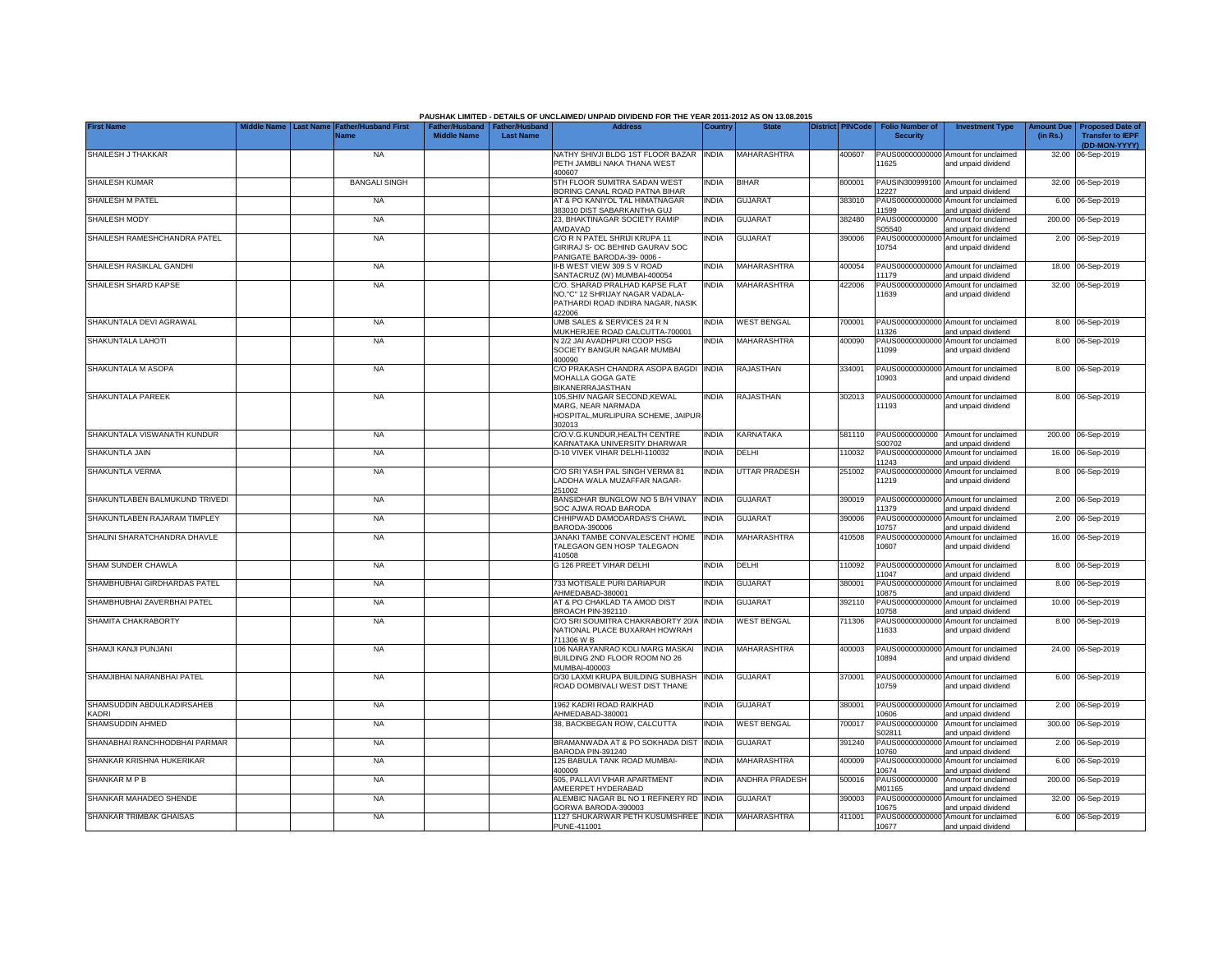|                                           |                  |                                     |                                                       |                  | PAUSHAK LIMITED - DETAILS OF UNCLAIMED/ UNPAID DIVIDEND FOR THE YEAR 2011-2012 AS ON 13.08.2015                  |              |                       |                         |                                           |                                                             |                               |                                                    |
|-------------------------------------------|------------------|-------------------------------------|-------------------------------------------------------|------------------|------------------------------------------------------------------------------------------------------------------|--------------|-----------------------|-------------------------|-------------------------------------------|-------------------------------------------------------------|-------------------------------|----------------------------------------------------|
| <b>First Name</b>                         | <b>Last Name</b> | <b>Father/Husband First</b><br>Name | Father/Husband   Father/Husband<br><b>Middle Name</b> | <b>Last Name</b> | <b>Address</b>                                                                                                   | Country      | <b>State</b>          | <b>District PINCode</b> | <b>Folio Number of</b><br><b>Security</b> | <b>Investment Type</b>                                      | <b>Amount Due</b><br>(in Rs.) | <b>Proposed Date of</b><br><b>Transfer to IEPF</b> |
|                                           |                  |                                     |                                                       |                  |                                                                                                                  |              |                       |                         |                                           |                                                             |                               | (DD-MON-YYYY)                                      |
| SHAILESH J THAKKAR                        |                  | <b>NA</b>                           |                                                       |                  | NATHY SHIVJI BLDG 1ST FLOOR BAZAR INDIA<br>PETH JAMBLI NAKA THANA WEST<br>400607                                 |              | MAHARASHTRA           | 400607                  | 11625                                     | PAUS00000000000 Amount for unclaimed<br>and unpaid dividend |                               | 32.00 06-Sep-2019                                  |
| SHAILESH KUMAR                            |                  | <b>BANGALI SINGH</b>                |                                                       |                  | 5TH FLOOR SUMITRA SADAN WEST<br>BORING CANAL ROAD PATNA BIHAR                                                    | <b>INDIA</b> | <b>BIHAR</b>          | 800001                  | PAUSIN300999100<br>2227                   | Amount for unclaimed<br>and unpaid dividend                 |                               | 32.00 06-Sep-2019                                  |
| <b>SHAILESH M PATEL</b>                   |                  | <b>NA</b>                           |                                                       |                  | AT & PO KANIYOL TAL HIMATNAGAR<br>383010 DIST SABARKANTHA GUJ                                                    | <b>INDIA</b> | <b>GUJARAT</b>        | 383010                  | PAUS0000000000<br>1599                    | Amount for unclaimed<br>and unpaid dividend                 |                               | 6.00 06-Sep-2019                                   |
| <b>SHAILESH MODY</b>                      |                  | <b>NA</b>                           |                                                       |                  | 23, BHAKTINAGAR SOCIETY RAMIP<br>AMDAVAD                                                                         | INDIA        | <b>GUJARAT</b>        | 382480                  | PAUS0000000000<br>305540                  | Amount for unclaimed<br>and unpaid dividend                 |                               | 200.00 06-Sep-2019                                 |
| SHAILESH RAMESHCHANDRA PATEL              |                  | <b>NA</b>                           |                                                       |                  | C/O R N PATEL SHRIJI KRUPA 11<br>GIRIRAJ S- OC BEHIND GAURAV SOC<br>PANIGATE BARODA-39-0006 -                    | <b>INDIA</b> | GUJARAT               | 390006                  | 10754                                     | PAUS00000000000 Amount for unclaimed<br>and unpaid dividend |                               | 2.00 06-Sep-2019                                   |
| SHAILESH RASIKLAL GANDHI                  |                  | <b>NA</b>                           |                                                       |                  | II-B WEST VIEW 309 S V ROAD<br>SANTACRUZ (W) MUMBAI-400054                                                       | <b>INDIA</b> | MAHARASHTRA           | 400054                  | 11179                                     | PAUS00000000000 Amount for unclaimed<br>and unpaid dividend |                               | 18.00 06-Sep-2019                                  |
| SHAILESH SHARD KAPSE                      |                  | <b>NA</b>                           |                                                       |                  | C/O. SHARAD PRALHAD KAPSE FLAT<br>NO."C" 12 SHRIJAY NAGAR VADALA-<br>PATHARDI ROAD INDIRA NAGAR, NASIK<br>422006 | <b>INDIA</b> | MAHARASHTRA           | 422006                  | PAUS0000000000<br>11639                   | Amount for unclaimed<br>and unpaid dividend                 |                               | 32.00 06-Sep-2019                                  |
| SHAKUNTALA DEVI AGRAWAL                   |                  | <b>NA</b>                           |                                                       |                  | UMB SALES & SERVICES 24 R N<br>MUKHERJEE ROAD CALCUTTA-700001                                                    | <b>INDIA</b> | <b>WEST BENGAL</b>    | 700001                  | 1326                                      | PAUS00000000000 Amount for unclaimed<br>and unpaid dividend |                               | 8.00 06-Sep-2019                                   |
| SHAKUNTALA LAHOTI                         |                  | <b>NA</b>                           |                                                       |                  | N 2/2 JAI AVADHPURI COOP HSG<br>SOCIETY BANGUR NAGAR MUMBAI<br>400090                                            | <b>INDIA</b> | MAHARASHTRA           | 400090                  | 11099                                     | PAUS00000000000 Amount for unclaimed<br>and unpaid dividend |                               | 8.00 06-Sep-2019                                   |
| SHAKUNTALA M ASOPA                        |                  | <b>NA</b>                           |                                                       |                  | C/O PRAKASH CHANDRA ASOPA BAGDI<br>MOHALLA GOGA GATE<br><b>BIKANERRAJASTHAN</b>                                  | <b>INDIA</b> | RAJASTHAN             | 334001                  | 10903                                     | PAUS00000000000 Amount for unclaimed<br>and unpaid dividend |                               | 8.00 06-Sep-2019                                   |
| SHAKUNTALA PAREEK                         |                  | <b>NA</b>                           |                                                       |                  | 105.SHIV NAGAR SECOND.KEWAL<br>MARG, NEAR NARMADA<br>HOSPITAL, MURLIPURA SCHEME, JAIPUR<br>302013                | <b>INDIA</b> | RAJASTHAN             | 302013                  | 11193                                     | PAUS00000000000 Amount for unclaimed<br>and unpaid dividend |                               | 8.00 06-Sep-2019                                   |
| SHAKUNTALA VISWANATH KUNDUR               |                  | <b>NA</b>                           |                                                       |                  | C/O.V.G.KUNDUR, HEALTH CENTRE<br>KARNATAKA UNIVERSITY DHARWAR                                                    | <b>INDIA</b> | KARNATAKA             | 581110                  | S00702                                    | PAUS0000000000 Amount for unclaimed<br>and unpaid dividend  |                               | 200.00 06-Sep-2019                                 |
| SHAKUNTLA JAIN                            |                  | <b>NA</b>                           |                                                       |                  | D-10 VIVEK VIHAR DELHI-110032                                                                                    | <b>INDIA</b> | DELHI                 | 110032                  | 11243                                     | PAUS00000000000 Amount for unclaimed<br>and unpaid dividend |                               | 16.00 06-Sep-2019                                  |
| SHAKUNTLA VERMA                           |                  | <b>NA</b>                           |                                                       |                  | C/O SRI YASH PAL SINGH VERMA 81<br>LADDHA WALA MUZAFFAR NAGAR-<br>251002                                         | <b>INDIA</b> | UTTAR PRADESH         | 251002                  | 11219                                     | PAUS00000000000 Amount for unclaimed<br>and unpaid dividend |                               | 8.00 06-Sep-2019                                   |
| SHAKUNTLABEN BALMUKUND TRIVEDI            |                  | <b>NA</b>                           |                                                       |                  | BANSIDHAR BUNGLOW NO 5 B/H VINAY<br>SOC AJWA ROAD BARODA                                                         | <b>INDIA</b> | <b>GUJARAT</b>        | 390019                  | 11379                                     | PAUS00000000000 Amount for unclaimed<br>and unpaid dividend |                               | 2.00 06-Sep-2019                                   |
| SHAKUNTLABEN RAJARAM TIMPLEY              |                  | <b>NA</b>                           |                                                       |                  | CHHIPWAD DAMODARDAS'S CHAWL<br>BARODA-390006                                                                     | <b>INDIA</b> | <b>GUJARAT</b>        | 390006                  | 10757                                     | PAUS00000000000 Amount for unclaimed<br>and unpaid dividend |                               | 2.00 06-Sep-2019                                   |
| SHALINI SHARATCHANDRA DHAVLE              |                  | <b>NA</b>                           |                                                       |                  | JANAKI TAMBE CONVALESCENT HOME<br>TALEGAON GEN HOSP TALEGAON<br>410508                                           | <b>INDIA</b> | MAHARASHTRA           | 410508                  | 10607                                     | PAUS00000000000 Amount for unclaimed<br>and unpaid dividend |                               | 16.00 06-Sep-2019                                  |
| SHAM SUNDER CHAWLA                        |                  | <b>NA</b>                           |                                                       |                  | G 126 PREET VIHAR DELHI                                                                                          | <b>INDIA</b> | DELHI                 | 110092                  | PAUS00000000000<br>1047                   | Amount for unclaimed<br>and unpaid dividend                 |                               | 8.00 06-Sep-2019                                   |
| SHAMBHUBHAI GIRDHARDAS PATEL              |                  | <b>NA</b>                           |                                                       |                  | 733 MOTISALE PURI DARIAPUR<br>HMEDABAD-380001                                                                    | <b>INDIA</b> | <b>GUJARAT</b>        | 380001                  | PAUS00000000000<br>0875                   | Amount for unclaimed<br>and unpaid dividend                 |                               | 8.00 06-Sep-2019                                   |
| SHAMBHUBHAI ZAVERBHAI PATEL               |                  | <b>NA</b>                           |                                                       |                  | AT & PO CHAKLAD TA AMOD DIST<br>BROACH PIN-392110                                                                | INDIA        | <b>GUJARAT</b>        | 392110                  | PAUS00000000000<br>0758                   | Amount for unclaimed<br>and unpaid dividend                 |                               | 10.00 06-Sep-2019                                  |
| SHAMITA CHAKRABORTY                       |                  | <b>NA</b>                           |                                                       |                  | C/O SRI SOUMITRA CHAKRABORTY 20/A<br>NATIONAL PLACE BUXARAH HOWRAH<br>711306 W B                                 | <b>INDIA</b> | <b>WEST BENGAL</b>    | 711306                  | 1633                                      | PAUS00000000000 Amount for unclaimed<br>and unpaid dividend |                               | 8.00 06-Sep-2019                                   |
| SHAMJI KANJI PUNJANI                      |                  | <b>NA</b>                           |                                                       |                  | 106 NARAYANRAO KOLI MARG MASKAI<br>BUILDING 2ND FLOOR ROOM NO 26<br>MUMBAI-400003                                | <b>INDIA</b> | <b>MAHARASHTRA</b>    | 400003                  | 10894                                     | PAUS00000000000 Amount for unclaimed<br>and unpaid dividend |                               | 24.00 06-Sep-2019                                  |
| SHAMJIBHAI NARANBHAI PATEL                |                  | <b>NA</b>                           |                                                       |                  | D/30 LAXMI KRUPA BUILDING SUBHASH<br>ROAD DOMBIVALI WEST DIST THANE                                              | <b>INDIA</b> | <b>GUJARAT</b>        | 370001                  | 10759                                     | PAUS00000000000 Amount for unclaimed<br>and unpaid dividend |                               | 6.00 06-Sep-2019                                   |
| SHAMSUDDIN ABDULKADIRSAHEB<br><b>ADRI</b> |                  | <b>NA</b>                           |                                                       |                  | 1962 KADRI ROAD RAIKHAD<br>AHMEDABAD-380001                                                                      | <b>INDIA</b> | <b>GUJARAT</b>        | 380001                  | 10606                                     | PAUS00000000000 Amount for unclaimed<br>and unpaid dividend |                               | 2.00 06-Sep-2019                                   |
| SHAMSUDDIN AHMED                          |                  | <b>NA</b>                           |                                                       |                  | 38, BACKBEGAN ROW, CALCUTTA                                                                                      | <b>INDIA</b> | <b>WEST BENGAL</b>    | 700017                  | PAUS0000000000<br>S02811                  | Amount for unclaimed<br>and unpaid dividend                 |                               | 300.00 06-Sep-2019                                 |
| SHANABHAI RANCHHODBHAI PARMAR             |                  | <b>NA</b>                           |                                                       |                  | BRAMANWADA AT & PO SOKHADA DIST<br>BARODA PIN-391240                                                             | <b>INDIA</b> | <b>GUJARAT</b>        | 391240                  | PAUS00000000000<br>10760                  | Amount for unclaimed<br>and unpaid dividend                 |                               | 2.00 06-Sep-2019                                   |
| SHANKAR KRISHNA HUKERIKAR                 |                  | <b>NA</b>                           |                                                       |                  | 125 BABULA TANK ROAD MUMBAI-<br>400009                                                                           | <b>INDIA</b> | <b>MAHARASHTRA</b>    | 400009                  | PAUS0000000000<br>10674                   | Amount for unclaimed<br>and unpaid dividend                 |                               | 6.00 06-Sep-2019                                   |
| SHANKAR M P B                             |                  | <b>NA</b>                           |                                                       |                  | 505. PALLAVI VIHAR APARTMENT<br>AMEERPET HYDERABAD                                                               | <b>INDIA</b> | <b>ANDHRA PRADESH</b> | 500016                  | PAUS0000000000<br>M01165                  | Amount for unclaimed<br>and unpaid dividend                 |                               | 200.00 06-Sep-2019                                 |
| SHANKAR MAHADEO SHENDE                    |                  | <b>NA</b>                           |                                                       |                  | ALEMBIC NAGAR BL NO 1 REFINERY RD INDIA<br>GORWA BARODA-390003                                                   |              | <b>GUJARAT</b>        | 390003                  | 10675                                     | PAUS00000000000 Amount for unclaimed<br>and unpaid dividend |                               | 32.00 06-Sep-2019                                  |
| SHANKAR TRIMBAK GHAISAS                   |                  | <b>NA</b>                           |                                                       |                  | 1127 SHUKARWAR PETH KUSUMSHREE INDIA<br>PUNE-411001                                                              |              | MAHARASHTRA           | 411001                  | 10677                                     | PAUS00000000000 Amount for unclaimed<br>and unpaid dividend |                               | 6.00 06-Sep-2019                                   |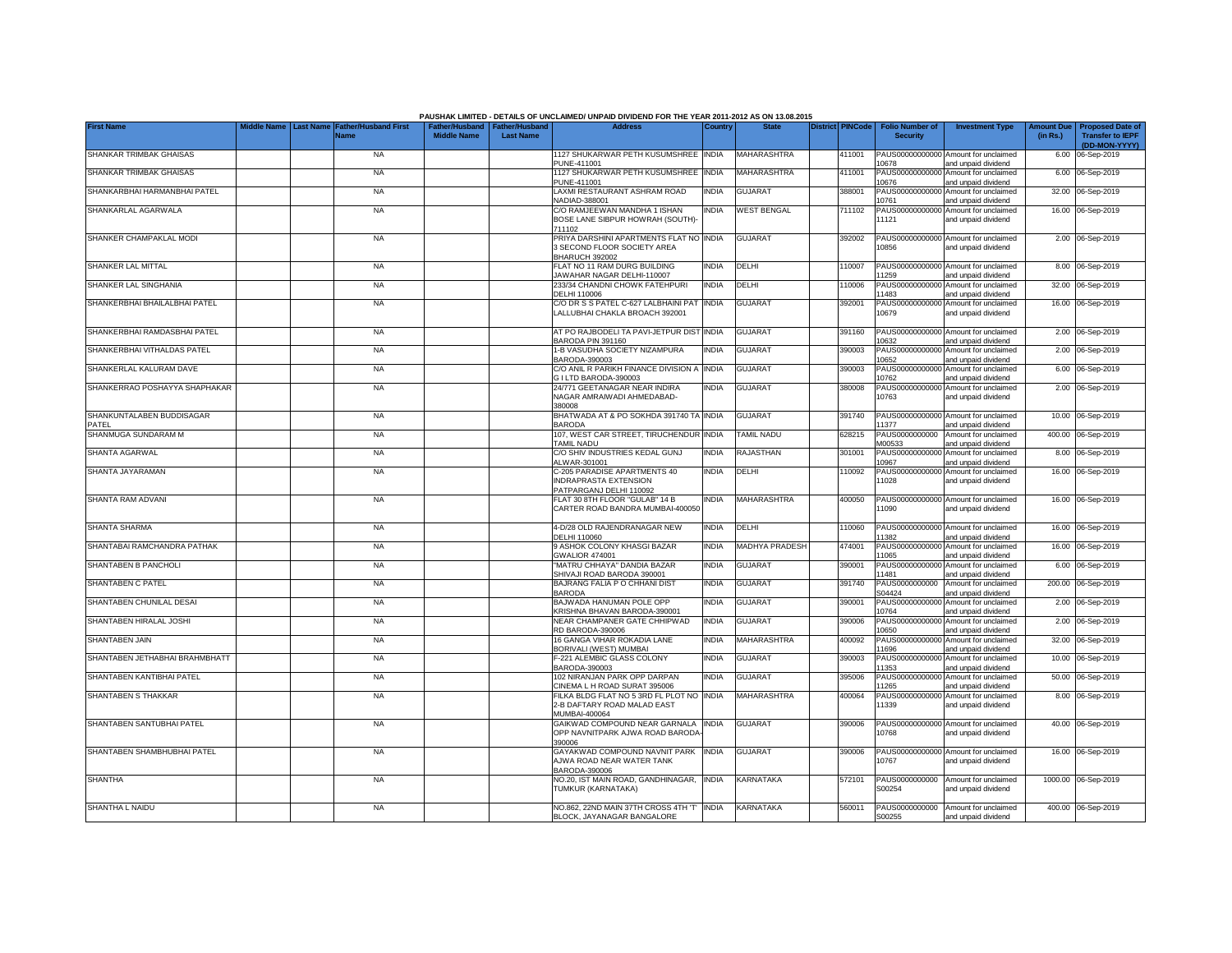|                                    |  |                                                               |                    |                                                     | PAUSHAK LIMITED - DETAILS OF UNCLAIMED/ UNPAID DIVIDEND FOR THE YEAR 2011-2012 AS ON 13.08.2015 |              |                       |                         |                                           |                                                                    |          |                                                                                  |
|------------------------------------|--|---------------------------------------------------------------|--------------------|-----------------------------------------------------|-------------------------------------------------------------------------------------------------|--------------|-----------------------|-------------------------|-------------------------------------------|--------------------------------------------------------------------|----------|----------------------------------------------------------------------------------|
| <b>First Name</b>                  |  | Middle Name   Last Name   Father/Husband First<br><b>Name</b> | <b>Middle Name</b> | Father/Husband   Father/Husband<br><b>Last Name</b> | <b>Address</b>                                                                                  | Country      | <b>State</b>          | <b>District PINCode</b> | <b>Folio Number of</b><br><b>Security</b> | <b>Investment Type</b>                                             | (in Rs.) | <b>Amount Due   Proposed Date of</b><br><b>Transfer to IEPF</b><br>(DD-MON-YYYY) |
| SHANKAR TRIMBAK GHAISAS            |  | <b>NA</b>                                                     |                    |                                                     | 1127 SHUKARWAR PETH KUSUMSHREE INDIA<br>PUNE-411001                                             |              | <b>MAHARASHTRA</b>    | 411001                  | 10678                                     | PAUS00000000000 Amount for unclaimed<br>and unpaid dividend        |          | 6.00 06-Sep-2019                                                                 |
| SHANKAR TRIMBAK GHAISAS            |  | <b>NA</b>                                                     |                    |                                                     | 1127 SHUKARWAR PETH KUSUMSHREE<br>PUNE-411001                                                   | <b>INDIA</b> | MAHARASHTRA           | 411001                  | PAUS00000000000<br>10676                  | Amount for unclaimed<br>and unpaid dividend                        |          | 6.00 06-Sep-2019                                                                 |
| SHANKARBHAI HARMANBHAI PATEL       |  | <b>NA</b>                                                     |                    |                                                     | LAXMI RESTAURANT ASHRAM ROAD<br>VADIAD-388001                                                   | <b>INDIA</b> | <b>GUJARAT</b>        | 388001                  | 10761                                     | PAUS00000000000 Amount for unclaimed<br>and unpaid dividend        |          | 32.00 06-Sep-2019                                                                |
| SHANKARLAL AGARWALA                |  | <b>NA</b>                                                     |                    |                                                     | C/O RAMJEEWAN MANDHA 1 ISHAN<br>BOSE LANE SIBPUR HOWRAH (SOUTH)-<br>711102                      | INDIA        | <b>WEST BENGAL</b>    | 711102                  | 11121                                     | PAUS00000000000 Amount for unclaimed<br>and unpaid dividend        |          | 16.00 06-Sep-2019                                                                |
| SHANKER CHAMPAKLAL MODI            |  | <b>NA</b>                                                     |                    |                                                     | PRIYA DARSHINI APARTMENTS FLAT NO INDIA<br>3 SECOND FLOOR SOCIETY AREA                          |              | <b>GUJARAT</b>        | 392002                  | 10856                                     | PAUS00000000000 Amount for unclaimed<br>and unpaid dividend        |          | 2.00 06-Sep-2019                                                                 |
| SHANKER LAL MITTAL                 |  | <b>NA</b>                                                     |                    |                                                     | BHARUCH 392002<br>FLAT NO 11 RAM DURG BUILDING<br>JAWAHAR NAGAR DELHI-110007                    | INDIA        | DELHI                 | 110007                  | 11259                                     | PAUS00000000000 Amount for unclaimed                               |          | 8.00 06-Sep-2019                                                                 |
| SHANKER LAL SINGHANIA              |  | <b>NA</b>                                                     |                    |                                                     | 233/34 CHANDNI CHOWK FATEHPURI<br>DELHI 110006                                                  | <b>INDIA</b> | DELHI                 | 10006                   | PAUS0000000000<br>1483                    | and unpaid dividend<br>Amount for unclaimed<br>and unpaid dividend |          | 32.00 06-Sep-2019                                                                |
| SHANKERBHAI BHAILALBHAI PATEL      |  | <b>NA</b>                                                     |                    |                                                     | C/O DR S S PATEL C-627 LALBHAINI PAT<br>LALLUBHAI CHAKLA BROACH 392001                          | india        | <b>GUJARAT</b>        | 392001                  | PAUS00000000000<br>10679                  | Amount for unclaimed<br>and unpaid dividend                        |          | 16.00 06-Sep-2019                                                                |
| SHANKERBHAI RAMDASBHAI PATEL       |  | <b>NA</b>                                                     |                    |                                                     | AT PO RAJBODELI TA PAVI-JETPUR DIST<br>BARODA PIN 391160                                        | <b>INDIA</b> | <b>GUJARAT</b>        | 391160                  | 0632                                      | PAUS00000000000 Amount for unclaimed<br>and unpaid dividend        |          | 2.00 06-Sep-2019                                                                 |
| SHANKERBHAI VITHALDAS PATEL        |  | <b>NA</b>                                                     |                    |                                                     | 1-B VASUDHA SOCIETY NIZAMPURA<br>BARODA-390003                                                  | <b>INDIA</b> | GUJARAT               | 390003                  | PAUS0000000000<br>0652                    | Amount for unclaimed<br>and unpaid dividend                        |          | 2.00 06-Sep-2019                                                                 |
| SHANKERLAL KALURAM DAVE            |  | <b>NA</b>                                                     |                    |                                                     | C/O ANIL R PARIKH FINANCE DIVISION A<br>3 I LTD BARODA-390003                                   | <b>INDIA</b> | <b>GUJARAT</b>        | 390003                  | PAUS00000000000<br>0762                   | Amount for unclaimed<br>and unpaid dividend                        |          | 6.00 06-Sep-2019                                                                 |
| SHANKERRAO POSHAYYA SHAPHAKAR      |  | <b>NA</b>                                                     |                    |                                                     | 24/771 GEETANAGAR NEAR INDIRA<br>NAGAR AMRAIWADI AHMEDABAD-<br>380008                           | <b>INDIA</b> | <b>GUJARAT</b>        | 380008                  | 10763                                     | PAUS00000000000 Amount for unclaimed<br>and unpaid dividend        |          | 2.00 06-Sep-2019                                                                 |
| SHANKUNTALABEN BUDDISAGAR<br>PATEL |  | <b>NA</b>                                                     |                    |                                                     | BHATWADA AT & PO SOKHDA 391740 TA INDIA<br><b>BARODA</b>                                        |              | <b>GUJARAT</b>        | 391740                  | 11377                                     | PAUS00000000000 Amount for unclaimed<br>and unpaid dividend        |          | 10.00 06-Sep-2019                                                                |
| SHANMUGA SUNDARAM M                |  | <b>NA</b>                                                     |                    |                                                     | 107, WEST CAR STREET, TIRUCHENDUR<br>TAMIL NADU                                                 | <b>INDIA</b> | TAMIL NADU            | 628215                  | PAUS0000000000<br>M00533                  | Amount for unclaimed<br>and unpaid dividend                        |          | 400.00 06-Sep-2019                                                               |
| SHANTA AGARWAL                     |  | <b>NA</b>                                                     |                    |                                                     | C/O SHIV INDUSTRIES KEDAL GUNJ<br>ALWAR-301001                                                  | <b>INDIA</b> | <b>RAJASTHAN</b>      | 301001                  | 10967                                     | PAUS00000000000 Amount for unclaimed<br>and unpaid dividend        |          | 8.00 06-Sep-2019                                                                 |
| SHANTA JAYARAMAN                   |  | <b>NA</b>                                                     |                    |                                                     | C-205 PARADISE APARTMENTS 40<br><b>INDRAPRASTA EXTENSION</b><br>PATPARGANJ DELHI 110092         | <b>INDIA</b> | DELHI                 | 110092                  | 11028                                     | PAUS00000000000 Amount for unclaimed<br>and unpaid dividend        |          | 16.00 06-Sep-2019                                                                |
| SHANTA RAM ADVANI                  |  | <b>NA</b>                                                     |                    |                                                     | FLAT 30 8TH FLOOR "GULAB" 14 B<br>CARTER ROAD BANDRA MUMBAI-400050                              | INDIA        | MAHARASHTRA           | 400050                  | 11090                                     | PAUS00000000000 Amount for unclaimed<br>and unpaid dividend        |          | 16.00 06-Sep-2019                                                                |
| SHANTA SHARMA                      |  | <b>NA</b>                                                     |                    |                                                     | 4-D/28 OLD RAJENDRANAGAR NEW<br>DELHI 110060                                                    | INDIA        | DELHI                 | 110060                  | 11382                                     | PAUS00000000000 Amount for unclaimed<br>and unpaid dividend        |          | 16.00 06-Sep-2019                                                                |
| SHANTABAI RAMCHANDRA PATHAK        |  | <b>NA</b>                                                     |                    |                                                     | 9 ASHOK COLONY KHASGI BAZAR<br><b>GWALIOR 474001</b>                                            | India        | <b>MADHYA PRADESH</b> | 474001                  | PAUS0000000000<br>11065                   | Amount for unclaimed<br>and unpaid dividend                        | 16.00    | 06-Sep-2019                                                                      |
| SHANTABEN B PANCHOLI               |  | <b>NA</b>                                                     |                    |                                                     | "MATRU CHHAYA" DANDIA BAZAR<br>SHIVAJI ROAD BARODA 390001                                       | INDIA        | <b>GUJARAT</b>        | 390001                  | PAUS0000000000<br>11481                   | Amount for unclaimed<br>and unpaid dividend                        |          | 6.00 06-Sep-2019                                                                 |
| SHANTABEN C PATEL                  |  | <b>NA</b>                                                     |                    |                                                     | BAJRANG FALIA P O CHHANI DIST<br><b>BARODA</b>                                                  | India        | <b>GUJARAT</b>        | 391740                  | PAUS0000000000<br>S04424                  | Amount for unclaimed<br>and unpaid dividend                        | 200.00   | 06-Sep-2019                                                                      |
| SHANTABEN CHUNILAL DESAI           |  | <b>NA</b>                                                     |                    |                                                     | BAJWADA HANUMAN POLE OPP<br>KRISHNA BHAVAN BARODA-390001                                        | INDIA        | <b>GUJARAT</b>        | 390001                  | PAUS0000000000<br>10764                   | Amount for unclaimed<br>and unpaid dividend                        |          | 2.00 06-Sep-2019                                                                 |
| SHANTABEN HIRALAL JOSHI            |  | <b>NA</b>                                                     |                    |                                                     | NEAR CHAMPANER GATE CHHIPWAD<br>RD BARODA-390006                                                | INDIA        | <b>GUJARAT</b>        | 390006                  | PAUS0000000000<br>10650                   | Amount for unclaimed<br>and unpaid dividend                        |          | 2.00 06-Sep-2019                                                                 |
| SHANTABEN JAIN                     |  | <b>NA</b>                                                     |                    |                                                     | 16 GANGA VIHAR ROKADIA LANE<br>BORIVALI (WEST) MUMBAI                                           | INDIA        | MAHARASHTRA           | 400092                  | PAUS0000000000<br>11696                   | Amount for unclaimed<br>and unpaid dividend                        |          | 32.00 06-Sep-2019                                                                |
| SHANTABEN JETHABHAI BRAHMBHATT     |  | <b>NA</b>                                                     |                    |                                                     | -221 ALEMBIC GLASS COLONY<br>BARODA-390003                                                      | INDIA        | GUJARAT               | 390003                  | PAUS0000000000<br>1353                    | Amount for unclaimed<br>and unpaid dividend                        |          | 10.00 06-Sep-2019                                                                |
| SHANTABEN KANTIBHAI PATEL          |  | <b>NA</b>                                                     |                    |                                                     | 102 NIRANJAN PARK OPP DARPAN<br>CINEMA L H ROAD SURAT 395006                                    | india        | GUJARAT               | 395006                  | PAUS0000000000<br>1265                    | Amount for unclaimed<br>and unpaid dividend                        |          | 50.00 06-Sep-2019                                                                |
| SHANTABEN S THAKKAR                |  | <b>NA</b>                                                     |                    |                                                     | FILKA BLDG FLAT NO 5 3RD FL PLOT NO<br>2-B DAFTARY ROAD MALAD EAST<br>MUMBAI-400064             | <b>INDIA</b> | MAHARASHTRA           | 400064                  | 11339                                     | PAUS00000000000 Amount for unclaimed<br>and unpaid dividend        |          | 8.00 06-Sep-2019                                                                 |
| SHANTABEN SANTUBHAI PATEL          |  | <b>NA</b>                                                     |                    |                                                     | GAIKWAD COMPOUND NEAR GARNALA<br>OPP NAVNITPARK AJWA ROAD BARODA<br>390006                      | <b>INDIA</b> | <b>GUJARAT</b>        | 390006                  | 10768                                     | PAUS00000000000 Amount for unclaimed<br>and unpaid dividend        |          | 40.00 06-Sep-2019                                                                |
| SHANTABEN SHAMBHUBHAI PATEL        |  | <b>NA</b>                                                     |                    |                                                     | GAYAKWAD COMPOUND NAVNIT PARK INDIA<br>AJWA ROAD NEAR WATER TANK<br>BARODA-390006               |              | <b>GUJARAT</b>        | 390006                  | 10767                                     | PAUS00000000000 Amount for unclaimed<br>and unpaid dividend        |          | 16.00 06-Sep-2019                                                                |
| SHANTHA                            |  | <b>NA</b>                                                     |                    |                                                     | NO.20, IST MAIN ROAD, GANDHINAGAR, INDIA<br>TUMKUR (KARNATAKA)                                  |              | KARNATAKA             | 572101                  | PAUS0000000000<br>S00254                  | Amount for unclaimed<br>and unpaid dividend                        |          | 1000.00 06-Sep-2019                                                              |
| SHANTHA L NAIDU                    |  | <b>NA</b>                                                     |                    |                                                     | NO.862, 22ND MAIN 37TH CROSS 4TH 'T' INDIA<br>BLOCK, JAYANAGAR BANGALORE                        |              | <b>KARNATAKA</b>      | 560011                  | S00255                                    | PAUS0000000000 Amount for unclaimed<br>and unpaid dividend         |          | 400.00 06-Sep-2019                                                               |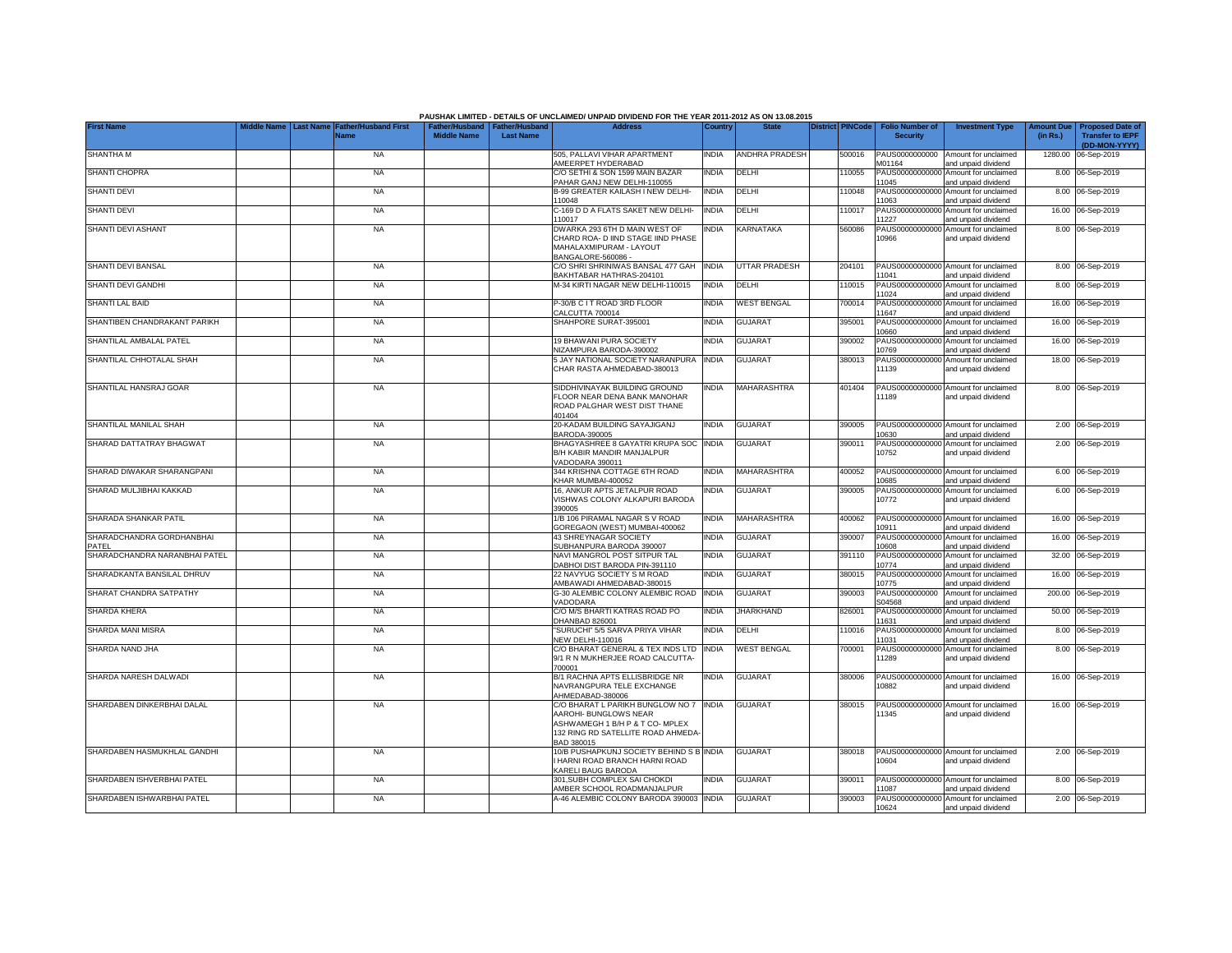|                                    |                                 |                                            |                    |                                                     | PAUSHAK LIMITED - DETAILS OF UNCLAIMED/ UNPAID DIVIDEND FOR THE YEAR 2011-2012 AS ON 13.08.2015                                                       |              |                       |                         |                                           |                                                             |                               |                                                                     |
|------------------------------------|---------------------------------|--------------------------------------------|--------------------|-----------------------------------------------------|-------------------------------------------------------------------------------------------------------------------------------------------------------|--------------|-----------------------|-------------------------|-------------------------------------------|-------------------------------------------------------------|-------------------------------|---------------------------------------------------------------------|
| <b>First Name</b>                  | Middle Name<br><b>Last Name</b> | <b>Father/Husband First</b><br><b>Name</b> | <b>Middle Name</b> | Father/Husband   Father/Husband<br><b>Last Name</b> | <b>Address</b>                                                                                                                                        | Country      | <b>State</b>          | <b>District PINCode</b> | <b>Folio Number of</b><br><b>Security</b> | <b>Investment Type</b>                                      | <b>Amount Due</b><br>(in Rs.) | <b>Proposed Date of</b><br><b>Transfer to IEPF</b><br>(DD-MON-YYYY) |
| <b>SHANTHA M</b>                   |                                 | <b>NA</b>                                  |                    |                                                     | 505. PALLAVI VIHAR APARTMENT<br>AMEERPET HYDERABAD                                                                                                    | <b>NDIA</b>  | <b>ANDHRA PRADESH</b> | 500016                  | PAUS0000000000<br>M01164                  | Amount for unclaimed<br>and unpaid dividend                 | 1280.00                       | 06-Sep-2019                                                         |
| <b>SHANTI CHOPRA</b>               |                                 | <b>NA</b>                                  |                    |                                                     | C/O SETHI & SON 1599 MAIN BAZAR<br>PAHAR GANJ NEW DELHI-110055                                                                                        | INDIA        | DELHI                 | 10055                   | 11045                                     | PAUS00000000000 Amount for unclaimed<br>and unpaid dividend |                               | 8.00 06-Sep-2019                                                    |
| <b>SHANTI DEVI</b>                 |                                 | <b>NA</b>                                  |                    |                                                     | B-99 GREATER KAILASH I NEW DELHI-<br>110048                                                                                                           | INDIA        | DELHI                 | 10048                   | 11063                                     | PAUS00000000000 Amount for unclaimed<br>and unpaid dividend |                               | 8.00 06-Sep-2019                                                    |
| <b>SHANTI DEVI</b>                 |                                 | <b>NA</b>                                  |                    |                                                     | C-169 D D A FLATS SAKET NEW DELHI-<br>110017                                                                                                          | India        | DELHI                 | 10017                   | 11227                                     | PAUS00000000000 Amount for unclaimed<br>and unpaid dividend |                               | 16.00 06-Sep-2019                                                   |
| SHANTI DEVI ASHANT                 |                                 | <b>NA</b>                                  |                    |                                                     | DWARKA 293 6TH D MAIN WEST OF<br>CHARD ROA- D IIND STAGE IIND PHASE<br>MAHALAXMIPURAM - LAYOUT<br>BANGALORE-560086 -                                  | NDIA         | KARNATAKA             | 560086                  | 10966                                     | PAUS00000000000 Amount for unclaimed<br>and unpaid dividend |                               | 8.00 06-Sep-2019                                                    |
| SHANTI DEVI BANSAL                 |                                 | <b>NA</b>                                  |                    |                                                     | C/O SHRI SHRINIWAS BANSAL 477 GAH<br>BAKHTABAR HATHRAS-204101                                                                                         | <b>INDIA</b> | <b>UTTAR PRADESH</b>  | 204101                  | 11041                                     | PAUS00000000000 Amount for unclaimed<br>and unpaid dividend |                               | 8.00 06-Sep-2019                                                    |
| SHANTI DEVI GANDHI                 |                                 | <b>NA</b>                                  |                    |                                                     | M-34 KIRTI NAGAR NEW DELHI-110015                                                                                                                     | <b>INDIA</b> | DELHI                 | 110015                  | 11024                                     | PAUS00000000000 Amount for unclaimed<br>and unpaid dividend |                               | 8.00 06-Sep-2019                                                    |
| SHANTI LAL BAID                    |                                 | <b>NA</b>                                  |                    |                                                     | P-30/B C I T ROAD 3RD FLOOR<br>CALCUTTA 700014                                                                                                        | India        | <b>WEST BENGAL</b>    | 700014                  | 11647                                     | PAUS00000000000 Amount for unclaimed<br>and unpaid dividend |                               | 16.00 06-Sep-2019                                                   |
| SHANTIBEN CHANDRAKANT PARIKH       |                                 | <b>NA</b>                                  |                    |                                                     | SHAHPORE SURAT-395001                                                                                                                                 | India        | <b>GUJARAT</b>        | 395001                  | 10660                                     | PAUS00000000000 Amount for unclaimed<br>and unpaid dividend |                               | 16.00 06-Sep-2019                                                   |
| SHANTILAL AMBALAL PATEL            |                                 | <b>NA</b>                                  |                    |                                                     | 19 BHAWANI PURA SOCIETY<br><b>NIZAMPURA BARODA-390002</b>                                                                                             | <b>INDIA</b> | <b>GUJARAT</b>        | 390002                  | 10769                                     | PAUS00000000000 Amount for unclaimed<br>and unpaid dividend |                               | 16.00 06-Sep-2019                                                   |
| SHANTILAL CHHOTALAL SHAH           |                                 | <b>NA</b>                                  |                    |                                                     | 5 JAY NATIONAL SOCIETY NARANPURA<br>CHAR RASTA AHMEDABAD-380013                                                                                       | <b>INDIA</b> | <b>GUJARAT</b>        | 380013                  | 11139                                     | PAUS00000000000 Amount for unclaimed<br>and unpaid dividend |                               | 18.00 06-Sep-2019                                                   |
| SHANTILAL HANSRAJ GOAR             |                                 | <b>NA</b>                                  |                    |                                                     | SIDDHIVINAYAK BUILDING GROUND<br>FLOOR NEAR DENA BANK MANOHAR<br>ROAD PALGHAR WEST DIST THANE<br>401404                                               | <b>INDIA</b> | <b>MAHARASHTRA</b>    | 401404                  | 11189                                     | PAUS00000000000 Amount for unclaimed<br>and unpaid dividend |                               | 8.00 06-Sep-2019                                                    |
| SHANTILAL MANILAL SHAH             |                                 | <b>NA</b>                                  |                    |                                                     | 20-KADAM BUILDING SAYAJIGANJ<br>BARODA-390005                                                                                                         | INDIA        | <b>GUJARAT</b>        | 390005                  | 10630                                     | PAUS00000000000 Amount for unclaimed<br>and unpaid dividend |                               | 2.00 06-Sep-2019                                                    |
| SHARAD DATTATRAY BHAGWAT           |                                 | <b>NA</b>                                  |                    |                                                     | BHAGYASHREE 8 GAYATRI KRUPA SOC<br>B/H KABIR MANDIR MANJALPUR<br>VADODARA 390011                                                                      | <b>INDIA</b> | <b>GUJARAT</b>        | 390011                  | 10752                                     | PAUS00000000000 Amount for unclaimed<br>and unpaid dividend |                               | 2.00 06-Sep-2019                                                    |
| SHARAD DIWAKAR SHARANGPANI         |                                 | <b>NA</b>                                  |                    |                                                     | 344 KRISHNA COTTAGE 6TH ROAD<br>KHAR MUMBAI-400052                                                                                                    | India        | MAHARASHTRA           | 400052                  | 10685                                     | PAUS00000000000 Amount for unclaimed<br>and unpaid dividend |                               | 6.00 06-Sep-2019                                                    |
| SHARAD MULJIBHAI KAKKAD            |                                 | <b>NA</b>                                  |                    |                                                     | 16, ANKUR APTS JETALPUR ROAD<br>VISHWAS COLONY ALKAPURI BARODA<br>390005                                                                              | NDIA         | <b>GUJARAT</b>        | 390005                  | 10772                                     | PAUS00000000000 Amount for unclaimed<br>and unpaid dividend |                               | 6.00 06-Sep-2019                                                    |
| SHARADA SHANKAR PATIL              |                                 | <b>NA</b>                                  |                    |                                                     | 1/B 106 PIRAMAL NAGAR S V ROAD<br>GOREGAON (WEST) MUMBAI-400062                                                                                       | india        | MAHARASHTRA           | 400062                  | 10911                                     | PAUS00000000000 Amount for unclaimed<br>and unpaid dividend |                               | 16.00 06-Sep-2019                                                   |
| SHARADCHANDRA GORDHANBHAI<br>PATEL |                                 | <b>NA</b>                                  |                    |                                                     | 43 SHREYNAGAR SOCIETY<br>SUBHANPURA BARODA 390007                                                                                                     | INDIA        | <b>GUJARAT</b>        | 390007                  | 10608                                     | PAUS00000000000 Amount for unclaimed<br>and unpaid dividend |                               | 16.00 06-Sep-2019                                                   |
| SHARADCHANDRA NARANBHAI PATEL      |                                 | <b>NA</b>                                  |                    |                                                     | NAVI MANGROL POST SITPUR TAL<br>DABHOI DIST BARODA PIN-391110                                                                                         | <b>INDIA</b> | <b>GUJARAT</b>        | 391110                  | 10774                                     | PAUS00000000000 Amount for unclaimed<br>and unpaid dividend |                               | 32.00 06-Sep-2019                                                   |
| SHARADKANTA BANSILAL DHRUV         |                                 | NA                                         |                    |                                                     | 22 NAVYUG SOCIETY S M ROAD<br>AMBAWADI AHMEDABAD-380015                                                                                               | INDIA        | <b>GUJARAT</b>        | 380015                  | 10775                                     | PAUS00000000000 Amount for unclaimed<br>and unpaid dividend |                               | 16.00 06-Sep-2019                                                   |
| SHARAT CHANDRA SATPATHY            |                                 | NA                                         |                    |                                                     | 3-30 ALEMBIC COLONY ALEMBIC ROAD<br><b>VADODARA</b>                                                                                                   | <b>INDIA</b> | <b>GUJARAT</b>        | 390003                  | PAUS0000000000<br>S04568                  | Amount for unclaimed<br>and unpaid dividend                 |                               | 200.00 06-Sep-2019                                                  |
| SHARDA KHERA                       |                                 | NA                                         |                    |                                                     | C/O M/S BHARTI KATRAS ROAD PO<br>DHANBAD 826001                                                                                                       | INDIA        | <b>JHARKHAND</b>      | 826001                  | 11631                                     | PAUS00000000000 Amount for unclaimed<br>and unpaid dividend |                               | 50.00 06-Sep-2019                                                   |
| SHARDA MANI MISRA                  |                                 | <b>NA</b>                                  |                    |                                                     | 'SURUCHI" 5/5 SARVA PRIYA VIHAR<br><b>NEW DELHI-110016</b>                                                                                            | India        | DELHI                 | 110016                  | 11031                                     | PAUS00000000000 Amount for unclaimed<br>and unpaid dividend |                               | 8.00 06-Sep-2019                                                    |
| SHARDA NAND JHA                    |                                 | <b>NA</b>                                  |                    |                                                     | C/O BHARAT GENERAL & TEX INDS LTD<br>9/1 R N MUKHERJEE ROAD CALCUTTA-<br>700001                                                                       | <b>INDIA</b> | <b>WEST BENGAL</b>    | 700001                  | 11289                                     | PAUS00000000000 Amount for unclaimed<br>and unpaid dividend |                               | 8.00 06-Sep-2019                                                    |
| SHARDA NARESH DALWADI              |                                 | <b>NA</b>                                  |                    |                                                     | B/1 RACHNA APTS ELLISBRIDGE NR<br>NAVRANGPURA TELE EXCHANGE<br>AHMEDABAD-380006                                                                       | <b>INDIA</b> | <b>GUJARAT</b>        | 380006                  | 10882                                     | PAUS00000000000 Amount for unclaimed<br>and unpaid dividend |                               | 16.00 06-Sep-2019                                                   |
| SHARDABEN DINKERBHAI DALAL         |                                 | <b>NA</b>                                  |                    |                                                     | C/O BHARAT L PARIKH BUNGLOW NO 7 INDIA<br>AAROHI- BUNGLOWS NEAR<br>ASHWAMEGH 1 B/H P & T CO- MPLEX<br>132 RING RD SATELLITE ROAD AHMEDA<br>BAD 380015 |              | <b>GUJARAT</b>        | 380015                  | 1345                                      | PAUS00000000000 Amount for unclaimed<br>and unpaid dividend |                               | 16.00 06-Sep-2019                                                   |
| SHARDABEN HASMUKHLAL GANDHI        |                                 | <b>NA</b>                                  |                    |                                                     | 10/B PUSHAPKUNJ SOCIETY BEHIND S B INDIA<br>HARNI ROAD BRANCH HARNI ROAD<br>KARELI BAUG BARODA                                                        |              | <b>GUJARAT</b>        | 380018                  | 10604                                     | PAUS00000000000 Amount for unclaimed<br>and unpaid dividend |                               | 2.00 06-Sep-2019                                                    |
| SHARDABEN ISHVERBHAI PATEL         |                                 | <b>NA</b>                                  |                    |                                                     | 301, SUBH COMPLEX SAI CHOKDI<br>AMBER SCHOOL ROADMANJALPUR                                                                                            | INDIA        | <b>GUJARAT</b>        | 390011                  | 1087                                      | PAUS00000000000 Amount for unclaimed<br>and unpaid dividend |                               | 8.00 06-Sep-2019                                                    |
| SHARDABEN ISHWARBHAI PATEL         |                                 | <b>NA</b>                                  |                    |                                                     | 4-46 ALEMBIC COLONY BARODA 390003 INDIA                                                                                                               |              | <b>GUJARAT</b>        | 390003                  | 10624                                     | PAUS00000000000 Amount for unclaimed<br>and unpaid dividend |                               | 2.00 06-Sep-2019                                                    |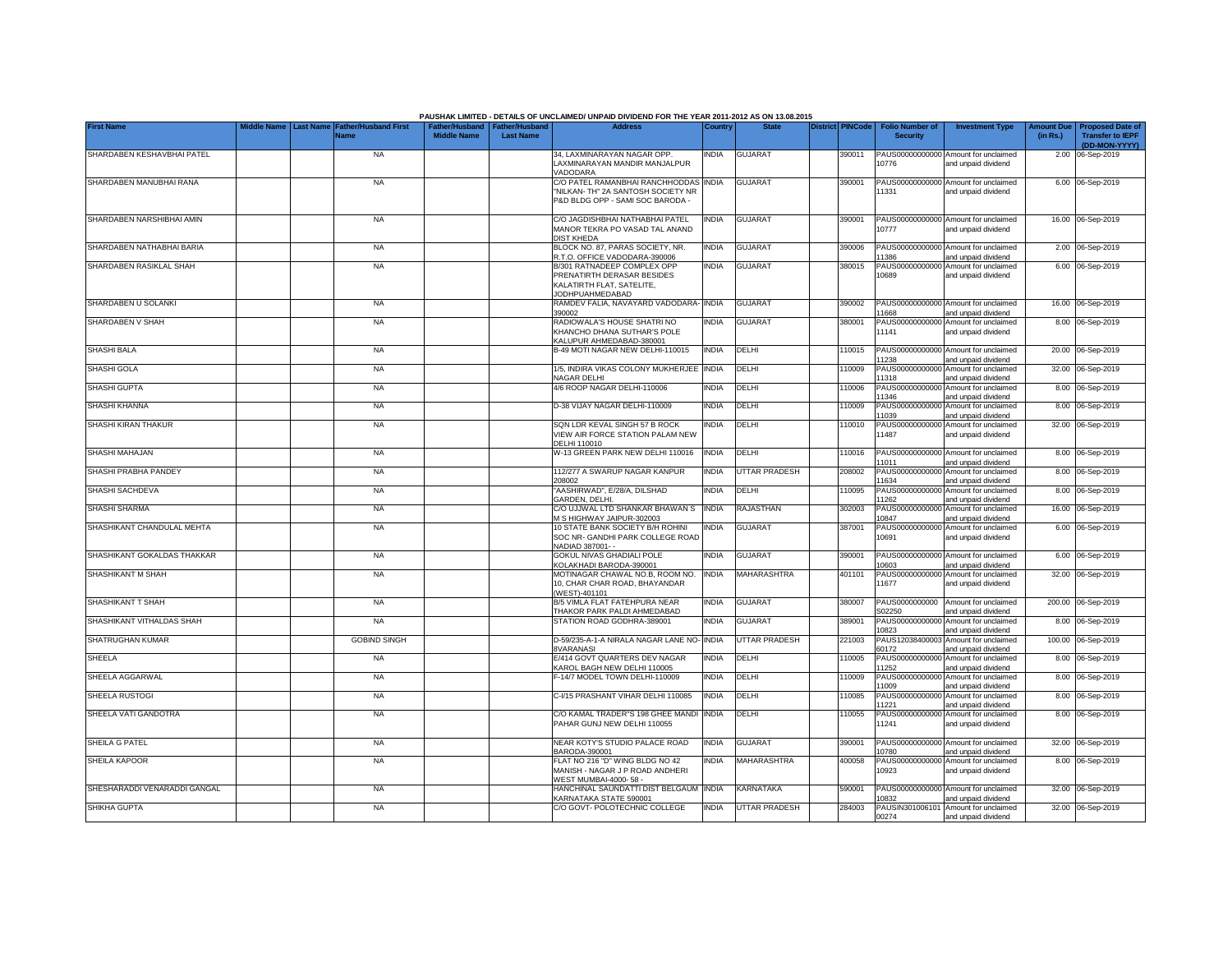|                              |  |                                                               |                    |                                                     | PAUSHAK LIMITED - DETAILS OF UNCLAIMED/ UNPAID DIVIDEND FOR THE YEAR 2011-2012 AS ON 13.08.2015                  |                |                |                         |                                           |                                                             |          |                                                                           |
|------------------------------|--|---------------------------------------------------------------|--------------------|-----------------------------------------------------|------------------------------------------------------------------------------------------------------------------|----------------|----------------|-------------------------|-------------------------------------------|-------------------------------------------------------------|----------|---------------------------------------------------------------------------|
| <b>First Name</b>            |  | Middle Name   Last Name   Father/Husband First<br><b>Name</b> | <b>Middle Name</b> | Father/Husband   Father/Husband<br><b>Last Name</b> | <b>Address</b>                                                                                                   | <b>Country</b> | <b>State</b>   | <b>District PINCode</b> | <b>Folio Number of</b><br><b>Security</b> | <b>Investment Type</b>                                      | (in Rs.) | Amount Due   Proposed Date of<br><b>Transfer to IEPF</b><br>(DD-MON-YYYY) |
| SHARDABEN KESHAVBHAI PATEL   |  | <b>NA</b>                                                     |                    |                                                     | 34. LAXMINARAYAN NAGAR OPP.<br>LAXMINARAYAN MANDIR MANJALPUR<br>/ADODARA                                         | <b>INDIA</b>   | <b>GUJARAT</b> | 390011                  | 10776                                     | PAUS00000000000 Amount for unclaimed<br>and unpaid dividend |          | 2.00 06-Sep-2019                                                          |
| SHARDABEN MANUBHAI RANA      |  | <b>NA</b>                                                     |                    |                                                     | C/O PATEL RAMANBHAI RANCHHODDAS<br>"NILKAN- TH" 2A SANTOSH SOCIETY NR<br>P&D BLDG OPP - SAMI SOC BARODA -        | <b>INDIA</b>   | <b>GUJARAT</b> | 390001                  | 11331                                     | PAUS00000000000 Amount for unclaimed<br>and unpaid dividend |          | 6.00 06-Sep-2019                                                          |
| SHARDABEN NARSHIBHAI AMIN    |  | <b>NA</b>                                                     |                    |                                                     | C/O JAGDISHBHAI NATHABHAI PATEL<br>MANOR TEKRA PO VASAD TAL ANAND<br><b>DIST KHEDA</b>                           | <b>INDIA</b>   | GUJARAT        | 390001                  | 10777                                     | PAUS00000000000 Amount for unclaimed<br>and unpaid dividend |          | 16.00 06-Sep-2019                                                         |
| SHARDABEN NATHABHAI BARIA    |  | <b>NA</b>                                                     |                    |                                                     | BLOCK NO. 87, PARAS SOCIETY, NR.<br>R.T.O. OFFICE VADODARA-390006                                                | <b>INDIA</b>   | <b>GUJARAT</b> | 390006                  | 1386                                      | PAUS00000000000 Amount for unclaimed<br>and unpaid dividend |          | 2.00 06-Sep-2019                                                          |
| SHARDABEN RASIKLAL SHAH      |  | <b>NA</b>                                                     |                    |                                                     | B/301 RATNADEEP COMPLEX OPP<br>PRENATIRTH DERASAR BESIDES<br>KALATIRTH FLAT, SATELITE,<br><b>JODHPUAHMEDABAD</b> | <b>INDIA</b>   | GUJARAT        | 380015                  | PAUS00000000000<br>10689                  | Amount for unclaimed<br>and unpaid dividend                 |          | 6.00 06-Sep-2019                                                          |
| SHARDABEN U SOLANKI          |  | <b>NA</b>                                                     |                    |                                                     | RAMDEV FALIA, NAVAYARD VADODARA-<br>390002                                                                       | <b>INDIA</b>   | <b>GUJARAT</b> | 390002                  | 1668                                      | PAUS00000000000 Amount for unclaimed<br>and unpaid dividend |          | 16.00 06-Sep-2019                                                         |
| SHARDABEN V SHAH             |  | <b>NA</b>                                                     |                    |                                                     | RADIOWALA'S HOUSE SHATRI NO<br>KHANCHO DHANA SUTHAR'S POLE<br>KALUPUR AHMEDABAD-380001                           | <b>INDIA</b>   | <b>GUJARAT</b> | 380001                  | PAUS00000000000<br>11141                  | Amount for unclaimed<br>and unpaid dividend                 |          | 8.00 06-Sep-2019                                                          |
| SHASHI BALA                  |  | <b>NA</b>                                                     |                    |                                                     | B-49 MOTI NAGAR NEW DELHI-110015                                                                                 | <b>INDIA</b>   | DELHI          | 110015                  | PAUS00000000000<br>1238                   | Amount for unclaimed<br>and unpaid dividend                 |          | 20.00 06-Sep-2019                                                         |
| SHASHI GOLA                  |  | <b>NA</b>                                                     |                    |                                                     | 1/5, INDIRA VIKAS COLONY MUKHERJEE<br><b>VAGAR DELHI</b>                                                         | <b>INDIA</b>   | DELHI          | 110009                  | PAUS00000000000<br>1318                   | Amount for unclaimed<br>and unpaid dividend                 |          | 32.00 06-Sep-2019                                                         |
| <b>SHASHI GUPTA</b>          |  | <b>NA</b>                                                     |                    |                                                     | 4/6 ROOP NAGAR DELHI-110006                                                                                      | <b>INDIA</b>   | DELHI          | 110006                  | 1346                                      | PAUS00000000000 Amount for unclaimed<br>and unpaid dividend |          | 8.00 06-Sep-2019                                                          |
| SHASHI KHANNA                |  | <b>NA</b>                                                     |                    |                                                     | D-38 VIJAY NAGAR DELHI-110009                                                                                    | <b>INDIA</b>   | DELHI          | 110009                  | 1039                                      | PAUS00000000000 Amount for unclaimed<br>and unpaid dividend |          | 8.00 06-Sep-2019                                                          |
| SHASHI KIRAN THAKUR          |  | <b>NA</b>                                                     |                    |                                                     | SQN LDR KEVAL SINGH 57 B ROCK<br>VIEW AIR FORCE STATION PALAM NEW<br>DELHI 110010                                | <b>INDIA</b>   | DELHI          | 110010                  | 1487                                      | PAUS00000000000 Amount for unclaimed<br>and unpaid dividend |          | 32.00 06-Sep-2019                                                         |
| SHASHI MAHAJAN               |  | <b>NA</b>                                                     |                    |                                                     | W-13 GREEN PARK NEW DELHI 110016                                                                                 | <b>INDIA</b>   | DELHI          | 110016                  | 11011                                     | PAUS00000000000 Amount for unclaimed<br>and unpaid dividend |          | 8.00 06-Sep-2019                                                          |
| SHASHI PRABHA PANDEY         |  | <b>NA</b>                                                     |                    |                                                     | 112/277 A SWARUP NAGAR KANPUR<br>208002                                                                          | <b>INDIA</b>   | UTTAR PRADESH  | 208002                  | 11634                                     | PAUS00000000000 Amount for unclaimed<br>and unpaid dividend |          | 8.00 06-Sep-2019                                                          |
| SHASHI SACHDEVA              |  | <b>NA</b>                                                     |                    |                                                     | "AASHIRWAD", E/28/A, DILSHAD<br>GARDEN, DELHI.                                                                   | <b>INDIA</b>   | DELHI          | 110095                  | PAUS00000000000<br>11262                  | Amount for unclaimed<br>and unpaid dividend                 |          | 8.00 06-Sep-2019                                                          |
| <b>SHASHI SHARMA</b>         |  | <b>NA</b>                                                     |                    |                                                     | C/O UJJWAL LTD SHANKAR BHAWAN S<br>M S HIGHWAY JAIPUR-302003                                                     | <b>INDIA</b>   | RAJASTHAN      | 302003                  | PAUS0000000000<br>10847                   | Amount for unclaimed<br>and unpaid dividend                 |          | 16.00 06-Sep-2019                                                         |
| SHASHIKANT CHANDULAL MEHTA   |  | <b>NA</b>                                                     |                    |                                                     | 10 STATE BANK SOCIETY B/H ROHINI<br>SOC NR- GANDHI PARK COLLEGE ROAD<br>NADIAD 387001- -                         | <b>INDIA</b>   | <b>GUJARAT</b> | 387001                  | PAUS0000000000<br>10691                   | Amount for unclaimed<br>and unpaid dividend                 |          | 6.00 06-Sep-2019                                                          |
| SHASHIKANT GOKALDAS THAKKAR  |  | <b>NA</b>                                                     |                    |                                                     | GOKUL NIVAS GHADIALI POLE<br>KOLAKHADI BARODA-390001                                                             | <b>INDIA</b>   | <b>GUJARAT</b> | 390001                  | PAUS0000000000<br>10603                   | Amount for unclaimed<br>and unpaid dividend                 |          | 6.00 06-Sep-2019                                                          |
| SHASHIKANT M SHAH            |  | <b>NA</b>                                                     |                    |                                                     | MOTINAGAR CHAWAL NO.B, ROOM NO.<br>10, CHAR CHAR ROAD, BHAYANDAR<br>(WEST)-401101                                | <b>INDIA</b>   | MAHARASHTRA    | 401101                  | PAUS00000000000<br>11677                  | Amount for unclaimed<br>and unpaid dividend                 |          | 32.00 06-Sep-2019                                                         |
| SHASHIKANT T SHAH            |  | <b>NA</b>                                                     |                    |                                                     | B/5 VIMLA FLAT FATEHPURA NEAR<br>THAKOR PARK PALDI AHMEDABAD                                                     | <b>INDIA</b>   | <b>GUJARAT</b> | 380007                  | PAUS0000000000<br>S02250                  | Amount for unclaimed<br>and unpaid dividend                 |          | 200.00 06-Sep-2019                                                        |
| SHASHIKANT VITHALDAS SHAH    |  | <b>NA</b>                                                     |                    |                                                     | STATION ROAD GODHRA-389001                                                                                       | <b>INDIA</b>   | <b>GUJARAT</b> | 389001                  | PAUS0000000000<br>10823                   | Amount for unclaimed<br>and unpaid dividend                 |          | 8.00 06-Sep-2019                                                          |
| SHATRUGHAN KUMAR             |  | <b>GOBIND SINGH</b>                                           |                    |                                                     | D-59/235-A-1-A NIRALA NAGAR LANE NO-<br>8VARANASI                                                                | <b>INDIA</b>   | UTTAR PRADESH  | 221003                  | PAUS12038400003<br>60172                  | Amount for unclaimed<br>and unpaid dividend                 |          | 100.00 06-Sep-2019                                                        |
| SHEELA                       |  | <b>NA</b>                                                     |                    |                                                     | E/414 GOVT QUARTERS DEV NAGAR<br>KAROL BAGH NEW DELHI 110005                                                     | <b>INDIA</b>   | DELHI          | 110005                  | PAUS0000000000<br>1252                    | Amount for unclaimed<br>and unpaid dividend                 |          | 8.00 06-Sep-2019                                                          |
| SHEELA AGGARWAL              |  | <b>NA</b>                                                     |                    |                                                     | F-14/7 MODEL TOWN DELHI-110009                                                                                   | INDIA          | DELHI          | 110009                  | PAUS0000000000<br>11009                   | Amount for unclaimed<br>and unpaid dividend                 |          | 8.00 06-Sep-2019                                                          |
| SHEELA RUSTOGI               |  | <b>NA</b>                                                     |                    |                                                     | C-I/15 PRASHANT VIHAR DELHI 110085                                                                               | <b>INDIA</b>   | DELHI          | 110085                  | PAUS00000000000<br>1221                   | Amount for unclaimed<br>and unpaid dividend                 |          | 8.00 06-Sep-2019                                                          |
| SHEELA VATI GANDOTRA         |  | <b>NA</b>                                                     |                    |                                                     | C/O KAMAL TRADER"S 198 GHEE MANDI<br>PAHAR GUNJ NEW DELHI 110055                                                 | <b>INDIA</b>   | DELHI          | 110055                  | PAUS00000000000<br>11241                  | Amount for unclaimed<br>and unpaid dividend                 |          | 8.00 06-Sep-2019                                                          |
| SHEILA G PATEL               |  | <b>NA</b>                                                     |                    |                                                     | NEAR KOTY'S STUDIO PALACE ROAD<br>BARODA-390001                                                                  | <b>INDIA</b>   | <b>GUJARAT</b> | 390001                  | 0780                                      | PAUS00000000000 Amount for unclaimed<br>and unpaid dividend |          | 32.00 06-Sep-2019                                                         |
| <b>SHEILA KAPOOR</b>         |  | <b>NA</b>                                                     |                    |                                                     | FLAT NO 216 "D" WING BLDG NO 42<br>MANISH - NAGAR J P ROAD ANDHERI<br>WEST MUMBAI-4000-58 -                      | <b>INDIA</b>   | MAHARASHTRA    | 400058                  | 10923                                     | PAUS00000000000 Amount for unclaimed<br>and unpaid dividend |          | 8.00 06-Sep-2019                                                          |
| SHESHARADDI VENARADDI GANGAL |  | <b>NA</b>                                                     |                    |                                                     | HANCHINAL SAUNDATTI DIST BELGAUM<br>KARNATAKA STATE 590001                                                       | <b>INDIA</b>   | KARNATAKA      | 590001                  | 10832                                     | PAUS00000000000 Amount for unclaimed<br>and unpaid dividend |          | 32.00 06-Sep-2019                                                         |
| SHIKHA GUPTA                 |  | <b>NA</b>                                                     |                    |                                                     | C/O GOVT- POLOTECHNIC COLLEGE                                                                                    | <b>INDIA</b>   | UTTAR PRADESH  | 284003                  | 00274                                     | PAUSIN301006101 Amount for unclaimed<br>and unpaid dividend |          | 32.00 06-Sep-2019                                                         |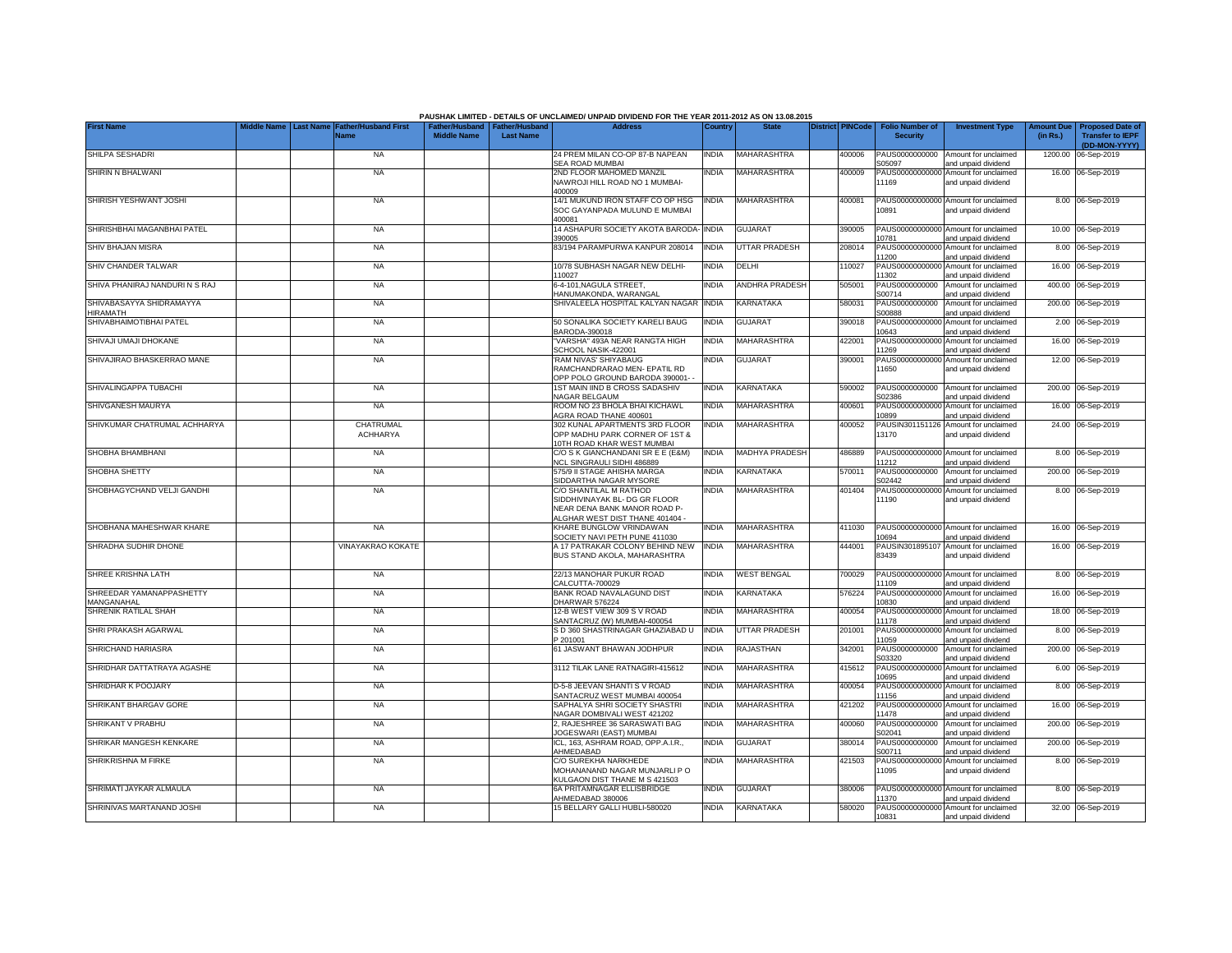|                                             | Middle Name |                  |                                            |                                                       |                  | PAUSHAK LIMITED - DETAILS OF UNCLAIMED/ UNPAID DIVIDEND FOR THE YEAR 2011-2012 AS ON 13.08.2015<br><b>Address</b>          |              |                       |                         |                                           |                                                             |                               |                                                                     |
|---------------------------------------------|-------------|------------------|--------------------------------------------|-------------------------------------------------------|------------------|----------------------------------------------------------------------------------------------------------------------------|--------------|-----------------------|-------------------------|-------------------------------------------|-------------------------------------------------------------|-------------------------------|---------------------------------------------------------------------|
| <b>First Name</b>                           |             | <b>Last Name</b> | <b>Father/Husband First</b><br><b>Name</b> | Father/Husband   Father/Husband<br><b>Middle Name</b> | <b>Last Name</b> |                                                                                                                            | Country      | <b>State</b>          | <b>District PINCode</b> | <b>Folio Number of</b><br><b>Security</b> | <b>Investment Type</b>                                      | <b>Amount Due</b><br>(in Rs.) | <b>Proposed Date of</b><br><b>Transfer to IEPF</b><br>(DD-MON-YYYY) |
| SHILPA SESHADRI                             |             |                  | <b>NA</b>                                  |                                                       |                  | 24 PREM MILAN CO-OP 87-B NAPEAN<br>SEA ROAD MUMBAI                                                                         | <b>INDIA</b> | <b>MAHARASHTRA</b>    | 400006                  | PAUS0000000000<br>S05097                  | Amount for unclaimed<br>and unpaid dividend                 | 1200.00                       | 06-Sep-2019                                                         |
| SHIRIN N BHALWANI                           |             |                  | <b>NA</b>                                  |                                                       |                  | 2ND FLOOR MAHOMED MANZIL<br>NAWROJI HILL ROAD NO 1 MUMBAI-<br>400009                                                       | INDIA        | <b>MAHARASHTRA</b>    | 400009                  | 11169                                     | PAUS00000000000 Amount for unclaimed<br>and unpaid dividend |                               | 16.00 06-Sep-2019                                                   |
| SHIRISH YESHWANT JOSHI                      |             |                  | <b>NA</b>                                  |                                                       |                  | 14/1 MUKUND IRON STAFF CO OP HSG<br>SOC GAYANPADA MULUND E MUMBAI<br>400081                                                | INDIA        | <b>MAHARASHTRA</b>    | 400081                  | 10891                                     | PAUS00000000000 Amount for unclaimed<br>and unpaid dividend |                               | 8.00 06-Sep-2019                                                    |
| SHIRISHBHAI MAGANBHAI PATEL                 |             |                  | <b>NA</b>                                  |                                                       |                  | 14 ASHAPURI SOCIETY AKOTA BARODA-<br>390005                                                                                | <b>INDIA</b> | <b>GUJARAT</b>        | 390005                  | 10781                                     | PAUS00000000000 Amount for unclaimed<br>and unpaid dividend |                               | 10.00 06-Sep-2019                                                   |
| SHIV BHAJAN MISRA                           |             |                  | <b>NA</b>                                  |                                                       |                  | 83/194 PARAMPURWA KANPUR 208014                                                                                            | <b>INDIA</b> | UTTAR PRADESH         | 208014                  | PAUS0000000000<br>1200                    | Amount for unclaimed<br>and unpaid dividend                 |                               | 8.00 06-Sep-2019                                                    |
| SHIV CHANDER TALWAR                         |             |                  | <b>NA</b>                                  |                                                       |                  | 10/78 SUBHASH NAGAR NEW DELHI-<br>110027                                                                                   | India        | DELHI                 | 10027                   | PAUS0000000000<br>1302                    | Amount for unclaimed<br>and unpaid dividend                 |                               | 16.00 06-Sep-2019                                                   |
| SHIVA PHANIRAJ NANDURI N S RAJ              |             |                  | <b>NA</b>                                  |                                                       |                  | 6-4-101.NAGULA STREET.<br>HANUMAKONDA, WARANGAL                                                                            | <b>INDIA</b> | ANDHRA PRADESH        | 505001                  | PAUS0000000000<br>S00714                  | Amount for unclaimed<br>and unpaid dividend                 |                               | 400.00 06-Sep-2019                                                  |
| SHIVABASAYYA SHIDRAMAYYA<br><b>HIRAMATH</b> |             |                  | <b>NA</b>                                  |                                                       |                  | SHIVALEELA HOSPITAL KALYAN NAGAR                                                                                           | <b>INDIA</b> | KARNATAKA             | 580031                  | PAUS0000000000<br>300888                  | Amount for unclaimed<br>and unpaid dividend                 |                               | 200.00 06-Sep-2019                                                  |
| SHIVABHAIMOTIBHAI PATEL                     |             |                  | <b>NA</b>                                  |                                                       |                  | 50 SONALIKA SOCIETY KARELI BAUG<br>BARODA-390018                                                                           | INDIA        | <b>GUJARAT</b>        | 390018                  | PAUS0000000000<br>0643                    | Amount for unclaimed<br>and unpaid dividend                 |                               | 2.00 06-Sep-2019                                                    |
| SHIVAJI UMAJI DHOKANE                       |             |                  | <b>NA</b>                                  |                                                       |                  | 'VARSHA" 493A NEAR RANGTA HIGH<br>SCHOOL NASIK-422001                                                                      | <b>INDIA</b> | MAHARASHTRA           | 422001                  | PAUS00000000000<br>1269                   | Amount for unclaimed<br>and unpaid dividend                 |                               | 16.00 06-Sep-2019                                                   |
| SHIVAJIRAO BHASKERRAO MANE                  |             |                  | <b>NA</b>                                  |                                                       |                  | 'RAM NIVAS' SHIYABAUG<br>RAMCHANDRARAO MEN- EPATIL RD<br>OPP POLO GROUND BARODA 390001-                                    | <b>INDIA</b> | <b>GUJARAT</b>        | 390001                  | 1650                                      | PAUS00000000000 Amount for unclaimed<br>and unpaid dividend |                               | 12.00 06-Sep-2019                                                   |
| SHIVALINGAPPA TUBACHI                       |             |                  | <b>NA</b>                                  |                                                       |                  | 1ST MAIN IIND B CROSS SADASHIV<br>NAGAR BELGAUM                                                                            | INDIA        | KARNATAKA             | 590002                  | PAUS0000000000<br>S02386                  | Amount for unclaimed<br>and unpaid dividend                 |                               | 200.00 06-Sep-2019                                                  |
| SHIVGANESH MAURYA                           |             |                  | <b>NA</b>                                  |                                                       |                  | ROOM NO 23 BHOLA BHAI KICHAWL<br>AGRA ROAD THANE 400601                                                                    | INDIA        | MAHARASHTRA           | 400601                  | PAUS00000000000<br>10899                  | Amount for unclaimed<br>and unpaid dividend                 |                               | 16.00 06-Sep-2019                                                   |
| SHIVKUMAR CHATRUMAL ACHHARYA                |             |                  | CHATRUMAL<br><b>ACHHARYA</b>               |                                                       |                  | 302 KUNAL APARTMENTS 3RD FLOOR<br>OPP MADHU PARK CORNER OF 1ST &<br>10TH ROAD KHAR WEST MUMBAI                             | <b>INDIA</b> | <b>MAHARASHTRA</b>    | 400052                  | PAUSIN301151126<br>13170                  | Amount for unclaimed<br>and unpaid dividend                 |                               | 24.00 06-Sep-2019                                                   |
| SHOBHA BHAMBHANI                            |             |                  | <b>NA</b>                                  |                                                       |                  | C/O S K GIANCHANDANI SR E E (E&M)<br>NCL SINGRAULI SIDHI 486889                                                            | <b>INDIA</b> | <b>MADHYA PRADESH</b> | 486889                  | 11212                                     | PAUS00000000000 Amount for unclaimed<br>and unpaid dividend |                               | 8.00 06-Sep-2019                                                    |
| SHOBHA SHETTY                               |             |                  | <b>NA</b>                                  |                                                       |                  | 575/9 II STAGE AHISHA MARGA<br>SIDDARTHA NAGAR MYSORE                                                                      | india        | KARNATAKA             | 570011                  | PAUS0000000000<br>S02442                  | Amount for unclaimed<br>and unpaid dividend                 | 200.00                        | 06-Sep-2019                                                         |
| SHOBHAGYCHAND VELJI GANDHI                  |             |                  | <b>NA</b>                                  |                                                       |                  | C/O SHANTILAL M RATHOD<br>SIDDHIVINAYAK BL- DG GR FLOOR<br>NEAR DENA BANK MANOR ROAD P-<br>ALGHAR WEST DIST THANE 401404 - | <b>INDIA</b> | <b>MAHARASHTRA</b>    | 401404                  | PAUS0000000000<br>11190                   | Amount for unclaimed<br>and unpaid dividend                 |                               | 8.00 06-Sep-2019                                                    |
| SHOBHANA MAHESHWAR KHARE                    |             |                  | <b>NA</b>                                  |                                                       |                  | KHARE BUNGLOW VRINDAWAN<br>SOCIETY NAVI PETH PUNE 411030                                                                   | <b>INDIA</b> | MAHARASHTRA           | 411030                  | 10694                                     | PAUS00000000000 Amount for unclaimed<br>and unpaid dividend |                               | 16.00 06-Sep-2019                                                   |
| SHRADHA SUDHIR DHONE                        |             |                  | VINAYAKRAO KOKATE                          |                                                       |                  | A 17 PATRAKAR COLONY BEHIND NEW<br>BUS STAND AKOLA, MAHARASHTRA                                                            | <b>INDIA</b> | <b>MAHARASHTRA</b>    | 444001                  | PAUSIN301895107<br>83439                  | Amount for unclaimed<br>and unpaid dividend                 |                               | 16.00 06-Sep-2019                                                   |
| SHREE KRISHNA LATH                          |             |                  | <b>NA</b>                                  |                                                       |                  | 22/13 MANOHAR PUKUR ROAD<br>CALCUTTA-700029                                                                                | INDIA        | <b>WEST BENGAL</b>    | 700029                  | 11109                                     | PAUS00000000000 Amount for unclaimed<br>and unpaid dividend |                               | 8.00 06-Sep-2019                                                    |
| SHREEDAR YAMANAPPASHETTY<br>MANGANAHAL      |             |                  | <b>NA</b>                                  |                                                       |                  | BANK ROAD NAVALAGUND DIST<br>DHARWAR 576224                                                                                | INDIA        | KARNATAKA             | 576224                  | PAUS00000000000<br>10830                  | Amount for unclaimed<br>and unpaid dividend                 |                               | 16.00 06-Sep-2019                                                   |
| SHRENIK RATILAL SHAH                        |             |                  | <b>NA</b>                                  |                                                       |                  | 12-B WEST VIEW 309 S V ROAD<br>SANTACRUZ (W) MUMBAI-400054                                                                 | INDIA        | MAHARASHTRA           | 400054                  | PAUS00000000000<br>11178                  | Amount for unclaimed<br>and unpaid dividend                 |                               | 18.00 06-Sep-2019                                                   |
| SHRI PRAKASH AGARWAL                        |             |                  | <b>NA</b>                                  |                                                       |                  | S D 360 SHASTRINAGAR GHAZIABAD U<br>P 201001                                                                               | <b>INDIA</b> | <b>UTTAR PRADESH</b>  | 201001                  | PAUS00000000000<br>11059                  | Amount for unclaimed<br>and unpaid dividend                 |                               | 8.00 06-Sep-2019                                                    |
| SHRICHAND HARIASRA                          |             |                  | <b>NA</b>                                  |                                                       |                  | 61 JASWANT BHAWAN JODHPUR                                                                                                  | <b>INDIA</b> | RAJASTHAN             | 342001                  | PAUS0000000000<br>S03320                  | Amount for unclaimed<br>and unpaid dividend                 |                               | 200.00 06-Sep-2019                                                  |
| SHRIDHAR DATTATRAYA AGASHE                  |             |                  | <b>NA</b>                                  |                                                       |                  | 3112 TILAK LANE RATNAGIRI-415612                                                                                           | india        | MAHARASHTRA           | 415612                  | PAUS0000000000<br>10695                   | Amount for unclaimed<br>and unpaid dividend                 |                               | 6.00 06-Sep-2019                                                    |
| SHRIDHAR K POOJARY                          |             |                  | <b>NA</b>                                  |                                                       |                  | D-5-8 JEEVAN SHANTI S V ROAD<br>SANTACRUZ WEST MUMBAI 400054                                                               | <b>INDIA</b> | MAHARASHTRA           | 400054                  | PAUS00000000000<br>11156                  | Amount for unclaimed<br>and unpaid dividend                 |                               | 8.00 06-Sep-2019                                                    |
| SHRIKANT BHARGAV GORE                       |             |                  | <b>NA</b>                                  |                                                       |                  | SAPHALYA SHRI SOCIETY SHASTRI<br>NAGAR DOMBIVALI WEST 421202                                                               | India        | MAHARASHTRA           | 421202                  | PAUS00000000000<br>1478                   | Amount for unclaimed<br>and unpaid dividend                 |                               | 16.00 06-Sep-2019                                                   |
| SHRIKANT V PRABHU                           |             |                  | <b>NA</b>                                  |                                                       |                  | 2, RAJESHREE 36 SARASWATI BAG<br><b>JOGESWARI (EAST) MUMBAI</b>                                                            | india        | MAHARASHTRA           | 400060                  | PAUS0000000000<br>S02041                  | Amount for unclaimed<br>and unpaid dividend                 |                               | 200.00 06-Sep-2019                                                  |
| SHRIKAR MANGESH KENKARE                     |             |                  | <b>NA</b>                                  |                                                       |                  | ICL, 163, ASHRAM ROAD, OPP.A.I.R.,<br>AHMEDABAD                                                                            | India        | <b>GUJARAT</b>        | 380014                  | PAUS0000000000<br>300711                  | Amount for unclaimed<br>and unpaid dividend                 |                               | 200.00 06-Sep-2019                                                  |
| <b>SHRIKRISHNA M FIRKE</b>                  |             |                  | <b>NA</b>                                  |                                                       |                  | C/O SUREKHA NARKHEDE<br>MOHANANAND NAGAR MUNJARLI P O<br>KULGAON DIST THANE M S 421503                                     | INDIA        | <b>MAHARASHTRA</b>    | 421503                  | 11095                                     | PAUS00000000000 Amount for unclaimed<br>and unpaid dividend |                               | 8.00 06-Sep-2019                                                    |
| SHRIMATI JAYKAR ALMAULA                     |             |                  | <b>NA</b>                                  |                                                       |                  | 6A PRITAMNAGAR ELLISBRIDGE<br>AHMEDABAD 380006                                                                             | <b>INDIA</b> | <b>GUJARAT</b>        | 380006                  | 11370                                     | PAUS00000000000 Amount for unclaimed<br>and unpaid dividend |                               | 8.00 06-Sep-2019                                                    |
| SHRINIVAS MARTANAND JOSHI                   |             |                  | <b>NA</b>                                  |                                                       |                  | 15 BELLARY GALLI HUBLI-580020                                                                                              | <b>INDIA</b> | KARNATAKA             | 580020                  | 10831                                     | PAUS00000000000 Amount for unclaimed<br>and unpaid dividend |                               | 32.00 06-Sep-2019                                                   |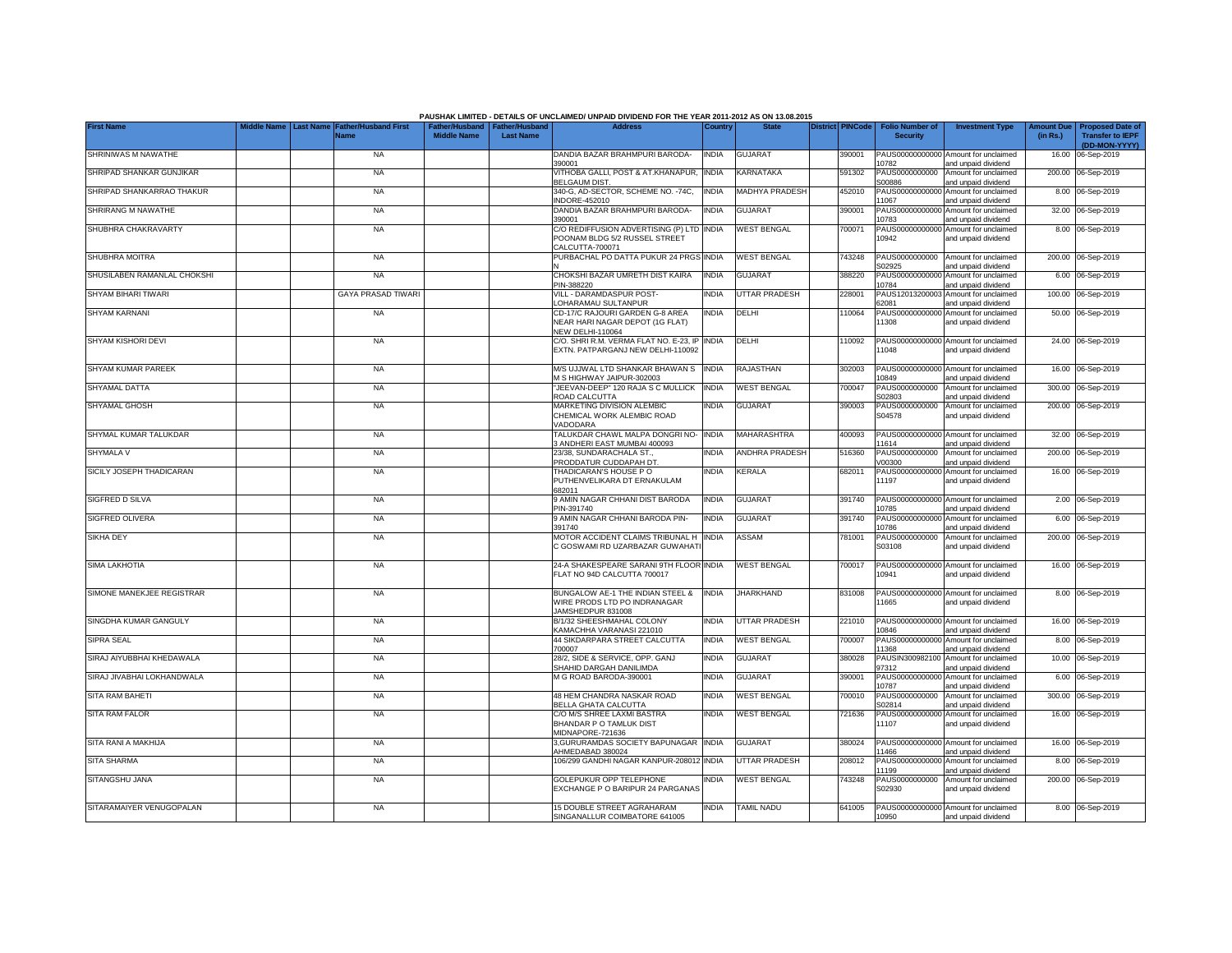|                             |             |                  |                                            |                                                       |                  | PAUSHAK LIMITED - DETAILS OF UNCLAIMED/ UNPAID DIVIDEND FOR THE YEAR 2011-2012 AS ON 13.08.2015 |              |                       |                         |                                           |                                                                    |                               |                                                    |
|-----------------------------|-------------|------------------|--------------------------------------------|-------------------------------------------------------|------------------|-------------------------------------------------------------------------------------------------|--------------|-----------------------|-------------------------|-------------------------------------------|--------------------------------------------------------------------|-------------------------------|----------------------------------------------------|
| <b>First Name</b>           | Middle Name | <b>Last Name</b> | <b>Father/Husband First</b><br><b>Name</b> | Father/Husband   Father/Husband<br><b>Middle Name</b> | <b>Last Name</b> | <b>Address</b>                                                                                  | Country      | <b>State</b>          | <b>District PINCode</b> | <b>Folio Number of</b><br><b>Security</b> | <b>Investment Type</b>                                             | <b>Amount Due</b><br>(in Rs.) | <b>Proposed Date of</b><br><b>Transfer to IEPF</b> |
| SHRINIWAS M NAWATHE         |             |                  | <b>NA</b>                                  |                                                       |                  | DANDIA BAZAR BRAHMPURI BARODA-                                                                  | <b>INDIA</b> | <b>GUJARAT</b>        | 390001                  |                                           | PAUS00000000000 Amount for unclaimed                               |                               | (DD-MON-YYYY)<br>16.00 06-Sep-2019                 |
| SHRIPAD SHANKAR GUNJIKAR    |             |                  | <b>NA</b>                                  |                                                       |                  | 390001<br>VITHOBA GALLI, POST & AT.KHANAPUR,<br><b>BELGAUM DIST.</b>                            | <b>INDIA</b> | KARNATAKA             | 591302                  | 10782<br>PAUS0000000000<br>S00886         | and unpaid dividend<br>Amount for unclaimed<br>and unpaid dividend |                               | 200.00 06-Sep-2019                                 |
| SHRIPAD SHANKARRAO THAKUR   |             |                  | <b>NA</b>                                  |                                                       |                  | 340-G, AD-SECTOR, SCHEME NO. - 74C,<br><b>INDORE-452010</b>                                     | <b>INDIA</b> | <b>MADHYA PRADESH</b> | 452010                  | PAUS00000000000<br>11067                  | Amount for unclaimed                                               |                               | 8.00 06-Sep-2019                                   |
| SHRIRANG M NAWATHE          |             |                  | <b>NA</b>                                  |                                                       |                  | DANDIA BAZAR BRAHMPURI BARODA-<br>390001                                                        | <b>INDIA</b> | <b>GUJARAT</b>        | 390001                  | PAUS00000000000                           | and unpaid dividend<br>Amount for unclaimed                        |                               | 32.00 06-Sep-2019                                  |
| SHUBHRA CHAKRAVARTY         |             |                  | <b>NA</b>                                  |                                                       |                  | C/O REDIFFUSION ADVERTISING (P) LTD INDIA<br>POONAM BLDG 5/2 RUSSEL STREET<br>CALCUTTA-700071   |              | <b>WEST BENGAL</b>    | 700071                  | 10783<br>PAUS00000000000<br>10942         | and unpaid dividend<br>Amount for unclaimed<br>and unpaid dividend |                               | 8.00 06-Sep-2019                                   |
| SHUBHRA MOITRA              |             |                  | <b>NA</b>                                  |                                                       |                  | PURBACHAL PO DATTA PUKUR 24 PRGS                                                                | <b>INDIA</b> | <b>WEST BENGAL</b>    | 43248                   | PAUS0000000000<br>302925                  | Amount for unclaimed<br>and unpaid dividend                        |                               | 200.00 06-Sep-2019                                 |
| SHUSILABEN RAMANLAL CHOKSHI |             |                  | <b>NA</b>                                  |                                                       |                  | CHOKSHI BAZAR UMRETH DIST KAIRA<br>PIN-388220                                                   | <b>INDIA</b> | <b>GUJARAT</b>        | 388220                  | PAUS0000000000<br>10784                   | Amount for unclaimed<br>and unpaid dividend                        |                               | 6.00 06-Sep-2019                                   |
| SHYAM BIHARI TIWARI         |             |                  | <b>GAYA PRASAD TIWARI</b>                  |                                                       |                  | VILL - DARAMDASPUR POST-<br>OHARAMAU SULTANPUR                                                  | <b>INDIA</b> | <b>UTTAR PRADESH</b>  | 228001                  | PAUS12013200003<br>62081                  | Amount for unclaimed<br>and unpaid dividend                        |                               | 100.00 06-Sep-2019                                 |
| <b>SHYAM KARNANI</b>        |             |                  | <b>NA</b>                                  |                                                       |                  | CD-17/C RAJOURI GARDEN G-8 AREA<br>NEAR HARI NAGAR DEPOT (1G FLAT)<br><b>NEW DELHI-110064</b>   | <b>INDIA</b> | DELHI                 | 110064                  | PAUS00000000000<br>11308                  | Amount for unclaimed<br>and unpaid dividend                        |                               | 50.00 06-Sep-2019                                  |
| SHYAM KISHORI DEVI          |             |                  | <b>NA</b>                                  |                                                       |                  | C/O. SHRI R.M. VERMA FLAT NO. E-23, IP<br>EXTN. PATPARGANJ NEW DELHI-110092                     | <b>INDIA</b> | DELHI                 | 110092                  | 11048                                     | PAUS00000000000 Amount for unclaimed<br>and unpaid dividend        |                               | 24.00 06-Sep-2019                                  |
| SHYAM KUMAR PAREEK          |             |                  | <b>NA</b>                                  |                                                       |                  | M/S UJJWAL LTD SHANKAR BHAWAN S<br>M S HIGHWAY JAIPUR-302003                                    | <b>INDIA</b> | <b>RAJASTHAN</b>      | 302003                  | 10849                                     | PAUS00000000000 Amount for unclaimed<br>and unpaid dividend        |                               | 16.00 06-Sep-2019                                  |
| SHYAMAL DATTA               |             |                  | <b>NA</b>                                  |                                                       |                  | JEEVAN-DEEP" 120 RAJA S C MULLICK<br>ROAD CALCUTTA                                              | <b>INDIA</b> | <b>WEST BENGAL</b>    | 700047                  | PAUS0000000000<br>S02803                  | Amount for unclaimed<br>and unpaid dividend                        |                               | 300.00 06-Sep-2019                                 |
| <b>SHYAMAL GHOSH</b>        |             |                  | <b>NA</b>                                  |                                                       |                  | MARKETING DIVISION ALEMBIC<br>CHEMICAL WORK ALEMBIC ROAD<br>VADODARA                            | INDIA        | <b>GUJARAT</b>        | 390003                  | PAUS0000000000<br>S04578                  | Amount for unclaimed<br>and unpaid dividend                        |                               | 200.00 06-Sep-2019                                 |
| SHYMAL KUMAR TALUKDAR       |             |                  | <b>NA</b>                                  |                                                       |                  | TALUKDAR CHAWL MALPA DONGRI NO- INDIA<br>3 ANDHERI EAST MUMBAI 400093                           |              | <b>MAHARASHTRA</b>    | 400093                  | 11614                                     | PAUS00000000000 Amount for unclaimed<br>and unpaid dividend        |                               | 32.00 06-Sep-2019                                  |
| SHYMALA V                   |             |                  | <b>NA</b>                                  |                                                       |                  | 23/38, SUNDARACHALA ST.,<br>PRODDATUR CUDDAPAH DT                                               | <b>INDIA</b> | <b>ANDHRA PRADESH</b> | 516360                  | PAUS0000000000<br>V00300                  | Amount for unclaimed<br>and unpaid dividend                        | 200.00                        | 06-Sep-2019                                        |
| SICILY JOSEPH THADICARAN    |             |                  | <b>NA</b>                                  |                                                       |                  | THADICARAN'S HOUSE PO<br>PUTHENVELIKARA DT ERNAKULAM<br>682011                                  | india        | KERALA                | 682011                  | PAUS0000000000<br>11197                   | Amount for unclaimed<br>and unpaid dividend                        |                               | 16.00 06-Sep-2019                                  |
| SIGFRED D SILVA             |             |                  | <b>NA</b>                                  |                                                       |                  | 9 AMIN NAGAR CHHANI DIST BARODA<br>PIN-391740                                                   | INDIA        | <b>GUJARAT</b>        | 391740                  | 10785                                     | PAUS00000000000 Amount for unclaimed<br>and unpaid dividend        |                               | 2.00 06-Sep-2019                                   |
| <b>SIGFRED OLIVERA</b>      |             |                  | <b>NA</b>                                  |                                                       |                  | 9 AMIN NAGAR CHHANI BARODA PIN-<br>391740                                                       | india        | <b>GUJARAT</b>        | 391740                  | PAUS0000000000<br>10786                   | Amount for unclaimed<br>and unpaid dividend                        | 6.00                          | 06-Sep-2019                                        |
| <b>SIKHA DEY</b>            |             |                  | <b>NA</b>                                  |                                                       |                  | MOTOR ACCIDENT CLAIMS TRIBUNAL H<br>C GOSWAMI RD UZARBAZAR GUWAHAT                              | <b>INDIA</b> | ASSAM                 | 781001                  | PAUS0000000000<br>S03108                  | Amount for unclaimed<br>and unpaid dividend                        |                               | 200.00 06-Sep-2019                                 |
| <b>SIMA LAKHOTIA</b>        |             |                  | <b>NA</b>                                  |                                                       |                  | 24-A SHAKESPEARE SARANI 9TH FLOOR INDIA<br>FLAT NO 94D CALCUTTA 700017                          |              | <b>WEST BENGAL</b>    | 700017                  | 10941                                     | PAUS00000000000 Amount for unclaimed<br>and unpaid dividend        |                               | 16.00 06-Sep-2019                                  |
| SIMONE MANEKJEE REGISTRAR   |             |                  | <b>NA</b>                                  |                                                       |                  | BUNGALOW AE-1 THE INDIAN STEEL &<br>WIRE PRODS LTD PO INDRANAGAR<br>JAMSHEDPUR 831008           | <b>INDIA</b> | <b>JHARKHAND</b>      | 831008                  | 1665                                      | PAUS00000000000 Amount for unclaimed<br>and unpaid dividend        |                               | 8.00 06-Sep-2019                                   |
| SINGDHA KUMAR GANGULY       |             |                  | <b>NA</b>                                  |                                                       |                  | B/1/32 SHEESHMAHAL COLONY<br>KAMACHHA VARANASI 221010                                           | INDIA        | <b>UTTAR PRADESH</b>  | 221010                  | 10846                                     | PAUS00000000000 Amount for unclaimed<br>and unpaid dividend        |                               | 16.00 06-Sep-2019                                  |
| SIPRA SEAL                  |             |                  | <b>NA</b>                                  |                                                       |                  | 44 SIKDARPARA STREET CALCUTTA<br>700007                                                         | INDIA        | <b>WEST BENGAL</b>    | 700007                  | PAUS0000000000<br>11368                   | Amount for unclaimed<br>and unpaid dividend                        |                               | 8.00 06-Sep-2019                                   |
| SIRAJ AIYUBBHAI KHEDAWALA   |             |                  | <b>NA</b>                                  |                                                       |                  | 28/2, SIDE & SERVICE, OPP. GANJ<br>SHAHID DARGAH DANILIMDA                                      | INDIA        | GUJARAT               | 380028                  | PAUSIN300982100<br>97312                  | Amount for unclaimed<br>and unpaid dividend                        |                               | 10.00 06-Sep-2019                                  |
| SIRAJ JIVABHAI LOKHANDWALA  |             |                  | <b>NA</b>                                  |                                                       |                  | M G ROAD BARODA-390001                                                                          | INDIA        | <b>GUJARAT</b>        | 390001                  | PAUS0000000000<br>10787                   | Amount for unclaimed<br>and unpaid dividend                        |                               | 6.00 06-Sep-2019                                   |
| <b>SITA RAM BAHETI</b>      |             |                  | <b>NA</b>                                  |                                                       |                  | 48 HEM CHANDRA NASKAR ROAD<br>BELLA GHATA CALCUTTA                                              | India        | <b>WEST BENGAL</b>    | 700010                  | PAUS0000000000<br>S02814                  | Amount for unclaimed<br>and unpaid dividend                        |                               | 300.00 06-Sep-2019                                 |
| <b>SITA RAM FALOR</b>       |             |                  | <b>NA</b>                                  |                                                       |                  | C/O M/S SHREE LAXMI BASTRA<br>BHANDAR P O TAMLUK DIST<br>MIDNAPORE-721636                       | India        | <b>WEST BENGAL</b>    | 721636                  | 11107                                     | PAUS00000000000 Amount for unclaimed<br>and unpaid dividend        |                               | 16.00 06-Sep-2019                                  |
| SITA RANI A MAKHIJA         |             |                  | <b>NA</b>                                  |                                                       |                  | 3, GURURAMDAS SOCIETY BAPUNAGAR INDIA<br>AHMEDABAD 380024                                       |              | <b>GUJARAT</b>        | 380024                  | 1466                                      | PAUS00000000000 Amount for unclaimed<br>and unpaid dividend        |                               | 16.00 06-Sep-2019                                  |
| <b>SITA SHARMA</b>          |             |                  | <b>NA</b>                                  |                                                       |                  | 106/299 GANDHI NAGAR KANPUR-208012                                                              | <b>INDIA</b> | UTTAR PRADESH         | 208012                  | 11199                                     | PAUS00000000000 Amount for unclaimed<br>and unpaid dividend        |                               | 8.00 06-Sep-2019                                   |
| SITANGSHU JANA              |             |                  | <b>NA</b>                                  |                                                       |                  | <b>GOLEPUKUR OPP TELEPHONE</b><br>EXCHANGE P O BARIPUR 24 PARGANAS                              | <b>INDIA</b> | <b>WEST BENGAL</b>    | 743248                  | PAUS0000000000<br>S02930                  | Amount for unclaimed<br>and unpaid dividend                        |                               | 200.00 06-Sep-2019                                 |
| SITARAMAIYER VENUGOPALAN    |             |                  | <b>NA</b>                                  |                                                       |                  | 15 DOUBLE STREET AGRAHARAM<br>SINGANALLUR COIMBATORE 641005                                     | <b>INDIA</b> | <b>TAMIL NADU</b>     | 641005                  | 10950                                     | PAUS00000000000 Amount for unclaimed<br>and unpaid dividend        |                               | 8.00 06-Sep-2019                                   |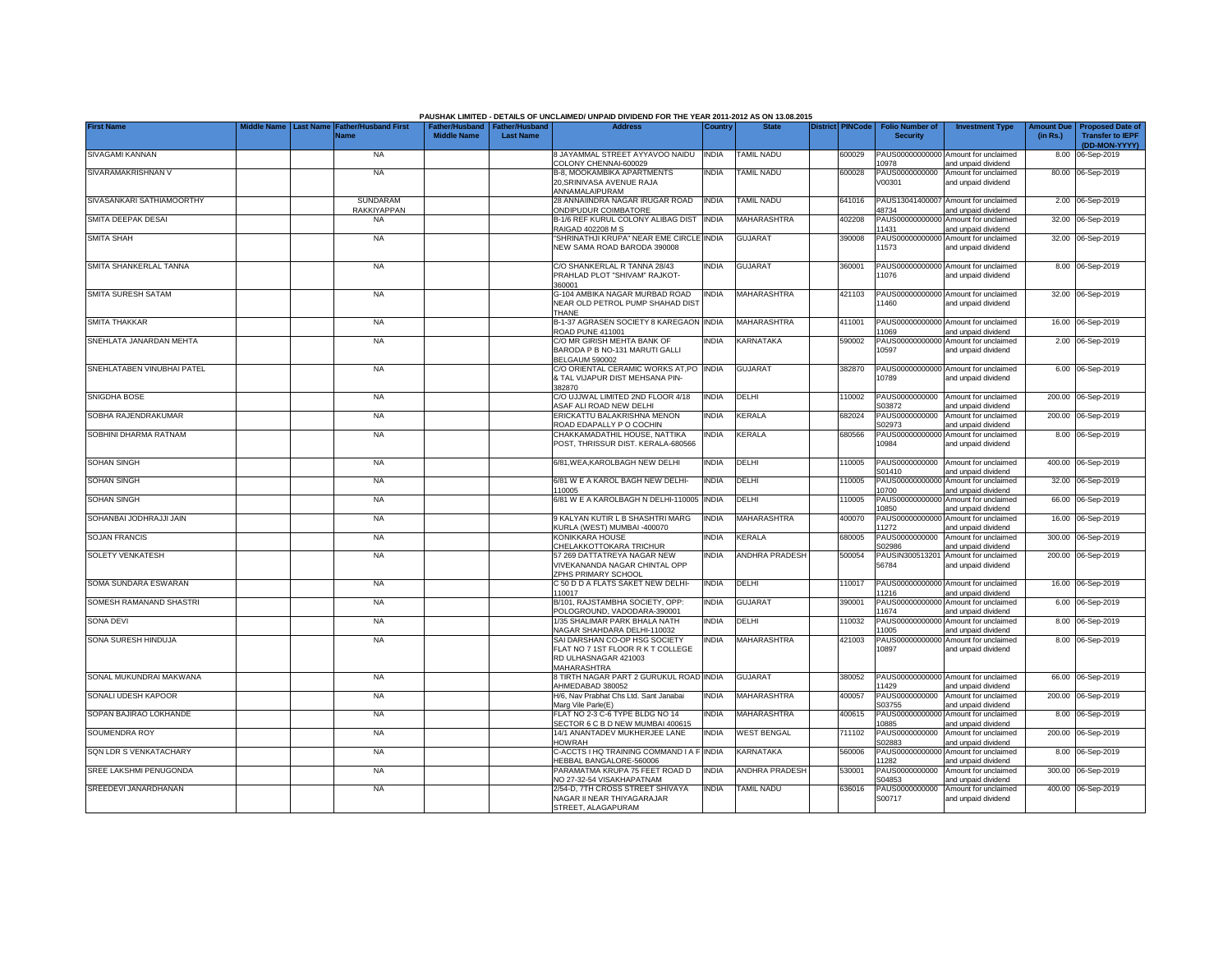|                            |                                 |                                            |                    |                                                     | PAUSHAK LIMITED - DETAILS OF UNCLAIMED/ UNPAID DIVIDEND FOR THE YEAR 2011-2012 AS ON 13.08.2015           |                |                       |                         |                                           |                                                             |                               |                                                                     |
|----------------------------|---------------------------------|--------------------------------------------|--------------------|-----------------------------------------------------|-----------------------------------------------------------------------------------------------------------|----------------|-----------------------|-------------------------|-------------------------------------------|-------------------------------------------------------------|-------------------------------|---------------------------------------------------------------------|
| <b>First Name</b>          | Middle Name<br><b>Last Name</b> | <b>Father/Husband First</b><br><b>Name</b> | <b>Middle Name</b> | Father/Husband   Father/Husband<br><b>Last Name</b> | <b>Address</b>                                                                                            | <b>Country</b> | <b>State</b>          | <b>District PINCode</b> | <b>Folio Number of</b><br><b>Security</b> | <b>Investment Type</b>                                      | <b>Amount Due</b><br>(in Rs.) | <b>Proposed Date of</b><br><b>Transfer to IEPF</b><br>(DD-MON-YYYY) |
| <b>SIVAGAMI KANNAN</b>     |                                 | <b>NA</b>                                  |                    |                                                     | 8 JAYAMMAL STREET AYYAVOO NAIDU<br>COLONY CHENNAI-600029                                                  | <b>INDIA</b>   | TAMIL NADU            | 600029                  | 10978                                     | PAUS00000000000 Amount for unclaimed<br>and unpaid dividend |                               | 8.00 06-Sep-2019                                                    |
| SIVARAMAKRISHNAN V         |                                 | <b>NA</b>                                  |                    |                                                     | <b>B-8. MOOKAMBIKA APARTMENTS</b><br>20.SRINIVASA AVENUE RAJA<br>ANNAMALAIPURAM                           | <b>INDIA</b>   | TAMIL NADU            | 600028                  | PAUS0000000000<br>V00301                  | Amount for unclaimed<br>and unpaid dividend                 |                               | 80.00 06-Sep-2019                                                   |
| SIVASANKARI SATHIAMOORTHY  |                                 | SUNDARAM<br><b>RAKKIYAPPAN</b>             |                    |                                                     | 28 ANNAIINDRA NAGAR IRUGAR ROAD<br>ONDIPUDUR COIMBATORE                                                   | <b>INDIA</b>   | <b>TAMIL NADU</b>     | 641016                  | 48734                                     | PAUS13041400007 Amount for unclaimed<br>and unpaid dividend |                               | 2.00 06-Sep-2019                                                    |
| SMITA DEEPAK DESAI         |                                 | <b>NA</b>                                  |                    |                                                     | B-1/6 REF KURUL COLONY ALIBAG DIST<br>RAIGAD 402208 M S                                                   | <b>INDIA</b>   | MAHARASHTRA           | 402208                  | PAUS00000000000<br>11431                  | Amount for unclaimed<br>and unpaid dividend                 |                               | 32.00 06-Sep-2019                                                   |
| <b>SMITA SHAH</b>          |                                 | <b>NA</b>                                  |                    |                                                     | SHRINATHJI KRUPA" NEAR EME CIRCLE INDIA<br>NEW SAMA ROAD BARODA 390008                                    |                | <b>GUJARAT</b>        | 390008                  | 11573                                     | PAUS00000000000 Amount for unclaimed<br>and unpaid dividend |                               | 32.00 06-Sep-2019                                                   |
| SMITA SHANKERLAL TANNA     |                                 | <b>NA</b>                                  |                    |                                                     | C/O SHANKERLAL R TANNA 28/43<br>PRAHLAD PLOT "SHIVAM" RAJKOT-<br>360001                                   | India          | <b>GUJARAT</b>        | 360001                  | 11076                                     | PAUS00000000000 Amount for unclaimed<br>and unpaid dividend |                               | 8.00 06-Sep-2019                                                    |
| <b>SMITA SURESH SATAM</b>  |                                 | <b>NA</b>                                  |                    |                                                     | G-104 AMBIKA NAGAR MURBAD ROAD<br>NEAR OLD PETROL PUMP SHAHAD DIST<br><b>THANE</b>                        | <b>INDIA</b>   | <b>MAHARASHTRA</b>    | 421103                  | 11460                                     | PAUS00000000000 Amount for unclaimed<br>and unpaid dividend |                               | 32.00 06-Sep-2019                                                   |
| SMITA THAKKAR              |                                 | <b>NA</b>                                  |                    |                                                     | B-1-37 AGRASEN SOCIETY 8 KAREGAON INDIA<br>ROAD PUNE 411001                                               |                | MAHARASHTRA           | 411001                  | 11069                                     | PAUS00000000000 Amount for unclaimed<br>and unpaid dividend |                               | 16.00 06-Sep-2019                                                   |
| SNEHLATA JANARDAN MEHTA    |                                 | <b>NA</b>                                  |                    |                                                     | C/O MR GIRISH MEHTA BANK OF<br>BARODA P B NO-131 MARUTI GALLI<br>BELGAUM 590002                           | INDIA          | KARNATAKA             | 590002                  | 10597                                     | PAUS00000000000 Amount for unclaimed<br>and unpaid dividend |                               | 2.00 06-Sep-2019                                                    |
| SNEHLATABEN VINUBHAI PATEL |                                 | <b>NA</b>                                  |                    |                                                     | C/O ORIENTAL CERAMIC WORKS AT, PO INDIA<br>& TAL VIJAPUR DIST MEHSANA PIN-<br>382870                      |                | <b>GUJARAT</b>        | 382870                  | 10789                                     | PAUS00000000000 Amount for unclaimed<br>and unpaid dividend |                               | 6.00 06-Sep-2019                                                    |
| SNIGDHA BOSE               |                                 | <b>NA</b>                                  |                    |                                                     | C/O UJJWAL LIMITED 2ND FLOOR 4/18<br>ASAF ALI ROAD NEW DELHI                                              | <b>INDIA</b>   | DELHI                 | 110002                  | S03872                                    | PAUS0000000000 Amount for unclaimed<br>and unpaid dividend  |                               | 200.00 06-Sep-2019                                                  |
| SOBHA RAJENDRAKUMAR        |                                 | <b>NA</b>                                  |                    |                                                     | ERICKATTU BALAKRISHNA MENON<br>ROAD EDAPALLY P O COCHIN                                                   | India          | <b>KERALA</b>         | 682024                  | PAUS0000000000<br>S02973                  | Amount for unclaimed<br>and unpaid dividend                 |                               | 200.00 06-Sep-2019                                                  |
| SOBHINI DHARMA RATNAM      |                                 | <b>NA</b>                                  |                    |                                                     | CHAKKAMADATHIL HOUSE, NATTIKA<br>POST, THRISSUR DIST. KERALA-680566                                       | india          | <b>KERALA</b>         | 680566                  | 10984                                     | PAUS00000000000 Amount for unclaimed<br>and unpaid dividend |                               | 8.00 06-Sep-2019                                                    |
| <b>SOHAN SINGH</b>         |                                 | <b>NA</b>                                  |                    |                                                     | 6/81, WEA, KAROLBAGH NEW DELHI                                                                            | india          | DELHI                 | 110005                  | PAUS0000000000<br>S01410                  | Amount for unclaimed<br>and unpaid dividend                 |                               | 400.00 06-Sep-2019                                                  |
| <b>SOHAN SINGH</b>         |                                 | <b>NA</b>                                  |                    |                                                     | 6/81 W E A KAROL BAGH NEW DELHI-<br>110005                                                                | <b>INDIA</b>   | DELHI                 | 110005                  | 10700                                     | PAUS00000000000 Amount for unclaimed<br>and unpaid dividend |                               | 32.00 06-Sep-2019                                                   |
| <b>SOHAN SINGH</b>         |                                 | <b>NA</b>                                  |                    |                                                     | 6/81 W E A KAROLBAGH N DELHI-110005                                                                       | <b>INDIA</b>   | DELHI                 | 110005                  | 10850                                     | PAUS00000000000 Amount for unclaimed<br>and unpaid dividend |                               | 66.00 06-Sep-2019                                                   |
| SOHANBAI JODHRAJJI JAIN    |                                 | <b>NA</b>                                  |                    |                                                     | 9 KALYAN KUTIR L B SHASHTRI MARG<br>KURLA (WEST) MUMBAI -400070                                           | <b>INDIA</b>   | MAHARASHTRA           | 400070                  | 11272                                     | PAUS00000000000 Amount for unclaimed<br>and unpaid dividend |                               | 16.00 06-Sep-2019                                                   |
| <b>SOJAN FRANCIS</b>       |                                 | <b>NA</b>                                  |                    |                                                     | KONIKKARA HOUSE<br>CHELAKKOTTOKARA TRICHUR                                                                | India          | KERALA                | 680005                  | PAUS0000000000<br>S02986                  | Amount for unclaimed<br>and unpaid dividend                 |                               | 300.00 06-Sep-2019                                                  |
| <b>SOLETY VENKATESH</b>    |                                 | <b>NA</b>                                  |                    |                                                     | 57 269 DATTATREYA NAGAR NEW<br>VIVEKANANDA NAGAR CHINTAL OPP<br>ZPHS PRIMARY SCHOOL                       | <b>INDIA</b>   | <b>ANDHRA PRADESH</b> | 500054                  | 56784                                     | PAUSIN300513201 Amount for unclaimed<br>and unpaid dividend |                               | 200.00 06-Sep-2019                                                  |
| SOMA SUNDARA ESWARAN       |                                 | <b>NA</b>                                  |                    |                                                     | C 50 D D A FLATS SAKET NEW DELHI-<br>110017                                                               | <b>INDIA</b>   | DELHI                 | 110017                  | 11216                                     | PAUS00000000000 Amount for unclaimed<br>and unpaid dividend |                               | 16.00 06-Sep-2019                                                   |
| SOMESH RAMANAND SHASTRI    |                                 | <b>NA</b>                                  |                    |                                                     | B/101, RAJSTAMBHA SOCIETY, OPP:<br>POLOGROUND, VADODARA-390001                                            | India          | <b>GUJARAT</b>        | 390001                  | 1674                                      | PAUS00000000000 Amount for unclaimed<br>and unpaid dividend |                               | 6.00 06-Sep-2019                                                    |
| <b>SONA DEVI</b>           |                                 | <b>NA</b>                                  |                    |                                                     | 1/35 SHALIMAR PARK BHALA NATH<br>NAGAR SHAHDARA DELHI-110032                                              | INDIA          | DELHI                 | 110032                  | 11005                                     | PAUS00000000000 Amount for unclaimed<br>and unpaid dividend |                               | 8.00 06-Sep-2019                                                    |
| SONA SURESH HINDUJA        |                                 | <b>NA</b>                                  |                    |                                                     | SAI DARSHAN CO-OP HSG SOCIETY<br>FLAT NO 7 1ST FLOOR R K T COLLEGE<br>RD ULHASNAGAR 421003<br>MAHARASHTRA | NDIA           | MAHARASHTRA           | 421003                  | 10897                                     | PAUS00000000000 Amount for unclaimed<br>and unpaid dividend |                               | 8.00 06-Sep-2019                                                    |
| SONAL MUKUNDRAI MAKWANA    |                                 | <b>NA</b>                                  |                    |                                                     | 8 TIRTH NAGAR PART 2 GURUKUL ROAD INDIA<br>AHMEDABAD 380052                                               |                | <b>GUJARAT</b>        | 380052                  | 11429                                     | PAUS00000000000 Amount for unclaimed<br>and unpaid dividend |                               | 66.00 06-Sep-2019                                                   |
| SONALI UDESH KAPOOR        |                                 | <b>NA</b>                                  |                    |                                                     | H/6, Nav Prabhat Chs Ltd, Sant Janabai<br>Marg Vile Parle(E)                                              | <b>INDIA</b>   | <b>MAHARASHTRA</b>    | 400057                  | PAUS0000000000<br>S03755                  | Amount for unclaimed<br>and unpaid dividend                 |                               | 200.00 06-Sep-2019                                                  |
| SOPAN BAJIRAO LOKHANDE     |                                 | <b>NA</b>                                  |                    |                                                     | FLAT NO 2-3 C-6 TYPE BLDG NO 14<br>SECTOR 6 C B D NEW MUMBAI 400615                                       | India          | MAHARASHTRA           | 400615                  | PAUS0000000000<br>10885                   | Amount for unclaimed<br>and unpaid dividend                 |                               | 8.00 06-Sep-2019                                                    |
| SOUMENDRA ROY              |                                 | <b>NA</b>                                  |                    |                                                     | 14/1 ANANTADEV MUKHERJEE LANE<br><b>HOWRAH</b>                                                            | INDIA          | <b>WEST BENGAL</b>    | 711102                  | PAUS0000000000<br>302883                  | Amount for unclaimed<br>and unpaid dividend                 |                               | 200.00 06-Sep-2019                                                  |
| SQN LDR S VENKATACHARY     |                                 | <b>NA</b>                                  |                    |                                                     | C-ACCTS I HQ TRAINING COMMAND I A F<br><b>HEBBAL BANGALORE-560006</b>                                     | <b>INDIA</b>   | KARNATAKA             | 560006                  | PAUS0000000000<br>1282                    | Amount for unclaimed<br>and unpaid dividend                 |                               | 8.00 06-Sep-2019                                                    |
| SREE LAKSHMI PENUGONDA     |                                 | <b>NA</b>                                  |                    |                                                     | PARAMATMA KRUPA 75 FEET ROAD D<br>NO 27-32-54 VISAKHAPATNAM                                               | INDIA          | ANDHRA PRADESH        | 530001                  | PAUS0000000000<br>304853                  | Amount for unclaimed<br>and unpaid dividend                 |                               | 300.00 06-Sep-2019                                                  |
| SREEDEVI JANARDHANAN       |                                 | <b>NA</b>                                  |                    |                                                     | 2/54-D, 7TH CROSS STREET SHIVAYA<br>NAGAR II NEAR THIYAGARAJAR<br>STREET, ALAGAPURAM                      | INDIA          | <b>TAMIL NADU</b>     | 636016                  | PAUS0000000000<br>S00717                  | Amount for unclaimed<br>and unpaid dividend                 |                               | 400.00 06-Sep-2019                                                  |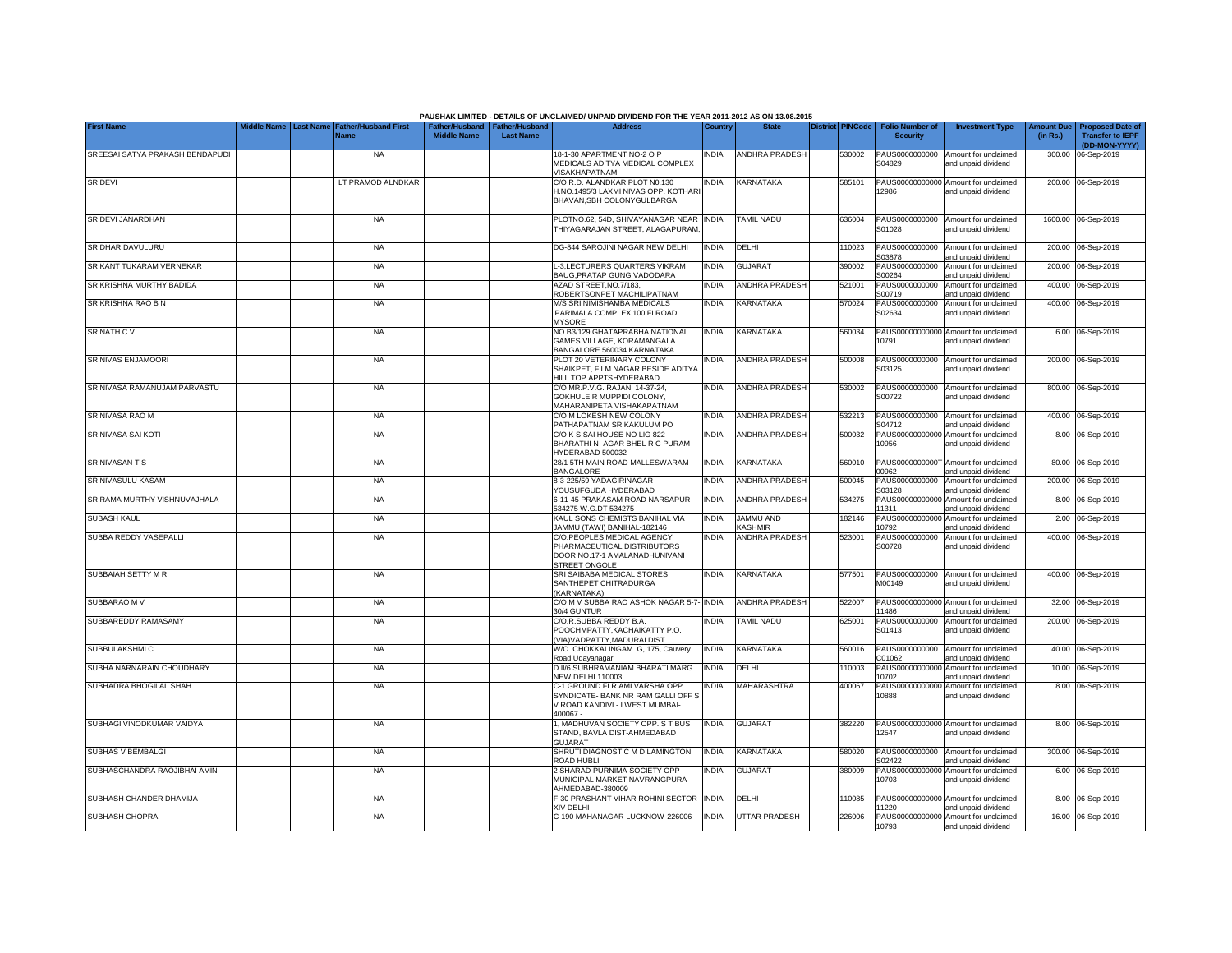|                                 |           |                                     |                                                       |                  | PAUSHAK LIMITED - DETAILS OF UNCLAIMED/ UNPAID DIVIDEND FOR THE YEAR 2011-2012 AS ON 13.08.2015             |              |                       |                         |                                           |                                                             |                               |                                                                     |
|---------------------------------|-----------|-------------------------------------|-------------------------------------------------------|------------------|-------------------------------------------------------------------------------------------------------------|--------------|-----------------------|-------------------------|-------------------------------------------|-------------------------------------------------------------|-------------------------------|---------------------------------------------------------------------|
| <b>First Name</b>               | Last Name | <b>Father/Husband First</b><br>Name | Father/Husband   Father/Husband<br><b>Middle Name</b> | <b>Last Name</b> | <b>Address</b>                                                                                              | Country      | <b>State</b>          | <b>District PINCode</b> | <b>Folio Number of</b><br><b>Security</b> | <b>Investment Type</b>                                      | <b>Amount Due</b><br>(in Rs.) | <b>Proposed Date of</b><br><b>Transfer to IEPF</b><br>(DD-MON-YYYY) |
| SREESAI SATYA PRAKASH BENDAPUDI |           | <b>NA</b>                           |                                                       |                  | 18-1-30 APARTMENT NO-2 O P                                                                                  | <b>INDIA</b> | ANDHRA PRADESH        | 530002                  |                                           | PAUS0000000000 Amount for unclaimed                         |                               | 300.00 06-Sep-2019                                                  |
|                                 |           |                                     |                                                       |                  | MEDICALS ADITYA MEDICAL COMPLEX<br>VISAKHAPATNAM                                                            |              |                       |                         | S04829                                    | and unpaid dividend                                         |                               |                                                                     |
| <b>SRIDEVI</b>                  |           | LT PRAMOD ALNDKAR                   |                                                       |                  | C/O R.D. ALANDKAR PLOT N0.130                                                                               | <b>INDIA</b> | <b>KARNATAKA</b>      | 585101                  |                                           | PAUS00000000000 Amount for unclaimed                        |                               | 200.00 06-Sep-2019                                                  |
|                                 |           |                                     |                                                       |                  | H.NO.1495/3 LAXMI NIVAS OPP. KOTHAR<br>BHAVAN.SBH COLONYGULBARGA                                            |              |                       |                         | 2986                                      | and unpaid dividend                                         |                               |                                                                     |
| SRIDEVI JANARDHAN               |           | <b>NA</b>                           |                                                       |                  | PLOTNO.62, 54D, SHIVAYANAGAR NEAR INDIA<br>THIYAGARAJAN STREET, ALAGAPURAM                                  |              | <b>TAMIL NADU</b>     | 636004                  | PAUS0000000000<br>S01028                  | Amount for unclaimed<br>and unpaid dividend                 |                               | 1600.00 06-Sep-2019                                                 |
| SRIDHAR DAVULURU                |           | <b>NA</b>                           |                                                       |                  | DG-844 SAROJINI NAGAR NEW DELHI                                                                             | <b>INDIA</b> | DELHI                 | 110023                  | PAUS0000000000<br>S03878                  | Amount for unclaimed<br>and unpaid dividend                 |                               | 200.00 06-Sep-2019                                                  |
| SRIKANT TUKARAM VERNEKAR        |           | <b>NA</b>                           |                                                       |                  | L-3,LECTURERS QUARTERS VIKRAM<br>BAUG, PRATAP GUNG VADODARA                                                 | <b>INDIA</b> | <b>GUJARAT</b>        | 390002                  | PAUS0000000000<br>S00264                  | Amount for unclaimed<br>and unpaid dividend                 |                               | 200.00 06-Sep-2019                                                  |
| SRIKRISHNA MURTHY BADIDA        |           | <b>NA</b>                           |                                                       |                  | AZAD STREET, NO. 7/183,<br>ROBERTSONPET MACHILIPATNAM                                                       | <b>INDIA</b> | ANDHRA PRADESH        | 521001                  | PAUS0000000000<br>S00719                  | Amount for unclaimed<br>and unpaid dividend                 | 400.00                        | 06-Sep-2019                                                         |
| SRIKRISHNA RAO B N              |           | <b>NA</b>                           |                                                       |                  | M/S SRI NIMISHAMBA MEDICALS                                                                                 | <b>INDIA</b> | KARNATAKA             | 570024                  | PAUS0000000000                            | Amount for unclaimed                                        | 400.00                        | 06-Sep-2019                                                         |
|                                 |           |                                     |                                                       |                  | 'PARIMALA COMPLEX'100 FI ROAD<br><b>MYSORE</b>                                                              |              |                       |                         | S02634                                    | and unpaid dividend                                         |                               |                                                                     |
| <b>SRINATH CV</b>               |           | <b>NA</b>                           |                                                       |                  | NO.B3/129 GHATAPRABHA, NATIONAL                                                                             | <b>INDIA</b> | KARNATAKA             | 560034                  |                                           | PAUS00000000000 Amount for unclaimed                        |                               | 6.00 06-Sep-2019                                                    |
|                                 |           |                                     |                                                       |                  | GAMES VILLAGE, KORAMANGALA<br>BANGALORE 560034 KARNATAKA                                                    |              |                       |                         | 10791                                     | and unpaid dividend                                         |                               |                                                                     |
| SRINIVAS ENJAMOORI              |           | <b>NA</b>                           |                                                       |                  | PLOT 20 VETERINARY COLONY                                                                                   | <b>INDIA</b> | ANDHRA PRADESH        | 500008                  | PAUS0000000000                            | Amount for unclaimed                                        |                               | 200.00 06-Sep-2019                                                  |
|                                 |           |                                     |                                                       |                  | SHAIKPET. FILM NAGAR BESIDE ADITYA<br>HILL TOP APPTSHYDERABAD                                               |              |                       |                         | S03125                                    | and unpaid dividend                                         |                               |                                                                     |
| SRINIVASA RAMANUJAM PARVASTU    |           | <b>NA</b>                           |                                                       |                  | C/O MR.P.V.G. RAJAN, 14-37-24,                                                                              | <b>INDIA</b> | <b>ANDHRA PRADESH</b> | 530002                  | PAUS0000000000                            | Amount for unclaimed                                        |                               | 800.00 06-Sep-2019                                                  |
|                                 |           |                                     |                                                       |                  | GOKHULE R MUPPIDI COLONY.                                                                                   |              |                       |                         | S00722                                    | and unpaid dividend                                         |                               |                                                                     |
|                                 |           |                                     |                                                       |                  | MAHARANIPETA VISHAKAPATNAM                                                                                  |              |                       |                         |                                           |                                                             |                               |                                                                     |
| SRINIVASA RAO M                 |           | <b>NA</b>                           |                                                       |                  | C/O M LOKESH NEW COLONY<br>PATHAPATNAM SRIKAKULUM PO                                                        | <b>INDIA</b> | <b>ANDHRA PRADESH</b> | 532213                  | S04712                                    | PAUS0000000000 Amount for unclaimed<br>and unpaid dividend  |                               | 400.00 06-Sep-2019                                                  |
| SRINIVASA SAI KOTI              |           | <b>NA</b>                           |                                                       |                  | C/O K S SAI HOUSE NO LIG 822                                                                                | <b>INDIA</b> | ANDHRA PRADESH        | 500032                  |                                           | PAUS00000000000 Amount for unclaimed                        |                               | 8.00 06-Sep-2019                                                    |
|                                 |           |                                     |                                                       |                  | BHARATHI N- AGAR BHEL R C PURAM                                                                             |              |                       |                         | 10956                                     | and unpaid dividend                                         |                               |                                                                     |
|                                 |           |                                     |                                                       |                  | HYDERABAD 500032 - -                                                                                        |              |                       |                         |                                           |                                                             |                               |                                                                     |
| <b>SRINIVASANTS</b>             |           | <b>NA</b>                           |                                                       |                  | 28/1 5TH MAIN ROAD MALLESWARAM<br><b>BANGALORE</b>                                                          | <b>INDIA</b> | KARNATAKA             | 560010                  | 00962                                     | PAUS0000000000T Amount for unclaimed<br>and unpaid dividend |                               | 80.00 06-Sep-2019                                                   |
| SRINIVASULU KASAM               |           | <b>NA</b>                           |                                                       |                  | 8-3-225/59 YADAGIRINAGAR                                                                                    | <b>INDIA</b> | ANDHRA PRADESH        | 500045                  | PAUS0000000000                            | Amount for unclaimed                                        |                               | 200.00 06-Sep-2019                                                  |
|                                 |           |                                     |                                                       |                  | YOUSUFGUDA HYDERABAD                                                                                        |              |                       |                         | S03128                                    | and unpaid dividend                                         |                               |                                                                     |
| SRIRAMA MURTHY VISHNUVAJHALA    |           | <b>NA</b>                           |                                                       |                  | 6-11-45 PRAKASAM ROAD NARSAPUR<br>534275 W.G.DT 534275                                                      | <b>INDIA</b> | ANDHRA PRADESH        | 534275                  | PAUS00000000000<br>11311                  | Amount for unclaimed<br>and unpaid dividend                 |                               | 8.00 06-Sep-2019                                                    |
| <b>SUBASH KAUL</b>              |           | <b>NA</b>                           |                                                       |                  | KAUL SONS CHEMISTS BANIHAL VIA                                                                              | <b>INDIA</b> | <b>JAMMU AND</b>      | 182146                  | PAUS00000000000                           | Amount for unclaimed                                        |                               | 2.00 06-Sep-2019                                                    |
|                                 |           |                                     |                                                       |                  | JAMMU (TAWI) BANIHAL-182146                                                                                 |              | <b>KASHMIR</b>        |                         | 10792                                     | and unpaid dividend                                         |                               |                                                                     |
| SUBBA REDDY VASEPALLI           |           | <b>NA</b>                           |                                                       |                  | C/O.PEOPLES MEDICAL AGENCY<br>PHARMACEUTICAL DISTRIBUTORS<br>DOOR NO.17-1 AMALANADHUNIVANI<br>STREET ONGOLE | <b>INDIA</b> | <b>ANDHRA PRADESH</b> | 523001                  | PAUS0000000000<br>S00728                  | Amount for unclaimed<br>and unpaid dividend                 |                               | 400.00 06-Sep-2019                                                  |
| SUBBAIAH SETTY M R              |           | <b>NA</b>                           |                                                       |                  | SRI SAIBABA MEDICAL STORES<br>SANTHEPET CHITRADURGA                                                         | <b>INDIA</b> | KARNATAKA             | 577501                  | PAUS0000000000<br>M00149                  | Amount for unclaimed<br>and unpaid dividend                 |                               | 400.00 06-Sep-2019                                                  |
| SUBBARAO M V                    |           | <b>NA</b>                           |                                                       |                  | (KARNATAKA)<br>C/O M V SUBBA RAO ASHOK NAGAR 5-7-                                                           | <b>INDIA</b> | ANDHRA PRADESH        | 522007                  |                                           | PAUS00000000000 Amount for unclaimed                        |                               | 32.00 06-Sep-2019                                                   |
|                                 |           |                                     |                                                       |                  | 30/4 GUNTUR                                                                                                 |              |                       |                         | 1486                                      | and unpaid dividend                                         |                               |                                                                     |
| SUBBAREDDY RAMASAMY             |           | <b>NA</b>                           |                                                       |                  | C/O.R.SUBBA REDDY B.A.<br>POOCHMPATTY, KACHAIKATTY P.O.<br>(VIA) VADPATTY, MADURAI DIST.                    | <b>INDIA</b> | TAMIL NADU            | 625001                  | PAUS0000000000<br>S01413                  | Amount for unclaimed<br>and unpaid dividend                 |                               | 200.00 06-Sep-2019                                                  |
| SUBBULAKSHMI C                  |           | <b>NA</b>                           |                                                       |                  | W/O. CHOKKALINGAM. G, 175, Cauvery                                                                          | <b>INDIA</b> | KARNATAKA             | 560016                  | PAUS0000000000                            | Amount for unclaimed                                        |                               | 40.00 06-Sep-2019                                                   |
| SUBHA NARNARAIN CHOUDHARY       |           | <b>NA</b>                           |                                                       |                  | Road Udayanagar<br>D II/6 SUBHRAMANIAM BHARATI MARG                                                         | <b>INDIA</b> | DELHI                 | 110003                  | C01062<br>PAUS0000000000                  | and unpaid dividend<br>Amount for unclaimed                 | 10.00                         | 06-Sep-2019                                                         |
|                                 |           |                                     |                                                       |                  | <b>NEW DELHI 110003</b>                                                                                     |              |                       |                         | 10702                                     | and unpaid dividend                                         |                               |                                                                     |
| SUBHADRA BHOGILAL SHAH          |           | <b>NA</b>                           |                                                       |                  | C-1 GROUND FLR AMI VARSHA OPP<br>SYNDICATE- BANK NR RAM GALLI OFF S<br>V ROAD KANDIVL- I WEST MUMBAI-       | <b>INDIA</b> | MAHARASHTRA           | 400067                  | PAUS0000000000<br>10888                   | Amount for unclaimed<br>and unpaid dividend                 |                               | 8.00 06-Sep-2019                                                    |
| SUBHAGI VINODKUMAR VAIDYA       |           | <b>NA</b>                           |                                                       |                  | 400067 -<br>1, MADHUVAN SOCIETY OPP. S T BUS                                                                | <b>INDIA</b> | <b>GUJARAT</b>        | 382220                  |                                           | PAUS00000000000 Amount for unclaimed                        |                               | 8.00 06-Sep-2019                                                    |
|                                 |           |                                     |                                                       |                  | STAND, BAVLA DIST-AHMEDABAD<br><b>GUJARAT</b>                                                               |              |                       |                         | 12547                                     | and unpaid dividend                                         |                               |                                                                     |
| SUBHAS V BEMBALGI               |           | <b>NA</b>                           |                                                       |                  | SHRUTI DIAGNOSTIC M D LAMINGTON<br>ROAD HUBLI                                                               | <b>INDIA</b> | <b>KARNATAKA</b>      | 580020                  | PAUS0000000000<br>S02422                  | Amount for unclaimed<br>and unpaid dividend                 |                               | 300.00 06-Sep-2019                                                  |
| SUBHASCHANDRA RAOJIBHAI AMIN    |           | <b>NA</b>                           |                                                       |                  | 2 SHARAD PURNIMA SOCIETY OPP                                                                                | INDIA        | <b>GUJARAT</b>        | 380009                  | PAUS00000000000                           | Amount for unclaimed                                        |                               | 6.00 06-Sep-2019                                                    |
|                                 |           |                                     |                                                       |                  | MUNICIPAL MARKET NAVRANGPURA<br>AHMEDABAD-380009                                                            |              |                       |                         | 10703                                     | and unpaid dividend                                         |                               |                                                                     |
| SUBHASH CHANDER DHAMIJA         |           | <b>NA</b>                           |                                                       |                  | F-30 PRASHANT VIHAR ROHINI SECTOR                                                                           | <b>INDIA</b> | DELHI                 | 110085                  |                                           | PAUS00000000000 Amount for unclaimed                        |                               | 8.00 06-Sep-2019                                                    |
|                                 |           |                                     |                                                       |                  | XIV DELHI                                                                                                   |              |                       |                         | 1220                                      | and unpaid dividend                                         |                               |                                                                     |
| SUBHASH CHOPRA                  |           | <b>NA</b>                           |                                                       |                  | C-190 MAHANAGAR LUCKNOW-226006                                                                              | <b>INDIA</b> | <b>UTTAR PRADESH</b>  | 226006                  | 10793                                     | PAUS00000000000 Amount for unclaimed<br>and unpaid dividend |                               | 16.00 06-Sep-2019                                                   |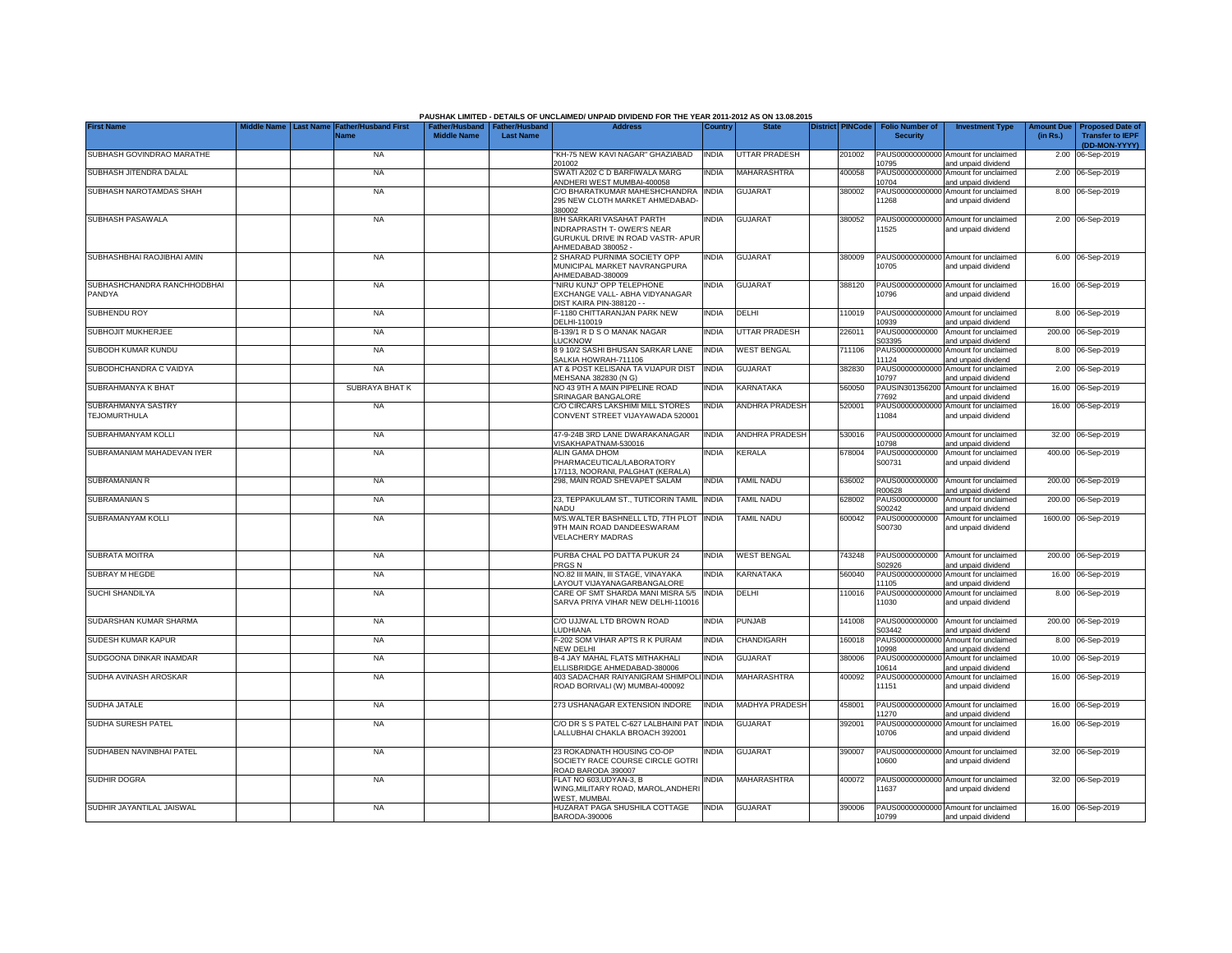|                                              |                  |                                     |                    |                                                     | PAUSHAK LIMITED - DETAILS OF UNCLAIMED/ UNPAID DIVIDEND FOR THE YEAR 2011-2012 AS ON 13.08.2015                    |              |                       |                         |                                           |                                                             |                               |                                                                     |
|----------------------------------------------|------------------|-------------------------------------|--------------------|-----------------------------------------------------|--------------------------------------------------------------------------------------------------------------------|--------------|-----------------------|-------------------------|-------------------------------------------|-------------------------------------------------------------|-------------------------------|---------------------------------------------------------------------|
| <b>First Name</b>                            | <b>Last Name</b> | <b>Father/Husband First</b><br>Name | <b>Middle Name</b> | Father/Husband   Father/Husband<br><b>Last Name</b> | <b>Address</b>                                                                                                     | Country      | <b>State</b>          | <b>District PINCode</b> | <b>Folio Number of</b><br><b>Security</b> | <b>Investment Type</b>                                      | <b>Amount Due</b><br>(in Rs.) | <b>Proposed Date of</b><br><b>Transfer to IEPF</b><br>(DD-MON-YYYY) |
| SUBHASH GOVINDRAO MARATHE                    |                  | <b>NA</b>                           |                    |                                                     | "KH-75 NEW KAVI NAGAR" GHAZIABAD<br>201002                                                                         | <b>INDIA</b> | UTTAR PRADESH         | 201002                  | 10795                                     | PAUS00000000000 Amount for unclaimed<br>and unpaid dividend |                               | 2.00 06-Sep-2019                                                    |
| SUBHASH JITENDRA DALAL                       |                  | <b>NA</b>                           |                    |                                                     | SWATI A202 C D BARFIWALA MARG<br>ANDHERI WEST MUMBAI-400058                                                        | <b>INDIA</b> | MAHARASHTRA           | 400058                  | PAUS00000000000<br>10704                  | Amount for unclaimed<br>and unpaid dividend                 |                               | 2.00 06-Sep-2019                                                    |
| SUBHASH NAROTAMDAS SHAH                      |                  | <b>NA</b>                           |                    |                                                     | C/O BHARATKUMAR MAHESHCHANDRA<br>295 NEW CLOTH MARKET AHMEDABAD-<br>380002                                         | <b>INDIA</b> | <b>GUJARAT</b>        | 380002                  | 1268                                      | PAUS00000000000 Amount for unclaimed<br>and unpaid dividend |                               | 8.00 06-Sep-2019                                                    |
| SUBHASH PASAWALA                             |                  | <b>NA</b>                           |                    |                                                     | B/H SARKARI VASAHAT PARTH<br>INDRAPRASTH T- OWER'S NEAR<br>GURUKUL DRIVE IN ROAD VASTR- APUR<br>AHMEDABAD 380052 - | <b>INDIA</b> | GUJARAT               | 380052                  | 1525                                      | PAUS00000000000 Amount for unclaimed<br>and unpaid dividend |                               | 2.00 06-Sep-2019                                                    |
| SUBHASHBHAI RAOJIBHAI AMIN                   |                  | <b>NA</b>                           |                    |                                                     | 2 SHARAD PURNIMA SOCIETY OPP<br>MUNICIPAL MARKET NAVRANGPURA<br>AHMEDABAD-380009                                   | <b>INDIA</b> | <b>GUJARAT</b>        | 380009                  | 10705                                     | PAUS00000000000 Amount for unclaimed<br>and unpaid dividend |                               | 6.00 06-Sep-2019                                                    |
| SUBHASHCHANDRA RANCHHODBHAI<br><b>PANDYA</b> |                  | <b>NA</b>                           |                    |                                                     | 'NIRU KUNJ" OPP TELEPHONE<br>EXCHANGE VALL- ABHA VIDYANAGAR<br><b>DIST KAIRA PIN-388120 - -</b>                    | INDIA        | <b>GUJARAT</b>        | 388120                  | 10796                                     | PAUS00000000000 Amount for unclaimed<br>and unpaid dividend |                               | 16.00 06-Sep-2019                                                   |
| SUBHENDU ROY                                 |                  | <b>NA</b>                           |                    |                                                     | F-1180 CHITTARANJAN PARK NEW<br>DELHI-110019                                                                       | <b>INDIA</b> | <b>DELHI</b>          | 110019                  | PAUS00000000000<br>0939                   | Amount for unclaimed<br>and unpaid dividend                 |                               | 8.00 06-Sep-2019                                                    |
| SUBHOJIT MUKHERJEE                           |                  | <b>NA</b>                           |                    |                                                     | B-139/1 R D S O MANAK NAGAR<br><b>LUCKNOW</b>                                                                      | <b>INDIA</b> | <b>UTTAR PRADESH</b>  | 226011                  | PAUS0000000000<br>303395                  | Amount for unclaimed<br>and unpaid dividend                 |                               | 200.00 06-Sep-2019                                                  |
| SUBODH KUMAR KUNDU                           |                  | <b>NA</b>                           |                    |                                                     | 8 9 10/2 SASHI BHUSAN SARKAR LANE<br>SALKIA HOWRAH-711106                                                          | <b>INDIA</b> | <b>WEST BENGAL</b>    | 711106                  | PAUS00000000000<br>11124                  | Amount for unclaimed<br>and unpaid dividend                 |                               | 8.00 06-Sep-2019                                                    |
| SUBODHCHANDRA C VAIDYA                       |                  | <b>NA</b>                           |                    |                                                     | AT & POST KELISANA TA VIJAPUR DIST<br>MEHSANA 382830 (N G)                                                         | <b>INDIA</b> | <b>GUJARAT</b>        | 382830                  | PAUS00000000000<br>10797                  | Amount for unclaimed<br>and unpaid dividend                 |                               | 2.00 06-Sep-2019                                                    |
| SUBRAHMANYA K BHAT                           |                  | <b>SUBRAYA BHATK</b>                |                    |                                                     | NO 43 9TH A MAIN PIPELINE ROAD<br>SRINAGAR BANGALORE                                                               | <b>INDIA</b> | KARNATAKA             | 560050                  | PAUSIN301356200<br>77692                  | Amount for unclaimed<br>and unpaid dividend                 |                               | 16.00 06-Sep-2019                                                   |
| SUBRAHMANYA SASTRY<br>TEJOMURTHULA           |                  | <b>NA</b>                           |                    |                                                     | C/O CIRCARS LAKSHIMI MILL STORES<br>CONVENT STREET VIJAYAWADA 520001                                               | <b>INDIA</b> | <b>ANDHRA PRADESH</b> | 520001                  | PAUS00000000000<br>11084                  | Amount for unclaimed<br>and unpaid dividend                 |                               | 16.00 06-Sep-2019                                                   |
| SUBRAHMANYAM KOLLI                           |                  | <b>NA</b>                           |                    |                                                     | 47-9-24B 3RD LANE DWARAKANAGAR<br>VISAKHAPATNAM-530016                                                             | <b>INDIA</b> | ANDHRA PRADESH        | 530016                  | 10798                                     | PAUS00000000000 Amount for unclaimed<br>and unpaid dividend |                               | 32.00 06-Sep-2019                                                   |
| SUBRAMANIAM MAHADEVAN IYER                   |                  | <b>NA</b>                           |                    |                                                     | <b>ALIN GAMA DHOM</b><br>PHARMACEUTICAL/LABORATORY<br>17/113, NOORANI, PALGHAT (KERALA)                            | <b>INDIA</b> | KERALA                | 678004                  | PAUS0000000000<br>S00731                  | Amount for unclaimed<br>and unpaid dividend                 |                               | 400.00 06-Sep-2019                                                  |
| SUBRAMANIAN R                                |                  | <b>NA</b>                           |                    |                                                     | 298, MAIN ROAD SHEVAPET SALAM                                                                                      | <b>INDIA</b> | TAMIL NADU            | 636002                  | PAUS0000000000<br>R00628                  | Amount for unclaimed<br>and unpaid dividend                 |                               | 200.00 06-Sep-2019                                                  |
| SUBRAMANIAN S                                |                  | <b>NA</b>                           |                    |                                                     | 23. TEPPAKULAM ST., TUTICORIN TAMIL<br>NADU                                                                        | <b>INDIA</b> | TAMIL NADU            | 628002                  | PAUS0000000000<br>S00242                  | Amount for unclaimed<br>and unpaid dividend                 | 200.00                        | 06-Sep-2019                                                         |
| SUBRAMANYAM KOLLI                            |                  | <b>NA</b>                           |                    |                                                     | M/S.WALTER BASHNELL LTD, 7TH PLOT<br>9TH MAIN ROAD DANDEESWARAM<br><b>VELACHERY MADRAS</b>                         | <b>INDIA</b> | TAMIL NADU            | 600042                  | PAUS0000000000<br>S00730                  | Amount for unclaimed<br>and unpaid dividend                 |                               | 1600.00 06-Sep-2019                                                 |
| <b>SUBRATA MOITRA</b>                        |                  | <b>NA</b>                           |                    |                                                     | PURBA CHAL PO DATTA PUKUR 24<br>PRGS <sub>N</sub>                                                                  | <b>INDIA</b> | <b>WEST BENGAL</b>    | 743248                  | PAUS0000000000<br>S02926                  | Amount for unclaimed<br>and unpaid dividend                 |                               | 200.00 06-Sep-2019                                                  |
| <b>SUBRAY M HEGDE</b>                        |                  | <b>NA</b>                           |                    |                                                     | NO.82 III MAIN, III STAGE, VINAYAKA<br>AYOUT VIJAYANAGARBANGALORE                                                  | <b>INDIA</b> | KARNATAKA             | 560040                  | PAUS0000000000<br>11105                   | Amount for unclaimed<br>and unpaid dividend                 |                               | 16.00 06-Sep-2019                                                   |
| <b>SUCHI SHANDILYA</b>                       |                  | <b>NA</b>                           |                    |                                                     | CARE OF SMT SHARDA MANI MISRA 5/5<br>SARVA PRIYA VIHAR NEW DELHI-110016                                            | <b>INDIA</b> | DELHI                 | 110016                  | 11030                                     | PAUS00000000000 Amount for unclaimed<br>and unpaid dividend |                               | 8.00 06-Sep-2019                                                    |
| SUDARSHAN KUMAR SHARMA                       |                  | <b>NA</b>                           |                    |                                                     | C/O UJJWAL LTD BROWN ROAD<br>LUDHIANA                                                                              | <b>INDIA</b> | PUNJAB                | 141008                  | PAUS0000000000<br>S03442                  | Amount for unclaimed<br>and unpaid dividend                 |                               | 200.00 06-Sep-2019                                                  |
| SUDESH KUMAR KAPUR                           |                  | <b>NA</b>                           |                    |                                                     | F-202 SOM VIHAR APTS R K PURAM<br>NEW DELHI                                                                        | <b>INDIA</b> | CHANDIGARH            | 160018                  | PAUS0000000000<br>10998                   | Amount for unclaimed<br>and unpaid dividend                 |                               | 8.00 06-Sep-2019                                                    |
| SUDGOONA DINKAR INAMDAR                      |                  | <b>NA</b>                           |                    |                                                     | B-4 JAY MAHAL FLATS MITHAKHALI<br>ELLISBRIDGE AHMEDABAD-380006                                                     | <b>INDIA</b> | <b>GUJARAT</b>        | 380006                  | PAUS0000000000<br>10614                   | Amount for unclaimed<br>and unpaid dividend                 |                               | 10.00 06-Sep-2019                                                   |
| SUDHA AVINASH AROSKAR                        |                  | <b>NA</b>                           |                    |                                                     | 403 SADACHAR RAIYANIGRAM SHIMPOLI INDIA<br>ROAD BORIVALI (W) MUMBAI-400092                                         |              | <b>MAHARASHTRA</b>    | 400092                  | PAUS00000000000<br>11151                  | Amount for unclaimed<br>and unpaid dividend                 |                               | 16.00 06-Sep-2019                                                   |
| SUDHA JATALE                                 |                  | <b>NA</b>                           |                    |                                                     | 273 USHANAGAR EXTENSION INDORE                                                                                     | <b>INDIA</b> | <b>MADHYA PRADESH</b> | 458001                  | PAUS00000000000<br>1270                   | Amount for unclaimed<br>and unpaid dividend                 |                               | 16.00 06-Sep-2019                                                   |
| <b>SUDHA SURESH PATEL</b>                    |                  | <b>NA</b>                           |                    |                                                     | C/O DR S S PATEL C-627 LALBHAINI PAT<br>LALLUBHAI CHAKLA BROACH 392001                                             | <b>INDIA</b> | <b>GUJARAT</b>        | 392001                  | PAUS00000000000<br>10706                  | Amount for unclaimed<br>and unpaid dividend                 |                               | 16.00 06-Sep-2019                                                   |
| SUDHABEN NAVINBHAI PATEL                     |                  | <b>NA</b>                           |                    |                                                     | 23 ROKADNATH HOUSING CO-OP<br>SOCIETY RACE COURSE CIRCLE GOTRI<br>ROAD BARODA 390007                               | <b>INDIA</b> | <b>GUJARAT</b>        | 390007                  | 10600                                     | PAUS00000000000 Amount for unclaimed<br>and unpaid dividend |                               | 32.00 06-Sep-2019                                                   |
| SUDHIR DOGRA                                 |                  | NA                                  |                    |                                                     | FLAT NO 603, UDYAN-3, B<br>WING, MILITARY ROAD, MAROL, ANDHER<br>WEST, MUMBAI.                                     | <b>INDIA</b> | MAHARASHTRA           | 400072                  | 1637                                      | PAUS00000000000 Amount for unclaimed<br>and unpaid dividend |                               | 32.00 06-Sep-2019                                                   |
| SUDHIR JAYANTILAL JAISWAL                    |                  | <b>NA</b>                           |                    |                                                     | HUZARAT PAGA SHUSHILA COTTAGE<br>BARODA-390006                                                                     | <b>INDIA</b> | <b>GUJARAT</b>        | 390006                  | 10799                                     | PAUS00000000000 Amount for unclaimed<br>and unpaid dividend |                               | 16.00 06-Sep-2019                                                   |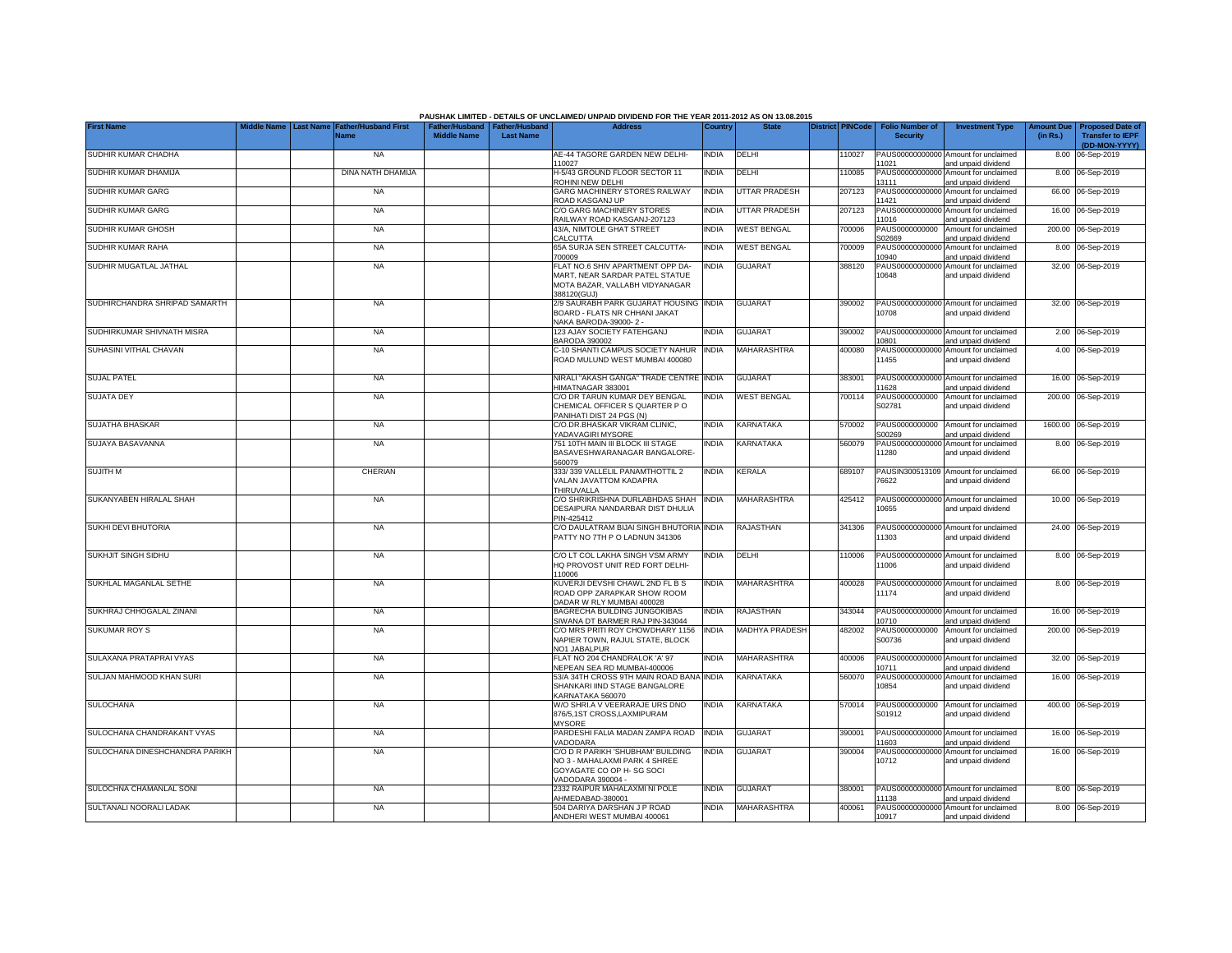|                                |                  | <b>Father/Husband First</b> |                    |                                                   | PAUSHAK LIMITED - DETAILS OF UNCLAIMED/ UNPAID DIVIDEND FOR THE YEAR 2011-2012 AS ON 13.08.2015<br><b>Address</b> |              |                       | <b>District PINCode</b> |        |                                           |                                                             |                               |                                                    |
|--------------------------------|------------------|-----------------------------|--------------------|---------------------------------------------------|-------------------------------------------------------------------------------------------------------------------|--------------|-----------------------|-------------------------|--------|-------------------------------------------|-------------------------------------------------------------|-------------------------------|----------------------------------------------------|
| <b>First Name</b>              | <b>Last Name</b> | <b>Name</b>                 | <b>Middle Name</b> | Father/Husband Father/Husband<br><b>Last Name</b> |                                                                                                                   | Country      | <b>State</b>          |                         |        | <b>Folio Number of</b><br><b>Security</b> | <b>Investment Type</b>                                      | <b>Amount Due</b><br>(in Rs.) | <b>Proposed Date of</b><br><b>Transfer to IEPF</b> |
| SUDHIR KUMAR CHADHA            |                  | <b>NA</b>                   |                    |                                                   | AE-44 TAGORE GARDEN NEW DELHI-                                                                                    | <b>INDIA</b> | DELHI                 |                         | 110027 |                                           | PAUS00000000000 Amount for unclaimed                        |                               | (DD-MON-YYYY)<br>8.00 06-Sep-2019                  |
| SUDHIR KUMAR DHAMIJA           |                  | DINA NATH DHAMIJA           |                    |                                                   | 110027<br>H-5/43 GROUND FLOOR SECTOR 11                                                                           | <b>INDIA</b> | DELHI                 |                         | 110085 | 11021<br>PAUS00000000000                  | and unpaid dividend<br>Amount for unclaimed                 |                               | 8.00 06-Sep-2019                                   |
| SUDHIR KUMAR GARG              |                  | <b>NA</b>                   |                    |                                                   | ROHINI NEW DELHI<br>GARG MACHINERY STORES RAILWAY                                                                 | <b>INDIA</b> | <b>UTTAR PRADESH</b>  |                         | 207123 | 13111<br>PAUS0000000000                   | and unpaid dividend<br>Amount for unclaimed                 |                               | 66.00 06-Sep-2019                                  |
| SUDHIR KUMAR GARG              |                  | <b>NA</b>                   |                    |                                                   | ROAD KASGANJ UP<br>C/O GARG MACHINERY STORES                                                                      | <b>INDIA</b> | <b>UTTAR PRADESH</b>  |                         | 207123 | 11421<br>PAUS0000000000                   | and unpaid dividend<br>Amount for unclaimed                 |                               | 16.00 06-Sep-2019                                  |
| SUDHIR KUMAR GHOSH             |                  | <b>NA</b>                   |                    |                                                   | RAILWAY ROAD KASGANJ-207123<br>43/A, NIMTOLE GHAT STREET                                                          | India        | <b>WEST BENGAL</b>    |                         | 700006 | 11016<br>PAUS0000000000                   | and unpaid dividend<br>Amount for unclaimed                 |                               | 200.00 06-Sep-2019                                 |
| SUDHIR KUMAR RAHA              |                  | <b>NA</b>                   |                    |                                                   | CALCUTTA<br>65A SURJA SEN STREET CALCUTTA-<br>700009                                                              | <b>INDIA</b> | <b>WEST BENGAL</b>    |                         | 700009 | S02669<br>PAUS0000000000<br>0940          | and unpaid dividend<br>Amount for unclaimed                 |                               | 8.00 06-Sep-2019                                   |
| SUDHIR MUGATLAL JATHAL         |                  | <b>NA</b>                   |                    |                                                   | FLAT NO.6 SHIV APARTMENT OPP DA-                                                                                  | NDIA         | <b>GUJARAT</b>        |                         | 388120 | PAUS0000000000                            | and unpaid dividend<br>Amount for unclaimed                 |                               | 32.00 06-Sep-2019                                  |
|                                |                  |                             |                    |                                                   | MART, NEAR SARDAR PATEL STATUE<br>MOTA BAZAR, VALLABH VIDYANAGAR<br>388120(GUJ)                                   |              |                       |                         |        | 10648                                     | and unpaid dividend                                         |                               |                                                    |
| SUDHIRCHANDRA SHRIPAD SAMARTH  |                  | <b>NA</b>                   |                    |                                                   | 2/9 SAURABH PARK GUJARAT HOUSING INDIA<br>BOARD - FLATS NR CHHANI JAKAT<br>NAKA BARODA-39000-2 -                  |              | <b>GUJARAT</b>        |                         | 390002 | 10708                                     | PAUS00000000000 Amount for unclaimed<br>and unpaid dividend |                               | 32.00 06-Sep-2019                                  |
| SUDHIRKUMAR SHIVNATH MISRA     |                  | <b>NA</b>                   |                    |                                                   | 123 AJAY SOCIETY FATEHGANJ<br><b>BARODA 390002</b>                                                                | India        | <b>GUJARAT</b>        |                         | 390002 | PAUS00000000000<br>0801                   | Amount for unclaimed<br>and unpaid dividend                 |                               | 2.00 06-Sep-2019                                   |
| SUHASINI VITHAL CHAVAN         |                  | <b>NA</b>                   |                    |                                                   | C-10 SHANTI CAMPUS SOCIETY NAHUR<br>ROAD MULUND WEST MUMBAI 400080                                                | <b>INDIA</b> | MAHARASHTRA           |                         | 400080 | 11455                                     | PAUS00000000000 Amount for unclaimed<br>and unpaid dividend |                               | 4.00 06-Sep-2019                                   |
| <b>SUJAL PATEL</b>             |                  | <b>NA</b>                   |                    |                                                   | NIRALI "AKASH GANGA" TRADE CENTRE INDIA<br>HIMATNAGAR 383001                                                      |              | <b>GUJARAT</b>        |                         | 383001 | PAUS00000000000<br>11628                  | Amount for unclaimed<br>and unpaid dividend                 |                               | 16.00 06-Sep-2019                                  |
| <b>SUJATA DEY</b>              |                  | <b>NA</b>                   |                    |                                                   | C/O DR TARUN KUMAR DEY BENGAL<br>CHEMICAL OFFICER S QUARTER PO<br>PANIHATI DIST 24 PGS (N)                        | INDIA        | <b>WEST BENGAL</b>    |                         | 700114 | PAUS0000000000<br>S02781                  | Amount for unclaimed<br>and unpaid dividend                 |                               | 200.00 06-Sep-2019                                 |
| SUJATHA BHASKAR                |                  | <b>NA</b>                   |                    |                                                   | C/O.DR.BHASKAR VIKRAM CLINIC,<br>YADAVAGIRI MYSORE                                                                | India        | KARNATAKA             |                         | 570002 | PAUS0000000000<br>S00269                  | Amount for unclaimed<br>and unpaid dividend                 |                               | 1600.00 06-Sep-2019                                |
| SUJAYA BASAVANNA               |                  | <b>NA</b>                   |                    |                                                   | 751 10TH MAIN III BLOCK III STAGE<br>BASAVESHWARANAGAR BANGALORE-<br>560079                                       | India        | <b>KARNATAKA</b>      |                         | 560079 | PAUS00000000000<br>11280                  | Amount for unclaimed<br>and unpaid dividend                 |                               | 8.00 06-Sep-2019                                   |
| <b>SUJITH M</b>                |                  | CHERIAN                     |                    |                                                   | 333/339 VALLELIL PANAMTHOTTIL 2<br>VALAN JAVATTOM KADAPRA<br>THIRUVALLA                                           | india        | <b>KERALA</b>         |                         | 689107 | PAUSIN300513109<br>76622                  | Amount for unclaimed<br>and unpaid dividend                 |                               | 66.00 06-Sep-2019                                  |
| SUKANYABEN HIRALAL SHAH        |                  | <b>NA</b>                   |                    |                                                   | C/O SHRIKRISHNA DURLABHDAS SHAH<br>DESAIPURA NANDARBAR DIST DHULIA<br>PIN-425412                                  | INDIA        | MAHARASHTRA           |                         | 425412 | PAUS0000000000<br>10655                   | Amount for unclaimed<br>and unpaid dividend                 |                               | 10.00 06-Sep-2019                                  |
| SUKHI DEVI BHUTORIA            |                  | <b>NA</b>                   |                    |                                                   | C/O DAULATRAM BIJAI SINGH BHUTORIA INDIA<br>PATTY NO 7TH P O LADNUN 341306                                        |              | <b>RAJASTHAN</b>      |                         | 341306 | PAUS00000000000<br>11303                  | Amount for unclaimed<br>and unpaid dividend                 |                               | 24.00 06-Sep-2019                                  |
| SUKHJIT SINGH SIDHU            |                  | <b>NA</b>                   |                    |                                                   | C/O LT COL LAKHA SINGH VSM ARMY<br>HQ PROVOST UNIT RED FORT DELHI-<br>110006                                      | INDIA        | DELHI                 |                         | 110006 | PAUS00000000000<br>11006                  | Amount for unclaimed<br>and unpaid dividend                 |                               | 8.00 06-Sep-2019                                   |
| SUKHLAL MAGANLAL SETHE         |                  | <b>NA</b>                   |                    |                                                   | KUVERJI DEVSHI CHAWL 2ND FL B S<br>ROAD OPP ZARAPKAR SHOW ROOM<br>DADAR W RLY MUMBAI 400028                       | INDIA        | <b>MAHARASHTRA</b>    |                         | 400028 | 11174                                     | PAUS00000000000 Amount for unclaimed<br>and unpaid dividend |                               | 8.00 06-Sep-2019                                   |
| SUKHRAJ CHHOGALAL ZINANI       |                  | <b>NA</b>                   |                    |                                                   | BAGRECHA BUILDING JUNGOKIBAS<br>SIWANA DT BARMER RAJ PIN-343044                                                   | INDIA        | RAJASTHAN             |                         | 343044 | PAUS00000000000<br>10710                  | Amount for unclaimed<br>and unpaid dividend                 |                               | 16.00 06-Sep-2019                                  |
| <b>SUKUMAR ROY S</b>           |                  | <b>NA</b>                   |                    |                                                   | C/O MRS PRITI ROY CHOWDHARY 1156<br>NAPIER TOWN, RAJUL STATE, BLOCK<br>NO1 JABALPUR                               | India        | <b>MADHYA PRADESH</b> |                         | 482002 | PAUS0000000000<br>S00736                  | Amount for unclaimed<br>and unpaid dividend                 |                               | 200.00 06-Sep-2019                                 |
| SULAXANA PRATAPRAI VYAS        |                  | <b>NA</b>                   |                    |                                                   | FLAT NO 204 CHANDRALOK 'A' 97<br>NEPEAN SEA RD MUMBAI-400006                                                      | india        | MAHARASHTRA           |                         | 400006 | PAUS0000000000<br>10711                   | Amount for unclaimed<br>and unpaid dividend                 |                               | 32.00 06-Sep-2019                                  |
| SULJAN MAHMOOD KHAN SURI       |                  | <b>NA</b>                   |                    |                                                   | 53/A 34TH CROSS 9TH MAIN ROAD BANA INDIA<br>SHANKARI IIND STAGE BANGALORE<br>KARNATAKA 560070                     |              | KARNATAKA             |                         | 560070 | PAUS00000000000<br>10854                  | Amount for unclaimed<br>and unpaid dividend                 |                               | 16.00 06-Sep-2019                                  |
| <b>SULOCHANA</b>               |                  | <b>NA</b>                   |                    |                                                   | W/O SHRI.A V VEERARAJE URS DNO<br>876/5.1ST CROSS.LAXMIPURAM<br><b>MYSORE</b>                                     | INDIA        | <b>KARNATAKA</b>      |                         | 570014 | PAUS0000000000<br>S01912                  | Amount for unclaimed<br>and unpaid dividend                 |                               | 400.00 06-Sep-2019                                 |
| SULOCHANA CHANDRAKANT VYAS     |                  | <b>NA</b>                   |                    |                                                   | PARDESHI FALIA MADAN ZAMPA ROAD<br>VADODARA                                                                       | <b>INDIA</b> | <b>GUJARAT</b>        |                         | 390001 | PAUS00000000000<br>11603                  | Amount for unclaimed<br>and unpaid dividend                 |                               | 16.00 06-Sep-2019                                  |
| SULOCHANA DINESHCHANDRA PARIKH |                  | <b>NA</b>                   |                    |                                                   | C/O D R PARIKH 'SHUBHAM' BUILDING<br>NO 3 - MAHALAXMI PARK 4 SHREE<br>GOYAGATE CO OP H-SG SOCI                    | <b>INDIA</b> | <b>GUJARAT</b>        |                         | 390004 | 10712                                     | PAUS00000000000 Amount for unclaimed<br>and unpaid dividend |                               | 16.00 06-Sep-2019                                  |
| SULOCHNA CHAMANLAL SONI        |                  | <b>NA</b>                   |                    |                                                   | VADODARA 390004 -<br>2332 RAIPUR MAHALAXMI NI POLE                                                                | INDIA        | <b>GUJARAT</b>        |                         | 380001 |                                           | PAUS00000000000 Amount for unclaimed                        |                               | 8.00 06-Sep-2019                                   |
| SULTANALI NOORALI LADAK        |                  | <b>NA</b>                   |                    |                                                   | AHMEDABAD-380001<br>504 DARIYA DARSHAN J P ROAD                                                                   | INDIA        | MAHARASHTRA           |                         | 400061 | 11138                                     | and unpaid dividend<br>PAUS00000000000 Amount for unclaimed |                               | 8.00 06-Sep-2019                                   |
|                                |                  |                             |                    |                                                   | ANDHERI WEST MUMBAI 400061                                                                                        |              |                       |                         |        | 10917                                     | and unpaid dividend                                         |                               |                                                    |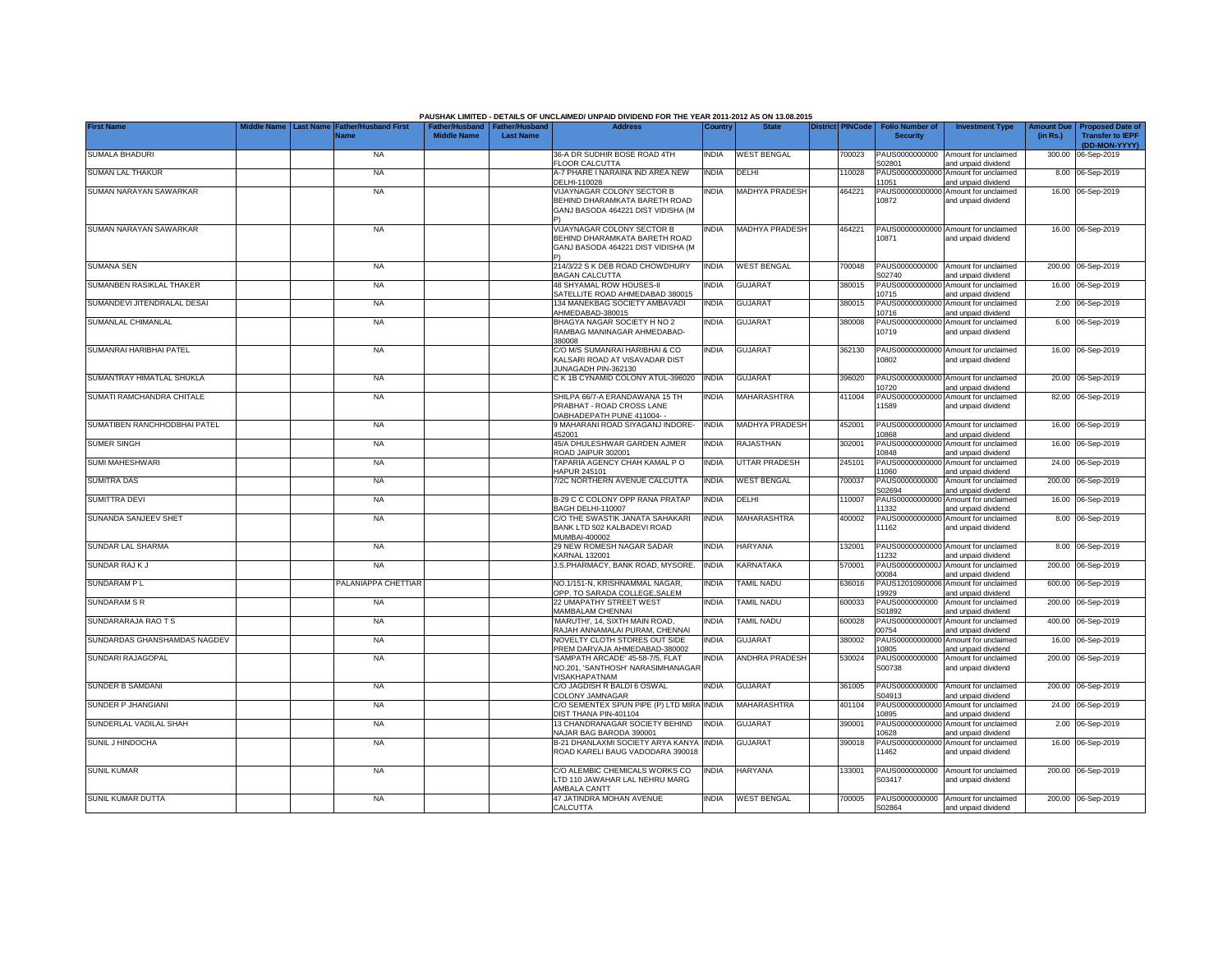|                              |  |                                                               |                                     |                                           | PAUSHAK LIMITED - DETAILS OF UNCLAIMED/ UNPAID DIVIDEND FOR THE YEAR 2011-2012 AS ON 13.08.2015          |              |                       |                         |                                           |                                                             |          |                                                                           |
|------------------------------|--|---------------------------------------------------------------|-------------------------------------|-------------------------------------------|----------------------------------------------------------------------------------------------------------|--------------|-----------------------|-------------------------|-------------------------------------------|-------------------------------------------------------------|----------|---------------------------------------------------------------------------|
| <b>First Name</b>            |  | Middle Name   Last Name   Father/Husband First<br><b>Name</b> | ather/Hushand<br><b>Middle Name</b> | <b>Father/Husband</b><br><b>Last Name</b> | <b>Address</b>                                                                                           | Country      | <b>State</b>          | <b>District PINCode</b> | <b>Folio Number of</b><br><b>Security</b> | <b>Investment Type</b>                                      | (in Rs.) | Amount Due   Proposed Date of<br><b>Transfer to IEPF</b><br>(DD-MON-YYYY) |
| <b>SUMALA BHADURI</b>        |  | <b>NA</b>                                                     |                                     |                                           | 36-A DR SUDHIR BOSE ROAD 4TH<br><b>FLOOR CALCUTTA</b>                                                    | india        | <b>WEST BENGAL</b>    | 700023                  | PAUS0000000000<br>S02801                  | Amount for unclaimed<br>and unpaid dividend                 |          | 300.00 06-Sep-2019                                                        |
| <b>SUMAN LAL THAKUR</b>      |  | <b>NA</b>                                                     |                                     |                                           | A-7 PHARE I NARAINA IND AREA NEW<br>DELHI-110028                                                         | <b>INDIA</b> | DELHI                 | 110028                  | 11051                                     | PAUS00000000000 Amount for unclaimed<br>and unpaid dividend |          | 8.00 06-Sep-2019                                                          |
| SUMAN NARAYAN SAWARKAR       |  | <b>NA</b>                                                     |                                     |                                           | <b>VIJAYNAGAR COLONY SECTOR B</b><br>BEHIND DHARAMKATA BARETH ROAD<br>GANJ BASODA 464221 DIST VIDISHA (M | <b>INDIA</b> | <b>MADHYA PRADESH</b> | 464221                  | 10872                                     | PAUS00000000000 Amount for unclaimed<br>and unpaid dividend |          | 16.00 06-Sep-2019                                                         |
| SUMAN NARAYAN SAWARKAR       |  | <b>NA</b>                                                     |                                     |                                           | VIJAYNAGAR COLONY SECTOR B<br>BEHIND DHARAMKATA BARETH ROAD<br>GANJ BASODA 464221 DIST VIDISHA (M        | <b>INDIA</b> | <b>MADHYA PRADESH</b> | 464221                  | 10871                                     | PAUS00000000000 Amount for unclaimed<br>and unpaid dividend |          | 16.00 06-Sep-2019                                                         |
| <b>SUMANA SEN</b>            |  | <b>NA</b>                                                     |                                     |                                           | 214/3/22 S K DEB ROAD CHOWDHURY<br><b>BAGAN CALCUTTA</b>                                                 | <b>INDIA</b> | <b>WEST BENGAL</b>    | 700048                  | S02740                                    | PAUS0000000000 Amount for unclaimed<br>and unpaid dividend  |          | 200.00 06-Sep-2019                                                        |
| SUMANBEN RASIKLAL THAKER     |  | <b>NA</b>                                                     |                                     |                                           | 48 SHYAMAL ROW HOUSES-II<br>SATELLITE ROAD AHMEDABAD 380015                                              | INDIA        | <b>GUJARAT</b>        | 380015                  | 10715                                     | PAUS00000000000 Amount for unclaimed<br>and unpaid dividend |          | 16.00 06-Sep-2019                                                         |
| SUMANDEVI JITENDRALAL DESAI  |  | <b>NA</b>                                                     |                                     |                                           | 134 MANEKBAG SOCIETY AMBAVADI<br>AHMEDABAD-380015                                                        | <b>INDIA</b> | <b>GUJARAT</b>        | 380015                  | 10716                                     | PAUS00000000000 Amount for unclaimed<br>and unpaid dividend |          | 2.00 06-Sep-2019                                                          |
| SUMANLAL CHIMANLAL           |  | <b>NA</b>                                                     |                                     |                                           | BHAGYA NAGAR SOCIETY H NO 2<br>RAMBAG MANINAGAR AHMEDABAD-<br>380008                                     | INDIA        | <b>GUJARAT</b>        | 380008                  | 10719                                     | PAUS00000000000 Amount for unclaimed<br>and unpaid dividend |          | 6.00 06-Sep-2019                                                          |
| SUMANRAI HARIBHAI PATEL      |  | <b>NA</b>                                                     |                                     |                                           | C/O M/S SUMANRAI HARIBHAI & CO<br>KALSARI ROAD AT VISAVADAR DIST<br>JUNAGADH PIN-362130                  | <b>INDIA</b> | <b>GUJARAT</b>        | 362130                  | 10802                                     | PAUS00000000000 Amount for unclaimed<br>and unpaid dividend |          | 16.00 06-Sep-2019                                                         |
| SUMANTRAY HIMATLAL SHUKLA    |  | <b>NA</b>                                                     |                                     |                                           | C K 1B CYNAMID COLONY ATUL-396020                                                                        | <b>INDIA</b> | <b>GUJARAT</b>        | 396020                  | 10720                                     | PAUS00000000000 Amount for unclaimed<br>and unpaid dividend |          | 20.00 06-Sep-2019                                                         |
| SUMATI RAMCHANDRA CHITALE    |  | <b>NA</b>                                                     |                                     |                                           | SHILPA 66/7-A ERANDAWANA 15 TH<br>PRABHAT - ROAD CROSS LANE<br>DABHADEPATH PUNE 411004--                 | INDIA        | <b>MAHARASHTRA</b>    | 411004                  | 1589                                      | PAUS00000000000 Amount for unclaimed<br>and unpaid dividend |          | 82.00 06-Sep-2019                                                         |
| SUMATIBEN RANCHHODBHAI PATEL |  | <b>NA</b>                                                     |                                     |                                           | 9 MAHARANI ROAD SIYAGANJ INDORE-<br>452001                                                               | <b>INDIA</b> | MADHYA PRADESH        | 452001                  | 10868                                     | PAUS00000000000 Amount for unclaimed<br>and unpaid dividend |          | 16.00 06-Sep-2019                                                         |
| <b>SUMER SINGH</b>           |  | <b>NA</b>                                                     |                                     |                                           | 45/A DHULESHWAR GARDEN AJMER<br>ROAD JAIPUR 302001                                                       | INDIA        | RAJASTHAN             | 302001                  | 10848                                     | PAUS00000000000 Amount for unclaimed<br>and unpaid dividend |          | 16.00 06-Sep-2019                                                         |
| SUMI MAHESHWARI              |  | <b>NA</b>                                                     |                                     |                                           | TAPARIA AGENCY CHAH KAMAL P O<br>HAPUR 245101                                                            | INDIA        | <b>UTTAR PRADESH</b>  | 245101                  | 1060                                      | PAUS00000000000 Amount for unclaimed<br>and unpaid dividend |          | 24.00 06-Sep-2019                                                         |
| <b>SUMITRA DAS</b>           |  | <b>NA</b>                                                     |                                     |                                           | 7/2C NORTHERN AVENUE CALCUTTA                                                                            | <b>INDIA</b> | <b>WEST BENGAL</b>    | 700037                  | PAUS0000000000<br>S02694                  | Amount for unclaimed<br>and unpaid dividend                 |          | 200.00 06-Sep-2019                                                        |
| SUMITTRA DEVI                |  | NA                                                            |                                     |                                           | B-29 C C COLONY OPP RANA PRATAP<br>BAGH DELHI-110007                                                     | <b>INDIA</b> | DELHI                 | 110007                  | 1332                                      | PAUS00000000000 Amount for unclaimed<br>and unpaid dividend |          | 16.00 06-Sep-2019                                                         |
| SUNANDA SANJEEV SHET         |  | <b>NA</b>                                                     |                                     |                                           | C/O THE SWASTIK JANATA SAHAKARI<br>BANK LTD 502 KALBADEVI ROAD<br>MUMBAI-400002                          | <b>INDIA</b> | MAHARASHTRA           | 400002                  | 11162                                     | PAUS00000000000 Amount for unclaimed<br>and unpaid dividend |          | 8.00 06-Sep-2019                                                          |
| SUNDAR LAL SHARMA            |  | NA                                                            |                                     |                                           | 29 NEW ROMESH NAGAR SADAR<br><b>KARNAL 132001</b>                                                        | India        | <b>HARYANA</b>        | 132001                  | 1232                                      | PAUS00000000000 Amount for unclaimed<br>and unpaid dividend |          | 8.00 06-Sep-2019                                                          |
| SUNDAR RAJ K J               |  | NA                                                            |                                     |                                           | J.S.PHARMACY, BANK ROAD, MYSORE.                                                                         | <b>INDIA</b> | KARNATAKA             | 570001                  | 00084                                     | PAUS0000000000J Amount for unclaimed<br>and unpaid dividend |          | 200.00 06-Sep-2019                                                        |
| SUNDARAM PL                  |  | PALANIAPPA CHETTIAR                                           |                                     |                                           | NO.1/151-N, KRISHNAMMAL NAGAR,<br>OPP. TO SARADA COLLEGE, SALEM                                          | <b>INDIA</b> | TAMIL NADU            | 636016                  | 9929                                      | PAUS12010900006 Amount for unclaimed<br>and unpaid dividend |          | 600.00 06-Sep-2019                                                        |
| <b>SUNDARAM S R</b>          |  | <b>NA</b>                                                     |                                     |                                           | 22 UMAPATHY STREET WEST<br>MAMBALAM CHENNAI                                                              | <b>INDIA</b> | TAMIL NADU            | 600033                  | PAUS0000000000<br>S01892                  | Amount for unclaimed<br>and unpaid dividend                 | 200.00   | 06-Sep-2019                                                               |
| SUNDARARAJA RAO T S          |  | <b>NA</b>                                                     |                                     |                                           | 'MARUTHI', 14, SIXTH MAIN ROAD.<br>RAJAH ANNAMALAI PURAM, CHENNAI                                        | India        | TAMIL NADU            | 600028                  | 0754                                      | PAUS0000000000T Amount for unclaimed<br>and unpaid dividend | 400.00   | 06-Sep-2019                                                               |
| SUNDARDAS GHANSHAMDAS NAGDEV |  | <b>NA</b>                                                     |                                     |                                           | NOVELTY CLOTH STORES OUT SIDE<br>PREM DARVAJA AHMEDABAD-380002                                           | India        | <b>GUJARAT</b>        | 380002                  | 0805                                      | PAUS00000000000 Amount for unclaimed<br>and unpaid dividend | 16.00    | 06-Sep-2019                                                               |
| SUNDARI RAJAGOPAL            |  | <b>NA</b>                                                     |                                     |                                           | SAMPATH ARCADE' 45-58-7/5, FLAT<br>NO.201, 'SANTHOSH' NARASIMHANAGAF<br><b>VISAKHAPATNAM</b>             | India        | <b>ANDHRA PRADESH</b> | 530024                  | PAUS0000000000<br>S00738                  | Amount for unclaimed<br>and unpaid dividend                 |          | 200.00 06-Sep-2019                                                        |
| SUNDER B SAMDANI             |  | <b>NA</b>                                                     |                                     |                                           | C/O JAGDISH R BALDI 6 OSWAL<br>COLONY JAMNAGAR                                                           | INDIA        | <b>GUJARAT</b>        | 361005                  | PAUS0000000000<br>S04913                  | Amount for unclaimed<br>and unpaid dividend                 |          | 200.00 06-Sep-2019                                                        |
| SUNDER P JHANGIANI           |  | <b>NA</b>                                                     |                                     |                                           | C/O SEMENTEX SPUN PIPE (P) LTD MIRA INDIA<br>DIST THANA PIN-401104                                       |              | MAHARASHTRA           | 401104                  | 10895                                     | PAUS00000000000 Amount for unclaimed<br>and unpaid dividend |          | 24.00 06-Sep-2019                                                         |
| SUNDERLAL VADILAL SHAH       |  | <b>NA</b>                                                     |                                     |                                           | 13 CHANDRANAGAR SOCIETY BEHIND<br>NAJAR BAG BARODA 390001                                                | <b>INDIA</b> | <b>GUJARAT</b>        | 390001                  | 0628                                      | PAUS00000000000 Amount for unclaimed<br>and unpaid dividend |          | 2.00 06-Sep-2019                                                          |
| SUNIL J HINDOCHA             |  | NA                                                            |                                     |                                           | B-21 DHANLAXMI SOCIETY ARYA KANYA<br>ROAD KARELI BAUG VADODARA 390018                                    | <b>INDIA</b> | <b>GUJARAT</b>        | 390018                  | 11462                                     | PAUS00000000000 Amount for unclaimed<br>and unpaid dividend |          | 16.00 06-Sep-2019                                                         |
| <b>SUNIL KUMAR</b>           |  | <b>NA</b>                                                     |                                     |                                           | C/O ALEMBIC CHEMICALS WORKS CO<br>TD 110 JAWAHAR LAL NEHRU MARG<br>AMBALA CANTT                          | NDIA         | <b>HARYANA</b>        | 133001                  | PAUS0000000000<br>S03417                  | Amount for unclaimed<br>and unpaid dividend                 |          | 200.00 06-Sep-2019                                                        |
| SUNIL KUMAR DUTTA            |  | <b>NA</b>                                                     |                                     |                                           | 47 JATINDRA MOHAN AVENUE<br><b>CALCUTTA</b>                                                              | <b>INDIA</b> | <b>WEST BENGAL</b>    | 700005                  | S02864                                    | PAUS0000000000 Amount for unclaimed<br>and unpaid dividend  |          | 200.00 06-Sep-2019                                                        |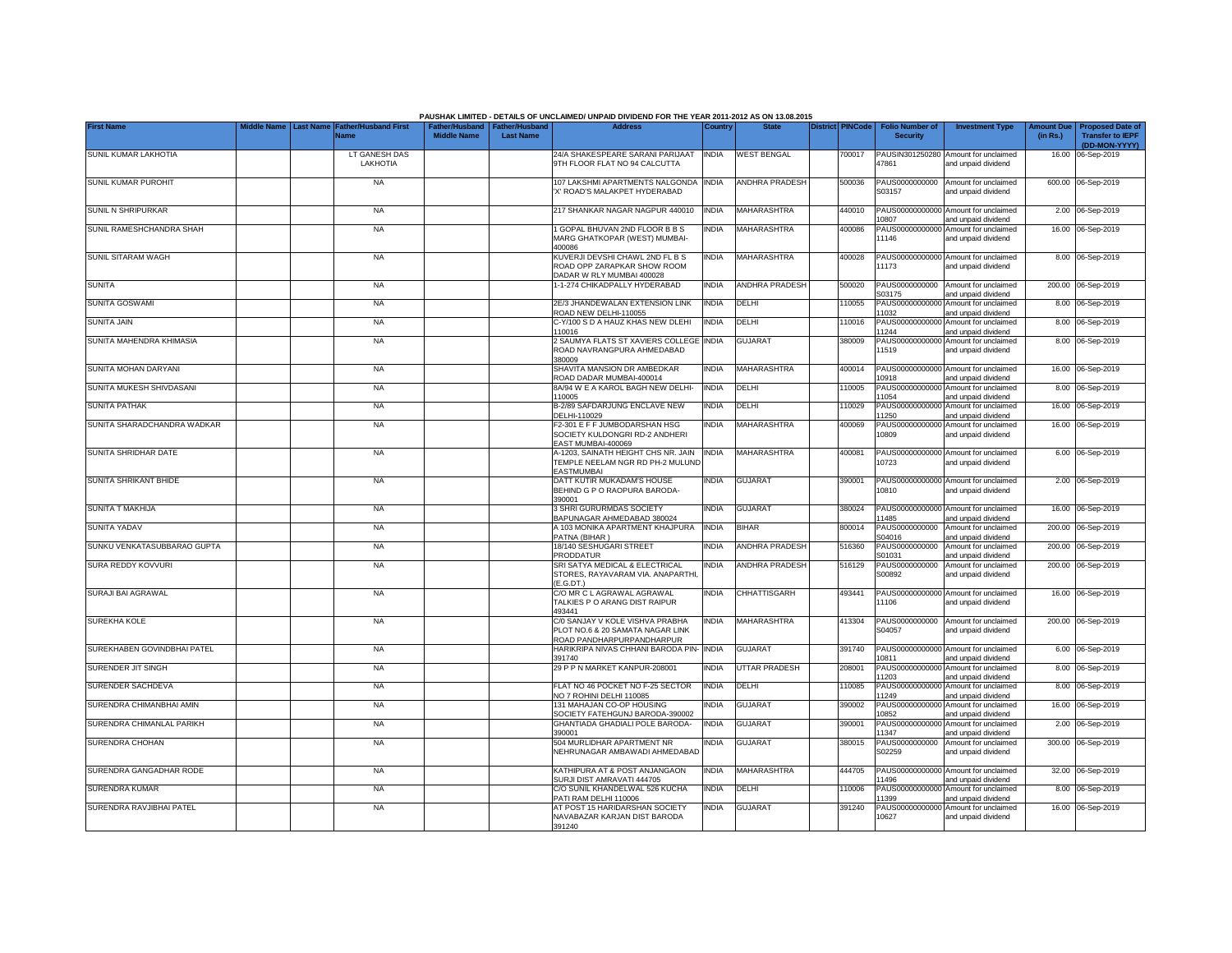|                              |                  |                             |                                                       |                  | PAUSHAK LIMITED - DETAILS OF UNCLAIMED/ UNPAID DIVIDEND FOR THE YEAR 2011-2012 AS ON 13.08.2015  |              |                       |                  |                                           |                                                             |                               |                                                    |
|------------------------------|------------------|-----------------------------|-------------------------------------------------------|------------------|--------------------------------------------------------------------------------------------------|--------------|-----------------------|------------------|-------------------------------------------|-------------------------------------------------------------|-------------------------------|----------------------------------------------------|
| <b>First Name</b>            | <b>Last Name</b> | ather/Husband First<br>Vame | Father/Husband   Father/Husband<br><b>Middle Name</b> | <b>Last Name</b> | <b>Address</b>                                                                                   | Country      | <b>State</b>          | District PINCode | <b>Folio Number of</b><br><b>Security</b> | <b>Investment Type</b>                                      | <b>Amount Due</b><br>(in Rs.) | <b>Proposed Date of</b><br><b>Transfer to IEPF</b> |
| SUNIL KUMAR LAKHOTIA         |                  | LT GANESH DAS               |                                                       |                  | 24/A SHAKESPEARE SARANI PARIJAAT                                                                 | <b>INDIA</b> | <b>WEST BENGAL</b>    | 700017           |                                           | PAUSIN301250280 Amount for unclaimed                        |                               | (DD-MON-YYYY)<br>16.00 06-Sep-2019                 |
|                              |                  | LAKHOTIA                    |                                                       |                  | 9TH FLOOR FLAT NO 94 CALCUTTA                                                                    |              |                       |                  | 47861                                     | and unpaid dividend                                         |                               |                                                    |
| <b>SUNIL KUMAR PUROHIT</b>   |                  | <b>NA</b>                   |                                                       |                  | 107 LAKSHMI APARTMENTS NALGONDA<br>X' ROAD'S MALAKPET HYDERABAD                                  | <b>INDIA</b> | <b>ANDHRA PRADESH</b> | 500036           | PAUS0000000000<br>S03157                  | Amount for unclaimed<br>and unpaid dividend                 |                               | 600.00 06-Sep-2019                                 |
| SUNIL N SHRIPURKAR           |                  | <b>NA</b>                   |                                                       |                  | 217 SHANKAR NAGAR NAGPUR 440010                                                                  | <b>INDIA</b> | MAHARASHTRA           | 440010           | PAUS00000000000<br>10807                  | Amount for unclaimed<br>and unpaid dividend                 |                               | 2.00 06-Sep-2019                                   |
| SUNIL RAMESHCHANDRA SHAH     |                  | <b>NA</b>                   |                                                       |                  | 1 GOPAL BHUVAN 2ND FLOOR B B S<br>MARG GHATKOPAR (WEST) MUMBAI-<br>400086                        | <b>NDIA</b>  | MAHARASHTRA           | 400086           | PAUS00000000000<br>11146                  | Amount for unclaimed<br>and unpaid dividend                 |                               | 16.00 06-Sep-2019                                  |
| SUNIL SITARAM WAGH           |                  | <b>NA</b>                   |                                                       |                  | KUVERJI DEVSHI CHAWL 2ND FL B S<br>ROAD OPP ZARAPKAR SHOW ROOM<br>DADAR W RLY MUMBAI 400028      | <b>INDIA</b> | MAHARASHTRA           | 400028           | PAUS00000000000<br>11173                  | Amount for unclaimed<br>and unpaid dividend                 |                               | 8.00 06-Sep-2019                                   |
| SUNITA                       |                  | <b>NA</b>                   |                                                       |                  | 1-1-274 CHIKADPALLY HYDERABAD                                                                    | INDIA        | <b>ANDHRA PRADESH</b> | 500020           | PAUS0000000000<br>S03175                  | Amount for unclaimed<br>and unpaid dividend                 |                               | 200.00 06-Sep-2019                                 |
| <b>SUNITA GOSWAMI</b>        |                  | <b>NA</b>                   |                                                       |                  | 2E/3 JHANDEWALAN EXTENSION LINK<br>ROAD NEW DELHI-110055                                         | india        | DELHI                 | 10055            | PAUS0000000000<br>11032                   | Amount for unclaimed<br>and unpaid dividend                 |                               | 8.00 06-Sep-2019                                   |
| <b>SUNITA JAIN</b>           |                  | <b>NA</b>                   |                                                       |                  | C-Y/100 S D A HAUZ KHAS NEW DLEHI<br>110016                                                      | India        | DELHI                 | 110016           | PAUS0000000000<br>11244                   | Amount for unclaimed<br>and unpaid dividend                 |                               | 8.00 06-Sep-2019                                   |
| SUNITA MAHENDRA KHIMASIA     |                  | <b>NA</b>                   |                                                       |                  | 2 SAUMYA FLATS ST XAVIERS COLLEGE<br>ROAD NAVRANGPURA AHMEDABAD<br>380009                        | <b>INDIA</b> | <b>GUJARAT</b>        | 380009           | PAUS00000000000<br>11519                  | Amount for unclaimed<br>and unpaid dividend                 |                               | 8.00 06-Sep-2019                                   |
| SUNITA MOHAN DARYANI         |                  | <b>NA</b>                   |                                                       |                  | SHAVITA MANSION DR AMBEDKAR<br>ROAD DADAR MUMBAI-400014                                          | <b>NDIA</b>  | MAHARASHTRA           | 400014           | PAUS00000000000<br>10918                  | Amount for unclaimed<br>and unpaid dividend                 |                               | 16.00 06-Sep-2019                                  |
| SUNITA MUKESH SHIVDASANI     |                  | <b>NA</b>                   |                                                       |                  | 8A/94 W E A KAROL BAGH NEW DELHI-<br>110005                                                      | <b>NDIA</b>  | DELHI                 | 110005           | PAUS00000000000<br>11054                  | Amount for unclaimed<br>and unpaid dividend                 |                               | 8.00 06-Sep-2019                                   |
| <b>SUNITA PATHAK</b>         |                  | <b>NA</b>                   |                                                       |                  | B-2/89 SAFDARJUNG ENCLAVE NEW<br>DELHI-110029                                                    | <b>NDIA</b>  | DELHI                 | 10029            | PAUS00000000000<br>11250                  | Amount for unclaimed<br>and unpaid dividend                 |                               | 16.00 06-Sep-2019                                  |
| SUNITA SHARADCHANDRA WADKAR  |                  | <b>NA</b>                   |                                                       |                  | F2-301 E F F JUMBODARSHAN HSG<br>SOCIETY KULDONGRI RD-2 ANDHERI<br>EAST MUMBAI-400069            | <b>NDIA</b>  | <b>MAHARASHTRA</b>    | 400069           | 10809                                     | PAUS00000000000 Amount for unclaimed<br>and unpaid dividend |                               | 16.00 06-Sep-2019                                  |
| SUNITA SHRIDHAR DATE         |                  | <b>NA</b>                   |                                                       |                  | A-1203, SAINATH HEIGHT CHS NR. JAIN<br>TEMPLE NEELAM NGR RD PH-2 MULUND<br>EASTMUMBAI            | <b>INDIA</b> | MAHARASHTRA           | 400081           | 10723                                     | PAUS00000000000 Amount for unclaimed<br>and unpaid dividend |                               | 6.00 06-Sep-2019                                   |
| <b>SUNITA SHRIKANT BHIDE</b> |                  | <b>NA</b>                   |                                                       |                  | DATT KUTIR MUKADAM'S HOUSE<br>BEHIND G P O RAOPURA BARODA-<br>390001                             | <b>NDIA</b>  | <b>GUJARAT</b>        | 390001           | PAUS00000000000<br>10810                  | Amount for unclaimed<br>and unpaid dividend                 |                               | 2.00 06-Sep-2019                                   |
| <b>SUNITA T MAKHIJA</b>      |                  | <b>NA</b>                   |                                                       |                  | 3 SHRI GURURMDAS SOCIETY<br>BAPUNAGAR AHMEDABAD 380024                                           | <b>INDIA</b> | <b>GUJARAT</b>        | 380024           | PAUS00000000000<br>11485                  | Amount for unclaimed<br>and unpaid dividend                 |                               | 16.00 06-Sep-2019                                  |
| SUNITA YADAV                 |                  | <b>NA</b>                   |                                                       |                  | A 103 MONIKA APARTMENT KHAJPURA<br>PATNA (BIHAR)                                                 | <b>INDIA</b> | <b>BIHAR</b>          | 300014           | PAUS0000000000<br>S04016                  | Amount for unclaimed<br>and unpaid dividend                 |                               | 200.00 06-Sep-2019                                 |
| SUNKU VENKATASUBBARAO GUPTA  |                  | <b>NA</b>                   |                                                       |                  | 18/140 SESHUGARI STREET<br>PRODDATUR                                                             | <b>INDIA</b> | <b>ANDHRA PRADESH</b> | 516360           | PAUS0000000000<br>S01031                  | Amount for unclaimed<br>and unpaid dividend                 |                               | 200.00 06-Sep-2019                                 |
| SURA REDDY KOVVURI           |                  | <b>NA</b>                   |                                                       |                  | SRI SATYA MEDICAL & ELECTRICAL<br>STORES, RAYAVARAM VIA. ANAPARTHI.<br>E.G.DT.)                  | <b>NDIA</b>  | <b>ANDHRA PRADESH</b> | 516129           | PAUS0000000000<br>S00892                  | Amount for unclaimed<br>and unpaid dividend                 |                               | 200.00 06-Sep-2019                                 |
| SURAJI BAI AGRAWAL           |                  | <b>NA</b>                   |                                                       |                  | C/O MR C L AGRAWAL AGRAWAL<br>TALKIES P O ARANG DIST RAIPUR<br>193441                            | <b>NDIA</b>  | <b>CHHATTISGARH</b>   | 493441           | PAUS00000000000<br>11106                  | Amount for unclaimed<br>and unpaid dividend                 |                               | 16.00 06-Sep-2019                                  |
| <b>SUREKHA KOLE</b>          |                  | <b>NA</b>                   |                                                       |                  | C/0 SANJAY V KOLE VISHVA PRABHA<br>PLOT NO.6 & 20 SAMATA NAGAR LINK<br>ROAD PANDHARPURPANDHARPUR | <b>INDIA</b> | MAHARASHTRA           | 413304           | PAUS0000000000<br>S04057                  | Amount for unclaimed<br>and unpaid dividend                 |                               | 200.00 06-Sep-2019                                 |
| SUREKHABEN GOVINDBHAI PATEL  |                  | <b>NA</b>                   |                                                       |                  | HARIKRIPA NIVAS CHHANI BARODA PIN-<br>391740                                                     | <b>INDIA</b> | <b>GUJARAT</b>        | 391740           | PAUS00000000000<br>10811                  | Amount for unclaimed<br>and unpaid dividend                 |                               | 6.00 06-Sep-2019                                   |
| SURENDER JIT SINGH           |                  | <b>NA</b>                   |                                                       |                  | 29 P P N MARKET KANPUR-208001                                                                    | INDIA        | <b>UTTAR PRADESH</b>  | 208001           | PAUS0000000000<br>11203                   | Amount for unclaimed<br>and unpaid dividend                 |                               | 8.00 06-Sep-2019                                   |
| SURENDER SACHDEVA            |                  | <b>NA</b>                   |                                                       |                  | FLAT NO 46 POCKET NO F-25 SECTOR<br>NO 7 ROHINI DELHI 110085                                     | INDIA        | DELHI                 | 110085           | PAUS0000000000<br>11249                   | Amount for unclaimed<br>and unpaid dividend                 |                               | 8.00 06-Sep-2019                                   |
| SURENDRA CHIMANBHAI AMIN     |                  | <b>NA</b>                   |                                                       |                  | 131 MAHAJAN CO-OP HOUSING<br>SOCIETY FATEHGUNJ BARODA-390002                                     | <b>NDIA</b>  | <b>GUJARAT</b>        | 390002           | PAUS0000000000<br>10852                   | Amount for unclaimed<br>and unpaid dividend                 |                               | 16.00 06-Sep-2019                                  |
| SURENDRA CHIMANLAL PARIKH    |                  | <b>NA</b>                   |                                                       |                  | GHANTIADA GHADIALI POLE BARODA-<br>390001                                                        | <b>NDIA</b>  | <b>GUJARAT</b>        | 390001           | PAUS00000000000<br>11347                  | Amount for unclaimed<br>and unpaid dividend                 |                               | 2.00 06-Sep-2019                                   |
| SURENDRA CHOHAN              |                  | <b>NA</b>                   |                                                       |                  | 504 MURLIDHAR APARTMENT NR<br>NEHRUNAGAR AMBAWADI AHMEDABAD                                      | india        | <b>GUJARAT</b>        | 380015           | PAUS0000000000<br>S02259                  | Amount for unclaimed<br>and unpaid dividend                 |                               | 300.00 06-Sep-2019                                 |
| SURENDRA GANGADHAR RODE      |                  | <b>NA</b>                   |                                                       |                  | KATHIPURA AT & POST ANJANGAON<br>SURJI DIST AMRAVATI 444705                                      | <b>NDIA</b>  | MAHARASHTRA           | 444705           | PAUS00000000000<br>11496                  | Amount for unclaimed<br>and unpaid dividend                 |                               | 32.00 06-Sep-2019                                  |
| SURENDRA KUMAR               |                  | <b>NA</b>                   |                                                       |                  | C/O SUNIL KHANDELWAL 526 KUCHA<br>PATI RAM DELHI 110006                                          | <b>INDIA</b> | DELHI                 | 10006            | PAUS00000000000<br>11399                  | Amount for unclaimed<br>and unpaid dividend                 |                               | 8.00 06-Sep-2019                                   |
| SURENDRA RAVJIBHAI PATEL     |                  | <b>NA</b>                   |                                                       |                  | AT POST 15 HARIDARSHAN SOCIETY<br>NAVABAZAR KARJAN DIST BARODA<br>391240                         | India        | <b>GUJARAT</b>        | 391240           | 10627                                     | PAUS00000000000 Amount for unclaimed<br>and unpaid dividend |                               | 16.00 06-Sep-2019                                  |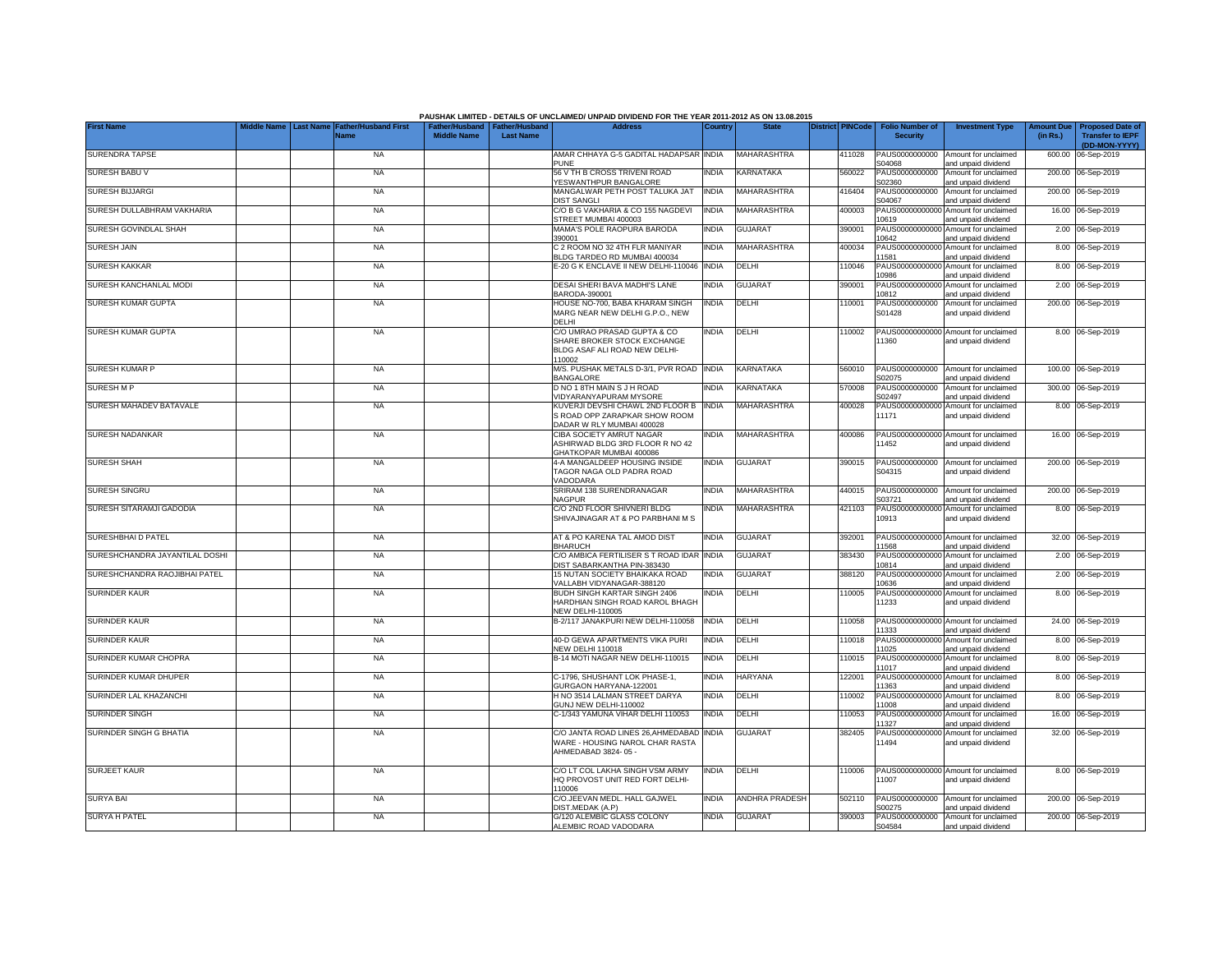|                                | <b>Last Name</b> | <b>Father/Husband First</b> |                                                       |                  | PAUSHAK LIMITED - DETAILS OF UNCLAIMED/ UNPAID DIVIDEND FOR THE YEAR 2011-2012 AS ON 13.08.2015<br><b>Address</b>       |              | <b>State</b>          | <b>District PINCode</b> |        |                                           |                                                                    |                               |                                                    |
|--------------------------------|------------------|-----------------------------|-------------------------------------------------------|------------------|-------------------------------------------------------------------------------------------------------------------------|--------------|-----------------------|-------------------------|--------|-------------------------------------------|--------------------------------------------------------------------|-------------------------------|----------------------------------------------------|
| <b>First Name</b>              |                  | Name                        | Father/Husband   Father/Husband<br><b>Middle Name</b> | <b>Last Name</b> |                                                                                                                         | Country      |                       |                         |        | <b>Folio Number of</b><br><b>Security</b> | <b>Investment Type</b>                                             | <b>Amount Due</b><br>(in Rs.) | <b>Proposed Date of</b><br><b>Transfer to IEPF</b> |
| <b>SURENDRA TAPSE</b>          |                  | <b>NA</b>                   |                                                       |                  | AMAR CHHAYA G-5 GADITAL HADAPSAR INDIA                                                                                  |              | MAHARASHTRA           |                         | 411028 | PAUS0000000000                            | Amount for unclaimed                                               |                               | (DD-MON-YYYY)<br>600.00 06-Sep-2019                |
| SURESH BABU V                  |                  | <b>NA</b>                   |                                                       |                  | <b>PUNE</b><br>56 V TH B CROSS TRIVENI ROAD                                                                             | <b>INDIA</b> | KARNATAKA             |                         | 560022 | S04068<br>PAUS0000000000                  | and unpaid dividend<br>Amount for unclaimed                        |                               | 200.00 06-Sep-2019                                 |
| <b>SURESH BIJJARGI</b>         |                  | <b>NA</b>                   |                                                       |                  | YESWANTHPUR BANGALORE<br>MANGALWAR PETH POST TALUKA JAT                                                                 | INDIA        | MAHARASHTRA           |                         | 416404 | S02360<br>PAUS0000000000                  | and unpaid dividend<br>Amount for unclaimed                        |                               | 200.00 06-Sep-2019                                 |
| SURESH DULLABHRAM VAKHARIA     |                  | <b>NA</b>                   |                                                       |                  | <b>DIST SANGLI</b><br>C/O B G VAKHARIA & CO 155 NAGDEVI                                                                 | <b>INDIA</b> | MAHARASHTRA           |                         | 400003 | S04067<br>PAUS0000000000                  | and unpaid dividend<br>Amount for unclaimed                        |                               | 16.00 06-Sep-2019                                  |
| SURESH GOVINDLAL SHAH          |                  | <b>NA</b>                   |                                                       |                  | STREET MUMBAI 400003<br>MAMA'S POLE RAOPURA BARODA                                                                      | NDIA         | <b>GUJARAT</b>        |                         | 390001 | 10619<br>PAUS0000000000                   | and unpaid dividend<br>Amount for unclaimed                        |                               | 2.00 06-Sep-2019                                   |
| <b>SURESH JAIN</b>             |                  | <b>NA</b>                   |                                                       |                  | 390001<br>C 2 ROOM NO 32 4TH FLR MANIYAR                                                                                | INDIA        | MAHARASHTRA           |                         | 400034 | 10642<br>PAUS0000000000                   | and unpaid dividend<br>Amount for unclaimed                        |                               | 8.00 06-Sep-2019                                   |
|                                |                  |                             |                                                       |                  | BLDG TARDEO RD MUMBAI 400034                                                                                            |              |                       |                         |        | 11581                                     | and unpaid dividend                                                |                               |                                                    |
| <b>SURESH KAKKAR</b>           |                  | <b>NA</b>                   |                                                       |                  | E-20 G K ENCLAVE II NEW DELHI-110046 INDIA                                                                              |              | DELHI                 |                         | 110046 | PAUS0000000000<br>10986                   | Amount for unclaimed<br>and unpaid dividend                        |                               | 8.00 06-Sep-2019                                   |
| SURESH KANCHANLAL MODI         |                  | <b>NA</b>                   |                                                       |                  | DESAI SHERI BAVA MADHI'S LANE<br>BARODA-390001                                                                          | INDIA        | <b>GUJARAT</b>        |                         | 390001 | PAUS0000000000<br>10812                   | Amount for unclaimed<br>and unpaid dividend                        |                               | 2.00 06-Sep-2019                                   |
| SURESH KUMAR GUPTA             |                  | <b>NA</b>                   |                                                       |                  | HOUSE NO-700, BABA KHARAM SINGH<br>MARG NEAR NEW DELHI G.P.O., NEW<br><b>DELHI</b>                                      | INDIA        | DELHI                 |                         | 110001 | PAUS0000000000<br>S01428                  | Amount for unclaimed<br>and unpaid dividend                        |                               | 200.00 06-Sep-2019                                 |
| <b>SURESH KUMAR GUPTA</b>      |                  | <b>NA</b>                   |                                                       |                  | C/O UMRAO PRASAD GUPTA & CO<br>SHARE BROKER STOCK EXCHANGE<br>BLDG ASAF ALI ROAD NEW DELHI-<br>110002                   | <b>INDIA</b> | DELHI                 |                         | 110002 | 11360                                     | PAUS00000000000 Amount for unclaimed<br>and unpaid dividend        |                               | 8.00 06-Sep-2019                                   |
| <b>SURESH KUMAR P</b>          |                  | <b>NA</b>                   |                                                       |                  | M/S. PUSHAK METALS D-3/1, PVR ROAD INDIA<br><b>BANGALORE</b>                                                            |              | KARNATAKA             |                         | 560010 | PAUS0000000000<br>S02075                  | Amount for unclaimed<br>and unpaid dividend                        |                               | 100.00 06-Sep-2019                                 |
| <b>SURESH MP</b>               |                  | <b>NA</b>                   |                                                       |                  | D NO 1 8TH MAIN S J H ROAD<br><b>VIDYARANYAPURAM MYSORE</b>                                                             | INDIA        | KARNATAKA             |                         | 570008 | PAUS0000000000<br>S02497                  | Amount for unclaimed<br>and unpaid dividend                        |                               | 300.00 06-Sep-2019                                 |
| SURESH MAHADEV BATAVALE        |                  | <b>NA</b>                   |                                                       |                  | KUVERJI DEVSHI CHAWL 2ND FLOOR B<br>S ROAD OPP ZARAPKAR SHOW ROOM<br>DADAR W RLY MUMBAI 400028                          | <b>INDIA</b> | MAHARASHTRA           |                         | 400028 | PAUS00000000000<br>11171                  | Amount for unclaimed<br>and unpaid dividend                        |                               | 8.00 06-Sep-2019                                   |
| <b>SURESH NADANKAR</b>         |                  | <b>NA</b>                   |                                                       |                  | CIBA SOCIETY AMRUT NAGAR<br>ASHIRWAD BLDG 3RD FLOOR R NO 42<br>GHATKOPAR MUMBAI 400086                                  | NDIA         | MAHARASHTRA           |                         | 400086 | 11452                                     | PAUS00000000000 Amount for unclaimed<br>and unpaid dividend        |                               | 16.00 06-Sep-2019                                  |
| <b>SURESH SHAH</b>             |                  | <b>NA</b>                   |                                                       |                  | 4-A MANGALDEEP HOUSING INSIDE<br>TAGOR NAGA OLD PADRA ROAD<br>VADODARA                                                  | ndia         | <b>GUJARAT</b>        |                         | 390015 | PAUS0000000000<br>S04315                  | Amount for unclaimed<br>and unpaid dividend                        |                               | 200.00 06-Sep-2019                                 |
| <b>SURESH SINGRU</b>           |                  | <b>NA</b>                   |                                                       |                  | SRIRAM 138 SURENDRANAGAR<br><b>NAGPUR</b>                                                                               | INDIA        | MAHARASHTRA           |                         | 440015 | PAUS0000000000<br>S03721                  | Amount for unclaimed<br>and unpaid dividend                        |                               | 200.00 06-Sep-2019                                 |
| SURESH SITARAMJI GADODIA       |                  | <b>NA</b>                   |                                                       |                  | C/O 2ND FLOOR SHIVNERI BLDG<br>SHIVAJINAGAR AT & PO PARBHANI M S                                                        | INDIA        | MAHARASHTRA           |                         | 421103 | PAUS00000000000<br>10913                  | Amount for unclaimed<br>and unpaid dividend                        |                               | 8.00 06-Sep-2019                                   |
| SURESHBHAID PATEL              |                  | <b>NA</b>                   |                                                       |                  | AT & PO KARENA TAL AMOD DIST<br><b>BHARUCH</b>                                                                          | <b>INDIA</b> | <b>GUJARAT</b>        |                         | 392001 |                                           | PAUS00000000000 Amount for unclaimed                               |                               | 32.00 06-Sep-2019                                  |
| SURESHCHANDRA JAYANTILAL DOSHI |                  | <b>NA</b>                   |                                                       |                  | C/O AMBICA FERTILISER S T ROAD IDAR INDIA<br>DIST SABARKANTHA PIN-383430                                                |              | <b>GUJARAT</b>        |                         | 383430 | 1568<br>PAUS00000000000                   | and unpaid dividend<br>Amount for unclaimed                        |                               | 2.00 06-Sep-2019                                   |
| SURESHCHANDRA RAOJIBHAI PATEL  |                  | <b>NA</b>                   |                                                       |                  | 15 NUTAN SOCIETY BHAIKAKA ROAD                                                                                          | INDIA        | <b>GUJARAT</b>        |                         | 388120 | 10814<br>PAUS0000000000<br>0636           | and unpaid dividend<br>Amount for unclaimed                        |                               | 2.00 06-Sep-2019                                   |
| <b>SURINDER KAUR</b>           |                  | <b>NA</b>                   |                                                       |                  | VALLABH VIDYANAGAR-388120<br>BUDH SINGH KARTAR SINGH 2406<br>HARDHIAN SINGH ROAD KAROL BHAGH<br><b>NEW DELHI-110005</b> | INDIA        | DELHI                 |                         | 110005 | PAUS00000000000<br>11233                  | and unpaid dividend<br>Amount for unclaimed<br>and unpaid dividend |                               | 8.00 06-Sep-2019                                   |
| <b>SURINDER KAUR</b>           |                  | <b>NA</b>                   |                                                       |                  | B-2/117 JANAKPURI NEW DELHI-110058                                                                                      | <b>INDIA</b> | DELHI                 |                         | 110058 | PAUS00000000000<br>11333                  | Amount for unclaimed<br>and unpaid dividend                        |                               | 24.00 06-Sep-2019                                  |
| <b>SURINDER KAUR</b>           |                  | <b>NA</b>                   |                                                       |                  | 40-D GEWA APARTMENTS VIKA PURI<br>NEW DELHI 110018                                                                      | INDIA        | DELHI                 |                         | 110018 | PAUS00000000000<br>11025                  | Amount for unclaimed<br>and unpaid dividend                        |                               | 8.00 06-Sep-2019                                   |
| SURINDER KUMAR CHOPRA          |                  | <b>NA</b>                   |                                                       |                  | B-14 MOTI NAGAR NEW DELHI-110015                                                                                        | india        | DELHI                 |                         | 110015 | PAUS0000000000<br>11017                   | Amount for unclaimed<br>and unpaid dividend                        |                               | 8.00 06-Sep-2019                                   |
| SURINDER KUMAR DHUPER          |                  | <b>NA</b>                   |                                                       |                  | C-1796. SHUSHANT LOK PHASE-1.<br>GURGAON HARYANA-122001                                                                 | NDIA         | <b>HARYANA</b>        |                         | 122001 | PAUS0000000000<br>11363                   | Amount for unclaimed<br>and unpaid dividend                        |                               | 8.00 06-Sep-2019                                   |
| SURINDER LAL KHAZANCHI         |                  | <b>NA</b>                   |                                                       |                  | H NO 3514 LALMAN STREET DARYA<br>GUNJ NEW DELHI-110002                                                                  | INDIA        | DELHI                 |                         | 110002 | PAUS0000000000<br>11008                   | Amount for unclaimed<br>and unpaid dividend                        |                               | 8.00 06-Sep-2019                                   |
| <b>SURINDER SINGH</b>          |                  | <b>NA</b>                   |                                                       |                  | C-1/343 YAMUNA VIHAR DELHI 110053                                                                                       | INDIA        | DELHI                 |                         | 110053 | PAUS0000000000<br>11327                   | Amount for unclaimed                                               |                               | 16.00 06-Sep-2019                                  |
| SURINDER SINGH G BHATIA        |                  | <b>NA</b>                   |                                                       |                  | C/O JANTA ROAD LINES 26, AHMEDABAD INDIA<br>WARE - HOUSING NAROL CHAR RASTA<br>AHMEDABAD 3824-05 -                      |              | <b>GUJARAT</b>        |                         | 382405 | PAUS00000000000<br>11494                  | and unpaid dividend<br>Amount for unclaimed<br>and unpaid dividend |                               | 32.00 06-Sep-2019                                  |
| <b>SURJEET KAUR</b>            |                  | <b>NA</b>                   |                                                       |                  | C/O LT COL LAKHA SINGH VSM ARMY<br>HQ PROVOST UNIT RED FORT DELHI-<br>110006                                            | India        | DELHI                 |                         | 10006  | 11007                                     | PAUS00000000000 Amount for unclaimed<br>and unpaid dividend        |                               | 8.00 06-Sep-2019                                   |
| <b>SURYA BAI</b>               |                  | <b>NA</b>                   |                                                       |                  | C/O.JEEVAN MEDL. HALL GAJWEL<br>DIST.MEDAK (A.P)                                                                        | <b>INDIA</b> | <b>ANDHRA PRADESH</b> |                         | 502110 | PAUS0000000000<br>S00275                  | Amount for unclaimed<br>and unpaid dividend                        |                               | 200.00 06-Sep-2019                                 |
| <b>SURYA H PATEL</b>           |                  | <b>NA</b>                   |                                                       |                  | G/120 ALEMBIC GLASS COLONY<br>ALEMBIC ROAD VADODARA                                                                     | INDIA        | <b>GUJARAT</b>        |                         | 390003 | PAUS0000000000<br>S04584                  | Amount for unclaimed<br>and unpaid dividend                        |                               | 200.00 06-Sep-2019                                 |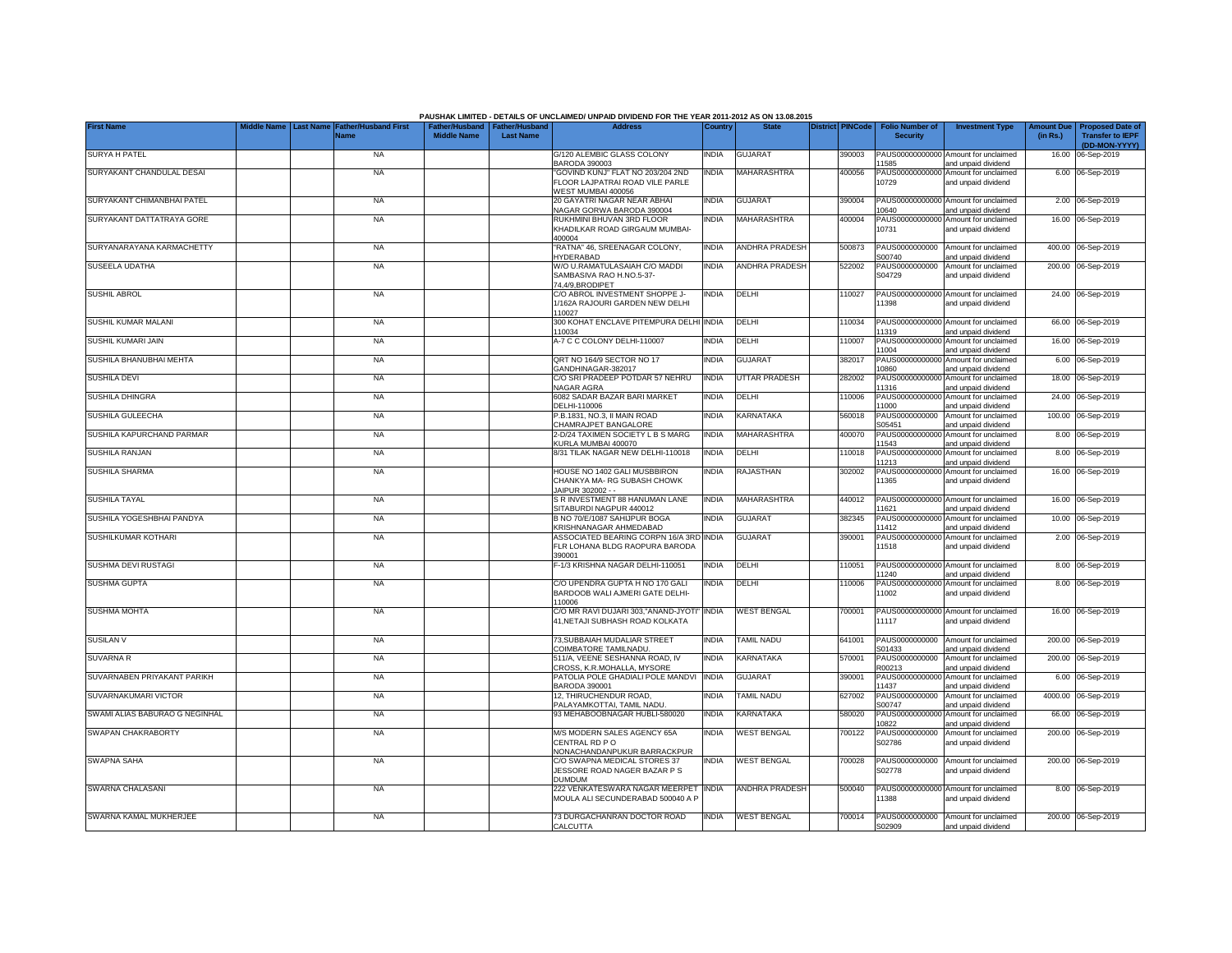|                                |                  |                                     |                                                       |                  | PAUSHAK LIMITED - DETAILS OF UNCLAIMED/ UNPAID DIVIDEND FOR THE YEAR 2011-2012 AS ON 13.08.2015 |              |                       |                         |                                           |                                                             |                               |                                                                     |
|--------------------------------|------------------|-------------------------------------|-------------------------------------------------------|------------------|-------------------------------------------------------------------------------------------------|--------------|-----------------------|-------------------------|-------------------------------------------|-------------------------------------------------------------|-------------------------------|---------------------------------------------------------------------|
| <b>First Name</b>              | <b>Last Name</b> | <b>Father/Husband First</b><br>Name | Father/Husband   Father/Husband<br><b>Middle Name</b> | <b>Last Name</b> | <b>Address</b>                                                                                  | Country      | <b>State</b>          | <b>District PINCode</b> | <b>Folio Number of</b><br><b>Security</b> | <b>Investment Type</b>                                      | <b>Amount Due</b><br>(in Rs.) | <b>Proposed Date of</b><br><b>Transfer to IEPF</b><br>(DD-MON-YYYY) |
| <b>SURYA H PATEL</b>           |                  | <b>NA</b>                           |                                                       |                  | G/120 ALEMBIC GLASS COLONY<br>BARODA 390003                                                     | INDIA        | <b>GUJARAT</b>        | 390003                  | 1585                                      | PAUS00000000000 Amount for unclaimed<br>and unpaid dividend |                               | 16.00 06-Sep-2019                                                   |
| SURYAKANT CHANDULAL DESAI      |                  | <b>NA</b>                           |                                                       |                  | 'GOVIND KUNJ" FLAT NO 203/204 2ND<br>FLOOR LAJPATRAI ROAD VILE PARLE<br>WEST MUMBAI 400056      | INDIA        | <b>MAHARASHTRA</b>    | 400056                  | 10729                                     | PAUS00000000000 Amount for unclaimed<br>and unpaid dividend |                               | 6.00 06-Sep-2019                                                    |
| SURYAKANT CHIMANBHAI PATEL     |                  | <b>NA</b>                           |                                                       |                  | 20 GAYATRI NAGAR NEAR ABHAI<br>VAGAR GORWA BARODA 390004                                        | <b>INDIA</b> | <b>GUJARAT</b>        | 390004                  | 0640                                      | PAUS00000000000 Amount for unclaimed<br>and unpaid dividend |                               | 2.00 06-Sep-2019                                                    |
| SURYAKANT DATTATRAYA GORE      |                  | <b>NA</b>                           |                                                       |                  | RUKHMINI BHUVAN 3RD FLOOR<br>KHADILKAR ROAD GIRGAUM MUMBAI-<br>400004                           | INDIA        | MAHARASHTRA           | 400004                  | 10731                                     | PAUS00000000000 Amount for unclaimed<br>and unpaid dividend |                               | 16.00 06-Sep-2019                                                   |
| SURYANARAYANA KARMACHETTY      |                  | <b>NA</b>                           |                                                       |                  | "RATNA" 46, SREENAGAR COLONY,<br><b>HYDERABAD</b>                                               | <b>INDIA</b> | <b>ANDHRA PRADESH</b> | 500873                  | PAUS0000000000<br>S00740                  | Amount for unclaimed<br>and unpaid dividend                 |                               | 400.00 06-Sep-2019                                                  |
| SUSEELA UDATHA                 |                  | <b>NA</b>                           |                                                       |                  | W/O U.RAMATULASAIAH C/O MADDI<br>SAMBASIVA RAO H.NO.5-37-<br>74,4/9, BRODIPET                   | INDIA        | <b>ANDHRA PRADESH</b> | 522002                  | PAUS0000000000<br>S04729                  | Amount for unclaimed<br>and unpaid dividend                 |                               | 200.00 06-Sep-2019                                                  |
| <b>SUSHIL ABROL</b>            |                  | <b>NA</b>                           |                                                       |                  | C/O ABROL INVESTMENT SHOPPE J-<br>1/162A RAJOURI GARDEN NEW DELHI<br>110027                     | INDIA        | DELHI                 | 110027                  | 11398                                     | PAUS00000000000 Amount for unclaimed<br>and unpaid dividend |                               | 24.00 06-Sep-2019                                                   |
| SUSHIL KUMAR MALANI            |                  | <b>NA</b>                           |                                                       |                  | 300 KOHAT ENCLAVE PITEMPURA DELH<br>110034                                                      | <b>INDIA</b> | DELHI                 | 110034                  | 11319                                     | PAUS00000000000 Amount for unclaimed<br>and unpaid dividend |                               | 66.00 06-Sep-2019                                                   |
| SUSHIL KUMARI JAIN             |                  | <b>NA</b>                           |                                                       |                  | A-7 C C COLONY DELHI-110007                                                                     | INDIA        | DELHI                 | 110007                  | PAUS0000000000<br>11004                   | Amount for unclaimed<br>and unpaid dividend                 |                               | 16.00 06-Sep-2019                                                   |
| SUSHILA BHANUBHAI MEHTA        |                  | <b>NA</b>                           |                                                       |                  | QRT NO 164/9 SECTOR NO 17<br>GANDHINAGAR-382017                                                 | India        | <b>GUJARAT</b>        | 382017                  | PAUS00000000000<br>10860                  | Amount for unclaimed<br>and unpaid dividend                 |                               | 6.00 06-Sep-2019                                                    |
| <b>SUSHILA DEVI</b>            |                  | <b>NA</b>                           |                                                       |                  | C/O SRI PRADEEP POTDAR 57 NEHRU<br>NAGAR AGRA                                                   | india        | UTTAR PRADESH         | 282002                  | PAUS00000000000<br>11316                  | Amount for unclaimed<br>and unpaid dividend                 |                               | 18.00 06-Sep-2019                                                   |
| <b>SUSHILA DHINGRA</b>         |                  | <b>NA</b>                           |                                                       |                  | 6082 SADAR BAZAR BARI MARKET<br>DELHI-110006                                                    | INDIA        | DELHI                 | 10006                   | PAUS00000000000<br>1000                   | Amount for unclaimed<br>and unpaid dividend                 |                               | 24.00 06-Sep-2019                                                   |
| SUSHILA GULEECHA               |                  | <b>NA</b>                           |                                                       |                  | P.B.1831, NO.3, II MAIN ROAD<br>CHAMRAJPET BANGALORE                                            | INDIA        | KARNATAKA             | 560018                  | PAUS0000000000<br>S05451                  | Amount for unclaimed<br>and unpaid dividend                 |                               | 100.00 06-Sep-2019                                                  |
| SUSHILA KAPURCHAND PARMAR      |                  | <b>NA</b>                           |                                                       |                  | 2-D/24 TAXIMEN SOCIETY L B S MARG<br>KURLA MUMBAI 400070                                        | <b>INDIA</b> | MAHARASHTRA           | 400070                  | 11543                                     | PAUS00000000000 Amount for unclaimed<br>and unpaid dividend |                               | 8.00 06-Sep-2019                                                    |
| <b>SUSHILA RANJAN</b>          |                  | <b>NA</b>                           |                                                       |                  | 8/31 TILAK NAGAR NEW DELHI-110018                                                               | <b>INDIA</b> | DELHI                 | 110018                  | 11213                                     | PAUS00000000000 Amount for unclaimed<br>and unpaid dividend |                               | 8.00 06-Sep-2019                                                    |
| <b>SUSHILA SHARMA</b>          |                  | <b>NA</b>                           |                                                       |                  | HOUSE NO 1402 GALI MUSBBIRON<br>CHANKYA MA-RG SUBASH CHOWK<br>JAIPUR 302002 - -                 | INDIA        | RAJASTHAN             | 302002                  | 11365                                     | PAUS00000000000 Amount for unclaimed<br>and unpaid dividend |                               | 16.00 06-Sep-2019                                                   |
| <b>SUSHILA TAYAL</b>           |                  | <b>NA</b>                           |                                                       |                  | S R INVESTMENT 88 HANUMAN LANE<br>SITABURDI NAGPUR 440012                                       | <b>INDIA</b> | <b>MAHARASHTRA</b>    | 440012                  | 11621                                     | PAUS00000000000 Amount for unclaimed<br>and unpaid dividend |                               | 16.00 06-Sep-2019                                                   |
| SUSHILA YOGESHBHAI PANDYA      |                  | <b>NA</b>                           |                                                       |                  | B NO 70/E/1087 SAHIJPUR BOGA<br>KRISHNANAGAR AHMEDABAD                                          | INDIA        | <b>GUJARAT</b>        | 382345                  | 11412                                     | PAUS00000000000 Amount for unclaimed<br>and unpaid dividend |                               | 10.00 06-Sep-2019                                                   |
| SUSHILKUMAR KOTHARI            |                  | <b>NA</b>                           |                                                       |                  | ASSOCIATED BEARING CORPN 16/A 3RD INDIA<br>FLR LOHANA BLDG RAOPURA BARODA<br>390001             |              | <b>GUJARAT</b>        | 390001                  | 11518                                     | PAUS00000000000 Amount for unclaimed<br>and unpaid dividend |                               | 2.00 06-Sep-2019                                                    |
| SUSHMA DEVI RUSTAGI            |                  | <b>NA</b>                           |                                                       |                  | F-1/3 KRISHNA NAGAR DELHI-110051                                                                | <b>INDIA</b> | DELHI                 | 110051                  | 1240                                      | PAUS00000000000 Amount for unclaimed<br>and unpaid dividend |                               | 8.00 06-Sep-2019                                                    |
| <b>SUSHMA GUPTA</b>            |                  | <b>NA</b>                           |                                                       |                  | C/O UPENDRA GUPTA H NO 170 GALI<br>BARDOOB WALI AJMERI GATE DELHI-<br>110006                    | india        | DELHI                 | 10006                   | PAUS00000000000<br>11002                  | Amount for unclaimed<br>and unpaid dividend                 |                               | 8.00 06-Sep-2019                                                    |
| <b>SUSHMA MOHTA</b>            |                  | <b>NA</b>                           |                                                       |                  | C/O MR RAVI DUJARI 303,"ANAND-JYOTI'<br>41, NETAJI SUBHASH ROAD KOLKATA                         | <b>INDIA</b> | <b>WEST BENGAL</b>    | 700001                  | 11117                                     | PAUS00000000000 Amount for unclaimed<br>and unpaid dividend |                               | 16.00 06-Sep-2019                                                   |
| SUSILAN V                      |                  | <b>NA</b>                           |                                                       |                  | 73, SUBBAIAH MUDALIAR STREET<br>COIMBATORE TAMILNADU.                                           | INDIA        | <b>TAMIL NADU</b>     | 641001                  | PAUS0000000000<br>S01433                  | Amount for unclaimed<br>and unpaid dividend                 |                               | 200.00 06-Sep-2019                                                  |
| SUVARNA R                      |                  | <b>NA</b>                           |                                                       |                  | 511/A, VEENE SESHANNA ROAD, IV<br>CROSS, K.R.MOHALLA, MYSORE                                    | <b>INDIA</b> | <b>KARNATAKA</b>      | 570001                  | PAUS0000000000<br>R00213                  | Amount for unclaimed<br>and unpaid dividend                 |                               | 200.00 06-Sep-2019                                                  |
| SUVARNABEN PRIYAKANT PARIKH    |                  | <b>NA</b>                           |                                                       |                  | PATOLIA POLE GHADIALI POLE MANDVI<br>BARODA 390001                                              | <b>INDIA</b> | <b>GUJARAT</b>        | 390001                  | 11437                                     | PAUS00000000000 Amount for unclaimed<br>and unpaid dividend |                               | 6.00 06-Sep-2019                                                    |
| SUVARNAKUMARI VICTOR           |                  | <b>NA</b>                           |                                                       |                  | 12. THIRUCHENDUR ROAD.<br>PALAYAMKOTTAI, TAMIL NADU                                             | <b>INDIA</b> | TAMIL NADU            | 627002                  | PAUS0000000000<br>S00747                  | Amount for unclaimed<br>and unpaid dividend                 | 4000.00                       | 06-Sep-2019                                                         |
| SWAMI ALIAS BABURAO G NEGINHAL |                  | <b>NA</b>                           |                                                       |                  | 93 MEHABOOBNAGAR HUBLI-580020                                                                   | <b>INDIA</b> | KARNATAKA             | 580020                  | PAUS0000000000<br>10822                   | Amount for unclaimed<br>and unpaid dividend                 | 66.00                         | 06-Sep-2019                                                         |
| <b>SWAPAN CHAKRABORTY</b>      |                  | <b>NA</b>                           |                                                       |                  | M/S MODERN SALES AGENCY 65A<br>CENTRAL RD PO<br>NONACHANDANPUKUR BARRACKPUR                     | INDIA        | <b>WEST BENGAL</b>    | 700122                  | PAUS0000000000<br>S02786                  | Amount for unclaimed<br>and unpaid dividend                 |                               | 200.00 06-Sep-2019                                                  |
| <b>SWAPNA SAHA</b>             |                  | <b>NA</b>                           |                                                       |                  | C/O SWAPNA MEDICAL STORES 37<br>JESSORE ROAD NAGER BAZAR P S<br><b>DUMDUM</b>                   | <b>INDIA</b> | <b>WEST BENGAL</b>    | 700028                  | PAUS0000000000<br>S02778                  | Amount for unclaimed<br>and unpaid dividend                 |                               | 200.00 06-Sep-2019                                                  |
| SWARNA CHALASANI               |                  | <b>NA</b>                           |                                                       |                  | 222 VENKATESWARA NAGAR MEERPET<br>MOULA ALI SECUNDERABAD 500040 A F                             | <b>INDIA</b> | <b>ANDHRA PRADESH</b> | 500040                  | 11388                                     | PAUS00000000000 Amount for unclaimed<br>and unpaid dividend |                               | 8.00 06-Sep-2019                                                    |
| SWARNA KAMAL MUKHERJEE         |                  | <b>NA</b>                           |                                                       |                  | 73 DURGACHANRAN DOCTOR ROAD<br>CALCUTTA                                                         | <b>INDIA</b> | <b>WEST BENGAL</b>    | 700014                  | S02909                                    | PAUS0000000000 Amount for unclaimed<br>and unpaid dividend  |                               | 200.00 06-Sep-2019                                                  |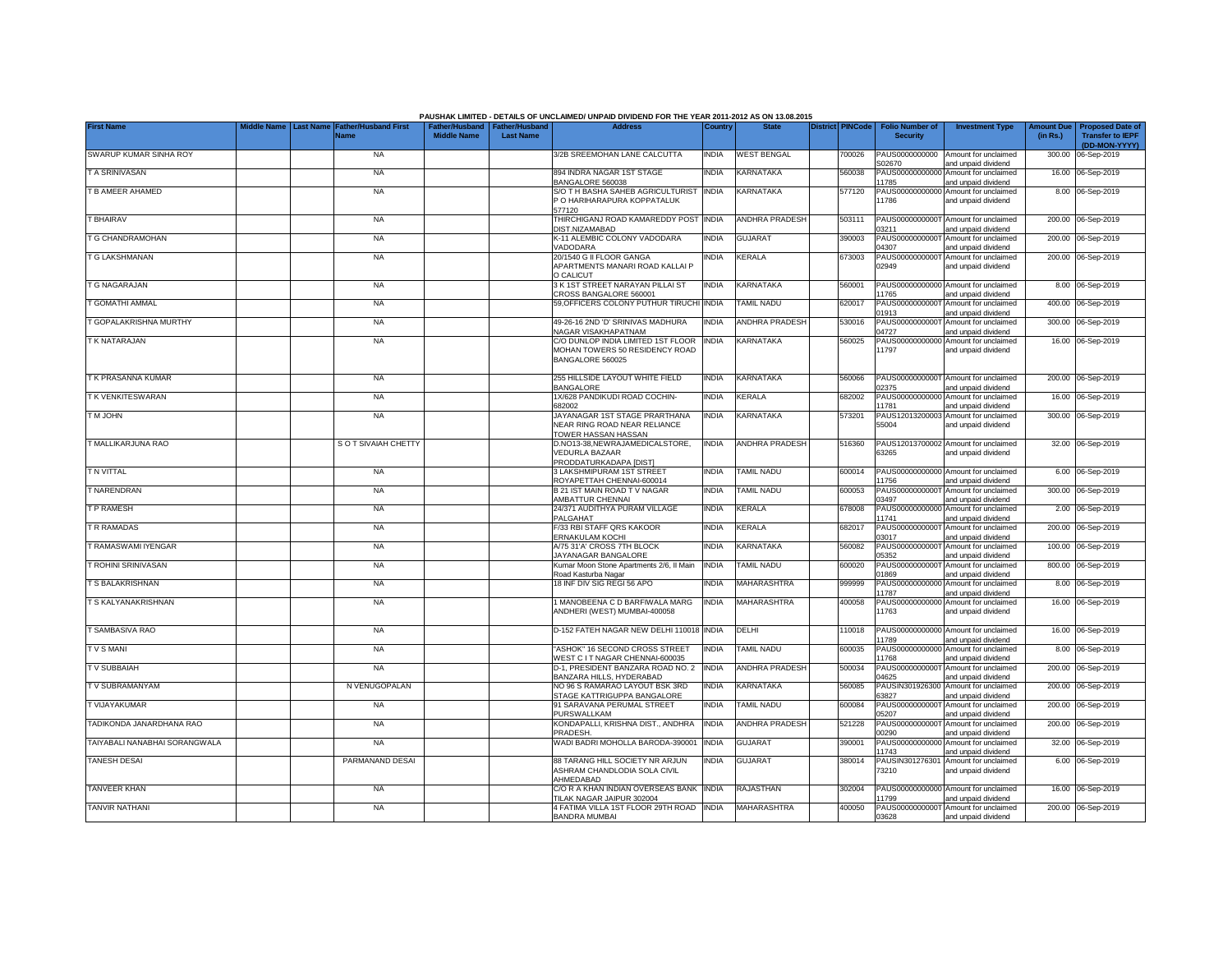|                                |                                |                                     |                                                       |                  | PAUSHAK LIMITED - DETAILS OF UNCLAIMED/ UNPAID DIVIDEND FOR THE YEAR 2011-2012 AS ON 13.08.2015 |              |                       |                         |                                           |                                                             |                               |                                                                     |
|--------------------------------|--------------------------------|-------------------------------------|-------------------------------------------------------|------------------|-------------------------------------------------------------------------------------------------|--------------|-----------------------|-------------------------|-------------------------------------------|-------------------------------------------------------------|-------------------------------|---------------------------------------------------------------------|
| <b>First Name</b>              | <b>Last Name</b><br>iddle Name | <b>Father/Husband First</b><br>Name | Father/Husband   Father/Husband<br><b>Middle Name</b> | <b>Last Name</b> | <b>Address</b>                                                                                  | Country      | <b>State</b>          | <b>District PINCode</b> | <b>Folio Number of</b><br><b>Security</b> | <b>Investment Type</b>                                      | <b>Amount Due</b><br>(in Rs.) | <b>Proposed Date of</b><br><b>Transfer to IEPF</b><br>(DD-MON-YYYY) |
| SWARUP KUMAR SINHA ROY         |                                | <b>NA</b>                           |                                                       |                  | 3/2B SREEMOHAN LANE CALCUTTA                                                                    | <b>INDIA</b> | <b>WEST BENGAL</b>    | 700026                  | PAUS0000000000<br>S02670                  | Amount for unclaimed<br>and unpaid dividend                 |                               | 300.00 06-Sep-2019                                                  |
| T A SRINIVASAN                 |                                | <b>NA</b>                           |                                                       |                  | 894 INDRA NAGAR 1ST STAGE<br>BANGALORE 560038                                                   | <b>INDIA</b> | KARNATAKA             | 560038                  | PAUS00000000000<br>11785                  | Amount for unclaimed<br>and unpaid dividend                 |                               | 16.00 06-Sep-2019                                                   |
| T B AMEER AHAMED               |                                | <b>NA</b>                           |                                                       |                  | S/O T H BASHA SAHEB AGRICULTURIST INDIA<br>P O HARIHARAPURA KOPPATALUK<br>577120                |              | KARNATAKA             | 577120                  | 11786                                     | PAUS00000000000 Amount for unclaimed<br>and unpaid dividend |                               | 8.00 06-Sep-2019                                                    |
| T BHAIRAV                      |                                | <b>NA</b>                           |                                                       |                  | THIRCHIGANJ ROAD KAMAREDDY POST INDIA<br>DIST.NIZAMABAD                                         |              | ANDHRA PRADESH        | 503111                  | PAUS00000000001<br>03211                  | Amount for unclaimed<br>and unpaid dividend                 |                               | 200.00 06-Sep-2019                                                  |
| <b><i>E</i></b> G CHANDRAMOHAN |                                | <b>NA</b>                           |                                                       |                  | K-11 ALEMBIC COLONY VADODARA<br>VADODARA                                                        | <b>INDIA</b> | <b>GUJARAT</b>        | 390003                  | PAUS0000000000<br>04307                   | Amount for unclaimed<br>and unpaid dividend                 |                               | 200.00 06-Sep-2019                                                  |
| T G LAKSHMANAN                 |                                | <b>NA</b>                           |                                                       |                  | 20/1540 G II FLOOR GANGA<br>APARTMENTS MANARI ROAD KALLAI P<br>O CALICUT                        | <b>INDIA</b> | <b>CERALA</b>         | 673003                  | PAUS0000000000<br>02949                   | Amount for unclaimed<br>and unpaid dividend                 |                               | 200.00 06-Sep-2019                                                  |
| <b><i>FG NAGARAJAN</i></b>     |                                | <b>NA</b>                           |                                                       |                  | 3 K 1ST STREET NARAYAN PILLAI ST<br>CROSS BANGALORE 560001                                      | <b>INDIA</b> | <b>KARNATAKA</b>      | 560001                  | PAUS00000000000<br>1765                   | Amount for unclaimed<br>and unpaid dividend                 |                               | 8.00 06-Sep-2019                                                    |
| <b><i>E</i></b> GOMATHI AMMAL  |                                | <b>NA</b>                           |                                                       |                  | 59.OFFICERS COLONY PUTHUR TIRUCHI                                                               | <b>INDIA</b> | <b>TAMIL NADU</b>     | 620017                  | PAUS0000000000<br>1913                    | Amount for unclaimed<br>and unpaid dividend                 |                               | 400.00 06-Sep-2019                                                  |
| T GOPALAKRISHNA MURTHY         |                                | <b>NA</b>                           |                                                       |                  | 49-26-16 2ND 'D' SRINIVAS MADHURA<br>NAGAR VISAKHAPATNAM                                        | <b>INDIA</b> | ANDHRA PRADESH        | 530016                  | PAUS0000000000<br>14727                   | Amount for unclaimed<br>and unpaid dividend                 |                               | 300.00 06-Sep-2019                                                  |
| T K NATARAJAN                  |                                | <b>NA</b>                           |                                                       |                  | C/O DUNLOP INDIA LIMITED 1ST FLOOR<br>MOHAN TOWERS 50 RESIDENCY ROAD<br>BANGALORE 560025        | <b>INDIA</b> | KARNATAKA             | 560025                  | PAUS00000000000<br>1797                   | Amount for unclaimed<br>and unpaid dividend                 |                               | 16.00 06-Sep-2019                                                   |
| T K PRASANNA KUMAR             |                                | <b>NA</b>                           |                                                       |                  | 255 HILLSIDE LAYOUT WHITE FIELD<br><b>BANGALORE</b>                                             | <b>INDIA</b> | KARNATAKA             | 560066                  | 02375                                     | PAUS0000000000T Amount for unclaimed<br>and unpaid dividend |                               | 200.00 06-Sep-2019                                                  |
| T K VENKITESWARAN              |                                | <b>NA</b>                           |                                                       |                  | 1X/628 PANDIKUDI ROAD COCHIN-<br>682002                                                         | <b>INDIA</b> | KERALA                | 682002                  | 11781                                     | PAUS00000000000 Amount for unclaimed<br>and unpaid dividend |                               | 16.00 06-Sep-2019                                                   |
| <b>TM JOHN</b>                 |                                | <b>NA</b>                           |                                                       |                  | JAYANAGAR 1ST STAGE PRARTHANA<br>NEAR RING ROAD NEAR RELIANCE<br>TOWER HASSAN HASSAN            | <b>INDIA</b> | KARNATAKA             | 573201                  | 55004                                     | PAUS12013200003 Amount for unclaimed<br>and unpaid dividend |                               | 300.00 06-Sep-2019                                                  |
| T MALLIKARJUNA RAO             |                                | S O T SIVAIAH CHETTY                |                                                       |                  | D.NO13-38, NEW RAJAMEDICALSTORE,<br><b>VEDURLA BAZAAR</b><br>PRODDATURKADAPA IDISTI             | <b>INDIA</b> | <b>ANDHRA PRADESH</b> | 516360                  | 63265                                     | PAUS12013700002 Amount for unclaimed<br>and unpaid dividend |                               | 32.00 06-Sep-2019                                                   |
| T N VITTAL                     |                                | <b>NA</b>                           |                                                       |                  | 3 LAKSHMIPURAM 1ST STREET<br>ROYAPETTAH CHENNAI-600014                                          | <b>INDIA</b> | <b>TAMIL NADU</b>     | 600014                  | 11756                                     | PAUS00000000000 Amount for unclaimed<br>and unpaid dividend |                               | 6.00 06-Sep-2019                                                    |
| <b>TNARENDRAN</b>              |                                | <b>NA</b>                           |                                                       |                  | <b>B 21 IST MAIN ROAD TV NAGAR</b><br>AMBATTUR CHENNAI                                          | <b>INDIA</b> | TAMIL NADU            | 600053                  | PAUS0000000000<br>03497                   | Amount for unclaimed<br>and unpaid dividend                 | 300.00                        | 06-Sep-2019                                                         |
| T P RAMESH                     |                                | <b>NA</b>                           |                                                       |                  | 24/371 AUDITHYA PURAM VILLAGE<br>PALGAHAT                                                       | <b>INDIA</b> | KERALA                | 678008                  | PAUS0000000000<br>11741                   | Amount for unclaimed<br>and unpaid dividend                 | 2.00                          | 06-Sep-2019                                                         |
| TR RAMADAS                     |                                | <b>NA</b>                           |                                                       |                  | F/33 RBI STAFF QRS KAKOOR<br>ERNAKULAM KOCHI                                                    | <b>INDIA</b> | <b>KERALA</b>         | 682017                  | PAUS0000000000<br>03017                   | Amount for unclaimed<br>and unpaid dividend                 | 200.00                        | 06-Sep-2019                                                         |
| T RAMASWAMI IYENGAR            |                                | <b>NA</b>                           |                                                       |                  | A/75 31'A' CROSS 7TH BLOCK<br>JAYANAGAR BANGALORE                                               | <b>INDIA</b> | KARNATAKA             | 560082                  | PAUS0000000000<br>05352                   | Amount for unclaimed<br>and unpaid dividend                 | 100.00                        | 06-Sep-2019                                                         |
| <b>FROHINI SRINIVASAN</b>      |                                | <b>NA</b>                           |                                                       |                  | Kumar Moon Stone Apartments 2/6, II Main<br>Road Kasturba Nagar                                 | <b>INDIA</b> | TAMIL NADU            | 600020                  | PAUS0000000000<br>01869                   | Amount for unclaimed<br>and unpaid dividend                 |                               | 800.00 06-Sep-2019                                                  |
| T S BALAKRISHNAN               |                                | <b>NA</b>                           |                                                       |                  | 18 INF DIV SIG REGI 56 APO                                                                      | <b>INDIA</b> | MAHARASHTRA           | 999999                  | PAUS00000000000<br>11787                  | Amount for unclaimed<br>and unpaid dividend                 |                               | 8.00 06-Sep-2019                                                    |
| T S KALYANAKRISHNAN            |                                | <b>NA</b>                           |                                                       |                  | 1 MANOBEENA C D BARFIWALA MARG<br>ANDHERI (WEST) MUMBAI-400058                                  | <b>INDIA</b> | MAHARASHTRA           | 400058                  | PAUS00000000000<br>11763                  | Amount for unclaimed<br>and unpaid dividend                 |                               | 16.00 06-Sep-2019                                                   |
| T SAMBASIVA RAO                |                                | <b>NA</b>                           |                                                       |                  | D-152 FATEH NAGAR NEW DELHI 110018 INDIA                                                        |              | DELHI                 | 110018                  | 1789                                      | PAUS00000000000 Amount for unclaimed<br>and unpaid dividend |                               | 16.00 06-Sep-2019                                                   |
| <b>TVSMANI</b>                 |                                | <b>NA</b>                           |                                                       |                  | 'ASHOK" 16 SECOND CROSS STREET<br>WEST C IT NAGAR CHENNAI-600035                                | <b>INDIA</b> | TAMIL NADU            | 600035                  | PAUS00000000000<br>1768                   | Amount for unclaimed<br>and unpaid dividend                 |                               | 8.00 06-Sep-2019                                                    |
| TV SUBBAIAH                    |                                | <b>NA</b>                           |                                                       |                  | D-1, PRESIDENT BANZARA ROAD NO. 2<br>BANZARA HILLS, HYDERABAD                                   | <b>INDIA</b> | ANDHRA PRADESH        | 500034                  | PAUS0000000000<br>04625                   | Amount for unclaimed<br>and unpaid dividend                 |                               | 200.00 06-Sep-2019                                                  |
| TV SUBRAMANYAM                 |                                | N VENUGOPALAN                       |                                                       |                  | NO 96 S RAMARAO LAYOUT BSK 3RD<br>STAGE KATTRIGUPPA BANGALORE                                   | <b>INDIA</b> | <b>KARNATAKA</b>      | 560085                  | PAUSIN301926300<br>63827                  | Amount for unclaimed<br>and unpaid dividend                 |                               | 200.00 06-Sep-2019                                                  |
| T VIJAYAKUMAR                  |                                | <b>NA</b>                           |                                                       |                  | 91 SARAVANA PERUMAL STREET<br>PURSWALLKAM                                                       | <b>INDIA</b> | TAMIL NADU            | 600084                  | PAUS0000000000<br>05207                   | Amount for unclaimed<br>and unpaid dividend                 |                               | 200.00 06-Sep-2019                                                  |
| TADIKONDA JANARDHANA RAO       |                                | <b>NA</b>                           |                                                       |                  | KONDAPALLI, KRISHNA DIST., ANDHRA<br>PRADESH                                                    | <b>INDIA</b> | <b>ANDHRA PRADESH</b> | 521228                  | PAUS0000000000<br>00290                   | Amount for unclaimed<br>and unpaid dividend                 |                               | 200.00 06-Sep-2019                                                  |
| TAIYABALI NANABHAI SORANGWALA  |                                | <b>NA</b>                           |                                                       |                  | WADI BADRI MOHOLLA BARODA-390001                                                                | <b>INDIA</b> | <b>GUJARAT</b>        | 390001                  | 1743                                      | PAUS00000000000 Amount for unclaimed<br>and unpaid dividend |                               | 32.00 06-Sep-2019                                                   |
| <b>TANESH DESAI</b>            |                                | PARMANAND DESAI                     |                                                       |                  | 88 TARANG HILL SOCIETY NR ARJUN<br>ASHRAM CHANDLODIA SOLA CIVIL<br>AHMEDABAD                    | <b>INDIA</b> | <b>GUJARAT</b>        | 380014                  | 73210                                     | PAUSIN301276301 Amount for unclaimed<br>and unpaid dividend |                               | 6.00 06-Sep-2019                                                    |
| <b>TANVEER KHAN</b>            |                                | <b>NA</b>                           |                                                       |                  | C/O R A KHAN INDIAN OVERSEAS BANK INDIA<br>TILAK NAGAR JAIPUR 302004                            |              | <b>RAJASTHAN</b>      | 302004                  | 1799                                      | PAUS00000000000 Amount for unclaimed<br>and unpaid dividend |                               | 16.00 06-Sep-2019                                                   |
| <b>TANVIR NATHANI</b>          |                                | <b>NA</b>                           |                                                       |                  | 4 FATIMA VILLA 1ST FLOOR 29TH ROAD INDIA<br><b>BANDRA MUMBAI</b>                                |              | MAHARASHTRA           | 400050                  | 03628                                     | PAUS0000000000T Amount for unclaimed<br>and unpaid dividend |                               | 200.00 06-Sep-2019                                                  |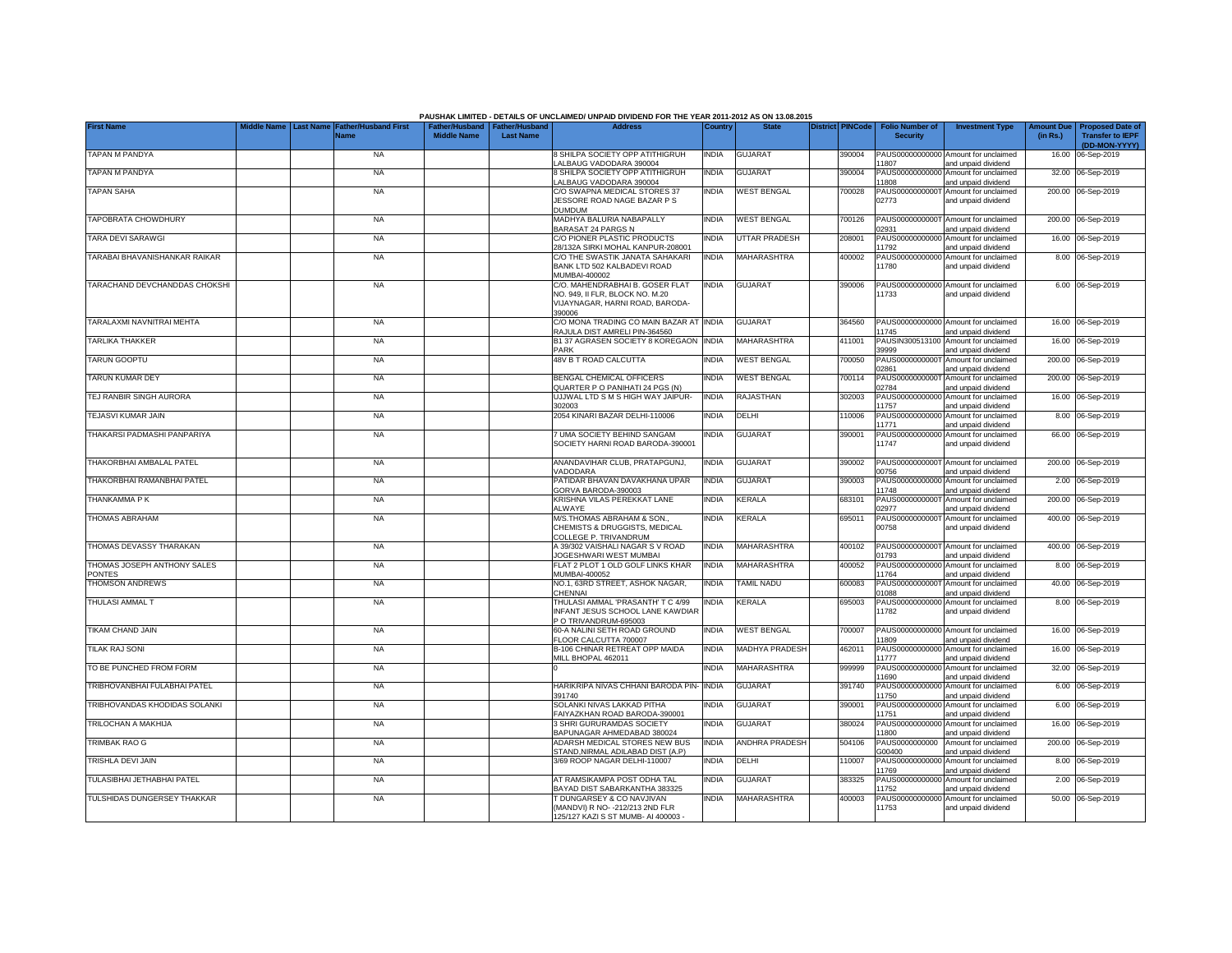|                                       | Middle Name |                                 |                             |                                                       |                  | PAUSHAK LIMITED - DETAILS OF UNCLAIMED/ UNPAID DIVIDEND FOR THE YEAR 2011-2012 AS ON 13.08.2015<br><b>Address</b> |              | <b>State</b>          | <b>District PINCode</b> |                                           |                                                             |                               |                                                                     |
|---------------------------------------|-------------|---------------------------------|-----------------------------|-------------------------------------------------------|------------------|-------------------------------------------------------------------------------------------------------------------|--------------|-----------------------|-------------------------|-------------------------------------------|-------------------------------------------------------------|-------------------------------|---------------------------------------------------------------------|
| <b>First Name</b>                     |             | <b>Last Name</b><br><b>Name</b> | <b>Father/Husband First</b> | Father/Husband   Father/Husband<br><b>Middle Name</b> | <b>Last Name</b> |                                                                                                                   | Country      |                       |                         | <b>Folio Number of</b><br><b>Security</b> | <b>Investment Type</b>                                      | <b>Amount Due</b><br>(in Rs.) | <b>Proposed Date of</b><br><b>Transfer to IEPF</b><br>(DD-MON-YYYY) |
| <b>TAPAN M PANDYA</b>                 |             |                                 | <b>NA</b>                   |                                                       |                  | 8 SHILPA SOCIETY OPP ATITHIGRUH<br>ALBAUG VADODARA 390004                                                         | <b>INDIA</b> | <b>GUJARAT</b>        | 390004                  | 11807                                     | PAUS00000000000 Amount for unclaimed<br>and unpaid dividend |                               | 16.00 06-Sep-2019                                                   |
| TAPAN M PANDYA                        |             |                                 | <b>NA</b>                   |                                                       |                  | 8 SHILPA SOCIETY OPP ATITHIGRUH<br>ALBAUG VADODARA 390004                                                         | INDIA        | <b>GUJARAT</b>        | 390004                  | 11808                                     | PAUS00000000000 Amount for unclaimed<br>and unpaid dividend |                               | 32.00 06-Sep-2019                                                   |
| <b>TAPAN SAHA</b>                     |             |                                 | <b>NA</b>                   |                                                       |                  | C/O SWAPNA MEDICAL STORES 37<br>JESSORE ROAD NAGE BAZAR P S<br>DUMDUM                                             | INDIA        | <b>WEST BENGAL</b>    | 700028                  | PAUS0000000000<br>02773                   | Amount for unclaimed<br>and unpaid dividend                 |                               | 200.00 06-Sep-2019                                                  |
| TAPOBRATA CHOWDHURY                   |             |                                 | <b>NA</b>                   |                                                       |                  | MADHYA BALURIA NABAPALLY<br>BARASAT 24 PARGS N                                                                    | INDIA        | <b>WEST BENGAL</b>    | 700126                  | PAUS0000000000<br>02931                   | Amount for unclaimed<br>and unpaid dividend                 |                               | 200.00 06-Sep-2019                                                  |
| TARA DEVI SARAWGI                     |             |                                 | <b>NA</b>                   |                                                       |                  | C/O PIONER PLASTIC PRODUCTS<br>28/132A SIRKI MOHAL KANPUR-208001                                                  | <b>INDIA</b> | UTTAR PRADESH         | 208001                  | PAUS0000000000<br>1792                    | Amount for unclaimed<br>and unpaid dividend                 |                               | 16.00 06-Sep-2019                                                   |
| TARABAI BHAVANISHANKAR RAIKAR         |             |                                 | <b>NA</b>                   |                                                       |                  | C/O THE SWASTIK JANATA SAHAKARI<br>BANK LTD 502 KALBADEVI ROAD<br>MUMBAI-400002                                   | <b>INDIA</b> | MAHARASHTRA           | 400002                  | PAUS00000000000<br>11780                  | Amount for unclaimed<br>and unpaid dividend                 |                               | 8.00 06-Sep-2019                                                    |
| TARACHAND DEVCHANDDAS CHOKSHI         |             |                                 | <b>NA</b>                   |                                                       |                  | C/O. MAHENDRABHAI B. GOSER FLAT<br>NO. 949, II FLR, BLOCK NO. M.20<br>VIJAYNAGAR, HARNI ROAD, BARODA-<br>390006   | <b>INDIA</b> | <b>GUJARAT</b>        | 390006                  | 11733                                     | PAUS00000000000 Amount for unclaimed<br>and unpaid dividend |                               | 6.00 06-Sep-2019                                                    |
| TARALAXMI NAVNITRAI MEHTA             |             |                                 | <b>NA</b>                   |                                                       |                  | C/O MONA TRADING CO MAIN BAZAR AT<br>RAJULA DIST AMRELI PIN-364560                                                | <b>INDIA</b> | <b>GUJARAT</b>        | 364560                  | 1745                                      | PAUS00000000000 Amount for unclaimed<br>and unpaid dividend |                               | 16.00 06-Sep-2019                                                   |
| TARLIKA THAKKER                       |             |                                 | <b>NA</b>                   |                                                       |                  | B1 37 AGRASEN SOCIETY 8 KOREGAON<br><b>PARK</b>                                                                   | <b>INDIA</b> | MAHARASHTRA           | 411001                  | PAUSIN300513100<br>39999                  | Amount for unclaimed<br>and unpaid dividend                 |                               | 16.00 06-Sep-2019                                                   |
| <b>TARUN GOOPTU</b>                   |             |                                 | <b>NA</b>                   |                                                       |                  | 48V B T ROAD CALCUTTA                                                                                             | INDIA        | <b>WEST BENGAL</b>    | 700050                  | PAUS0000000000<br>02861                   | Amount for unclaimed<br>and unpaid dividend                 |                               | 200.00 06-Sep-2019                                                  |
| <b>TARUN KUMAR DEY</b>                |             |                                 | <b>NA</b>                   |                                                       |                  | BENGAL CHEMICAL OFFICERS<br>QUARTER P O PANIHATI 24 PGS (N)                                                       | INDIA        | <b>WEST BENGAL</b>    | 700114                  | PAUS0000000000<br>02784                   | Amount for unclaimed<br>and unpaid dividend                 |                               | 200.00 06-Sep-2019                                                  |
| TEJ RANBIR SINGH AURORA               |             |                                 | <b>NA</b>                   |                                                       |                  | UJJWAL LTD S M S HIGH WAY JAIPUR-<br>302003                                                                       | <b>INDIA</b> | <b>RAJASTHAN</b>      | 302003                  | 11757                                     | PAUS00000000000 Amount for unclaimed<br>and unpaid dividend |                               | 16.00 06-Sep-2019                                                   |
| TEJASVI KUMAR JAIN                    |             |                                 | <b>NA</b>                   |                                                       |                  | 2054 KINARI BAZAR DELHI-110006                                                                                    | <b>INDIA</b> | DELHI                 | 110006                  | PAUS0000000000<br>11771                   | Amount for unclaimed<br>and unpaid dividend                 |                               | 8.00 06-Sep-2019                                                    |
| THAKARSI PADMASHI PANPARIYA           |             |                                 | <b>NA</b>                   |                                                       |                  | 7 UMA SOCIETY BEHIND SANGAM<br>SOCIETY HARNI ROAD BARODA-390001                                                   | INDIA        | <b>GUJARAT</b>        | 390001                  | PAUS0000000000<br>11747                   | Amount for unclaimed<br>and unpaid dividend                 |                               | 66.00 06-Sep-2019                                                   |
| THAKORBHAI AMBALAL PATEL              |             |                                 | <b>NA</b>                   |                                                       |                  | ANANDAVIHAR CLUB, PRATAPGUNJ,<br>VADODARA                                                                         | <b>INDIA</b> | <b>GUJARAT</b>        | 390002                  | PAUS0000000000<br>00756                   | Amount for unclaimed<br>and unpaid dividend                 |                               | 200.00 06-Sep-2019                                                  |
| THAKORBHAI RAMANBHAI PATEL            |             |                                 | <b>NA</b>                   |                                                       |                  | PATIDAR BHAVAN DAVAKHANA UPAR<br>GORVA BARODA-390003                                                              | INDIA        | <b>GUJARAT</b>        | 390003                  | PAUS0000000000<br>11748                   | Amount for unclaimed<br>and unpaid dividend                 | 2.00                          | 06-Sep-2019                                                         |
| THANKAMMA P K                         |             |                                 | <b>NA</b>                   |                                                       |                  | KRISHNA VILAS PEREKKAT LANE<br><b>ALWAYE</b>                                                                      | <b>INDIA</b> | <b>KERALA</b>         | 683101                  | PAUS0000000000<br>02977                   | Amount for unclaimed<br>and unpaid dividend                 |                               | 200.00 06-Sep-2019                                                  |
| THOMAS ABRAHAM                        |             |                                 | <b>NA</b>                   |                                                       |                  | M/S.THOMAS ABRAHAM & SON.<br>CHEMISTS & DRUGGISTS, MEDICAL<br>COLLEGE P. TRIVANDRUM                               | INDIA        | KERALA                | 695011                  | PAUS0000000000<br>00758                   | Amount for unclaimed<br>and unpaid dividend                 |                               | 400.00 06-Sep-2019                                                  |
| THOMAS DEVASSY THARAKAN               |             |                                 | <b>NA</b>                   |                                                       |                  | A 39/302 VAISHALI NAGAR S V ROAD<br>JOGESHWARI WEST MUMBAI                                                        | INDIA        | MAHARASHTRA           | 400102                  | PAUS0000000000<br>01793                   | Amount for unclaimed<br>and unpaid dividend                 |                               | 400.00 06-Sep-2019                                                  |
| THOMAS JOSEPH ANTHONY SALES<br>PONTES |             |                                 | <b>NA</b>                   |                                                       |                  | FLAT 2 PLOT 1 OLD GOLF LINKS KHAR<br>MUMBAI-400052                                                                | INDIA        | MAHARASHTRA           | 400052                  | PAUS00000000000<br>11764                  | Amount for unclaimed<br>and unpaid dividend                 |                               | 8.00 06-Sep-2019                                                    |
| <b>THOMSON ANDREWS</b>                |             |                                 | <b>NA</b>                   |                                                       |                  | NO.1, 63RD STREET, ASHOK NAGAR,<br>CHENNAL                                                                        | <b>INDIA</b> | TAMIL NADU            | 600083                  | PAUS0000000000<br>01088                   | Amount for unclaimed<br>and unpaid dividend                 |                               | 40.00 06-Sep-2019                                                   |
| THULASI AMMAL T                       |             |                                 | <b>NA</b>                   |                                                       |                  | THULASI AMMAL 'PRASANTH' T C 4/99<br><b>INFANT JESUS SCHOOL LANE KAWDIAR</b><br>P O TRIVANDRUM-695003             | india        | KERALA                | 695003                  | PAUS00000000000<br>11782                  | Amount for unclaimed<br>and unpaid dividend                 |                               | 8.00 06-Sep-2019                                                    |
| <b>TIKAM CHAND JAIN</b>               |             |                                 | <b>NA</b>                   |                                                       |                  | 60-A NALINI SETH ROAD GROUND<br>FLOOR CALCUTTA 700007                                                             | India        | <b>WEST BENGAL</b>    | '00007                  | 1809                                      | PAUS00000000000 Amount for unclaimed<br>and unpaid dividend |                               | 16.00 06-Sep-2019                                                   |
| <b>TILAK RAJ SONI</b>                 |             |                                 | <b>NA</b>                   |                                                       |                  | B-106 CHINAR RETREAT OPP MAIDA<br>MILL BHOPAL 462011                                                              | INDIA        | <b>MADHYA PRADESH</b> | 462011                  | PAUS00000000000<br>11777                  | Amount for unclaimed<br>and unpaid dividend                 |                               | 16.00 06-Sep-2019                                                   |
| TO BE PUNCHED FROM FORM               |             |                                 | <b>NA</b>                   |                                                       |                  |                                                                                                                   | <b>INDIA</b> | <b>MAHARASHTRA</b>    | 999999                  | 1690                                      | PAUS00000000000 Amount for unclaimed<br>and unpaid dividend |                               | 32.00 06-Sep-2019                                                   |
| TRIBHOVANBHAI FULABHAI PATEL          |             |                                 | <b>NA</b>                   |                                                       |                  | HARIKRIPA NIVAS CHHANI BARODA PIN-<br>391740                                                                      | <b>INDIA</b> | <b>GUJARAT</b>        | 391740                  | 11750                                     | PAUS00000000000 Amount for unclaimed<br>and unpaid dividend |                               | 6.00 06-Sep-2019                                                    |
| TRIBHOVANDAS KHODIDAS SOLANKI         |             |                                 | <b>NA</b>                   |                                                       |                  | SOLANKI NIVAS LAKKAD PITHA<br>FAIYAZKHAN ROAD BARODA-390001                                                       | INDIA        | <b>GUJARAT</b>        | 390001                  | 11751                                     | PAUS00000000000 Amount for unclaimed<br>and unpaid dividend |                               | 6.00 06-Sep-2019                                                    |
| TRILOCHAN A MAKHIJA                   |             |                                 | <b>NA</b>                   |                                                       |                  | 3 SHRI GURURAMDAS SOCIETY<br>BAPUNAGAR AHMEDABAD 380024                                                           | <b>INDIA</b> | <b>GUJARAT</b>        | 380024                  | 11800                                     | PAUS00000000000 Amount for unclaimed<br>and unpaid dividend |                               | 16.00 06-Sep-2019                                                   |
| <b>TRIMBAK RAO G</b>                  |             |                                 | <b>NA</b>                   |                                                       |                  | ADARSH MEDICAL STORES NEW BUS<br>STAND, NIRMAL ADILABAD DIST (A.P)                                                | <b>INDIA</b> | <b>ANDHRA PRADESH</b> | 504106                  | G00400                                    | PAUS0000000000 Amount for unclaimed<br>and unpaid dividend  |                               | 200.00 06-Sep-2019                                                  |
| TRISHLA DEVI JAIN                     |             |                                 | <b>NA</b>                   |                                                       |                  | 3/69 ROOP NAGAR DELHI-110007                                                                                      | <b>INDIA</b> | <b>DELHI</b>          | 110007                  | 11769                                     | PAUS00000000000 Amount for unclaimed<br>and unpaid dividend |                               | 8.00 06-Sep-2019                                                    |
| TULASIBHAI JETHABHAI PATEL            |             |                                 | <b>NA</b>                   |                                                       |                  | AT RAMSIKAMPA POST ODHA TAL<br><b>BAYAD DIST SABARKANTHA 383325</b>                                               | INDIA        | GUJARAT               | 383325                  | 11752                                     | PAUS00000000000 Amount for unclaimed<br>and unpaid dividend |                               | 2.00 06-Sep-2019                                                    |
| TULSHIDAS DUNGERSEY THAKKAR           |             |                                 | <b>NA</b>                   |                                                       |                  | <b>FDUNGARSEY &amp; CO NAVJIVAN</b><br>(MANDVI) R NO- - 212/213 2ND FLR<br>125/127 KAZI S ST MUMB- AI 400003 -    | INDIA        | MAHARASHTRA           | 400003                  | PAUS00000000000<br>11753                  | Amount for unclaimed<br>and unpaid dividend                 |                               | 50.00 06-Sep-2019                                                   |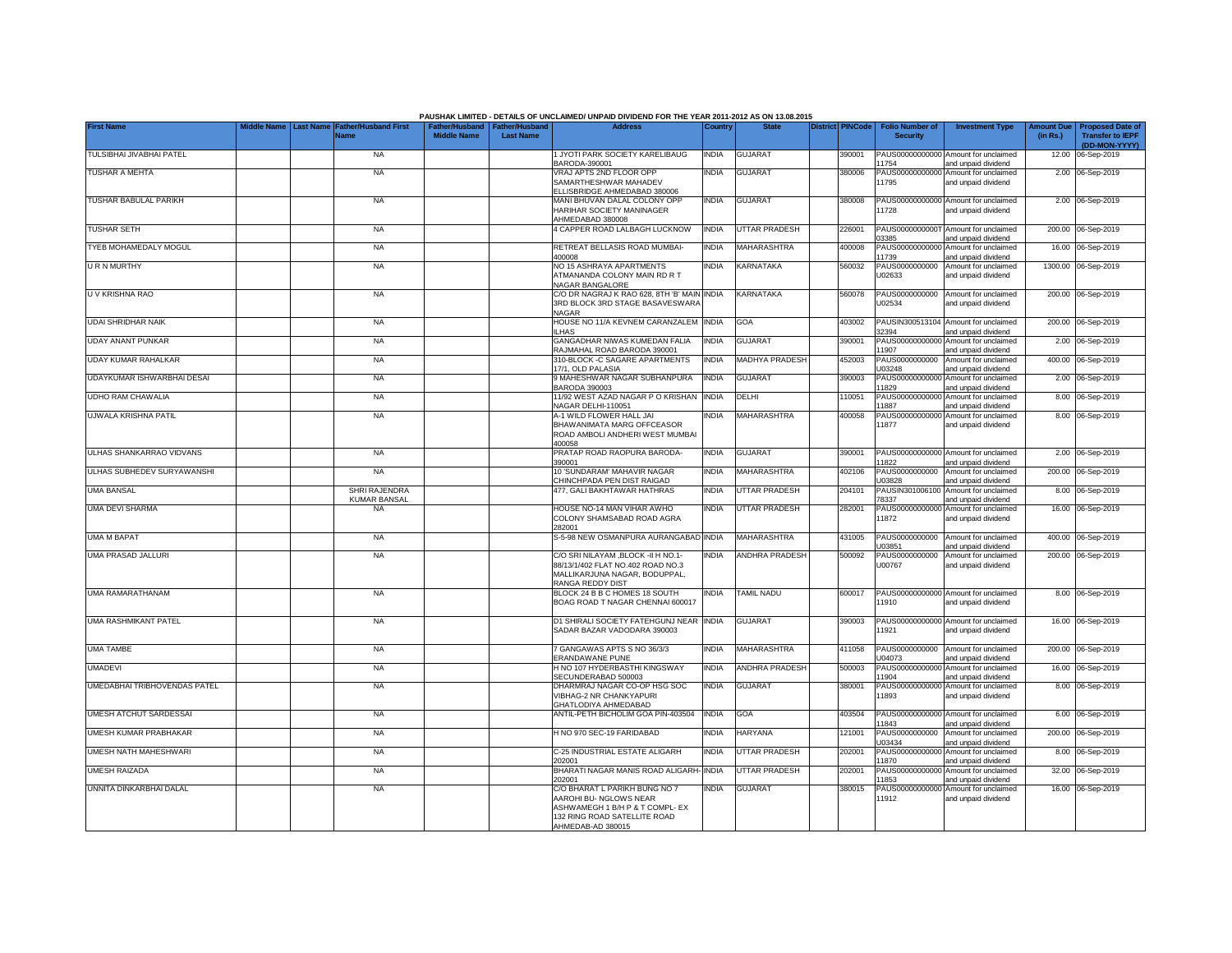|                                     |                                                  |                                                       |                  | PAUSHAK LIMITED - DETAILS OF UNCLAIMED/ UNPAID DIVIDEND FOR THE YEAR 2011-2012 AS ON 13.08.2015                                                 |              |                       |                         |                                           |                                                             |                               |                                                                     |
|-------------------------------------|--------------------------------------------------|-------------------------------------------------------|------------------|-------------------------------------------------------------------------------------------------------------------------------------------------|--------------|-----------------------|-------------------------|-------------------------------------------|-------------------------------------------------------------|-------------------------------|---------------------------------------------------------------------|
| <b>First Name</b>                   | <b>Last Name</b><br>Father/Husband First<br>Vame | Father/Husband   Father/Husband<br><b>Middle Name</b> | <b>Last Name</b> | <b>Address</b>                                                                                                                                  | Country      | <b>State</b>          | <b>District PINCode</b> | <b>Folio Number of</b><br><b>Security</b> | <b>Investment Type</b>                                      | <b>Amount Due</b><br>(in Rs.) | <b>Proposed Date of</b><br><b>Transfer to IEPF</b><br>(DD-MON-YYYY) |
| TULSIBHAI JIVABHAI PATEL            | <b>NA</b>                                        |                                                       |                  | 1 JYOTI PARK SOCIETY KARELIBAUG<br>BARODA-390001                                                                                                | <b>INDIA</b> | <b>GUJARAT</b>        | 390001                  | PAUS00000000000<br>11754                  | Amount for unclaimed<br>and unpaid dividend                 |                               | 12.00 06-Sep-2019                                                   |
| TUSHAR A MEHTA                      | <b>NA</b>                                        |                                                       |                  | VRAJ APTS 2ND FLOOR OPP<br>SAMARTHESHWAR MAHADEV<br>ELLISBRIDGE AHMEDABAD 380006                                                                | INDIA        | <b>GUJARAT</b>        | 380006                  | PAUS00000000000<br>11795                  | Amount for unclaimed<br>and unpaid dividend                 |                               | 2.00 06-Sep-2019                                                    |
| <b>TUSHAR BABULAL PARIKH</b>        | <b>NA</b>                                        |                                                       |                  | MANI BHUVAN DALAL COLONY OPP<br>HARIHAR SOCIETY MANINAGER<br>AHMEDABAD 380008                                                                   | <b>INDIA</b> | <b>GUJARAT</b>        | 380008                  | PAUS00000000000<br>11728                  | Amount for unclaimed<br>and unpaid dividend                 |                               | 2.00 06-Sep-2019                                                    |
| <b>TUSHAR SETH</b>                  | <b>NA</b>                                        |                                                       |                  | 4 CAPPER ROAD LALBAGH LUCKNOW                                                                                                                   | <b>INDIA</b> | <b>UTTAR PRADESH</b>  | 226001                  | 03385                                     | PAUS0000000000T Amount for unclaimed<br>and unpaid dividend |                               | 200.00 06-Sep-2019                                                  |
| TYEB MOHAMEDALY MOGUL               | <b>NA</b>                                        |                                                       |                  | RETREAT BELLASIS ROAD MUMBAI-<br>400008                                                                                                         | <b>INDIA</b> | MAHARASHTRA           | 400008                  | PAUS00000000000<br>11739                  | Amount for unclaimed<br>and unpaid dividend                 |                               | 16.00 06-Sep-2019                                                   |
| URN MURTHY                          | <b>NA</b>                                        |                                                       |                  | NO 15 ASHRAYA APARTMENTS<br>ATMANANDA COLONY MAIN RD R T<br>NAGAR BANGALORE                                                                     | INDIA        | <b>KARNATAKA</b>      | 560032                  | PAUS0000000000<br>U02633                  | Amount for unclaimed<br>and unpaid dividend                 |                               | 1300.00 06-Sep-2019                                                 |
| U V KRISHNA RAO                     | <b>NA</b>                                        |                                                       |                  | C/O DR NAGRAJ K RAO 628, 8TH 'B' MAIN<br>3RD BLOCK 3RD STAGE BASAVESWARA<br><b>NAGAR</b>                                                        | <b>INDIA</b> | <b>KARNATAKA</b>      | 560078                  | PAUS0000000000<br>U02534                  | Amount for unclaimed<br>and unpaid dividend                 |                               | 200.00 06-Sep-2019                                                  |
| <b>UDAI SHRIDHAR NAIK</b>           | <b>NA</b>                                        |                                                       |                  | HOUSE NO 11/A KEVNEM CARANZALEM<br>LHAS                                                                                                         | <b>INDIA</b> | <b>GOA</b>            | 403002                  | 32394                                     | PAUSIN300513104 Amount for unclaimed<br>and unpaid dividend |                               | 200.00 06-Sep-2019                                                  |
| <b>UDAY ANANT PUNKAR</b>            | <b>NA</b>                                        |                                                       |                  | GANGADHAR NIWAS KUMEDAN FALIA<br>RAJMAHAL ROAD BARODA 390001                                                                                    | INDIA        | <b>GUJARAT</b>        | 390001                  | PAUS0000000000<br>11907                   | Amount for unclaimed<br>and unpaid dividend                 |                               | 2.00 06-Sep-2019                                                    |
| UDAY KUMAR RAHALKAR                 | <b>NA</b>                                        |                                                       |                  | 310-BLOCK -C SAGARE APARTMENTS<br>17/1. OLD PALASIA                                                                                             | <b>INDIA</b> | MADHYA PRADESH        | 452003                  | PAUS0000000000<br>U03248                  | Amount for unclaimed<br>and unpaid dividend                 |                               | 400.00 06-Sep-2019                                                  |
| UDAYKUMAR ISHWARBHAI DESAI          | <b>NA</b>                                        |                                                       |                  | 9 MAHESHWAR NAGAR SUBHANPURA<br><b>BARODA 390003</b>                                                                                            | india        | <b>GUJARAT</b>        | 390003                  | PAUS0000000000<br>11829                   | Amount for unclaimed<br>and unpaid dividend                 |                               | 2.00 06-Sep-2019                                                    |
| UDHO RAM CHAWALIA                   | <b>NA</b>                                        |                                                       |                  | 11/92 WEST AZAD NAGAR P O KRISHAN<br>NAGAR DELHI-110051                                                                                         | <b>INDIA</b> | DELHI                 | 10051                   | PAUS00000000000<br>11887                  | Amount for unclaimed<br>and unpaid dividend                 |                               | 8.00 06-Sep-2019                                                    |
| UJWALA KRISHNA PATIL                | <b>NA</b>                                        |                                                       |                  | A-1 WILD FLOWER HALL JAI<br>BHAWANIMATA MARG OFFCEASOR<br>ROAD AMBOLI ANDHERI WEST MUMBAI<br>400058                                             | <b>NDIA</b>  | MAHARASHTRA           | 400058                  | PAUS00000000000<br>11877                  | Amount for unclaimed<br>and unpaid dividend                 |                               | 8.00 06-Sep-2019                                                    |
| ULHAS SHANKARRAO VIDVANS            | <b>NA</b>                                        |                                                       |                  | PRATAP ROAD RAOPURA BARODA-<br>390001                                                                                                           | <b>INDIA</b> | <b>GUJARAT</b>        | 390001                  | 11822                                     | PAUS00000000000 Amount for unclaimed<br>and unpaid dividend |                               | 2.00 06-Sep-2019                                                    |
| ULHAS SUBHEDEV SURYAWANSHI          | <b>NA</b>                                        |                                                       |                  | 10 'SUNDARAM' MAHAVIR NAGAR<br>CHINCHPADA PEN DIST RAIGAD                                                                                       | <b>INDIA</b> | <b>MAHARASHTRA</b>    | 402106                  | U03828                                    | PAUS0000000000 Amount for unclaimed<br>and unpaid dividend  |                               | 200.00 06-Sep-2019                                                  |
| UMA BANSAL                          | <b>SHRI RAJENDRA</b><br><b>KUMAR BANSAL</b>      |                                                       |                  | 477, GALI BAKHTAWAR HATHRAS                                                                                                                     | <b>NDIA</b>  | <b>UTTAR PRADESH</b>  | 204101                  | PAUSIN301006100<br>78337                  | Amount for unclaimed<br>and unpaid dividend                 |                               | 8.00 06-Sep-2019                                                    |
| UMA DEVI SHARMA                     | <b>NA</b>                                        |                                                       |                  | HOUSE NO-14 MAN VIHAR AWHO<br>COLONY SHAMSABAD ROAD AGRA<br>282001                                                                              | <b>NDIA</b>  | <b>UTTAR PRADESH</b>  | 282001                  | PAUS0000000000<br>11872                   | Amount for unclaimed<br>and unpaid dividend                 |                               | 16.00 06-Sep-2019                                                   |
| <b>UMA M BAPAT</b>                  | <b>NA</b>                                        |                                                       |                  | S-5-98 NEW OSMANPURA AURANGABAD INDIA                                                                                                           |              | MAHARASHTRA           | 431005                  | PAUS0000000000<br>U03851                  | Amount for unclaimed<br>and unpaid dividend                 |                               | 400.00 06-Sep-2019                                                  |
| <b>UMA PRASAD JALLURI</b>           | <b>NA</b>                                        |                                                       |                  | C/O SRI NILAYAM , BLOCK - II H NO.1-<br>88/13/1/402 FLAT NO.402 ROAD NO.3<br>MALLIKARJUNA NAGAR, BODUPPAL,<br>RANGA REDDY DIST                  | INDIA        | <b>ANDHRA PRADESH</b> | 500092                  | PAUS0000000000<br>U00767                  | Amount for unclaimed<br>and unpaid dividend                 |                               | 200.00 06-Sep-2019                                                  |
| UMA RAMARATHANAM                    | <b>NA</b>                                        |                                                       |                  | BLOCK 24 B B C HOMES 18 SOUTH<br>BOAG ROAD T NAGAR CHENNAI 600017                                                                               | <b>NDIA</b>  | <b>TAMIL NADU</b>     | 600017                  | PAUS00000000000<br>11910                  | Amount for unclaimed<br>and unpaid dividend                 |                               | 8.00 06-Sep-2019                                                    |
| <b>UMA RASHMIKANT PATEL</b>         | <b>NA</b>                                        |                                                       |                  | D1 SHIRALI SOCIETY FATEHGUNJ NEAR INDIA<br>SADAR BAZAR VADODARA 390003                                                                          |              | <b>GUJARAT</b>        | 390003                  | 11921                                     | PAUS00000000000 Amount for unclaimed<br>and unpaid dividend |                               | 16.00 06-Sep-2019                                                   |
| <b>UMA TAMBE</b>                    | <b>NA</b>                                        |                                                       |                  | 7 GANGAWAS APTS S NO 36/3/3<br>ERANDAWANE PUNE                                                                                                  | <b>INDIA</b> | <b>MAHARASHTRA</b>    | 411058                  | PAUS0000000000<br>U04073                  | Amount for unclaimed<br>and unpaid dividend                 |                               | 200.00 06-Sep-2019                                                  |
| <b>UMADEVI</b>                      | <b>NA</b>                                        |                                                       |                  | H NO 107 HYDERBASTHI KINGSWAY<br>SECUNDERABAD 500003                                                                                            | <b>INDIA</b> | <b>ANDHRA PRADESH</b> | 500003                  | PAUS0000000000<br>11904                   | Amount for unclaimed<br>and unpaid dividend                 |                               | 16.00 06-Sep-2019                                                   |
| <b>UMEDABHAI TRIBHOVENDAS PATEL</b> | <b>NA</b>                                        |                                                       |                  | DHARMRAJ NAGAR CO-OP HSG SOC<br><b>VIBHAG-2 NR CHANKYAPURI</b><br>GHATLODIYA AHMEDABAD                                                          | INDIA        | <b>GUJARAT</b>        | 380001                  | PAUS0000000000<br>11893                   | Amount for unclaimed<br>and unpaid dividend                 |                               | 8.00 06-Sep-2019                                                    |
| UMESH ATCHUT SARDESSAI              | <b>NA</b>                                        |                                                       |                  | ANTIL-PETH BICHOLIM GOA PIN-403504                                                                                                              | <b>INDIA</b> | GOA                   | 403504                  | PAUS0000000000<br>11843                   | Amount for unclaimed<br>and unpaid dividend                 |                               | 6.00 06-Sep-2019                                                    |
| UMESH KUMAR PRABHAKAR               | <b>NA</b>                                        |                                                       |                  | H NO 970 SEC-19 FARIDABAD                                                                                                                       | <b>NDIA</b>  | <b>HARYANA</b>        | 121001                  | PAUS0000000000<br>U03434                  | Amount for unclaimed<br>and unpaid dividend                 |                               | 200.00 06-Sep-2019                                                  |
| UMESH NATH MAHESHWARI               | <b>NA</b>                                        |                                                       |                  | C-25 INDUSTRIAL ESTATE ALIGARH<br>202001                                                                                                        | <b>INDIA</b> | <b>UTTAR PRADESH</b>  | 202001                  | PAUS00000000000<br>11870                  | Amount for unclaimed<br>and unpaid dividend                 |                               | 8.00 06-Sep-2019                                                    |
| <b>UMESH RAIZADA</b>                | <b>NA</b>                                        |                                                       |                  | BHARATI NAGAR MANIS ROAD ALIGARH<br>202001                                                                                                      | <b>INDIA</b> | <b>UTTAR PRADESH</b>  | 202001                  | PAUS0000000000<br>11853                   | Amount for unclaimed<br>and unpaid dividend                 |                               | 32.00 06-Sep-2019                                                   |
| UNNITA DINKARBHAI DALAL             | <b>NA</b>                                        |                                                       |                  | C/O BHARAT L PARIKH BUNG NO 7<br>AAROHI BU- NGLOWS NEAR<br>ASHWAMEGH 1 B/H P & T COMPL- EX<br>132 RING ROAD SATELLITE ROAD<br>AHMEDAB-AD 380015 | <b>NDIA</b>  | GUJARAT               | 380015                  | PAUS0000000000<br>11912                   | Amount for unclaimed<br>and unpaid dividend                 |                               | 16.00 06-Sep-2019                                                   |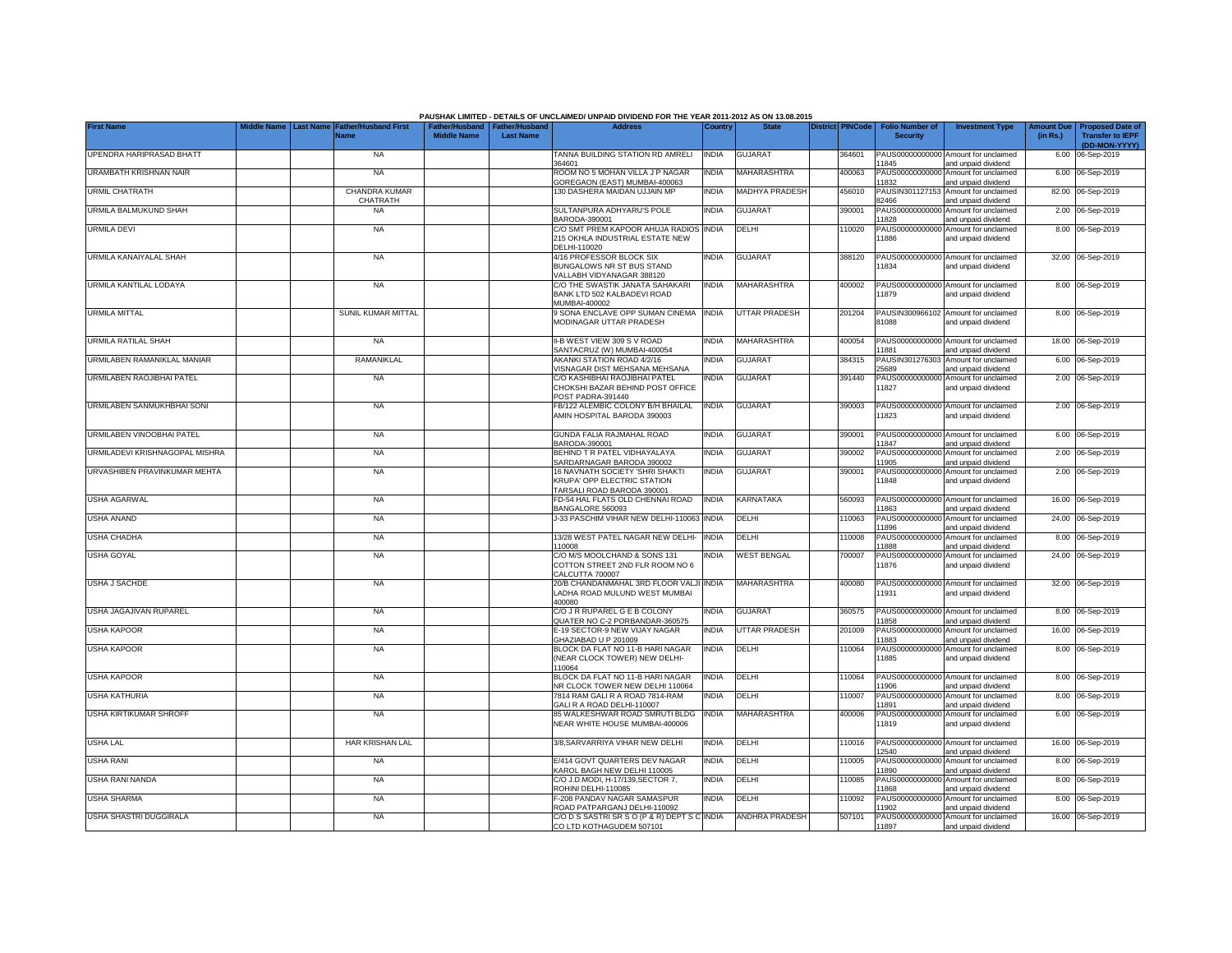|                                | <b>Last Name</b> | <b>Father/Husband First</b>             |                                                       |                  | PAUSHAK LIMITED - DETAILS OF UNCLAIMED/ UNPAID DIVIDEND FOR THE YEAR 2011-2012 AS ON 13.08.2015<br><b>Address</b> |              | <b>State</b>          | <b>District PINCode</b> |                                           |                                                                    |                               |                                                                     |
|--------------------------------|------------------|-----------------------------------------|-------------------------------------------------------|------------------|-------------------------------------------------------------------------------------------------------------------|--------------|-----------------------|-------------------------|-------------------------------------------|--------------------------------------------------------------------|-------------------------------|---------------------------------------------------------------------|
| <b>First Name</b>              |                  | Vame                                    | Father/Husband   Father/Husband<br><b>Middle Name</b> | <b>Last Name</b> |                                                                                                                   | Country      |                       |                         | <b>Folio Number of</b><br><b>Security</b> | <b>Investment Type</b>                                             | <b>Amount Due</b><br>(in Rs.) | <b>Proposed Date of</b><br><b>Transfer to IEPF</b><br>(DD-MON-YYYY) |
| UPENDRA HARIPRASAD BHATT       |                  | <b>NA</b>                               |                                                       |                  | TANNA BUILDING STATION RD AMRELI<br>364601                                                                        | <b>INDIA</b> | <b>GUJARAT</b>        | 364601                  |                                           | PAUS00000000000 Amount for unclaimed                               |                               | 6.00 06-Sep-2019                                                    |
| <b>URAMBATH KRISHNAN NAIR</b>  |                  | <b>NA</b>                               |                                                       |                  | ROOM NO 5 MOHAN VILLA J P NAGAR<br>GOREGAON (EAST) MUMBAI-400063                                                  | <b>INDIA</b> | MAHARASHTRA           | 400063                  | 1845<br>PAUS0000000000<br>11832           | and unpaid dividend<br>Amount for unclaimed<br>and unpaid dividend |                               | 6.00 06-Sep-2019                                                    |
| URMIL CHATRATH                 |                  | <b>CHANDRA KUMAR</b><br><b>CHATRATH</b> |                                                       |                  | 30 DASHERA MAIDAN UJJAIN MP                                                                                       | <b>INDIA</b> | MADHYA PRADESH        | 456010                  | PAUSIN301127153<br>82466                  | Amount for unclaimed<br>and unpaid dividend                        |                               | 82.00 06-Sep-2019                                                   |
| URMILA BALMUKUND SHAH          |                  | <b>NA</b>                               |                                                       |                  | SULTANPURA ADHYARU'S POLE<br>BARODA-390001                                                                        | India        | <b>GUJARAT</b>        | 390001                  | PAUS0000000000<br>11828                   | Amount for unclaimed<br>and unpaid dividend                        |                               | 2.00 06-Sep-2019                                                    |
| <b>URMILA DEVI</b>             |                  | <b>NA</b>                               |                                                       |                  | C/O SMT PREM KAPOOR AHUJA RADIOS<br>215 OKHLA INDUSTRIAL ESTATE NEW                                               | <b>INDIA</b> | DELHI                 | 110020                  | PAUS00000000000<br>11886                  | Amount for unclaimed<br>and unpaid dividend                        |                               | 8.00 06-Sep-2019                                                    |
| URMILA KANAIYALAL SHAH         |                  | <b>NA</b>                               |                                                       |                  | DELHI-110020<br>4/16 PROFESSOR BLOCK SIX                                                                          | <b>INDIA</b> | <b>GUJARAT</b>        | 388120                  | PAUS00000000000                           | Amount for unclaimed                                               |                               | 32.00 06-Sep-2019                                                   |
|                                |                  |                                         |                                                       |                  | BUNGALOWS NR ST BUS STAND<br>VALLABH VIDYANAGAR 388120                                                            |              |                       |                         | 11834                                     | and unpaid dividend                                                |                               |                                                                     |
| URMILA KANTILAL LODAYA         |                  | <b>NA</b>                               |                                                       |                  | C/O THE SWASTIK JANATA SAHAKARI<br>BANK LTD 502 KALBADEVI ROAD<br>MUMBAI-400002                                   | <b>INDIA</b> | <b>MAHARASHTRA</b>    | 400002                  | 11879                                     | PAUS00000000000 Amount for unclaimed<br>and unpaid dividend        |                               | 8.00 06-Sep-2019                                                    |
| <b>URMILA MITTAL</b>           |                  | SUNIL KUMAR MITTAL                      |                                                       |                  | 9 SONA ENCLAVE OPP SUMAN CINEMA<br>MODINAGAR UTTAR PRADESH                                                        | <b>INDIA</b> | <b>UTTAR PRADESH</b>  | 201204                  | PAUSIN300966102<br>81088                  | Amount for unclaimed<br>and unpaid dividend                        |                               | 8.00 06-Sep-2019                                                    |
| URMILA RATILAL SHAH            |                  | <b>NA</b>                               |                                                       |                  | II-B WEST VIEW 309 S V ROAD<br>SANTACRUZ (W) MUMBAI-400054                                                        | <b>INDIA</b> | <b>MAHARASHTRA</b>    | 400054                  | 11881                                     | PAUS00000000000 Amount for unclaimed<br>and unpaid dividend        |                               | 18.00 06-Sep-2019                                                   |
| URMILABEN RAMANIKLAL MANIAR    |                  | RAMANIKLAL                              |                                                       |                  | AKANKI STATION ROAD 4/2/16<br>VISNAGAR DIST MEHSANA MEHSANA                                                       | <b>INDIA</b> | <b>GUJARAT</b>        | 384315                  | PAUSIN301276303<br>25689                  | Amount for unclaimed<br>and unpaid dividend                        |                               | 6.00 06-Sep-2019                                                    |
| URMILABEN RAOJIBHAI PATEL      |                  | <b>NA</b>                               |                                                       |                  | C/O KASHIBHAI RAOJIBHAI PATEL<br>CHOKSHI BAZAR BEHIND POST OFFICE<br>POST PADRA-391440                            | india        | <b>GUJARAT</b>        | 391440                  | PAUS0000000000<br>11827                   | Amount for unclaimed<br>and unpaid dividend                        |                               | 2.00 06-Sep-2019                                                    |
| URMILABEN SANMUKHBHAI SONI     |                  | <b>NA</b>                               |                                                       |                  | FB/122 ALEMBIC COLONY B/H BHAILAL<br>AMIN HOSPITAL BARODA 390003                                                  | <b>INDIA</b> | <b>GUJARAT</b>        | 390003                  | PAUS00000000000<br>11823                  | Amount for unclaimed<br>and unpaid dividend                        |                               | 2.00 06-Sep-2019                                                    |
| URMILABEN VINOOBHAI PATEL      |                  | <b>NA</b>                               |                                                       |                  | GUNDA FALIA RAJMAHAL ROAD<br>BARODA-390001                                                                        | <b>INDIA</b> | <b>GUJARAT</b>        | 390001                  | 11847                                     | PAUS00000000000 Amount for unclaimed<br>and unpaid dividend        |                               | 6.00 06-Sep-2019                                                    |
| URMILADEVI KRISHNAGOPAL MISHRA |                  | <b>NA</b>                               |                                                       |                  | BEHIND T R PATEL VIDHAYALAYA<br>SARDARNAGAR BARODA 390002                                                         | India        | <b>GUJARAT</b>        | 390002                  | PAUS00000000000<br>11905                  | Amount for unclaimed<br>and unpaid dividend                        |                               | 2.00 06-Sep-2019                                                    |
| URVASHIBEN PRAVINKUMAR MEHTA   |                  | <b>NA</b>                               |                                                       |                  | 16 NAVNATH SOCIETY 'SHRI SHAKTI<br>KRUPA' OPP ELECTRIC STATION<br>TARSALI ROAD BARODA 390001                      | <b>INDIA</b> | <b>GUJARAT</b>        | 390001                  | 11848                                     | PAUS00000000000 Amount for unclaimed<br>and unpaid dividend        |                               | 2.00 06-Sep-2019                                                    |
| <b>USHA AGARWAL</b>            |                  | <b>NA</b>                               |                                                       |                  | FD-54 HAL FLATS OLD CHENNAI ROAD<br>BANGALORE 560093                                                              | <b>INDIA</b> | KARNATAKA             | 560093                  | PAUS0000000000<br>11863                   | Amount for unclaimed<br>and unpaid dividend                        |                               | 16.00 06-Sep-2019                                                   |
| <b>USHA ANAND</b>              |                  | <b>NA</b>                               |                                                       |                  | J-33 PASCHIM VIHAR NEW DELHI-110063 INDIA                                                                         |              | DELHI                 | 110063                  | PAUS0000000000<br>11896                   | Amount for unclaimed<br>and unpaid dividend                        |                               | 24.00 06-Sep-2019                                                   |
| USHA CHADHA                    |                  | <b>NA</b>                               |                                                       |                  | 13/28 WEST PATEL NAGAR NEW DELHI-<br>110008                                                                       | <b>INDIA</b> | DELHI                 | 110008                  | PAUS00000000000<br>11888                  | Amount for unclaimed<br>and unpaid dividend                        |                               | 8.00 06-Sep-2019                                                    |
| <b>USHA GOYAL</b>              |                  | <b>NA</b>                               |                                                       |                  | C/O M/S MOOLCHAND & SONS 131<br>COTTON STREET 2ND FLR ROOM NO 6<br>CALCUTTA 700007                                | India        | <b>WEST BENGAL</b>    | 700007                  | PAUS00000000000<br>11876                  | Amount for unclaimed<br>and unpaid dividend                        |                               | 24.00 06-Sep-2019                                                   |
| <b>USHA J SACHDE</b>           |                  | <b>NA</b>                               |                                                       |                  | 20/B CHANDANMAHAL 3RD FLOOR VALJI INDIA<br>LADHA ROAD MULUND WEST MUMBAI<br>400080                                |              | <b>MAHARASHTRA</b>    | 400080                  | 11931                                     | PAUS00000000000 Amount for unclaimed<br>and unpaid dividend        |                               | 32.00 06-Sep-2019                                                   |
| USHA JAGAJIVAN RUPAREL         |                  | <b>NA</b>                               |                                                       |                  | C/O J R RUPAREL G E B COLONY<br>QUATER NO C-2 PORBANDAR-360575                                                    | <b>INDIA</b> | <b>GUJARAT</b>        | 360575                  | 11858                                     | PAUS00000000000 Amount for unclaimed<br>and unpaid dividend        |                               | 8.00 06-Sep-2019                                                    |
| <b>USHA KAPOOR</b>             |                  | <b>NA</b>                               |                                                       |                  | E-19 SECTOR-9 NEW VIJAY NAGAR<br>GHAZIABAD U P 201009                                                             | <b>INDIA</b> | <b>UTTAR PRADESH</b>  | 201009                  | PAUS00000000000<br>11883                  | Amount for unclaimed<br>and unpaid dividend                        |                               | 16.00 06-Sep-2019                                                   |
| <b>USHA KAPOOR</b>             |                  | <b>NA</b>                               |                                                       |                  | BLOCK DA FLAT NO 11-B HARI NAGAR<br>(NEAR CLOCK TOWER) NEW DELHI-<br>110064                                       | <b>INDIA</b> | DELHI                 | 110064                  | PAUS00000000000<br>11885                  | Amount for unclaimed<br>and unpaid dividend                        |                               | 8.00 06-Sep-2019                                                    |
| <b>USHA KAPOOR</b>             |                  | <b>NA</b>                               |                                                       |                  | BLOCK DA FLAT NO 11-B HARI NAGAR<br>NR CLOCK TOWER NEW DELHI 110064                                               | <b>INDIA</b> | DELHI                 | 110064                  | PAUS0000000000<br>11906                   | Amount for unclaimed<br>and unpaid dividend                        |                               | 8.00 06-Sep-2019                                                    |
| <b>USHA KATHURIA</b>           |                  | <b>NA</b>                               |                                                       |                  | 7814 RAM GALI R A ROAD 7814-RAM<br>GALI R A ROAD DELHI-110007                                                     | <b>INDIA</b> | DELHI                 | 110007                  | PAUS0000000000<br>11891                   | Amount for unclaimed<br>and unpaid dividend                        |                               | 8.00 06-Sep-2019                                                    |
| <b>USHA KIRTIKUMAR SHROFF</b>  |                  | <b>NA</b>                               |                                                       |                  | 85 WALKESHWAR ROAD SMRUTI BLDG<br>NEAR WHITE HOUSE MUMBAI-400006                                                  | <b>INDIA</b> | <b>MAHARASHTRA</b>    | 400006                  | PAUS0000000000<br>11819                   | Amount for unclaimed<br>and unpaid dividend                        |                               | 6.00 06-Sep-2019                                                    |
| <b>USHA LAL</b>                |                  | HAR KRISHAN LAL                         |                                                       |                  | 3/8, SARVARRIYA VIHAR NEW DELHI                                                                                   | INDIA        | DELHI                 | 110016                  | PAUS00000000000<br>12540                  | Amount for unclaimed<br>and unpaid dividend                        |                               | 16.00 06-Sep-2019                                                   |
| <b>USHA RANI</b>               |                  | <b>NA</b>                               |                                                       |                  | E/414 GOVT QUARTERS DEV NAGAR<br>KAROL BAGH NEW DELHI 110005                                                      | INDIA        | DELHI                 | 110005                  | PAUS0000000000<br>11890                   | Amount for unclaimed<br>and unpaid dividend                        |                               | 8.00 06-Sep-2019                                                    |
| USHA RANI NANDA                |                  | <b>NA</b>                               |                                                       |                  | C/O J.D.MODI, H-17/139.SECTOR 7.<br>ROHINI DELHI-110085                                                           | <b>NDIA</b>  | DELHI                 | 110085                  | PAUS00000000000<br>11868                  | Amount for unclaimed<br>and unpaid dividend                        |                               | 8.00 06-Sep-2019                                                    |
| <b>USHA SHARMA</b>             |                  | <b>NA</b>                               |                                                       |                  | F-208 PANDAV NAGAR SAMASPUR<br>ROAD PATPARGANJ DELHI-110092                                                       | <b>INDIA</b> | DELHI                 | 110092                  | PAUS00000000000<br>11902                  | Amount for unclaimed<br>and unpaid dividend                        |                               | 8.00 06-Sep-2019                                                    |
| USHA SHASTRI DUGGIRALA         |                  | <b>NA</b>                               |                                                       |                  | C/O D S SASTRI SR S O (P & R) DEPT S C INDIA<br>CO LTD KOTHAGUDEM 507101                                          |              | <b>ANDHRA PRADESH</b> | 507101                  | 11897                                     | PAUS00000000000 Amount for unclaimed<br>and unpaid dividend        |                               | 16.00 06-Sep-2019                                                   |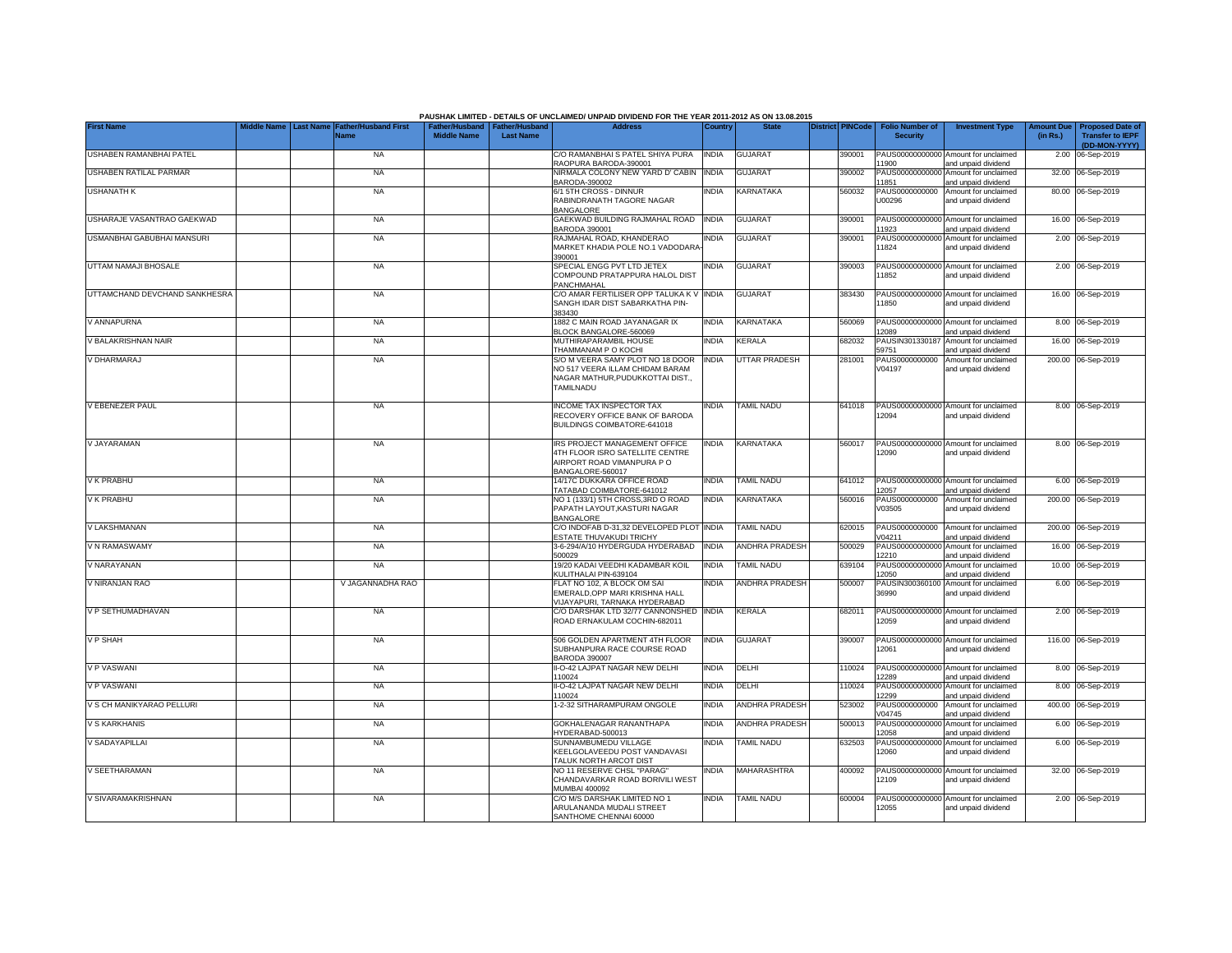|                               |             |                  |                                            |                                                       |                  | PAUSHAK LIMITED - DETAILS OF UNCLAIMED/ UNPAID DIVIDEND FOR THE YEAR 2011-2012 AS ON 13.08.2015                      |              |                       |                         |                                           |                                                             |                               |                                                                     |
|-------------------------------|-------------|------------------|--------------------------------------------|-------------------------------------------------------|------------------|----------------------------------------------------------------------------------------------------------------------|--------------|-----------------------|-------------------------|-------------------------------------------|-------------------------------------------------------------|-------------------------------|---------------------------------------------------------------------|
| <b>First Name</b>             | Middle Name | <b>Last Name</b> | <b>Father/Husband First</b><br><b>Name</b> | Father/Husband   Father/Husband<br><b>Middle Name</b> | <b>Last Name</b> | <b>Address</b>                                                                                                       | Country      | <b>State</b>          | <b>District PINCode</b> | <b>Folio Number of</b><br><b>Security</b> | <b>Investment Type</b>                                      | <b>Amount Due</b><br>(in Rs.) | <b>Proposed Date of</b><br><b>Transfer to IEPF</b><br>(DD-MON-YYYY) |
| USHABEN RAMANBHAI PATEL       |             |                  | <b>NA</b>                                  |                                                       |                  | C/O RAMANBHAI S PATEL SHIYA PURA<br>RAOPURA BARODA-390001                                                            | <b>INDIA</b> | <b>GUJARAT</b>        | 390001                  | 11900                                     | PAUS00000000000 Amount for unclaimed<br>and unpaid dividend |                               | 2.00 06-Sep-2019                                                    |
| USHABEN RATILAL PARMAR        |             |                  | <b>NA</b>                                  |                                                       |                  | NIRMALA COLONY NEW YARD D' CABIN INDIA<br>BARODA-390002                                                              |              | GUJARAT               | 390002                  | 11851                                     | PAUS00000000000 Amount for unclaimed<br>and unpaid dividend |                               | 32.00 06-Sep-2019                                                   |
| USHANATH K                    |             |                  | <b>NA</b>                                  |                                                       |                  | 6/1 5TH CROSS - DINNUR<br>RABINDRANATH TAGORE NAGAR<br>BANGALORE                                                     | INDIA        | <b>KARNATAKA</b>      | 560032                  | PAUS0000000000<br>U00296                  | Amount for unclaimed<br>and unpaid dividend                 |                               | 80.00 06-Sep-2019                                                   |
| USHARAJE VASANTRAO GAEKWAD    |             |                  | NA                                         |                                                       |                  | GAEKWAD BUILDING RAJMAHAL ROAD<br>BARODA 390001                                                                      | <b>INDIA</b> | <b>GUJARAT</b>        | 390001                  | 11923                                     | PAUS00000000000 Amount for unclaimed<br>and unpaid dividend |                               | 16.00 06-Sep-2019                                                   |
| USMANBHAI GABUBHAI MANSURI    |             |                  | <b>NA</b>                                  |                                                       |                  | RAJMAHAL ROAD, KHANDERAO<br>MARKET KHADIA POLE NO.1 VADODARA<br>390001                                               | INDIA        | <b>GUJARAT</b>        | 390001                  | PAUS00000000000<br>11824                  | Amount for unclaimed<br>and unpaid dividend                 |                               | 2.00 06-Sep-2019                                                    |
| UTTAM NAMAJI BHOSALE          |             |                  | <b>NA</b>                                  |                                                       |                  | SPECIAL ENGG PVT LTD JETEX<br>COMPOUND PRATAPPURA HALOL DIST<br>PANCHMAHAL                                           | NDIA         | <b>GUJARAT</b>        | 390003                  | 11852                                     | PAUS00000000000 Amount for unclaimed<br>and unpaid dividend |                               | 2.00 06-Sep-2019                                                    |
| UTTAMCHAND DEVCHAND SANKHESRA |             |                  | <b>NA</b>                                  |                                                       |                  | C/O AMAR FERTILISER OPP TALUKA K V<br>SANGH IDAR DIST SABARKATHA PIN-<br>383430                                      | <b>INDIA</b> | <b>GUJARAT</b>        | 383430                  | 11850                                     | PAUS00000000000 Amount for unclaimed<br>and unpaid dividend |                               | 16.00 06-Sep-2019                                                   |
| V ANNAPURNA                   |             |                  | <b>NA</b>                                  |                                                       |                  | 1882 C MAIN ROAD JAYANAGAR IX<br>BLOCK BANGALORE-560069                                                              | India        | KARNATAKA             | 560069                  | 2089                                      | PAUS00000000000 Amount for unclaimed<br>and unpaid dividend |                               | 8.00 06-Sep-2019                                                    |
| V BALAKRISHNAN NAIR           |             |                  | <b>NA</b>                                  |                                                       |                  | MUTHIRAPARAMBIL HOUSE<br>THAMMANAM P O KOCHI                                                                         | <b>INDIA</b> | KERALA                | 682032                  | PAUSIN301330187<br>59751                  | Amount for unclaimed<br>and unpaid dividend                 |                               | 16.00 06-Sep-2019                                                   |
| V DHARMARAJ                   |             |                  | <b>NA</b>                                  |                                                       |                  | S/O M VEERA SAMY PLOT NO 18 DOOR<br>NO 517 VEERA ILLAM CHIDAM BARAM<br>NAGAR MATHUR, PUDUKKOTTAI DIST.,<br>TAMILNADU | <b>INDIA</b> | <b>UTTAR PRADESH</b>  | 281001                  | PAUS0000000000<br>V04197                  | Amount for unclaimed<br>and unpaid dividend                 |                               | 200.00 06-Sep-2019                                                  |
| V EBENEZER PAUL               |             |                  | <b>NA</b>                                  |                                                       |                  | <b>INCOME TAX INSPECTOR TAX</b><br>RECOVERY OFFICE BANK OF BARODA<br>BUILDINGS COIMBATORE-641018                     | INDIA        | <b>TAMIL NADU</b>     | 641018                  | 12094                                     | PAUS00000000000 Amount for unclaimed<br>and unpaid dividend |                               | 8.00 06-Sep-2019                                                    |
| V JAYARAMAN                   |             |                  | <b>NA</b>                                  |                                                       |                  | IRS PROJECT MANAGEMENT OFFICE<br>4TH FLOOR ISRO SATELLITE CENTRE<br>AIRPORT ROAD VIMANPURA PO<br>BANGALORE-560017    | india        | KARNATAKA             | 560017                  | 12090                                     | PAUS00000000000 Amount for unclaimed<br>and unpaid dividend |                               | 8.00 06-Sep-2019                                                    |
| V K PRABHU                    |             |                  | <b>NA</b>                                  |                                                       |                  | 14/17C DUKKARA OFFICE ROAD<br>TATABAD COIMBATORE-641012                                                              | <b>INDIA</b> | <b>TAMIL NADU</b>     | 641012                  | 12057                                     | PAUS00000000000 Amount for unclaimed<br>and unpaid dividend |                               | 6.00 06-Sep-2019                                                    |
| V K PRABHU                    |             |                  | <b>NA</b>                                  |                                                       |                  | NO 1 (133/1) 5TH CROSS, 3RD O ROAD<br>PAPATH LAYOUT, KASTURI NAGAR<br><b>BANGALORE</b>                               | INDIA        | KARNATAKA             | 560016                  | PAUS0000000000<br>V03505                  | Amount for unclaimed<br>and unpaid dividend                 |                               | 200.00 06-Sep-2019                                                  |
| V LAKSHMANAN                  |             |                  | <b>NA</b>                                  |                                                       |                  | C/O INDOFAB D-31,32 DEVELOPED PLOT<br>ESTATE THUVAKUDI TRICHY                                                        | <b>INDIA</b> | <b>TAMIL NADU</b>     | 620015                  | PAUS0000000000<br>V04211                  | Amount for unclaimed<br>and unpaid dividend                 |                               | 200.00 06-Sep-2019                                                  |
| V N RAMASWAMY                 |             |                  | <b>NA</b>                                  |                                                       |                  | 3-6-294/A/10 HYDERGUDA HYDERABAD<br>500029                                                                           | <b>INDIA</b> | <b>ANDHRA PRADESH</b> | 500029                  | PAUS0000000000<br>12210                   | Amount for unclaimed<br>and unpaid dividend                 |                               | 16.00 06-Sep-2019                                                   |
| V NARAYANAN                   |             |                  | <b>NA</b>                                  |                                                       |                  | 19/20 KADAI VEEDHI KADAMBAR KOIL<br>KULITHALAI PIN-639104                                                            | INDIA        | TAMIL NADU            | 639104                  | PAUS00000000000<br>12050                  | Amount for unclaimed<br>and unpaid dividend                 |                               | 10.00 06-Sep-2019                                                   |
| V NIRANJAN RAO                |             |                  | V JAGANNADHA RAO                           |                                                       |                  | FLAT NO 102, A BLOCK OM SAI<br>EMERALD, OPP MARI KRISHNA HALL<br>VIJAYAPURI, TARNAKA HYDERABAD                       | India        | <b>ANDHRA PRADESH</b> | 500007                  | PAUSIN300360100<br>36990                  | Amount for unclaimed<br>and unpaid dividend                 |                               | 6.00 06-Sep-2019                                                    |
| V P SETHUMADHAVAN             |             |                  | <b>NA</b>                                  |                                                       |                  | C/O DARSHAK LTD 32/77 CANNONSHED<br>ROAD ERNAKULAM COCHIN-682011                                                     | <b>INDIA</b> | <b>KERALA</b>         | 682011                  | 12059                                     | PAUS00000000000 Amount for unclaimed<br>and unpaid dividend |                               | 2.00 06-Sep-2019                                                    |
| <b>VP SHAH</b>                |             |                  | <b>NA</b>                                  |                                                       |                  | 506 GOLDEN APARTMENT 4TH FLOOR<br>SUBHANPURA RACE COURSE ROAD<br><b>BARODA 390007</b>                                | INDIA        | <b>GUJARAT</b>        | 390007                  | 12061                                     | PAUS00000000000 Amount for unclaimed<br>and unpaid dividend |                               | 116.00 06-Sep-2019                                                  |
| V P VASWANI                   |             |                  | <b>NA</b>                                  |                                                       |                  | II-O-42 LAJPAT NAGAR NEW DELHI<br>110024                                                                             | India        | DELHI                 | 10024                   | 12289                                     | PAUS00000000000 Amount for unclaimed<br>and unpaid dividend |                               | 8.00 06-Sep-2019                                                    |
| <b>V P VASWANI</b>            |             |                  | <b>NA</b>                                  |                                                       |                  | II-O-42 LAJPAT NAGAR NEW DELHI<br>110024                                                                             | INDIA        | DELHI                 | 110024                  | 2299                                      | PAUS00000000000 Amount for unclaimed<br>and unpaid dividend |                               | 8.00 06-Sep-2019                                                    |
| V S CH MANIKYARAO PELLURI     |             |                  | <b>NA</b>                                  |                                                       |                  | -2-32 SITHARAMPURAM ONGOLE                                                                                           | <b>INDIA</b> | <b>ANDHRA PRADESH</b> | 523002                  | PAUS0000000000<br>/04745                  | Amount for unclaimed<br>and unpaid dividend                 |                               | 400.00 06-Sep-2019                                                  |
| V S KARKHANIS                 |             |                  | <b>NA</b>                                  |                                                       |                  | GOKHALENAGAR RANANTHAPA<br>HYDERABAD-500013                                                                          | <b>INDIA</b> | ANDHRA PRADESH        | 500013                  | 12058                                     | PAUS00000000000 Amount for unclaimed<br>and unpaid dividend |                               | 6.00 06-Sep-2019                                                    |
| V SADAYAPILLAI                |             |                  | <b>NA</b>                                  |                                                       |                  | SUNNAMBUMEDU VILLAGE<br>KEELGOLAVEEDU POST VANDAVASI<br>TALUK NORTH ARCOT DIST                                       | INDIA        | <b>TAMIL NADU</b>     | 632503                  | 12060                                     | PAUS00000000000 Amount for unclaimed<br>and unpaid dividend |                               | 6.00 06-Sep-2019                                                    |
| V SEETHARAMAN                 |             |                  | <b>NA</b>                                  |                                                       |                  | NO 11 RESERVE CHSL "PARAG"<br>CHANDAVARKAR ROAD BORIVILI WEST<br>MUMBAI 400092                                       | India        | <b>MAHARASHTRA</b>    | 400092                  | 12109                                     | PAUS00000000000 Amount for unclaimed<br>and unpaid dividend |                               | 32.00 06-Sep-2019                                                   |
| V SIVARAMAKRISHNAN            |             |                  | <b>NA</b>                                  |                                                       |                  | C/O M/S DARSHAK LIMITED NO 1<br>ARULANANDA MUDALI STREET<br>SANTHOME CHENNAI 60000                                   | <b>INDIA</b> | <b>TAMIL NADU</b>     | 600004                  | 12055                                     | PAUS00000000000 Amount for unclaimed<br>and unpaid dividend |                               | 2.00 06-Sep-2019                                                    |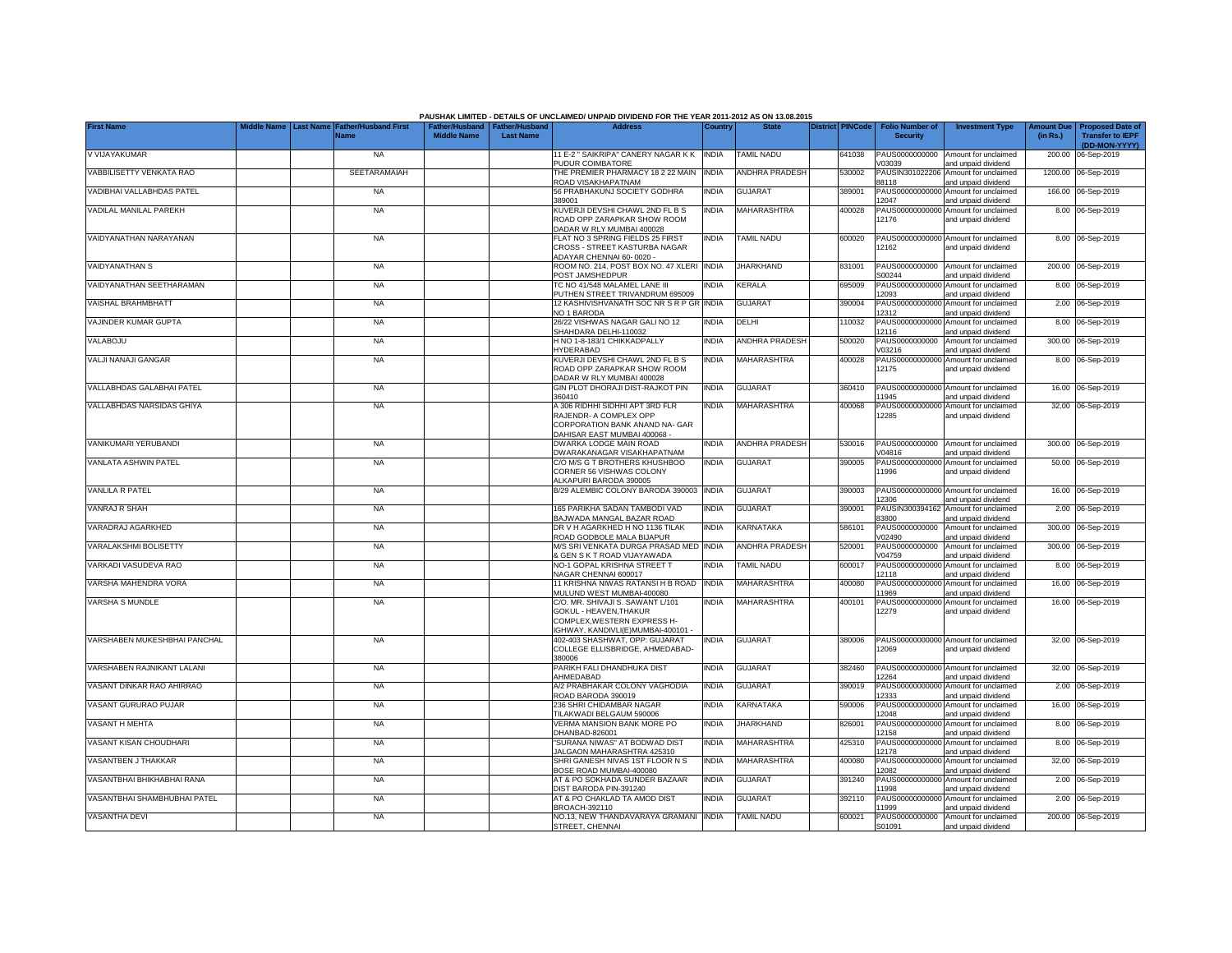|                              |           |                                     |                                                     |                  | PAUSHAK LIMITED - DETAILS OF UNCLAIMED/ UNPAID DIVIDEND FOR THE YEAR 2011-2012 AS ON 13.08.2015                                |              |                       |                         |                                           |                                                                    |                               |                                                    |
|------------------------------|-----------|-------------------------------------|-----------------------------------------------------|------------------|--------------------------------------------------------------------------------------------------------------------------------|--------------|-----------------------|-------------------------|-------------------------------------------|--------------------------------------------------------------------|-------------------------------|----------------------------------------------------|
| <b>First Name</b>            | Last Name | <b>Father/Husband First</b><br>Name | Father/Husband Father/Husband<br><b>Middle Name</b> | <b>Last Name</b> | <b>Address</b>                                                                                                                 | Country      | <b>State</b>          | <b>District PINCode</b> | <b>Folio Number of</b><br><b>Security</b> | <b>Investment Type</b>                                             | <b>Amount Due</b><br>(in Rs.) | <b>Proposed Date of</b><br><b>Transfer to IEPF</b> |
| V VIJAYAKUMAR                |           | <b>NA</b>                           |                                                     |                  | 11 E-2 " SAIKRIPA" CANERY NAGAR K K   INDIA<br>PUDUR COIMBATORE                                                                |              | <b>TAMIL NADU</b>     | 641038                  | PAUS0000000000                            | Amount for unclaimed                                               |                               | (DD-MON-YYYY)<br>200.00 06-Sep-2019                |
| VABBILISETTY VENKATA RAO     |           | SEETARAMAIAH                        |                                                     |                  | THE PREMIER PHARMACY 18 2 22 MAIN<br><b>ROAD VISAKHAPATNAM</b>                                                                 | <b>INDIA</b> | <b>ANDHRA PRADESH</b> | 530002                  | V03039<br>PAUSIN301022206<br>8118         | and unpaid dividend<br>Amount for unclaimed<br>and unpaid dividend |                               | 1200.00 06-Sep-2019                                |
| VADIBHAI VALLABHDAS PATEL    |           | <b>NA</b>                           |                                                     |                  | 56 PRABHAKUNJ SOCIETY GODHRA<br>389001                                                                                         | <b>INDIA</b> | GUJARAT               | 389001                  | PAUS00000000000<br>12047                  | Amount for unclaimed<br>and unpaid dividend                        |                               | 166.00 06-Sep-2019                                 |
| VADILAL MANILAL PAREKH       |           | <b>NA</b>                           |                                                     |                  | KUVERJI DEVSHI CHAWL 2ND FL B S<br>ROAD OPP ZARAPKAR SHOW ROOM                                                                 | <b>INDIA</b> | MAHARASHTRA           | 400028                  | PAUS00000000000<br>12176                  | Amount for unclaimed<br>and unpaid dividend                        |                               | 8.00 06-Sep-2019                                   |
| VAIDYANATHAN NARAYANAN       |           | <b>NA</b>                           |                                                     |                  | DADAR W RLY MUMBAI 400028<br>FLAT NO 3 SPRING FIELDS 25 FIRST<br>CROSS - STREET KASTURBA NAGAR<br>ADAYAR CHENNAI 60-0020       | <b>INDIA</b> | <b>TAMIL NADU</b>     | 600020                  | PAUS00000000000<br>12162                  | Amount for unclaimed<br>and unpaid dividend                        |                               | 8.00 06-Sep-2019                                   |
| <b>VAIDYANATHAN S</b>        |           | <b>NA</b>                           |                                                     |                  | ROOM NO. 214. POST BOX NO. 47 XLERI<br>POST JAMSHEDPUR                                                                         | <b>INDIA</b> | <b>JHARKHAND</b>      | 831001                  | PAUS0000000000<br>S00244                  | Amount for unclaimed<br>and unpaid dividend                        |                               | 200.00 06-Sep-2019                                 |
| VAIDYANATHAN SEETHARAMAN     |           | <b>NA</b>                           |                                                     |                  | TC NO 41/548 MALAMEL LANE III<br>PUTHEN STREET TRIVANDRUM 695009                                                               | <b>INDIA</b> | KERALA                | 695009                  | PAUS0000000000<br>12093                   | Amount for unclaimed<br>and unpaid dividend                        |                               | 8.00 06-Sep-2019                                   |
| VAISHAL BRAHMBHATT           |           | <b>NA</b>                           |                                                     |                  | 12 KASHIVISHVANATH SOC NR S R P GR INDIA<br>NO 1 BARODA                                                                        |              | <b>GUJARAT</b>        | 390004                  | PAUS0000000000<br>12312                   | Amount for unclaimed<br>and unpaid dividend                        |                               | 2.00 06-Sep-2019                                   |
| VAJINDER KUMAR GUPTA         |           | <b>NA</b>                           |                                                     |                  | 26/22 VISHWAS NAGAR GALI NO 12<br>SHAHDARA DELHI-110032                                                                        | <b>INDIA</b> | DELHI                 | 110032                  | PAUS0000000000<br>12116                   | Amount for unclaimed<br>and unpaid dividend                        |                               | 8.00 06-Sep-2019                                   |
| VALABOJU                     |           | <b>NA</b>                           |                                                     |                  | H NO 1-8-183/1 CHIKKADPALLY<br><b>HYDERABAD</b>                                                                                | <b>INDIA</b> | <b>ANDHRA PRADESH</b> | 500020                  | PAUS0000000000<br>V03216                  | Amount for unclaimed<br>and unpaid dividend                        |                               | 300.00 06-Sep-2019                                 |
| VALJI NANAJI GANGAR          |           | <b>NA</b>                           |                                                     |                  | KUVERJI DEVSHI CHAWL 2ND FL B S<br>ROAD OPP ZARAPKAR SHOW ROOM<br>DADAR W RLY MUMBAI 400028                                    | india        | <b>MAHARASHTRA</b>    | 400028                  | PAUS0000000000<br>12175                   | Amount for unclaimed<br>and unpaid dividend                        |                               | 8.00 06-Sep-2019                                   |
| VALLABHDAS GALABHAI PATEL    |           | <b>NA</b>                           |                                                     |                  | GIN PLOT DHORAJI DIST-RAJKOT PIN<br>360410                                                                                     | <b>INDIA</b> | <b>GUJARAT</b>        | 360410                  | PAUS00000000000<br>11945                  | Amount for unclaimed<br>and unpaid dividend                        |                               | 16.00 06-Sep-2019                                  |
| VALLABHDAS NARSIDAS GHIYA    |           | <b>NA</b>                           |                                                     |                  | A 306 RIDHHI SIDHHI APT 3RD FLR<br>RAJENDR- A COMPLEX OPP<br>CORPORATION BANK ANAND NA- GAR                                    | <b>INDIA</b> | MAHARASHTRA           | 400068                  | 12285                                     | PAUS00000000000 Amount for unclaimed<br>and unpaid dividend        |                               | 32.00 06-Sep-2019                                  |
| VANIKUMARI YERUBANDI         |           | <b>NA</b>                           |                                                     |                  | DAHISAR EAST MUMBAI 400068 -<br>DWARKA LODGE MAIN ROAD<br>DWARAKANAGAR VISAKHAPATNAM                                           | <b>INDIA</b> | <b>ANDHRA PRADESH</b> | 530016                  | PAUS0000000000<br>V04816                  | Amount for unclaimed<br>and unpaid dividend                        |                               | 300.00 06-Sep-2019                                 |
| VANLATA ASHWIN PATEL         |           | <b>NA</b>                           |                                                     |                  | C/O M/S G T BROTHERS KHUSHBOO<br>CORNER 56 VISHWAS COLONY                                                                      | <b>INDIA</b> | <b>GUJARAT</b>        | 390005                  | PAUS00000000000<br>11996                  | Amount for unclaimed<br>and unpaid dividend                        |                               | 50.00 06-Sep-2019                                  |
| VANLILA R PATEL              |           | <b>NA</b>                           |                                                     |                  | ALKAPURI BARODA 390005<br>B/29 ALEMBIC COLONY BARODA 390003 INDIA                                                              |              | <b>GUJARAT</b>        | 390003                  | PAUS00000000000                           | Amount for unclaimed                                               |                               | 16.00 06-Sep-2019                                  |
| VANRAJ R SHAH                |           | <b>NA</b>                           |                                                     |                  | 165 PARIKHA SADAN TAMBODI VAD<br>BAJWADA MANGAL BAZAR ROAD                                                                     | <b>INDIA</b> | <b>GUJARAT</b>        | 390001                  | 12306<br>PAUSIN300394162<br>83800         | and unpaid dividend<br>Amount for unclaimed                        |                               | 2.00 06-Sep-2019                                   |
| VARADRAJ AGARKHED            |           | <b>NA</b>                           |                                                     |                  | DR V H AGARKHED H NO 1136 TILAK<br>ROAD GODBOLE MALA BIJAPUR                                                                   | <b>INDIA</b> | <b>KARNATAKA</b>      | 586101                  | PAUS0000000000<br>/02490                  | and unpaid dividend<br>Amount for unclaimed<br>and unpaid dividend |                               | 300.00 06-Sep-2019                                 |
| VARALAKSHMI BOLISETTY        |           | <b>NA</b>                           |                                                     |                  | M/S SRI VENKATA DURGA PRASAD MED INDIA<br>& GEN S K T ROAD VIJAYAWADA                                                          |              | <b>ANDHRA PRADESH</b> | 520001                  | PAUS0000000000<br>V04759                  | Amount for unclaimed<br>and unpaid dividend                        |                               | 300.00 06-Sep-2019                                 |
| VARKADI VASUDEVA RAO         |           | <b>NA</b>                           |                                                     |                  | NO-1 GOPAL KRISHNA STREET T<br>NAGAR CHENNAI 600017                                                                            | <b>INDIA</b> | <b>TAMIL NADU</b>     | 600017                  | PAUS0000000000<br>12118                   | Amount for unclaimed<br>and unpaid dividend                        |                               | 8.00 06-Sep-2019                                   |
| VARSHA MAHENDRA VORA         |           | <b>NA</b>                           |                                                     |                  | 11 KRISHNA NIWAS RATANSI H B ROAD<br>MULUND WEST MUMBAI-400080                                                                 | <b>INDIA</b> | <b>MAHARASHTRA</b>    | 400080                  | PAUS00000000000<br>11969                  | Amount for unclaimed<br>and unpaid dividend                        |                               | 16.00 06-Sep-2019                                  |
| VARSHA S MUNDLE              |           | <b>NA</b>                           |                                                     |                  | C/O. MR. SHIVAJI S. SAWANT L/101<br>GOKUL - HEAVEN, THAKUR<br>COMPLEX.WESTERN EXPRESS H-<br>IGHWAY, KANDIVLI(E)MUMBAI-400101 - | <b>INDIA</b> | MAHARASHTRA           | 400101                  | PAUS00000000000<br>12279                  | Amount for unclaimed<br>and unpaid dividend                        |                               | 16.00 06-Sep-2019                                  |
| VARSHABEN MUKESHBHAI PANCHAL |           | <b>NA</b>                           |                                                     |                  | 402-403 SHASHWAT, OPP: GUJARAT<br>COLLEGE ELLISBRIDGE, AHMEDABAD-<br>380006                                                    | <b>INDIA</b> | <b>GUJARAT</b>        | 380006                  | PAUS00000000000<br>12069                  | Amount for unclaimed<br>and unpaid dividend                        |                               | 32.00 06-Sep-2019                                  |
| VARSHABEN RAJNIKANT LALANI   |           | <b>NA</b>                           |                                                     |                  | PARIKH FALI DHANDHUKA DIST<br>AHMEDABAD                                                                                        | <b>INDIA</b> | <b>GUJARAT</b>        | 382460                  | PAUS00000000000<br>12264                  | Amount for unclaimed<br>and unpaid dividend                        |                               | 32.00 06-Sep-2019                                  |
| VASANT DINKAR RAO AHIRRAO    |           | <b>NA</b>                           |                                                     |                  | A/2 PRABHAKAR COLONY VAGHODIA<br>ROAD BARODA 390019                                                                            | <b>INDIA</b> | <b>GUJARAT</b>        | 390019                  | PAUS00000000000<br>12333                  | Amount for unclaimed<br>and unpaid dividend                        |                               | 2.00 06-Sep-2019                                   |
| VASANT GURURAO PUJAR         |           | <b>NA</b>                           |                                                     |                  | 236 SHRI CHIDAMBAR NAGAR<br>TILAKWADI BELGAUM 590006                                                                           | <b>INDIA</b> | KARNATAKA             | 590006                  | PAUS0000000000<br>12048                   | Amount for unclaimed<br>and unpaid dividend                        |                               | 16.00 06-Sep-2019                                  |
| VASANT H MEHTA               |           | <b>NA</b>                           |                                                     |                  | VERMA MANSION BANK MORE PO<br>DHANBAD-826001                                                                                   | INDIA        | <b>JHARKHAND</b>      | 326001                  | PAUS00000000000<br>12158                  | Amount for unclaimed<br>and unpaid dividend                        |                               | 8.00 06-Sep-2019                                   |
| VASANT KISAN CHOUDHARI       |           | <b>NA</b>                           |                                                     |                  | SURANA NIWAS" AT BODWAD DIST<br>JALGAON MAHARASHTRA 425310                                                                     | <b>INDIA</b> | MAHARASHTRA           | 425310                  | PAUS00000000000<br>12178                  | Amount for unclaimed<br>and unpaid dividend                        |                               | 8.00 06-Sep-2019                                   |
| VASANTBEN J THAKKAR          |           | <b>NA</b>                           |                                                     |                  | SHRI GANESH NIVAS 1ST FLOOR N S<br>BOSE ROAD MUMBAI-400080                                                                     | <b>INDIA</b> | <b>MAHARASHTRA</b>    | 400080                  | PAUS00000000000<br>12082                  | Amount for unclaimed<br>and unpaid dividend                        |                               | 32.00 06-Sep-2019                                  |
| VASANTBHAI BHIKHABHAI RANA   |           | <b>NA</b>                           |                                                     |                  | AT & PO SOKHADA SUNDER BAZAAR<br>DIST BARODA PIN-391240                                                                        | <b>INDIA</b> | <b>GUJARAT</b>        | 391240                  | 11998                                     | PAUS00000000000 Amount for unclaimed<br>and unpaid dividend        |                               | 2.00 06-Sep-2019                                   |
| VASANTBHAI SHAMBHUBHAI PATEL |           | <b>NA</b>                           |                                                     |                  | AT & PO CHAKLAD TA AMOD DIST<br>BROACH-392110                                                                                  | <b>INDIA</b> | <b>GUJARAT</b>        | 392110                  | PAUS00000000000<br>11999                  | Amount for unclaimed<br>and unpaid dividend                        |                               | 2.00 06-Sep-2019                                   |
| VASANTHA DEVI                |           | <b>NA</b>                           |                                                     |                  | NO.13, NEW THANDAVARAYA GRAMANI<br>STREET, CHENNAI                                                                             | <b>INDIA</b> | <b>TAMIL NADU</b>     | 600021                  | PAUS0000000000<br>S01091                  | Amount for unclaimed<br>and unpaid dividend                        |                               | 200.00 06-Sep-2019                                 |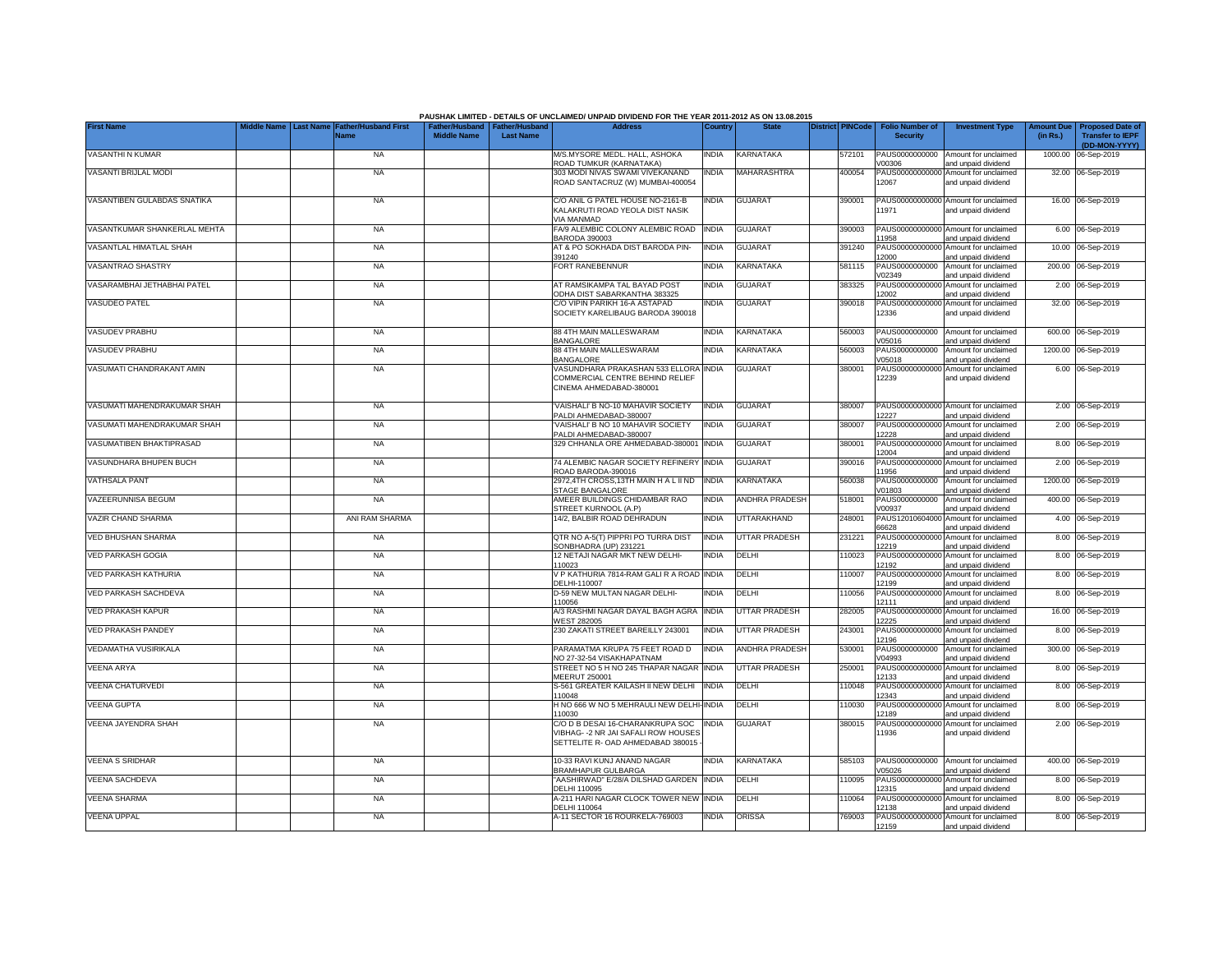|                              |                                                           |                    |                                                     | PAUSHAK LIMITED - DETAILS OF UNCLAIMED/ UNPAID DIVIDEND FOR THE YEAR 2011-2012 AS ON 13.08.2015             |              |                  |                         |                                           |                                                             |          |                                                                           |
|------------------------------|-----------------------------------------------------------|--------------------|-----------------------------------------------------|-------------------------------------------------------------------------------------------------------------|--------------|------------------|-------------------------|-------------------------------------------|-------------------------------------------------------------|----------|---------------------------------------------------------------------------|
| <b>First Name</b>            | Middle Name Last Name Father/Husband First<br><b>Name</b> | <b>Middle Name</b> | Father/Husband   Father/Husband<br><b>Last Name</b> | <b>Address</b>                                                                                              | Country      | <b>State</b>     | <b>District PINCode</b> | <b>Folio Number of</b><br><b>Security</b> | <b>Investment Type</b>                                      | (in Rs.) | Amount Due   Proposed Date of<br><b>Transfer to IEPF</b><br>(DD-MON-YYYY) |
| VASANTHI N KUMAR             | <b>NA</b>                                                 |                    |                                                     | M/S.MYSORE MEDL. HALL, ASHOKA<br>ROAD TUMKUR (KARNATAKA)                                                    | <b>INDIA</b> | <b>KARNATAKA</b> | 572101                  | PAUS0000000000<br>/00306                  | Amount for unclaimed<br>and unpaid dividend                 |          | 1000.00 06-Sep-2019                                                       |
| VASANTI BRIJLAL MODI         | <b>NA</b>                                                 |                    |                                                     | 303 MODI NIVAS SWAMI VIVEKANAND<br>ROAD SANTACRUZ (W) MUMBAI-400054                                         | <b>INDIA</b> | MAHARASHTRA      | 400054                  | 12067                                     | PAUS00000000000 Amount for unclaimed<br>and unpaid dividend |          | 32.00 06-Sep-2019                                                         |
| VASANTIBEN GULABDAS SNATIKA  | <b>NA</b>                                                 |                    |                                                     | C/O ANIL G PATEL HOUSE NO-2161-B<br>KALAKRUTI ROAD YEOLA DIST NASIK<br>VIA MANMAD                           | <b>INDIA</b> | <b>GUJARAT</b>   | 390001                  | 11971                                     | PAUS00000000000 Amount for unclaimed<br>and unpaid dividend |          | 16.00 06-Sep-2019                                                         |
| VASANTKUMAR SHANKERLAL MEHTA | <b>NA</b>                                                 |                    |                                                     | FA/9 ALEMBIC COLONY ALEMBIC ROAD<br><b>BARODA 390003</b>                                                    | <b>INDIA</b> | <b>GUJARAT</b>   | 390003                  | 1958                                      | PAUS00000000000 Amount for unclaimed<br>and unpaid dividend |          | 6.00 06-Sep-2019                                                          |
| VASANTLAL HIMATLAL SHAH      | <b>NA</b>                                                 |                    |                                                     | AT & PO SOKHADA DIST BARODA PIN-<br>391240                                                                  | <b>INDIA</b> | <b>GUJARAT</b>   | 391240                  | PAUS00000000000<br>2000                   | Amount for unclaimed<br>and unpaid dividend                 |          | 10.00 06-Sep-2019                                                         |
| VASANTRAO SHASTRY            | <b>NA</b>                                                 |                    |                                                     | FORT RANEBENNUR                                                                                             | <b>INDIA</b> | KARNATAKA        | 581115                  | PAUS0000000000<br>/02349                  | Amount for unclaimed<br>and unpaid dividend                 |          | 200.00 06-Sep-2019                                                        |
| VASARAMBHAI JETHABHAI PATEL  | <b>NA</b>                                                 |                    |                                                     | AT RAMSIKAMPA TAL BAYAD POST<br>ODHA DIST SABARKANTHA 383325                                                | <b>INDIA</b> | <b>GUJARAT</b>   | 383325                  | PAUS00000000000<br>12002                  | Amount for unclaimed<br>and unpaid dividend                 |          | 2.00 06-Sep-2019                                                          |
| <b>VASUDEO PATEL</b>         | <b>NA</b>                                                 |                    |                                                     | C/O VIPIN PARIKH 16-A ASTAPAD<br>SOCIETY KARELIBAUG BARODA 390018                                           | <b>INDIA</b> | <b>GUJARAT</b>   | 390018                  | PAUS0000000000<br>12336                   | Amount for unclaimed<br>and unpaid dividend                 |          | 32.00 06-Sep-2019                                                         |
| VASUDEV PRABHU               | <b>NA</b>                                                 |                    |                                                     | 88 4TH MAIN MALLESWARAM<br><b>BANGALORE</b>                                                                 | <b>INDIA</b> | KARNATAKA        | 560003                  | PAUS0000000000<br>/05016                  | Amount for unclaimed<br>and unpaid dividend                 |          | 600.00 06-Sep-2019                                                        |
| VASUDEV PRABHU               | <b>NA</b>                                                 |                    |                                                     | 88 4TH MAIN MALLESWARAM<br><b>BANGALORE</b>                                                                 | <b>INDIA</b> | KARNATAKA        | 560003                  | PAUS0000000000<br>V05018                  | Amount for unclaimed<br>and unpaid dividend                 | 1200.00  | 06-Sep-2019                                                               |
| VASUMATI CHANDRAKANT AMIN    | <b>NA</b>                                                 |                    |                                                     | VASUNDHARA PRAKASHAN 533 ELLORA<br>COMMERCIAL CENTRE BEHIND RELIEF<br>CINEMA AHMEDABAD-380001               | <b>INDIA</b> | <b>GUJARAT</b>   | 380001                  | 12239                                     | PAUS00000000000 Amount for unclaimed<br>and unpaid dividend |          | 6.00 06-Sep-2019                                                          |
| VASUMATI MAHENDRAKUMAR SHAH  | <b>NA</b>                                                 |                    |                                                     | VAISHALI' B NO-10 MAHAVIR SOCIETY<br>PALDI AHMEDABAD-380007                                                 | <b>INDIA</b> | <b>GUJARAT</b>   | 380007                  | 12227                                     | PAUS00000000000 Amount for unclaimed<br>and unpaid dividend |          | 2.00 06-Sep-2019                                                          |
| VASUMATI MAHENDRAKUMAR SHAH  | <b>NA</b>                                                 |                    |                                                     | VAISHALI' B NO 10 MAHAVIR SOCIETY<br>PALDI AHMEDABAD-380007                                                 | <b>INDIA</b> | <b>GUJARAT</b>   | 380007                  | PAUS00000000000<br>2228                   | Amount for unclaimed<br>and unpaid dividend                 |          | 2.00 06-Sep-2019                                                          |
| VASUMATIBEN BHAKTIPRASAD     | <b>NA</b>                                                 |                    |                                                     | 329 CHHANLA ORE AHMEDABAD-380001                                                                            | <b>INDIA</b> | <b>GUJARAT</b>   | 380001                  | 12004                                     | PAUS00000000000 Amount for unclaimed<br>and unpaid dividend |          | 8.00 06-Sep-2019                                                          |
| VASUNDHARA BHUPEN BUCH       | <b>NA</b>                                                 |                    |                                                     | 74 ALEMBIC NAGAR SOCIETY REFINERY<br>ROAD BARODA-390016                                                     | <b>INDIA</b> | <b>GUJARAT</b>   | 390016                  | 11956                                     | PAUS00000000000 Amount for unclaimed<br>and unpaid dividend |          | 2.00 06-Sep-2019                                                          |
| <b>VATHSALA PANT</b>         | <b>NA</b>                                                 |                    |                                                     | 2972,4TH CROSS,13TH MAIN HALIIND<br>STAGE BANGALORE                                                         | <b>INDIA</b> | <b>KARNATAKA</b> | 560038                  | PAUS0000000000<br>V01803                  | Amount for unclaimed<br>and unpaid dividend                 |          | 1200.00 06-Sep-2019                                                       |
| <b>/AZEERUNNISA BEGUM</b>    | <b>NA</b>                                                 |                    |                                                     | AMEER BUILDINGS CHIDAMBAR RAO<br>STREET KURNOOL (A.P)                                                       | <b>INDIA</b> | ANDHRA PRADESH   | 518001                  | PAUS0000000000<br>V00937                  | Amount for unclaimed<br>and unpaid dividend                 |          | 400.00 06-Sep-2019                                                        |
| VAZIR CHAND SHARMA           | ANI RAM SHARMA                                            |                    |                                                     | 14/2, BALBIR ROAD DEHRADUN                                                                                  | <b>INDIA</b> | UTTARAKHAND      | 248001                  | PAUS12010604000<br>66628                  | Amount for unclaimed<br>and unpaid dividend                 |          | 4.00 06-Sep-2019                                                          |
| VED BHUSHAN SHARMA           | <b>NA</b>                                                 |                    |                                                     | QTR NO A-5(T) PIPPRI PO TURRA DIST<br>SONBHADRA (UP) 231221                                                 | <b>INDIA</b> | UTTAR PRADESH    | 231221                  | PAUS0000000000<br>12219                   | Amount for unclaimed<br>and unpaid dividend                 |          | 8.00 06-Sep-2019                                                          |
| VED PARKASH GOGIA            | <b>NA</b>                                                 |                    |                                                     | 12 NETAJI NAGAR MKT NEW DELHI-<br>110023                                                                    | <b>INDIA</b> | DELHI            | 110023                  | PAUS00000000000<br>12192                  | Amount for unclaimed<br>and unpaid dividend                 |          | 8.00 06-Sep-2019                                                          |
| VED PARKASH KATHURIA         | <b>NA</b>                                                 |                    |                                                     | V P KATHURIA 7814-RAM GALI R A ROAD INDIA<br>DELHI-110007                                                   |              | DELHI            | 110007                  | PAUS00000000000<br>2199                   | Amount for unclaimed<br>and unpaid dividend                 |          | 8.00 06-Sep-2019                                                          |
| VED PARKASH SACHDEVA         | <b>NA</b>                                                 |                    |                                                     | D-59 NEW MULTAN NAGAR DELHI-<br>10056                                                                       | <b>INDIA</b> | DELHI            | 110056                  | PAUS0000000000<br>2111                    | Amount for unclaimed<br>and unpaid dividend                 |          | 8.00 06-Sep-2019                                                          |
| VED PRAKASH KAPUR            | <b>NA</b>                                                 |                    |                                                     | A/3 RASHMI NAGAR DAYAL BAGH AGRA<br><b>WEST 282005</b>                                                      | <b>INDIA</b> | UTTAR PRADESH    | 282005                  | PAUS0000000000<br>2225                    | Amount for unclaimed<br>and unpaid dividend                 |          | 16.00 06-Sep-2019                                                         |
| <b>VED PRAKASH PANDEY</b>    | <b>NA</b>                                                 |                    |                                                     | 230 ZAKATI STREET BAREILLY 243001                                                                           | <b>INDIA</b> | UTTAR PRADESH    | 243001                  | PAUS00000000000<br>2196                   | Amount for unclaimed<br>and unpaid dividend                 |          | 8.00 06-Sep-2019                                                          |
| VEDAMATHA VUSIRIKALA         | <b>NA</b>                                                 |                    |                                                     | PARAMATMA KRUPA 75 FEET ROAD D<br>NO 27-32-54 VISAKHAPATNAM                                                 | <b>INDIA</b> | ANDHRA PRADESH   | 530001                  | PAUS0000000000<br>V04993                  | Amount for unclaimed<br>and unpaid dividend                 |          | 300.00 06-Sep-2019                                                        |
| VEENA ARYA                   | <b>NA</b>                                                 |                    |                                                     | STREET NO 5 H NO 245 THAPAR NAGAR<br>MEERUT 250001                                                          | <b>INDIA</b> | UTTAR PRADESH    | 250001                  | PAUS0000000000<br>12133                   | Amount for unclaimed<br>and unpaid dividend                 |          | 8.00 06-Sep-2019                                                          |
| VEENA CHATURVEDI             | <b>NA</b>                                                 |                    |                                                     | S-561 GREATER KAILASH II NEW DELHI<br>10048                                                                 | <b>INDIA</b> | DELHI            | 110048                  | PAUS0000000000<br>12343                   | Amount for unclaimed<br>and unpaid dividend                 |          | 8.00 06-Sep-2019                                                          |
| <b>VEENA GUPTA</b>           | <b>NA</b>                                                 |                    |                                                     | H NO 666 W NO 5 MEHRAULI NEW DELHI<br>110030                                                                | <b>INDIA</b> | DELHI            | 110030                  | PAUS0000000000<br>12189                   | Amount for unclaimed<br>and unpaid dividend                 | 8.00     | 06-Sep-2019                                                               |
| VEENA JAYENDRA SHAH          | <b>NA</b>                                                 |                    |                                                     | C/O D B DESAI 16-CHARANKRUPA SOC<br>VIBHAG--2 NR JAI SAFALI ROW HOUSES<br>SETTELITE R- OAD AHMEDABAD 380015 | <b>INDIA</b> | <b>GUJARAT</b>   | 380015                  | PAUS0000000000<br>11936                   | Amount for unclaimed<br>and unpaid dividend                 |          | 2.00 06-Sep-2019                                                          |
| VEENA S SRIDHAR              | <b>NA</b>                                                 |                    |                                                     | 10-33 RAVI KUNJ ANAND NAGAR<br>BRAMHAPUR GULBARGA                                                           | <b>INDIA</b> | KARNATAKA        | 585103                  | PAUS0000000000<br>/05026                  | Amount for unclaimed<br>and unpaid dividend                 |          | 400.00 06-Sep-2019                                                        |
| VEENA SACHDEVA               | <b>NA</b>                                                 |                    |                                                     | "AASHIRWAD" E/28/A DILSHAD GARDEN<br>DELHI 110095                                                           | <b>INDIA</b> | DELHI            | 110095                  | PAUS0000000000<br>12315                   | Amount for unclaimed<br>and unpaid dividend                 |          | 8.00 06-Sep-2019                                                          |
| VEENA SHARMA                 | <b>NA</b>                                                 |                    |                                                     | A-211 HARI NAGAR CLOCK TOWER NEW<br>DELHI 110064                                                            | <b>INDIA</b> | DELHI            | 10064                   | PAUS00000000000<br>2138                   | Amount for unclaimed<br>and unpaid dividend                 |          | 8.00 06-Sep-2019                                                          |
| <b>VEENA UPPAL</b>           | <b>NA</b>                                                 |                    |                                                     | A-11 SECTOR 16 ROURKELA-769003                                                                              | <b>INDIA</b> | ORISSA           | 769003                  | 12159                                     | PAUS00000000000 Amount for unclaimed<br>and unpaid dividend |          | 8.00 06-Sep-2019                                                          |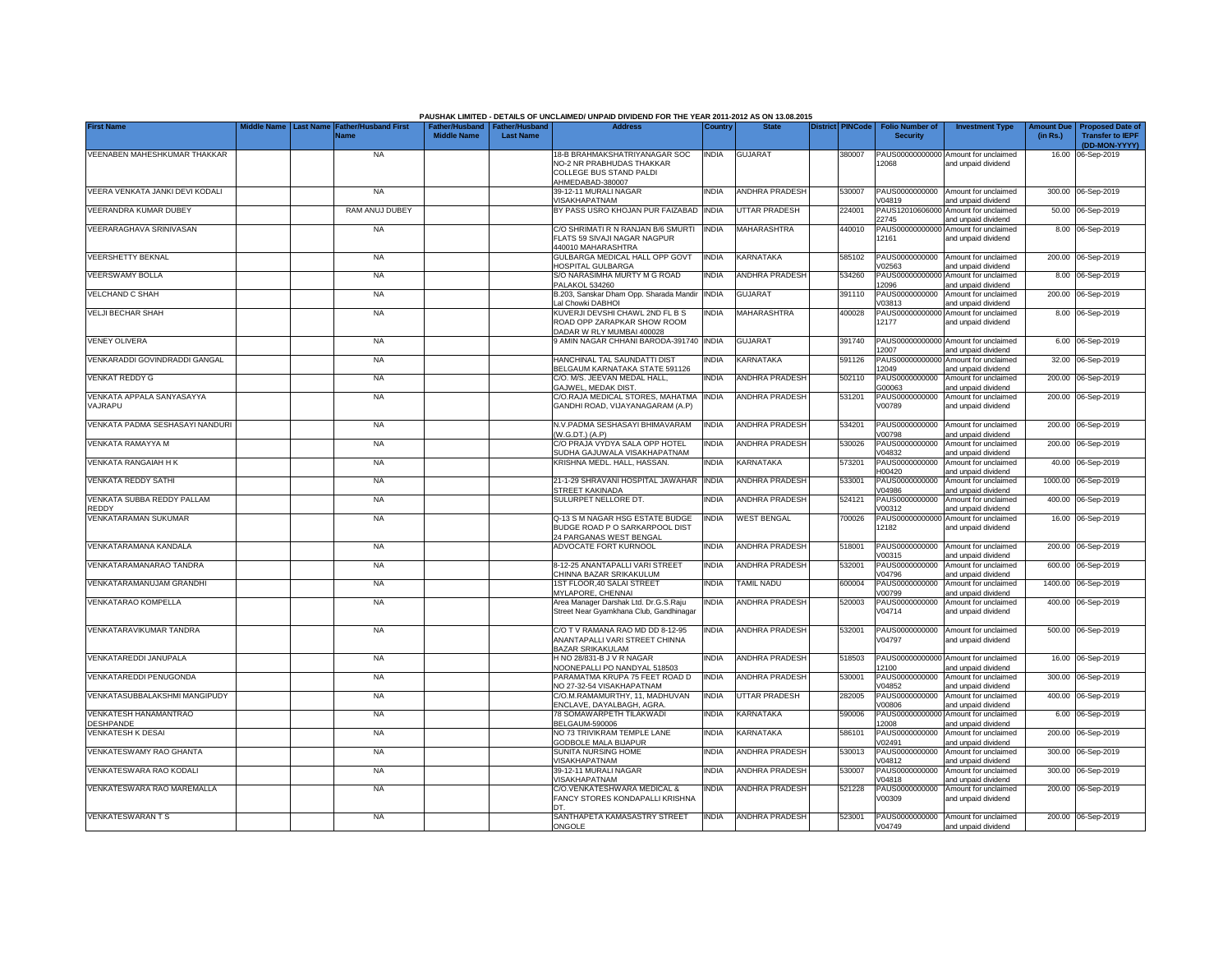|                                           |                                                         |                                                       |                  | PAUSHAK LIMITED - DETAILS OF UNCLAIMED/ UNPAID DIVIDEND FOR THE YEAR 2011-2012 AS ON 13.08.2015 |              |                       |                  |                                           |                                                             |                              |                                                    |
|-------------------------------------------|---------------------------------------------------------|-------------------------------------------------------|------------------|-------------------------------------------------------------------------------------------------|--------------|-----------------------|------------------|-------------------------------------------|-------------------------------------------------------------|------------------------------|----------------------------------------------------|
| <b>First Name</b>                         | <b>Father/Husband First</b><br>Last Name<br><b>Name</b> | Father/Husband   Father/Husband<br><b>Middle Name</b> | <b>Last Name</b> | <b>Address</b>                                                                                  | Country      | <b>State</b>          | District PINCode | <b>Folio Number of</b><br><b>Security</b> | <b>Investment Type</b>                                      | <b>Imount Du</b><br>(in Rs.) | <b>Proposed Date of</b><br><b>Transfer to IEPF</b> |
| VEENABEN MAHESHKUMAR THAKKAR              | <b>NA</b>                                               |                                                       |                  | 18-B BRAHMAKSHATRIYANAGAR SOC                                                                   | <b>INDIA</b> | <b>GUJARAT</b>        | 380007           |                                           | PAUS00000000000 Amount for unclaimed                        |                              | (DD-MON-YYYY)<br>16.00 06-Sep-2019                 |
|                                           |                                                         |                                                       |                  | NO-2 NR PRABHUDAS THAKKAR<br>COLLEGE BUS STAND PALDI<br>AHMEDABAD-380007                        |              |                       |                  | 12068                                     | and unpaid dividend                                         |                              |                                                    |
| VEERA VENKATA JANKI DEVI KODALI           | <b>NA</b>                                               |                                                       |                  | 39-12-11 MURALI NAGAR<br>/ISAKHAPATNAM                                                          | INDIA        | <b>ANDHRA PRADESH</b> | 530007           | PAUS0000000000<br>/04819                  | Amount for unclaimed<br>and unpaid dividend                 | 300.00                       | 06-Sep-2019                                        |
| VEERANDRA KUMAR DUBEY                     | RAM ANUJ DUBEY                                          |                                                       |                  | BY PASS USRO KHOJAN PUR FAIZABAD INDIA                                                          |              | <b>UTTAR PRADESH</b>  | 224001           | PAUS1201060600<br>22745                   | Amount for unclaimed<br>and unpaid dividend                 | 50.00                        | 06-Sep-2019                                        |
| VEERARAGHAVA SRINIVASAN                   | <b>NA</b>                                               |                                                       |                  | C/O SHRIMATI R N RANJAN B/6 SMURTI<br>FLATS 59 SIVAJI NAGAR NAGPUR<br>440010 MAHARASHTRA        | <b>INDIA</b> | MAHARASHTRA           | 440010           | PAUS00000000000<br>12161                  | Amount for unclaimed<br>and unpaid dividend                 |                              | 8.00 06-Sep-2019                                   |
| <b>VEERSHETTY BEKNAL</b>                  | <b>NA</b>                                               |                                                       |                  | GULBARGA MEDICAL HALL OPP GOVT<br>HOSPITAL GULBARGA                                             | <b>INDIA</b> | KARNATAKA             | 585102           | PAUS0000000000<br>V02563                  | Amount for unclaimed<br>and unpaid dividend                 |                              | 200.00 06-Sep-2019                                 |
| <b>VEERSWAMY BOLLA</b>                    | <b>NA</b>                                               |                                                       |                  | S/O NARASIMHA MURTY M G ROAD<br>PALAKOL 534260                                                  | <b>INDIA</b> | <b>ANDHRA PRADESH</b> | 534260           | 12096                                     | PAUS00000000000 Amount for unclaimed<br>and unpaid dividend |                              | 8.00 06-Sep-2019                                   |
| <b>VELCHAND C SHAH</b>                    | <b>NA</b>                                               |                                                       |                  | B.203, Sanskar Dham Opp. Sharada Mandir<br>Lal Chowki DABHOI                                    | <b>INDIA</b> | <b>GUJARAT</b>        | 391110           | PAUS0000000000<br>V03813                  | Amount for unclaimed<br>and unpaid dividend                 | 200.00                       | 06-Sep-2019                                        |
| <b>VELJI BECHAR SHAH</b>                  | <b>NA</b>                                               |                                                       |                  | KUVERJI DEVSHI CHAWL 2ND FL B S<br>ROAD OPP ZARAPKAR SHOW ROOM<br>DADAR W RLY MUMBAI 400028     | INDIA        | MAHARASHTRA           | 400028           | PAUS0000000000<br>12177                   | Amount for unclaimed<br>and unpaid dividend                 |                              | 8.00 06-Sep-2019                                   |
| <b>VENEY OLIVERA</b>                      | <b>NA</b>                                               |                                                       |                  | 9 AMIN NAGAR CHHANI BARODA-391740                                                               | <b>INDIA</b> | <b>GUJARAT</b>        | 391740           | 12007                                     | PAUS00000000000 Amount for unclaimed<br>and unpaid dividend |                              | 6.00 06-Sep-2019                                   |
| VENKARADDI GOVINDRADDI GANGAL             | <b>NA</b>                                               |                                                       |                  | HANCHINAL TAL SAUNDATTI DIST<br>BELGAUM KARNATAKA STATE 591126                                  | <b>INDIA</b> | KARNATAKA             | 591126           | PAUS0000000000<br>12049                   | Amount for unclaimed<br>and unpaid dividend                 |                              | 32.00 06-Sep-2019                                  |
| <b>VENKAT REDDY G</b>                     | <b>NA</b>                                               |                                                       |                  | C/O. M/S. JEEVAN MEDAL HALL.<br>GAJWEL, MEDAK DIST                                              | <b>INDIA</b> | <b>ANDHRA PRADESH</b> | 502110           | PAUS0000000000<br>G00063                  | Amount for unclaimed<br>and unpaid dividend                 |                              | 200.00 06-Sep-2019                                 |
| VENKATA APPALA SANYASAYYA<br>VAJRAPU      | <b>NA</b>                                               |                                                       |                  | C/O.RAJA MEDICAL STORES, MAHATMA<br>GANDHI ROAD, VIJAYANAGARAM (A,P)                            | <b>INDIA</b> | <b>ANDHRA PRADESH</b> | 531201           | PAUS0000000000<br>V00789                  | Amount for unclaimed<br>and unpaid dividend                 |                              | 200.00 06-Sep-2019                                 |
| VENKATA PADMA SESHASAYI NANDURI           | <b>NA</b>                                               |                                                       |                  | N.V.PADMA SESHASAYI BHIMAVARAM<br>(W.G.DT.) (A.P)                                               | <b>INDIA</b> | <b>ANDHRA PRADESH</b> | 534201           | PAUS0000000000<br>/00798                  | Amount for unclaimed<br>and unpaid dividend                 |                              | 200.00 06-Sep-2019                                 |
| VENKATA RAMAYYA M                         | <b>NA</b>                                               |                                                       |                  | C/O PRAJA VYDYA SALA OPP HOTEL<br>SUDHA GAJUWALA VISAKHAPATNAM                                  | INDIA        | <b>ANDHRA PRADESH</b> | 530026           | PAUS0000000000<br>V04832                  | Amount for unclaimed<br>and unpaid dividend                 |                              | 200.00 06-Sep-2019                                 |
| VENKATA RANGAIAH H K                      | <b>NA</b>                                               |                                                       |                  | KRISHNA MEDL. HALL, HASSAN.                                                                     | <b>INDIA</b> | KARNATAKA             | 573201           | H00420                                    | PAUS0000000000 Amount for unclaimed<br>and unpaid dividend  |                              | 40.00 06-Sep-2019                                  |
| <b>VENKATA REDDY SATHI</b>                | <b>NA</b>                                               |                                                       |                  | 21-1-29 SHRAVANI HOSPITAL JAWAHAR<br><b>STREET KAKINADA</b>                                     | <b>INDIA</b> | <b>ANDHRA PRADESH</b> | 533001           | PAUS0000000000<br>V04986                  | Amount for unclaimed<br>and unpaid dividend                 |                              | 1000.00 06-Sep-2019                                |
| VENKATA SUBBA REDDY PALLAM<br>REDDY       | <b>NA</b>                                               |                                                       |                  | SULURPET NELLORE DT.                                                                            | <b>INDIA</b> | <b>ANDHRA PRADESH</b> | 524121           | PAUS0000000000<br>V00312                  | Amount for unclaimed<br>and unpaid dividend                 | 400.00                       | 06-Sep-2019                                        |
| VENKATARAMAN SUKUMAR                      | <b>NA</b>                                               |                                                       |                  | Q-13 S M NAGAR HSG ESTATE BUDGE<br>BUDGE ROAD P O SARKARPOOL DIST<br>24 PARGANAS WEST BENGAL    | <b>INDIA</b> | <b>WEST BENGAL</b>    | 700026           | PAUS00000000000<br>12182                  | Amount for unclaimed<br>and unpaid dividend                 |                              | 16.00 06-Sep-2019                                  |
| VENKATARAMANA KANDALA                     | <b>NA</b>                                               |                                                       |                  | ADVOCATE FORT KURNOOL                                                                           | <b>INDIA</b> | <b>ANDHRA PRADESH</b> | 518001           | PAUS0000000000<br>V00315                  | Amount for unclaimed<br>and unpaid dividend                 |                              | 200.00 06-Sep-2019                                 |
| VENKATARAMANARAO TANDRA                   | <b>NA</b>                                               |                                                       |                  | 8-12-25 ANANTAPALLI VARI STREET<br>CHINNA BAZAR SRIKAKULUM                                      | <b>INDIA</b> | <b>ANDHRA PRADESH</b> | 532001           | PAUS0000000000<br>/04796                  | Amount for unclaimed<br>and unpaid dividend                 |                              | 600.00 06-Sep-2019                                 |
| VENKATARAMANUJAM GRANDHI                  | <b>NA</b>                                               |                                                       |                  | 1ST FLOOR, 40 SALAI STREET<br>MYLAPORE, CHENNAI                                                 | <b>INDIA</b> | TAMIL NADU            | 600004           | PAUS000<br>1000000<br>/00799              | Amount for unclaimed<br>and unpaid dividend                 |                              | 1400.00 06-Sep-2019                                |
| <b>VENKATARAO KOMPELLA</b>                | <b>NA</b>                                               |                                                       |                  | Area Manager Darshak Ltd. Dr.G.S.Raju<br>Street Near Gyamkhana Club, Gandhinagar                | <b>INDIA</b> | <b>ANDHRA PRADESH</b> | 520003           | PAUS0000000000<br>V04714                  | Amount for unclaimed<br>and unpaid dividend                 |                              | 400.00 06-Sep-2019                                 |
| VENKATARAVIKUMAR TANDRA                   | <b>NA</b>                                               |                                                       |                  | C/O T V RAMANA RAO MD DD 8-12-95<br>ANANTAPALLI VARI STREET CHINNA<br><b>BAZAR SRIKAKULAM</b>   | <b>INDIA</b> | <b>ANDHRA PRADESH</b> | 532001           | PAUS0000000000<br>/04797                  | Amount for unclaimed<br>and unpaid dividend                 |                              | 500.00 06-Sep-2019                                 |
| VENKATAREDDI JANUPALA                     | <b>NA</b>                                               |                                                       |                  | H NO 28/831-B J V R NAGAR<br>NOONEPALLI PO NANDYAL 518503                                       | <b>INDIA</b> | <b>ANDHRA PRADESH</b> | 518503           | PAUS00000000000<br>12100                  | Amount for unclaimed<br>and unpaid dividend                 |                              | 16.00 06-Sep-2019                                  |
| <b>VENKATAREDDI PENUGONDA</b>             | <b>NA</b>                                               |                                                       |                  | PARAMATMA KRUPA 75 FEET ROAD D<br>NO 27-32-54 VISAKHAPATNAM                                     | <b>INDIA</b> | <b>ANDHRA PRADESH</b> | 530001           | PAUS0000000000<br>V04852                  | Amount for unclaimed<br>and unpaid dividend                 | 300.00                       | 06-Sep-2019                                        |
| VENKATASUBBALAKSHMI MANGIPUDY             | <b>NA</b>                                               |                                                       |                  | C/O.M.RAMAMURTHY, 11. MADHUVAN<br>ENCLAVE, DAYALBAGH, AGRA                                      | <b>INDIA</b> | <b>UTTAR PRADESH</b>  | 282005           | PAUS0000000000<br>V00806                  | Amount for unclaimed<br>and unpaid dividend                 | 400.00                       | 06-Sep-2019                                        |
| VENKATESH HANAMANTRAO<br><b>DESHPANDE</b> | <b>NA</b>                                               |                                                       |                  | 78 SOMAWARPETH TILAKWADI<br><b>BELGAUM-590006</b>                                               | <b>INDIA</b> | KARNATAKA             | 590006           | PAUS0000000000<br>12008                   | Amount for unclaimed<br>and unpaid dividend                 | 6.00                         | 06-Sep-2019                                        |
| <b>VENKATESH K DESAI</b>                  | <b>NA</b>                                               |                                                       |                  | NO 73 TRIVIKRAM TEMPLE LANE<br>GODBOLE MALA BIJAPUR                                             | <b>INDIA</b> | KARNATAKA             | 586101           | PAUS0000000000<br>V02491                  | Amount for unclaimed<br>and unpaid dividend                 | 200.00                       | 06-Sep-2019                                        |
| VENKATESWAMY RAO GHANTA                   | <b>NA</b>                                               |                                                       |                  | <b>SUNITA NURSING HOME</b><br>VISAKHAPATNAM                                                     | <b>INDIA</b> | <b>ANDHRA PRADESH</b> | 530013           | PAUS0000000000<br>V04812                  | Amount for unclaimed<br>and unpaid dividend                 |                              | 300.00 06-Sep-2019                                 |
| VENKATESWARA RAO KODALI                   | <b>NA</b>                                               |                                                       |                  | 39-12-11 MURALI NAGAR<br><b>VISAKHAPATNAM</b>                                                   | <b>INDIA</b> | <b>ANDHRA PRADESH</b> | 530007           | PAUS0000000000<br>/04818                  | Amount for unclaimed<br>and unpaid dividend                 |                              | 300.00 06-Sep-2019                                 |
| VENKATESWARA RAO MAREMALLA                | <b>NA</b>                                               |                                                       |                  | C/O.VENKATESHWARA MEDICAL &<br>FANCY STORES KONDAPALLI KRISHNA                                  | <b>NDIA</b>  | <b>ANDHRA PRADESH</b> | 521228           | PAUS0000000000<br>V00309                  | Amount for unclaimed<br>and unpaid dividend                 |                              | 200.00 06-Sep-2019                                 |
| <b>VENKATESWARANTS</b>                    | NA                                                      |                                                       |                  | SANTHAPETA KAMASASTRY STREET<br>ONGOLE                                                          | <b>INDIA</b> | <b>ANDHRA PRADESH</b> | 523001           | V04749                                    | PAUS0000000000 Amount for unclaimed<br>and unpaid dividend  |                              | 200.00 06-Sep-2019                                 |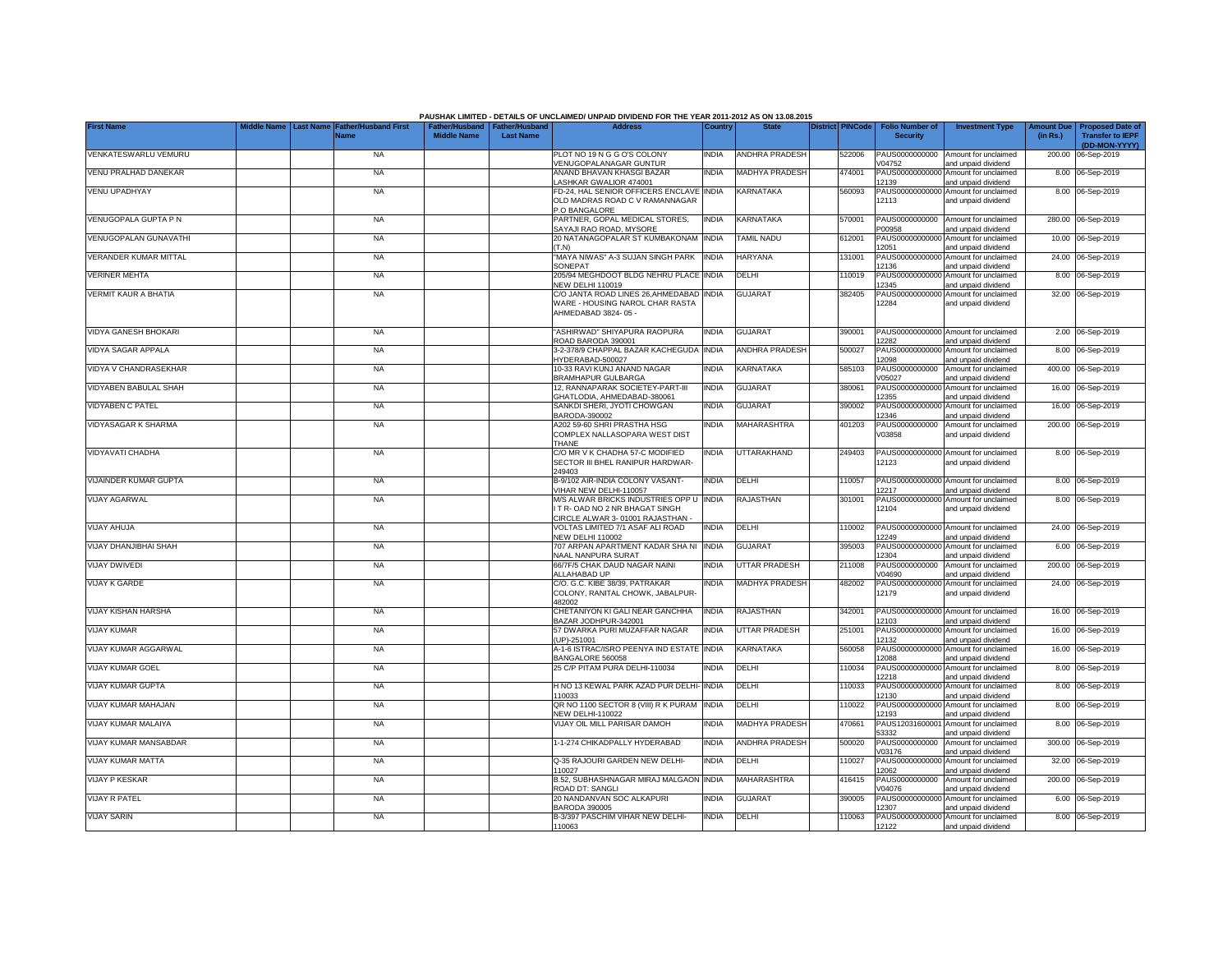| Father/Husband   Father/Husband<br><b>Middle Name</b><br><b>Transfer to IEPF</b><br>Name<br><b>Last Name</b><br><b>Security</b><br>(in Rs.)<br>(DD-MON-YYYY)<br>PLOT NO 19 N G G O'S COLONY<br>VENKATESWARLU VEMURU<br><b>NA</b><br><b>INDIA</b><br><b>ANDHRA PRADESH</b><br>PAUS0000000000<br>Amount for unclaimed<br>200.00<br>522006<br>06-Sep-2019<br>/ENUGOPALANAGAR GUNTUR<br>/04752<br>and unpaid dividend<br>VENU PRALHAD DANEKAR<br>ANAND BHAVAN KHASGI BAZAR<br>474001<br>PAUS0000000000<br><b>NA</b><br><b>INDIA</b><br><b>MADHYA PRADESH</b><br>Amount for unclaimed<br>8.00<br>06-Sep-2019<br>ASHKAR GWALIOR 474001<br>2139<br>and unpaid dividend<br>VENU UPADHYAY<br>FD-24, HAL SENIOR OFFICERS ENCLAVE INDIA<br>KARNATAKA<br>PAUS00000000000<br><b>NA</b><br>560093<br>Amount for unclaimed<br>8.00 06-Sep-2019<br>OLD MADRAS ROAD C V RAMANNAGAR<br>12113<br>and unpaid dividend<br>P.O BANGALORE<br>VENUGOPALA GUPTA P N<br><b>NA</b><br>PARTNER, GOPAL MEDICAL STORES.<br><b>INDIA</b><br><b>KARNATAKA</b><br>570001<br>PAUS0000000000<br>Amount for unclaimed<br>280.00 06-Sep-2019<br>SAYAJI RAO ROAD, MYSORE<br>P00958<br>and unpaid dividend<br><b>VENUGOPALAN GUNAVATHI</b><br>20 NATANAGOPALAR ST KUMBAKONAM INDIA<br><b>TAMIL NADU</b><br>612001<br>PAUS00000000000<br>10.00 06-Sep-2019<br><b>NA</b><br>Amount for unclaimed<br>12051<br>(T.N)<br>and unpaid dividend<br>VERANDER KUMAR MITTAL<br>"MAYA NIWAS" A-3 SUJAN SINGH PARK INDIA<br><b>HARYANA</b><br>131001<br>PAUS0000000000<br><b>NA</b><br>24.00 06-Sep-2019<br>Amount for unclaimed<br>SONEPAT<br>12136<br>and unpaid dividend<br><b>VERINER MEHTA</b><br><b>NA</b><br>205/94 MEGHDOOT BLDG NEHRU PLACE INDIA<br>DELHI<br>110019<br>PAUS0000000000<br>8.00<br>06-Sep-2019<br>Amount for unclaimed<br><b>NEW DELHI 110019</b><br>12345<br>and unpaid dividend<br>VERMIT KAUR A BHATIA<br>C/O JANTA ROAD LINES 26, AHMEDABAD INDIA<br><b>GUJARAT</b><br>382405<br>PAUS0000000000<br>32.00 06-Sep-2019<br><b>NA</b><br>Amount for unclaimed<br>WARE - HOUSING NAROL CHAR RASTA<br>12284<br>and unpaid dividend<br>AHMEDABAD 3824-05 -<br><b>VIDYA GANESH BHOKARI</b><br>390001<br><b>NA</b><br>'ASHIRWAD" SHIYAPURA RAOPURA<br><b>INDIA</b><br><b>GUJARAT</b><br>PAUS00000000000 Amount for unclaimed<br>2.00 06-Sep-2019<br>ROAD BARODA 390001<br>12282<br>and unpaid dividend<br><b>VIDYA SAGAR APPALA</b><br>3-2-378/9 CHAPPAL BAZAR KACHEGUDA<br><b>INDIA</b><br><b>ANDHRA PRADESH</b><br>500027<br>PAUS00000000000<br>Amount for unclaimed<br>06-Sep-2019<br><b>NA</b><br>8.00<br>HYDERABAD-500027<br>12098<br>and unpaid dividend<br>VIDYA V CHANDRASEKHAR<br>10-33 RAVI KUNJ ANAND NAGAR<br>KARNATAKA<br>585103<br>PAUS0000000000<br><b>NA</b><br><b>NDIA</b><br>Amount for unclaimed<br>400.00 06-Sep-2019<br><b>BRAMHAPUR GULBARGA</b><br>V05027<br>and unpaid dividend<br>VIDYABEN BABULAL SHAH<br>12, RANNAPARAK SOCIETEY-PART-III<br><b>INDIA</b><br><b>GUJARAT</b><br>380061<br>PAUS00000000000<br>Amount for unclaimed<br>16.00 06-Sep-2019<br><b>NA</b><br>12355<br>GHATLODIA, AHMEDABAD-380061<br>and unpaid dividend<br><b>VIDYABEN C PATEL</b><br><b>GUJARAT</b><br>390002<br><b>NA</b><br>SANKDI SHERI, JYOTI CHOWGAN<br>India<br>PAUS00000000000 Amount for unclaimed<br>16.00 06-Sep-2019<br>BARODA-390002<br>12346<br>and unpaid dividend<br>VIDYASAGAR K SHARMA<br><b>MAHARASHTRA</b><br>401203<br>PAUS0000000000<br>200.00 06-Sep-2019<br><b>NA</b><br>A202 59-60 SHRI PRASTHA HSG<br>India<br>Amount for unclaimed<br>COMPLEX NALLASOPARA WEST DIST<br>V03858<br>and unpaid dividend<br>THANE<br>C/O MR V K CHADHA 57-C MODIFIED<br><b>VIDYAVATI CHADHA</b><br><b>NA</b><br><b>NDIA</b><br>UTTARAKHAND<br>249403<br>PAUS00000000000 Amount for unclaimed<br>8.00 06-Sep-2019<br>SECTOR III BHEL RANIPUR HARDWAR-<br>12123<br>and unpaid dividend<br>249403<br>VIJAINDER KUMAR GUPTA<br><b>NA</b><br>B-9/102 AIR-INDIA COLONY VASANT-<br><b>INDIA</b><br>DELHI<br>110057<br>PAUS00000000000<br>Amount for unclaimed<br>8.00 06-Sep-2019<br>VIHAR NEW DELHI-110057<br>12217<br>and unpaid dividend<br>M/S ALWAR BRICKS INDUSTRIES OPP U INDIA<br>RAJASTHAN<br>PAUS00000000000 Amount for unclaimed<br><b>VIJAY AGARWAL</b><br><b>NA</b><br>301001<br>8.00 06-Sep-2019<br>IT R-OAD NO 2 NR BHAGAT SINGH<br>12104<br>and unpaid dividend<br>CIRCLE ALWAR 3-01001 RAJASTHAN<br><b>VIJAY AHUJA</b><br>VOLTAS LIMITED 7/1 ASAF ALI ROAD<br><b>INDIA</b><br>DELHI<br>110002<br>PAUS00000000000<br>24.00 06-Sep-2019<br><b>NA</b><br>Amount for unclaimed<br><b>NEW DELHI 110002</b><br>2249<br>and unpaid dividend<br>VIJAY DHANJIBHAI SHAH<br><b>NA</b><br>707 ARPAN APARTMENT KADAR SHA NI<br><b>INDIA</b><br><b>GUJARAT</b><br>395003<br>PAUS00000000000<br>Amount for unclaimed<br>6.00 06-Sep-2019<br><b>NAAL NANPURA SURAT</b><br>2304<br>and unpaid dividend<br><b>VIJAY DWIVEDI</b><br>66/7F/5 CHAK DAUD NAGAR NAINI<br><b>UTTAR PRADESH</b><br>PAUS0000000000<br>Amount for unclaimed<br>200.00 06-Sep-2019<br><b>NA</b><br>India<br>211008<br>ALLAHABAD UP<br>V04690<br>and unpaid dividend<br><b>VIJAY K GARDE</b><br><b>NA</b><br>C/O. G.C. KIBE 38/39, PATRAKAR<br><b>INDIA</b><br><b>MADHYA PRADESH</b><br>482002<br>PAUS00000000000<br>Amount for unclaimed<br>24.00 06-Sep-2019<br>COLONY, RANITAL CHOWK, JABALPUR-<br>12179<br>and unpaid dividend<br>482002<br><b>VIJAY KISHAN HARSHA</b><br><b>NA</b><br>CHETANIYON KI GALI NEAR GANCHHA<br>INDIA<br>RAJASTHAN<br>342001<br>PAUS00000000000<br>16.00 06-Sep-2019<br>Amount for unclaimed<br>BAZAR JODHPUR-342001<br>12103<br>and unpaid dividend<br><b>VIJAY KUMAR</b><br><b>NA</b><br>57 DWARKA PURI MUZAFFAR NAGAR<br>INDIA<br>UTTAR PRADESH<br>251001<br>PAUS0000000000<br>16.00<br>06-Sep-2019<br>Amount for unclaimed<br>UP)-251001<br>12132<br>and unpaid dividend<br><b>VIJAY KUMAR AGGARWAL</b><br><b>NA</b><br>A-1-6 ISTRAC/ISRO PEENYA IND ESTATE INDIA<br>KARNATAKA<br>560058<br>PAUS0000000000<br>16.00 06-Sep-2019<br>Amount for unclaimed<br>BANGALORE 560058<br>12088<br>and unpaid dividend<br><b>VIJAY KUMAR GOEL</b><br><b>NA</b><br>25 C/P PITAM PURA DELHI-110034<br><b>INDIA</b><br>DELHI<br>110034<br>PAUS0000000000<br>Amount for unclaimed<br>8.00 06-Sep-2019<br>12218<br>and unpaid dividend<br>H NO 13 KEWAL PARK AZAD PUR DELHI- INDIA<br><b>VIJAY KUMAR GUPTA</b><br><b>NA</b><br>DELHI<br>110033<br>Amount for unclaimed<br>8.00 06-Sep-2019<br>PAUS00000000000<br>110033<br>12130<br>and unpaid dividend<br>QR NO 1100 SECTOR 8 (VIII) R K PURAM<br>VIJAY KUMAR MAHAJAN<br><b>NA</b><br><b>INDIA</b><br>DELHI<br>110022<br>PAUS00000000000<br>Amount for unclaimed<br>06-Sep-2019<br>8.00<br>NEW DELHI-110022<br>12193<br>and unpaid dividend<br>VIJAY KUMAR MALAIYA<br><b>NA</b><br>VIJAY OIL MILL PARISAR DAMOH<br>India<br><b>MADHYA PRADESH</b><br>470661<br>PAUS1203160000<br>Amount for unclaimed<br>8.00<br>06-Sep-2019<br>53332<br>and unpaid dividend<br>VIJAY KUMAR MANSABDAR<br>1-1-274 CHIKADPALLY HYDERABAD<br>INDIA<br><b>ANDHRA PRADESH</b><br>500020<br>PAUS0000000000<br>Amount for unclaimed<br>300.00 06-Sep-2019<br><b>NA</b><br>V03176<br>and unpaid dividend<br><b>VIJAY KUMAR MATTA</b><br><b>NA</b><br>Q-35 RAJOURI GARDEN NEW DELHI-<br><b>INDIA</b><br>DELHI<br>110027<br>PAUS00000000000 Amount for unclaimed<br>32.00 06-Sep-2019<br>110027<br>12062<br>and unpaid dividend<br>B.52, SUBHASHNAGAR MIRAJ MALGAON INDIA<br><b>MAHARASHTRA</b><br><b>VIJAY P KESKAR</b><br><b>NA</b><br>416415<br>PAUS0000000000<br>Amount for unclaimed<br>200.00 06-Sep-2019<br>V04076<br>ROAD DT: SANGLI<br>and unpaid dividend<br>20 NANDANVAN SOC ALKAPURI<br><b>GUJARAT</b><br><b>VIJAY R PATEL</b><br><b>NA</b><br><b>NDIA</b><br>390005<br>PAUS00000000000 Amount for unclaimed<br>6.00 06-Sep-2019<br><b>BARODA 390005</b><br>12307<br>and unpaid dividend<br>B-3/397 PASCHIM VIHAR NEW DELHI-<br><b>VIJAY SARIN</b><br><b>NA</b><br><b>INDIA</b><br>DELHI<br>110063<br>PAUS00000000000 Amount for unclaimed<br>8.00 06-Sep-2019<br>12122<br>110063<br>and unpaid dividend |                   |          |                             |  | PAUSHAK LIMITED - DETAILS OF UNCLAIMED/ UNPAID DIVIDEND FOR THE YEAR 2011-2012 AS ON 13.08.2015 |         |              |                         |                        |                        |                   |                         |
|-------------------------------------------------------------------------------------------------------------------------------------------------------------------------------------------------------------------------------------------------------------------------------------------------------------------------------------------------------------------------------------------------------------------------------------------------------------------------------------------------------------------------------------------------------------------------------------------------------------------------------------------------------------------------------------------------------------------------------------------------------------------------------------------------------------------------------------------------------------------------------------------------------------------------------------------------------------------------------------------------------------------------------------------------------------------------------------------------------------------------------------------------------------------------------------------------------------------------------------------------------------------------------------------------------------------------------------------------------------------------------------------------------------------------------------------------------------------------------------------------------------------------------------------------------------------------------------------------------------------------------------------------------------------------------------------------------------------------------------------------------------------------------------------------------------------------------------------------------------------------------------------------------------------------------------------------------------------------------------------------------------------------------------------------------------------------------------------------------------------------------------------------------------------------------------------------------------------------------------------------------------------------------------------------------------------------------------------------------------------------------------------------------------------------------------------------------------------------------------------------------------------------------------------------------------------------------------------------------------------------------------------------------------------------------------------------------------------------------------------------------------------------------------------------------------------------------------------------------------------------------------------------------------------------------------------------------------------------------------------------------------------------------------------------------------------------------------------------------------------------------------------------------------------------------------------------------------------------------------------------------------------------------------------------------------------------------------------------------------------------------------------------------------------------------------------------------------------------------------------------------------------------------------------------------------------------------------------------------------------------------------------------------------------------------------------------------------------------------------------------------------------------------------------------------------------------------------------------------------------------------------------------------------------------------------------------------------------------------------------------------------------------------------------------------------------------------------------------------------------------------------------------------------------------------------------------------------------------------------------------------------------------------------------------------------------------------------------------------------------------------------------------------------------------------------------------------------------------------------------------------------------------------------------------------------------------------------------------------------------------------------------------------------------------------------------------------------------------------------------------------------------------------------------------------------------------------------------------------------------------------------------------------------------------------------------------------------------------------------------------------------------------------------------------------------------------------------------------------------------------------------------------------------------------------------------------------------------------------------------------------------------------------------------------------------------------------------------------------------------------------------------------------------------------------------------------------------------------------------------------------------------------------------------------------------------------------------------------------------------------------------------------------------------------------------------------------------------------------------------------------------------------------------------------------------------------------------------------------------------------------------------------------------------------------------------------------------------------------------------------------------------------------------------------------------------------------------------------------------------------------------------------------------------------------------------------------------------------------------------------------------------------------------------------------------------------------------------------------------------------------------------------------------------------------------------------------------------------------------------------------------------------------------------------------------------------------------------------------------------------------------------------------------------------------------------------------------------------------------------------------------------------------------------------------------------------------------------------------------------------------------------------------------------------------------------------------------------------------------------------------------------------------------------------------------------------------------------------------------------------------------------------------------------------------------------------------------------------------------------------------------------------------------------------------------------------------------------------------------------------------------------------------------------------------------------------------------------------------------------------------------------------------------------------------------------------------------------------------------------------------------------------------------------------------------------------------------------------------------------------------------------------------------------------------------------------------------------------------------------------------------------------------------------------------------------------------------------------------------------------------------------------------------------------------------------------------------------------------|-------------------|----------|-----------------------------|--|-------------------------------------------------------------------------------------------------|---------|--------------|-------------------------|------------------------|------------------------|-------------------|-------------------------|
|                                                                                                                                                                                                                                                                                                                                                                                                                                                                                                                                                                                                                                                                                                                                                                                                                                                                                                                                                                                                                                                                                                                                                                                                                                                                                                                                                                                                                                                                                                                                                                                                                                                                                                                                                                                                                                                                                                                                                                                                                                                                                                                                                                                                                                                                                                                                                                                                                                                                                                                                                                                                                                                                                                                                                                                                                                                                                                                                                                                                                                                                                                                                                                                                                                                                                                                                                                                                                                                                                                                                                                                                                                                                                                                                                                                                                                                                                                                                                                                                                                                                                                                                                                                                                                                                                                                                                                                                                                                                                                                                                                                                                                                                                                                                                                                                                                                                                                                                                                                                                                                                                                                                                                                                                                                                                                                                                                                                                                                                                                                                                                                                                                                                                                                                                                                                                                                                                                                                                                                                                                                                                                                                                                                                                                                                                                                                                                                                                                                                                                                                                                                                                                                                                                                                                                                                                                                                                                                                                                                                                                                                                                                                                                                                                                                                                                                                                                                                                                                                                                                                                                                                                                                                                                                                                                                                                                                                                                                                                                                                                                                                                                       | <b>First Name</b> | ast Name | <b>Father/Husband First</b> |  | <b>Address</b>                                                                                  | Country | <b>State</b> | <b>District PINCode</b> | <b>Folio Number of</b> | <b>Investment Type</b> | <b>Amount Due</b> | <b>Proposed Date of</b> |
|                                                                                                                                                                                                                                                                                                                                                                                                                                                                                                                                                                                                                                                                                                                                                                                                                                                                                                                                                                                                                                                                                                                                                                                                                                                                                                                                                                                                                                                                                                                                                                                                                                                                                                                                                                                                                                                                                                                                                                                                                                                                                                                                                                                                                                                                                                                                                                                                                                                                                                                                                                                                                                                                                                                                                                                                                                                                                                                                                                                                                                                                                                                                                                                                                                                                                                                                                                                                                                                                                                                                                                                                                                                                                                                                                                                                                                                                                                                                                                                                                                                                                                                                                                                                                                                                                                                                                                                                                                                                                                                                                                                                                                                                                                                                                                                                                                                                                                                                                                                                                                                                                                                                                                                                                                                                                                                                                                                                                                                                                                                                                                                                                                                                                                                                                                                                                                                                                                                                                                                                                                                                                                                                                                                                                                                                                                                                                                                                                                                                                                                                                                                                                                                                                                                                                                                                                                                                                                                                                                                                                                                                                                                                                                                                                                                                                                                                                                                                                                                                                                                                                                                                                                                                                                                                                                                                                                                                                                                                                                                                                                                                                                       |                   |          |                             |  |                                                                                                 |         |              |                         |                        |                        |                   |                         |
|                                                                                                                                                                                                                                                                                                                                                                                                                                                                                                                                                                                                                                                                                                                                                                                                                                                                                                                                                                                                                                                                                                                                                                                                                                                                                                                                                                                                                                                                                                                                                                                                                                                                                                                                                                                                                                                                                                                                                                                                                                                                                                                                                                                                                                                                                                                                                                                                                                                                                                                                                                                                                                                                                                                                                                                                                                                                                                                                                                                                                                                                                                                                                                                                                                                                                                                                                                                                                                                                                                                                                                                                                                                                                                                                                                                                                                                                                                                                                                                                                                                                                                                                                                                                                                                                                                                                                                                                                                                                                                                                                                                                                                                                                                                                                                                                                                                                                                                                                                                                                                                                                                                                                                                                                                                                                                                                                                                                                                                                                                                                                                                                                                                                                                                                                                                                                                                                                                                                                                                                                                                                                                                                                                                                                                                                                                                                                                                                                                                                                                                                                                                                                                                                                                                                                                                                                                                                                                                                                                                                                                                                                                                                                                                                                                                                                                                                                                                                                                                                                                                                                                                                                                                                                                                                                                                                                                                                                                                                                                                                                                                                                                       |                   |          |                             |  |                                                                                                 |         |              |                         |                        |                        |                   |                         |
|                                                                                                                                                                                                                                                                                                                                                                                                                                                                                                                                                                                                                                                                                                                                                                                                                                                                                                                                                                                                                                                                                                                                                                                                                                                                                                                                                                                                                                                                                                                                                                                                                                                                                                                                                                                                                                                                                                                                                                                                                                                                                                                                                                                                                                                                                                                                                                                                                                                                                                                                                                                                                                                                                                                                                                                                                                                                                                                                                                                                                                                                                                                                                                                                                                                                                                                                                                                                                                                                                                                                                                                                                                                                                                                                                                                                                                                                                                                                                                                                                                                                                                                                                                                                                                                                                                                                                                                                                                                                                                                                                                                                                                                                                                                                                                                                                                                                                                                                                                                                                                                                                                                                                                                                                                                                                                                                                                                                                                                                                                                                                                                                                                                                                                                                                                                                                                                                                                                                                                                                                                                                                                                                                                                                                                                                                                                                                                                                                                                                                                                                                                                                                                                                                                                                                                                                                                                                                                                                                                                                                                                                                                                                                                                                                                                                                                                                                                                                                                                                                                                                                                                                                                                                                                                                                                                                                                                                                                                                                                                                                                                                                                       |                   |          |                             |  |                                                                                                 |         |              |                         |                        |                        |                   |                         |
|                                                                                                                                                                                                                                                                                                                                                                                                                                                                                                                                                                                                                                                                                                                                                                                                                                                                                                                                                                                                                                                                                                                                                                                                                                                                                                                                                                                                                                                                                                                                                                                                                                                                                                                                                                                                                                                                                                                                                                                                                                                                                                                                                                                                                                                                                                                                                                                                                                                                                                                                                                                                                                                                                                                                                                                                                                                                                                                                                                                                                                                                                                                                                                                                                                                                                                                                                                                                                                                                                                                                                                                                                                                                                                                                                                                                                                                                                                                                                                                                                                                                                                                                                                                                                                                                                                                                                                                                                                                                                                                                                                                                                                                                                                                                                                                                                                                                                                                                                                                                                                                                                                                                                                                                                                                                                                                                                                                                                                                                                                                                                                                                                                                                                                                                                                                                                                                                                                                                                                                                                                                                                                                                                                                                                                                                                                                                                                                                                                                                                                                                                                                                                                                                                                                                                                                                                                                                                                                                                                                                                                                                                                                                                                                                                                                                                                                                                                                                                                                                                                                                                                                                                                                                                                                                                                                                                                                                                                                                                                                                                                                                                                       |                   |          |                             |  |                                                                                                 |         |              |                         |                        |                        |                   |                         |
|                                                                                                                                                                                                                                                                                                                                                                                                                                                                                                                                                                                                                                                                                                                                                                                                                                                                                                                                                                                                                                                                                                                                                                                                                                                                                                                                                                                                                                                                                                                                                                                                                                                                                                                                                                                                                                                                                                                                                                                                                                                                                                                                                                                                                                                                                                                                                                                                                                                                                                                                                                                                                                                                                                                                                                                                                                                                                                                                                                                                                                                                                                                                                                                                                                                                                                                                                                                                                                                                                                                                                                                                                                                                                                                                                                                                                                                                                                                                                                                                                                                                                                                                                                                                                                                                                                                                                                                                                                                                                                                                                                                                                                                                                                                                                                                                                                                                                                                                                                                                                                                                                                                                                                                                                                                                                                                                                                                                                                                                                                                                                                                                                                                                                                                                                                                                                                                                                                                                                                                                                                                                                                                                                                                                                                                                                                                                                                                                                                                                                                                                                                                                                                                                                                                                                                                                                                                                                                                                                                                                                                                                                                                                                                                                                                                                                                                                                                                                                                                                                                                                                                                                                                                                                                                                                                                                                                                                                                                                                                                                                                                                                                       |                   |          |                             |  |                                                                                                 |         |              |                         |                        |                        |                   |                         |
|                                                                                                                                                                                                                                                                                                                                                                                                                                                                                                                                                                                                                                                                                                                                                                                                                                                                                                                                                                                                                                                                                                                                                                                                                                                                                                                                                                                                                                                                                                                                                                                                                                                                                                                                                                                                                                                                                                                                                                                                                                                                                                                                                                                                                                                                                                                                                                                                                                                                                                                                                                                                                                                                                                                                                                                                                                                                                                                                                                                                                                                                                                                                                                                                                                                                                                                                                                                                                                                                                                                                                                                                                                                                                                                                                                                                                                                                                                                                                                                                                                                                                                                                                                                                                                                                                                                                                                                                                                                                                                                                                                                                                                                                                                                                                                                                                                                                                                                                                                                                                                                                                                                                                                                                                                                                                                                                                                                                                                                                                                                                                                                                                                                                                                                                                                                                                                                                                                                                                                                                                                                                                                                                                                                                                                                                                                                                                                                                                                                                                                                                                                                                                                                                                                                                                                                                                                                                                                                                                                                                                                                                                                                                                                                                                                                                                                                                                                                                                                                                                                                                                                                                                                                                                                                                                                                                                                                                                                                                                                                                                                                                                                       |                   |          |                             |  |                                                                                                 |         |              |                         |                        |                        |                   |                         |
|                                                                                                                                                                                                                                                                                                                                                                                                                                                                                                                                                                                                                                                                                                                                                                                                                                                                                                                                                                                                                                                                                                                                                                                                                                                                                                                                                                                                                                                                                                                                                                                                                                                                                                                                                                                                                                                                                                                                                                                                                                                                                                                                                                                                                                                                                                                                                                                                                                                                                                                                                                                                                                                                                                                                                                                                                                                                                                                                                                                                                                                                                                                                                                                                                                                                                                                                                                                                                                                                                                                                                                                                                                                                                                                                                                                                                                                                                                                                                                                                                                                                                                                                                                                                                                                                                                                                                                                                                                                                                                                                                                                                                                                                                                                                                                                                                                                                                                                                                                                                                                                                                                                                                                                                                                                                                                                                                                                                                                                                                                                                                                                                                                                                                                                                                                                                                                                                                                                                                                                                                                                                                                                                                                                                                                                                                                                                                                                                                                                                                                                                                                                                                                                                                                                                                                                                                                                                                                                                                                                                                                                                                                                                                                                                                                                                                                                                                                                                                                                                                                                                                                                                                                                                                                                                                                                                                                                                                                                                                                                                                                                                                                       |                   |          |                             |  |                                                                                                 |         |              |                         |                        |                        |                   |                         |
|                                                                                                                                                                                                                                                                                                                                                                                                                                                                                                                                                                                                                                                                                                                                                                                                                                                                                                                                                                                                                                                                                                                                                                                                                                                                                                                                                                                                                                                                                                                                                                                                                                                                                                                                                                                                                                                                                                                                                                                                                                                                                                                                                                                                                                                                                                                                                                                                                                                                                                                                                                                                                                                                                                                                                                                                                                                                                                                                                                                                                                                                                                                                                                                                                                                                                                                                                                                                                                                                                                                                                                                                                                                                                                                                                                                                                                                                                                                                                                                                                                                                                                                                                                                                                                                                                                                                                                                                                                                                                                                                                                                                                                                                                                                                                                                                                                                                                                                                                                                                                                                                                                                                                                                                                                                                                                                                                                                                                                                                                                                                                                                                                                                                                                                                                                                                                                                                                                                                                                                                                                                                                                                                                                                                                                                                                                                                                                                                                                                                                                                                                                                                                                                                                                                                                                                                                                                                                                                                                                                                                                                                                                                                                                                                                                                                                                                                                                                                                                                                                                                                                                                                                                                                                                                                                                                                                                                                                                                                                                                                                                                                                                       |                   |          |                             |  |                                                                                                 |         |              |                         |                        |                        |                   |                         |
|                                                                                                                                                                                                                                                                                                                                                                                                                                                                                                                                                                                                                                                                                                                                                                                                                                                                                                                                                                                                                                                                                                                                                                                                                                                                                                                                                                                                                                                                                                                                                                                                                                                                                                                                                                                                                                                                                                                                                                                                                                                                                                                                                                                                                                                                                                                                                                                                                                                                                                                                                                                                                                                                                                                                                                                                                                                                                                                                                                                                                                                                                                                                                                                                                                                                                                                                                                                                                                                                                                                                                                                                                                                                                                                                                                                                                                                                                                                                                                                                                                                                                                                                                                                                                                                                                                                                                                                                                                                                                                                                                                                                                                                                                                                                                                                                                                                                                                                                                                                                                                                                                                                                                                                                                                                                                                                                                                                                                                                                                                                                                                                                                                                                                                                                                                                                                                                                                                                                                                                                                                                                                                                                                                                                                                                                                                                                                                                                                                                                                                                                                                                                                                                                                                                                                                                                                                                                                                                                                                                                                                                                                                                                                                                                                                                                                                                                                                                                                                                                                                                                                                                                                                                                                                                                                                                                                                                                                                                                                                                                                                                                                                       |                   |          |                             |  |                                                                                                 |         |              |                         |                        |                        |                   |                         |
|                                                                                                                                                                                                                                                                                                                                                                                                                                                                                                                                                                                                                                                                                                                                                                                                                                                                                                                                                                                                                                                                                                                                                                                                                                                                                                                                                                                                                                                                                                                                                                                                                                                                                                                                                                                                                                                                                                                                                                                                                                                                                                                                                                                                                                                                                                                                                                                                                                                                                                                                                                                                                                                                                                                                                                                                                                                                                                                                                                                                                                                                                                                                                                                                                                                                                                                                                                                                                                                                                                                                                                                                                                                                                                                                                                                                                                                                                                                                                                                                                                                                                                                                                                                                                                                                                                                                                                                                                                                                                                                                                                                                                                                                                                                                                                                                                                                                                                                                                                                                                                                                                                                                                                                                                                                                                                                                                                                                                                                                                                                                                                                                                                                                                                                                                                                                                                                                                                                                                                                                                                                                                                                                                                                                                                                                                                                                                                                                                                                                                                                                                                                                                                                                                                                                                                                                                                                                                                                                                                                                                                                                                                                                                                                                                                                                                                                                                                                                                                                                                                                                                                                                                                                                                                                                                                                                                                                                                                                                                                                                                                                                                                       |                   |          |                             |  |                                                                                                 |         |              |                         |                        |                        |                   |                         |
|                                                                                                                                                                                                                                                                                                                                                                                                                                                                                                                                                                                                                                                                                                                                                                                                                                                                                                                                                                                                                                                                                                                                                                                                                                                                                                                                                                                                                                                                                                                                                                                                                                                                                                                                                                                                                                                                                                                                                                                                                                                                                                                                                                                                                                                                                                                                                                                                                                                                                                                                                                                                                                                                                                                                                                                                                                                                                                                                                                                                                                                                                                                                                                                                                                                                                                                                                                                                                                                                                                                                                                                                                                                                                                                                                                                                                                                                                                                                                                                                                                                                                                                                                                                                                                                                                                                                                                                                                                                                                                                                                                                                                                                                                                                                                                                                                                                                                                                                                                                                                                                                                                                                                                                                                                                                                                                                                                                                                                                                                                                                                                                                                                                                                                                                                                                                                                                                                                                                                                                                                                                                                                                                                                                                                                                                                                                                                                                                                                                                                                                                                                                                                                                                                                                                                                                                                                                                                                                                                                                                                                                                                                                                                                                                                                                                                                                                                                                                                                                                                                                                                                                                                                                                                                                                                                                                                                                                                                                                                                                                                                                                                                       |                   |          |                             |  |                                                                                                 |         |              |                         |                        |                        |                   |                         |
|                                                                                                                                                                                                                                                                                                                                                                                                                                                                                                                                                                                                                                                                                                                                                                                                                                                                                                                                                                                                                                                                                                                                                                                                                                                                                                                                                                                                                                                                                                                                                                                                                                                                                                                                                                                                                                                                                                                                                                                                                                                                                                                                                                                                                                                                                                                                                                                                                                                                                                                                                                                                                                                                                                                                                                                                                                                                                                                                                                                                                                                                                                                                                                                                                                                                                                                                                                                                                                                                                                                                                                                                                                                                                                                                                                                                                                                                                                                                                                                                                                                                                                                                                                                                                                                                                                                                                                                                                                                                                                                                                                                                                                                                                                                                                                                                                                                                                                                                                                                                                                                                                                                                                                                                                                                                                                                                                                                                                                                                                                                                                                                                                                                                                                                                                                                                                                                                                                                                                                                                                                                                                                                                                                                                                                                                                                                                                                                                                                                                                                                                                                                                                                                                                                                                                                                                                                                                                                                                                                                                                                                                                                                                                                                                                                                                                                                                                                                                                                                                                                                                                                                                                                                                                                                                                                                                                                                                                                                                                                                                                                                                                                       |                   |          |                             |  |                                                                                                 |         |              |                         |                        |                        |                   |                         |
|                                                                                                                                                                                                                                                                                                                                                                                                                                                                                                                                                                                                                                                                                                                                                                                                                                                                                                                                                                                                                                                                                                                                                                                                                                                                                                                                                                                                                                                                                                                                                                                                                                                                                                                                                                                                                                                                                                                                                                                                                                                                                                                                                                                                                                                                                                                                                                                                                                                                                                                                                                                                                                                                                                                                                                                                                                                                                                                                                                                                                                                                                                                                                                                                                                                                                                                                                                                                                                                                                                                                                                                                                                                                                                                                                                                                                                                                                                                                                                                                                                                                                                                                                                                                                                                                                                                                                                                                                                                                                                                                                                                                                                                                                                                                                                                                                                                                                                                                                                                                                                                                                                                                                                                                                                                                                                                                                                                                                                                                                                                                                                                                                                                                                                                                                                                                                                                                                                                                                                                                                                                                                                                                                                                                                                                                                                                                                                                                                                                                                                                                                                                                                                                                                                                                                                                                                                                                                                                                                                                                                                                                                                                                                                                                                                                                                                                                                                                                                                                                                                                                                                                                                                                                                                                                                                                                                                                                                                                                                                                                                                                                                                       |                   |          |                             |  |                                                                                                 |         |              |                         |                        |                        |                   |                         |
|                                                                                                                                                                                                                                                                                                                                                                                                                                                                                                                                                                                                                                                                                                                                                                                                                                                                                                                                                                                                                                                                                                                                                                                                                                                                                                                                                                                                                                                                                                                                                                                                                                                                                                                                                                                                                                                                                                                                                                                                                                                                                                                                                                                                                                                                                                                                                                                                                                                                                                                                                                                                                                                                                                                                                                                                                                                                                                                                                                                                                                                                                                                                                                                                                                                                                                                                                                                                                                                                                                                                                                                                                                                                                                                                                                                                                                                                                                                                                                                                                                                                                                                                                                                                                                                                                                                                                                                                                                                                                                                                                                                                                                                                                                                                                                                                                                                                                                                                                                                                                                                                                                                                                                                                                                                                                                                                                                                                                                                                                                                                                                                                                                                                                                                                                                                                                                                                                                                                                                                                                                                                                                                                                                                                                                                                                                                                                                                                                                                                                                                                                                                                                                                                                                                                                                                                                                                                                                                                                                                                                                                                                                                                                                                                                                                                                                                                                                                                                                                                                                                                                                                                                                                                                                                                                                                                                                                                                                                                                                                                                                                                                                       |                   |          |                             |  |                                                                                                 |         |              |                         |                        |                        |                   |                         |
|                                                                                                                                                                                                                                                                                                                                                                                                                                                                                                                                                                                                                                                                                                                                                                                                                                                                                                                                                                                                                                                                                                                                                                                                                                                                                                                                                                                                                                                                                                                                                                                                                                                                                                                                                                                                                                                                                                                                                                                                                                                                                                                                                                                                                                                                                                                                                                                                                                                                                                                                                                                                                                                                                                                                                                                                                                                                                                                                                                                                                                                                                                                                                                                                                                                                                                                                                                                                                                                                                                                                                                                                                                                                                                                                                                                                                                                                                                                                                                                                                                                                                                                                                                                                                                                                                                                                                                                                                                                                                                                                                                                                                                                                                                                                                                                                                                                                                                                                                                                                                                                                                                                                                                                                                                                                                                                                                                                                                                                                                                                                                                                                                                                                                                                                                                                                                                                                                                                                                                                                                                                                                                                                                                                                                                                                                                                                                                                                                                                                                                                                                                                                                                                                                                                                                                                                                                                                                                                                                                                                                                                                                                                                                                                                                                                                                                                                                                                                                                                                                                                                                                                                                                                                                                                                                                                                                                                                                                                                                                                                                                                                                                       |                   |          |                             |  |                                                                                                 |         |              |                         |                        |                        |                   |                         |
|                                                                                                                                                                                                                                                                                                                                                                                                                                                                                                                                                                                                                                                                                                                                                                                                                                                                                                                                                                                                                                                                                                                                                                                                                                                                                                                                                                                                                                                                                                                                                                                                                                                                                                                                                                                                                                                                                                                                                                                                                                                                                                                                                                                                                                                                                                                                                                                                                                                                                                                                                                                                                                                                                                                                                                                                                                                                                                                                                                                                                                                                                                                                                                                                                                                                                                                                                                                                                                                                                                                                                                                                                                                                                                                                                                                                                                                                                                                                                                                                                                                                                                                                                                                                                                                                                                                                                                                                                                                                                                                                                                                                                                                                                                                                                                                                                                                                                                                                                                                                                                                                                                                                                                                                                                                                                                                                                                                                                                                                                                                                                                                                                                                                                                                                                                                                                                                                                                                                                                                                                                                                                                                                                                                                                                                                                                                                                                                                                                                                                                                                                                                                                                                                                                                                                                                                                                                                                                                                                                                                                                                                                                                                                                                                                                                                                                                                                                                                                                                                                                                                                                                                                                                                                                                                                                                                                                                                                                                                                                                                                                                                                                       |                   |          |                             |  |                                                                                                 |         |              |                         |                        |                        |                   |                         |
|                                                                                                                                                                                                                                                                                                                                                                                                                                                                                                                                                                                                                                                                                                                                                                                                                                                                                                                                                                                                                                                                                                                                                                                                                                                                                                                                                                                                                                                                                                                                                                                                                                                                                                                                                                                                                                                                                                                                                                                                                                                                                                                                                                                                                                                                                                                                                                                                                                                                                                                                                                                                                                                                                                                                                                                                                                                                                                                                                                                                                                                                                                                                                                                                                                                                                                                                                                                                                                                                                                                                                                                                                                                                                                                                                                                                                                                                                                                                                                                                                                                                                                                                                                                                                                                                                                                                                                                                                                                                                                                                                                                                                                                                                                                                                                                                                                                                                                                                                                                                                                                                                                                                                                                                                                                                                                                                                                                                                                                                                                                                                                                                                                                                                                                                                                                                                                                                                                                                                                                                                                                                                                                                                                                                                                                                                                                                                                                                                                                                                                                                                                                                                                                                                                                                                                                                                                                                                                                                                                                                                                                                                                                                                                                                                                                                                                                                                                                                                                                                                                                                                                                                                                                                                                                                                                                                                                                                                                                                                                                                                                                                                                       |                   |          |                             |  |                                                                                                 |         |              |                         |                        |                        |                   |                         |
|                                                                                                                                                                                                                                                                                                                                                                                                                                                                                                                                                                                                                                                                                                                                                                                                                                                                                                                                                                                                                                                                                                                                                                                                                                                                                                                                                                                                                                                                                                                                                                                                                                                                                                                                                                                                                                                                                                                                                                                                                                                                                                                                                                                                                                                                                                                                                                                                                                                                                                                                                                                                                                                                                                                                                                                                                                                                                                                                                                                                                                                                                                                                                                                                                                                                                                                                                                                                                                                                                                                                                                                                                                                                                                                                                                                                                                                                                                                                                                                                                                                                                                                                                                                                                                                                                                                                                                                                                                                                                                                                                                                                                                                                                                                                                                                                                                                                                                                                                                                                                                                                                                                                                                                                                                                                                                                                                                                                                                                                                                                                                                                                                                                                                                                                                                                                                                                                                                                                                                                                                                                                                                                                                                                                                                                                                                                                                                                                                                                                                                                                                                                                                                                                                                                                                                                                                                                                                                                                                                                                                                                                                                                                                                                                                                                                                                                                                                                                                                                                                                                                                                                                                                                                                                                                                                                                                                                                                                                                                                                                                                                                                                       |                   |          |                             |  |                                                                                                 |         |              |                         |                        |                        |                   |                         |
|                                                                                                                                                                                                                                                                                                                                                                                                                                                                                                                                                                                                                                                                                                                                                                                                                                                                                                                                                                                                                                                                                                                                                                                                                                                                                                                                                                                                                                                                                                                                                                                                                                                                                                                                                                                                                                                                                                                                                                                                                                                                                                                                                                                                                                                                                                                                                                                                                                                                                                                                                                                                                                                                                                                                                                                                                                                                                                                                                                                                                                                                                                                                                                                                                                                                                                                                                                                                                                                                                                                                                                                                                                                                                                                                                                                                                                                                                                                                                                                                                                                                                                                                                                                                                                                                                                                                                                                                                                                                                                                                                                                                                                                                                                                                                                                                                                                                                                                                                                                                                                                                                                                                                                                                                                                                                                                                                                                                                                                                                                                                                                                                                                                                                                                                                                                                                                                                                                                                                                                                                                                                                                                                                                                                                                                                                                                                                                                                                                                                                                                                                                                                                                                                                                                                                                                                                                                                                                                                                                                                                                                                                                                                                                                                                                                                                                                                                                                                                                                                                                                                                                                                                                                                                                                                                                                                                                                                                                                                                                                                                                                                                                       |                   |          |                             |  |                                                                                                 |         |              |                         |                        |                        |                   |                         |
|                                                                                                                                                                                                                                                                                                                                                                                                                                                                                                                                                                                                                                                                                                                                                                                                                                                                                                                                                                                                                                                                                                                                                                                                                                                                                                                                                                                                                                                                                                                                                                                                                                                                                                                                                                                                                                                                                                                                                                                                                                                                                                                                                                                                                                                                                                                                                                                                                                                                                                                                                                                                                                                                                                                                                                                                                                                                                                                                                                                                                                                                                                                                                                                                                                                                                                                                                                                                                                                                                                                                                                                                                                                                                                                                                                                                                                                                                                                                                                                                                                                                                                                                                                                                                                                                                                                                                                                                                                                                                                                                                                                                                                                                                                                                                                                                                                                                                                                                                                                                                                                                                                                                                                                                                                                                                                                                                                                                                                                                                                                                                                                                                                                                                                                                                                                                                                                                                                                                                                                                                                                                                                                                                                                                                                                                                                                                                                                                                                                                                                                                                                                                                                                                                                                                                                                                                                                                                                                                                                                                                                                                                                                                                                                                                                                                                                                                                                                                                                                                                                                                                                                                                                                                                                                                                                                                                                                                                                                                                                                                                                                                                                       |                   |          |                             |  |                                                                                                 |         |              |                         |                        |                        |                   |                         |
|                                                                                                                                                                                                                                                                                                                                                                                                                                                                                                                                                                                                                                                                                                                                                                                                                                                                                                                                                                                                                                                                                                                                                                                                                                                                                                                                                                                                                                                                                                                                                                                                                                                                                                                                                                                                                                                                                                                                                                                                                                                                                                                                                                                                                                                                                                                                                                                                                                                                                                                                                                                                                                                                                                                                                                                                                                                                                                                                                                                                                                                                                                                                                                                                                                                                                                                                                                                                                                                                                                                                                                                                                                                                                                                                                                                                                                                                                                                                                                                                                                                                                                                                                                                                                                                                                                                                                                                                                                                                                                                                                                                                                                                                                                                                                                                                                                                                                                                                                                                                                                                                                                                                                                                                                                                                                                                                                                                                                                                                                                                                                                                                                                                                                                                                                                                                                                                                                                                                                                                                                                                                                                                                                                                                                                                                                                                                                                                                                                                                                                                                                                                                                                                                                                                                                                                                                                                                                                                                                                                                                                                                                                                                                                                                                                                                                                                                                                                                                                                                                                                                                                                                                                                                                                                                                                                                                                                                                                                                                                                                                                                                                                       |                   |          |                             |  |                                                                                                 |         |              |                         |                        |                        |                   |                         |
|                                                                                                                                                                                                                                                                                                                                                                                                                                                                                                                                                                                                                                                                                                                                                                                                                                                                                                                                                                                                                                                                                                                                                                                                                                                                                                                                                                                                                                                                                                                                                                                                                                                                                                                                                                                                                                                                                                                                                                                                                                                                                                                                                                                                                                                                                                                                                                                                                                                                                                                                                                                                                                                                                                                                                                                                                                                                                                                                                                                                                                                                                                                                                                                                                                                                                                                                                                                                                                                                                                                                                                                                                                                                                                                                                                                                                                                                                                                                                                                                                                                                                                                                                                                                                                                                                                                                                                                                                                                                                                                                                                                                                                                                                                                                                                                                                                                                                                                                                                                                                                                                                                                                                                                                                                                                                                                                                                                                                                                                                                                                                                                                                                                                                                                                                                                                                                                                                                                                                                                                                                                                                                                                                                                                                                                                                                                                                                                                                                                                                                                                                                                                                                                                                                                                                                                                                                                                                                                                                                                                                                                                                                                                                                                                                                                                                                                                                                                                                                                                                                                                                                                                                                                                                                                                                                                                                                                                                                                                                                                                                                                                                                       |                   |          |                             |  |                                                                                                 |         |              |                         |                        |                        |                   |                         |
|                                                                                                                                                                                                                                                                                                                                                                                                                                                                                                                                                                                                                                                                                                                                                                                                                                                                                                                                                                                                                                                                                                                                                                                                                                                                                                                                                                                                                                                                                                                                                                                                                                                                                                                                                                                                                                                                                                                                                                                                                                                                                                                                                                                                                                                                                                                                                                                                                                                                                                                                                                                                                                                                                                                                                                                                                                                                                                                                                                                                                                                                                                                                                                                                                                                                                                                                                                                                                                                                                                                                                                                                                                                                                                                                                                                                                                                                                                                                                                                                                                                                                                                                                                                                                                                                                                                                                                                                                                                                                                                                                                                                                                                                                                                                                                                                                                                                                                                                                                                                                                                                                                                                                                                                                                                                                                                                                                                                                                                                                                                                                                                                                                                                                                                                                                                                                                                                                                                                                                                                                                                                                                                                                                                                                                                                                                                                                                                                                                                                                                                                                                                                                                                                                                                                                                                                                                                                                                                                                                                                                                                                                                                                                                                                                                                                                                                                                                                                                                                                                                                                                                                                                                                                                                                                                                                                                                                                                                                                                                                                                                                                                                       |                   |          |                             |  |                                                                                                 |         |              |                         |                        |                        |                   |                         |
|                                                                                                                                                                                                                                                                                                                                                                                                                                                                                                                                                                                                                                                                                                                                                                                                                                                                                                                                                                                                                                                                                                                                                                                                                                                                                                                                                                                                                                                                                                                                                                                                                                                                                                                                                                                                                                                                                                                                                                                                                                                                                                                                                                                                                                                                                                                                                                                                                                                                                                                                                                                                                                                                                                                                                                                                                                                                                                                                                                                                                                                                                                                                                                                                                                                                                                                                                                                                                                                                                                                                                                                                                                                                                                                                                                                                                                                                                                                                                                                                                                                                                                                                                                                                                                                                                                                                                                                                                                                                                                                                                                                                                                                                                                                                                                                                                                                                                                                                                                                                                                                                                                                                                                                                                                                                                                                                                                                                                                                                                                                                                                                                                                                                                                                                                                                                                                                                                                                                                                                                                                                                                                                                                                                                                                                                                                                                                                                                                                                                                                                                                                                                                                                                                                                                                                                                                                                                                                                                                                                                                                                                                                                                                                                                                                                                                                                                                                                                                                                                                                                                                                                                                                                                                                                                                                                                                                                                                                                                                                                                                                                                                                       |                   |          |                             |  |                                                                                                 |         |              |                         |                        |                        |                   |                         |
|                                                                                                                                                                                                                                                                                                                                                                                                                                                                                                                                                                                                                                                                                                                                                                                                                                                                                                                                                                                                                                                                                                                                                                                                                                                                                                                                                                                                                                                                                                                                                                                                                                                                                                                                                                                                                                                                                                                                                                                                                                                                                                                                                                                                                                                                                                                                                                                                                                                                                                                                                                                                                                                                                                                                                                                                                                                                                                                                                                                                                                                                                                                                                                                                                                                                                                                                                                                                                                                                                                                                                                                                                                                                                                                                                                                                                                                                                                                                                                                                                                                                                                                                                                                                                                                                                                                                                                                                                                                                                                                                                                                                                                                                                                                                                                                                                                                                                                                                                                                                                                                                                                                                                                                                                                                                                                                                                                                                                                                                                                                                                                                                                                                                                                                                                                                                                                                                                                                                                                                                                                                                                                                                                                                                                                                                                                                                                                                                                                                                                                                                                                                                                                                                                                                                                                                                                                                                                                                                                                                                                                                                                                                                                                                                                                                                                                                                                                                                                                                                                                                                                                                                                                                                                                                                                                                                                                                                                                                                                                                                                                                                                                       |                   |          |                             |  |                                                                                                 |         |              |                         |                        |                        |                   |                         |
|                                                                                                                                                                                                                                                                                                                                                                                                                                                                                                                                                                                                                                                                                                                                                                                                                                                                                                                                                                                                                                                                                                                                                                                                                                                                                                                                                                                                                                                                                                                                                                                                                                                                                                                                                                                                                                                                                                                                                                                                                                                                                                                                                                                                                                                                                                                                                                                                                                                                                                                                                                                                                                                                                                                                                                                                                                                                                                                                                                                                                                                                                                                                                                                                                                                                                                                                                                                                                                                                                                                                                                                                                                                                                                                                                                                                                                                                                                                                                                                                                                                                                                                                                                                                                                                                                                                                                                                                                                                                                                                                                                                                                                                                                                                                                                                                                                                                                                                                                                                                                                                                                                                                                                                                                                                                                                                                                                                                                                                                                                                                                                                                                                                                                                                                                                                                                                                                                                                                                                                                                                                                                                                                                                                                                                                                                                                                                                                                                                                                                                                                                                                                                                                                                                                                                                                                                                                                                                                                                                                                                                                                                                                                                                                                                                                                                                                                                                                                                                                                                                                                                                                                                                                                                                                                                                                                                                                                                                                                                                                                                                                                                                       |                   |          |                             |  |                                                                                                 |         |              |                         |                        |                        |                   |                         |
|                                                                                                                                                                                                                                                                                                                                                                                                                                                                                                                                                                                                                                                                                                                                                                                                                                                                                                                                                                                                                                                                                                                                                                                                                                                                                                                                                                                                                                                                                                                                                                                                                                                                                                                                                                                                                                                                                                                                                                                                                                                                                                                                                                                                                                                                                                                                                                                                                                                                                                                                                                                                                                                                                                                                                                                                                                                                                                                                                                                                                                                                                                                                                                                                                                                                                                                                                                                                                                                                                                                                                                                                                                                                                                                                                                                                                                                                                                                                                                                                                                                                                                                                                                                                                                                                                                                                                                                                                                                                                                                                                                                                                                                                                                                                                                                                                                                                                                                                                                                                                                                                                                                                                                                                                                                                                                                                                                                                                                                                                                                                                                                                                                                                                                                                                                                                                                                                                                                                                                                                                                                                                                                                                                                                                                                                                                                                                                                                                                                                                                                                                                                                                                                                                                                                                                                                                                                                                                                                                                                                                                                                                                                                                                                                                                                                                                                                                                                                                                                                                                                                                                                                                                                                                                                                                                                                                                                                                                                                                                                                                                                                                                       |                   |          |                             |  |                                                                                                 |         |              |                         |                        |                        |                   |                         |
|                                                                                                                                                                                                                                                                                                                                                                                                                                                                                                                                                                                                                                                                                                                                                                                                                                                                                                                                                                                                                                                                                                                                                                                                                                                                                                                                                                                                                                                                                                                                                                                                                                                                                                                                                                                                                                                                                                                                                                                                                                                                                                                                                                                                                                                                                                                                                                                                                                                                                                                                                                                                                                                                                                                                                                                                                                                                                                                                                                                                                                                                                                                                                                                                                                                                                                                                                                                                                                                                                                                                                                                                                                                                                                                                                                                                                                                                                                                                                                                                                                                                                                                                                                                                                                                                                                                                                                                                                                                                                                                                                                                                                                                                                                                                                                                                                                                                                                                                                                                                                                                                                                                                                                                                                                                                                                                                                                                                                                                                                                                                                                                                                                                                                                                                                                                                                                                                                                                                                                                                                                                                                                                                                                                                                                                                                                                                                                                                                                                                                                                                                                                                                                                                                                                                                                                                                                                                                                                                                                                                                                                                                                                                                                                                                                                                                                                                                                                                                                                                                                                                                                                                                                                                                                                                                                                                                                                                                                                                                                                                                                                                                                       |                   |          |                             |  |                                                                                                 |         |              |                         |                        |                        |                   |                         |
|                                                                                                                                                                                                                                                                                                                                                                                                                                                                                                                                                                                                                                                                                                                                                                                                                                                                                                                                                                                                                                                                                                                                                                                                                                                                                                                                                                                                                                                                                                                                                                                                                                                                                                                                                                                                                                                                                                                                                                                                                                                                                                                                                                                                                                                                                                                                                                                                                                                                                                                                                                                                                                                                                                                                                                                                                                                                                                                                                                                                                                                                                                                                                                                                                                                                                                                                                                                                                                                                                                                                                                                                                                                                                                                                                                                                                                                                                                                                                                                                                                                                                                                                                                                                                                                                                                                                                                                                                                                                                                                                                                                                                                                                                                                                                                                                                                                                                                                                                                                                                                                                                                                                                                                                                                                                                                                                                                                                                                                                                                                                                                                                                                                                                                                                                                                                                                                                                                                                                                                                                                                                                                                                                                                                                                                                                                                                                                                                                                                                                                                                                                                                                                                                                                                                                                                                                                                                                                                                                                                                                                                                                                                                                                                                                                                                                                                                                                                                                                                                                                                                                                                                                                                                                                                                                                                                                                                                                                                                                                                                                                                                                                       |                   |          |                             |  |                                                                                                 |         |              |                         |                        |                        |                   |                         |
|                                                                                                                                                                                                                                                                                                                                                                                                                                                                                                                                                                                                                                                                                                                                                                                                                                                                                                                                                                                                                                                                                                                                                                                                                                                                                                                                                                                                                                                                                                                                                                                                                                                                                                                                                                                                                                                                                                                                                                                                                                                                                                                                                                                                                                                                                                                                                                                                                                                                                                                                                                                                                                                                                                                                                                                                                                                                                                                                                                                                                                                                                                                                                                                                                                                                                                                                                                                                                                                                                                                                                                                                                                                                                                                                                                                                                                                                                                                                                                                                                                                                                                                                                                                                                                                                                                                                                                                                                                                                                                                                                                                                                                                                                                                                                                                                                                                                                                                                                                                                                                                                                                                                                                                                                                                                                                                                                                                                                                                                                                                                                                                                                                                                                                                                                                                                                                                                                                                                                                                                                                                                                                                                                                                                                                                                                                                                                                                                                                                                                                                                                                                                                                                                                                                                                                                                                                                                                                                                                                                                                                                                                                                                                                                                                                                                                                                                                                                                                                                                                                                                                                                                                                                                                                                                                                                                                                                                                                                                                                                                                                                                                                       |                   |          |                             |  |                                                                                                 |         |              |                         |                        |                        |                   |                         |
|                                                                                                                                                                                                                                                                                                                                                                                                                                                                                                                                                                                                                                                                                                                                                                                                                                                                                                                                                                                                                                                                                                                                                                                                                                                                                                                                                                                                                                                                                                                                                                                                                                                                                                                                                                                                                                                                                                                                                                                                                                                                                                                                                                                                                                                                                                                                                                                                                                                                                                                                                                                                                                                                                                                                                                                                                                                                                                                                                                                                                                                                                                                                                                                                                                                                                                                                                                                                                                                                                                                                                                                                                                                                                                                                                                                                                                                                                                                                                                                                                                                                                                                                                                                                                                                                                                                                                                                                                                                                                                                                                                                                                                                                                                                                                                                                                                                                                                                                                                                                                                                                                                                                                                                                                                                                                                                                                                                                                                                                                                                                                                                                                                                                                                                                                                                                                                                                                                                                                                                                                                                                                                                                                                                                                                                                                                                                                                                                                                                                                                                                                                                                                                                                                                                                                                                                                                                                                                                                                                                                                                                                                                                                                                                                                                                                                                                                                                                                                                                                                                                                                                                                                                                                                                                                                                                                                                                                                                                                                                                                                                                                                                       |                   |          |                             |  |                                                                                                 |         |              |                         |                        |                        |                   |                         |
|                                                                                                                                                                                                                                                                                                                                                                                                                                                                                                                                                                                                                                                                                                                                                                                                                                                                                                                                                                                                                                                                                                                                                                                                                                                                                                                                                                                                                                                                                                                                                                                                                                                                                                                                                                                                                                                                                                                                                                                                                                                                                                                                                                                                                                                                                                                                                                                                                                                                                                                                                                                                                                                                                                                                                                                                                                                                                                                                                                                                                                                                                                                                                                                                                                                                                                                                                                                                                                                                                                                                                                                                                                                                                                                                                                                                                                                                                                                                                                                                                                                                                                                                                                                                                                                                                                                                                                                                                                                                                                                                                                                                                                                                                                                                                                                                                                                                                                                                                                                                                                                                                                                                                                                                                                                                                                                                                                                                                                                                                                                                                                                                                                                                                                                                                                                                                                                                                                                                                                                                                                                                                                                                                                                                                                                                                                                                                                                                                                                                                                                                                                                                                                                                                                                                                                                                                                                                                                                                                                                                                                                                                                                                                                                                                                                                                                                                                                                                                                                                                                                                                                                                                                                                                                                                                                                                                                                                                                                                                                                                                                                                                                       |                   |          |                             |  |                                                                                                 |         |              |                         |                        |                        |                   |                         |
|                                                                                                                                                                                                                                                                                                                                                                                                                                                                                                                                                                                                                                                                                                                                                                                                                                                                                                                                                                                                                                                                                                                                                                                                                                                                                                                                                                                                                                                                                                                                                                                                                                                                                                                                                                                                                                                                                                                                                                                                                                                                                                                                                                                                                                                                                                                                                                                                                                                                                                                                                                                                                                                                                                                                                                                                                                                                                                                                                                                                                                                                                                                                                                                                                                                                                                                                                                                                                                                                                                                                                                                                                                                                                                                                                                                                                                                                                                                                                                                                                                                                                                                                                                                                                                                                                                                                                                                                                                                                                                                                                                                                                                                                                                                                                                                                                                                                                                                                                                                                                                                                                                                                                                                                                                                                                                                                                                                                                                                                                                                                                                                                                                                                                                                                                                                                                                                                                                                                                                                                                                                                                                                                                                                                                                                                                                                                                                                                                                                                                                                                                                                                                                                                                                                                                                                                                                                                                                                                                                                                                                                                                                                                                                                                                                                                                                                                                                                                                                                                                                                                                                                                                                                                                                                                                                                                                                                                                                                                                                                                                                                                                                       |                   |          |                             |  |                                                                                                 |         |              |                         |                        |                        |                   |                         |
|                                                                                                                                                                                                                                                                                                                                                                                                                                                                                                                                                                                                                                                                                                                                                                                                                                                                                                                                                                                                                                                                                                                                                                                                                                                                                                                                                                                                                                                                                                                                                                                                                                                                                                                                                                                                                                                                                                                                                                                                                                                                                                                                                                                                                                                                                                                                                                                                                                                                                                                                                                                                                                                                                                                                                                                                                                                                                                                                                                                                                                                                                                                                                                                                                                                                                                                                                                                                                                                                                                                                                                                                                                                                                                                                                                                                                                                                                                                                                                                                                                                                                                                                                                                                                                                                                                                                                                                                                                                                                                                                                                                                                                                                                                                                                                                                                                                                                                                                                                                                                                                                                                                                                                                                                                                                                                                                                                                                                                                                                                                                                                                                                                                                                                                                                                                                                                                                                                                                                                                                                                                                                                                                                                                                                                                                                                                                                                                                                                                                                                                                                                                                                                                                                                                                                                                                                                                                                                                                                                                                                                                                                                                                                                                                                                                                                                                                                                                                                                                                                                                                                                                                                                                                                                                                                                                                                                                                                                                                                                                                                                                                                                       |                   |          |                             |  |                                                                                                 |         |              |                         |                        |                        |                   |                         |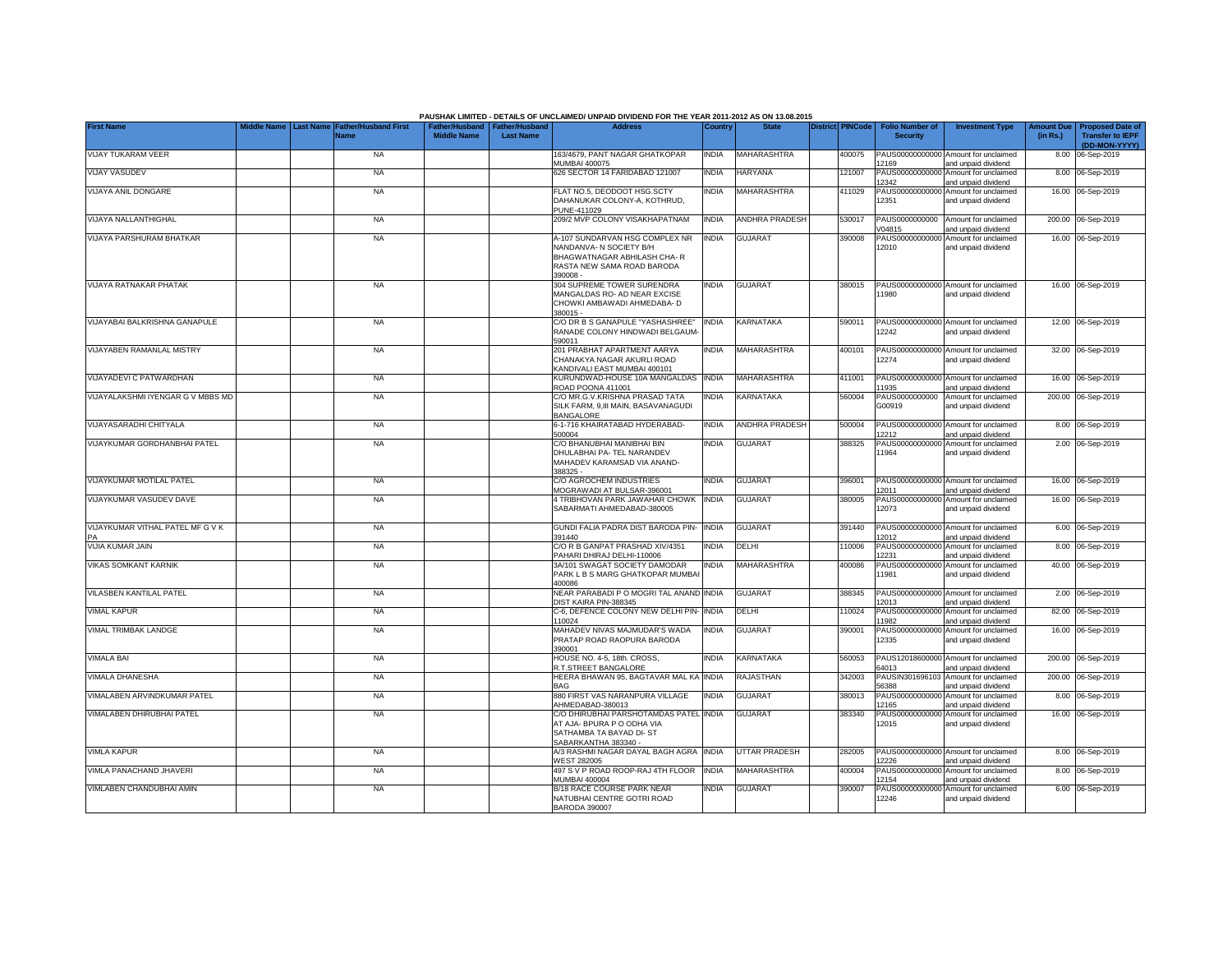| <b>First Name</b>                 | Middle Name | <b>Last Name Father/Husband First</b><br><b>Name</b> | <b>Middle Name</b> | ather/Husband Father/Husband<br><b>Last Name</b> | PAUSHAK LIMITED - DETAILS OF UNCLAIMED/ UNPAID DIVIDEND FOR THE YEAR 2011-2012 AS ON 13.08.2015<br><b>Address</b>                 | Country      | <b>State</b>          | <b>District PINCode</b> | <b>Folio Number of</b><br><b>Security</b> | <b>Investment Type</b>                                      | (in Rs.) | Amount Due   Proposed Date of<br><b>Transfer to IEPF</b><br>(DD-MON-YYYY) |
|-----------------------------------|-------------|------------------------------------------------------|--------------------|--------------------------------------------------|-----------------------------------------------------------------------------------------------------------------------------------|--------------|-----------------------|-------------------------|-------------------------------------------|-------------------------------------------------------------|----------|---------------------------------------------------------------------------|
| VIJAY TUKARAM VEER                |             | <b>NA</b>                                            |                    |                                                  | 163/4679, PANT NAGAR GHATKOPAR<br><b>MUMBAI 400075</b>                                                                            | <b>INDIA</b> | MAHARASHTRA           | 400075                  | 12169                                     | PAUS00000000000 Amount for unclaimed<br>and unpaid dividend |          | 8.00 06-Sep-2019                                                          |
| <b>VIJAY VASUDEV</b>              |             | <b>NA</b>                                            |                    |                                                  | 626 SECTOR 14 FARIDABAD 121007                                                                                                    | <b>INDIA</b> | HARYANA               | 121007                  | 12342                                     | PAUS00000000000 Amount for unclaimed<br>and unpaid dividend |          | 8.00 06-Sep-2019                                                          |
| VIJAYA ANIL DONGARE               |             | <b>NA</b>                                            |                    |                                                  | FLAT NO.5, DEODOOT HSG.SCTY<br>DAHANUKAR COLONY-A, KOTHRUD,<br>PUNE-411029                                                        | <b>INDIA</b> | MAHARASHTRA           | 411029                  | 12351                                     | PAUS00000000000 Amount for unclaimed<br>and unpaid dividend |          | 16.00 06-Sep-2019                                                         |
| VIJAYA NALLANTHIGHAL              |             | <b>NA</b>                                            |                    |                                                  | 209/2 MVP COLONY VISAKHAPATNAM                                                                                                    | <b>INDIA</b> | <b>ANDHRA PRADESH</b> | 530017                  | V04815                                    | PAUS0000000000 Amount for unclaimed<br>and unpaid dividend  |          | 200.00 06-Sep-2019                                                        |
| VIJAYA PARSHURAM BHATKAR          |             | <b>NA</b>                                            |                    |                                                  | A-107 SUNDARVAN HSG COMPLEX NR<br>NANDANVA- N SOCIETY B/H<br>BHAGWATNAGAR ABHILASH CHA-R<br>RASTA NEW SAMA ROAD BARODA<br>390008- | <b>INDIA</b> | <b>GUJARAT</b>        | 390008                  | 12010                                     | PAUS00000000000 Amount for unclaimed<br>and unpaid dividend |          | 16.00 06-Sep-2019                                                         |
| <b>VIJAYA RATNAKAR PHATAK</b>     |             | <b>NA</b>                                            |                    |                                                  | 304 SUPREME TOWER SURENDRA<br>MANGALDAS RO- AD NEAR EXCISE<br>CHOWKI AMBAWADI AHMEDABA- D<br>380015 -                             | <b>INDIA</b> | <b>GUJARAT</b>        | 380015                  | 1980                                      | PAUS00000000000 Amount for unclaimed<br>and unpaid dividend |          | 16.00 06-Sep-2019                                                         |
| VIJAYABAI BALKRISHNA GANAPULE     |             | <b>NA</b>                                            |                    |                                                  | C/O DR B S GANAPULE "YASHASHREE"<br>RANADE COLONY HINDWADI BELGAUM-<br>590011                                                     | <b>INDIA</b> | KARNATAKA             | 590011                  | 12242                                     | PAUS00000000000 Amount for unclaimed<br>and unpaid dividend |          | 12.00 06-Sep-2019                                                         |
| VIJAYABEN RAMANLAL MISTRY         |             | <b>NA</b>                                            |                    |                                                  | 201 PRABHAT APARTMENT AARYA<br>CHANAKYA NAGAR AKURLI ROAD<br>KANDIVALI EAST MUMBAI 400101                                         | <b>INDIA</b> | <b>MAHARASHTRA</b>    | 400101                  | 12274                                     | PAUS00000000000 Amount for unclaimed<br>and unpaid dividend |          | 32.00 06-Sep-2019                                                         |
| /IJAYADEVI C PATWARDHAN           |             | NA                                                   |                    |                                                  | KURUNDWAD-HOUSE 10A MANGALDAS INDIA<br>ROAD POONA 411001                                                                          |              | MAHARASHTRA           | 411001                  | 11935                                     | PAUS00000000000 Amount for unclaimed<br>and unpaid dividend |          | 16.00 06-Sep-2019                                                         |
| VIJAYALAKSHMI IYENGAR G V MBBS MD |             | <b>NA</b>                                            |                    |                                                  | C/O MR.G.V.KRISHNA PRASAD TATA<br>SILK FARM, 9,III MAIN, BASAVANAGUDI<br><b>BANGALORE</b>                                         | <b>INDIA</b> | <b>KARNATAKA</b>      | 560004                  | PAUS0000000000<br>G00919                  | Amount for unclaimed<br>and unpaid dividend                 |          | 200.00 06-Sep-2019                                                        |
| <b>/IJAYASARADHI CHITYALA</b>     |             | <b>NA</b>                                            |                    |                                                  | 6-1-716 KHAIRATABAD HYDERABAD-<br>500004                                                                                          | <b>INDIA</b> | ANDHRA PRADESH        | 500004                  | 2212                                      | PAUS00000000000 Amount for unclaimed<br>and unpaid dividend |          | 8.00 06-Sep-2019                                                          |
| VIJAYKUMAR GORDHANBHAI PATEL      |             | <b>NA</b>                                            |                    |                                                  | C/O BHANUBHAI MANIBHAI BIN<br>DHULABHAI PA- TEL NARANDEV<br>MAHADEV KARAMSAD VIA ANAND-<br>388325 -                               | <b>INDIA</b> | <b>GUJARAT</b>        | 388325                  | 11964                                     | PAUS00000000000 Amount for unclaimed<br>and unpaid dividend |          | 2.00 06-Sep-2019                                                          |
| VIJAYKUMAR MOTILAL PATEL          |             | NA                                                   |                    |                                                  | C/O AGROCHEM INDUSTRIES<br>MOGRAWADI AT BULSAR-396001                                                                             | <b>INDIA</b> | <b>GUJARAT</b>        | 396001                  | 2011                                      | PAUS00000000000 Amount for unclaimed<br>and unpaid dividend |          | 16.00 06-Sep-2019                                                         |
| VIJAYKUMAR VASUDEV DAVE           |             | NA                                                   |                    |                                                  | <b>1 TRIBHOVAN PARK JAWAHAR CHOWK INDIA</b><br>SABARMATI AHMEDABAD-380005                                                         |              | <b>GUJARAT</b>        | 380005                  | 12073                                     | PAUS00000000000 Amount for unclaimed<br>and unpaid dividend |          | 16.00 06-Sep-2019                                                         |
| VIJAYKUMAR VITHAL PATEL MF G V K  |             | <b>NA</b>                                            |                    |                                                  | GUNDI FALIA PADRA DIST BARODA PIN-<br>391440                                                                                      | <b>INDIA</b> | <b>GUJARAT</b>        | 391440                  | 2012                                      | PAUS00000000000 Amount for unclaimed<br>and unpaid dividend |          | 6.00 06-Sep-2019                                                          |
| VIJIA KUMAR JAIN                  |             | <b>NA</b>                                            |                    |                                                  | C/O R B GANPAT PRASHAD XIV/4351<br>PAHARI DHIRAJ DELHI-110006                                                                     | <b>INDIA</b> | DELHI                 | 110006                  | PAUS00000000000<br>2231                   | Amount for unclaimed<br>and unpaid dividend                 |          | 8.00 06-Sep-2019                                                          |
| <b>VIKAS SOMKANT KARNIK</b>       |             | <b>NA</b>                                            |                    |                                                  | 3A/101 SWAGAT SOCIETY DAMODAR<br>PARK L B S MARG GHATKOPAR MUMBAI<br>400086                                                       | <b>INDIA</b> | MAHARASHTRA           | 400086                  | PAUS00000000000<br>11981                  | Amount for unclaimed<br>and unpaid dividend                 |          | 40.00 06-Sep-2019                                                         |
| VILASBEN KANTILAL PATEL           |             | <b>NA</b>                                            |                    |                                                  | NEAR PARABADI P O MOGRI TAL ANAND INDIA<br>DIST KAIRA PIN-388345                                                                  |              | <b>GUJARAT</b>        | 388345                  | 12013                                     | PAUS00000000000 Amount for unclaimed<br>and unpaid dividend |          | 2.00 06-Sep-2019                                                          |
| <b>VIMAL KAPUR</b>                |             | <b>NA</b>                                            |                    |                                                  | C-6, DEFENCE COLONY NEW DELHI PIN-<br>110024                                                                                      | <b>INDIA</b> | DELHI                 | 10024                   | PAUS00000000000<br>1982                   | Amount for unclaimed<br>and unpaid dividend                 |          | 82.00 06-Sep-2019                                                         |
| VIMAL TRIMBAK LANDGE              |             | <b>NA</b>                                            |                    |                                                  | MAHADEV NIVAS MAJMUDAR'S WADA<br>PRATAP ROAD RAOPURA BARODA<br>390001                                                             | INDIA        | GUJARAT               | 390001                  | PAUS00000000000<br>12335                  | Amount for unclaimed<br>and unpaid dividend                 |          | 16.00 06-Sep-2019                                                         |
| <b>VIMALA BAI</b>                 |             | <b>NA</b>                                            |                    |                                                  | HOUSE NO. 4-5, 18th. CROSS,<br>R.T.STREET BANGALORE                                                                               | <b>INDIA</b> | KARNATAKA             | 560053                  | 64013                                     | PAUS12018600000 Amount for unclaimed<br>and unpaid dividend |          | 200.00 06-Sep-2019                                                        |
| VIMALA DHANESHA                   |             | <b>NA</b>                                            |                    |                                                  | HEERA BHAWAN 95, BAGTAVAR MAL KA<br><b>BAG</b>                                                                                    | <b>INDIA</b> | RAJASTHAN             | 342003                  | PAUSIN301696103<br>56388                  | Amount for unclaimed<br>and unpaid dividend                 |          | 200.00 06-Sep-2019                                                        |
| VIMALABEN ARVINDKUMAR PATEL       |             | <b>NA</b>                                            |                    |                                                  | 880 FIRST VAS NARANPURA VILLAGE<br>AHMEDABAD-380013                                                                               | <b>INDIA</b> | <b>GUJARAT</b>        | 380013                  | PAUS0000000000<br>2165                    | Amount for unclaimed<br>and unpaid dividend                 |          | 8.00 06-Sep-2019                                                          |
| VIMALABEN DHIRUBHAI PATEL         |             | <b>NA</b>                                            |                    |                                                  | C/O DHIRUBHAI PARSHOTAMDAS PATEL INDIA<br>AT AJA- BPURA P O ODHA VIA<br>SATHAMBA TA BAYAD DI- ST<br>SABARKANTHA 383340 -          |              | <b>GUJARA1</b>        | 383340                  | PAUS0000000000<br>12015                   | Amount for unclaimed<br>and unpaid dividend                 |          | 16.00 06-Sep-2019                                                         |
| <b>VIMLA KAPUR</b>                |             | <b>NA</b>                                            |                    |                                                  | A/3 RASHMI NAGAR DAYAL BAGH AGRA INDIA<br>WEST 282005                                                                             |              | <b>UTTAR PRADESH</b>  | 282005                  | 12226                                     | PAUS00000000000 Amount for unclaimed<br>and unpaid dividend |          | 8.00 06-Sep-2019                                                          |
| VIMLA PANACHAND JHAVERI           |             | NA                                                   |                    |                                                  | 497 S V P ROAD ROOP-RAJ 4TH FLOOR<br>MUMBAI 400004                                                                                | <b>INDIA</b> | MAHARASHTRA           | 400004                  | PAUS00000000000<br>12154                  | Amount for unclaimed<br>and unpaid dividend                 |          | 8.00 06-Sep-2019                                                          |
| VIMLABEN CHANDUBHAI AMIN          |             | NA                                                   |                    |                                                  | B/18 RACE COURSE PARK NEAR<br>NATUBHAI CENTRE GOTRI ROAD<br><b>BARODA 390007</b>                                                  | <b>INDIA</b> | <b>GUJARAT</b>        | 390007                  | PAUS00000000000<br>12246                  | Amount for unclaimed<br>and unpaid dividend                 |          | 6.00 06-Sep-2019                                                          |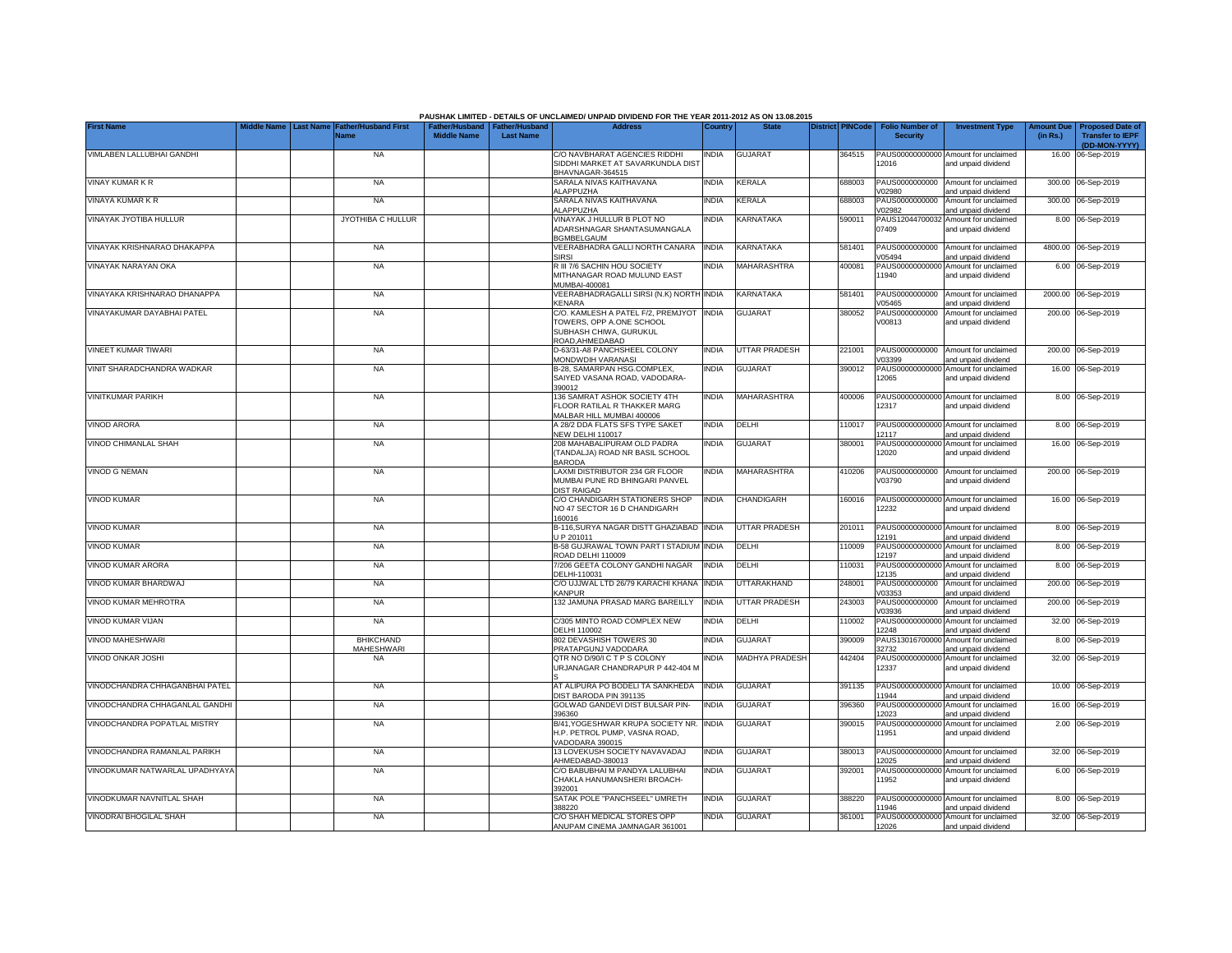|                                |                  |                                |                                                       |                  | PAUSHAK LIMITED - DETAILS OF UNCLAIMED/ UNPAID DIVIDEND FOR THE YEAR 2011-2012 AS ON 13.08.2015             |              |                      |                         |                                           |                                                             |                               |                                                    |
|--------------------------------|------------------|--------------------------------|-------------------------------------------------------|------------------|-------------------------------------------------------------------------------------------------------------|--------------|----------------------|-------------------------|-------------------------------------------|-------------------------------------------------------------|-------------------------------|----------------------------------------------------|
| <b>First Name</b>              | <b>Last Name</b> | ather/Husband First<br>Name    | Father/Husband   Father/Husband<br><b>Middle Name</b> | <b>Last Name</b> | <b>Address</b>                                                                                              | Country      | <b>State</b>         | <b>District PINCode</b> | <b>Folio Number of</b><br><b>Security</b> | <b>Investment Type</b>                                      | <b>Amount Due</b><br>(in Rs.) | <b>Proposed Date of</b><br><b>Transfer to IEPF</b> |
| VIMLABEN LALLUBHAI GANDHI      |                  | <b>NA</b>                      |                                                       |                  | C/O NAVBHARAT AGENCIES RIDDHI                                                                               | INDIA        | <b>GUJARAT</b>       | 364515                  |                                           | PAUS00000000000 Amount for unclaimed                        |                               | (DD-MON-YYYY)<br>16.00 06-Sep-2019                 |
|                                |                  |                                |                                                       |                  | SIDDHI MARKET AT SAVARKUNDLA DIST<br>BHAVNAGAR-364515                                                       |              |                      |                         | 12016                                     | and unpaid dividend                                         |                               |                                                    |
| <b>VINAY KUMAR K R</b>         |                  | <b>NA</b>                      |                                                       |                  | SARALA NIVAS KAITHAVANA<br><b>LAPPUZHA</b>                                                                  | INDIA        | KERALA               | 688003                  | PAUS0000000000<br>/02980                  | Amount for unclaimed<br>and unpaid dividend                 |                               | 300.00 06-Sep-2019                                 |
| VINAYA KUMAR K R               |                  | <b>NA</b>                      |                                                       |                  | SARALA NIVAS KAITHAVANA<br><b>LAPPUZHA</b>                                                                  | <b>INDIA</b> | KERALA               | 688003                  | PAUS0000000000<br>/02982                  | Amount for unclaimed<br>and unpaid dividend                 |                               | 300.00 06-Sep-2019                                 |
| VINAYAK JYOTIBA HULLUR         |                  | JYOTHIBA C HULLUR              |                                                       |                  | VINAYAK J HULLUR B PLOT NO<br>ADARSHNAGAR SHANTASUMANGALA<br><b>BGMBELGAUM</b>                              | NDIA         | KARNATAKA            | 590011                  | PAUS12044700032<br>07409                  | Amount for unclaimed<br>and unpaid dividend                 |                               | 8.00 06-Sep-2019                                   |
| VINAYAK KRISHNARAO DHAKAPPA    |                  | NA                             |                                                       |                  | VEERABHADRA GALLI NORTH CANARA<br>SIRSI                                                                     | <b>INDIA</b> | KARNATAKA            | 581401                  | PAUS0000000000<br>V05494                  | Amount for unclaimed<br>and unpaid dividend                 |                               | 4800.00 06-Sep-2019                                |
| VINAYAK NARAYAN OKA            |                  | <b>NA</b>                      |                                                       |                  | R III 7/6 SACHIN HOU SOCIETY<br>MITHANAGAR ROAD MULUND EAST<br>MUMBAI-400081                                | india        | <b>MAHARASHTRA</b>   | 400081                  | PAUS0000000000<br>11940                   | Amount for unclaimed<br>and unpaid dividend                 |                               | 6.00 06-Sep-2019                                   |
| VINAYAKA KRISHNARAO DHANAPPA   |                  | <b>NA</b>                      |                                                       |                  | VEERABHADRAGALLI SIRSI (N.K) NORTH<br><b>KENARA</b>                                                         | <b>INDIA</b> | KARNATAKA            | 581401                  | PAUS0000000000<br>V05465                  | Amount for unclaimed<br>and unpaid dividend                 |                               | 2000.00 06-Sep-2019                                |
| VINAYAKUMAR DAYABHAI PATEL     |                  | <b>NA</b>                      |                                                       |                  | C/O. KAMLESH A PATEL F/2, PREMJYOT<br>TOWERS, OPP A.ONE SCHOOL<br>SUBHASH CHIWA, GURUKUL<br>ROAD, AHMEDABAD | <b>INDIA</b> | <b>GUJARAT</b>       | 380052                  | PAUS0000000000<br>V00813                  | Amount for unclaimed<br>and unpaid dividend                 |                               | 200.00 06-Sep-2019                                 |
| VINEET KUMAR TIWARI            |                  | <b>NA</b>                      |                                                       |                  | D-63/31-A8 PANCHSHEEL COLONY<br>MONDWDIH VARANASI                                                           | <b>INDIA</b> | <b>UTTAR PRADESH</b> | 221001                  | PAUS0000000000<br>V03399                  | Amount for unclaimed<br>and unpaid dividend                 |                               | 200.00 06-Sep-2019                                 |
| VINIT SHARADCHANDRA WADKAR     |                  | <b>NA</b>                      |                                                       |                  | B-28, SAMARPAN HSG.COMPLEX,<br>SAIYED VASANA ROAD, VADODARA-<br>390012                                      | INDIA        | <b>GUJARAT</b>       | 390012                  | PAUS00000000000<br>12065                  | Amount for unclaimed<br>and unpaid dividend                 |                               | 16.00 06-Sep-2019                                  |
| <b>VINITKUMAR PARIKH</b>       |                  | <b>NA</b>                      |                                                       |                  | 136 SAMRAT ASHOK SOCIETY 4TH<br>FLOOR RATILAL R THAKKER MARG<br>MALBAR HILL MUMBAI 400006                   | india        | <b>MAHARASHTRA</b>   | 400006                  | 12317                                     | PAUS00000000000 Amount for unclaimed<br>and unpaid dividend |                               | 8.00 06-Sep-2019                                   |
| <b>VINOD ARORA</b>             |                  | <b>NA</b>                      |                                                       |                  | A 28/2 DDA FLATS SFS TYPE SAKET<br>NEW DELHI 110017                                                         | <b>INDIA</b> | DELHI                | 110017                  | 12117                                     | PAUS00000000000 Amount for unclaimed<br>and unpaid dividend |                               | 8.00 06-Sep-2019                                   |
| VINOD CHIMANLAL SHAH           |                  | <b>NA</b>                      |                                                       |                  | 208 MAHABALIPURAM OLD PADRA<br>(TANDALJA) ROAD NR BASIL SCHOOL<br><b>BARODA</b>                             | NDIA         | <b>GUJARAT</b>       | 380001                  | 12020                                     | PAUS00000000000 Amount for unclaimed<br>and unpaid dividend |                               | 16.00 06-Sep-2019                                  |
| <b>VINOD G NEMAN</b>           |                  | <b>NA</b>                      |                                                       |                  | LAXMI DISTRIBUTOR 234 GR FLOOR<br>MUMBAI PUNE RD BHINGARI PANVEL<br><b>DIST RAIGAD</b>                      | <b>INDIA</b> | MAHARASHTRA          | 410206                  | V03790                                    | PAUS0000000000 Amount for unclaimed<br>and unpaid dividend  |                               | 200.00 06-Sep-2019                                 |
| <b>VINOD KUMAR</b>             |                  | <b>NA</b>                      |                                                       |                  | C/O CHANDIGARH STATIONERS SHOP<br>NO 47 SECTOR 16 D CHANDIGARH<br>160016                                    | <b>INDIA</b> | <b>CHANDIGARH</b>    | 160016                  | 12232                                     | PAUS00000000000 Amount for unclaimed<br>and unpaid dividend |                               | 16.00 06-Sep-2019                                  |
| <b>VINOD KUMAR</b>             |                  | <b>NA</b>                      |                                                       |                  | B-116, SURYA NAGAR DISTT GHAZIABAD INDIA<br>J P 201011                                                      |              | <b>UTTAR PRADESH</b> | 201011                  | 12191                                     | PAUS00000000000 Amount for unclaimed<br>and unpaid dividend |                               | 8.00 06-Sep-2019                                   |
| <b>VINOD KUMAR</b>             |                  | <b>NA</b>                      |                                                       |                  | B-58 GUJRAWAL TOWN PART I STADIUM<br>ROAD DELHI 110009                                                      | <b>INDIA</b> | DELHI                | 110009                  | PAUS00000000000<br>12197                  | Amount for unclaimed<br>and unpaid dividend                 |                               | 8.00 06-Sep-2019                                   |
| VINOD KUMAR ARORA              |                  | NA                             |                                                       |                  | 7/206 GEETA COLONY GANDHI NAGAR<br>DELHI-110031                                                             | <b>INDIA</b> | DELHI                | 110031                  | PAUS0000000000<br>12135                   | Amount for unclaimed<br>and unpaid dividend                 |                               | 8.00 06-Sep-2019                                   |
| VINOD KUMAR BHARDWAJ           |                  | <b>NA</b>                      |                                                       |                  | C/O UJJWAL LTD 26/79 KARACHI KHANA<br><b>KANPUR</b>                                                         | <b>INDIA</b> | <b>JTTARAKHAND</b>   | 248001                  | PAUS0000000000<br>/03353                  | Amount for unclaimed<br>and unpaid dividend                 |                               | 200.00 06-Sep-2019                                 |
| VINOD KUMAR MEHROTRA           |                  | <b>NA</b>                      |                                                       |                  | 132 JAMUNA PRASAD MARG BAREILLY                                                                             | <b>INDIA</b> | <b>UTTAR PRADESH</b> | 243003                  | PAUS0000000000<br>/03936                  | Amount for unclaimed<br>and unpaid dividend                 |                               | 200.00 06-Sep-2019                                 |
| VINOD KUMAR VIJAN              |                  | <b>NA</b>                      |                                                       |                  | C/305 MINTO ROAD COMPLEX NEW<br>DELHI 110002                                                                | India        | DELHI                | 110002                  | PAUS0000000000<br>2248                    | Amount for unclaimed<br>and unpaid dividend                 |                               | 32.00 06-Sep-2019                                  |
| VINOD MAHESHWARI               |                  | <b>BHIKCHAND</b><br>MAHESHWARI |                                                       |                  | 802 DEVASHISH TOWERS 30<br>PRATAPGUNJ VADODARA                                                              | INDIA        | <b>GUJARAT</b>       | 390009                  | PAUS13016700000<br>32732                  | Amount for unclaimed<br>and unpaid dividend                 |                               | 8.00 06-Sep-2019                                   |
| VINOD ONKAR JOSHI              |                  | <b>NA</b>                      |                                                       |                  | QTR NO D/90/I C T P S COLONY<br>URJANAGAR CHANDRAPUR P 442-404 M                                            | <b>INDIA</b> | MADHYA PRADESH       | 442404                  | 12337                                     | PAUS00000000000 Amount for unclaimed<br>and unpaid dividend |                               | 32.00 06-Sep-2019                                  |
| VINODCHANDRA CHHAGANBHAI PATEL |                  | <b>NA</b>                      |                                                       |                  | AT ALIPURA PO BODELI TA SANKHEDA<br>DIST BARODA PIN 391135                                                  | <b>INDIA</b> | <b>GUJARAT</b>       | 391135                  | PAUS0000000000<br>11944                   | Amount for unclaimed<br>and unpaid dividend                 |                               | 10.00 06-Sep-2019                                  |
| VINODCHANDRA CHHAGANLAL GANDHI |                  | <b>NA</b>                      |                                                       |                  | GOLWAD GANDEVI DIST BULSAR PIN-<br>396360                                                                   | india        | <b>GUJARAT</b>       | 396360                  | PAUS0000000000<br>12023                   | Amount for unclaimed<br>and unpaid dividend                 | 16.00                         | 06-Sep-2019                                        |
| VINODCHANDRA POPATLAL MISTRY   |                  | <b>NA</b>                      |                                                       |                  | B/41, YOGESHWAR KRUPA SOCIETY NR.<br>H.P. PETROL PUMP, VASNA ROAD,<br>VADODARA 390015                       | <b>INDIA</b> | <b>GUJARAT</b>       | 390015                  | PAUS0000000000<br>11951                   | Amount for unclaimed<br>and unpaid dividend                 |                               | 2.00 06-Sep-2019                                   |
| VINODCHANDRA RAMANLAL PARIKH   |                  | <b>NA</b>                      |                                                       |                  | 13 LOVEKUSH SOCIETY NAVAVADAJ<br>AHMEDABAD-380013                                                           | <b>INDIA</b> | <b>GUJARAT</b>       | 380013                  | 12025                                     | PAUS00000000000 Amount for unclaimed<br>and unpaid dividend |                               | 32.00 06-Sep-2019                                  |
| VINODKUMAR NATWARLAL UPADHYAYA |                  | <b>NA</b>                      |                                                       |                  | C/O BABUBHAI M PANDYA LALUBHAI<br>CHAKLA HANUMANSHERI BROACH-<br>392001                                     | INDIA        | <b>GUJARAT</b>       | 392001                  | PAUS00000000000<br>11952                  | Amount for unclaimed<br>and unpaid dividend                 |                               | 6.00 06-Sep-2019                                   |
| VINODKUMAR NAVNITLAL SHAH      |                  | <b>NA</b>                      |                                                       |                  | SATAK POLE "PANCHSEEL" UMRETH<br>388220                                                                     | India        | <b>GUJARAT</b>       | 388220                  | 1946                                      | PAUS00000000000 Amount for unclaimed<br>and unpaid dividend |                               | 8.00 06-Sep-2019                                   |
| VINODRAI BHOGILAL SHAH         |                  | <b>NA</b>                      |                                                       |                  | C/O SHAH MEDICAL STORES OPP<br>ANUPAM CINEMA JAMNAGAR 361001                                                | INDIA        | <b>GUJARAT</b>       | 361001                  | 12026                                     | PAUS00000000000 Amount for unclaimed<br>and unpaid dividend |                               | 32.00 06-Sep-2019                                  |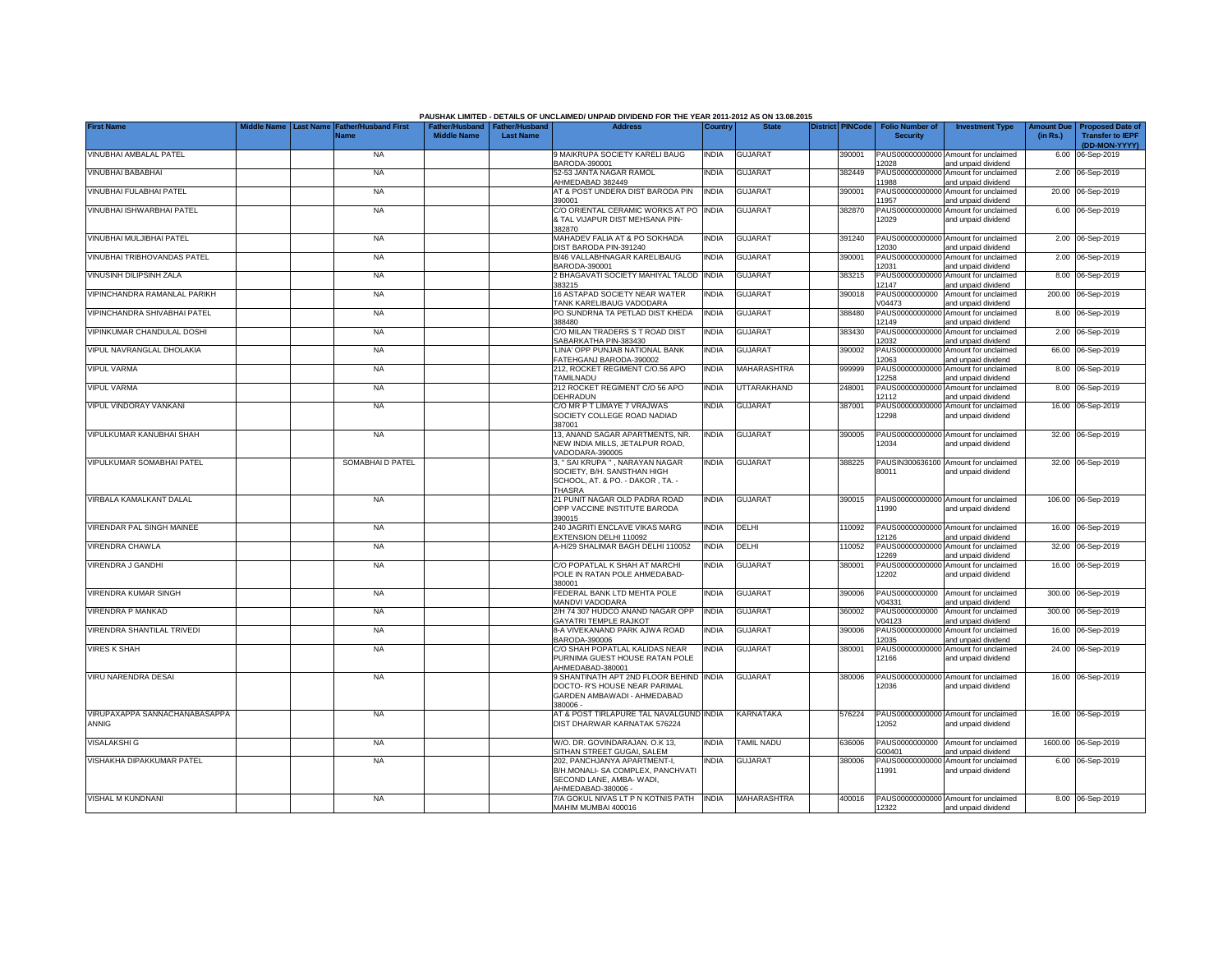|                                        |                                 |                                            |                    |                                                     | PAUSHAK LIMITED - DETAILS OF UNCLAIMED/ UNPAID DIVIDEND FOR THE YEAR 2011-2012 AS ON 13.08.2015                      |              |                   |                         |                                           |                                                             |                               |                                                                     |
|----------------------------------------|---------------------------------|--------------------------------------------|--------------------|-----------------------------------------------------|----------------------------------------------------------------------------------------------------------------------|--------------|-------------------|-------------------------|-------------------------------------------|-------------------------------------------------------------|-------------------------------|---------------------------------------------------------------------|
| <b>First Name</b>                      | Middle Name<br><b>Last Name</b> | <b>Father/Husband First</b><br><b>Name</b> | <b>Middle Name</b> | Father/Husband   Father/Husband<br><b>Last Name</b> | <b>Address</b>                                                                                                       | Country      | <b>State</b>      | <b>District PINCode</b> | <b>Folio Number of</b><br><b>Security</b> | <b>Investment Type</b>                                      | <b>Amount Due</b><br>(in Rs.) | <b>Proposed Date of</b><br><b>Transfer to IEPF</b><br>(DD-MON-YYYY) |
| VINUBHAI AMBALAL PATEL                 |                                 | <b>NA</b>                                  |                    |                                                     | <b>MAIKRUPA SOCIETY KARELI BAUG</b><br>3ARODA-390001                                                                 | <b>INDIA</b> | <b>GUJARAT</b>    | 390001                  | 12028                                     | PAUS00000000000 Amount for unclaimed<br>and unpaid dividend |                               | 6.00 06-Sep-2019                                                    |
| VINUBHAI BABABHAI                      |                                 | <b>NA</b>                                  |                    |                                                     | 52-53 JANTA NAGAR RAMOL<br>AHMEDABAD 382449                                                                          | INDIA        | <b>GUJARAT</b>    | 382449                  | 11988                                     | PAUS00000000000 Amount for unclaimed<br>and unpaid dividend |                               | 2.00 06-Sep-2019                                                    |
| VINUBHAI FULABHAI PATEL                |                                 | <b>NA</b>                                  |                    |                                                     | AT & POST UNDERA DIST BARODA PIN<br>390001                                                                           | <b>INDIA</b> | <b>GUJARAT</b>    | 390001                  | 11957                                     | PAUS00000000000 Amount for unclaimed<br>and unpaid dividend |                               | 20.00 06-Sep-2019                                                   |
| VINUBHAI ISHWARBHAI PATEL              |                                 | <b>NA</b>                                  |                    |                                                     | C/O ORIENTAL CERAMIC WORKS AT PO<br>& TAL VIJAPUR DIST MEHSANA PIN-<br>382870                                        | <b>INDIA</b> | <b>GUJARAT</b>    | 382870                  | 12029                                     | PAUS00000000000 Amount for unclaimed<br>and unpaid dividend |                               | 6.00 06-Sep-2019                                                    |
| VINUBHAI MULJIBHAI PATEL               |                                 | <b>NA</b>                                  |                    |                                                     | MAHADEV FALIA AT & PO SOKHADA<br>DIST BARODA PIN-391240                                                              | <b>INDIA</b> | <b>GUJARAT</b>    | 391240                  | 12030                                     | PAUS00000000000 Amount for unclaimed<br>and unpaid dividend |                               | 2.00 06-Sep-2019                                                    |
| VINUBHAI TRIBHOVANDAS PATEL            |                                 | <b>NA</b>                                  |                    |                                                     | B/46 VALLABHNAGAR KARELIBAUG<br>3ARODA-390001                                                                        | <b>INDIA</b> | <b>GUJARAT</b>    | 390001                  | 12031                                     | PAUS00000000000 Amount for unclaimed<br>and unpaid dividend |                               | 2.00 06-Sep-2019                                                    |
| VINUSINH DILIPSINH ZALA                |                                 | <b>NA</b>                                  |                    |                                                     | 2 BHAGAVATI SOCIETY MAHIYAL TALOD<br>383215                                                                          | <b>INDIA</b> | <b>GUJARAT</b>    | 383215                  | 12147                                     | PAUS00000000000 Amount for unclaimed<br>and unpaid dividend |                               | 8.00 06-Sep-2019                                                    |
| VIPINCHANDRA RAMANLAL PARIKH           |                                 | <b>NA</b>                                  |                    |                                                     | 16 ASTAPAD SOCIETY NEAR WATER<br>TANK KARELIBAUG VADODARA                                                            | <b>INDIA</b> | <b>GUJARAT</b>    | 390018                  | PAUS0000000000<br>V04473                  | Amount for unclaimed<br>and unpaid dividend                 |                               | 200.00 06-Sep-2019                                                  |
| VIPINCHANDRA SHIVABHAI PATEL           |                                 | <b>NA</b>                                  |                    |                                                     | PO SUNDRNA TA PETLAD DIST KHEDA<br>388480                                                                            | <b>INDIA</b> | <b>GUJARAT</b>    | 388480                  | 12149                                     | PAUS00000000000 Amount for unclaimed<br>and unpaid dividend |                               | 8.00 06-Sep-2019                                                    |
| VIPINKUMAR CHANDULAL DOSHI             |                                 | <b>NA</b>                                  |                    |                                                     | C/O MILAN TRADERS S T ROAD DIST<br>SABARKATHA PIN-383430                                                             | INDIA        | <b>GUJARAT</b>    | 383430                  | 12032                                     | PAUS00000000000 Amount for unclaimed<br>and unpaid dividend |                               | 2.00 06-Sep-2019                                                    |
| VIPUL NAVRANGLAL DHOLAKIA              |                                 | <b>NA</b>                                  |                    |                                                     | LINA' OPP PUNJAB NATIONAL BANK<br>FATEHGANJ BARODA-390002                                                            | INDIA        | <b>GUJARAT</b>    | 390002                  | 12063                                     | PAUS00000000000 Amount for unclaimed<br>and unpaid dividend |                               | 66.00 06-Sep-2019                                                   |
| <b>VIPUL VARMA</b>                     |                                 | <b>NA</b>                                  |                    |                                                     | 212, ROCKET REGIMENT C/O.56 APO<br><b>TAMILNADU</b>                                                                  | <b>INDIA</b> | MAHARASHTRA       | 999999                  | 12258                                     | PAUS00000000000 Amount for unclaimed<br>and unpaid dividend |                               | 8.00 06-Sep-2019                                                    |
| <b>VIPUL VARMA</b>                     |                                 | <b>NA</b>                                  |                    |                                                     | 212 ROCKET REGIMENT C/O 56 APO<br>DEHRADUN                                                                           | <b>INDIA</b> | UTTARAKHAND       | 248001                  | 12112                                     | PAUS00000000000 Amount for unclaimed<br>and unpaid dividend |                               | 8.00 06-Sep-2019                                                    |
| VIPUL VINDORAY VANKANI                 |                                 | <b>NA</b>                                  |                    |                                                     | C/O MR P T LIMAYE 7 VRAJWAS<br>SOCIETY COLLEGE ROAD NADIAD<br>387001                                                 | INDIA        | <b>GUJARAT</b>    | 387001                  | 12298                                     | PAUS00000000000 Amount for unclaimed<br>and unpaid dividend |                               | 16.00 06-Sep-2019                                                   |
| VIPULKUMAR KANUBHAI SHAH               |                                 | <b>NA</b>                                  |                    |                                                     | 13, ANAND SAGAR APARTMENTS, NR.<br>NEW INDIA MILLS, JETALPUR ROAD,<br>VADODARA-390005                                | <b>INDIA</b> | <b>GUJARAT</b>    | 390005                  | 12034                                     | PAUS00000000000 Amount for unclaimed<br>and unpaid dividend |                               | 32.00 06-Sep-2019                                                   |
| VIPULKUMAR SOMABHAI PATEL              |                                 | SOMABHAID PATEL                            |                    |                                                     | 3, " SAI KRUPA " , NARAYAN NAGAR<br>SOCIETY, B/H. SANSTHAN HIGH<br>SCHOOL, AT. & PO. - DAKOR, TA. -<br><b>THASRA</b> | <b>INDIA</b> | <b>GUJARAT</b>    | 388225                  | 80011                                     | PAUSIN300636100 Amount for unclaimed<br>and unpaid dividend |                               | 32.00 06-Sep-2019                                                   |
| VIRBALA KAMALKANT DALAL                |                                 | <b>NA</b>                                  |                    |                                                     | 21 PUNIT NAGAR OLD PADRA ROAD<br>OPP VACCINE INSTITUTE BARODA<br>390015                                              | INDIA        | <b>GUJARAT</b>    | 390015                  | 11990                                     | PAUS00000000000 Amount for unclaimed<br>and unpaid dividend |                               | 106.00 06-Sep-2019                                                  |
| VIRENDAR PAL SINGH MAINEE              |                                 | <b>NA</b>                                  |                    |                                                     | 240 JAGRITI ENCLAVE VIKAS MARG<br>EXTENSION DELHI 110092                                                             | india        | DELHI             | 10092                   | 12126                                     | PAUS00000000000 Amount for unclaimed<br>and unpaid dividend |                               | 16.00 06-Sep-2019                                                   |
| VIRENDRA CHAWLA                        |                                 | <b>NA</b>                                  |                    |                                                     | A-H/29 SHALIMAR BAGH DELHI 110052                                                                                    | India        | DELHI             | 110052                  | 12269                                     | PAUS00000000000 Amount for unclaimed<br>and unpaid dividend |                               | 32.00 06-Sep-2019                                                   |
| VIRENDRA J GANDHI                      |                                 | <b>NA</b>                                  |                    |                                                     | C/O POPATLAL K SHAH AT MARCHI<br>POLE IN RATAN POLE AHMEDABAD-<br>380001                                             | INDIA        | <b>GUJARAT</b>    | 380001                  | 12202                                     | PAUS00000000000 Amount for unclaimed<br>and unpaid dividend |                               | 16.00 06-Sep-2019                                                   |
| VIRENDRA KUMAR SINGH                   |                                 | <b>NA</b>                                  |                    |                                                     | FEDERAL BANK LTD MEHTA POLE<br>MANDVI VADODARA                                                                       | india        | <b>GUJARAT</b>    | 390006                  | V04331                                    | PAUS0000000000 Amount for unclaimed<br>and unpaid dividend  |                               | 300.00 06-Sep-2019                                                  |
| VIRENDRA P MANKAD                      |                                 | NA                                         |                    |                                                     | 2/H 74 307 HUDCO ANAND NAGAR OPP<br>GAYATRI TEMPLE RAJKOT                                                            | <b>INDIA</b> | <b>GUJARAT</b>    | 360002                  | PAUS0000000000<br>V04123                  | Amount for unclaimed<br>and unpaid dividend                 |                               | 300.00 06-Sep-2019                                                  |
| VIRENDRA SHANTILAL TRIVEDI             |                                 | <b>NA</b>                                  |                    |                                                     | 8-A VIVEKANAND PARK AJWA ROAD<br>BARODA-390006                                                                       | India        | <b>GUJARAT</b>    | 390006                  | 2035                                      | PAUS00000000000 Amount for unclaimed<br>and unpaid dividend |                               | 16.00 06-Sep-2019                                                   |
| <b>VIRES K SHAH</b>                    |                                 | <b>NA</b>                                  |                    |                                                     | C/O SHAH POPATLAL KALIDAS NEAR<br>PURNIMA GUEST HOUSE RATAN POLE<br>AHMEDABAD-380001                                 | india        | <b>GUJARAT</b>    | 380001                  | 12166                                     | PAUS00000000000 Amount for unclaimed<br>and unpaid dividend |                               | 24.00 06-Sep-2019                                                   |
| VIRU NARENDRA DESAI                    |                                 | <b>NA</b>                                  |                    |                                                     | 9 SHANTINATH APT 2ND FLOOR BEHIND<br>DOCTO- R'S HOUSE NEAR PARIMAL<br>GARDEN AMBAWADI - AHMEDABAD<br>380006 -        | <b>INDIA</b> | <b>GUJARAT</b>    | 380006                  | 12036                                     | PAUS00000000000 Amount for unclaimed<br>and unpaid dividend |                               | 16.00 06-Sep-2019                                                   |
| VIRUPAXAPPA SANNACHANABASAPPA<br>ANNIG |                                 | <b>NA</b>                                  |                    |                                                     | AT & POST TIRLAPURE TAL NAVALGUND INDIA<br>DIST DHARWAR KARNATAK 576224                                              |              | KARNATAKA         | 576224                  | 12052                                     | PAUS00000000000 Amount for unclaimed<br>and unpaid dividend |                               | 16.00 06-Sep-2019                                                   |
| <b>VISALAKSHI G</b>                    |                                 | <b>NA</b>                                  |                    |                                                     | W/O. DR. GOVINDARAJAN. O.K 13,<br>SITHAN STREET GUGAI, SALEM                                                         | INDIA        | <b>TAMIL NADU</b> | 36006                   | PAUS0000000000<br>300401                  | Amount for unclaimed<br>and unpaid dividend                 |                               | 1600.00 06-Sep-2019                                                 |
| VISHAKHA DIPAKKUMAR PATEL              |                                 | <b>NA</b>                                  |                    |                                                     | 202, PANCHJANYA APARTMENT-I,<br>B/H.MONALI- SA COMPLEX, PANCHVATI<br>SECOND LANE, AMBA- WADI,<br>AHMEDABAD-380006    | INDIA        | <b>GUJARAT</b>    | 380006                  | 11991                                     | PAUS00000000000 Amount for unclaimed<br>and unpaid dividend |                               | 6.00 06-Sep-2019                                                    |
| VISHAL M KUNDNANI                      |                                 | <b>NA</b>                                  |                    |                                                     | 7/A GOKUL NIVAS LT P N KOTNIS PATH INDIA<br>MAHIM MUMBAI 400016                                                      |              | MAHARASHTRA       | 400016                  | 12322                                     | PAUS00000000000 Amount for unclaimed<br>and unpaid dividend |                               | 8.00 06-Sep-2019                                                    |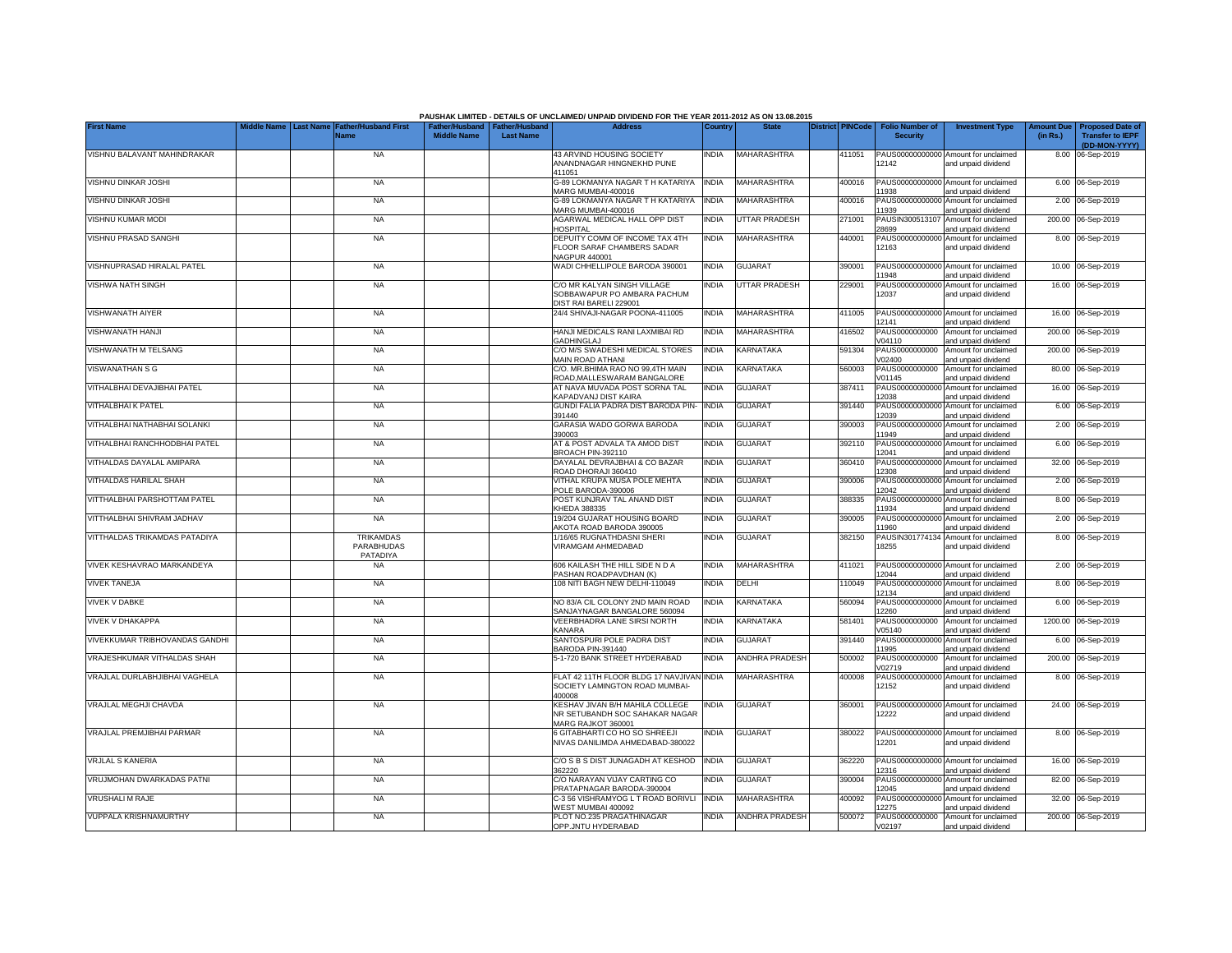|                                   |           |                                            |                                                       |                  | PAUSHAK LIMITED - DETAILS OF UNCLAIMED/ UNPAID DIVIDEND FOR THE YEAR 2011-2012 AS ON 13.08.2015 |              |                       |                         |                                           |                                                             |                               |                                                    |
|-----------------------------------|-----------|--------------------------------------------|-------------------------------------------------------|------------------|-------------------------------------------------------------------------------------------------|--------------|-----------------------|-------------------------|-------------------------------------------|-------------------------------------------------------------|-------------------------------|----------------------------------------------------|
| <b>First Name</b>                 | Last Name | ather/Husband First<br>Name                | Father/Husband   Father/Husband<br><b>Middle Name</b> | <b>Last Name</b> | <b>Address</b>                                                                                  | Country      | <b>State</b>          | <b>District PINCode</b> | <b>Folio Number of</b><br><b>Security</b> | <b>Investment Type</b>                                      | <b>Amount Due</b><br>(in Rs.) | <b>Proposed Date of</b><br><b>Transfer to IEPF</b> |
| VISHNU BALAVANT MAHINDRAKAR       |           | <b>NA</b>                                  |                                                       |                  | 43 ARVIND HOUSING SOCIETY                                                                       | INDIA        | MAHARASHTRA           | 411051                  |                                           | PAUS00000000000 Amount for unclaimed                        |                               | (DD-MON-YYYY)<br>8.00 06-Sep-2019                  |
|                                   |           |                                            |                                                       |                  | ANANDNAGAR HINGNEKHD PUNE<br>411051                                                             |              |                       |                         | 12142                                     | and unpaid dividend                                         |                               |                                                    |
| <b>VISHNU DINKAR JOSHI</b>        |           | <b>NA</b>                                  |                                                       |                  | G-89 LOKMANYA NAGAR T H KATARIYA<br>MARG MUMBAI-400016                                          | <b>INDIA</b> | MAHARASHTRA           | 400016                  | PAUS00000000000<br>11938                  | Amount for unclaimed<br>and unpaid dividend                 |                               | 6.00 06-Sep-2019                                   |
| <b>VISHNU DINKAR JOSHI</b>        |           | <b>NA</b>                                  |                                                       |                  | 3-89 LOKMANYA NAGAR T H KATARIYA<br>MARG MUMBAI-400016                                          | <b>INDIA</b> | MAHARASHTRA           | 400016                  | PAUS0000000000<br>1939                    | Amount for unclaimed<br>and unpaid dividend                 |                               | 2.00 06-Sep-2019                                   |
| VISHNU KUMAR MODI                 |           | <b>NA</b>                                  |                                                       |                  | AGARWAL MEDICAL HALL OPP DIST<br><b>HOSPITAL</b>                                                | India        | <b>UTTAR PRADESH</b>  | 271001                  | PAUSIN30051310<br>28699                   | Amount for unclaimed<br>and unpaid dividend                 |                               | 200.00 06-Sep-2019                                 |
| VISHNU PRASAD SANGHI              |           | <b>NA</b>                                  |                                                       |                  | DEPUITY COMM OF INCOME TAX 4TH<br>FLOOR SARAF CHAMBERS SADAR<br>NAGPUR 440001                   | <b>INDIA</b> | MAHARASHTRA           | 440001                  | 12163                                     | PAUS00000000000 Amount for unclaimed<br>and unpaid dividend |                               | 8.00 06-Sep-2019                                   |
| VISHNUPRASAD HIRALAL PATEL        |           | <b>NA</b>                                  |                                                       |                  | WADI CHHELLIPOLE BARODA 390001                                                                  | <b>INDIA</b> | <b>GUJARAT</b>        | 390001                  | 11948                                     | PAUS00000000000 Amount for unclaimed<br>and unpaid dividend |                               | 10.00 06-Sep-2019                                  |
| VISHWA NATH SINGH                 |           | <b>NA</b>                                  |                                                       |                  | C/O MR KALYAN SINGH VILLAGE<br>SOBBAWAPUR PO AMBARA PACHUM<br>DIST RAI BARELI 229001            | india        | UTTAR PRADESH         | 229001                  | PAUS0000000000<br>12037                   | Amount for unclaimed<br>and unpaid dividend                 |                               | 16.00 06-Sep-2019                                  |
| <b>VISHWANATH AIYER</b>           |           | <b>NA</b>                                  |                                                       |                  | 24/4 SHIVAJI-NAGAR POONA-411005                                                                 | INDIA        | MAHARASHTRA           | 411005                  | PAUS00000000000<br>12141                  | Amount for unclaimed<br>and unpaid dividend                 |                               | 16.00 06-Sep-2019                                  |
| VISHWANATH HANJI                  |           | <b>NA</b>                                  |                                                       |                  | HANJI MEDICALS RANI LAXMIBAI RD<br>GADHINGLAJ                                                   | INDIA        | MAHARASHTRA           | 416502                  | PAUS0000000000<br>V04110                  | Amount for unclaimed<br>and unpaid dividend                 |                               | 200.00 06-Sep-2019                                 |
| VISHWANATH M TELSANG              |           | <b>NA</b>                                  |                                                       |                  | C/O M/S SWADESHI MEDICAL STORES<br>MAIN ROAD ATHANI                                             | india        | KARNATAKA             | 591304                  | PAUS0000000000<br>V02400                  | Amount for unclaimed<br>and unpaid dividend                 |                               | 200.00 06-Sep-2019                                 |
| <b>VISWANATHAN S G</b>            |           | <b>NA</b>                                  |                                                       |                  | C/O. MR.BHIMA RAO NO 99,4TH MAIN<br>ROAD, MALLESWARAM BANGALORE                                 | INDIA        | KARNATAKA             | 560003                  | PAUS000<br>000000<br>V01145               | Amount for unclaimed<br>and unpaid dividend                 |                               | 80.00 06-Sep-2019                                  |
| VITHALBHAI DEVAJIBHAI PATEL       |           | <b>NA</b>                                  |                                                       |                  | AT NAVA MUVADA POST SORNA TAL<br>KAPADVANJ DIST KAIRA                                           | india        | GUJARAT               | 387411                  | PAUS00000000000<br>12038                  | Amount for unclaimed<br>and unpaid dividend                 |                               | 16.00 06-Sep-2019                                  |
| <b>VITHALBHAI K PATEL</b>         |           | <b>NA</b>                                  |                                                       |                  | GUNDI FALIA PADRA DIST BARODA PIN-<br>391440                                                    | <b>INDIA</b> | <b>GUJARAT</b>        | 391440                  | 12039                                     | PAUS00000000000 Amount for unclaimed<br>and unpaid dividend |                               | 6.00 06-Sep-2019                                   |
| VITHALBHAI NATHABHAI SOLANKI      |           | <b>NA</b>                                  |                                                       |                  | GARASIA WADO GORWA BARODA<br>390003                                                             | India        | <b>GUJARAT</b>        | 390003                  | 11949                                     | PAUS00000000000 Amount for unclaimed<br>and unpaid dividend |                               | 2.00 06-Sep-2019                                   |
| VITHALBHAI RANCHHODBHAI PATEL     |           | <b>NA</b>                                  |                                                       |                  | AT & POST ADVALA TA AMOD DIST<br>BROACH PIN-392110                                              | INDIA        | <b>GUJARAT</b>        | 392110                  | 12041                                     | PAUS00000000000 Amount for unclaimed<br>and unpaid dividend |                               | 6.00 06-Sep-2019                                   |
| VITHALDAS DAYALAL AMIPARA         |           | <b>NA</b>                                  |                                                       |                  | DAYALAL DEVRAJBHAI & CO BAZAR<br>ROAD DHORAJI 360410                                            | <b>INDIA</b> | <b>GUJARAT</b>        | 360410                  | 12308                                     | PAUS00000000000 Amount for unclaimed<br>and unpaid dividend |                               | 32.00 06-Sep-2019                                  |
| <b>VITHALDAS HARILAL SHAH</b>     |           | <b>NA</b>                                  |                                                       |                  | VITHAL KRUPA MUSA POLE MEHTA<br>POLE BARODA-390006                                              | <b>INDIA</b> | <b>GUJARAT</b>        | 390006                  | 12042                                     | PAUS00000000000 Amount for unclaimed<br>and unpaid dividend |                               | 2.00 06-Sep-2019                                   |
| VITTHALBHAI PARSHOTTAM PATEL      |           | <b>NA</b>                                  |                                                       |                  | POST KUNJRAV TAL ANAND DIST<br>KHEDA 388335                                                     | INDIA        | GUJARAT               | 388335                  | 11934                                     | PAUS00000000000 Amount for unclaimed<br>and unpaid dividend |                               | 8.00 06-Sep-2019                                   |
| VITTHALBHAI SHIVRAM JADHAV        |           | <b>NA</b>                                  |                                                       |                  | 19/204 GUJARAT HOUSING BOARD<br>AKOTA ROAD BARODA 390005                                        | INDIA        | <b>GUJARAT</b>        | 390005                  | 11960                                     | PAUS00000000000 Amount for unclaimed<br>and unpaid dividend |                               | 2.00 06-Sep-2019                                   |
| VITTHALDAS TRIKAMDAS PATADIYA     |           | <b>TRIKAMDAS</b><br>PARABHUDAS<br>PATADIYA |                                                       |                  | 1/16/65 RUGNATHDASNI SHERI<br><b>VIRAMGAM AHMEDABAD</b>                                         | INDIA        | <b>GUJARAT</b>        | 382150                  | 18255                                     | PAUSIN301774134 Amount for unclaimed<br>and unpaid dividend |                               | 8.00 06-Sep-2019                                   |
| <b>VIVEK KESHAVRAO MARKANDEYA</b> |           | <b>NA</b>                                  |                                                       |                  | 606 KAILASH THE HILL SIDE N D A<br>PASHAN ROADPAVDHAN (K)                                       | <b>INDIA</b> | MAHARASHTRA           | 411021                  | PAUS00000000000<br>12044                  | Amount for unclaimed<br>and unpaid dividend                 |                               | 2.00 06-Sep-2019                                   |
| <b>VIVEK TANEJA</b>               |           | <b>NA</b>                                  |                                                       |                  | 108 NITI BAGH NEW DELHI-110049                                                                  | <b>INDIA</b> | DELHI                 | 10049                   | PAUS00000000000<br>12134                  | Amount for unclaimed<br>and unpaid dividend                 |                               | 8.00 06-Sep-2019                                   |
| <b>VIVEK V DABKE</b>              |           | <b>NA</b>                                  |                                                       |                  | NO 83/A CIL COLONY 2ND MAIN ROAD<br>SANJAYNAGAR BANGALORE 560094                                | <b>INDIA</b> | KARNATAKA             | 560094                  | PAUS00000000000<br>2260                   | Amount for unclaimed<br>and unpaid dividend                 |                               | 6.00 06-Sep-2019                                   |
| VIVEK V DHAKAPPA                  |           | <b>NA</b>                                  |                                                       |                  | VEERBHADRA LANE SIRSI NORTH<br>KANARA                                                           | INDIA        | KARNATAKA             | 581401                  | PAUS0000000000<br>V05140                  | Amount for unclaimed<br>and unpaid dividend                 |                               | 1200.00 06-Sep-2019                                |
| VIVEKKUMAR TRIBHOVANDAS GANDHI    |           | <b>NA</b>                                  |                                                       |                  | SANTOSPURI POLE PADRA DIST<br>BARODA PIN-391440                                                 | <b>INDIA</b> | <b>GUJARAT</b>        | 391440                  | 11995                                     | PAUS00000000000 Amount for unclaimed<br>and unpaid dividend |                               | 6.00 06-Sep-2019                                   |
| VRAJESHKUMAR VITHALDAS SHAH       |           | <b>NA</b>                                  |                                                       |                  | 5-1-720 BANK STREET HYDERABAD                                                                   | <b>INDIA</b> | <b>ANDHRA PRADESH</b> | 500002                  | PAUS0000000000<br>V02719                  | Amount for unclaimed<br>and unpaid dividend                 |                               | 200.00 06-Sep-2019                                 |
| VRAJLAL DURLABHJIBHAI VAGHELA     |           | <b>NA</b>                                  |                                                       |                  | FLAT 42 11TH FLOOR BLDG 17 NAVJIVAN<br>SOCIETY LAMINGTON ROAD MUMBAI-<br>400008                 | <b>INDIA</b> | <b>MAHARASHTRA</b>    | 400008                  | PAUS0000000000<br>12152                   | Amount for unclaimed<br>and unpaid dividend                 |                               | 8.00 06-Sep-2019                                   |
| VRAJLAL MEGHJI CHAVDA             |           | <b>NA</b>                                  |                                                       |                  | KESHAV JIVAN B/H MAHILA COLLEGE<br>NR SETUBANDH SOC SAHAKAR NAGAR<br>MARG RAJKOT 360001         | INDIA        | <b>GUJARAT</b>        | 360001                  | 12222                                     | PAUS00000000000 Amount for unclaimed<br>and unpaid dividend |                               | 24.00 06-Sep-2019                                  |
| VRAJLAL PREMJIBHAI PARMAR         |           | <b>NA</b>                                  |                                                       |                  | 6 GITABHARTI CO HO SO SHREEJI<br>NIVAS DANILIMDA AHMEDABAD-380022                               | India        | <b>GUJARAT</b>        | 380022                  | 12201                                     | PAUS00000000000 Amount for unclaimed<br>and unpaid dividend |                               | 8.00 06-Sep-2019                                   |
| <b>VRJLAL S KANERIA</b>           |           | <b>NA</b>                                  |                                                       |                  | C/O S B S DIST JUNAGADH AT KESHOD<br>362220                                                     | <b>INDIA</b> | GUJARAT               | 362220                  | 12316                                     | PAUS00000000000 Amount for unclaimed<br>and unpaid dividend |                               | 16.00 06-Sep-2019                                  |
| VRUJMOHAN DWARKADAS PATNI         |           | <b>NA</b>                                  |                                                       |                  | C/O NARAYAN VIJAY CARTING CO<br>PRATAPNAGAR BARODA-390004                                       | <b>INDIA</b> | GUJARAT               | 390004                  | PAUS00000000000<br>12045                  | Amount for unclaimed<br>and unpaid dividend                 |                               | 82.00 06-Sep-2019                                  |
| <b>VRUSHALI M RAJE</b>            |           | NA                                         |                                                       |                  | C-3 56 VISHRAMYOG L T ROAD BORIVLI<br>WEST MUMBAI 400092                                        | <b>INDIA</b> | MAHARASHTRA           | 400092                  | 2275                                      | PAUS00000000000 Amount for unclaimed<br>and unpaid dividend |                               | 32.00 06-Sep-2019                                  |
| <b>VUPPALA KRISHNAMURTHY</b>      |           | <b>NA</b>                                  |                                                       |                  | PLOT NO.235 PRAGATHINAGAR<br>OPP.JNTU HYDERABAD                                                 | <b>INDIA</b> | <b>ANDHRA PRADESH</b> | 500072                  | V02197                                    | PAUS0000000000 Amount for unclaimed<br>and unpaid dividend  |                               | 200.00 06-Sep-2019                                 |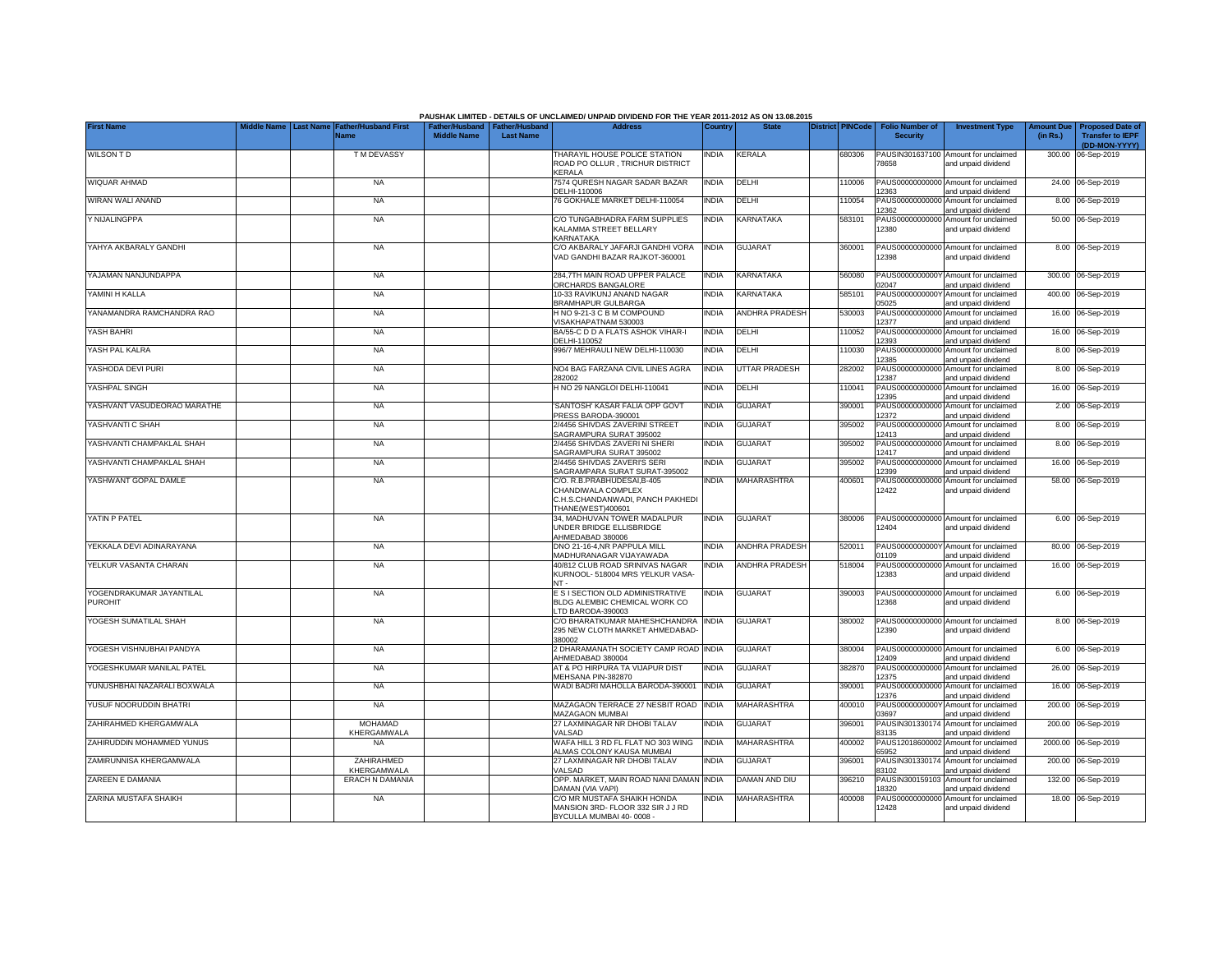|                                            |                               |                                     |                                                       |                  | PAUSHAK LIMITED - DETAILS OF UNCLAIMED/ UNPAID DIVIDEND FOR THE YEAR 2011-2012 AS ON 13.08.2015           |              |                       |                         |                                           |                                                             |                               |                                                    |
|--------------------------------------------|-------------------------------|-------------------------------------|-------------------------------------------------------|------------------|-----------------------------------------------------------------------------------------------------------|--------------|-----------------------|-------------------------|-------------------------------------------|-------------------------------------------------------------|-------------------------------|----------------------------------------------------|
| <b>First Name</b>                          | <b>Last Name</b><br>ddle Name | <b>Father/Husband First</b><br>Name | Father/Husband   Father/Husband<br><b>Middle Name</b> | <b>Last Name</b> | <b>Address</b>                                                                                            | Country      | <b>State</b>          | <b>District PINCode</b> | <b>Folio Number of</b><br><b>Security</b> | <b>Investment Type</b>                                      | <b>Amount Due</b><br>(in Rs.) | <b>Proposed Date of</b><br><b>Transfer to IEPF</b> |
|                                            |                               |                                     |                                                       |                  |                                                                                                           |              |                       |                         |                                           |                                                             |                               | (DD-MON-YYYY)                                      |
| <b>WILSON TD</b>                           |                               | <b>TMDEVASSY</b>                    |                                                       |                  | THARAYIL HOUSE POLICE STATION<br>ROAD PO OLLUR , TRICHUR DISTRICT<br>KERALA                               | <b>INDIA</b> | KERALA                | 680306                  | 78658                                     | PAUSIN301637100 Amount for unclaimed<br>and unpaid dividend |                               | 300.00 06-Sep-2019                                 |
| WIQUAR AHMAD                               |                               | <b>NA</b>                           |                                                       |                  | 7574 QURESH NAGAR SADAR BAZAR<br>DELHI-110006                                                             | <b>INDIA</b> | DELHI                 | 110006                  | 12363                                     | PAUS00000000000 Amount for unclaimed<br>and unpaid dividend |                               | 24.00 06-Sep-2019                                  |
| WIRAN WALI ANAND                           |                               | <b>NA</b>                           |                                                       |                  | 76 GOKHALE MARKET DELHI-110054                                                                            | <b>INDIA</b> | DELHI                 | 110054                  | PAUS0000000000<br>12362                   | Amount for unclaimed<br>and unpaid dividend                 |                               | 8.00 06-Sep-2019                                   |
| Y NIJALINGPPA                              |                               | <b>NA</b>                           |                                                       |                  | C/O TUNGABHADRA FARM SUPPLIES<br>KALAMMA STREET BELLARY<br>KARNATAKA                                      | INDIA        | <b>KARNATAKA</b>      | 583101                  | PAUS00000000000<br>12380                  | Amount for unclaimed<br>and unpaid dividend                 |                               | 50.00 06-Sep-2019                                  |
| YAHYA AKBARALY GANDHI                      |                               | <b>NA</b>                           |                                                       |                  | C/O AKBARALY JAFARJI GANDHI VORA<br>VAD GANDHI BAZAR RAJKOT-360001                                        | <b>INDIA</b> | <b>GUJARAT</b>        | 360001                  | 12398                                     | PAUS00000000000 Amount for unclaimed<br>and unpaid dividend |                               | 8.00 06-Sep-2019                                   |
| YAJAMAN NANJUNDAPPA                        |                               | <b>NA</b>                           |                                                       |                  | 284.7TH MAIN ROAD UPPER PALACE<br>ORCHARDS BANGALORE                                                      | <b>INDIA</b> | KARNATAKA             | 560080                  | PAUS0000000000<br>12047                   | Amount for unclaimed<br>and unpaid dividend                 |                               | 300.00 06-Sep-2019                                 |
| YAMINI H KALLA                             |                               | <b>NA</b>                           |                                                       |                  | 10-33 RAVIKUNJ ANAND NAGAR<br>BRAMHAPUR GULBARGA                                                          | <b>INDIA</b> | KARNATAKA             | 585101                  | PAUS0000000000<br>05025                   | Amount for unclaimed<br>and unpaid dividend                 |                               | 400.00 06-Sep-2019                                 |
| YANAMANDRA RAMCHANDRA RAO                  |                               | <b>NA</b>                           |                                                       |                  | H NO 9-21-3 C B M COMPOUND<br>VISAKHAPATNAM 530003                                                        | <b>INDIA</b> | <b>ANDHRA PRADESH</b> | 530003                  | PAUS00000000000<br>2377                   | Amount for unclaimed<br>and unpaid dividend                 |                               | 16.00 06-Sep-2019                                  |
| YASH BAHRI                                 |                               | <b>NA</b>                           |                                                       |                  | BA/55-C D D A FLATS ASHOK VIHAR-I<br>DELHI-110052                                                         | <b>INDIA</b> | DELHI                 | 110052                  | 2393                                      | PAUS00000000000 Amount for unclaimed<br>and unpaid dividend |                               | 16.00 06-Sep-2019                                  |
| YASH PAL KALRA                             |                               | <b>NA</b>                           |                                                       |                  | 996/7 MEHRAULI NEW DELHI-110030                                                                           | <b>INDIA</b> | DELHI                 | 110030                  | 12385                                     | PAUS00000000000 Amount for unclaimed<br>and unpaid dividend |                               | 8.00 06-Sep-2019                                   |
| YASHODA DEVI PURI                          |                               | <b>NA</b>                           |                                                       |                  | NO4 BAG FARZANA CIVIL LINES AGRA<br>282002                                                                | <b>INDIA</b> | <b>UTTAR PRADESH</b>  | 282002                  | 12387                                     | PAUS00000000000 Amount for unclaimed<br>and unpaid dividend |                               | 8.00 06-Sep-2019                                   |
| YASHPAL SINGH                              |                               | <b>NA</b>                           |                                                       |                  | H NO 29 NANGLOI DELHI-110041                                                                              | <b>INDIA</b> | DELHI                 | 110041                  | 12395                                     | PAUS00000000000 Amount for unclaimed<br>and unpaid dividend |                               | 16.00 06-Sep-2019                                  |
| YASHVANT VASUDEORAO MARATHE                |                               | <b>NA</b>                           |                                                       |                  | 'SANTOSH' KASAR FALIA OPP GOVT<br>PRESS BARODA-390001                                                     | <b>INDIA</b> | <b>GUJARAT</b>        | 390001                  | 12372                                     | PAUS00000000000 Amount for unclaimed<br>and unpaid dividend |                               | 2.00 06-Sep-2019                                   |
| YASHVANTI C SHAH                           |                               | <b>NA</b>                           |                                                       |                  | 2/4456 SHIVDAS ZAVERINI STREET<br>SAGRAMPURA SURAT 395002                                                 | <b>INDIA</b> | <b>GUJARAT</b>        | 395002                  | PAUS0000000000<br>12413                   | Amount for unclaimed<br>and unpaid dividend                 |                               | 8.00 06-Sep-2019                                   |
| YASHVANTI CHAMPAKLAL SHAH                  |                               | <b>NA</b>                           |                                                       |                  | 2/4456 SHIVDAS ZAVERI NI SHERI<br>SAGRAMPURA SURAT 395002                                                 | <b>INDIA</b> | <b>GUJARAT</b>        | 395002                  | PAUS0000000000<br>12417                   | Amount for unclaimed<br>and unpaid dividend                 | 8.00                          | 06-Sep-2019                                        |
| YASHVANTI CHAMPAKLAL SHAH                  |                               | <b>NA</b>                           |                                                       |                  | 2/4456 SHIVDAS ZAVERI'S SERI<br>SAGRAMPARA SURAT SURAT-395002                                             | <b>INDIA</b> | <b>GUJARAT</b>        | 395002                  | PAUS0000000000<br>12399                   | Amount for unclaimed<br>and unpaid dividend                 | 16.00                         | 06-Sep-2019                                        |
| YASHWANT GOPAL DAMLE                       |                               | <b>NA</b>                           |                                                       |                  | C/O. R.B.PRABHUDESAI,B-405<br>CHANDIWALA COMPLEX<br>C.H.S.CHANDANWADI, PANCH PAKHEDI<br>THANE(WEST)400601 | <b>INDIA</b> | MAHARASHTRA           | 400601                  | PAUS0000000000<br>12422                   | Amount for unclaimed<br>and unpaid dividend                 |                               | 58.00 06-Sep-2019                                  |
| YATIN P PATEL                              |                               | <b>NA</b>                           |                                                       |                  | 34, MADHUVAN TOWER MADALPUR<br>UNDER BRIDGE ELLISBRIDGE<br>AHMEDABAD 380006                               | <b>INDIA</b> | <b>GUJARAT</b>        | 380006                  | 12404                                     | PAUS00000000000 Amount for unclaimed<br>and unpaid dividend |                               | 6.00 06-Sep-2019                                   |
| YEKKALA DEVI ADINARAYANA                   |                               | <b>NA</b>                           |                                                       |                  | DNO 21-16-4, NR PAPPULA MILL<br>MADHURANAGAR VIJAYAWADA                                                   | <b>INDIA</b> | <b>ANDHRA PRADESH</b> | 520011                  | 01109                                     | PAUS0000000000Y Amount for unclaimed<br>and unpaid dividend |                               | 80.00 06-Sep-2019                                  |
| YELKUR VASANTA CHARAN                      |                               | NA                                  |                                                       |                  | 40/812 CLUB ROAD SRINIVAS NAGAR<br>KURNOOL- 518004 MRS YELKUR VASA<br>$NT -$                              | INDIA        | ANDHRA PRADESH        | 518004                  | PAUS00000000000<br>12383                  | Amount for unclaimed<br>and unpaid dividend                 |                               | 16.00 06-Sep-2019                                  |
| YOGENDRAKUMAR JAYANTILAL<br><b>PUROHIT</b> |                               | <b>NA</b>                           |                                                       |                  | E S I SECTION OLD ADMINISTRATIVE<br>BLDG ALEMBIC CHEMICAL WORK CO<br>LTD BARODA-390003                    | <b>INDIA</b> | <b>GUJARAT</b>        | 390003                  | 12368                                     | PAUS00000000000 Amount for unclaimed<br>and unpaid dividend |                               | 6.00 06-Sep-2019                                   |
| YOGESH SUMATILAL SHAH                      |                               | <b>NA</b>                           |                                                       |                  | C/O BHARATKUMAR MAHESHCHANDRA<br>295 NEW CLOTH MARKET AHMEDABAD-<br>380002                                | <b>INDIA</b> | <b>GUJARAT</b>        | 380002                  | 12390                                     | PAUS00000000000 Amount for unclaimed<br>and unpaid dividend |                               | 8.00 06-Sep-2019                                   |
| YOGESH VISHNUBHAI PANDYA                   |                               | <b>NA</b>                           |                                                       |                  | 2 DHARAMANATH SOCIETY CAMP ROAD INDIA<br>AHMEDABAD 380004                                                 |              | <b>GUJARAT</b>        | 380004                  | 2409                                      | PAUS00000000000 Amount for unclaimed<br>and unpaid dividend |                               | 6.00 06-Sep-2019                                   |
| YOGESHKUMAR MANILAL PATEL                  |                               | <b>NA</b>                           |                                                       |                  | AT & PO HIRPURA TA VIJAPUR DIST<br>MEHSANA PIN-382870                                                     | <b>INDIA</b> | <b>GUJARAT</b>        | 382870                  | 2375                                      | PAUS00000000000 Amount for unclaimed<br>and unpaid dividend |                               | 26.00 06-Sep-2019                                  |
| YUNUSHBHAI NAZARALI BOXWALA                |                               | <b>NA</b>                           |                                                       |                  | WADI BADRI MAHOLLA BARODA-390001                                                                          | <b>INDIA</b> | <b>GUJARAT</b>        | 390001                  | 12376                                     | PAUS00000000000 Amount for unclaimed<br>and unpaid dividend |                               | 16.00 06-Sep-2019                                  |
| YUSUF NOORUDDIN BHATRI                     |                               | <b>NA</b>                           |                                                       |                  | MAZAGAON TERRACE 27 NESBIT ROAD<br>MAZAGAON MUMBAI                                                        | <b>INDIA</b> | MAHARASHTRA           | 400010                  | 03697                                     | PAUS0000000000Y Amount for unclaimed<br>and unpaid dividend |                               | 200.00 06-Sep-2019                                 |
| ZAHIRAHMED KHERGAMWALA                     |                               | <b>MOHAMAD</b><br>KHERGAMWALA       |                                                       |                  | 27 LAXMINAGAR NR DHOBI TALAV<br>VALSAD                                                                    | <b>INDIA</b> | <b>GUJARAT</b>        | 396001                  | 83135                                     | PAUSIN301330174 Amount for unclaimed<br>and unpaid dividend |                               | 200.00 06-Sep-2019                                 |
| ZAHIRUDDIN MOHAMMED YUNUS                  |                               | <b>NA</b>                           |                                                       |                  | WAFA HILL 3 RD FL FLAT NO 303 WING<br>ALMAS COLONY KAUSA MUMBAI                                           | <b>INDIA</b> | MAHARASHTRA           | 400002                  | 65952                                     | PAUS12018600002 Amount for unclaimed<br>and unpaid dividend |                               | 2000.00 06-Sep-2019                                |
| ZAMIRUNNISA KHERGAMWALA                    |                               | ZAHIRAHMED<br>KHERGAMWALA           |                                                       |                  | 27 LAXMINAGAR NR DHOBI TALAV<br>VALSAD                                                                    | <b>INDIA</b> | <b>GUJARAT</b>        | 396001                  | 83102                                     | PAUSIN301330174 Amount for unclaimed<br>and unpaid dividend |                               | 200.00 06-Sep-2019                                 |
| ZAREEN E DAMANIA                           |                               | <b>ERACH N DAMANIA</b>              |                                                       |                  | OPP. MARKET, MAIN ROAD NANI DAMAN<br>DAMAN (VIA VAPI)                                                     | <b>INDIA</b> | DAMAN AND DIU         | 396210                  | PAUSIN300159103<br>18320                  | Amount for unclaimed<br>and unpaid dividend                 |                               | 132.00 06-Sep-2019                                 |
| ZARINA MUSTAFA SHAIKH                      |                               | <b>NA</b>                           |                                                       |                  | C/O MR MUSTAFA SHAIKH HONDA<br>MANSION 3RD- FLOOR 332 SIR J J RD<br>BYCULLA MUMBAI 40-0008 -              | <b>INDIA</b> | MAHARASHTRA           | 400008                  | PAUS00000000000<br>12428                  | Amount for unclaimed<br>and unpaid dividend                 |                               | 18.00 06-Sep-2019                                  |